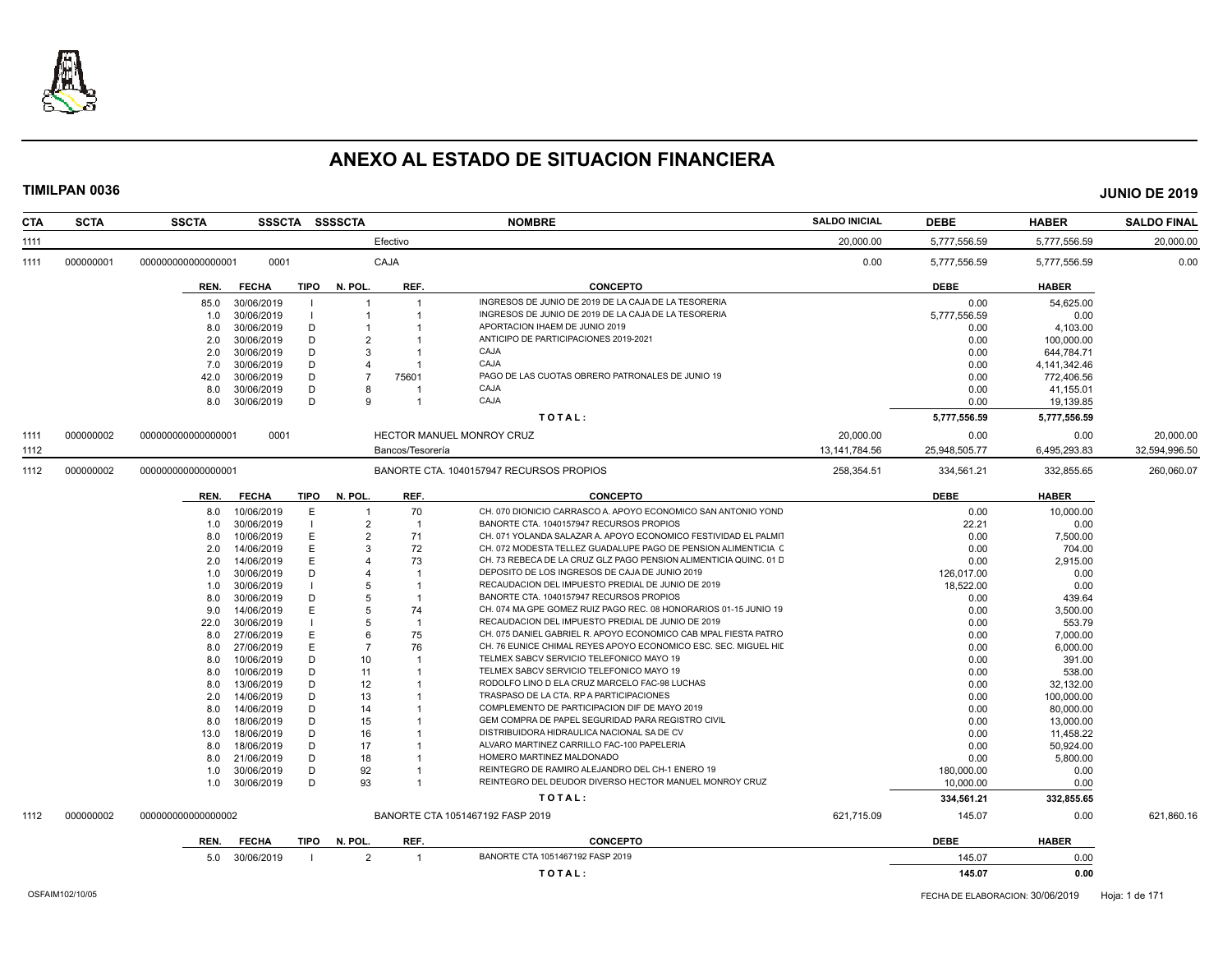

| <b>CTA</b> | <b>SCTA</b> | <b>SSCTA</b>       |              |        | SSSCTA SSSSCTA          |                  | <b>NOMBRE</b>                                                     | <b>SALDO INICIAL</b> | <b>DEBE</b>      | <b>HABER</b>       | <b>SALDO FINAL</b> |
|------------|-------------|--------------------|--------------|--------|-------------------------|------------------|-------------------------------------------------------------------|----------------------|------------------|--------------------|--------------------|
| 1111       |             |                    |              |        |                         | Efectivo         |                                                                   | 20,000.00            | 5,777,556.59     | 5,777,556.59       | 20,000.00          |
| 1111       | 000000001   | 000000000000000001 | 0001         |        |                         | CAJA             |                                                                   | 0.00                 | 5.777.556.59     | 5.777.556.59       | 0.00               |
|            |             | REN.               | <b>FECHA</b> |        | TIPO N. POL.            | REF.             | <b>CONCEPTO</b>                                                   |                      | <b>DEBE</b>      | <b>HABER</b>       |                    |
|            |             |                    | 30/06/2019   |        |                         |                  | INGRESOS DE JUNIO DE 2019 DE LA CAJA DE LA TESORERIA              |                      | 0.00             |                    |                    |
|            |             | 85.0               | 30/06/2019   | - 1    | $\mathbf 1$             |                  | INGRESOS DE JUNIO DE 2019 DE LA CAJA DE LA TESORERIA              |                      | 5.777.556.59     | 54,625.00<br>0.00  |                    |
|            |             | 1.0                |              |        |                         |                  | APORTACION IHAEM DE JUNIO 2019                                    |                      |                  |                    |                    |
|            |             | 8.0                | 30/06/2019   | D      | $\overline{2}$          |                  | ANTICIPO DE PARTICIPACIONES 2019-2021                             |                      | 0.00             | 4,103.00           |                    |
|            |             | 2.0                | 30/06/2019   | D      | 3                       |                  | CAJA                                                              |                      | 0.00             | 100,000.00         |                    |
|            |             | 2.0                | 30/06/2019   | D<br>D |                         |                  | CAJA                                                              |                      | 0.00             | 644,784.71         |                    |
|            |             | 7.0                | 30/06/2019   |        | $\overline{\mathbf{A}}$ |                  |                                                                   |                      | 0.00             | 4,141,342.46       |                    |
|            |             | 42.0               | 30/06/2019   | D      |                         | 75601            | PAGO DE LAS CUOTAS OBRERO PATRONALES DE JUNIO 19                  |                      | 0.00             | 772,406.56         |                    |
|            |             | 8.0                | 30/06/2019   | D      | 8                       |                  | CAJA                                                              |                      | 0.00             | 41,155.01          |                    |
|            |             | 8.0                | 30/06/2019   | D      | 9                       |                  | CAJA                                                              |                      | 0.00             | 19,139.85          |                    |
|            |             |                    |              |        |                         |                  | TOTAL:                                                            |                      | 5,777,556.59     | 5,777,556.59       |                    |
| 1111       | 000000002   | 000000000000000001 | 0001         |        |                         |                  | HECTOR MANUEL MONROY CRUZ                                         | 20,000.00            | 0.00             | 0.00               | 20,000.00          |
| 1112       |             |                    |              |        |                         | Bancos/Tesorería |                                                                   | 13.141.784.56        | 25,948,505.77    | 6.495.293.83       | 32,594,996.50      |
| 1112       | 000000002   | 000000000000000001 |              |        |                         |                  | BANORTE CTA. 1040157947 RECURSOS PROPIOS                          | 258,354.51           | 334,561.21       | 332,855.65         | 260,060.07         |
|            |             | REN.               | <b>FECHA</b> | TIPO   | N. POL.                 | REF.             | <b>CONCEPTO</b>                                                   |                      | DEBE             | <b>HABER</b>       |                    |
|            |             | 8.0                | 10/06/2019   | E      |                         | 70               | CH. 070 DIONICIO CARRASCO A. APOYO ECONOMICO SAN ANTONIO YOND     |                      | 0.00             | 10,000.00          |                    |
|            |             | 1.0                | 30/06/2019   |        | $\overline{2}$          |                  | BANORTE CTA. 1040157947 RECURSOS PROPIOS                          |                      | 22.21            | 0.00               |                    |
|            |             | 8.0                | 10/06/2019   | Ε      | 2                       | 71               | CH. 071 YOLANDA SALAZAR A. APOYO ECONOMICO FESTIVIDAD EL PALMIT   |                      | 0.00             | 7,500.00           |                    |
|            |             | 2.0                | 14/06/2019   | Ε      | 3                       | 72               | CH. 072 MODESTA TELLEZ GUADALUPE PAGO DE PENSION ALIMENTICIA C    |                      | 0.00             | 704.00             |                    |
|            |             | 2.0                | 14/06/2019   | Е      |                         | 73               | CH. 73 REBECA DE LA CRUZ GLZ PAGO PENSION ALIMENTICIA QUINC. 01 D |                      | 0.00             | 2,915.00           |                    |
|            |             | 1.0                | 30/06/2019   | D      | $\Delta$                |                  | DEPOSITO DE LOS INGRESOS DE CAJA DE JUNIO 2019                    |                      | 126,017.00       | 0.00               |                    |
|            |             | 1.0                | 30/06/2019   |        | 5                       |                  | RECAUDACION DEL IMPUESTO PREDIAL DE JUNIO DE 2019                 |                      | 18,522.00        | 0.00               |                    |
|            |             | 8.0                | 30/06/2019   | D      | 5                       |                  | BANORTE CTA. 1040157947 RECURSOS PROPIOS                          |                      | 0.00             | 439.64             |                    |
|            |             | 9.0                | 14/06/2019   |        | 5                       | 74               | CH. 074 MA GPE GOMEZ RUIZ PAGO REC. 08 HONORARIOS 01-15 JUNIO 19  |                      | 0.00             | 3.500.00           |                    |
|            |             | 22.0               | 30/06/2019   |        | 5                       |                  | RECAUDACION DEL IMPUESTO PREDIAL DE JUNIO DE 2019                 |                      | 0.00             | 553.79             |                    |
|            |             | 8.0                | 27/06/2019   | Е      | 6                       | 75               | CH. 075 DANIEL GABRIEL R. APOYO ECONOMICO CAB MPAL FIESTA PATRO   |                      | 0.00             | 7,000.00           |                    |
|            |             | 8.0                | 27/06/2019   | E      | $\overline{7}$          | 76               | CH. 76 EUNICE CHIMAL REYES APOYO ECONOMICO ESC. SEC. MIGUEL HIL   |                      | 0.00             | 6,000.00           |                    |
|            |             | 8.0                | 10/06/2019   | D      | 10 <sup>1</sup>         |                  | TELMEX SABCV SERVICIO TELEFONICO MAYO 19                          |                      | 0.00             | 391.00             |                    |
|            |             | 8.0                | 10/06/2019   | D      | 11                      |                  | TELMEX SABCV SERVICIO TELEFONICO MAYO 19                          |                      | 0.00             | 538.00             |                    |
|            |             | 8.0                | 13/06/2019   | D      | 12 <sup>2</sup>         |                  | RODOLFO LINO D ELA CRUZ MARCELO FAC-98 LUCHAS                     |                      | 0.00             | 32,132.00          |                    |
|            |             | 2.0                | 14/06/2019   | D      | 13                      |                  | TRASPASO DE LA CTA. RP A PARTICIPACIONES                          |                      | 0.00             | 100,000.00         |                    |
|            |             | 8.0                | 14/06/2019   | D      | 14                      |                  | COMPLEMENTO DE PARTICIPACION DIF DE MAYO 2019                     |                      | 0.00             | 80,000.00          |                    |
|            |             | 8.0                | 18/06/2019   | D      | 15                      |                  | GEM COMPRA DE PAPEL SEGURIDAD PARA REGISTRO CIVIL                 |                      | 0.00             | 13,000.00          |                    |
|            |             | 13.0               | 18/06/2019   | D      | 16                      |                  | DISTRIBUIDORA HIDRAULICA NACIONAL SA DE CV                        |                      | 0.00             | 11,458.22          |                    |
|            |             | 8.0                | 18/06/2019   | D      | 17                      |                  | ALVARO MARTINEZ CARRILLO FAC-100 PAPELERIA                        |                      | 0.00             | 50.924.00          |                    |
|            |             | 8.0                | 21/06/2019   | D      | 18                      |                  | HOMERO MARTINEZ MALDONADO                                         |                      | 0.00             | 5,800.00           |                    |
|            |             | 1.0                | 30/06/2019   | D      | 92                      |                  | REINTEGRO DE RAMIRO ALEJANDRO DEL CH-1 ENERO 19                   |                      | 180,000.00       | 0.00               |                    |
|            |             | 1.0                | 30/06/2019   | D      | 93                      |                  | REINTEGRO DEL DEUDOR DIVERSO HECTOR MANUEL MONROY CRUZ            |                      | 10,000.00        |                    |                    |
|            |             |                    |              |        |                         |                  | TOTAL:                                                            |                      | 334,561.21       | 0.00<br>332.855.65 |                    |
| 1112       | 000000002   | 000000000000000002 |              |        |                         |                  | BANORTE CTA 1051467192 FASP 2019                                  | 621,715.09           | 145.07           | 0.00               | 621,860.16         |
|            |             |                    |              |        |                         |                  |                                                                   |                      |                  |                    |                    |
|            |             | REN.               | <b>FECHA</b> | TIPO   | N. POL.                 | REF.             | <b>CONCEPTO</b><br>BANORTE CTA 1051467192 FASP 2019               |                      | <b>DEBE</b>      | <b>HABER</b>       |                    |
|            |             | 5.0                | 30/06/2019   |        | 2                       | -1               | TOTAL:                                                            |                      | 145.07<br>145.07 | 0.00<br>0.00       |                    |
|            |             |                    |              |        |                         |                  |                                                                   |                      |                  |                    |                    |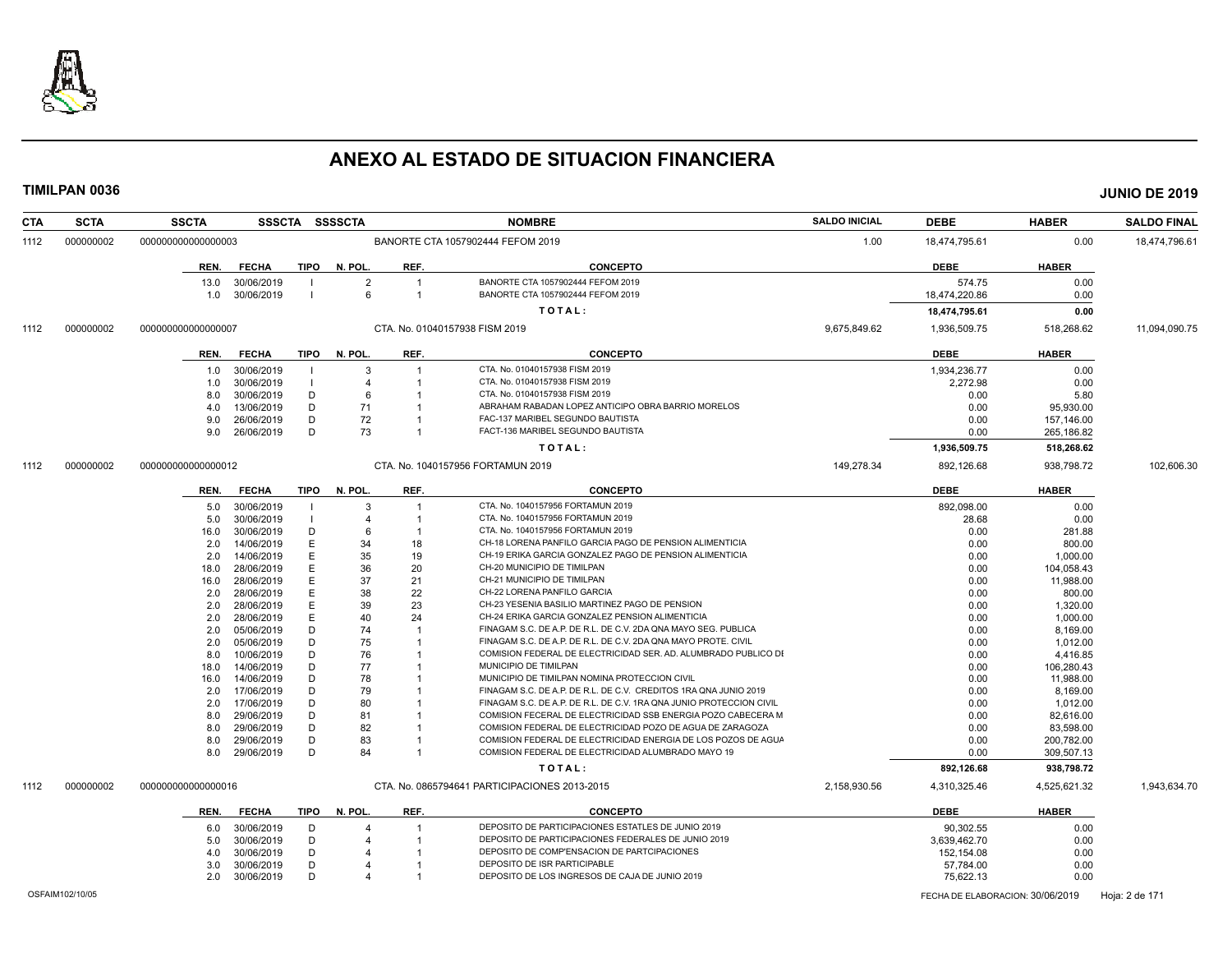

| 000000002<br>000000000000000003<br>BANORTE CTA 1057902444 FEFOM 2019<br>18,474,795.61<br>0.00<br>1112<br>1.00<br><b>FECHA</b><br>TIPO<br>N. POL.<br>REF.<br><b>CONCEPTO</b><br><b>DEBE</b><br><b>HABER</b><br>REN.<br>13.0<br>30/06/2019<br>BANORTE CTA 1057902444 FEFOM 2019<br>574.75<br>0.00<br>$\overline{2}$<br>-1<br>6<br>BANORTE CTA 1057902444 FEFOM 2019<br>30/06/2019<br>$\overline{1}$<br>18,474,220.86<br>0.00<br>1.0<br>0.00<br>TOTAL:<br>18,474,795.61<br>000000002<br>000000000000000007<br>CTA, No. 01040157938 FISM 2019<br>9.675.849.62<br>1,936,509.75<br>518,268.62<br>11,094,090.75<br>1112<br><b>CONCEPTO</b><br><b>DEBE</b><br><b>FECHA</b><br>TIPO N. POL.<br>REF.<br><b>HABER</b><br>REN.<br>CTA. No. 01040157938 FISM 2019<br>0.00<br>30/06/2019<br>3<br>1,934,236.77<br>1.0<br>-1<br>30/06/2019<br>CTA. No. 01040157938 FISM 2019<br>2,272.98<br>0.00<br>1.0<br>$\overline{4}$<br>30/06/2019<br>CTA. No. 01040157938 FISM 2019<br>0.00<br>5.80<br>8.0<br>D<br>6<br>-1<br>ABRAHAM RABADAN LOPEZ ANTICIPO OBRA BARRIO MORELOS<br>13/06/2019<br>D<br>71<br>0.00<br>95.930.00<br>4.0<br>-1<br>26/06/2019<br>D<br>72<br>FAC-137 MARIBEL SEGUNDO BAUTISTA<br>9.0<br>0.00<br>157,146.00<br>-1<br>D<br>73<br>FACT-136 MARIBEL SEGUNDO BAUTISTA<br>9.0<br>26/06/2019<br>$\overline{1}$<br>0.00<br>265,186.82<br>TOTAL:<br>1,936,509.75<br>518,268.62<br>149,278.34<br>000000000000000012<br>CTA, No. 1040157956 FORTAMUN 2019<br>892,126.68<br>1112<br>000000002<br>938,798.72<br><b>CONCEPTO</b><br><b>DEBE</b><br><b>HABER</b><br><b>FECHA</b><br>N. POL.<br>REF.<br>REN.<br>TIPO<br>CTA. No. 1040157956 FORTAMUN 2019<br>30/06/2019<br>892.098.00<br>0.00<br>5.0<br>$\mathcal{B}$<br>-1<br>CTA. No. 1040157956 FORTAMUN 2019<br>5.0<br>30/06/2019<br>28.68<br>0.00<br>$\overline{4}$<br>-1<br>30/06/2019<br>CTA. No. 1040157956 FORTAMUN 2019<br>0.00<br>281.88<br>16.0<br>D<br>6<br>14/06/2019<br>34<br>18<br>CH-18 LORENA PANFILO GARCIA PAGO DE PENSION ALIMENTICIA<br>0.00<br>2.0<br>F<br>800.00<br>E<br>35<br>19<br>CH-19 ERIKA GARCIA GONZALEZ PAGO DE PENSION ALIMENTICIA<br>2.0<br>14/06/2019<br>0.00<br>1,000.00<br>28/06/2019<br>Е<br>36<br>20<br>CH-20 MUNICIPIO DE TIMILPAN<br>0.00<br>104,058.43<br>18.0<br>37<br>CH-21 MUNICIPIO DE TIMILPAN<br>28/06/2019<br>Е<br>21<br>0.00<br>11,988.00<br>16.0<br>CH-22 LORENA PANFILO GARCIA<br>28/06/2019<br>Е<br>38<br>22<br>0.00<br>2.0<br>800.00<br>CH-23 YESENIA BASILIO MARTINEZ PAGO DE PENSION<br>28/06/2019<br>Е<br>39<br>23<br>0.00<br>2.0<br>1,320.00<br>CH-24 ERIKA GARCIA GONZALEZ PENSION ALIMENTICIA<br>28/06/2019<br>E<br>40<br>24<br>0.00<br>2.0<br>1,000.00<br>FINAGAM S.C. DE A.P. DE R.L. DE C.V. 2DA QNA MAYO SEG. PUBLICA<br>05/06/2019<br>D<br>74<br>0.00<br>2.0<br>8.169.00<br>-1<br>D<br>FINAGAM S.C. DE A.P. DE R.L. DE C.V. 2DA QNA MAYO PROTE. CIVIL<br>2.0<br>05/06/2019<br>75<br>0.00<br>1,012.00<br>COMISION FEDERAL DE ELECTRICIDAD SER. AD. ALUMBRADO PUBLICO DI<br>8.0<br>10/06/2019<br>D<br>76<br>0.00<br>4,416.85<br>-1<br>14/06/2019<br>D<br>77<br>MUNICIPIO DE TIMILPAN<br>0.00<br>18.0<br>106,280.43<br>14/06/2019<br>D<br>78<br>MUNICIPIO DE TIMILPAN NOMINA PROTECCION CIVIL<br>0.00<br>11,988.00<br>16.0<br>17/06/2019<br>D<br>79<br>FINAGAM S.C. DE A.P. DE R.L. DE C.V. CREDITOS 1RA QNA JUNIO 2019<br>0.00<br>2.0<br>8,169.00<br>2.0<br>17/06/2019<br>D<br>80<br>FINAGAM S.C. DE A.P. DE R.L. DE C.V. 1RA QNA JUNIO PROTECCION CIVIL<br>0.00<br>1,012.00<br>29/06/2019<br>D<br>COMISION FECERAL DE ELECTRICIDAD SSB ENERGIA POZO CABECERA M<br>0.00<br>8.0<br>81<br>82.616.00<br>82<br>COMISION FEDERAL DE ELECTRICIDAD POZO DE AGUA DE ZARAGOZA<br>8.0<br>29/06/2019<br>D<br>0.00<br>83.598.00<br>D<br>83<br>COMISION FEDERAL DE ELECTRICIDAD ENERGIA DE LOS POZOS DE AGUA<br>0.00<br>8.0<br>29/06/2019<br>200,782.00<br>D<br>COMISION FEDERAL DE ELECTRICIDAD ALUMBRADO MAYO 19<br>8.0<br>29/06/2019<br>84<br>0.00<br>309,507.13<br>-1<br>TOTAL:<br>892,126.68<br>938,798.72<br>000000002<br>CTA. No. 0865794641 PARTICIPACIONES 2013-2015<br>1112<br>000000000000000016<br>2,158,930.56<br>4,310,325.46<br>4,525,621.32<br><b>DEBE</b><br>REN.<br><b>FECHA</b><br>TIPO<br>N. POL.<br>REF.<br><b>CONCEPTO</b><br><b>HABER</b><br>DEPOSITO DE PARTICIPACIONES ESTATLES DE JUNIO 2019<br>90,302.55<br>0.00<br>30/06/2019<br>D<br>6.0<br>-1<br>DEPOSITO DE PARTICIPACIONES FEDERALES DE JUNIO 2019<br>5.0<br>30/06/2019<br>D<br>3,639,462.70<br>0.00<br>30/06/2019<br>D<br>DEPOSITO DE COMP'ENSACION DE PARTCIPACIONES<br>0.00<br>152,154.08<br>4.0<br>DEPOSITO DE ISR PARTICIPABLE<br>30/06/2019<br>D<br>57,784.00<br>0.00<br>3.0<br>DEPOSITO DE LOS INGRESOS DE CAJA DE JUNIO 2019<br>2.0<br>30/06/2019<br>Ð<br>75,622.13<br>0.00<br>OSFAIM102/10/05<br>FECHA DE ELABORACION: 30/06/2019<br>Hoja: 2 de 171 | <b>CTA</b> | <b>SCTA</b> | <b>SSCTA</b> |  | SSSCTA SSSSCTA | <b>NOMBRE</b> | <b>SALDO INICIAL</b> | <b>DEBE</b> | <b>HABER</b> | <b>SALDO FINAL</b> |
|----------------------------------------------------------------------------------------------------------------------------------------------------------------------------------------------------------------------------------------------------------------------------------------------------------------------------------------------------------------------------------------------------------------------------------------------------------------------------------------------------------------------------------------------------------------------------------------------------------------------------------------------------------------------------------------------------------------------------------------------------------------------------------------------------------------------------------------------------------------------------------------------------------------------------------------------------------------------------------------------------------------------------------------------------------------------------------------------------------------------------------------------------------------------------------------------------------------------------------------------------------------------------------------------------------------------------------------------------------------------------------------------------------------------------------------------------------------------------------------------------------------------------------------------------------------------------------------------------------------------------------------------------------------------------------------------------------------------------------------------------------------------------------------------------------------------------------------------------------------------------------------------------------------------------------------------------------------------------------------------------------------------------------------------------------------------------------------------------------------------------------------------------------------------------------------------------------------------------------------------------------------------------------------------------------------------------------------------------------------------------------------------------------------------------------------------------------------------------------------------------------------------------------------------------------------------------------------------------------------------------------------------------------------------------------------------------------------------------------------------------------------------------------------------------------------------------------------------------------------------------------------------------------------------------------------------------------------------------------------------------------------------------------------------------------------------------------------------------------------------------------------------------------------------------------------------------------------------------------------------------------------------------------------------------------------------------------------------------------------------------------------------------------------------------------------------------------------------------------------------------------------------------------------------------------------------------------------------------------------------------------------------------------------------------------------------------------------------------------------------------------------------------------------------------------------------------------------------------------------------------------------------------------------------------------------------------------------------------------------------------------------------------------------------------------------------------------------------------------------------------------------------------------------------------------------------------------------------------------------------------------------------------------------------------------------------------------------------------------------------------------------------------------------------------------------------------------------------------------------------------------------------------------------------------------------------------------------------------------------------------------------------------------------------------------------------------------------------------------------------------------------------------------------------------------------------------------|------------|-------------|--------------|--|----------------|---------------|----------------------|-------------|--------------|--------------------|
|                                                                                                                                                                                                                                                                                                                                                                                                                                                                                                                                                                                                                                                                                                                                                                                                                                                                                                                                                                                                                                                                                                                                                                                                                                                                                                                                                                                                                                                                                                                                                                                                                                                                                                                                                                                                                                                                                                                                                                                                                                                                                                                                                                                                                                                                                                                                                                                                                                                                                                                                                                                                                                                                                                                                                                                                                                                                                                                                                                                                                                                                                                                                                                                                                                                                                                                                                                                                                                                                                                                                                                                                                                                                                                                                                                                                                                                                                                                                                                                                                                                                                                                                                                                                                                                                                                                                                                                                                                                                                                                                                                                                                                                                                                                                                                                                                                  |            |             |              |  |                |               |                      |             |              | 18,474,796.61      |
|                                                                                                                                                                                                                                                                                                                                                                                                                                                                                                                                                                                                                                                                                                                                                                                                                                                                                                                                                                                                                                                                                                                                                                                                                                                                                                                                                                                                                                                                                                                                                                                                                                                                                                                                                                                                                                                                                                                                                                                                                                                                                                                                                                                                                                                                                                                                                                                                                                                                                                                                                                                                                                                                                                                                                                                                                                                                                                                                                                                                                                                                                                                                                                                                                                                                                                                                                                                                                                                                                                                                                                                                                                                                                                                                                                                                                                                                                                                                                                                                                                                                                                                                                                                                                                                                                                                                                                                                                                                                                                                                                                                                                                                                                                                                                                                                                                  |            |             |              |  |                |               |                      |             |              |                    |
|                                                                                                                                                                                                                                                                                                                                                                                                                                                                                                                                                                                                                                                                                                                                                                                                                                                                                                                                                                                                                                                                                                                                                                                                                                                                                                                                                                                                                                                                                                                                                                                                                                                                                                                                                                                                                                                                                                                                                                                                                                                                                                                                                                                                                                                                                                                                                                                                                                                                                                                                                                                                                                                                                                                                                                                                                                                                                                                                                                                                                                                                                                                                                                                                                                                                                                                                                                                                                                                                                                                                                                                                                                                                                                                                                                                                                                                                                                                                                                                                                                                                                                                                                                                                                                                                                                                                                                                                                                                                                                                                                                                                                                                                                                                                                                                                                                  |            |             |              |  |                |               |                      |             |              |                    |
|                                                                                                                                                                                                                                                                                                                                                                                                                                                                                                                                                                                                                                                                                                                                                                                                                                                                                                                                                                                                                                                                                                                                                                                                                                                                                                                                                                                                                                                                                                                                                                                                                                                                                                                                                                                                                                                                                                                                                                                                                                                                                                                                                                                                                                                                                                                                                                                                                                                                                                                                                                                                                                                                                                                                                                                                                                                                                                                                                                                                                                                                                                                                                                                                                                                                                                                                                                                                                                                                                                                                                                                                                                                                                                                                                                                                                                                                                                                                                                                                                                                                                                                                                                                                                                                                                                                                                                                                                                                                                                                                                                                                                                                                                                                                                                                                                                  |            |             |              |  |                |               |                      |             |              |                    |
|                                                                                                                                                                                                                                                                                                                                                                                                                                                                                                                                                                                                                                                                                                                                                                                                                                                                                                                                                                                                                                                                                                                                                                                                                                                                                                                                                                                                                                                                                                                                                                                                                                                                                                                                                                                                                                                                                                                                                                                                                                                                                                                                                                                                                                                                                                                                                                                                                                                                                                                                                                                                                                                                                                                                                                                                                                                                                                                                                                                                                                                                                                                                                                                                                                                                                                                                                                                                                                                                                                                                                                                                                                                                                                                                                                                                                                                                                                                                                                                                                                                                                                                                                                                                                                                                                                                                                                                                                                                                                                                                                                                                                                                                                                                                                                                                                                  |            |             |              |  |                |               |                      |             |              |                    |
|                                                                                                                                                                                                                                                                                                                                                                                                                                                                                                                                                                                                                                                                                                                                                                                                                                                                                                                                                                                                                                                                                                                                                                                                                                                                                                                                                                                                                                                                                                                                                                                                                                                                                                                                                                                                                                                                                                                                                                                                                                                                                                                                                                                                                                                                                                                                                                                                                                                                                                                                                                                                                                                                                                                                                                                                                                                                                                                                                                                                                                                                                                                                                                                                                                                                                                                                                                                                                                                                                                                                                                                                                                                                                                                                                                                                                                                                                                                                                                                                                                                                                                                                                                                                                                                                                                                                                                                                                                                                                                                                                                                                                                                                                                                                                                                                                                  |            |             |              |  |                |               |                      |             |              |                    |
|                                                                                                                                                                                                                                                                                                                                                                                                                                                                                                                                                                                                                                                                                                                                                                                                                                                                                                                                                                                                                                                                                                                                                                                                                                                                                                                                                                                                                                                                                                                                                                                                                                                                                                                                                                                                                                                                                                                                                                                                                                                                                                                                                                                                                                                                                                                                                                                                                                                                                                                                                                                                                                                                                                                                                                                                                                                                                                                                                                                                                                                                                                                                                                                                                                                                                                                                                                                                                                                                                                                                                                                                                                                                                                                                                                                                                                                                                                                                                                                                                                                                                                                                                                                                                                                                                                                                                                                                                                                                                                                                                                                                                                                                                                                                                                                                                                  |            |             |              |  |                |               |                      |             |              |                    |
|                                                                                                                                                                                                                                                                                                                                                                                                                                                                                                                                                                                                                                                                                                                                                                                                                                                                                                                                                                                                                                                                                                                                                                                                                                                                                                                                                                                                                                                                                                                                                                                                                                                                                                                                                                                                                                                                                                                                                                                                                                                                                                                                                                                                                                                                                                                                                                                                                                                                                                                                                                                                                                                                                                                                                                                                                                                                                                                                                                                                                                                                                                                                                                                                                                                                                                                                                                                                                                                                                                                                                                                                                                                                                                                                                                                                                                                                                                                                                                                                                                                                                                                                                                                                                                                                                                                                                                                                                                                                                                                                                                                                                                                                                                                                                                                                                                  |            |             |              |  |                |               |                      |             |              |                    |
|                                                                                                                                                                                                                                                                                                                                                                                                                                                                                                                                                                                                                                                                                                                                                                                                                                                                                                                                                                                                                                                                                                                                                                                                                                                                                                                                                                                                                                                                                                                                                                                                                                                                                                                                                                                                                                                                                                                                                                                                                                                                                                                                                                                                                                                                                                                                                                                                                                                                                                                                                                                                                                                                                                                                                                                                                                                                                                                                                                                                                                                                                                                                                                                                                                                                                                                                                                                                                                                                                                                                                                                                                                                                                                                                                                                                                                                                                                                                                                                                                                                                                                                                                                                                                                                                                                                                                                                                                                                                                                                                                                                                                                                                                                                                                                                                                                  |            |             |              |  |                |               |                      |             |              |                    |
|                                                                                                                                                                                                                                                                                                                                                                                                                                                                                                                                                                                                                                                                                                                                                                                                                                                                                                                                                                                                                                                                                                                                                                                                                                                                                                                                                                                                                                                                                                                                                                                                                                                                                                                                                                                                                                                                                                                                                                                                                                                                                                                                                                                                                                                                                                                                                                                                                                                                                                                                                                                                                                                                                                                                                                                                                                                                                                                                                                                                                                                                                                                                                                                                                                                                                                                                                                                                                                                                                                                                                                                                                                                                                                                                                                                                                                                                                                                                                                                                                                                                                                                                                                                                                                                                                                                                                                                                                                                                                                                                                                                                                                                                                                                                                                                                                                  |            |             |              |  |                |               |                      |             |              |                    |
|                                                                                                                                                                                                                                                                                                                                                                                                                                                                                                                                                                                                                                                                                                                                                                                                                                                                                                                                                                                                                                                                                                                                                                                                                                                                                                                                                                                                                                                                                                                                                                                                                                                                                                                                                                                                                                                                                                                                                                                                                                                                                                                                                                                                                                                                                                                                                                                                                                                                                                                                                                                                                                                                                                                                                                                                                                                                                                                                                                                                                                                                                                                                                                                                                                                                                                                                                                                                                                                                                                                                                                                                                                                                                                                                                                                                                                                                                                                                                                                                                                                                                                                                                                                                                                                                                                                                                                                                                                                                                                                                                                                                                                                                                                                                                                                                                                  |            |             |              |  |                |               |                      |             |              |                    |
|                                                                                                                                                                                                                                                                                                                                                                                                                                                                                                                                                                                                                                                                                                                                                                                                                                                                                                                                                                                                                                                                                                                                                                                                                                                                                                                                                                                                                                                                                                                                                                                                                                                                                                                                                                                                                                                                                                                                                                                                                                                                                                                                                                                                                                                                                                                                                                                                                                                                                                                                                                                                                                                                                                                                                                                                                                                                                                                                                                                                                                                                                                                                                                                                                                                                                                                                                                                                                                                                                                                                                                                                                                                                                                                                                                                                                                                                                                                                                                                                                                                                                                                                                                                                                                                                                                                                                                                                                                                                                                                                                                                                                                                                                                                                                                                                                                  |            |             |              |  |                |               |                      |             |              |                    |
|                                                                                                                                                                                                                                                                                                                                                                                                                                                                                                                                                                                                                                                                                                                                                                                                                                                                                                                                                                                                                                                                                                                                                                                                                                                                                                                                                                                                                                                                                                                                                                                                                                                                                                                                                                                                                                                                                                                                                                                                                                                                                                                                                                                                                                                                                                                                                                                                                                                                                                                                                                                                                                                                                                                                                                                                                                                                                                                                                                                                                                                                                                                                                                                                                                                                                                                                                                                                                                                                                                                                                                                                                                                                                                                                                                                                                                                                                                                                                                                                                                                                                                                                                                                                                                                                                                                                                                                                                                                                                                                                                                                                                                                                                                                                                                                                                                  |            |             |              |  |                |               |                      |             |              |                    |
|                                                                                                                                                                                                                                                                                                                                                                                                                                                                                                                                                                                                                                                                                                                                                                                                                                                                                                                                                                                                                                                                                                                                                                                                                                                                                                                                                                                                                                                                                                                                                                                                                                                                                                                                                                                                                                                                                                                                                                                                                                                                                                                                                                                                                                                                                                                                                                                                                                                                                                                                                                                                                                                                                                                                                                                                                                                                                                                                                                                                                                                                                                                                                                                                                                                                                                                                                                                                                                                                                                                                                                                                                                                                                                                                                                                                                                                                                                                                                                                                                                                                                                                                                                                                                                                                                                                                                                                                                                                                                                                                                                                                                                                                                                                                                                                                                                  |            |             |              |  |                |               |                      |             |              |                    |
|                                                                                                                                                                                                                                                                                                                                                                                                                                                                                                                                                                                                                                                                                                                                                                                                                                                                                                                                                                                                                                                                                                                                                                                                                                                                                                                                                                                                                                                                                                                                                                                                                                                                                                                                                                                                                                                                                                                                                                                                                                                                                                                                                                                                                                                                                                                                                                                                                                                                                                                                                                                                                                                                                                                                                                                                                                                                                                                                                                                                                                                                                                                                                                                                                                                                                                                                                                                                                                                                                                                                                                                                                                                                                                                                                                                                                                                                                                                                                                                                                                                                                                                                                                                                                                                                                                                                                                                                                                                                                                                                                                                                                                                                                                                                                                                                                                  |            |             |              |  |                |               |                      |             |              | 102,606.30         |
|                                                                                                                                                                                                                                                                                                                                                                                                                                                                                                                                                                                                                                                                                                                                                                                                                                                                                                                                                                                                                                                                                                                                                                                                                                                                                                                                                                                                                                                                                                                                                                                                                                                                                                                                                                                                                                                                                                                                                                                                                                                                                                                                                                                                                                                                                                                                                                                                                                                                                                                                                                                                                                                                                                                                                                                                                                                                                                                                                                                                                                                                                                                                                                                                                                                                                                                                                                                                                                                                                                                                                                                                                                                                                                                                                                                                                                                                                                                                                                                                                                                                                                                                                                                                                                                                                                                                                                                                                                                                                                                                                                                                                                                                                                                                                                                                                                  |            |             |              |  |                |               |                      |             |              |                    |
|                                                                                                                                                                                                                                                                                                                                                                                                                                                                                                                                                                                                                                                                                                                                                                                                                                                                                                                                                                                                                                                                                                                                                                                                                                                                                                                                                                                                                                                                                                                                                                                                                                                                                                                                                                                                                                                                                                                                                                                                                                                                                                                                                                                                                                                                                                                                                                                                                                                                                                                                                                                                                                                                                                                                                                                                                                                                                                                                                                                                                                                                                                                                                                                                                                                                                                                                                                                                                                                                                                                                                                                                                                                                                                                                                                                                                                                                                                                                                                                                                                                                                                                                                                                                                                                                                                                                                                                                                                                                                                                                                                                                                                                                                                                                                                                                                                  |            |             |              |  |                |               |                      |             |              |                    |
|                                                                                                                                                                                                                                                                                                                                                                                                                                                                                                                                                                                                                                                                                                                                                                                                                                                                                                                                                                                                                                                                                                                                                                                                                                                                                                                                                                                                                                                                                                                                                                                                                                                                                                                                                                                                                                                                                                                                                                                                                                                                                                                                                                                                                                                                                                                                                                                                                                                                                                                                                                                                                                                                                                                                                                                                                                                                                                                                                                                                                                                                                                                                                                                                                                                                                                                                                                                                                                                                                                                                                                                                                                                                                                                                                                                                                                                                                                                                                                                                                                                                                                                                                                                                                                                                                                                                                                                                                                                                                                                                                                                                                                                                                                                                                                                                                                  |            |             |              |  |                |               |                      |             |              |                    |
|                                                                                                                                                                                                                                                                                                                                                                                                                                                                                                                                                                                                                                                                                                                                                                                                                                                                                                                                                                                                                                                                                                                                                                                                                                                                                                                                                                                                                                                                                                                                                                                                                                                                                                                                                                                                                                                                                                                                                                                                                                                                                                                                                                                                                                                                                                                                                                                                                                                                                                                                                                                                                                                                                                                                                                                                                                                                                                                                                                                                                                                                                                                                                                                                                                                                                                                                                                                                                                                                                                                                                                                                                                                                                                                                                                                                                                                                                                                                                                                                                                                                                                                                                                                                                                                                                                                                                                                                                                                                                                                                                                                                                                                                                                                                                                                                                                  |            |             |              |  |                |               |                      |             |              |                    |
|                                                                                                                                                                                                                                                                                                                                                                                                                                                                                                                                                                                                                                                                                                                                                                                                                                                                                                                                                                                                                                                                                                                                                                                                                                                                                                                                                                                                                                                                                                                                                                                                                                                                                                                                                                                                                                                                                                                                                                                                                                                                                                                                                                                                                                                                                                                                                                                                                                                                                                                                                                                                                                                                                                                                                                                                                                                                                                                                                                                                                                                                                                                                                                                                                                                                                                                                                                                                                                                                                                                                                                                                                                                                                                                                                                                                                                                                                                                                                                                                                                                                                                                                                                                                                                                                                                                                                                                                                                                                                                                                                                                                                                                                                                                                                                                                                                  |            |             |              |  |                |               |                      |             |              |                    |
|                                                                                                                                                                                                                                                                                                                                                                                                                                                                                                                                                                                                                                                                                                                                                                                                                                                                                                                                                                                                                                                                                                                                                                                                                                                                                                                                                                                                                                                                                                                                                                                                                                                                                                                                                                                                                                                                                                                                                                                                                                                                                                                                                                                                                                                                                                                                                                                                                                                                                                                                                                                                                                                                                                                                                                                                                                                                                                                                                                                                                                                                                                                                                                                                                                                                                                                                                                                                                                                                                                                                                                                                                                                                                                                                                                                                                                                                                                                                                                                                                                                                                                                                                                                                                                                                                                                                                                                                                                                                                                                                                                                                                                                                                                                                                                                                                                  |            |             |              |  |                |               |                      |             |              |                    |
|                                                                                                                                                                                                                                                                                                                                                                                                                                                                                                                                                                                                                                                                                                                                                                                                                                                                                                                                                                                                                                                                                                                                                                                                                                                                                                                                                                                                                                                                                                                                                                                                                                                                                                                                                                                                                                                                                                                                                                                                                                                                                                                                                                                                                                                                                                                                                                                                                                                                                                                                                                                                                                                                                                                                                                                                                                                                                                                                                                                                                                                                                                                                                                                                                                                                                                                                                                                                                                                                                                                                                                                                                                                                                                                                                                                                                                                                                                                                                                                                                                                                                                                                                                                                                                                                                                                                                                                                                                                                                                                                                                                                                                                                                                                                                                                                                                  |            |             |              |  |                |               |                      |             |              |                    |
|                                                                                                                                                                                                                                                                                                                                                                                                                                                                                                                                                                                                                                                                                                                                                                                                                                                                                                                                                                                                                                                                                                                                                                                                                                                                                                                                                                                                                                                                                                                                                                                                                                                                                                                                                                                                                                                                                                                                                                                                                                                                                                                                                                                                                                                                                                                                                                                                                                                                                                                                                                                                                                                                                                                                                                                                                                                                                                                                                                                                                                                                                                                                                                                                                                                                                                                                                                                                                                                                                                                                                                                                                                                                                                                                                                                                                                                                                                                                                                                                                                                                                                                                                                                                                                                                                                                                                                                                                                                                                                                                                                                                                                                                                                                                                                                                                                  |            |             |              |  |                |               |                      |             |              |                    |
|                                                                                                                                                                                                                                                                                                                                                                                                                                                                                                                                                                                                                                                                                                                                                                                                                                                                                                                                                                                                                                                                                                                                                                                                                                                                                                                                                                                                                                                                                                                                                                                                                                                                                                                                                                                                                                                                                                                                                                                                                                                                                                                                                                                                                                                                                                                                                                                                                                                                                                                                                                                                                                                                                                                                                                                                                                                                                                                                                                                                                                                                                                                                                                                                                                                                                                                                                                                                                                                                                                                                                                                                                                                                                                                                                                                                                                                                                                                                                                                                                                                                                                                                                                                                                                                                                                                                                                                                                                                                                                                                                                                                                                                                                                                                                                                                                                  |            |             |              |  |                |               |                      |             |              |                    |
|                                                                                                                                                                                                                                                                                                                                                                                                                                                                                                                                                                                                                                                                                                                                                                                                                                                                                                                                                                                                                                                                                                                                                                                                                                                                                                                                                                                                                                                                                                                                                                                                                                                                                                                                                                                                                                                                                                                                                                                                                                                                                                                                                                                                                                                                                                                                                                                                                                                                                                                                                                                                                                                                                                                                                                                                                                                                                                                                                                                                                                                                                                                                                                                                                                                                                                                                                                                                                                                                                                                                                                                                                                                                                                                                                                                                                                                                                                                                                                                                                                                                                                                                                                                                                                                                                                                                                                                                                                                                                                                                                                                                                                                                                                                                                                                                                                  |            |             |              |  |                |               |                      |             |              |                    |
|                                                                                                                                                                                                                                                                                                                                                                                                                                                                                                                                                                                                                                                                                                                                                                                                                                                                                                                                                                                                                                                                                                                                                                                                                                                                                                                                                                                                                                                                                                                                                                                                                                                                                                                                                                                                                                                                                                                                                                                                                                                                                                                                                                                                                                                                                                                                                                                                                                                                                                                                                                                                                                                                                                                                                                                                                                                                                                                                                                                                                                                                                                                                                                                                                                                                                                                                                                                                                                                                                                                                                                                                                                                                                                                                                                                                                                                                                                                                                                                                                                                                                                                                                                                                                                                                                                                                                                                                                                                                                                                                                                                                                                                                                                                                                                                                                                  |            |             |              |  |                |               |                      |             |              |                    |
|                                                                                                                                                                                                                                                                                                                                                                                                                                                                                                                                                                                                                                                                                                                                                                                                                                                                                                                                                                                                                                                                                                                                                                                                                                                                                                                                                                                                                                                                                                                                                                                                                                                                                                                                                                                                                                                                                                                                                                                                                                                                                                                                                                                                                                                                                                                                                                                                                                                                                                                                                                                                                                                                                                                                                                                                                                                                                                                                                                                                                                                                                                                                                                                                                                                                                                                                                                                                                                                                                                                                                                                                                                                                                                                                                                                                                                                                                                                                                                                                                                                                                                                                                                                                                                                                                                                                                                                                                                                                                                                                                                                                                                                                                                                                                                                                                                  |            |             |              |  |                |               |                      |             |              |                    |
|                                                                                                                                                                                                                                                                                                                                                                                                                                                                                                                                                                                                                                                                                                                                                                                                                                                                                                                                                                                                                                                                                                                                                                                                                                                                                                                                                                                                                                                                                                                                                                                                                                                                                                                                                                                                                                                                                                                                                                                                                                                                                                                                                                                                                                                                                                                                                                                                                                                                                                                                                                                                                                                                                                                                                                                                                                                                                                                                                                                                                                                                                                                                                                                                                                                                                                                                                                                                                                                                                                                                                                                                                                                                                                                                                                                                                                                                                                                                                                                                                                                                                                                                                                                                                                                                                                                                                                                                                                                                                                                                                                                                                                                                                                                                                                                                                                  |            |             |              |  |                |               |                      |             |              |                    |
|                                                                                                                                                                                                                                                                                                                                                                                                                                                                                                                                                                                                                                                                                                                                                                                                                                                                                                                                                                                                                                                                                                                                                                                                                                                                                                                                                                                                                                                                                                                                                                                                                                                                                                                                                                                                                                                                                                                                                                                                                                                                                                                                                                                                                                                                                                                                                                                                                                                                                                                                                                                                                                                                                                                                                                                                                                                                                                                                                                                                                                                                                                                                                                                                                                                                                                                                                                                                                                                                                                                                                                                                                                                                                                                                                                                                                                                                                                                                                                                                                                                                                                                                                                                                                                                                                                                                                                                                                                                                                                                                                                                                                                                                                                                                                                                                                                  |            |             |              |  |                |               |                      |             |              |                    |
|                                                                                                                                                                                                                                                                                                                                                                                                                                                                                                                                                                                                                                                                                                                                                                                                                                                                                                                                                                                                                                                                                                                                                                                                                                                                                                                                                                                                                                                                                                                                                                                                                                                                                                                                                                                                                                                                                                                                                                                                                                                                                                                                                                                                                                                                                                                                                                                                                                                                                                                                                                                                                                                                                                                                                                                                                                                                                                                                                                                                                                                                                                                                                                                                                                                                                                                                                                                                                                                                                                                                                                                                                                                                                                                                                                                                                                                                                                                                                                                                                                                                                                                                                                                                                                                                                                                                                                                                                                                                                                                                                                                                                                                                                                                                                                                                                                  |            |             |              |  |                |               |                      |             |              |                    |
|                                                                                                                                                                                                                                                                                                                                                                                                                                                                                                                                                                                                                                                                                                                                                                                                                                                                                                                                                                                                                                                                                                                                                                                                                                                                                                                                                                                                                                                                                                                                                                                                                                                                                                                                                                                                                                                                                                                                                                                                                                                                                                                                                                                                                                                                                                                                                                                                                                                                                                                                                                                                                                                                                                                                                                                                                                                                                                                                                                                                                                                                                                                                                                                                                                                                                                                                                                                                                                                                                                                                                                                                                                                                                                                                                                                                                                                                                                                                                                                                                                                                                                                                                                                                                                                                                                                                                                                                                                                                                                                                                                                                                                                                                                                                                                                                                                  |            |             |              |  |                |               |                      |             |              |                    |
|                                                                                                                                                                                                                                                                                                                                                                                                                                                                                                                                                                                                                                                                                                                                                                                                                                                                                                                                                                                                                                                                                                                                                                                                                                                                                                                                                                                                                                                                                                                                                                                                                                                                                                                                                                                                                                                                                                                                                                                                                                                                                                                                                                                                                                                                                                                                                                                                                                                                                                                                                                                                                                                                                                                                                                                                                                                                                                                                                                                                                                                                                                                                                                                                                                                                                                                                                                                                                                                                                                                                                                                                                                                                                                                                                                                                                                                                                                                                                                                                                                                                                                                                                                                                                                                                                                                                                                                                                                                                                                                                                                                                                                                                                                                                                                                                                                  |            |             |              |  |                |               |                      |             |              |                    |
|                                                                                                                                                                                                                                                                                                                                                                                                                                                                                                                                                                                                                                                                                                                                                                                                                                                                                                                                                                                                                                                                                                                                                                                                                                                                                                                                                                                                                                                                                                                                                                                                                                                                                                                                                                                                                                                                                                                                                                                                                                                                                                                                                                                                                                                                                                                                                                                                                                                                                                                                                                                                                                                                                                                                                                                                                                                                                                                                                                                                                                                                                                                                                                                                                                                                                                                                                                                                                                                                                                                                                                                                                                                                                                                                                                                                                                                                                                                                                                                                                                                                                                                                                                                                                                                                                                                                                                                                                                                                                                                                                                                                                                                                                                                                                                                                                                  |            |             |              |  |                |               |                      |             |              |                    |
|                                                                                                                                                                                                                                                                                                                                                                                                                                                                                                                                                                                                                                                                                                                                                                                                                                                                                                                                                                                                                                                                                                                                                                                                                                                                                                                                                                                                                                                                                                                                                                                                                                                                                                                                                                                                                                                                                                                                                                                                                                                                                                                                                                                                                                                                                                                                                                                                                                                                                                                                                                                                                                                                                                                                                                                                                                                                                                                                                                                                                                                                                                                                                                                                                                                                                                                                                                                                                                                                                                                                                                                                                                                                                                                                                                                                                                                                                                                                                                                                                                                                                                                                                                                                                                                                                                                                                                                                                                                                                                                                                                                                                                                                                                                                                                                                                                  |            |             |              |  |                |               |                      |             |              |                    |
|                                                                                                                                                                                                                                                                                                                                                                                                                                                                                                                                                                                                                                                                                                                                                                                                                                                                                                                                                                                                                                                                                                                                                                                                                                                                                                                                                                                                                                                                                                                                                                                                                                                                                                                                                                                                                                                                                                                                                                                                                                                                                                                                                                                                                                                                                                                                                                                                                                                                                                                                                                                                                                                                                                                                                                                                                                                                                                                                                                                                                                                                                                                                                                                                                                                                                                                                                                                                                                                                                                                                                                                                                                                                                                                                                                                                                                                                                                                                                                                                                                                                                                                                                                                                                                                                                                                                                                                                                                                                                                                                                                                                                                                                                                                                                                                                                                  |            |             |              |  |                |               |                      |             |              |                    |
|                                                                                                                                                                                                                                                                                                                                                                                                                                                                                                                                                                                                                                                                                                                                                                                                                                                                                                                                                                                                                                                                                                                                                                                                                                                                                                                                                                                                                                                                                                                                                                                                                                                                                                                                                                                                                                                                                                                                                                                                                                                                                                                                                                                                                                                                                                                                                                                                                                                                                                                                                                                                                                                                                                                                                                                                                                                                                                                                                                                                                                                                                                                                                                                                                                                                                                                                                                                                                                                                                                                                                                                                                                                                                                                                                                                                                                                                                                                                                                                                                                                                                                                                                                                                                                                                                                                                                                                                                                                                                                                                                                                                                                                                                                                                                                                                                                  |            |             |              |  |                |               |                      |             |              |                    |
|                                                                                                                                                                                                                                                                                                                                                                                                                                                                                                                                                                                                                                                                                                                                                                                                                                                                                                                                                                                                                                                                                                                                                                                                                                                                                                                                                                                                                                                                                                                                                                                                                                                                                                                                                                                                                                                                                                                                                                                                                                                                                                                                                                                                                                                                                                                                                                                                                                                                                                                                                                                                                                                                                                                                                                                                                                                                                                                                                                                                                                                                                                                                                                                                                                                                                                                                                                                                                                                                                                                                                                                                                                                                                                                                                                                                                                                                                                                                                                                                                                                                                                                                                                                                                                                                                                                                                                                                                                                                                                                                                                                                                                                                                                                                                                                                                                  |            |             |              |  |                |               |                      |             |              |                    |
|                                                                                                                                                                                                                                                                                                                                                                                                                                                                                                                                                                                                                                                                                                                                                                                                                                                                                                                                                                                                                                                                                                                                                                                                                                                                                                                                                                                                                                                                                                                                                                                                                                                                                                                                                                                                                                                                                                                                                                                                                                                                                                                                                                                                                                                                                                                                                                                                                                                                                                                                                                                                                                                                                                                                                                                                                                                                                                                                                                                                                                                                                                                                                                                                                                                                                                                                                                                                                                                                                                                                                                                                                                                                                                                                                                                                                                                                                                                                                                                                                                                                                                                                                                                                                                                                                                                                                                                                                                                                                                                                                                                                                                                                                                                                                                                                                                  |            |             |              |  |                |               |                      |             |              |                    |
|                                                                                                                                                                                                                                                                                                                                                                                                                                                                                                                                                                                                                                                                                                                                                                                                                                                                                                                                                                                                                                                                                                                                                                                                                                                                                                                                                                                                                                                                                                                                                                                                                                                                                                                                                                                                                                                                                                                                                                                                                                                                                                                                                                                                                                                                                                                                                                                                                                                                                                                                                                                                                                                                                                                                                                                                                                                                                                                                                                                                                                                                                                                                                                                                                                                                                                                                                                                                                                                                                                                                                                                                                                                                                                                                                                                                                                                                                                                                                                                                                                                                                                                                                                                                                                                                                                                                                                                                                                                                                                                                                                                                                                                                                                                                                                                                                                  |            |             |              |  |                |               |                      |             |              | 1,943,634.70       |
|                                                                                                                                                                                                                                                                                                                                                                                                                                                                                                                                                                                                                                                                                                                                                                                                                                                                                                                                                                                                                                                                                                                                                                                                                                                                                                                                                                                                                                                                                                                                                                                                                                                                                                                                                                                                                                                                                                                                                                                                                                                                                                                                                                                                                                                                                                                                                                                                                                                                                                                                                                                                                                                                                                                                                                                                                                                                                                                                                                                                                                                                                                                                                                                                                                                                                                                                                                                                                                                                                                                                                                                                                                                                                                                                                                                                                                                                                                                                                                                                                                                                                                                                                                                                                                                                                                                                                                                                                                                                                                                                                                                                                                                                                                                                                                                                                                  |            |             |              |  |                |               |                      |             |              |                    |
|                                                                                                                                                                                                                                                                                                                                                                                                                                                                                                                                                                                                                                                                                                                                                                                                                                                                                                                                                                                                                                                                                                                                                                                                                                                                                                                                                                                                                                                                                                                                                                                                                                                                                                                                                                                                                                                                                                                                                                                                                                                                                                                                                                                                                                                                                                                                                                                                                                                                                                                                                                                                                                                                                                                                                                                                                                                                                                                                                                                                                                                                                                                                                                                                                                                                                                                                                                                                                                                                                                                                                                                                                                                                                                                                                                                                                                                                                                                                                                                                                                                                                                                                                                                                                                                                                                                                                                                                                                                                                                                                                                                                                                                                                                                                                                                                                                  |            |             |              |  |                |               |                      |             |              |                    |
|                                                                                                                                                                                                                                                                                                                                                                                                                                                                                                                                                                                                                                                                                                                                                                                                                                                                                                                                                                                                                                                                                                                                                                                                                                                                                                                                                                                                                                                                                                                                                                                                                                                                                                                                                                                                                                                                                                                                                                                                                                                                                                                                                                                                                                                                                                                                                                                                                                                                                                                                                                                                                                                                                                                                                                                                                                                                                                                                                                                                                                                                                                                                                                                                                                                                                                                                                                                                                                                                                                                                                                                                                                                                                                                                                                                                                                                                                                                                                                                                                                                                                                                                                                                                                                                                                                                                                                                                                                                                                                                                                                                                                                                                                                                                                                                                                                  |            |             |              |  |                |               |                      |             |              |                    |
|                                                                                                                                                                                                                                                                                                                                                                                                                                                                                                                                                                                                                                                                                                                                                                                                                                                                                                                                                                                                                                                                                                                                                                                                                                                                                                                                                                                                                                                                                                                                                                                                                                                                                                                                                                                                                                                                                                                                                                                                                                                                                                                                                                                                                                                                                                                                                                                                                                                                                                                                                                                                                                                                                                                                                                                                                                                                                                                                                                                                                                                                                                                                                                                                                                                                                                                                                                                                                                                                                                                                                                                                                                                                                                                                                                                                                                                                                                                                                                                                                                                                                                                                                                                                                                                                                                                                                                                                                                                                                                                                                                                                                                                                                                                                                                                                                                  |            |             |              |  |                |               |                      |             |              |                    |
|                                                                                                                                                                                                                                                                                                                                                                                                                                                                                                                                                                                                                                                                                                                                                                                                                                                                                                                                                                                                                                                                                                                                                                                                                                                                                                                                                                                                                                                                                                                                                                                                                                                                                                                                                                                                                                                                                                                                                                                                                                                                                                                                                                                                                                                                                                                                                                                                                                                                                                                                                                                                                                                                                                                                                                                                                                                                                                                                                                                                                                                                                                                                                                                                                                                                                                                                                                                                                                                                                                                                                                                                                                                                                                                                                                                                                                                                                                                                                                                                                                                                                                                                                                                                                                                                                                                                                                                                                                                                                                                                                                                                                                                                                                                                                                                                                                  |            |             |              |  |                |               |                      |             |              |                    |
|                                                                                                                                                                                                                                                                                                                                                                                                                                                                                                                                                                                                                                                                                                                                                                                                                                                                                                                                                                                                                                                                                                                                                                                                                                                                                                                                                                                                                                                                                                                                                                                                                                                                                                                                                                                                                                                                                                                                                                                                                                                                                                                                                                                                                                                                                                                                                                                                                                                                                                                                                                                                                                                                                                                                                                                                                                                                                                                                                                                                                                                                                                                                                                                                                                                                                                                                                                                                                                                                                                                                                                                                                                                                                                                                                                                                                                                                                                                                                                                                                                                                                                                                                                                                                                                                                                                                                                                                                                                                                                                                                                                                                                                                                                                                                                                                                                  |            |             |              |  |                |               |                      |             |              |                    |
|                                                                                                                                                                                                                                                                                                                                                                                                                                                                                                                                                                                                                                                                                                                                                                                                                                                                                                                                                                                                                                                                                                                                                                                                                                                                                                                                                                                                                                                                                                                                                                                                                                                                                                                                                                                                                                                                                                                                                                                                                                                                                                                                                                                                                                                                                                                                                                                                                                                                                                                                                                                                                                                                                                                                                                                                                                                                                                                                                                                                                                                                                                                                                                                                                                                                                                                                                                                                                                                                                                                                                                                                                                                                                                                                                                                                                                                                                                                                                                                                                                                                                                                                                                                                                                                                                                                                                                                                                                                                                                                                                                                                                                                                                                                                                                                                                                  |            |             |              |  |                |               |                      |             |              |                    |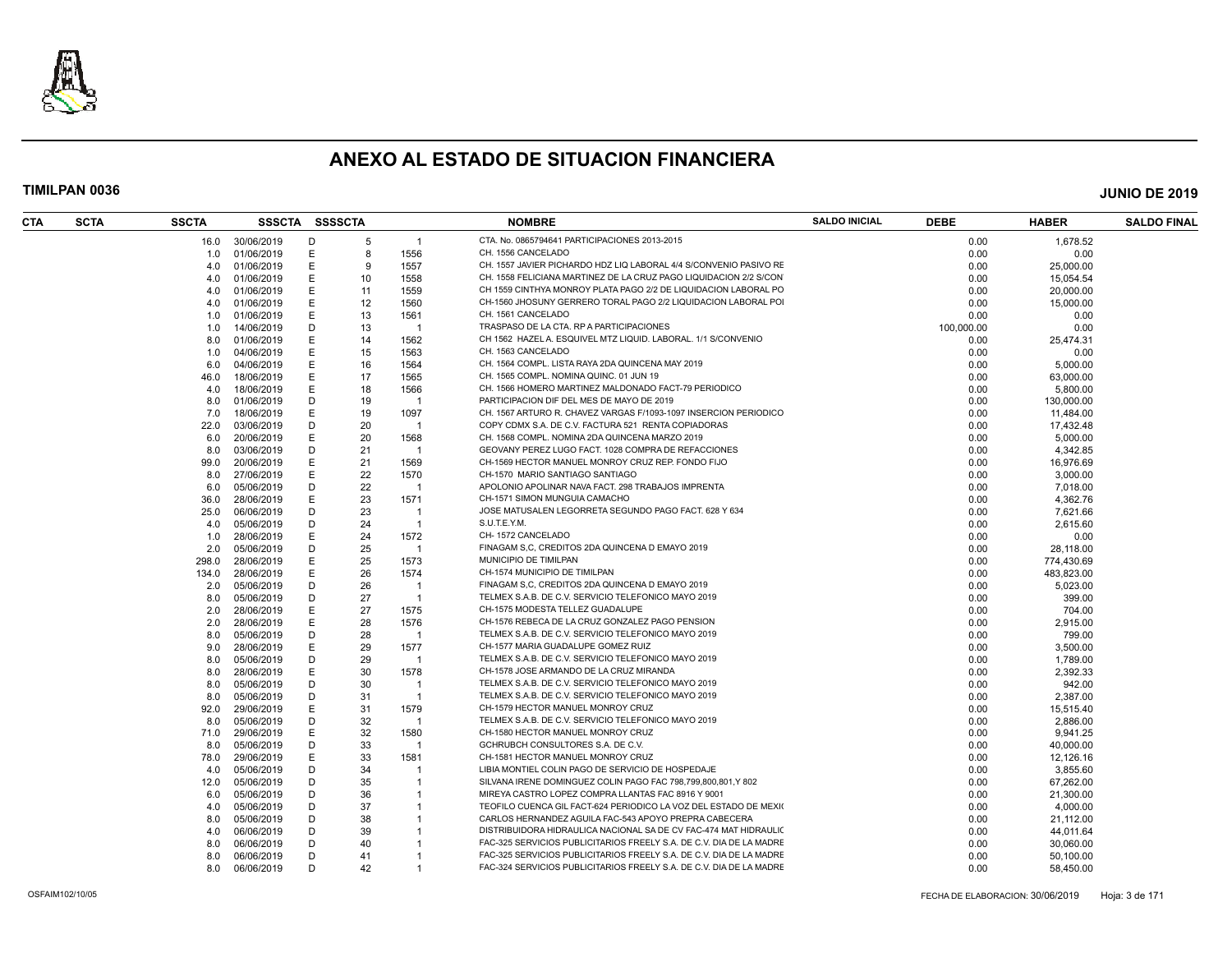

| CTA | <b>SCTA</b> | <b>SSCTA</b> | SSSCTA SSSSCTA |   |    |                | <b>NOMBRE</b>                                                       | <b>SALDO INICIAL</b> | <b>DEBE</b> | <b>HABER</b> | <b>SALDO FINAL</b> |
|-----|-------------|--------------|----------------|---|----|----------------|---------------------------------------------------------------------|----------------------|-------------|--------------|--------------------|
|     |             | 16.0         | 30/06/2019     | D | -5 | $\mathbf{1}$   | CTA. No. 0865794641 PARTICIPACIONES 2013-2015                       |                      | 0.00        | 1,678.52     |                    |
|     |             | 1.0          | 01/06/2019     | Ε | 8  | 1556           | CH. 1556 CANCELADO                                                  |                      | 0.00        | 0.00         |                    |
|     |             | 4.0          | 01/06/2019     | Е | -9 | 1557           | CH. 1557 JAVIER PICHARDO HDZ LIQ LABORAL 4/4 S/CONVENIO PASIVO RE   |                      | 0.00        | 25,000.00    |                    |
|     |             | 4.0          | 01/06/2019     | Е | 10 | 1558           | CH. 1558 FELICIANA MARTINEZ DE LA CRUZ PAGO LIQUIDACION 2/2 S/CON   |                      | 0.00        | 15,054.54    |                    |
|     |             | 4.0          | 01/06/2019     |   | 11 | 1559           | CH 1559 CINTHYA MONROY PLATA PAGO 2/2 DE LIQUIDACION LABORAL PO     |                      | 0.00        | 20,000.00    |                    |
|     |             | 4.0          | 01/06/2019     | Е | 12 | 1560           | CH-1560 JHOSUNY GERRERO TORAL PAGO 2/2 LIQUIDACION LABORAL PO       |                      | 0.00        | 15,000.00    |                    |
|     |             | 1.0          | 01/06/2019     | E | 13 | 1561           | CH. 1561 CANCELADO                                                  |                      | 0.00        | 0.00         |                    |
|     |             | 1.0          | 14/06/2019     | D | 13 | -1             | TRASPASO DE LA CTA. RP A PARTICIPACIONES                            |                      | 100,000.00  | 0.00         |                    |
|     |             | 8.0          | 01/06/2019     | Е | 14 | 1562           | CH 1562 HAZEL A. ESQUIVEL MTZ LIQUID. LABORAL. 1/1 S/CONVENIO       |                      | 0.00        | 25,474.31    |                    |
|     |             | 1.0          | 04/06/2019     |   | 15 | 1563           | CH. 1563 CANCELADO                                                  |                      | 0.00        | 0.00         |                    |
|     |             | 6.0          | 04/06/2019     | Ε | 16 | 1564           | CH. 1564 COMPL. LISTA RAYA 2DA QUINCENA MAY 2019                    |                      | 0.00        | 5,000.00     |                    |
|     |             | 46.0         | 18/06/2019     | F | 17 | 1565           | CH. 1565 COMPL. NOMINA QUINC. 01 JUN 19                             |                      | 0.00        | 63,000.00    |                    |
|     |             | 4.0          | 18/06/2019     | Е | 18 | 1566           | CH. 1566 HOMERO MARTINEZ MALDONADO FACT-79 PERIODICO                |                      | 0.00        | 5,800.00     |                    |
|     |             | 8.0          | 01/06/2019     | D | 19 | -1             | PARTICIPACION DIF DEL MES DE MAYO DE 2019                           |                      | 0.00        | 130,000.00   |                    |
|     |             | 7.0          | 18/06/2019     | Е | 19 | 1097           | CH. 1567 ARTURO R. CHAVEZ VARGAS F/1093-1097 INSERCION PERIODICO    |                      | 0.00        | 11,484.00    |                    |
|     |             | 22.0         | 03/06/2019     | D | 20 | $\overline{1}$ | COPY CDMX S.A. DE C.V. FACTURA 521 RENTA COPIADORAS                 |                      | 0.00        | 17,432.48    |                    |
|     |             | 6.0          | 20/06/2019     | Е | 20 | 1568           | CH. 1568 COMPL. NOMINA 2DA QUINCENA MARZO 2019                      |                      | 0.00        | 5,000.00     |                    |
|     |             | 8.0          | 03/06/2019     | D | 21 | $\overline{1}$ | GEOVANY PEREZ LUGO FACT. 1028 COMPRA DE REFACCIONES                 |                      | 0.00        | 4,342.85     |                    |
|     |             |              | 20/06/2019     | Ε | 21 | 1569           | CH-1569 HECTOR MANUEL MONROY CRUZ REP. FONDO FIJO                   |                      | 0.00        |              |                    |
|     |             | 99.0         |                |   |    |                | CH-1570 MARIO SANTIAGO SANTIAGO                                     |                      |             | 16,976.69    |                    |
|     |             | 8.0          | 27/06/2019     | Е | 22 | 1570           |                                                                     |                      | 0.00        | 3,000.00     |                    |
|     |             | 6.0          | 05/06/2019     | D | 22 | $\overline{1}$ | APOLONIO APOLINAR NAVA FACT. 298 TRABAJOS IMPRENTA                  |                      | 0.00        | 7,018.00     |                    |
|     |             | 36.0         | 28/06/2019     | E | 23 | 1571           | CH-1571 SIMON MUNGUIA CAMACHO                                       |                      | 0.00        | 4,362.76     |                    |
|     |             | 25.0         | 06/06/2019     | D | 23 | $\overline{1}$ | JOSE MATUSALEN LEGORRETA SEGUNDO PAGO FACT. 628 Y 634               |                      | 0.00        | 7,621.66     |                    |
|     |             | 4.0          | 05/06/2019     | D | 24 | $\mathbf{1}$   | S.U.T.E.Y.M.                                                        |                      | 0.00        | 2,615.60     |                    |
|     |             | 1.0          | 28/06/2019     | Е | 24 | 1572           | CH-1572 CANCELADO                                                   |                      | 0.00        | 0.00         |                    |
|     |             | 2.0          | 05/06/2019     | D | 25 | -1             | FINAGAM S.C. CREDITOS 2DA QUINCENA D EMAYO 2019                     |                      | 0.00        | 28,118.00    |                    |
|     |             | 298.0        | 28/06/2019     | Е | 25 | 1573           | MUNICIPIO DE TIMILPAN                                               |                      | 0.00        | 774,430.69   |                    |
|     |             | 134.0        | 28/06/2019     | Е | 26 | 1574           | CH-1574 MUNICIPIO DE TIMILPAN                                       |                      | 0.00        | 483.823.00   |                    |
|     |             | 2.0          | 05/06/2019     | D | 26 | $\overline{1}$ | FINAGAM S.C. CREDITOS 2DA QUINCENA D EMAYO 2019                     |                      | 0.00        | 5,023.00     |                    |
|     |             | 8.0          | 05/06/2019     | D | 27 | $\overline{1}$ | TELMEX S.A.B. DE C.V. SERVICIO TELEFONICO MAYO 2019                 |                      | 0.00        | 399.00       |                    |
|     |             | 2.0          | 28/06/2019     |   | 27 | 1575           | CH-1575 MODESTA TELLEZ GUADALUPE                                    |                      | 0.00        | 704.00       |                    |
|     |             | 2.0          | 28/06/2019     | Е | 28 | 1576           | CH-1576 REBECA DE LA CRUZ GONZALEZ PAGO PENSION                     |                      | 0.00        | 2,915.00     |                    |
|     |             | 8.0          | 05/06/2019     | D | 28 | $\overline{1}$ | TELMEX S.A.B. DE C.V. SERVICIO TELEFONICO MAYO 2019                 |                      | 0.00        | 799.00       |                    |
|     |             | 9.0          | 28/06/2019     | Е | 29 | 1577           | CH-1577 MARIA GUADALUPE GOMEZ RUIZ                                  |                      | 0.00        | 3,500.00     |                    |
|     |             | 8.0          | 05/06/2019     | D | 29 | $\overline{1}$ | TELMEX S.A.B. DE C.V. SERVICIO TELEFONICO MAYO 2019                 |                      | 0.00        | 1,789.00     |                    |
|     |             | 8.0          | 28/06/2019     | E | 30 | 1578           | CH-1578 JOSE ARMANDO DE LA CRUZ MIRANDA                             |                      | 0.00        | 2,392.33     |                    |
|     |             | 8.0          | 05/06/2019     | D | 30 | -1             | TELMEX S.A.B. DE C.V. SERVICIO TELEFONICO MAYO 2019                 |                      | 0.00        | 942.00       |                    |
|     |             | 8.0          | 05/06/2019     | D | 31 | $\overline{1}$ | TELMEX S.A.B. DE C.V. SERVICIO TELEFONICO MAYO 2019                 |                      | 0.00        | 2,387.00     |                    |
|     |             | 92.0         | 29/06/2019     |   | 31 | 1579           | CH-1579 HECTOR MANUEL MONROY CRUZ                                   |                      | 0.00        | 15,515.40    |                    |
|     |             | 8.0          | 05/06/2019     | D | 32 | -1             | TELMEX S.A.B. DE C.V. SERVICIO TELEFONICO MAYO 2019                 |                      | 0.00        | 2,886.00     |                    |
|     |             | 71.0         | 29/06/2019     | Е | 32 | 1580           | CH-1580 HECTOR MANUEL MONROY CRUZ                                   |                      | 0.00        | 9,941.25     |                    |
|     |             | 8.0          | 05/06/2019     | D | 33 | -1             | GCHRUBCH CONSULTORES S.A. DE C.V.                                   |                      | 0.00        | 40,000.00    |                    |
|     |             | 78.0         | 29/06/2019     | Е | 33 | 1581           | CH-1581 HECTOR MANUEL MONROY CRUZ                                   |                      | 0.00        | 12,126.16    |                    |
|     |             | 4.0          | 05/06/2019     | D | 34 | -1             | LIBIA MONTIEL COLIN PAGO DE SERVICIO DE HOSPEDAJE                   |                      | 0.00        | 3,855.60     |                    |
|     |             | 12.0         | 05/06/2019     | D | 35 | $\mathbf{1}$   | SILVANA IRENE DOMINGUEZ COLIN PAGO FAC 798,799,800,801,Y 802        |                      | 0.00        | 67,262.00    |                    |
|     |             | 6.0          | 05/06/2019     | D | 36 | $\overline{1}$ | MIREYA CASTRO LOPEZ COMPRA LLANTAS FAC 8916 Y 9001                  |                      | 0.00        | 21,300.00    |                    |
|     |             | 4.0          | 05/06/2019     | D | 37 |                | TEOFILO CUENCA GIL FACT-624 PERIODICO LA VOZ DEL ESTADO DE MEXIO    |                      | 0.00        | 4,000.00     |                    |
|     |             | 8.0          | 05/06/2019     | D | 38 | $\mathbf{1}$   | CARLOS HERNANDEZ AGUILA FAC-543 APOYO PREPRA CABECERA               |                      | 0.00        | 21,112.00    |                    |
|     |             | 4.0          | 06/06/2019     | D | 39 | $\mathbf{1}$   | DISTRIBUIDORA HIDRAULICA NACIONAL SA DE CV FAC-474 MAT HIDRAULIO    |                      | 0.00        | 44,011.64    |                    |
|     |             | 8.0          | 06/06/2019     | D | 40 |                | FAC-325 SERVICIOS PUBLICITARIOS FREELY S.A. DE C.V. DIA DE LA MADRE |                      | 0.00        | 30,060.00    |                    |
|     |             | 8.0          | 06/06/2019     | D | 41 | $\mathbf{1}$   | FAC-325 SERVICIOS PUBLICITARIOS FREELY S.A. DE C.V. DIA DE LA MADRE |                      | 0.00        | 50,100.00    |                    |
|     |             | 8.0          | 06/06/2019     | D | 42 |                | FAC-324 SERVICIOS PUBLICITARIOS FREELY S.A. DE C.V. DIA DE LA MADRE |                      | 0.00        | 58,450.00    |                    |
|     |             |              |                |   |    |                |                                                                     |                      |             |              |                    |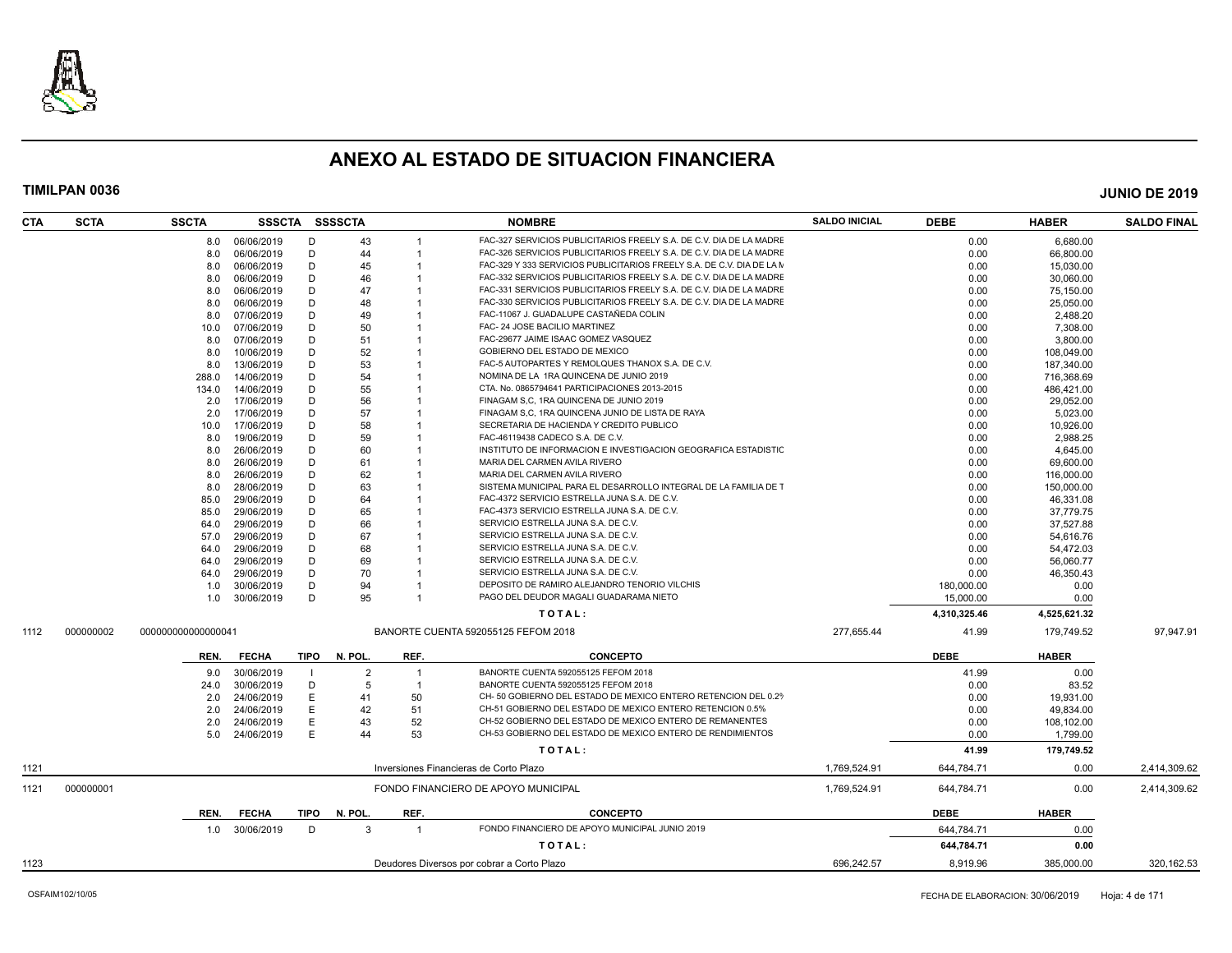

| <b>CTA</b> | <b>SCTA</b> | <b>SSCTA</b>       |                |      | SSSCTA SSSSCTA |                | <b>NOMBRE</b>                                                              | <b>SALDO INICIAL</b> | <b>DEBE</b>  | <b>HABER</b> | <b>SALDO FINAL</b> |
|------------|-------------|--------------------|----------------|------|----------------|----------------|----------------------------------------------------------------------------|----------------------|--------------|--------------|--------------------|
|            |             | 8.0                | 06/06/2019     | Ð    | 43             |                | FAC-327 SERVICIOS PUBLICITARIOS FREELY S.A. DE C.V. DIA DE LA MADRE        |                      | 0.00         | 6,680.00     |                    |
|            |             | 8.0                | 06/06/2019     | D    | 44             | $\overline{1}$ | FAC-326 SERVICIOS PUBLICITARIOS FREELY S.A. DE C.V. DIA DE LA MADRE        |                      | 0.00         | 66,800.00    |                    |
|            |             | 8.0                | 06/06/2019     | D    | 45             |                | FAC-329 Y 333 SERVICIOS PUBLICITARIOS FREELY S.A. DE C.V. DIA DE LA M      |                      | 0.00         | 15,030.00    |                    |
|            |             | 8.0                | 06/06/2019     | D    | 46             | -1             | FAC-332 SERVICIOS PUBLICITARIOS FREELY S.A. DE C.V. DIA DE LA MADRE        |                      | 0.00         | 30,060.00    |                    |
|            |             | 8.0                | 06/06/2019     | D    | 47             |                | FAC-331 SERVICIOS PUBLICITARIOS FREELY S.A. DE C.V. DIA DE LA MADRE        |                      | 0.00         | 75,150.00    |                    |
|            |             | 8.0                | 06/06/2019     | D    | 48             |                | FAC-330 SERVICIOS PUBLICITARIOS FREELY S.A. DE C.V. DIA DE LA MADRE        |                      | 0.00         | 25,050.00    |                    |
|            |             | 8.0                | 07/06/2019     | D    | 49             |                | FAC-11067 J. GUADALUPE CASTAÑEDA COLIN                                     |                      | 0.00         | 2,488.20     |                    |
|            |             | 10.0               | 07/06/2019     | D    | 50             |                | FAC- 24 JOSE BACILIO MARTINEZ                                              |                      | 0.00         | 7,308.00     |                    |
|            |             | 8.0                | 07/06/2019     | D    | 51             |                | FAC-29677 JAIME ISAAC GOMEZ VASQUEZ                                        |                      | 0.00         | 3,800.00     |                    |
|            |             | 8.0                | 10/06/2019     | D    | 52             |                | GOBIERNO DEL ESTADO DE MEXICO                                              |                      | 0.00         | 108,049.00   |                    |
|            |             | 8.0                | 13/06/2019     | D    | 53             |                | FAC-5 AUTOPARTES Y REMOLQUES THANOX S.A. DE C.V.                           |                      | 0.00         | 187,340.00   |                    |
|            |             | 288.0              | 14/06/2019     | D    | 54             |                | NOMINA DE LA 1RA QUINCENA DE JUNIO 2019                                    |                      | 0.00         | 716,368.69   |                    |
|            |             | 134.0              | 14/06/2019     | D    | 55             |                | CTA. No. 0865794641 PARTICIPACIONES 2013-2015                              |                      | 0.00         | 486,421.00   |                    |
|            |             | 2.0                | 17/06/2019     | D    | 56             |                | FINAGAM S.C. 1RA QUINCENA DE JUNIO 2019                                    |                      | 0.00         | 29.052.00    |                    |
|            |             | 2.0                | 17/06/2019     | D    | 57             |                | FINAGAM S,C, 1RA QUINCENA JUNIO DE LISTA DE RAYA                           |                      | 0.00         | 5,023.00     |                    |
|            |             | 10.0               | 17/06/2019     | D    | 58             |                | SECRETARIA DE HACIENDA Y CREDITO PUBLICO                                   |                      | 0.00         | 10,926.00    |                    |
|            |             | 8.0                | 19/06/2019     | D    | 59             |                | FAC-46119438 CADECO S.A. DE C.V.                                           |                      | 0.00         | 2,988.25     |                    |
|            |             | 8.0                | 26/06/2019     | D    | 60             |                | INSTITUTO DE INFORMACION E INVESTIGACION GEOGRAFICA ESTADISTIO             |                      | 0.00         | 4,645.00     |                    |
|            |             | 8.0                | 26/06/2019     | D    | 61             |                | MARIA DEL CARMEN AVILA RIVERO                                              |                      | 0.00         | 69,600.00    |                    |
|            |             | 8.0                | 26/06/2019     | D    | 62             |                | MARIA DEL CARMEN AVILA RIVERO                                              |                      | 0.00         | 116,000.00   |                    |
|            |             | 8.0                | 28/06/2019     | D    | 63             |                | SISTEMA MUNICIPAL PARA EL DESARROLLO INTEGRAL DE LA FAMILIA DE T           |                      | 0.00         | 150,000.00   |                    |
|            |             | 85.0               | 29/06/2019     | D    | 64             |                | FAC-4372 SERVICIO ESTRELLA JUNA S.A. DE C.V.                               |                      | 0.00         | 46,331.08    |                    |
|            |             | 85.0               | 29/06/2019     | D    | 65             |                | FAC-4373 SERVICIO ESTRELLA JUNA S.A. DE C.V.                               |                      | 0.00         | 37,779.75    |                    |
|            |             |                    | 29/06/2019     | D    | 66             |                | SERVICIO ESTRELLA JUNA S.A. DE C.V.                                        |                      | 0.00         |              |                    |
|            |             | 64.0               |                | D    | 67             |                | SERVICIO ESTRELLA JUNA S.A. DE C.V.                                        |                      |              | 37,527.88    |                    |
|            |             | 57.0               | 29/06/2019     | D    |                |                |                                                                            |                      | 0.00         | 54,616.76    |                    |
|            |             | 64.0               | 29/06/2019     |      | 68             |                | SERVICIO ESTRELLA JUNA S.A. DE C.V.<br>SERVICIO ESTRELLA JUNA S.A. DE C.V. |                      | 0.00         | 54,472.03    |                    |
|            |             | 64.0               | 29/06/2019     | D    | 69             | $\overline{1}$ |                                                                            |                      | 0.00         | 56,060.77    |                    |
|            |             | 64.0               | 29/06/2019     | D    | 70             |                | SERVICIO ESTRELLA JUNA S.A. DE C.V.                                        |                      | 0.00         | 46,350.43    |                    |
|            |             | 1.0                | 30/06/2019     | D    | 94             |                | DEPOSITO DE RAMIRO ALEJANDRO TENORIO VILCHIS                               |                      | 180,000.00   | 0.00         |                    |
|            |             | 1.0                | 30/06/2019     | D    | 95             |                | PAGO DEL DEUDOR MAGALI GUADARAMA NIETO                                     |                      | 15,000.00    | 0.00         |                    |
|            |             |                    |                |      |                |                | TOTAL:                                                                     |                      | 4,310,325.46 | 4,525,621.32 |                    |
| 1112       | 000000002   | 000000000000000041 |                |      |                |                | BANORTE CUENTA 592055125 FEFOM 2018                                        | 277,655.44           | 41.99        | 179,749.52   | 97,947.91          |
|            |             | REN.               | <b>FECHA</b>   | TIPO | N. POL.        | REF.           | <b>CONCEPTO</b>                                                            |                      | <b>DEBE</b>  | <b>HABER</b> |                    |
|            |             | 9.0                | 30/06/2019     |      | $\overline{2}$ |                | BANORTE CUENTA 592055125 FEFOM 2018                                        |                      | 41.99        | 0.00         |                    |
|            |             | 24.0               | 30/06/2019     | D    | -5             | $\overline{1}$ | BANORTE CUENTA 592055125 FEFOM 2018                                        |                      | 0.00         | 83.52        |                    |
|            |             | 2.0                | 24/06/2019     | E    | 41             | 50             | CH- 50 GOBIERNO DEL ESTADO DE MEXICO ENTERO RETENCION DEL 0.29             |                      | 0.00         | 19,931.00    |                    |
|            |             | 2.0                | 24/06/2019     | Ε    | 42             | 51             | CH-51 GOBIERNO DEL ESTADO DE MEXICO ENTERO RETENCION 0.5%                  |                      | 0.00         | 49,834.00    |                    |
|            |             | 2.0                | 24/06/2019     | E    | 43             | 52             | CH-52 GOBIERNO DEL ESTADO DE MEXICO ENTERO DE REMANENTES                   |                      | 0.00         | 108,102.00   |                    |
|            |             | 5.0                | 24/06/2019     | F    | 44             | 53             | CH-53 GOBIERNO DEL ESTADO DE MEXICO ENTERO DE RENDIMIENTOS                 |                      | 0.00         | 1,799.00     |                    |
|            |             |                    |                |      |                |                | TOTAL:                                                                     |                      | 41.99        | 179,749.52   |                    |
| 1121       |             |                    |                |      |                |                | Inversiones Financieras de Corto Plazo                                     | 1,769,524.91         | 644,784.71   | 0.00         | 2,414,309.62       |
| 1121       | 000000001   |                    |                |      |                |                | FONDO FINANCIERO DE APOYO MUNICIPAL                                        | 1,769,524.91         | 644,784.71   | 0.00         | 2,414,309.62       |
|            |             |                    |                |      |                |                |                                                                            |                      |              |              |                    |
|            |             | REN.               | <b>FECHA</b>   | TIPO | N. POL.        | REF.           | <b>CONCEPTO</b>                                                            |                      | <b>DEBE</b>  | <b>HABER</b> |                    |
|            |             |                    | 1.0 30/06/2019 | D    | 3              | $\overline{1}$ | FONDO FINANCIERO DE APOYO MUNICIPAL JUNIO 2019                             |                      | 644,784.71   | 0.00         |                    |
|            |             |                    |                |      |                |                | TOTAL:                                                                     |                      | 644,784.71   | 0.00         |                    |
| 1123       |             |                    |                |      |                |                | Deudores Diversos por cobrar a Corto Plazo                                 | 696.242.57           | 8.919.96     | 385.000.00   | 320.162.53         |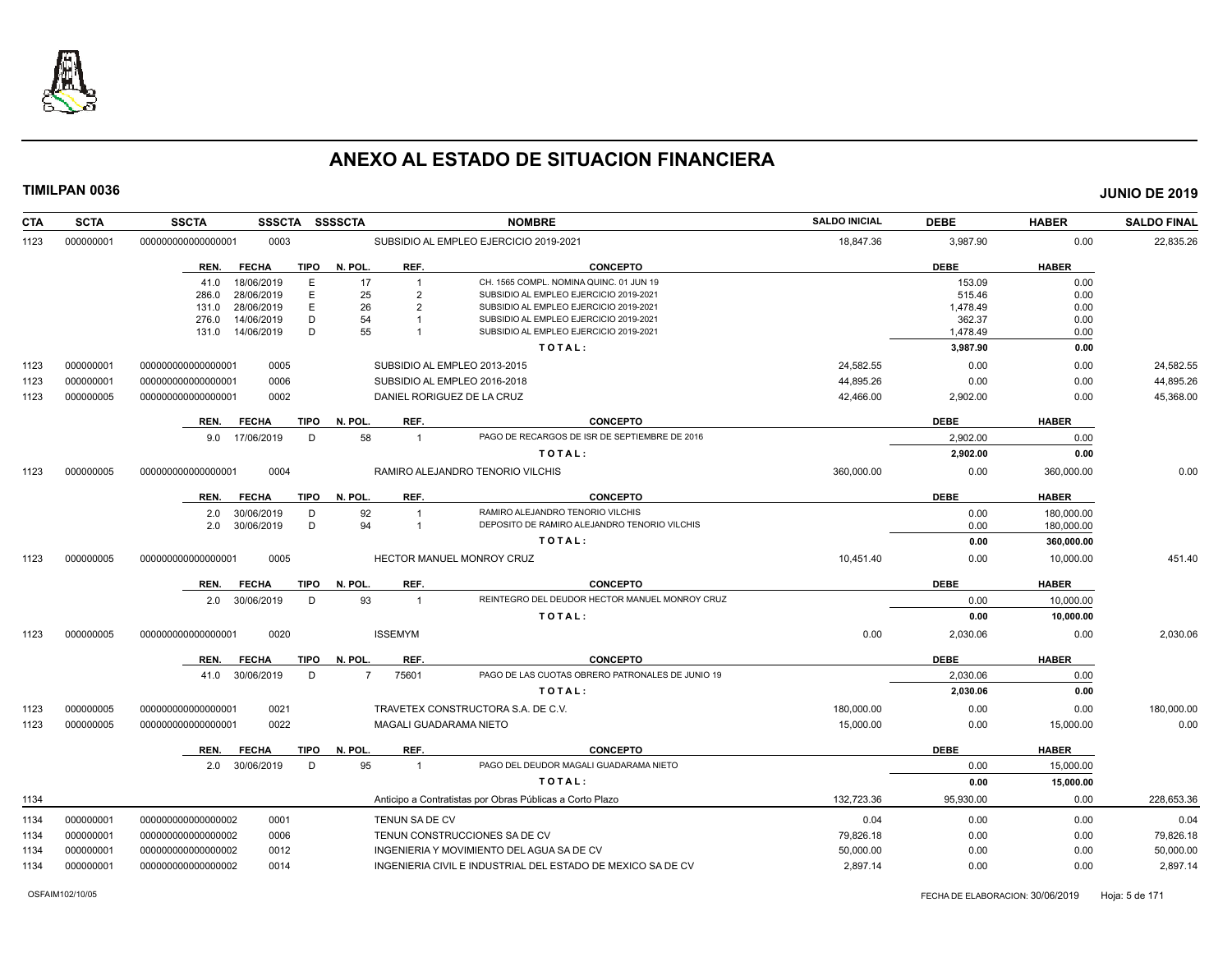

| <b>CTA</b> | <b>SCTA</b>            | <b>SSCTA</b><br><b>SSSCTA</b>                        | <b>SSSSCTA</b>             | <b>NOMBRE</b>                                                                    | <b>SALDO INICIAL</b> | <b>DEBE</b>        | <b>HABER</b> | <b>SALDO FINAL</b> |
|------------|------------------------|------------------------------------------------------|----------------------------|----------------------------------------------------------------------------------|----------------------|--------------------|--------------|--------------------|
| 1123       | 000000001              | 00000000000000001<br>0003                            |                            | SUBSIDIO AL EMPLEO EJERCICIO 2019-2021                                           | 18,847.36            | 3,987.90           | 0.00         | 22,835.26          |
|            |                        | REN.<br><b>FECHA</b><br>TIPO                         | N. POL.<br>REF.            | <b>CONCEPTO</b>                                                                  |                      | <b>DEBE</b>        | <b>HABER</b> |                    |
|            |                        | 18/06/2019<br>E.<br>41.0                             | 17<br>$\overline{1}$       | CH. 1565 COMPL. NOMINA QUINC. 01 JUN 19                                          |                      | 153.09             | 0.00         |                    |
|            |                        | E<br>286.0<br>28/06/2019                             | 25<br>$\overline{2}$       | SUBSIDIO AL EMPLEO EJERCICIO 2019-2021                                           |                      | 515.46             | 0.00         |                    |
|            |                        | E<br>28/06/2019<br>131.0<br>14/06/2019<br>D<br>276.0 | 26<br>$\overline{2}$<br>54 | SUBSIDIO AL EMPLEO EJERCICIO 2019-2021<br>SUBSIDIO AL EMPLEO EJERCICIO 2019-2021 |                      | 1,478.49<br>362.37 | 0.00<br>0.00 |                    |
|            |                        | D<br>14/06/2019<br>131.0                             | 55                         | SUBSIDIO AL EMPLEO EJERCICIO 2019-2021                                           |                      | 1,478.49           | 0.00         |                    |
|            |                        |                                                      |                            | TOTAL:                                                                           |                      | 3,987.90           | 0.00         |                    |
| 1123       | 000000001              | 000000000000000001<br>0005                           |                            | SUBSIDIO AL EMPLEO 2013-2015                                                     | 24,582.55            | 0.00               | 0.00         | 24,582.55          |
| 1123       | 000000001              | 0006<br>000000000000000001                           |                            | SUBSIDIO AL EMPLEO 2016-2018                                                     | 44,895.26            | 0.00               | 0.00         | 44,895.26          |
| 1123       | 000000005              | 0002<br>000000000000000001                           | DANIEL RORIGUEZ DE LA CRUZ |                                                                                  | 42,466.00            | 2,902.00           | 0.00         | 45,368.00          |
|            |                        |                                                      |                            |                                                                                  |                      |                    |              |                    |
|            |                        | <b>FECHA</b><br>TIPO<br>REN.                         | N. POL.<br>REF.            | <b>CONCEPTO</b>                                                                  |                      | <b>DEBE</b>        | <b>HABER</b> |                    |
|            |                        | 9.0 17/06/2019<br>D                                  | 58<br>$\overline{1}$       | PAGO DE RECARGOS DE ISR DE SEPTIEMBRE DE 2016                                    |                      | 2,902.00           | 0.00         |                    |
|            |                        |                                                      |                            | TOTAL:                                                                           |                      | 2,902.00           | 0.00         |                    |
| 1123       | 000000005              | 000000000000000001<br>0004                           |                            | RAMIRO ALEJANDRO TENORIO VILCHIS                                                 | 360,000.00           | 0.00               | 360,000.00   | 0.00               |
|            |                        | <b>TIPO</b><br>REN.<br><b>FECHA</b>                  | N. POL.<br>REF.            | <b>CONCEPTO</b>                                                                  |                      | <b>DEBE</b>        | <b>HABER</b> |                    |
|            |                        | 30/06/2019<br>D<br>2.0                               | 92<br>$\overline{1}$       | RAMIRO ALEJANDRO TENORIO VILCHIS                                                 |                      | 0.00               | 180,000.00   |                    |
|            |                        | 30/06/2019<br>D<br>2.0                               | 94<br>$\overline{1}$       | DEPOSITO DE RAMIRO ALEJANDRO TENORIO VILCHIS                                     |                      | 0.00               | 180,000.00   |                    |
|            |                        |                                                      |                            | TOTAL:                                                                           |                      | 0.00               | 360,000.00   |                    |
| 1123       | 000000005              | 0005<br>000000000000000001                           |                            | HECTOR MANUEL MONROY CRUZ                                                        | 10.451.40            | 0.00               | 10.000.00    | 451.40             |
|            |                        | <b>FECHA</b><br>TIPO<br>REN.                         | N. POL.<br>REF.            | <b>CONCEPTO</b>                                                                  |                      | <b>DEBE</b>        | <b>HABER</b> |                    |
|            |                        | 30/06/2019<br>D<br>2.0                               | 93<br>$\overline{1}$       | REINTEGRO DEL DEUDOR HECTOR MANUEL MONROY CRUZ                                   |                      | 0.00               | 10,000.00    |                    |
|            |                        |                                                      |                            | TOTAL:                                                                           |                      | 0.00               | 10,000.00    |                    |
| 1123       | 000000005              | 0020<br>000000000000000001                           | <b>ISSEMYM</b>             |                                                                                  | 0.00                 | 2,030.06           | 0.00         | 2,030.06           |
|            |                        | REN.<br><b>FECHA</b><br>TIPO                         | N. POL.<br>REF.            | <b>CONCEPTO</b>                                                                  |                      | <b>DEBE</b>        | <b>HABER</b> |                    |
|            |                        | 41.0 30/06/2019<br>D                                 | 75601<br>$\overline{7}$    | PAGO DE LAS CUOTAS OBRERO PATRONALES DE JUNIO 19                                 |                      | 2,030.06           | 0.00         |                    |
|            |                        |                                                      |                            | TOTAL:                                                                           |                      | 2,030.06           | 0.00         |                    |
| 1123       | 000000005              | 0021<br>000000000000000001                           |                            | TRAVETEX CONSTRUCTORA S.A. DE C.V.                                               | 180,000.00           | 0.00               | 0.00         | 180,000.00         |
| 1123       | 000000005              | 000000000000000001<br>0022                           | MAGALI GUADARAMA NIETO     |                                                                                  | 15,000.00            | 0.00               | 15,000.00    | 0.00               |
|            |                        | REN.<br><b>FECHA</b><br>TIPO                         | N. POL.<br>REF.            | <b>CONCEPTO</b>                                                                  |                      | <b>DEBE</b>        | <b>HABER</b> |                    |
|            |                        | 2.0 30/06/2019<br>D                                  | 95<br>$\overline{1}$       | PAGO DEL DEUDOR MAGALI GUADARAMA NIETO                                           |                      | 0.00               | 15,000.00    |                    |
|            |                        |                                                      |                            | TOTAL:                                                                           |                      | 0.00               | 15,000.00    |                    |
|            |                        |                                                      |                            | Anticipo a Contratistas por Obras Públicas a Corto Plazo                         | 132,723.36           | 95,930.00          | 0.00         | 228,653.36         |
| 1134       |                        |                                                      |                            |                                                                                  |                      |                    |              |                    |
| 1134       | 000000001              | 0001<br>000000000000000002                           | TENUN SA DE CV             |                                                                                  | 0.04                 | 0.00               | 0.00         | 0.04               |
| 1134       | 000000001<br>000000001 | 0006<br>000000000000000002                           |                            | TENUN CONSTRUCCIONES SA DE CV                                                    | 79,826.18            | 0.00<br>0.00       | 0.00         | 79,826.18          |
| 1134       |                        | 000000000000000002<br>0012                           |                            | INGENIERIA Y MOVIMIENTO DEL AGUA SA DE CV                                        | 50,000.00            |                    | 0.00         | 50,000.00          |
| 1134       | 000000001              | 000000000000000002<br>0014                           |                            | INGENIERIA CIVIL E INDUSTRIAL DEL ESTADO DE MEXICO SA DE CV                      | 2.897.14             | 0.00               | 0.00         | 2,897.14           |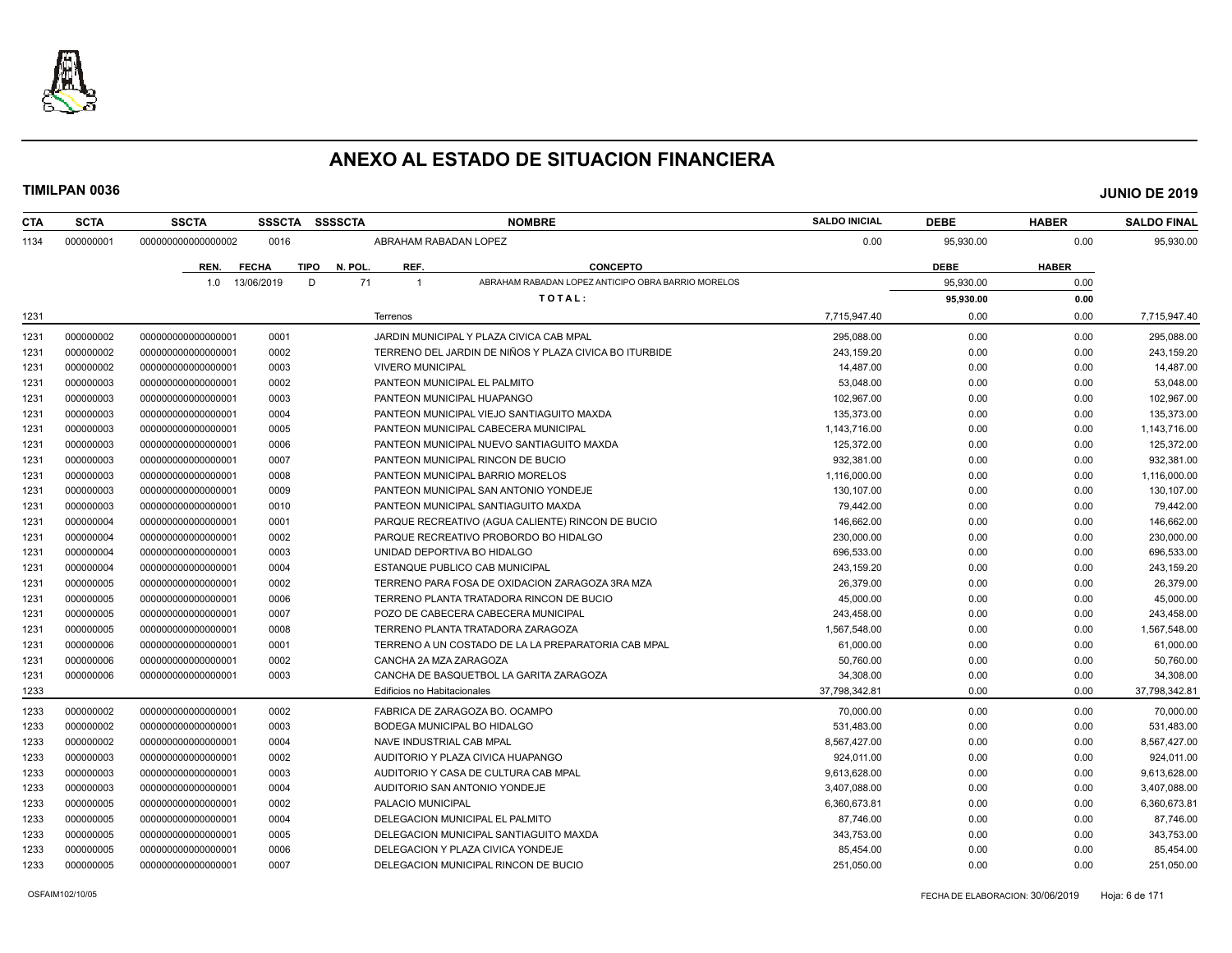

| CTA  | <b>SCTA</b> | <b>SSCTA</b>       | <b>SSSCTA</b> | <b>SSSSCTA</b>        |                             | <b>NOMBRE</b>                                          | <b>SALDO INICIAL</b> | <b>DEBE</b> | <b>HABER</b> | <b>SALDO FINAL</b> |
|------|-------------|--------------------|---------------|-----------------------|-----------------------------|--------------------------------------------------------|----------------------|-------------|--------------|--------------------|
| 1134 | 000000001   | 000000000000000002 | 0016          |                       |                             | ABRAHAM RABADAN LOPEZ                                  | 0.00                 | 95,930.00   | 0.00         | 95,930.00          |
|      |             | REN.               | <b>FECHA</b>  | <b>TIPO</b><br>N. POL | REF.                        | <b>CONCEPTO</b>                                        |                      | <b>DEBE</b> | <b>HABER</b> |                    |
|      |             | 1.0                | 13/06/2019    | D<br>71               | $\overline{1}$              | ABRAHAM RABADAN LOPEZ ANTICIPO OBRA BARRIO MORELOS     |                      | 95,930.00   | 0.00         |                    |
|      |             |                    |               |                       |                             | TOTAL:                                                 |                      | 95,930.00   | 0.00         |                    |
| 1231 |             |                    |               |                       | Terrenos                    |                                                        | 7,715,947.40         | 0.00        | 0.00         | 7,715,947.40       |
| 1231 | 000000002   | 00000000000000001  | 0001          |                       |                             | JARDIN MUNICIPAL Y PLAZA CIVICA CAB MPAL               | 295,088.00           | 0.00        | 0.00         | 295,088.00         |
| 1231 | 000000002   | 00000000000000001  | 0002          |                       |                             | TERRENO DEL JARDIN DE NIÑOS Y PLAZA CIVICA BO ITURBIDE | 243,159.20           | 0.00        | 0.00         | 243,159.20         |
| 1231 | 000000002   | 00000000000000001  | 0003          |                       | <b>VIVERO MUNICIPAL</b>     |                                                        | 14,487.00            | 0.00        | 0.00         | 14,487.00          |
| 1231 | 000000003   | 00000000000000001  | 0002          |                       |                             | PANTEON MUNICIPAL EL PALMITO                           | 53,048.00            | 0.00        | 0.00         | 53,048.00          |
| 1231 | 000000003   | 00000000000000001  | 0003          |                       |                             | PANTEON MUNICIPAL HUAPANGO                             | 102,967.00           | 0.00        | 0.00         | 102,967.00         |
| 1231 | 000000003   | 00000000000000001  | 0004          |                       |                             | PANTEON MUNICIPAL VIEJO SANTIAGUITO MAXDA              | 135.373.00           | 0.00        | 0.00         | 135,373.00         |
| 1231 | 000000003   | 00000000000000001  | 0005          |                       |                             | PANTEON MUNICIPAL CABECERA MUNICIPAL                   | 1,143,716.00         | 0.00        | 0.00         | 1,143,716.00       |
| 1231 | 000000003   | 00000000000000001  | 0006          |                       |                             | PANTEON MUNICIPAL NUEVO SANTIAGUITO MAXDA              | 125,372.00           | 0.00        | 0.00         | 125,372.00         |
| 1231 | 000000003   | 00000000000000001  | 0007          |                       |                             | PANTEON MUNICIPAL RINCON DE BUCIO                      | 932,381.00           | 0.00        | 0.00         | 932,381.00         |
| 1231 | 000000003   | 00000000000000001  | 0008          |                       |                             | PANTEON MUNICIPAL BARRIO MORELOS                       | 1,116,000.00         | 0.00        | 0.00         | 1,116,000.00       |
| 1231 | 000000003   | 00000000000000001  | 0009          |                       |                             | PANTEON MUNICIPAL SAN ANTONIO YONDEJE                  | 130,107.00           | 0.00        | 0.00         | 130,107.00         |
| 1231 | 000000003   | 00000000000000001  | 0010          |                       |                             | PANTEON MUNICIPAL SANTIAGUITO MAXDA                    | 79,442.00            | 0.00        | 0.00         | 79,442.00          |
| 1231 | 000000004   | 00000000000000001  | 0001          |                       |                             | PARQUE RECREATIVO (AGUA CALIENTE) RINCON DE BUCIO      | 146,662.00           | 0.00        | 0.00         | 146,662.00         |
| 1231 | 000000004   | 00000000000000001  | 0002          |                       |                             | PARQUE RECREATIVO PROBORDO BO HIDALGO                  | 230,000.00           | 0.00        | 0.00         | 230,000.00         |
| 1231 | 000000004   | 00000000000000000  | 0003          |                       |                             | UNIDAD DEPORTIVA BO HIDALGO                            | 696,533.00           | 0.00        | 0.00         | 696,533.00         |
| 1231 | 000000004   | 00000000000000001  | 0004          |                       |                             | ESTANQUE PUBLICO CAB MUNICIPAL                         | 243,159.20           | 0.00        | 0.00         | 243,159.20         |
| 1231 | 000000005   | 00000000000000001  | 0002          |                       |                             | TERRENO PARA FOSA DE OXIDACION ZARAGOZA 3RA MZA        | 26,379.00            | 0.00        | 0.00         | 26,379.00          |
| 1231 | 000000005   | 00000000000000001  | 0006          |                       |                             | TERRENO PLANTA TRATADORA RINCON DE BUCIO               | 45.000.00            | 0.00        | 0.00         | 45,000.00          |
| 1231 | 000000005   | 00000000000000001  | 0007          |                       |                             | POZO DE CABECERA CABECERA MUNICIPAL                    | 243,458.00           | 0.00        | 0.00         | 243,458.00         |
| 1231 | 000000005   | 00000000000000001  | 0008          |                       |                             | TERRENO PLANTA TRATADORA ZARAGOZA                      | 1,567,548.00         | 0.00        | 0.00         | 1,567,548.00       |
| 1231 | 000000006   | 00000000000000001  | 0001          |                       |                             | TERRENO A UN COSTADO DE LA LA PREPARATORIA CAB MPAL    | 61,000.00            | 0.00        | 0.00         | 61,000.00          |
| 1231 | 000000006   | 00000000000000001  | 0002          |                       |                             | CANCHA 2A MZA ZARAGOZA                                 | 50,760.00            | 0.00        | 0.00         | 50,760.00          |
| 1231 | 000000006   | 00000000000000001  | 0003          |                       |                             | CANCHA DE BASQUETBOL LA GARITA ZARAGOZA                | 34,308.00            | 0.00        | 0.00         | 34,308.00          |
| 1233 |             |                    |               |                       | Edificios no Habitacionales |                                                        | 37,798,342.81        | 0.00        | 0.00         | 37,798,342.81      |
| 1233 | 000000002   | 00000000000000001  | 0002          |                       |                             | FABRICA DE ZARAGOZA BO. OCAMPO                         | 70,000.00            | 0.00        | 0.00         | 70,000.00          |
| 1233 | 000000002   | 00000000000000001  | 0003          |                       |                             | BODEGA MUNICIPAL BO HIDALGO                            | 531,483.00           | 0.00        | 0.00         | 531,483.00         |
| 1233 | 000000002   | 00000000000000001  | 0004          |                       |                             | NAVE INDUSTRIAL CAB MPAL                               | 8,567,427.00         | 0.00        | 0.00         | 8,567,427.00       |
| 1233 | 000000003   | 00000000000000001  | 0002          |                       |                             | AUDITORIO Y PLAZA CIVICA HUAPANGO                      | 924,011.00           | 0.00        | 0.00         | 924,011.00         |
| 1233 | 000000003   | 000000000000000001 | 0003          |                       |                             | AUDITORIO Y CASA DE CULTURA CAB MPAL                   | 9.613.628.00         | 0.00        | 0.00         | 9,613,628.00       |
| 1233 | 000000003   | 00000000000000001  | 0004          |                       |                             | AUDITORIO SAN ANTONIO YONDEJE                          | 3,407,088.00         | 0.00        | 0.00         | 3,407,088.00       |
| 1233 | 000000005   | 00000000000000001  | 0002          |                       | PALACIO MUNICIPAL           |                                                        | 6,360,673.81         | 0.00        | 0.00         | 6,360,673.81       |
| 1233 | 000000005   | 00000000000000001  | 0004          |                       |                             | DELEGACION MUNICIPAL EL PALMITO                        | 87,746.00            | 0.00        | 0.00         | 87,746.00          |
| 1233 | 000000005   | 00000000000000001  | 0005          |                       |                             | DELEGACION MUNICIPAL SANTIAGUITO MAXDA                 | 343,753.00           | 0.00        | 0.00         | 343,753.00         |
| 1233 | 000000005   | 00000000000000001  | 0006          |                       |                             | DELEGACION Y PLAZA CIVICA YONDEJE                      | 85,454.00            | 0.00        | 0.00         | 85,454.00          |
| 1233 | 000000005   | 00000000000000001  | 0007          |                       |                             | DELEGACION MUNICIPAL RINCON DE BUCIO                   | 251,050.00           | 0.00        | 0.00         | 251,050.00         |
|      |             |                    |               |                       |                             |                                                        |                      |             |              |                    |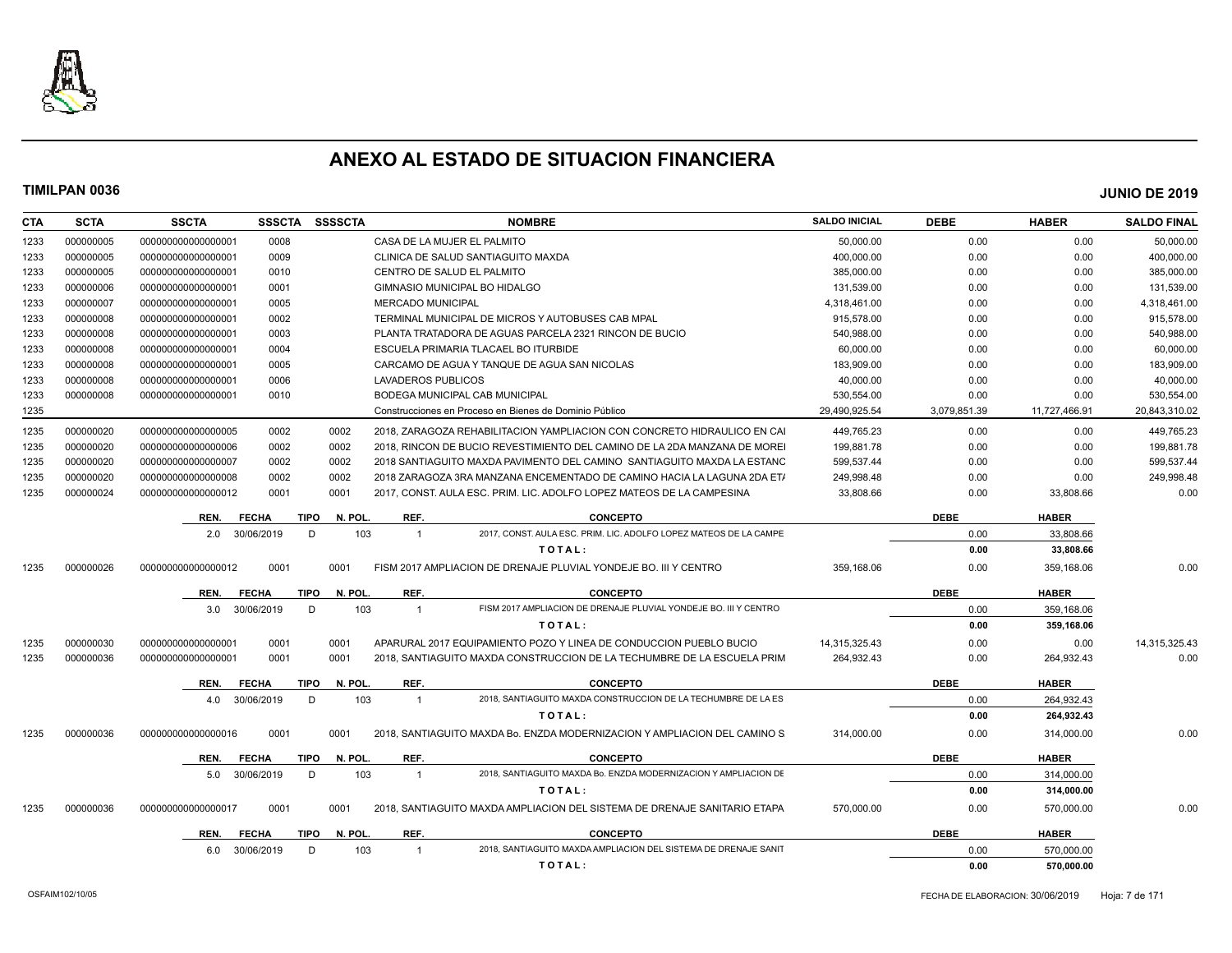

| <b>CTA</b> | <b>SCTA</b> | <b>SSCTA</b>       | <b>SSSCTA</b> | <b>SSSSCTA</b>         |                          | <b>NOMBRE</b>                                                                    | <b>SALDO INICIAL</b> | <b>DEBE</b>  | <b>HABER</b>  | <b>SALDO FINAL</b> |
|------------|-------------|--------------------|---------------|------------------------|--------------------------|----------------------------------------------------------------------------------|----------------------|--------------|---------------|--------------------|
| 1233       | 000000005   | 00000000000000001  | 0008          |                        |                          | CASA DE LA MUJER EL PALMITO                                                      | 50,000.00            | 0.00         | 0.00          | 50,000.00          |
| 1233       | 000000005   | 00000000000000001  | 0009          |                        |                          | CLINICA DE SALUD SANTIAGUITO MAXDA                                               | 400,000.00           | 0.00         | 0.00          | 400,000.00         |
| 1233       | 000000005   | 00000000000000001  | 0010          |                        |                          | CENTRO DE SALUD EL PALMITO                                                       | 385,000.00           | 0.00         | 0.00          | 385,000.00         |
| 1233       | 000000006   | 00000000000000001  | 0001          |                        |                          | GIMNASIO MUNICIPAL BO HIDALGO                                                    | 131,539.00           | 0.00         | 0.00          | 131,539.00         |
| 1233       | 000000007   | 00000000000000001  | 0005          |                        | <b>MERCADO MUNICIPAL</b> |                                                                                  | 4,318,461.00         | 0.00         | 0.00          | 4,318,461.00       |
| 1233       | 000000008   | 00000000000000001  | 0002          |                        |                          | TERMINAL MUNICIPAL DE MICROS Y AUTOBUSES CAB MPAL                                | 915,578.00           | 0.00         | 0.00          | 915,578.00         |
| 1233       | 000000008   | 00000000000000001  | 0003          |                        |                          | PLANTA TRATADORA DE AGUAS PARCELA 2321 RINCON DE BUCIO                           | 540.988.00           | 0.00         | 0.00          | 540.988.00         |
| 1233       | 000000008   | 00000000000000001  | 0004          |                        |                          | ESCUELA PRIMARIA TLACAEL BO ITURBIDE                                             | 60,000.00            | 0.00         | 0.00          | 60,000.00          |
| 1233       | 000000008   | 00000000000000001  | 0005          |                        |                          | CARCAMO DE AGUA Y TANQUE DE AGUA SAN NICOLAS                                     | 183.909.00           | 0.00         | 0.00          | 183,909.00         |
| 1233       | 000000008   | 00000000000000001  | 0006          |                        | LAVADEROS PUBLICOS       |                                                                                  | 40,000.00            | 0.00         | 0.00          | 40,000.00          |
| 1233       | 000000008   | 00000000000000001  | 0010          |                        |                          | BODEGA MUNICIPAL CAB MUNICIPAL                                                   | 530,554.00           | 0.00         | 0.00          | 530,554.00         |
| 1235       |             |                    |               |                        |                          | Construcciones en Proceso en Bienes de Dominio Público                           | 29,490,925.54        | 3,079,851.39 | 11,727,466.91 | 20,843,310.02      |
| 1235       | 000000020   | 000000000000000005 | 0002          | 0002                   |                          | 2018. ZARAGOZA REHABILITACION YAMPLIACION CON CONCRETO HIDRAULICO EN CAI         | 449,765.23           | 0.00         | 0.00          | 449,765.23         |
| 1235       | 000000020   | 000000000000000006 | 0002          | 0002                   |                          | 2018. RINCON DE BUCIO REVESTIMIENTO DEL CAMINO DE LA 2DA MANZANA DE MOREI        | 199,881.78           | 0.00         | 0.00          | 199,881.78         |
| 1235       | 000000020   | 00000000000000007  | 0002          | 0002                   |                          | 2018 SANTIAGUITO MAXDA PAVIMENTO DEL CAMINO SANTIAGUITO MAXDA LA ESTANC          | 599,537.44           | 0.00         | 0.00          | 599,537.44         |
| 1235       | 000000020   | 000000000000000008 | 0002          | 0002                   |                          | 2018 ZARAGOZA 3RA MANZANA ENCEMENTADO DE CAMINO HACIA LA LAGUNA 2DA ET/          | 249,998.48           | 0.00         | 0.00          | 249,998.48         |
| 1235       | 000000024   | 00000000000000012  | 0001          | 0001                   |                          | 2017, CONST. AULA ESC. PRIM. LIC. ADOLFO LOPEZ MATEOS DE LA CAMPESINA            | 33.808.66            | 0.00         | 33,808.66     | 0.00               |
|            |             | REN.               | <b>FECHA</b>  | <b>TIPO</b><br>N. POL. | REF.                     | <b>CONCEPTO</b>                                                                  |                      | <b>DEBE</b>  | <b>HABER</b>  |                    |
|            |             | 2.0                | 30/06/2019    | 103<br>D               | $\overline{1}$           | 2017, CONST. AULA ESC. PRIM. LIC. ADOLFO LOPEZ MATEOS DE LA CAMPE                |                      | 0.00         | 33,808.66     |                    |
|            |             |                    |               |                        |                          | TOTAL:                                                                           |                      | 0.00         | 33,808.66     |                    |
| 1235       | 000000026   | 00000000000000012  | 0001          | 0001                   |                          | FISM 2017 AMPLIACION DE DRENAJE PLUVIAL YONDEJE BO. III Y CENTRO                 | 359.168.06           | 0.00         | 359,168.06    | 0.00               |
|            |             | REN.               | <b>FECHA</b>  | <b>TIPO</b><br>N. POL. | REF.                     | <b>CONCEPTO</b>                                                                  |                      | <b>DEBE</b>  | <b>HABER</b>  |                    |
|            |             | 3.0                | 30/06/2019    | D<br>103               | $\mathbf{1}$             | FISM 2017 AMPLIACION DE DRENAJE PLUVIAL YONDEJE BO. III Y CENTRO                 |                      | 0.00         | 359,168.06    |                    |
|            |             |                    |               |                        |                          | TOTAL:                                                                           |                      | 0.00         | 359,168.06    |                    |
| 1235       | 000000030   | 00000000000000001  | 0001          | 0001                   |                          | APARURAL 2017 EQUIPAMIENTO POZO Y LINEA DE CONDUCCION PUEBLO BUCIO               | 14,315,325.43        | 0.00         | 0.00          | 14,315,325.43      |
| 1235       | 000000036   | 000000000000000001 | 0001          | 0001                   |                          | 2018, SANTIAGUITO MAXDA CONSTRUCCION DE LA TECHUMBRE DE LA ESCUELA PRIM          | 264,932.43           | 0.00         | 264,932.43    | 0.00               |
|            |             |                    |               |                        |                          |                                                                                  |                      | <b>DEBE</b>  |               |                    |
|            |             | REN.               | <b>FECHA</b>  | <b>TIPO</b><br>N. POL  | REF.                     | <b>CONCEPTO</b><br>2018, SANTIAGUITO MAXDA CONSTRUCCION DE LA TECHUMBRE DE LA ES |                      |              | <b>HABER</b>  |                    |
|            |             | 4.0                | 30/06/2019    | 103<br>D               | $\mathbf{1}$             |                                                                                  |                      | 0.00         | 264,932.43    |                    |
|            |             |                    |               |                        |                          | TOTAL:                                                                           |                      | 0.00         | 264,932.43    |                    |
| 1235       | 000000036   | 000000000000000016 | 0001          | 0001                   |                          | 2018. SANTIAGUITO MAXDA Bo. ENZDA MODERNIZACION Y AMPLIACION DEL CAMINO S.       | 314.000.00           | 0.00         | 314,000.00    | 0.00               |
|            |             | REN.               | <b>FECHA</b>  | N. POL.<br><b>TIPO</b> | REF.                     | <b>CONCEPTO</b>                                                                  |                      | <b>DEBE</b>  | <b>HABER</b>  |                    |
|            |             | 5.0                | 30/06/2019    | 103<br>D               | $\mathbf{1}$             | 2018. SANTIAGUITO MAXDA Bo. ENZDA MODERNIZACION Y AMPLIACION DE                  |                      | 0.00         | 314,000.00    |                    |
|            |             |                    |               |                        |                          | TOTAL:                                                                           |                      | 0.00         | 314,000.00    |                    |
| 1235       | 000000036   | 000000000000000017 | 0001          | 0001                   |                          | 2018. SANTIAGUITO MAXDA AMPLIACION DEL SISTEMA DE DRENAJE SANITARIO ETAPA        | 570.000.00           | 0.00         | 570.000.00    | 0.00               |
|            |             | REN.               | <b>FECHA</b>  | N. POL.<br>TIPO        | REF.                     | <b>CONCEPTO</b>                                                                  |                      | <b>DEBE</b>  | <b>HABER</b>  |                    |
|            |             | 6.0                | 30/06/2019    | D.<br>103              | $\mathbf{1}$             | 2018. SANTIAGUITO MAXDA AMPLIACION DEL SISTEMA DE DRENAJE SANIT                  |                      | 0.00         | 570.000.00    |                    |
|            |             |                    |               |                        |                          | TOTAL:                                                                           |                      | 0.00         | 570,000.00    |                    |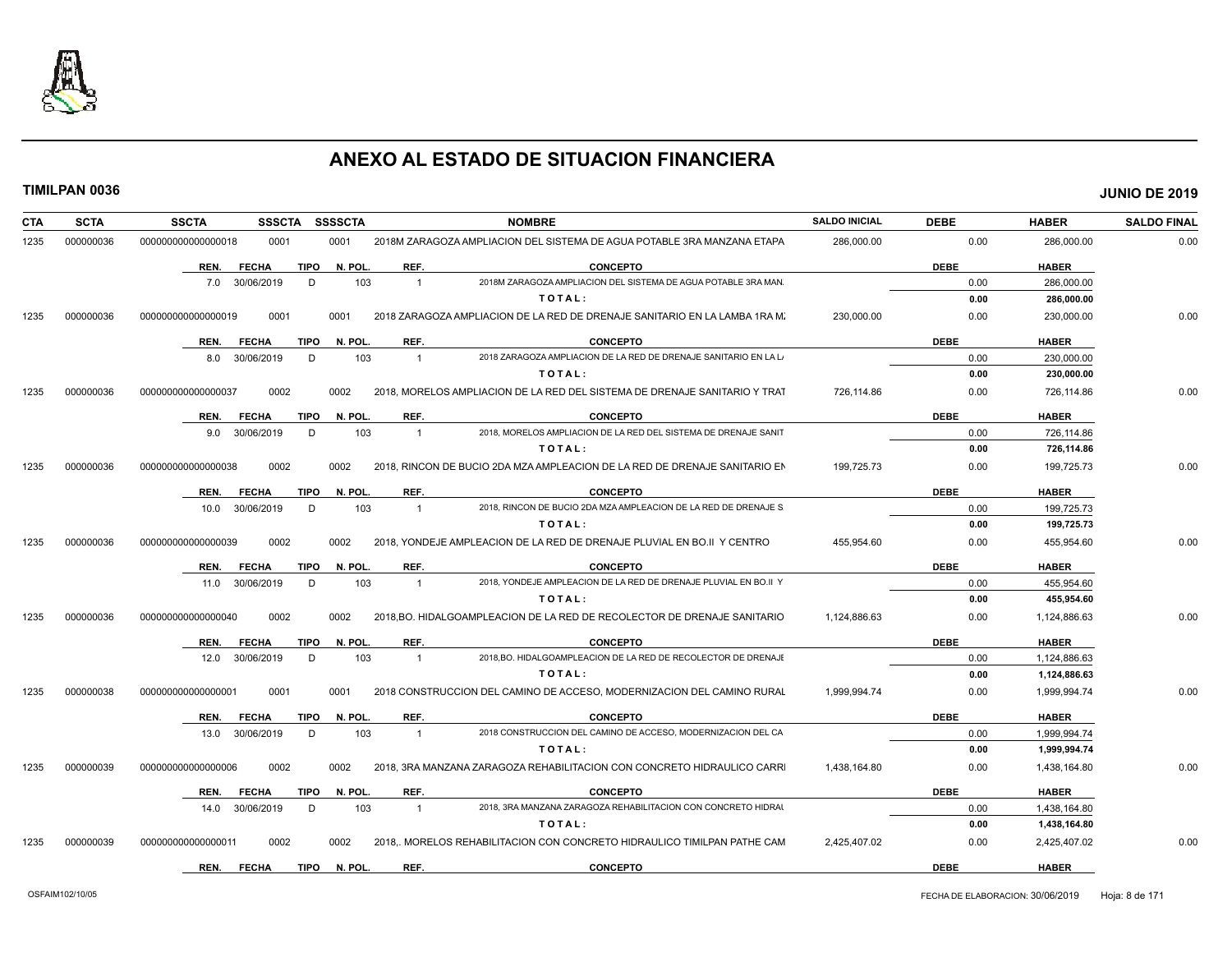

| CTA  | <b>SCTA</b> | <b>SSCTA</b><br><b>SSSCTA</b>                        | <b>SSSSCTA</b> |                        | <b>NOMBRE</b>                                                                      | <b>SALDO INICIAL</b> | <b>DEBE</b>         | <b>HABER</b>                 | <b>SALDO FINAL</b> |
|------|-------------|------------------------------------------------------|----------------|------------------------|------------------------------------------------------------------------------------|----------------------|---------------------|------------------------------|--------------------|
| 1235 | 000000036   | 0001<br>000000000000000018                           | 0001           |                        | 2018M ZARAGOZA AMPLIACION DEL SISTEMA DE AGUA POTABLE 3RA MANZANA ETAPA            | 286,000.00           | 0.00                | 286,000.00                   | 0.00               |
|      |             | <b>TIPO</b><br><b>FECHA</b><br>REN.                  | N. POL.        | REF.                   | <b>CONCEPTO</b>                                                                    |                      | <b>DEBE</b>         | <b>HABER</b>                 |                    |
|      |             | 7.0 30/06/2019<br>D                                  | 103            | $\overline{1}$         | 2018M ZARAGOZA AMPLIACION DEL SISTEMA DE AGUA POTABLE 3RA MAN                      |                      | 0.00                | 286,000.00                   |                    |
|      |             |                                                      |                |                        | TOTAL:                                                                             |                      | 0.00                | 286,000.00                   |                    |
| 1235 | 000000036   | 0001<br>000000000000000019                           | 0001           |                        | 2018 ZARAGOZA AMPLIACION DE LA RED DE DRENAJE SANITARIO EN LA LAMBA 1RA M.         | 230,000.00           | 0.00                | 230,000.00                   | 0.00               |
|      |             | <b>FECHA</b><br>TIPO<br>REN.                         | N. POL.        | REF.                   | <b>CONCEPTO</b>                                                                    |                      | <b>DEBE</b>         | <b>HABER</b>                 |                    |
|      |             | 8.0 30/06/2019<br>D                                  | 103            | $\overline{1}$         | 2018 ZARAGOZA AMPLIACION DE LA RED DE DRENAJE SANITARIO EN LA L                    |                      | 0.00                | 230,000.00                   |                    |
|      |             |                                                      |                |                        | TOTAL:                                                                             |                      | 0.00                | 230,000.00                   |                    |
| 1235 | 000000036   | 0002<br>000000000000000037                           | 0002           |                        | 2018. MORELOS AMPLIACION DE LA RED DEL SISTEMA DE DRENAJE SANITARIO Y TRAT         | 726.114.86           | 0.00                | 726,114.86                   | 0.00               |
|      |             |                                                      |                |                        |                                                                                    |                      |                     |                              |                    |
|      |             | <b>FECHA</b><br>TIPO<br>REN.                         | N. POL.        | REF.                   | <b>CONCEPTO</b><br>2018, MORELOS AMPLIACION DE LA RED DEL SISTEMA DE DRENAJE SANIT |                      | <b>DEBE</b>         | <b>HABER</b>                 |                    |
|      |             | 9.0 30/06/2019<br>D                                  | 103            | $\overline{1}$         | TOTAL:                                                                             |                      | 0.00<br>0.00        | 726,114.86<br>726,114.86     |                    |
| 1235 | 000000036   | 0002<br>000000000000000038                           | 0002           |                        | 2018. RINCON DE BUCIO 2DA MZA AMPLEACION DE LA RED DE DRENAJE SANITARIO EN         | 199,725.73           | 0.00                | 199,725.73                   | 0.00               |
|      |             |                                                      |                |                        |                                                                                    |                      |                     |                              |                    |
|      |             | REN.<br><b>FECHA</b><br>TIPO                         | N. POL.        | REF.                   | <b>CONCEPTO</b>                                                                    |                      | <b>DEBE</b>         | <b>HABER</b>                 |                    |
|      |             | 30/06/2019<br>D<br>10.0                              | 103            | $\overline{1}$         | 2018, RINCON DE BUCIO 2DA MZA AMPLEACION DE LA RED DE DRENAJE S                    |                      | 0.00                | 199,725.73                   |                    |
|      |             |                                                      |                |                        | TOTAL:                                                                             |                      | 0.00                | 199,725.73                   |                    |
| 1235 | 000000036   | 000000000000000039<br>0002                           | 0002           |                        | 2018, YONDEJE AMPLEACION DE LA RED DE DRENAJE PLUVIAL EN BO.II Y CENTRO            | 455,954.60           | 0.00                | 455,954.60                   | 0.00               |
|      |             | <b>FECHA</b><br>TIPO<br>REN.                         | N. POL.        | REF.                   | <b>CONCEPTO</b>                                                                    |                      | <b>DEBE</b>         | <b>HABER</b>                 |                    |
|      |             | 11.0 30/06/2019<br>D                                 | 103            | $\overline{1}$         | 2018. YONDEJE AMPLEACION DE LA RED DE DRENAJE PLUVIAL EN BO.II Y                   |                      | 0.00                | 455,954.60                   |                    |
|      |             |                                                      |                |                        | TOTAL:                                                                             |                      | 0.00                | 455,954.60                   |                    |
| 1235 | 000000036   | 000000000000000040<br>0002                           | 0002           |                        | 2018, BO. HIDALGOAMPLEACION DE LA RED DE RECOLECTOR DE DRENAJE SANITARIO           | 1,124,886.63         | 0.00                | 1,124,886.63                 | 0.00               |
|      |             | <b>FECHA</b><br>TIPO<br>REN.                         | N. POL.        | REF.                   | <b>CONCEPTO</b>                                                                    |                      | <b>DEBE</b>         | <b>HABER</b>                 |                    |
|      |             | 12.0 30/06/2019<br>D                                 | 103            | $\overline{1}$         | 2018, BO. HIDALGOAMPLEACION DE LA RED DE RECOLECTOR DE DRENAJE                     |                      | 0.00                | 1,124,886.63                 |                    |
|      |             |                                                      |                |                        | TOTAL:                                                                             |                      | 0.00                | 1,124,886.63                 |                    |
| 1235 | 000000038   | 0001<br>000000000000000001                           | 0001           |                        | 2018 CONSTRUCCION DEL CAMINO DE ACCESO, MODERNIZACION DEL CAMINO RURAL             | 1,999,994.74         | 0.00                | 1,999,994.74                 | 0.00               |
|      |             |                                                      |                |                        |                                                                                    |                      |                     |                              |                    |
|      |             | REN.<br><b>FECHA</b><br>TIPO<br>13.0 30/06/2019<br>D | N. POL.<br>103 | REF.<br>$\overline{1}$ | <b>CONCEPTO</b><br>2018 CONSTRUCCION DEL CAMINO DE ACCESO, MODERNIZACION DEL CA    |                      | <b>DEBE</b><br>0.00 | <b>HABER</b><br>1,999,994.74 |                    |
|      |             |                                                      |                |                        | TOTAL:                                                                             |                      | 0.00                | 1,999,994.74                 |                    |
| 1235 | 000000039   | 0002<br>000000000000000006                           | 0002           |                        | 2018. 3RA MANZANA ZARAGOZA REHABILITACION CON CONCRETO HIDRAULICO CARRI            | 1.438.164.80         | 0.00                | 1,438,164.80                 | 0.00               |
|      |             |                                                      |                |                        |                                                                                    |                      |                     |                              |                    |
|      |             | <b>FECHA</b><br><b>TIPO</b><br>REN.                  | N. POL.        | REF.                   | <b>CONCEPTO</b>                                                                    |                      | <b>DEBE</b>         | <b>HABER</b>                 |                    |
|      |             | D<br>14.0 30/06/2019                                 | 103            | $\overline{1}$         | 2018, 3RA MANZANA ZARAGOZA REHABILITACION CON CONCRETO HIDRAI                      |                      | 0.00                | 1,438,164.80                 |                    |
|      |             |                                                      |                |                        | TOTAL:                                                                             |                      | 0.00                | 1,438,164.80                 |                    |
| 1235 | 000000039   | 0002<br>000000000000000011                           | 0002           |                        | 2018. MORELOS REHABILITACION CON CONCRETO HIDRAULICO TIMILPAN PATHE CAM            | 2,425,407.02         | 0.00                | 2,425,407.02                 | 0.00               |
|      |             | REN.<br><b>FECHA</b>                                 | TIPO N. POL.   | REF.                   | <b>CONCEPTO</b>                                                                    |                      | <b>DEBE</b>         | <b>HABER</b>                 |                    |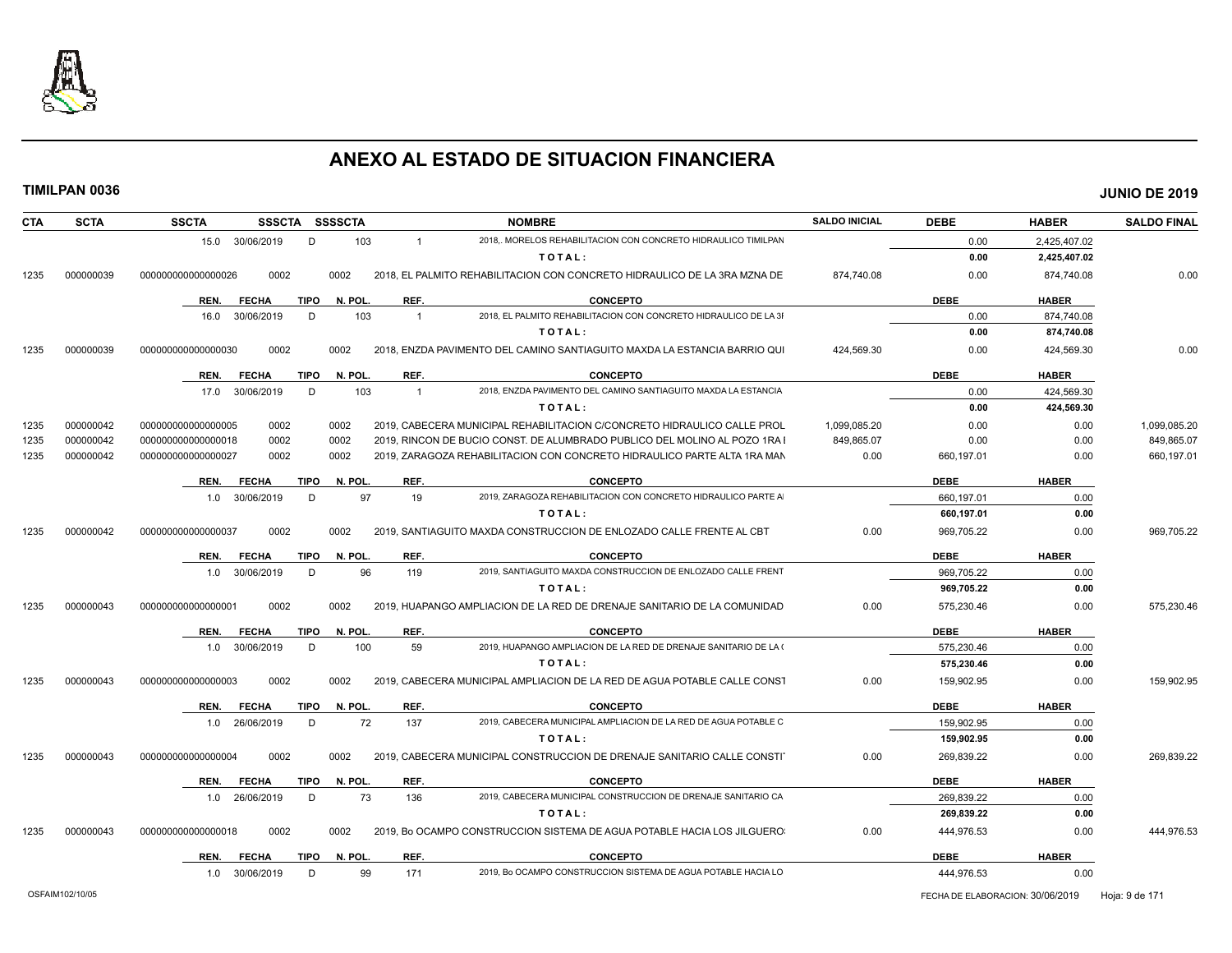

| <b>CTA</b> | <b>SCTA</b> | <b>SSCTA</b><br>SSSCTA SSSSCTA      |         | <b>NOMBRE</b>                                                                    | <b>SALDO INICIAL</b> | <b>DEBE</b> | <b>HABER</b> | <b>SALDO FINAL</b> |
|------------|-------------|-------------------------------------|---------|----------------------------------------------------------------------------------|----------------------|-------------|--------------|--------------------|
|            |             | 15.0 30/06/2019<br>D                | 103     | 2018. MORELOS REHABILITACION CON CONCRETO HIDRAULICO TIMILPAN<br>$\mathbf{1}$    |                      | 0.00        | 2,425,407.02 |                    |
|            |             |                                     |         | TOTAL:                                                                           |                      | 0.00        | 2,425,407.02 |                    |
| 1235       | 000000039   | 0002<br>000000000000000026          | 0002    | 2018. EL PALMITO REHABILITACION CON CONCRETO HIDRAULICO DE LA 3RA MZNA DE        | 874.740.08           | 0.00        | 874,740.08   | 0.00               |
|            |             | REN.<br><b>FECHA</b><br>TIPO        | N. POL. | REF.<br><b>CONCEPTO</b>                                                          |                      | <b>DEBE</b> | <b>HABER</b> |                    |
|            |             | D<br>16.0<br>30/06/2019             | 103     | 2018, EL PALMITO REHABILITACION CON CONCRETO HIDRAULICO DE LA 31<br>$\mathbf{1}$ |                      | 0.00        | 874,740.08   |                    |
|            |             |                                     |         | TOTAL:                                                                           |                      | 0.00        | 874,740.08   |                    |
| 1235       | 000000039   | 0002<br>000000000000000030          | 0002    | 2018, ENZDA PAVIMENTO DEL CAMINO SANTIAGUITO MAXDA LA ESTANCIA BARRIO QUI        | 424,569.30           | 0.00        | 424,569.30   | 0.00               |
|            |             | REN.<br><b>FECHA</b><br><b>TIPO</b> | N. POL  | REF.<br><b>CONCEPTO</b>                                                          |                      | <b>DEBE</b> | <b>HABER</b> |                    |
|            |             | 17.0 30/06/2019<br>D                | 103     | 2018. ENZDA PAVIMENTO DEL CAMINO SANTIAGUITO MAXDA LA ESTANCIA<br>$\overline{1}$ |                      | 0.00        | 424,569.30   |                    |
|            |             |                                     |         | TOTAL:                                                                           |                      | 0.00        | 424,569.30   |                    |
| 1235       | 000000042   | 000000000000000005<br>0002          | 0002    | 2019, CABECERA MUNICIPAL REHABILITACION C/CONCRETO HIDRAULICO CALLE PROL         | 1,099,085.20         | 0.00        | 0.00         | 1,099,085.20       |
| 1235       | 000000042   | 0002<br>000000000000000018          | 0002    | 2019, RINCON DE BUCIO CONST. DE ALUMBRADO PUBLICO DEL MOLINO AL POZO 1RA I       | 849,865.07           | 0.00        | 0.00         | 849,865.07         |
| 1235       | 000000042   | 0002<br>000000000000000027          | 0002    | 2019, ZARAGOZA REHABILITACION CON CONCRETO HIDRAULICO PARTE ALTA 1RA MAN         | 0.00                 | 660,197.01  | 0.00         | 660,197.01         |
|            |             | REN.<br><b>FECHA</b><br><b>TIPO</b> | N. POL. | REF.<br><b>CONCEPTO</b>                                                          |                      | <b>DEBE</b> | <b>HABER</b> |                    |
|            |             | 30/06/2019<br>D<br>1.0              | 97      | 19<br>2019. ZARAGOZA REHABILITACION CON CONCRETO HIDRAULICO PARTE A              |                      | 660,197.01  | 0.00         |                    |
|            |             |                                     |         | TOTAL:                                                                           |                      | 660,197.01  | 0.00         |                    |
| 1235       | 000000042   | 000000000000000037<br>0002          | 0002    | 2019, SANTIAGUITO MAXDA CONSTRUCCION DE ENLOZADO CALLE FRENTE AL CBT             | 0.00                 | 969,705.22  | 0.00         | 969,705.22         |
|            |             | <b>FECHA</b><br>REN.<br>TIPO        | N. POL. | REF.<br><b>CONCEPTO</b>                                                          |                      | <b>DEBE</b> | <b>HABER</b> |                    |
|            |             | 1.0 30/06/2019<br>D                 | 96      | 2019, SANTIAGUITO MAXDA CONSTRUCCION DE ENLOZADO CALLE FRENT<br>119              |                      | 969,705.22  | 0.00         |                    |
|            |             |                                     |         | TOTAL:                                                                           |                      | 969,705.22  | 0.00         |                    |
| 1235       | 000000043   | 0002<br>000000000000000001          | 0002    | 2019, HUAPANGO AMPLIACION DE LA RED DE DRENAJE SANITARIO DE LA COMUNIDAD         | 0.00                 | 575,230.46  | 0.00         | 575,230.46         |
|            |             | <b>FECHA</b><br>TIPO<br>REN.        | N. POL. | REF.<br><b>CONCEPTO</b>                                                          |                      | <b>DEBE</b> | <b>HABER</b> |                    |
|            |             | 1.0 30/06/2019<br>D                 | 100     | 59<br>2019, HUAPANGO AMPLIACION DE LA RED DE DRENAJE SANITARIO DE LA (           |                      | 575,230.46  | 0.00         |                    |
|            |             |                                     |         | TOTAL:                                                                           |                      | 575,230.46  | 0.00         |                    |
| 1235       | 000000043   | 0002<br>000000000000000003          | 0002    | 2019, CABECERA MUNICIPAL AMPLIACION DE LA RED DE AGUA POTABLE CALLE CONST        | 0.00                 | 159.902.95  | 0.00         | 159.902.95         |
|            |             | <b>TIPO</b><br>REN.<br><b>FECHA</b> | N. POL. | REF.<br><b>CONCEPTO</b>                                                          |                      | <b>DEBE</b> | <b>HABER</b> |                    |
|            |             | D<br>1.0 26/06/2019                 | 72      | 2019, CABECERA MUNICIPAL AMPLIACION DE LA RED DE AGUA POTABLE C<br>137           |                      | 159,902.95  | 0.00         |                    |
|            |             |                                     |         | TOTAL:                                                                           |                      | 159,902.95  | 0.00         |                    |
| 1235       | 000000043   | 000000000000000004<br>0002          | 0002    | 2019, CABECERA MUNICIPAL CONSTRUCCION DE DRENAJE SANITARIO CALLE CONSTI          | 0.00                 | 269,839.22  | 0.00         | 269,839.22         |
|            |             | <b>FECHA</b><br>REN.<br><b>TIPO</b> | N. POL. | REF.<br><b>CONCEPTO</b>                                                          |                      | <b>DEBE</b> | <b>HABER</b> |                    |
|            |             | 1.0 26/06/2019<br>D                 | 73      | 2019, CABECERA MUNICIPAL CONSTRUCCION DE DRENAJE SANITARIO CA<br>136             |                      | 269.839.22  | 0.00         |                    |
|            |             |                                     |         | TOTAL:                                                                           |                      | 269,839.22  | 0.00         |                    |
|            |             |                                     |         |                                                                                  |                      |             |              |                    |
| 1235       | 000000043   | 000000000000000018<br>0002          | 0002    | 2019, Bo OCAMPO CONSTRUCCION SISTEMA DE AGUA POTABLE HACIA LOS JILGUERO:         | 0.00                 | 444,976.53  | 0.00         |                    |
|            |             | <b>FECHA</b><br><b>TIPO</b><br>REN. | N. POL. | REF.<br><b>CONCEPTO</b>                                                          |                      | <b>DEBE</b> | <b>HABER</b> | 444,976.53         |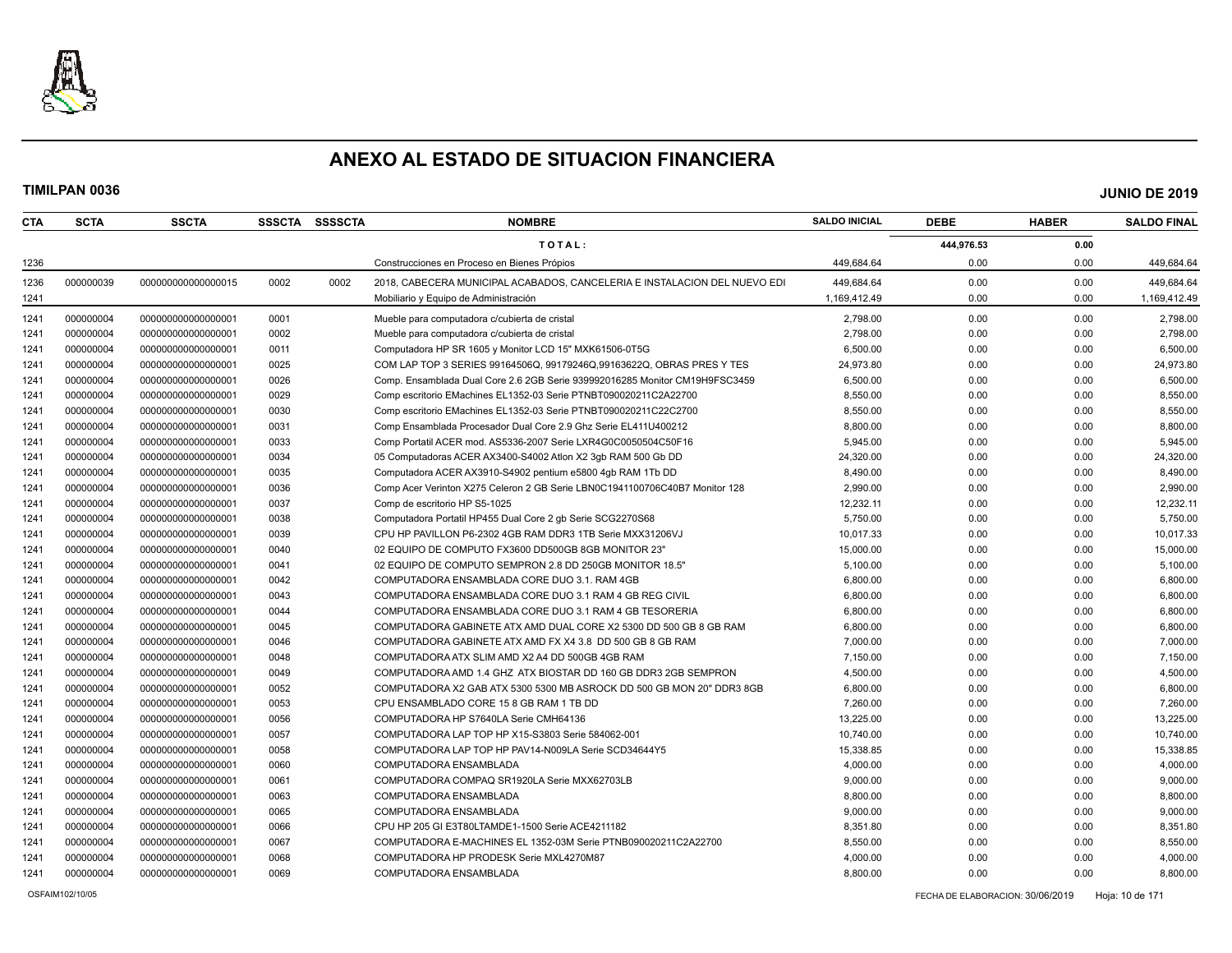

| CTA  | <b>SCTA</b> | <b>SSCTA</b>       | <b>SSSCTA</b> | SSSSCTA | <b>NOMBRE</b>                                                               | <b>SALDO INICIAL</b> | <b>DEBE</b> | <b>HABER</b> | <b>SALDO FINAL</b> |
|------|-------------|--------------------|---------------|---------|-----------------------------------------------------------------------------|----------------------|-------------|--------------|--------------------|
|      |             |                    |               |         | TOTAL:                                                                      |                      | 444,976.53  | 0.00         |                    |
| 1236 |             |                    |               |         | Construcciones en Proceso en Bienes Própios                                 | 449,684.64           | 0.00        | 0.00         | 449,684.64         |
| 1236 | 000000039   | 00000000000000015  | 0002          | 0002    | 2018. CABECERA MUNICIPAL ACABADOS. CANCELERIA E INSTALACION DEL NUEVO EDI   | 449.684.64           | 0.00        | 0.00         | 449,684.64         |
| 1241 |             |                    |               |         | Mobiliario y Equipo de Administración                                       | 1,169,412.49         | 0.00        | 0.00         | 1,169,412.49       |
| 1241 | 000000004   | 00000000000000001  | 0001          |         | Mueble para computadora c/cubierta de cristal                               | 2,798.00             | 0.00        | 0.00         | 2,798.00           |
| 1241 | 000000004   | 00000000000000001  | 0002          |         | Mueble para computadora c/cubierta de cristal                               | 2,798.00             | 0.00        | 0.00         | 2,798.00           |
| 1241 | 000000004   | 00000000000000001  | 0011          |         | Computadora HP SR 1605 y Monitor LCD 15" MXK61506-0T5G                      | 6,500.00             | 0.00        | 0.00         | 6,500.00           |
| 1241 | 000000004   | 00000000000000001  | 0025          |         | COM LAP TOP 3 SERIES 99164506Q, 99179246Q,99163622Q, OBRAS PRES Y TES       | 24,973.80            | 0.00        | 0.00         | 24,973.80          |
| 1241 | 000000004   | 00000000000000001  | 0026          |         | Comp. Ensamblada Dual Core 2.6 2GB Serie 939992016285 Monitor CM19H9FSC3459 | 6,500.00             | 0.00        | 0.00         | 6,500.00           |
| 1241 | 000000004   | 00000000000000001  | 0029          |         | Comp escritorio EMachines EL1352-03 Serie PTNBT090020211C2A22700            | 8,550.00             | 0.00        | 0.00         | 8,550.00           |
| 1241 | 000000004   | 00000000000000001  | 0030          |         | Comp escritorio EMachines EL1352-03 Serie PTNBT090020211C22C2700            | 8,550.00             | 0.00        | 0.00         | 8,550.00           |
| 1241 | 000000004   | 00000000000000001  | 0031          |         | Comp Ensamblada Procesador Dual Core 2.9 Ghz Serie EL411U400212             | 8,800.00             | 0.00        | 0.00         | 8,800.00           |
| 1241 | 000000004   | 00000000000000001  | 0033          |         | Comp Portatil ACER mod. AS5336-2007 Serie LXR4G0C0050504C50F16              | 5,945.00             | 0.00        | 0.00         | 5,945.00           |
| 1241 | 000000004   | 00000000000000001  | 0034          |         | 05 Computadoras ACER AX3400-S4002 Atlon X2 3qb RAM 500 Gb DD                | 24,320.00            | 0.00        | 0.00         | 24,320.00          |
| 1241 | 000000004   | 00000000000000001  | 0035          |         | Computadora ACER AX3910-S4902 pentium e5800 4qb RAM 1Tb DD                  | 8,490.00             | 0.00        | 0.00         | 8,490.00           |
| 1241 | 000000004   | 00000000000000001  | 0036          |         | Comp Acer Verinton X275 Celeron 2 GB Serie LBN0C1941100706C40B7 Monitor 128 | 2,990.00             | 0.00        | 0.00         | 2,990.00           |
| 1241 | 000000004   | 00000000000000001  | 0037          |         | Comp de escritorio HP S5-1025                                               | 12,232.11            | 0.00        | 0.00         | 12,232.11          |
| 1241 | 000000004   | 00000000000000001  | 0038          |         | Computadora Portatil HP455 Dual Core 2 gb Serie SCG2270S68                  | 5,750.00             | 0.00        | 0.00         | 5,750.00           |
| 1241 | 000000004   | 00000000000000001  | 0039          |         | CPU HP PAVILLON P6-2302 4GB RAM DDR3 1TB Serie MXX31206VJ                   | 10.017.33            | 0.00        | 0.00         | 10,017.33          |
| 1241 | 000000004   | 00000000000000001  | 0040          |         | 02 EQUIPO DE COMPUTO FX3600 DD500GB 8GB MONITOR 23"                         | 15,000.00            | 0.00        | 0.00         | 15,000.00          |
| 1241 | 000000004   | 00000000000000001  | 0041          |         | 02 EQUIPO DE COMPUTO SEMPRON 2.8 DD 250GB MONITOR 18.5"                     | 5,100.00             | 0.00        | 0.00         | 5,100.00           |
| 1241 | 000000004   | 00000000000000001  | 0042          |         | COMPUTADORA ENSAMBLADA CORE DUO 3.1. RAM 4GB                                | 6,800.00             | 0.00        | 0.00         | 6,800.00           |
| 1241 | 000000004   | 00000000000000001  | 0043          |         | COMPUTADORA ENSAMBLADA CORE DUO 3.1 RAM 4 GB REG CIVIL                      | 6,800.00             | 0.00        | 0.00         | 6,800.00           |
| 1241 | 000000004   | 00000000000000001  | 0044          |         | COMPUTADORA ENSAMBLADA CORE DUO 3.1 RAM 4 GB TESORERIA                      | 6,800.00             | 0.00        | 0.00         | 6,800.00           |
| 1241 | 000000004   | 00000000000000001  | 0045          |         | COMPUTADORA GABINETE ATX AMD DUAL CORE X2 5300 DD 500 GB 8 GB RAM           | 6.800.00             | 0.00        | 0.00         | 6,800.00           |
| 1241 | 000000004   | 00000000000000001  | 0046          |         | COMPUTADORA GABINETE ATX AMD FX X4 3.8 DD 500 GB 8 GB RAM                   | 7,000.00             | 0.00        | 0.00         | 7,000.00           |
| 1241 | 000000004   | 000000000000000001 | 0048          |         | COMPUTADORA ATX SLIM AMD X2 A4 DD 500GB 4GB RAM                             | 7,150.00             | 0.00        | 0.00         | 7,150.00           |
| 1241 | 000000004   | 00000000000000001  | 0049          |         | COMPUTADORA AMD 1.4 GHZ ATX BIOSTAR DD 160 GB DDR3 2GB SEMPRON              | 4,500.00             | 0.00        | 0.00         | 4,500.00           |
| 1241 | 000000004   | 00000000000000001  | 0052          |         | COMPUTADORA X2 GAB ATX 5300 5300 MB ASROCK DD 500 GB MON 20" DDR3 8GB       | 6,800.00             | 0.00        | 0.00         | 6,800.00           |
| 1241 | 000000004   | 00000000000000001  | 0053          |         | CPU ENSAMBLADO CORE 15 8 GB RAM 1 TB DD                                     | 7,260.00             | 0.00        | 0.00         | 7,260.00           |
| 1241 | 000000004   | 00000000000000001  | 0056          |         | COMPUTADORA HP S7640LA Serie CMH64136                                       | 13,225.00            | 0.00        | 0.00         | 13,225.00          |
| 1241 | 000000004   | 00000000000000001  | 0057          |         | COMPUTADORA LAP TOP HP X15-S3803 Serie 584062-001                           | 10,740.00            | 0.00        | 0.00         | 10,740.00          |
| 1241 | 000000004   | 00000000000000001  | 0058          |         | COMPUTADORA LAP TOP HP PAV14-N009LA Serie SCD34644Y5                        | 15,338.85            | 0.00        | 0.00         | 15,338.85          |
| 1241 | 000000004   | 00000000000000001  | 0060          |         | COMPUTADORA ENSAMBLADA                                                      | 4,000.00             | 0.00        | 0.00         | 4,000.00           |
| 1241 | 000000004   | 00000000000000001  | 0061          |         | COMPUTADORA COMPAQ SR1920LA Serie MXX62703LB                                | 9,000.00             | 0.00        | 0.00         | 9,000.00           |
| 1241 | 000000004   | 00000000000000001  | 0063          |         | COMPUTADORA ENSAMBLADA                                                      | 8,800.00             | 0.00        | 0.00         | 8,800.00           |
| 1241 | 000000004   | 00000000000000001  | 0065          |         | COMPUTADORA ENSAMBLADA                                                      | 9,000.00             | 0.00        | 0.00         | 9,000.00           |
| 1241 | 000000004   | 00000000000000001  | 0066          |         | CPU HP 205 GI E3T80LTAMDE1-1500 Serie ACE4211182                            | 8,351.80             | 0.00        | 0.00         | 8,351.80           |
| 1241 | 000000004   | 00000000000000001  | 0067          |         | COMPUTADORA E-MACHINES EL 1352-03M Serie PTNB090020211C2A22700              | 8,550.00             | 0.00        | 0.00         | 8,550.00           |
| 1241 | 000000004   | 00000000000000001  | 0068          |         | COMPUTADORA HP PRODESK Serie MXL4270M87                                     | 4,000.00             | 0.00        | 0.00         | 4,000.00           |
| 1241 | 000000004   | 00000000000000001  | 0069          |         | COMPUTADORA ENSAMBLADA                                                      | 8,800.00             | 0.00        | 0.00         | 8,800.00           |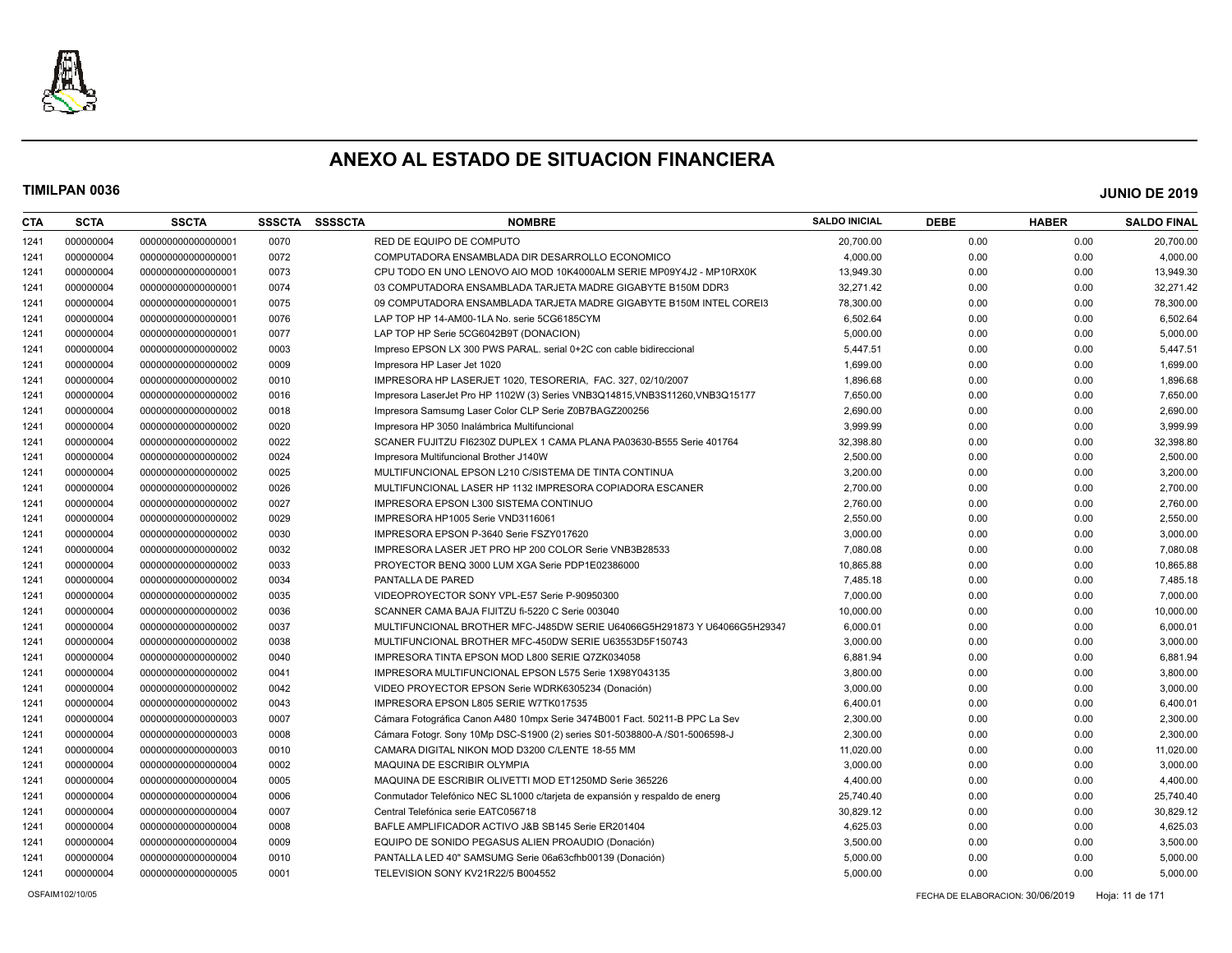

| <b>CTA</b> | <b>SCTA</b> | <b>SSCTA</b>       | <b>SSSCTA</b> | <b>SSSSCTA</b> | <b>NOMBRE</b>                                                                 | <b>SALDO INICIAL</b> | <b>DEBE</b> | <b>HABER</b> | <b>SALDO FINAL</b> |
|------------|-------------|--------------------|---------------|----------------|-------------------------------------------------------------------------------|----------------------|-------------|--------------|--------------------|
| 1241       | 000000004   | 00000000000000001  | 0070          |                | RED DE EQUIPO DE COMPUTO                                                      | 20,700.00            | 0.00        | 0.00         | 20,700.00          |
| 1241       | 000000004   | 00000000000000001  | 0072          |                | COMPUTADORA ENSAMBLADA DIR DESARROLLO ECONOMICO                               | 4,000.00             | 0.00        | 0.00         | 4,000.00           |
| 1241       | 000000004   | 00000000000000001  | 0073          |                | CPU TODO EN UNO LENOVO AIO MOD 10K4000ALM SERIE MP09Y4J2 - MP10RX0K           | 13,949.30            | 0.00        | 0.00         | 13,949.30          |
| 1241       | 000000004   | 00000000000000001  | 0074          |                | 03 COMPUTADORA ENSAMBLADA TARJETA MADRE GIGABYTE B150M DDR3                   | 32,271.42            | 0.00        | 0.00         | 32,271.42          |
| 1241       | 000000004   | 00000000000000001  | 0075          |                | 09 COMPUTADORA ENSAMBLADA TARJETA MADRE GIGABYTE B150M INTEL COREI3           | 78,300.00            | 0.00        | 0.00         | 78,300.00          |
| 1241       | 000000004   | 00000000000000001  | 0076          |                | LAP TOP HP 14-AM00-1LA No. serie 5CG6185CYM                                   | 6,502.64             | 0.00        | 0.00         | 6,502.64           |
| 1241       | 000000004   | 00000000000000001  | 0077          |                | LAP TOP HP Serie 5CG6042B9T (DONACION)                                        | 5,000.00             | 0.00        | 0.00         | 5,000.00           |
| 1241       | 000000004   | 00000000000000002  | 0003          |                | Impreso EPSON LX 300 PWS PARAL. serial 0+2C con cable bidireccional           | 5,447.51             | 0.00        | 0.00         | 5,447.51           |
| 1241       | 000000004   | 00000000000000002  | 0009          |                | Impresora HP Laser Jet 1020                                                   | 1,699.00             | 0.00        | 0.00         | 1,699.00           |
| 1241       | 000000004   | 00000000000000002  | 0010          |                | IMPRESORA HP LASERJET 1020, TESORERIA, FAC, 327, 02/10/2007                   | 1,896.68             | 0.00        | 0.00         | 1,896.68           |
| 1241       | 000000004   | 00000000000000002  | 0016          |                | Impresora LaserJet Pro HP 1102W (3) Series VNB3Q14815, VNB3S11260, VNB3Q15177 | 7,650.00             | 0.00        | 0.00         | 7,650.00           |
| 1241       | 000000004   | 00000000000000002  | 0018          |                | Impresora Samsumg Laser Color CLP Serie Z0B7BAGZ200256                        | 2,690.00             | 0.00        | 0.00         | 2,690.00           |
| 1241       | 000000004   | 00000000000000002  | 0020          |                | Impresora HP 3050 Inalámbrica Multifuncional                                  | 3,999.99             | 0.00        | 0.00         | 3,999.99           |
| 1241       | 000000004   | 00000000000000002  | 0022          |                | SCANER FUJITZU FI6230Z DUPLEX 1 CAMA PLANA PA03630-B555 Serie 401764          | 32,398.80            | 0.00        | 0.00         | 32,398.80          |
| 1241       | 000000004   | 00000000000000002  | 0024          |                | Impresora Multifuncional Brother J140W                                        | 2,500.00             | 0.00        | 0.00         | 2,500.00           |
| 1241       | 000000004   | 00000000000000002  | 0025          |                | MULTIFUNCIONAL EPSON L210 C/SISTEMA DE TINTA CONTINUA                         | 3,200.00             | 0.00        | 0.00         | 3,200.00           |
| 1241       | 000000004   | 00000000000000002  | 0026          |                | MULTIFUNCIONAL LASER HP 1132 IMPRESORA COPIADORA ESCANER                      | 2,700.00             | 0.00        | 0.00         | 2,700.00           |
| 1241       | 000000004   | 00000000000000002  | 0027          |                | IMPRESORA EPSON L300 SISTEMA CONTINUO                                         | 2,760.00             | 0.00        | 0.00         | 2,760.00           |
| 1241       | 000000004   | 00000000000000002  | 0029          |                | IMPRESORA HP1005 Serie VND3116061                                             | 2,550.00             | 0.00        | 0.00         | 2,550.00           |
| 1241       | 000000004   | 00000000000000002  | 0030          |                | IMPRESORA EPSON P-3640 Serie FSZY017620                                       | 3,000.00             | 0.00        | 0.00         | 3,000.00           |
| 1241       | 000000004   | 00000000000000002  | 0032          |                | IMPRESORA LASER JET PRO HP 200 COLOR Serie VNB3B28533                         | 7,080.08             | 0.00        | 0.00         | 7,080.08           |
| 1241       | 000000004   | 00000000000000002  | 0033          |                | PROYECTOR BENQ 3000 LUM XGA Serie PDP1E02386000                               | 10,865.88            | 0.00        | 0.00         | 10,865.88          |
| 1241       | 000000004   | 00000000000000002  | 0034          |                | PANTALLA DE PARED                                                             | 7,485.18             | 0.00        | 0.00         | 7,485.18           |
| 1241       | 000000004   | 00000000000000002  | 0035          |                | VIDEOPROYECTOR SONY VPL-E57 Serie P-90950300                                  | 7,000.00             | 0.00        | 0.00         | 7,000.00           |
| 1241       | 000000004   | 00000000000000002  | 0036          |                | SCANNER CAMA BAJA FIJITZU fi-5220 C Serie 003040                              | 10,000.00            | 0.00        | 0.00         | 10,000.00          |
| 1241       | 000000004   | 00000000000000002  | 0037          |                | MULTIFUNCIONAL BROTHER MFC-J485DW SERIE U64066G5H291873 Y U64066G5H29347      | 6,000.01             | 0.00        | 0.00         | 6,000.01           |
| 1241       | 000000004   | 00000000000000002  | 0038          |                | MULTIFUNCIONAL BROTHER MFC-450DW SERIE U63553D5F150743                        | 3,000.00             | 0.00        | 0.00         | 3,000.00           |
| 1241       | 000000004   | 00000000000000002  | 0040          |                | IMPRESORA TINTA EPSON MOD L800 SERIE Q7ZK034058                               | 6,881.94             | 0.00        | 0.00         | 6,881.94           |
| 1241       | 000000004   | 00000000000000002  | 0041          |                | IMPRESORA MULTIFUNCIONAL EPSON L575 Serie 1X98Y043135                         | 3,800.00             | 0.00        | 0.00         | 3,800.00           |
| 1241       | 000000004   | 00000000000000002  | 0042          |                | VIDEO PROYECTOR EPSON Serie WDRK6305234 (Donación)                            | 3,000.00             | 0.00        | 0.00         | 3,000.00           |
| 1241       | 000000004   | 00000000000000002  | 0043          |                | IMPRESORA EPSON L805 SERIE W7TK017535                                         | 6,400.01             | 0.00        | 0.00         | 6,400.01           |
| 1241       | 000000004   | 000000000000000003 | 0007          |                | Cámara Fotográfica Canon A480 10mpx Serie 3474B001 Fact. 50211-B PPC La Sev   | 2,300.00             | 0.00        | 0.00         | 2,300.00           |
| 1241       | 000000004   | 000000000000000003 | 0008          |                | Cámara Fotogr. Sony 10Mp DSC-S1900 (2) series S01-5038800-A /S01-5006598-J    | 2,300.00             | 0.00        | 0.00         | 2,300.00           |
| 1241       | 000000004   | 00000000000000003  | 0010          |                | CAMARA DIGITAL NIKON MOD D3200 C/LENTE 18-55 MM                               | 11,020.00            | 0.00        | 0.00         | 11,020.00          |
| 1241       | 000000004   | 00000000000000004  | 0002          |                | MAQUINA DE ESCRIBIR OLYMPIA                                                   | 3,000.00             | 0.00        | 0.00         | 3,000.00           |
| 1241       | 000000004   | 000000000000000004 | 0005          |                | MAQUINA DE ESCRIBIR OLIVETTI MOD ET1250MD Serie 365226                        | 4,400.00             | 0.00        | 0.00         | 4,400.00           |
| 1241       | 000000004   | 000000000000000004 | 0006          |                | Conmutador Telefónico NEC SL1000 c/tarjeta de expansión y respaldo de energ   | 25,740.40            | 0.00        | 0.00         | 25,740.40          |
| 1241       | 000000004   | 00000000000000004  | 0007          |                | Central Telefónica serie EATC056718                                           | 30,829.12            | 0.00        | 0.00         | 30,829.12          |
| 1241       | 000000004   | 00000000000000004  | 0008          |                | BAFLE AMPLIFICADOR ACTIVO J&B SB145 Serie ER201404                            | 4,625.03             | 0.00        | 0.00         | 4,625.03           |
| 1241       | 000000004   | 000000000000000004 | 0009          |                | EQUIPO DE SONIDO PEGASUS ALIEN PROAUDIO (Donación)                            | 3,500.00             | 0.00        | 0.00         | 3,500.00           |
| 1241       | 000000004   | 000000000000000004 | 0010          |                | PANTALLA LED 40" SAMSUMG Serie 06a63cfhb00139 (Donación)                      | 5,000.00             | 0.00        | 0.00         | 5,000.00           |
| 1241       | 000000004   | 00000000000000005  | 0001          |                | TELEVISION SONY KV21R22/5 B004552                                             | 5,000.00             | 0.00        | 0.00         | 5,000.00           |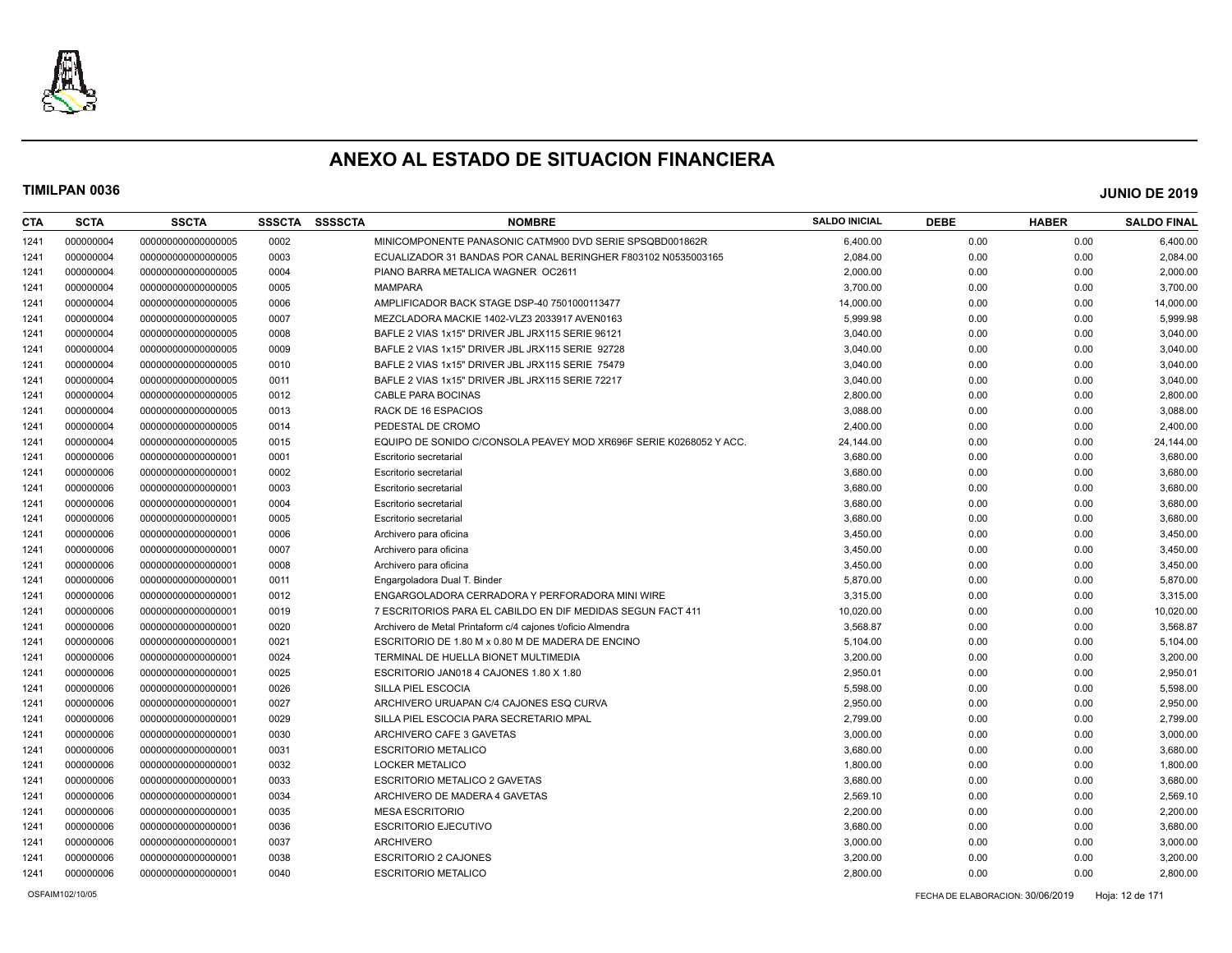

| <b>CTA</b> | <b>SCTA</b> | <b>SSCTA</b>      | <b>SSSCTA</b> | <b>SSSSCTA</b> | <b>NOMBRE</b>                                                      | <b>SALDO INICIAL</b> | <b>DEBE</b> | <b>HABER</b> | <b>SALDO FINAL</b> |
|------------|-------------|-------------------|---------------|----------------|--------------------------------------------------------------------|----------------------|-------------|--------------|--------------------|
| 1241       | 000000004   | 00000000000000005 | 0002          |                | MINICOMPONENTE PANASONIC CATM900 DVD SERIE SPSQBD001862R           | 6,400.00             | 0.00        | 0.00         | 6,400.00           |
| 1241       | 000000004   | 00000000000000005 | 0003          |                | ECUALIZADOR 31 BANDAS POR CANAL BERINGHER F803102 N0535003165      | 2,084.00             | 0.00        | 0.00         | 2,084.00           |
| 1241       | 000000004   | 00000000000000005 | 0004          |                | PIANO BARRA METALICA WAGNER OC2611                                 | 2,000.00             | 0.00        | 0.00         | 2,000.00           |
| 1241       | 000000004   | 00000000000000005 | 0005          |                | <b>MAMPARA</b>                                                     | 3,700.00             | 0.00        | 0.00         | 3,700.00           |
| 1241       | 000000004   | 00000000000000005 | 0006          |                | AMPLIFICADOR BACK STAGE DSP-40 7501000113477                       | 14,000.00            | 0.00        | 0.00         | 14,000.00          |
| 1241       | 000000004   | 00000000000000005 | 0007          |                | MEZCLADORA MACKIE 1402-VLZ3 2033917 AVEN0163                       | 5,999.98             | 0.00        | 0.00         | 5,999.98           |
| 1241       | 000000004   | 00000000000000005 | 0008          |                | BAFLE 2 VIAS 1x15" DRIVER JBL JRX115 SERIE 96121                   | 3,040.00             | 0.00        | 0.00         | 3,040.00           |
| 1241       | 000000004   | 00000000000000005 | 0009          |                | BAFLE 2 VIAS 1x15" DRIVER JBL JRX115 SERIE 92728                   | 3,040.00             | 0.00        | 0.00         | 3,040.00           |
| 1241       | 000000004   | 00000000000000005 | 0010          |                | BAFLE 2 VIAS 1x15" DRIVER JBL JRX115 SERIE 75479                   | 3,040.00             | 0.00        | 0.00         | 3,040.00           |
| 1241       | 000000004   | 00000000000000005 | 0011          |                | BAFLE 2 VIAS 1x15" DRIVER JBL JRX115 SERIE 72217                   | 3,040.00             | 0.00        | 0.00         | 3,040.00           |
| 1241       | 000000004   | 00000000000000005 | 0012          |                | <b>CABLE PARA BOCINAS</b>                                          | 2,800.00             | 0.00        | 0.00         | 2,800.00           |
| 1241       | 000000004   | 00000000000000005 | 0013          |                | RACK DE 16 ESPACIOS                                                | 3,088.00             | 0.00        | 0.00         | 3,088.00           |
| 1241       | 000000004   | 00000000000000005 | 0014          |                | PEDESTAL DE CROMO                                                  | 2,400.00             | 0.00        | 0.00         | 2,400.00           |
| 1241       | 000000004   | 00000000000000005 | 0015          |                | EQUIPO DE SONIDO C/CONSOLA PEAVEY MOD XR696F SERIE K0268052 Y ACC. | 24,144.00            | 0.00        | 0.00         | 24,144.00          |
| 1241       | 000000006   | 00000000000000001 | 0001          |                | Escritorio secretarial                                             | 3,680.00             | 0.00        | 0.00         | 3,680.00           |
| 1241       | 000000006   | 00000000000000001 | 0002          |                | Escritorio secretarial                                             | 3,680.00             | 0.00        | 0.00         | 3,680.00           |
| 1241       | 000000006   | 00000000000000001 | 0003          |                | Escritorio secretarial                                             | 3,680.00             | 0.00        | 0.00         | 3,680.00           |
| 1241       | 000000006   | 00000000000000001 | 0004          |                | Escritorio secretarial                                             | 3,680.00             | 0.00        | 0.00         | 3,680.00           |
| 1241       | 000000006   | 00000000000000001 | 0005          |                | Escritorio secretarial                                             | 3,680.00             | 0.00        | 0.00         | 3,680.00           |
| 1241       | 000000006   | 00000000000000001 | 0006          |                | Archivero para oficina                                             | 3,450.00             | 0.00        | 0.00         | 3,450.00           |
| 1241       | 000000006   | 00000000000000001 | 0007          |                | Archivero para oficina                                             | 3,450.00             | 0.00        | 0.00         | 3,450.00           |
| 1241       | 000000006   | 00000000000000001 | 0008          |                | Archivero para oficina                                             | 3,450.00             | 0.00        | 0.00         | 3,450.00           |
| 1241       | 000000006   | 00000000000000001 | 0011          |                | Engargoladora Dual T. Binder                                       | 5,870.00             | 0.00        | 0.00         | 5,870.00           |
| 1241       | 000000006   | 00000000000000001 | 0012          |                | ENGARGOLADORA CERRADORA Y PERFORADORA MINI WIRE                    | 3,315.00             | 0.00        | 0.00         | 3,315.00           |
| 1241       | 000000006   | 00000000000000001 | 0019          |                | 7 ESCRITORIOS PARA EL CABILDO EN DIF MEDIDAS SEGUN FACT 411        | 10,020.00            | 0.00        | 0.00         | 10,020.00          |
| 1241       | 000000006   | 00000000000000001 | 0020          |                | Archivero de Metal Printaform c/4 cajones t/oficio Almendra        | 3,568.87             | 0.00        | 0.00         | 3,568.87           |
| 1241       | 000000006   | 00000000000000001 | 0021          |                | ESCRITORIO DE 1.80 M x 0.80 M DE MADERA DE ENCINO                  | 5,104.00             | 0.00        | 0.00         | 5,104.00           |
| 1241       | 000000006   | 00000000000000001 | 0024          |                | TERMINAL DE HUELLA BIONET MULTIMEDIA                               | 3,200.00             | 0.00        | 0.00         | 3,200.00           |
| 1241       | 000000006   | 00000000000000001 | 0025          |                | ESCRITORIO JAN018 4 CAJONES 1.80 X 1.80                            | 2,950.01             | 0.00        | 0.00         | 2,950.01           |
| 1241       | 000000006   | 00000000000000001 | 0026          |                | SILLA PIEL ESCOCIA                                                 | 5,598.00             | 0.00        | 0.00         | 5,598.00           |
| 1241       | 000000006   | 00000000000000001 | 0027          |                | ARCHIVERO URUAPAN C/4 CAJONES ESQ CURVA                            | 2,950.00             | 0.00        | 0.00         | 2,950.00           |
| 1241       | 000000006   | 00000000000000001 | 0029          |                | SILLA PIEL ESCOCIA PARA SECRETARIO MPAL                            | 2,799.00             | 0.00        | 0.00         | 2,799.00           |
| 1241       | 000000006   | 00000000000000001 | 0030          |                | ARCHIVERO CAFE 3 GAVETAS                                           | 3,000.00             | 0.00        | 0.00         | 3,000.00           |
| 1241       | 000000006   | 00000000000000001 | 0031          |                | <b>ESCRITORIO METALICO</b>                                         | 3,680.00             | 0.00        | 0.00         | 3,680.00           |
| 1241       | 000000006   | 00000000000000001 | 0032          |                | <b>LOCKER METALICO</b>                                             | 1,800.00             | 0.00        | 0.00         | 1,800.00           |
| 1241       | 000000006   | 00000000000000001 | 0033          |                | ESCRITORIO METALICO 2 GAVETAS                                      | 3,680.00             | 0.00        | 0.00         | 3,680.00           |
| 1241       | 000000006   | 00000000000000001 | 0034          |                | ARCHIVERO DE MADERA 4 GAVETAS                                      | 2,569.10             | 0.00        | 0.00         | 2,569.10           |
| 1241       | 000000006   | 00000000000000001 | 0035          |                | <b>MESA ESCRITORIO</b>                                             | 2,200.00             | 0.00        | 0.00         | 2,200.00           |
| 1241       | 000000006   | 00000000000000001 | 0036          |                | <b>ESCRITORIO EJECUTIVO</b>                                        | 3,680.00             | 0.00        | 0.00         | 3,680.00           |
| 1241       | 000000006   | 00000000000000001 | 0037          |                | <b>ARCHIVERO</b>                                                   | 3,000.00             | 0.00        | 0.00         | 3,000.00           |
| 1241       | 000000006   | 00000000000000001 | 0038          |                | <b>ESCRITORIO 2 CAJONES</b>                                        | 3,200.00             | 0.00        | 0.00         | 3,200.00           |
| 1241       | 000000006   | 00000000000000001 | 0040          |                | <b>ESCRITORIO METALICO</b>                                         | 2,800.00             | 0.00        | 0.00         | 2,800.00           |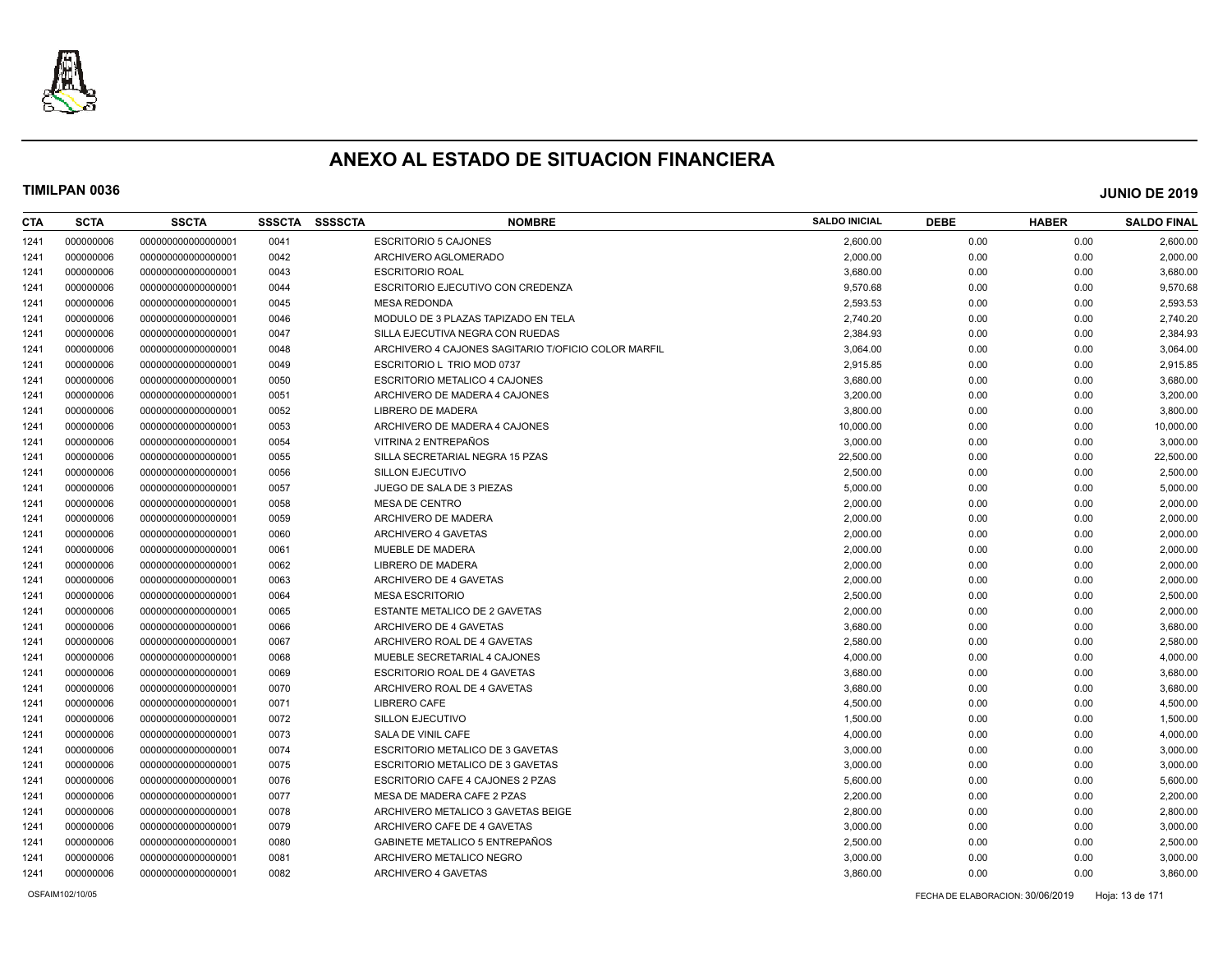

| CTA  | <b>SCTA</b> | <b>SSCTA</b>       | <b>SSSCTA</b> | <b>SSSSCTA</b> | <b>NOMBRE</b>                                       | <b>SALDO INICIAL</b> | <b>DEBE</b> | <b>HABER</b> | <b>SALDO FINAL</b> |
|------|-------------|--------------------|---------------|----------------|-----------------------------------------------------|----------------------|-------------|--------------|--------------------|
| 1241 | 000000006   | 00000000000000001  | 0041          |                | <b>ESCRITORIO 5 CAJONES</b>                         | 2.600.00             | 0.00        | 0.00         | 2,600.00           |
| 1241 | 000000006   | 00000000000000001  | 0042          |                | ARCHIVERO AGLOMERADO                                | 2,000.00             | 0.00        | 0.00         | 2,000.00           |
| 1241 | 000000006   | 00000000000000001  | 0043          |                | <b>ESCRITORIO ROAL</b>                              | 3,680.00             | 0.00        | 0.00         | 3,680.00           |
| 1241 | 000000006   | 00000000000000001  | 0044          |                | ESCRITORIO EJECUTIVO CON CREDENZA                   | 9,570.68             | 0.00        | 0.00         | 9,570.68           |
| 1241 | 000000006   | 00000000000000001  | 0045          |                | <b>MESA REDONDA</b>                                 | 2,593.53             | 0.00        | 0.00         | 2,593.53           |
| 1241 | 000000006   | 00000000000000001  | 0046          |                | MODULO DE 3 PLAZAS TAPIZADO EN TELA                 | 2,740.20             | 0.00        | 0.00         | 2,740.20           |
| 1241 | 000000006   | 00000000000000001  | 0047          |                | SILLA EJECUTIVA NEGRA CON RUEDAS                    | 2,384.93             | 0.00        | 0.00         | 2,384.93           |
| 1241 | 000000006   | 000000000000000001 | 0048          |                | ARCHIVERO 4 CAJONES SAGITARIO T/OFICIO COLOR MARFIL | 3,064.00             | 0.00        | 0.00         | 3,064.00           |
| 1241 | 000000006   | 00000000000000001  | 0049          |                | ESCRITORIO L TRIO MOD 0737                          | 2,915.85             | 0.00        | 0.00         | 2,915.85           |
| 1241 | 000000006   | 00000000000000001  | 0050          |                | ESCRITORIO METALICO 4 CAJONES                       | 3,680.00             | 0.00        | 0.00         | 3,680.00           |
| 1241 | 000000006   | 00000000000000001  | 0051          |                | ARCHIVERO DE MADERA 4 CAJONES                       | 3,200.00             | 0.00        | 0.00         | 3,200.00           |
| 1241 | 000000006   | 00000000000000001  | 0052          |                | LIBRERO DE MADERA                                   | 3,800.00             | 0.00        | 0.00         | 3,800.00           |
| 1241 | 000000006   | 000000000000000001 | 0053          |                | ARCHIVERO DE MADERA 4 CAJONES                       | 10,000.00            | 0.00        | 0.00         | 10,000.00          |
| 1241 | 000000006   | 00000000000000001  | 0054          |                | VITRINA 2 ENTREPAÑOS                                | 3.000.00             | 0.00        | 0.00         | 3,000.00           |
| 1241 | 000000006   | 00000000000000001  | 0055          |                | SILLA SECRETARIAL NEGRA 15 PZAS                     | 22,500.00            | 0.00        | 0.00         | 22,500.00          |
| 1241 | 000000006   | 00000000000000001  | 0056          |                | SILLON EJECUTIVO                                    | 2,500.00             | 0.00        | 0.00         | 2,500.00           |
| 1241 | 000000006   | 00000000000000001  | 0057          |                | JUEGO DE SALA DE 3 PIEZAS                           | 5,000.00             | 0.00        | 0.00         | 5,000.00           |
| 1241 | 000000006   | 000000000000000001 | 0058          |                | <b>MESA DE CENTRO</b>                               | 2,000.00             | 0.00        | 0.00         | 2,000.00           |
| 1241 | 000000006   | 00000000000000001  | 0059          |                | ARCHIVERO DE MADERA                                 | 2,000.00             | 0.00        | 0.00         | 2,000.00           |
| 1241 | 000000006   | 00000000000000001  | 0060          |                | ARCHIVERO 4 GAVETAS                                 | 2,000.00             | 0.00        | 0.00         | 2,000.00           |
| 1241 | 000000006   | 00000000000000001  | 0061          |                | MUEBLE DE MADERA                                    | 2,000.00             | 0.00        | 0.00         | 2,000.00           |
| 1241 | 000000006   | 00000000000000001  | 0062          |                | LIBRERO DE MADERA                                   | 2,000.00             | 0.00        | 0.00         | 2,000.00           |
| 1241 | 000000006   | 00000000000000001  | 0063          |                | ARCHIVERO DE 4 GAVETAS                              | 2,000.00             | 0.00        | 0.00         | 2,000.00           |
| 1241 | 000000006   | 00000000000000001  | 0064          |                | <b>MESA ESCRITORIO</b>                              | 2,500.00             | 0.00        | 0.00         | 2,500.00           |
| 1241 | 000000006   | 00000000000000001  | 0065          |                | <b>ESTANTE METALICO DE 2 GAVETAS</b>                | 2,000.00             | 0.00        | 0.00         | 2,000.00           |
| 1241 | 000000006   | 00000000000000001  | 0066          |                | ARCHIVERO DE 4 GAVETAS                              | 3,680.00             | 0.00        | 0.00         | 3,680.00           |
| 1241 | 000000006   | 00000000000000001  | 0067          |                | ARCHIVERO ROAL DE 4 GAVETAS                         | 2,580.00             | 0.00        | 0.00         | 2,580.00           |
| 1241 | 000000006   | 00000000000000001  | 0068          |                | MUEBLE SECRETARIAL 4 CAJONES                        | 4,000.00             | 0.00        | 0.00         | 4,000.00           |
| 1241 | 000000006   | 00000000000000001  | 0069          |                | ESCRITORIO ROAL DE 4 GAVETAS                        | 3,680.00             | 0.00        | 0.00         | 3,680.00           |
| 1241 | 000000006   | 00000000000000001  | 0070          |                | ARCHIVERO ROAL DE 4 GAVETAS                         | 3,680.00             | 0.00        | 0.00         | 3,680.00           |
| 1241 | 000000006   | 00000000000000001  | 0071          |                | <b>LIBRERO CAFE</b>                                 | 4,500.00             | 0.00        | 0.00         | 4,500.00           |
| 1241 | 000000006   | 00000000000000001  | 0072          |                | SILLON EJECUTIVO                                    | 1,500.00             | 0.00        | 0.00         | 1,500.00           |
| 1241 | 000000006   | 00000000000000001  | 0073          |                | SALA DE VINIL CAFE                                  | 4,000.00             | 0.00        | 0.00         | 4,000.00           |
| 1241 | 000000006   | 00000000000000001  | 0074          |                | ESCRITORIO METALICO DE 3 GAVETAS                    | 3,000.00             | 0.00        | 0.00         | 3,000.00           |
| 1241 | 000000006   | 00000000000000001  | 0075          |                | ESCRITORIO METALICO DE 3 GAVETAS                    | 3,000.00             | 0.00        | 0.00         | 3,000.00           |
| 1241 | 000000006   | 00000000000000001  | 0076          |                | ESCRITORIO CAFE 4 CAJONES 2 PZAS                    | 5,600.00             | 0.00        | 0.00         | 5,600.00           |
| 1241 | 000000006   | 00000000000000001  | 0077          |                | MESA DE MADERA CAFE 2 PZAS                          | 2,200.00             | 0.00        | 0.00         | 2,200.00           |
| 1241 | 000000006   | 00000000000000001  | 0078          |                | ARCHIVERO METALICO 3 GAVETAS BEIGE                  | 2,800.00             | 0.00        | 0.00         | 2,800.00           |
| 1241 | 000000006   | 000000000000000001 | 0079          |                | ARCHIVERO CAFE DE 4 GAVETAS                         | 3,000.00             | 0.00        | 0.00         | 3,000.00           |
| 1241 | 000000006   | 000000000000000001 | 0080          |                | GABINETE METALICO 5 ENTREPAÑOS                      | 2,500.00             | 0.00        | 0.00         | 2,500.00           |
| 1241 | 000000006   | 00000000000000001  | 0081          |                | ARCHIVERO METALICO NEGRO                            | 3,000.00             | 0.00        | 0.00         | 3,000.00           |
| 1241 | 000000006   | 00000000000000001  | 0082          |                | ARCHIVERO 4 GAVETAS                                 | 3,860.00             | 0.00        | 0.00         | 3,860.00           |
|      |             |                    |               |                |                                                     |                      |             |              |                    |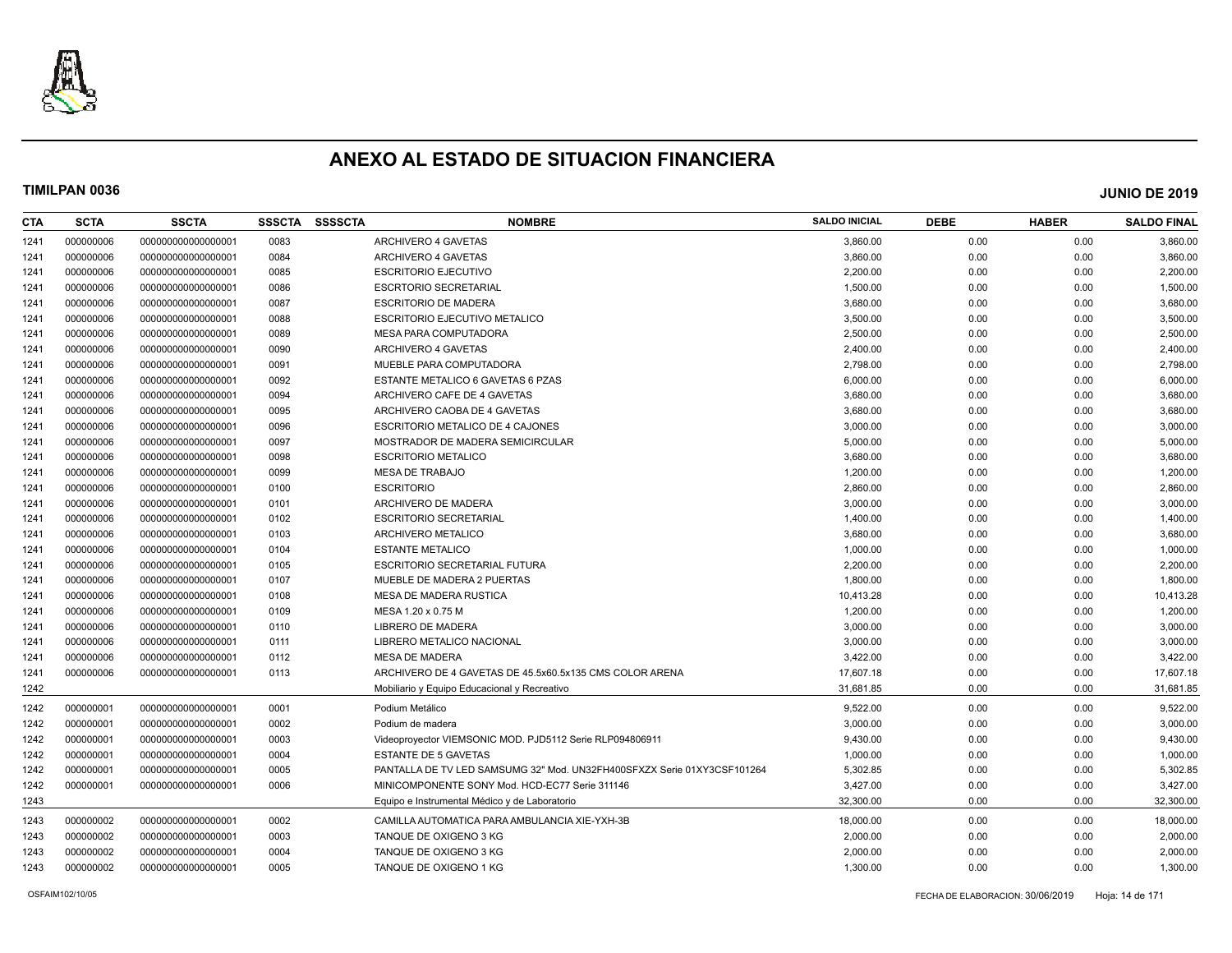

| CTA  | <b>SCTA</b> | <b>SSCTA</b>       | <b>SSSCTA</b> | <b>SSSSCTA</b> | <b>NOMBRE</b>                                                           | <b>SALDO INICIAL</b> | <b>DEBE</b> | <b>HABER</b> | <b>SALDO FINAL</b> |
|------|-------------|--------------------|---------------|----------------|-------------------------------------------------------------------------|----------------------|-------------|--------------|--------------------|
| 1241 | 000000006   | 000000000000000001 | 0083          |                | ARCHIVERO 4 GAVETAS                                                     | 3,860.00             | 0.00        | 0.00         | 3,860.00           |
| 1241 | 000000006   | 000000000000000001 | 0084          |                | ARCHIVERO 4 GAVETAS                                                     | 3,860.00             | 0.00        | 0.00         | 3,860.00           |
| 1241 | 000000006   | 000000000000000001 | 0085          |                | <b>ESCRITORIO EJECUTIVO</b>                                             | 2,200.00             | 0.00        | 0.00         | 2,200.00           |
| 1241 | 000000006   | 000000000000000001 | 0086          |                | <b>ESCRTORIO SECRETARIAL</b>                                            | 1,500.00             | 0.00        | 0.00         | 1,500.00           |
| 1241 | 000000006   | 000000000000000001 | 0087          |                | <b>ESCRITORIO DE MADERA</b>                                             | 3,680.00             | 0.00        | 0.00         | 3,680.00           |
| 1241 | 000000006   | 000000000000000001 | 0088          |                | <b>ESCRITORIO EJECUTIVO METALICO</b>                                    | 3,500.00             | 0.00        | 0.00         | 3,500.00           |
| 1241 | 000000006   | 000000000000000001 | 0089          |                | <b>MESA PARA COMPUTADORA</b>                                            | 2,500.00             | 0.00        | 0.00         | 2,500.00           |
| 1241 | 000000006   | 00000000000000001  | 0090          |                | ARCHIVERO 4 GAVETAS                                                     | 2,400.00             | 0.00        | 0.00         | 2,400.00           |
| 1241 | 000000006   | 000000000000000001 | 0091          |                | MUEBLE PARA COMPUTADORA                                                 | 2,798.00             | 0.00        | 0.00         | 2,798.00           |
| 1241 | 000000006   | 00000000000000001  | 0092          |                | ESTANTE METALICO 6 GAVETAS 6 PZAS                                       | 6,000.00             | 0.00        | 0.00         | 6,000.00           |
| 1241 | 000000006   | 000000000000000001 | 0094          |                | ARCHIVERO CAFE DE 4 GAVETAS                                             | 3,680.00             | 0.00        | 0.00         | 3,680.00           |
| 1241 | 000000006   | 000000000000000001 | 0095          |                | ARCHIVERO CAOBA DE 4 GAVETAS                                            | 3,680.00             | 0.00        | 0.00         | 3,680.00           |
| 1241 | 000000006   | 000000000000000001 | 0096          |                | ESCRITORIO METALICO DE 4 CAJONES                                        | 3,000.00             | 0.00        | 0.00         | 3,000.00           |
| 1241 | 000000006   | 000000000000000001 | 0097          |                | MOSTRADOR DE MADERA SEMICIRCULAR                                        | 5,000.00             | 0.00        | 0.00         | 5,000.00           |
| 1241 | 000000006   | 000000000000000001 | 0098          |                | <b>ESCRITORIO METALICO</b>                                              | 3,680.00             | 0.00        | 0.00         | 3,680.00           |
| 1241 | 000000006   | 000000000000000001 | 0099          |                | <b>MESA DE TRABAJO</b>                                                  | 1,200.00             | 0.00        | 0.00         | 1,200.00           |
| 1241 | 000000006   | 000000000000000001 | 0100          |                | <b>ESCRITORIO</b>                                                       | 2,860.00             | 0.00        | 0.00         | 2,860.00           |
| 1241 | 000000006   | 000000000000000001 | 0101          |                | ARCHIVERO DE MADERA                                                     | 3,000.00             | 0.00        | 0.00         | 3,000.00           |
| 1241 | 000000006   | 00000000000000001  | 0102          |                | <b>ESCRITORIO SECRETARIAL</b>                                           | 1,400.00             | 0.00        | 0.00         | 1,400.00           |
| 1241 | 000000006   | 000000000000000001 | 0103          |                | ARCHIVERO METALICO                                                      | 3,680.00             | 0.00        | 0.00         | 3,680.00           |
| 1241 | 000000006   | 000000000000000001 | 0104          |                | <b>ESTANTE METALICO</b>                                                 | 1,000.00             | 0.00        | 0.00         | 1,000.00           |
| 1241 | 000000006   | 000000000000000001 | 0105          |                | <b>ESCRITORIO SECRETARIAL FUTURA</b>                                    | 2,200.00             | 0.00        | 0.00         | 2,200.00           |
| 1241 | 000000006   | 00000000000000001  | 0107          |                | MUEBLE DE MADERA 2 PUERTAS                                              | 1,800.00             | 0.00        | 0.00         | 1,800.00           |
| 1241 | 000000006   | 000000000000000001 | 0108          |                | MESA DE MADERA RUSTICA                                                  | 10,413.28            | 0.00        | 0.00         | 10,413.28          |
| 1241 | 000000006   | 000000000000000001 | 0109          |                | MESA 1.20 x 0.75 M                                                      | 1,200.00             | 0.00        | 0.00         | 1,200.00           |
| 1241 | 000000006   | 000000000000000001 | 0110          |                | LIBRERO DE MADERA                                                       | 3,000.00             | 0.00        | 0.00         | 3,000.00           |
| 1241 | 000000006   | 000000000000000001 | 0111          |                | LIBRERO METALICO NACIONAL                                               | 3,000.00             | 0.00        | 0.00         | 3,000.00           |
| 1241 | 000000006   | 000000000000000001 | 0112          |                | <b>MESA DE MADERA</b>                                                   | 3,422.00             | 0.00        | 0.00         | 3,422.00           |
| 1241 | 000000006   | 000000000000000001 | 0113          |                | ARCHIVERO DE 4 GAVETAS DE 45.5x60.5x135 CMS COLOR ARENA                 | 17,607.18            | 0.00        | 0.00         | 17,607.18          |
| 1242 |             |                    |               |                | Mobiliario y Equipo Educacional y Recreativo                            | 31,681.85            | 0.00        | 0.00         | 31,681.85          |
| 1242 | 000000001   | 000000000000000001 | 0001          |                | Podium Metálico                                                         | 9,522.00             | 0.00        | 0.00         | 9,522.00           |
| 1242 | 000000001   | 000000000000000001 | 0002          |                | Podium de madera                                                        | 3.000.00             | 0.00        | 0.00         | 3,000.00           |
| 1242 | 000000001   | 000000000000000001 | 0003          |                | Videoproyector VIEMSONIC MOD. PJD5112 Serie RLP094806911                | 9,430.00             | 0.00        | 0.00         | 9,430.00           |
| 1242 | 000000001   | 000000000000000001 | 0004          |                | <b>ESTANTE DE 5 GAVETAS</b>                                             | 1,000.00             | 0.00        | 0.00         | 1,000.00           |
| 1242 | 000000001   | 000000000000000001 | 0005          |                | PANTALLA DE TV LED SAMSUMG 32" Mod. UN32FH400SFXZX Serie 01XY3CSF101264 | 5,302.85             | 0.00        | 0.00         | 5,302.85           |
| 1242 | 000000001   | 00000000000000001  | 0006          |                | MINICOMPONENTE SONY Mod. HCD-EC77 Serie 311146                          | 3,427.00             | 0.00        | 0.00         | 3,427.00           |
| 1243 |             |                    |               |                | Equipo e Instrumental Médico y de Laboratorio                           | 32,300.00            | 0.00        | 0.00         | 32,300.00          |
| 1243 | 000000002   | 000000000000000001 | 0002          |                | CAMILLA AUTOMATICA PARA AMBULANCIA XIE-YXH-3B                           | 18,000.00            | 0.00        | 0.00         | 18,000.00          |
| 1243 | 000000002   | 000000000000000001 | 0003          |                | TANQUE DE OXIGENO 3 KG                                                  | 2,000.00             | 0.00        | 0.00         | 2,000.00           |
| 1243 | 000000002   | 00000000000000001  | 0004          |                | TANQUE DE OXIGENO 3 KG                                                  | 2,000.00             | 0.00        | 0.00         | 2,000.00           |
| 1243 | 000000002   | 00000000000000001  | 0005          |                | TANQUE DE OXIGENO 1 KG                                                  | 1,300.00             | 0.00        | 0.00         | 1,300.00           |
|      |             |                    |               |                |                                                                         |                      |             |              |                    |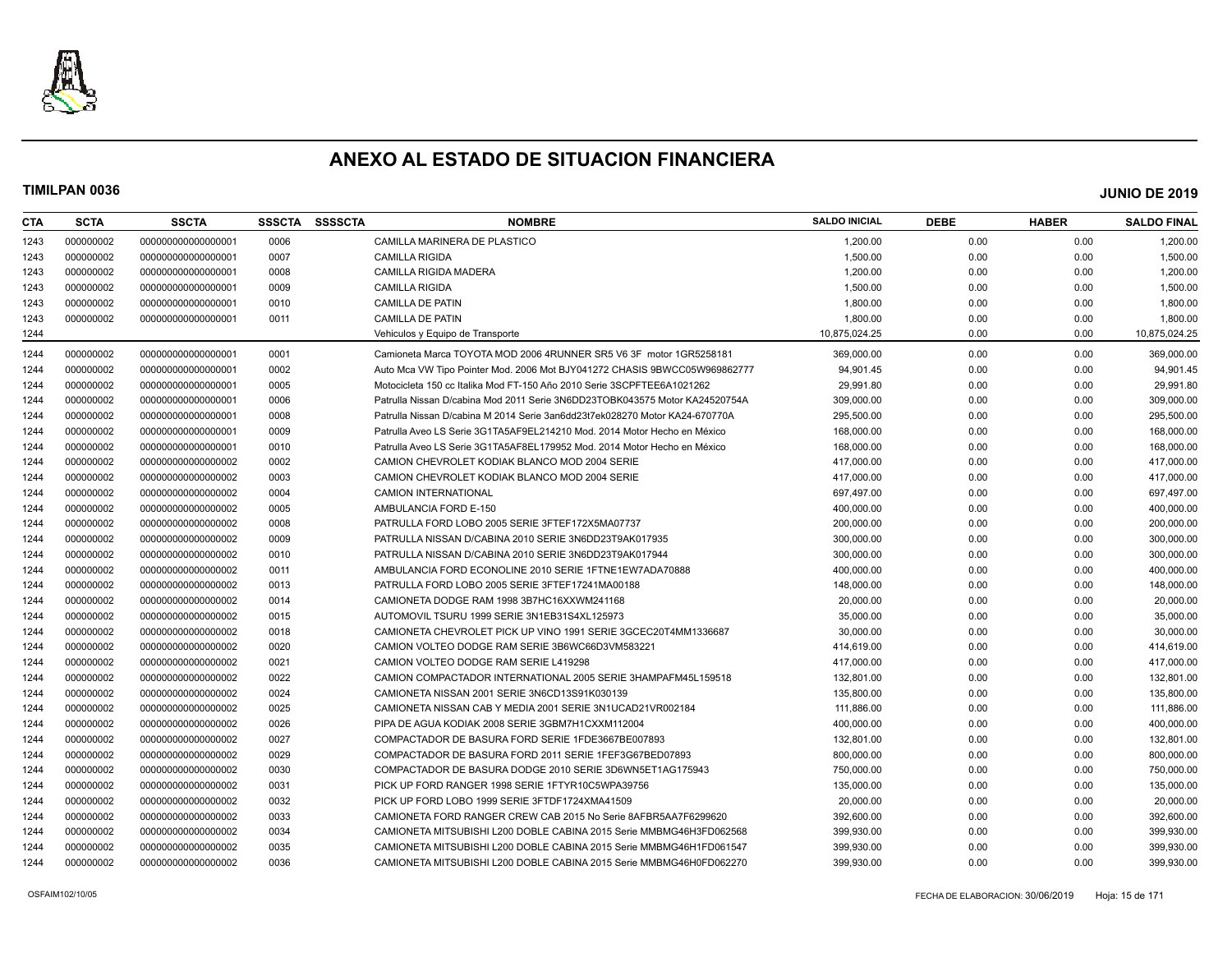

| CTA  | <b>SCTA</b> | <b>SSCTA</b>       | <b>SSSCTA</b> | <b>SSSSCTA</b> | <b>NOMBRE</b>                                                               | <b>SALDO INICIAL</b> | <b>DEBE</b> | <b>HABER</b> | <b>SALDO FINAL</b> |
|------|-------------|--------------------|---------------|----------------|-----------------------------------------------------------------------------|----------------------|-------------|--------------|--------------------|
| 1243 | 000000002   | 000000000000000001 | 0006          |                | CAMILLA MARINERA DE PLASTICO                                                | 1,200.00             | 0.00        | 0.00         | 1,200.00           |
| 1243 | 000000002   | 000000000000000001 | 0007          |                | <b>CAMILLA RIGIDA</b>                                                       | 1,500.00             | 0.00        | 0.00         | 1,500.00           |
| 1243 | 000000002   | 000000000000000001 | 0008          |                | <b>CAMILLA RIGIDA MADERA</b>                                                | 1,200.00             | 0.00        | 0.00         | 1,200.00           |
| 1243 | 000000002   | 000000000000000001 | 0009          |                | <b>CAMILLA RIGIDA</b>                                                       | 1,500.00             | 0.00        | 0.00         | 1,500.00           |
| 1243 | 000000002   | 000000000000000001 | 0010          |                | <b>CAMILLA DE PATIN</b>                                                     | 1,800.00             | 0.00        | 0.00         | 1,800.00           |
| 1243 | 000000002   | 000000000000000001 | 0011          |                | <b>CAMILLA DE PATIN</b>                                                     | 1,800.00             | 0.00        | 0.00         | 1,800.00           |
| 1244 |             |                    |               |                | Vehiculos y Equipo de Transporte                                            | 10,875,024.25        | 0.00        | 0.00         | 10,875,024.25      |
| 1244 | 000000002   | 000000000000000001 | 0001          |                | Camioneta Marca TOYOTA MOD 2006 4RUNNER SR5 V6 3F motor 1GR5258181          | 369,000.00           | 0.00        | 0.00         | 369,000.00         |
| 1244 | 000000002   | 000000000000000001 | 0002          |                | Auto Mca VW Tipo Pointer Mod. 2006 Mot BJY041272 CHASIS 9BWCC05W969862777   | 94,901.45            | 0.00        | 0.00         | 94,901.45          |
| 1244 | 000000002   | 000000000000000001 | 0005          |                | Motocicleta 150 cc Italika Mod FT-150 Año 2010 Serie 3SCPFTEE6A1021262      | 29.991.80            | 0.00        | 0.00         | 29,991.80          |
| 1244 | 000000002   | 000000000000000001 | 0006          |                | Patrulla Nissan D/cabina Mod 2011 Serie 3N6DD23TOBK043575 Motor KA24520754A | 309,000.00           | 0.00        | 0.00         | 309,000.00         |
| 1244 | 000000002   | 000000000000000001 | 0008          |                | Patrulla Nissan D/cabina M 2014 Serie 3an6dd23t7ek028270 Motor KA24-670770A | 295.500.00           | 0.00        | 0.00         | 295,500.00         |
| 1244 | 000000002   | 00000000000000001  | 0009          |                | Patrulla Aveo LS Serie 3G1TA5AF9EL214210 Mod. 2014 Motor Hecho en México    | 168,000.00           | 0.00        | 0.00         | 168,000.00         |
| 1244 | 000000002   | 00000000000000001  | 0010          |                | Patrulla Aveo LS Serie 3G1TA5AF8EL179952 Mod. 2014 Motor Hecho en México    | 168,000.00           | 0.00        | 0.00         | 168,000.00         |
| 1244 | 000000002   | 000000000000000002 | 0002          |                | CAMION CHEVROLET KODIAK BLANCO MOD 2004 SERIE                               | 417,000.00           | 0.00        | 0.00         | 417,000.00         |
| 1244 | 000000002   | 000000000000000002 | 0003          |                | CAMION CHEVROLET KODIAK BLANCO MOD 2004 SERIE                               | 417,000.00           | 0.00        | 0.00         | 417,000.00         |
| 1244 | 000000002   | 000000000000000002 | 0004          |                | <b>CAMION INTERNATIONAL</b>                                                 | 697,497.00           | 0.00        | 0.00         | 697,497.00         |
| 1244 | 000000002   | 000000000000000002 | 0005          |                | AMBULANCIA FORD E-150                                                       | 400.000.00           | 0.00        | 0.00         | 400,000.00         |
| 1244 | 000000002   | 000000000000000002 | 0008          |                | PATRULLA FORD LOBO 2005 SERIE 3FTEF172X5MA07737                             | 200,000.00           | 0.00        | 0.00         | 200,000.00         |
| 1244 | 000000002   | 000000000000000002 | 0009          |                | PATRULLA NISSAN D/CABINA 2010 SERIE 3N6DD23T9AK017935                       | 300,000.00           | 0.00        | 0.00         | 300,000.00         |
| 1244 | 000000002   | 000000000000000002 | 0010          |                | PATRULLA NISSAN D/CABINA 2010 SERIE 3N6DD23T9AK017944                       | 300,000.00           | 0.00        | 0.00         | 300,000.00         |
| 1244 | 000000002   | 000000000000000002 | 0011          |                | AMBULANCIA FORD ECONOLINE 2010 SERIE 1FTNE1EW7ADA70888                      | 400,000.00           | 0.00        | 0.00         | 400,000.00         |
| 1244 | 000000002   | 000000000000000002 | 0013          |                | PATRULLA FORD LOBO 2005 SERIE 3FTEF17241MA00188                             | 148.000.00           | 0.00        | 0.00         | 148,000.00         |
| 1244 | 000000002   | 000000000000000002 | 0014          |                | CAMIONETA DODGE RAM 1998 3B7HC16XXWM241168                                  | 20,000.00            | 0.00        | 0.00         | 20,000.00          |
| 1244 | 000000002   | 000000000000000002 | 0015          |                | AUTOMOVIL TSURU 1999 SERIE 3N1EB31S4XL125973                                | 35,000.00            | 0.00        | 0.00         | 35,000.00          |
| 1244 | 000000002   | 000000000000000002 | 0018          |                | CAMIONETA CHEVROLET PICK UP VINO 1991 SERIE 3GCEC20T4MM1336687              | 30,000.00            | 0.00        | 0.00         | 30,000.00          |
| 1244 | 000000002   | 000000000000000002 | 0020          |                | CAMION VOLTEO DODGE RAM SERIE 3B6WC66D3VM583221                             | 414,619.00           | 0.00        | 0.00         | 414,619.00         |
| 1244 | 000000002   | 000000000000000002 | 0021          |                | CAMION VOLTEO DODGE RAM SERIE L419298                                       | 417,000.00           | 0.00        | 0.00         | 417,000.00         |
| 1244 | 000000002   | 000000000000000002 | 0022          |                | CAMION COMPACTADOR INTERNATIONAL 2005 SERIE 3HAMPAFM45L159518               | 132.801.00           | 0.00        | 0.00         | 132,801.00         |
| 1244 | 000000002   | 000000000000000002 | 0024          |                | CAMIONETA NISSAN 2001 SERIE 3N6CD13S91K030139                               | 135,800.00           | 0.00        | 0.00         | 135,800.00         |
| 1244 | 000000002   | 000000000000000002 | 0025          |                | CAMIONETA NISSAN CAB Y MEDIA 2001 SERIE 3N1UCAD21VR002184                   | 111,886.00           | 0.00        | 0.00         | 111,886.00         |
| 1244 | 000000002   | 000000000000000002 | 0026          |                | PIPA DE AGUA KODIAK 2008 SERIE 3GBM7H1CXXM112004                            | 400,000.00           | 0.00        | 0.00         | 400,000.00         |
| 1244 | 000000002   | 000000000000000002 | 0027          |                | COMPACTADOR DE BASURA FORD SERIE 1FDE3667BE007893                           | 132,801.00           | 0.00        | 0.00         | 132,801.00         |
| 1244 | 000000002   | 000000000000000002 | 0029          |                | COMPACTADOR DE BASURA FORD 2011 SERIE 1FEF3G67BED07893                      | 800,000.00           | 0.00        | 0.00         | 800,000.00         |
| 1244 | 000000002   | 000000000000000002 | 0030          |                | COMPACTADOR DE BASURA DODGE 2010 SERIE 3D6WN5ET1AG175943                    | 750,000.00           | 0.00        | 0.00         | 750,000.00         |
| 1244 | 000000002   | 000000000000000002 | 0031          |                | PICK UP FORD RANGER 1998 SERIE 1FTYR10C5WPA39756                            | 135,000.00           | 0.00        | 0.00         | 135,000.00         |
| 1244 | 000000002   | 000000000000000002 | 0032          |                | PICK UP FORD LOBO 1999 SERIE 3FTDF1724XMA41509                              | 20,000.00            | 0.00        | 0.00         | 20,000.00          |
| 1244 | 000000002   | 000000000000000002 | 0033          |                | CAMIONETA FORD RANGER CREW CAB 2015 No Serie 8AFBR5AA7F6299620              | 392,600.00           | 0.00        | 0.00         | 392,600.00         |
| 1244 | 000000002   | 000000000000000002 | 0034          |                | CAMIONETA MITSUBISHI L200 DOBLE CABINA 2015 Serie MMBMG46H3FD062568         | 399,930.00           | 0.00        | 0.00         | 399,930.00         |
| 1244 | 000000002   | 00000000000000002  | 0035          |                | CAMIONETA MITSUBISHI L200 DOBLE CABINA 2015 Serie MMBMG46H1FD061547         | 399.930.00           | 0.00        | 0.00         | 399,930.00         |
| 1244 | 000000002   | 00000000000000002  | 0036          |                | CAMIONETA MITSUBISHI L200 DOBLE CABINA 2015 Serie MMBMG46H0FD062270         | 399.930.00           | 0.00        | 0.00         | 399.930.00         |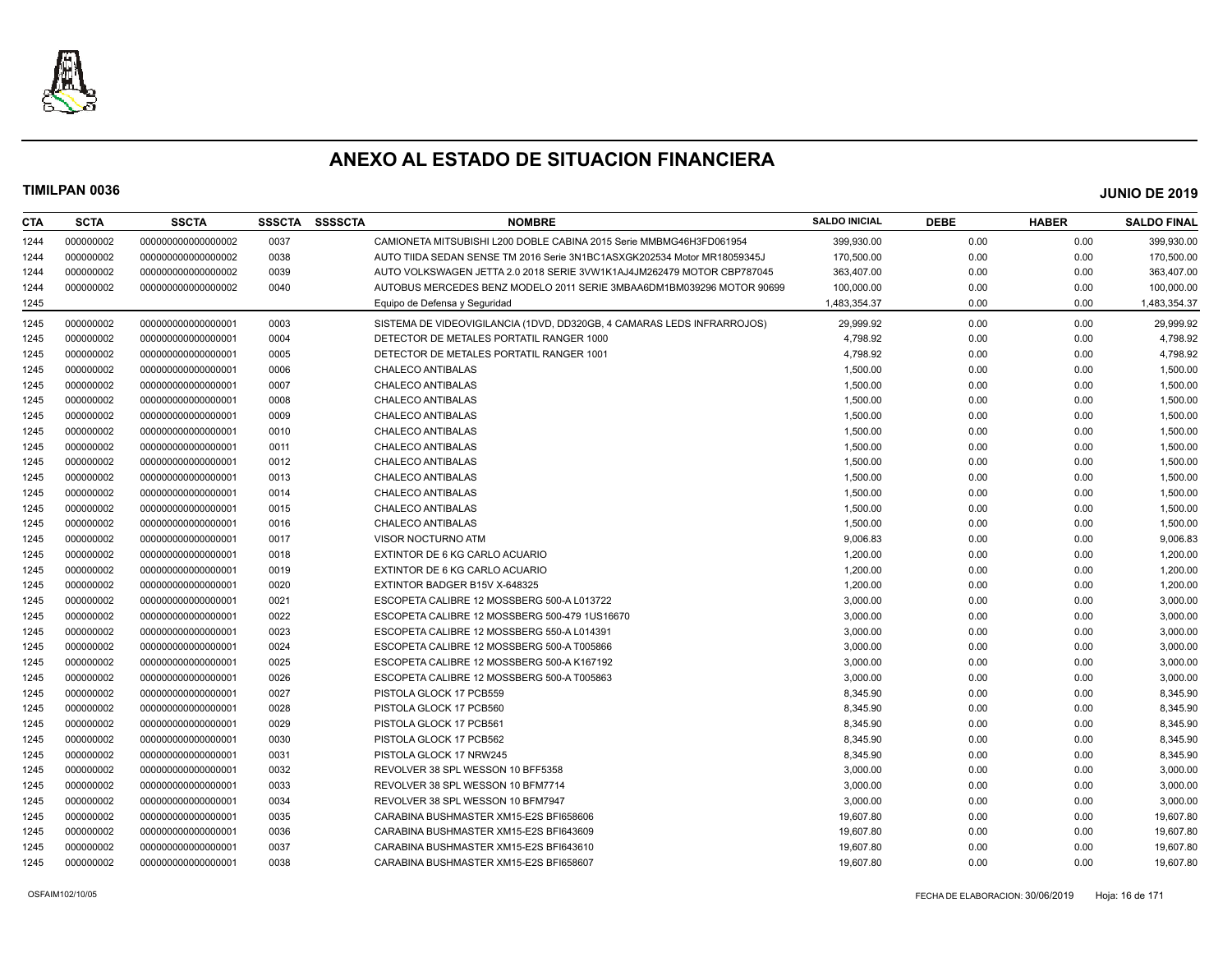

| CTA  | <b>SCTA</b> | <b>SSCTA</b>       | <b>SSSCTA</b> | <b>SSSSCTA</b> | <b>NOMBRE</b>                                                            | <b>SALDO INICIAL</b> | <b>DEBE</b> | <b>HABER</b> | <b>SALDO FINAL</b> |
|------|-------------|--------------------|---------------|----------------|--------------------------------------------------------------------------|----------------------|-------------|--------------|--------------------|
| 1244 | 000000002   | 00000000000000002  | 0037          |                | CAMIONETA MITSUBISHI L200 DOBLE CABINA 2015 Serie MMBMG46H3FD061954      | 399,930.00           | 0.00        | 0.00         | 399,930.00         |
| 1244 | 000000002   | 00000000000000002  | 0038          |                | AUTO TIIDA SEDAN SENSE TM 2016 Serie 3N1BC1ASXGK202534 Motor MR18059345J | 170.500.00           | 0.00        | 0.00         | 170,500.00         |
| 1244 | 000000002   | 00000000000000002  | 0039          |                | AUTO VOLKSWAGEN JETTA 2.0 2018 SERIE 3VW1K1AJ4JM262479 MOTOR CBP787045   | 363,407.00           | 0.00        | 0.00         | 363,407.00         |
| 1244 | 000000002   | 00000000000000002  | 0040          |                | AUTOBUS MERCEDES BENZ MODELO 2011 SERIE 3MBAA6DM1BM039296 MOTOR 90699    | 100,000.00           | 0.00        | 0.00         | 100,000.00         |
| 1245 |             |                    |               |                | Equipo de Defensa y Seguridad                                            | 1,483,354.37         | 0.00        | 0.00         | 1,483,354.37       |
| 1245 | 000000002   | 00000000000000001  | 0003          |                | SISTEMA DE VIDEOVIGILANCIA (1DVD, DD320GB, 4 CAMARAS LEDS INFRARROJOS)   | 29.999.92            | 0.00        | 0.00         | 29.999.92          |
| 1245 | 000000002   | 00000000000000001  | 0004          |                | DETECTOR DE METALES PORTATIL RANGER 1000                                 | 4,798.92             | 0.00        | 0.00         | 4,798.92           |
| 1245 | 000000002   | 00000000000000001  | 0005          |                | DETECTOR DE METALES PORTATIL RANGER 1001                                 | 4,798.92             | 0.00        | 0.00         | 4,798.92           |
| 1245 | 000000002   | 00000000000000001  | 0006          |                | <b>CHALECO ANTIBALAS</b>                                                 | 1,500.00             | 0.00        | 0.00         | 1,500.00           |
| 1245 | 000000002   | 00000000000000001  | 0007          |                | <b>CHALECO ANTIBALAS</b>                                                 | 1,500.00             | 0.00        | 0.00         | 1,500.00           |
| 1245 | 000000002   | 00000000000000001  | 0008          |                | <b>CHALECO ANTIBALAS</b>                                                 | 1,500.00             | 0.00        | 0.00         | 1,500.00           |
| 1245 | 000000002   | 00000000000000001  | 0009          |                | <b>CHALECO ANTIBALAS</b>                                                 | 1,500.00             | 0.00        | 0.00         | 1,500.00           |
| 1245 | 000000002   | 00000000000000001  | 0010          |                | CHALECO ANTIBALAS                                                        | 1,500.00             | 0.00        | 0.00         | 1,500.00           |
| 1245 | 000000002   | 000000000000000001 | 0011          |                | <b>CHALECO ANTIBALAS</b>                                                 | 1,500.00             | 0.00        | 0.00         | 1,500.00           |
| 1245 | 000000002   | 00000000000000001  | 0012          |                | <b>CHALECO ANTIBALAS</b>                                                 | 1,500.00             | 0.00        | 0.00         | 1,500.00           |
| 1245 | 000000002   | 000000000000000001 | 0013          |                | CHALECO ANTIBALAS                                                        | 1,500.00             | 0.00        | 0.00         | 1,500.00           |
| 1245 | 000000002   | 00000000000000001  | 0014          |                | <b>CHALECO ANTIBALAS</b>                                                 | 1,500.00             | 0.00        | 0.00         | 1,500.00           |
| 1245 | 000000002   | 00000000000000001  | 0015          |                | <b>CHALECO ANTIBALAS</b>                                                 | 1,500.00             | 0.00        | 0.00         | 1,500.00           |
| 1245 | 000000002   | 00000000000000001  | 0016          |                | CHALECO ANTIBALAS                                                        | 1,500.00             | 0.00        | 0.00         | 1,500.00           |
| 1245 | 000000002   | 00000000000000001  | 0017          |                | VISOR NOCTURNO ATM                                                       | 9,006.83             | 0.00        | 0.00         | 9,006.83           |
| 1245 | 000000002   | 00000000000000001  | 0018          |                | EXTINTOR DE 6 KG CARLO ACUARIO                                           | 1,200.00             | 0.00        | 0.00         | 1,200.00           |
| 1245 | 000000002   | 000000000000000001 | 0019          |                | EXTINTOR DE 6 KG CARLO ACUARIO                                           | 1,200.00             | 0.00        | 0.00         | 1,200.00           |
| 1245 | 000000002   | 00000000000000001  | 0020          |                | EXTINTOR BADGER B15V X-648325                                            | 1,200.00             | 0.00        | 0.00         | 1,200.00           |
| 1245 | 000000002   | 000000000000000001 | 0021          |                | ESCOPETA CALIBRE 12 MOSSBERG 500-A L013722                               | 3,000.00             | 0.00        | 0.00         | 3,000.00           |
| 1245 | 000000002   | 00000000000000001  | 0022          |                | ESCOPETA CALIBRE 12 MOSSBERG 500-479 1US16670                            | 3,000.00             | 0.00        | 0.00         | 3,000.00           |
| 1245 | 000000002   | 00000000000000001  | 0023          |                | ESCOPETA CALIBRE 12 MOSSBERG 550-A L014391                               | 3,000.00             | 0.00        | 0.00         | 3,000.00           |
| 1245 | 000000002   | 00000000000000001  | 0024          |                | ESCOPETA CALIBRE 12 MOSSBERG 500-A T005866                               | 3,000.00             | 0.00        | 0.00         | 3,000.00           |
| 1245 | 000000002   | 000000000000000001 | 0025          |                | ESCOPETA CALIBRE 12 MOSSBERG 500-A K167192                               | 3,000.00             | 0.00        | 0.00         | 3,000.00           |
| 1245 | 000000002   | 00000000000000001  | 0026          |                | ESCOPETA CALIBRE 12 MOSSBERG 500-A T005863                               | 3,000.00             | 0.00        | 0.00         | 3,000.00           |
| 1245 | 000000002   | 000000000000000001 | 0027          |                | PISTOLA GLOCK 17 PCB559                                                  | 8,345.90             | 0.00        | 0.00         | 8,345.90           |
| 1245 | 000000002   | 00000000000000001  | 0028          |                | PISTOLA GLOCK 17 PCB560                                                  | 8,345.90             | 0.00        | 0.00         | 8,345.90           |
| 1245 | 000000002   | 00000000000000001  | 0029          |                | PISTOLA GLOCK 17 PCB561                                                  | 8,345.90             | 0.00        | 0.00         | 8,345.90           |
| 1245 | 000000002   | 00000000000000001  | 0030          |                | PISTOLA GLOCK 17 PCB562                                                  | 8,345.90             | 0.00        | 0.00         | 8,345.90           |
| 1245 | 000000002   | 00000000000000001  | 0031          |                | PISTOLA GLOCK 17 NRW245                                                  | 8,345.90             | 0.00        | 0.00         | 8,345.90           |
| 1245 | 000000002   | 00000000000000001  | 0032          |                | REVOLVER 38 SPL WESSON 10 BFF5358                                        | 3,000.00             | 0.00        | 0.00         | 3,000.00           |
| 1245 | 000000002   | 000000000000000001 | 0033          |                | REVOLVER 38 SPL WESSON 10 BFM7714                                        | 3,000.00             | 0.00        | 0.00         | 3,000.00           |
| 1245 | 000000002   | 00000000000000001  | 0034          |                | REVOLVER 38 SPL WESSON 10 BFM7947                                        | 3,000.00             | 0.00        | 0.00         | 3,000.00           |
| 1245 | 000000002   | 000000000000000001 | 0035          |                | CARABINA BUSHMASTER XM15-E2S BFI658606                                   | 19,607.80            | 0.00        | 0.00         | 19,607.80          |
| 1245 | 000000002   | 00000000000000001  | 0036          |                | CARABINA BUSHMASTER XM15-E2S BFI643609                                   | 19,607.80            | 0.00        | 0.00         | 19,607.80          |
| 1245 | 000000002   | 00000000000000001  | 0037          |                | CARABINA BUSHMASTER XM15-E2S BFI643610                                   | 19,607.80            | 0.00        | 0.00         | 19,607.80          |
| 1245 | 000000002   | 00000000000000001  | 0038          |                | CARABINA BUSHMASTER XM15-E2S BFI658607                                   | 19,607.80            | 0.00        | 0.00         | 19,607.80          |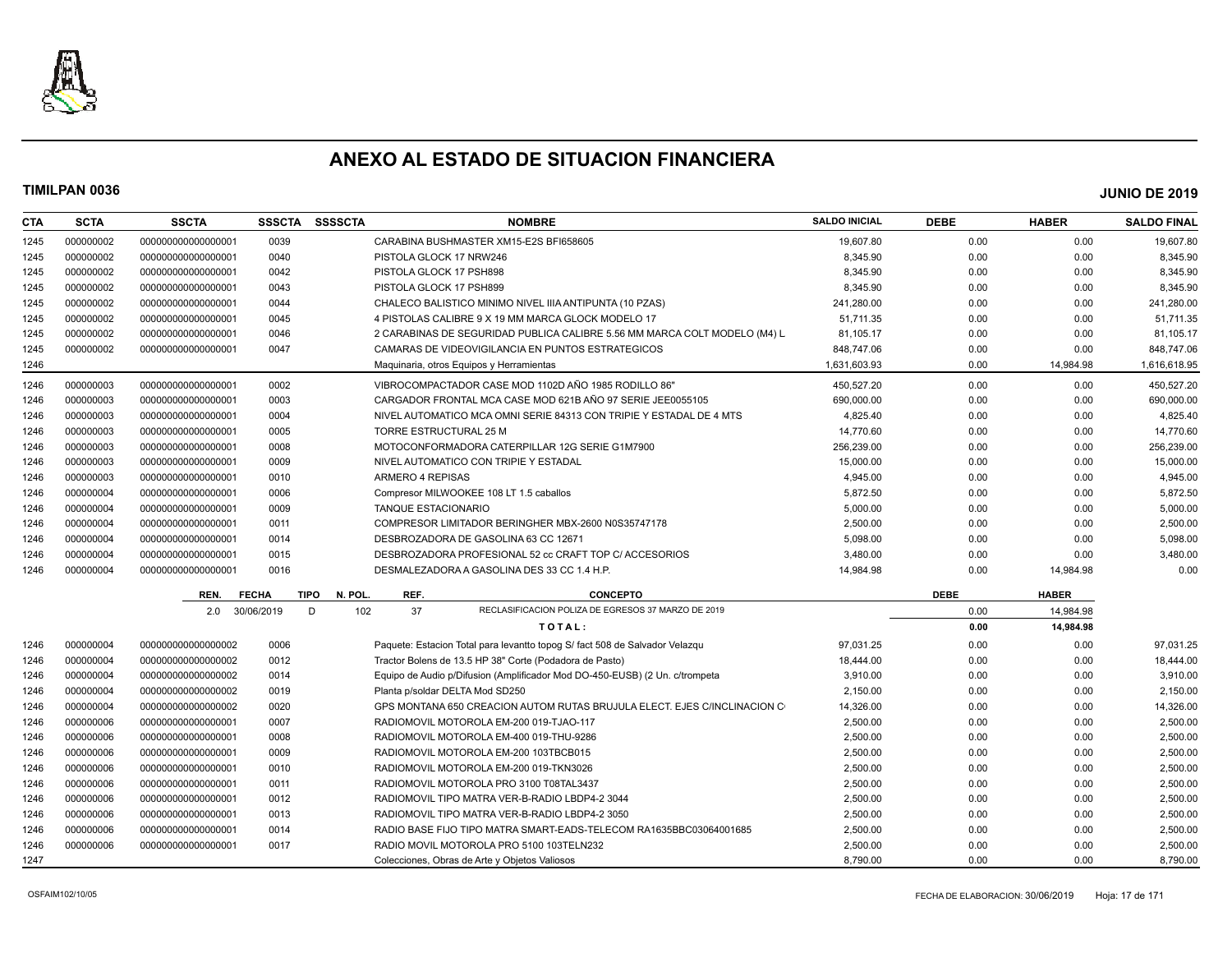

| <b>CTA</b> | <b>SCTA</b> | <b>SSCTA</b>       | <b>SSSCTA</b> | <b>SSSSCTA</b>        |                            | <b>NOMBRE</b>                                                               | <b>SALDO INICIAL</b> | <b>DEBE</b> | <b>HABER</b> | <b>SALDO FINAL</b> |
|------------|-------------|--------------------|---------------|-----------------------|----------------------------|-----------------------------------------------------------------------------|----------------------|-------------|--------------|--------------------|
| 1245       | 000000002   | 00000000000000000  | 0039          |                       |                            | CARABINA BUSHMASTER XM15-E2S BFI658605                                      | 19.607.80            | 0.00        | 0.00         | 19.607.80          |
| 1245       | 000000002   | 000000000000000001 | 0040          |                       | PISTOLA GLOCK 17 NRW246    |                                                                             | 8,345.90             | 0.00        | 0.00         | 8,345.90           |
| 1245       | 000000002   | 000000000000000001 | 0042          |                       | PISTOLA GLOCK 17 PSH898    |                                                                             | 8,345.90             | 0.00        | 0.00         | 8,345.90           |
| 1245       | 000000002   | 000000000000000001 | 0043          |                       | PISTOLA GLOCK 17 PSH899    |                                                                             | 8,345.90             | 0.00        | 0.00         | 8,345.90           |
| 1245       | 000000002   | 000000000000000001 | 0044          |                       |                            | CHALECO BALISTICO MINIMO NIVEL IIIA ANTIPUNTA (10 PZAS)                     | 241,280.00           | 0.00        | 0.00         | 241,280.00         |
| 1245       | 000000002   | 000000000000000001 | 0045          |                       |                            | 4 PISTOLAS CALIBRE 9 X 19 MM MARCA GLOCK MODELO 17                          | 51,711.35            | 0.00        | 0.00         | 51,711.35          |
| 1245       | 000000002   | 000000000000000001 | 0046          |                       |                            | 2 CARABINAS DE SEGURIDAD PUBLICA CALIBRE 5.56 MM MARCA COLT MODELO (M4) L   | 81,105.17            | 0.00        | 0.00         | 81,105.17          |
| 1245       | 000000002   | 000000000000000001 | 0047          |                       |                            | CAMARAS DE VIDEOVIGILANCIA EN PUNTOS ESTRATEGICOS                           | 848,747.06           | 0.00        | 0.00         | 848,747.06         |
| 1246       |             |                    |               |                       |                            | Maquinaria, otros Equipos y Herramientas                                    | 1,631,603.93         | 0.00        | 14,984.98    | 1,616,618.95       |
| 1246       | 000000003   | 000000000000000001 | 0002          |                       |                            | VIBROCOMPACTADOR CASE MOD 1102D AÑO 1985 RODILLO 86"                        | 450.527.20           | 0.00        | 0.00         | 450.527.20         |
| 1246       | 000000003   | 000000000000000001 | 0003          |                       |                            | CARGADOR FRONTAL MCA CASE MOD 621B ANO 97 SERIE JEE0055105                  | 690,000.00           | 0.00        | 0.00         | 690,000.00         |
| 1246       | 000000003   | 000000000000000001 | 0004          |                       |                            | NIVEL AUTOMATICO MCA OMNI SERIE 84313 CON TRIPIE Y ESTADAL DE 4 MTS         | 4,825.40             | 0.00        | 0.00         | 4,825.40           |
| 1246       | 000000003   | 000000000000000001 | 0005          |                       | TORRE ESTRUCTURAL 25 M     |                                                                             | 14,770.60            | 0.00        | 0.00         | 14,770.60          |
| 1246       | 000000003   | 000000000000000001 | 0008          |                       |                            | MOTOCONFORMADORA CATERPILLAR 12G SERIE G1M7900                              | 256,239.00           | 0.00        | 0.00         | 256,239.00         |
| 1246       | 000000003   | 000000000000000001 | 0009          |                       |                            | NIVEL AUTOMATICO CON TRIPIE Y ESTADAL                                       | 15,000.00            | 0.00        | 0.00         | 15,000.00          |
| 1246       | 000000003   | 000000000000000001 | 0010          |                       | ARMERO 4 REPISAS           |                                                                             | 4,945.00             | 0.00        | 0.00         | 4,945.00           |
| 1246       | 000000004   | 00000000000000001  | 0006          |                       |                            | Compresor MILWOOKEE 108 LT 1.5 caballos                                     | 5,872.50             | 0.00        | 0.00         | 5,872.50           |
| 1246       | 000000004   | 000000000000000001 | 0009          |                       | <b>TANQUE ESTACIONARIO</b> |                                                                             | 5,000.00             | 0.00        | 0.00         | 5,000.00           |
| 1246       | 000000004   | 000000000000000001 | 0011          |                       |                            | COMPRESOR LIMITADOR BERINGHER MBX-2600 N0S35747178                          | 2,500.00             | 0.00        | 0.00         | 2,500.00           |
| 1246       | 000000004   | 000000000000000001 | 0014          |                       |                            | DESBROZADORA DE GASOLINA 63 CC 12671                                        | 5.098.00             | 0.00        | 0.00         | 5,098.00           |
| 1246       | 000000004   | 000000000000000001 | 0015          |                       |                            | DESBROZADORA PROFESIONAL 52 cc CRAFT TOP C/ ACCESORIOS                      | 3,480.00             | 0.00        | 0.00         | 3,480.00           |
| 1246       | 000000004   | 000000000000000001 | 0016          |                       |                            | DESMALEZADORA A GASOLINA DES 33 CC 1.4 H.P.                                 | 14,984.98            | 0.00        | 14,984.98    | 0.00               |
|            |             | REN.               | <b>FECHA</b>  | <b>TIPO</b><br>N. POL | REF.                       | <b>CONCEPTO</b>                                                             |                      | <b>DEBE</b> | <b>HABER</b> |                    |
|            |             | 2.0                | 30/06/2019    | 102<br>D              | 37                         | RECLASIFICACION POLIZA DE EGRESOS 37 MARZO DE 2019                          |                      | 0.00        | 14.984.98    |                    |
|            |             |                    |               |                       |                            | TOTAL:                                                                      |                      | 0.00        | 14,984.98    |                    |
| 1246       | 000000004   | 000000000000000002 | 0006          |                       |                            | Paquete: Estacion Total para levantto topog S/ fact 508 de Salvador Velazqu | 97.031.25            | 0.00        | 0.00         | 97,031.25          |
| 1246       | 000000004   | 000000000000000002 | 0012          |                       |                            | Tractor Bolens de 13.5 HP 38" Corte (Podadora de Pasto)                     | 18,444.00            | 0.00        | 0.00         | 18,444.00          |
| 1246       | 000000004   | 000000000000000002 | 0014          |                       |                            | Equipo de Audio p/Difusion (Amplificador Mod DO-450-EUSB) (2 Un. c/trompeta | 3,910.00             | 0.00        | 0.00         | 3,910.00           |
| 1246       | 000000004   | 000000000000000002 | 0019          |                       |                            | Planta p/soldar DELTA Mod SD250                                             | 2,150.00             | 0.00        | 0.00         | 2,150.00           |
| 1246       | 000000004   | 000000000000000002 | 0020          |                       |                            | GPS MONTANA 650 CREACION AUTOM RUTAS BRUJULA ELECT. EJES C/INCLINACION C    | 14,326.00            | 0.00        | 0.00         | 14,326.00          |
| 1246       | 000000006   | 000000000000000001 | 0007          |                       |                            | RADIOMOVIL MOTOROLA EM-200 019-TJAO-117                                     | 2,500.00             | 0.00        | 0.00         | 2,500.00           |
| 1246       | 000000006   | 000000000000000001 | 0008          |                       |                            | RADIOMOVIL MOTOROLA EM-400 019-THU-9286                                     | 2,500.00             | 0.00        | 0.00         | 2,500.00           |
| 1246       | 000000006   | 000000000000000001 | 0009          |                       |                            | RADIOMOVIL MOTOROLA EM-200 103TBCB015                                       | 2,500.00             | 0.00        | 0.00         | 2,500.00           |
| 1246       | 000000006   | 000000000000000001 | 0010          |                       |                            | RADIOMOVIL MOTOROLA EM-200 019-TKN3026                                      | 2,500.00             | 0.00        | 0.00         | 2,500.00           |
| 1246       | 000000006   | 000000000000000001 | 0011          |                       |                            | RADIOMOVIL MOTOROLA PRO 3100 T08TAL3437                                     | 2,500.00             | 0.00        | 0.00         | 2,500.00           |
| 1246       | 000000006   | 000000000000000001 | 0012          |                       |                            | RADIOMOVIL TIPO MATRA VER-B-RADIO LBDP4-2 3044                              | 2,500.00             | 0.00        | 0.00         | 2,500.00           |
| 1246       | 000000006   | 000000000000000001 | 0013          |                       |                            | RADIOMOVIL TIPO MATRA VER-B-RADIO LBDP4-2 3050                              | 2,500.00             | 0.00        | 0.00         | 2,500.00           |
| 1246       | 000000006   | 000000000000000001 | 0014          |                       |                            | RADIO BASE FIJO TIPO MATRA SMART-EADS-TELECOM RA1635BBC03064001685          | 2,500.00             | 0.00        | 0.00         | 2,500.00           |
| 1246       | 000000006   | 000000000000000001 | 0017          |                       |                            | RADIO MOVIL MOTOROLA PRO 5100 103TELN232                                    | 2,500.00             | 0.00        | 0.00         | 2,500.00           |
| 1247       |             |                    |               |                       |                            | Colecciones, Obras de Arte y Objetos Valiosos                               | 8,790.00             | 0.00        | 0.00         | 8,790.00           |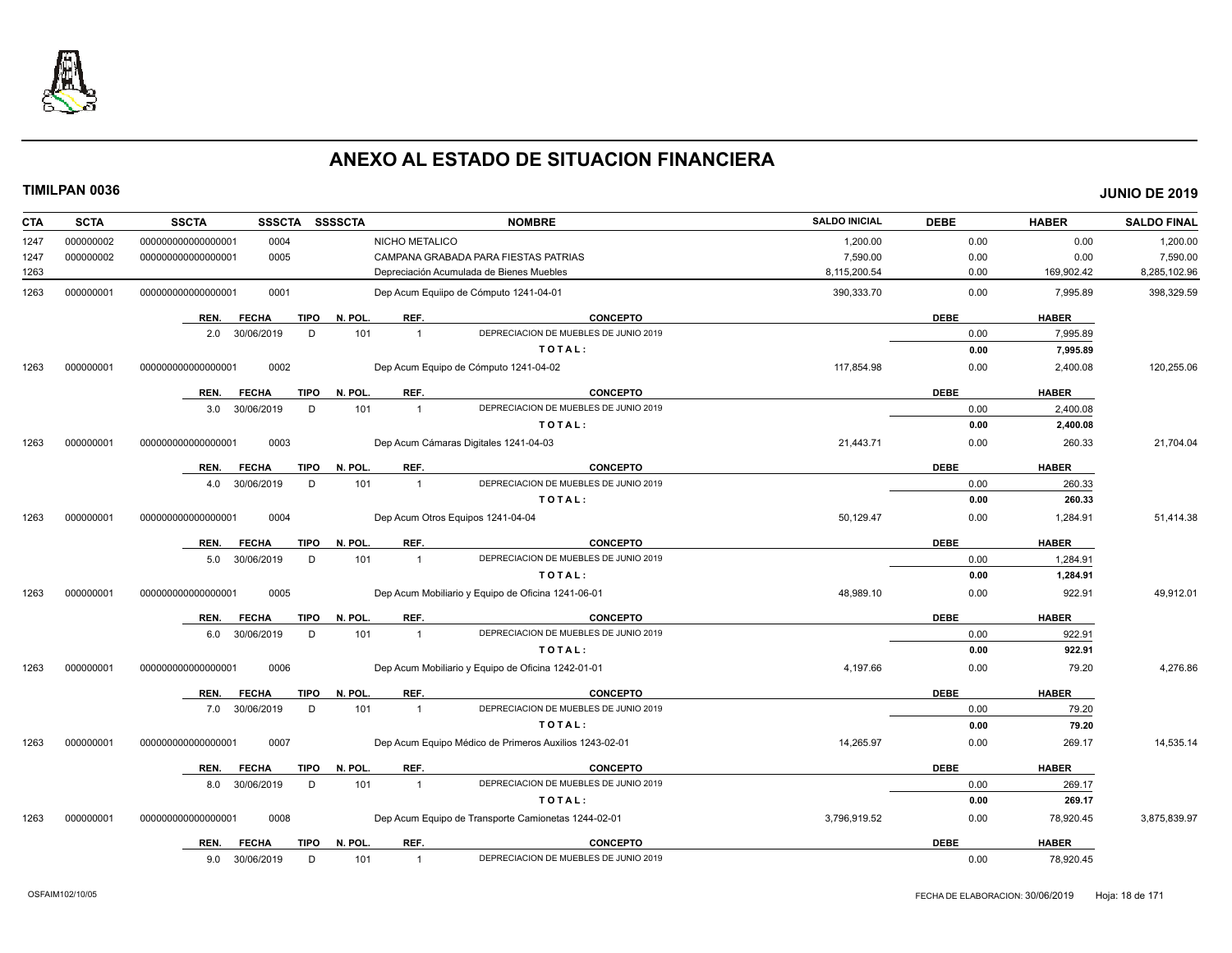

| <b>CTA</b> | <b>SCTA</b> | <b>SSCTA</b>         | <b>SSSCTA</b> | <b>SSSSCTA</b>         |                | <b>NOMBRE</b>                                          | <b>SALDO INICIAL</b> | <b>DEBE</b> | <b>HABER</b> | <b>SALDO FINAL</b> |
|------------|-------------|----------------------|---------------|------------------------|----------------|--------------------------------------------------------|----------------------|-------------|--------------|--------------------|
| 1247       | 000000002   | 00000000000000001    | 0004          |                        | NICHO METALICO |                                                        | 1,200.00             | 0.00        | 0.00         | 1,200.00           |
| 1247       | 000000002   | 00000000000000001    | 0005          |                        |                | CAMPANA GRABADA PARA FIESTAS PATRIAS                   | 7,590.00             | 0.00        | 0.00         | 7,590.00           |
| 1263       |             |                      |               |                        |                | Depreciación Acumulada de Bienes Muebles               | 8,115,200.54         | 0.00        | 169,902.42   | 8,285,102.96       |
| 1263       | 000000001   | 00000000000000001    | 0001          |                        |                | Dep Acum Equiipo de Cómputo 1241-04-01                 | 390,333.70           | 0.00        | 7,995.89     | 398,329.59         |
|            |             | REN.<br><b>FECHA</b> |               | <b>TIPO</b><br>N. POL. | REF.           | <b>CONCEPTO</b>                                        |                      | <b>DEBE</b> | <b>HABER</b> |                    |
|            |             | 30/06/2019<br>2.0    |               | 101<br>D               | $\overline{1}$ | DEPRECIACION DE MUEBLES DE JUNIO 2019                  |                      | 0.00        | 7,995.89     |                    |
|            |             |                      |               |                        |                | TOTAL:                                                 |                      | 0.00        | 7,995.89     |                    |
| 1263       | 000000001   | 000000000000000001   | 0002          |                        |                | Dep Acum Equipo de Cómputo 1241-04-02                  | 117,854.98           | 0.00        | 2,400.08     | 120,255.06         |
|            |             | REN.<br><b>FECHA</b> | <b>TIPO</b>   | N. POL.                | REF.           | <b>CONCEPTO</b>                                        |                      | <b>DEBE</b> | <b>HABER</b> |                    |
|            |             | 30/06/2019<br>3.0    |               | 101<br>D               | $\overline{1}$ | DEPRECIACION DE MUEBLES DE JUNIO 2019                  |                      | 0.00        | 2,400.08     |                    |
|            |             |                      |               |                        |                | TOTAL:                                                 |                      | 0.00        | 2,400.08     |                    |
| 1263       | 000000001   | 000000000000000001   | 0003          |                        |                | Dep Acum Cámaras Digitales 1241-04-03                  | 21,443.71            | 0.00        | 260.33       | 21,704.04          |
|            |             | <b>FECHA</b><br>REN. |               | N. POL.<br>TIPO        | REF.           | <b>CONCEPTO</b>                                        |                      | <b>DEBE</b> | <b>HABER</b> |                    |
|            |             | 30/06/2019<br>4.0    |               | D<br>101               | $\overline{1}$ | DEPRECIACION DE MUEBLES DE JUNIO 2019                  |                      | 0.00        | 260.33       |                    |
|            |             |                      |               |                        |                | TOTAL:                                                 |                      | 0.00        | 260.33       |                    |
| 1263       | 000000001   | 00000000000000001    | 0004          |                        |                | Dep Acum Otros Equipos 1241-04-04                      | 50,129.47            | 0.00        | 1,284.91     | 51,414.38          |
|            |             | <b>FECHA</b><br>REN. |               | <b>TIPO</b><br>N. POL. | REF.           | <b>CONCEPTO</b>                                        |                      | <b>DEBE</b> | <b>HABER</b> |                    |
|            |             | 30/06/2019<br>5.0    |               | 101<br>D               | $\overline{1}$ | DEPRECIACION DE MUEBLES DE JUNIO 2019                  |                      | 0.00        | 1,284.91     |                    |
|            |             |                      |               |                        |                | TOTAL:                                                 |                      | 0.00        | 1,284.91     |                    |
| 1263       | 000000001   | 000000000000000001   | 0005          |                        |                | Dep Acum Mobiliario y Equipo de Oficina 1241-06-01     | 48,989.10            | 0.00        | 922.91       | 49,912.01          |
|            |             | <b>FECHA</b><br>REN. |               | N. POL.<br><b>TIPO</b> | REF.           | <b>CONCEPTO</b>                                        |                      | <b>DEBE</b> | <b>HABER</b> |                    |
|            |             | 30/06/2019<br>6.0    |               | 101<br>D               | $\overline{1}$ | DEPRECIACION DE MUEBLES DE JUNIO 2019                  |                      | 0.00        | 922.91       |                    |
|            |             |                      |               |                        |                | TOTAL:                                                 |                      | 0.00        | 922.91       |                    |
| 1263       | 000000001   | 00000000000000001    | 0006          |                        |                | Dep Acum Mobiliario y Equipo de Oficina 1242-01-01     | 4,197.66             | 0.00        | 79.20        | 4,276.86           |
|            |             | <b>FECHA</b><br>REN. |               | N. POL.<br><b>TIPO</b> | REF.           | <b>CONCEPTO</b>                                        |                      | <b>DEBE</b> | <b>HABER</b> |                    |
|            |             | 7.0 30/06/2019       |               | D<br>101               | $\overline{1}$ | DEPRECIACION DE MUEBLES DE JUNIO 2019                  |                      | 0.00        | 79.20        |                    |
|            |             |                      |               |                        |                | TOTAL:                                                 |                      | 0.00        | 79.20        |                    |
| 1263       | 000000001   | 000000000000000001   | 0007          |                        |                | Dep Acum Equipo Médico de Primeros Auxilios 1243-02-01 | 14,265.97            | 0.00        | 269.17       | 14,535.14          |
|            |             | REN.<br><b>FECHA</b> |               | N. POL.<br><b>TIPO</b> | REF.           | <b>CONCEPTO</b>                                        |                      | <b>DEBE</b> | <b>HABER</b> |                    |
|            |             | 30/06/2019<br>8.0    |               | 101<br>D               | $\overline{1}$ | DEPRECIACION DE MUEBLES DE JUNIO 2019                  |                      | 0.00        | 269.17       |                    |
|            |             |                      |               |                        |                | TOTAL:                                                 |                      | 0.00        | 269.17       |                    |
| 1263       | 000000001   | 000000000000000001   | 0008          |                        |                | Dep Acum Equipo de Transporte Camionetas 1244-02-01    | 3,796,919.52         | 0.00        | 78,920.45    | 3,875,839.97       |
|            |             | <b>FECHA</b><br>REN. |               | N. POL.<br>TIPO        | REF.           | <b>CONCEPTO</b>                                        |                      | <b>DEBE</b> | <b>HABER</b> |                    |
|            |             | 9.0<br>30/06/2019    |               | D<br>101               | $\mathbf{1}$   | DEPRECIACION DE MUEBLES DE JUNIO 2019                  |                      | 0.00        | 78,920.45    |                    |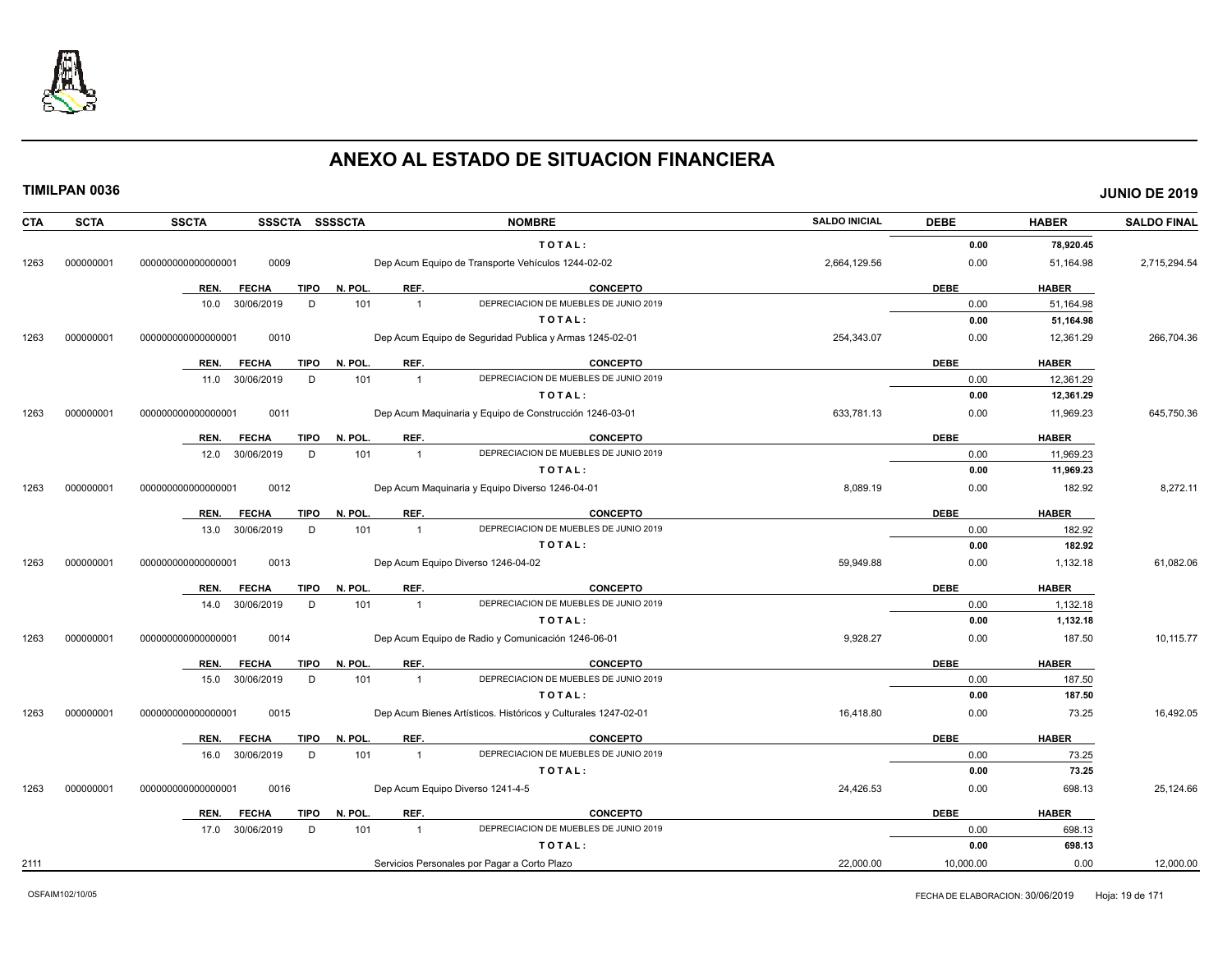

| <b>CTA</b> | <b>SCTA</b> | <b>SSCTA</b><br>SSSCTA SSSSCTA                         |                                          | <b>NOMBRE</b>                                                  | <b>SALDO INICIAL</b> | <b>DEBE</b>         | <b>HABER</b>           | <b>SALDO FINAL</b> |
|------------|-------------|--------------------------------------------------------|------------------------------------------|----------------------------------------------------------------|----------------------|---------------------|------------------------|--------------------|
|            |             |                                                        |                                          | TOTAL:                                                         |                      | 0.00                | 78,920.45              |                    |
| 1263       | 000000001   | 0009<br>000000000000000001                             |                                          | Dep Acum Equipo de Transporte Vehículos 1244-02-02             | 2,664,129.56         | 0.00                | 51,164.98              | 2,715,294.54       |
|            |             | <b>FECHA</b><br><b>TIPO</b><br>REN.                    | REF.<br>N. POL.                          | <b>CONCEPTO</b>                                                |                      | <b>DEBE</b>         | <b>HABER</b>           |                    |
|            |             | 30/06/2019<br>D<br>10.0                                | 101<br>$\overline{1}$                    | DEPRECIACION DE MUEBLES DE JUNIO 2019                          |                      | 0.00                | 51,164.98              |                    |
|            |             |                                                        |                                          | TOTAL:                                                         |                      | 0.00                | 51,164.98              |                    |
| 1263       | 000000001   | 000000000000000001<br>0010                             |                                          | Dep Acum Equipo de Seguridad Publica y Armas 1245-02-01        | 254,343.07           | 0.00                | 12,361.29              | 266,704.36         |
|            |             |                                                        |                                          |                                                                |                      |                     |                        |                    |
|            |             | REN.<br><b>FECHA</b><br><b>TIPO</b>                    | REF.<br>N. POL                           | <b>CONCEPTO</b>                                                |                      | <b>DEBE</b>         | <b>HABER</b>           |                    |
|            |             | 30/06/2019<br>D<br>11.0                                | 101<br>$\overline{1}$                    | DEPRECIACION DE MUEBLES DE JUNIO 2019                          |                      | 0.00                | 12,361.29              |                    |
|            |             |                                                        |                                          | TOTAL:                                                         |                      | 0.00                | 12,361.29              |                    |
| 1263       | 000000001   | 0011<br>000000000000000001                             |                                          | Dep Acum Maquinaria y Equipo de Construcción 1246-03-01        | 633,781.13           | 0.00                | 11,969.23              | 645,750.36         |
|            |             | <b>FECHA</b><br><b>TIPO</b><br>REN.                    | REF.<br>N. POL.                          | <b>CONCEPTO</b>                                                |                      | <b>DEBE</b>         | <b>HABER</b>           |                    |
|            |             | 30/06/2019<br>D<br>12.0                                | 101<br>$\overline{1}$                    | DEPRECIACION DE MUEBLES DE JUNIO 2019                          |                      | 0.00                | 11,969.23              |                    |
|            |             |                                                        |                                          | TOTAL:                                                         |                      | 0.00                | 11,969.23              |                    |
| 1263       | 000000001   | 000000000000000001<br>0012                             |                                          | Dep Acum Maquinaria y Equipo Diverso 1246-04-01                | 8,089.19             | 0.00                | 182.92                 | 8,272.11           |
|            |             |                                                        |                                          |                                                                |                      |                     |                        |                    |
|            |             | <b>TIPO</b><br>REN.<br><b>FECHA</b><br>30/06/2019<br>D | N. POL.<br>REF.<br>101<br>$\overline{1}$ | <b>CONCEPTO</b><br>DEPRECIACION DE MUEBLES DE JUNIO 2019       |                      | <b>DEBE</b><br>0.00 | <b>HABER</b><br>182.92 |                    |
|            |             | 13.0                                                   |                                          | TOTAL:                                                         |                      | 0.00                | 182.92                 |                    |
|            | 000000001   | 0013<br>000000000000000001                             |                                          |                                                                | 59.949.88            | 0.00                |                        | 61,082.06          |
| 1263       |             |                                                        |                                          | Dep Acum Equipo Diverso 1246-04-02                             |                      |                     | 1,132.18               |                    |
|            |             | <b>TIPO</b><br>REN.<br><b>FECHA</b>                    | N. POL.<br>REF.                          | <b>CONCEPTO</b>                                                |                      | <b>DEBE</b>         | <b>HABER</b>           |                    |
|            |             | 30/06/2019<br>D<br>14.0                                | 101<br>$\overline{1}$                    | DEPRECIACION DE MUEBLES DE JUNIO 2019                          |                      | 0.00                | 1,132.18               |                    |
|            |             |                                                        |                                          | TOTAL:                                                         |                      | 0.00                | 1,132.18               |                    |
| 1263       | 000000001   | 0014<br>000000000000000001                             |                                          | Dep Acum Equipo de Radio y Comunicación 1246-06-01             | 9,928.27             | 0.00                | 187.50                 | 10,115.77          |
|            |             | <b>FECHA</b><br><b>TIPO</b><br>REN.                    | N. POL.<br>REF.                          | CONCEPTO                                                       |                      | <b>DEBE</b>         | <b>HABER</b>           |                    |
|            |             | 30/06/2019<br>D<br>15.0                                | 101<br>$\overline{1}$                    | DEPRECIACION DE MUEBLES DE JUNIO 2019                          |                      | 0.00                | 187.50                 |                    |
|            |             |                                                        |                                          | TOTAL:                                                         |                      | 0.00                | 187.50                 |                    |
| 1263       | 000000001   | 0015<br>000000000000000001                             |                                          | Dep Acum Bienes Artísticos. Históricos y Culturales 1247-02-01 | 16,418.80            | 0.00                | 73.25                  | 16,492.05          |
|            |             | REN.<br><b>FECHA</b><br><b>TIPO</b>                    | N. POL<br>REF.                           | CONCEPTO                                                       |                      | <b>DEBE</b>         | <b>HABER</b>           |                    |
|            |             | 30/06/2019<br>D<br>16.0                                | 101<br>$\overline{1}$                    | DEPRECIACION DE MUEBLES DE JUNIO 2019                          |                      | 0.00                | 73.25                  |                    |
|            |             |                                                        |                                          | TOTAL:                                                         |                      | 0.00                | 73.25                  |                    |
| 1263       | 000000001   | 0016<br>00000000000000000                              |                                          | Dep Acum Equipo Diverso 1241-4-5                               | 24,426.53            | 0.00                | 698.13                 | 25,124.66          |
|            |             |                                                        |                                          |                                                                |                      |                     |                        |                    |
|            |             | <b>FECHA</b><br><b>TIPO</b><br>REN.                    | REF.<br>N. POL.                          | CONCEPTO<br>DEPRECIACION DE MUEBLES DE JUNIO 2019              |                      | <b>DEBE</b>         | <b>HABER</b>           |                    |
|            |             | D<br>17.0<br>30/06/2019                                | 101<br>$\overline{1}$                    | TOTAL:                                                         |                      | 0.00<br>0.00        | 698.13<br>698.13       |                    |
|            |             |                                                        |                                          |                                                                |                      |                     |                        |                    |
| 2111       |             |                                                        |                                          | Servicios Personales por Pagar a Corto Plazo                   | 22,000.00            | 10,000.00           | 0.00                   | 12,000.00          |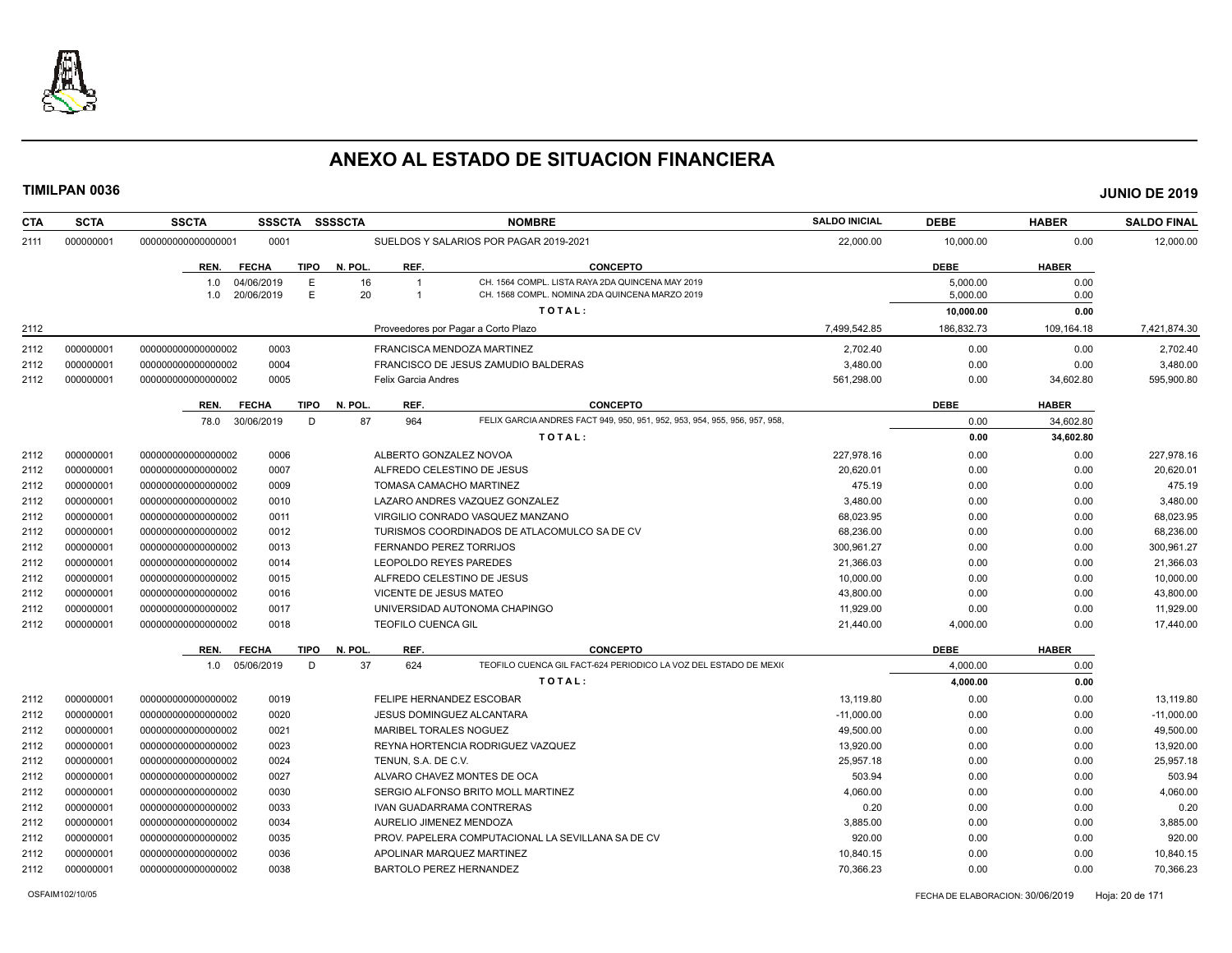

| <b>CTA</b> | <b>SCTA</b> | <b>SSCTA</b><br><b>SSSCTA</b>          | <b>SSSSCTA</b>         |                                     | <b>NOMBRE</b>                                                                                      | <b>SALDO INICIAL</b> | <b>DEBE</b>          | <b>HABER</b> | <b>SALDO FINAL</b> |
|------------|-------------|----------------------------------------|------------------------|-------------------------------------|----------------------------------------------------------------------------------------------------|----------------------|----------------------|--------------|--------------------|
| 2111       | 000000001   | 000000000000000001<br>0001             |                        |                                     | SUELDOS Y SALARIOS POR PAGAR 2019-2021                                                             | 22.000.00            | 10.000.00            | 0.00         | 12.000.00          |
|            |             | <b>FECHA</b><br>REN.                   | <b>TIPO</b><br>N. POL. | REF.                                | <b>CONCEPTO</b>                                                                                    |                      | <b>DEBE</b>          | <b>HABER</b> |                    |
|            |             | 1.0<br>04/06/2019<br>20/06/2019<br>1.0 | E<br>16<br>E<br>20     | $\overline{1}$<br>$\overline{1}$    | CH. 1564 COMPL. LISTA RAYA 2DA QUINCENA MAY 2019<br>CH. 1568 COMPL. NOMINA 2DA QUINCENA MARZO 2019 |                      | 5,000.00<br>5.000.00 | 0.00<br>0.00 |                    |
|            |             |                                        |                        |                                     | TOTAL:                                                                                             |                      | 10,000.00            | 0.00         |                    |
| 2112       |             |                                        |                        | Proveedores por Pagar a Corto Plazo |                                                                                                    | 7,499,542.85         | 186,832.73           | 109,164.18   | 7,421,874.30       |
| 2112       | 000000001   | 000000000000000002<br>0003             |                        | FRANCISCA MENDOZA MARTINEZ          |                                                                                                    | 2.702.40             | 0.00                 | 0.00         | 2.702.40           |
| 2112       | 000000001   | 0004<br>00000000000000002              |                        |                                     | FRANCISCO DE JESUS ZAMUDIO BALDERAS                                                                | 3,480.00             | 0.00                 | 0.00         | 3,480.00           |
| 2112       | 000000001   | 0005<br>000000000000000002             |                        | <b>Felix Garcia Andres</b>          |                                                                                                    | 561,298.00           | 0.00                 | 34,602.80    | 595,900.80         |
|            |             | <b>FECHA</b><br>REN.                   | <b>TIPO</b><br>N. POL. | REF.                                | <b>CONCEPTO</b>                                                                                    |                      | <b>DEBE</b>          | <b>HABER</b> |                    |
|            |             | 30/06/2019<br>78.0                     | 87<br>D                | 964                                 | FELIX GARCIA ANDRES FACT 949, 950, 951, 952, 953, 954, 955, 956, 957, 958,                         |                      | 0.00                 | 34,602.80    |                    |
|            |             |                                        |                        |                                     | TOTAL:                                                                                             |                      | 0.00                 | 34,602.80    |                    |
| 2112       | 000000001   | 00000000000000002<br>0006              |                        | ALBERTO GONZALEZ NOVOA              |                                                                                                    | 227.978.16           | 0.00                 | 0.00         | 227,978.16         |
| 2112       | 000000001   | 0007<br>00000000000000002              |                        | ALFREDO CELESTINO DE JESUS          |                                                                                                    | 20,620.01            | 0.00                 | 0.00         | 20,620.01          |
| 2112       | 000000001   | 00000000000000002<br>0009              |                        | TOMASA CAMACHO MARTINEZ             |                                                                                                    | 475.19               | 0.00                 | 0.00         | 475.19             |
| 2112       | 000000001   | 00000000000000002<br>0010              |                        |                                     | LAZARO ANDRES VAZQUEZ GONZALEZ                                                                     | 3,480.00             | 0.00                 | 0.00         | 3,480.00           |
| 2112       | 000000001   | 00000000000000002<br>0011              |                        |                                     | VIRGILIO CONRADO VASQUEZ MANZANO                                                                   | 68,023.95            | 0.00                 | 0.00         | 68,023.95          |
| 2112       | 000000001   | 00000000000000002<br>0012              |                        |                                     | TURISMOS COORDINADOS DE ATLACOMULCO SA DE CV                                                       | 68,236.00            | 0.00                 | 0.00         | 68,236.00          |
| 2112       | 000000001   | 00000000000000002<br>0013              |                        | <b>FERNANDO PEREZ TORRIJOS</b>      |                                                                                                    | 300.961.27           | 0.00                 | 0.00         | 300,961.27         |
| 2112       | 000000001   | 00000000000000002<br>0014              |                        | LEOPOLDO REYES PAREDES              |                                                                                                    | 21.366.03            | 0.00                 | 0.00         | 21,366.03          |
| 2112       | 000000001   | 00000000000000002<br>0015              |                        | ALFREDO CELESTINO DE JESUS          |                                                                                                    | 10,000.00            | 0.00                 | 0.00         | 10,000.00          |
| 2112       | 000000001   | 000000000000000002<br>0016             |                        | VICENTE DE JESUS MATEO              |                                                                                                    | 43,800.00            | 0.00                 | 0.00         | 43,800.00          |
| 2112       | 000000001   | 0017<br>00000000000000002              |                        |                                     | UNIVERSIDAD AUTONOMA CHAPINGO                                                                      | 11,929.00            | 0.00                 | 0.00         | 11,929.00          |
| 2112       | 000000001   | 00000000000000002<br>0018              |                        | <b>TEOFILO CUENCA GIL</b>           |                                                                                                    | 21,440.00            | 4,000.00             | 0.00         | 17,440.00          |
|            |             | REN.<br><b>FECHA</b>                   | N. POL.<br><b>TIPO</b> | REF.                                | <b>CONCEPTO</b>                                                                                    |                      | <b>DEBE</b>          | <b>HABER</b> |                    |
|            |             | 1.0 05/06/2019                         | 37<br>D                | 624                                 | TEOFILO CUENCA GIL FACT-624 PERIODICO LA VOZ DEL ESTADO DE MEXIO                                   |                      | 4,000.00             | 0.00         |                    |
|            |             |                                        |                        |                                     | TOTAL:                                                                                             |                      | 4,000.00             | 0.00         |                    |
| 2112       | 000000001   | 0019<br>00000000000000002              |                        | FELIPE HERNANDEZ ESCOBAR            |                                                                                                    | 13,119.80            | 0.00                 | 0.00         | 13,119.80          |
| 2112       | 000000001   | 0020<br>00000000000000002              |                        | JESUS DOMINGUEZ ALCANTARA           |                                                                                                    | $-11,000.00$         | 0.00                 | 0.00         | $-11,000.00$       |
| 2112       | 000000001   | 00000000000000002<br>0021              |                        | <b>MARIBEL TORALES NOGUEZ</b>       |                                                                                                    | 49,500.00            | 0.00                 | 0.00         | 49,500.00          |
| 2112       | 000000001   | 0023<br>00000000000000002              |                        |                                     | REYNA HORTENCIA RODRIGUEZ VAZQUEZ                                                                  | 13,920.00            | 0.00                 | 0.00         | 13,920.00          |
| 2112       | 000000001   | 0024<br>00000000000000002              |                        | TENUN, S.A. DE C.V.                 |                                                                                                    | 25.957.18            | 0.00                 | 0.00         | 25.957.18          |
| 2112       | 000000001   | 0027<br>00000000000000002              |                        | ALVARO CHAVEZ MONTES DE OCA         |                                                                                                    | 503.94               | 0.00                 | 0.00         | 503.94             |
| 2112       | 000000001   | 00000000000000002<br>0030              |                        |                                     | SERGIO ALFONSO BRITO MOLL MARTINEZ                                                                 | 4,060.00             | 0.00                 | 0.00         | 4,060.00           |
| 2112       | 000000001   | 00000000000000002<br>0033              |                        | IVAN GUADARRAMA CONTRERAS           |                                                                                                    | 0.20                 | 0.00                 | 0.00         | 0.20               |
| 2112       | 000000001   | 00000000000000002<br>0034              |                        | AURELIO JIMENEZ MENDOZA             |                                                                                                    | 3,885.00             | 0.00                 | 0.00         | 3,885.00           |
|            | 000000001   | 00000000000000002<br>0035              |                        |                                     | PROV. PAPELERA COMPUTACIONAL LA SEVILLANA SA DE CV                                                 | 920.00               | 0.00                 | 0.00         | 920.00             |
| 2112       |             |                                        |                        |                                     |                                                                                                    |                      |                      |              |                    |
| 2112       | 000000001   | 00000000000000002<br>0036              |                        | APOLINAR MARQUEZ MARTINEZ           |                                                                                                    | 10,840.15            | 0.00                 | 0.00         | 10,840.15          |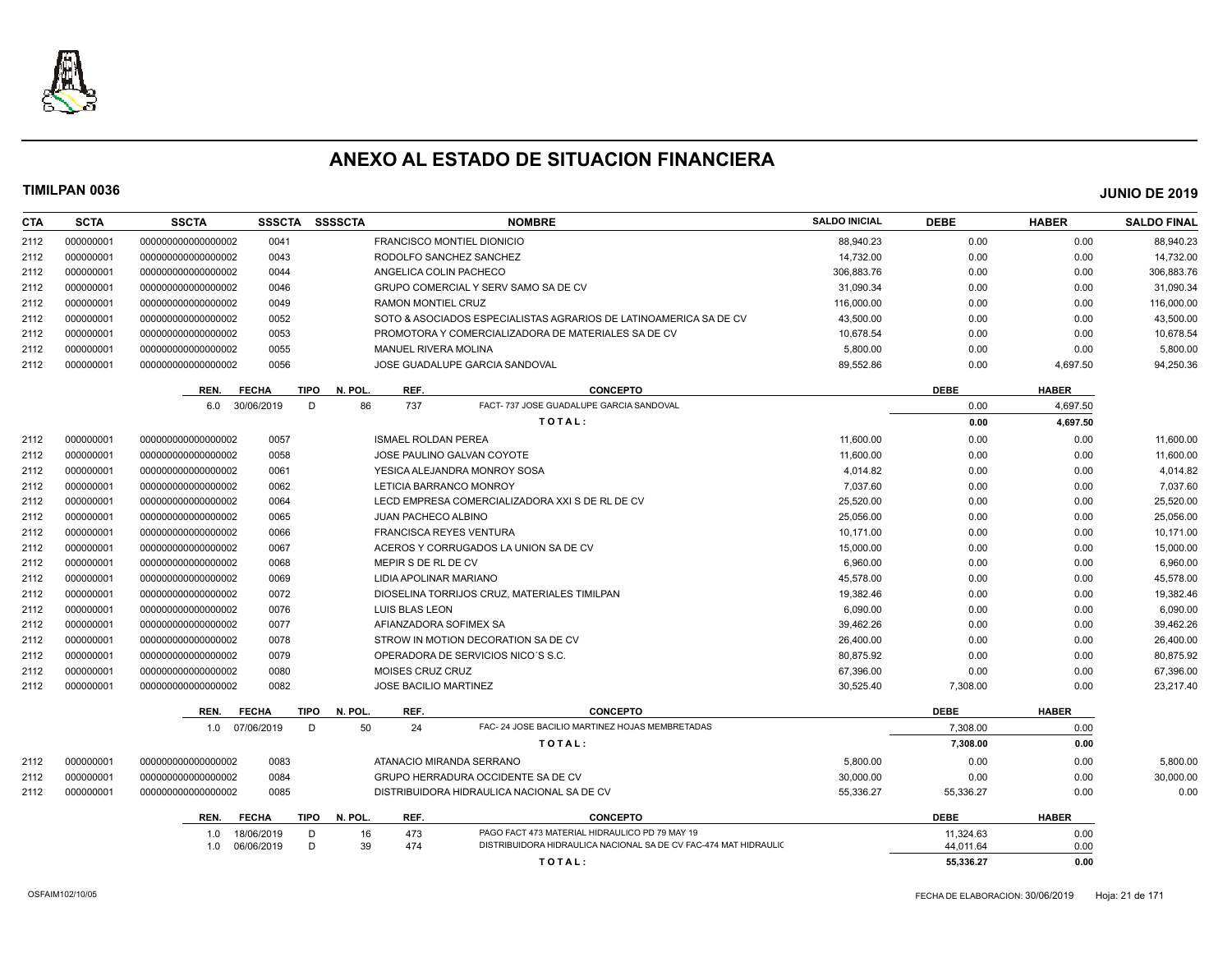

| <b>CTA</b> | <b>SCTA</b> | <b>SSCTA</b>       | <b>SSSCTA</b>        | <b>SSSSCTA</b>  |                                   | <b>NOMBRE</b>                                                     | <b>SALDO INICIAL</b> | <b>DEBE</b> | <b>HABER</b> | <b>SALDO FINAL</b> |
|------------|-------------|--------------------|----------------------|-----------------|-----------------------------------|-------------------------------------------------------------------|----------------------|-------------|--------------|--------------------|
| 2112       | 000000001   | 00000000000000002  | 0041                 |                 | <b>FRANCISCO MONTIEL DIONICIO</b> |                                                                   | 88.940.23            | 0.00        | 0.00         | 88.940.23          |
| 2112       | 000000001   | 00000000000000002  | 0043                 |                 | RODOLFO SANCHEZ SANCHEZ           |                                                                   | 14,732.00            | 0.00        | 0.00         | 14,732.00          |
| 2112       | 000000001   | 00000000000000002  | 0044                 |                 | ANGELICA COLIN PACHECO            |                                                                   | 306.883.76           | 0.00        | 0.00         | 306,883.76         |
| 2112       | 000000001   | 00000000000000002  | 0046                 |                 |                                   | GRUPO COMERCIAL Y SERV SAMO SA DE CV                              | 31.090.34            | 0.00        | 0.00         | 31,090.34          |
| 2112       | 000000001   | 00000000000000002  | 0049                 |                 | RAMON MONTIEL CRUZ                |                                                                   | 116,000.00           | 0.00        | 0.00         | 116,000.00         |
| 2112       | 000000001   | 00000000000000002  | 0052                 |                 |                                   | SOTO & ASOCIADOS ESPECIALISTAS AGRARIOS DE LATINOAMERICA SA DE CV | 43,500.00            | 0.00        | 0.00         | 43,500.00          |
| 2112       | 000000001   | 00000000000000002  | 0053                 |                 |                                   | PROMOTORA Y COMERCIALIZADORA DE MATERIALES SA DE CV               | 10,678.54            | 0.00        | 0.00         | 10,678.54          |
| 2112       | 000000001   | 00000000000000002  | 0055                 |                 | <b>MANUEL RIVERA MOLINA</b>       |                                                                   | 5,800.00             | 0.00        | 0.00         | 5,800.00           |
| 2112       | 000000001   | 00000000000000002  | 0056                 |                 |                                   | JOSE GUADALUPE GARCIA SANDOVAL                                    | 89,552.86            | 0.00        | 4,697.50     | 94,250.36          |
|            |             | REN.               | <b>FECHA</b>         | N. POL.<br>TIPO | REF.                              | <b>CONCEPTO</b>                                                   |                      | <b>DEBE</b> | <b>HABER</b> |                    |
|            |             | 6.0                | 30/06/2019           | 86<br>D         | 737                               | FACT- 737 JOSE GUADALUPE GARCIA SANDOVAL                          |                      | 0.00        | 4,697.50     |                    |
|            |             |                    |                      |                 |                                   | TOTAL:                                                            |                      | 0.00        | 4,697.50     |                    |
| 2112       | 000000001   | 00000000000000002  | 0057                 |                 | <b>ISMAEL ROLDAN PEREA</b>        |                                                                   | 11,600.00            | 0.00        | 0.00         | 11,600.00          |
| 2112       | 000000001   | 00000000000000002  | 0058                 |                 |                                   | JOSE PAULINO GALVAN COYOTE                                        | 11,600.00            | 0.00        | 0.00         | 11,600.00          |
| 2112       | 000000001   | 00000000000000002  | 0061                 |                 |                                   | YESICA ALEJANDRA MONROY SOSA                                      | 4,014.82             | 0.00        | 0.00         | 4,014.82           |
| 2112       | 000000001   | 00000000000000002  | 0062                 |                 | LETICIA BARRANCO MONROY           |                                                                   | 7,037.60             | 0.00        | 0.00         | 7,037.60           |
| 2112       | 000000001   | 00000000000000002  | 0064                 |                 |                                   | LECD EMPRESA COMERCIALIZADORA XXI S DE RL DE CV                   | 25,520.00            | 0.00        | 0.00         | 25,520.00          |
| 2112       | 000000001   | 00000000000000002  | 0065                 |                 | <b>JUAN PACHECO ALBINO</b>        |                                                                   | 25,056.00            | 0.00        | 0.00         | 25,056.00          |
| 2112       | 000000001   | 00000000000000002  | 0066                 |                 | <b>FRANCISCA REYES VENTURA</b>    |                                                                   | 10,171.00            | 0.00        | 0.00         | 10,171.00          |
| 2112       | 000000001   | 00000000000000002  | 0067                 |                 |                                   | ACEROS Y CORRUGADOS LA UNION SA DE CV                             | 15,000.00            | 0.00        | 0.00         | 15,000.00          |
| 2112       | 000000001   | 00000000000000002  | 0068                 |                 | MEPIR S DE RL DE CV               |                                                                   | 6,960.00             | 0.00        | 0.00         | 6,960.00           |
| 2112       | 000000001   | 00000000000000002  | 0069                 |                 | LIDIA APOLINAR MARIANO            |                                                                   | 45,578.00            | 0.00        | 0.00         | 45,578.00          |
| 2112       | 000000001   | 00000000000000002  | 0072                 |                 |                                   | DIOSELINA TORRIJOS CRUZ, MATERIALES TIMILPAN                      | 19,382.46            | 0.00        | 0.00         | 19,382.46          |
| 2112       | 000000001   | 00000000000000002  | 0076                 |                 | LUIS BLAS LEON                    |                                                                   | 6.090.00             | 0.00        | 0.00         | 6,090.00           |
| 2112       | 000000001   | 00000000000000002  | 0077                 |                 | AFIANZADORA SOFIMEX SA            |                                                                   | 39,462.26            | 0.00        | 0.00         | 39,462.26          |
| 2112       | 000000001   | 00000000000000002  | 0078                 |                 |                                   | STROW IN MOTION DECORATION SA DE CV                               | 26,400.00            | 0.00        | 0.00         | 26,400.00          |
| 2112       | 000000001   | 000000000000000002 | 0079                 |                 |                                   | OPERADORA DE SERVICIOS NICO'S S.C.                                | 80.875.92            | 0.00        | 0.00         | 80,875.92          |
| 2112       | 000000001   | 00000000000000002  | 0080                 |                 | MOISES CRUZ CRUZ                  |                                                                   | 67,396.00            | 0.00        | 0.00         | 67,396.00          |
| 2112       | 000000001   | 00000000000000002  | 0082                 |                 | <b>JOSE BACILIO MARTINEZ</b>      |                                                                   | 30,525.40            | 7,308.00    | 0.00         | 23,217.40          |
|            |             | REN.               | <b>FECHA</b>         | TIPO<br>N. POL. | REF.                              | <b>CONCEPTO</b>                                                   |                      | <b>DEBE</b> | <b>HABER</b> |                    |
|            |             | 1.0                | 07/06/2019           | 50<br>D         | 24                                | FAC- 24 JOSE BACILIO MARTINEZ HOJAS MEMBRETADAS                   |                      | 7.308.00    | 0.00         |                    |
|            |             |                    |                      |                 |                                   | TOTAL:                                                            |                      | 7,308.00    | 0.00         |                    |
| 2112       | 000000001   | 00000000000000002  | 0083                 |                 | ATANACIO MIRANDA SERRANO          |                                                                   | 5,800.00             | 0.00        | 0.00         | 5,800.00           |
| 2112       | 000000001   | 00000000000000002  | 0084                 |                 |                                   | GRUPO HERRADURA OCCIDENTE SA DE CV                                | 30,000.00            | 0.00        | 0.00         | 30,000.00          |
| 2112       | 000000001   | 00000000000000002  | 0085                 |                 |                                   | DISTRIBUIDORA HIDRAULICA NACIONAL SA DE CV                        | 55,336.27            | 55,336.27   | 0.00         | 0.00               |
|            |             | REN.               | <b>FECHA</b><br>TIPO | N. POL.         | REF.                              | <b>CONCEPTO</b>                                                   |                      | <b>DEBE</b> | <b>HABER</b> |                    |
|            |             | 1.0                | 18/06/2019           | D<br>16         | 473                               | PAGO FACT 473 MATERIAL HIDRAULICO PD 79 MAY 19                    |                      | 11,324.63   | 0.00         |                    |
|            |             | 1.0                | 06/06/2019           | 39<br>D         | 474                               | DISTRIBUIDORA HIDRAULICA NACIONAL SA DE CV FAC-474 MAT HIDRAULIC  |                      | 44.011.64   | 0.00         |                    |
|            |             |                    |                      |                 |                                   | TOTAL:                                                            |                      | 55.336.27   | 0.00         |                    |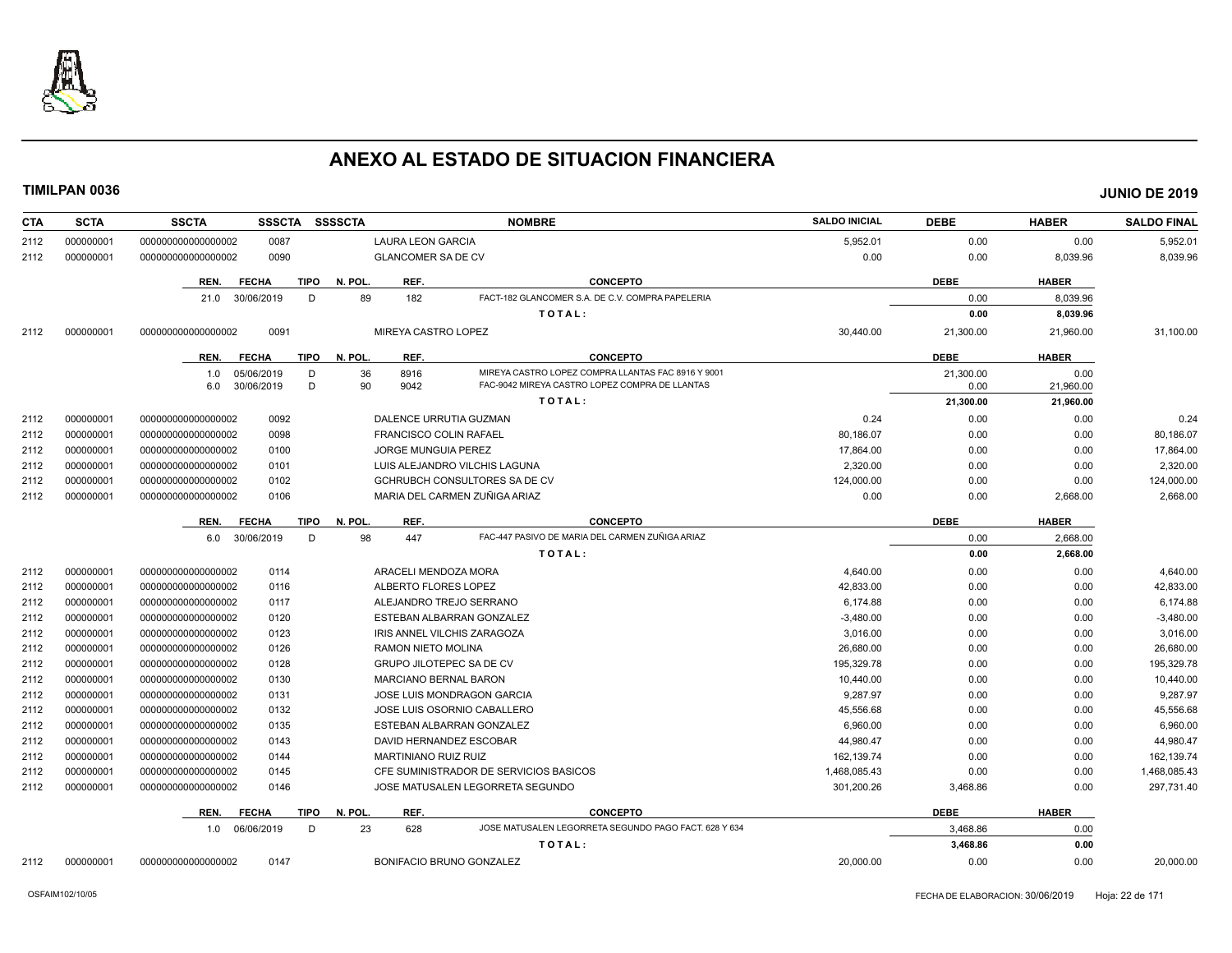

| 5,952.01<br>0.00<br>0.00<br>5,952.01<br>000000001<br>00000000000000002<br>0087<br><b>LAURA LEON GARCIA</b><br>2112<br>0090<br>0.00<br>0.00<br>8,039.96<br>2112<br>000000001<br>00000000000000002<br><b>GLANCOMER SA DE CV</b><br>8,039.96<br><b>CONCEPTO</b><br><b>DEBE</b><br>REN.<br><b>FECHA</b><br><b>TIPO</b><br>N. POL.<br>REF.<br><b>HABER</b><br>FACT-182 GLANCOMER S.A. DE C.V. COMPRA PAPELERIA<br>89<br>182<br>30/06/2019<br>D<br>0.00<br>8,039.96<br>21.0<br>TOTAL:<br>0.00<br>8,039.96<br>0091<br>MIREYA CASTRO LOPEZ<br>30,440.00<br>31,100.00<br>2112<br>000000001<br>000000000000000002<br>21,300.00<br>21,960.00<br>N. POL.<br>REF.<br><b>CONCEPTO</b><br><b>DEBE</b><br><b>HABER</b><br>REN.<br><b>FECHA</b><br><b>TIPO</b><br>05/06/2019<br>36<br>8916<br>MIREYA CASTRO LOPEZ COMPRA LLANTAS FAC 8916 Y 9001<br>D<br>21.300.00<br>0.00<br>1.0<br>30/06/2019<br>D<br>90<br>9042<br>FAC-9042 MIREYA CASTRO LOPEZ COMPRA DE LLANTAS<br>21,960.00<br>6.0<br>0.00<br>TOTAL:<br>21,300.00<br>21,960.00<br>0092<br>000000001<br>00000000000000002<br>DALENCE URRUTIA GUZMAN<br>0.24<br>0.00<br>0.00<br>0.24<br>2112<br>000000001<br>000000000000000002<br>0098<br>80.186.07<br>0.00<br>0.00<br>80,186.07<br>2112<br><b>FRANCISCO COLIN RAFAEL</b><br>000000001<br>0100<br>JORGE MUNGUIA PEREZ<br>17.864.00<br>0.00<br>2112<br>000000000000000002<br>0.00<br>17,864.00<br>000000001<br>2,320.00<br>0.00<br>2,320.00<br>2112<br>000000000000000002<br>0101<br>LUIS ALEJANDRO VILCHIS LAGUNA<br>0.00<br>124,000.00<br>000000001<br>000000000000000002<br>0102<br><b>GCHRUBCH CONSULTORES SA DE CV</b><br>0.00<br>0.00<br>124,000.00<br>2112<br>MARIA DEL CARMEN ZUÑIGA ARIAZ<br>2112<br>000000001<br>00000000000000002<br>0106<br>0.00<br>0.00<br>2,668.00<br>2,668.00<br><b>FECHA</b><br><b>TIPO</b><br>N. POL.<br>REF.<br><b>CONCEPTO</b><br><b>DEBE</b><br><b>HABER</b><br>REN.<br>98<br>FAC-447 PASIVO DE MARIA DEL CARMEN ZUÑIGA ARIAZ<br>6.0 30/06/2019<br>447<br>D<br>0.00<br>2.668.00<br>2,668.00<br>TOTAL:<br>0.00<br>000000001<br>0114<br>ARACELI MENDOZA MORA<br>4,640.00<br>0.00<br>0.00<br>000000000000000002<br>4,640.00<br>2112<br>42.833.00<br>0116<br>ALBERTO FLORES LOPEZ<br>0.00<br>0.00<br>42.833.00<br>2112<br>000000001<br>00000000000000002<br>000000001<br>00000000000000002<br>0117<br>ALEJANDRO TREJO SERRANO<br>6,174.88<br>0.00<br>0.00<br>2112<br>000000001<br>0120<br>0.00<br>2112<br>00000000000000002<br>ESTEBAN ALBARRAN GONZALEZ<br>$-3,480.00$<br>0.00<br>$-3,480.00$<br>000000001<br>0123<br>2112<br>00000000000000002<br>IRIS ANNEL VILCHIS ZARAGOZA<br>3,016.00<br>0.00<br>0.00<br>3,016.00<br>000000001<br>0126<br><b>RAMON NIETO MOLINA</b><br>26,680.00<br>0.00<br>0.00<br>26,680.00<br>2112<br>000000000000000002<br>2112<br>000000001<br>0128<br>195.329.78<br>0.00<br>0.00<br>195,329.78<br>000000000000000002<br><b>GRUPO JILOTEPEC SA DE CV</b><br>000000001<br>0130<br>10,440.00<br>0.00<br>10,440.00<br>2112<br>000000000000000002<br><b>MARCIANO BERNAL BARON</b><br>0.00<br>000000001<br>0131<br>9,287.97<br>9,287.97<br>2112<br>000000000000000002<br><b>JOSE LUIS MONDRAGON GARCIA</b><br>0.00<br>0.00<br>000000001<br>0132<br>45,556.68<br>0.00<br>0.00<br>45,556.68<br>2112<br>000000000000000002<br>JOSE LUIS OSORNIO CABALLERO<br>000000001<br>2112<br>00000000000000002<br>0135<br>ESTEBAN ALBARRAN GONZALEZ<br>6,960.00<br>0.00<br>0.00<br>6,960.00<br>000000001<br>0143<br>44.980.47<br>0.00<br>44,980.47<br>2112<br>000000000000000002<br>DAVID HERNANDEZ ESCOBAR<br>0.00<br>000000001<br>000000000000000002<br>0144<br><b>MARTINIANO RUIZ RUIZ</b><br>162,139.74<br>0.00<br>0.00<br>162,139.74<br>2112<br>0145<br>1,468,085.43<br>1,468,085.43<br>2112<br>000000001<br>000000000000000002<br>CFE SUMINISTRADOR DE SERVICIOS BASICOS<br>0.00<br>0.00<br>297,731.40<br>2112<br>000000001<br>00000000000000002<br>0146<br>JOSE MATUSALEN LEGORRETA SEGUNDO<br>301,200.26<br>3,468.86<br>0.00<br>N. POL<br>REF.<br><b>CONCEPTO</b><br><b>DEBE</b><br><b>HABER</b><br>REN.<br><b>FECHA</b><br><b>TIPO</b><br>23<br>JOSE MATUSALEN LEGORRETA SEGUNDO PAGO FACT. 628 Y 634<br>3.468.86<br>1.0 06/06/2019<br>D<br>628<br>0.00<br>3,468.86<br>0.00<br>TOTAL:<br>BONIFACIO BRUNO GONZALEZ<br>20,000.00<br>00000000000000002<br>0147<br>0.00<br>0.00<br>20,000.00<br>2112<br>000000001 | <b>CTA</b> | <b>SCTA</b> | <b>SSSCTA</b><br><b>SSCTA</b> | <b>SSSSCTA</b><br><b>NOMBRE</b> | <b>SALDO INICIAL</b> | <b>DEBE</b> | <b>HABER</b> | <b>SALDO FINAL</b> |
|---------------------------------------------------------------------------------------------------------------------------------------------------------------------------------------------------------------------------------------------------------------------------------------------------------------------------------------------------------------------------------------------------------------------------------------------------------------------------------------------------------------------------------------------------------------------------------------------------------------------------------------------------------------------------------------------------------------------------------------------------------------------------------------------------------------------------------------------------------------------------------------------------------------------------------------------------------------------------------------------------------------------------------------------------------------------------------------------------------------------------------------------------------------------------------------------------------------------------------------------------------------------------------------------------------------------------------------------------------------------------------------------------------------------------------------------------------------------------------------------------------------------------------------------------------------------------------------------------------------------------------------------------------------------------------------------------------------------------------------------------------------------------------------------------------------------------------------------------------------------------------------------------------------------------------------------------------------------------------------------------------------------------------------------------------------------------------------------------------------------------------------------------------------------------------------------------------------------------------------------------------------------------------------------------------------------------------------------------------------------------------------------------------------------------------------------------------------------------------------------------------------------------------------------------------------------------------------------------------------------------------------------------------------------------------------------------------------------------------------------------------------------------------------------------------------------------------------------------------------------------------------------------------------------------------------------------------------------------------------------------------------------------------------------------------------------------------------------------------------------------------------------------------------------------------------------------------------------------------------------------------------------------------------------------------------------------------------------------------------------------------------------------------------------------------------------------------------------------------------------------------------------------------------------------------------------------------------------------------------------------------------------------------------------------------------------------------------------------------------------------------------------------------------------------------------------------------------------------------------------------------------------------------------------------------------------------------------------------------------------------------------------------------------------------------------------------------------------------------------------------------------------------------------------------------------------------------------------------------------------------------------------------------------------------------------------------------------------------|------------|-------------|-------------------------------|---------------------------------|----------------------|-------------|--------------|--------------------|
|                                                                                                                                                                                                                                                                                                                                                                                                                                                                                                                                                                                                                                                                                                                                                                                                                                                                                                                                                                                                                                                                                                                                                                                                                                                                                                                                                                                                                                                                                                                                                                                                                                                                                                                                                                                                                                                                                                                                                                                                                                                                                                                                                                                                                                                                                                                                                                                                                                                                                                                                                                                                                                                                                                                                                                                                                                                                                                                                                                                                                                                                                                                                                                                                                                                                                                                                                                                                                                                                                                                                                                                                                                                                                                                                                                                                                                                                                                                                                                                                                                                                                                                                                                                                                                                                                                                                                   |            |             |                               |                                 |                      |             |              |                    |
|                                                                                                                                                                                                                                                                                                                                                                                                                                                                                                                                                                                                                                                                                                                                                                                                                                                                                                                                                                                                                                                                                                                                                                                                                                                                                                                                                                                                                                                                                                                                                                                                                                                                                                                                                                                                                                                                                                                                                                                                                                                                                                                                                                                                                                                                                                                                                                                                                                                                                                                                                                                                                                                                                                                                                                                                                                                                                                                                                                                                                                                                                                                                                                                                                                                                                                                                                                                                                                                                                                                                                                                                                                                                                                                                                                                                                                                                                                                                                                                                                                                                                                                                                                                                                                                                                                                                                   |            |             |                               |                                 |                      |             |              |                    |
|                                                                                                                                                                                                                                                                                                                                                                                                                                                                                                                                                                                                                                                                                                                                                                                                                                                                                                                                                                                                                                                                                                                                                                                                                                                                                                                                                                                                                                                                                                                                                                                                                                                                                                                                                                                                                                                                                                                                                                                                                                                                                                                                                                                                                                                                                                                                                                                                                                                                                                                                                                                                                                                                                                                                                                                                                                                                                                                                                                                                                                                                                                                                                                                                                                                                                                                                                                                                                                                                                                                                                                                                                                                                                                                                                                                                                                                                                                                                                                                                                                                                                                                                                                                                                                                                                                                                                   |            |             |                               |                                 |                      |             |              |                    |
|                                                                                                                                                                                                                                                                                                                                                                                                                                                                                                                                                                                                                                                                                                                                                                                                                                                                                                                                                                                                                                                                                                                                                                                                                                                                                                                                                                                                                                                                                                                                                                                                                                                                                                                                                                                                                                                                                                                                                                                                                                                                                                                                                                                                                                                                                                                                                                                                                                                                                                                                                                                                                                                                                                                                                                                                                                                                                                                                                                                                                                                                                                                                                                                                                                                                                                                                                                                                                                                                                                                                                                                                                                                                                                                                                                                                                                                                                                                                                                                                                                                                                                                                                                                                                                                                                                                                                   |            |             |                               |                                 |                      |             |              |                    |
|                                                                                                                                                                                                                                                                                                                                                                                                                                                                                                                                                                                                                                                                                                                                                                                                                                                                                                                                                                                                                                                                                                                                                                                                                                                                                                                                                                                                                                                                                                                                                                                                                                                                                                                                                                                                                                                                                                                                                                                                                                                                                                                                                                                                                                                                                                                                                                                                                                                                                                                                                                                                                                                                                                                                                                                                                                                                                                                                                                                                                                                                                                                                                                                                                                                                                                                                                                                                                                                                                                                                                                                                                                                                                                                                                                                                                                                                                                                                                                                                                                                                                                                                                                                                                                                                                                                                                   |            |             |                               |                                 |                      |             |              |                    |
|                                                                                                                                                                                                                                                                                                                                                                                                                                                                                                                                                                                                                                                                                                                                                                                                                                                                                                                                                                                                                                                                                                                                                                                                                                                                                                                                                                                                                                                                                                                                                                                                                                                                                                                                                                                                                                                                                                                                                                                                                                                                                                                                                                                                                                                                                                                                                                                                                                                                                                                                                                                                                                                                                                                                                                                                                                                                                                                                                                                                                                                                                                                                                                                                                                                                                                                                                                                                                                                                                                                                                                                                                                                                                                                                                                                                                                                                                                                                                                                                                                                                                                                                                                                                                                                                                                                                                   |            |             |                               |                                 |                      |             |              |                    |
|                                                                                                                                                                                                                                                                                                                                                                                                                                                                                                                                                                                                                                                                                                                                                                                                                                                                                                                                                                                                                                                                                                                                                                                                                                                                                                                                                                                                                                                                                                                                                                                                                                                                                                                                                                                                                                                                                                                                                                                                                                                                                                                                                                                                                                                                                                                                                                                                                                                                                                                                                                                                                                                                                                                                                                                                                                                                                                                                                                                                                                                                                                                                                                                                                                                                                                                                                                                                                                                                                                                                                                                                                                                                                                                                                                                                                                                                                                                                                                                                                                                                                                                                                                                                                                                                                                                                                   |            |             |                               |                                 |                      |             |              |                    |
|                                                                                                                                                                                                                                                                                                                                                                                                                                                                                                                                                                                                                                                                                                                                                                                                                                                                                                                                                                                                                                                                                                                                                                                                                                                                                                                                                                                                                                                                                                                                                                                                                                                                                                                                                                                                                                                                                                                                                                                                                                                                                                                                                                                                                                                                                                                                                                                                                                                                                                                                                                                                                                                                                                                                                                                                                                                                                                                                                                                                                                                                                                                                                                                                                                                                                                                                                                                                                                                                                                                                                                                                                                                                                                                                                                                                                                                                                                                                                                                                                                                                                                                                                                                                                                                                                                                                                   |            |             |                               |                                 |                      |             |              |                    |
|                                                                                                                                                                                                                                                                                                                                                                                                                                                                                                                                                                                                                                                                                                                                                                                                                                                                                                                                                                                                                                                                                                                                                                                                                                                                                                                                                                                                                                                                                                                                                                                                                                                                                                                                                                                                                                                                                                                                                                                                                                                                                                                                                                                                                                                                                                                                                                                                                                                                                                                                                                                                                                                                                                                                                                                                                                                                                                                                                                                                                                                                                                                                                                                                                                                                                                                                                                                                                                                                                                                                                                                                                                                                                                                                                                                                                                                                                                                                                                                                                                                                                                                                                                                                                                                                                                                                                   |            |             |                               |                                 |                      |             |              |                    |
|                                                                                                                                                                                                                                                                                                                                                                                                                                                                                                                                                                                                                                                                                                                                                                                                                                                                                                                                                                                                                                                                                                                                                                                                                                                                                                                                                                                                                                                                                                                                                                                                                                                                                                                                                                                                                                                                                                                                                                                                                                                                                                                                                                                                                                                                                                                                                                                                                                                                                                                                                                                                                                                                                                                                                                                                                                                                                                                                                                                                                                                                                                                                                                                                                                                                                                                                                                                                                                                                                                                                                                                                                                                                                                                                                                                                                                                                                                                                                                                                                                                                                                                                                                                                                                                                                                                                                   |            |             |                               |                                 |                      |             |              |                    |
|                                                                                                                                                                                                                                                                                                                                                                                                                                                                                                                                                                                                                                                                                                                                                                                                                                                                                                                                                                                                                                                                                                                                                                                                                                                                                                                                                                                                                                                                                                                                                                                                                                                                                                                                                                                                                                                                                                                                                                                                                                                                                                                                                                                                                                                                                                                                                                                                                                                                                                                                                                                                                                                                                                                                                                                                                                                                                                                                                                                                                                                                                                                                                                                                                                                                                                                                                                                                                                                                                                                                                                                                                                                                                                                                                                                                                                                                                                                                                                                                                                                                                                                                                                                                                                                                                                                                                   |            |             |                               |                                 |                      |             |              |                    |
|                                                                                                                                                                                                                                                                                                                                                                                                                                                                                                                                                                                                                                                                                                                                                                                                                                                                                                                                                                                                                                                                                                                                                                                                                                                                                                                                                                                                                                                                                                                                                                                                                                                                                                                                                                                                                                                                                                                                                                                                                                                                                                                                                                                                                                                                                                                                                                                                                                                                                                                                                                                                                                                                                                                                                                                                                                                                                                                                                                                                                                                                                                                                                                                                                                                                                                                                                                                                                                                                                                                                                                                                                                                                                                                                                                                                                                                                                                                                                                                                                                                                                                                                                                                                                                                                                                                                                   |            |             |                               |                                 |                      |             |              |                    |
|                                                                                                                                                                                                                                                                                                                                                                                                                                                                                                                                                                                                                                                                                                                                                                                                                                                                                                                                                                                                                                                                                                                                                                                                                                                                                                                                                                                                                                                                                                                                                                                                                                                                                                                                                                                                                                                                                                                                                                                                                                                                                                                                                                                                                                                                                                                                                                                                                                                                                                                                                                                                                                                                                                                                                                                                                                                                                                                                                                                                                                                                                                                                                                                                                                                                                                                                                                                                                                                                                                                                                                                                                                                                                                                                                                                                                                                                                                                                                                                                                                                                                                                                                                                                                                                                                                                                                   |            |             |                               |                                 |                      |             |              |                    |
|                                                                                                                                                                                                                                                                                                                                                                                                                                                                                                                                                                                                                                                                                                                                                                                                                                                                                                                                                                                                                                                                                                                                                                                                                                                                                                                                                                                                                                                                                                                                                                                                                                                                                                                                                                                                                                                                                                                                                                                                                                                                                                                                                                                                                                                                                                                                                                                                                                                                                                                                                                                                                                                                                                                                                                                                                                                                                                                                                                                                                                                                                                                                                                                                                                                                                                                                                                                                                                                                                                                                                                                                                                                                                                                                                                                                                                                                                                                                                                                                                                                                                                                                                                                                                                                                                                                                                   |            |             |                               |                                 |                      |             |              |                    |
|                                                                                                                                                                                                                                                                                                                                                                                                                                                                                                                                                                                                                                                                                                                                                                                                                                                                                                                                                                                                                                                                                                                                                                                                                                                                                                                                                                                                                                                                                                                                                                                                                                                                                                                                                                                                                                                                                                                                                                                                                                                                                                                                                                                                                                                                                                                                                                                                                                                                                                                                                                                                                                                                                                                                                                                                                                                                                                                                                                                                                                                                                                                                                                                                                                                                                                                                                                                                                                                                                                                                                                                                                                                                                                                                                                                                                                                                                                                                                                                                                                                                                                                                                                                                                                                                                                                                                   |            |             |                               |                                 |                      |             |              |                    |
|                                                                                                                                                                                                                                                                                                                                                                                                                                                                                                                                                                                                                                                                                                                                                                                                                                                                                                                                                                                                                                                                                                                                                                                                                                                                                                                                                                                                                                                                                                                                                                                                                                                                                                                                                                                                                                                                                                                                                                                                                                                                                                                                                                                                                                                                                                                                                                                                                                                                                                                                                                                                                                                                                                                                                                                                                                                                                                                                                                                                                                                                                                                                                                                                                                                                                                                                                                                                                                                                                                                                                                                                                                                                                                                                                                                                                                                                                                                                                                                                                                                                                                                                                                                                                                                                                                                                                   |            |             |                               |                                 |                      |             |              |                    |
|                                                                                                                                                                                                                                                                                                                                                                                                                                                                                                                                                                                                                                                                                                                                                                                                                                                                                                                                                                                                                                                                                                                                                                                                                                                                                                                                                                                                                                                                                                                                                                                                                                                                                                                                                                                                                                                                                                                                                                                                                                                                                                                                                                                                                                                                                                                                                                                                                                                                                                                                                                                                                                                                                                                                                                                                                                                                                                                                                                                                                                                                                                                                                                                                                                                                                                                                                                                                                                                                                                                                                                                                                                                                                                                                                                                                                                                                                                                                                                                                                                                                                                                                                                                                                                                                                                                                                   |            |             |                               |                                 |                      |             |              |                    |
|                                                                                                                                                                                                                                                                                                                                                                                                                                                                                                                                                                                                                                                                                                                                                                                                                                                                                                                                                                                                                                                                                                                                                                                                                                                                                                                                                                                                                                                                                                                                                                                                                                                                                                                                                                                                                                                                                                                                                                                                                                                                                                                                                                                                                                                                                                                                                                                                                                                                                                                                                                                                                                                                                                                                                                                                                                                                                                                                                                                                                                                                                                                                                                                                                                                                                                                                                                                                                                                                                                                                                                                                                                                                                                                                                                                                                                                                                                                                                                                                                                                                                                                                                                                                                                                                                                                                                   |            |             |                               |                                 |                      |             |              |                    |
|                                                                                                                                                                                                                                                                                                                                                                                                                                                                                                                                                                                                                                                                                                                                                                                                                                                                                                                                                                                                                                                                                                                                                                                                                                                                                                                                                                                                                                                                                                                                                                                                                                                                                                                                                                                                                                                                                                                                                                                                                                                                                                                                                                                                                                                                                                                                                                                                                                                                                                                                                                                                                                                                                                                                                                                                                                                                                                                                                                                                                                                                                                                                                                                                                                                                                                                                                                                                                                                                                                                                                                                                                                                                                                                                                                                                                                                                                                                                                                                                                                                                                                                                                                                                                                                                                                                                                   |            |             |                               |                                 |                      |             |              |                    |
|                                                                                                                                                                                                                                                                                                                                                                                                                                                                                                                                                                                                                                                                                                                                                                                                                                                                                                                                                                                                                                                                                                                                                                                                                                                                                                                                                                                                                                                                                                                                                                                                                                                                                                                                                                                                                                                                                                                                                                                                                                                                                                                                                                                                                                                                                                                                                                                                                                                                                                                                                                                                                                                                                                                                                                                                                                                                                                                                                                                                                                                                                                                                                                                                                                                                                                                                                                                                                                                                                                                                                                                                                                                                                                                                                                                                                                                                                                                                                                                                                                                                                                                                                                                                                                                                                                                                                   |            |             |                               |                                 |                      |             |              |                    |
|                                                                                                                                                                                                                                                                                                                                                                                                                                                                                                                                                                                                                                                                                                                                                                                                                                                                                                                                                                                                                                                                                                                                                                                                                                                                                                                                                                                                                                                                                                                                                                                                                                                                                                                                                                                                                                                                                                                                                                                                                                                                                                                                                                                                                                                                                                                                                                                                                                                                                                                                                                                                                                                                                                                                                                                                                                                                                                                                                                                                                                                                                                                                                                                                                                                                                                                                                                                                                                                                                                                                                                                                                                                                                                                                                                                                                                                                                                                                                                                                                                                                                                                                                                                                                                                                                                                                                   |            |             |                               |                                 |                      |             |              |                    |
|                                                                                                                                                                                                                                                                                                                                                                                                                                                                                                                                                                                                                                                                                                                                                                                                                                                                                                                                                                                                                                                                                                                                                                                                                                                                                                                                                                                                                                                                                                                                                                                                                                                                                                                                                                                                                                                                                                                                                                                                                                                                                                                                                                                                                                                                                                                                                                                                                                                                                                                                                                                                                                                                                                                                                                                                                                                                                                                                                                                                                                                                                                                                                                                                                                                                                                                                                                                                                                                                                                                                                                                                                                                                                                                                                                                                                                                                                                                                                                                                                                                                                                                                                                                                                                                                                                                                                   |            |             |                               |                                 |                      |             |              |                    |
|                                                                                                                                                                                                                                                                                                                                                                                                                                                                                                                                                                                                                                                                                                                                                                                                                                                                                                                                                                                                                                                                                                                                                                                                                                                                                                                                                                                                                                                                                                                                                                                                                                                                                                                                                                                                                                                                                                                                                                                                                                                                                                                                                                                                                                                                                                                                                                                                                                                                                                                                                                                                                                                                                                                                                                                                                                                                                                                                                                                                                                                                                                                                                                                                                                                                                                                                                                                                                                                                                                                                                                                                                                                                                                                                                                                                                                                                                                                                                                                                                                                                                                                                                                                                                                                                                                                                                   |            |             |                               |                                 |                      |             |              | 6,174.88           |
|                                                                                                                                                                                                                                                                                                                                                                                                                                                                                                                                                                                                                                                                                                                                                                                                                                                                                                                                                                                                                                                                                                                                                                                                                                                                                                                                                                                                                                                                                                                                                                                                                                                                                                                                                                                                                                                                                                                                                                                                                                                                                                                                                                                                                                                                                                                                                                                                                                                                                                                                                                                                                                                                                                                                                                                                                                                                                                                                                                                                                                                                                                                                                                                                                                                                                                                                                                                                                                                                                                                                                                                                                                                                                                                                                                                                                                                                                                                                                                                                                                                                                                                                                                                                                                                                                                                                                   |            |             |                               |                                 |                      |             |              |                    |
|                                                                                                                                                                                                                                                                                                                                                                                                                                                                                                                                                                                                                                                                                                                                                                                                                                                                                                                                                                                                                                                                                                                                                                                                                                                                                                                                                                                                                                                                                                                                                                                                                                                                                                                                                                                                                                                                                                                                                                                                                                                                                                                                                                                                                                                                                                                                                                                                                                                                                                                                                                                                                                                                                                                                                                                                                                                                                                                                                                                                                                                                                                                                                                                                                                                                                                                                                                                                                                                                                                                                                                                                                                                                                                                                                                                                                                                                                                                                                                                                                                                                                                                                                                                                                                                                                                                                                   |            |             |                               |                                 |                      |             |              |                    |
|                                                                                                                                                                                                                                                                                                                                                                                                                                                                                                                                                                                                                                                                                                                                                                                                                                                                                                                                                                                                                                                                                                                                                                                                                                                                                                                                                                                                                                                                                                                                                                                                                                                                                                                                                                                                                                                                                                                                                                                                                                                                                                                                                                                                                                                                                                                                                                                                                                                                                                                                                                                                                                                                                                                                                                                                                                                                                                                                                                                                                                                                                                                                                                                                                                                                                                                                                                                                                                                                                                                                                                                                                                                                                                                                                                                                                                                                                                                                                                                                                                                                                                                                                                                                                                                                                                                                                   |            |             |                               |                                 |                      |             |              |                    |
|                                                                                                                                                                                                                                                                                                                                                                                                                                                                                                                                                                                                                                                                                                                                                                                                                                                                                                                                                                                                                                                                                                                                                                                                                                                                                                                                                                                                                                                                                                                                                                                                                                                                                                                                                                                                                                                                                                                                                                                                                                                                                                                                                                                                                                                                                                                                                                                                                                                                                                                                                                                                                                                                                                                                                                                                                                                                                                                                                                                                                                                                                                                                                                                                                                                                                                                                                                                                                                                                                                                                                                                                                                                                                                                                                                                                                                                                                                                                                                                                                                                                                                                                                                                                                                                                                                                                                   |            |             |                               |                                 |                      |             |              |                    |
|                                                                                                                                                                                                                                                                                                                                                                                                                                                                                                                                                                                                                                                                                                                                                                                                                                                                                                                                                                                                                                                                                                                                                                                                                                                                                                                                                                                                                                                                                                                                                                                                                                                                                                                                                                                                                                                                                                                                                                                                                                                                                                                                                                                                                                                                                                                                                                                                                                                                                                                                                                                                                                                                                                                                                                                                                                                                                                                                                                                                                                                                                                                                                                                                                                                                                                                                                                                                                                                                                                                                                                                                                                                                                                                                                                                                                                                                                                                                                                                                                                                                                                                                                                                                                                                                                                                                                   |            |             |                               |                                 |                      |             |              |                    |
|                                                                                                                                                                                                                                                                                                                                                                                                                                                                                                                                                                                                                                                                                                                                                                                                                                                                                                                                                                                                                                                                                                                                                                                                                                                                                                                                                                                                                                                                                                                                                                                                                                                                                                                                                                                                                                                                                                                                                                                                                                                                                                                                                                                                                                                                                                                                                                                                                                                                                                                                                                                                                                                                                                                                                                                                                                                                                                                                                                                                                                                                                                                                                                                                                                                                                                                                                                                                                                                                                                                                                                                                                                                                                                                                                                                                                                                                                                                                                                                                                                                                                                                                                                                                                                                                                                                                                   |            |             |                               |                                 |                      |             |              |                    |
|                                                                                                                                                                                                                                                                                                                                                                                                                                                                                                                                                                                                                                                                                                                                                                                                                                                                                                                                                                                                                                                                                                                                                                                                                                                                                                                                                                                                                                                                                                                                                                                                                                                                                                                                                                                                                                                                                                                                                                                                                                                                                                                                                                                                                                                                                                                                                                                                                                                                                                                                                                                                                                                                                                                                                                                                                                                                                                                                                                                                                                                                                                                                                                                                                                                                                                                                                                                                                                                                                                                                                                                                                                                                                                                                                                                                                                                                                                                                                                                                                                                                                                                                                                                                                                                                                                                                                   |            |             |                               |                                 |                      |             |              |                    |
|                                                                                                                                                                                                                                                                                                                                                                                                                                                                                                                                                                                                                                                                                                                                                                                                                                                                                                                                                                                                                                                                                                                                                                                                                                                                                                                                                                                                                                                                                                                                                                                                                                                                                                                                                                                                                                                                                                                                                                                                                                                                                                                                                                                                                                                                                                                                                                                                                                                                                                                                                                                                                                                                                                                                                                                                                                                                                                                                                                                                                                                                                                                                                                                                                                                                                                                                                                                                                                                                                                                                                                                                                                                                                                                                                                                                                                                                                                                                                                                                                                                                                                                                                                                                                                                                                                                                                   |            |             |                               |                                 |                      |             |              |                    |
|                                                                                                                                                                                                                                                                                                                                                                                                                                                                                                                                                                                                                                                                                                                                                                                                                                                                                                                                                                                                                                                                                                                                                                                                                                                                                                                                                                                                                                                                                                                                                                                                                                                                                                                                                                                                                                                                                                                                                                                                                                                                                                                                                                                                                                                                                                                                                                                                                                                                                                                                                                                                                                                                                                                                                                                                                                                                                                                                                                                                                                                                                                                                                                                                                                                                                                                                                                                                                                                                                                                                                                                                                                                                                                                                                                                                                                                                                                                                                                                                                                                                                                                                                                                                                                                                                                                                                   |            |             |                               |                                 |                      |             |              |                    |
|                                                                                                                                                                                                                                                                                                                                                                                                                                                                                                                                                                                                                                                                                                                                                                                                                                                                                                                                                                                                                                                                                                                                                                                                                                                                                                                                                                                                                                                                                                                                                                                                                                                                                                                                                                                                                                                                                                                                                                                                                                                                                                                                                                                                                                                                                                                                                                                                                                                                                                                                                                                                                                                                                                                                                                                                                                                                                                                                                                                                                                                                                                                                                                                                                                                                                                                                                                                                                                                                                                                                                                                                                                                                                                                                                                                                                                                                                                                                                                                                                                                                                                                                                                                                                                                                                                                                                   |            |             |                               |                                 |                      |             |              |                    |
|                                                                                                                                                                                                                                                                                                                                                                                                                                                                                                                                                                                                                                                                                                                                                                                                                                                                                                                                                                                                                                                                                                                                                                                                                                                                                                                                                                                                                                                                                                                                                                                                                                                                                                                                                                                                                                                                                                                                                                                                                                                                                                                                                                                                                                                                                                                                                                                                                                                                                                                                                                                                                                                                                                                                                                                                                                                                                                                                                                                                                                                                                                                                                                                                                                                                                                                                                                                                                                                                                                                                                                                                                                                                                                                                                                                                                                                                                                                                                                                                                                                                                                                                                                                                                                                                                                                                                   |            |             |                               |                                 |                      |             |              |                    |
|                                                                                                                                                                                                                                                                                                                                                                                                                                                                                                                                                                                                                                                                                                                                                                                                                                                                                                                                                                                                                                                                                                                                                                                                                                                                                                                                                                                                                                                                                                                                                                                                                                                                                                                                                                                                                                                                                                                                                                                                                                                                                                                                                                                                                                                                                                                                                                                                                                                                                                                                                                                                                                                                                                                                                                                                                                                                                                                                                                                                                                                                                                                                                                                                                                                                                                                                                                                                                                                                                                                                                                                                                                                                                                                                                                                                                                                                                                                                                                                                                                                                                                                                                                                                                                                                                                                                                   |            |             |                               |                                 |                      |             |              |                    |
|                                                                                                                                                                                                                                                                                                                                                                                                                                                                                                                                                                                                                                                                                                                                                                                                                                                                                                                                                                                                                                                                                                                                                                                                                                                                                                                                                                                                                                                                                                                                                                                                                                                                                                                                                                                                                                                                                                                                                                                                                                                                                                                                                                                                                                                                                                                                                                                                                                                                                                                                                                                                                                                                                                                                                                                                                                                                                                                                                                                                                                                                                                                                                                                                                                                                                                                                                                                                                                                                                                                                                                                                                                                                                                                                                                                                                                                                                                                                                                                                                                                                                                                                                                                                                                                                                                                                                   |            |             |                               |                                 |                      |             |              |                    |
|                                                                                                                                                                                                                                                                                                                                                                                                                                                                                                                                                                                                                                                                                                                                                                                                                                                                                                                                                                                                                                                                                                                                                                                                                                                                                                                                                                                                                                                                                                                                                                                                                                                                                                                                                                                                                                                                                                                                                                                                                                                                                                                                                                                                                                                                                                                                                                                                                                                                                                                                                                                                                                                                                                                                                                                                                                                                                                                                                                                                                                                                                                                                                                                                                                                                                                                                                                                                                                                                                                                                                                                                                                                                                                                                                                                                                                                                                                                                                                                                                                                                                                                                                                                                                                                                                                                                                   |            |             |                               |                                 |                      |             |              |                    |
|                                                                                                                                                                                                                                                                                                                                                                                                                                                                                                                                                                                                                                                                                                                                                                                                                                                                                                                                                                                                                                                                                                                                                                                                                                                                                                                                                                                                                                                                                                                                                                                                                                                                                                                                                                                                                                                                                                                                                                                                                                                                                                                                                                                                                                                                                                                                                                                                                                                                                                                                                                                                                                                                                                                                                                                                                                                                                                                                                                                                                                                                                                                                                                                                                                                                                                                                                                                                                                                                                                                                                                                                                                                                                                                                                                                                                                                                                                                                                                                                                                                                                                                                                                                                                                                                                                                                                   |            |             |                               |                                 |                      |             |              |                    |
|                                                                                                                                                                                                                                                                                                                                                                                                                                                                                                                                                                                                                                                                                                                                                                                                                                                                                                                                                                                                                                                                                                                                                                                                                                                                                                                                                                                                                                                                                                                                                                                                                                                                                                                                                                                                                                                                                                                                                                                                                                                                                                                                                                                                                                                                                                                                                                                                                                                                                                                                                                                                                                                                                                                                                                                                                                                                                                                                                                                                                                                                                                                                                                                                                                                                                                                                                                                                                                                                                                                                                                                                                                                                                                                                                                                                                                                                                                                                                                                                                                                                                                                                                                                                                                                                                                                                                   |            |             |                               |                                 |                      |             |              |                    |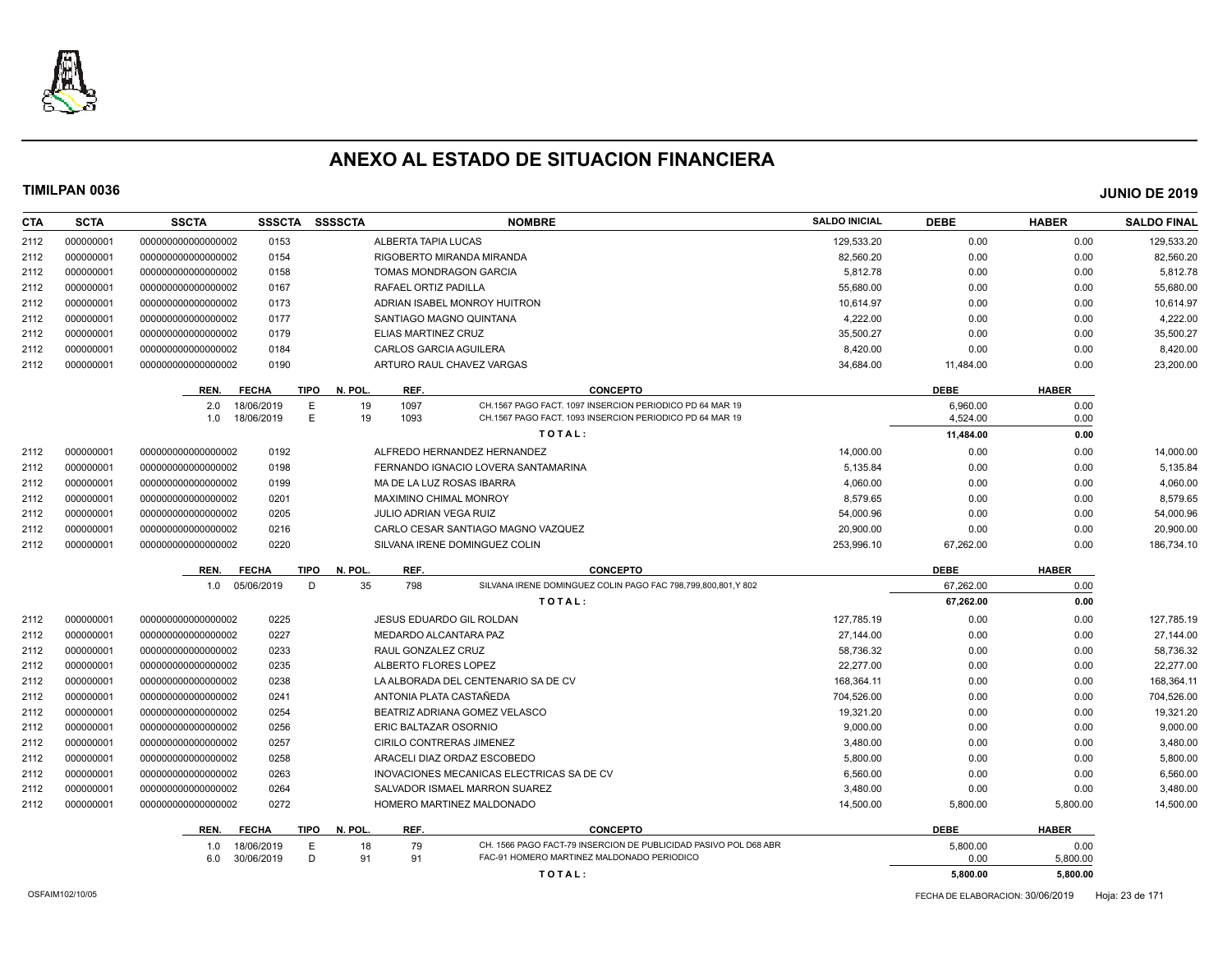

| <b>CTA</b> | <b>SCTA</b> | <b>SSCTA</b>       | <b>SSSCTA</b> | <b>SSSSCTA</b>         |                               | <b>NOMBRE</b>                                                    | <b>SALDO INICIAL</b> | <b>DEBE</b> | <b>HABER</b> | <b>SALDO FINAL</b> |
|------------|-------------|--------------------|---------------|------------------------|-------------------------------|------------------------------------------------------------------|----------------------|-------------|--------------|--------------------|
| 2112       | 000000001   | 00000000000000002  | 0153          |                        | ALBERTA TAPIA LUCAS           |                                                                  | 129,533.20           | 0.00        | 0.00         | 129,533.20         |
| 2112       | 000000001   | 00000000000000002  | 0154          |                        |                               | RIGOBERTO MIRANDA MIRANDA                                        | 82,560.20            | 0.00        | 0.00         | 82,560.20          |
| 2112       | 000000001   | 000000000000000002 | 0158          |                        | <b>TOMAS MONDRAGON GARCIA</b> |                                                                  | 5,812.78             | 0.00        | 0.00         | 5,812.78           |
| 2112       | 000000001   | 000000000000000002 | 0167          |                        | RAFAEL ORTIZ PADILLA          |                                                                  | 55,680.00            | 0.00        | 0.00         | 55,680.00          |
| 2112       | 000000001   | 00000000000000002  | 0173          |                        |                               | ADRIAN ISABEL MONROY HUITRON                                     | 10,614.97            | 0.00        | 0.00         | 10,614.97          |
| 2112       | 000000001   | 000000000000000002 | 0177          |                        | SANTIAGO MAGNO QUINTANA       |                                                                  | 4,222.00             | 0.00        | 0.00         | 4,222.00           |
| 2112       | 000000001   | 000000000000000002 | 0179          |                        | ELIAS MARTINEZ CRUZ           |                                                                  | 35.500.27            | 0.00        | 0.00         | 35,500.27          |
| 2112       | 000000001   | 000000000000000002 | 0184          |                        | <b>CARLOS GARCIA AGUILERA</b> |                                                                  | 8,420.00             | 0.00        | 0.00         | 8,420.00           |
| 2112       | 000000001   | 000000000000000002 | 0190          |                        |                               | ARTURO RAUL CHAVEZ VARGAS                                        | 34,684.00            | 11,484.00   | 0.00         | 23,200.00          |
|            |             | REN.               | <b>FECHA</b>  | <b>TIPO</b><br>N. POL. | REF.                          | <b>CONCEPTO</b>                                                  |                      | <b>DEBE</b> | <b>HABER</b> |                    |
|            |             | 2.0                | 18/06/2019    | E<br>19                | 1097                          | CH.1567 PAGO FACT. 1097 INSERCION PERIODICO PD 64 MAR 19         |                      | 6,960.00    | 0.00         |                    |
|            |             | 1.0                | 18/06/2019    | Ε<br>19                | 1093                          | CH.1567 PAGO FACT, 1093 INSERCION PERIODICO PD 64 MAR 19         |                      | 4,524.00    | 0.00         |                    |
|            |             |                    |               |                        |                               | TOTAL:                                                           |                      | 11,484.00   | 0.00         |                    |
| 2112       | 000000001   | 000000000000000002 | 0192          |                        |                               | ALFREDO HERNANDEZ HERNANDEZ                                      | 14,000.00            | 0.00        | 0.00         | 14,000.00          |
| 2112       | 000000001   | 000000000000000002 | 0198          |                        |                               | FERNANDO IGNACIO LOVERA SANTAMARINA                              | 5,135.84             | 0.00        | 0.00         | 5,135.84           |
| 2112       | 000000001   | 000000000000000002 | 0199          |                        | MA DE LA LUZ ROSAS IBARRA     |                                                                  | 4,060.00             | 0.00        | 0.00         | 4,060.00           |
| 2112       | 000000001   | 00000000000000002  | 0201          |                        | <b>MAXIMINO CHIMAL MONROY</b> |                                                                  | 8,579.65             | 0.00        | 0.00         | 8,579.65           |
| 2112       | 000000001   | 000000000000000002 | 0205          |                        | JULIO ADRIAN VEGA RUIZ        |                                                                  | 54,000.96            | 0.00        | 0.00         | 54,000.96          |
| 2112       | 000000001   | 00000000000000002  | 0216          |                        |                               | CARLO CESAR SANTIAGO MAGNO VAZQUEZ                               | 20,900.00            | 0.00        | 0.00         | 20,900.00          |
| 2112       | 000000001   | 00000000000000002  | 0220          |                        |                               | SILVANA IRENE DOMINGUEZ COLIN                                    | 253,996.10           | 67,262.00   | 0.00         | 186,734.10         |
|            |             | REN.               | <b>FECHA</b>  | N. POL<br><b>TIPO</b>  | REF.                          | <b>CONCEPTO</b>                                                  |                      | <b>DEBE</b> | <b>HABER</b> |                    |
|            |             | 1.0                | 05/06/2019    | 35<br>D                | 798                           | SILVANA IRENE DOMINGUEZ COLIN PAGO FAC 798,799,800,801,Y 802     |                      | 67.262.00   | 0.00         |                    |
|            |             |                    |               |                        |                               | TOTAL:                                                           |                      | 67,262.00   | 0.00         |                    |
| 2112       | 000000001   | 000000000000000002 | 0225          |                        | JESUS EDUARDO GIL ROLDAN      |                                                                  | 127,785.19           | 0.00        | 0.00         | 127,785.19         |
| 2112       | 000000001   | 000000000000000002 | 0227          |                        | MEDARDO ALCANTARA PAZ         |                                                                  | 27.144.00            | 0.00        | 0.00         | 27.144.00          |
| 2112       | 000000001   | 00000000000000002  | 0233          |                        | RAUL GONZALEZ CRUZ            |                                                                  | 58,736.32            | 0.00        | 0.00         | 58,736.32          |
| 2112       | 000000001   | 000000000000000002 | 0235          |                        | ALBERTO FLORES LOPEZ          |                                                                  | 22,277.00            | 0.00        | 0.00         | 22,277.00          |
| 2112       | 000000001   | 00000000000000002  | 0238          |                        |                               | LA ALBORADA DEL CENTENARIO SA DE CV                              | 168,364.11           | 0.00        | 0.00         | 168,364.11         |
| 2112       | 000000001   | 00000000000000002  | 0241          |                        | ANTONIA PLATA CASTAÑEDA       |                                                                  | 704,526.00           | 0.00        | 0.00         | 704,526.00         |
| 2112       | 000000001   | 00000000000000002  | 0254          |                        |                               | BEATRIZ ADRIANA GOMEZ VELASCO                                    | 19,321.20            | 0.00        | 0.00         | 19,321.20          |
| 2112       | 000000001   | 000000000000000002 | 0256          |                        | ERIC BALTAZAR OSORNIO         |                                                                  | 9,000.00             | 0.00        | 0.00         | 9,000.00           |
| 2112       | 000000001   | 000000000000000002 | 0257          |                        | CIRILO CONTRERAS JIMENEZ      |                                                                  | 3,480.00             | 0.00        | 0.00         | 3,480.00           |
| 2112       | 000000001   | 00000000000000002  | 0258          |                        |                               | ARACELI DIAZ ORDAZ ESCOBEDO                                      | 5,800.00             | 0.00        | 0.00         | 5,800.00           |
| 2112       | 000000001   | 000000000000000002 | 0263          |                        |                               | INOVACIONES MECANICAS ELECTRICAS SA DE CV                        | 6,560.00             | 0.00        | 0.00         | 6,560.00           |
| 2112       | 000000001   | 00000000000000002  | 0264          |                        |                               | SALVADOR ISMAEL MARRON SUAREZ                                    | 3,480.00             | 0.00        | 0.00         | 3,480.00           |
| 2112       | 000000001   | 000000000000000002 | 0272          |                        |                               | HOMERO MARTINEZ MALDONADO                                        | 14,500.00            | 5,800.00    | 5,800.00     | 14,500.00          |
|            |             | REN.               | <b>FECHA</b>  | <b>TIPO</b><br>N. POL. | REF.                          | <b>CONCEPTO</b>                                                  |                      | <b>DEBE</b> | <b>HABER</b> |                    |
|            |             | 1.0                | 18/06/2019    | 18<br>Е                | 79                            | CH. 1566 PAGO FACT-79 INSERCION DE PUBLICIDAD PASIVO POL D68 ABR |                      | 5,800.00    | 0.00         |                    |
|            |             | 6.0                | 30/06/2019    | D<br>91                | 91                            | FAC-91 HOMERO MARTINEZ MALDONADO PERIODICO                       |                      | 0.00        | 5,800.00     |                    |
|            |             |                    |               |                        |                               | TOTAL:                                                           |                      | 5.800.00    | 5,800.00     |                    |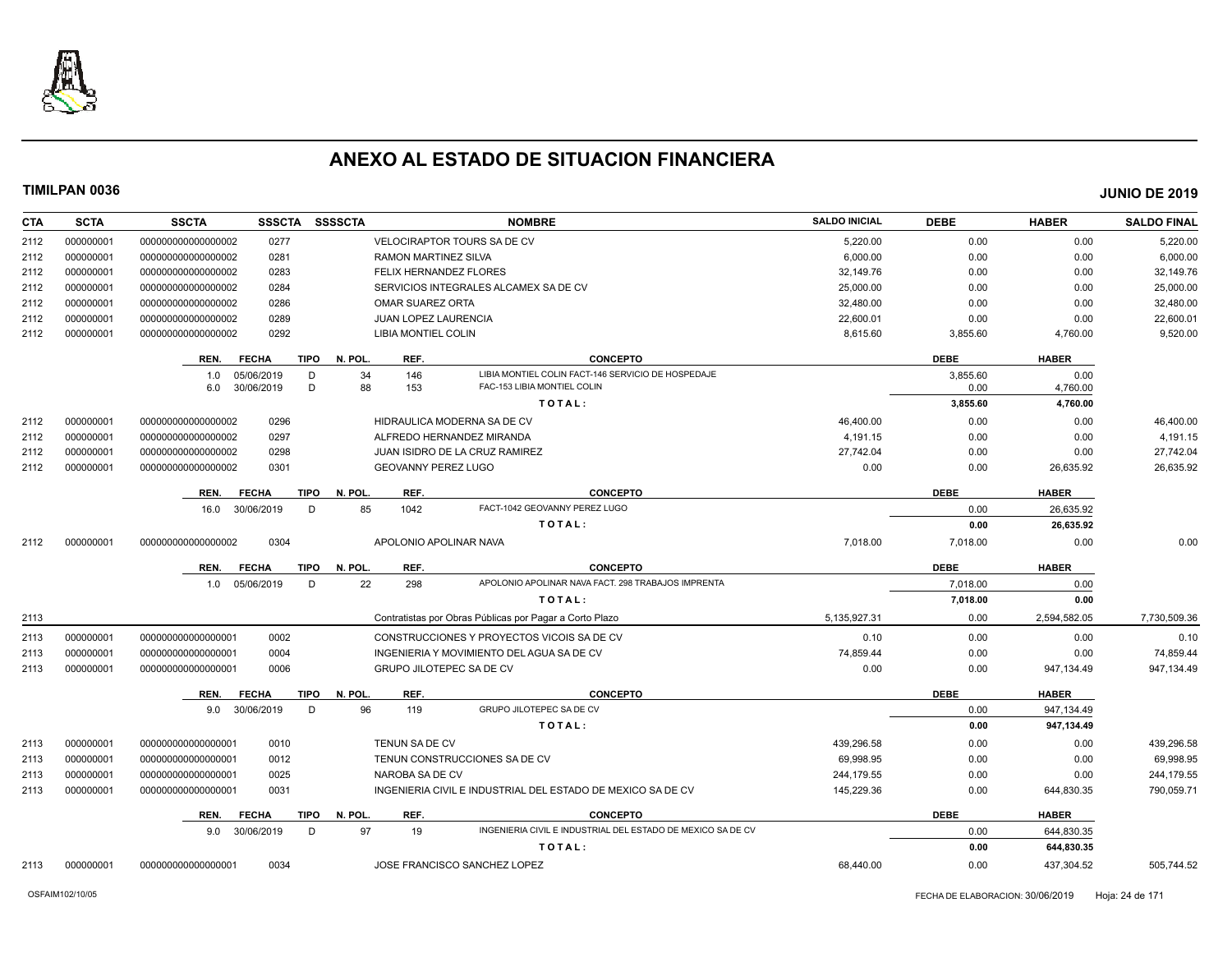

| <b>CTA</b> | <b>SCTA</b> | <b>SSCTA</b><br><b>SSSCTA</b> | <b>SSSSCTA</b>                 | <b>NOMBRE</b>                                               | <b>SALDO INICIAL</b> | <b>DEBE</b> | <b>HABER</b> | <b>SALDO FINAL</b> |
|------------|-------------|-------------------------------|--------------------------------|-------------------------------------------------------------|----------------------|-------------|--------------|--------------------|
| 2112       | 000000001   | 0277<br>000000000000000002    |                                | <b>VELOCIRAPTOR TOURS SA DE CV</b>                          | 5,220.00             | 0.00        | 0.00         | 5,220.00           |
| 2112       | 000000001   | 0281<br>00000000000000002     | <b>RAMON MARTINEZ SILVA</b>    |                                                             | 6,000.00             | 0.00        | 0.00         | 6,000.00           |
| 2112       | 000000001   | 000000000000000002<br>0283    |                                | FELIX HERNANDEZ FLORES                                      | 32,149.76            | 0.00        | 0.00         | 32,149.76          |
| 2112       | 000000001   | 000000000000000002<br>0284    |                                | SERVICIOS INTEGRALES ALCAMEX SA DE CV                       | 25,000.00            | 0.00        | 0.00         | 25,000.00          |
| 2112       | 000000001   | 000000000000000002<br>0286    | <b>OMAR SUAREZ ORTA</b>        |                                                             | 32,480.00            | 0.00        | 0.00         | 32,480.00          |
| 2112       | 000000001   | 000000000000000002<br>0289    | JUAN LOPEZ LAURENCIA           |                                                             | 22,600.01            | 0.00        | 0.00         | 22,600.01          |
| 2112       | 000000001   | 000000000000000002<br>0292    | LIBIA MONTIEL COLIN            |                                                             | 8,615.60             | 3,855.60    | 4,760.00     | 9,520.00           |
|            |             | <b>FECHA</b><br>REN.          | <b>TIPO</b><br>N. POL.<br>REF. | <b>CONCEPTO</b>                                             |                      | <b>DEBE</b> | <b>HABER</b> |                    |
|            |             | 05/06/2019<br>1.0             | 34<br>146<br>D                 | LIBIA MONTIEL COLIN FACT-146 SERVICIO DE HOSPEDAJE          |                      | 3,855.60    | 0.00         |                    |
|            |             | 30/06/2019<br>6.0             | D<br>88<br>153                 | FAC-153 LIBIA MONTIEL COLIN                                 |                      | 0.00        | 4,760.00     |                    |
|            |             |                               |                                | TOTAL:                                                      |                      | 3,855.60    | 4,760.00     |                    |
| 2112       | 000000001   | 0296<br>000000000000000002    |                                | HIDRAULICA MODERNA SA DE CV                                 | 46,400.00            | 0.00        | 0.00         | 46,400.00          |
| 2112       | 000000001   | 0297<br>00000000000000002     |                                | ALFREDO HERNANDEZ MIRANDA                                   | 4.191.15             | 0.00        | 0.00         | 4,191.15           |
| 2112       | 000000001   | 0298<br>000000000000000002    |                                | <b>JUAN ISIDRO DE LA CRUZ RAMIREZ</b>                       | 27,742.04            | 0.00        | 0.00         | 27,742.04          |
| 2112       | 000000001   | 000000000000000002<br>0301    | <b>GEOVANNY PEREZ LUGO</b>     |                                                             | 0.00                 | 0.00        | 26,635.92    | 26,635.92          |
|            |             | <b>FECHA</b><br>REN.          | <b>TIPO</b><br>N. POL.<br>REF. | <b>CONCEPTO</b>                                             |                      | <b>DEBE</b> | <b>HABER</b> |                    |
|            |             | 30/06/2019<br>16.0            | D<br>85<br>1042                | FACT-1042 GEOVANNY PEREZ LUGO                               |                      | 0.00        | 26,635.92    |                    |
|            |             |                               |                                | TOTAL:                                                      |                      | 0.00        | 26,635.92    |                    |
| 2112       | 000000001   | 0304<br>000000000000000002    |                                | APOLONIO APOLINAR NAVA                                      | 7,018.00             | 7,018.00    | 0.00         | 0.00               |
|            |             | <b>FECHA</b><br>REN.          | TIPO<br>N. POL.<br>REF.        | <b>CONCEPTO</b>                                             |                      | <b>DEBE</b> | <b>HABER</b> |                    |
|            |             | 1.0 05/06/2019                | D<br>22<br>298                 | APOLONIO APOLINAR NAVA FACT. 298 TRABAJOS IMPRENTA          |                      | 7,018.00    | 0.00         |                    |
|            |             |                               |                                | TOTAL:                                                      |                      | 7,018.00    | 0.00         |                    |
| 2113       |             |                               |                                | Contratistas por Obras Públicas por Pagar a Corto Plazo     | 5,135,927.31         | 0.00        | 2,594,582.05 | 7,730,509.36       |
| 2113       | 000000001   | 0002<br>000000000000000001    |                                | CONSTRUCCIONES Y PROYECTOS VICOIS SA DE CV                  | 0.10                 | 0.00        | 0.00         | 0.10               |
| 2113       | 000000001   | 000000000000000001<br>0004    |                                | INGENIERIA Y MOVIMIENTO DEL AGUA SA DE CV                   | 74,859.44            | 0.00        | 0.00         | 74,859.44          |
| 2113       | 000000001   | 000000000000000001<br>0006    |                                | GRUPO JILOTEPEC SA DE CV                                    | 0.00                 | 0.00        | 947,134.49   | 947,134.49         |
|            |             | <b>FECHA</b><br>REN.          | <b>TIPO</b><br>N. POL.<br>REF. | <b>CONCEPTO</b>                                             |                      | <b>DEBE</b> | <b>HABER</b> |                    |
|            |             | 9.0 30/06/2019                | 96<br>D<br>119                 | GRUPO JILOTEPEC SA DE CV                                    |                      | 0.00        | 947,134.49   |                    |
|            |             |                               |                                | TOTAL:                                                      |                      | 0.00        | 947,134.49   |                    |
| 2113       | 000000001   | 000000000000000001<br>0010    | <b>TENUN SA DE CV</b>          |                                                             | 439.296.58           | 0.00        | 0.00         | 439,296.58         |
| 2113       | 000000001   | 0012<br>000000000000000001    |                                | TENUN CONSTRUCCIONES SA DE CV                               | 69,998.95            | 0.00        | 0.00         | 69,998.95          |
| 2113       | 000000001   | 000000000000000001<br>0025    | NAROBA SA DE CV                |                                                             | 244,179.55           | 0.00        | 0.00         | 244,179.55         |
| 2113       | 000000001   | 0031<br>000000000000000001    |                                | INGENIERIA CIVIL E INDUSTRIAL DEL ESTADO DE MEXICO SA DE CV | 145,229.36           | 0.00        | 644,830.35   | 790,059.71         |
|            |             | REN.<br><b>FECHA</b>          | N. POL.<br>REF.<br>TIPO        | <b>CONCEPTO</b>                                             |                      | <b>DEBE</b> | <b>HABER</b> |                    |
|            |             | 9.0 30/06/2019                | 97<br>D<br>19                  | INGENIERIA CIVIL E INDUSTRIAL DEL ESTADO DE MEXICO SA DE CV |                      | 0.00        | 644,830.35   |                    |
|            |             |                               |                                | TOTAL:                                                      |                      | 0.00        | 644,830.35   |                    |
| 2113       | 000000001   | 00000000000000001<br>0034     |                                | JOSE FRANCISCO SANCHEZ LOPEZ                                | 68,440.00            | 0.00        | 437,304.52   | 505,744.52         |
|            |             |                               |                                |                                                             |                      |             |              |                    |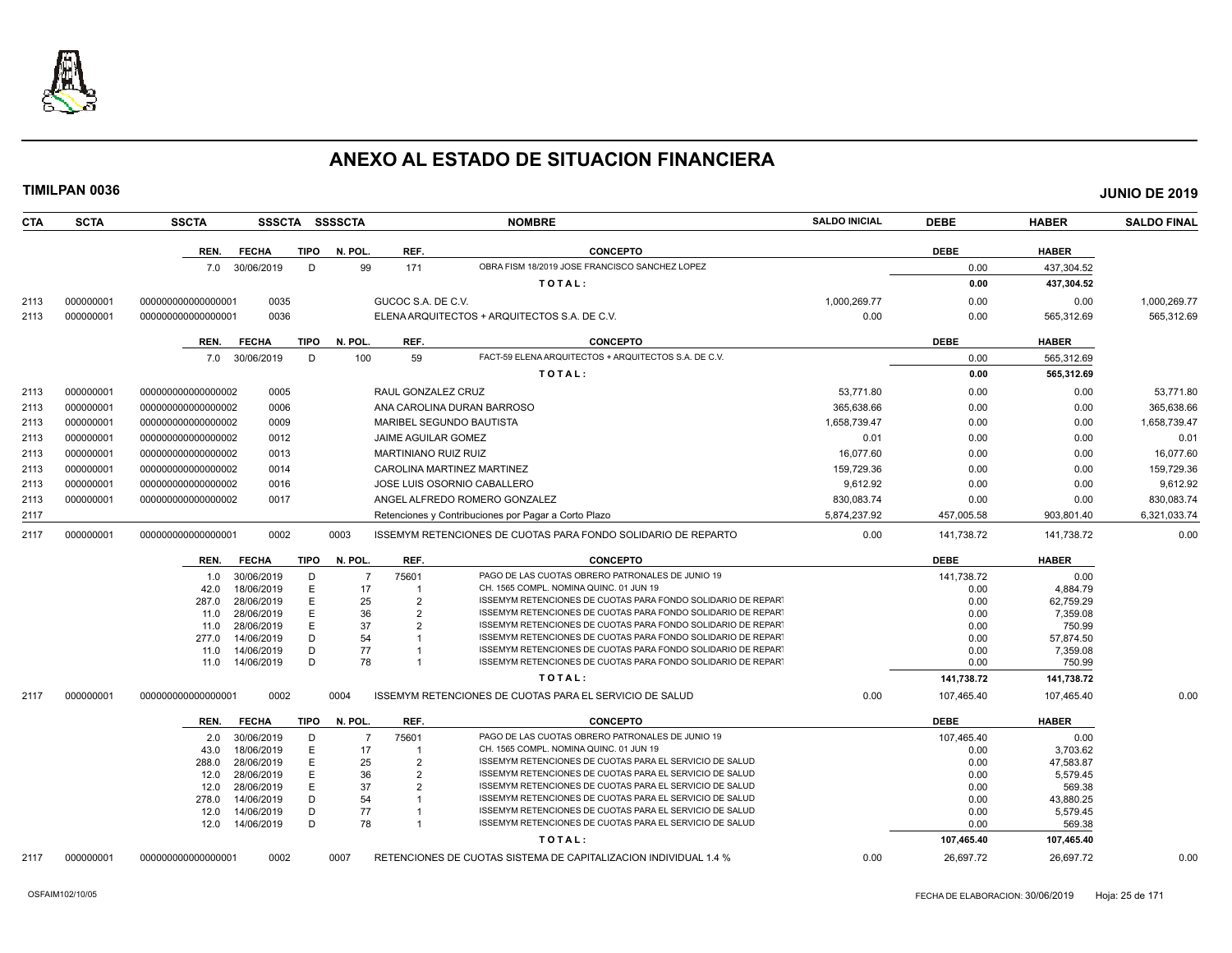

| <b>CTA</b> | <b>SCTA</b> | <b>SSCTA</b>       |                          |        | SSSCTA SSSSCTA |                             | <b>NOMBRE</b>                                                                                                                | <b>SALDO INICIAL</b> | <b>DEBE</b>  | <b>HABER</b>          | <b>SALDO FINAL</b> |
|------------|-------------|--------------------|--------------------------|--------|----------------|-----------------------------|------------------------------------------------------------------------------------------------------------------------------|----------------------|--------------|-----------------------|--------------------|
|            |             | REN.               | <b>FECHA</b>             | TIPO   | N. POL.        | REF.                        | <b>CONCEPTO</b>                                                                                                              |                      | <b>DEBE</b>  | <b>HABER</b>          |                    |
|            |             |                    | 7.0 30/06/2019           | D      | 99             | 171                         | OBRA FISM 18/2019 JOSE FRANCISCO SANCHEZ LOPEZ                                                                               |                      | 0.00         | 437,304.52            |                    |
|            |             |                    |                          |        |                |                             | TOTAL:                                                                                                                       |                      | 0.00         | 437,304.52            |                    |
| 2113       | 000000001   | 000000000000000001 | 0035                     |        |                | GUCOC S.A. DE C.V.          |                                                                                                                              | 1,000,269.77         | 0.00         | 0.00                  | 1,000,269.77       |
| 2113       | 000000001   | 000000000000000001 | 0036                     |        |                |                             | ELENA ARQUITECTOS + ARQUITECTOS S.A. DE C.V.                                                                                 | 0.00                 | 0.00         | 565,312.69            | 565,312.69         |
|            |             |                    |                          |        |                |                             |                                                                                                                              |                      |              |                       |                    |
|            |             | REN.               | <b>FECHA</b>             | TIPO   | N. POL.        | REF.                        | <b>CONCEPTO</b>                                                                                                              |                      | <b>DEBE</b>  | <b>HABER</b>          |                    |
|            |             |                    | 7.0 30/06/2019           | D      | 100            | 59                          | FACT-59 ELENA ARQUITECTOS + ARQUITECTOS S.A. DE C.V.                                                                         |                      | 0.00         | 565,312.69            |                    |
|            |             |                    |                          |        |                |                             | TOTAL:                                                                                                                       |                      | 0.00         | 565,312.69            |                    |
| 2113       | 000000001   | 00000000000000002  | 0005                     |        |                | RAUL GONZALEZ CRUZ          |                                                                                                                              | 53.771.80            | 0.00         | 0.00                  | 53,771.80          |
| 2113       | 000000001   | 00000000000000002  | 0006                     |        |                |                             | ANA CAROLINA DURAN BARROSO                                                                                                   | 365,638.66           | 0.00         | 0.00                  | 365,638.66         |
| 2113       | 000000001   | 00000000000000002  | 0009                     |        |                |                             | MARIBEL SEGUNDO BAUTISTA                                                                                                     | 1,658,739.47         | 0.00         | 0.00                  | 1,658,739.47       |
|            |             |                    |                          |        |                |                             |                                                                                                                              |                      |              |                       |                    |
| 2113       | 000000001   | 00000000000000002  | 0012                     |        |                | JAIME AGUILAR GOMEZ         |                                                                                                                              | 0.01                 | 0.00         | 0.00                  | 0.01               |
| 2113       | 000000001   | 00000000000000002  | 0013                     |        |                | <b>MARTINIANO RUIZ RUIZ</b> |                                                                                                                              | 16,077.60            | 0.00         | 0.00                  | 16,077.60          |
| 2113       | 000000001   | 000000000000000002 | 0014                     |        |                |                             | CAROLINA MARTINEZ MARTINEZ                                                                                                   | 159,729.36           | 0.00         | 0.00                  | 159,729.36         |
| 2113       | 000000001   | 00000000000000002  | 0016                     |        |                |                             | JOSE LUIS OSORNIO CABALLERO                                                                                                  | 9,612.92             | 0.00         | 0.00                  | 9,612.92           |
| 2113       | 000000001   | 00000000000000002  | 0017                     |        |                |                             | ANGEL ALFREDO ROMERO GONZALEZ                                                                                                | 830,083.74           | 0.00         | 0.00                  | 830,083.74         |
| 2117       |             |                    |                          |        |                |                             | Retenciones y Contribuciones por Pagar a Corto Plazo                                                                         | 5,874,237.92         | 457,005.58   | 903,801.40            | 6,321,033.74       |
| 2117       | 000000001   | 000000000000000001 | 0002                     |        | 0003           |                             | ISSEMYM RETENCIONES DE CUOTAS PARA FONDO SOLIDARIO DE REPARTO                                                                | 0.00                 | 141,738.72   | 141,738.72            | 0.00               |
|            |             | REN.               | <b>FECHA</b>             | TIPO   | N. POL.        | REF.                        | <b>CONCEPTO</b>                                                                                                              |                      | <b>DEBE</b>  | <b>HABER</b>          |                    |
|            |             | 1.0                | 30/06/2019               | D      | -7             | 75601                       | PAGO DE LAS CUOTAS OBRERO PATRONALES DE JUNIO 19                                                                             |                      | 141,738.72   | 0.00                  |                    |
|            |             | 42.0               | 18/06/2019               | E      | 17             | $\overline{1}$              | CH. 1565 COMPL. NOMINA QUINC. 01 JUN 19                                                                                      |                      | 0.00         | 4.884.79              |                    |
|            |             | 287.0              | 28/06/2019               | E<br>E | 25<br>36       | 2                           | ISSEMYM RETENCIONES DE CUOTAS PARA FONDO SOLIDARIO DE REPART<br>ISSEMYM RETENCIONES DE CUOTAS PARA FONDO SOLIDARIO DE REPART |                      | 0.00<br>0.00 | 62.759.29             |                    |
|            |             | 11.0<br>11.0       | 28/06/2019<br>28/06/2019 | E      | 37             | 2<br>2                      | ISSEMYM RETENCIONES DE CUOTAS PARA FONDO SOLIDARIO DE REPART                                                                 |                      | 0.00         | 7,359.08<br>750.99    |                    |
|            |             | 277.0              | 14/06/2019               | D      | 54             |                             | ISSEMYM RETENCIONES DE CUOTAS PARA FONDO SOLIDARIO DE REPART                                                                 |                      | 0.00         | 57,874.50             |                    |
|            |             | 11.0               | 14/06/2019               | D      | 77             |                             | ISSEMYM RETENCIONES DE CUOTAS PARA FONDO SOLIDARIO DE REPART                                                                 |                      | 0.00         | 7,359.08              |                    |
|            |             | 11.0               | 14/06/2019               | D      | 78             | $\mathbf{1}$                | ISSEMYM RETENCIONES DE CUOTAS PARA FONDO SOLIDARIO DE REPART                                                                 |                      | 0.00         | 750.99                |                    |
|            |             |                    |                          |        |                |                             | TOTAL:                                                                                                                       |                      | 141,738.72   | 141,738.72            |                    |
| 2117       | 000000001   | 000000000000000001 | 0002                     |        | 0004           |                             | ISSEMYM RETENCIONES DE CUOTAS PARA EL SERVICIO DE SALUD                                                                      | 0.00                 | 107,465.40   | 107,465.40            | 0.00               |
|            |             | REN.               | <b>FECHA</b>             | TIPO   | N. POL.        | REF.                        | <b>CONCEPTO</b>                                                                                                              |                      | <b>DEBE</b>  | <b>HABER</b>          |                    |
|            |             | 2.0                | 30/06/2019               | D      | $\overline{7}$ | 75601                       | PAGO DE LAS CUOTAS OBRERO PATRONALES DE JUNIO 19                                                                             |                      | 107,465.40   | 0.00                  |                    |
|            |             | 43.0               | 18/06/2019               | E      | 17             | -1                          | CH. 1565 COMPL. NOMINA QUINC. 01 JUN 19                                                                                      |                      | 0.00         | 3,703.62              |                    |
|            |             | 288.0              | 28/06/2019               | E      | 25             | $\overline{2}$              | ISSEMYM RETENCIONES DE CUOTAS PARA EL SERVICIO DE SALUD                                                                      |                      | 0.00         | 47,583.87             |                    |
|            |             | 12.0               | 28/06/2019               | E      | 36             | $\overline{2}$              | ISSEMYM RETENCIONES DE CUOTAS PARA EL SERVICIO DE SALUD                                                                      |                      | 0.00         | 5,579.45              |                    |
|            |             | 12.0<br>278.0      | 28/06/2019<br>14/06/2019 | E<br>D | 37<br>54       | $\overline{2}$              | ISSEMYM RETENCIONES DE CUOTAS PARA EL SERVICIO DE SALUD<br>ISSEMYM RETENCIONES DE CUOTAS PARA EL SERVICIO DE SALUD           |                      | 0.00<br>0.00 | 569.38                |                    |
|            |             | 12.0               | 14/06/2019               | D      | 77             | -1                          | ISSEMYM RETENCIONES DE CUOTAS PARA EL SERVICIO DE SALUD                                                                      |                      | 0.00         | 43,880.25<br>5,579.45 |                    |
|            |             | 12.0               | 14/06/2019               | D      | 78             | $\mathbf{1}$                | ISSEMYM RETENCIONES DE CUOTAS PARA EL SERVICIO DE SALUD                                                                      |                      | 0.00         | 569.38                |                    |
|            |             |                    |                          |        |                |                             | TOTAL:                                                                                                                       |                      | 107,465.40   | 107,465.40            |                    |
| 2117       | 000000001   | 00000000000000001  | 0002                     |        | 0007           |                             |                                                                                                                              | 0.00                 | 26,697.72    | 26,697.72             | 0.00               |
|            |             |                    |                          |        |                |                             | RETENCIONES DE CUOTAS SISTEMA DE CAPITALIZACION INDIVIDUAL 1.4 %                                                             |                      |              |                       |                    |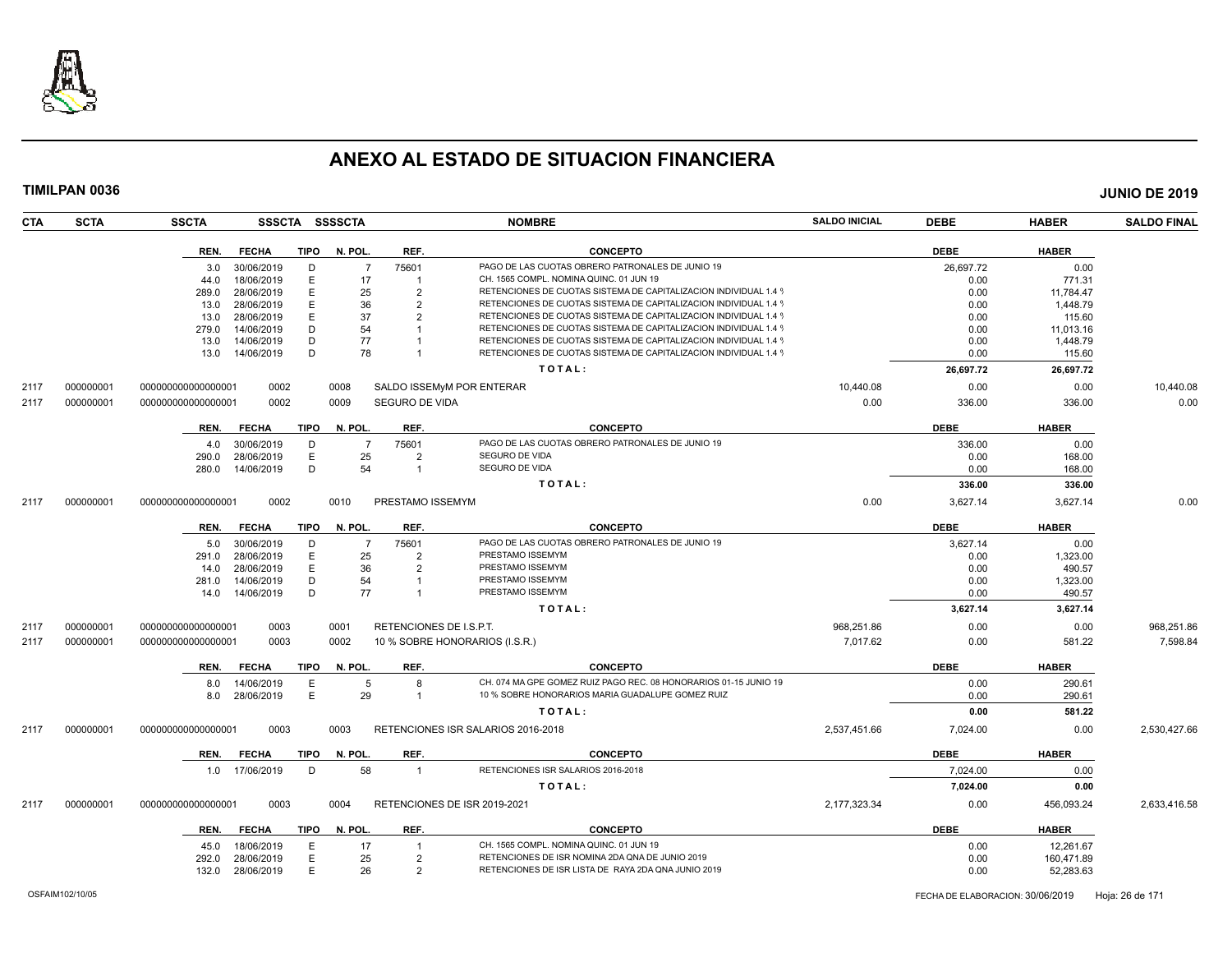

| CTA  | <b>SCTA</b> | <b>SSCTA</b>       | <b>SSSCTA</b>  |             | SSSSCTA        |                         | <b>NOMBRE</b>                                                    | <b>SALDO INICIAL</b> | <b>DEBE</b> | <b>HABER</b> | <b>SALDO FINAL</b> |
|------|-------------|--------------------|----------------|-------------|----------------|-------------------------|------------------------------------------------------------------|----------------------|-------------|--------------|--------------------|
|      |             | REN.               | <b>FECHA</b>   | TIPO        | N. POL.        | REF.                    | <b>CONCEPTO</b>                                                  |                      | <b>DEBE</b> | <b>HABER</b> |                    |
|      |             | 3.0                | 30/06/2019     | D           | $\overline{7}$ | 75601                   | PAGO DE LAS CUOTAS OBRERO PATRONALES DE JUNIO 19                 |                      | 26,697.72   | 0.00         |                    |
|      |             | 44.0               | 18/06/2019     | E           | 17             |                         | CH. 1565 COMPL. NOMINA QUINC. 01 JUN 19                          |                      | 0.00        | 771.31       |                    |
|      |             | 289.0              | 28/06/2019     | E           | 25             | 2                       | RETENCIONES DE CUOTAS SISTEMA DE CAPITALIZACION INDIVIDUAL 1.4 9 |                      | 0.00        | 11,784.47    |                    |
|      |             | 13.0               | 28/06/2019     | E           | 36             | $\overline{2}$          | RETENCIONES DE CUOTAS SISTEMA DE CAPITALIZACION INDIVIDUAL 1.4 9 |                      | 0.00        | 1,448.79     |                    |
|      |             | 13.0               | 28/06/2019     | F           | 37             | 2                       | RETENCIONES DE CUOTAS SISTEMA DE CAPITALIZACION INDIVIDUAL 1.4 9 |                      | 0.00        | 115.60       |                    |
|      |             | 279.0              | 14/06/2019     | D           | 54             |                         | RETENCIONES DE CUOTAS SISTEMA DE CAPITALIZACION INDIVIDUAL 1.4 9 |                      | 0.00        | 11,013.16    |                    |
|      |             | 13.0               | 14/06/2019     | D           | 77             |                         | RETENCIONES DE CUOTAS SISTEMA DE CAPITALIZACION INDIVIDUAL 1.4 9 |                      | 0.00        | 1,448.79     |                    |
|      |             | 13.0               | 14/06/2019     | D           | 78             | $\mathbf{1}$            | RETENCIONES DE CUOTAS SISTEMA DE CAPITALIZACION INDIVIDUAL 1.4 9 |                      | 0.00        | 115.60       |                    |
|      |             |                    |                |             |                |                         | TOTAL:                                                           |                      | 26,697.72   | 26,697.72    |                    |
| 2117 | 000000001   | 00000000000000001  | 0002           |             | 0008           |                         | SALDO ISSEMyM POR ENTERAR                                        | 10,440.08            | 0.00        | 0.00         | 10,440.08          |
| 2117 | 000000001   | 000000000000000001 | 0002           |             | 0009           | SEGURO DE VIDA          |                                                                  | 0.00                 | 336.00      | 336.00       | 0.00               |
|      |             | REN.               | <b>FECHA</b>   | <b>TIPO</b> | N. POL.        | REF.                    | <b>CONCEPTO</b>                                                  |                      | <b>DEBE</b> | <b>HABER</b> |                    |
|      |             | 4.0                | 30/06/2019     | D           | $\overline{7}$ | 75601                   | PAGO DE LAS CUOTAS OBRERO PATRONALES DE JUNIO 19                 |                      | 336.00      | 0.00         |                    |
|      |             | 290.0              | 28/06/2019     | Е           | 25             | $\overline{2}$          | SEGURO DE VIDA                                                   |                      | 0.00        | 168.00       |                    |
|      |             | 280.0              | 14/06/2019     | D           | 54             | $\mathbf{1}$            | SEGURO DE VIDA                                                   |                      | 0.00        | 168.00       |                    |
|      |             |                    |                |             |                |                         | TOTAL:                                                           |                      | 336.00      | 336.00       |                    |
| 2117 | 000000001   | 000000000000000001 | 0002           |             | 0010           | PRESTAMO ISSEMYM        |                                                                  | 0.00                 | 3,627.14    | 3,627.14     | 0.00               |
|      |             | REN.               | <b>FECHA</b>   | TIPO        | N. POL.        | REF.                    | <b>CONCEPTO</b>                                                  |                      | <b>DEBE</b> | <b>HABER</b> |                    |
|      |             | 5.0                | 30/06/2019     | D           | $\overline{7}$ | 75601                   | PAGO DE LAS CUOTAS OBRERO PATRONALES DE JUNIO 19                 |                      | 3,627.14    | 0.00         |                    |
|      |             | 291.0              | 28/06/2019     | E           | 25             | 2                       | PRESTAMO ISSEMYM                                                 |                      | 0.00        | 1,323.00     |                    |
|      |             | 14.0               | 28/06/2019     | E           | 36             | $\overline{2}$          | PRESTAMO ISSEMYM                                                 |                      | 0.00        | 490.57       |                    |
|      |             | 281.0              | 14/06/2019     | D           | 54             | $\mathbf{1}$            | PRESTAMO ISSEMYM                                                 |                      | 0.00        | 1,323.00     |                    |
|      |             | 14.0               | 14/06/2019     | D           | 77             | $\mathbf{1}$            | PRESTAMO ISSEMYM                                                 |                      | 0.00        | 490.57       |                    |
|      |             |                    |                |             |                |                         | TOTAL:                                                           |                      | 3,627.14    | 3,627.14     |                    |
| 2117 | 000000001   | 000000000000000001 | 0003           |             | 0001           | RETENCIONES DE I.S.P.T. |                                                                  | 968,251.86           | 0.00        | 0.00         | 968,251.86         |
| 2117 | 000000001   | 000000000000000001 | 0003           |             | 0002           |                         | 10 % SOBRE HONORARIOS (I.S.R.)                                   | 7,017.62             | 0.00        | 581.22       | 7,598.84           |
|      |             | REN.               | <b>FECHA</b>   | <b>TIPO</b> | N. POL.        | REF.                    | <b>CONCEPTO</b>                                                  |                      | <b>DEBE</b> | <b>HABER</b> |                    |
|      |             | 8.0                | 14/06/2019     | E           | 5              | 8                       | CH. 074 MA GPE GOMEZ RUIZ PAGO REC. 08 HONORARIOS 01-15 JUNIO 19 |                      | 0.00        | 290.61       |                    |
|      |             | 8.0                | 28/06/2019     | E           | 29             | $\mathbf{1}$            | 10 % SOBRE HONORARIOS MARIA GUADALUPE GOMEZ RUIZ                 |                      | 0.00        | 290.61       |                    |
|      |             |                    |                |             |                |                         | TOTAL:                                                           |                      | 0.00        | 581.22       |                    |
| 2117 | 000000001   | 000000000000000001 | 0003           |             | 0003           |                         | RETENCIONES ISR SALARIOS 2016-2018                               | 2,537,451.66         | 7,024.00    | 0.00         | 2,530,427.66       |
|      |             | REN.               | <b>FECHA</b>   | <b>TIPO</b> | N. POL.        | REF.                    | <b>CONCEPTO</b>                                                  |                      | <b>DEBE</b> | <b>HABER</b> |                    |
|      |             |                    | 1.0 17/06/2019 | D           | 58             | $\mathbf{1}$            | RETENCIONES ISR SALARIOS 2016-2018                               |                      | 7,024.00    | 0.00         |                    |
|      |             |                    |                |             |                |                         | TOTAL:                                                           |                      | 7,024.00    | 0.00         |                    |
| 2117 | 000000001   | 00000000000000001  | 0003           |             | 0004           |                         | RETENCIONES DE ISR 2019-2021                                     | 2,177,323.34         | 0.00        | 456,093.24   | 2,633,416.58       |
|      |             | REN.               | <b>FECHA</b>   | TIPO        | N. POL.        | REF.                    | <b>CONCEPTO</b>                                                  |                      | <b>DEBE</b> | <b>HABER</b> |                    |
|      |             | 45.0               | 18/06/2019     | Е           | 17             |                         | CH. 1565 COMPL. NOMINA QUINC. 01 JUN 19                          |                      | 0.00        | 12,261.67    |                    |
|      |             | 292.0              | 28/06/2019     | E           | 25             | $\overline{2}$          | RETENCIONES DE ISR NOMINA 2DA QNA DE JUNIO 2019                  |                      | 0.00        | 160,471.89   |                    |
|      |             | 132.0              | 28/06/2019     | E           | 26             | 2                       | RETENCIONES DE ISR LISTA DE RAYA 2DA QNA JUNIO 2019              |                      | 0.00        | 52,283.63    |                    |
|      |             |                    |                |             |                |                         |                                                                  |                      |             |              |                    |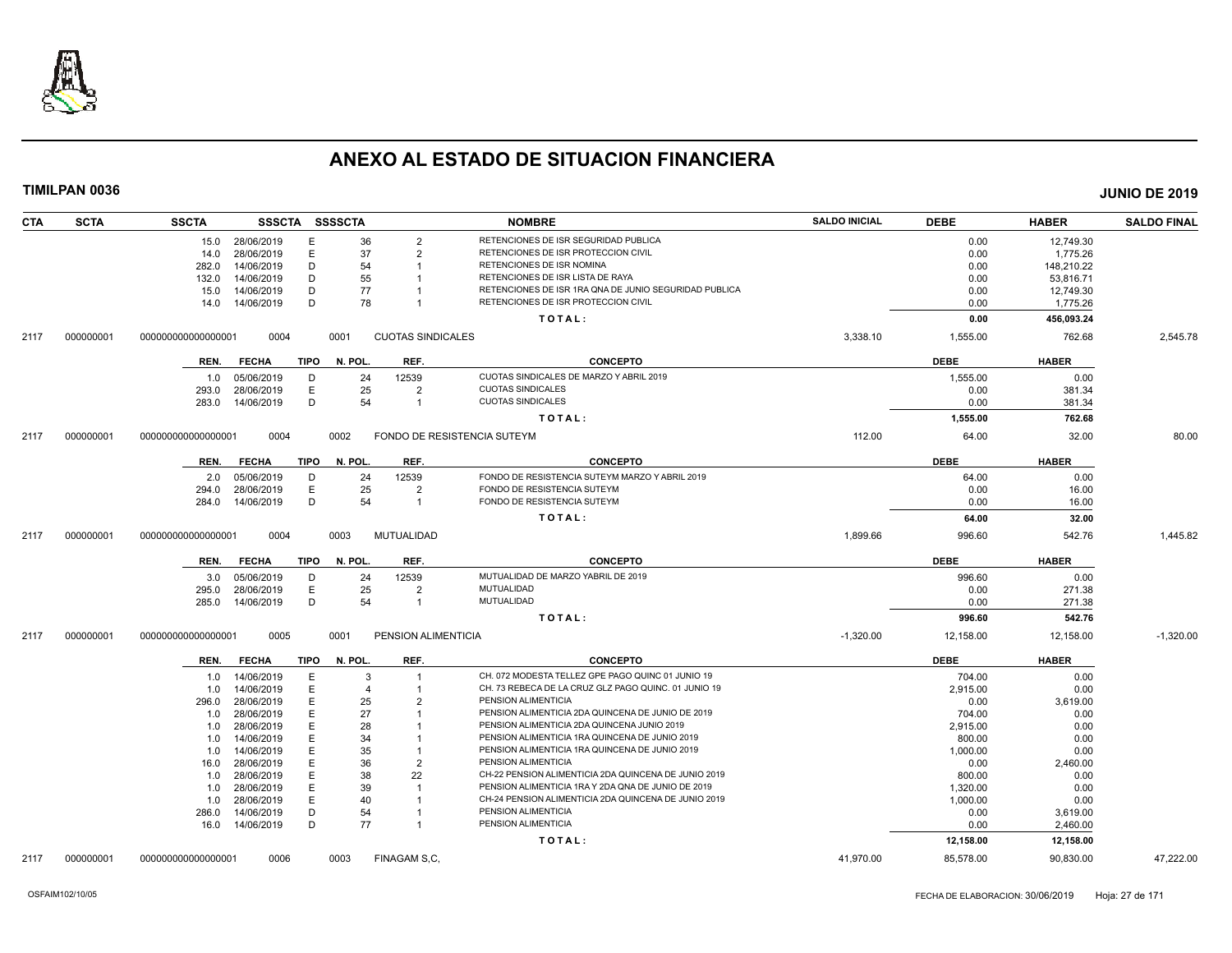

| <b>CTA</b> | <b>SCTA</b> | SSSCTA SSSSCTA<br><b>SSCTA</b>      |         |                          | <b>NOMBRE</b>                                         | <b>SALDO INICIAL</b> | <b>DEBE</b> | <b>HABER</b> | <b>SALDO FINAL</b> |
|------------|-------------|-------------------------------------|---------|--------------------------|-------------------------------------------------------|----------------------|-------------|--------------|--------------------|
|            |             | 15.0 28/06/2019<br>Е                | 36      | $\overline{2}$           | RETENCIONES DE ISR SEGURIDAD PUBLICA                  |                      | 0.00        | 12,749.30    |                    |
|            |             | 28/06/2019<br>E<br>14.0             | 37      | $\overline{2}$           | RETENCIONES DE ISR PROTECCION CIVIL                   |                      | 0.00        | 1,775.26     |                    |
|            |             | 282.0<br>14/06/2019<br>D            | 54      |                          | RETENCIONES DE ISR NOMINA                             |                      | 0.00        | 148,210.22   |                    |
|            |             | 14/06/2019<br>D<br>132.0            | 55      |                          | RETENCIONES DE ISR LISTA DE RAYA                      |                      | 0.00        | 53,816.71    |                    |
|            |             | 14/06/2019<br>D<br>15.0             | 77      |                          | RETENCIONES DE ISR 1RA QNA DE JUNIO SEGURIDAD PUBLICA |                      | 0.00        | 12,749.30    |                    |
|            |             | D<br>14/06/2019<br>14.0             | 78      |                          | RETENCIONES DE ISR PROTECCION CIVIL                   |                      | 0.00        | 1,775.26     |                    |
|            |             |                                     |         |                          | TOTAL:                                                |                      | 0.00        | 456,093.24   |                    |
| 2117       | 000000001   | 000000000000000001<br>0004          | 0001    | <b>CUOTAS SINDICALES</b> |                                                       | 3,338.10             | 1,555.00    | 762.68       | 2,545.78           |
|            |             | <b>FECHA</b><br>TIPO<br>REN.        | N. POL. | REF.                     | <b>CONCEPTO</b>                                       |                      | <b>DEBE</b> | <b>HABER</b> |                    |
|            |             | 05/06/2019<br>D<br>1.0              | 24      | 12539                    | CUOTAS SINDICALES DE MARZO Y ABRIL 2019               |                      | 1,555.00    | 0.00         |                    |
|            |             | E<br>28/06/2019<br>293.0            | 25      | $\overline{2}$           | <b>CUOTAS SINDICALES</b>                              |                      | 0.00        | 381.34       |                    |
|            |             | 14/06/2019<br>D<br>283.0            | 54      | $\overline{\mathbf{1}}$  | <b>CUOTAS SINDICALES</b>                              |                      | 0.00        | 381.34       |                    |
|            |             |                                     |         |                          | TOTAL:                                                |                      | 1,555.00    | 762.68       |                    |
| 2117       | 000000001   | 0004<br>000000000000000001          | 0002    |                          | FONDO DE RESISTENCIA SUTEYM                           | 112.00               | 64.00       | 32.00        | 80.00              |
|            |             | <b>TIPO</b><br>REN.<br><b>FECHA</b> | N. POL. | REF.                     | <b>CONCEPTO</b>                                       |                      | <b>DEBE</b> | <b>HABER</b> |                    |
|            |             | 05/06/2019<br>D<br>2.0              | 24      | 12539                    | FONDO DE RESISTENCIA SUTEYM MARZO Y ABRIL 2019        |                      | 64.00       | 0.00         |                    |
|            |             | Ε<br>28/06/2019<br>294.0            | 25      | $\overline{2}$           | FONDO DE RESISTENCIA SUTEYM                           |                      | 0.00        | 16.00        |                    |
|            |             | 14/06/2019<br>D<br>284.0            | 54      | $\overline{1}$           | FONDO DE RESISTENCIA SUTEYM                           |                      | 0.00        | 16.00        |                    |
|            |             |                                     |         |                          | TOTAL:                                                |                      | 64.00       | 32.00        |                    |
| 2117       | 000000001   | 0004<br>000000000000000001          | 0003    | MUTUALIDAD               |                                                       | 1,899.66             | 996.60      | 542.76       | 1,445.82           |
|            |             | <b>FECHA</b><br>TIPO<br>REN.        | N. POL. | REF.                     | <b>CONCEPTO</b>                                       |                      | <b>DEBE</b> | <b>HABER</b> |                    |
|            |             | 05/06/2019<br>D<br>3.0              | 24      | 12539                    | MUTUALIDAD DE MARZO YABRIL DE 2019                    |                      | 996.60      | 0.00         |                    |
|            |             | E<br>28/06/2019<br>295.0            | 25      | $\overline{2}$           | MUTUALIDAD                                            |                      | 0.00        | 271.38       |                    |
|            |             | D<br>14/06/2019<br>285.0            | 54      | $\overline{\mathbf{1}}$  | MUTUALIDAD                                            |                      | 0.00        | 271.38       |                    |
|            |             |                                     |         |                          | TOTAL:                                                |                      | 996.60      | 542.76       |                    |
| 2117       | 000000001   | 000000000000000001<br>0005          | 0001    | PENSION ALIMENTICIA      |                                                       | $-1,320.00$          | 12,158.00   | 12,158.00    | $-1.320.00$        |
|            |             | <b>FECHA</b><br>TIPO<br>REN.        | N. POL. | REF.                     | <b>CONCEPTO</b>                                       |                      | <b>DEBE</b> | <b>HABER</b> |                    |
|            |             | 1.0 14/06/2019<br>E                 | 3       | $\overline{1}$           | CH. 072 MODESTA TELLEZ GPE PAGO QUINC 01 JUNIO 19     |                      | 704.00      | 0.00         |                    |
|            |             | E<br>14/06/2019<br>1.0              | 4       | -1                       | CH. 73 REBECA DE LA CRUZ GLZ PAGO QUINC. 01 JUNIO 19  |                      | 2,915.00    | 0.00         |                    |
|            |             | 28/06/2019<br>E<br>296.0            | 25      | $\overline{2}$           | PENSION ALIMENTICIA                                   |                      | 0.00        | 3,619.00     |                    |
|            |             | E<br>28/06/2019<br>1.0              | 27      |                          | PENSION ALIMENTICIA 2DA QUINCENA DE JUNIO DE 2019     |                      | 704.00      | 0.00         |                    |
|            |             | 28/06/2019<br>E<br>1.0              | 28      |                          | PENSION ALIMENTICIA 2DA QUINCENA JUNIO 2019           |                      | 2,915.00    | 0.00         |                    |
|            |             | 14/06/2019<br>Е<br>1.0              | 34      |                          | PENSION ALIMENTICIA 1RA QUINCENA DE JUNIO 2019        |                      | 800.00      | 0.00         |                    |
|            |             | 14/06/2019<br>E<br>1.0              | 35      |                          | PENSION ALIMENTICIA 1RA QUINCENA DE JUNIO 2019        |                      | 1,000.00    | 0.00         |                    |
|            |             | 28/06/2019<br>E<br>16.0             | 36      | $\overline{2}$           | PENSION ALIMENTICIA                                   |                      | 0.00        | 2,460.00     |                    |
|            |             | 28/06/2019<br>Е<br>1.0              | 38      | 22                       | CH-22 PENSION ALIMENTICIA 2DA QUINCENA DE JUNIO 2019  |                      | 800.00      | 0.00         |                    |
|            |             | 28/06/2019<br>E<br>1.0              | 39      |                          | PENSION ALIMENTICIA 1RA Y 2DA QNA DE JUNIO DE 2019    |                      | 1,320.00    | 0.00         |                    |
|            |             | 28/06/2019<br>E<br>1.0              | 40      |                          | CH-24 PENSION ALIMENTICIA 2DA QUINCENA DE JUNIO 2019  |                      | 1,000.00    | 0.00         |                    |
|            |             | 14/06/2019<br>D<br>286.0            | 54      |                          | PENSION ALIMENTICIA                                   |                      | 0.00        | 3,619.00     |                    |
|            |             | D<br>16.0  14/06/2019               | 77      | $\overline{1}$           | PENSION ALIMENTICIA                                   |                      | 0.00        | 2,460.00     |                    |
|            |             |                                     |         |                          | TOTAL:                                                |                      | 12,158.00   | 12,158.00    |                    |
| 2117       | 000000001   | 0006<br>000000000000000001          | 0003    | FINAGAM S.C.             |                                                       | 41,970.00            | 85,578.00   | 90,830.00    | 47.222.00          |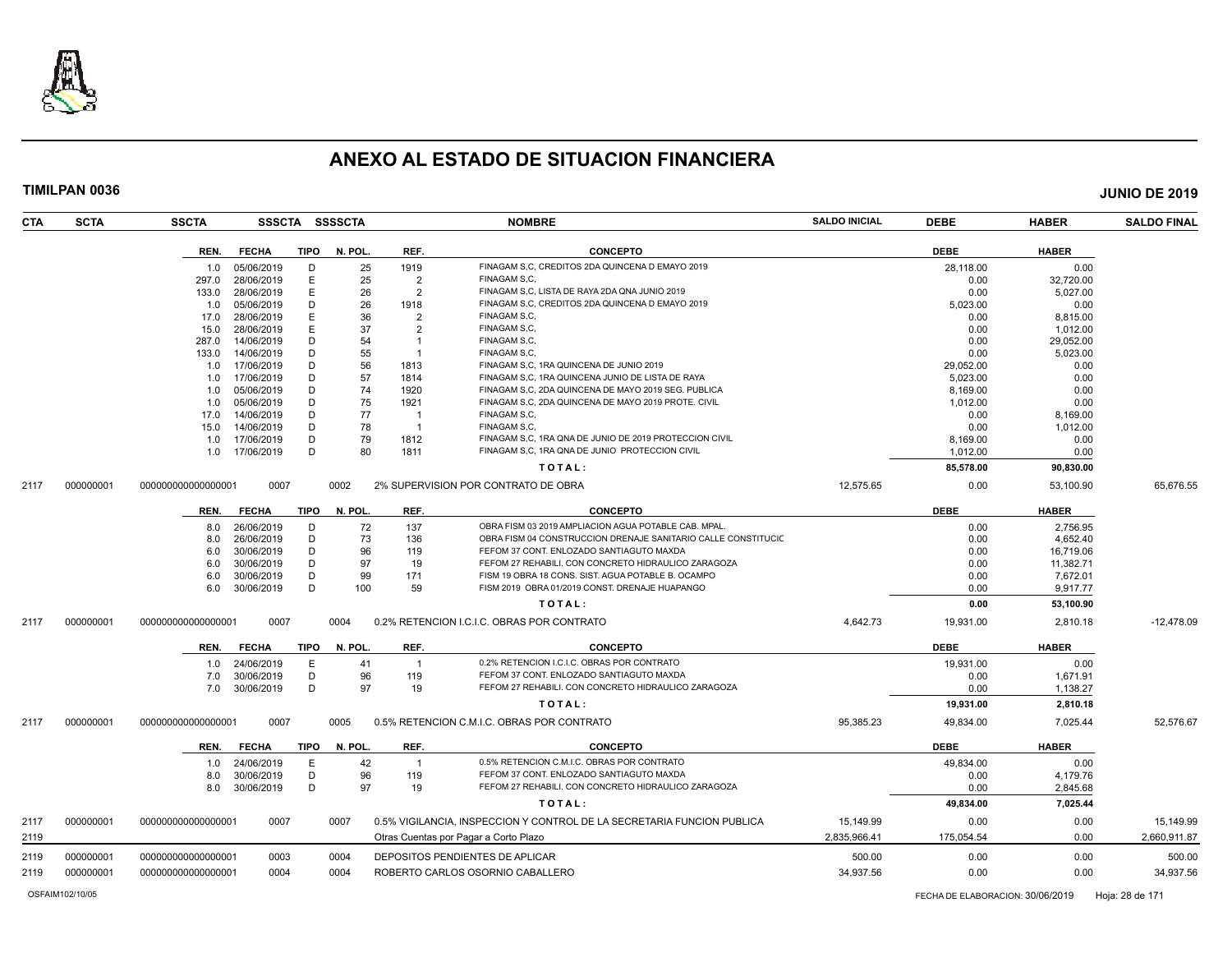

| CTA  | <b>SCTA</b> | <b>SSCTA</b>       |              |             | SSSCTA SSSSCTA |                | <b>NOMBRE</b>                                                          | <b>SALDO INICIAL</b> | <b>DEBE</b> | <b>HABER</b> | <b>SALDO FINAL</b> |
|------|-------------|--------------------|--------------|-------------|----------------|----------------|------------------------------------------------------------------------|----------------------|-------------|--------------|--------------------|
|      |             | REN.               | <b>FECHA</b> | <b>TIPO</b> | N. POL.        | REF.           | <b>CONCEPTO</b>                                                        |                      | <b>DEBE</b> | <b>HABER</b> |                    |
|      |             | 1.0                | 05/06/2019   | D           | 25             | 1919           | FINAGAM S.C. CREDITOS 2DA QUINCENA D EMAYO 2019                        |                      | 28,118.00   | 0.00         |                    |
|      |             | 297.0              | 28/06/2019   | E           | 25             | $\overline{2}$ | FINAGAM S.C.                                                           |                      | 0.00        | 32,720.00    |                    |
|      |             | 133.0              | 28/06/2019   | E           | 26             | $\overline{2}$ | FINAGAM S.C. LISTA DE RAYA 2DA QNA JUNIO 2019                          |                      | 0.00        | 5,027.00     |                    |
|      |             | 1.0                | 05/06/2019   | D           | 26             | 1918           | FINAGAM S.C. CREDITOS 2DA QUINCENA D EMAYO 2019                        |                      | 5,023.00    | 0.00         |                    |
|      |             | 17.0               | 28/06/2019   | E           | 36             | $\overline{2}$ | FINAGAM S.C.                                                           |                      | 0.00        | 8,815.00     |                    |
|      |             | 15.0               | 28/06/2019   | E           | 37             | $\overline{2}$ | FINAGAM S.C.                                                           |                      | 0.00        | 1,012.00     |                    |
|      |             | 287.0              | 14/06/2019   | D           | 54             | $\mathbf{1}$   | FINAGAM S.C.                                                           |                      | 0.00        | 29,052.00    |                    |
|      |             | 133.0              | 14/06/2019   | D           | 55             |                | FINAGAM S.C.                                                           |                      | 0.00        | 5,023.00     |                    |
|      |             | 1.0                | 17/06/2019   | D           | 56             | 1813           | FINAGAM S.C. 1RA QUINCENA DE JUNIO 2019                                |                      | 29,052.00   | 0.00         |                    |
|      |             | 1.0                | 17/06/2019   | D           | 57             | 1814           | FINAGAM S.C. 1RA QUINCENA JUNIO DE LISTA DE RAYA                       |                      | 5,023.00    | 0.00         |                    |
|      |             | 1.0                | 05/06/2019   | D           | 74             | 1920           | FINAGAM S.C. 2DA QUINCENA DE MAYO 2019 SEG. PUBLICA                    |                      | 8,169.00    | 0.00         |                    |
|      |             | 1.0                | 05/06/2019   | D           | 75             | 1921           | FINAGAM S,C, 2DA QUINCENA DE MAYO 2019 PROTE. CIVIL                    |                      | 1,012.00    | 0.00         |                    |
|      |             | 17.0               | 14/06/2019   | D           | 77             | -1             | FINAGAM S.C.                                                           |                      | 0.00        | 8,169.00     |                    |
|      |             | 15.0               | 14/06/2019   | D           | 78             | $\overline{1}$ | FINAGAM S.C.                                                           |                      | 0.00        | 1,012.00     |                    |
|      |             | 1.0                | 17/06/2019   | D           | 79             | 1812           | FINAGAM S.C. 1RA QNA DE JUNIO DE 2019 PROTECCION CIVIL                 |                      | 8,169.00    | 0.00         |                    |
|      |             | 1.0                | 17/06/2019   | D           | 80             | 1811           | FINAGAM S,C, 1RA QNA DE JUNIO PROTECCION CIVIL                         |                      | 1,012.00    | 0.00         |                    |
|      |             |                    |              |             |                |                | TOTAL:                                                                 |                      | 85,578.00   | 90.830.00    |                    |
| 2117 | 000000001   | 000000000000000001 | 0007         |             | 0002           |                | 2% SUPERVISION POR CONTRATO DE OBRA                                    | 12,575.65            | 0.00        | 53,100.90    | 65,676.55          |
|      |             | REN.               | <b>FECHA</b> | TIPO        | N. POL.        | REF.           | <b>CONCEPTO</b>                                                        |                      | <b>DEBE</b> | <b>HABER</b> |                    |
|      |             | 8.0                | 26/06/2019   | D           | 72             | 137            | OBRA FISM 03 2019 AMPLIACION AGUA POTABLE CAB. MPAL.                   |                      | 0.00        | 2,756.95     |                    |
|      |             | 8.0                | 26/06/2019   | D           | 73             | 136            | OBRA FISM 04 CONSTRUCCION DRENAJE SANITARIO CALLE CONSTITUCIO          |                      | 0.00        | 4,652.40     |                    |
|      |             | 6.0                | 30/06/2019   | D           | 96             | 119            | FEFOM 37 CONT. ENLOZADO SANTIAGUTO MAXDA                               |                      | 0.00        | 16,719.06    |                    |
|      |             | 6.0                | 30/06/2019   | D           | 97             | 19             | FEFOM 27 REHABILI. CON CONCRETO HIDRAULICO ZARAGOZA                    |                      | 0.00        | 11,382.71    |                    |
|      |             | 6.0                | 30/06/2019   | D           | 99             | 171            | FISM 19 OBRA 18 CONS. SIST. AGUA POTABLE B. OCAMPO                     |                      | 0.00        | 7,672.01     |                    |
|      |             | 6.0                | 30/06/2019   | D           | 100            | 59             | FISM 2019 OBRA 01/2019 CONST. DRENAJE HUAPANGO                         |                      | 0.00        | 9,917.77     |                    |
|      |             |                    |              |             |                |                | TOTAL:                                                                 |                      | 0.00        | 53,100.90    |                    |
| 2117 | 000000001   | 00000000000000001  | 0007         |             | 0004           |                | 0.2% RETENCION I.C.I.C. OBRAS POR CONTRATO                             | 4,642.73             | 19,931.00   | 2,810.18     | $-12,478.09$       |
|      |             | REN.               | <b>FECHA</b> | <b>TIPO</b> | N. POL         | REF.           | <b>CONCEPTO</b>                                                        |                      | <b>DEBE</b> | <b>HABER</b> |                    |
|      |             | 1.0                | 24/06/2019   | E           | 41             | $\mathbf{1}$   | 0.2% RETENCION I.C.I.C. OBRAS POR CONTRATO                             |                      | 19,931.00   | 0.00         |                    |
|      |             | 7.0                | 30/06/2019   | D           | 96             | 119            | FEFOM 37 CONT. ENLOZADO SANTIAGUTO MAXDA                               |                      | 0.00        | 1,671.91     |                    |
|      |             | 7.0                | 30/06/2019   | D           | 97             | 19             | FEFOM 27 REHABILI. CON CONCRETO HIDRAULICO ZARAGOZA                    |                      | 0.00        | 1,138.27     |                    |
|      |             |                    |              |             |                |                | TOTAL:                                                                 |                      | 19,931.00   | 2,810.18     |                    |
|      |             |                    |              |             |                |                |                                                                        |                      |             |              |                    |
| 2117 | 000000001   | 000000000000000001 | 0007         |             | 0005           |                | 0.5% RETENCION C.M.I.C. OBRAS POR CONTRATO                             | 95,385.23            | 49,834.00   | 7,025.44     | 52,576.67          |
|      |             | REN.               | <b>FECHA</b> | <b>TIPO</b> | N. POL.        | REF.           | <b>CONCEPTO</b>                                                        |                      | <b>DEBE</b> | <b>HABER</b> |                    |
|      |             | 1.0                | 24/06/2019   | E           | 42             | $\overline{1}$ | 0.5% RETENCION C.M.I.C. OBRAS POR CONTRATO                             |                      | 49,834.00   | 0.00         |                    |
|      |             | 8.0                | 30/06/2019   | D           | 96             | 119            | FEFOM 37 CONT. ENLOZADO SANTIAGUTO MAXDA                               |                      | 0.00        | 4,179.76     |                    |
|      |             | 8.0                | 30/06/2019   | D           | 97             | 19             | FEFOM 27 REHABILI. CON CONCRETO HIDRAULICO ZARAGOZA                    |                      | 0.00        | 2,845.68     |                    |
|      |             |                    |              |             |                |                | TOTAL:                                                                 |                      | 49,834.00   | 7,025.44     |                    |
| 2117 | 000000001   | 00000000000000001  | 0007         |             | 0007           |                | 0.5% VIGILANCIA, INSPECCION Y CONTROL DE LA SECRETARIA FUNCION PUBLICA | 15,149.99            | 0.00        | 0.00         | 15,149.99          |
| 2119 |             |                    |              |             |                |                | Otras Cuentas por Pagar a Corto Plazo                                  | 2,835,966.41         | 175,054.54  | 0.00         | 2,660,911.87       |
| 2119 | 000000001   | 000000000000000001 | 0003         |             | 0004           |                | DEPOSITOS PENDIENTES DE APLICAR                                        | 500.00               | 0.00        | 0.00         | 500.00             |
| 2119 | 000000001   | 000000000000000001 | 0004         |             | 0004           |                | ROBERTO CARLOS OSORNIO CABALLERO                                       | 34.937.56            | 0.00        | 0.00         | 34.937.56          |
|      |             |                    |              |             |                |                |                                                                        |                      |             |              |                    |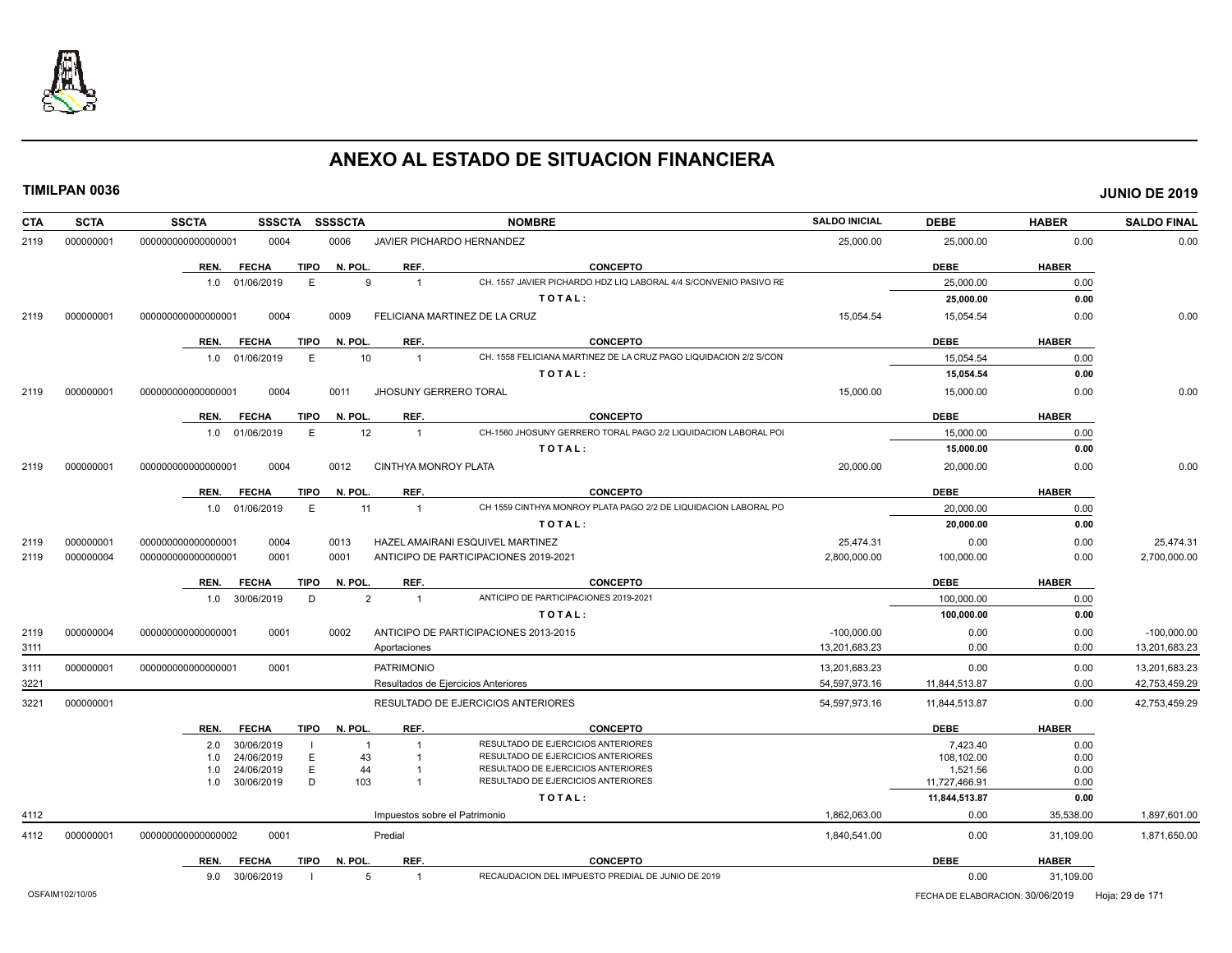

| <b>SCTA</b><br><b>CTA</b> |  | <b>SSCTA</b>       | <b>SSSCTA</b>  |             | <b>SSSSCTA</b> |                               | <b>NOMBRE</b>                                                            | <b>SALDO INICIAL</b> | <b>DEBE</b>                                      | <b>HABER</b> | <b>SALDO FINAL</b> |
|---------------------------|--|--------------------|----------------|-------------|----------------|-------------------------------|--------------------------------------------------------------------------|----------------------|--------------------------------------------------|--------------|--------------------|
| 000000001<br>2119         |  | 000000000000000001 | 0004           |             | 0006           |                               | JAVIER PICHARDO HERNANDEZ                                                | 25,000.00            | 25,000.00                                        | 0.00         | 0.00               |
|                           |  | REN.               | <b>FECHA</b>   | <b>TIPO</b> | N. POL.        | REF.                          | <b>CONCEPTO</b>                                                          |                      | <b>DEBE</b>                                      | <b>HABER</b> |                    |
|                           |  |                    | 1.0 01/06/2019 | E           | 9              | $\overline{1}$                | CH. 1557 JAVIER PICHARDO HDZ LIQ LABORAL 4/4 S/CONVENIO PASIVO RE        |                      | 25,000.00                                        | 0.00         |                    |
|                           |  |                    |                |             |                |                               | TOTAL:                                                                   |                      | 25,000.00                                        | 0.00         |                    |
| 000000001<br>2119         |  | 000000000000000001 | 0004           |             | 0009           |                               | FELICIANA MARTINEZ DE LA CRUZ                                            | 15,054.54            | 15,054.54                                        | 0.00         | 0.00               |
|                           |  | REN.               | <b>FECHA</b>   | <b>TIPO</b> | N. POL.        | REF.                          | <b>CONCEPTO</b>                                                          |                      | <b>DEBE</b>                                      | <b>HABER</b> |                    |
|                           |  |                    | 1.0 01/06/2019 | E           | 10             | $\overline{1}$                | CH. 1558 FELICIANA MARTINEZ DE LA CRUZ PAGO LIQUIDACION 2/2 S/CON        |                      | 15,054.54                                        | 0.00         |                    |
|                           |  |                    |                |             |                |                               | TOTAL:                                                                   |                      | 15,054.54                                        | 0.00         |                    |
| 000000001<br>2119         |  | 00000000000000001  | 0004           |             | 0011           | <b>JHOSUNY GERRERO TORAL</b>  |                                                                          | 15,000.00            | 15,000.00                                        | 0.00         | 0.00               |
|                           |  | REN.               | <b>FECHA</b>   | TIPO        | N. POL.        | REF.                          | <b>CONCEPTO</b>                                                          |                      | <b>DEBE</b>                                      | <b>HABER</b> |                    |
|                           |  |                    | 1.0 01/06/2019 | E           | 12             | $\overline{1}$                | CH-1560 JHOSUNY GERRERO TORAL PAGO 2/2 LIQUIDACION LABORAL POI           |                      | 15,000.00                                        | 0.00         |                    |
|                           |  |                    |                |             |                |                               | TOTAL:                                                                   |                      | 15,000.00                                        | 0.00         |                    |
| 000000001<br>2119         |  | 000000000000000001 | 0004           |             | 0012           | CINTHYA MONROY PLATA          |                                                                          | 20,000.00            | 20,000.00                                        | 0.00         | 0.00               |
|                           |  | REN.               | <b>FECHA</b>   | <b>TIPO</b> | N. POL.        | REF.                          | <b>CONCEPTO</b>                                                          |                      | <b>DEBE</b>                                      | <b>HABER</b> |                    |
|                           |  |                    | 1.0 01/06/2019 | E           | 11             | $\overline{1}$                | CH 1559 CINTHYA MONROY PLATA PAGO 2/2 DE LIQUIDACION LABORAL PO          |                      | 20,000.00                                        | 0.00         |                    |
|                           |  |                    |                |             |                |                               | TOTAL:                                                                   |                      | 20,000.00                                        | 0.00         |                    |
| 000000001<br>2119         |  | 000000000000000001 | 0004           |             | 0013           |                               | HAZEL AMAIRANI ESQUIVEL MARTINEZ                                         | 25,474.31            | 0.00                                             | 0.00         | 25,474.31          |
| 2119<br>000000004         |  | 000000000000000001 | 0001           |             | 0001           |                               | ANTICIPO DE PARTICIPACIONES 2019-2021                                    | 2,800,000.00         | 100,000.00                                       | 0.00         | 2,700,000.00       |
|                           |  | REN.               | <b>FECHA</b>   | TIPO        | N. POL.        | REF.                          | <b>CONCEPTO</b>                                                          |                      | <b>DEBE</b>                                      | <b>HABER</b> |                    |
|                           |  |                    | 1.0 30/06/2019 | D           | $\overline{2}$ | $\overline{1}$                | ANTICIPO DE PARTICIPACIONES 2019-2021                                    |                      | 100.000.00                                       | 0.00         |                    |
|                           |  |                    |                |             |                |                               | TOTAL:                                                                   |                      | 100,000.00                                       | 0.00         |                    |
| 000000004<br>2119         |  | 000000000000000001 | 0001           |             | 0002           |                               | ANTICIPO DE PARTICIPACIONES 2013-2015                                    | $-100.000.00$        | 0.00                                             | 0.00         | $-100.000.00$      |
| 3111                      |  |                    |                |             |                | Aportaciones                  |                                                                          | 13,201,683.23        | 0.00                                             | 0.00         | 13,201,683.23      |
| 000000001<br>3111         |  | 000000000000000001 | 0001           |             |                | <b>PATRIMONIO</b>             |                                                                          | 13,201,683.23        | 0.00                                             | 0.00         | 13,201,683.23      |
| 3221                      |  |                    |                |             |                |                               | Resultados de Ejercicios Anteriores                                      | 54,597,973.16        | 11.844.513.87                                    | 0.00         | 42,753,459.29      |
| 000000001<br>3221         |  |                    |                |             |                |                               | RESULTADO DE EJERCICIOS ANTERIORES                                       | 54,597,973.16        | 11,844,513.87                                    | 0.00         | 42,753,459.29      |
|                           |  | REN.               | <b>FECHA</b>   |             | TIPO N. POL.   | REF.                          | <b>CONCEPTO</b>                                                          |                      | <b>DEBE</b>                                      | <b>HABER</b> |                    |
|                           |  | 2.0                | 30/06/2019     |             | $\mathbf 1$    | $\overline{1}$                | RESULTADO DE EJERCICIOS ANTERIORES                                       |                      | 7.423.40                                         | 0.00         |                    |
|                           |  | 1.0                | 24/06/2019     | E           | 43             |                               | RESULTADO DE EJERCICIOS ANTERIORES                                       |                      | 108,102.00                                       | 0.00         |                    |
|                           |  | 1.0                | 24/06/2019     | E<br>D      | 44<br>103      |                               | RESULTADO DE EJERCICIOS ANTERIORES<br>RESULTADO DE EJERCICIOS ANTERIORES |                      | 1,521.56                                         | 0.00         |                    |
|                           |  | 1.0                | 30/06/2019     |             |                |                               |                                                                          |                      | 11,727,466.91                                    | 0.00         |                    |
|                           |  |                    |                |             |                |                               | TOTAL:                                                                   |                      | 11,844,513.87                                    | 0.00         |                    |
| 4112                      |  |                    |                |             |                | Impuestos sobre el Patrimonio |                                                                          | 1,862,063.00         | 0.00                                             | 35,538.00    | 1,897,601.00       |
| 4112<br>000000001         |  | 000000000000000002 | 0001           |             |                | Predial                       |                                                                          | 1,840,541.00         | 0.00                                             | 31,109.00    | 1,871,650.00       |
|                           |  | REN.               | <b>FECHA</b>   | TIPO        | N. POL.        | REF.                          | <b>CONCEPTO</b>                                                          |                      | <b>DEBE</b>                                      | <b>HABER</b> |                    |
|                           |  |                    | 9.0 30/06/2019 |             | 5              | $\overline{1}$                | RECAUDACION DEL IMPUESTO PREDIAL DE JUNIO DE 2019                        |                      | 0.00                                             | 31,109.00    |                    |
| OSFAIM102/10/05           |  |                    |                |             |                |                               |                                                                          |                      | FECHA DE ELABORACION: 30/06/2019 Hoja: 29 de 171 |              |                    |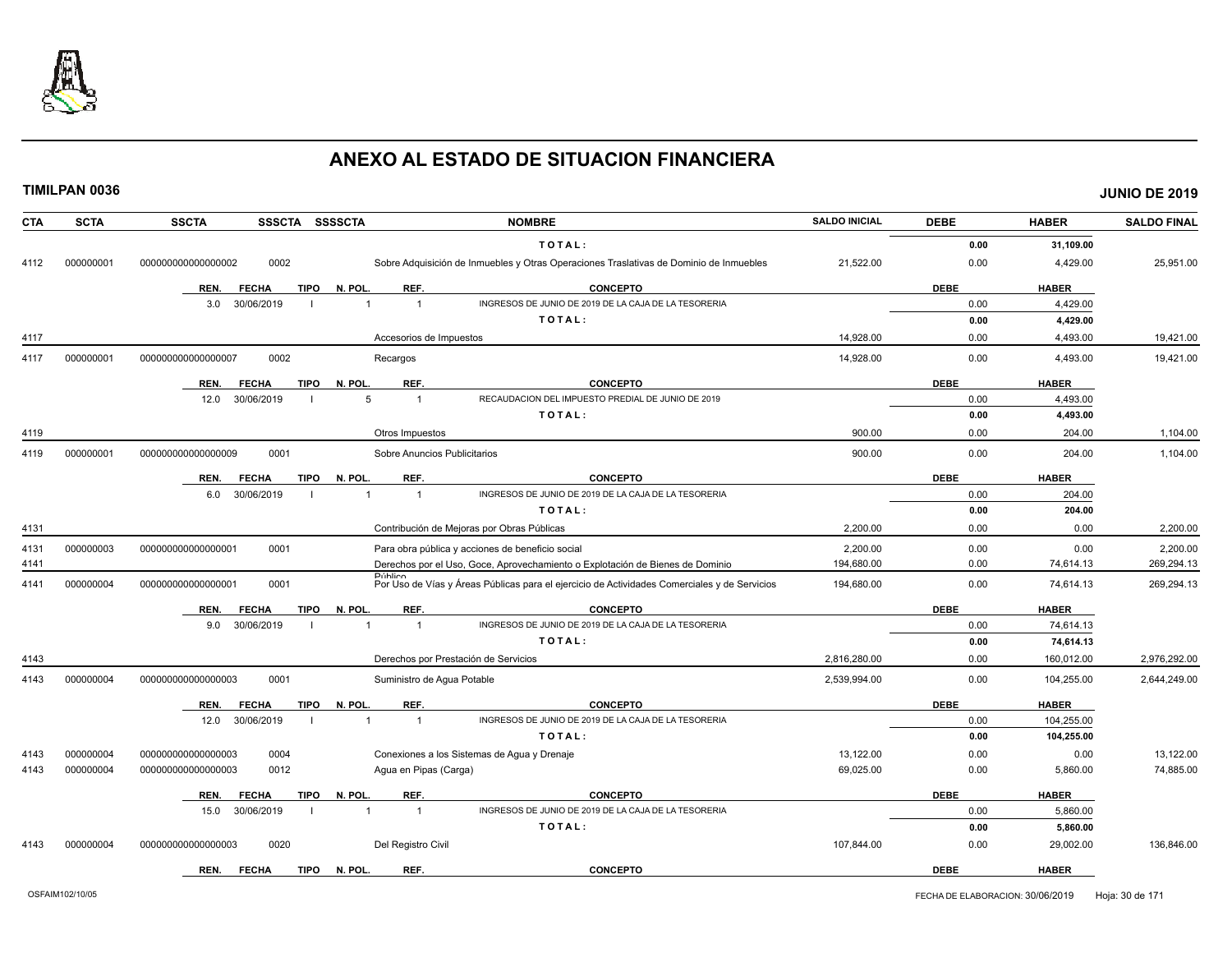

| <b>CTA</b> | <b>SCTA</b> | <b>SSCTA</b><br>SSSCTA SSSSCTA      |                                      | <b>NOMBRE</b>                                                                                | <b>SALDO INICIAL</b> | <b>DEBE</b> | <b>HABER</b> | <b>SALDO FINAL</b> |
|------------|-------------|-------------------------------------|--------------------------------------|----------------------------------------------------------------------------------------------|----------------------|-------------|--------------|--------------------|
|            |             |                                     |                                      | TOTAL:                                                                                       |                      | 0.00        | 31,109.00    |                    |
| 4112       | 000000001   | 0002<br>000000000000000002          |                                      | Sobre Adquisición de Inmuebles y Otras Operaciones Traslativas de Dominio de Inmuebles       | 21,522.00            | 0.00        | 4,429.00     | 25,951.00          |
|            |             | <b>TIPO</b><br>REN.<br><b>FECHA</b> | N. POL.<br>REF.                      | <b>CONCEPTO</b>                                                                              |                      | <b>DEBE</b> | <b>HABER</b> |                    |
|            |             | 30/06/2019<br>3.0                   | $\overline{1}$                       | INGRESOS DE JUNIO DE 2019 DE LA CAJA DE LA TESORERIA                                         |                      | 0.00        | 4,429.00     |                    |
|            |             |                                     |                                      | TOTAL:                                                                                       |                      | 0.00        | 4,429.00     |                    |
| 4117       |             |                                     | Accesorios de Impuestos              |                                                                                              | 14,928.00            | 0.00        | 4,493.00     | 19,421.00          |
| 4117       | 000000001   | 0002<br>00000000000000007           | Recargos                             |                                                                                              | 14,928.00            | 0.00        | 4,493.00     | 19,421.00          |
|            |             | <b>FECHA</b><br><b>TIPO</b><br>REN. | N. POL.<br>REF.                      | <b>CONCEPTO</b>                                                                              |                      | <b>DEBE</b> | <b>HABER</b> |                    |
|            |             | 30/06/2019<br>12.0                  | 5<br>$\overline{1}$                  | RECAUDACION DEL IMPUESTO PREDIAL DE JUNIO DE 2019                                            |                      | 0.00        | 4.493.00     |                    |
|            |             |                                     |                                      | TOTAL:                                                                                       |                      | 0.00        | 4,493.00     |                    |
| 4119       |             |                                     | Otros Impuestos                      |                                                                                              | 900.00               | 0.00        | 204.00       | 1,104.00           |
| 4119       | 000000001   | 000000000000000009<br>0001          | Sobre Anuncios Publicitarios         |                                                                                              | 900.00               | 0.00        | 204.00       | 1,104.00           |
|            |             | <b>FECHA</b><br><b>TIPO</b><br>REN. | REF.<br>N. POL.                      | <b>CONCEPTO</b>                                                                              |                      | <b>DEBE</b> | <b>HABER</b> |                    |
|            |             | 6.0<br>30/06/2019                   | $\overline{1}$<br>$\overline{1}$     | INGRESOS DE JUNIO DE 2019 DE LA CAJA DE LA TESORERIA                                         |                      | 0.00        | 204.00       |                    |
|            |             |                                     |                                      | TOTAL:                                                                                       |                      | 0.00        | 204.00       |                    |
| 4131       |             |                                     |                                      | Contribución de Mejoras por Obras Públicas                                                   | 2,200.00             | 0.00        | 0.00         | 2,200.00           |
| 4131       | 000000003   | 0001<br>00000000000000001           |                                      | Para obra pública y acciones de beneficio social                                             | 2.200.00             | 0.00        | 0.00         | 2.200.00           |
| 4141       |             |                                     |                                      | Derechos por el Uso, Goce, Aprovechamiento o Explotación de Bienes de Dominio                | 194,680.00           | 0.00        | 74,614.13    | 269,294.13         |
| 4141       | 000000004   | 0001<br>000000000000000001          | <b>Público</b>                       | Por Uso de Vías y Áreas Públicas para el ejercicio de Actividades Comerciales y de Servicios | 194,680.00           | 0.00        | 74,614.13    | 269,294.13         |
|            |             | <b>FECHA</b><br>TIPO<br>REN.        | N. POL.<br>REF.                      | <b>CONCEPTO</b>                                                                              |                      | <b>DEBE</b> | <b>HABER</b> |                    |
|            |             | 30/06/2019<br>9.0                   | $\overline{1}$                       | INGRESOS DE JUNIO DE 2019 DE LA CAJA DE LA TESORERIA                                         |                      | 0.00        | 74,614.13    |                    |
|            |             |                                     |                                      | TOTAL:                                                                                       |                      | 0.00        | 74,614.13    |                    |
| 4143       |             |                                     | Derechos por Prestación de Servicios |                                                                                              | 2,816,280.00         | 0.00        | 160,012.00   | 2,976,292.00       |
| 4143       | 000000004   | 0001<br>00000000000000003           | Suministro de Aqua Potable           |                                                                                              | 2,539,994.00         | 0.00        | 104,255.00   | 2,644,249.00       |
|            |             | <b>FECHA</b><br><b>TIPO</b><br>REN. | N. POL.<br>REF.                      | <b>CONCEPTO</b>                                                                              |                      | <b>DEBE</b> | <b>HABER</b> |                    |
|            |             | 30/06/2019<br>12.0                  | $\overline{1}$<br>$\overline{1}$     | INGRESOS DE JUNIO DE 2019 DE LA CAJA DE LA TESORERIA                                         |                      | 0.00        | 104,255.00   |                    |
|            |             |                                     |                                      | TOTAL:                                                                                       |                      | 0.00        | 104,255.00   |                    |
| 4143       | 000000004   | 0004<br>000000000000000003          |                                      | Conexiones a los Sistemas de Agua y Drenaje                                                  | 13,122.00            | 0.00        | 0.00         | 13,122.00          |
| 4143       | 000000004   | 0012<br>00000000000000003           | Agua en Pipas (Carga)                |                                                                                              | 69,025.00            | 0.00        | 5,860.00     | 74,885.00          |
|            |             | <b>FECHA</b><br><b>TIPO</b><br>REN. | N. POL.<br>REF.                      | <b>CONCEPTO</b>                                                                              |                      | <b>DEBE</b> | <b>HABER</b> |                    |
|            |             | 30/06/2019<br>15.0                  | $\overline{1}$<br>$\overline{1}$     | INGRESOS DE JUNIO DE 2019 DE LA CAJA DE LA TESORERIA                                         |                      | 0.00        | 5,860.00     |                    |
|            |             |                                     |                                      | TOTAL:                                                                                       |                      | 0.00        | 5,860.00     |                    |
| 4143       | 000000004   | 0020<br>000000000000000003          | Del Registro Civil                   |                                                                                              | 107,844.00           | 0.00        | 29,002.00    | 136,846.00         |
|            |             | <b>FECHA</b><br><b>TIPO</b><br>REN. | REF.<br>N. POL.                      | <b>CONCEPTO</b>                                                                              |                      | <b>DEBE</b> | <b>HABER</b> |                    |
|            |             |                                     |                                      |                                                                                              |                      |             |              |                    |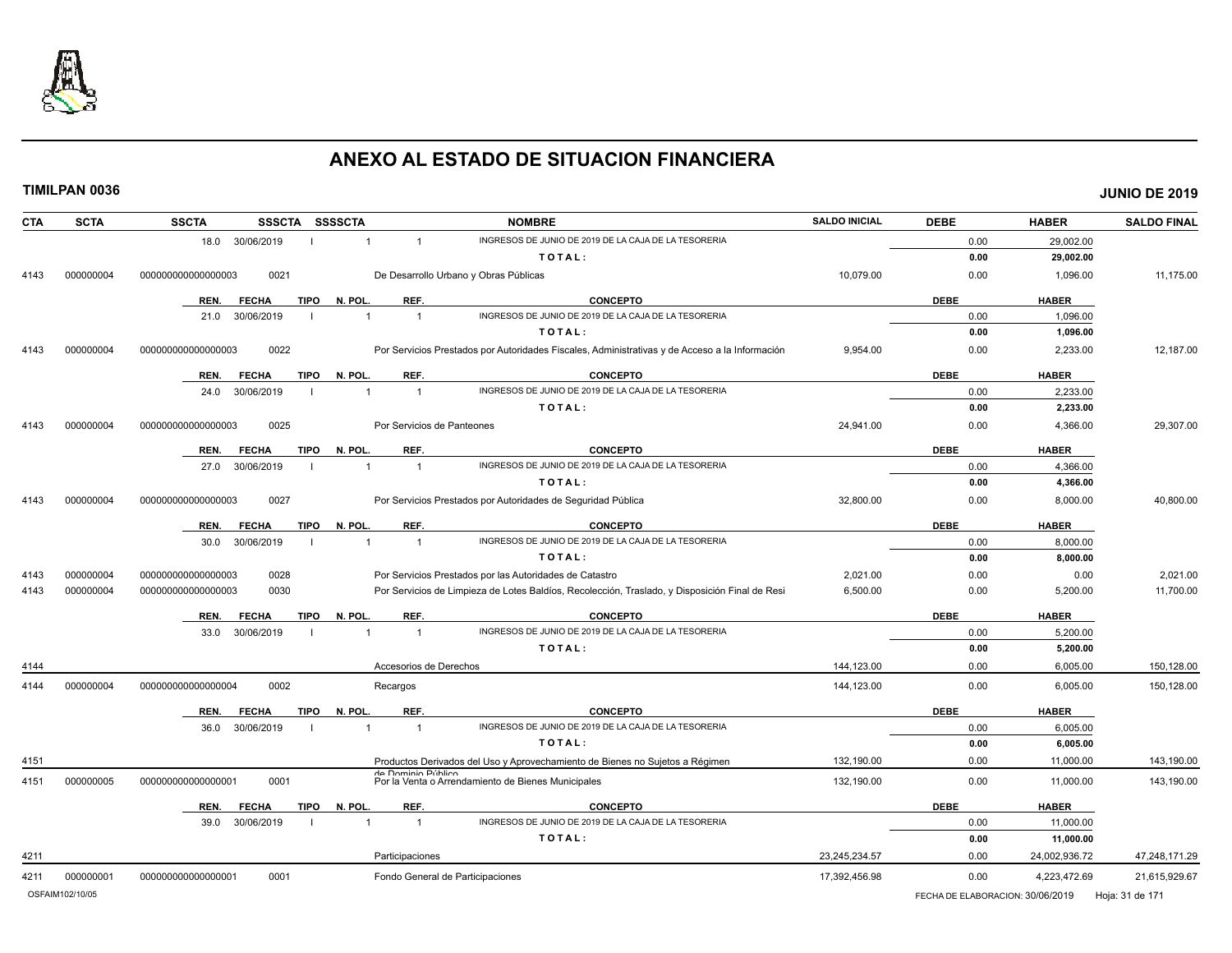

| <b>CTA</b> | <b>SCTA</b>     | <b>SSCTA</b><br><b>SSSCTA</b>       | SSSSCTA                          | <b>NOMBRE</b>                                                                                  | <b>SALDO INICIAL</b>             | <b>DEBE</b> | <b>HABER</b>    | <b>SALDO FINAL</b> |
|------------|-----------------|-------------------------------------|----------------------------------|------------------------------------------------------------------------------------------------|----------------------------------|-------------|-----------------|--------------------|
|            |                 | 18.0 30/06/2019                     | $\mathbf{1}$<br>$\mathbf{1}$     | INGRESOS DE JUNIO DE 2019 DE LA CAJA DE LA TESORERIA                                           |                                  | 0.00        | 29,002.00       |                    |
|            |                 |                                     |                                  | TOTAL:                                                                                         |                                  | 0.00        | 29,002.00       |                    |
| 4143       | 000000004       | 0021<br>000000000000000003          |                                  | De Desarrollo Urbano y Obras Públicas                                                          | 10,079.00                        | 0.00        | 1,096.00        | 11,175.00          |
|            |                 | REN.<br><b>FECHA</b><br><b>TIPO</b> | N. POL.<br>REF.                  | <b>CONCEPTO</b>                                                                                |                                  | <b>DEBE</b> | <b>HABER</b>    |                    |
|            |                 | 30/06/2019<br>21.0                  | $\overline{1}$<br>$\overline{1}$ | INGRESOS DE JUNIO DE 2019 DE LA CAJA DE LA TESORERIA                                           |                                  | 0.00        | 1,096.00        |                    |
|            |                 |                                     |                                  | TOTAL:                                                                                         |                                  | 0.00        | 1,096.00        |                    |
| 4143       | 000000004       | 0022<br>000000000000000003          |                                  | Por Servicios Prestados por Autoridades Fiscales, Administrativas y de Acceso a la Información | 9,954.00                         | 0.00        | 2,233.00        | 12,187.00          |
|            |                 | <b>TIPO</b><br>REN.<br><b>FECHA</b> | N. POL.<br>REF.                  | <b>CONCEPTO</b>                                                                                |                                  | <b>DEBE</b> | <b>HABER</b>    |                    |
|            |                 | 30/06/2019<br>24.0                  | $\overline{1}$<br>$\overline{1}$ | INGRESOS DE JUNIO DE 2019 DE LA CAJA DE LA TESORERIA                                           |                                  | 0.00        | 2,233.00        |                    |
|            |                 |                                     |                                  | TOTAL:                                                                                         |                                  | 0.00        | 2,233.00        |                    |
| 4143       | 000000004       | 000000000000000003<br>0025          |                                  | Por Servicios de Panteones                                                                     | 24,941.00                        | 0.00        | 4,366.00        | 29,307.00          |
|            |                 | <b>TIPO</b><br>REN.<br><b>FECHA</b> | N. POL.<br>REF.                  | <b>CONCEPTO</b>                                                                                |                                  | <b>DEBE</b> | <b>HABER</b>    |                    |
|            |                 | 27.0<br>30/06/2019                  | $\overline{1}$<br>$\mathbf{1}$   | INGRESOS DE JUNIO DE 2019 DE LA CAJA DE LA TESORERIA                                           |                                  | 0.00        | 4,366.00        |                    |
|            |                 |                                     |                                  | TOTAL:                                                                                         |                                  | 0.00        | 4,366.00        |                    |
| 4143       | 000000004       | 00000000000000003<br>0027           |                                  | Por Servicios Prestados por Autoridades de Seguridad Pública                                   | 32,800.00                        | 0.00        | 8,000.00        | 40,800.00          |
|            |                 | REN.<br><b>TIPO</b><br><b>FECHA</b> | REF.<br>N. POL                   | <b>CONCEPTO</b>                                                                                |                                  | <b>DEBE</b> | <b>HABER</b>    |                    |
|            |                 | 30/06/2019<br>30.0                  | $\overline{1}$<br>$\overline{1}$ | INGRESOS DE JUNIO DE 2019 DE LA CAJA DE LA TESORERIA                                           |                                  | 0.00        | 8,000.00        |                    |
|            |                 |                                     |                                  | TOTAL:                                                                                         |                                  | 0.00        | 8,000.00        |                    |
| 4143       | 000000004       | 000000000000000003<br>0028          |                                  | Por Servicios Prestados por las Autoridades de Catastro                                        | 2,021.00                         | 0.00        | 0.00            | 2,021.00           |
| 4143       | 000000004       | 00000000000000003<br>0030           |                                  | Por Servicios de Limpieza de Lotes Baldíos, Recolección, Traslado, y Disposición Final de Resi | 6,500.00                         | 0.00        | 5,200.00        | 11,700.00          |
|            |                 | <b>FECHA</b><br><b>TIPO</b><br>REN. | N. POL.<br>REF.                  | <b>CONCEPTO</b>                                                                                |                                  | <b>DEBE</b> | <b>HABER</b>    |                    |
|            |                 | 30/06/2019<br>33.0                  | $\overline{1}$<br>$\overline{1}$ | INGRESOS DE JUNIO DE 2019 DE LA CAJA DE LA TESORERIA                                           |                                  | 0.00        | 5,200.00        |                    |
|            |                 |                                     |                                  | TOTAL:                                                                                         |                                  | 0.00        | 5,200.00        |                    |
| 4144       |                 |                                     | Accesorios de Derechos           |                                                                                                | 144.123.00                       | 0.00        | 6,005.00        | 150,128.00         |
| 4144       | 000000004       | 00000000000000004<br>0002           | Recargos                         |                                                                                                | 144,123.00                       | 0.00        | 6,005.00        | 150,128.00         |
|            |                 | <b>TIPO</b><br>REN.<br><b>FECHA</b> | N. POL.<br>REF.                  | <b>CONCEPTO</b>                                                                                |                                  | <b>DEBE</b> | <b>HABER</b>    |                    |
|            |                 | 30/06/2019<br>36.0                  | $\overline{1}$<br>$\overline{1}$ | INGRESOS DE JUNIO DE 2019 DE LA CAJA DE LA TESORERIA                                           |                                  | 0.00        | 6,005.00        |                    |
|            |                 |                                     |                                  | TOTAL:                                                                                         |                                  | 0.00        | 6,005.00        |                    |
| 4151       |                 |                                     |                                  | Productos Derivados del Uso y Aprovechamiento de Bienes no Sujetos a Régimen                   | 132,190.00                       | 0.00        | 11,000.00       | 143,190.00         |
| 4151       | 000000005       | 00000000000000001<br>0001           | de Dominio Público               | Por la Venta o Arrendamiento de Bienes Municipales                                             | 132,190.00                       | 0.00        | 11,000.00       | 143,190.00         |
|            |                 | REN.<br><b>FECHA</b><br><b>TIPO</b> | N. POL<br>REF.                   | <b>CONCEPTO</b>                                                                                |                                  | <b>DEBE</b> | <b>HABER</b>    |                    |
|            |                 | 39.0<br>30/06/2019                  | $\overline{1}$                   | INGRESOS DE JUNIO DE 2019 DE LA CAJA DE LA TESORERIA                                           |                                  | 0.00        | 11,000.00       |                    |
|            |                 |                                     |                                  | TOTAL:                                                                                         |                                  | 0.00        | 11,000.00       |                    |
| 4211       |                 |                                     | Participaciones                  |                                                                                                | 23,245,234.57                    | 0.00        | 24,002,936.72   | 47,248,171.29      |
| 4211       | 000000001       | 00000000000000001<br>0001           |                                  | Fondo General de Participaciones                                                               | 17,392,456.98                    | 0.00        | 4,223,472.69    | 21,615,929.67      |
|            | OSFAIM102/10/05 |                                     |                                  |                                                                                                | FECHA DE ELABORACION: 30/06/2019 |             | Hoja: 31 de 171 |                    |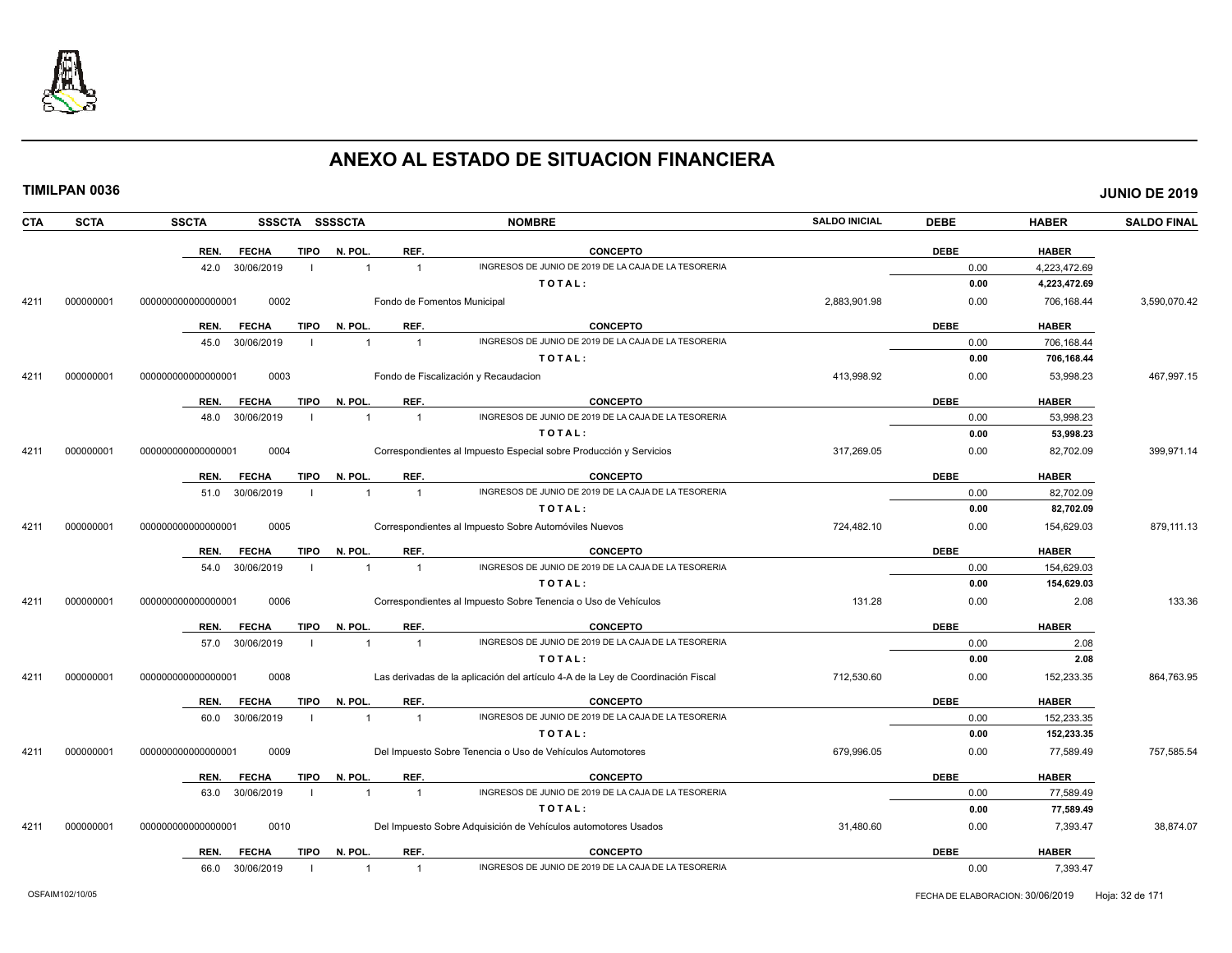

|--|

| CTA  | <b>SCTA</b> | <b>SSCTA</b><br>SSSCTA SSSSCTA       |                                  | <b>NOMBRE</b>                                                                    | <b>SALDO INICIAL</b> | <b>DEBE</b> | <b>HABER</b> | <b>SALDO FINAL</b> |
|------|-------------|--------------------------------------|----------------------------------|----------------------------------------------------------------------------------|----------------------|-------------|--------------|--------------------|
|      |             | REN.<br><b>TIPO</b><br><b>FECHA</b>  | REF.<br>N. POL.                  | <b>CONCEPTO</b>                                                                  |                      | <b>DEBE</b> | <b>HABER</b> |                    |
|      |             | 30/06/2019<br>42.0                   | $\overline{1}$                   | INGRESOS DE JUNIO DE 2019 DE LA CAJA DE LA TESORERIA                             |                      | 0.00        | 4,223,472.69 |                    |
|      |             |                                      |                                  | TOTAL:                                                                           |                      | 0.00        | 4,223,472.69 |                    |
| 4211 | 000000001   | 0002<br>000000000000000001           |                                  | Fondo de Fomentos Municipal                                                      | 2,883,901.98         | 0.00        | 706,168.44   | 3,590,070.42       |
|      |             | REN.<br><b>FECHA</b>                 | REF.<br>TIPO N. POL.             | <b>CONCEPTO</b>                                                                  |                      | <b>DEBE</b> | <b>HABER</b> |                    |
|      |             | 45.0<br>30/06/2019                   | $\overline{1}$<br>$\overline{1}$ | INGRESOS DE JUNIO DE 2019 DE LA CAJA DE LA TESORERIA                             |                      | 0.00        | 706,168.44   |                    |
|      |             |                                      |                                  | TOTAL:                                                                           |                      | 0.00        | 706,168.44   |                    |
| 4211 | 000000001   | 0003<br>000000000000000001           |                                  | Fondo de Fiscalización y Recaudacion                                             | 413,998.92           | 0.00        | 53,998.23    | 467,997.15         |
|      |             | <b>FECHA</b><br><b>TIPO</b><br>REN.  | REF.<br>N. POL.                  | <b>CONCEPTO</b>                                                                  |                      | <b>DEBE</b> | <b>HABER</b> |                    |
|      |             | 30/06/2019<br>48.0                   | $\overline{1}$<br>$\overline{1}$ | INGRESOS DE JUNIO DE 2019 DE LA CAJA DE LA TESORERIA                             |                      | 0.00        | 53,998.23    |                    |
|      |             |                                      |                                  | TOTAL:                                                                           |                      | 0.00        | 53,998.23    |                    |
| 4211 | 000000001   | 00000000000000001<br>0004            |                                  | Correspondientes al Impuesto Especial sobre Producción y Servicios               | 317,269.05           | 0.00        | 82,702.09    | 399,971.14         |
|      |             | <b>TIPO</b><br>REN.<br><b>FECHA</b>  | N. POL.<br>REF.                  | <b>CONCEPTO</b>                                                                  |                      | <b>DEBE</b> | <b>HABER</b> |                    |
|      |             | 30/06/2019<br>51.0                   | $\overline{1}$<br>$\overline{1}$ | INGRESOS DE JUNIO DE 2019 DE LA CAJA DE LA TESORERIA                             |                      | 0.00        | 82,702.09    |                    |
|      |             |                                      |                                  | TOTAL:                                                                           |                      | 0.00        | 82,702.09    |                    |
| 4211 | 000000001   | 0005<br>000000000000000001           |                                  | Correspondientes al Impuesto Sobre Automóviles Nuevos                            | 724,482.10           | 0.00        | 154,629.03   | 879,111.13         |
|      |             | <b>FECHA</b><br>REN.                 | REF.<br>TIPO N. POL.             | <b>CONCEPTO</b>                                                                  |                      | <b>DEBE</b> | <b>HABER</b> |                    |
|      |             | 30/06/2019<br>54.0                   | $\mathbf{1}$<br>$\overline{1}$   | INGRESOS DE JUNIO DE 2019 DE LA CAJA DE LA TESORERIA                             |                      | 0.00        | 154,629.03   |                    |
|      |             |                                      |                                  | TOTAL:                                                                           |                      | 0.00        | 154,629.03   |                    |
| 4211 | 000000001   | 0006<br>000000000000000001           |                                  | Correspondientes al Impuesto Sobre Tenencia o Uso de Vehículos                   | 131.28               | 0.00        | 2.08         | 133.36             |
|      |             | <b>TIPO</b><br>REN.<br><b>FECHA</b>  | REF.<br>N. POL.                  | <b>CONCEPTO</b>                                                                  |                      | <b>DEBE</b> | <b>HABER</b> |                    |
|      |             | 30/06/2019<br>57.0                   | $\overline{1}$<br>$\overline{1}$ | INGRESOS DE JUNIO DE 2019 DE LA CAJA DE LA TESORERIA                             |                      | 0.00        | 2.08         |                    |
|      |             |                                      |                                  | TOTAL:                                                                           |                      | 0.00        | 2.08         |                    |
| 4211 | 000000001   | 0008<br>000000000000000001           |                                  | Las derivadas de la aplicación del artículo 4-A de la Ley de Coordinación Fiscal | 712,530.60           | 0.00        | 152,233.35   | 864,763.95         |
|      |             | <b>TIPO</b><br>REN.<br><b>FECHA</b>  | N. POL.<br>REF.                  | <b>CONCEPTO</b>                                                                  |                      | <b>DEBE</b> | <b>HABER</b> |                    |
|      |             | 30/06/2019<br>60.0<br>$\blacksquare$ | $\overline{1}$<br>$\overline{1}$ | INGRESOS DE JUNIO DE 2019 DE LA CAJA DE LA TESORERIA                             |                      | 0.00        | 152,233.35   |                    |
|      |             |                                      |                                  | TOTAL:                                                                           |                      | 0.00        | 152,233.35   |                    |
| 4211 | 000000001   | 0009<br>000000000000000001           |                                  | Del Impuesto Sobre Tenencia o Uso de Vehículos Automotores                       | 679,996.05           | 0.00        | 77,589.49    | 757,585.54         |
|      |             | <b>TIPO</b><br>REN.<br><b>FECHA</b>  | N. POL.<br>REF.                  | <b>CONCEPTO</b>                                                                  |                      | <b>DEBE</b> | <b>HABER</b> |                    |
|      |             | 30/06/2019<br>63.0<br>- 1            | $\overline{1}$<br>$\overline{1}$ | INGRESOS DE JUNIO DE 2019 DE LA CAJA DE LA TESORERIA                             |                      | 0.00        | 77,589.49    |                    |
|      |             |                                      |                                  | TOTAL:                                                                           |                      | 0.00        | 77,589.49    |                    |
| 4211 | 000000001   | 0010<br>000000000000000001           |                                  | Del Impuesto Sobre Adquisición de Vehículos automotores Usados                   | 31,480.60            | 0.00        | 7,393.47     | 38,874.07          |
|      |             | REN.<br><b>FECHA</b>                 | TIPO N. POL.<br>REF.             | <b>CONCEPTO</b>                                                                  |                      | <b>DEBE</b> | <b>HABER</b> |                    |
|      |             | 66.0<br>30/06/2019                   | $\overline{1}$<br>$\mathbf{1}$   | INGRESOS DE JUNIO DE 2019 DE LA CAJA DE LA TESORERIA                             |                      | 0.00        | 7,393.47     |                    |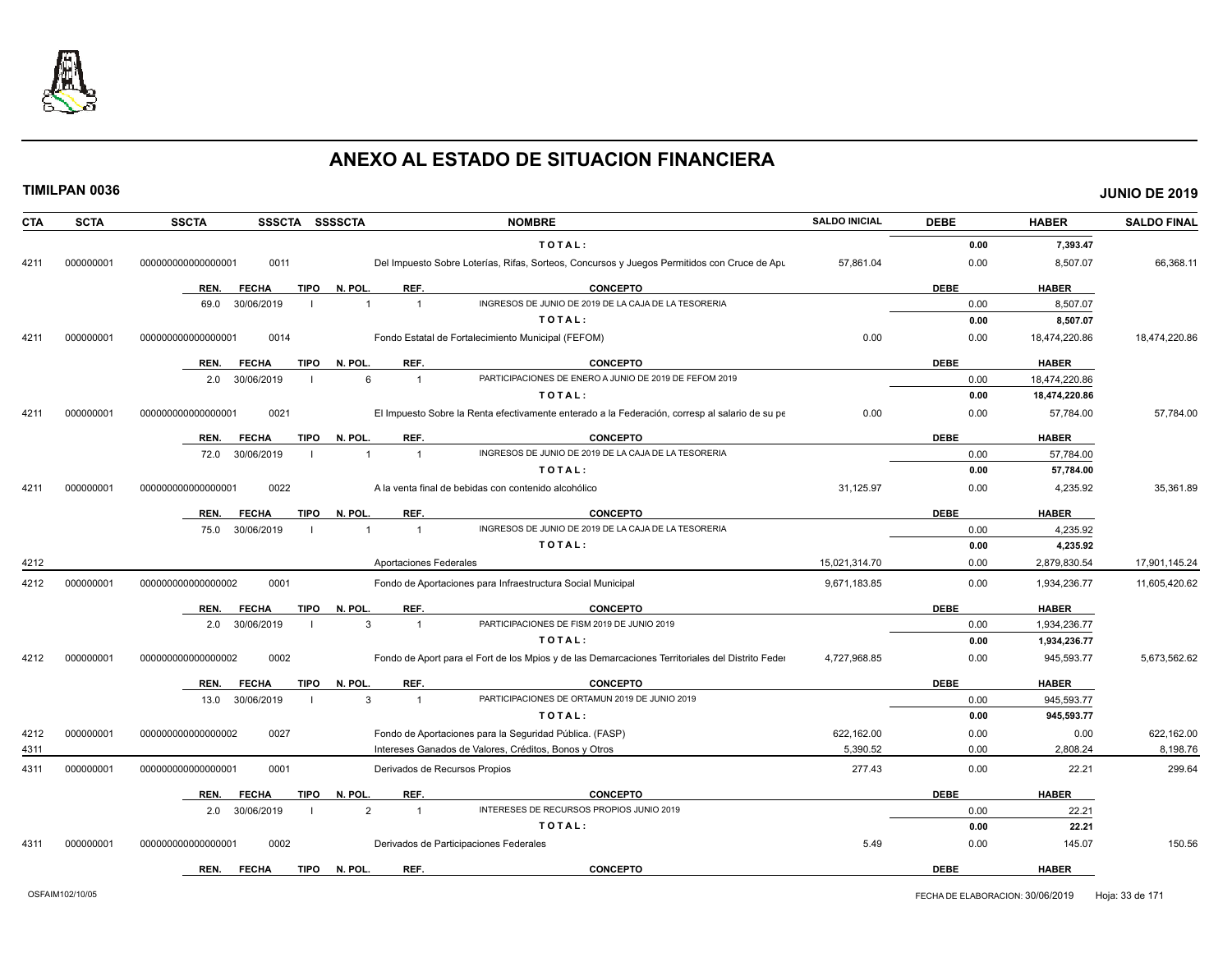

| <b>CTA</b> | <b>SCTA</b> | <b>SSCTA</b>       | SSSCTA SSSSCTA              |                | <b>NOMBRE</b>                                                                                    | <b>SALDO INICIAL</b> | <b>DEBE</b> | <b>HABER</b>  | <b>SALDO FINAL</b> |
|------------|-------------|--------------------|-----------------------------|----------------|--------------------------------------------------------------------------------------------------|----------------------|-------------|---------------|--------------------|
|            |             |                    |                             |                | TOTAL:                                                                                           |                      | 0.00        | 7.393.47      |                    |
| 4211       | 000000001   | 00000000000000000  | 0011                        |                | Del Impuesto Sobre Loterías, Rifas, Sorteos, Concursos y Juegos Permitidos con Cruce de Apu      | 57,861.04            | 0.00        | 8,507.07      | 66,368.11          |
|            |             | REN.               | <b>TIPO</b><br><b>FECHA</b> | N. POL.        | REF.<br><b>CONCEPTO</b>                                                                          |                      | <b>DEBE</b> | <b>HABER</b>  |                    |
|            |             | 69.0               | 30/06/2019                  | $\overline{1}$ | INGRESOS DE JUNIO DE 2019 DE LA CAJA DE LA TESORERIA<br>$\overline{1}$                           |                      | 0.00        | 8,507.07      |                    |
|            |             |                    |                             |                | TOTAL:                                                                                           |                      | 0.00        | 8,507.07      |                    |
| 4211       | 000000001   | 000000000000000001 | 0014                        |                | Fondo Estatal de Fortalecimiento Municipal (FEFOM)                                               | 0.00                 | 0.00        | 18,474,220.86 | 18,474,220.86      |
|            |             | REN.               | <b>TIPO</b><br><b>FECHA</b> | N. POL         | REF.<br><b>CONCEPTO</b>                                                                          |                      | <b>DEBE</b> | <b>HABER</b>  |                    |
|            |             | 2.0                | 30/06/2019                  | 6              | PARTICIPACIONES DE ENERO A JUNIO DE 2019 DE FEFOM 2019<br>$\overline{1}$                         |                      | 0.00        | 18,474,220.86 |                    |
|            |             |                    |                             |                | TOTAL:                                                                                           |                      | 0.00        | 18,474,220.86 |                    |
| 4211       | 000000001   | 00000000000000000  | 0021                        |                | El Impuesto Sobre la Renta efectivamente enterado a la Federación, corresp al salario de su pe   | 0.00                 | 0.00        | 57,784.00     | 57,784.00          |
|            |             | REN.               | <b>FECHA</b><br><b>TIPO</b> | N. POL         | <b>CONCEPTO</b><br>REF.                                                                          |                      | <b>DEBE</b> | <b>HABER</b>  |                    |
|            |             | 72.0               | 30/06/2019                  | 1              | INGRESOS DE JUNIO DE 2019 DE LA CAJA DE LA TESORERIA<br>$\overline{1}$                           |                      | 0.00        | 57,784.00     |                    |
|            |             |                    |                             |                | TOTAL:                                                                                           |                      | 0.00        | 57,784.00     |                    |
| 4211       | 000000001   | 00000000000000000  | 0022                        |                | A la venta final de bebidas con contenido alcohólico                                             | 31,125.97            | 0.00        | 4,235.92      | 35,361.89          |
|            |             | REN.               | <b>FECHA</b><br>TIPO        | N. POL.        | REF.<br><b>CONCEPTO</b>                                                                          |                      | <b>DEBE</b> | <b>HABER</b>  |                    |
|            |             | 75.0               | 30/06/2019                  |                | INGRESOS DE JUNIO DE 2019 DE LA CAJA DE LA TESORERIA<br>$\overline{1}$                           |                      | 0.00        | 4,235.92      |                    |
|            |             |                    |                             |                | TOTAL:                                                                                           |                      | 0.00        | 4,235.92      |                    |
| 4212       |             |                    |                             |                | Aportaciones Federales                                                                           | 15,021,314.70        | 0.00        | 2,879,830.54  | 17,901,145.24      |
| 4212       | 000000001   | 00000000000000002  | 0001                        |                | Fondo de Aportaciones para Infraestructura Social Municipal                                      | 9,671,183.85         | 0.00        | 1,934,236.77  | 11,605,420.62      |
|            |             | REN.               | <b>FECHA</b><br>TIPO        | N. POL         | REF.<br><b>CONCEPTO</b>                                                                          |                      | <b>DEBE</b> | <b>HABER</b>  |                    |
|            |             | 2.0                | 30/06/2019                  | 3              | PARTICIPACIONES DE FISM 2019 DE JUNIO 2019<br>$\overline{1}$                                     |                      | 0.00        | 1,934,236.77  |                    |
|            |             |                    |                             |                | TOTAL:                                                                                           |                      | 0.00        | 1,934,236.77  |                    |
| 4212       | 000000001   | 00000000000000002  | 0002                        |                | Fondo de Aport para el Fort de los Mpios y de las Demarcaciones Territoriales del Distrito Feder | 4,727,968.85         | 0.00        | 945,593.77    | 5,673,562.62       |
|            |             | REN.               | <b>FECHA</b><br>TIPO        | N. POL.        | REF.<br><b>CONCEPTO</b>                                                                          |                      | <b>DEBE</b> | <b>HABER</b>  |                    |
|            |             | 13.0               | 30/06/2019                  | 3              | PARTICIPACIONES DE ORTAMUN 2019 DE JUNIO 2019<br>$\overline{1}$                                  |                      | 0.00        | 945,593.77    |                    |
|            |             |                    |                             |                | TOTAL:                                                                                           |                      | 0.00        | 945,593.77    |                    |
| 4212       | 000000001   | 000000000000000002 | 0027                        |                | Fondo de Aportaciones para la Seguridad Pública. (FASP)                                          | 622,162.00           | 0.00        | 0.00          | 622,162.00         |
| 4311       |             |                    |                             |                | Intereses Ganados de Valores, Créditos, Bonos y Otros                                            | 5,390.52             | 0.00        | 2,808.24      | 8,198.76           |
| 4311       | 000000001   | 000000000000000001 | 0001                        |                | Derivados de Recursos Propios                                                                    | 277.43               | 0.00        | 22.21         | 299.64             |
|            |             | REN.               | <b>FECHA</b><br>TIPO        | N. POL         | REF.<br><b>CONCEPTO</b>                                                                          |                      | <b>DEBE</b> | <b>HABER</b>  |                    |
|            |             | 2.0                | 30/06/2019                  | $\overline{2}$ | INTERESES DE RECURSOS PROPIOS JUNIO 2019<br>$\overline{1}$                                       |                      | 0.00        | 22.21         |                    |
|            |             |                    |                             |                | TOTAL:                                                                                           |                      | 0.00        | 22.21         |                    |
| 4311       | 000000001   | 00000000000000000  | 0002                        |                | Derivados de Participaciones Federales                                                           | 5.49                 | 0.00        | 145.07        | 150.56             |
|            |             | REN.               | <b>FECHA</b><br><b>TIPO</b> | N. POL         | <b>CONCEPTO</b><br>REF.                                                                          |                      | <b>DEBE</b> | <b>HABER</b>  |                    |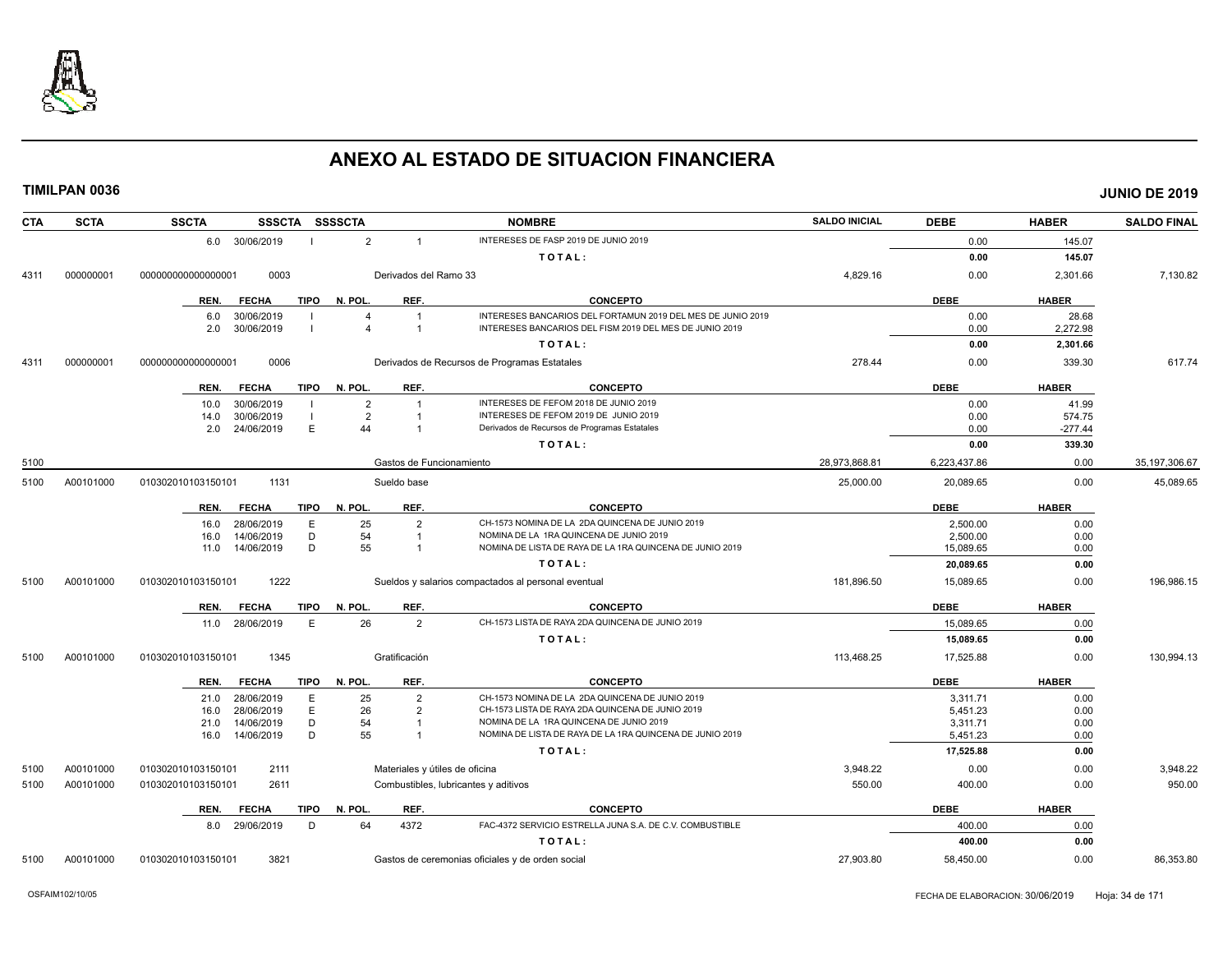

| <b>SCTA</b><br><b>CTA</b> | <b>SSCTA</b><br>SSSCTA SSSSCTA      |                                  | <b>NOMBRE</b>                                               | <b>SALDO INICIAL</b> | <b>DEBE</b>  | <b>HABER</b> | <b>SALDO FINAL</b> |
|---------------------------|-------------------------------------|----------------------------------|-------------------------------------------------------------|----------------------|--------------|--------------|--------------------|
|                           | 6.0 30/06/2019                      | $\overline{2}$<br>$\overline{1}$ | INTERESES DE FASP 2019 DE JUNIO 2019                        |                      | 0.00         | 145.07       |                    |
|                           |                                     |                                  | TOTAL:                                                      |                      | 0.00         | 145.07       |                    |
| 000000001<br>4311         | 00000000000000001<br>0003           | Derivados del Ramo 33            |                                                             | 4,829.16             | 0.00         | 2,301.66     | 7,130.82           |
|                           | <b>TIPO</b><br>REN.<br><b>FECHA</b> | N. POL.<br>REF.                  | <b>CONCEPTO</b>                                             |                      | <b>DEBE</b>  | <b>HABER</b> |                    |
|                           | 30/06/2019<br>6.0                   |                                  | INTERESES BANCARIOS DEL FORTAMUN 2019 DEL MES DE JUNIO 2019 |                      | 0.00         | 28.68        |                    |
|                           | 30/06/2019<br>2.0                   | $\overline{1}$                   | INTERESES BANCARIOS DEL FISM 2019 DEL MES DE JUNIO 2019     |                      | 0.00         | 2,272.98     |                    |
|                           |                                     |                                  | TOTAL:                                                      |                      | 0.00         | 2,301.66     |                    |
| 000000001<br>4311         | 0006<br>000000000000000001          |                                  | Derivados de Recursos de Programas Estatales                | 278.44               | 0.00         | 339.30       | 617.74             |
|                           | <b>FECHA</b><br><b>TIPO</b><br>REN. | REF.<br>N. POL.                  | <b>CONCEPTO</b>                                             |                      | <b>DEBE</b>  | <b>HABER</b> |                    |
|                           | 30/06/2019<br>10.0                  | $\overline{2}$                   | INTERESES DE FEFOM 2018 DE JUNIO 2019                       |                      | 0.00         | 41.99        |                    |
|                           | 30/06/2019<br>14.0                  | $\overline{2}$                   | INTERESES DE FEFOM 2019 DE JUNIO 2019                       |                      | 0.00         | 574.75       |                    |
|                           | E<br>24/06/2019<br>2.0              | 44<br>-1                         | Derivados de Recursos de Programas Estatales                |                      | 0.00         | $-277.44$    |                    |
|                           |                                     |                                  | TOTAL:                                                      |                      | 0.00         | 339.30       |                    |
| 5100                      |                                     | Gastos de Funcionamiento         |                                                             | 28,973,868.81        | 6,223,437.86 | 0.00         | 35, 197, 306.67    |
| A00101000<br>5100         | 1131<br>010302010103150101          | Sueldo base                      |                                                             | 25,000.00            | 20,089.65    | 0.00         | 45,089.65          |
|                           | <b>FECHA</b><br>TIPO<br>REN.        | N. POL.<br>REF.                  | <b>CONCEPTO</b>                                             |                      | <b>DEBE</b>  | <b>HABER</b> |                    |
|                           | 28/06/2019<br>E<br>16.0             | 25<br>$\mathcal{P}$              | CH-1573 NOMINA DE LA 2DA QUINCENA DE JUNIO 2019             |                      | 2.500.00     | 0.00         |                    |
|                           | D<br>14/06/2019<br>16.0             | 54                               | NOMINA DE LA 1RA QUINCENA DE JUNIO 2019                     |                      | 2,500.00     | 0.00         |                    |
|                           | 14/06/2019<br>D<br>11.0             | 55                               | NOMINA DE LISTA DE RAYA DE LA 1RA QUINCENA DE JUNIO 2019    |                      | 15,089.65    | 0.00         |                    |
|                           |                                     |                                  | TOTAL:                                                      |                      | 20,089.65    | 0.00         |                    |
| A00101000<br>5100         | 1222<br>010302010103150101          |                                  | Sueldos y salarios compactados al personal eventual         | 181,896.50           | 15,089.65    | 0.00         | 196,986.15         |
|                           | <b>TIPO</b><br>REN.<br><b>FECHA</b> | N. POL.<br>REF.                  | <b>CONCEPTO</b>                                             |                      | <b>DEBE</b>  | <b>HABER</b> |                    |
|                           | 28/06/2019<br>E<br>11.0             | 26<br>$\overline{2}$             | CH-1573 LISTA DE RAYA 2DA QUINCENA DE JUNIO 2019            |                      | 15.089.65    | 0.00         |                    |
|                           |                                     |                                  | TOTAL:                                                      |                      | 15,089.65    | 0.00         |                    |
| A00101000<br>5100         | 010302010103150101<br>1345          | Gratificación                    |                                                             | 113,468.25           | 17,525.88    | 0.00         | 130,994.13         |
|                           | <b>TIPO</b><br><b>FECHA</b><br>REN. | N. POL.<br>REF.                  | <b>CONCEPTO</b>                                             |                      | <b>DEBE</b>  | <b>HABER</b> |                    |
|                           | 28/06/2019<br>E<br>21.0             | 25<br>$\overline{2}$             | CH-1573 NOMINA DE LA 2DA QUINCENA DE JUNIO 2019             |                      | 3,311.71     | 0.00         |                    |
|                           | E<br>28/06/2019<br>16.0             | 26<br>$\overline{2}$             | CH-1573 LISTA DE RAYA 2DA QUINCENA DE JUNIO 2019            |                      | 5,451.23     | 0.00         |                    |
|                           | D<br>14/06/2019<br>21.0             | 54<br>-1                         | NOMINA DE LA 1RA QUINCENA DE JUNIO 2019                     |                      | 3,311.71     | 0.00         |                    |
|                           | D<br>16.0<br>14/06/2019             | 55                               | NOMINA DE LISTA DE RAYA DE LA 1RA QUINCENA DE JUNIO 2019    |                      | 5,451.23     | 0.00         |                    |
|                           |                                     |                                  | TOTAL:                                                      |                      | 17,525.88    | 0.00         |                    |
| A00101000<br>5100         | 2111<br>010302010103150101          | Materiales y útiles de oficina   |                                                             | 3,948.22             | 0.00         | 0.00         | 3,948.22           |
| A00101000<br>5100         | 010302010103150101<br>2611          |                                  | Combustibles, lubricantes y aditivos                        | 550.00               | 400.00       | 0.00         | 950.00             |
|                           | <b>FECHA</b><br>TIPO<br>REN.        | REF.<br>N. POL.                  | <b>CONCEPTO</b>                                             |                      | <b>DEBE</b>  | <b>HABER</b> |                    |
|                           | 8.0 29/06/2019<br>D                 | 64<br>4372                       | FAC-4372 SERVICIO ESTRELLA JUNA S.A. DE C.V. COMBUSTIBLE    |                      | 400.00       | 0.00         |                    |
|                           |                                     |                                  | TOTAL:                                                      |                      | 400.00       | 0.00         |                    |
| 5100<br>A00101000         | 010302010103150101<br>3821          |                                  | Gastos de ceremonias oficiales y de orden social            | 27,903.80            | 58,450.00    | 0.00         | 86,353.80          |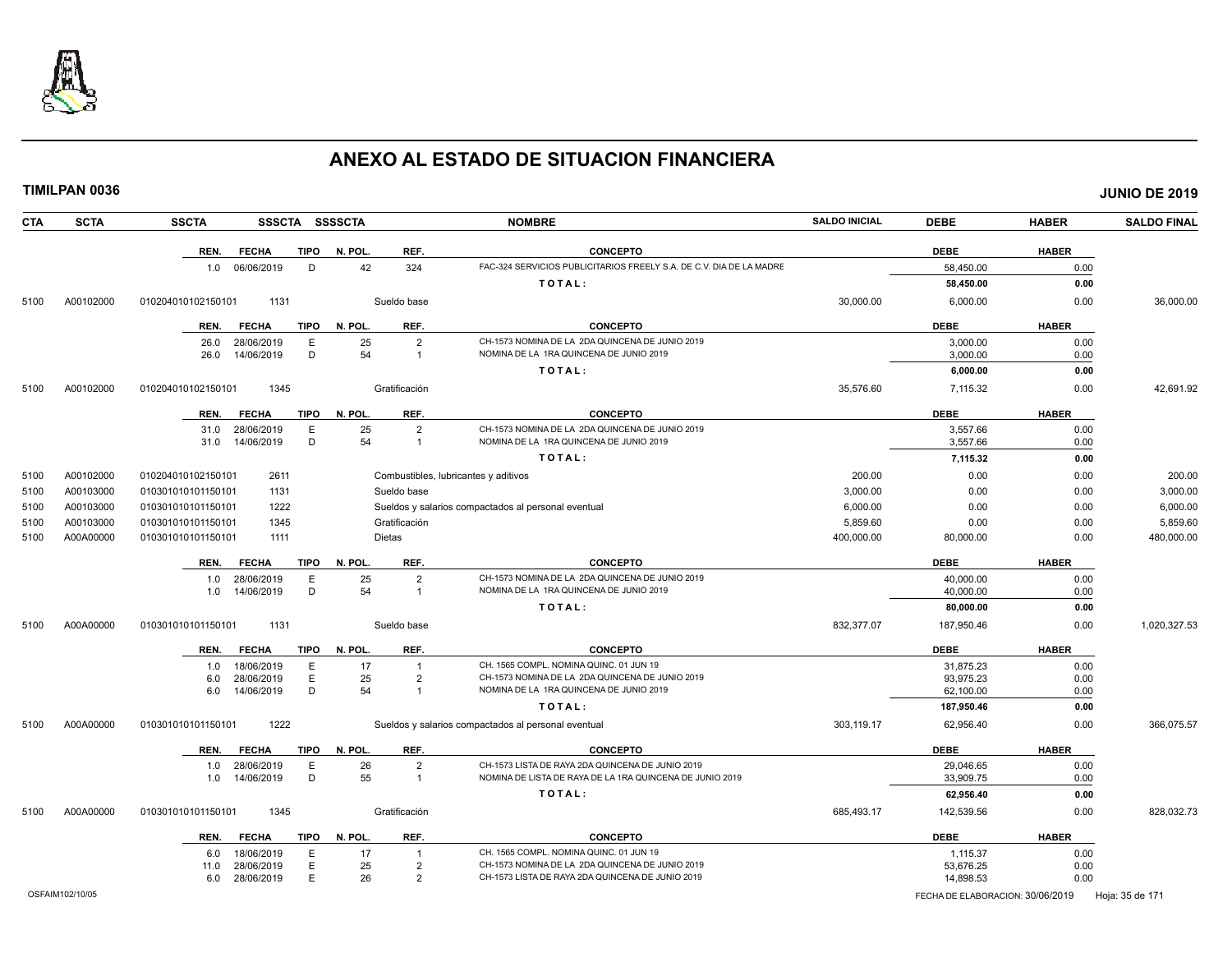

| <b>CTA</b> | <b>SCTA</b> | <b>SSCTA</b><br><b>SSSCTA</b>                      | <b>SSSSCTA</b> |                                      | <b>NOMBRE</b>                                                                                                | <b>SALDO INICIAL</b> | <b>DEBE</b>            | <b>HABER</b> | <b>SALDO FINAL</b> |
|------------|-------------|----------------------------------------------------|----------------|--------------------------------------|--------------------------------------------------------------------------------------------------------------|----------------------|------------------------|--------------|--------------------|
|            |             | <b>FECHA</b><br><b>TIPO</b><br>REN.                | N. POL.        | REF.                                 | <b>CONCEPTO</b>                                                                                              |                      | <b>DEBE</b>            | <b>HABER</b> |                    |
|            |             | 1.0 06/06/2019<br>D                                | 42             | 324                                  | FAC-324 SERVICIOS PUBLICITARIOS FREELY S.A. DE C.V. DIA DE LA MADRE                                          |                      | 58,450.00              | 0.00         |                    |
|            |             |                                                    |                |                                      | TOTAL:                                                                                                       |                      | 58,450.00              | 0.00         |                    |
| 5100       | A00102000   | 010204010102150101<br>1131                         | Sueldo base    |                                      |                                                                                                              | 30,000.00            | 6,000.00               | 0.00         | 36,000.00          |
|            |             | <b>FECHA</b><br>REN.                               | TIPO N. POL.   | REF.                                 | <b>CONCEPTO</b>                                                                                              |                      | <b>DEBE</b>            | <b>HABER</b> |                    |
|            |             | 28/06/2019<br>E<br>26.0                            | 25             | $\overline{2}$                       | CH-1573 NOMINA DE LA 2DA QUINCENA DE JUNIO 2019                                                              |                      | 3,000.00               | 0.00         |                    |
|            |             | D<br>14/06/2019<br>26.0                            | 54             | $\overline{1}$                       | NOMINA DE LA 1RA QUINCENA DE JUNIO 2019                                                                      |                      | 3,000.00               | 0.00         |                    |
|            |             |                                                    |                |                                      | TOTAL:                                                                                                       |                      | 6,000.00               | 0.00         |                    |
| 5100       | A00102000   | 1345<br>010204010102150101                         | Gratificación  |                                      |                                                                                                              | 35,576.60            | 7,115.32               | 0.00         | 42.691.92          |
|            |             | <b>FECHA</b><br>TIPO<br>REN.                       | N. POL.        | REF.                                 | <b>CONCEPTO</b>                                                                                              |                      | <b>DEBE</b>            | <b>HABER</b> |                    |
|            |             | 28/06/2019<br>E<br>31.0                            | 25             | $\overline{2}$                       | CH-1573 NOMINA DE LA 2DA QUINCENA DE JUNIO 2019                                                              |                      | 3,557.66               | 0.00         |                    |
|            |             | D<br>14/06/2019<br>31.0                            | 54             | $\overline{1}$                       | NOMINA DE LA 1RA QUINCENA DE JUNIO 2019                                                                      |                      | 3.557.66               | 0.00         |                    |
|            |             |                                                    |                |                                      | TOTAL:                                                                                                       |                      | 7,115.32               | 0.00         |                    |
| 5100       | A00102000   | 010204010102150101<br>2611                         |                | Combustibles, lubricantes y aditivos |                                                                                                              | 200.00               | 0.00                   | 0.00         | 200.00             |
| 5100       | A00103000   | 1131<br>010301010101150101                         |                | Sueldo base                          |                                                                                                              | 3,000.00             | 0.00                   | 0.00         | 3,000.00           |
| 5100       | A00103000   | 1222<br>010301010101150101                         |                |                                      | Sueldos y salarios compactados al personal eventual                                                          | 6,000.00             | 0.00                   | 0.00         | 6,000.00           |
| 5100       | A00103000   | 1345<br>010301010101150101                         |                | Gratificación                        |                                                                                                              | 5,859.60             | 0.00                   | 0.00         | 5,859.60           |
| 5100       | A00A00000   | 010301010101150101<br>1111                         | <b>Dietas</b>  |                                      |                                                                                                              | 400,000.00           | 80,000.00              | 0.00         | 480,000.00         |
|            |             | <b>TIPO</b><br>REN.<br><b>FECHA</b>                | N. POL.        | REF.                                 | <b>CONCEPTO</b>                                                                                              |                      | <b>DEBE</b>            | <b>HABER</b> |                    |
|            |             | 28/06/2019<br>Ε<br>1.0                             | 25             | $\overline{2}$                       | CH-1573 NOMINA DE LA 2DA QUINCENA DE JUNIO 2019                                                              |                      | 40,000.00              | 0.00         |                    |
|            |             | 1.0 14/06/2019<br>D                                | 54             | $\overline{1}$                       | NOMINA DE LA 1RA QUINCENA DE JUNIO 2019                                                                      |                      | 40,000.00              | 0.00         |                    |
|            |             |                                                    |                |                                      | TOTAL:                                                                                                       |                      | 80.000.00              | 0.00         |                    |
| 5100       | A00A00000   | 1131<br>010301010101150101                         |                | Sueldo base                          |                                                                                                              | 832,377.07           | 187,950.46             | 0.00         | 1,020,327.53       |
|            |             | <b>FECHA</b><br><b>TIPO</b><br>REN.                | N. POL.        | REF.                                 | <b>CONCEPTO</b>                                                                                              |                      | <b>DEBE</b>            | <b>HABER</b> |                    |
|            |             | 18/06/2019<br>E<br>1.0                             | 17             | $\mathbf{1}$                         | CH. 1565 COMPL. NOMINA QUINC. 01 JUN 19                                                                      |                      | 31.875.23              | 0.00         |                    |
|            |             | E<br>6.0<br>28/06/2019<br>14/06/2019<br>D<br>6.0   | 25<br>54       | $\overline{2}$<br>$\overline{1}$     | CH-1573 NOMINA DE LA 2DA QUINCENA DE JUNIO 2019<br>NOMINA DE LA 1RA QUINCENA DE JUNIO 2019                   |                      | 93,975.23<br>62,100.00 | 0.00         |                    |
|            |             |                                                    |                |                                      | TOTAL:                                                                                                       |                      | 187,950.46             | 0.00<br>0.00 |                    |
| 5100       | A00A00000   | 1222<br>010301010101150101                         |                |                                      | Sueldos y salarios compactados al personal eventual                                                          | 303,119.17           | 62,956.40              | 0.00         | 366,075.57         |
|            |             |                                                    |                |                                      |                                                                                                              |                      |                        |              |                    |
|            |             | <b>FECHA</b><br><b>TIPO</b><br>REN.                | N. POL.        | REF.                                 | <b>CONCEPTO</b>                                                                                              |                      | <b>DEBE</b>            | <b>HABER</b> |                    |
|            |             | E<br>28/06/2019<br>1.0<br>D<br>14/06/2019<br>1.0   | 26<br>55       | $\overline{2}$<br>$\mathbf{1}$       | CH-1573 LISTA DE RAYA 2DA QUINCENA DE JUNIO 2019<br>NOMINA DE LISTA DE RAYA DE LA 1RA QUINCENA DE JUNIO 2019 |                      | 29,046.65<br>33,909.75 | 0.00<br>0.00 |                    |
|            |             |                                                    |                |                                      | TOTAL:                                                                                                       |                      | 62,956.40              | 0.00         |                    |
| 5100       | A00A00000   | 010301010101150101<br>1345                         | Gratificación  |                                      |                                                                                                              | 685,493.17           | 142,539.56             | 0.00         | 828,032.73         |
|            |             |                                                    |                |                                      |                                                                                                              |                      |                        |              |                    |
|            |             | <b>FECHA</b><br>TIPO<br>REN.                       | N. POL.        | REF.                                 | <b>CONCEPTO</b>                                                                                              |                      | <b>DEBE</b>            | <b>HABER</b> |                    |
|            |             | 18/06/2019<br>E.<br>6.0<br>E<br>28/06/2019<br>11.0 | 17<br>25       | $\overline{1}$<br>$\overline{2}$     | CH. 1565 COMPL. NOMINA QUINC. 01 JUN 19<br>CH-1573 NOMINA DE LA 2DA QUINCENA DE JUNIO 2019                   |                      | 1,115.37<br>53,676.25  | 0.00<br>0.00 |                    |
|            |             | E<br>28/06/2019<br>6.0                             | 26             | $\overline{2}$                       | CH-1573 LISTA DE RAYA 2DA QUINCENA DE JUNIO 2019                                                             |                      | 14,898.53              | 0.00         |                    |
|            |             |                                                    |                |                                      |                                                                                                              |                      |                        |              |                    |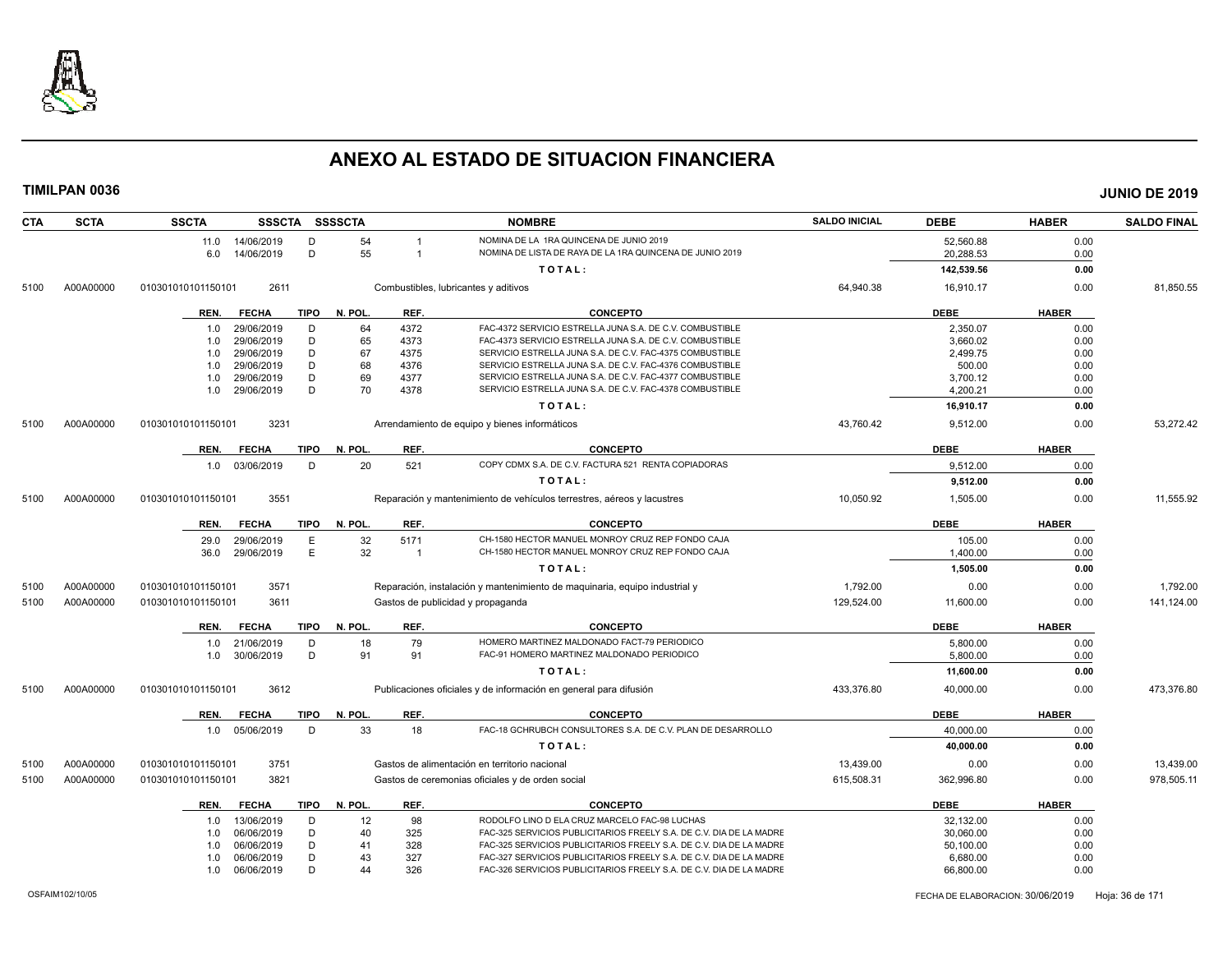

| <b>CTA</b> | <b>SCTA</b> | <b>SSCTA</b>                                                                   | SSSCTA SSSSCTA                    |         |                                                                            | <b>NOMBRE</b>                                                          | <b>SALDO INICIAL</b> | <b>DEBE</b> | <b>HABER</b> | <b>SALDO FINAL</b> |
|------------|-------------|--------------------------------------------------------------------------------|-----------------------------------|---------|----------------------------------------------------------------------------|------------------------------------------------------------------------|----------------------|-------------|--------------|--------------------|
|            |             | 11.0 14/06/2019                                                                | D                                 | 54      | -1                                                                         | NOMINA DE LA 1RA QUINCENA DE JUNIO 2019                                |                      | 52.560.88   | 0.00         |                    |
|            |             | 6.0<br>14/06/2019                                                              | D                                 | 55      | -1                                                                         | NOMINA DE LISTA DE RAYA DE LA 1RA QUINCENA DE JUNIO 2019               |                      | 20,288.53   | 0.00         |                    |
|            |             |                                                                                |                                   |         |                                                                            | TOTAL:                                                                 |                      | 142,539.56  | 0.00         |                    |
| 5100       | A00A00000   | 2611<br>Combustibles, lubricantes y aditivos<br>010301010101150101             |                                   |         |                                                                            |                                                                        | 64,940.38            | 16,910.17   | 0.00         | 81,850.55          |
|            |             | REN.<br><b>FECHA</b>                                                           | <b>TIPO</b>                       | N. POL. | REF.                                                                       | <b>CONCEPTO</b>                                                        |                      | <b>DEBE</b> | <b>HABER</b> |                    |
|            |             | 29/06/2019<br>1.0                                                              | D                                 | 64      | 4372                                                                       | FAC-4372 SERVICIO ESTRELLA JUNA S.A. DE C.V. COMBUSTIBLE               |                      | 2,350.07    | 0.00         |                    |
|            |             | 29/06/2019<br>1.0                                                              | D                                 | 65      | 4373                                                                       | FAC-4373 SERVICIO ESTRELLA JUNA S.A. DE C.V. COMBUSTIBLE               |                      | 3,660.02    | 0.00         |                    |
|            |             | 29/06/2019<br>1.0                                                              | D                                 | 67      | 4375                                                                       | SERVICIO ESTRELLA JUNA S.A. DE C.V. FAC-4375 COMBUSTIBLE               |                      | 2.499.75    | 0.00         |                    |
|            |             | 29/06/2019<br>1.0                                                              | D                                 | 68      | 4376                                                                       | SERVICIO ESTRELLA JUNA S.A. DE C.V. FAC-4376 COMBUSTIBLE               |                      | 500.00      | 0.00         |                    |
|            |             | 29/06/2019<br>1.0                                                              | D                                 | 69      | 4377                                                                       | SERVICIO ESTRELLA JUNA S.A. DE C.V. FAC-4377 COMBUSTIBLE               |                      | 3,700.12    | 0.00         |                    |
|            |             | 1.0<br>29/06/2019                                                              | D                                 | 70      | 4378                                                                       | SERVICIO ESTRELLA JUNA S.A. DE C.V. FAC-4378 COMBUSTIBLE               |                      | 4,200.21    | 0.00         |                    |
|            |             |                                                                                |                                   |         |                                                                            | TOTAL:                                                                 |                      | 16,910.17   | 0.00         |                    |
| 5100       | A00A00000   | 010301010101150101<br>3231                                                     |                                   |         |                                                                            | Arrendamiento de equipo y bienes informáticos                          | 43,760.42            | 9,512.00    | 0.00         | 53,272.42          |
|            |             | <b>FECHA</b><br>REN.                                                           | <b>TIPO</b>                       | N. POL. | REF.                                                                       | CONCEPTO                                                               |                      | <b>DEBE</b> | <b>HABER</b> |                    |
|            |             | 1.0 03/06/2019                                                                 | D                                 | 20      | 521                                                                        | COPY CDMX S.A. DE C.V. FACTURA 521 RENTA COPIADORAS                    |                      | 9,512.00    | 0.00         |                    |
|            |             |                                                                                |                                   |         |                                                                            | TOTAL:                                                                 |                      | 9,512.00    | 0.00         |                    |
| 5100       | A00A00000   | 3551<br>010301010101150101                                                     |                                   |         |                                                                            | Reparación y mantenimiento de vehículos terrestres, aéreos y lacustres | 10,050.92            | 1,505.00    | 0.00         | 11,555.92          |
|            |             | <b>FECHA</b><br>REN.                                                           | <b>TIPO</b>                       | N. POL. | REF.                                                                       | <b>CONCEPTO</b>                                                        |                      | <b>DEBE</b> | <b>HABER</b> |                    |
|            |             | 29/06/2019<br>29.0                                                             | Ε                                 | 32      | 5171                                                                       | CH-1580 HECTOR MANUEL MONROY CRUZ REP FONDO CAJA                       |                      | 105.00      | 0.00         |                    |
|            |             | 29/06/2019<br>36.0                                                             | E                                 | 32      | $\overline{1}$                                                             | CH-1580 HECTOR MANUEL MONROY CRUZ REP FONDO CAJA                       |                      | 1,400.00    | 0.00         |                    |
|            |             |                                                                                |                                   |         |                                                                            | TOTAL:                                                                 |                      | 1,505.00    | 0.00         |                    |
| 5100       | A00A00000   | 3571<br>010301010101150101                                                     |                                   |         | Reparación, instalación y mantenimiento de maguinaria, equipo industrial y |                                                                        | 1,792.00             | 0.00        | 0.00         | 1,792.00           |
| 5100       | A00A00000   | 010301010101150101<br>3611                                                     | Gastos de publicidad y propaganda |         |                                                                            |                                                                        | 129,524.00           | 11,600.00   | 0.00         | 141,124.00         |
|            |             | <b>FECHA</b><br>REN.                                                           | <b>TIPO</b>                       | N. POL. | REF.                                                                       | <b>CONCEPTO</b>                                                        |                      | <b>DEBE</b> | <b>HABER</b> |                    |
|            |             | 21/06/2019<br>1.0                                                              | D                                 | 18      | 79                                                                         | HOMERO MARTINEZ MALDONADO FACT-79 PERIODICO                            |                      | 5.800.00    | 0.00         |                    |
|            |             | 30/06/2019<br>1.0                                                              | D                                 | 91      | 91                                                                         | FAC-91 HOMERO MARTINEZ MALDONADO PERIODICO                             |                      | 5,800.00    | 0.00         |                    |
|            |             |                                                                                |                                   |         |                                                                            | TOTAL:                                                                 |                      | 11,600.00   | 0.00         |                    |
| 5100       | A00A00000   | 010301010101150101<br>3612                                                     |                                   |         |                                                                            | Publicaciones oficiales y de información en general para difusión      | 433,376.80           | 40,000.00   | 0.00         | 473,376.80         |
|            |             | <b>FECHA</b><br>REN.                                                           | <b>TIPO</b>                       | N. POL. | REF.                                                                       | <b>CONCEPTO</b>                                                        |                      | <b>DEBE</b> | <b>HABER</b> |                    |
|            |             | 05/06/2019<br>1.0                                                              | D                                 | 33      | 18                                                                         | FAC-18 GCHRUBCH CONSULTORES S.A. DE C.V. PLAN DE DESARROLLO            |                      | 40,000.00   | 0.00         |                    |
|            |             |                                                                                |                                   |         |                                                                            | TOTAL:                                                                 |                      | 40.000.00   | 0.00         |                    |
| 5100       | A00A00000   | 3751<br>010301010101150101                                                     |                                   |         | Gastos de alimentación en territorio nacional                              |                                                                        | 13.439.00            | 0.00        | 0.00         | 13,439.00          |
| 5100       | A00A00000   | 3821<br>010301010101150101<br>Gastos de ceremonias oficiales y de orden social |                                   |         |                                                                            | 615.508.31                                                             | 362,996.80           | 0.00        | 978,505.11   |                    |
|            |             | REN.<br><b>FECHA</b>                                                           | <b>TIPO</b>                       | N. POL. | REF.                                                                       | <b>CONCEPTO</b>                                                        |                      | <b>DEBE</b> | <b>HABER</b> |                    |
|            |             | 13/06/2019<br>1.0                                                              | D                                 | 12      | 98                                                                         | RODOLFO LINO D ELA CRUZ MARCELO FAC-98 LUCHAS                          |                      | 32,132.00   | 0.00         |                    |
|            |             | 06/06/2019<br>1.0                                                              | D                                 | 40      | 325                                                                        | FAC-325 SERVICIOS PUBLICITARIOS FREELY S.A. DE C.V. DIA DE LA MADRE    |                      | 30.060.00   | 0.00         |                    |
|            |             |                                                                                | D                                 | 41      | 328                                                                        | FAC-325 SERVICIOS PUBLICITARIOS FREELY S.A. DE C.V. DIA DE LA MADRE    |                      | 50,100.00   | 0.00         |                    |
|            |             | 06/06/2019<br>1.0                                                              |                                   |         |                                                                            |                                                                        |                      |             |              |                    |
|            |             | 06/06/2019<br>1.0                                                              | D                                 | 43      | 327                                                                        | FAC-327 SERVICIOS PUBLICITARIOS FREELY S.A. DE C.V. DIA DE LA MADRE    |                      | 6,680.00    | 0.00         |                    |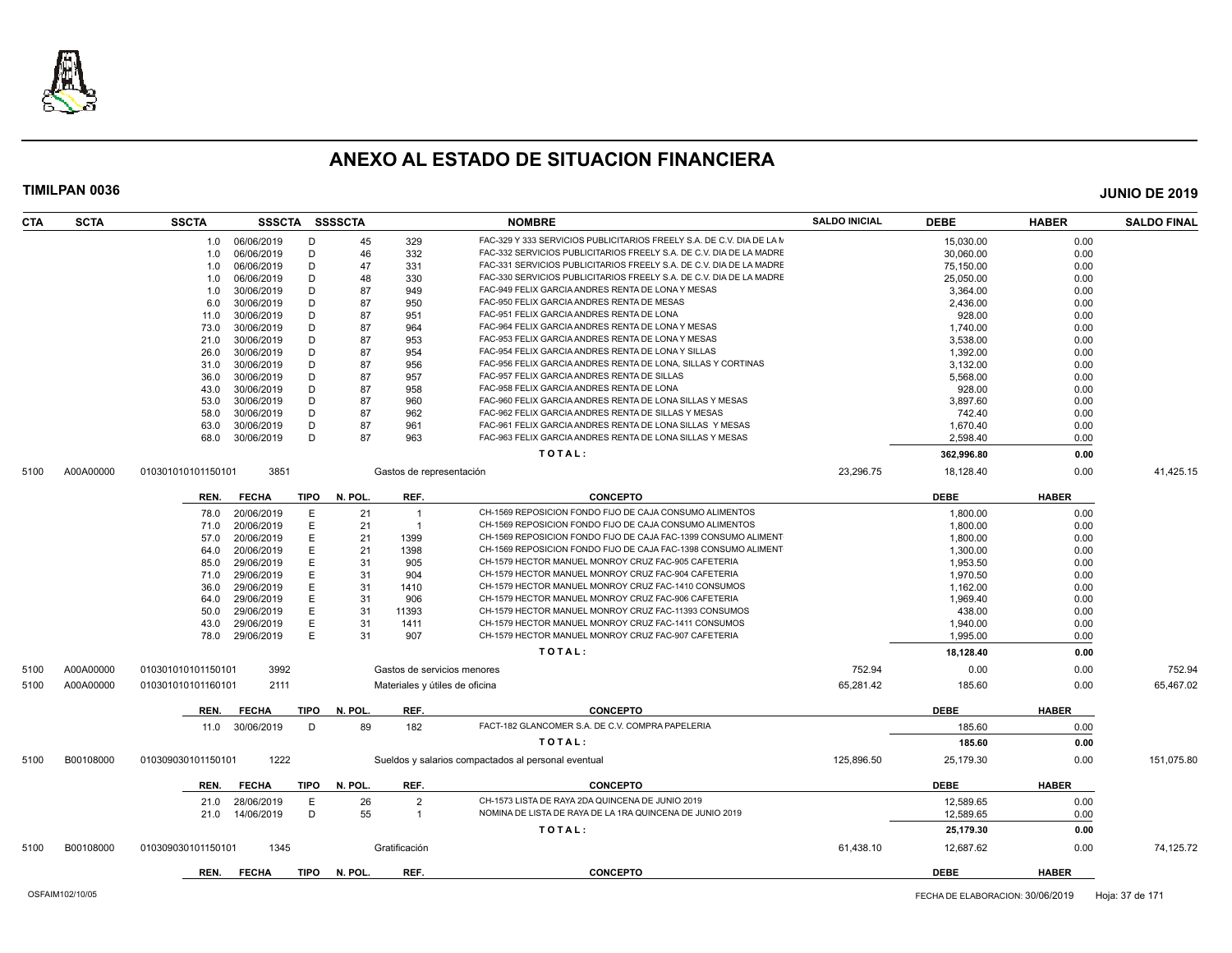

| <b>SCTA</b><br><b>CTA</b> | <b>SSCTA</b>       | <b>SSSCTA</b> |             | <b>SSSSCTA</b> |                          | <b>NOMBRE</b>                                                         | <b>SALDO INICIAL</b> | <b>DEBE</b> | <b>HABER</b> | <b>SALDO FINAL</b> |
|---------------------------|--------------------|---------------|-------------|----------------|--------------------------|-----------------------------------------------------------------------|----------------------|-------------|--------------|--------------------|
|                           | 1.0                | 06/06/2019    | D           | 45             | 329                      | FAC-329 Y 333 SERVICIOS PUBLICITARIOS FREELY S.A. DE C.V. DIA DE LA M |                      | 15,030.00   | 0.00         |                    |
|                           | 1.0                | 06/06/2019    | D           | 46             | 332                      | FAC-332 SERVICIOS PUBLICITARIOS FREELY S.A. DE C.V. DIA DE LA MADRE   |                      | 30,060.00   | 0.00         |                    |
|                           | 1.0                | 06/06/2019    | D           | 47             | 331                      | FAC-331 SERVICIOS PUBLICITARIOS FREELY S.A. DE C.V. DIA DE LA MADRE   |                      | 75,150.00   | 0.00         |                    |
|                           | 1.0                | 06/06/2019    | D           | 48             | 330                      | FAC-330 SERVICIOS PUBLICITARIOS FREELY S.A. DE C.V. DIA DE LA MADRE   |                      | 25,050.00   | 0.00         |                    |
|                           | 1.0                | 30/06/2019    | D           | 87             | 949                      | FAC-949 FELIX GARCIA ANDRES RENTA DE LONA Y MESAS                     |                      | 3,364.00    | 0.00         |                    |
|                           | 6.0                | 30/06/2019    | D           | 87             | 950                      | FAC-950 FELIX GARCIA ANDRES RENTA DE MESAS                            |                      | 2.436.00    | 0.00         |                    |
|                           | 11.0               | 30/06/2019    | D           | 87             | 951                      | FAC-951 FELIX GARCIA ANDRES RENTA DE LONA                             |                      | 928.00      | 0.00         |                    |
|                           | 73.0               | 30/06/2019    | D           | 87             | 964                      | FAC-964 FELIX GARCIA ANDRES RENTA DE LONA Y MESAS                     |                      | 1.740.00    | 0.00         |                    |
|                           | 21.0               | 30/06/2019    | D           | 87             | 953                      | FAC-953 FELIX GARCIA ANDRES RENTA DE LONA Y MESAS                     |                      | 3,538.00    | 0.00         |                    |
|                           | 26.0               | 30/06/2019    | D           | 87             | 954                      | FAC-954 FELIX GARCIA ANDRES RENTA DE LONA Y SILLAS                    |                      | 1,392.00    | 0.00         |                    |
|                           | 31.0               | 30/06/2019    | D           | 87             | 956                      | FAC-956 FELIX GARCIA ANDRES RENTA DE LONA, SILLAS Y CORTINAS          |                      | 3,132.00    | 0.00         |                    |
|                           | 36.0               | 30/06/2019    | D           | 87             | 957                      | FAC-957 FELIX GARCIA ANDRES RENTA DE SILLAS                           |                      | 5,568.00    | 0.00         |                    |
|                           | 43.0               | 30/06/2019    | D           | 87             | 958                      | FAC-958 FELIX GARCIA ANDRES RENTA DE LONA                             |                      | 928.00      | 0.00         |                    |
|                           | 53.0               | 30/06/2019    | D           | 87             | 960                      | FAC-960 FELIX GARCIA ANDRES RENTA DE LONA SILLAS Y MESAS              |                      | 3,897.60    | 0.00         |                    |
|                           | 58.0               | 30/06/2019    | D           | 87             | 962                      | FAC-962 FELIX GARCIA ANDRES RENTA DE SILLAS Y MESAS                   |                      | 742.40      | 0.00         |                    |
|                           | 63.0               | 30/06/2019    | D           | 87             | 961                      | FAC-961 FELIX GARCIA ANDRES RENTA DE LONA SILLAS Y MESAS              |                      | 1,670.40    | 0.00         |                    |
|                           | 68.0               | 30/06/2019    | D           | 87             | 963                      | FAC-963 FELIX GARCIA ANDRES RENTA DE LONA SILLAS Y MESAS              |                      | 2.598.40    | 0.00         |                    |
|                           |                    |               |             |                |                          | TOTAL:                                                                |                      | 362,996.80  | 0.00         |                    |
| A00A00000<br>5100         | 010301010101150101 | 3851          |             |                | Gastos de representación |                                                                       | 23,296.75            | 18,128.40   | 0.00         | 41,425.15          |
|                           | REN.               | <b>FECHA</b>  | <b>TIPO</b> | N. POL.        | REF.                     | <b>CONCEPTO</b>                                                       |                      | <b>DEBE</b> | <b>HABER</b> |                    |
|                           | 78.0               | 20/06/2019    | E           | 21             | $\overline{1}$           | CH-1569 REPOSICION FONDO FIJO DE CAJA CONSUMO ALIMENTOS               |                      | 1,800.00    | 0.00         |                    |
|                           | 71.0               | 20/06/2019    | E           | 21             | -1                       | CH-1569 REPOSICION FONDO FIJO DE CAJA CONSUMO ALIMENTOS               |                      | 1,800.00    | 0.00         |                    |
|                           | 57.0               | 20/06/2019    | E           | 21             | 1399                     | CH-1569 REPOSICION FONDO FIJO DE CAJA FAC-1399 CONSUMO ALIMENT        |                      | 1,800.00    | 0.00         |                    |
|                           | 64.0               | 20/06/2019    | E           | 21             | 1398                     | CH-1569 REPOSICION FONDO FIJO DE CAJA FAC-1398 CONSUMO ALIMENT        |                      | 1.300.00    | 0.00         |                    |
|                           | 85.0               | 29/06/2019    | E           | 31             | 905                      | CH-1579 HECTOR MANUEL MONROY CRUZ FAC-905 CAFETERIA                   |                      | 1,953.50    | 0.00         |                    |
|                           | 71.0               | 29/06/2019    | E           | 31             | 904                      | CH-1579 HECTOR MANUEL MONROY CRUZ FAC-904 CAFETERIA                   |                      | 1.970.50    | 0.00         |                    |
|                           | 36.0               | 29/06/2019    | Ε           | 31             | 1410                     | CH-1579 HECTOR MANUEL MONROY CRUZ FAC-1410 CONSUMOS                   |                      | 1,162.00    | 0.00         |                    |
|                           | 64.0               | 29/06/2019    | E           | 31             | 906                      | CH-1579 HECTOR MANUEL MONROY CRUZ FAC-906 CAFETERIA                   |                      | 1,969.40    | 0.00         |                    |
|                           | 50.0               | 29/06/2019    | E           | 31             | 11393                    | CH-1579 HECTOR MANUEL MONROY CRUZ FAC-11393 CONSUMOS                  |                      | 438.00      | 0.00         |                    |
|                           | 43.0               | 29/06/2019    | E           | 31             | 1411                     | CH-1579 HECTOR MANUEL MONROY CRUZ FAC-1411 CONSUMOS                   |                      | 1,940.00    | 0.00         |                    |
|                           | 78.0               | 29/06/2019    | E           | 31             | 907                      | CH-1579 HECTOR MANUEL MONROY CRUZ FAC-907 CAFETERIA                   |                      | 1,995.00    | 0.00         |                    |
|                           |                    |               |             |                |                          | TOTAL:                                                                |                      | 18,128.40   | 0.00         |                    |
| A00A00000<br>5100         | 010301010101150101 | 3992          |             |                |                          | Gastos de servicios menores                                           | 752.94               | 0.00        | 0.00         | 752.94             |
| A00A00000<br>5100         | 010301010101160101 | 2111          |             |                |                          | Materiales y útiles de oficina                                        | 65,281.42            | 185.60      | 0.00         | 65,467.02          |
|                           | REN.               | <b>FECHA</b>  | TIPO        | N. POL.        | REF.                     | <b>CONCEPTO</b>                                                       |                      | <b>DEBE</b> | <b>HABER</b> |                    |
|                           | 11.0               | 30/06/2019    | D           | 89             | 182                      | FACT-182 GLANCOMER S.A. DE C.V. COMPRA PAPELERIA                      |                      | 185.60      | 0.00         |                    |
|                           |                    |               |             |                |                          | TOTAL:                                                                |                      | 185.60      | 0.00         |                    |
| B00108000<br>5100         | 010309030101150101 | 1222          |             |                |                          | Sueldos y salarios compactados al personal eventual                   | 125,896.50           | 25,179.30   | 0.00         | 151,075.80         |
|                           | REN.               | <b>FECHA</b>  | <b>TIPO</b> | N. POL.        | REF.                     | <b>CONCEPTO</b>                                                       |                      | <b>DEBE</b> | <b>HABER</b> |                    |
|                           | 21.0               | 28/06/2019    | E           | 26             | $\overline{2}$           | CH-1573 LISTA DE RAYA 2DA QUINCENA DE JUNIO 2019                      |                      | 12,589.65   | 0.00         |                    |
|                           | 21.0               | 14/06/2019    | D           | 55             | $\overline{1}$           | NOMINA DE LISTA DE RAYA DE LA 1RA QUINCENA DE JUNIO 2019              |                      | 12.589.65   | 0.00         |                    |
|                           |                    |               |             |                |                          |                                                                       |                      |             |              |                    |
|                           |                    |               |             |                |                          | TOTAL:                                                                |                      | 25,179.30   | 0.00         |                    |
| B00108000<br>5100         | 010309030101150101 | 1345          |             |                | Gratificación            |                                                                       | 61,438.10            | 12,687.62   | 0.00         | 74,125.72          |
|                           | REN.               | <b>FECHA</b>  | TIPO        | N. POL.        | REF.                     | <b>CONCEPTO</b>                                                       |                      | <b>DEBE</b> | <b>HABER</b> |                    |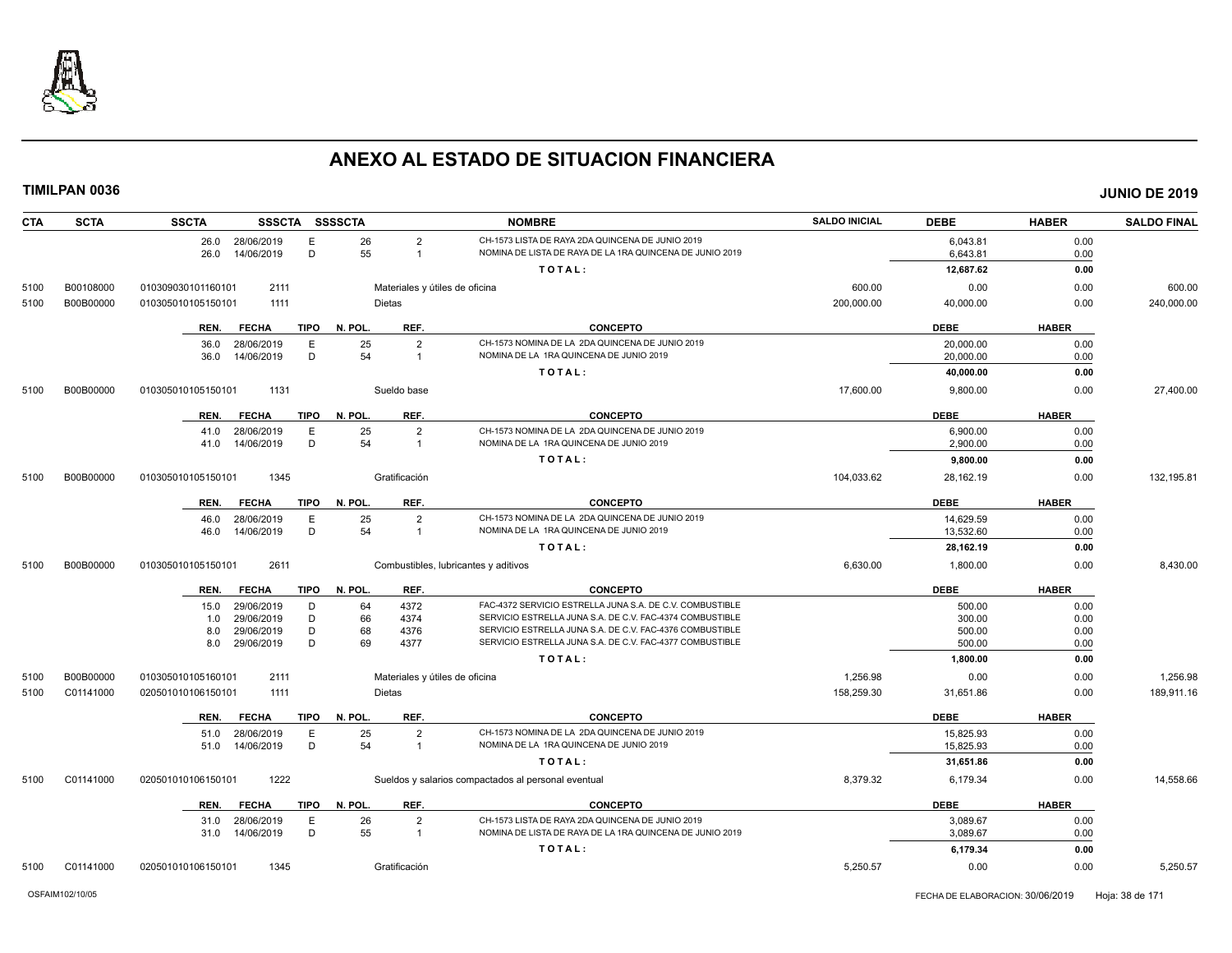

| CTA  | <b>SCTA</b> | <b>SSCTA</b><br>SSSCTA SSSSCTA                    |                                              | <b>NOMBRE</b>                                                                                                        | <b>SALDO INICIAL</b> | <b>DEBE</b>            | <b>HABER</b> | <b>SALDO FINAL</b> |
|------|-------------|---------------------------------------------------|----------------------------------------------|----------------------------------------------------------------------------------------------------------------------|----------------------|------------------------|--------------|--------------------|
|      |             | 26.0 28/06/2019<br>Е<br>D<br>14/06/2019<br>26.0   | 26<br>$\overline{2}$<br>55<br>$\overline{1}$ | CH-1573 LISTA DE RAYA 2DA QUINCENA DE JUNIO 2019<br>NOMINA DE LISTA DE RAYA DE LA 1RA QUINCENA DE JUNIO 2019         |                      | 6,043.81<br>6,643.81   | 0.00<br>0.00 |                    |
|      |             |                                                   |                                              | TOTAL:                                                                                                               |                      | 12,687.62              | 0.00         |                    |
| 5100 | B00108000   | 2111<br>010309030101160101                        | Materiales y útiles de oficina               |                                                                                                                      | 600.00               | 0.00                   | 0.00         | 600.00             |
| 5100 | B00B00000   | 010305010105150101<br>1111                        | <b>Dietas</b>                                |                                                                                                                      | 200,000.00           | 40,000.00              | 0.00         | 240,000.00         |
|      |             | <b>FECHA</b><br><b>TIPO</b><br>REN.               | REF.<br>N. POL.                              | CONCEPTO                                                                                                             |                      | <b>DEBE</b>            | <b>HABER</b> |                    |
|      |             | 28/06/2019<br>36.0<br>Е                           | $\overline{2}$<br>25                         | CH-1573 NOMINA DE LA 2DA QUINCENA DE JUNIO 2019                                                                      |                      | 20,000.00              | 0.00         |                    |
|      |             | D<br>14/06/2019<br>36.0                           | 54<br>$\overline{1}$                         | NOMINA DE LA 1RA QUINCENA DE JUNIO 2019                                                                              |                      | 20,000.00              | 0.00         |                    |
|      |             |                                                   |                                              | TOTAL:                                                                                                               |                      | 40,000.00              | 0.00         |                    |
| 5100 | B00B00000   | 010305010105150101<br>1131                        | Sueldo base                                  |                                                                                                                      | 17,600.00            | 9,800.00               | 0.00         | 27,400.00          |
|      |             | <b>FECHA</b><br>TIPO<br>REN.                      | REF.<br>N. POL.                              | <b>CONCEPTO</b>                                                                                                      |                      | <b>DEBE</b>            | <b>HABER</b> |                    |
|      |             | 28/06/2019<br>E<br>41.0                           | 25<br>$\overline{2}$                         | CH-1573 NOMINA DE LA 2DA QUINCENA DE JUNIO 2019                                                                      |                      | 6,900.00               | 0.00         |                    |
|      |             | D<br>14/06/2019<br>41.0                           | 54<br>$\overline{1}$                         | NOMINA DE LA 1RA QUINCENA DE JUNIO 2019                                                                              |                      | 2.900.00               | 0.00         |                    |
|      |             |                                                   |                                              | TOTAL:                                                                                                               |                      | 9,800.00               | 0.00         |                    |
| 5100 | B00B00000   | 010305010105150101<br>1345                        | Gratificación                                |                                                                                                                      | 104,033.62           | 28,162.19              | 0.00         | 132,195.81         |
|      |             | <b>FECHA</b><br><b>TIPO</b><br>REN.               | REF.<br>N. POL.                              | <b>CONCEPTO</b>                                                                                                      |                      | <b>DEBE</b>            | <b>HABER</b> |                    |
|      |             | 28/06/2019<br>Е                                   | $\overline{2}$                               | CH-1573 NOMINA DE LA 2DA QUINCENA DE JUNIO 2019                                                                      |                      |                        |              |                    |
|      |             | 46.0<br>D<br>14/06/2019<br>46.0                   | 25<br>54<br>$\overline{1}$                   | NOMINA DE LA 1RA QUINCENA DE JUNIO 2019                                                                              |                      | 14,629.59<br>13,532.60 | 0.00<br>0.00 |                    |
|      |             |                                                   |                                              | TOTAL:                                                                                                               |                      | 28,162.19              | 0.00         |                    |
| 5100 | B00B00000   | 2611<br>010305010105150101                        |                                              | Combustibles, lubricantes y aditivos                                                                                 | 6,630.00             | 1,800.00               | 0.00         | 8,430.00           |
|      |             |                                                   |                                              |                                                                                                                      |                      |                        |              |                    |
|      |             | <b>FECHA</b><br>TIPO<br>REN.                      | REF.<br>N. POL.                              | <b>CONCEPTO</b>                                                                                                      |                      | <b>DEBE</b>            | <b>HABER</b> |                    |
|      |             | 29/06/2019<br>D<br>15.0<br>29/06/2019<br>D<br>1.0 | 64<br>4372<br>66<br>4374                     | FAC-4372 SERVICIO ESTRELLA JUNA S.A. DE C.V. COMBUSTIBLE<br>SERVICIO ESTRELLA JUNA S.A. DE C.V. FAC-4374 COMBUSTIBLE |                      | 500.00<br>300.00       | 0.00<br>0.00 |                    |
|      |             | 29/06/2019<br>D<br>8.0                            | 68<br>4376                                   | SERVICIO ESTRELLA JUNA S.A. DE C.V. FAC-4376 COMBUSTIBLE                                                             |                      | 500.00                 | 0.00         |                    |
|      |             | D<br>29/06/2019<br>8.0                            | 69<br>4377                                   | SERVICIO ESTRELLA JUNA S.A. DE C.V. FAC-4377 COMBUSTIBLE                                                             |                      | 500.00                 | 0.00         |                    |
|      |             |                                                   |                                              | TOTAL:                                                                                                               |                      | 1,800.00               | 0.00         |                    |
| 5100 | B00B00000   | 010305010105160101<br>2111                        | Materiales y útiles de oficina               |                                                                                                                      | 1,256.98             | 0.00                   | 0.00         | 1,256.98           |
| 5100 | C01141000   | 1111<br>020501010106150101                        | <b>Dietas</b>                                |                                                                                                                      | 158,259.30           | 31,651.86              | 0.00         | 189,911.16         |
|      |             | <b>TIPO</b><br>REN.<br><b>FECHA</b>               | REF.<br>N. POL.                              | <b>CONCEPTO</b>                                                                                                      |                      | <b>DEBE</b>            | <b>HABER</b> |                    |
|      |             | 28/06/2019<br>Е<br>51.0                           | 25<br>$\overline{2}$                         | CH-1573 NOMINA DE LA 2DA QUINCENA DE JUNIO 2019                                                                      |                      | 15,825.93              | 0.00         |                    |
|      |             | D<br>14/06/2019<br>51.0                           | 54<br>$\overline{1}$                         | NOMINA DE LA 1RA QUINCENA DE JUNIO 2019                                                                              |                      | 15.825.93              | 0.00         |                    |
|      |             |                                                   |                                              | TOTAL:                                                                                                               |                      | 31,651.86              | 0.00         |                    |
| 5100 | C01141000   | 1222<br>020501010106150101                        |                                              | Sueldos y salarios compactados al personal eventual                                                                  | 8,379.32             | 6,179.34               | 0.00         | 14,558.66          |
|      |             | <b>FECHA</b><br><b>TIPO</b><br>REN.               | N. POL.<br>REF.                              | <b>CONCEPTO</b>                                                                                                      |                      | <b>DEBE</b>            | <b>HABER</b> |                    |
|      |             | 28/06/2019<br>31.0<br>Ε                           | 26<br>$\overline{2}$                         | CH-1573 LISTA DE RAYA 2DA QUINCENA DE JUNIO 2019                                                                     |                      | 3,089.67               | 0.00         |                    |
|      |             | D<br>14/06/2019<br>31.0                           | 55<br>$\overline{1}$                         | NOMINA DE LISTA DE RAYA DE LA 1RA QUINCENA DE JUNIO 2019                                                             |                      | 3,089.67               | 0.00         |                    |
|      |             |                                                   |                                              | TOTAL:                                                                                                               |                      | 6,179.34               | 0.00         |                    |
| 5100 | C01141000   | 1345<br>020501010106150101                        | Gratificación                                |                                                                                                                      | 5,250.57             | 0.00                   | 0.00         | 5,250.57           |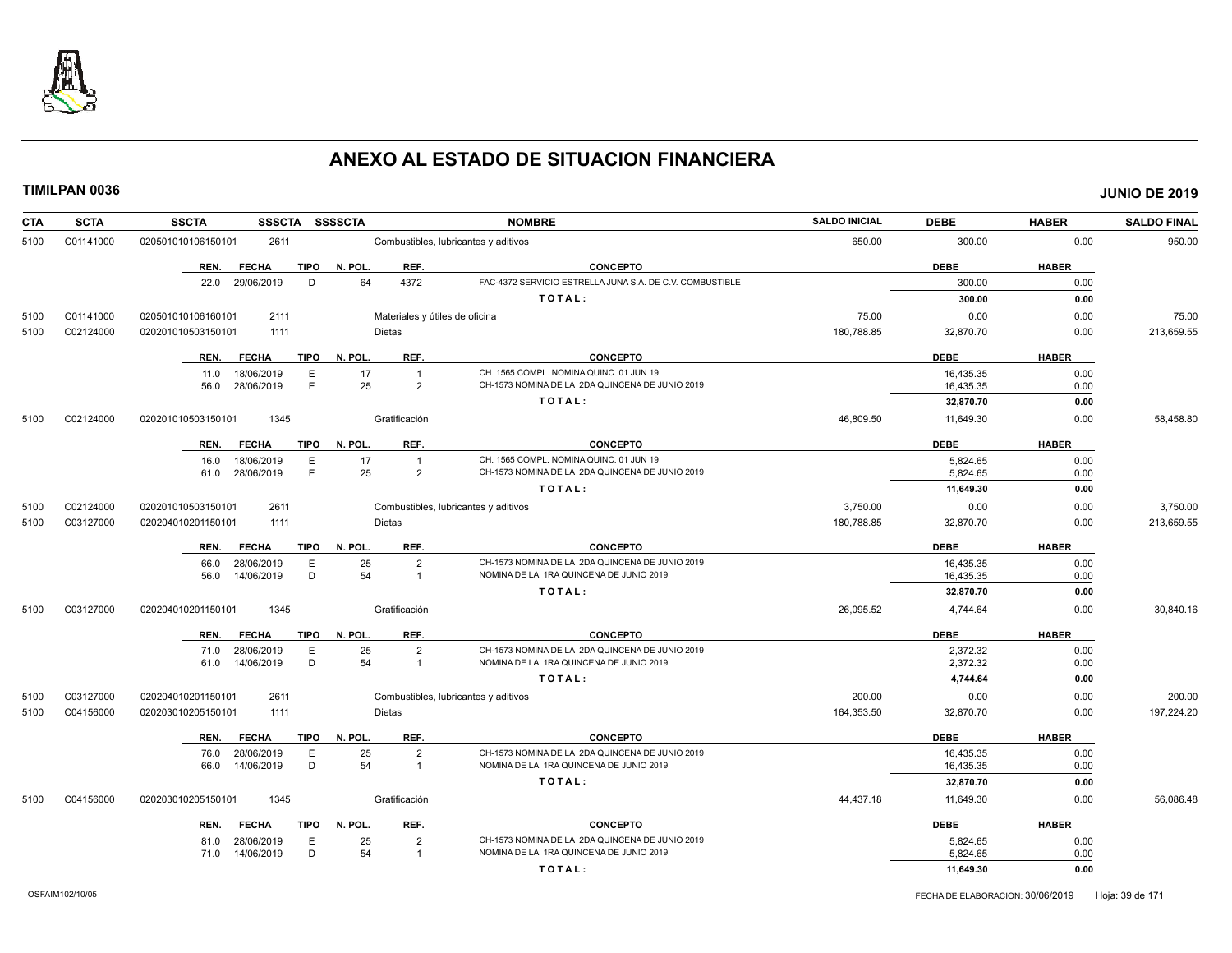

| <b>CTA</b> | <b>SCTA</b> | <b>SSSCTA</b><br><b>SSCTA</b>       | <b>SSSSCTA</b>                 | <b>NOMBRE</b>                                            | <b>SALDO INICIAL</b> | <b>DEBE</b> | <b>HABER</b> | <b>SALDO FINAL</b> |
|------------|-------------|-------------------------------------|--------------------------------|----------------------------------------------------------|----------------------|-------------|--------------|--------------------|
| 5100       | C01141000   | 020501010106150101<br>2611          |                                | Combustibles, lubricantes y aditivos                     | 650.00               | 300.00      | 0.00         | 950.00             |
|            |             | <b>FECHA</b><br><b>TIPO</b><br>REN. | N. POL.<br>REF.                | <b>CONCEPTO</b>                                          |                      | <b>DEBE</b> | <b>HABER</b> |                    |
|            |             | 29/06/2019<br>D<br>22.0             | 64<br>4372                     | FAC-4372 SERVICIO ESTRELLA JUNA S.A. DE C.V. COMBUSTIBLE |                      | 300.00      | 0.00         |                    |
|            |             |                                     |                                | TOTAL:                                                   |                      | 300.00      | 0.00         |                    |
| 5100       | C01141000   | 020501010106160101<br>2111          | Materiales y útiles de oficina |                                                          | 75.00                | 0.00        | 0.00         | 75.00              |
| 5100       | C02124000   | 1111<br>020201010503150101          | <b>Dietas</b>                  |                                                          | 180,788.85           | 32,870.70   | 0.00         | 213,659.55         |
|            |             | REN.<br><b>FECHA</b><br><b>TIPO</b> | N. POL.<br>REF.                | <b>CONCEPTO</b>                                          |                      | <b>DEBE</b> | <b>HABER</b> |                    |
|            |             | 18/06/2019<br>E<br>11.0             | 17<br>$\overline{1}$           | CH. 1565 COMPL. NOMINA QUINC. 01 JUN 19                  |                      | 16.435.35   | 0.00         |                    |
|            |             | E<br>28/06/2019<br>56.0             | 25<br>$\overline{2}$           | CH-1573 NOMINA DE LA 2DA QUINCENA DE JUNIO 2019          |                      | 16,435.35   | 0.00         |                    |
|            |             |                                     |                                | TOTAL:                                                   |                      | 32,870.70   | 0.00         |                    |
| 5100       | C02124000   | 020201010503150101<br>1345          | Gratificación                  |                                                          | 46,809.50            | 11,649.30   | 0.00         | 58,458.80          |
|            |             | REN.<br><b>FECHA</b><br><b>TIPO</b> | N. POL.<br>REF.                | <b>CONCEPTO</b>                                          |                      | <b>DEBE</b> | <b>HABER</b> |                    |
|            |             | 18/06/2019<br>Ε<br>16.0             | 17<br>$\overline{1}$           | CH. 1565 COMPL. NOMINA QUINC. 01 JUN 19                  |                      | 5,824.65    | 0.00         |                    |
|            |             | E<br>61.0 28/06/2019                | 25<br>$\overline{2}$           | CH-1573 NOMINA DE LA 2DA QUINCENA DE JUNIO 2019          |                      | 5,824.65    | 0.00         |                    |
|            |             |                                     |                                | TOTAL:                                                   |                      | 11,649.30   | 0.00         |                    |
| 5100       | C02124000   | 020201010503150101<br>2611          |                                | Combustibles, lubricantes y aditivos                     | 3,750.00             | 0.00        | 0.00         | 3,750.00           |
| 5100       | C03127000   | 020204010201150101<br>1111          | Dietas                         |                                                          | 180,788.85           | 32,870.70   | 0.00         | 213,659.55         |
|            |             | <b>TIPO</b><br>REN.<br><b>FECHA</b> | N. POL.<br>REF.                | <b>CONCEPTO</b>                                          |                      | <b>DEBE</b> | <b>HABER</b> |                    |
|            |             | Ε<br>66.0<br>28/06/2019             | 25<br>$\overline{2}$           | CH-1573 NOMINA DE LA 2DA QUINCENA DE JUNIO 2019          |                      | 16,435.35   | 0.00         |                    |
|            |             | D<br>14/06/2019<br>56.0             | 54<br>$\overline{1}$           | NOMINA DE LA 1RA QUINCENA DE JUNIO 2019                  |                      | 16,435.35   | 0.00         |                    |
|            |             |                                     |                                | TOTAL:                                                   |                      | 32,870.70   | 0.00         |                    |
| 5100       | C03127000   | 1345<br>020204010201150101          | Gratificación                  |                                                          | 26,095.52            | 4,744.64    | 0.00         | 30,840.16          |
|            |             | REN.<br><b>FECHA</b><br><b>TIPO</b> | N. POL.<br>REF.                | <b>CONCEPTO</b>                                          |                      | <b>DEBE</b> | <b>HABER</b> |                    |
|            |             | 28/06/2019<br>Ε<br>71.0             | 25<br>$\overline{2}$           | CH-1573 NOMINA DE LA 2DA QUINCENA DE JUNIO 2019          |                      | 2,372.32    | 0.00         |                    |
|            |             | D<br>14/06/2019<br>61.0             | 54<br>$\overline{1}$           | NOMINA DE LA 1RA QUINCENA DE JUNIO 2019                  |                      | 2,372.32    | 0.00         |                    |
|            |             |                                     |                                | TOTAL:                                                   |                      | 4,744.64    | 0.00         |                    |
| 5100       | C03127000   | 020204010201150101<br>2611          |                                | Combustibles, lubricantes y aditivos                     | 200.00               | 0.00        | 0.00         | 200.00             |
| 5100       | C04156000   | 020203010205150101<br>1111          | <b>Dietas</b>                  |                                                          | 164,353.50           | 32,870.70   | 0.00         | 197,224.20         |
|            |             | REN.<br><b>FECHA</b><br>TIPO        | N. POL.<br>REF.                | <b>CONCEPTO</b>                                          |                      | <b>DEBE</b> | <b>HABER</b> |                    |
|            |             | 28/06/2019<br>E<br>76.0             | 25<br>$\overline{2}$           | CH-1573 NOMINA DE LA 2DA QUINCENA DE JUNIO 2019          |                      | 16.435.35   | 0.00         |                    |
|            |             | D<br>14/06/2019<br>66.0             | 54<br>$\overline{1}$           | NOMINA DE LA 1RA QUINCENA DE JUNIO 2019                  |                      | 16,435.35   | 0.00         |                    |
|            |             |                                     |                                | TOTAL:                                                   |                      | 32,870.70   | 0.00         |                    |
| 5100       | C04156000   | 020203010205150101<br>1345          | Gratificación                  |                                                          | 44,437.18            | 11,649.30   | 0.00         | 56,086.48          |
|            |             | <b>FECHA</b><br><b>TIPO</b><br>REN. | N. POL.<br>REF.                | <b>CONCEPTO</b>                                          |                      | <b>DEBE</b> | <b>HABER</b> |                    |
|            |             | 28/06/2019<br>E<br>81.0             | 25<br>$\overline{2}$           | CH-1573 NOMINA DE LA 2DA QUINCENA DE JUNIO 2019          |                      | 5,824.65    | 0.00         |                    |
|            |             | 71.0 14/06/2019<br>D                | 54<br>$\overline{1}$           | NOMINA DE LA 1RA QUINCENA DE JUNIO 2019                  |                      | 5,824.65    | 0.00         |                    |
|            |             |                                     |                                | TOTAL:                                                   |                      | 11,649.30   | 0.00         |                    |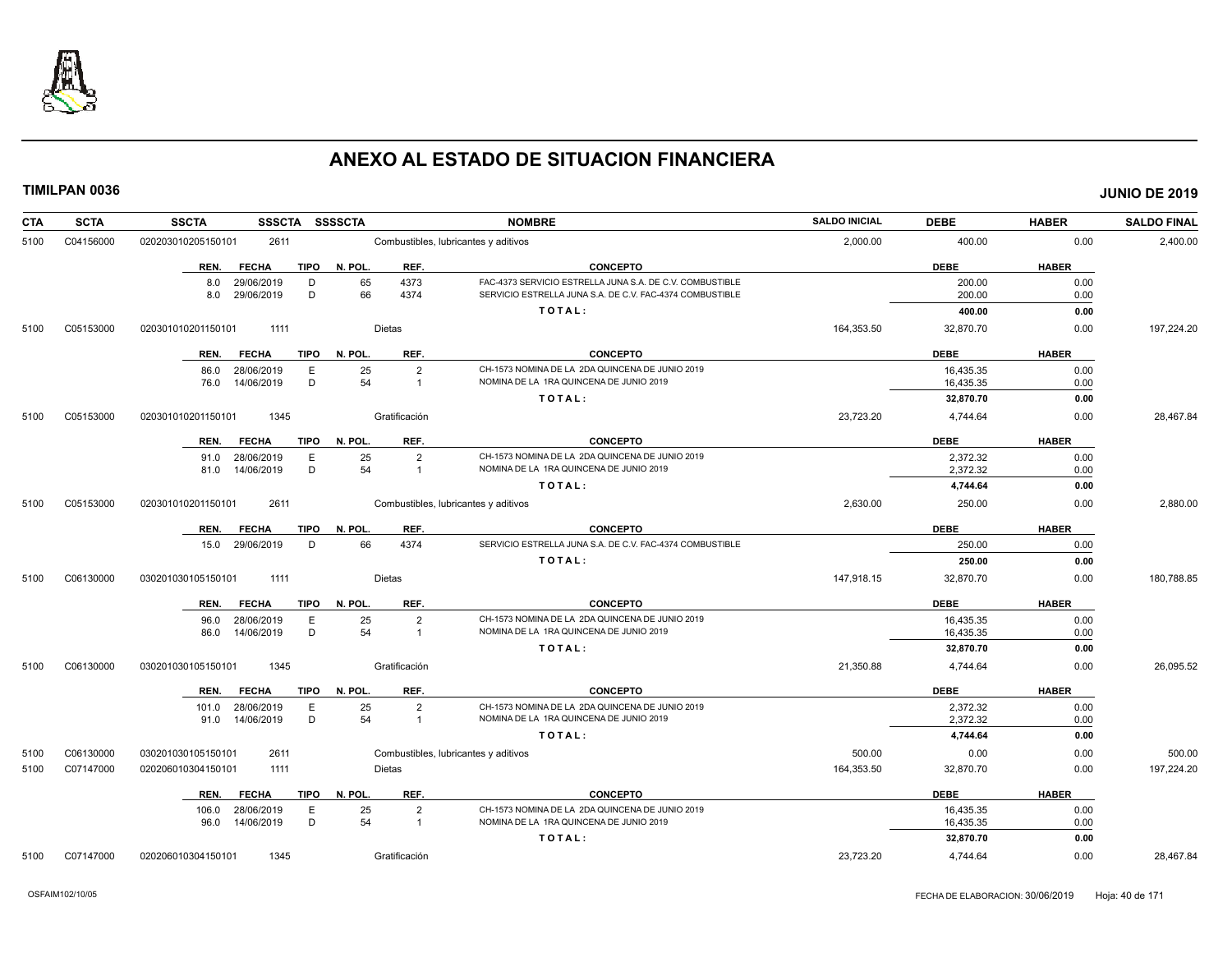

| <b>CTA</b> | <b>SCTA</b> | <b>SSCTA</b><br><b>SSSCTA</b>                    | <b>SSSSCTA</b>           | <b>NOMBRE</b>                                                                                                        | <b>SALDO INICIAL</b> | <b>DEBE</b>      | <b>HABER</b> | <b>SALDO FINAL</b> |
|------------|-------------|--------------------------------------------------|--------------------------|----------------------------------------------------------------------------------------------------------------------|----------------------|------------------|--------------|--------------------|
| 5100       | C04156000   | 2611<br>020203010205150101                       |                          | Combustibles, lubricantes y aditivos                                                                                 | 2,000.00             | 400.00           | 0.00         | 2,400.00           |
|            |             | <b>FECHA</b><br><b>TIPO</b><br>REN.              | N. POL.<br>REF.          | <b>CONCEPTO</b>                                                                                                      |                      | <b>DEBE</b>      | <b>HABER</b> |                    |
|            |             | 8.0<br>29/06/2019<br>D<br>29/06/2019<br>D<br>8.0 | 4373<br>65<br>66<br>4374 | FAC-4373 SERVICIO ESTRELLA JUNA S.A. DE C.V. COMBUSTIBLE<br>SERVICIO ESTRELLA JUNA S.A. DE C.V. FAC-4374 COMBUSTIBLE |                      | 200.00<br>200.00 | 0.00<br>0.00 |                    |
|            |             |                                                  |                          | TOTAL:                                                                                                               |                      | 400.00           | 0.00         |                    |
| 5100       | C05153000   | 1111<br>020301010201150101                       | Dietas                   |                                                                                                                      | 164,353.50           | 32,870.70        | 0.00         | 197,224.20         |
|            |             | <b>FECHA</b><br><b>TIPO</b><br>REN.              | REF.<br>N. POL.          | <b>CONCEPTO</b>                                                                                                      |                      | <b>DEBE</b>      | <b>HABER</b> |                    |
|            |             | 28/06/2019<br>E<br>86.0                          | 25<br>$\overline{2}$     | CH-1573 NOMINA DE LA 2DA QUINCENA DE JUNIO 2019                                                                      |                      | 16,435.35        | 0.00         |                    |
|            |             | D<br>76.0<br>14/06/2019                          | 54<br>$\overline{1}$     | NOMINA DE LA 1RA QUINCENA DE JUNIO 2019                                                                              |                      | 16,435.35        | 0.00         |                    |
|            |             |                                                  |                          | TOTAL:                                                                                                               |                      | 32,870.70        | 0.00         |                    |
| 5100       | C05153000   | 1345<br>020301010201150101                       | Gratificación            |                                                                                                                      | 23,723.20            | 4,744.64         | 0.00         | 28,467.84          |
|            |             | <b>FECHA</b><br><b>TIPO</b><br>REN.              | N. POL.<br>REF.          | <b>CONCEPTO</b>                                                                                                      |                      | <b>DEBE</b>      | <b>HABER</b> |                    |
|            |             | 91.0 28/06/2019<br>E                             | 25<br>$\overline{2}$     | CH-1573 NOMINA DE LA 2DA QUINCENA DE JUNIO 2019                                                                      |                      | 2,372.32         | 0.00         |                    |
|            |             | D<br>14/06/2019<br>81.0                          | 54<br>$\overline{1}$     | NOMINA DE LA 1RA QUINCENA DE JUNIO 2019                                                                              |                      | 2,372.32         | 0.00         |                    |
|            |             |                                                  |                          | TOTAL:                                                                                                               |                      | 4,744.64         | 0.00         |                    |
| 5100       | C05153000   | 2611<br>020301010201150101                       |                          | Combustibles, lubricantes y aditivos                                                                                 | 2,630.00             | 250.00           | 0.00         | 2,880.00           |
|            |             | <b>FECHA</b><br><b>TIPO</b><br>REN.              | N. POL.<br>REF.          | <b>CONCEPTO</b>                                                                                                      |                      | <b>DEBE</b>      | <b>HABER</b> |                    |
|            |             | 15.0 29/06/2019<br>D                             | 66<br>4374               | SERVICIO ESTRELLA JUNA S.A. DE C.V. FAC-4374 COMBUSTIBLE                                                             |                      | 250.00           | 0.00         |                    |
|            |             |                                                  |                          | TOTAL:                                                                                                               |                      | 250.00           | 0.00         |                    |
| 5100       | C06130000   | 030201030105150101<br>1111                       | Dietas                   |                                                                                                                      | 147,918.15           | 32,870.70        | 0.00         | 180,788.85         |
|            |             | <b>FECHA</b><br>REN.                             | TIPO N. POL.<br>REF.     | <b>CONCEPTO</b>                                                                                                      |                      | <b>DEBE</b>      | <b>HABER</b> |                    |
|            |             | E<br>28/06/2019<br>96.0                          | $\overline{2}$<br>25     | CH-1573 NOMINA DE LA 2DA QUINCENA DE JUNIO 2019                                                                      |                      | 16,435.35        | 0.00         |                    |
|            |             | D<br>14/06/2019<br>86.0                          | 54<br>$\overline{1}$     | NOMINA DE LA 1RA QUINCENA DE JUNIO 2019                                                                              |                      | 16,435.35        | 0.00         |                    |
|            |             |                                                  |                          | TOTAL:                                                                                                               |                      | 32,870.70        | 0.00         |                    |
| 5100       | C06130000   | 030201030105150101<br>1345                       | Gratificación            |                                                                                                                      | 21,350.88            | 4,744.64         | 0.00         | 26,095.52          |
|            |             | <b>FECHA</b><br>REN.                             | TIPO N. POL.<br>REF.     | <b>CONCEPTO</b>                                                                                                      |                      | <b>DEBE</b>      | <b>HABER</b> |                    |
|            |             | 101.0 28/06/2019<br>E                            | 25<br>$\overline{2}$     | CH-1573 NOMINA DE LA 2DA QUINCENA DE JUNIO 2019                                                                      |                      | 2,372.32         | 0.00         |                    |
|            |             | D<br>91.0 14/06/2019                             | 54<br>$\overline{1}$     | NOMINA DE LA 1RA QUINCENA DE JUNIO 2019                                                                              |                      | 2,372.32         | 0.00         |                    |
|            |             |                                                  |                          | TOTAL:                                                                                                               |                      | 4,744.64         | 0.00         |                    |
| 5100       | C06130000   | 030201030105150101<br>2611                       |                          | Combustibles, lubricantes y aditivos                                                                                 | 500.00               | 0.00             | 0.00         | 500.00             |
| 5100       | C07147000   | 020206010304150101<br>1111                       | Dietas                   |                                                                                                                      | 164,353.50           | 32,870.70        | 0.00         | 197,224.20         |
|            |             | <b>FECHA</b><br>TIPO<br>REN.                     | REF.<br>N. POL.          | <b>CONCEPTO</b>                                                                                                      |                      | <b>DEBE</b>      | <b>HABER</b> |                    |
|            |             | 28/06/2019<br>Е<br>106.0                         | 25<br>$\overline{2}$     | CH-1573 NOMINA DE LA 2DA QUINCENA DE JUNIO 2019                                                                      |                      | 16,435.35        | 0.00         |                    |
|            |             | D<br>96.0 14/06/2019                             | 54<br>$\overline{1}$     | NOMINA DE LA 1RA QUINCENA DE JUNIO 2019                                                                              |                      | 16,435.35        | 0.00         |                    |
|            |             |                                                  |                          | TOTAL:                                                                                                               |                      | 32,870.70        | 0.00         |                    |
| 5100       | C07147000   | 1345<br>020206010304150101                       | Gratificación            |                                                                                                                      | 23.723.20            | 4.744.64         | 0.00         | 28.467.84          |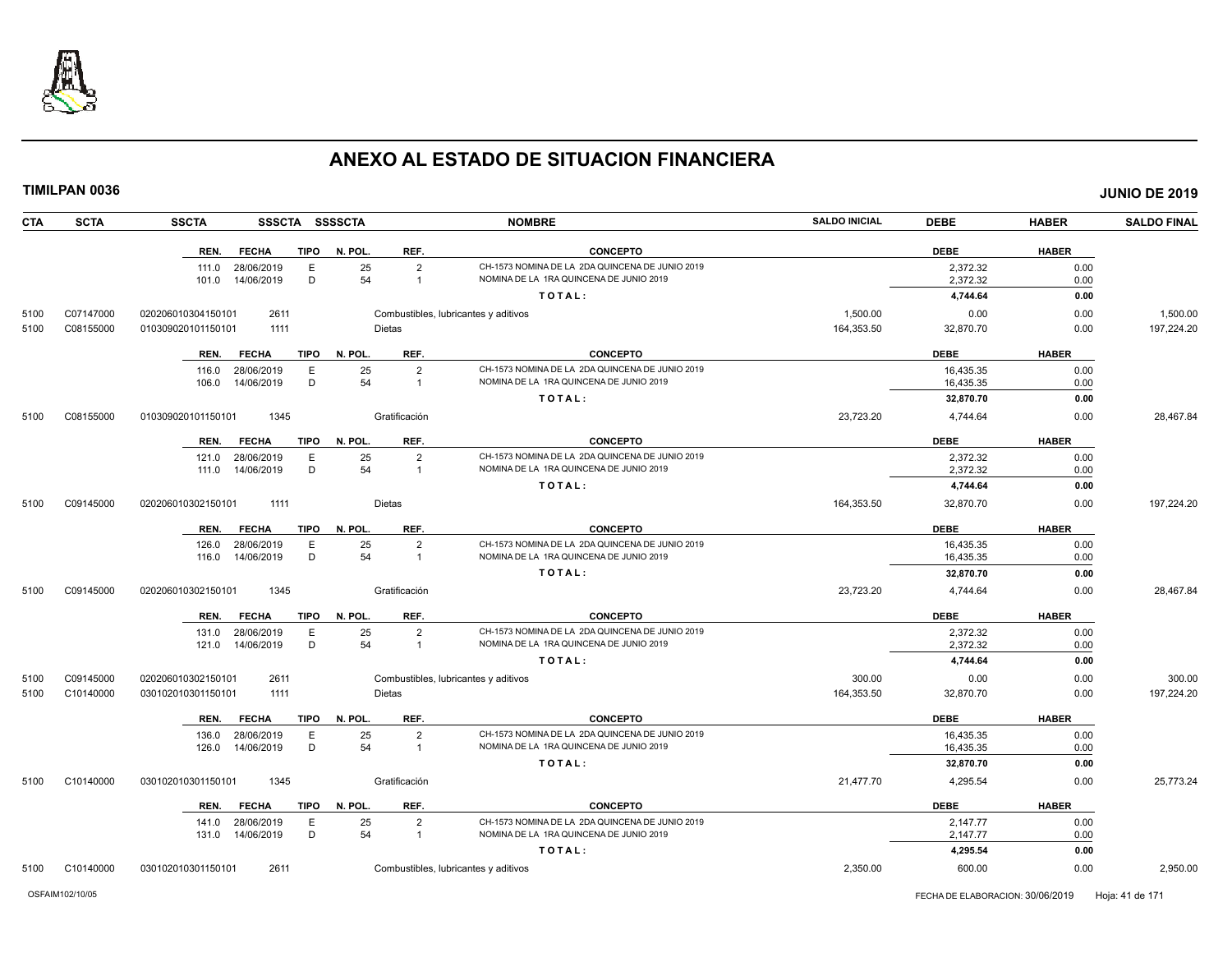

**CTA SCTA SSCTA SSSCTA SSSSCTA NOMBRE SALDO INICIAL DEBE HABER SALDO FINAL TIMILPAN 0036 JUNIO DE 2019 REN. FECHA TIPO N. POL. REF. CONCEPTO DEBE HABER** 111.0 28/06/2019 E 25 2 CH-1573 NOMINA DE LA 2DA QUINCENA DE JUNIO 2019<br>101.0 14/06/2019 D 54 1 NOMINA DE LA 1RA QUINCENA DE JUNIO 2019 2019 2019 2020 2,372.32 2000 101.0 101.0 101.0 14/06/2019 NOMINA DE JUNIO 2019 **T O T A L : 4,744.64 0.00** 5100 C07147000 020206010304150101 2611 Combustibles, lubricantes y aditivos 1,500.00 0.00 0.00 1,500.00 5100 C08155000 010309020101150101 1111 Dietas 164,353.50 32,870.70 0.00 197,224.20 **REN. FECHA TIPO N. POL. REF. CONCEPTO DEBE HABER** 116.0 28/06/2019 E 25 2 CH-1573 NOMINA DE LA 2DA QUINCENA DE JUNIO 2019<br>106.0 14/06/2019 D 54 1 NOMINA DE LA 1RA QUINCENA DE JUNIO 2019 16,435.35 16,435.35 0.00 106.0 14/06/2019 D 54 1 NOMINA DE LA 1RA QUINCENA DE JUNIO 2019 16,435.35 0.00 **T O T A L : 32,870.70 0.00** 5100 C08155000 010309020101150101 1345 Gratificación 23,723.20 4,744.64 0.00 28,467.84 **REN. FECHA TIPO N. POL. REF. CONCEPTO DEBE HABER** 121.0 28/06/2019 E 25 2 CH-1573 NOMINA DE LA 2DA QUINCENA DE JUNIO 2019 2,372.32 0.00 111.0 14/06/2019 D 54 1 NOMINA DE LA 1RA QUINCENA DE JUNIO 2019 2,372.32 0.00 **T O T A L : 4,744.64 0.00** 5100 C09145000 020206010302150101 1111 Dietas 164,353.50 32,870.70 0.00 197,224.20 **REN. FECHA TIPO N. POL. REF. CONCEPTO DEBE HABER** 126.0 28/06/2019 E 25 2 CH-1573 NOMINA DE LA 2DA QUINCENA DE JUNIO 2019 16,435.35 0.00 116.0 14/06/2019 D 54 1 NOMINA DE LA 1RA QUINCENA DE JUNIO 2019 16,435.35 0.00 **T O T A L : 32,870.70 0.00** 5100 C09145000 020206010302150101 1345 Gratificación 23,723.20 4,744.64 0.00 28,467.84 **REN. FECHA TIPO N. POL. REF. CONCEPTO DEBE HABER** 131.0 28/06/2019 E 25 2 CH-1573 NOMINA DE LA 2DA QUINCENA DE JUNIO 2019 2,372.32 0.00 121.0 14/06/2019 D 54 1 NOMINA DE LA 1RA QUINCENA DE JUNIO 2019 2,372.32 0.00 **T O T A L : 4,744.64 0.00** 5100 C09145000 020206010302150101 2611 Combustibles, lubricantes y aditivos 300.00 0.00 0.00 300.00 5100 C10140000 030102010301150101 1111 Dietas 164,353.50 32,870.70 0.00 197,224.20 **REN. FECHA TIPO N. POL. REF. CONCEPTO DEBE HABER** 136.0 28/06/2019 E 25 2 CH-1573 NOMINA DE LA 2DA QUINCENA DE JUNIO 2019 16,435.35 0.00 126.0 14/06/2019 D 54 1 NOMINA DE LA 1RA QUINCENA DE JUNIO 2019 16,435.35 0.00 **T O T A L : 32,870.70 0.00** 5100 C10140000 030102010301150101 1345 Gratificación 21,477.70 4,295.54 0.00 25,773.24 **REN. FECHA TIPO N. POL. REF. CONCEPTO DEBE HABER** 141.0 28/06/2019 E 25 2 CH-1573 NOMINA DE LA 2DA QUINCENA DE JUNIO 2019 2,147.77 2010 131.0 14/06/2019 D 54 1 NOMINA DE LA 1RA QUINCENA DE JUNIO 2019 2,147.77 0.00 **T O T A L : 4,295.54 0.00**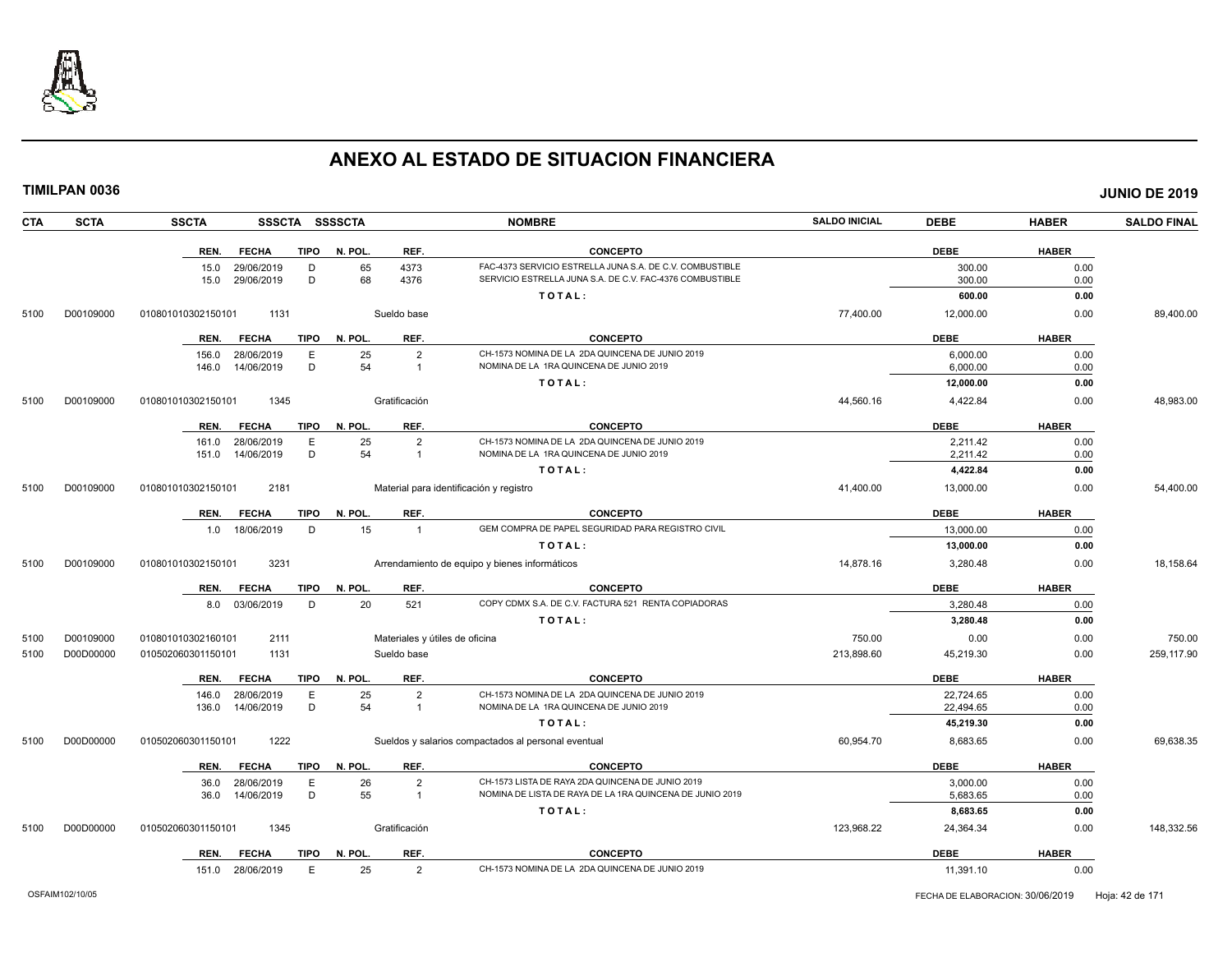

**TIMILPAN 0036 JUNIO DE 2019**

**CTA SCTA SSCTA SSSCTA SSSSCTA NOMBRE SALDO INICIAL DEBE HABER SALDO FINAL REN. FECHA TIPO N. POL. REF. CONCEPTO DEBE HABER** 15.0 29/06/2019 D 65 4373 FAC-4373 SERVICIO ESTRELLA JUNA S.A. DE C.V. COMBUSTIBLE 300.00 0.00 SERVICIO ESTRELLA JUNA S.A. DE C.V. FAC-4376 COMBUSTIBLE **T O T A L : 600.00 0.00** 5100 D00109000 010801010302150101 1131 Sueldo base 77,400.00 12,000.00 0.00 89,400.00 **REN. FECHA TIPO N. POL. REF. CONCEPTO DEBE HABER** 156.0 28/06/2019 E 25 2 CH-1573 NOMINA DE LA 2DA QUINCENA DE JUNIO 2019 6,000.00 0.00 146.0 14/06/2019 D 54 1 NOMINA DE LA 1RA QUINCENA DE JUNIO 2019 6,000.00 0.00 **T O T A L : 12,000.00 0.00** 5100 D00109000 010801010302150101 1345 Gratificación 44,560.16 4,422.84 0.00 48,983.00 **REN. FECHA TIPO N. POL. REF. CONCEPTO DEBE HABER** 161.0 28/06/2019 E 25 2 CH-1573 NOMINA DE LA 2DA QUINCENA DE JUNIO 2019 2,211.42 0.00 151.0 14/06/2019 D 54 1 NOMINA DE LA 1RA QUINCENA DE JUNIO 2019 2,211.42 0.00 **T O T A L : 4,422.84 0.00** 5100 D00109000 010801010302150101 2181 Material para identificación y registro 41,400.00 13,000.00 0.00 54,400.00 **REN. FECHA TIPO N. POL. REF. CONCEPTO DEBE HABER** 1.0 18/06/2019 D 15 1 GEM COMPRA DE PAPEL SEGURIDAD PARA REGISTRO CIVIL **13,000.00** 13,000.00 0.00 **T O T A L : 13,000.00 0.00** 5100 D00109000 010801010302150101 3231 Arrendamiento de equipo y bienes informáticos 14,878.16 3,280.48 0.00 18,158.64 **REN. FECHA TIPO N. POL. REF. CONCEPTO DEBE HABER** 8.0 03/06/2019 D 20 521 COPY CDMX S.A. DE C.V. FACTURA 521 RENTA COPIADORAS 3,280.48 3,280.48 0.00 **T O T A L : 3,280.48 0.00** 5100 D00109000 010801010302160101 2111 Materiales y útiles de oficina 750.00 0.00 0.00 750.00 5100 D00D00000 010502060301150101 1131 Sueldo base 213,898.60 45,219.30 0.00 259,117.90 **REN. FECHA TIPO N. POL. REF. CONCEPTO DEBE HABER** 146.0 28/06/2019 E 25 2 CH-1573 NOMINA DE LA 2DA QUINCENA DE JUNIO 2019 22,724.65 0.00 136.0 14/06/2019 D 54 1 NOMINA DE LA 1RA QUINCENA DE JUNIO 2019 22,494.65 0.00 **T O T A L : 45,219.30 0.00** 5100 D00D00000 010502060301150101 1222 Sueldos y salarios compactados al personal eventual 60,954.70 8,683.65 0.00 69,638.35 **REN. FECHA TIPO N. POL. REF. CONCEPTO DEBE HABER** 36.0 28/06/2019 E 26 2 CH-1573 LISTA DE RAYA 2DA QUINCENA DE JUNIO 2019<br>36.0 14/06/2019 D 55 1 NOMINA DE LISTA DE RAYA DE LA 1RA QUINCENA DE JUNIO 2019 S 683.65 5 683.65 0.00 1 NOMINA DE LISTA DE RAYA DE LA 1RA QUINCENA DE JUNIO 2019 **T O T A L : 8,683.65 0.00** 5100 D00D00000 010502060301150101 1345 Gratificación 123,968.22 24,364.34 0.00 148,332.56 **REN. FECHA TIPO N. POL. REF. CONCEPTO DEBE HABER**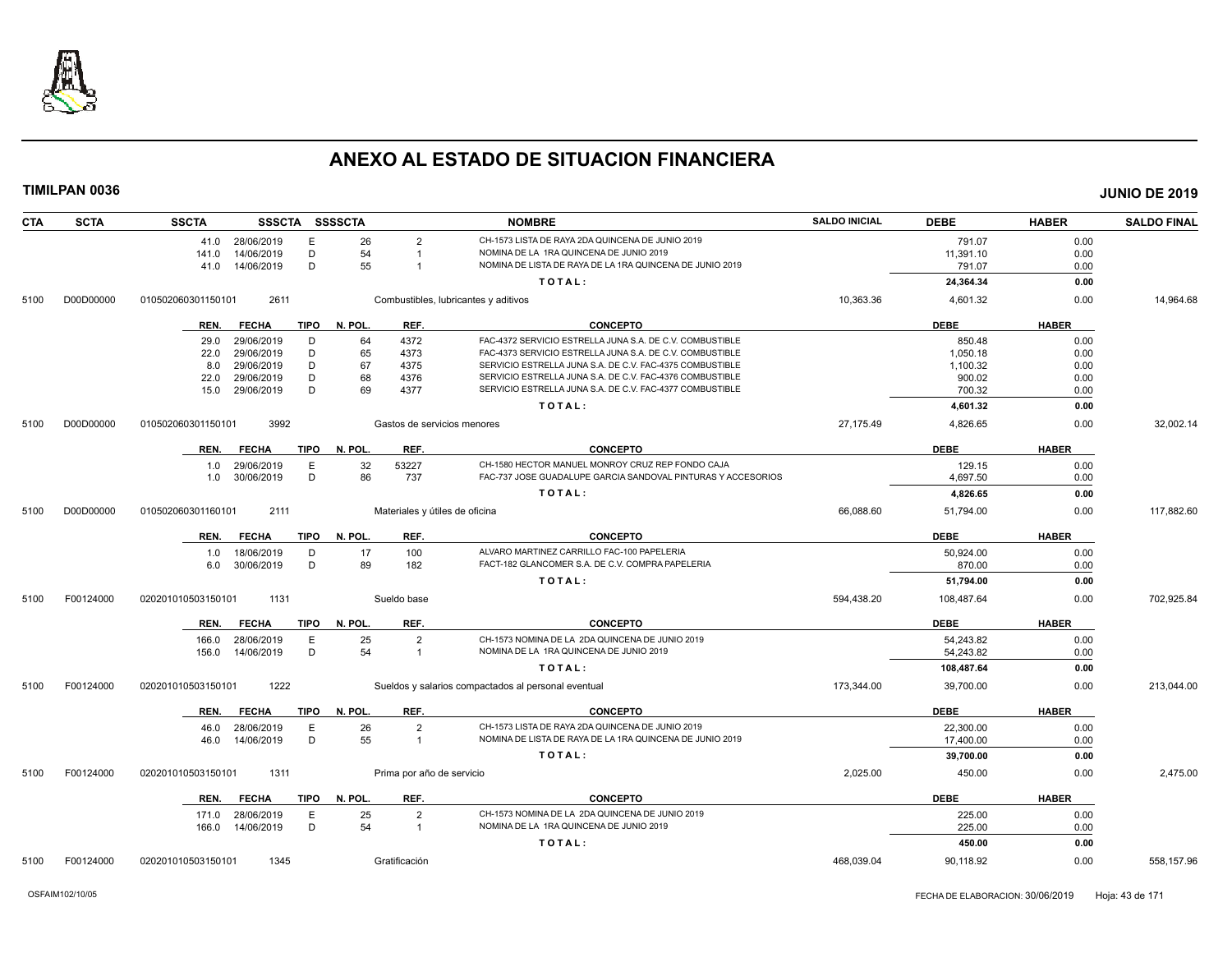

| <b>CTA</b> | <b>SCTA</b> | <b>SSCTA</b>       |                 |      | SSSCTA SSSSCTA |                           | <b>NOMBRE</b>                                                                                                    | <b>SALDO INICIAL</b> | <b>DEBE</b> | <b>HABER</b> | <b>SALDO FINAL</b> |
|------------|-------------|--------------------|-----------------|------|----------------|---------------------------|------------------------------------------------------------------------------------------------------------------|----------------------|-------------|--------------|--------------------|
|            |             |                    | 41.0 28/06/2019 | E    | 26             | $\overline{2}$            | CH-1573 LISTA DE RAYA 2DA QUINCENA DE JUNIO 2019                                                                 |                      | 791.07      | 0.00         |                    |
|            |             | 141.0              | 14/06/2019      | D    | 54             | $\overline{1}$            | NOMINA DE LA 1RA QUINCENA DE JUNIO 2019                                                                          |                      | 11,391.10   | 0.00         |                    |
|            |             |                    | 41.0 14/06/2019 | D    | 55             | $\overline{1}$            | NOMINA DE LISTA DE RAYA DE LA 1RA QUINCENA DE JUNIO 2019                                                         |                      | 791.07      | 0.00         |                    |
|            |             |                    |                 |      |                |                           | TOTAL:                                                                                                           |                      | 24,364.34   | 0.00         |                    |
| 5100       | D00D00000   | 010502060301150101 | 2611            |      |                |                           | Combustibles, lubricantes y aditivos                                                                             | 10,363.36            | 4,601.32    | 0.00         | 14,964.68          |
|            |             | REN.               | <b>FECHA</b>    | TIPO | N. POL.        | REF.                      | <b>CONCEPTO</b>                                                                                                  |                      | <b>DEBE</b> | <b>HABER</b> |                    |
|            |             | 29.0               | 29/06/2019      | D    | 64             | 4372                      | FAC-4372 SERVICIO ESTRELLA JUNA S.A. DE C.V. COMBUSTIBLE                                                         |                      | 850.48      | 0.00         |                    |
|            |             | 22.0               | 29/06/2019      | D    | 65             | 4373                      | FAC-4373 SERVICIO ESTRELLA JUNA S.A. DE C.V. COMBUSTIBLE                                                         |                      | 1,050.18    | 0.00         |                    |
|            |             | 8.0                | 29/06/2019      | D    | 67             | 4375                      | SERVICIO ESTRELLA JUNA S.A. DE C.V. FAC-4375 COMBUSTIBLE                                                         |                      | 1,100.32    | 0.00         |                    |
|            |             | 22.0               | 29/06/2019      | D    | 68             | 4376                      | SERVICIO ESTRELLA JUNA S.A. DE C.V. FAC-4376 COMBUSTIBLE                                                         |                      | 900.02      | 0.00         |                    |
|            |             | 15.0               | 29/06/2019      | D    | 69             | 4377                      | SERVICIO ESTRELLA JUNA S.A. DE C.V. FAC-4377 COMBUSTIBLE                                                         |                      | 700.32      | 0.00         |                    |
|            |             |                    |                 |      |                |                           | TOTAL:                                                                                                           |                      | 4,601.32    | 0.00         |                    |
| 5100       | D00D00000   | 010502060301150101 | 3992            |      |                |                           | Gastos de servicios menores                                                                                      | 27,175.49            | 4,826.65    | 0.00         | 32,002.14          |
|            |             |                    |                 |      |                |                           |                                                                                                                  |                      |             |              |                    |
|            |             | REN.               | <b>FECHA</b>    | TIPO | N. POL.        | REF.                      | <b>CONCEPTO</b>                                                                                                  |                      | <b>DEBE</b> | <b>HABER</b> |                    |
|            |             | 1.0                | 29/06/2019      | Ε    | 32             | 53227                     | CH-1580 HECTOR MANUEL MONROY CRUZ REP FONDO CAJA<br>FAC-737 JOSE GUADALUPE GARCIA SANDOVAL PINTURAS Y ACCESORIOS |                      | 129.15      | 0.00         |                    |
|            |             | 1.0                | 30/06/2019      | D    | 86             | 737                       |                                                                                                                  |                      | 4.697.50    | 0.00         |                    |
|            |             |                    |                 |      |                |                           | TOTAL:                                                                                                           |                      | 4,826.65    | 0.00         |                    |
| 5100       | D00D00000   | 010502060301160101 | 2111            |      |                |                           | Materiales y útiles de oficina                                                                                   | 66,088.60            | 51,794.00   | 0.00         | 117,882.60         |
|            |             | REN.               | <b>FECHA</b>    | TIPO | N. POL.        | REF.                      | <b>CONCEPTO</b>                                                                                                  |                      | <b>DEBE</b> | <b>HABER</b> |                    |
|            |             | 1.0                | 18/06/2019      | D    | 17             | 100                       | ALVARO MARTINEZ CARRILLO FAC-100 PAPELERIA                                                                       |                      | 50,924.00   | 0.00         |                    |
|            |             | 6.0                | 30/06/2019      | D    | 89             | 182                       | FACT-182 GLANCOMER S.A. DE C.V. COMPRA PAPELERIA                                                                 |                      | 870.00      | 0.00         |                    |
|            |             |                    |                 |      |                |                           | TOTAL:                                                                                                           |                      | 51,794.00   | 0.00         |                    |
| 5100       | F00124000   | 020201010503150101 | 1131            |      |                | Sueldo base               |                                                                                                                  | 594,438.20           | 108,487.64  | 0.00         | 702,925.84         |
|            |             | REN.               | <b>FECHA</b>    | TIPO | N. POL.        | REF.                      | <b>CONCEPTO</b>                                                                                                  |                      | <b>DEBE</b> | <b>HABER</b> |                    |
|            |             | 166.0              | 28/06/2019      | Е    | 25             | $\overline{2}$            | CH-1573 NOMINA DE LA 2DA QUINCENA DE JUNIO 2019                                                                  |                      | 54,243.82   | 0.00         |                    |
|            |             | 156.0              | 14/06/2019      | D    | 54             | $\overline{1}$            | NOMINA DE LA 1RA QUINCENA DE JUNIO 2019                                                                          |                      | 54,243.82   | 0.00         |                    |
|            |             |                    |                 |      |                |                           | TOTAL:                                                                                                           |                      | 108,487.64  | 0.00         |                    |
| 5100       | F00124000   | 020201010503150101 | 1222            |      |                |                           | Sueldos y salarios compactados al personal eventual                                                              | 173,344.00           | 39,700.00   | 0.00         | 213,044.00         |
|            |             | REN.               | <b>FECHA</b>    | TIPO | N. POL.        | REF.                      | <b>CONCEPTO</b>                                                                                                  |                      | <b>DEBE</b> | <b>HABER</b> |                    |
|            |             | 46.0               | 28/06/2019      | Е    | 26             | $\overline{2}$            | CH-1573 LISTA DE RAYA 2DA QUINCENA DE JUNIO 2019                                                                 |                      | 22,300.00   | 0.00         |                    |
|            |             | 46.0               | 14/06/2019      | D    | 55             | $\overline{1}$            | NOMINA DE LISTA DE RAYA DE LA 1RA QUINCENA DE JUNIO 2019                                                         |                      | 17,400.00   | 0.00         |                    |
|            |             |                    |                 |      |                |                           | TOTAL:                                                                                                           |                      | 39,700.00   | 0.00         |                    |
|            |             |                    |                 |      |                |                           |                                                                                                                  |                      |             |              |                    |
| 5100       | F00124000   | 020201010503150101 | 1311            |      |                | Prima por año de servicio |                                                                                                                  | 2,025.00             | 450.00      | 0.00         | 2,475.00           |
|            |             | REN.               | <b>FECHA</b>    | TIPO | N. POL.        | REF.                      | <b>CONCEPTO</b>                                                                                                  |                      | <b>DEBE</b> | <b>HABER</b> |                    |
|            |             | 171.0              | 28/06/2019      | Ε    | 25             | $\overline{2}$            | CH-1573 NOMINA DE LA 2DA QUINCENA DE JUNIO 2019                                                                  |                      | 225.00      | 0.00         |                    |
|            |             | 166.0              | 14/06/2019      | D    | 54             | $\overline{1}$            | NOMINA DE LA 1RA QUINCENA DE JUNIO 2019                                                                          |                      | 225.00      | 0.00         |                    |
|            |             |                    |                 |      |                |                           | TOTAL:                                                                                                           |                      | 450.00      | 0.00         |                    |
| 5100       | F00124000   | 020201010503150101 | 1345            |      |                | Gratificación             |                                                                                                                  | 468,039.04           | 90,118.92   | 0.00         | 558,157.96         |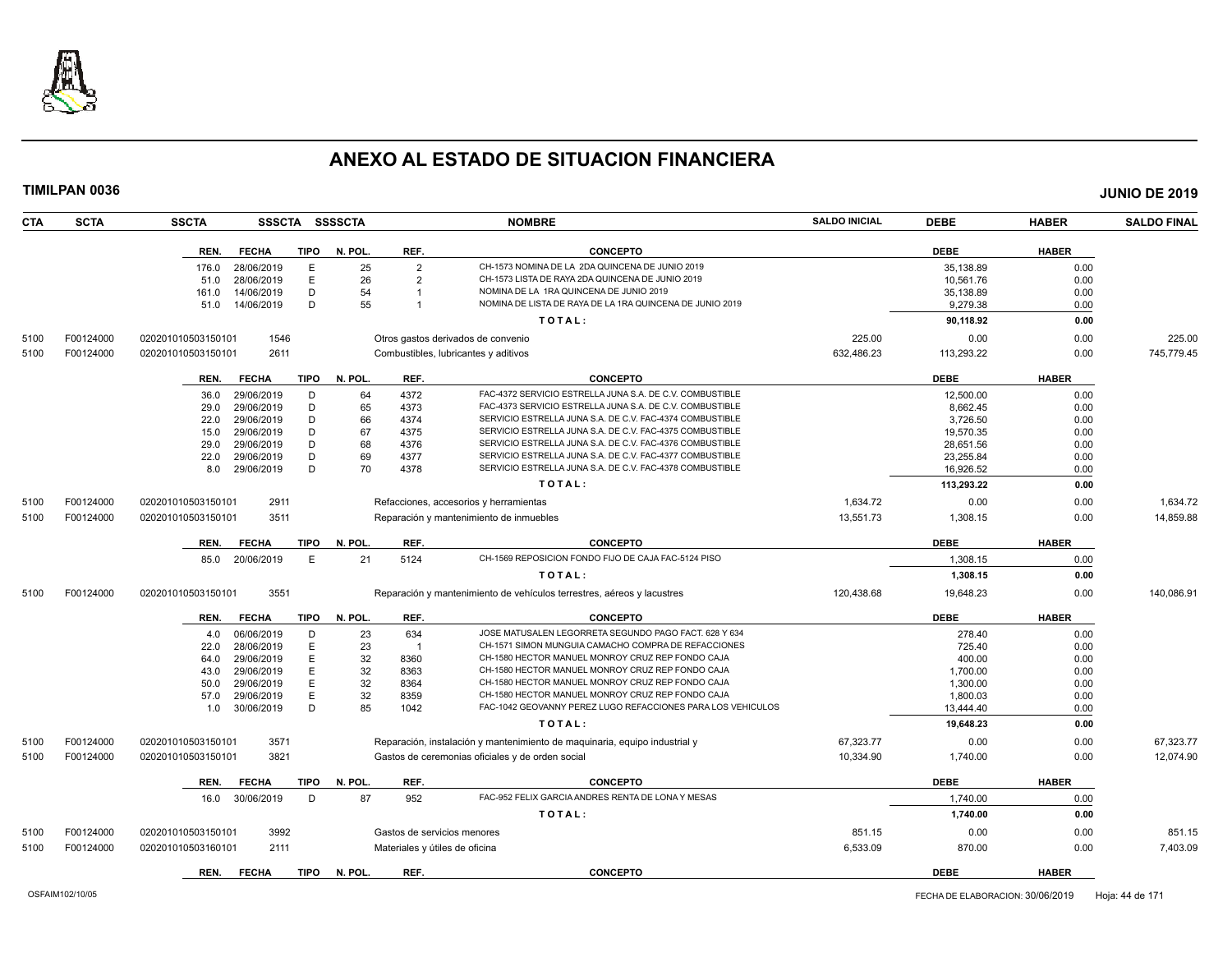

| <b>CTA</b> | <b>SCTA</b> | <b>SSCTA</b>       |              |             | SSSCTA SSSSCTA |                | <b>NOMBRE</b>                                                              | <b>SALDO INICIAL</b> | <b>DEBE</b> | <b>HABER</b> | <b>SALDO FINAL</b> |
|------------|-------------|--------------------|--------------|-------------|----------------|----------------|----------------------------------------------------------------------------|----------------------|-------------|--------------|--------------------|
|            |             | REN.               | <b>FECHA</b> | <b>TIPO</b> | N. POL.        | REF.           | <b>CONCEPTO</b>                                                            |                      | <b>DEBE</b> | <b>HABER</b> |                    |
|            |             | 176.0              | 28/06/2019   | E           | 25             | $\overline{2}$ | CH-1573 NOMINA DE LA 2DA QUINCENA DE JUNIO 2019                            |                      | 35,138.89   | 0.00         |                    |
|            |             | 51.0               | 28/06/2019   | E           | 26             | $\overline{2}$ | CH-1573 LISTA DE RAYA 2DA QUINCENA DE JUNIO 2019                           |                      | 10,561.76   | 0.00         |                    |
|            |             | 161.0              | 14/06/2019   | D           | 54             | -1             | NOMINA DE LA 1RA QUINCENA DE JUNIO 2019                                    |                      | 35.138.89   | 0.00         |                    |
|            |             | 51.0               | 14/06/2019   | D           | 55             |                | NOMINA DE LISTA DE RAYA DE LA 1RA QUINCENA DE JUNIO 2019                   |                      | 9,279.38    | 0.00         |                    |
|            |             |                    |              |             |                |                | TOTAL:                                                                     |                      | 90,118.92   | 0.00         |                    |
|            | F00124000   |                    | 1546         |             |                |                |                                                                            | 225.00               | 0.00        | 0.00         | 225.00             |
| 5100       |             | 020201010503150101 |              |             |                |                | Otros gastos derivados de convenio                                         |                      |             |              |                    |
| 5100       | F00124000   | 020201010503150101 | 2611         |             |                |                | Combustibles, lubricantes y aditivos                                       | 632,486.23           | 113,293.22  | 0.00         | 745,779.45         |
|            |             | REN.               | <b>FECHA</b> | <b>TIPO</b> | N. POL.        | REF.           | <b>CONCEPTO</b>                                                            |                      | <b>DEBE</b> | <b>HABER</b> |                    |
|            |             | 36.0               | 29/06/2019   | D           | 64             | 4372           | FAC-4372 SERVICIO ESTRELLA JUNA S.A. DE C.V. COMBUSTIBLE                   |                      | 12,500.00   | 0.00         |                    |
|            |             | 29.0               | 29/06/2019   | D           | 65             | 4373           | FAC-4373 SERVICIO ESTRELLA JUNA S.A. DE C.V. COMBUSTIBLE                   |                      | 8,662.45    | 0.00         |                    |
|            |             | 22.0               | 29/06/2019   | D           | 66             | 4374           | SERVICIO ESTRELLA JUNA S.A. DE C.V. FAC-4374 COMBUSTIBLE                   |                      | 3,726.50    | 0.00         |                    |
|            |             | 15.0               | 29/06/2019   | D           | 67             | 4375           | SERVICIO ESTRELLA JUNA S.A. DE C.V. FAC-4375 COMBUSTIBLE                   |                      | 19,570.35   | 0.00         |                    |
|            |             | 29.0               | 29/06/2019   | D           | 68             | 4376           | SERVICIO ESTRELLA JUNA S.A. DE C.V. FAC-4376 COMBUSTIBLE                   |                      | 28,651.56   | 0.00         |                    |
|            |             | 22.0               | 29/06/2019   | D           | 69             | 4377           | SERVICIO ESTRELLA JUNA S.A. DE C.V. FAC-4377 COMBUSTIBLE                   |                      | 23,255.84   | 0.00         |                    |
|            |             | 8.0                | 29/06/2019   | D           | 70             | 4378           | SERVICIO ESTRELLA JUNA S.A. DE C.V. FAC-4378 COMBUSTIBLE                   |                      | 16,926.52   | 0.00         |                    |
|            |             |                    |              |             |                |                | TOTAL:                                                                     |                      | 113,293.22  | 0.00         |                    |
| 5100       | F00124000   | 020201010503150101 | 2911         |             |                |                | Refacciones, accesorios y herramientas                                     | 1,634.72             | 0.00        | 0.00         | 1,634.72           |
| 5100       | F00124000   | 020201010503150101 | 3511         |             |                |                | Reparación y mantenimiento de inmuebles                                    | 13,551.73            | 1,308.15    | 0.00         | 14,859.88          |
|            |             |                    |              |             |                |                |                                                                            |                      |             |              |                    |
|            |             | REN.               | <b>FECHA</b> | TIPO        | N. POL.        | REF.           | <b>CONCEPTO</b>                                                            |                      | <b>DEBE</b> | <b>HABER</b> |                    |
|            |             | 85.0               | 20/06/2019   | E           | 21             | 5124           | CH-1569 REPOSICION FONDO FIJO DE CAJA FAC-5124 PISO                        |                      | 1,308.15    | 0.00         |                    |
|            |             |                    |              |             |                |                | TOTAL:                                                                     |                      | 1,308.15    | 0.00         |                    |
| 5100       | F00124000   | 020201010503150101 | 3551         |             |                |                | Reparación y mantenimiento de vehículos terrestres, aéreos y lacustres     | 120,438.68           | 19,648.23   | 0.00         | 140,086.91         |
|            |             | REN.               | <b>FECHA</b> | <b>TIPO</b> | N. POL.        | REF.           | <b>CONCEPTO</b>                                                            |                      | <b>DEBE</b> | <b>HABER</b> |                    |
|            |             | 4.0                | 06/06/2019   | D           | 23             | 634            | JOSE MATUSALEN LEGORRETA SEGUNDO PAGO FACT. 628 Y 634                      |                      | 278.40      | 0.00         |                    |
|            |             | 22.0               | 28/06/2019   | E           | 23             |                | CH-1571 SIMON MUNGUIA CAMACHO COMPRA DE REFACCIONES                        |                      | 725.40      | 0.00         |                    |
|            |             | 64.0               | 29/06/2019   | E           | 32             | 8360           | CH-1580 HECTOR MANUEL MONROY CRUZ REP FONDO CAJA                           |                      | 400.00      | 0.00         |                    |
|            |             | 43.0               | 29/06/2019   | E           | 32             | 8363           | CH-1580 HECTOR MANUEL MONROY CRUZ REP FONDO CAJA                           |                      | 1,700.00    | 0.00         |                    |
|            |             | 50.0               | 29/06/2019   | E           | 32             | 8364           | CH-1580 HECTOR MANUEL MONROY CRUZ REP FONDO CAJA                           |                      | 1.300.00    | 0.00         |                    |
|            |             | 57.0               | 29/06/2019   | E           | 32             | 8359           | CH-1580 HECTOR MANUEL MONROY CRUZ REP FONDO CAJA                           |                      | 1,800.03    | 0.00         |                    |
|            |             | 1.0                | 30/06/2019   | D           | 85             | 1042           | FAC-1042 GEOVANNY PEREZ LUGO REFACCIONES PARA LOS VEHICULOS                |                      | 13.444.40   | 0.00         |                    |
|            |             |                    |              |             |                |                | TOTAL:                                                                     |                      | 19,648.23   | 0.00         |                    |
| 5100       | F00124000   | 020201010503150101 | 3571         |             |                |                | Reparación, instalación y mantenimiento de maquinaria, equipo industrial y | 67,323.77            | 0.00        | 0.00         | 67,323.77          |
| 5100       | F00124000   | 020201010503150101 | 3821         |             |                |                | Gastos de ceremonias oficiales y de orden social                           | 10,334.90            | 1,740.00    | 0.00         | 12.074.90          |
|            |             |                    |              |             |                |                |                                                                            |                      |             |              |                    |
|            |             | REN.               | <b>FECHA</b> | <b>TIPO</b> | N. POL.        | REF.           | <b>CONCEPTO</b>                                                            |                      | <b>DEBE</b> | <b>HABER</b> |                    |
|            |             | 16.0               | 30/06/2019   | D           | 87             | 952            | FAC-952 FELIX GARCIA ANDRES RENTA DE LONA Y MESAS                          |                      | 1,740.00    | 0.00         |                    |
|            |             |                    |              |             |                |                | TOTAL:                                                                     |                      | 1,740.00    | 0.00         |                    |
| 5100       | F00124000   | 020201010503150101 | 3992         |             |                |                | Gastos de servicios menores                                                | 851.15               | 0.00        | 0.00         | 851.15             |
| 5100       | F00124000   | 020201010503160101 | 2111         |             |                |                | Materiales y útiles de oficina                                             | 6,533.09             | 870.00      | 0.00         | 7,403.09           |
|            |             | REN.               | <b>FECHA</b> | <b>TIPO</b> | N. POL.        | REF.           | <b>CONCEPTO</b>                                                            |                      | <b>DEBE</b> | <b>HABER</b> |                    |
|            |             |                    |              |             |                |                |                                                                            |                      |             |              |                    |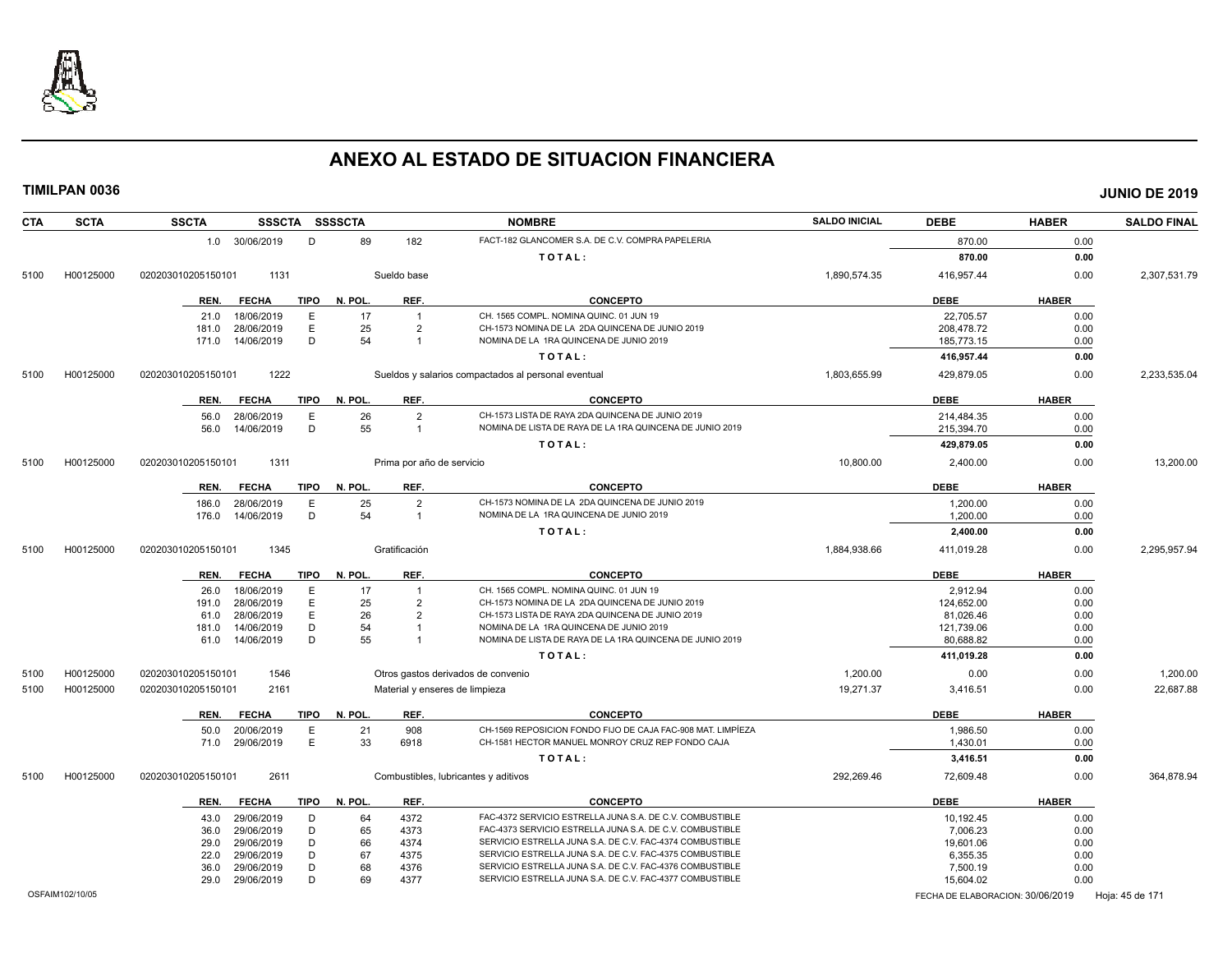

| <b>CTA</b><br><b>SCTA</b> | <b>SSCTA</b><br>SSSCTA SSSSCTA                     |                                | <b>NOMBRE</b>                                               | <b>SALDO INICIAL</b> | <b>DEBE</b>                      | <b>HABER</b> | <b>SALDO FINAL</b> |
|---------------------------|----------------------------------------------------|--------------------------------|-------------------------------------------------------------|----------------------|----------------------------------|--------------|--------------------|
|                           | 1.0 30/06/2019<br>D                                | 89<br>182                      | FACT-182 GLANCOMER S.A. DE C.V. COMPRA PAPELERIA            |                      | 870.00                           | 0.00         |                    |
|                           |                                                    |                                | TOTAL:                                                      |                      | 870.00                           | 0.00         |                    |
| H00125000<br>5100         | 1131<br>020203010205150101                         | Sueldo base                    |                                                             | 1,890,574.35         | 416,957.44                       | 0.00         | 2,307,531.79       |
|                           | <b>FECHA</b><br><b>TIPO</b><br>REN.                | REF.<br>N. POL.                | <b>CONCEPTO</b>                                             |                      | <b>DEBE</b>                      | <b>HABER</b> |                    |
|                           | E<br>18/06/2019<br>21.0                            | 17<br>$\overline{1}$           | CH. 1565 COMPL. NOMINA QUINC, 01 JUN 19                     |                      | 22,705.57                        | 0.00         |                    |
|                           | 28/06/2019<br>Ε<br>181.0                           | 25<br>$\overline{2}$           | CH-1573 NOMINA DE LA 2DA QUINCENA DE JUNIO 2019             |                      | 208,478.72                       | 0.00         |                    |
|                           | D<br>171.0<br>14/06/2019                           | 54<br>-1                       | NOMINA DE LA 1RA QUINCENA DE JUNIO 2019                     |                      | 185,773.15                       | 0.00         |                    |
|                           |                                                    |                                | TOTAL:                                                      |                      | 416.957.44                       | 0.00         |                    |
|                           |                                                    |                                |                                                             |                      |                                  |              |                    |
| H00125000<br>5100         | 020203010205150101<br>1222                         |                                | Sueldos y salarios compactados al personal eventual         | 1,803,655.99         | 429,879.05                       | 0.00         | 2,233,535.04       |
|                           | <b>TIPO</b><br>REN.<br><b>FECHA</b>                | N. POL.<br>REF.                | <b>CONCEPTO</b>                                             |                      | <b>DEBE</b>                      | <b>HABER</b> |                    |
|                           | 56.0<br>28/06/2019<br>E                            | 26<br>$\overline{2}$           | CH-1573 LISTA DE RAYA 2DA QUINCENA DE JUNIO 2019            |                      | 214,484.35                       | 0.00         |                    |
|                           | D<br>14/06/2019<br>56.0                            | 55<br>$\overline{1}$           | NOMINA DE LISTA DE RAYA DE LA 1RA QUINCENA DE JUNIO 2019    |                      | 215,394.70                       | 0.00         |                    |
|                           |                                                    |                                | TOTAL:                                                      |                      | 429,879.05                       | 0.00         |                    |
| H00125000<br>5100         | 020203010205150101<br>1311                         | Prima por año de servicio      |                                                             | 10,800.00            | 2,400.00                         | 0.00         | 13,200.00          |
|                           |                                                    |                                |                                                             |                      |                                  |              |                    |
|                           | REN.<br><b>FECHA</b><br><b>TIPO</b>                | N. POL.<br>REF.                | <b>CONCEPTO</b>                                             |                      | <b>DEBE</b>                      | <b>HABER</b> |                    |
|                           | E<br>28/06/2019<br>186.0                           | 25<br>$\overline{2}$           | CH-1573 NOMINA DE LA 2DA QUINCENA DE JUNIO 2019             |                      | 1.200.00                         | 0.00         |                    |
|                           | D<br>14/06/2019<br>176.0                           | 54<br>$\overline{1}$           | NOMINA DE LA 1RA QUINCENA DE JUNIO 2019                     |                      | 1,200.00                         | 0.00         |                    |
|                           |                                                    |                                | TOTAL:                                                      |                      | 2,400.00                         | 0.00         |                    |
| 5100<br>H00125000         | 1345<br>020203010205150101                         | Gratificación                  |                                                             | 1,884,938.66         | 411,019.28                       | 0.00         | 2,295,957.94       |
|                           | REN.<br><b>FECHA</b><br><b>TIPO</b>                | N. POL.<br>REF.                | <b>CONCEPTO</b>                                             |                      | <b>DEBE</b>                      | <b>HABER</b> |                    |
|                           | 26.0<br>18/06/2019<br>Е                            | 17<br>-1                       | CH. 1565 COMPL. NOMINA QUINC. 01 JUN 19                     |                      | 2,912.94                         | 0.00         |                    |
|                           | 28/06/2019<br>E<br>191.0                           | 25<br>$\overline{2}$           | CH-1573 NOMINA DE LA 2DA QUINCENA DE JUNIO 2019             |                      | 124.652.00                       | 0.00         |                    |
|                           | 28/06/2019<br>E<br>61.0                            | 26<br>$\mathcal{P}$            | CH-1573 LISTA DE RAYA 2DA QUINCENA DE JUNIO 2019            |                      | 81,026.46                        | 0.00         |                    |
|                           | D<br>181.0<br>14/06/2019                           | 54<br>-1                       | NOMINA DE LA 1RA QUINCENA DE JUNIO 2019                     |                      | 121,739.06                       | 0.00         |                    |
|                           | D<br>14/06/2019<br>61.0                            | 55<br>-1                       | NOMINA DE LISTA DE RAYA DE LA 1RA QUINCENA DE JUNIO 2019    |                      | 80,688.82                        | 0.00         |                    |
|                           |                                                    |                                | TOTAL:                                                      |                      | 411,019.28                       | 0.00         |                    |
| 5100<br>H00125000         | 020203010205150101<br>1546                         |                                | Otros gastos derivados de convenio                          | 1,200.00             | 0.00                             | 0.00         | 1,200.00           |
| H00125000<br>5100         | 2161<br>020203010205150101                         | Material y enseres de limpieza |                                                             | 19,271.37            | 3,416.51                         | 0.00         | 22,687.88          |
|                           | REN.<br><b>FECHA</b><br><b>TIPO</b>                | N. POL.<br>REF.                | <b>CONCEPTO</b>                                             |                      | <b>DEBE</b>                      | <b>HABER</b> |                    |
|                           | E<br>50.0<br>20/06/2019                            | 908<br>21                      | CH-1569 REPOSICION FONDO FIJO DE CAJA FAC-908 MAT. LIMPÍEZA |                      | 1,986.50                         | 0.00         |                    |
|                           | E<br>71.0<br>29/06/2019                            | 33<br>6918                     | CH-1581 HECTOR MANUEL MONROY CRUZ REP FONDO CAJA            |                      | 1,430.01                         | 0.00         |                    |
|                           |                                                    |                                | TOTAL:                                                      |                      | 3,416.51                         | 0.00         |                    |
| H00125000<br>5100         | 020203010205150101<br>2611                         |                                | Combustibles, lubricantes y aditivos                        | 292,269.46           | 72,609.48                        | 0.00         | 364,878.94         |
|                           | <b>TIPO</b><br>REN.<br><b>FECHA</b>                | N. POL.<br>REF.                | <b>CONCEPTO</b>                                             |                      | <b>DEBE</b>                      | <b>HABER</b> |                    |
|                           |                                                    |                                | FAC-4372 SERVICIO ESTRELLA JUNA S.A. DE C.V. COMBUSTIBLE    |                      |                                  |              |                    |
|                           | 29/06/2019<br>D<br>43.0<br>29/06/2019<br>D<br>36.0 | 4372<br>64<br>65<br>4373       | FAC-4373 SERVICIO ESTRELLA JUNA S.A. DE C.V. COMBUSTIBLE    |                      | 10,192.45<br>7.006.23            | 0.00<br>0.00 |                    |
|                           | D<br>29/06/2019<br>29.0                            | 66<br>4374                     | SERVICIO ESTRELLA JUNA S.A. DE C.V. FAC-4374 COMBUSTIBLE    |                      | 19,601.06                        | 0.00         |                    |
|                           | D<br>29/06/2019<br>22.0                            | 67<br>4375                     | SERVICIO ESTRELLA JUNA S.A. DE C.V. FAC-4375 COMBUSTIBLE    |                      | 6,355.35                         | 0.00         |                    |
|                           | D<br>36.0<br>29/06/2019                            | 68<br>4376                     | SERVICIO ESTRELLA JUNA S.A. DE C.V. FAC-4376 COMBUSTIBLE    |                      | 7.500.19                         | 0.00         |                    |
|                           | D<br>29.0<br>29/06/2019                            | 69<br>4377                     | SERVICIO ESTRELLA JUNA S.A. DE C.V. FAC-4377 COMBUSTIBLE    |                      | 15,604.02                        | 0.00         |                    |
| OSFAIM102/10/05           |                                                    |                                |                                                             |                      | FECHA DE ELABORACION: 30/06/2019 |              | Hoja: 45 de 171    |
|                           |                                                    |                                |                                                             |                      |                                  |              |                    |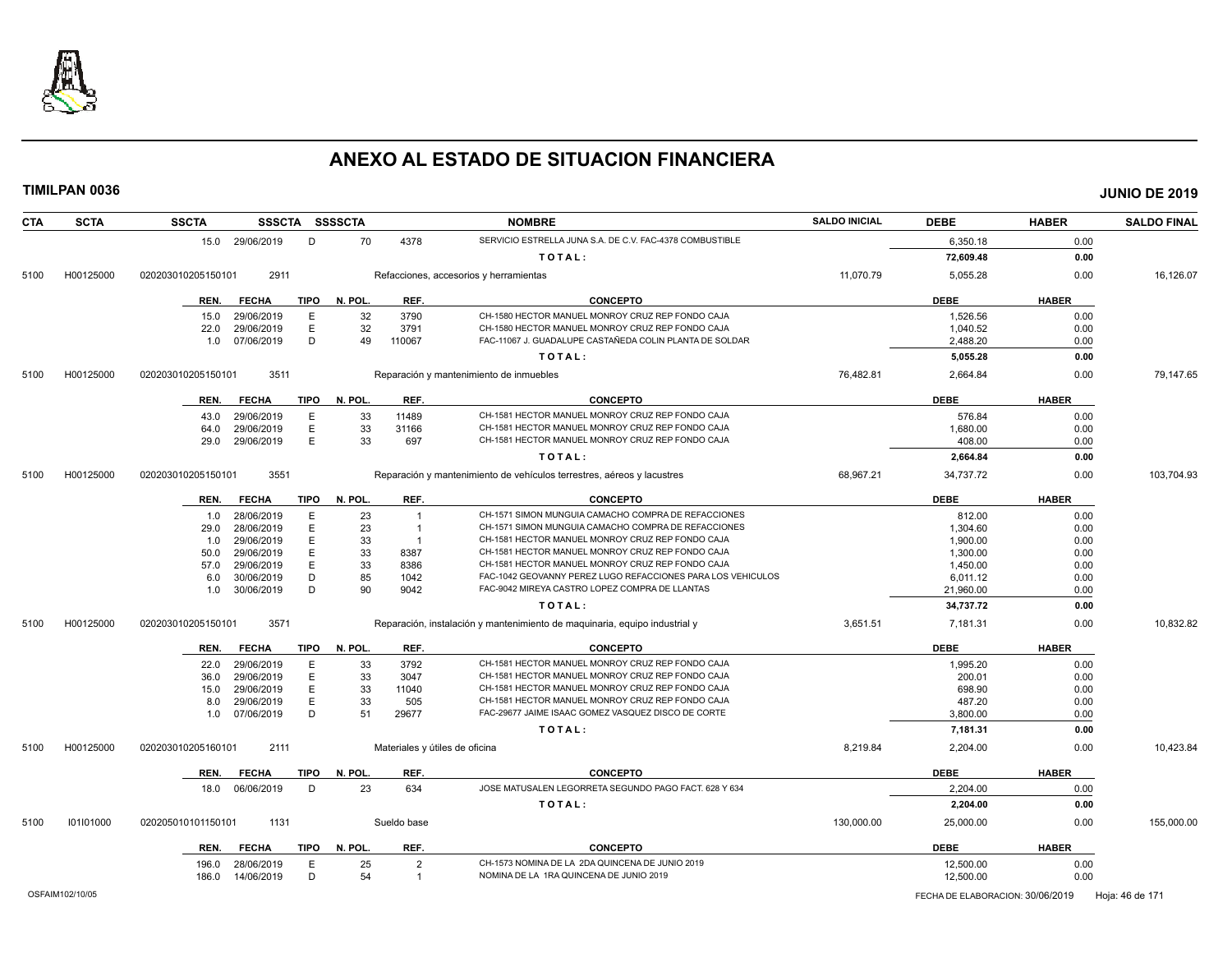

| <b>CTA</b> | <b>SCTA</b> | <b>SSCTA</b>       |                          |             | SSSCTA SSSSCTA |                | <b>NOMBRE</b>                                                              | <b>SALDO INICIAL</b> | <b>DEBE</b>        | <b>HABER</b> | <b>SALDO FINAL</b> |
|------------|-------------|--------------------|--------------------------|-------------|----------------|----------------|----------------------------------------------------------------------------|----------------------|--------------------|--------------|--------------------|
|            |             |                    | 15.0 29/06/2019          | D           | 70             | 4378           | SERVICIO ESTRELLA JUNA S.A. DE C.V. FAC-4378 COMBUSTIBLE                   |                      | 6.350.18           | 0.00         |                    |
|            |             |                    |                          |             |                |                | TOTAL:                                                                     |                      | 72,609.48          | 0.00         |                    |
| 5100       | H00125000   | 020203010205150101 | 2911                     |             |                |                | Refacciones, accesorios y herramientas                                     | 11,070.79            | 5,055.28           | 0.00         | 16,126.07          |
|            |             | REN.               | <b>FECHA</b>             | <b>TIPO</b> | N. POL         | REF.           | <b>CONCEPTO</b>                                                            |                      | <b>DEBE</b>        | <b>HABER</b> |                    |
|            |             | 15.0               | 29/06/2019               | E           | 32             | 3790           | CH-1580 HECTOR MANUEL MONROY CRUZ REP FONDO CAJA                           |                      | 1,526.56           | 0.00         |                    |
|            |             | 22.0               | 29/06/2019               | E           | 32             | 3791           | CH-1580 HECTOR MANUEL MONROY CRUZ REP FONDO CAJA                           |                      | 1,040.52           | 0.00         |                    |
|            |             | 1.0                | 07/06/2019               | D           | 49             | 110067         | FAC-11067 J. GUADALUPE CASTAÑEDA COLIN PLANTA DE SOLDAR                    |                      | 2,488.20           | 0.00         |                    |
|            |             |                    |                          |             |                |                | TOTAL:                                                                     |                      | 5,055.28           | 0.00         |                    |
| 5100       | H00125000   | 020203010205150101 | 3511                     |             |                |                | Reparación y mantenimiento de inmuebles                                    | 76,482.81            | 2,664.84           | 0.00         | 79,147.65          |
|            |             | REN.               | <b>FECHA</b>             | TIPO        | N. POL         | REF.           | <b>CONCEPTO</b>                                                            |                      | <b>DEBE</b>        | <b>HABER</b> |                    |
|            |             |                    |                          |             |                |                | CH-1581 HECTOR MANUEL MONROY CRUZ REP FONDO CAJA                           |                      |                    |              |                    |
|            |             | 43.0<br>64.0       | 29/06/2019<br>29/06/2019 | Е<br>E      | 33<br>33       | 11489<br>31166 | CH-1581 HECTOR MANUEL MONROY CRUZ REP FONDO CAJA                           |                      | 576.84<br>1,680.00 | 0.00<br>0.00 |                    |
|            |             | 29.0               | 29/06/2019               | E           | 33             | 697            | CH-1581 HECTOR MANUEL MONROY CRUZ REP FONDO CAJA                           |                      | 408.00             | 0.00         |                    |
|            |             |                    |                          |             |                |                | TOTAL:                                                                     |                      | 2,664.84           | 0.00         |                    |
|            |             |                    |                          |             |                |                |                                                                            |                      |                    |              |                    |
| 5100       | H00125000   | 020203010205150101 | 3551                     |             |                |                | Reparación y mantenimiento de vehículos terrestres, aéreos y lacustres     | 68,967.21            | 34,737.72          | 0.00         | 103,704.93         |
|            |             | REN.               | <b>FECHA</b>             | <b>TIPO</b> | N. POL         | REF.           | <b>CONCEPTO</b>                                                            |                      | <b>DEBE</b>        | <b>HABER</b> |                    |
|            |             | 1.0                | 28/06/2019               | E           | 23             | -1             | CH-1571 SIMON MUNGUIA CAMACHO COMPRA DE REFACCIONES                        |                      | 812.00             | 0.00         |                    |
|            |             | 29.0               | 28/06/2019               | E           | 23             | -1             | CH-1571 SIMON MUNGUIA CAMACHO COMPRA DE REFACCIONES                        |                      | 1,304.60           | 0.00         |                    |
|            |             | 1.0                | 29/06/2019               | Ε           | 33             | - 1            | CH-1581 HECTOR MANUEL MONROY CRUZ REP FONDO CAJA                           |                      | 1,900.00           | 0.00         |                    |
|            |             | 50.0               | 29/06/2019               | E           | 33             | 8387           | CH-1581 HECTOR MANUEL MONROY CRUZ REP FONDO CAJA                           |                      | 1,300.00           | 0.00         |                    |
|            |             | 57.0               | 29/06/2019               | E           | 33             | 8386           | CH-1581 HECTOR MANUEL MONROY CRUZ REP FONDO CAJA                           |                      | 1,450.00           | 0.00         |                    |
|            |             | 6.0                | 30/06/2019               | D           | 85             | 1042           | FAC-1042 GEOVANNY PEREZ LUGO REFACCIONES PARA LOS VEHICULOS                |                      | 6,011.12           | 0.00         |                    |
|            |             | 1.0                | 30/06/2019               | D           | 90             | 9042           | FAC-9042 MIREYA CASTRO LOPEZ COMPRA DE LLANTAS                             |                      | 21,960.00          | 0.00         |                    |
|            |             |                    |                          |             |                |                | TOTAL:                                                                     |                      | 34,737.72          | 0.00         |                    |
| 5100       | H00125000   | 020203010205150101 | 3571                     |             |                |                | Reparación, instalación y mantenimiento de maquinaria, equipo industrial y | 3,651.51             | 7,181.31           | 0.00         | 10,832.82          |
|            |             | REN.               | <b>FECHA</b>             | <b>TIPO</b> | N. POL         | REF.           | <b>CONCEPTO</b>                                                            |                      | <b>DEBE</b>        | <b>HABER</b> |                    |
|            |             | 22.0               | 29/06/2019               | Е           | 33             | 3792           | CH-1581 HECTOR MANUEL MONROY CRUZ REP FONDO CAJA                           |                      | 1,995.20           | 0.00         |                    |
|            |             | 36.0               | 29/06/2019               | Ε           | 33             | 3047           | CH-1581 HECTOR MANUEL MONROY CRUZ REP FONDO CAJA                           |                      | 200.01             | 0.00         |                    |
|            |             | 15.0               | 29/06/2019               | E           | 33             | 11040          | CH-1581 HECTOR MANUEL MONROY CRUZ REP FONDO CAJA                           |                      | 698.90             | 0.00         |                    |
|            |             | 8.0                | 29/06/2019               | E           | 33             | 505            | CH-1581 HECTOR MANUEL MONROY CRUZ REP FONDO CAJA                           |                      | 487.20             | 0.00         |                    |
|            |             | 1.0                | 07/06/2019               | D           | 51             | 29677          | FAC-29677 JAIME ISAAC GOMEZ VASQUEZ DISCO DE CORTE                         |                      | 3,800.00           | 0.00         |                    |
|            |             |                    |                          |             |                |                | TOTAL:                                                                     |                      | 7,181.31           | 0.00         |                    |
| 5100       | H00125000   | 020203010205160101 | 2111                     |             |                |                | Materiales y útiles de oficina                                             | 8,219.84             | 2,204.00           | 0.00         | 10,423.84          |
|            |             | REN.               | <b>FECHA</b>             | <b>TIPO</b> | N. POL         | REF.           | <b>CONCEPTO</b>                                                            |                      | <b>DEBE</b>        | <b>HABER</b> |                    |
|            |             | 18.0               | 06/06/2019               | D           | 23             | 634            | JOSE MATUSALEN LEGORRETA SEGUNDO PAGO FACT. 628 Y 634                      |                      | 2,204.00           | 0.00         |                    |
|            |             |                    |                          |             |                |                | TOTAL:                                                                     |                      | 2,204.00           | 0.00         |                    |
| 5100       | 101101000   | 020205010101150101 | 1131                     |             |                | Sueldo base    |                                                                            | 130,000.00           | 25,000.00          | 0.00         | 155,000.00         |
|            |             | REN.               | <b>FECHA</b>             | <b>TIPO</b> | N. POL.        | REF.           | <b>CONCEPTO</b>                                                            |                      | <b>DEBE</b>        | <b>HABER</b> |                    |
|            |             | 196.0              | 28/06/2019               | E           | 25             | $\overline{2}$ | CH-1573 NOMINA DE LA 2DA QUINCENA DE JUNIO 2019                            |                      | 12,500.00          | 0.00         |                    |
|            |             | 186.0              | 14/06/2019               | D           | 54             | $\overline{1}$ | NOMINA DE LA 1RA QUINCENA DE JUNIO 2019                                    |                      | 12,500.00          | 0.00         |                    |
|            |             |                    |                          |             |                |                |                                                                            |                      |                    |              |                    |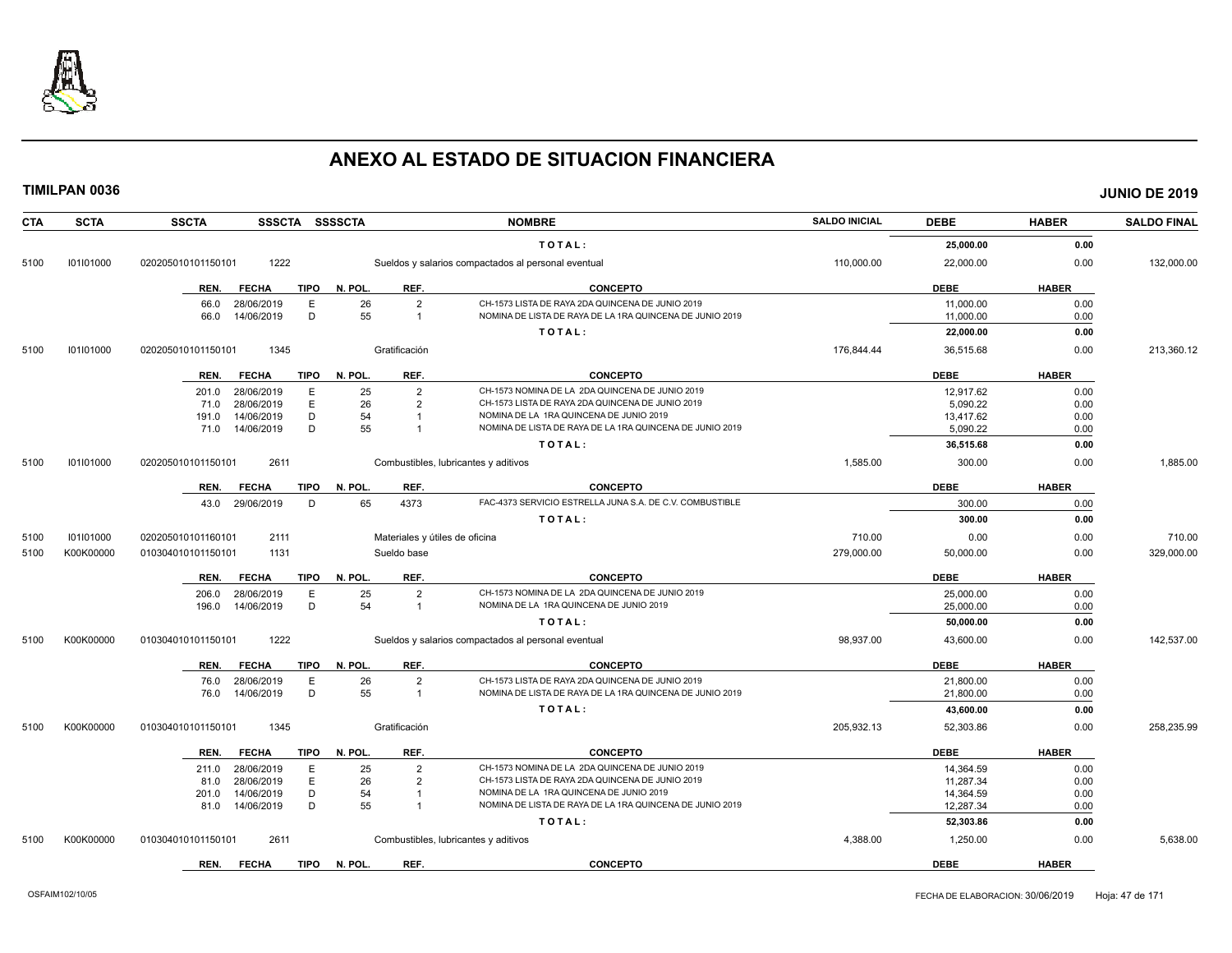

| <b>CTA</b> | <b>SCTA</b> | <b>SSCTA</b><br>SSSCTA SSSSCTA                 |                                              | <b>NOMBRE</b>                                            | <b>SALDO INICIAL</b> | <b>DEBE</b>            | <b>HABER</b> | <b>SALDO FINAL</b> |
|------------|-------------|------------------------------------------------|----------------------------------------------|----------------------------------------------------------|----------------------|------------------------|--------------|--------------------|
|            |             |                                                |                                              | TOTAL:                                                   |                      | 25,000.00              | 0.00         |                    |
| 5100       | 101101000   | 1222<br>020205010101150101                     |                                              | Sueldos y salarios compactados al personal eventual      | 110,000.00           | 22,000.00              | 0.00         | 132,000.00         |
|            |             | <b>TIPO</b><br><b>FECHA</b><br>REN.            | REF.<br>N. POL.                              | <b>CONCEPTO</b>                                          |                      | <b>DEBE</b>            | <b>HABER</b> |                    |
|            |             | E<br>66.0<br>28/06/2019                        | $\overline{2}$<br>26                         | CH-1573 LISTA DE RAYA 2DA QUINCENA DE JUNIO 2019         |                      | 11,000.00              | 0.00         |                    |
|            |             | D<br>14/06/2019<br>66.0                        | 55<br>$\overline{1}$                         | NOMINA DE LISTA DE RAYA DE LA 1RA QUINCENA DE JUNIO 2019 |                      | 11,000.00              | 0.00         |                    |
|            |             |                                                |                                              | TOTAL:                                                   |                      | 22,000.00              | 0.00         |                    |
| 5100       | 101101000   | 1345<br>020205010101150101                     | Gratificación                                |                                                          | 176,844.44           | 36,515.68              | 0.00         | 213,360.12         |
|            |             | FECHA<br>TIPO<br>REN.                          | REF.<br>N. POL.                              | <b>CONCEPTO</b>                                          |                      | <b>DEBE</b>            | <b>HABER</b> |                    |
|            |             | 28/06/2019<br>E<br>201.0                       | 25<br>$\overline{2}$                         | CH-1573 NOMINA DE LA 2DA QUINCENA DE JUNIO 2019          |                      | 12.917.62              | 0.00         |                    |
|            |             | E<br>28/06/2019<br>71.0                        | 26<br>$\overline{2}$                         | CH-1573 LISTA DE RAYA 2DA QUINCENA DE JUNIO 2019         |                      | 5,090.22               | 0.00         |                    |
|            |             | 14/06/2019<br>D<br>191.0                       | 54                                           | NOMINA DE LA 1RA QUINCENA DE JUNIO 2019                  |                      | 13,417.62              | 0.00         |                    |
|            |             | D<br>71.0 14/06/2019                           | 55                                           | NOMINA DE LISTA DE RAYA DE LA 1RA QUINCENA DE JUNIO 2019 |                      | 5,090.22               | 0.00         |                    |
|            |             |                                                |                                              | TOTAL:                                                   |                      | 36,515.68              | 0.00         |                    |
| 5100       | 101101000   | 2611<br>020205010101150101                     |                                              | Combustibles, lubricantes y aditivos                     | 1,585.00             | 300.00                 | 0.00         | 1,885.00           |
|            |             | <b>TIPO</b><br>REN.<br><b>FECHA</b>            | N. POL.<br>REF.                              | <b>CONCEPTO</b>                                          |                      | <b>DEBE</b>            | <b>HABER</b> |                    |
|            |             | 29/06/2019<br>D<br>43.0                        | 65<br>4373                                   | FAC-4373 SERVICIO ESTRELLA JUNA S.A. DE C.V. COMBUSTIBLE |                      | 300.00                 | 0.00         |                    |
|            |             |                                                |                                              | TOTAL:                                                   |                      | 300.00                 | 0.00         |                    |
| 5100       | 101101000   | 020205010101160101<br>2111                     | Materiales y útiles de oficina               |                                                          | 710.00               | 0.00                   | 0.00         | 710.00             |
| 5100       | K00K00000   | 1131<br>010304010101150101                     | Sueldo base                                  |                                                          | 279.000.00           | 50,000.00              | 0.00         | 329,000.00         |
|            |             | <b>TIPO</b><br>REN.<br><b>FECHA</b>            | N. POL.<br>REF.                              | <b>CONCEPTO</b>                                          |                      | <b>DEBE</b>            | <b>HABER</b> |                    |
|            |             | E<br>28/06/2019<br>206.0                       | 25<br>$\overline{2}$                         | CH-1573 NOMINA DE LA 2DA QUINCENA DE JUNIO 2019          |                      | 25,000.00              | 0.00         |                    |
|            |             | 14/06/2019<br>D<br>196.0                       | 54<br>$\overline{1}$                         | NOMINA DE LA 1RA QUINCENA DE JUNIO 2019                  |                      | 25,000.00              | 0.00         |                    |
|            |             |                                                |                                              | TOTAL:                                                   |                      | 50,000.00              | 0.00         |                    |
| 5100       | K00K00000   | 1222<br>010304010101150101                     |                                              | Sueldos y salarios compactados al personal eventual      | 98,937.00            | 43,600.00              | 0.00         | 142,537.00         |
|            |             | <b>FECHA</b><br><b>TIPO</b><br>REN.            | REF.<br>N. POL.                              | <b>CONCEPTO</b>                                          |                      | <b>DEBE</b>            | <b>HABER</b> |                    |
|            |             | Ε<br>28/06/2019<br>76.0                        | 26<br>$\overline{2}$                         | CH-1573 LISTA DE RAYA 2DA QUINCENA DE JUNIO 2019         |                      | 21,800.00              | 0.00         |                    |
|            |             | D<br>76.0<br>14/06/2019                        | 55<br>$\overline{1}$                         | NOMINA DE LISTA DE RAYA DE LA 1RA QUINCENA DE JUNIO 2019 |                      | 21,800.00              | 0.00         |                    |
|            |             |                                                |                                              | TOTAL:                                                   |                      | 43,600.00              | 0.00         |                    |
| 5100       | K00K00000   | 1345<br>010304010101150101                     | Gratificación                                |                                                          | 205,932.13           | 52,303.86              | 0.00         | 258,235.99         |
|            |             | <b>TIPO</b><br>REN.<br><b>FECHA</b>            | REF.<br>N. POL.                              | CONCEPTO                                                 |                      | <b>DEBE</b>            | <b>HABER</b> |                    |
|            |             |                                                |                                              | CH-1573 NOMINA DE LA 2DA QUINCENA DE JUNIO 2019          |                      |                        |              |                    |
|            |             | 28/06/2019<br>E<br>211.0<br>E                  | 25<br>$\overline{2}$<br>26<br>$\overline{2}$ | CH-1573 LISTA DE RAYA 2DA QUINCENA DE JUNIO 2019         |                      | 14,364.59              | 0.00         |                    |
|            |             | 28/06/2019<br>81.0<br>D                        | 54<br>$\overline{1}$                         | NOMINA DE LA 1RA QUINCENA DE JUNIO 2019                  |                      | 11,287.34              | 0.00         |                    |
|            |             | 14/06/2019<br>201.0<br>D<br>14/06/2019<br>81.0 | 55                                           | NOMINA DE LISTA DE RAYA DE LA 1RA QUINCENA DE JUNIO 2019 |                      | 14,364.59<br>12,287.34 | 0.00<br>0.00 |                    |
|            |             |                                                |                                              |                                                          |                      |                        |              |                    |
| 5100       | K00K00000   | 2611<br>010304010101150101                     |                                              | TOTAL:<br>Combustibles, lubricantes y aditivos           | 4,388.00             | 52,303.86<br>1,250.00  | 0.00<br>0.00 | 5,638.00           |
|            |             |                                                |                                              |                                                          |                      |                        |              |                    |
|            |             | REN.<br><b>FECHA</b><br><b>TIPO</b>            | N. POL.<br>REF.                              | <b>CONCEPTO</b>                                          |                      | <b>DEBE</b>            | <b>HABER</b> |                    |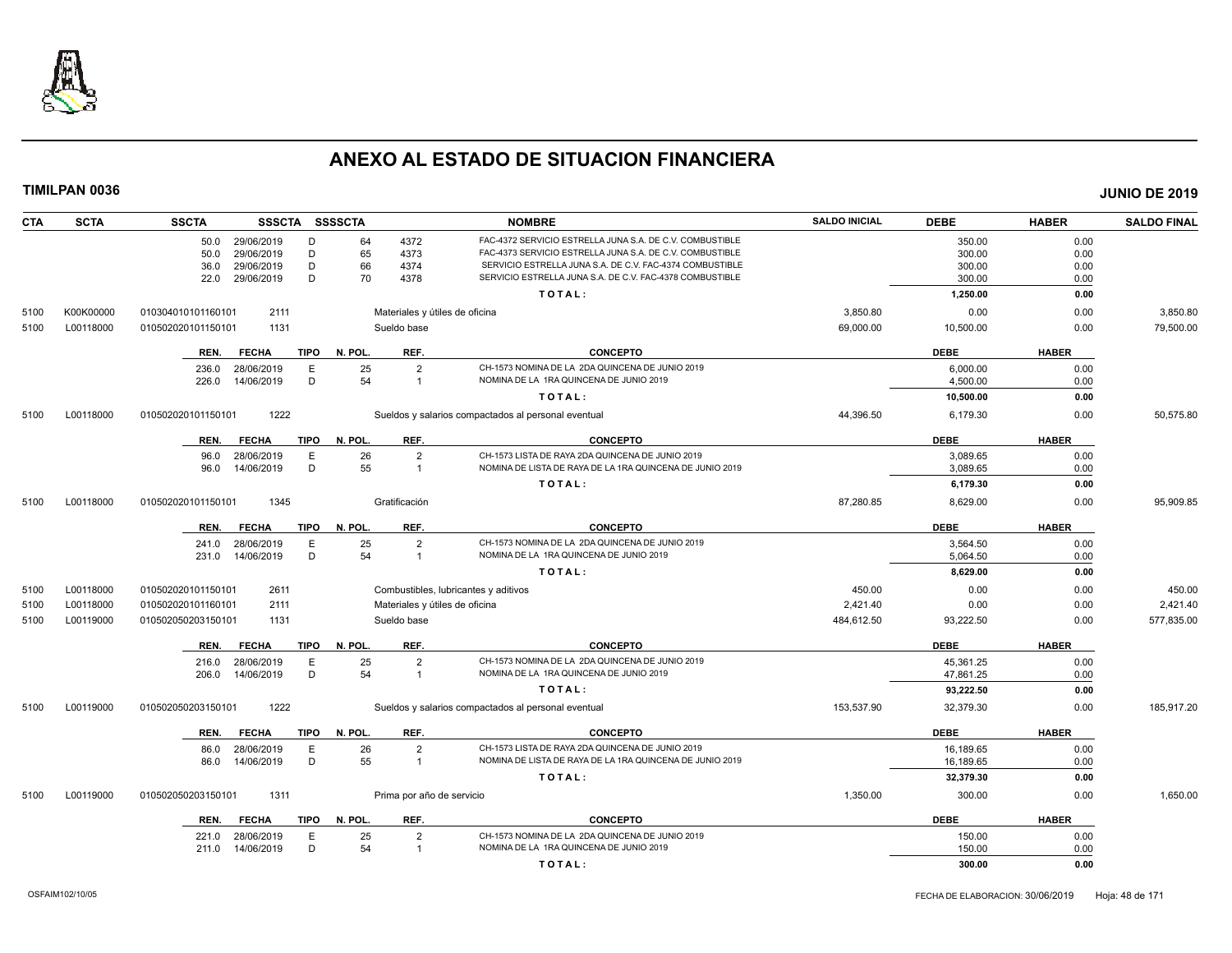

| <b>CTA</b> | <b>SCTA</b> | <b>SSCTA</b><br><b>SSSCTA</b>       | SSSSCTA                        | <b>NOMBRE</b>                                                                                                        | <b>SALDO INICIAL</b> | <b>DEBE</b>      | <b>HABER</b> | <b>SALDO FINAL</b> |
|------------|-------------|-------------------------------------|--------------------------------|----------------------------------------------------------------------------------------------------------------------|----------------------|------------------|--------------|--------------------|
|            |             | 29/06/2019<br>D<br>50.0             | 4372<br>64                     | FAC-4372 SERVICIO ESTRELLA JUNA S.A. DE C.V. COMBUSTIBLE                                                             |                      | 350.00           | 0.00         |                    |
|            |             | 29/06/2019<br>D<br>50.0             | 65<br>4373                     | FAC-4373 SERVICIO ESTRELLA JUNA S.A. DE C.V. COMBUSTIBLE                                                             |                      | 300.00           | 0.00         |                    |
|            |             | D<br>29/06/2019<br>36.0<br>D        | 66<br>4374<br>70<br>4378       | SERVICIO ESTRELLA JUNA S.A. DE C.V. FAC-4374 COMBUSTIBLE<br>SERVICIO ESTRELLA JUNA S.A. DE C.V. FAC-4378 COMBUSTIBLE |                      | 300.00<br>300.00 | 0.00         |                    |
|            |             | 29/06/2019<br>22.0                  |                                | TOTAL:                                                                                                               |                      | 1,250.00         | 0.00<br>0.00 |                    |
|            |             |                                     |                                |                                                                                                                      |                      |                  |              |                    |
| 5100       | K00K00000   | 2111<br>010304010101160101          | Materiales y útiles de oficina |                                                                                                                      | 3,850.80             | 0.00             | 0.00         | 3,850.80           |
| 5100       | L00118000   | 1131<br>010502020101150101          | Sueldo base                    |                                                                                                                      | 69,000.00            | 10,500.00        | 0.00         | 79,500.00          |
|            |             | <b>FECHA</b><br><b>TIPO</b><br>REN. | N. POL.<br>REF.                | <b>CONCEPTO</b>                                                                                                      |                      | <b>DEBE</b>      | <b>HABER</b> |                    |
|            |             | E<br>28/06/2019<br>236.0            | 25<br>$\overline{2}$           | CH-1573 NOMINA DE LA 2DA QUINCENA DE JUNIO 2019                                                                      |                      | 6,000.00         | 0.00         |                    |
|            |             | D<br>226.0<br>14/06/2019            | 54<br>$\overline{1}$           | NOMINA DE LA 1RA QUINCENA DE JUNIO 2019                                                                              |                      | 4.500.00         | 0.00         |                    |
|            |             |                                     |                                | TOTAL:                                                                                                               |                      | 10,500.00        | 0.00         |                    |
| 5100       | L00118000   | 1222<br>010502020101150101          |                                | Sueldos y salarios compactados al personal eventual                                                                  | 44,396.50            | 6,179.30         | 0.00         | 50,575.80          |
|            |             | <b>FECHA</b><br><b>TIPO</b><br>REN. | N. POL.<br>REF.                | <b>CONCEPTO</b>                                                                                                      |                      | <b>DEBE</b>      | <b>HABER</b> |                    |
|            |             | 28/06/2019<br>E<br>96.0             | 26<br>$\overline{2}$           | CH-1573 LISTA DE RAYA 2DA QUINCENA DE JUNIO 2019                                                                     |                      | 3,089.65         | 0.00         |                    |
|            |             | D<br>14/06/2019<br>96.0             | 55<br>$\overline{1}$           | NOMINA DE LISTA DE RAYA DE LA 1RA QUINCENA DE JUNIO 2019                                                             |                      | 3,089.65         | 0.00         |                    |
|            |             |                                     |                                | TOTAL:                                                                                                               |                      | 6,179.30         | 0.00         |                    |
| 5100       | L00118000   | 1345<br>010502020101150101          | Gratificación                  |                                                                                                                      | 87,280.85            | 8,629.00         | 0.00         | 95.909.85          |
|            |             | <b>FECHA</b><br>REN.<br><b>TIPO</b> | N. POL.<br>REF.                | <b>CONCEPTO</b>                                                                                                      |                      | <b>DEBE</b>      | <b>HABER</b> |                    |
|            |             | 28/06/2019<br>Ε                     | 25<br>$\overline{2}$           | CH-1573 NOMINA DE LA 2DA QUINCENA DE JUNIO 2019                                                                      |                      | 3,564.50         | 0.00         |                    |
|            |             | 241.0<br>D<br>14/06/2019<br>231.0   | 54<br>$\overline{1}$           | NOMINA DE LA 1RA QUINCENA DE JUNIO 2019                                                                              |                      | 5,064.50         | 0.00         |                    |
|            |             |                                     |                                | TOTAL:                                                                                                               |                      | 8,629.00         | 0.00         |                    |
| 5100       | L00118000   | 2611<br>010502020101150101          |                                | Combustibles, lubricantes y aditivos                                                                                 | 450.00               | 0.00             | 0.00         | 450.00             |
| 5100       | L00118000   | 2111<br>010502020101160101          | Materiales y útiles de oficina |                                                                                                                      | 2,421.40             | 0.00             | 0.00         | 2,421.40           |
| 5100       | L00119000   | 1131<br>010502050203150101          | Sueldo base                    |                                                                                                                      | 484,612.50           | 93,222.50        | 0.00         | 577,835.00         |
|            |             | <b>FECHA</b><br><b>TIPO</b><br>REN. | N. POL.<br>REF.                | <b>CONCEPTO</b>                                                                                                      |                      | <b>DEBE</b>      | <b>HABER</b> |                    |
|            |             | 28/06/2019<br>E<br>216.0            | 25<br>$\overline{2}$           | CH-1573 NOMINA DE LA 2DA QUINCENA DE JUNIO 2019                                                                      |                      | 45,361.25        | 0.00         |                    |
|            |             | D<br>14/06/2019<br>206.0            | 54<br>$\overline{1}$           | NOMINA DE LA 1RA QUINCENA DE JUNIO 2019                                                                              |                      | 47,861.25        | 0.00         |                    |
|            |             |                                     |                                | TOTAL:                                                                                                               |                      | 93,222.50        | 0.00         |                    |
| 5100       | L00119000   | 1222<br>010502050203150101          |                                | Sueldos y salarios compactados al personal eventual                                                                  | 153,537.90           | 32,379.30        | 0.00         | 185,917.20         |
|            |             | <b>FECHA</b><br><b>TIPO</b><br>REN. | N. POL.<br>REF.                | <b>CONCEPTO</b>                                                                                                      |                      | <b>DEBE</b>      | <b>HABER</b> |                    |
|            |             | E<br>28/06/2019<br>86.0             | 26<br>$\overline{2}$           | CH-1573 LISTA DE RAYA 2DA QUINCENA DE JUNIO 2019                                                                     |                      | 16,189.65        | 0.00         |                    |
|            |             | D<br>14/06/2019<br>86.0             | 55<br>$\overline{1}$           | NOMINA DE LISTA DE RAYA DE LA 1RA QUINCENA DE JUNIO 2019                                                             |                      | 16,189.65        | 0.00         |                    |
|            |             |                                     |                                | TOTAL:                                                                                                               |                      | 32,379.30        | 0.00         |                    |
| 5100       | L00119000   | 1311<br>010502050203150101          | Prima por año de servicio      |                                                                                                                      | 1,350.00             | 300.00           | 0.00         | 1,650.00           |
|            |             | <b>FECHA</b><br><b>TIPO</b><br>REN. | N. POL.<br>REF.                | <b>CONCEPTO</b>                                                                                                      |                      | <b>DEBE</b>      | <b>HABER</b> |                    |
|            |             | 28/06/2019<br>Ε<br>221.0            | 25<br>$\overline{2}$           | CH-1573 NOMINA DE LA 2DA QUINCENA DE JUNIO 2019                                                                      |                      | 150.00           | 0.00         |                    |
|            |             | D<br>14/06/2019<br>211.0            | 54<br>$\overline{1}$           | NOMINA DE LA 1RA QUINCENA DE JUNIO 2019                                                                              |                      | 150.00           | 0.00         |                    |
|            |             |                                     |                                | TOTAL:                                                                                                               |                      | 300.00           | 0.00         |                    |
|            |             |                                     |                                |                                                                                                                      |                      |                  |              |                    |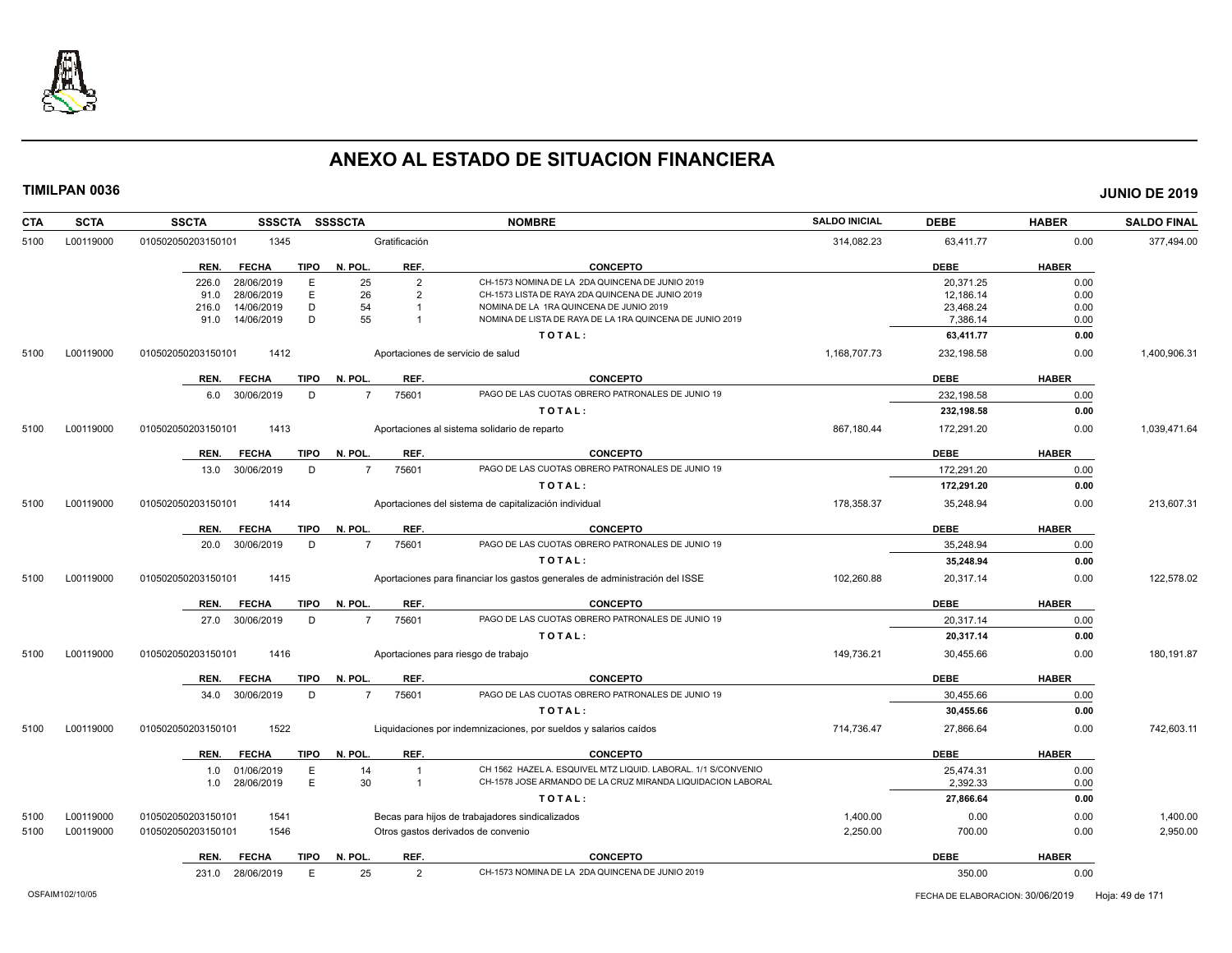

| <b>CTA</b> | <b>SCTA</b> | SSSCTA SSSSCTA<br><b>SSCTA</b>      |                         | <b>NOMBRE</b>                                                               | <b>SALDO INICIAL</b> | <b>DEBE</b> | <b>HABER</b> | <b>SALDO FINAL</b> |
|------------|-------------|-------------------------------------|-------------------------|-----------------------------------------------------------------------------|----------------------|-------------|--------------|--------------------|
| 5100       | L00119000   | 1345<br>010502050203150101          | Gratificación           |                                                                             | 314,082.23           | 63,411.77   | 0.00         | 377,494.00         |
|            |             | <b>TIPO</b><br>REN.<br><b>FECHA</b> | REF.<br>N. POL          | CONCEPTO                                                                    |                      | <b>DEBE</b> | <b>HABER</b> |                    |
|            |             | 28/06/2019<br>E<br>226.0            | 25<br>$\overline{2}$    | CH-1573 NOMINA DE LA 2DA QUINCENA DE JUNIO 2019                             |                      | 20.371.25   | 0.00         |                    |
|            |             | E<br>28/06/2019<br>91.0             | 26<br>$\overline{2}$    | CH-1573 LISTA DE RAYA 2DA QUINCENA DE JUNIO 2019                            |                      | 12,186.14   | 0.00         |                    |
|            |             | D<br>216.0<br>14/06/2019            | 54                      | NOMINA DE LA 1RA QUINCENA DE JUNIO 2019                                     |                      | 23,468.24   | 0.00         |                    |
|            |             | D<br>14/06/2019<br>91.0             | 55                      | NOMINA DE LISTA DE RAYA DE LA 1RA QUINCENA DE JUNIO 2019                    |                      | 7,386.14    | 0.00         |                    |
|            |             |                                     |                         | TOTAL:                                                                      |                      | 63,411.77   | 0.00         |                    |
| 5100       | L00119000   | 010502050203150101<br>1412          |                         | Aportaciones de servicio de salud                                           | 1,168,707.73         | 232,198.58  | 0.00         | 1,400,906.31       |
|            |             | <b>FECHA</b><br><b>TIPO</b><br>REN. | N. POL.<br>REF.         | <b>CONCEPTO</b>                                                             |                      | <b>DEBE</b> | <b>HABER</b> |                    |
|            |             | 30/06/2019<br>D<br>6.0              | 75601<br>$\overline{7}$ | PAGO DE LAS CUOTAS OBRERO PATRONALES DE JUNIO 19                            |                      | 232,198.58  | 0.00         |                    |
|            |             |                                     |                         | TOTAL:                                                                      |                      | 232,198.58  | 0.00         |                    |
| 5100       | L00119000   | 1413<br>010502050203150101          |                         | Aportaciones al sistema solidario de reparto                                | 867,180.44           | 172,291.20  | 0.00         | 1,039,471.64       |
|            |             | <b>TIPO</b><br>REN.<br><b>FECHA</b> | N. POL.<br>REF.         | <b>CONCEPTO</b>                                                             |                      | <b>DEBE</b> | <b>HABER</b> |                    |
|            |             | 30/06/2019<br>13.0<br>D             | 75601<br>$\overline{7}$ | PAGO DE LAS CUOTAS OBRERO PATRONALES DE JUNIO 19                            |                      | 172.291.20  | 0.00         |                    |
|            |             |                                     |                         | TOTAL:                                                                      |                      | 172,291.20  | 0.00         |                    |
| 5100       | L00119000   | 010502050203150101<br>1414          |                         | Aportaciones del sistema de capitalización individual                       | 178,358.37           | 35,248.94   | 0.00         | 213,607.31         |
|            |             | <b>TIPO</b><br>REN.<br><b>FECHA</b> | N. POL.<br>REF.         | <b>CONCEPTO</b>                                                             |                      | <b>DEBE</b> | <b>HABER</b> |                    |
|            |             | 30/06/2019<br>D<br>20.0             | 75601<br>$\overline{7}$ | PAGO DE LAS CUOTAS OBRERO PATRONALES DE JUNIO 19                            |                      | 35,248.94   | 0.00         |                    |
|            |             |                                     |                         | TOTAL:                                                                      |                      | 35,248.94   | 0.00         |                    |
| 5100       | L00119000   | 010502050203150101<br>1415          |                         | Aportaciones para financiar los gastos generales de administración del ISSE | 102,260.88           | 20,317.14   | 0.00         | 122,578.02         |
|            |             | <b>TIPO</b><br>REN.<br><b>FECHA</b> | REF.<br>N. POL          | <b>CONCEPTO</b>                                                             |                      | <b>DEBE</b> | <b>HABER</b> |                    |
|            |             | 27.0 30/06/2019<br>D                | 75601<br>$\overline{7}$ | PAGO DE LAS CUOTAS OBRERO PATRONALES DE JUNIO 19                            |                      | 20,317.14   | 0.00         |                    |
|            |             |                                     |                         |                                                                             |                      |             |              |                    |
|            |             |                                     |                         | TOTAL:                                                                      |                      | 20,317.14   | 0.00         |                    |
| 5100       | L00119000   | 010502050203150101<br>1416          |                         | Aportaciones para riesgo de trabajo                                         | 149,736.21           | 30,455.66   | 0.00         | 180,191.87         |
|            |             | REN.<br><b>FECHA</b><br><b>TIPO</b> | N. POL<br>REF.          | <b>CONCEPTO</b>                                                             |                      | <b>DEBE</b> | <b>HABER</b> |                    |
|            |             | D<br>30/06/2019<br>34.0             | 75601<br>$\overline{7}$ | PAGO DE LAS CUOTAS OBRERO PATRONALES DE JUNIO 19                            |                      | 30,455.66   | 0.00         |                    |
|            |             |                                     |                         | TOTAL:                                                                      |                      | 30,455.66   | 0.00         |                    |
| 5100       | L00119000   | 1522<br>010502050203150101          |                         | Liquidaciones por indemnizaciones, por sueldos y salarios caídos            | 714,736.47           | 27,866.64   | 0.00         | 742,603.11         |
|            |             | <b>TIPO</b><br>REN.<br><b>FECHA</b> | N. POL.<br>REF.         | <b>CONCEPTO</b>                                                             |                      | <b>DEBE</b> | <b>HABER</b> |                    |
|            |             | E<br>1.0 01/06/2019                 | 14                      | CH 1562 HAZEL A. ESQUIVEL MTZ LIQUID. LABORAL. 1/1 S/CONVENIO               |                      | 25,474.31   | 0.00         |                    |
|            |             | E<br>28/06/2019<br>1.0              | 30<br>$\overline{1}$    | CH-1578 JOSE ARMANDO DE LA CRUZ MIRANDA LIQUIDACION LABORAL                 |                      | 2,392.33    | 0.00         |                    |
|            |             |                                     |                         | TOTAL:                                                                      |                      | 27,866.64   | 0.00         |                    |
| 5100       | L00119000   | 010502050203150101<br>1541          |                         | Becas para hijos de trabajadores sindicalizados                             | 1,400.00             | 0.00        | 0.00         | 1,400.00           |
| 5100       | L00119000   | 010502050203150101<br>1546          |                         | Otros gastos derivados de convenio                                          | 2,250.00             | 700.00      | 0.00         | 2,950.00           |
|            |             | <b>TIPO</b><br>REN.<br><b>FECHA</b> | REF.<br>N. POL          | <b>CONCEPTO</b>                                                             |                      | <b>DEBE</b> | <b>HABER</b> |                    |
|            |             | 231.0 28/06/2019<br>E               | 25<br>$\overline{2}$    | CH-1573 NOMINA DE LA 2DA QUINCENA DE JUNIO 2019                             |                      | 350.00      | 0.00         |                    |
|            |             |                                     |                         |                                                                             |                      |             |              |                    |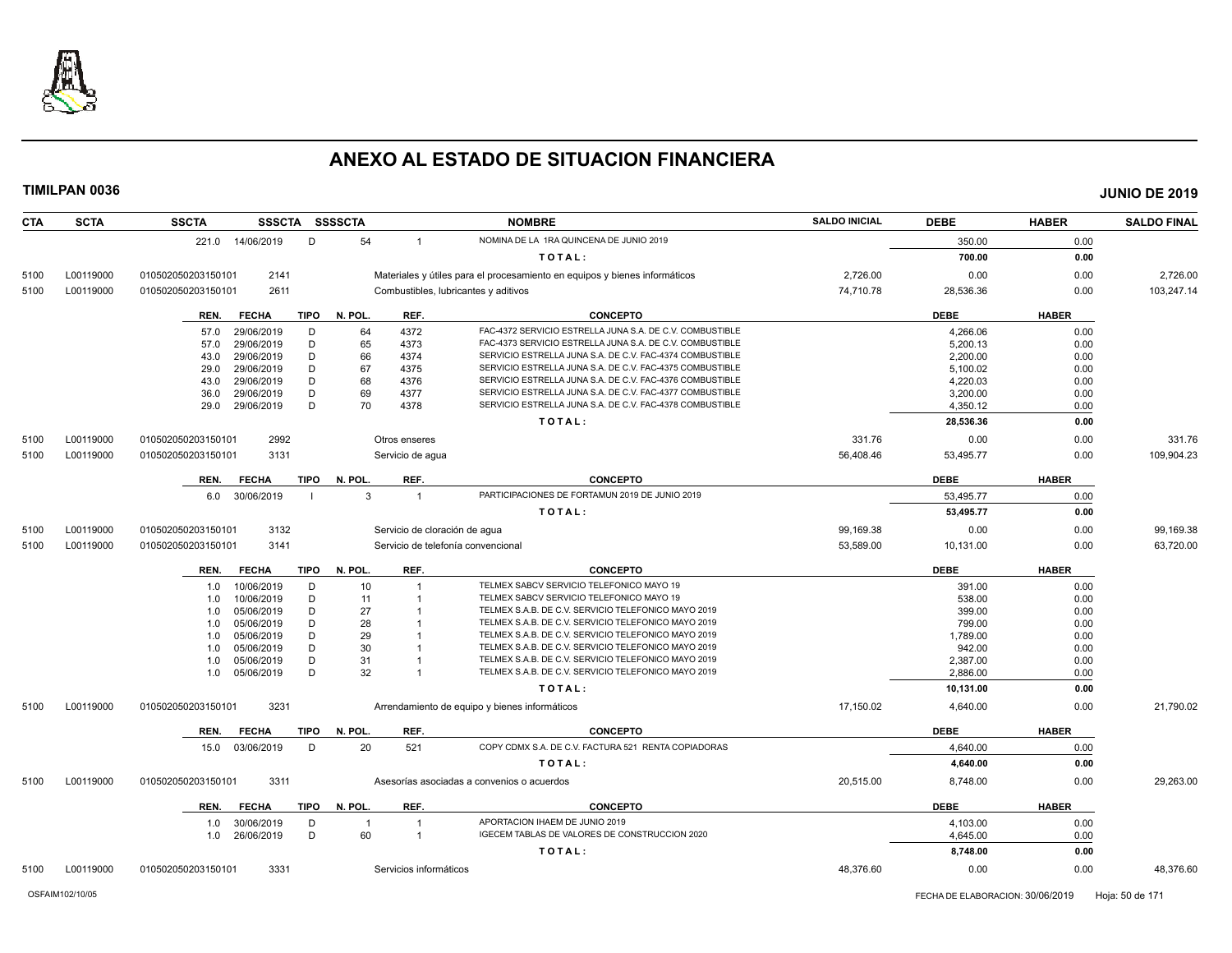

**CTA SCTA SSCTA SSSCTA SSSSCTA NOMBRE SALDO INICIAL DEBE HABER SALDO FINAL TIMILPAN 0036 JUNIO DE 2019** 221.0 14/06/2019 D 54 1 NOMINA DE LA 1RA QUINCENA DE JUNIO 2019 S50.00 350.00 0.00 **T O T A L : 700.00 0.00** 5100 L00119000 010502050203150101 2141 Materiales y útiles para el procesamiento en equipos y bienes informáticos 2,726.00 0.00 0.00 2,726.00 5100 L00119000 010502050203150101 2611 Combustibles, lubricantes y aditivos 74,710.78 28,536.36 0.00 103,247.14 **REN. FECHA TIPO N. POL. REF. CONCEPTO DEBE HABER** 57.0 29/06/2019 D 64 4372 FAC-4372 SERVICIO ESTRELLA JUNA S.A. DE C.V. COMBUSTIBLE<br>57.0 29/06/2019 D 65 4373 FAC-4373 SERVICIO ESTRELLA JUNA S.A. DE C.V. COMBUSTIBLE COMBUSTIBLE 5,200.13 5,200.13 57.0 29/06/2019 D 65 4373 FAC-4373 SERVICIO ESTRELLA JUNA S.A. DE C.V. COMBUSTIBLE 5,200.13 0.00 43.0 29/06/2019 D 66 4374 SERVICIO ESTRELLA JUNA S.A. DE C.V. FAC-4374 COMBUSTIBLE 2,200.00 0.00 29.0 29/06/2019 D 67 4375 SERVICIO ESTRELLA JUNA S.A. DE C.V. FAC-4375 COMBUSTIBLE 5,100.02 5,100.02 0.00 43.0 29/06/2019 D 68 4376 SERVICIO ESTRELLA JUNA S.A. DE C.V. FAC-4376 COMBUSTIBLE 4,220.03 4,220.03 0.00 36.0 29/06/2019 D 69 4377 SERVICIO ESTRELLA JUNA S.A. DE C.V. FAC-4377 COMBUSTIBLE 3,200.00 3,200.00 0.00 29.0 29/06/2019 D 70 4378 SERVICIO ESTRELLA JUNA S.A. DE C.V. FAC-4378 COMBUSTIBLE 4,350.12 4,350.12 0.00 **T O T A L : 28,536.36 0.00** 5100 L00119000 010502050203150101 2992 Otros enseres 331.76 0.00 0.00 331.76 5100 L00119000 010502050203150101 3131 Servicio de agua 56,408.46 53,495.77 0.00 109,904.23 **REN. FECHA TIPO N. POL. REF. CONCEPTO DEBE HABER** 6.0 30/06/2019 I 3 1 PARTICIPACIONES DE FORTAMUN 2019 DE JUNIO 2019 **53,495.77** 53,495.77 0.00 **T O T A L : 53,495.77 0.00** 5100 L00119000 010502050203150101 3132 Servicio de cloración de agua 99,169.38 0.00 99,169.38 5100 L00119000 010502050203150101 3141 Servicio de telefonía convencional 53,589.00 10,131.00 0.00 63,720.00 **REN. FECHA TIPO N. POL. REF. CONCEPTO DEBE HABER** 1.0 10/06/2019 D 10 1 TELMEX SABCV SERVICIO TELEFONICO MAYO 19 391.00 391.00 0.00 1.0 10/06/2019 D 11 1 TELMEX SABCV SERVICIO TELEFONICO MAYO 19<br>1.0 05/06/2019 D 27 1 TELMEX S.A.B. DE C.V. SERVICIO TELEFONICO MAYO 2019 1999.00 399.00 0.00 1.0 05/06/2019 D 27 1 TELMEX S.A.B. DE C.V. SERVICIO TELEFONICO MAYO 2019 399.00 399.00 0.00 1.0 05/06/2019 D 28 1 TELMEX S.A.B. DE C.V. SERVICIO TELEFONICO MAYO 2019<br>1.0 05/06/2019 D 29 1 TELMEX S.A.B. DE C.V. SERVICIO TELEFONICO MAYO 2019 1 1.789.00 1.789.00 0.00 1.0 05/06/2019 D 29 1 TELMEX S.A.B. DE C.V. SERVICIO TELEFONICO MAYO 2019 1,789.00 1.0 05/06/2019 D 30 1 TELMEX S.A.B. DE C.V. SERVICIO TELEFONICO MAYO 2019<br>1.0 05/06/2019 D 31 1 TELMEX S.A.B. DE C.V. SERVICIO TELEFONICO MAYO 2019 2.387.00 2.387.00 0.00 1.0 05/06/2019 D 31 1 TELMEX S.A.B. DE C.V. SERVICIO TELEFONICO MAYO 2019 25/37.00 2,387.00 0.00 1.0 05/06/2019 D 32 1 TELMEX S.A.B. DE C.V. SERVICIO TELEFONICO MAYO 2019 2,886.00 0.00 **T O T A L : 10,131.00 0.00** 5100 L00119000 010502050203150101 3231 Arrendamiento de equipo y bienes informáticos 17,150.02 4,640.00 0.00 21,790.02 **REN. FECHA TIPO N. POL. REF. CONCEPTO DEBE HABER** 15.0 03/06/2019 D 20 521 COPY CDMX S.A. DE C.V. FACTURA 521 RENTA COPIADORAS 4,640.00 4,640.00 0.00 **T O T A L : 4,640.00 0.00** 5100 L00119000 010502050203150101 3311 Asesorías asociadas a convenios o acuerdos 20,515.00 8,748.00 0.00 29,263.00 **REN. FECHA TIPO N. POL. REF. CONCEPTO DEBE HABER** 1.0 30/06/2019 D 1 1 APORTACION IHAEM DE JUNIO 2019 4,103.00 0.00 1.0 26/06/2019 D 60 1 IGECEM TABLAS DE VALORES DE CONSTRUCCION 2020 4,645.00 0.00 **T O T A L : 8,748.00 0.00**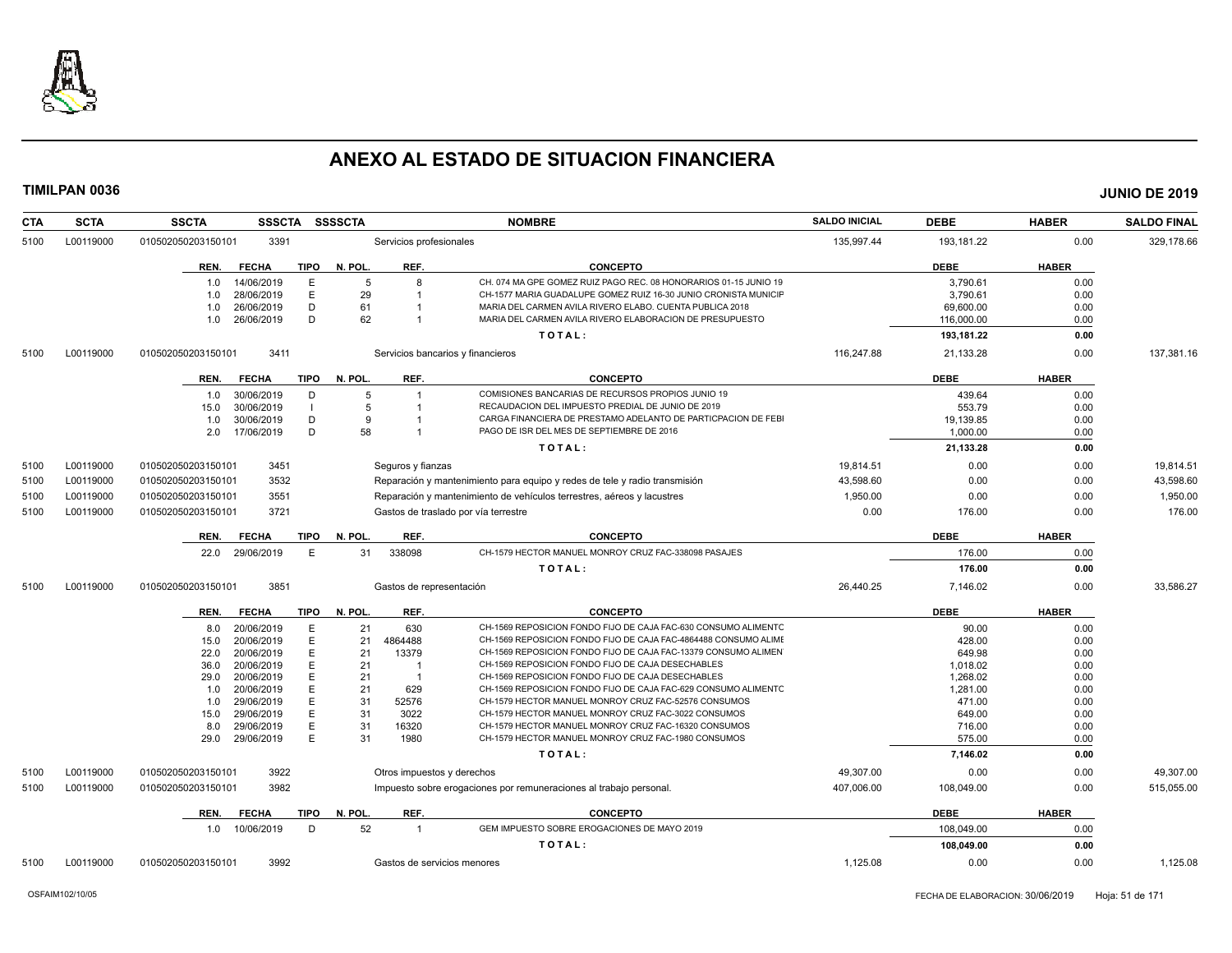

| CTA  | <b>SCTA</b>                                                                     | <b>SSCTA</b><br><b>SSSCTA</b>       | <b>SSSSCTA</b> |                            | <b>NOMBRE</b>                                                              | <b>SALDO INICIAL</b> | <b>DEBE</b> | <b>HABER</b> | <b>SALDO FINAL</b> |
|------|---------------------------------------------------------------------------------|-------------------------------------|----------------|----------------------------|----------------------------------------------------------------------------|----------------------|-------------|--------------|--------------------|
| 5100 | L00119000                                                                       | 010502050203150101<br>3391          |                | Servicios profesionales    |                                                                            | 135,997.44           | 193,181.22  | 0.00         | 329,178.66         |
|      |                                                                                 | <b>FECHA</b><br>TIPO<br>REN.        | N. POL.        | REF.                       | <b>CONCEPTO</b>                                                            |                      | <b>DEBE</b> | <b>HABER</b> |                    |
|      |                                                                                 | 14/06/2019<br>E<br>1.0              | 5              | 8                          | CH. 074 MA GPE GOMEZ RUIZ PAGO REC. 08 HONORARIOS 01-15 JUNIO 19           |                      | 3.790.61    | 0.00         |                    |
|      |                                                                                 | 28/06/2019<br>E<br>1.0              | 29             |                            | CH-1577 MARIA GUADALUPE GOMEZ RUIZ 16-30 JUNIO CRONISTA MUNICIF            |                      | 3,790.61    | 0.00         |                    |
|      |                                                                                 | D<br>1.0<br>26/06/2019              | 61             |                            | MARIA DEL CARMEN AVILA RIVERO ELABO. CUENTA PUBLICA 2018                   |                      | 69,600.00   | 0.00         |                    |
|      |                                                                                 | D<br>26/06/2019<br>1.0              | 62             |                            | MARIA DEL CARMEN AVILA RIVERO ELABORACION DE PRESUPUESTO                   |                      | 116,000.00  | 0.00         |                    |
|      |                                                                                 |                                     |                |                            | TOTAL:                                                                     |                      | 193,181.22  | 0.00         |                    |
| 5100 | L00119000                                                                       | 010502050203150101<br>3411          |                |                            | Servicios bancarios y financieros                                          | 116,247.88           | 21,133.28   | 0.00         | 137,381.16         |
|      |                                                                                 | <b>FECHA</b><br>TIPO<br>REN.        | N. POL.        | REF.                       | <b>CONCEPTO</b>                                                            |                      | <b>DEBE</b> | <b>HABER</b> |                    |
|      |                                                                                 | 30/06/2019<br>D<br>1.0              | 5              | $\mathbf{1}$               | COMISIONES BANCARIAS DE RECURSOS PROPIOS JUNIO 19                          |                      | 439.64      | 0.00         |                    |
|      |                                                                                 | 30/06/2019<br>15.0                  | 5              | -1                         | RECAUDACION DEL IMPUESTO PREDIAL DE JUNIO DE 2019                          |                      | 553.79      | 0.00         |                    |
|      |                                                                                 | 30/06/2019<br>D<br>1.0              | 9              |                            | CARGA FINANCIERA DE PRESTAMO ADELANTO DE PARTICPACION DE FEBI              |                      | 19,139.85   | 0.00         |                    |
|      |                                                                                 | D<br>17/06/2019<br>2.0              | 58             |                            | PAGO DE ISR DEL MES DE SEPTIEMBRE DE 2016                                  |                      | 1,000.00    | 0.00         |                    |
|      |                                                                                 |                                     |                |                            | TOTAL:                                                                     |                      | 21,133.28   | 0.00         |                    |
| 5100 | L00119000                                                                       | 3451<br>010502050203150101          |                | Seguros y fianzas          |                                                                            | 19,814.51            | 0.00        | 0.00         | 19,814.51          |
| 5100 | L00119000                                                                       | 3532<br>010502050203150101          |                |                            | Reparación y mantenimiento para equipo y redes de tele y radio transmisión | 43.598.60            | 0.00        | 0.00         | 43,598.60          |
| 5100 | L00119000                                                                       | 010502050203150101<br>3551          |                |                            | Reparación y mantenimiento de vehículos terrestres, aéreos y lacustres     | 1,950.00             | 0.00        | 0.00         | 1,950.00           |
| 5100 | L00119000<br>010502050203150101<br>3721<br>Gastos de traslado por vía terrestre |                                     |                |                            | 0.00                                                                       | 176.00               | 0.00        | 176.00       |                    |
|      |                                                                                 | <b>TIPO</b><br>REN.<br><b>FECHA</b> | N. POL.        | REF.                       | <b>CONCEPTO</b>                                                            |                      | <b>DEBE</b> | <b>HABER</b> |                    |
|      |                                                                                 | 29/06/2019<br>E<br>22.0             | 31             | 338098                     | CH-1579 HECTOR MANUEL MONROY CRUZ FAC-338098 PASAJES                       |                      | 176.00      | 0.00         |                    |
|      |                                                                                 |                                     |                |                            | TOTAL:                                                                     |                      | 176.00      | 0.00         |                    |
| 5100 | L00119000                                                                       | 3851<br>010502050203150101          |                | Gastos de representación   |                                                                            | 26.440.25            | 7.146.02    | 0.00         | 33.586.27          |
|      |                                                                                 | <b>FECHA</b><br><b>TIPO</b><br>REN. | N. POL.        | REF.                       | <b>CONCEPTO</b>                                                            |                      | <b>DEBE</b> | <b>HABER</b> |                    |
|      |                                                                                 | 20/06/2019<br>E<br>8.0              | 21             | 630                        | CH-1569 REPOSICION FONDO FIJO DE CAJA FAC-630 CONSUMO ALIMENTO             |                      | 90.00       | 0.00         |                    |
|      |                                                                                 | 20/06/2019<br>E<br>15.0             | 21             | 4864488                    | CH-1569 REPOSICION FONDO FIJO DE CAJA FAC-4864488 CONSUMO ALIME            |                      | 428.00      | 0.00         |                    |
|      |                                                                                 | E<br>22.0<br>20/06/2019             | 21             | 13379                      | CH-1569 REPOSICION FONDO FIJO DE CAJA FAC-13379 CONSUMO ALIMEN             |                      | 649.98      | 0.00         |                    |
|      |                                                                                 | 36.0<br>20/06/2019<br>E             | 21             | $\overline{\mathbf{1}}$    | CH-1569 REPOSICION FONDO FIJO DE CAJA DESECHABLES                          |                      | 1.018.02    | 0.00         |                    |
|      |                                                                                 | E<br>29.0<br>20/06/2019             | 21             | -1                         | CH-1569 REPOSICION FONDO FIJO DE CAJA DESECHABLES                          |                      | 1,268.02    | 0.00         |                    |
|      |                                                                                 | 20/06/2019<br>E<br>1.0              | 21             | 629                        | CH-1569 REPOSICION FONDO FIJO DE CAJA FAC-629 CONSUMO ALIMENTC             |                      | 1,281.00    | 0.00         |                    |
|      |                                                                                 | 29/06/2019<br>E<br>1.0              | 31             | 52576                      | CH-1579 HECTOR MANUEL MONROY CRUZ FAC-52576 CONSUMOS                       |                      | 471.00      | 0.00         |                    |
|      |                                                                                 | E<br>29/06/2019<br>15.0             | 31             | 3022                       | CH-1579 HECTOR MANUEL MONROY CRUZ FAC-3022 CONSUMOS                        |                      | 649.00      | 0.00         |                    |
|      |                                                                                 | 29/06/2019<br>Е<br>8.0              | 31             | 16320                      | CH-1579 HECTOR MANUEL MONROY CRUZ FAC-16320 CONSUMOS                       |                      | 716.00      | 0.00         |                    |
|      |                                                                                 | E<br>29.0<br>29/06/2019             | 31             | 1980                       | CH-1579 HECTOR MANUEL MONROY CRUZ FAC-1980 CONSUMOS                        |                      | 575.00      | 0.00         |                    |
|      |                                                                                 |                                     |                |                            | TOTAL:                                                                     |                      | 7,146.02    | 0.00         |                    |
| 5100 | L00119000                                                                       | 010502050203150101<br>3922          |                | Otros impuestos y derechos |                                                                            | 49.307.00            | 0.00        | 0.00         | 49.307.00          |
| 5100 | L00119000                                                                       | 3982<br>010502050203150101          |                |                            | Impuesto sobre erogaciones por remuneraciones al trabajo personal.         | 407.006.00           | 108,049.00  | 0.00         | 515,055.00         |
|      |                                                                                 | <b>FECHA</b><br><b>TIPO</b><br>REN. | N. POL.        | REF.                       | <b>CONCEPTO</b>                                                            |                      | <b>DEBE</b> | <b>HABER</b> |                    |
|      |                                                                                 | 1.0 10/06/2019<br>D                 | 52             | $\overline{1}$             | GEM IMPUESTO SOBRE EROGACIONES DE MAYO 2019                                |                      | 108.049.00  | 0.00         |                    |
|      |                                                                                 |                                     |                |                            | TOTAL:                                                                     |                      | 108,049.00  | 0.00         |                    |
| 5100 | L00119000                                                                       | 3992<br>010502050203150101          |                |                            | Gastos de servicios menores                                                | 1,125.08             | 0.00        | 0.00         | 1,125.08           |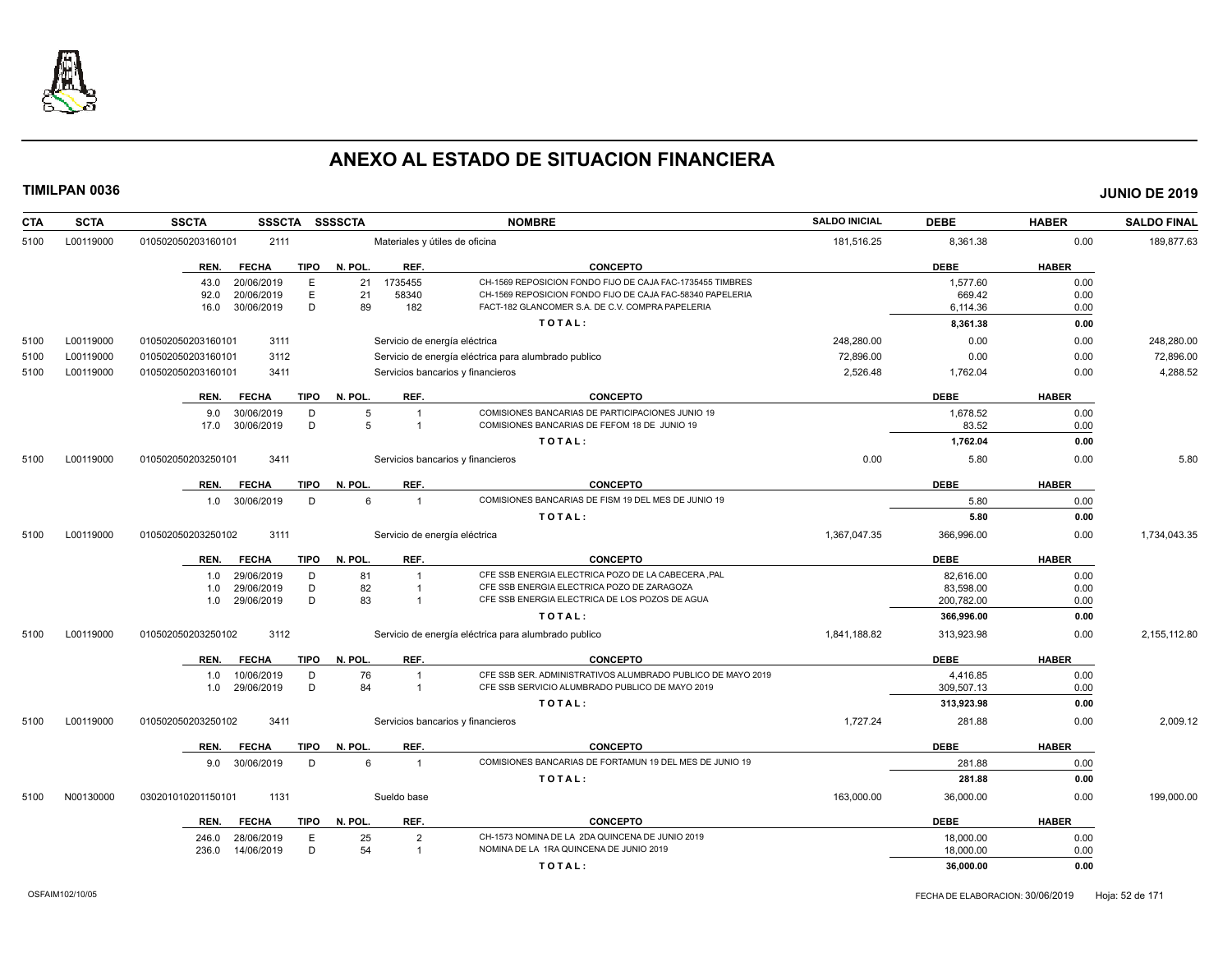

| <b>CTA</b><br><b>SCTA</b> | <b>SSCTA</b>       |                | <b>SSSCTA</b> | <b>SSSSCTA</b> |                         | <b>NOMBRE</b>                                                                                                 | <b>SALDO INICIAL</b> | <b>DEBE</b>        | <b>HABER</b> | <b>SALDO FINAL</b> |
|---------------------------|--------------------|----------------|---------------|----------------|-------------------------|---------------------------------------------------------------------------------------------------------------|----------------------|--------------------|--------------|--------------------|
| L00119000<br>5100         | 010502050203160101 | 2111           |               |                |                         | Materiales y útiles de oficina                                                                                | 181,516.25           | 8,361.38           | 0.00         | 189,877.63         |
|                           | REN.               | <b>FECHA</b>   | <b>TIPO</b>   | N. POL.        | REF.                    | <b>CONCEPTO</b>                                                                                               |                      | <b>DEBE</b>        | <b>HABER</b> |                    |
|                           | 43.0               | 20/06/2019     | Ε             | 21             | 1735455                 | CH-1569 REPOSICION FONDO FIJO DE CAJA FAC-1735455 TIMBRES                                                     |                      | 1,577.60           | 0.00         |                    |
|                           | 92.0               | 20/06/2019     | Ε<br>D        | 21<br>89       | 58340<br>182            | CH-1569 REPOSICION FONDO FIJO DE CAJA FAC-58340 PAPELERIA<br>FACT-182 GLANCOMER S.A. DE C.V. COMPRA PAPELERIA |                      | 669.42<br>6,114.36 | 0.00         |                    |
|                           | 16.0               | 30/06/2019     |               |                |                         | TOTAL:                                                                                                        |                      | 8,361.38           | 0.00<br>0.00 |                    |
|                           |                    |                |               |                |                         |                                                                                                               |                      |                    |              |                    |
| L00119000<br>5100         | 010502050203160101 | 3111           |               |                |                         | Servicio de energía eléctrica                                                                                 | 248.280.00           | 0.00               | 0.00         | 248,280.00         |
| L00119000<br>5100         | 010502050203160101 | 3112           |               |                |                         | Servicio de energía eléctrica para alumbrado publico                                                          | 72,896.00            | 0.00               | 0.00         | 72,896.00          |
| L00119000<br>5100         | 010502050203160101 | 3411           |               |                |                         | Servicios bancarios y financieros                                                                             | 2,526.48             | 1,762.04           | 0.00         | 4,288.52           |
|                           | REN.               | <b>FECHA</b>   | TIPO          | N. POL.        | REF.                    | <b>CONCEPTO</b>                                                                                               |                      | <b>DEBE</b>        | <b>HABER</b> |                    |
|                           | 9.0                | 30/06/2019     | D             | 5              | $\overline{1}$          | COMISIONES BANCARIAS DE PARTICIPACIONES JUNIO 19                                                              |                      | 1,678.52           | 0.00         |                    |
|                           | 17.0               | 30/06/2019     | D             | 5              | $\overline{1}$          | COMISIONES BANCARIAS DE FEFOM 18 DE JUNIO 19                                                                  |                      | 83.52              | 0.00         |                    |
|                           |                    |                |               |                |                         | TOTAL:                                                                                                        |                      | 1,762.04           | 0.00         |                    |
| 5100<br>L00119000         | 010502050203250101 | 3411           |               |                |                         | Servicios bancarios y financieros                                                                             | 0.00                 | 5.80               | 0.00         | 5.80               |
|                           | REN.               | <b>FECHA</b>   | <b>TIPO</b>   | N. POL.        | REF.                    | <b>CONCEPTO</b>                                                                                               |                      | <b>DEBE</b>        | <b>HABER</b> |                    |
|                           |                    | 1.0 30/06/2019 | D             | 6              | $\overline{1}$          | COMISIONES BANCARIAS DE FISM 19 DEL MES DE JUNIO 19                                                           |                      | 5.80               | 0.00         |                    |
|                           |                    |                |               |                |                         | TOTAL:                                                                                                        |                      | 5.80               | 0.00         |                    |
| L00119000<br>5100         | 010502050203250102 | 3111           |               |                |                         | Servicio de energía eléctrica                                                                                 | 1,367,047.35         | 366,996.00         | 0.00         | 1,734,043.35       |
|                           | REN.               | <b>FECHA</b>   | <b>TIPO</b>   | N. POL.        | REF.                    | <b>CONCEPTO</b>                                                                                               |                      | <b>DEBE</b>        | <b>HABER</b> |                    |
|                           | 1.0                | 29/06/2019     | D             | 81             | $\overline{1}$          | CFE SSB ENERGIA ELECTRICA POZO DE LA CABECERA ,PAL                                                            |                      | 82,616.00          | 0.00         |                    |
|                           | 1.0                | 29/06/2019     | D             | 82             | $\overline{1}$          | CFE SSB ENERGIA ELECTRICA POZO DE ZARAGOZA                                                                    |                      | 83,598.00          | 0.00         |                    |
|                           | 1.0                | 29/06/2019     | D             | 83             | $\overline{1}$          | CFE SSB ENERGIA ELECTRICA DE LOS POZOS DE AGUA                                                                |                      | 200,782.00         | 0.00         |                    |
|                           |                    |                |               |                |                         | TOTAL:                                                                                                        |                      | 366,996.00         | 0.00         |                    |
| 5100<br>L00119000         | 010502050203250102 | 3112           |               |                |                         | Servicio de energía eléctrica para alumbrado publico                                                          | 1,841,188.82         | 313,923.98         | 0.00         | 2,155,112.80       |
|                           | REN.               | <b>FECHA</b>   | <b>TIPO</b>   | N. POL.        | REF.                    | <b>CONCEPTO</b>                                                                                               |                      | <b>DEBE</b>        | <b>HABER</b> |                    |
|                           | 1.0                | 10/06/2019     | D             | 76             | $\overline{1}$          | CFE SSB SER. ADMINISTRATIVOS ALUMBRADO PUBLICO DE MAYO 2019                                                   |                      | 4,416.85           | 0.00         |                    |
|                           | 1.0                | 29/06/2019     | D             | 84             | $\overline{\mathbf{1}}$ | CFE SSB SERVICIO ALUMBRADO PUBLICO DE MAYO 2019                                                               |                      | 309,507.13         | 0.00         |                    |
|                           |                    |                |               |                |                         | TOTAL:                                                                                                        |                      | 313,923.98         | 0.00         |                    |
| 5100<br>L00119000         | 010502050203250102 | 3411           |               |                |                         | Servicios bancarios y financieros                                                                             | 1,727.24             | 281.88             | 0.00         | 2,009.12           |
|                           | REN.               | <b>FECHA</b>   | <b>TIPO</b>   | N. POL.        | REF.                    | <b>CONCEPTO</b>                                                                                               |                      | <b>DEBE</b>        | <b>HABER</b> |                    |
|                           |                    | 9.0 30/06/2019 | D             | 6              | $\overline{1}$          | COMISIONES BANCARIAS DE FORTAMUN 19 DEL MES DE JUNIO 19                                                       |                      | 281.88             | 0.00         |                    |
|                           |                    |                |               |                |                         | TOTAL:                                                                                                        |                      | 281.88             | 0.00         |                    |
| N00130000<br>5100         | 030201010201150101 | 1131           |               |                | Sueldo base             |                                                                                                               | 163,000.00           | 36,000.00          | 0.00         | 199,000.00         |
|                           | REN.               | <b>FECHA</b>   | TIPO          | N. POL.        | REF.                    | <b>CONCEPTO</b>                                                                                               |                      | <b>DEBE</b>        | <b>HABER</b> |                    |
|                           | 246.0              | 28/06/2019     | E             | 25             | $\overline{2}$          | CH-1573 NOMINA DE LA 2DA QUINCENA DE JUNIO 2019                                                               |                      | 18.000.00          | 0.00         |                    |
|                           | 236.0              | 14/06/2019     | D             | 54             | $\overline{1}$          | NOMINA DE LA 1RA QUINCENA DE JUNIO 2019                                                                       |                      | 18,000.00          | 0.00         |                    |
|                           |                    |                |               |                |                         | TOTAL:                                                                                                        |                      | 36,000.00          | 0.00         |                    |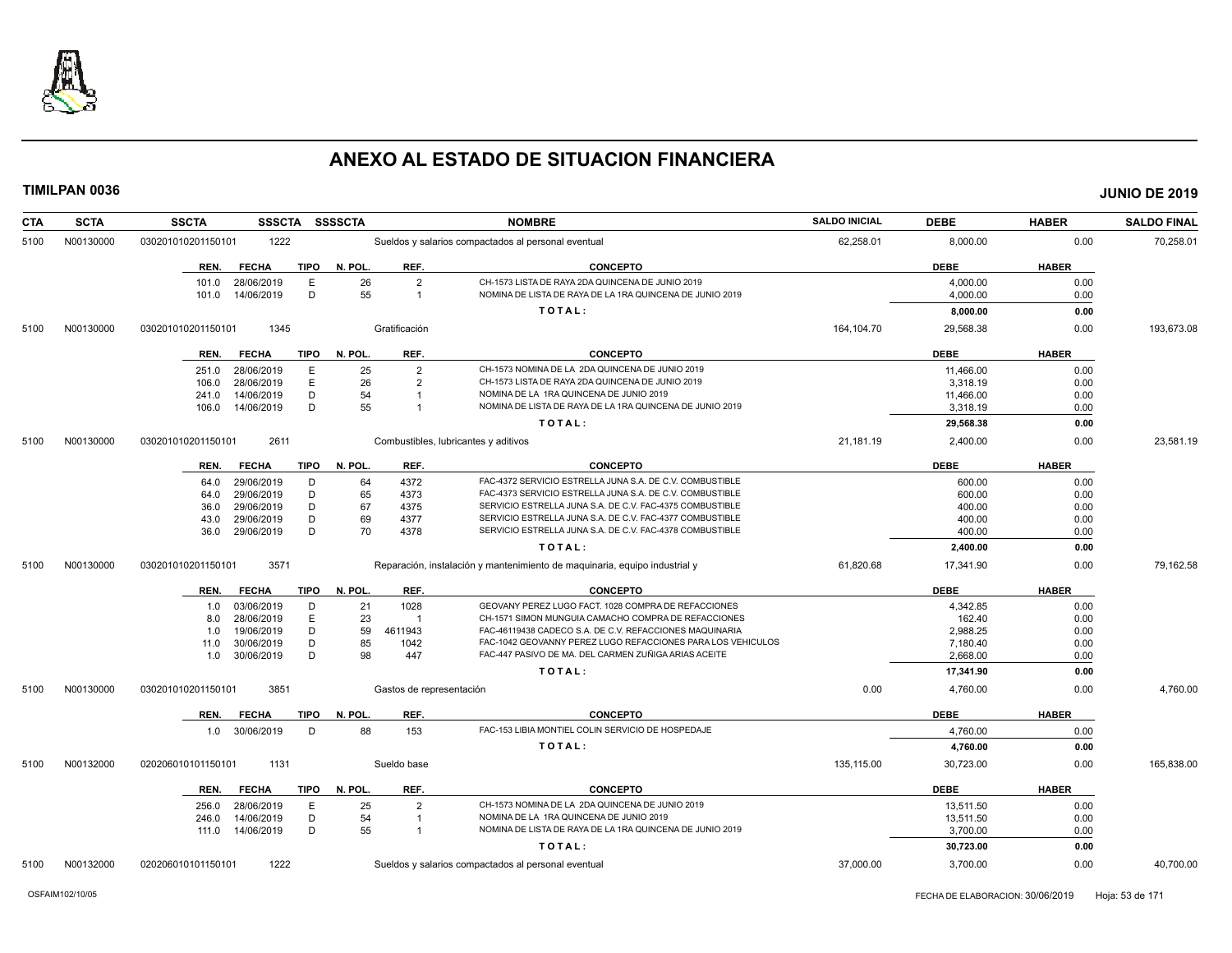

| CTA  | <b>SCTA</b> | <b>SSCTA</b><br>SSSCTA                               | <b>SSSSCTA</b>                               | <b>NOMBRE</b>                                                                                                | <b>SALDO INICIAL</b> | <b>DEBE</b>          | <b>HABER</b> | <b>SALDO FINAL</b> |
|------|-------------|------------------------------------------------------|----------------------------------------------|--------------------------------------------------------------------------------------------------------------|----------------------|----------------------|--------------|--------------------|
| 5100 | N00130000   | 1222<br>030201010201150101                           |                                              | Sueldos y salarios compactados al personal eventual                                                          | 62,258.01            | 8,000.00             | 0.00         | 70,258.01          |
|      |             | <b>TIPO</b><br>REN.<br><b>FECHA</b>                  | N. POL.<br>REF.                              | <b>CONCEPTO</b>                                                                                              |                      | <b>DEBE</b>          | <b>HABER</b> |                    |
|      |             | 28/06/2019<br>Е<br>101.0<br>D<br>14/06/2019<br>101.0 | 26<br>$\overline{2}$<br>55<br>$\overline{1}$ | CH-1573 LISTA DE RAYA 2DA QUINCENA DE JUNIO 2019<br>NOMINA DE LISTA DE RAYA DE LA 1RA QUINCENA DE JUNIO 2019 |                      | 4,000.00<br>4,000.00 | 0.00<br>0.00 |                    |
|      |             |                                                      |                                              | TOTAL:                                                                                                       |                      | 8,000.00             | 0.00         |                    |
| 5100 | N00130000   | 1345<br>030201010201150101                           | Gratificación                                |                                                                                                              | 164,104.70           | 29,568.38            | 0.00         | 193,673.08         |
|      |             | <b>FECHA</b><br><b>TIPO</b><br>REN.                  | N. POL<br>REF.                               | <b>CONCEPTO</b>                                                                                              |                      | <b>DEBE</b>          | <b>HABER</b> |                    |
|      |             | E<br>28/06/2019<br>251.0                             | $\overline{2}$<br>25                         | CH-1573 NOMINA DE LA 2DA QUINCENA DE JUNIO 2019                                                              |                      | 11.466.00            | 0.00         |                    |
|      |             | E<br>28/06/2019<br>106.0                             | 26<br>$\overline{2}$                         | CH-1573 LISTA DE RAYA 2DA QUINCENA DE JUNIO 2019                                                             |                      | 3,318.19             | 0.00         |                    |
|      |             | 14/06/2019<br>D<br>241.0                             | 54                                           | NOMINA DE LA 1RA QUINCENA DE JUNIO 2019                                                                      |                      | 11,466.00            | 0.00         |                    |
|      |             | D<br>14/06/2019<br>106.0                             | 55<br>$\overline{1}$                         | NOMINA DE LISTA DE RAYA DE LA 1RA QUINCENA DE JUNIO 2019                                                     |                      | 3,318.19             | 0.00         |                    |
|      |             |                                                      |                                              | TOTAL:                                                                                                       |                      | 29,568.38            | 0.00         |                    |
| 5100 | N00130000   | 2611<br>030201010201150101                           |                                              | Combustibles, lubricantes y aditivos                                                                         | 21,181.19            | 2,400.00             | 0.00         | 23,581.19          |
|      |             | <b>FECHA</b><br>TIPO<br>REN.                         | REF.<br>N. POL.                              | <b>CONCEPTO</b>                                                                                              |                      | <b>DEBE</b>          | <b>HABER</b> |                    |
|      |             | 29/06/2019<br>D<br>64.0                              | 4372<br>64                                   | FAC-4372 SERVICIO ESTRELLA JUNA S.A. DE C.V. COMBUSTIBLE                                                     |                      | 600.00               | 0.00         |                    |
|      |             | D<br>29/06/2019<br>64.0                              | 65<br>4373                                   | FAC-4373 SERVICIO ESTRELLA JUNA S.A. DE C.V. COMBUSTIBLE                                                     |                      | 600.00               | 0.00         |                    |
|      |             | D<br>29/06/2019<br>36.0                              | 67<br>4375                                   | SERVICIO ESTRELLA JUNA S.A. DE C.V. FAC-4375 COMBUSTIBLE                                                     |                      | 400.00               | 0.00         |                    |
|      |             | 29/06/2019<br>D<br>43.0                              | 69<br>4377                                   | SERVICIO ESTRELLA JUNA S.A. DE C.V. FAC-4377 COMBUSTIBLE                                                     |                      | 400.00               | 0.00         |                    |
|      |             | D<br>29/06/2019<br>36.0                              | 70<br>4378                                   | SERVICIO ESTRELLA JUNA S.A. DE C.V. FAC-4378 COMBUSTIBLE                                                     |                      | 400.00               | 0.00         |                    |
|      |             |                                                      |                                              | TOTAL:                                                                                                       |                      | 2,400.00             | 0.00         |                    |
| 5100 | N00130000   | 3571<br>030201010201150101                           |                                              | Reparación, instalación y mantenimiento de maquinaria, equipo industrial y                                   | 61,820.68            | 17,341.90            | 0.00         | 79,162.58          |
|      |             | <b>FECHA</b><br>TIPO<br>REN.                         | N. POL.<br>REF.                              | <b>CONCEPTO</b>                                                                                              |                      | <b>DEBE</b>          | <b>HABER</b> |                    |
|      |             | 03/06/2019<br>D<br>1.0                               | 1028<br>21                                   | GEOVANY PEREZ LUGO FACT. 1028 COMPRA DE REFACCIONES                                                          |                      | 4,342.85             | 0.00         |                    |
|      |             | E<br>28/06/2019<br>8.0                               | 23<br>$\overline{\mathbf{1}}$                | CH-1571 SIMON MUNGUIA CAMACHO COMPRA DE REFACCIONES                                                          |                      | 162.40               | 0.00         |                    |
|      |             | D<br>19/06/2019<br>1.0                               | 59<br>4611943                                | FAC-46119438 CADECO S.A. DE C.V. REFACCIONES MAQUINARIA                                                      |                      | 2,988.25             | 0.00         |                    |
|      |             | 30/06/2019<br>D<br>11.0                              | 85<br>1042                                   | FAC-1042 GEOVANNY PEREZ LUGO REFACCIONES PARA LOS VEHICULOS                                                  |                      | 7.180.40             | 0.00         |                    |
|      |             | D<br>1.0 30/06/2019                                  | 98<br>447                                    | FAC-447 PASIVO DE MA. DEL CARMEN ZUÑIGA ARIAS ACEITE                                                         |                      | 2,668.00             | 0.00         |                    |
|      |             |                                                      |                                              | TOTAL:                                                                                                       |                      | 17,341.90            | 0.00         |                    |
| 5100 | N00130000   | 030201010201150101<br>3851                           | Gastos de representación                     |                                                                                                              | 0.00                 | 4,760.00             | 0.00         | 4,760.00           |
|      |             | <b>TIPO</b><br>REN.<br><b>FECHA</b>                  | N. POL<br>REF.                               | <b>CONCEPTO</b>                                                                                              |                      | <b>DEBE</b>          | <b>HABER</b> |                    |
|      |             | 1.0 30/06/2019<br>D                                  | 88<br>153                                    | FAC-153 LIBIA MONTIEL COLIN SERVICIO DE HOSPEDAJE                                                            |                      | 4,760.00             | 0.00         |                    |
|      |             |                                                      |                                              | TOTAL:                                                                                                       |                      | 4,760.00             | 0.00         |                    |
| 5100 | N00132000   | 1131<br>020206010101150101                           | Sueldo base                                  |                                                                                                              | 135,115.00           | 30,723.00            | 0.00         | 165,838.00         |
|      |             | <b>FECHA</b><br><b>TIPO</b><br>REN.                  | REF.<br>N. POL                               | <b>CONCEPTO</b>                                                                                              |                      | <b>DEBE</b>          | <b>HABER</b> |                    |
|      |             | 28/06/2019<br>E<br>256.0                             | 25<br>$\overline{2}$                         | CH-1573 NOMINA DE LA 2DA QUINCENA DE JUNIO 2019                                                              |                      | 13,511.50            | 0.00         |                    |
|      |             | 14/06/2019<br>D<br>246.0                             | 54                                           | NOMINA DE LA 1RA QUINCENA DE JUNIO 2019                                                                      |                      | 13,511.50            | 0.00         |                    |
|      |             | 111.0  14/06/2019<br>D                               | 55<br>$\overline{1}$                         | NOMINA DE LISTA DE RAYA DE LA 1RA QUINCENA DE JUNIO 2019                                                     |                      | 3,700.00             | 0.00         |                    |
|      |             |                                                      |                                              | TOTAL:                                                                                                       |                      | 30,723.00            | 0.00         |                    |
| 5100 | N00132000   | 1222<br>020206010101150101                           |                                              | Sueldos y salarios compactados al personal eventual                                                          | 37,000.00            | 3,700.00             | 0.00         | 40,700.00          |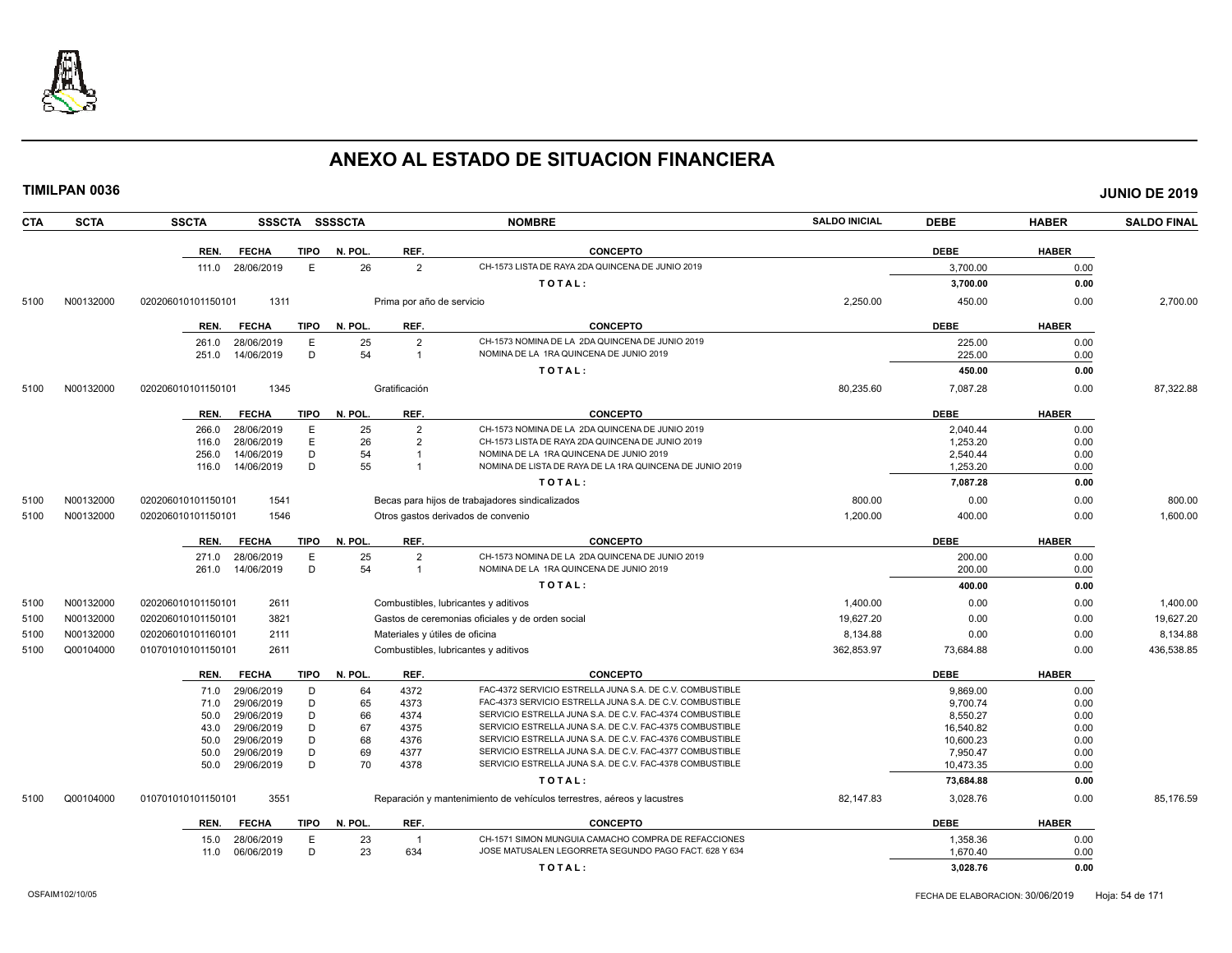

**TIMILPAN 0036 JUNIO DE 2019**

**CTA SCTA SSCTA SSSCTA SSSSCTA NOMBRE SALDO INICIAL DEBE HABER SALDO FINAL REN. FECHA TIPO N. POL. REF. CONCEPTO DEBE HABER** 111.0 28/06/2019 E 26 2 CH-1573 LISTA DE RAYA 2DA QUINCENA DE JUNIO 2019 3,700.00 0.00 **T O T A L : 3,700.00 0.00** 5100 N00132000 020206010101150101 1311 Prima por año de servicio 2,250.00 450.00 0.00 2,700.00 **REN. FECHA TIPO N. POL. REF. CONCEPTO DEBE HABER** 261.0 28/06/2019 E 25 2 CH-1573 NOMINA DE LA 2DA QUINCENA DE JUNIO 2019<br>251.0 14/06/2019 D 54 1 NOMINA DE LA 1RA QUINCENA DE JUNIO 2019 2019 225.00 225.00 0.00 251.0 14/06/2019 D 54 1 NOMINA DE LA 1RA QUINCENA DE JUNIO 2019 225.00 0.00 **T O T A L : 450.00 0.00** 5100 N00132000 020206010101150101 1345 Gratificación 80,235.60 7,087.28 0.00 87,322.88 **REN. FECHA TIPO N. POL. REF. CONCEPTO DEBE HABER** 266.0 28/06/2019 E 25 2 CH-1573 NOMINA DE LA 2DA QUINCENA DE JUNIO 2019 2,040.44 0.00 116.0 28/06/2019 E 26 2 CH-1573 LISTA DE RAYA 2DA QUINCENA DE JUNIO 2019 1,253.20 0.00 256.0 14/06/2019 D 54 1 NOMINA DE LA 1RA QUINCENA DE JUNIO 2019<br>116.0 14/06/2019 D 55 1 NOMINA DE LISTA DE RAYA DE LA 1RA QUINCENA DE JUNIO 2019 1 1253.20 1.253.20 0.00 116.0 14/06/2019 D 55 1 NOMINA DE LISTA DE RAYA DE LA 1RA QUINCENA DE JUNIO 2019 1,253.20 1,253.20 0.00 **T O T A L : 7,087.28 0.00** 5100 N00132000 020206010101150101 1541 Becas para hijos de trabajadores sindicalizados 800.00 0.00 0.00 800.00 5100 N00132000 020206010101150101 1546 Otros gastos derivados de convenio 1,200.00 400.00 0.00 1,600.00 **REN. FECHA TIPO N. POL. REF. CONCEPTO DEBE HABER** 271.0 28/06/2019 E 25 2 CH-1573 NOMINA DE LA 2DA QUINCENA DE JUNIO 2019<br>261.0 14/06/2019 D 54 1 NOMINA DE LA 1RA QUINCENA DE JUNIO 2019 2019 2010 2019 200.00 0.00 261.0 14/06/2019 D 54 1 NOMINA DE LA 1RA QUINCENA DE JUNIO 2019 200.00 0.00 **T O T A L : 400.00 0.00** 5100 N00132000 020206010101150101 2611 Combustibles, lubricantes y aditivos 1,400.00 0.00 0.00 1,400.00 5100 N00132000 020206010101150101 3821 Gastos de ceremonias oficiales y de orden social 19,627.20 0.00 0.00 19,627.20 5100 N00132000 020206010101160101 2111 Materiales y útiles de oficina 8,134.88 0.00 8,134.88 5100 Q00104000 010701010101150101 2611 Combustibles, lubricantes y aditivos 362,853.97 73,684.88 0.00 436,538.85 **REN. FECHA TIPO N. POL. REF. CONCEPTO DEBE HABER** 71.0 29/06/2019 D 64 4372 FAC-4372 SERVICIO ESTRELLA JUNA S.A. DE C.V. COMBUSTIBLE 9,869.00 9,869.00 0.00 71.0 29/06/2019 D 65 4373 FAC-4373 SERVICIO ESTRELLA JUNA S.A. DE C.V. COMBUSTIBLE 9,700.74 0.00 50.0 29/06/2019 D 66 4374 SERVICIO ESTRELLA JUNA S.A. DE C.V. FAC-4374 COMBUSTIBLE 8,550.27 8,550.27 0.00 43.0 29/06/2019 D 67 4375 SERVICIO ESTRELLA JUNA S.A. DE C.V. FAC-4375 COMBUSTIBLE 16,540.82 0.00 50.0 29/06/2019 D 68 4376 SERVICIO ESTRELLA JUNA S.A. DE C.V. FAC-4376 COMBUSTIBLE 10,600.23 0.00 50.0 29/06/2019 D 69 4377 SERVICIO ESTRELLA JUNA S.A. DE C.V. FAC-4377 COMBUSTIBLE 7,950.47 0.00 50.0 29/06/2019 D 70 4378 SERVICIO ESTRELLA JUNA S.A. DE C.V. FAC-4378 COMBUSTIBLE 10,473.35 0.00 **T O T A L : 73,684.88 0.00** 5100 Q00104000 010701010101150101 3551 Reparación y mantenimiento de vehículos terrestres, aéreos y lacustres 82,147.83 3,028.76 0.00 85,176.59

| <b>REN</b> | EECHA      | <b>TIPO</b> | '. POL | <b>REF</b> | <b>CONCEPTO</b>                                    | <b>DEBE</b> | <b>HABER</b> |
|------------|------------|-------------|--------|------------|----------------------------------------------------|-------------|--------------|
| 15.0       | 28/06/2019 |             |        |            | 71 SIMON MUNGUIA CAMACHO COMPRA DE REFACCIONES     | ,358.36     | 0.00         |
| 11.0       | 06/06/2019 |             |        | 634        | E MATUSALEN LEGORRETA SEGUNDO PAGO FACT. 628 Y 634 | .670.40     | 0.0f         |
|            |            |             |        |            | TOTAL.                                             | 3.028.76    | 0.00         |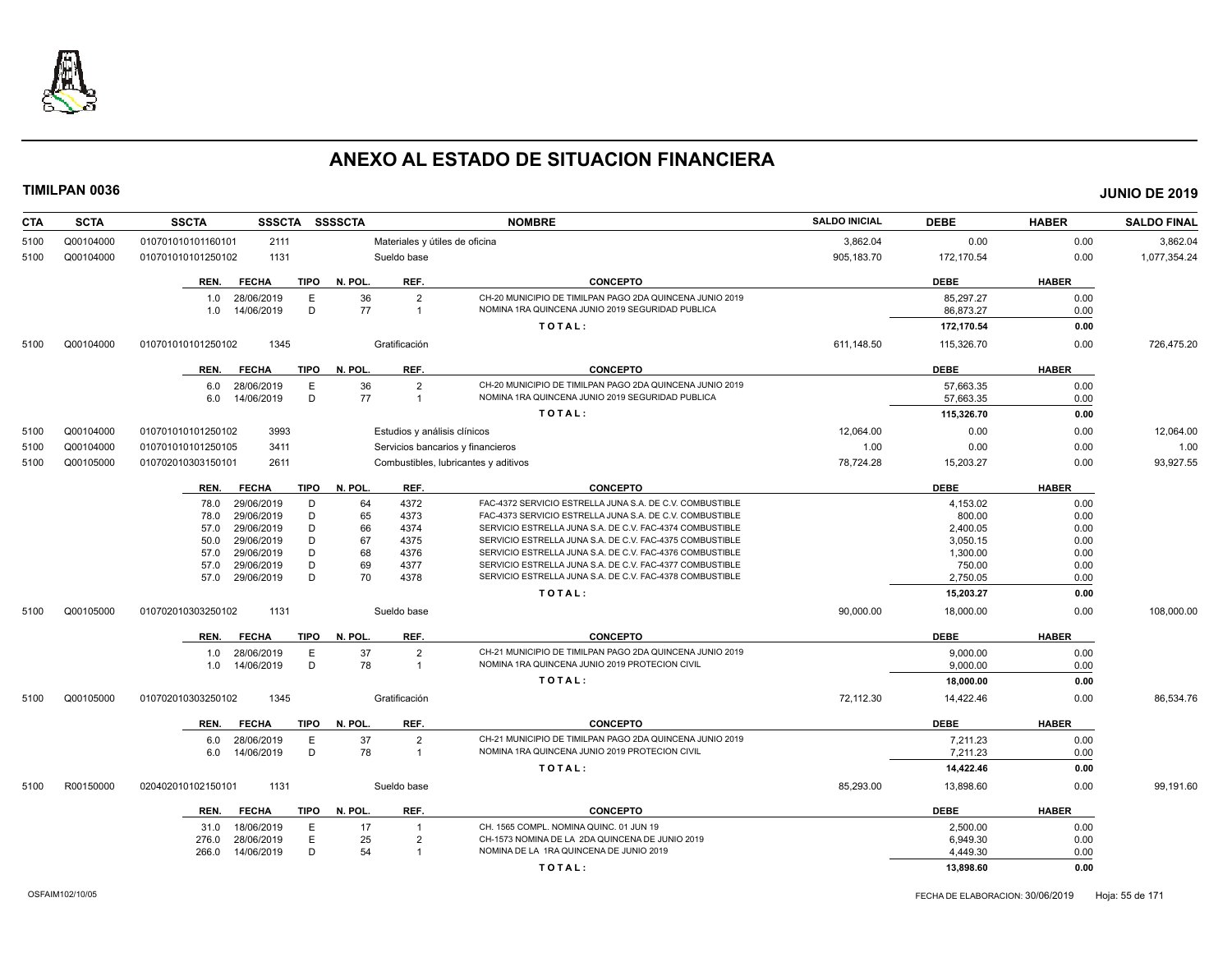

| <b>CTA</b> | <b>SCTA</b> | <b>SSCTA</b><br><b>SSSCTA</b> |             | <b>SSSSCTA</b> |                         | <b>NOMBRE</b>                                            | <b>SALDO INICIAL</b> | <b>DEBE</b> | <b>HABER</b> | <b>SALDO FINAL</b> |
|------------|-------------|-------------------------------|-------------|----------------|-------------------------|----------------------------------------------------------|----------------------|-------------|--------------|--------------------|
| 5100       | Q00104000   | 010701010101160101<br>2111    |             |                |                         | Materiales y útiles de oficina                           | 3,862.04             | 0.00        | 0.00         | 3,862.04           |
| 5100       | Q00104000   | 1131<br>010701010101250102    |             |                | Sueldo base             |                                                          | 905,183.70           | 172,170.54  | 0.00         | 1,077,354.24       |
|            |             | REN.<br><b>FECHA</b>          | <b>TIPO</b> | N. POL.        | REF.                    | <b>CONCEPTO</b>                                          |                      | <b>DEBE</b> | <b>HABER</b> |                    |
|            |             | 28/06/2019<br>1.0             | E           | 36             | $\overline{2}$          | CH-20 MUNICIPIO DE TIMILPAN PAGO 2DA QUINCENA JUNIO 2019 |                      | 85,297.27   | 0.00         |                    |
|            |             | 14/06/2019<br>1.0             | D           | 77             | $\overline{1}$          | NOMINA 1RA QUINCENA JUNIO 2019 SEGURIDAD PUBLICA         |                      | 86,873.27   | 0.00         |                    |
|            |             |                               |             |                |                         | TOTAL:                                                   |                      | 172,170.54  | 0.00         |                    |
| 5100       | Q00104000   | 1345<br>010701010101250102    |             |                | Gratificación           |                                                          | 611,148.50           | 115,326.70  | 0.00         | 726,475.20         |
|            |             |                               |             |                |                         |                                                          |                      |             |              |                    |
|            |             | <b>FECHA</b><br>REN.          | <b>TIPO</b> | N. POL.        | REF.                    | <b>CONCEPTO</b>                                          |                      | <b>DEBE</b> | <b>HABER</b> |                    |
|            |             | 28/06/2019<br>6.0             | E           | 36             | $\overline{2}$          | CH-20 MUNICIPIO DE TIMILPAN PAGO 2DA QUINCENA JUNIO 2019 |                      | 57.663.35   | 0.00         |                    |
|            |             | 14/06/2019<br>6.0             | D           | 77             | $\overline{1}$          | NOMINA 1RA QUINCENA JUNIO 2019 SEGURIDAD PUBLICA         |                      | 57.663.35   | 0.00         |                    |
|            |             |                               |             |                |                         | TOTAL:                                                   |                      | 115,326.70  | 0.00         |                    |
| 5100       | Q00104000   | 3993<br>010701010101250102    |             |                |                         | Estudios y análisis clínicos                             | 12,064.00            | 0.00        | 0.00         | 12,064.00          |
| 5100       | Q00104000   | 3411<br>010701010101250105    |             |                |                         | Servicios bancarios y financieros                        | 1.00                 | 0.00        | 0.00         | 1.00               |
| 5100       | Q00105000   | 2611<br>010702010303150101    |             |                |                         | Combustibles, lubricantes y aditivos                     | 78,724.28            | 15,203.27   | 0.00         | 93,927.55          |
|            |             | <b>FECHA</b><br>REN.          | TIPO        | N. POL.        | REF.                    | <b>CONCEPTO</b>                                          |                      | <b>DEBE</b> | <b>HABER</b> |                    |
|            |             | 29/06/2019<br>78.0            | D           | 64             | 4372                    | FAC-4372 SERVICIO ESTRELLA JUNA S.A. DE C.V. COMBUSTIBLE |                      | 4,153.02    | 0.00         |                    |
|            |             | 29/06/2019<br>78.0            | D           | 65             | 4373                    | FAC-4373 SERVICIO ESTRELLA JUNA S.A. DE C.V. COMBUSTIBLE |                      | 800.00      | 0.00         |                    |
|            |             | 29/06/2019<br>57.0            | D           | 66             | 4374                    | SERVICIO ESTRELLA JUNA S.A. DE C.V. FAC-4374 COMBUSTIBLE |                      | 2,400.05    | 0.00         |                    |
|            |             | 50.0<br>29/06/2019            | D           | 67             | 4375                    | SERVICIO ESTRELLA JUNA S.A. DE C.V. FAC-4375 COMBUSTIBLE |                      | 3,050.15    | 0.00         |                    |
|            |             | 29/06/2019<br>57.0            | D           | 68             | 4376                    | SERVICIO ESTRELLA JUNA S.A. DE C.V. FAC-4376 COMBUSTIBLE |                      | 1,300.00    | 0.00         |                    |
|            |             | 29/06/2019<br>57.0            | D           | 69             | 4377                    | SERVICIO ESTRELLA JUNA S.A. DE C.V. FAC-4377 COMBUSTIBLE |                      | 750.00      | 0.00         |                    |
|            |             | 29/06/2019<br>57.0            | D           | 70             | 4378                    | SERVICIO ESTRELLA JUNA S.A. DE C.V. FAC-4378 COMBUSTIBLE |                      | 2,750.05    | 0.00         |                    |
|            |             |                               |             |                |                         | TOTAL:                                                   |                      | 15,203.27   | 0.00         |                    |
|            |             |                               |             |                |                         |                                                          |                      |             |              |                    |
| 5100       | Q00105000   | 010702010303250102<br>1131    |             |                | Sueldo base             |                                                          | 90,000.00            | 18,000.00   | 0.00         | 108,000.00         |
|            |             | <b>FECHA</b><br>REN.          | <b>TIPO</b> | N. POL.        | REF.                    | <b>CONCEPTO</b>                                          |                      | <b>DEBE</b> | <b>HABER</b> |                    |
|            |             | 28/06/2019<br>1.0             | E           | 37             | $\overline{2}$          | CH-21 MUNICIPIO DE TIMILPAN PAGO 2DA QUINCENA JUNIO 2019 |                      | 9,000.00    | 0.00         |                    |
|            |             | 14/06/2019<br>1.0             | D           | 78             | $\overline{1}$          | NOMINA 1RA QUINCENA JUNIO 2019 PROTECION CIVIL           |                      | 9,000.00    | 0.00         |                    |
|            |             |                               |             |                |                         | TOTAL:                                                   |                      | 18,000.00   | 0.00         |                    |
| 5100       | Q00105000   | 1345<br>010702010303250102    |             |                | Gratificación           |                                                          | 72,112.30            | 14,422.46   | 0.00         | 86,534.76          |
|            |             | <b>FECHA</b><br>REN.          | <b>TIPO</b> | N. POL.        | REF.                    | <b>CONCEPTO</b>                                          |                      | <b>DEBE</b> | <b>HABER</b> |                    |
|            |             | 28/06/2019<br>6.0             | Е           | 37             | $\overline{2}$          | CH-21 MUNICIPIO DE TIMILPAN PAGO 2DA QUINCENA JUNIO 2019 |                      | 7,211.23    | 0.00         |                    |
|            |             | 14/06/2019<br>6.0             | D           | 78             | $\overline{1}$          | NOMINA 1RA QUINCENA JUNIO 2019 PROTECION CIVIL           |                      | 7,211.23    | 0.00         |                    |
|            |             |                               |             |                |                         | TOTAL:                                                   |                      | 14,422.46   | 0.00         |                    |
| 5100       | R00150000   | 1131<br>020402010102150101    |             |                | Sueldo base             |                                                          | 85,293.00            | 13,898.60   | 0.00         | 99,191.60          |
|            |             | REN.<br><b>FECHA</b>          | <b>TIPO</b> | N. POL.        | REF.                    | <b>CONCEPTO</b>                                          |                      | <b>DEBE</b> | <b>HABER</b> |                    |
|            |             | 31.0<br>18/06/2019            | E           | 17             | $\overline{\mathbf{1}}$ | CH. 1565 COMPL. NOMINA QUINC. 01 JUN 19                  |                      | 2,500.00    | 0.00         |                    |
|            |             | 276.0<br>28/06/2019           | E           | 25             | $\overline{2}$          | CH-1573 NOMINA DE LA 2DA QUINCENA DE JUNIO 2019          |                      | 6.949.30    | 0.00         |                    |
|            |             | 14/06/2019<br>266.0           | D           | 54             | $\overline{1}$          | NOMINA DE LA 1RA QUINCENA DE JUNIO 2019                  |                      | 4,449.30    | 0.00         |                    |
|            |             |                               |             |                |                         | TOTAL:                                                   |                      | 13,898.60   | 0.00         |                    |
|            |             |                               |             |                |                         |                                                          |                      |             |              |                    |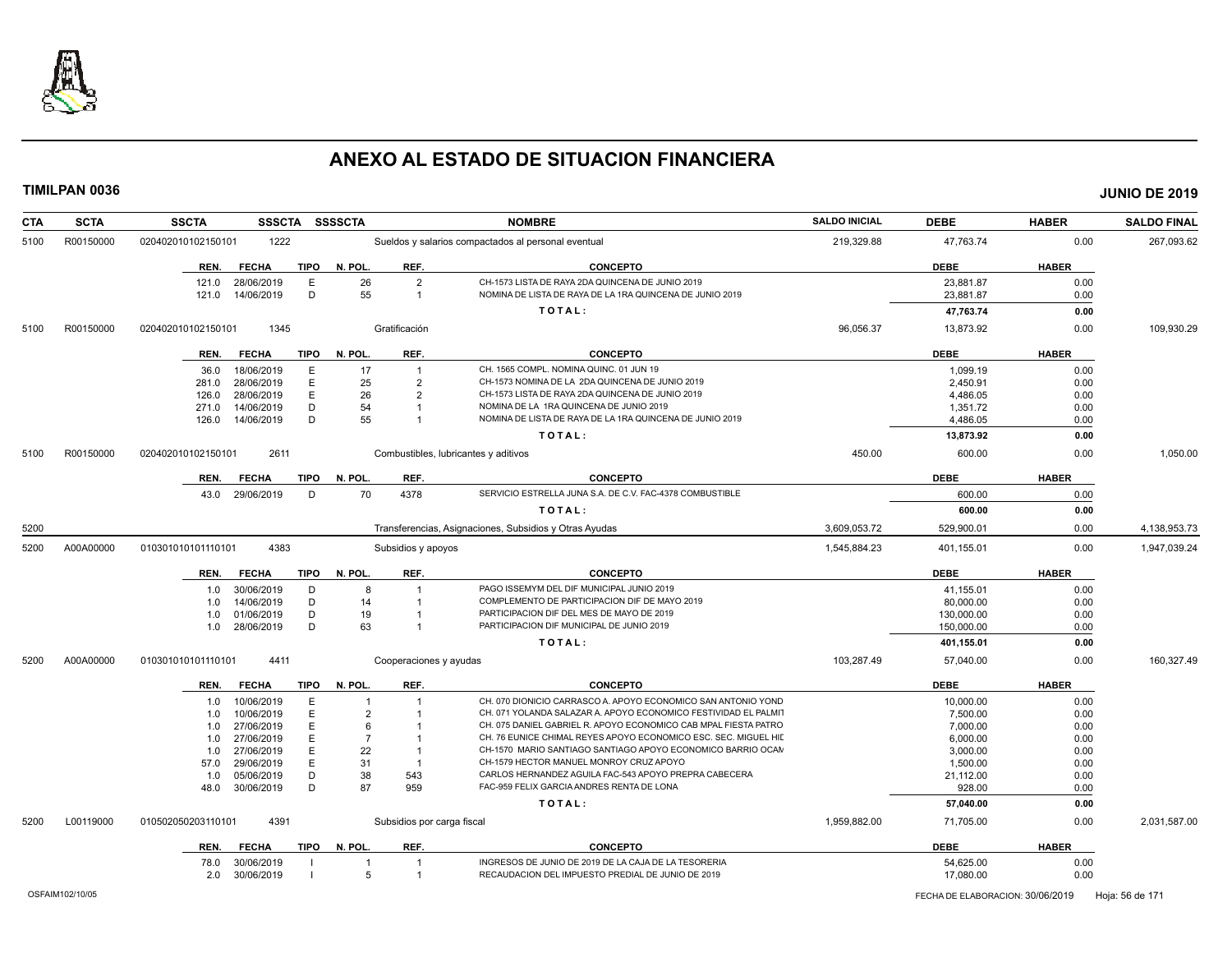

| <b>CTA</b> | <b>SCTA</b> | <b>SSCTA</b><br><b>SSSCTA</b> |             | <b>SSSSCTA</b> |                            | <b>NOMBRE</b>                                                   | <b>SALDO INICIAL</b> | <b>DEBE</b> | <b>HABER</b> | <b>SALDO FINAL</b> |
|------------|-------------|-------------------------------|-------------|----------------|----------------------------|-----------------------------------------------------------------|----------------------|-------------|--------------|--------------------|
| 5100       | R00150000   | 1222<br>020402010102150101    |             |                |                            | Sueldos y salarios compactados al personal eventual             | 219,329.88           | 47,763.74   | 0.00         | 267,093.62         |
|            |             | <b>FECHA</b><br>REN.          | <b>TIPO</b> | N. POL.        | REF.                       | <b>CONCEPTO</b>                                                 |                      | <b>DEBE</b> | <b>HABER</b> |                    |
|            |             | 28/06/2019<br>121.0           | E           | 26             | $\overline{2}$             | CH-1573 LISTA DE RAYA 2DA QUINCENA DE JUNIO 2019                |                      | 23,881.87   | 0.00         |                    |
|            |             | 14/06/2019<br>121.0           | D           | 55             | $\overline{1}$             | NOMINA DE LISTA DE RAYA DE LA 1RA QUINCENA DE JUNIO 2019        |                      | 23,881.87   | 0.00         |                    |
|            |             |                               |             |                |                            | TOTAL:                                                          |                      | 47,763.74   | 0.00         |                    |
| 5100       | R00150000   | 1345<br>020402010102150101    |             |                | Gratificación              |                                                                 | 96,056.37            | 13,873.92   | 0.00         | 109,930.29         |
|            |             | <b>FECHA</b><br>REN.          | TIPO        | N. POL.        | REF.                       | <b>CONCEPTO</b>                                                 |                      | <b>DEBE</b> | <b>HABER</b> |                    |
|            |             | 18/06/2019<br>36.0            | E           | 17             | $\overline{1}$             | CH. 1565 COMPL. NOMINA QUINC. 01 JUN 19                         |                      | 1,099.19    | 0.00         |                    |
|            |             | 281.0<br>28/06/2019           | E           | 25             | $\overline{2}$             | CH-1573 NOMINA DE LA 2DA QUINCENA DE JUNIO 2019                 |                      | 2,450.91    | 0.00         |                    |
|            |             | 28/06/2019<br>126.0           | E           | 26             | $\overline{2}$             | CH-1573 LISTA DE RAYA 2DA QUINCENA DE JUNIO 2019                |                      | 4,486.05    | 0.00         |                    |
|            |             | 14/06/2019<br>271.0           | D           | 54             | $\overline{1}$             | NOMINA DE LA 1RA QUINCENA DE JUNIO 2019                         |                      | 1,351.72    | 0.00         |                    |
|            |             | 126.0<br>14/06/2019           | D           | 55             | $\overline{1}$             | NOMINA DE LISTA DE RAYA DE LA 1RA QUINCENA DE JUNIO 2019        |                      | 4,486.05    | 0.00         |                    |
|            |             |                               |             |                |                            | TOTAL:                                                          |                      | 13,873.92   | 0.00         |                    |
| 5100       | R00150000   | 2611<br>020402010102150101    |             |                |                            | Combustibles, lubricantes y aditivos                            | 450.00               | 600.00      | 0.00         | 1,050.00           |
|            |             | <b>FECHA</b><br>REN.          | <b>TIPO</b> | N. POL.        | REF.                       | <b>CONCEPTO</b>                                                 |                      | <b>DEBE</b> | <b>HABER</b> |                    |
|            |             | 29/06/2019<br>43.0            | D           | 70             | 4378                       | SERVICIO ESTRELLA JUNA S.A. DE C.V. FAC-4378 COMBUSTIBLE        |                      | 600.00      | 0.00         |                    |
|            |             |                               |             |                |                            | TOTAL:                                                          |                      | 600.00      | 0.00         |                    |
| 5200       |             |                               |             |                |                            | Transferencias, Asignaciones, Subsidios y Otras Ayudas          | 3.609.053.72         | 529.900.01  | 0.00         | 4,138,953.73       |
| 5200       | A00A00000   | 4383<br>010301010101110101    |             |                | Subsidios y apoyos         |                                                                 | 1,545,884.23         | 401,155.01  | 0.00         | 1,947,039.24       |
|            |             | REN.<br><b>FECHA</b>          | TIPO        | N. POL.        | REF.                       | <b>CONCEPTO</b>                                                 |                      | <b>DEBE</b> | <b>HABER</b> |                    |
|            |             | 30/06/2019<br>1.0             | D           | 8              | $\overline{1}$             | PAGO ISSEMYM DEL DIF MUNICIPAL JUNIO 2019                       |                      | 41,155.01   | 0.00         |                    |
|            |             | 14/06/2019<br>1.0             | D           | 14             | $\overline{1}$             | COMPLEMENTO DE PARTICIPACION DIF DE MAYO 2019                   |                      | 80,000.00   | 0.00         |                    |
|            |             | 01/06/2019<br>1.0             | D           | 19             |                            | PARTICIPACION DIF DEL MES DE MAYO DE 2019                       |                      | 130,000.00  | 0.00         |                    |
|            |             | 1.0<br>28/06/2019             | D           | 63             | $\overline{1}$             | PARTICIPACION DIF MUNICIPAL DE JUNIO 2019                       |                      | 150,000.00  | 0.00         |                    |
|            |             |                               |             |                |                            | TOTAL:                                                          |                      | 401,155.01  | 0.00         |                    |
| 5200       | A00A00000   | 4411<br>010301010101110101    |             |                | Cooperaciones y ayudas     |                                                                 | 103,287.49           | 57,040.00   | 0.00         | 160,327.49         |
|            |             | <b>FECHA</b><br>REN.          | <b>TIPO</b> | N. POL.        | REF.                       | <b>CONCEPTO</b>                                                 |                      | <b>DEBE</b> | <b>HABER</b> |                    |
|            |             | 10/06/2019<br>1.0             | E           | $\overline{1}$ | -1                         | CH. 070 DIONICIO CARRASCO A. APOYO ECONOMICO SAN ANTONIO YOND   |                      | 10,000.00   | 0.00         |                    |
|            |             | 10/06/2019<br>1.0             | E           | $\overline{2}$ |                            | CH. 071 YOLANDA SALAZAR A. APOYO ECONOMICO FESTIVIDAD EL PALMIT |                      | 7,500.00    | 0.00         |                    |
|            |             | 27/06/2019<br>1.0             | E           | 6              | -1                         | CH. 075 DANIEL GABRIEL R. APOYO ECONOMICO CAB MPAL FIESTA PATRO |                      | 7,000.00    | 0.00         |                    |
|            |             | 27/06/2019<br>1.0             | E           | $\overline{7}$ | $\overline{1}$             | CH. 76 EUNICE CHIMAL REYES APOYO ECONOMICO ESC. SEC. MIGUEL HID |                      | 6,000.00    | 0.00         |                    |
|            |             | 27/06/2019                    | E           | 22             | $\overline{1}$             | CH-1570 MARIO SANTIAGO SANTIAGO APOYO ECONOMICO BARRIO OCAN     |                      | 3,000.00    | 0.00         |                    |
|            |             | 1.0<br>29/06/2019<br>57.0     | E           | 31             | $\overline{1}$             | CH-1579 HECTOR MANUEL MONROY CRUZ APOYO                         |                      |             | 0.00         |                    |
|            |             |                               |             |                |                            | CARLOS HERNANDEZ AGUILA FAC-543 APOYO PREPRA CABECERA           |                      | 1,500.00    |              |                    |
|            |             | 05/06/2019<br>1.0             | D           | 38             | 543                        | FAC-959 FELIX GARCIA ANDRES RENTA DE LONA                       |                      | 21,112.00   | 0.00         |                    |
|            |             | 30/06/2019<br>48.0            | D           | 87             | 959                        |                                                                 |                      | 928.00      | 0.00         |                    |
|            |             |                               |             |                |                            | TOTAL:                                                          |                      | 57.040.00   | 0.00         |                    |
| 5200       | L00119000   | 4391<br>01050205020311010     |             |                | Subsidios por carga fiscal |                                                                 | 1,959,882.00         | 71,705.00   | 0.00         | 2,031,587.00       |
|            |             | <b>FECHA</b><br>REN.          | TIPO        | N. POL.        | REF.                       | <b>CONCEPTO</b>                                                 |                      | <b>DEBE</b> | <b>HABER</b> |                    |
|            |             | 78.0<br>30/06/2019            |             |                |                            | INGRESOS DE JUNIO DE 2019 DE LA CAJA DE LA TESORERIA            |                      | 54,625.00   | 0.00         |                    |
|            |             | 30/06/2019<br>2.0             |             | 5              | $\overline{1}$             | RECAUDACION DEL IMPUESTO PREDIAL DE JUNIO DE 2019               |                      | 17,080.00   | 0.00         |                    |
|            |             |                               |             |                |                            |                                                                 |                      |             |              |                    |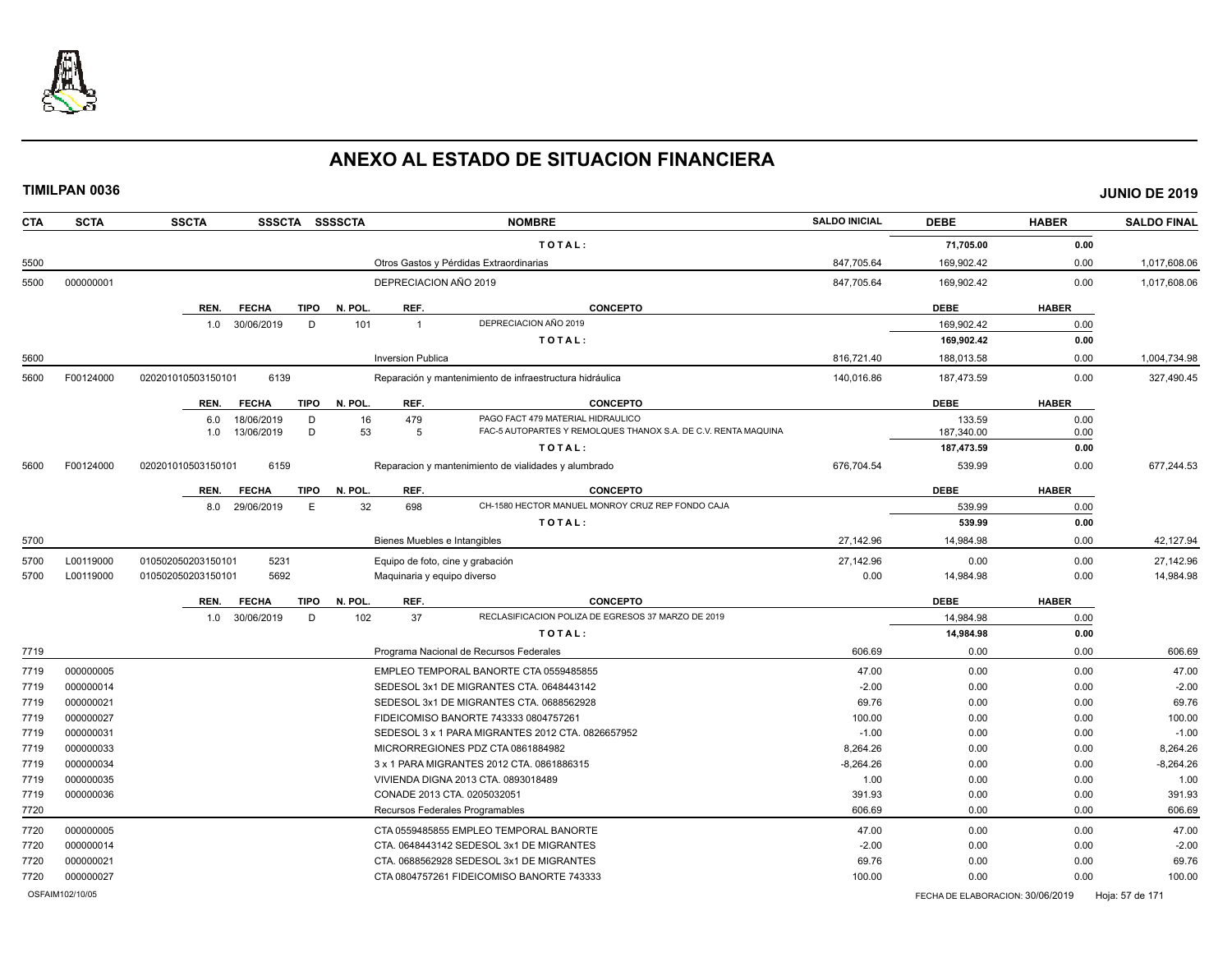

| <b>CTA</b> | <b>SCTA</b>     | <b>SSCTA</b><br>SSSCTA SSSSCTA      |         | <b>NOMBRE</b>                                                       | <b>SALDO INICIAL</b> | <b>DEBE</b>                      | <b>HABER</b> | <b>SALDO FINAL</b> |
|------------|-----------------|-------------------------------------|---------|---------------------------------------------------------------------|----------------------|----------------------------------|--------------|--------------------|
|            |                 |                                     |         | TOTAL:                                                              |                      | 71,705.00                        | 0.00         |                    |
| 5500       |                 |                                     |         | Otros Gastos y Pérdidas Extraordinarias                             | 847,705.64           | 169,902.42                       | 0.00         | 1,017,608.06       |
| 5500       | 000000001       |                                     |         | DEPRECIACION AÑO 2019                                               | 847,705.64           | 169,902.42                       | 0.00         | 1,017,608.06       |
|            |                 | REN.<br><b>TIPO</b><br><b>FECHA</b> | N. POL  | REF.<br><b>CONCEPTO</b>                                             |                      | <b>DEBE</b>                      | <b>HABER</b> |                    |
|            |                 | 30/06/2019<br>D<br>1.0              | 101     | DEPRECIACION AÑO 2019<br>$\overline{1}$                             |                      | 169.902.42                       | 0.00         |                    |
|            |                 |                                     |         | TOTAL:                                                              |                      | 169,902.42                       | 0.00         |                    |
| 5600       |                 |                                     |         | <b>Inversion Publica</b>                                            | 816,721.40           | 188,013.58                       | 0.00         | 1,004,734.98       |
| 5600       | F00124000       | 020201010503150101<br>6139          |         | Reparación y mantenimiento de infraestructura hidráulica            | 140,016.86           | 187,473.59                       | 0.00         | 327,490.45         |
|            |                 | <b>TIPO</b><br>REN.<br><b>FECHA</b> | N. POL. | REF.<br><b>CONCEPTO</b>                                             |                      | <b>DEBE</b>                      | <b>HABER</b> |                    |
|            |                 | 18/06/2019<br>D<br>6.0              | 16      | PAGO FACT 479 MATERIAL HIDRAULICO<br>479                            |                      | 133.59                           | 0.00         |                    |
|            |                 | 13/06/2019<br>D<br>1.0              | 53      | FAC-5 AUTOPARTES Y REMOLQUES THANOX S.A. DE C.V. RENTA MAQUINA<br>5 |                      | 187,340.00                       | 0.00         |                    |
|            |                 |                                     |         | TOTAL:                                                              |                      | 187,473.59                       | 0.00         |                    |
| 5600       | F00124000       | 6159<br>020201010503150101          |         | Reparacion y mantenimiento de vialidades y alumbrado                | 676,704.54           | 539.99                           | 0.00         | 677.244.53         |
|            |                 | <b>FECHA</b><br><b>TIPO</b><br>REN. | N. POL. | REF.<br><b>CONCEPTO</b>                                             |                      | <b>DEBE</b>                      | <b>HABER</b> |                    |
|            |                 | E<br>8.0<br>29/06/2019              | 32      | 698<br>CH-1580 HECTOR MANUEL MONROY CRUZ REP FONDO CAJA             |                      | 539.99                           | 0.00         |                    |
|            |                 |                                     |         | TOTAL:                                                              |                      | 539.99                           | 0.00         |                    |
| 5700       |                 |                                     |         | Bienes Muebles e Intangibles                                        | 27,142.96            | 14,984.98                        | 0.00         | 42,127.94          |
| 5700       | L00119000       | 5231<br>010502050203150101          |         | Equipo de foto, cine y grabación                                    | 27.142.96            | 0.00                             | 0.00         | 27.142.96          |
| 5700       | L00119000       | 5692<br>010502050203150101          |         | Maquinaria y equipo diverso                                         | 0.00                 | 14,984.98                        | 0.00         | 14,984.98          |
|            |                 | REN.<br><b>FECHA</b><br>TIPO        | N. POL  | REF.<br><b>CONCEPTO</b>                                             |                      | <b>DEBE</b>                      | <b>HABER</b> |                    |
|            |                 | 30/06/2019<br>D<br>1.0              | 102     | RECLASIFICACION POLIZA DE EGRESOS 37 MARZO DE 2019<br>37            |                      | 14,984.98                        | 0.00         |                    |
|            |                 |                                     |         | TOTAL:                                                              |                      | 14,984.98                        | 0.00         |                    |
| 7719       |                 |                                     |         | Programa Nacional de Recursos Federales                             | 606.69               | 0.00                             | 0.00         | 606.69             |
| 7719       | 000000005       |                                     |         | EMPLEO TEMPORAL BANORTE CTA 0559485855                              | 47.00                | 0.00                             | 0.00         | 47.00              |
| 7719       | 000000014       |                                     |         | SEDESOL 3x1 DE MIGRANTES CTA. 0648443142                            | $-2.00$              | 0.00                             | 0.00         | $-2.00$            |
| 7719       | 000000021       |                                     |         | SEDESOL 3x1 DE MIGRANTES CTA. 0688562928                            | 69.76                | 0.00                             | 0.00         | 69.76              |
| 7719       | 000000027       |                                     |         | FIDEICOMISO BANORTE 743333 0804757261                               | 100.00               | 0.00                             | 0.00         | 100.00             |
| 7719       | 000000031       |                                     |         | SEDESOL 3 x 1 PARA MIGRANTES 2012 CTA. 0826657952                   | $-1.00$              | 0.00                             | 0.00         | $-1.00$            |
| 7719       | 000000033       |                                     |         | MICRORREGIONES PDZ CTA 0861884982                                   | 8.264.26             | 0.00                             | 0.00         | 8,264.26           |
| 7719       | 000000034       |                                     |         | 3 x 1 PARA MIGRANTES 2012 CTA. 0861886315                           | $-8,264.26$          | 0.00                             | 0.00         | $-8,264.26$        |
| 7719       | 000000035       |                                     |         | VIVIENDA DIGNA 2013 CTA. 0893018489                                 | 1.00                 | 0.00                             | 0.00         | 1.00               |
| 7719       | 000000036       |                                     |         | CONADE 2013 CTA. 0205032051                                         | 391.93               | 0.00                             | 0.00         | 391.93             |
| 7720       |                 |                                     |         | Recursos Federales Programables                                     | 606.69               | 0.00                             | 0.00         | 606.69             |
| 7720       | 000000005       |                                     |         | CTA 0559485855 EMPLEO TEMPORAL BANORTE                              | 47.00                | 0.00                             | 0.00         | 47.00              |
| 7720       | 000000014       |                                     |         | CTA. 0648443142 SEDESOL 3x1 DE MIGRANTES                            | $-2.00$              | 0.00                             | 0.00         | $-2.00$            |
| 7720       | 000000021       |                                     |         | CTA. 0688562928 SEDESOL 3x1 DE MIGRANTES                            | 69.76                | 0.00                             | 0.00         | 69.76              |
| 7720       | 000000027       |                                     |         | CTA 0804757261 FIDEICOMISO BANORTE 743333                           | 100.00               | 0.00                             | 0.00         | 100.00             |
|            | OSFAIM102/10/05 |                                     |         |                                                                     |                      | FECHA DE ELABORACION: 30/06/2019 |              | Hoja: 57 de 171    |
|            |                 |                                     |         |                                                                     |                      |                                  |              |                    |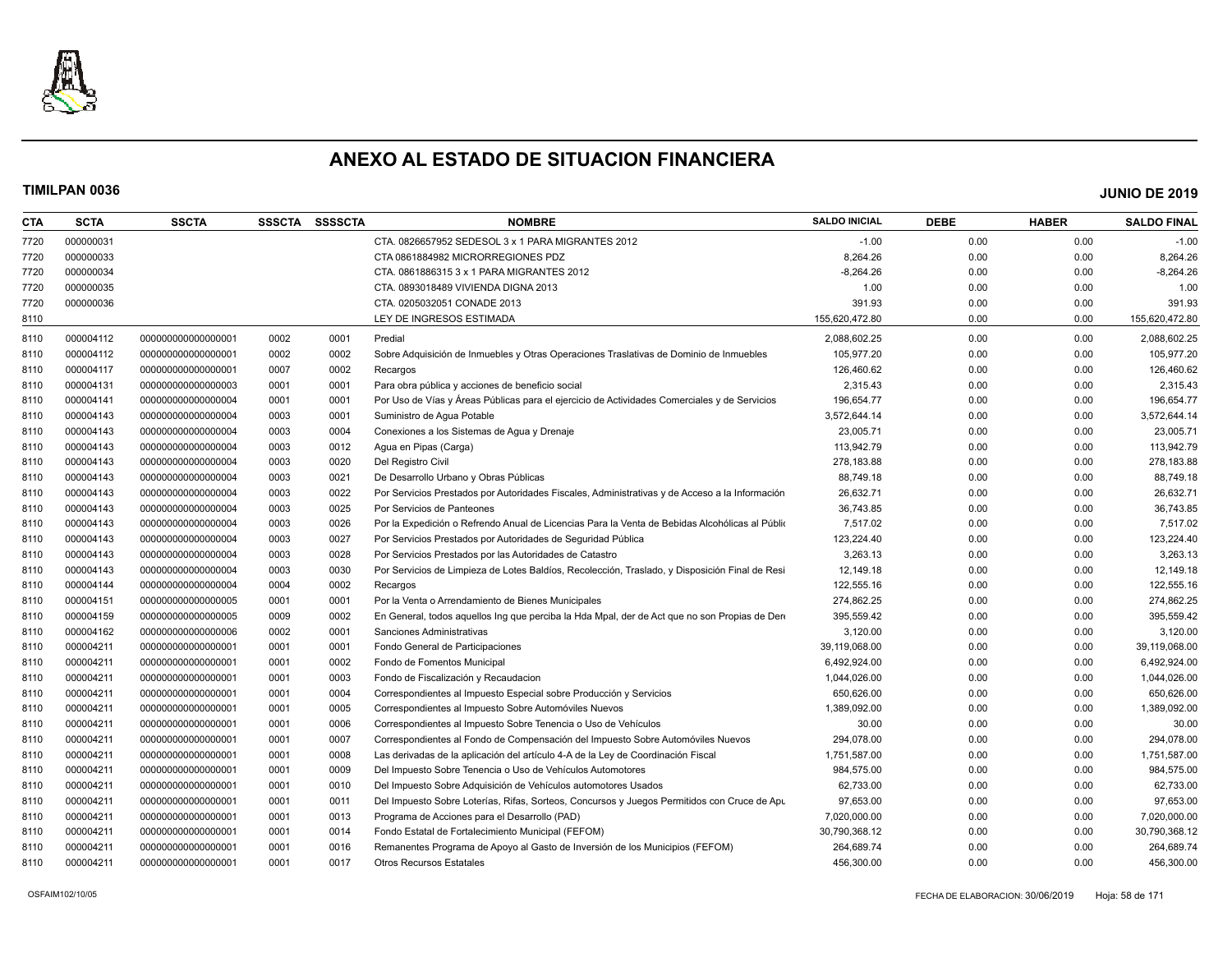

| CTA  | <b>SCTA</b> | <b>SSCTA</b>       | <b>SSSCTA</b> | SSSSCTA | <b>NOMBRE</b>                                                                                  | <b>SALDO INICIAL</b> | DEBE | <b>HABER</b> | <b>SALDO FINAL</b> |
|------|-------------|--------------------|---------------|---------|------------------------------------------------------------------------------------------------|----------------------|------|--------------|--------------------|
| 7720 | 000000031   |                    |               |         | CTA. 0826657952 SEDESOL 3 x 1 PARA MIGRANTES 2012                                              | $-1.00$              | 0.00 | 0.00         | $-1.00$            |
| 7720 | 000000033   |                    |               |         | CTA 0861884982 MICRORREGIONES PDZ                                                              | 8,264.26             | 0.00 | 0.00         | 8,264.26           |
| 7720 | 000000034   |                    |               |         | CTA. 0861886315 3 x 1 PARA MIGRANTES 2012                                                      | $-8,264.26$          | 0.00 | 0.00         | $-8,264.26$        |
| 7720 | 000000035   |                    |               |         | CTA, 0893018489 VIVIENDA DIGNA 2013                                                            | 1.00                 | 0.00 | 0.00         | 1.00               |
| 7720 | 000000036   |                    |               |         | CTA. 0205032051 CONADE 2013                                                                    | 391.93               | 0.00 | 0.00         | 391.93             |
| 8110 |             |                    |               |         | LEY DE INGRESOS ESTIMADA                                                                       | 155,620,472.80       | 0.00 | 0.00         | 155,620,472.80     |
| 8110 | 000004112   | 00000000000000001  | 0002          | 0001    | Predial                                                                                        | 2,088,602.25         | 0.00 | 0.00         | 2,088,602.25       |
| 8110 | 000004112   | 00000000000000001  | 0002          | 0002    | Sobre Adquisición de Inmuebles y Otras Operaciones Traslativas de Dominio de Inmuebles         | 105,977.20           | 0.00 | 0.00         | 105,977.20         |
| 8110 | 000004117   | 00000000000000001  | 0007          | 0002    | Recargos                                                                                       | 126,460.62           | 0.00 | 0.00         | 126,460.62         |
| 8110 | 000004131   | 00000000000000003  | 0001          | 0001    | Para obra pública y acciones de beneficio social                                               | 2,315.43             | 0.00 | 0.00         | 2,315.43           |
| 8110 | 000004141   | 00000000000000004  | 0001          | 0001    | Por Uso de Vías y Áreas Públicas para el ejercicio de Actividades Comerciales y de Servicios   | 196,654.77           | 0.00 | 0.00         | 196,654.77         |
| 8110 | 000004143   | 00000000000000004  | 0003          | 0001    | Suministro de Agua Potable                                                                     | 3,572,644.14         | 0.00 | 0.00         | 3,572,644.14       |
| 8110 | 000004143   | 00000000000000004  | 0003          | 0004    | Conexiones a los Sistemas de Agua y Drenaje                                                    | 23,005.71            | 0.00 | 0.00         | 23,005.71          |
| 8110 | 000004143   | 00000000000000004  | 0003          | 0012    | Agua en Pipas (Carga)                                                                          | 113,942.79           | 0.00 | 0.00         | 113,942.79         |
| 8110 | 000004143   | 00000000000000004  | 0003          | 0020    | Del Registro Civil                                                                             | 278,183.88           | 0.00 | 0.00         | 278,183.88         |
| 8110 | 000004143   | 00000000000000004  | 0003          | 0021    | De Desarrollo Urbano y Obras Públicas                                                          | 88,749.18            | 0.00 | 0.00         | 88,749.18          |
| 8110 | 000004143   | 00000000000000004  | 0003          | 0022    | Por Servicios Prestados por Autoridades Fiscales, Administrativas y de Acceso a la Información | 26,632.71            | 0.00 | 0.00         | 26,632.71          |
| 8110 | 000004143   | 00000000000000004  | 0003          | 0025    | Por Servicios de Panteones                                                                     | 36,743.85            | 0.00 | 0.00         | 36,743.85          |
| 8110 | 000004143   | 00000000000000004  | 0003          | 0026    | Por la Expedición o Refrendo Anual de Licencias Para la Venta de Bebidas Alcohólicas al Públio | 7,517.02             | 0.00 | 0.00         | 7,517.02           |
| 8110 | 000004143   | 00000000000000004  | 0003          | 0027    | Por Servicios Prestados por Autoridades de Seguridad Pública                                   | 123,224.40           | 0.00 | 0.00         | 123,224.40         |
| 8110 | 000004143   | 00000000000000004  | 0003          | 0028    | Por Servicios Prestados por las Autoridades de Catastro                                        | 3,263.13             | 0.00 | 0.00         | 3,263.13           |
| 8110 | 000004143   | 00000000000000004  | 0003          | 0030    | Por Servicios de Limpieza de Lotes Baldíos, Recolección, Traslado, y Disposición Final de Resi | 12,149.18            | 0.00 | 0.00         | 12,149.18          |
| 8110 | 000004144   | 00000000000000004  | 0004          | 0002    | Recargos                                                                                       | 122,555.16           | 0.00 | 0.00         | 122,555.16         |
| 8110 | 000004151   | 00000000000000005  | 0001          | 0001    | Por la Venta o Arrendamiento de Bienes Municipales                                             | 274,862.25           | 0.00 | 0.00         | 274,862.25         |
| 8110 | 000004159   | 00000000000000005  | 0009          | 0002    | En General, todos aquellos Ing que perciba la Hda Mpal, der de Act que no son Propias de Dere  | 395,559.42           | 0.00 | 0.00         | 395,559.42         |
| 8110 | 000004162   | 000000000000000006 | 0002          | 0001    | Sanciones Administrativas                                                                      | 3,120.00             | 0.00 | 0.00         | 3,120.00           |
| 8110 | 000004211   | 00000000000000001  | 0001          | 0001    | Fondo General de Participaciones                                                               | 39,119,068.00        | 0.00 | 0.00         | 39,119,068.00      |
| 8110 | 000004211   | 00000000000000001  | 0001          | 0002    | Fondo de Fomentos Municipal                                                                    | 6,492,924.00         | 0.00 | 0.00         | 6,492,924.00       |
| 8110 | 000004211   | 00000000000000001  | 0001          | 0003    | Fondo de Fiscalización y Recaudacion                                                           | 1,044,026.00         | 0.00 | 0.00         | 1,044,026.00       |
| 8110 | 000004211   | 00000000000000001  | 0001          | 0004    | Correspondientes al Impuesto Especial sobre Producción y Servicios                             | 650.626.00           | 0.00 | 0.00         | 650,626.00         |
| 8110 | 000004211   | 00000000000000001  | 0001          | 0005    | Correspondientes al Impuesto Sobre Automóviles Nuevos                                          | 1,389,092.00         | 0.00 | 0.00         | 1,389,092.00       |
| 8110 | 000004211   | 00000000000000001  | 0001          | 0006    | Correspondientes al Impuesto Sobre Tenencia o Uso de Vehículos                                 | 30.00                | 0.00 | 0.00         | 30.00              |
| 8110 | 000004211   | 00000000000000001  | 0001          | 0007    | Correspondientes al Fondo de Compensación del Impuesto Sobre Automóviles Nuevos                | 294,078.00           | 0.00 | 0.00         | 294,078.00         |
| 8110 | 000004211   | 00000000000000001  | 0001          | 0008    | Las derivadas de la aplicación del artículo 4-A de la Ley de Coordinación Fiscal               | 1,751,587.00         | 0.00 | 0.00         | 1,751,587.00       |
| 8110 | 000004211   | 00000000000000001  | 0001          | 0009    | Del Impuesto Sobre Tenencia o Uso de Vehículos Automotores                                     | 984,575.00           | 0.00 | 0.00         | 984,575.00         |
| 8110 | 000004211   | 00000000000000001  | 0001          | 0010    | Del Impuesto Sobre Adquisición de Vehículos automotores Usados                                 | 62,733.00            | 0.00 | 0.00         | 62,733.00          |
| 8110 | 000004211   | 00000000000000001  | 0001          | 0011    | Del Impuesto Sobre Loterías, Rifas, Sorteos, Concursos y Juegos Permitidos con Cruce de Apu    | 97,653.00            | 0.00 | 0.00         | 97,653.00          |
| 8110 | 000004211   | 00000000000000001  | 0001          | 0013    | Programa de Acciones para el Desarrollo (PAD)                                                  | 7,020,000.00         | 0.00 | 0.00         | 7,020,000.00       |
| 8110 | 000004211   | 00000000000000001  | 0001          | 0014    | Fondo Estatal de Fortalecimiento Municipal (FEFOM)                                             | 30,790,368.12        | 0.00 | 0.00         | 30,790,368.12      |
| 8110 | 000004211   | 00000000000000001  | 0001          | 0016    | Remanentes Programa de Apoyo al Gasto de Inversión de los Municipios (FEFOM)                   | 264,689.74           | 0.00 | 0.00         | 264,689.74         |
| 8110 | 000004211   | 00000000000000001  | 0001          | 0017    | <b>Otros Recursos Estatales</b>                                                                | 456,300.00           | 0.00 | 0.00         | 456,300.00         |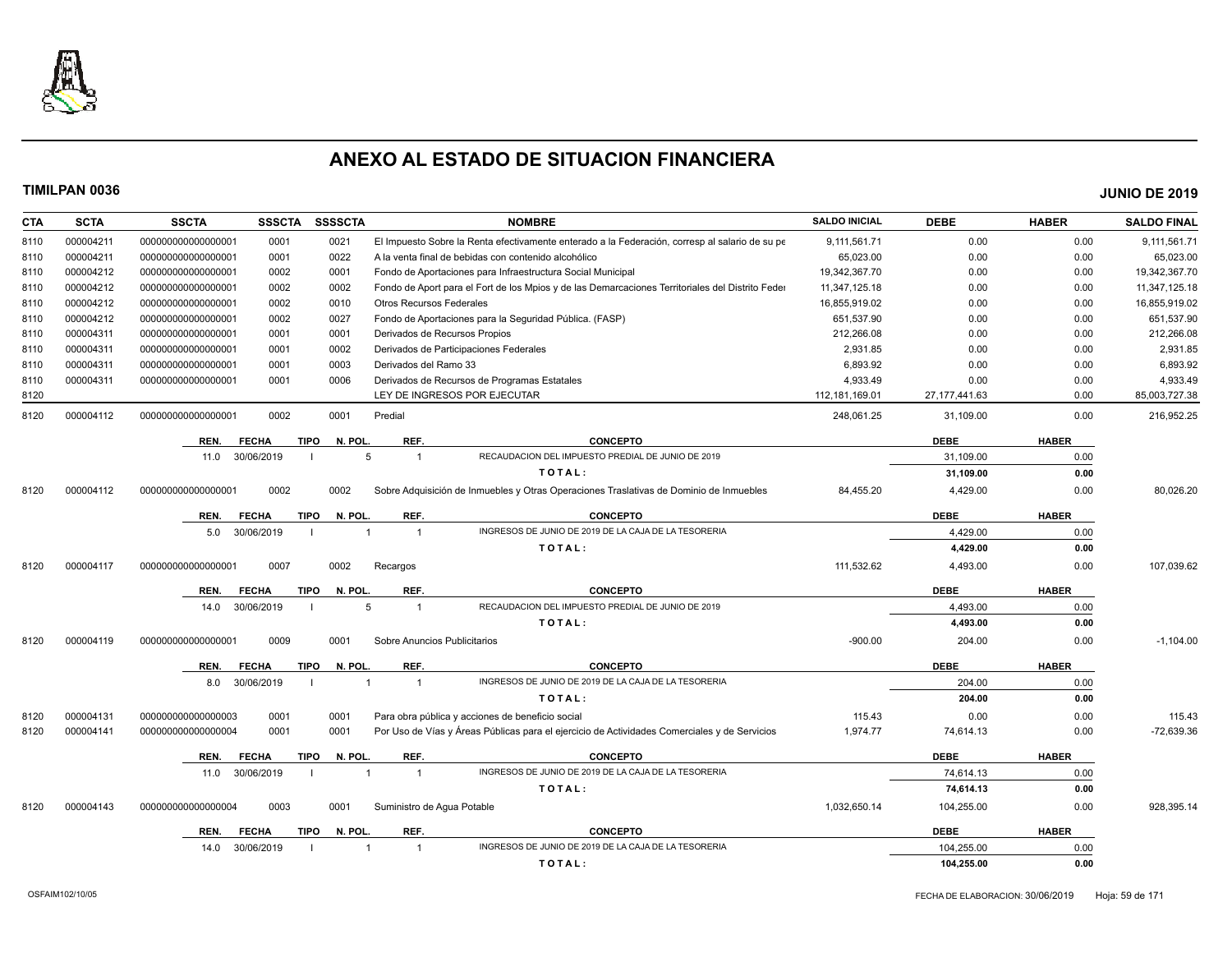

| CTA  | <b>SCTA</b> | <b>SSCTA</b>       | <b>SSSCTA</b> | <b>SSSSCTA</b>         | <b>NOMBRE</b>                                                                                    | <b>SALDO INICIAL</b> | <b>DEBE</b>     | <b>HABER</b> | <b>SALDO FINAL</b> |
|------|-------------|--------------------|---------------|------------------------|--------------------------------------------------------------------------------------------------|----------------------|-----------------|--------------|--------------------|
| 8110 | 000004211   | 00000000000000001  | 0001          | 0021                   | El Impuesto Sobre la Renta efectivamente enterado a la Federación, corresp al salario de su pe   | 9,111,561.71         | 0.00            | 0.00         | 9,111,561.71       |
| 8110 | 000004211   | 00000000000000001  | 0001          | 0022                   | A la venta final de bebidas con contenido alcohólico                                             | 65,023.00            | 0.00            | 0.00         | 65,023.00          |
| 8110 | 000004212   | 00000000000000001  | 0002          | 0001                   | Fondo de Aportaciones para Infraestructura Social Municipal                                      | 19,342,367.70        | 0.00            | 0.00         | 19,342,367.70      |
| 8110 | 000004212   | 00000000000000001  | 0002          | 0002                   | Fondo de Aport para el Fort de los Mpios y de las Demarcaciones Territoriales del Distrito Feder | 11,347,125.18        | 0.00            | 0.00         | 11,347,125.18      |
| 8110 | 000004212   | 00000000000000001  | 0002          | 0010                   | <b>Otros Recursos Federales</b>                                                                  | 16,855,919.02        | 0.00            | 0.00         | 16,855,919.02      |
| 8110 | 000004212   | 00000000000000001  | 0002          | 0027                   | Fondo de Aportaciones para la Seguridad Pública. (FASP)                                          | 651,537.90           | 0.00            | 0.00         | 651,537.90         |
| 8110 | 000004311   | 00000000000000001  | 0001          | 0001                   | Derivados de Recursos Propios                                                                    | 212,266.08           | 0.00            | 0.00         | 212,266.08         |
| 8110 | 000004311   | 00000000000000001  | 0001          | 0002                   | Derivados de Participaciones Federales                                                           | 2,931.85             | 0.00            | 0.00         | 2,931.85           |
| 8110 | 000004311   | 00000000000000001  | 0001          | 0003                   | Derivados del Ramo 33                                                                            | 6,893.92             | 0.00            | 0.00         | 6,893.92           |
| 8110 | 000004311   | 00000000000000001  | 0001          | 0006                   | Derivados de Recursos de Programas Estatales                                                     | 4,933.49             | 0.00            | 0.00         | 4,933.49           |
| 8120 |             |                    |               |                        | LEY DE INGRESOS POR EJECUTAR                                                                     | 112, 181, 169.01     | 27, 177, 441.63 | 0.00         | 85,003,727.38      |
| 8120 | 000004112   | 00000000000000001  | 0002          | 0001                   | Predial                                                                                          | 248,061.25           | 31,109.00       | 0.00         | 216,952.25         |
|      |             | REN.               | <b>FECHA</b>  | N. POL.<br><b>TIPO</b> | REF.<br><b>CONCEPTO</b>                                                                          |                      | <b>DEBE</b>     | <b>HABER</b> |                    |
|      |             | 11.0               | 30/06/2019    | 5                      | RECAUDACION DEL IMPUESTO PREDIAL DE JUNIO DE 2019<br>$\mathbf{1}$                                |                      | 31.109.00       | 0.00         |                    |
|      |             |                    |               |                        | TOTAL:                                                                                           |                      | 31,109.00       | 0.00         |                    |
| 8120 | 000004112   | 00000000000000000  | 0002          | 0002                   | Sobre Adquisición de Inmuebles y Otras Operaciones Traslativas de Dominio de Inmuebles           | 84,455.20            | 4,429.00        | 0.00         | 80,026.20          |
|      |             |                    |               |                        |                                                                                                  |                      |                 |              |                    |
|      |             | REN.               | <b>FECHA</b>  | N. POL.<br><b>TIPO</b> | REF.<br><b>CONCEPTO</b>                                                                          |                      | <b>DEBE</b>     | <b>HABER</b> |                    |
|      |             | 5.0                | 30/06/2019    |                        | INGRESOS DE JUNIO DE 2019 DE LA CAJA DE LA TESORERIA<br>$\overline{1}$                           |                      | 4.429.00        | 0.00         |                    |
|      |             |                    |               |                        | TOTAL:                                                                                           |                      | 4,429.00        | 0.00         |                    |
| 8120 | 000004117   | 00000000000000000  | 0007          | 0002                   | Recargos                                                                                         | 111,532.62           | 4,493.00        | 0.00         | 107,039.62         |
|      |             | REN.               | <b>FECHA</b>  | <b>TIPO</b><br>N. POL. | REF.<br><b>CONCEPTO</b>                                                                          |                      | <b>DEBE</b>     | <b>HABER</b> |                    |
|      |             | 14.0               | 30/06/2019    | 5                      | RECAUDACION DEL IMPUESTO PREDIAL DE JUNIO DE 2019<br>$\overline{1}$                              |                      | 4,493.00        | 0.00         |                    |
|      |             |                    |               |                        | TOTAL:                                                                                           |                      | 4,493.00        | 0.00         |                    |
| 8120 | 000004119   | 00000000000000000  | 0009          | 0001                   | Sobre Anuncios Publicitarios                                                                     | $-900.00$            | 204.00          | 0.00         | $-1,104.00$        |
|      |             | REN.               | <b>FECHA</b>  | N. POL.<br><b>TIPO</b> | REF.<br><b>CONCEPTO</b>                                                                          |                      | <b>DEBE</b>     | <b>HABER</b> |                    |
|      |             | 8.0                | 30/06/2019    | $\overline{1}$         | INGRESOS DE JUNIO DE 2019 DE LA CAJA DE LA TESORERIA<br>$\overline{1}$                           |                      | 204.00          | 0.00         |                    |
|      |             |                    |               |                        | TOTAL:                                                                                           |                      | 204.00          | 0.00         |                    |
| 8120 | 000004131   | 00000000000000003  | 0001          | 0001                   | Para obra pública y acciones de beneficio social                                                 | 115.43               | 0.00            | 0.00         | 115.43             |
| 8120 | 000004141   | 000000000000000004 | 0001          | 0001                   | Por Uso de Vías y Áreas Públicas para el ejercicio de Actividades Comerciales y de Servicios     | 1,974.77             | 74,614.13       | 0.00         | -72,639.36         |
|      |             |                    |               |                        |                                                                                                  |                      |                 |              |                    |
|      |             | REN.               | <b>FECHA</b>  | <b>TIPO</b><br>N. POL. | REF.<br><b>CONCEPTO</b>                                                                          |                      | <b>DEBE</b>     | <b>HABER</b> |                    |
|      |             | 11.0               | 30/06/2019    | $\overline{1}$         | INGRESOS DE JUNIO DE 2019 DE LA CAJA DE LA TESORERIA<br>$\mathbf{1}$                             |                      | 74.614.13       | 0.00         |                    |
|      |             |                    |               |                        | TOTAL:                                                                                           |                      | 74,614.13       | 0.00         |                    |
| 8120 | 000004143   | 000000000000000004 | 0003          | 0001                   | Suministro de Agua Potable                                                                       | 1,032,650.14         | 104,255.00      | 0.00         | 928,395.14         |
|      |             | REN.               | <b>FECHA</b>  | N. POL.<br><b>TIPO</b> | REF.<br><b>CONCEPTO</b>                                                                          |                      | <b>DEBE</b>     | <b>HABER</b> |                    |
|      |             | 14.0               | 30/06/2019    |                        | INGRESOS DE JUNIO DE 2019 DE LA CAJA DE LA TESORERIA<br>$\overline{1}$                           |                      | 104.255.00      | 0.00         |                    |
|      |             |                    |               |                        | TOTAL:                                                                                           |                      | 104,255.00      | 0.00         |                    |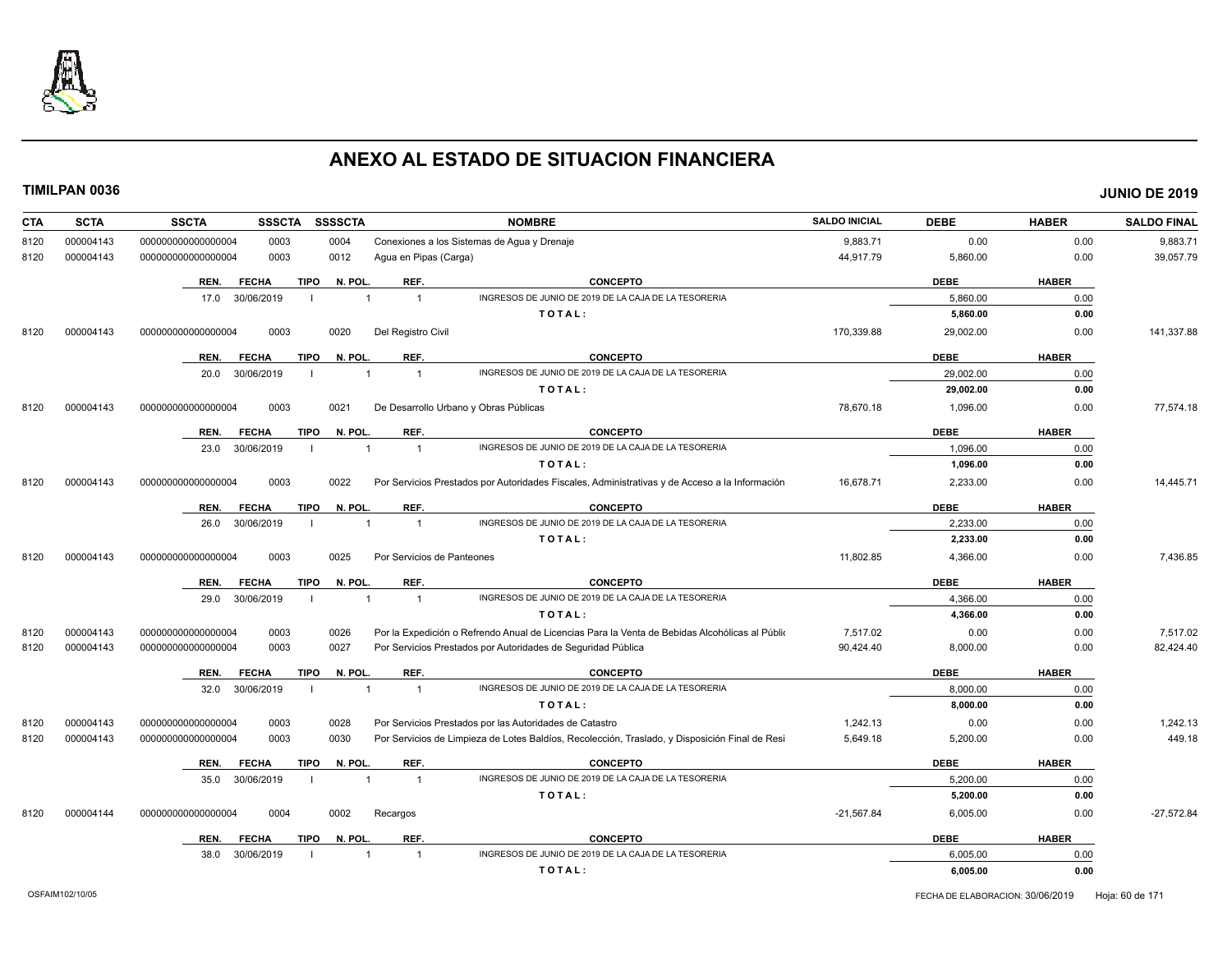

| <b>CTA</b> | <b>SCTA</b> | <b>SSCTA</b><br><b>SSSCTA</b>       | <b>SSSSCTA</b> | <b>NOMBRE</b>                                                                                     | <b>SALDO INICIAL</b> | <b>DEBE</b> | <b>HABER</b> | <b>SALDO FINAL</b> |
|------------|-------------|-------------------------------------|----------------|---------------------------------------------------------------------------------------------------|----------------------|-------------|--------------|--------------------|
| 8120       | 000004143   | 0003<br>000000000000000004          | 0004           | Conexiones a los Sistemas de Agua y Drenaje                                                       | 9,883.71             | 0.00        | 0.00         | 9,883.71           |
| 8120       | 000004143   | 0003<br>00000000000000004           | 0012           | Agua en Pipas (Carga)                                                                             | 44,917.79            | 5,860.00    | 0.00         | 39,057.79          |
|            |             | REN.<br><b>FECHA</b><br><b>TIPO</b> | N. POL         | REF.<br><b>CONCEPTO</b>                                                                           |                      | <b>DEBE</b> | <b>HABER</b> |                    |
|            |             | 30/06/2019<br>17.0                  |                | INGRESOS DE JUNIO DE 2019 DE LA CAJA DE LA TESORERIA<br>$\overline{1}$<br>$\overline{1}$          |                      | 5.860.00    | 0.00         |                    |
|            |             |                                     |                | TOTAL:                                                                                            |                      | 5,860.00    | 0.00         |                    |
| 8120       | 000004143   | 00000000000000004<br>0003           | 0020           | Del Registro Civil                                                                                | 170,339.88           | 29,002.00   | 0.00         | 141,337.88         |
|            |             | REN.<br><b>FECHA</b><br><b>TIPO</b> | N. POL         | REF.<br><b>CONCEPTO</b>                                                                           |                      | <b>DEBE</b> | <b>HABER</b> |                    |
|            |             | 20.0<br>30/06/2019                  |                | INGRESOS DE JUNIO DE 2019 DE LA CAJA DE LA TESORERIA<br>$\overline{1}$                            |                      | 29,002.00   | 0.00         |                    |
|            |             |                                     |                | TOTAL:                                                                                            |                      | 29,002.00   | 0.00         |                    |
| 8120       | 000004143   | 000000000000000004<br>0003          | 0021           | De Desarrollo Urbano y Obras Públicas                                                             | 78,670.18            | 1,096.00    | 0.00         | 77,574.18          |
|            |             |                                     |                |                                                                                                   |                      |             |              |                    |
|            |             | <b>TIPO</b><br>REN.<br><b>FECHA</b> | N. POL.        | REF.<br><b>CONCEPTO</b>                                                                           |                      | <b>DEBE</b> | <b>HABER</b> |                    |
|            |             | 23.0<br>30/06/2019                  |                | INGRESOS DE JUNIO DE 2019 DE LA CAJA DE LA TESORERIA<br>$\overline{1}$<br>$\overline{1}$          |                      | 1,096.00    | 0.00         |                    |
|            |             |                                     |                | TOTAL:                                                                                            |                      | 1,096.00    | 0.00         |                    |
| 8120       | 000004143   | 0003<br>000000000000000004          | 0022           | Por Servicios Prestados por Autoridades Fiscales, Administrativas y de Acceso a la Información    | 16,678.71            | 2,233.00    | 0.00         | 14,445.71          |
|            |             | <b>TIPO</b><br>REN.<br><b>FECHA</b> | N. POL         | REF.<br><b>CONCEPTO</b>                                                                           |                      | <b>DEBE</b> | <b>HABER</b> |                    |
|            |             | 26.0<br>30/06/2019                  |                | INGRESOS DE JUNIO DE 2019 DE LA CAJA DE LA TESORERIA<br>$\overline{1}$<br>$\mathbf{1}$            |                      | 2,233.00    | 0.00         |                    |
|            |             |                                     |                | TOTAL:                                                                                            |                      | 2,233.00    | 0.00         |                    |
| 8120       | 000004143   | 0003<br>00000000000000004           | 0025           | Por Servicios de Panteones                                                                        | 11,802.85            | 4,366.00    | 0.00         | 7,436.85           |
|            |             | <b>TIPO</b><br>REN.<br><b>FECHA</b> | N. POL         | REF.<br><b>CONCEPTO</b>                                                                           |                      | <b>DEBE</b> | <b>HABER</b> |                    |
|            |             | 30/06/2019<br>29.0                  |                | INGRESOS DE JUNIO DE 2019 DE LA CAJA DE LA TESORERIA<br>$\overline{1}$<br>$\overline{\mathbf{1}}$ |                      | 4,366.00    | 0.00         |                    |
|            |             |                                     |                | TOTAL:                                                                                            |                      | 4,366.00    | 0.00         |                    |
| 8120       | 000004143   | 00000000000000004<br>0003           | 0026           | Por la Expedición o Refrendo Anual de Licencias Para la Venta de Bebidas Alcohólicas al Públio    | 7,517.02             | 0.00        | 0.00         | 7,517.02           |
| 8120       | 000004143   | 0003<br>00000000000000004           | 0027           | Por Servicios Prestados por Autoridades de Seguridad Pública                                      | 90,424.40            | 8,000.00    | 0.00         | 82,424.40          |
|            |             | <b>TIPO</b><br>REN.<br><b>FECHA</b> | N. POL         | REF.<br><b>CONCEPTO</b>                                                                           |                      | <b>DEBE</b> | <b>HABER</b> |                    |
|            |             | 32.0<br>30/06/2019<br>- 1           |                | INGRESOS DE JUNIO DE 2019 DE LA CAJA DE LA TESORERIA<br>$\overline{1}$<br>$\overline{1}$          |                      | 8,000.00    | 0.00         |                    |
|            |             |                                     |                | TOTAL:                                                                                            |                      | 8.000.00    | 0.00         |                    |
| 8120       | 000004143   | 00000000000000004<br>0003           | 0028           | Por Servicios Prestados por las Autoridades de Catastro                                           | 1,242.13             | 0.00        | 0.00         | 1,242.13           |
| 8120       | 000004143   | 00000000000000004<br>0003           | 0030           | Por Servicios de Limpieza de Lotes Baldíos, Recolección, Traslado, y Disposición Final de Resi    | 5,649.18             | 5,200.00    | 0.00         | 449.18             |
|            |             |                                     |                |                                                                                                   |                      |             |              |                    |
|            |             | <b>FECHA</b><br><b>TIPO</b><br>REN. | N. POL         | REF.<br><b>CONCEPTO</b>                                                                           |                      | <b>DEBE</b> | <b>HABER</b> |                    |
|            |             | 30/06/2019<br>35.0                  |                | INGRESOS DE JUNIO DE 2019 DE LA CAJA DE LA TESORERIA<br>$\overline{1}$<br>$\overline{1}$          |                      | 5,200.00    | 0.00         |                    |
|            |             |                                     |                | TOTAL:                                                                                            |                      | 5,200.00    | 0.00         |                    |
| 8120       | 000004144   | 00000000000000004<br>0004           | 0002           | Recargos                                                                                          | $-21,567.84$         | 6,005.00    | 0.00         | $-27,572.84$       |
|            |             | REN.<br><b>FECHA</b><br><b>TIPO</b> | N. POL         | REF.<br><b>CONCEPTO</b>                                                                           |                      | <b>DEBE</b> | <b>HABER</b> |                    |
|            |             | 30/06/2019<br>38.0                  |                | INGRESOS DE JUNIO DE 2019 DE LA CAJA DE LA TESORERIA<br>-1                                        |                      | 6,005.00    | 0.00         |                    |
|            |             |                                     |                | TOTAL:                                                                                            |                      | 6,005.00    | 0.00         |                    |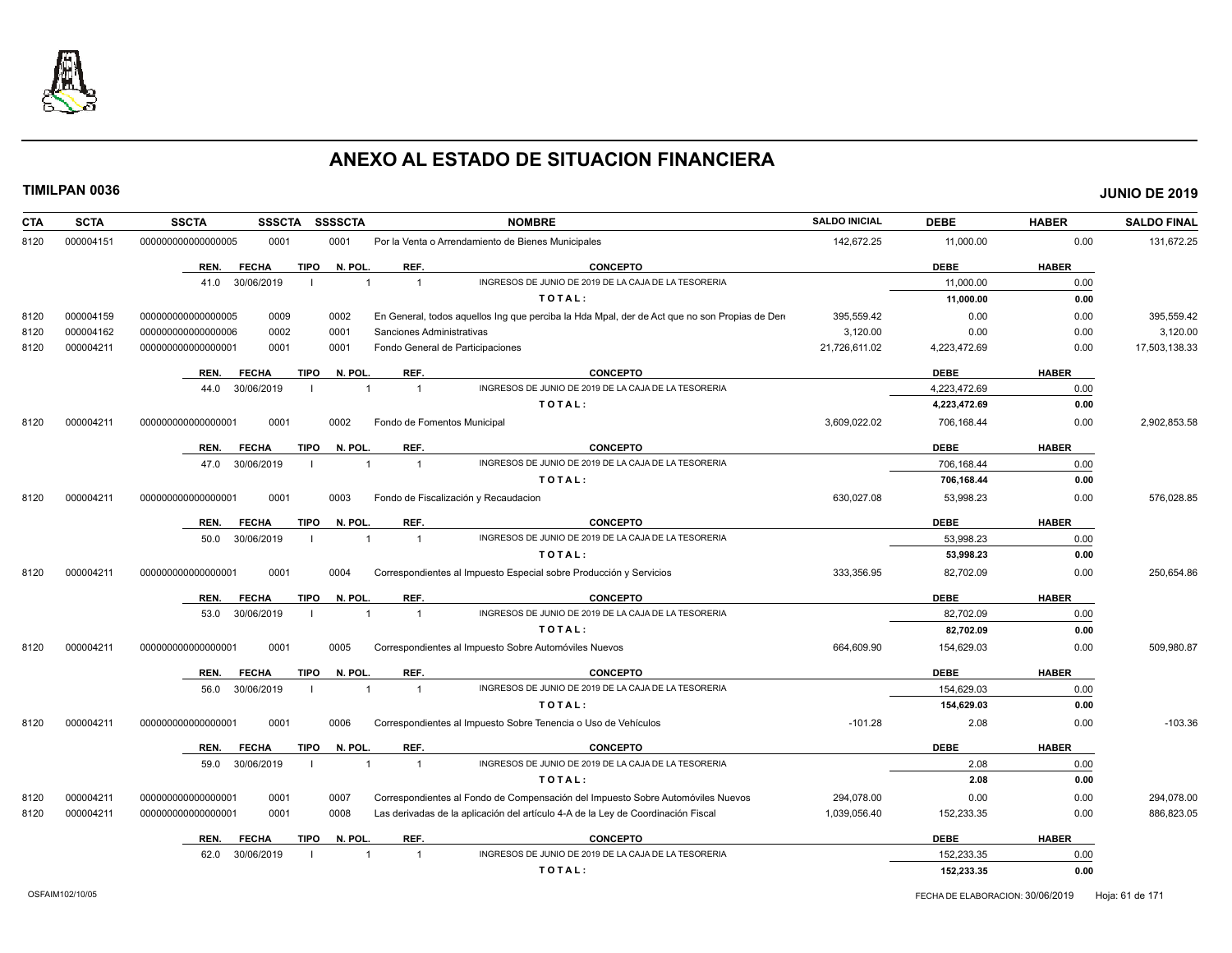

| <b>SCTA</b><br><b>CTA</b> | <b>SSCTA</b><br><b>SSSCTA</b>       | SSSSCTA        | <b>NOMBRE</b>                                                                                | <b>SALDO INICIAL</b> | <b>DEBE</b>  | <b>HABER</b> | <b>SALDO FINAL</b> |
|---------------------------|-------------------------------------|----------------|----------------------------------------------------------------------------------------------|----------------------|--------------|--------------|--------------------|
| 000004151<br>8120         | 0001<br>000000000000000005          | 0001           | Por la Venta o Arrendamiento de Bienes Municipales                                           | 142.672.25           | 11,000.00    | 0.00         | 131,672.25         |
|                           | <b>FECHA</b><br><b>TIPO</b><br>REN. | N. POL.        | <b>CONCEPTO</b><br>REF.                                                                      |                      | <b>DEBE</b>  | <b>HABER</b> |                    |
|                           | 41.0 30/06/2019<br>-1               |                | INGRESOS DE JUNIO DE 2019 DE LA CAJA DE LA TESORERIA<br>$\overline{1}$                       |                      | 11,000.00    | 0.00         |                    |
|                           |                                     |                | TOTAL:                                                                                       |                      | 11,000.00    | 0.00         |                    |
| 000004159<br>8120         | 0009<br>000000000000000005          | 0002           | En General, todos aquellos Ing que perciba la Hda Mpal, der de Act que no son Propias de Der | 395,559.42           | 0.00         | 0.00         | 395,559.42         |
| 000004162<br>8120         | 0002<br>000000000000000006          | 0001           | Sanciones Administrativas                                                                    | 3,120.00             | 0.00         | 0.00         | 3,120.00           |
| 8120<br>000004211         | 000000000000000001<br>0001          | 0001           | Fondo General de Participaciones                                                             | 21,726,611.02        | 4,223,472.69 | 0.00         | 17,503,138.33      |
|                           | <b>FECHA</b><br><b>TIPO</b><br>REN. | N. POL.        | REF.<br><b>CONCEPTO</b>                                                                      |                      | <b>DEBE</b>  | <b>HABER</b> |                    |
|                           | 30/06/2019<br>44.0                  |                | INGRESOS DE JUNIO DE 2019 DE LA CAJA DE LA TESORERIA<br>$\overline{1}$                       |                      | 4,223,472.69 | 0.00         |                    |
|                           |                                     |                | TOTAL:                                                                                       |                      | 4,223,472.69 | 0.00         |                    |
| 8120<br>000004211         | 0001<br>00000000000000001           | 0002           | Fondo de Fomentos Municipal                                                                  | 3,609,022.02         | 706,168.44   | 0.00         | 2,902,853.58       |
|                           | <b>FECHA</b><br><b>TIPO</b><br>REN. | N. POL.        | REF.<br><b>CONCEPTO</b>                                                                      |                      | <b>DEBE</b>  | <b>HABER</b> |                    |
|                           | 30/06/2019<br>47.0                  |                | INGRESOS DE JUNIO DE 2019 DE LA CAJA DE LA TESORERIA<br>$\overline{1}$                       |                      | 706,168.44   | 0.00         |                    |
|                           |                                     |                | TOTAL:                                                                                       |                      | 706,168.44   | 0.00         |                    |
| 8120<br>000004211         | 0001<br>000000000000000001          | 0003           | Fondo de Fiscalización y Recaudacion                                                         | 630,027.08           | 53,998.23    | 0.00         | 576,028.85         |
|                           | <b>TIPO</b><br>REN.<br><b>FECHA</b> | N. POL.        | <b>CONCEPTO</b><br>REF.                                                                      |                      | <b>DEBE</b>  | <b>HABER</b> |                    |
|                           | 50.0<br>30/06/2019<br>-1            | $\overline{1}$ | INGRESOS DE JUNIO DE 2019 DE LA CAJA DE LA TESORERIA<br>$\overline{1}$                       |                      | 53,998.23    | 0.00         |                    |
|                           |                                     |                | TOTAL:                                                                                       |                      | 53,998.23    | 0.00         |                    |
| 000004211<br>8120         | 000000000000000001<br>0001          | 0004           | Correspondientes al Impuesto Especial sobre Producción y Servicios                           | 333,356.95           | 82,702.09    | 0.00         | 250,654.86         |
|                           | <b>FECHA</b><br><b>TIPO</b><br>REN. | N. POL.        | REF.<br>CONCEPTO                                                                             |                      | <b>DEBE</b>  | <b>HABER</b> |                    |
|                           | 30/06/2019<br>53.0                  |                | INGRESOS DE JUNIO DE 2019 DE LA CAJA DE LA TESORERIA<br>$\overline{1}$                       |                      | 82.702.09    | 0.00         |                    |
|                           |                                     |                | TOTAL:                                                                                       |                      | 82,702.09    | 0.00         |                    |
| 000004211<br>8120         | 00000000000000001<br>0001           | 0005           | Correspondientes al Impuesto Sobre Automóviles Nuevos                                        | 664,609.90           | 154,629.03   | 0.00         | 509,980.87         |
|                           | <b>FECHA</b><br><b>TIPO</b><br>REN. | N. POL.        | REF.<br><b>CONCEPTO</b>                                                                      |                      | <b>DEBE</b>  | <b>HABER</b> |                    |
|                           | 30/06/2019<br>56.0                  | $\overline{1}$ | INGRESOS DE JUNIO DE 2019 DE LA CAJA DE LA TESORERIA<br>$\overline{1}$                       |                      | 154,629.03   | 0.00         |                    |
|                           |                                     |                | TOTAL:                                                                                       |                      | 154,629.03   | 0.00         |                    |
| 8120<br>000004211         | 0001<br>000000000000000001          | 0006           | Correspondientes al Impuesto Sobre Tenencia o Uso de Vehículos                               | $-101.28$            | 2.08         | 0.00         | $-103.36$          |
|                           | <b>FECHA</b><br><b>TIPO</b><br>REN. | N. POL.        | REF.<br><b>CONCEPTO</b>                                                                      |                      | <b>DEBE</b>  | <b>HABER</b> |                    |
|                           | 30/06/2019<br>59.0                  |                | INGRESOS DE JUNIO DE 2019 DE LA CAJA DE LA TESORERIA<br>$\overline{1}$                       |                      | 2.08         | 0.00         |                    |
|                           |                                     |                | TOTAL:                                                                                       |                      | 2.08         | 0.00         |                    |
| 000004211<br>8120         | 000000000000000001<br>0001          | 0007           | Correspondientes al Fondo de Compensación del Impuesto Sobre Automóviles Nuevos              | 294,078.00           | 0.00         | 0.00         | 294,078.00         |
| 8120<br>000004211         | 0001<br>000000000000000001          | 0008           | Las derivadas de la aplicación del artículo 4-A de la Ley de Coordinación Fiscal             | 1,039,056.40         | 152,233.35   | 0.00         | 886,823.05         |
|                           | <b>FECHA</b><br><b>TIPO</b><br>REN. | N. POL.        | REF.<br><b>CONCEPTO</b>                                                                      |                      | <b>DEBE</b>  | <b>HABER</b> |                    |
|                           | 30/06/2019<br>62.0                  |                | INGRESOS DE JUNIO DE 2019 DE LA CAJA DE LA TESORERIA<br>$\overline{1}$                       |                      | 152.233.35   | 0.00         |                    |
|                           |                                     |                | TOTAL:                                                                                       |                      | 152,233.35   | 0.00         |                    |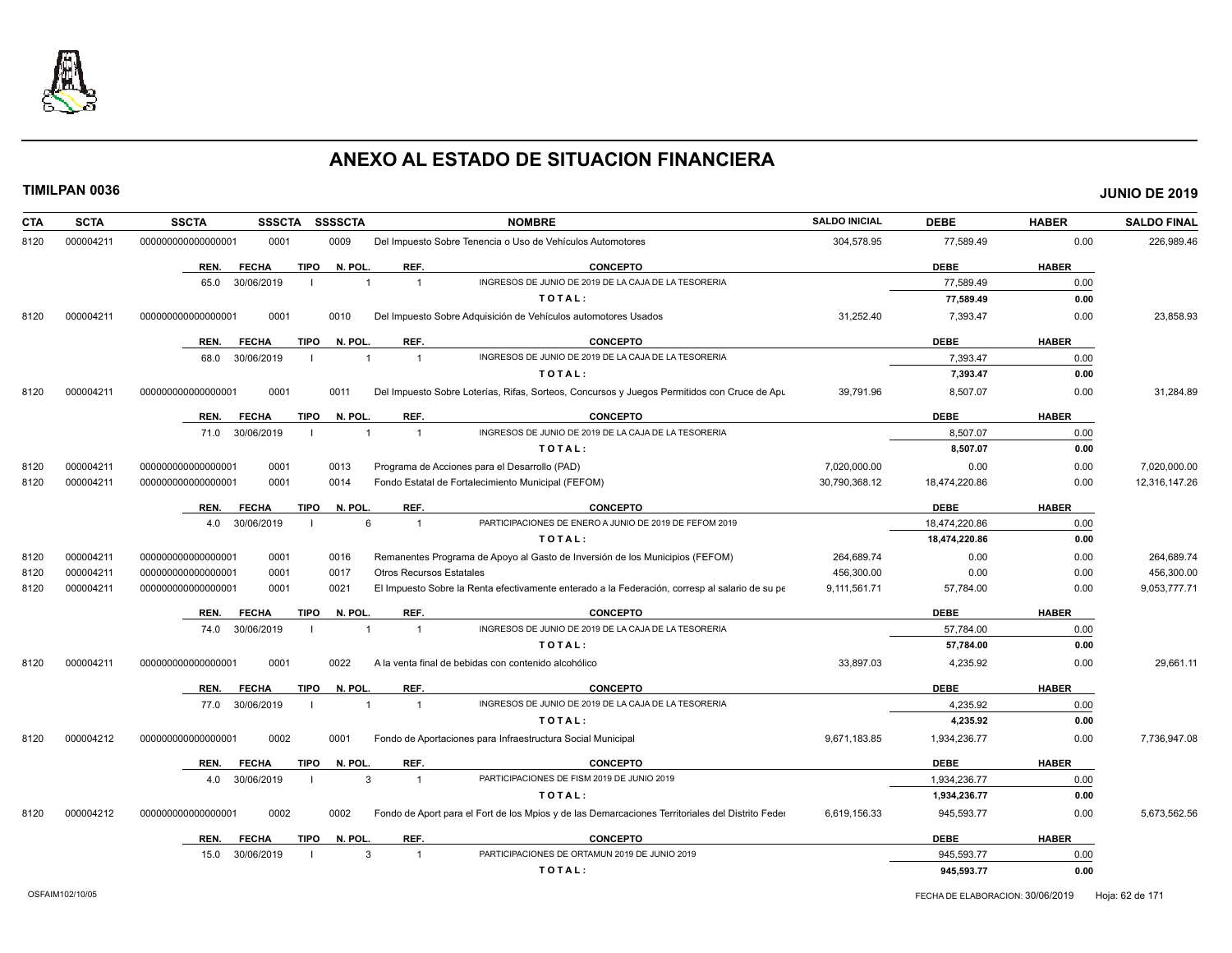

| <b>CTA</b> | <b>SCTA</b> | <b>SSCTA</b>       | <b>SSSCTA</b> | <b>SSSSCTA</b>         |                | <b>NOMBRE</b>                                                                                    | <b>SALDO INICIAL</b> | <b>DEBE</b>   | <b>HABER</b> | <b>SALDO FINAL</b> |
|------------|-------------|--------------------|---------------|------------------------|----------------|--------------------------------------------------------------------------------------------------|----------------------|---------------|--------------|--------------------|
| 8120       | 000004211   | 00000000000000001  | 0001          | 0009                   |                | Del Impuesto Sobre Tenencia o Uso de Vehículos Automotores                                       | 304,578.95           | 77,589.49     | 0.00         | 226,989.46         |
|            |             | REN.               | <b>FECHA</b>  | <b>TIPO</b><br>N. POL. |                | REF.<br><b>CONCEPTO</b>                                                                          |                      | <b>DEBE</b>   | <b>HABER</b> |                    |
|            |             | 65.0               | 30/06/2019    |                        |                | INGRESOS DE JUNIO DE 2019 DE LA CAJA DE LA TESORERIA<br>$\overline{1}$                           |                      | 77,589.49     | 0.00         |                    |
|            |             |                    |               |                        |                | TOTAL:                                                                                           |                      | 77,589.49     | 0.00         |                    |
| 8120       | 000004211   | 000000000000000001 | 0001          | 0010                   |                | Del Impuesto Sobre Adquisición de Vehículos automotores Usados                                   | 31,252.40            | 7,393.47      | 0.00         | 23,858.93          |
|            |             | REN.               | <b>FECHA</b>  | <b>TIPO</b>            | N. POL.        | REF.<br>CONCEPTO                                                                                 |                      | <b>DEBE</b>   | <b>HABER</b> |                    |
|            |             | 68.0               | 30/06/2019    |                        |                | INGRESOS DE JUNIO DE 2019 DE LA CAJA DE LA TESORERIA<br>$\overline{1}$                           |                      | 7.393.47      | 0.00         |                    |
|            |             |                    |               |                        |                | TOTAL:                                                                                           |                      | 7,393.47      | 0.00         |                    |
| 8120       | 000004211   | 00000000000000000  | 0001          | 0011                   |                | Del Impuesto Sobre Loterías, Rifas, Sorteos, Concursos y Juegos Permitidos con Cruce de Apu      | 39,791.96            | 8,507.07      | 0.00         | 31,284.89          |
|            |             | REN.               | <b>FECHA</b>  | <b>TIPO</b><br>N. POL. |                | REF.<br><b>CONCEPTO</b>                                                                          |                      | <b>DEBE</b>   | <b>HABER</b> |                    |
|            |             | 71.0               | 30/06/2019    |                        | $\overline{1}$ | INGRESOS DE JUNIO DE 2019 DE LA CAJA DE LA TESORERIA<br>$\overline{1}$                           |                      | 8,507.07      | 0.00         |                    |
|            |             |                    |               |                        |                | TOTAL:                                                                                           |                      | 8,507.07      | 0.00         |                    |
| 8120       | 000004211   | 000000000000000001 | 0001          | 0013                   |                | Programa de Acciones para el Desarrollo (PAD)                                                    | 7,020,000.00         | 0.00          | 0.00         | 7,020,000.00       |
| 8120       | 000004211   | 000000000000000001 | 0001          | 0014                   |                | Fondo Estatal de Fortalecimiento Municipal (FEFOM)                                               | 30,790,368.12        | 18,474,220.86 | 0.00         | 12,316,147.26      |
|            |             | REN.               | <b>FECHA</b>  | <b>TIPO</b>            | N. POL.        | REF.<br><b>CONCEPTO</b>                                                                          |                      | <b>DEBE</b>   | <b>HABER</b> |                    |
|            |             | 4.0                | 30/06/2019    | - 1                    | 6              | PARTICIPACIONES DE ENERO A JUNIO DE 2019 DE FEFOM 2019<br>$\overline{1}$                         |                      | 18,474,220.86 | 0.00         |                    |
|            |             |                    |               |                        |                | TOTAL:                                                                                           |                      | 18,474,220.86 | 0.00         |                    |
| 8120       | 000004211   | 000000000000000001 | 0001          | 0016                   |                | Remanentes Programa de Apoyo al Gasto de Inversión de los Municipios (FEFOM)                     | 264,689.74           | 0.00          | 0.00         | 264,689.74         |
| 8120       | 000004211   | 00000000000000001  | 0001          | 0017                   |                | <b>Otros Recursos Estatales</b>                                                                  | 456,300.00           | 0.00          | 0.00         | 456,300.00         |
| 8120       | 000004211   | 000000000000000001 | 0001          | 0021                   |                | El Impuesto Sobre la Renta efectivamente enterado a la Federación, corresp al salario de su pe   | 9,111,561.71         | 57,784.00     | 0.00         | 9,053,777.71       |
|            |             | REN.               | <b>FECHA</b>  | <b>TIPO</b><br>N. POL. |                | REF.<br><b>CONCEPTO</b>                                                                          |                      | <b>DEBE</b>   | <b>HABER</b> |                    |
|            |             | 74.0               | 30/06/2019    |                        |                | INGRESOS DE JUNIO DE 2019 DE LA CAJA DE LA TESORERIA<br>$\overline{1}$                           |                      | 57,784.00     | 0.00         |                    |
|            |             |                    |               |                        |                | TOTAL:                                                                                           |                      | 57,784.00     | 0.00         |                    |
| 8120       | 000004211   | 00000000000000001  | 0001          | 0022                   |                | A la venta final de bebidas con contenido alcohólico                                             | 33,897.03            | 4,235.92      | 0.00         | 29,661.11          |
|            |             | REN.               | <b>FECHA</b>  | <b>TIPO</b>            | N. POL.        | <b>CONCEPTO</b><br>REF.                                                                          |                      | <b>DEBE</b>   | <b>HABER</b> |                    |
|            |             | 77.0               | 30/06/2019    | -1                     | $\overline{1}$ | INGRESOS DE JUNIO DE 2019 DE LA CAJA DE LA TESORERIA<br>$\overline{1}$                           |                      | 4.235.92      | 0.00         |                    |
|            |             |                    |               |                        |                | TOTAL:                                                                                           |                      | 4,235.92      | 0.00         |                    |
| 8120       | 000004212   | 00000000000000001  | 0002          | 0001                   |                | Fondo de Aportaciones para Infraestructura Social Municipal                                      | 9,671,183.85         | 1,934,236.77  | 0.00         | 7,736,947.08       |
|            |             | REN.               | <b>FECHA</b>  | <b>TIPO</b>            | N. POL.        | REF.<br><b>CONCEPTO</b>                                                                          |                      | <b>DEBE</b>   | <b>HABER</b> |                    |
|            |             | 4.0                | 30/06/2019    |                        | 3              | PARTICIPACIONES DE FISM 2019 DE JUNIO 2019<br>$\overline{1}$                                     |                      | 1.934.236.77  | 0.00         |                    |
|            |             |                    |               |                        |                | TOTAL:                                                                                           |                      | 1,934,236.77  | 0.00         |                    |
| 8120       | 000004212   | 00000000000000000  | 0002          | 0002                   |                | Fondo de Aport para el Fort de los Mpios y de las Demarcaciones Territoriales del Distrito Feder | 6,619,156.33         | 945,593.77    | 0.00         | 5,673,562.56       |
|            |             | REN.               | <b>FECHA</b>  | <b>TIPO</b>            | N. POL.        | REF.<br><b>CONCEPTO</b>                                                                          |                      | <b>DEBE</b>   | <b>HABER</b> |                    |
|            |             | 15.0               | 30/06/2019    |                        | 3              | PARTICIPACIONES DE ORTAMUN 2019 DE JUNIO 2019<br>-1                                              |                      | 945,593.77    | 0.00         |                    |
|            |             |                    |               |                        |                | TOTAL:                                                                                           |                      | 945,593.77    | 0.00         |                    |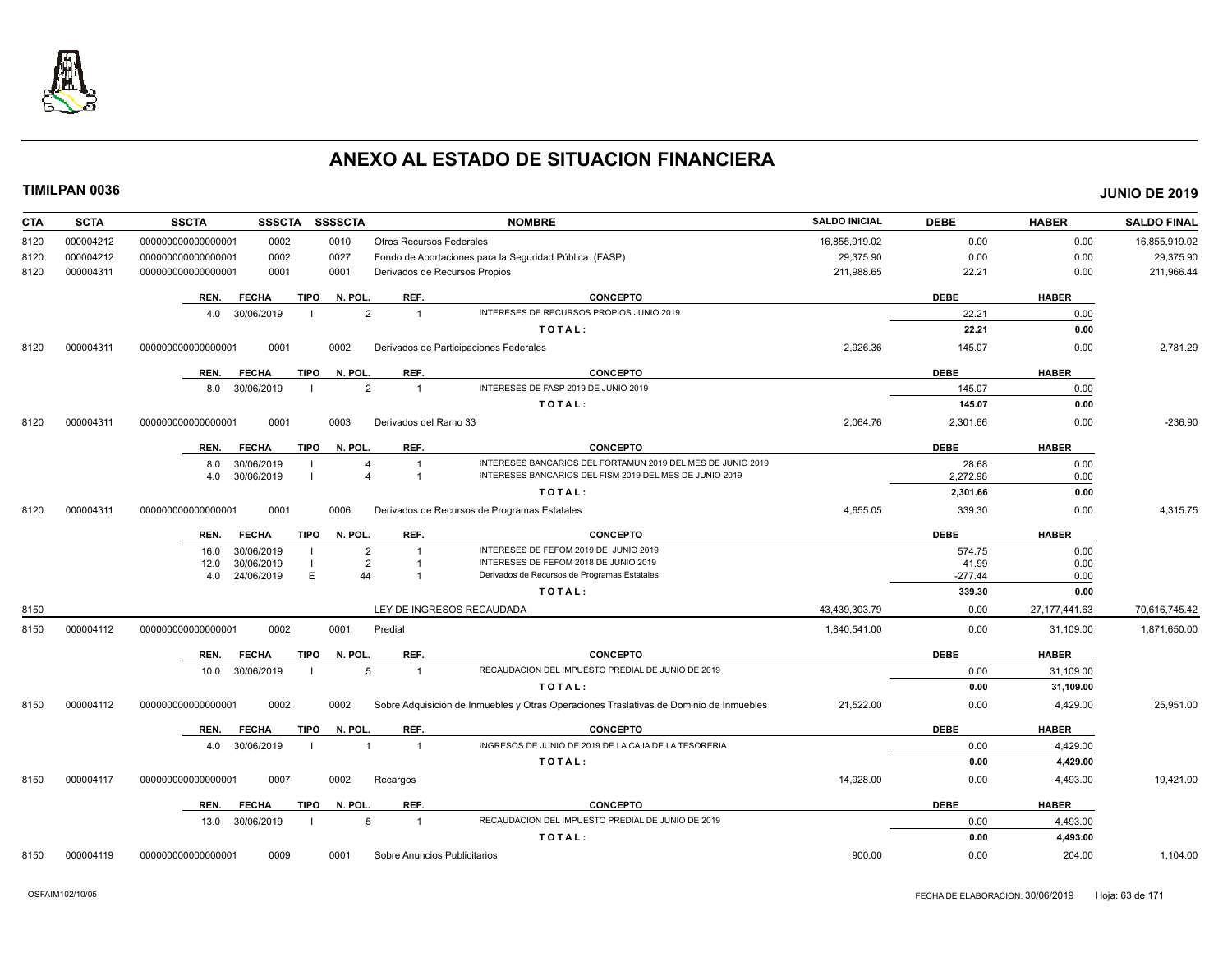

| <b>CTA</b> | <b>SCTA</b> | <b>SSCTA</b><br><b>NOMBRE</b><br><b>SSSCTA</b><br><b>SSSSCTA</b>                                                                                              | <b>SALDO INICIAL</b> | <b>DEBE</b>        | <b>HABER</b>    | <b>SALDO FINAL</b> |
|------------|-------------|---------------------------------------------------------------------------------------------------------------------------------------------------------------|----------------------|--------------------|-----------------|--------------------|
| 8120       | 000004212   | 0010<br>000000000000000001<br>0002<br><b>Otros Recursos Federales</b>                                                                                         | 16,855,919.02        | 0.00               | 0.00            | 16,855,919.02      |
| 8120       | 000004212   | 00000000000000001<br>0002<br>0027<br>Fondo de Aportaciones para la Seguridad Pública. (FASP)                                                                  | 29,375.90            | 0.00               | 0.00            | 29,375.90          |
| 8120       | 000004311   | 000000000000000001<br>0001<br>Derivados de Recursos Propios<br>0001                                                                                           | 211,988.65           | 22.21              | 0.00            | 211,966.44         |
|            |             | REF.<br><b>CONCEPTO</b><br><b>FECHA</b><br>TIPO<br>N. POL.<br>REN.                                                                                            |                      | <b>DEBE</b>        | <b>HABER</b>    |                    |
|            |             | INTERESES DE RECURSOS PROPIOS JUNIO 2019<br>30/06/2019<br>$\overline{2}$<br>$\overline{1}$<br>4.0                                                             |                      | 22.21              | 0.00            |                    |
|            |             | TOTAL:                                                                                                                                                        |                      | 22.21              | 0.00            |                    |
| 8120       | 000004311   | 000000000000000001<br>0001<br>0002<br>Derivados de Participaciones Federales                                                                                  | 2,926.36             | 145.07             | 0.00            | 2,781.29           |
|            |             | REF.<br><b>CONCEPTO</b><br><b>FECHA</b><br>TIPO<br>N. POL.<br>REN.                                                                                            |                      | <b>DEBE</b>        | <b>HABER</b>    |                    |
|            |             | INTERESES DE FASP 2019 DE JUNIO 2019<br>8.0 30/06/2019<br>$\overline{2}$<br>1                                                                                 |                      | 145.07             | 0.00            |                    |
|            |             | TOTAL:                                                                                                                                                        |                      | 145.07             | 0.00            |                    |
| 8120       | 000004311   | 0001<br>000000000000000001<br>0003<br>Derivados del Ramo 33                                                                                                   | 2,064.76             | 2,301.66           | 0.00            | $-236.90$          |
|            |             | REF.<br><b>FECHA</b><br>TIPO<br>N. POL.<br><b>CONCEPTO</b><br>REN.                                                                                            |                      | <b>DEBE</b>        | <b>HABER</b>    |                    |
|            |             | INTERESES BANCARIOS DEL FORTAMUN 2019 DEL MES DE JUNIO 2019<br>30/06/2019<br>8.0<br>$\overline{1}$<br>$\overline{4}$                                          |                      | 28.68              | 0.00            |                    |
|            |             | INTERESES BANCARIOS DEL FISM 2019 DEL MES DE JUNIO 2019<br>30/06/2019<br>4.0<br>$\overline{1}$                                                                |                      | 2,272.98           | 0.00            |                    |
|            |             | TOTAL:                                                                                                                                                        |                      | 2,301.66           | 0.00            |                    |
| 8120       | 000004311   | 0001<br>0006<br>Derivados de Recursos de Programas Estatales<br>000000000000000001                                                                            | 4,655.05             | 339.30             | 0.00            | 4,315.75           |
|            |             | <b>TIPO</b><br>N. POL.<br>REF.<br><b>CONCEPTO</b><br>REN.<br><b>FECHA</b>                                                                                     |                      | <b>DEBE</b>        | <b>HABER</b>    |                    |
|            |             | INTERESES DE FEFOM 2019 DE JUNIO 2019<br>30/06/2019<br>$\overline{2}$<br>16.0                                                                                 |                      | 574.75             | 0.00            |                    |
|            |             | INTERESES DE FEFOM 2018 DE JUNIO 2019<br>30/06/2019<br>$\overline{2}$<br>12.0<br>E<br>44<br>Derivados de Recursos de Programas Estatales<br>24/06/2019<br>4.0 |                      | 41.99<br>$-277.44$ | 0.00<br>0.00    |                    |
|            |             | TOTAL:                                                                                                                                                        |                      | 339.30             | 0.00            |                    |
| 8150       |             | LEY DE INGRESOS RECAUDADA                                                                                                                                     | 43,439,303.79        | 0.00               | 27, 177, 441.63 | 70,616,745.42      |
| 8150       | 000004112   | 0002<br>0001<br>Predial<br>000000000000000001                                                                                                                 | 1,840,541.00         | 0.00               | 31,109.00       | 1,871,650.00       |
|            |             | REF.<br>TIPO<br>N. POL.<br><b>CONCEPTO</b><br>REN.<br><b>FECHA</b>                                                                                            |                      | <b>DEBE</b>        | <b>HABER</b>    |                    |
|            |             | RECAUDACION DEL IMPUESTO PREDIAL DE JUNIO DE 2019<br>10.0 30/06/2019<br>5<br>$\overline{1}$                                                                   |                      | 0.00               | 31,109.00       |                    |
|            |             | TOTAL:                                                                                                                                                        |                      | 0.00               | 31,109.00       |                    |
| 8150       | 000004112   | 0002<br>0002<br>Sobre Adquisición de Inmuebles y Otras Operaciones Traslativas de Dominio de Inmuebles<br>000000000000000001                                  | 21,522.00            | 0.00               | 4,429.00        | 25,951.00          |
|            |             | <b>FECHA</b><br><b>TIPO</b><br>N. POL.<br>REF.<br><b>CONCEPTO</b><br>REN.                                                                                     |                      | <b>DEBE</b>        | <b>HABER</b>    |                    |
|            |             | INGRESOS DE JUNIO DE 2019 DE LA CAJA DE LA TESORERIA<br>30/06/2019<br>$\overline{1}$<br>$\overline{1}$<br>4.0                                                 |                      | 0.00               | 4,429.00        |                    |
|            |             | TOTAL:                                                                                                                                                        |                      | 0.00               | 4,429.00        |                    |
| 8150       | 000004117   | 000000000000000001<br>0007<br>0002<br>Recargos                                                                                                                | 14,928.00            | 0.00               | 4,493.00        | 19,421.00          |
|            |             | REF.<br><b>TIPO</b><br>N. POL.<br><b>CONCEPTO</b><br>REN.<br><b>FECHA</b>                                                                                     |                      | <b>DEBE</b>        | <b>HABER</b>    |                    |
|            |             | RECAUDACION DEL IMPUESTO PREDIAL DE JUNIO DE 2019<br>13.0 30/06/2019<br>5<br>$\overline{1}$                                                                   |                      | 0.00               | 4,493.00        |                    |
|            |             | TOTAL:                                                                                                                                                        |                      | 0.00               | 4,493.00        |                    |
| 8150       | 000004119   | 0009<br>0001<br>Sobre Anuncios Publicitarios<br>00000000000000001                                                                                             | 900.00               | 0.00               | 204.00          | 1.104.00           |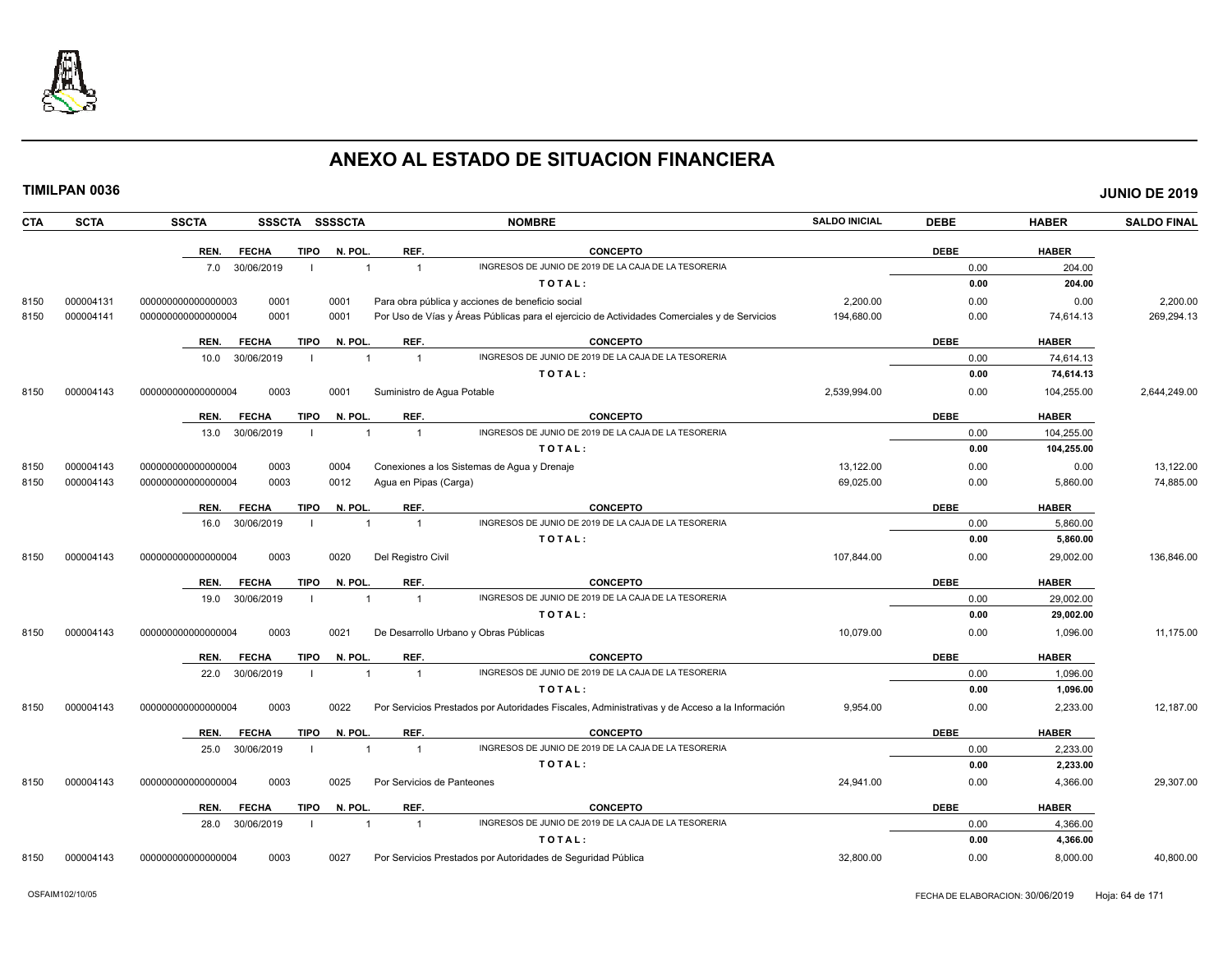

| <b>CTA</b> | <b>SCTA</b> | <b>SSCTA</b>       |              |             | SSSCTA SSSSCTA |                            | <b>NOMBRE</b>                                                                                  | <b>SALDO INICIAL</b> | <b>DEBE</b> | <b>HABER</b> | <b>SALDO FINAL</b> |
|------------|-------------|--------------------|--------------|-------------|----------------|----------------------------|------------------------------------------------------------------------------------------------|----------------------|-------------|--------------|--------------------|
|            |             | REN.               | <b>FECHA</b> | <b>TIPO</b> | N. POL.        | REF.                       | <b>CONCEPTO</b>                                                                                |                      | <b>DEBE</b> | <b>HABER</b> |                    |
|            |             | 7.0                | 30/06/2019   |             | $\overline{1}$ | $\overline{1}$             | INGRESOS DE JUNIO DE 2019 DE LA CAJA DE LA TESORERIA                                           |                      | 0.00        | 204.00       |                    |
|            |             |                    |              |             |                |                            | TOTAL:                                                                                         |                      | 0.00        | 204.00       |                    |
| 8150       | 000004131   | 000000000000000003 | 0001         |             | 0001           |                            | Para obra pública y acciones de beneficio social                                               | 2,200.00             | 0.00        | 0.00         | 2,200.00           |
| 8150       | 000004141   | 000000000000000004 | 0001         |             | 0001           |                            | Por Uso de Vías y Áreas Públicas para el ejercicio de Actividades Comerciales y de Servicios   | 194,680.00           | 0.00        | 74,614.13    | 269,294.13         |
|            |             | REN.               | <b>FECHA</b> | <b>TIPO</b> | N. POL.        | REF.                       | <b>CONCEPTO</b>                                                                                |                      | <b>DEBE</b> | <b>HABER</b> |                    |
|            |             | 10.0               | 30/06/2019   |             | $\overline{1}$ | $\overline{1}$             | INGRESOS DE JUNIO DE 2019 DE LA CAJA DE LA TESORERIA                                           |                      | 0.00        | 74,614.13    |                    |
|            |             |                    |              |             |                |                            | TOTAL:                                                                                         |                      | 0.00        | 74,614.13    |                    |
| 8150       | 000004143   | 00000000000000004  | 0003         |             | 0001           | Suministro de Agua Potable |                                                                                                | 2,539,994.00         | 0.00        | 104,255.00   | 2,644,249.00       |
|            |             | REN.               | <b>FECHA</b> | <b>TIPO</b> | N. POL.        | REF.                       | <b>CONCEPTO</b>                                                                                |                      | <b>DEBE</b> | <b>HABER</b> |                    |
|            |             | 13.0               | 30/06/2019   |             |                | $\overline{1}$             | INGRESOS DE JUNIO DE 2019 DE LA CAJA DE LA TESORERIA                                           |                      | 0.00        | 104,255.00   |                    |
|            |             |                    |              |             |                |                            | TOTAL:                                                                                         |                      | 0.00        | 104,255.00   |                    |
| 8150       | 000004143   | 00000000000000004  | 0003         |             | 0004           |                            | Conexiones a los Sistemas de Agua y Drenaje                                                    | 13,122.00            | 0.00        | 0.00         | 13,122.00          |
| 8150       | 000004143   | 000000000000000004 | 0003         |             | 0012           | Agua en Pipas (Carga)      |                                                                                                | 69,025.00            | 0.00        | 5,860.00     | 74,885.00          |
|            |             | REN.               | <b>FECHA</b> | <b>TIPO</b> | N. POL.        | REF.                       | <b>CONCEPTO</b>                                                                                |                      | <b>DEBE</b> | <b>HABER</b> |                    |
|            |             | 16.0               | 30/06/2019   |             |                |                            | INGRESOS DE JUNIO DE 2019 DE LA CAJA DE LA TESORERIA                                           |                      | 0.00        | 5,860.00     |                    |
|            |             |                    |              |             |                |                            | TOTAL:                                                                                         |                      | 0.00        | 5,860.00     |                    |
| 8150       | 000004143   | 00000000000000004  | 0003         |             | 0020           | Del Registro Civil         |                                                                                                | 107,844.00           | 0.00        | 29,002.00    | 136,846.00         |
|            |             | REN.               | <b>FECHA</b> | <b>TIPO</b> | N. POL         | REF.                       | <b>CONCEPTO</b>                                                                                |                      | <b>DEBE</b> | <b>HABER</b> |                    |
|            |             | 19.0               | 30/06/2019   |             | $\overline{1}$ | $\overline{1}$             | INGRESOS DE JUNIO DE 2019 DE LA CAJA DE LA TESORERIA                                           |                      | 0.00        | 29,002.00    |                    |
|            |             |                    |              |             |                |                            | TOTAL:                                                                                         |                      | 0.00        | 29,002.00    |                    |
| 8150       | 000004143   | 00000000000000004  | 0003         |             | 0021           |                            | De Desarrollo Urbano y Obras Públicas                                                          | 10,079.00            | 0.00        | 1,096.00     | 11,175.00          |
|            |             | REN.               | <b>FECHA</b> | <b>TIPO</b> | N. POL.        | REF.                       | <b>CONCEPTO</b>                                                                                |                      | <b>DEBE</b> | <b>HABER</b> |                    |
|            |             | 22.0               | 30/06/2019   |             | $\mathbf{1}$   | $\overline{1}$             | INGRESOS DE JUNIO DE 2019 DE LA CAJA DE LA TESORERIA                                           |                      | 0.00        | 1,096.00     |                    |
|            |             |                    |              |             |                |                            | TOTAL:                                                                                         |                      | 0.00        | 1,096.00     |                    |
| 8150       | 000004143   | 000000000000000004 | 0003         |             | 0022           |                            | Por Servicios Prestados por Autoridades Fiscales, Administrativas y de Acceso a la Información | 9,954.00             | 0.00        | 2,233.00     | 12,187.00          |
|            |             | REN.               | <b>FECHA</b> | <b>TIPO</b> | N. POL.        | REF.                       | <b>CONCEPTO</b>                                                                                |                      | <b>DEBE</b> | <b>HABER</b> |                    |
|            |             | 25.0               | 30/06/2019   |             | $\overline{1}$ | $\overline{1}$             | INGRESOS DE JUNIO DE 2019 DE LA CAJA DE LA TESORERIA                                           |                      | 0.00        | 2,233.00     |                    |
|            |             |                    |              |             |                |                            | TOTAL:                                                                                         |                      | 0.00        | 2,233.00     |                    |
| 8150       | 000004143   | 00000000000000004  | 0003         |             | 0025           | Por Servicios de Panteones |                                                                                                | 24,941.00            | 0.00        | 4,366.00     | 29,307.00          |
|            |             | REN.               | <b>FECHA</b> | <b>TIPO</b> | N. POL.        | REF.                       | <b>CONCEPTO</b>                                                                                |                      | <b>DEBE</b> | <b>HABER</b> |                    |
|            |             | 28.0               | 30/06/2019   |             | 1              | $\overline{1}$             | INGRESOS DE JUNIO DE 2019 DE LA CAJA DE LA TESORERIA                                           |                      | 0.00        | 4,366.00     |                    |
|            |             |                    |              |             |                |                            | TOTAL:                                                                                         |                      | 0.00        | 4,366.00     |                    |
| 8150       | 000004143   | 00000000000000004  | 0003         |             | 0027           |                            | Por Servicios Prestados por Autoridades de Seguridad Pública                                   | 32.800.00            | 0.00        | 8.000.00     | 40.800.00          |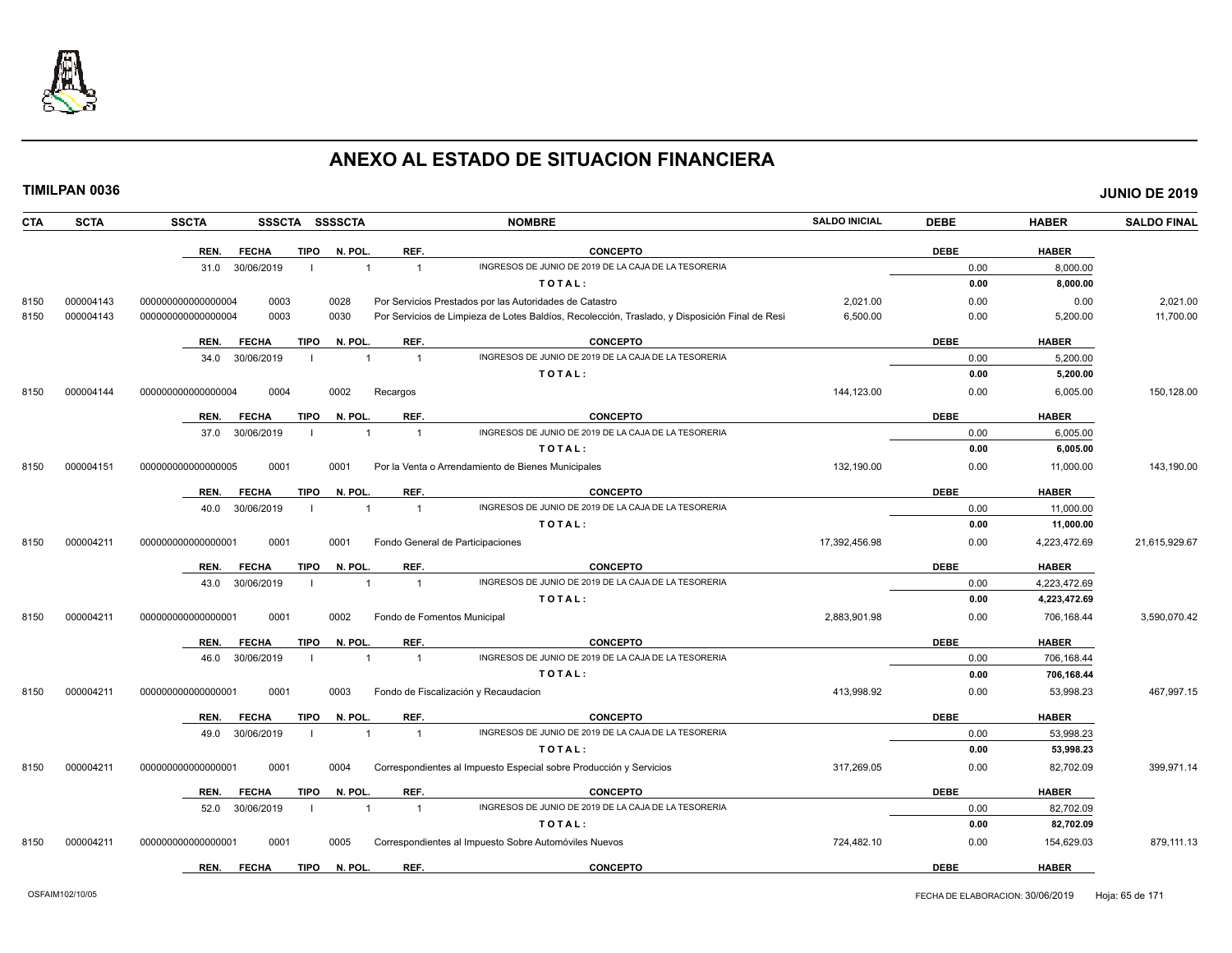

| <b>CTA</b> | <b>SCTA</b> | <b>SSCTA</b>       |              |             | SSSCTA SSSSCTA |                | <b>NOMBRE</b>                                                                                  | <b>SALDO INICIAL</b> | <b>DEBE</b> | <b>HABER</b> | <b>SALDO FINAL</b> |
|------------|-------------|--------------------|--------------|-------------|----------------|----------------|------------------------------------------------------------------------------------------------|----------------------|-------------|--------------|--------------------|
|            |             | REN.               | <b>FECHA</b> | <b>TIPO</b> | N. POL.        | REF.           | <b>CONCEPTO</b>                                                                                |                      | <b>DEBE</b> | <b>HABER</b> |                    |
|            |             | 31.0               | 30/06/2019   |             | $\overline{1}$ | $\overline{1}$ | INGRESOS DE JUNIO DE 2019 DE LA CAJA DE LA TESORERIA                                           |                      | 0.00        | 8.000.00     |                    |
|            |             |                    |              |             |                |                | TOTAL:                                                                                         |                      | 0.00        | 8.000.00     |                    |
| 8150       | 000004143   | 000000000000000004 | 0003         |             | 0028           |                | Por Servicios Prestados por las Autoridades de Catastro                                        | 2,021.00             | 0.00        | 0.00         | 2,021.00           |
| 8150       | 000004143   | 000000000000000004 | 0003         |             | 0030           |                | Por Servicios de Limpieza de Lotes Baldíos, Recolección, Traslado, y Disposición Final de Resi | 6,500.00             | 0.00        | 5,200.00     | 11,700.00          |
|            |             | REN.               | <b>FECHA</b> | <b>TIPO</b> | N. POL         | REF.           | <b>CONCEPTO</b>                                                                                |                      | <b>DEBE</b> | <b>HABER</b> |                    |
|            |             | 34.0               | 30/06/2019   |             |                | $\overline{1}$ | INGRESOS DE JUNIO DE 2019 DE LA CAJA DE LA TESORERIA                                           |                      | 0.00        | 5,200.00     |                    |
|            |             |                    |              |             |                |                | TOTAL:                                                                                         |                      | 0.00        | 5,200.00     |                    |
| 8150       | 000004144   | 000000000000000004 | 0004         |             | 0002           | Recargos       |                                                                                                | 144,123.00           | 0.00        | 6,005.00     | 150,128.00         |
|            |             | REN.               | <b>FECHA</b> | <b>TIPO</b> | N. POL         | REF.           | <b>CONCEPTO</b>                                                                                |                      | <b>DEBE</b> | <b>HABER</b> |                    |
|            |             | 37.0               | 30/06/2019   |             | $\overline{1}$ | $\overline{1}$ | INGRESOS DE JUNIO DE 2019 DE LA CAJA DE LA TESORERIA                                           |                      | 0.00        | 6,005.00     |                    |
|            |             |                    |              |             |                |                | TOTAL:                                                                                         |                      | 0.00        | 6.005.00     |                    |
| 8150       | 000004151   | 000000000000000005 | 0001         |             | 0001           |                | Por la Venta o Arrendamiento de Bienes Municipales                                             | 132.190.00           | 0.00        | 11,000.00    | 143,190.00         |
|            |             | REN.               | <b>FECHA</b> | <b>TIPO</b> | N. POL         | REF.           | <b>CONCEPTO</b>                                                                                |                      | <b>DEBE</b> | <b>HABER</b> |                    |
|            |             | 40.0               | 30/06/2019   |             | $\mathbf{1}$   | $\overline{1}$ | INGRESOS DE JUNIO DE 2019 DE LA CAJA DE LA TESORERIA                                           |                      | 0.00        | 11,000.00    |                    |
|            |             |                    |              |             |                |                | TOTAL:                                                                                         |                      | 0.00        | 11,000.00    |                    |
| 8150       | 000004211   | 00000000000000000  | 0001         |             | 0001           |                | Fondo General de Participaciones                                                               | 17,392,456.98        | 0.00        | 4,223,472.69 | 21,615,929.67      |
|            |             | REN.               | <b>FECHA</b> | <b>TIPO</b> | N. POL         | REF.           | <b>CONCEPTO</b>                                                                                |                      | <b>DEBE</b> | <b>HABER</b> |                    |
|            |             | 43.0               | 30/06/2019   |             |                | $\overline{1}$ | INGRESOS DE JUNIO DE 2019 DE LA CAJA DE LA TESORERIA                                           |                      | 0.00        | 4.223.472.69 |                    |
|            |             |                    |              |             |                |                | TOTAL:                                                                                         |                      | 0.00        | 4,223,472.69 |                    |
| 8150       | 000004211   | 000000000000000001 | 0001         |             | 0002           |                | Fondo de Fomentos Municipal                                                                    | 2.883.901.98         | 0.00        | 706.168.44   | 3,590,070.42       |
|            |             | REN.               | <b>FECHA</b> | <b>TIPO</b> | N. POL         | REF.           | <b>CONCEPTO</b>                                                                                |                      | <b>DEBE</b> | <b>HABER</b> |                    |
|            |             | 46.0               | 30/06/2019   |             | $\mathbf{1}$   | $\overline{1}$ | INGRESOS DE JUNIO DE 2019 DE LA CAJA DE LA TESORERIA                                           |                      | 0.00        | 706,168.44   |                    |
|            |             |                    |              |             |                |                | TOTAL:                                                                                         |                      | 0.00        | 706,168.44   |                    |
| 8150       | 000004211   | 000000000000000001 | 0001         |             | 0003           |                | Fondo de Fiscalización y Recaudacion                                                           | 413,998.92           | 0.00        | 53,998.23    | 467,997.15         |
|            |             | REN.               | <b>FECHA</b> | <b>TIPO</b> | N. POL         | REF.           | <b>CONCEPTO</b>                                                                                |                      | <b>DEBE</b> | <b>HABER</b> |                    |
|            |             | 49.0               | 30/06/2019   | - 1         | $\overline{1}$ | $\overline{1}$ | INGRESOS DE JUNIO DE 2019 DE LA CAJA DE LA TESORERIA                                           |                      | 0.00        | 53,998.23    |                    |
|            |             |                    |              |             |                |                | TOTAL:                                                                                         |                      | 0.00        | 53,998.23    |                    |
| 8150       | 000004211   | 000000000000000001 | 0001         |             | 0004           |                | Correspondientes al Impuesto Especial sobre Producción y Servicios                             | 317,269.05           | 0.00        | 82,702.09    | 399,971.14         |
|            |             | REN.               | <b>FECHA</b> | <b>TIPO</b> | N. POL         | REF.           | <b>CONCEPTO</b>                                                                                |                      | <b>DEBE</b> | <b>HABER</b> |                    |
|            |             | 52.0               | 30/06/2019   |             | $\overline{1}$ | $\overline{1}$ | INGRESOS DE JUNIO DE 2019 DE LA CAJA DE LA TESORERIA                                           |                      | 0.00        | 82,702.09    |                    |
|            |             |                    |              |             |                |                | TOTAL:                                                                                         |                      | 0.00        | 82,702.09    |                    |
| 8150       | 000004211   | 00000000000000000  | 0001         |             | 0005           |                | Correspondientes al Impuesto Sobre Automóviles Nuevos                                          | 724,482.10           | 0.00        | 154,629.03   | 879,111.13         |
|            |             | REN.               | <b>FECHA</b> | <b>TIPO</b> | N. POL         | REF.           | <b>CONCEPTO</b>                                                                                |                      | <b>DEBE</b> | <b>HABER</b> |                    |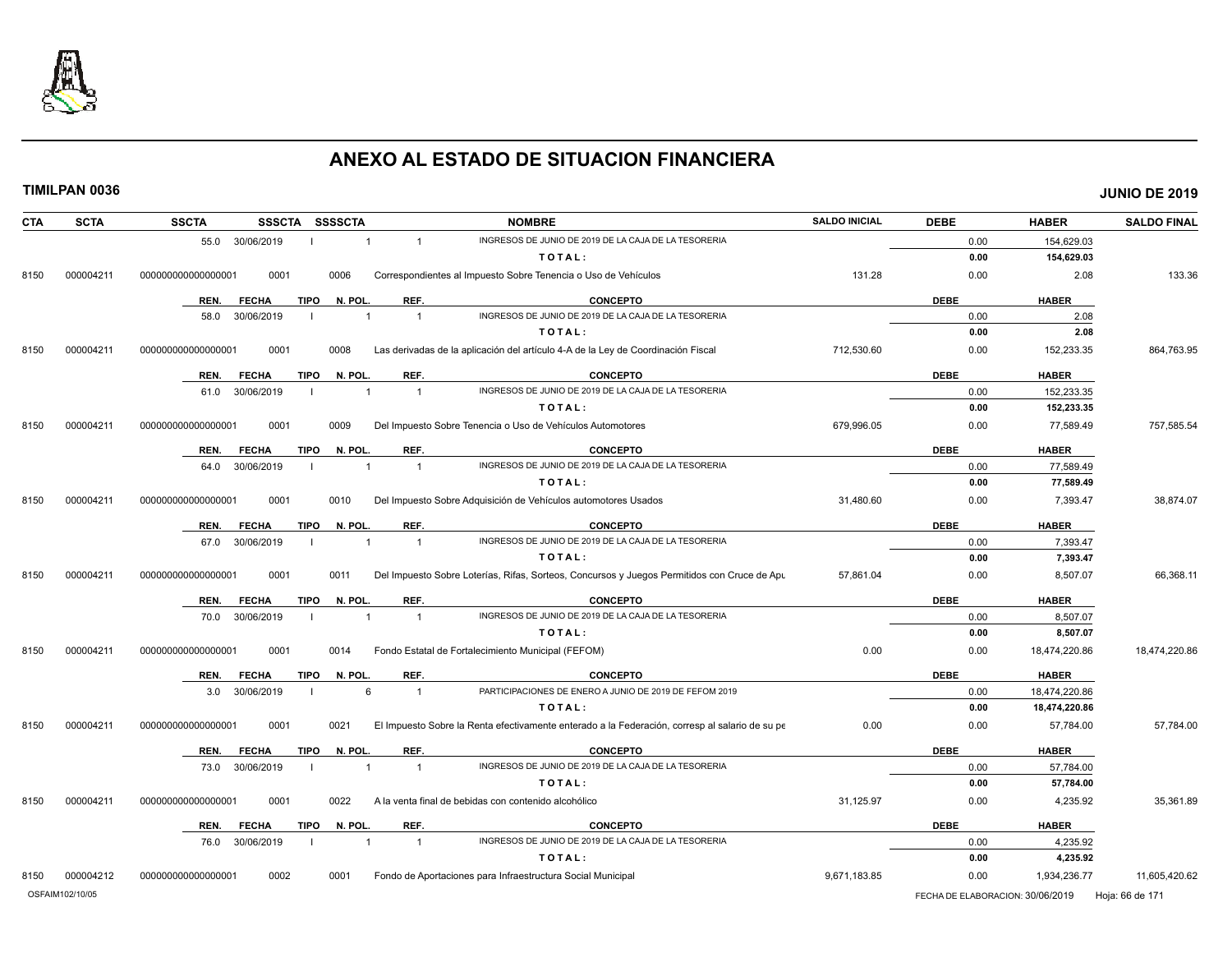

|--|

| <b>SCTA</b><br>CTA | <b>SSCTA</b><br><b>SSSSCTA</b><br><b>SSSCTA</b> | <b>NOMBRE</b>                                                                                  | <b>SALDO INICIAL</b> | <b>DEBE</b> | <b>HABER</b>  | <b>SALDO FINAL</b> |
|--------------------|-------------------------------------------------|------------------------------------------------------------------------------------------------|----------------------|-------------|---------------|--------------------|
|                    | 55.0 30/06/2019<br>$\overline{1}$               | INGRESOS DE JUNIO DE 2019 DE LA CAJA DE LA TESORERIA<br>$\mathbf{1}$                           |                      | 0.00        | 154,629.03    |                    |
|                    |                                                 | TOTAL:                                                                                         |                      | 0.00        | 154,629.03    |                    |
| 000004211<br>8150  | 000000000000000001<br>0001<br>0006              | Correspondientes al Impuesto Sobre Tenencia o Uso de Vehículos                                 | 131.28               | 0.00        | 2.08          | 133.36             |
|                    | N. POL.<br>REN.<br><b>FECHA</b><br>TIPO         | REF.<br><b>CONCEPTO</b>                                                                        |                      | <b>DEBE</b> | <b>HABER</b>  |                    |
|                    | 30/06/2019<br>58.0<br>$\overline{1}$            | INGRESOS DE JUNIO DE 2019 DE LA CAJA DE LA TESORERIA<br>$\overline{1}$                         |                      | 0.00        | 2.08          |                    |
|                    |                                                 | TOTAL:                                                                                         |                      | 0.00        | 2.08          |                    |
| 000004211<br>8150  | 00000000000000001<br>0001<br>0008               | Las derivadas de la aplicación del artículo 4-A de la Ley de Coordinación Fiscal               | 712,530.60           | 0.00        | 152,233.35    | 864,763.95         |
|                    | N. POL.<br><b>FECHA</b><br>TIPO<br>REN.         | REF.<br><b>CONCEPTO</b>                                                                        |                      | <b>DEBE</b> | <b>HABER</b>  |                    |
|                    | 61.0 30/06/2019                                 | INGRESOS DE JUNIO DE 2019 DE LA CAJA DE LA TESORERIA<br>$\overline{1}$                         |                      | 0.00        | 152,233.35    |                    |
|                    |                                                 | TOTAL:                                                                                         |                      | 0.00        | 152,233.35    |                    |
| 000004211<br>8150  | 0001<br>00000000000000001<br>0009               | Del Impuesto Sobre Tenencia o Uso de Vehículos Automotores                                     | 679.996.05           | 0.00        | 77,589.49     | 757,585.54         |
|                    | TIPO<br>N. POL.<br>REN.<br><b>FECHA</b>         | REF.<br><b>CONCEPTO</b>                                                                        |                      | <b>DEBE</b> | <b>HABER</b>  |                    |
|                    | 30/06/2019<br>64.0                              | INGRESOS DE JUNIO DE 2019 DE LA CAJA DE LA TESORERIA<br>$\mathbf{1}$                           |                      | 0.00        | 77,589.49     |                    |
|                    |                                                 | TOTAL:                                                                                         |                      | 0.00        | 77,589.49     |                    |
| 8150<br>000004211  | 000000000000000001<br>0001<br>0010              | Del Impuesto Sobre Adquisición de Vehículos automotores Usados                                 | 31,480.60            | 0.00        | 7,393.47      | 38,874.07          |
|                    | <b>FECHA</b><br><b>TIPO</b><br>N. POL.<br>REN.  | REF.<br><b>CONCEPTO</b>                                                                        |                      | <b>DEBE</b> | <b>HABER</b>  |                    |
|                    | 30/06/2019<br>67.0<br>$\overline{1}$            | INGRESOS DE JUNIO DE 2019 DE LA CAJA DE LA TESORERIA<br>$\overline{1}$                         |                      | 0.00        | 7,393.47      |                    |
|                    |                                                 | TOTAL:                                                                                         |                      | 0.00        | 7,393.47      |                    |
| 000004211<br>8150  | 000000000000000001<br>0001<br>0011              | Del Impuesto Sobre Loterías, Rifas, Sorteos, Concursos y Juegos Permitidos con Cruce de Apu    | 57,861.04            | 0.00        | 8,507.07      | 66,368.11          |
|                    | <b>FECHA</b><br><b>TIPO</b><br>N. POL.<br>REN.  | REF.<br><b>CONCEPTO</b>                                                                        |                      | <b>DEBE</b> | <b>HABER</b>  |                    |
|                    | 30/06/2019<br>70.0<br>$\mathbf{1}$              | INGRESOS DE JUNIO DE 2019 DE LA CAJA DE LA TESORERIA<br>$\overline{1}$                         |                      | 0.00        | 8,507.07      |                    |
|                    |                                                 | TOTAL:                                                                                         |                      | 0.00        | 8,507.07      |                    |
| 8150<br>000004211  | 0001<br>000000000000000001<br>0014              | Fondo Estatal de Fortalecimiento Municipal (FEFOM)                                             | 0.00                 | 0.00        | 18,474,220.86 | 18,474,220.86      |
|                    | <b>FECHA</b><br><b>TIPO</b><br>N. POL.<br>REN.  | REF.<br><b>CONCEPTO</b>                                                                        |                      | <b>DEBE</b> | <b>HABER</b>  |                    |
|                    | 6<br>30/06/2019<br>3.0                          | PARTICIPACIONES DE ENERO A JUNIO DE 2019 DE FEFOM 2019<br>$\overline{1}$                       |                      | 0.00        | 18,474,220.86 |                    |
|                    |                                                 | TOTAL:                                                                                         |                      | 0.00        | 18,474,220.86 |                    |
| 000004211<br>8150  | 00000000000000001<br>0001<br>0021               | El Impuesto Sobre la Renta efectivamente enterado a la Federación, corresp al salario de su pe | 0.00                 | 0.00        | 57,784.00     | 57,784.00          |
|                    | REN.<br><b>FECHA</b><br><b>TIPO</b><br>N. POL.  | REF.<br><b>CONCEPTO</b>                                                                        |                      | <b>DEBE</b> | <b>HABER</b>  |                    |
|                    | 30/06/2019<br>73.0<br>$\overline{1}$            | INGRESOS DE JUNIO DE 2019 DE LA CAJA DE LA TESORERIA<br>$\mathbf{1}$                           |                      | 0.00        | 57,784.00     |                    |
|                    |                                                 | TOTAL:                                                                                         |                      | 0.00        | 57,784.00     |                    |
| 000004211<br>8150  | 000000000000000001<br>0001<br>0022              | A la venta final de bebidas con contenido alcohólico                                           | 31,125.97            | 0.00        | 4,235.92      | 35,361.89          |
|                    | <b>FECHA</b><br><b>TIPO</b><br>N. POL.<br>REN.  | REF.<br><b>CONCEPTO</b>                                                                        |                      | <b>DEBE</b> | <b>HABER</b>  |                    |
|                    | 30/06/2019<br>76.0                              | INGRESOS DE JUNIO DE 2019 DE LA CAJA DE LA TESORERIA<br>$\mathbf{1}$                           |                      | 0.00        | 4,235.92      |                    |
|                    |                                                 | TOTAL:                                                                                         |                      | 0.00        | 4,235.92      |                    |
| 8150<br>000004212  | 0002<br>000000000000000001<br>0001              | Fondo de Aportaciones para Infraestructura Social Municipal                                    | 9,671,183.85         | 0.00        | 1,934,236.77  | 11,605,420.62      |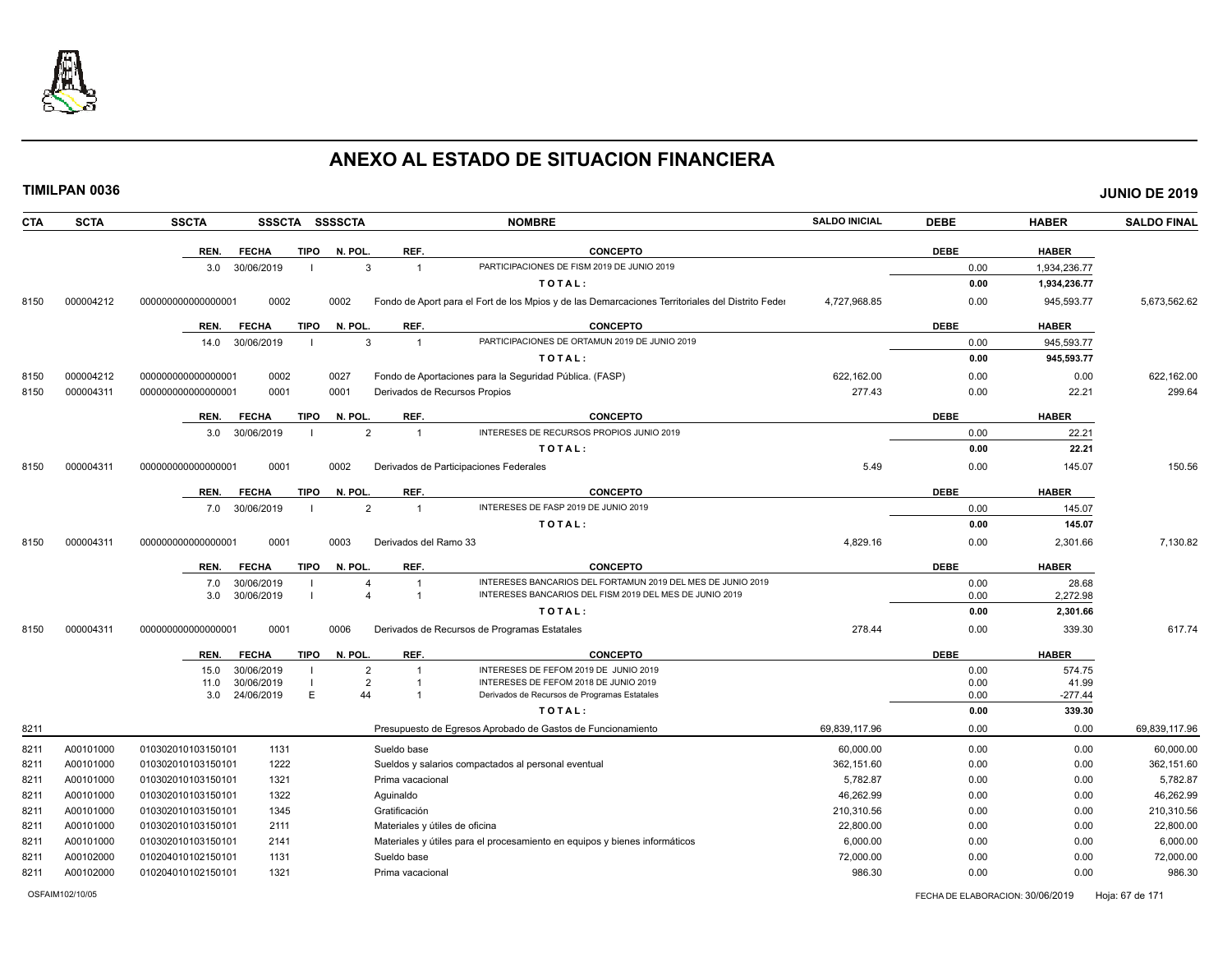

|--|

| <b>CTA</b>   | <b>SCTA</b>            | <b>SSCTA</b>                             | <b>SSSCTA</b>            |             | <b>SSSSCTA</b> |                                  | <b>NOMBRE</b>                                                                                    | <b>SALDO INICIAL</b>  | <b>DEBE</b>  | <b>HABER</b>       | <b>SALDO FINAL</b>    |
|--------------|------------------------|------------------------------------------|--------------------------|-------------|----------------|----------------------------------|--------------------------------------------------------------------------------------------------|-----------------------|--------------|--------------------|-----------------------|
|              |                        | REN.                                     | <b>FECHA</b>             | <b>TIPO</b> | N. POL         | REF.                             | <b>CONCEPTO</b>                                                                                  |                       | <b>DEBE</b>  | <b>HABER</b>       |                       |
|              |                        | 3.0                                      | 30/06/2019               |             |                | 3<br>$\overline{1}$              | PARTICIPACIONES DE FISM 2019 DE JUNIO 2019                                                       |                       | 0.00         | 1,934,236.77       |                       |
|              |                        |                                          |                          |             |                |                                  | TOTAL:                                                                                           |                       | 0.00         | 1,934,236.77       |                       |
| 8150         | 000004212              | 00000000000000000                        | 0002                     |             | 0002           |                                  | Fondo de Aport para el Fort de los Mpios y de las Demarcaciones Territoriales del Distrito Feder | 4,727,968.85          | 0.00         | 945.593.77         | 5,673,562.62          |
|              |                        | REN.                                     | <b>FECHA</b>             | <b>TIPO</b> | N. POL         | REF.                             | <b>CONCEPTO</b>                                                                                  |                       | <b>DEBE</b>  | <b>HABER</b>       |                       |
|              |                        | 14.0                                     | 30/06/2019               |             |                | 3<br>$\overline{1}$              | PARTICIPACIONES DE ORTAMUN 2019 DE JUNIO 2019                                                    |                       | 0.00         | 945,593.77         |                       |
|              |                        |                                          |                          |             |                |                                  | TOTAL:                                                                                           |                       | 0.00         | 945,593.77         |                       |
| 8150         | 000004212              | 00000000000000000                        | 0002                     |             | 0027           |                                  | Fondo de Aportaciones para la Seguridad Pública. (FASP)                                          | 622.162.00            | 0.00         | 0.00               | 622.162.00            |
| 8150         | 000004311              | 00000000000000000                        | 0001                     |             | 0001           |                                  | Derivados de Recursos Propios                                                                    | 277.43                | 0.00         | 22.21              | 299.64                |
|              |                        | REN.                                     | <b>FECHA</b>             | <b>TIPO</b> | N. POL         | REF.                             | <b>CONCEPTO</b>                                                                                  |                       | <b>DEBE</b>  | <b>HABER</b>       |                       |
|              |                        | 3.0                                      | 30/06/2019               |             |                | $\overline{2}$<br>$\overline{1}$ | INTERESES DE RECURSOS PROPIOS JUNIO 2019                                                         |                       | 0.00         | 22.21              |                       |
|              |                        |                                          |                          |             |                |                                  | TOTAL:                                                                                           |                       | 0.00         | 22.21              |                       |
| 8150         | 000004311              | 00000000000000000                        | 0001                     |             | 0002           |                                  | Derivados de Participaciones Federales                                                           | 5.49                  | 0.00         | 145.07             | 150.56                |
|              |                        | REN.                                     | <b>FECHA</b>             | <b>TIPO</b> | N. POL         | REF.                             | <b>CONCEPTO</b>                                                                                  |                       | <b>DEBE</b>  | <b>HABER</b>       |                       |
|              |                        | 7.0                                      | 30/06/2019               |             |                | $\overline{2}$<br>$\overline{1}$ | INTERESES DE FASP 2019 DE JUNIO 2019                                                             |                       | 0.00         | 145.07             |                       |
|              |                        |                                          |                          |             |                |                                  | TOTAL:                                                                                           |                       | 0.00         | 145.07             |                       |
| 8150         | 000004311              | 00000000000000000                        | 0001                     |             | 0003           | Derivados del Ramo 33            |                                                                                                  | 4,829.16              | 0.00         | 2,301.66           | 7,130.82              |
|              |                        | REN.                                     | <b>FECHA</b>             | <b>TIPO</b> | N. POL         | REF.                             | <b>CONCEPTO</b>                                                                                  |                       | <b>DEBE</b>  | <b>HABER</b>       |                       |
|              |                        | 7.0                                      | 30/06/2019               |             |                |                                  | INTERESES BANCARIOS DEL FORTAMUN 2019 DEL MES DE JUNIO 2019                                      |                       | 0.00         | 28.68              |                       |
|              |                        | 3.0                                      | 30/06/2019               |             | $\overline{4}$ | $\mathbf{1}$                     | INTERESES BANCARIOS DEL FISM 2019 DEL MES DE JUNIO 2019                                          |                       | 0.00         | 2,272.98           |                       |
|              |                        |                                          |                          |             |                |                                  | TOTAL:                                                                                           |                       | 0.00         | 2,301.66           |                       |
| 8150         | 000004311              | 00000000000000000                        | 0001                     |             | 0006           |                                  | Derivados de Recursos de Programas Estatales                                                     | 278.44                | 0.00         | 339.30             | 617.74                |
|              |                        | REN.                                     | <b>FECHA</b>             | <b>TIPO</b> | N. POL         | REF.                             | <b>CONCEPTO</b>                                                                                  |                       | <b>DEBE</b>  | <b>HABER</b>       |                       |
|              |                        | 15.0                                     | 30/06/2019               |             | $\overline{2}$ |                                  | INTERESES DE FEFOM 2019 DE JUNIO 2019                                                            |                       | 0.00         | 574.75             |                       |
|              |                        | 11.0<br>3.0                              | 30/06/2019<br>24/06/2019 | E           | 44             | $\overline{2}$                   | INTERESES DE FEFOM 2018 DE JUNIO 2019<br>Derivados de Recursos de Programas Estatales            |                       | 0.00<br>0.00 | 41.99<br>$-277.44$ |                       |
|              |                        |                                          |                          |             |                |                                  | TOTAL:                                                                                           |                       | 0.00         | 339.30             |                       |
| 8211         |                        |                                          |                          |             |                |                                  | Presupuesto de Egresos Aprobado de Gastos de Funcionamiento                                      | 69,839,117.96         | 0.00         | 0.00               | 69,839,117.96         |
|              |                        |                                          |                          |             |                |                                  |                                                                                                  |                       |              |                    |                       |
| 8211         | A00101000              | 010302010103150101                       | 1131                     |             |                | Sueldo base                      |                                                                                                  | 60,000.00             | 0.00         | 0.00               | 60,000.00             |
| 8211         | A00101000              | 010302010103150101                       | 1222                     |             |                |                                  | Sueldos y salarios compactados al personal eventual                                              | 362.151.60            | 0.00         | 0.00               | 362,151.60            |
| 8211         | A00101000<br>A00101000 | 010302010103150101                       | 1321<br>1322             |             |                | Prima vacacional                 |                                                                                                  | 5,782.87<br>46,262.99 | 0.00<br>0.00 | 0.00<br>0.00       | 5,782.87<br>46,262.99 |
| 8211<br>8211 | A00101000              | 010302010103150101<br>010302010103150101 | 1345                     |             |                | Aguinaldo<br>Gratificación       |                                                                                                  | 210,310.56            | 0.00         | 0.00               | 210,310.56            |
| 8211         | A00101000              | 010302010103150101                       | 2111                     |             |                | Materiales y útiles de oficina   |                                                                                                  | 22,800.00             | 0.00         | 0.00               | 22,800.00             |
| 8211         | A00101000              | 010302010103150101                       | 2141                     |             |                |                                  | Materiales y útiles para el procesamiento en equipos y bienes informáticos                       | 6.000.00              | 0.00         | 0.00               | 6,000.00              |
| 8211         | A00102000              | 010204010102150101                       | 1131                     |             |                | Sueldo base                      |                                                                                                  | 72,000.00             | 0.00         | 0.00               | 72,000.00             |
| 8211         | A00102000              | 010204010102150101                       | 1321                     |             |                | Prima vacacional                 |                                                                                                  | 986.30                | 0.00         | 0.00               | 986.30                |
|              |                        |                                          |                          |             |                |                                  |                                                                                                  |                       |              |                    |                       |

OSFAIM102/10/05 FECHA DE ELABORACION: 30/06/2019 Hoja: 67 de 171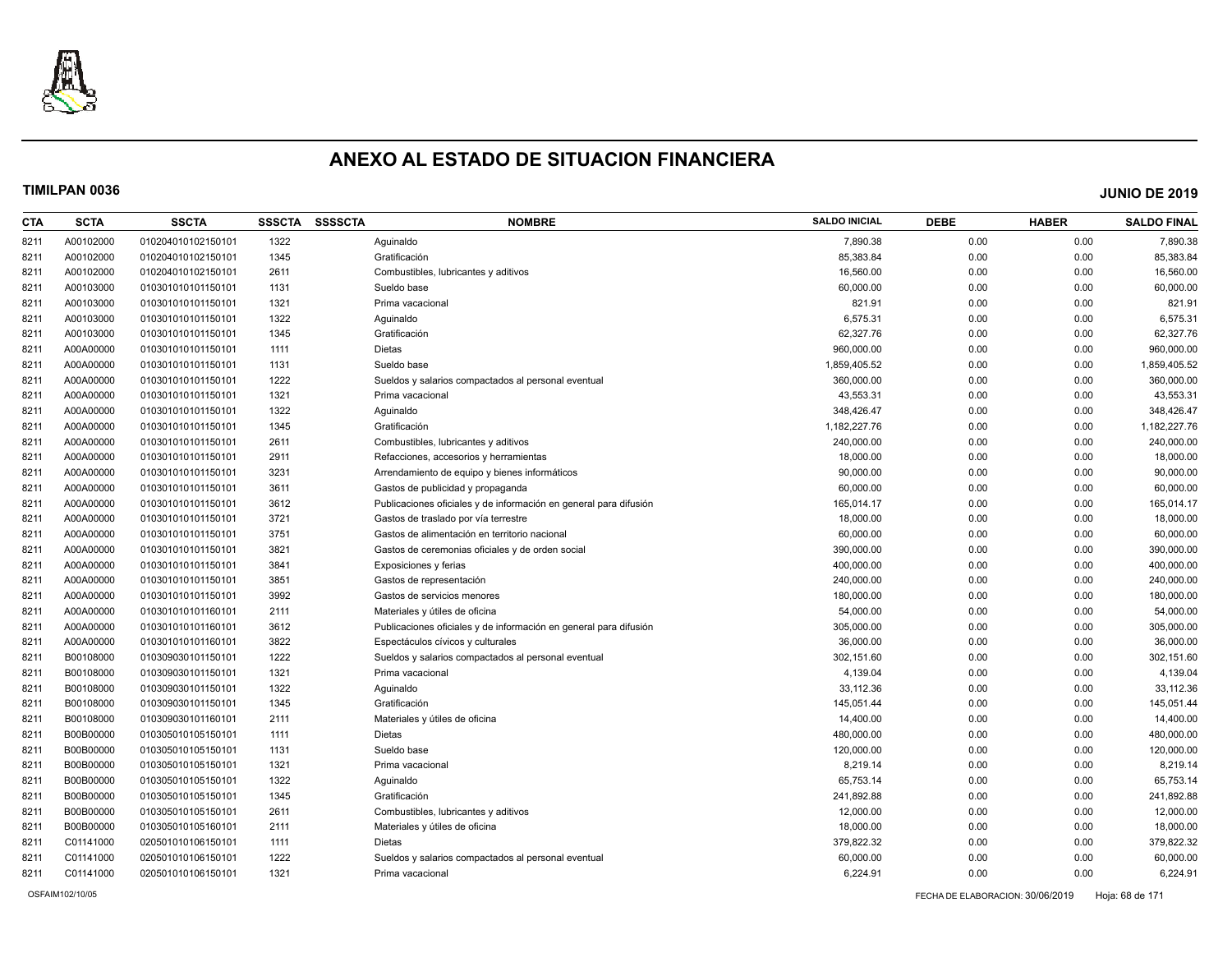

| CTA  | <b>SCTA</b> | <b>SSCTA</b>       | <b>SSSCTA</b> | <b>SSSSCTA</b> | <b>NOMBRE</b>                                                     | <b>SALDO INICIAL</b> | <b>DEBE</b> | <b>HABER</b> | <b>SALDO FINAL</b> |
|------|-------------|--------------------|---------------|----------------|-------------------------------------------------------------------|----------------------|-------------|--------------|--------------------|
| 8211 | A00102000   | 010204010102150101 | 1322          |                | Aquinaldo                                                         | 7,890.38             | 0.00        | 0.00         | 7,890.38           |
| 8211 | A00102000   | 010204010102150101 | 1345          |                | Gratificación                                                     | 85,383.84            | 0.00        | 0.00         | 85,383.84          |
| 8211 | A00102000   | 010204010102150101 | 2611          |                | Combustibles, lubricantes y aditivos                              | 16,560.00            | 0.00        | 0.00         | 16,560.00          |
| 8211 | A00103000   | 010301010101150101 | 1131          |                | Sueldo base                                                       | 60,000.00            | 0.00        | 0.00         | 60,000.00          |
| 8211 | A00103000   | 010301010101150101 | 1321          |                | Prima vacacional                                                  | 821.91               | 0.00        | 0.00         | 821.91             |
| 8211 | A00103000   | 010301010101150101 | 1322          |                | Aguinaldo                                                         | 6,575.31             | 0.00        | 0.00         | 6,575.31           |
| 8211 | A00103000   | 010301010101150101 | 1345          |                | Gratificación                                                     | 62,327.76            | 0.00        | 0.00         | 62,327.76          |
| 8211 | A00A00000   | 010301010101150101 | 1111          |                | <b>Dietas</b>                                                     | 960,000.00           | 0.00        | 0.00         | 960,000.00         |
| 8211 | A00A00000   | 010301010101150101 | 1131          |                | Sueldo base                                                       | 1,859,405.52         | 0.00        | 0.00         | 1,859,405.52       |
| 8211 | A00A00000   | 010301010101150101 | 1222          |                | Sueldos y salarios compactados al personal eventual               | 360,000.00           | 0.00        | 0.00         | 360,000.00         |
| 8211 | A00A00000   | 010301010101150101 | 1321          |                | Prima vacacional                                                  | 43,553.31            | 0.00        | 0.00         | 43,553.31          |
| 8211 | A00A00000   | 010301010101150101 | 1322          |                | Aguinaldo                                                         | 348,426.47           | 0.00        | 0.00         | 348,426.47         |
| 8211 | A00A00000   | 010301010101150101 | 1345          |                | Gratificación                                                     | 1,182,227.76         | 0.00        | 0.00         | 1,182,227.76       |
| 8211 | A00A00000   | 010301010101150101 | 2611          |                | Combustibles, lubricantes y aditivos                              | 240.000.00           | 0.00        | 0.00         | 240,000.00         |
| 8211 | A00A00000   | 010301010101150101 | 2911          |                | Refacciones, accesorios y herramientas                            | 18,000.00            | 0.00        | 0.00         | 18,000.00          |
| 8211 | A00A00000   | 010301010101150101 | 3231          |                | Arrendamiento de equipo y bienes informáticos                     | 90,000.00            | 0.00        | 0.00         | 90,000.00          |
| 8211 | A00A00000   | 010301010101150101 | 3611          |                | Gastos de publicidad y propaganda                                 | 60,000.00            | 0.00        | 0.00         | 60,000.00          |
| 8211 | A00A00000   | 010301010101150101 | 3612          |                | Publicaciones oficiales y de información en general para difusión | 165,014.17           | 0.00        | 0.00         | 165,014.17         |
| 8211 | A00A00000   | 010301010101150101 | 3721          |                | Gastos de traslado por vía terrestre                              | 18,000.00            | 0.00        | 0.00         | 18,000.00          |
| 8211 | A00A00000   | 010301010101150101 | 3751          |                | Gastos de alimentación en territorio nacional                     | 60,000.00            | 0.00        | 0.00         | 60,000.00          |
| 8211 | A00A00000   | 010301010101150101 | 3821          |                | Gastos de ceremonias oficiales y de orden social                  | 390,000.00           | 0.00        | 0.00         | 390,000.00         |
| 8211 | A00A00000   | 010301010101150101 | 3841          |                | Exposiciones y ferias                                             | 400,000.00           | 0.00        | 0.00         | 400,000.00         |
| 8211 | A00A00000   | 010301010101150101 | 3851          |                | Gastos de representación                                          | 240,000.00           | 0.00        | 0.00         | 240,000.00         |
| 8211 | A00A00000   | 010301010101150101 | 3992          |                | Gastos de servicios menores                                       | 180,000.00           | 0.00        | 0.00         | 180,000.00         |
| 8211 | A00A00000   | 010301010101160101 | 2111          |                | Materiales y útiles de oficina                                    | 54,000.00            | 0.00        | 0.00         | 54,000.00          |
| 8211 | A00A00000   | 010301010101160101 | 3612          |                | Publicaciones oficiales y de información en general para difusión | 305,000.00           | 0.00        | 0.00         | 305,000.00         |
| 8211 | A00A00000   | 010301010101160101 | 3822          |                | Espectáculos cívicos y culturales                                 | 36,000.00            | 0.00        | 0.00         | 36,000.00          |
| 8211 | B00108000   | 010309030101150101 | 1222          |                | Sueldos y salarios compactados al personal eventual               | 302,151.60           | 0.00        | 0.00         | 302,151.60         |
| 8211 | B00108000   | 010309030101150101 | 1321          |                | Prima vacacional                                                  | 4,139.04             | 0.00        | 0.00         | 4,139.04           |
| 8211 | B00108000   | 010309030101150101 | 1322          |                | Aguinaldo                                                         | 33,112.36            | 0.00        | 0.00         | 33,112.36          |
| 8211 | B00108000   | 010309030101150101 | 1345          |                | Gratificación                                                     | 145,051.44           | 0.00        | 0.00         | 145,051.44         |
| 8211 | B00108000   | 010309030101160101 | 2111          |                | Materiales y útiles de oficina                                    | 14,400.00            | 0.00        | 0.00         | 14,400.00          |
| 8211 | B00B00000   | 010305010105150101 | 1111          |                | Dietas                                                            | 480,000.00           | 0.00        | 0.00         | 480,000.00         |
| 8211 | B00B00000   | 010305010105150101 | 1131          |                | Sueldo base                                                       | 120,000.00           | 0.00        | 0.00         | 120,000.00         |
| 8211 | B00B00000   | 010305010105150101 | 1321          |                | Prima vacacional                                                  | 8,219.14             | 0.00        | 0.00         | 8,219.14           |
| 8211 | B00B00000   | 010305010105150101 | 1322          |                | Aguinaldo                                                         | 65,753.14            | 0.00        | 0.00         | 65,753.14          |
| 8211 | B00B00000   | 010305010105150101 | 1345          |                | Gratificación                                                     | 241,892.88           | 0.00        | 0.00         | 241,892.88         |
| 8211 | B00B00000   | 010305010105150101 | 2611          |                | Combustibles, lubricantes y aditivos                              | 12,000.00            | 0.00        | 0.00         | 12,000.00          |
| 8211 | B00B00000   | 010305010105160101 | 2111          |                | Materiales y útiles de oficina                                    | 18,000.00            | 0.00        | 0.00         | 18,000.00          |
| 8211 | C01141000   | 020501010106150101 | 1111          |                | Dietas                                                            | 379,822.32           | 0.00        | 0.00         | 379,822.32         |
| 8211 | C01141000   | 020501010106150101 | 1222          |                | Sueldos y salarios compactados al personal eventual               | 60,000.00            | 0.00        | 0.00         | 60,000.00          |
| 8211 | C01141000   | 020501010106150101 | 1321          |                | Prima vacacional                                                  | 6,224.91             | 0.00        | 0.00         | 6,224.91           |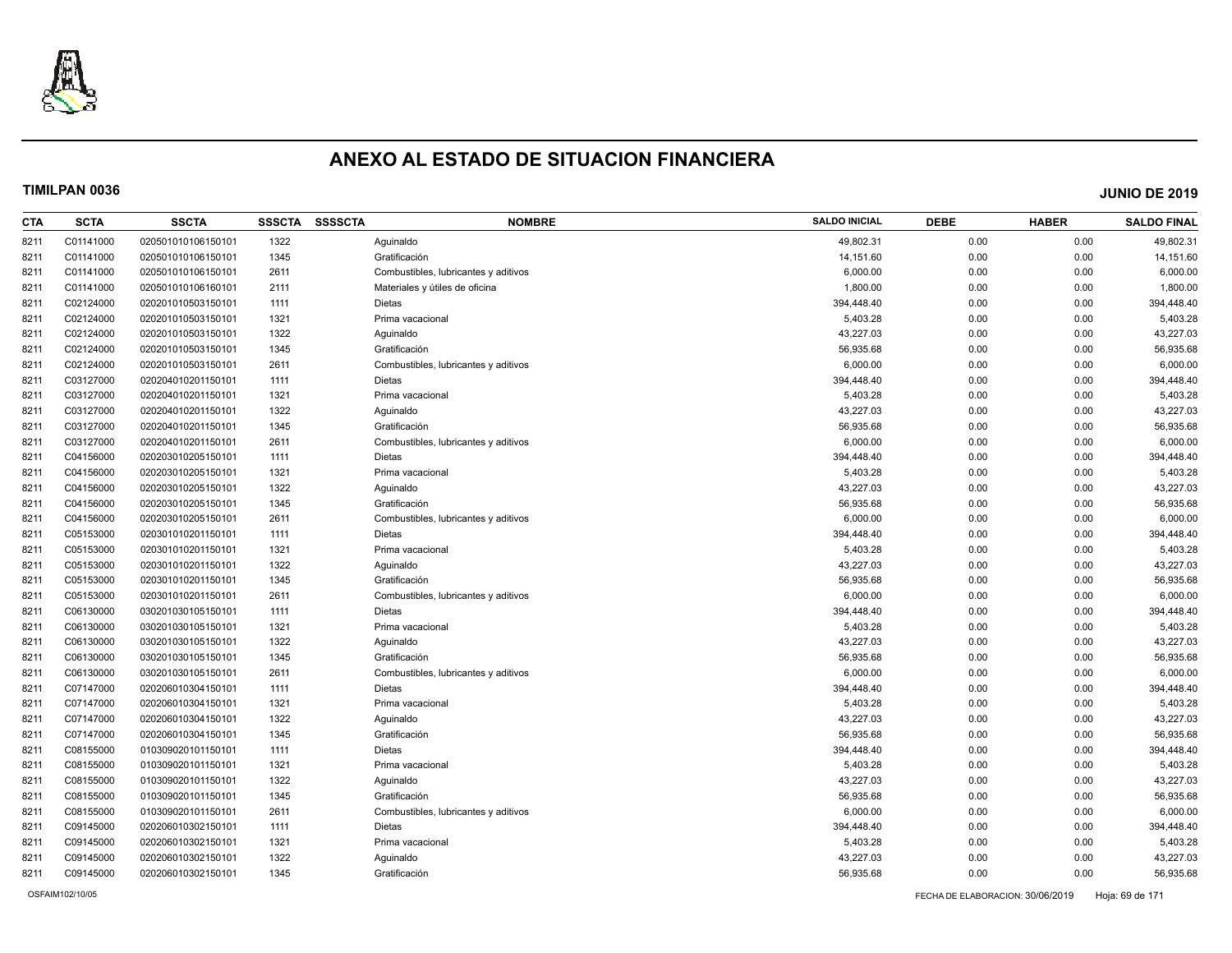

| CTA  | <b>SCTA</b> | <b>SSCTA</b>       | <b>SSSCTA</b> | <b>SSSSCTA</b> | <b>NOMBRE</b>                        | <b>SALDO INICIAL</b> | <b>DEBE</b> | <b>HABER</b> | <b>SALDO FINAL</b> |
|------|-------------|--------------------|---------------|----------------|--------------------------------------|----------------------|-------------|--------------|--------------------|
| 8211 | C01141000   | 020501010106150101 | 1322          |                | Aquinaldo                            | 49.802.31            | 0.00        | 0.00         | 49,802.31          |
| 8211 | C01141000   | 020501010106150101 | 1345          |                | Gratificación                        | 14,151.60            | 0.00        | 0.00         | 14,151.60          |
| 8211 | C01141000   | 020501010106150101 | 2611          |                | Combustibles, lubricantes y aditivos | 6,000.00             | 0.00        | 0.00         | 6,000.00           |
| 8211 | C01141000   | 020501010106160101 | 2111          |                | Materiales y útiles de oficina       | 1,800.00             | 0.00        | 0.00         | 1,800.00           |
| 8211 | C02124000   | 020201010503150101 | 1111          |                | <b>Dietas</b>                        | 394,448.40           | 0.00        | 0.00         | 394,448.40         |
| 8211 | C02124000   | 020201010503150101 | 1321          |                | Prima vacacional                     | 5,403.28             | 0.00        | 0.00         | 5,403.28           |
| 8211 | C02124000   | 020201010503150101 | 1322          |                | Aguinaldo                            | 43,227.03            | 0.00        | 0.00         | 43,227.03          |
| 8211 | C02124000   | 020201010503150101 | 1345          |                | Gratificación                        | 56,935.68            | 0.00        | 0.00         | 56,935.68          |
| 8211 | C02124000   | 020201010503150101 | 2611          |                | Combustibles, lubricantes y aditivos | 6,000.00             | 0.00        | 0.00         | 6,000.00           |
| 8211 | C03127000   | 020204010201150101 | 1111          |                | <b>Dietas</b>                        | 394,448.40           | 0.00        | 0.00         | 394,448.40         |
| 8211 | C03127000   | 020204010201150101 | 1321          |                | Prima vacacional                     | 5,403.28             | 0.00        | 0.00         | 5,403.28           |
| 8211 | C03127000   | 020204010201150101 | 1322          |                | Aguinaldo                            | 43,227.03            | 0.00        | 0.00         | 43,227.03          |
| 8211 | C03127000   | 020204010201150101 | 1345          |                | Gratificación                        | 56,935.68            | 0.00        | 0.00         | 56,935.68          |
| 8211 | C03127000   | 020204010201150101 | 2611          |                | Combustibles, lubricantes y aditivos | 6,000.00             | 0.00        | 0.00         | 6,000.00           |
| 8211 | C04156000   | 020203010205150101 | 1111          |                | Dietas                               | 394,448.40           | 0.00        | 0.00         | 394,448.40         |
| 8211 | C04156000   | 020203010205150101 | 1321          |                | Prima vacacional                     | 5,403.28             | 0.00        | 0.00         | 5,403.28           |
| 8211 | C04156000   | 020203010205150101 | 1322          |                | Aguinaldo                            | 43,227.03            | 0.00        | 0.00         | 43,227.03          |
| 8211 | C04156000   | 020203010205150101 | 1345          |                | Gratificación                        | 56,935.68            | 0.00        | 0.00         | 56,935.68          |
| 8211 | C04156000   | 020203010205150101 | 2611          |                | Combustibles, lubricantes y aditivos | 6,000.00             | 0.00        | 0.00         | 6,000.00           |
| 8211 | C05153000   | 020301010201150101 | 1111          |                | <b>Dietas</b>                        | 394,448.40           | 0.00        | 0.00         | 394,448.40         |
| 8211 | C05153000   | 020301010201150101 | 1321          |                | Prima vacacional                     | 5,403.28             | 0.00        | 0.00         | 5,403.28           |
| 8211 | C05153000   | 020301010201150101 | 1322          |                | Aguinaldo                            | 43,227.03            | 0.00        | 0.00         | 43,227.03          |
| 8211 | C05153000   | 020301010201150101 | 1345          |                | Gratificación                        | 56,935.68            | 0.00        | 0.00         | 56,935.68          |
| 8211 | C05153000   | 020301010201150101 | 2611          |                | Combustibles, lubricantes y aditivos | 6,000.00             | 0.00        | 0.00         | 6,000.00           |
| 8211 | C06130000   | 030201030105150101 | 1111          |                | <b>Dietas</b>                        | 394,448.40           | 0.00        | 0.00         | 394,448.40         |
| 8211 | C06130000   | 030201030105150101 | 1321          |                | Prima vacacional                     | 5,403.28             | 0.00        | 0.00         | 5,403.28           |
| 8211 | C06130000   | 030201030105150101 | 1322          |                | Aquinaldo                            | 43,227.03            | 0.00        | 0.00         | 43,227.03          |
| 8211 | C06130000   | 030201030105150101 | 1345          |                | Gratificación                        | 56,935.68            | 0.00        | 0.00         | 56,935.68          |
| 8211 | C06130000   | 030201030105150101 | 2611          |                | Combustibles, lubricantes y aditivos | 6,000.00             | 0.00        | 0.00         | 6,000.00           |
| 8211 | C07147000   | 020206010304150101 | 1111          |                | <b>Dietas</b>                        | 394,448.40           | 0.00        | 0.00         | 394,448.40         |
| 8211 | C07147000   | 020206010304150101 | 1321          |                | Prima vacacional                     | 5,403.28             | 0.00        | 0.00         | 5,403.28           |
| 8211 | C07147000   | 020206010304150101 | 1322          |                | Aquinaldo                            | 43,227.03            | 0.00        | 0.00         | 43,227.03          |
| 8211 | C07147000   | 020206010304150101 | 1345          |                | Gratificación                        | 56,935.68            | 0.00        | 0.00         | 56,935.68          |
| 8211 | C08155000   | 010309020101150101 | 1111          |                | Dietas                               | 394,448.40           | 0.00        | 0.00         | 394,448.40         |
| 8211 | C08155000   | 010309020101150101 | 1321          |                | Prima vacacional                     | 5,403.28             | 0.00        | 0.00         | 5,403.28           |
| 8211 | C08155000   | 010309020101150101 | 1322          |                | Aguinaldo                            | 43,227.03            | 0.00        | 0.00         | 43,227.03          |
| 8211 | C08155000   | 010309020101150101 | 1345          |                | Gratificación                        | 56,935.68            | 0.00        | 0.00         | 56,935.68          |
| 8211 | C08155000   | 010309020101150101 | 2611          |                | Combustibles, lubricantes y aditivos | 6,000.00             | 0.00        | 0.00         | 6,000.00           |
| 8211 | C09145000   | 020206010302150101 | 1111          |                | <b>Dietas</b>                        | 394,448.40           | 0.00        | 0.00         | 394,448.40         |
| 8211 | C09145000   | 020206010302150101 | 1321          |                | Prima vacacional                     | 5,403.28             | 0.00        | 0.00         | 5,403.28           |
| 8211 | C09145000   | 020206010302150101 | 1322          |                | Aguinaldo                            | 43,227.03            | 0.00        | 0.00         | 43,227.03          |
| 8211 | C09145000   | 020206010302150101 | 1345          |                | Gratificación                        | 56,935.68            | 0.00        | 0.00         | 56,935.68          |
|      |             |                    |               |                |                                      |                      |             |              |                    |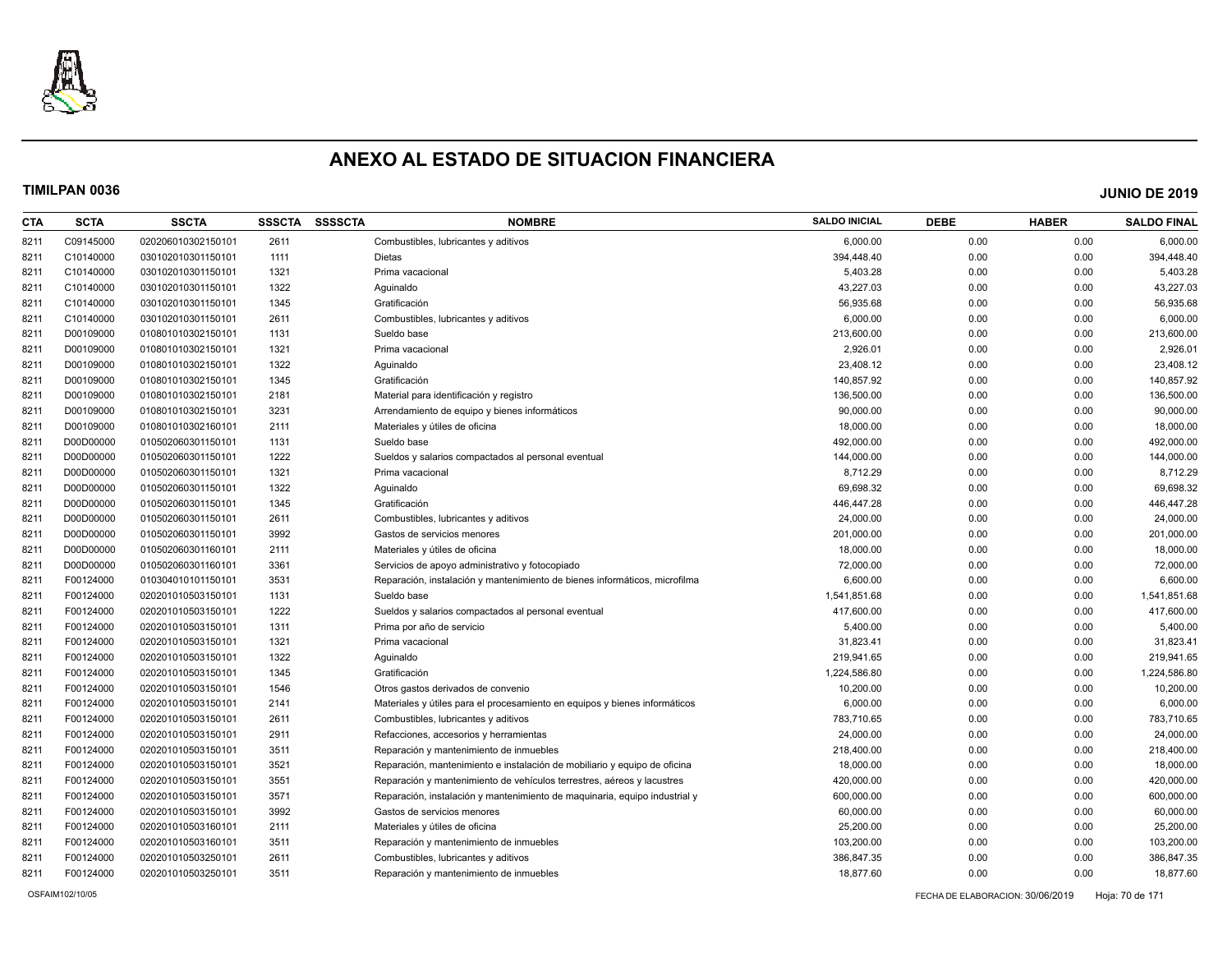

| CTA  | <b>SCTA</b> | <b>SSCTA</b>       | <b>SSSCTA</b> | <b>SSSSCTA</b> | <b>NOMBRE</b>                                                              | <b>SALDO INICIAL</b> | <b>DEBE</b> | <b>HABER</b> | <b>SALDO FINAL</b> |
|------|-------------|--------------------|---------------|----------------|----------------------------------------------------------------------------|----------------------|-------------|--------------|--------------------|
| 8211 | C09145000   | 020206010302150101 | 2611          |                | Combustibles, lubricantes y aditivos                                       | 6,000.00             | 0.00        | 0.00         | 6,000.00           |
| 8211 | C10140000   | 030102010301150101 | 1111          |                | Dietas                                                                     | 394,448.40           | 0.00        | 0.00         | 394,448.40         |
| 8211 | C10140000   | 030102010301150101 | 1321          |                | Prima vacacional                                                           | 5,403.28             | 0.00        | 0.00         | 5,403.28           |
| 8211 | C10140000   | 030102010301150101 | 1322          |                | Aguinaldo                                                                  | 43,227.03            | 0.00        | 0.00         | 43,227.03          |
| 8211 | C10140000   | 030102010301150101 | 1345          |                | Gratificación                                                              | 56,935.68            | 0.00        | 0.00         | 56,935.68          |
| 8211 | C10140000   | 030102010301150101 | 2611          |                | Combustibles, lubricantes y aditivos                                       | 6,000.00             | 0.00        | 0.00         | 6,000.00           |
| 8211 | D00109000   | 010801010302150101 | 1131          |                | Sueldo base                                                                | 213,600.00           | 0.00        | 0.00         | 213,600.00         |
| 8211 | D00109000   | 010801010302150101 | 1321          |                | Prima vacacional                                                           | 2,926.01             | 0.00        | 0.00         | 2,926.01           |
| 8211 | D00109000   | 010801010302150101 | 1322          |                | Aquinaldo                                                                  | 23,408.12            | 0.00        | 0.00         | 23,408.12          |
| 8211 | D00109000   | 010801010302150101 | 1345          |                | Gratificación                                                              | 140,857.92           | 0.00        | 0.00         | 140,857.92         |
| 8211 | D00109000   | 010801010302150101 | 2181          |                | Material para identificación y registro                                    | 136,500.00           | 0.00        | 0.00         | 136,500.00         |
| 8211 | D00109000   | 010801010302150101 | 3231          |                | Arrendamiento de equipo y bienes informáticos                              | 90,000.00            | 0.00        | 0.00         | 90,000.00          |
| 8211 | D00109000   | 010801010302160101 | 2111          |                | Materiales y útiles de oficina                                             | 18,000.00            | 0.00        | 0.00         | 18,000.00          |
| 8211 | D00D00000   | 010502060301150101 | 1131          |                | Sueldo base                                                                | 492,000.00           | 0.00        | 0.00         | 492,000.00         |
| 8211 | D00D00000   | 010502060301150101 | 1222          |                | Sueldos y salarios compactados al personal eventual                        | 144,000.00           | 0.00        | 0.00         | 144,000.00         |
| 8211 | D00D00000   | 010502060301150101 | 1321          |                | Prima vacacional                                                           | 8,712.29             | 0.00        | 0.00         | 8,712.29           |
| 8211 | D00D00000   | 010502060301150101 | 1322          |                | Aquinaldo                                                                  | 69.698.32            | 0.00        | 0.00         | 69,698.32          |
| 8211 | D00D00000   | 010502060301150101 | 1345          |                | Gratificación                                                              | 446,447.28           | 0.00        | 0.00         | 446,447.28         |
| 8211 | D00D00000   | 010502060301150101 | 2611          |                | Combustibles, lubricantes y aditivos                                       | 24,000.00            | 0.00        | 0.00         | 24,000.00          |
| 8211 | D00D00000   | 010502060301150101 | 3992          |                | Gastos de servicios menores                                                | 201,000.00           | 0.00        | 0.00         | 201,000.00         |
| 8211 | D00D00000   | 010502060301160101 | 2111          |                | Materiales y útiles de oficina                                             | 18,000.00            | 0.00        | 0.00         | 18,000.00          |
| 8211 | D00D00000   | 010502060301160101 | 3361          |                | Servicios de apoyo administrativo y fotocopiado                            | 72,000.00            | 0.00        | 0.00         | 72,000.00          |
| 8211 | F00124000   | 010304010101150101 | 3531          |                | Reparación, instalación y mantenimiento de bienes informáticos, microfilma | 6,600.00             | 0.00        | 0.00         | 6,600.00           |
| 8211 | F00124000   | 020201010503150101 | 1131          |                | Sueldo base                                                                | 1,541,851.68         | 0.00        | 0.00         | 1,541,851.68       |
| 8211 | F00124000   | 020201010503150101 | 1222          |                | Sueldos y salarios compactados al personal eventual                        | 417,600.00           | 0.00        | 0.00         | 417,600.00         |
| 8211 | F00124000   | 020201010503150101 | 1311          |                | Prima por año de servicio                                                  | 5,400.00             | 0.00        | 0.00         | 5,400.00           |
| 8211 | F00124000   | 020201010503150101 | 1321          |                | Prima vacacional                                                           | 31,823.41            | 0.00        | 0.00         | 31,823.41          |
| 8211 | F00124000   | 020201010503150101 | 1322          |                | Aguinaldo                                                                  | 219,941.65           | 0.00        | 0.00         | 219,941.65         |
| 8211 | F00124000   | 020201010503150101 | 1345          |                | Gratificación                                                              | 1,224,586.80         | 0.00        | 0.00         | 1,224,586.80       |
| 8211 | F00124000   | 020201010503150101 | 1546          |                | Otros gastos derivados de convenio                                         | 10,200.00            | 0.00        | 0.00         | 10,200.00          |
| 8211 | F00124000   | 020201010503150101 | 2141          |                | Materiales y útiles para el procesamiento en equipos y bienes informáticos | 6,000.00             | 0.00        | 0.00         | 6,000.00           |
| 8211 | F00124000   | 020201010503150101 | 2611          |                | Combustibles, lubricantes y aditivos                                       | 783,710.65           | 0.00        | 0.00         | 783,710.65         |
| 8211 | F00124000   | 020201010503150101 | 2911          |                | Refacciones, accesorios y herramientas                                     | 24,000.00            | 0.00        | 0.00         | 24,000.00          |
| 8211 | F00124000   | 020201010503150101 | 3511          |                | Reparación y mantenimiento de inmuebles                                    | 218,400.00           | 0.00        | 0.00         | 218,400.00         |
| 8211 | F00124000   | 020201010503150101 | 3521          |                | Reparación, mantenimiento e instalación de mobiliario y equipo de oficina  | 18,000.00            | 0.00        | 0.00         | 18,000.00          |
| 8211 | F00124000   | 020201010503150101 | 3551          |                | Reparación y mantenimiento de vehículos terrestres, aéreos y lacustres     | 420,000.00           | 0.00        | 0.00         | 420,000.00         |
| 8211 | F00124000   | 020201010503150101 | 3571          |                | Reparación, instalación y mantenimiento de maquinaria, equipo industrial y | 600,000.00           | 0.00        | 0.00         | 600,000.00         |
| 8211 | F00124000   | 020201010503150101 | 3992          |                | Gastos de servicios menores                                                | 60,000.00            | 0.00        | 0.00         | 60,000.00          |
| 8211 | F00124000   | 020201010503160101 | 2111          |                | Materiales y útiles de oficina                                             | 25,200.00            | 0.00        | 0.00         | 25,200.00          |
| 8211 | F00124000   | 020201010503160101 | 3511          |                | Reparación y mantenimiento de inmuebles                                    | 103,200.00           | 0.00        | 0.00         | 103,200.00         |
| 8211 | F00124000   | 020201010503250101 | 2611          |                | Combustibles, lubricantes y aditivos                                       | 386,847.35           | 0.00        | 0.00         | 386,847.35         |
| 8211 | F00124000   | 020201010503250101 | 3511          |                | Reparación y mantenimiento de inmuebles                                    | 18.877.60            | 0.00        | 0.00         | 18,877.60          |
|      |             |                    |               |                |                                                                            |                      |             |              |                    |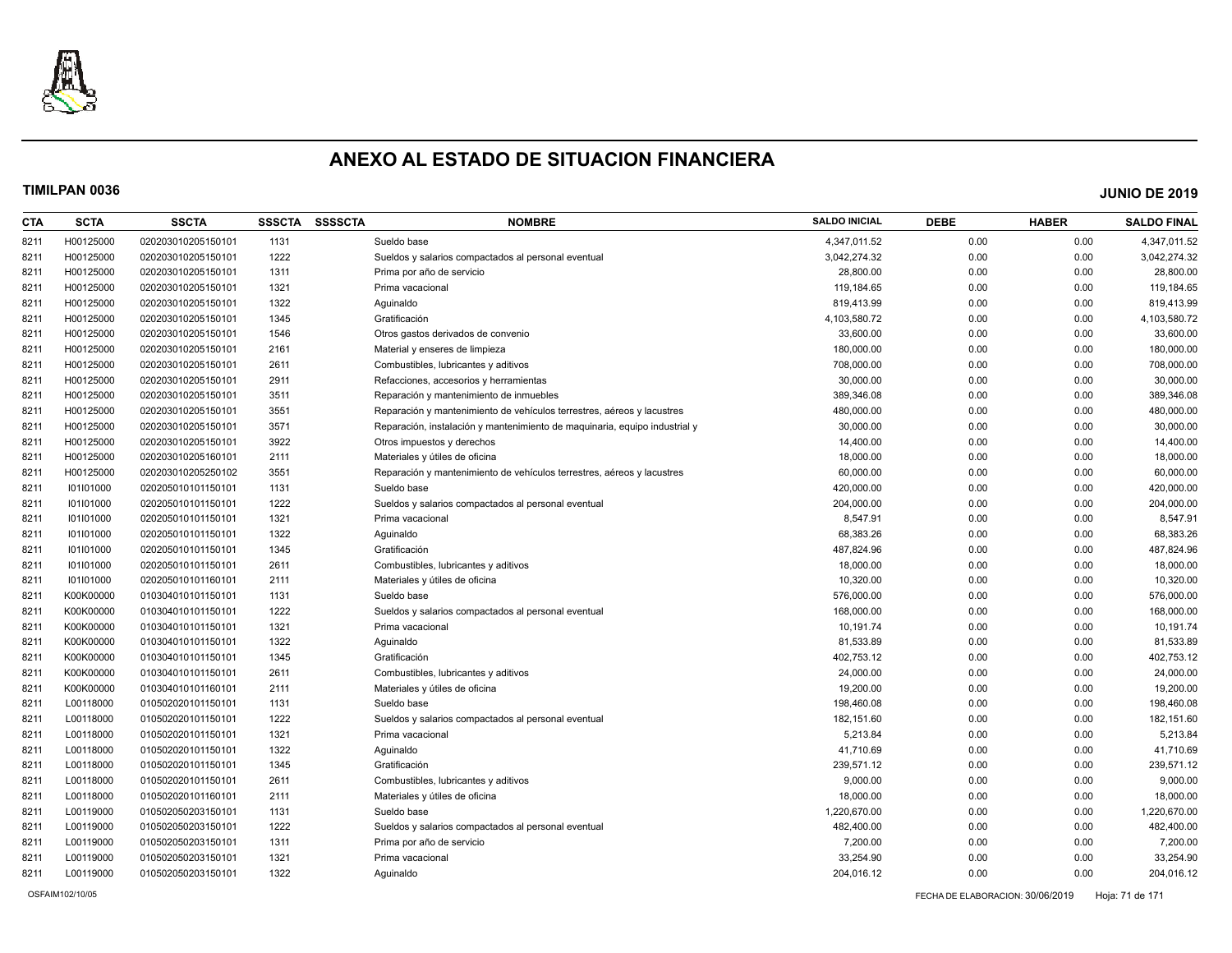

| CTA  | <b>SCTA</b> | <b>SSCTA</b>       | <b>SSSCTA</b> | <b>SSSSCTA</b> | <b>NOMBRE</b>                                                              | <b>SALDO INICIAL</b> | <b>DEBE</b> | <b>HABER</b> | <b>SALDO FINAL</b> |
|------|-------------|--------------------|---------------|----------------|----------------------------------------------------------------------------|----------------------|-------------|--------------|--------------------|
| 8211 | H00125000   | 020203010205150101 | 1131          |                | Sueldo base                                                                | 4,347,011.52         | 0.00        | 0.00         | 4,347,011.52       |
| 8211 | H00125000   | 020203010205150101 | 1222          |                | Sueldos y salarios compactados al personal eventual                        | 3,042,274.32         | 0.00        | 0.00         | 3,042,274.32       |
| 8211 | H00125000   | 020203010205150101 | 1311          |                | Prima por año de servicio                                                  | 28,800.00            | 0.00        | 0.00         | 28,800.00          |
| 8211 | H00125000   | 020203010205150101 | 1321          |                | Prima vacacional                                                           | 119,184.65           | 0.00        | 0.00         | 119,184.65         |
| 8211 | H00125000   | 020203010205150101 | 1322          |                | Aguinaldo                                                                  | 819,413.99           | 0.00        | 0.00         | 819,413.99         |
| 8211 | H00125000   | 020203010205150101 | 1345          |                | Gratificación                                                              | 4,103,580.72         | 0.00        | 0.00         | 4,103,580.72       |
| 8211 | H00125000   | 020203010205150101 | 1546          |                | Otros gastos derivados de convenio                                         | 33,600.00            | 0.00        | 0.00         | 33,600.00          |
| 8211 | H00125000   | 020203010205150101 | 2161          |                | Material y enseres de limpieza                                             | 180,000.00           | 0.00        | 0.00         | 180,000.00         |
| 8211 | H00125000   | 020203010205150101 | 2611          |                | Combustibles, lubricantes y aditivos                                       | 708,000.00           | 0.00        | 0.00         | 708,000.00         |
| 8211 | H00125000   | 020203010205150101 | 2911          |                | Refacciones, accesorios y herramientas                                     | 30,000.00            | 0.00        | 0.00         | 30,000.00          |
| 8211 | H00125000   | 020203010205150101 | 3511          |                | Reparación y mantenimiento de inmuebles                                    | 389,346.08           | 0.00        | 0.00         | 389,346.08         |
| 8211 | H00125000   | 020203010205150101 | 3551          |                | Reparación y mantenimiento de vehículos terrestres, aéreos y lacustres     | 480,000.00           | 0.00        | 0.00         | 480,000.00         |
| 8211 | H00125000   | 020203010205150101 | 3571          |                | Reparación, instalación y mantenimiento de maguinaria, equipo industrial y | 30,000.00            | 0.00        | 0.00         | 30,000.00          |
| 8211 | H00125000   | 020203010205150101 | 3922          |                | Otros impuestos y derechos                                                 | 14,400.00            | 0.00        | 0.00         | 14,400.00          |
| 8211 | H00125000   | 020203010205160101 | 2111          |                | Materiales y útiles de oficina                                             | 18,000.00            | 0.00        | 0.00         | 18,000.00          |
| 8211 | H00125000   | 020203010205250102 | 3551          |                | Reparación y mantenimiento de vehículos terrestres, aéreos y lacustres     | 60,000.00            | 0.00        | 0.00         | 60,000.00          |
| 8211 | 101101000   | 020205010101150101 | 1131          |                | Sueldo base                                                                | 420,000.00           | 0.00        | 0.00         | 420,000.00         |
| 8211 | 101101000   | 020205010101150101 | 1222          |                | Sueldos y salarios compactados al personal eventual                        | 204,000.00           | 0.00        | 0.00         | 204,000.00         |
| 8211 | 101101000   | 020205010101150101 | 1321          |                | Prima vacacional                                                           | 8,547.91             | 0.00        | 0.00         | 8,547.91           |
| 8211 | 101101000   | 020205010101150101 | 1322          |                | Aguinaldo                                                                  | 68,383.26            | 0.00        | 0.00         | 68,383.26          |
| 8211 | 101101000   | 020205010101150101 | 1345          |                | Gratificación                                                              | 487,824.96           | 0.00        | 0.00         | 487,824.96         |
| 8211 | 101101000   | 020205010101150101 | 2611          |                | Combustibles, lubricantes y aditivos                                       | 18,000.00            | 0.00        | 0.00         | 18,000.00          |
| 8211 | 101101000   | 020205010101160101 | 2111          |                | Materiales y útiles de oficina                                             | 10,320.00            | 0.00        | 0.00         | 10,320.00          |
| 8211 | K00K00000   | 010304010101150101 | 1131          |                | Sueldo base                                                                | 576,000.00           | 0.00        | 0.00         | 576,000.00         |
| 8211 | K00K00000   | 010304010101150101 | 1222          |                | Sueldos y salarios compactados al personal eventual                        | 168,000.00           | 0.00        | 0.00         | 168,000.00         |
| 8211 | K00K00000   | 010304010101150101 | 1321          |                | Prima vacacional                                                           | 10,191.74            | 0.00        | 0.00         | 10,191.74          |
| 8211 | K00K00000   | 010304010101150101 | 1322          |                | Aguinaldo                                                                  | 81,533.89            | 0.00        | 0.00         | 81,533.89          |
| 8211 | K00K00000   | 010304010101150101 | 1345          |                | Gratificación                                                              | 402,753.12           | 0.00        | 0.00         | 402,753.12         |
| 8211 | K00K00000   | 010304010101150101 | 2611          |                | Combustibles, lubricantes y aditivos                                       | 24,000.00            | 0.00        | 0.00         | 24,000.00          |
| 8211 | K00K00000   | 010304010101160101 | 2111          |                | Materiales y útiles de oficina                                             | 19,200.00            | 0.00        | 0.00         | 19,200.00          |
| 8211 | L00118000   | 010502020101150101 | 1131          |                | Sueldo base                                                                | 198,460.08           | 0.00        | 0.00         | 198,460.08         |
| 8211 | L00118000   | 010502020101150101 | 1222          |                | Sueldos y salarios compactados al personal eventual                        | 182,151.60           | 0.00        | 0.00         | 182,151.60         |
| 8211 | L00118000   | 010502020101150101 | 1321          |                | Prima vacacional                                                           | 5,213.84             | 0.00        | 0.00         | 5,213.84           |
| 8211 | L00118000   | 010502020101150101 | 1322          |                | Aguinaldo                                                                  | 41,710.69            | 0.00        | 0.00         | 41,710.69          |
| 8211 | L00118000   | 010502020101150101 | 1345          |                | Gratificación                                                              | 239,571.12           | 0.00        | 0.00         | 239,571.12         |
| 8211 | L00118000   | 010502020101150101 | 2611          |                | Combustibles, lubricantes y aditivos                                       | 9,000.00             | 0.00        | 0.00         | 9,000.00           |
| 8211 | L00118000   | 010502020101160101 | 2111          |                | Materiales y útiles de oficina                                             | 18,000.00            | 0.00        | 0.00         | 18,000.00          |
| 8211 | L00119000   | 010502050203150101 | 1131          |                | Sueldo base                                                                | 1,220,670.00         | 0.00        | 0.00         | 1,220,670.00       |
| 8211 | L00119000   | 010502050203150101 | 1222          |                | Sueldos y salarios compactados al personal eventual                        | 482,400.00           | 0.00        | 0.00         | 482,400.00         |
| 8211 | L00119000   | 010502050203150101 | 1311          |                | Prima por año de servicio                                                  | 7,200.00             | 0.00        | 0.00         | 7,200.00           |
| 8211 | L00119000   | 010502050203150101 | 1321          |                | Prima vacacional                                                           | 33,254.90            | 0.00        | 0.00         | 33,254.90          |
| 8211 | L00119000   | 010502050203150101 | 1322          |                | Aquinaldo                                                                  | 204,016.12           | 0.00        | 0.00         | 204,016.12         |
|      |             |                    |               |                |                                                                            |                      |             |              |                    |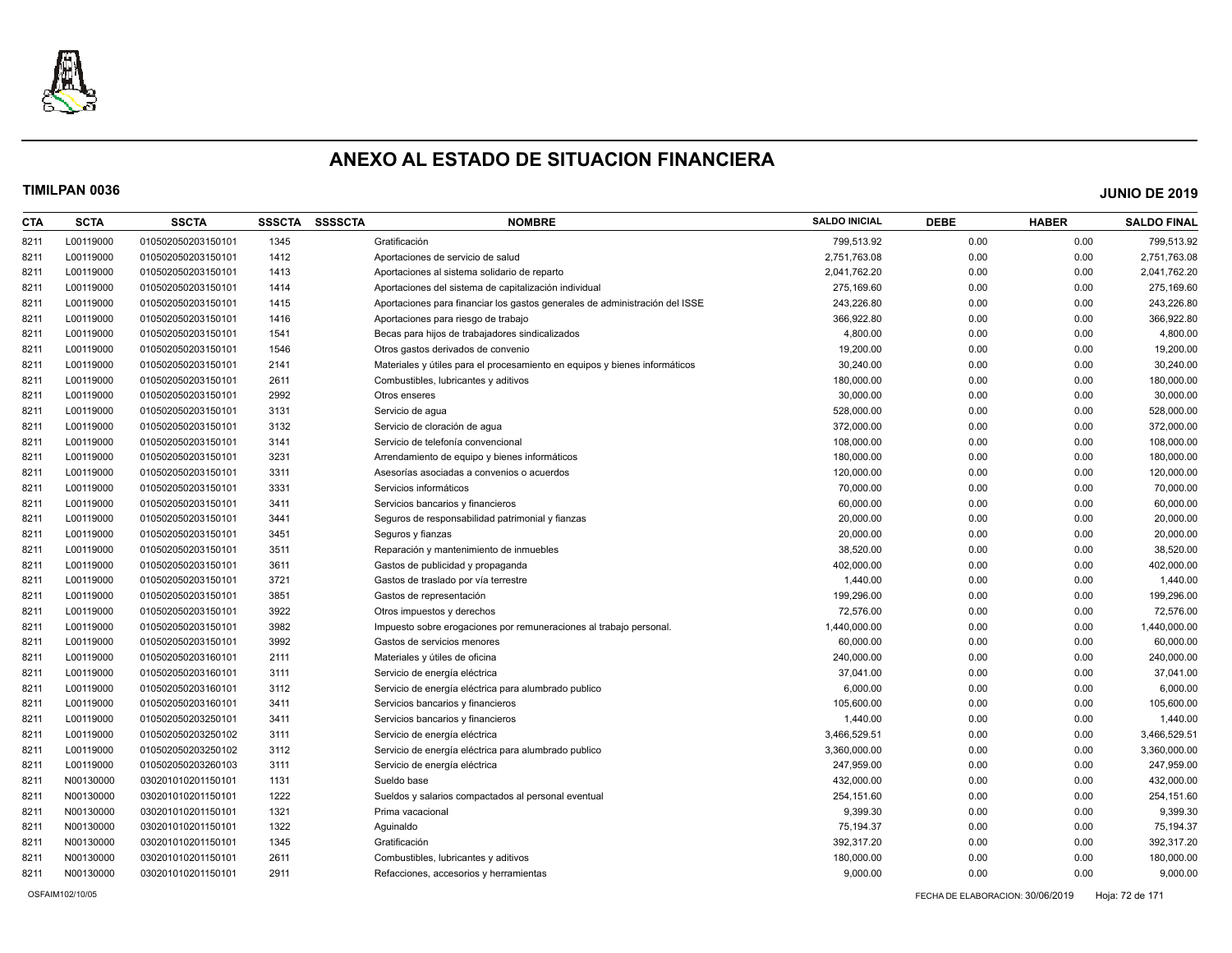

| <b>CTA</b> | <b>SCTA</b> | <b>SSCTA</b>       | <b>SSSCTA</b> | <b>SSSSCTA</b> | <b>NOMBRE</b>                                                               | <b>SALDO INICIAL</b> | <b>DEBE</b> | <b>HABER</b> | <b>SALDO FINAL</b> |
|------------|-------------|--------------------|---------------|----------------|-----------------------------------------------------------------------------|----------------------|-------------|--------------|--------------------|
| 8211       | L00119000   | 010502050203150101 | 1345          |                | Gratificación                                                               | 799,513.92           | 0.00        | 0.00         | 799,513.92         |
| 8211       | L00119000   | 010502050203150101 | 1412          |                | Aportaciones de servicio de salud                                           | 2,751,763.08         | 0.00        | 0.00         | 2,751,763.08       |
| 8211       | L00119000   | 010502050203150101 | 1413          |                | Aportaciones al sistema solidario de reparto                                | 2,041,762.20         | 0.00        | 0.00         | 2,041,762.20       |
| 8211       | L00119000   | 010502050203150101 | 1414          |                | Aportaciones del sistema de capitalización individual                       | 275,169.60           | 0.00        | 0.00         | 275,169.60         |
| 8211       | L00119000   | 010502050203150101 | 1415          |                | Aportaciones para financiar los gastos generales de administración del ISSE | 243,226.80           | 0.00        | 0.00         | 243,226.80         |
| 8211       | L00119000   | 010502050203150101 | 1416          |                | Aportaciones para riesgo de trabajo                                         | 366,922.80           | 0.00        | 0.00         | 366,922.80         |
| 8211       | L00119000   | 010502050203150101 | 1541          |                | Becas para hijos de trabajadores sindicalizados                             | 4,800.00             | 0.00        | 0.00         | 4,800.00           |
| 8211       | L00119000   | 010502050203150101 | 1546          |                | Otros gastos derivados de convenio                                          | 19,200.00            | 0.00        | 0.00         | 19,200.00          |
| 8211       | L00119000   | 010502050203150101 | 2141          |                | Materiales y útiles para el procesamiento en equipos y bienes informáticos  | 30,240.00            | 0.00        | 0.00         | 30,240.00          |
| 8211       | L00119000   | 010502050203150101 | 2611          |                | Combustibles, lubricantes y aditivos                                        | 180,000.00           | 0.00        | 0.00         | 180,000.00         |
| 8211       | L00119000   | 010502050203150101 | 2992          |                | Otros enseres                                                               | 30,000.00            | 0.00        | 0.00         | 30,000.00          |
| 8211       | L00119000   | 010502050203150101 | 3131          |                | Servicio de agua                                                            | 528,000.00           | 0.00        | 0.00         | 528,000.00         |
| 8211       | L00119000   | 010502050203150101 | 3132          |                | Servicio de cloración de agua                                               | 372,000.00           | 0.00        | 0.00         | 372,000.00         |
| 8211       | L00119000   | 010502050203150101 | 3141          |                | Servicio de telefonía convencional                                          | 108,000.00           | 0.00        | 0.00         | 108,000.00         |
| 8211       | L00119000   | 010502050203150101 | 3231          |                | Arrendamiento de equipo y bienes informáticos                               | 180,000.00           | 0.00        | 0.00         | 180,000.00         |
| 8211       | L00119000   | 010502050203150101 | 3311          |                | Asesorías asociadas a convenios o acuerdos                                  | 120,000.00           | 0.00        | 0.00         | 120,000.00         |
| 8211       | L00119000   | 010502050203150101 | 3331          |                | Servicios informáticos                                                      | 70,000.00            | 0.00        | 0.00         | 70,000.00          |
| 8211       | L00119000   | 010502050203150101 | 3411          |                | Servicios bancarios y financieros                                           | 60,000.00            | 0.00        | 0.00         | 60,000.00          |
| 8211       | L00119000   | 010502050203150101 | 3441          |                | Seguros de responsabilidad patrimonial y fianzas                            | 20,000.00            | 0.00        | 0.00         | 20,000.00          |
| 8211       | L00119000   | 010502050203150101 | 3451          |                | Seguros y fianzas                                                           | 20,000.00            | 0.00        | 0.00         | 20,000.00          |
| 8211       | L00119000   | 010502050203150101 | 3511          |                | Reparación y mantenimiento de inmuebles                                     | 38,520.00            | 0.00        | 0.00         | 38,520.00          |
| 8211       | L00119000   | 010502050203150101 | 3611          |                | Gastos de publicidad y propaganda                                           | 402,000.00           | 0.00        | 0.00         | 402,000.00         |
| 8211       | L00119000   | 010502050203150101 | 3721          |                | Gastos de traslado por vía terrestre                                        | 1,440.00             | 0.00        | 0.00         | 1,440.00           |
| 8211       | L00119000   | 010502050203150101 | 3851          |                | Gastos de representación                                                    | 199,296.00           | 0.00        | 0.00         | 199,296.00         |
| 8211       | L00119000   | 010502050203150101 | 3922          |                | Otros impuestos y derechos                                                  | 72,576.00            | 0.00        | 0.00         | 72,576.00          |
| 8211       | L00119000   | 010502050203150101 | 3982          |                | Impuesto sobre erogaciones por remuneraciones al trabajo personal.          | 1,440,000.00         | 0.00        | 0.00         | 1,440,000.00       |
| 8211       | L00119000   | 010502050203150101 | 3992          |                | Gastos de servicios menores                                                 | 60.000.00            | 0.00        | 0.00         | 60,000.00          |
| 8211       | L00119000   | 010502050203160101 | 2111          |                | Materiales y útiles de oficina                                              | 240,000.00           | 0.00        | 0.00         | 240,000.00         |
| 8211       | L00119000   | 010502050203160101 | 3111          |                | Servicio de energía eléctrica                                               | 37,041.00            | 0.00        | 0.00         | 37,041.00          |
| 8211       | L00119000   | 010502050203160101 | 3112          |                | Servicio de energía eléctrica para alumbrado publico                        | 6,000.00             | 0.00        | 0.00         | 6,000.00           |
| 8211       | L00119000   | 010502050203160101 | 3411          |                | Servicios bancarios y financieros                                           | 105,600.00           | 0.00        | 0.00         | 105,600.00         |
| 8211       | L00119000   | 010502050203250101 | 3411          |                | Servicios bancarios y financieros                                           | 1,440.00             | 0.00        | 0.00         | 1,440.00           |
| 8211       | L00119000   | 010502050203250102 | 3111          |                | Servicio de energía eléctrica                                               | 3,466,529.51         | 0.00        | 0.00         | 3,466,529.51       |
| 8211       | L00119000   | 010502050203250102 | 3112          |                | Servicio de energía eléctrica para alumbrado publico                        | 3,360,000.00         | 0.00        | 0.00         | 3,360,000.00       |
| 8211       | L00119000   | 010502050203260103 | 3111          |                | Servicio de energía eléctrica                                               | 247,959.00           | 0.00        | 0.00         | 247,959.00         |
| 8211       | N00130000   | 030201010201150101 | 1131          |                | Sueldo base                                                                 | 432,000.00           | 0.00        | 0.00         | 432,000.00         |
| 8211       | N00130000   | 030201010201150101 | 1222          |                | Sueldos y salarios compactados al personal eventual                         | 254,151.60           | 0.00        | 0.00         | 254,151.60         |
| 8211       | N00130000   | 030201010201150101 | 1321          |                | Prima vacacional                                                            | 9,399.30             | 0.00        | 0.00         | 9,399.30           |
| 8211       | N00130000   | 030201010201150101 | 1322          |                | Aguinaldo                                                                   | 75,194.37            | 0.00        | 0.00         | 75,194.37          |
| 8211       | N00130000   | 030201010201150101 | 1345          |                | Gratificación                                                               | 392,317.20           | 0.00        | 0.00         | 392,317.20         |
| 8211       | N00130000   | 030201010201150101 | 2611          |                | Combustibles, lubricantes y aditivos                                        | 180,000.00           | 0.00        | 0.00         | 180,000.00         |
| 8211       | N00130000   | 030201010201150101 | 2911          |                | Refacciones, accesorios y herramientas                                      | 9,000.00             | 0.00        | 0.00         | 9,000.00           |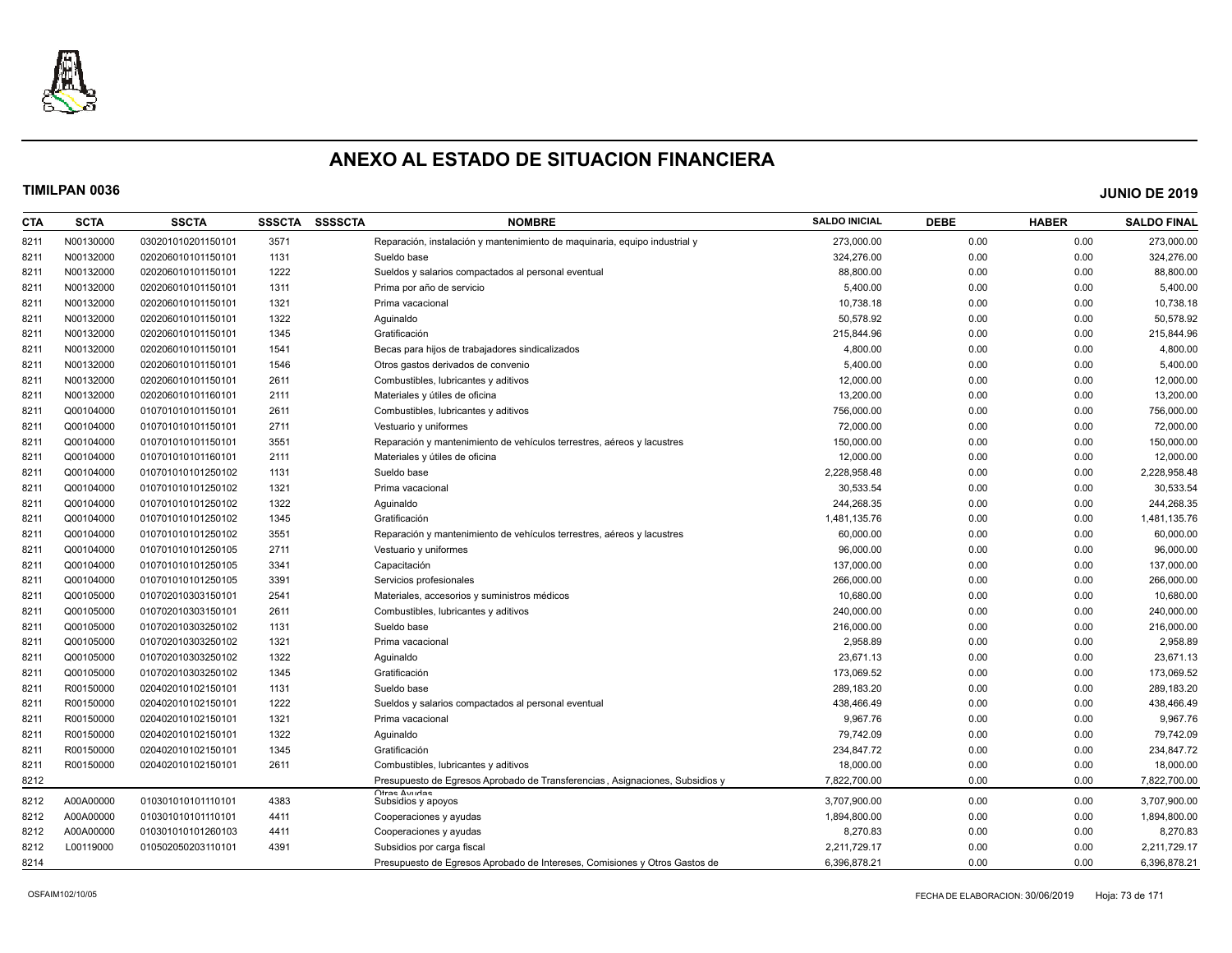

| <b>CTA</b> | <b>SCTA</b> | <b>SSCTA</b>       | <b>SSSCTA</b> | <b>SSSSCTA</b> | <b>NOMBRE</b>                                                              | <b>SALDO INICIAL</b> | <b>DEBE</b> | <b>HABER</b> | <b>SALDO FINAL</b> |
|------------|-------------|--------------------|---------------|----------------|----------------------------------------------------------------------------|----------------------|-------------|--------------|--------------------|
| 8211       | N00130000   | 030201010201150101 | 3571          |                | Reparación, instalación y mantenimiento de maquinaria, equipo industrial y | 273,000.00           | 0.00        | 0.00         | 273,000.00         |
| 8211       | N00132000   | 020206010101150101 | 1131          |                | Sueldo base                                                                | 324.276.00           | 0.00        | 0.00         | 324.276.00         |
| 8211       | N00132000   | 020206010101150101 | 1222          |                | Sueldos y salarios compactados al personal eventual                        | 88,800.00            | 0.00        | 0.00         | 88,800.00          |
| 8211       | N00132000   | 020206010101150101 | 1311          |                | Prima por año de servicio                                                  | 5,400.00             | 0.00        | 0.00         | 5,400.00           |
| 8211       | N00132000   | 020206010101150101 | 1321          |                | Prima vacacional                                                           | 10,738.18            | 0.00        | 0.00         | 10,738.18          |
| 8211       | N00132000   | 020206010101150101 | 1322          |                | Aguinaldo                                                                  | 50,578.92            | 0.00        | 0.00         | 50,578.92          |
| 8211       | N00132000   | 020206010101150101 | 1345          |                | Gratificación                                                              | 215,844.96           | 0.00        | 0.00         | 215,844.96         |
| 8211       | N00132000   | 020206010101150101 | 1541          |                | Becas para hijos de trabajadores sindicalizados                            | 4,800.00             | 0.00        | 0.00         | 4,800.00           |
| 8211       | N00132000   | 020206010101150101 | 1546          |                | Otros gastos derivados de convenio                                         | 5,400.00             | 0.00        | 0.00         | 5,400.00           |
| 8211       | N00132000   | 020206010101150101 | 2611          |                | Combustibles, lubricantes y aditivos                                       | 12,000.00            | 0.00        | 0.00         | 12,000.00          |
| 8211       | N00132000   | 020206010101160101 | 2111          |                | Materiales y útiles de oficina                                             | 13,200.00            | 0.00        | 0.00         | 13,200.00          |
| 8211       | Q00104000   | 010701010101150101 | 2611          |                | Combustibles, lubricantes y aditivos                                       | 756,000.00           | 0.00        | 0.00         | 756,000.00         |
| 8211       | Q00104000   | 010701010101150101 | 2711          |                | Vestuario y uniformes                                                      | 72,000.00            | 0.00        | 0.00         | 72,000.00          |
| 8211       | Q00104000   | 010701010101150101 | 3551          |                | Reparación y mantenimiento de vehículos terrestres, aéreos y lacustres     | 150,000.00           | 0.00        | 0.00         | 150,000.00         |
| 8211       | Q00104000   | 010701010101160101 | 2111          |                | Materiales y útiles de oficina                                             | 12,000.00            | 0.00        | 0.00         | 12,000.00          |
| 8211       | Q00104000   | 010701010101250102 | 1131          |                | Sueldo base                                                                | 2,228,958.48         | 0.00        | 0.00         | 2,228,958.48       |
| 8211       | Q00104000   | 010701010101250102 | 1321          |                | Prima vacacional                                                           | 30,533.54            | 0.00        | 0.00         | 30,533.54          |
| 8211       | Q00104000   | 010701010101250102 | 1322          |                | Aguinaldo                                                                  | 244.268.35           | 0.00        | 0.00         | 244,268.35         |
| 8211       | Q00104000   | 010701010101250102 | 1345          |                | Gratificación                                                              | 1,481,135.76         | 0.00        | 0.00         | 1,481,135.76       |
| 8211       | Q00104000   | 010701010101250102 | 3551          |                | Reparación y mantenimiento de vehículos terrestres, aéreos y lacustres     | 60,000.00            | 0.00        | 0.00         | 60,000.00          |
| 8211       | Q00104000   | 010701010101250105 | 2711          |                | Vestuario y uniformes                                                      | 96.000.00            | 0.00        | 0.00         | 96,000.00          |
| 8211       | Q00104000   | 010701010101250105 | 3341          |                | Capacitación                                                               | 137,000.00           | 0.00        | 0.00         | 137,000.00         |
| 8211       | Q00104000   | 010701010101250105 | 3391          |                | Servicios profesionales                                                    | 266,000.00           | 0.00        | 0.00         | 266,000.00         |
| 8211       | Q00105000   | 010702010303150101 | 2541          |                | Materiales, accesorios y suministros médicos                               | 10,680.00            | 0.00        | 0.00         | 10,680.00          |
| 8211       | Q00105000   | 010702010303150101 | 2611          |                | Combustibles, lubricantes y aditivos                                       | 240.000.00           | 0.00        | 0.00         | 240.000.00         |
| 8211       | Q00105000   | 010702010303250102 | 1131          |                | Sueldo base                                                                | 216,000.00           | 0.00        | 0.00         | 216,000.00         |
| 8211       | Q00105000   | 010702010303250102 | 1321          |                | Prima vacacional                                                           | 2.958.89             | 0.00        | 0.00         | 2.958.89           |
| 8211       | Q00105000   | 010702010303250102 | 1322          |                | Aquinaldo                                                                  | 23,671.13            | 0.00        | 0.00         | 23,671.13          |
| 8211       | Q00105000   | 010702010303250102 | 1345          |                | Gratificación                                                              | 173,069.52           | 0.00        | 0.00         | 173,069.52         |
| 8211       | R00150000   | 020402010102150101 | 1131          |                | Sueldo base                                                                | 289,183.20           | 0.00        | 0.00         | 289,183.20         |
| 8211       | R00150000   | 020402010102150101 | 1222          |                | Sueldos y salarios compactados al personal eventual                        | 438,466.49           | 0.00        | 0.00         | 438,466.49         |
| 8211       | R00150000   | 020402010102150101 | 1321          |                | Prima vacacional                                                           | 9,967.76             | 0.00        | 0.00         | 9,967.76           |
| 8211       | R00150000   | 020402010102150101 | 1322          |                | Aguinaldo                                                                  | 79,742.09            | 0.00        | 0.00         | 79,742.09          |
| 8211       | R00150000   | 020402010102150101 | 1345          |                | Gratificación                                                              | 234,847.72           | 0.00        | 0.00         | 234,847.72         |
| 8211       | R00150000   | 020402010102150101 | 2611          |                | Combustibles, lubricantes y aditivos                                       | 18,000.00            | 0.00        | 0.00         | 18,000.00          |
| 8212       |             |                    |               |                | Presupuesto de Egresos Aprobado de Transferencias, Asignaciones, Subsidios | 7,822,700.00         | 0.00        | 0.00         | 7,822,700.00       |
| 8212       | A00A00000   | 010301010101110101 | 4383          |                | Ofras Avudas<br>Subsidios y apoyos                                         | 3,707,900.00         | 0.00        | 0.00         | 3,707,900.00       |
| 8212       | A00A00000   | 010301010101110101 | 4411          |                | Cooperaciones y ayudas                                                     | 1,894,800.00         | 0.00        | 0.00         | 1,894,800.00       |
| 8212       | A00A00000   | 010301010101260103 | 4411          |                | Cooperaciones y ayudas                                                     | 8,270.83             | 0.00        | 0.00         | 8,270.83           |
| 8212       | L00119000   | 010502050203110101 | 4391          |                | Subsidios por carga fisca                                                  | 2,211,729.17         | 0.00        | 0.00         | 2,211,729.17       |
| 8214       |             |                    |               |                | Presupuesto de Egresos Aprobado de Intereses, Comisiones y Otros Gastos de | 6,396,878.21         | 0.00        | 0.00         | 6,396,878.21       |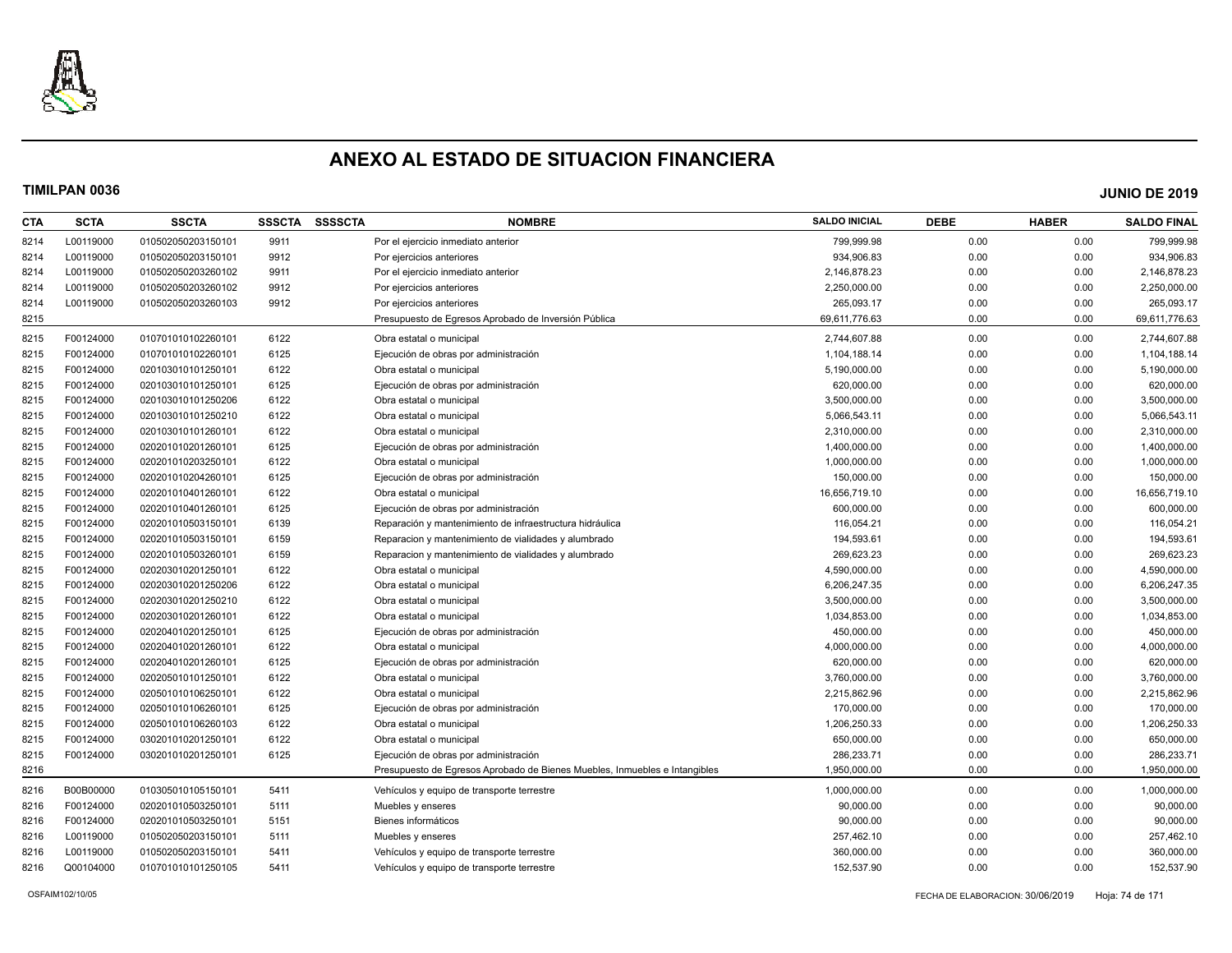

| CTA  | <b>SCTA</b> | <b>SSCTA</b>       | <b>SSSCTA</b> | <b>SSSSCTA</b> | <b>NOMBRE</b>                                                              | <b>SALDO INICIAL</b> | <b>DEBE</b> | <b>HABER</b> | <b>SALDO FINAL</b> |
|------|-------------|--------------------|---------------|----------------|----------------------------------------------------------------------------|----------------------|-------------|--------------|--------------------|
| 8214 | L00119000   | 010502050203150101 | 9911          |                | Por el ejercicio inmediato anterior                                        | 799,999.98           | 0.00        | 0.00         | 799,999.98         |
| 8214 | L00119000   | 010502050203150101 | 9912          |                | Por ejercicios anteriores                                                  | 934,906.83           | 0.00        | 0.00         | 934,906.83         |
| 8214 | L00119000   | 010502050203260102 | 9911          |                | Por el ejercicio inmediato anterior                                        | 2,146,878.23         | 0.00        | 0.00         | 2,146,878.23       |
| 8214 | L00119000   | 010502050203260102 | 9912          |                | Por ejercicios anteriores                                                  | 2,250,000.00         | 0.00        | 0.00         | 2,250,000.00       |
| 8214 | L00119000   | 010502050203260103 | 9912          |                | Por ejercicios anteriores                                                  | 265,093.17           | 0.00        | 0.00         | 265,093.17         |
| 8215 |             |                    |               |                | Presupuesto de Egresos Aprobado de Inversión Pública                       | 69,611,776.63        | 0.00        | 0.00         | 69,611,776.63      |
| 8215 | F00124000   | 010701010102260101 | 6122          |                | Obra estatal o municipal                                                   | 2,744,607.88         | 0.00        | 0.00         | 2,744,607.88       |
| 8215 | F00124000   | 010701010102260101 | 6125          |                | Ejecución de obras por administración                                      | 1,104,188.14         | 0.00        | 0.00         | 1,104,188.14       |
| 8215 | F00124000   | 020103010101250101 | 6122          |                | Obra estatal o municipal                                                   | 5,190,000.00         | 0.00        | 0.00         | 5,190,000.00       |
| 8215 | F00124000   | 020103010101250101 | 6125          |                | Ejecución de obras por administración                                      | 620,000.00           | 0.00        | 0.00         | 620,000.00         |
| 8215 | F00124000   | 020103010101250206 | 6122          |                | Obra estatal o municipal                                                   | 3,500,000.00         | 0.00        | 0.00         | 3,500,000.00       |
| 8215 | F00124000   | 020103010101250210 | 6122          |                | Obra estatal o municipal                                                   | 5,066,543.11         | 0.00        | 0.00         | 5,066,543.11       |
| 8215 | F00124000   | 020103010101260101 | 6122          |                | Obra estatal o municipal                                                   | 2,310,000.00         | 0.00        | 0.00         | 2,310,000.00       |
| 8215 | F00124000   | 020201010201260101 | 6125          |                | Ejecución de obras por administración                                      | 1,400,000.00         | 0.00        | 0.00         | 1,400,000.00       |
| 8215 | F00124000   | 020201010203250101 | 6122          |                | Obra estatal o municipal                                                   | 1,000,000.00         | 0.00        | 0.00         | 1,000,000.00       |
| 8215 | F00124000   | 020201010204260101 | 6125          |                | Ejecución de obras por administración                                      | 150,000.00           | 0.00        | 0.00         | 150,000.00         |
| 8215 | F00124000   | 020201010401260101 | 6122          |                | Obra estatal o municipal                                                   | 16,656,719.10        | 0.00        | 0.00         | 16,656,719.10      |
| 8215 | F00124000   | 020201010401260101 | 6125          |                | Ejecución de obras por administración                                      | 600,000.00           | 0.00        | 0.00         | 600,000.00         |
| 8215 | F00124000   | 020201010503150101 | 6139          |                | Reparación y mantenimiento de infraestructura hidráulica                   | 116,054.21           | 0.00        | 0.00         | 116,054.21         |
| 8215 | F00124000   | 020201010503150101 | 6159          |                | Reparacion y mantenimiento de vialidades y alumbrado                       | 194,593.61           | 0.00        | 0.00         | 194,593.61         |
| 8215 | F00124000   | 020201010503260101 | 6159          |                | Reparacion y mantenimiento de vialidades y alumbrado                       | 269,623.23           | 0.00        | 0.00         | 269,623.23         |
| 8215 | F00124000   | 020203010201250101 | 6122          |                | Obra estatal o municipal                                                   | 4,590,000.00         | 0.00        | 0.00         | 4,590,000.00       |
| 8215 | F00124000   | 020203010201250206 | 6122          |                | Obra estatal o municipal                                                   | 6,206,247.35         | 0.00        | 0.00         | 6,206,247.35       |
| 8215 | F00124000   | 020203010201250210 | 6122          |                | Obra estatal o municipal                                                   | 3,500,000.00         | 0.00        | 0.00         | 3,500,000.00       |
| 8215 | F00124000   | 020203010201260101 | 6122          |                | Obra estatal o municipal                                                   | 1,034,853.00         | 0.00        | 0.00         | 1,034,853.00       |
| 8215 | F00124000   | 020204010201250101 | 6125          |                | Ejecución de obras por administración                                      | 450,000.00           | 0.00        | 0.00         | 450,000.00         |
| 8215 | F00124000   | 020204010201260101 | 6122          |                | Obra estatal o municipal                                                   | 4,000,000.00         | 0.00        | 0.00         | 4,000,000.00       |
| 8215 | F00124000   | 020204010201260101 | 6125          |                | Ejecución de obras por administración                                      | 620,000.00           | 0.00        | 0.00         | 620,000.00         |
| 8215 | F00124000   | 020205010101250101 | 6122          |                | Obra estatal o municipal                                                   | 3,760,000.00         | 0.00        | 0.00         | 3,760,000.00       |
| 8215 | F00124000   | 020501010106250101 | 6122          |                | Obra estatal o municipal                                                   | 2,215,862.96         | 0.00        | 0.00         | 2,215,862.96       |
| 8215 | F00124000   | 020501010106260101 | 6125          |                | Ejecución de obras por administración                                      | 170,000.00           | 0.00        | 0.00         | 170,000.00         |
| 8215 | F00124000   | 020501010106260103 | 6122          |                | Obra estatal o municipal                                                   | 1,206,250.33         | 0.00        | 0.00         | 1,206,250.33       |
| 8215 | F00124000   | 030201010201250101 | 6122          |                | Obra estatal o municipal                                                   | 650,000.00           | 0.00        | 0.00         | 650,000.00         |
| 8215 | F00124000   | 030201010201250101 | 6125          |                | Ejecución de obras por administración                                      | 286,233.71           | 0.00        | 0.00         | 286,233.71         |
| 8216 |             |                    |               |                | Presupuesto de Egresos Aprobado de Bienes Muebles, Inmuebles e Intangibles | 1,950,000.00         | 0.00        | 0.00         | 1,950,000.00       |
| 8216 | B00B00000   | 010305010105150101 | 5411          |                | Vehículos y equipo de transporte terrestre                                 | 1,000,000.00         | 0.00        | 0.00         | 1,000,000.00       |
| 8216 | F00124000   | 020201010503250101 | 5111          |                | Muebles y enseres                                                          | 90,000.00            | 0.00        | 0.00         | 90,000.00          |
| 8216 | F00124000   | 020201010503250101 | 5151          |                | Bienes informáticos                                                        | 90,000.00            | 0.00        | 0.00         | 90,000.00          |
| 8216 | L00119000   | 010502050203150101 | 5111          |                | Muebles y enseres                                                          | 257,462.10           | 0.00        | 0.00         | 257,462.10         |
| 8216 | L00119000   | 010502050203150101 | 5411          |                | Vehículos y equipo de transporte terrestre                                 | 360,000.00           | 0.00        | 0.00         | 360,000.00         |
| 8216 | Q00104000   | 010701010101250105 | 5411          |                | Vehículos y equipo de transporte terrestre                                 | 152,537.90           | 0.00        | 0.00         | 152,537.90         |
|      |             |                    |               |                |                                                                            |                      |             |              |                    |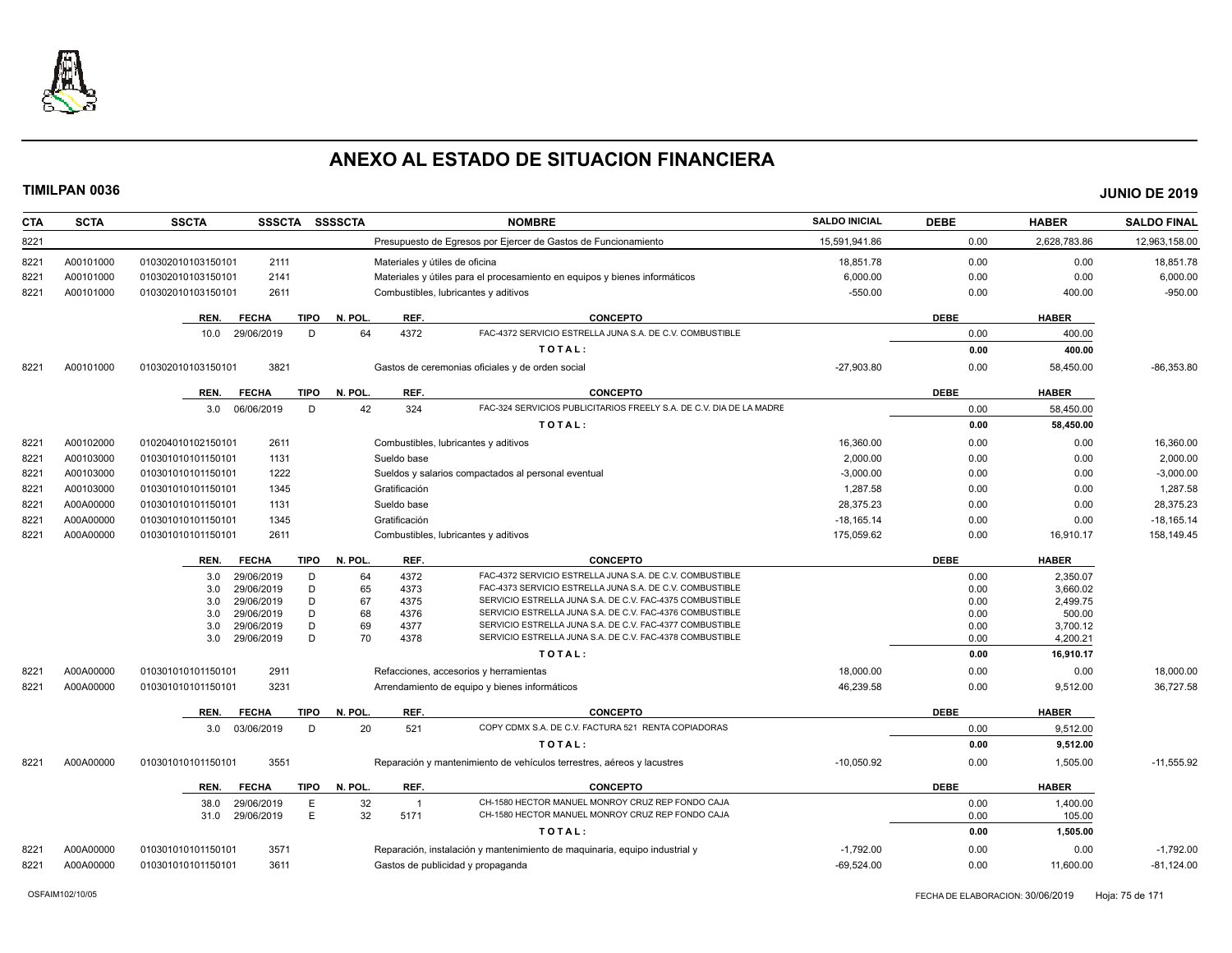

| <b>CTA</b> | <b>SCTA</b> | <b>SSCTA</b><br>SSSCTA SSSSCTA                   |                                | <b>NOMBRE</b>                                                                                                        | <b>SALDO INICIAL</b> | <b>DEBE</b>  | <b>HABER</b>       | <b>SALDO FINAL</b> |
|------------|-------------|--------------------------------------------------|--------------------------------|----------------------------------------------------------------------------------------------------------------------|----------------------|--------------|--------------------|--------------------|
| 8221       |             |                                                  |                                | Presupuesto de Egresos por Ejercer de Gastos de Funcionamiento                                                       | 15,591,941.86        | 0.00         | 2,628,783.86       | 12,963,158.00      |
| 8221       | A00101000   | 010302010103150101<br>2111                       | Materiales y útiles de oficina |                                                                                                                      | 18,851.78            | 0.00         | 0.00               | 18,851.78          |
| 822'       | A00101000   | 2141<br>010302010103150101                       |                                | Materiales y útiles para el procesamiento en equipos y bienes informáticos                                           | 6,000.00             | 0.00         | 0.00               | 6,000.00           |
| 8221       | A00101000   | 010302010103150101<br>2611                       |                                | Combustibles, lubricantes y aditivos                                                                                 | $-550.00$            | 0.00         | 400.00             | $-950.00$          |
|            |             | <b>FECHA</b><br>TIPO<br>REN.                     | N. POL.<br>REF.                | <b>CONCEPTO</b>                                                                                                      |                      | <b>DEBE</b>  | <b>HABER</b>       |                    |
|            |             | 10.0 29/06/2019<br>D                             | 64<br>4372                     | FAC-4372 SERVICIO ESTRELLA JUNA S.A. DE C.V. COMBUSTIBLE                                                             |                      | 0.00         | 400.00             |                    |
|            |             |                                                  |                                | TOTAL:                                                                                                               |                      | 0.00         | 400.00             |                    |
| 8221       | A00101000   | 3821<br>010302010103150101                       |                                | Gastos de ceremonias oficiales y de orden social                                                                     | $-27,903.80$         | 0.00         | 58,450.00          | $-86,353.80$       |
|            |             |                                                  |                                |                                                                                                                      |                      |              |                    |                    |
|            |             | TIPO<br>REN.<br><b>FECHA</b>                     | REF.<br>N. POL.                | <b>CONCEPTO</b>                                                                                                      |                      | <b>DEBE</b>  | <b>HABER</b>       |                    |
|            |             | 3.0 06/06/2019<br>D                              | 42<br>324                      | FAC-324 SERVICIOS PUBLICITARIOS FREELY S.A. DE C.V. DIA DE LA MADRE                                                  |                      | 0.00         | 58,450.00          |                    |
|            |             |                                                  |                                | TOTAL:                                                                                                               |                      | 0.00         | 58,450.00          |                    |
| 8221       | A00102000   | 2611<br>010204010102150101                       |                                | Combustibles, lubricantes y aditivos                                                                                 | 16,360.00            | 0.00         | 0.00               | 16,360.00          |
| 8221       | A00103000   | 1131<br>010301010101150101                       | Sueldo base                    |                                                                                                                      | 2,000.00             | 0.00         | 0.00               | 2,000.00           |
| 8221       | A00103000   | 1222<br>010301010101150101                       |                                | Sueldos y salarios compactados al personal eventual                                                                  | $-3,000.00$          | 0.00         | 0.00               | $-3,000.00$        |
| 8221       | A00103000   | 1345<br>010301010101150101                       | Gratificación                  |                                                                                                                      | 1,287.58             | 0.00         | 0.00               | 1,287.58           |
| 8221       | A00A00000   | 1131<br>010301010101150101                       | Sueldo base                    |                                                                                                                      | 28.375.23            | 0.00         | 0.00               | 28,375.23          |
| 8221       | A00A00000   | 010301010101150101<br>1345                       | Gratificación                  |                                                                                                                      | $-18,165.14$         | 0.00         | 0.00               | $-18,165.14$       |
| 8221       | A00A00000   | 010301010101150101<br>2611                       |                                | Combustibles, lubricantes y aditivos                                                                                 | 175,059.62           | 0.00         | 16,910.17          | 158,149.45         |
|            |             | <b>FECHA</b><br><b>TIPO</b><br>REN.              | REF.<br>N. POL.                | <b>CONCEPTO</b>                                                                                                      |                      | <b>DEBE</b>  | <b>HABER</b>       |                    |
|            |             | 29/06/2019<br>D<br>3.0                           | 4372<br>64                     | FAC-4372 SERVICIO ESTRELLA JUNA S.A. DE C.V. COMBUSTIBLE                                                             |                      | 0.00         | 2,350.07           |                    |
|            |             | 29/06/2019<br>D<br>3.0                           | 65<br>4373                     | FAC-4373 SERVICIO ESTRELLA JUNA S.A. DE C.V. COMBUSTIBLE                                                             |                      | 0.00         | 3,660.02           |                    |
|            |             | 29/06/2019<br>D<br>3.0                           | 67<br>4375                     | SERVICIO ESTRELLA JUNA S.A. DE C.V. FAC-4375 COMBUSTIBLE<br>SERVICIO ESTRELLA JUNA S.A. DE C.V. FAC-4376 COMBUSTIBLE |                      | 0.00         | 2,499.75           |                    |
|            |             | D<br>3.0<br>29/06/2019<br>D<br>3.0<br>29/06/2019 | 68<br>4376<br>69<br>4377       | SERVICIO ESTRELLA JUNA S.A. DE C.V. FAC-4377 COMBUSTIBLE                                                             |                      | 0.00<br>0.00 | 500.00<br>3,700.12 |                    |
|            |             | D<br>29/06/2019<br>3.0                           | 70<br>4378                     | SERVICIO ESTRELLA JUNA S.A. DE C.V. FAC-4378 COMBUSTIBLE                                                             |                      | 0.00         | 4,200.21           |                    |
|            |             |                                                  |                                | TOTAL:                                                                                                               |                      | 0.00         | 16,910.17          |                    |
| 8221       | A00A00000   | 2911<br>010301010101150101                       |                                | Refacciones, accesorios y herramientas                                                                               | 18,000.00            | 0.00         | 0.00               | 18,000.00          |
| 8221       | A00A00000   | 3231<br>010301010101150101                       |                                | Arrendamiento de equipo y bienes informáticos                                                                        | 46,239.58            | 0.00         | 9,512.00           | 36,727.58          |
|            |             | REN.                                             | N. POL.<br>REF.                | <b>CONCEPTO</b>                                                                                                      |                      | <b>DEBE</b>  | <b>HABER</b>       |                    |
|            |             | <b>FECHA</b><br>TIPO                             |                                | COPY CDMX S.A. DE C.V. FACTURA 521 RENTA COPIADORAS                                                                  |                      |              |                    |                    |
|            |             | 03/06/2019<br>D<br>3.0                           | 20<br>521                      | TOTAL:                                                                                                               |                      | 0.00         | 9,512.00           |                    |
|            |             |                                                  |                                |                                                                                                                      |                      | 0.00         | 9,512.00           |                    |
| 8221       | A00A00000   | 3551<br>010301010101150101                       |                                | Reparación y mantenimiento de vehículos terrestres, aéreos y lacustres                                               | $-10.050.92$         | 0.00         | 1,505.00           | $-11.555.92$       |
|            |             | REN.<br><b>FECHA</b><br>TIPO                     | N. POL.<br>REF.                | <b>CONCEPTO</b>                                                                                                      |                      | <b>DEBE</b>  | <b>HABER</b>       |                    |
|            |             | 29/06/2019<br>E<br>38.0                          | 32<br>$\overline{1}$           | CH-1580 HECTOR MANUEL MONROY CRUZ REP FONDO CAJA                                                                     |                      | 0.00         | 1,400.00           |                    |
|            |             | E<br>29/06/2019<br>31.0                          | 32<br>5171                     | CH-1580 HECTOR MANUEL MONROY CRUZ REP FONDO CAJA                                                                     |                      | 0.00         | 105.00             |                    |
|            |             |                                                  |                                | TOTAL:                                                                                                               |                      | 0.00         | 1,505.00           |                    |
| 8221       | A00A00000   | 3571<br>010301010101150101                       |                                | Reparación, instalación y mantenimiento de maquinaria, equipo industrial y                                           | $-1,792.00$          | 0.00         | 0.00               | $-1,792.00$        |
| 8221       | A00A00000   | 3611<br>010301010101150101                       |                                | Gastos de publicidad y propaganda                                                                                    | $-69,524.00$         | 0.00         | 11,600.00          | $-81,124.00$       |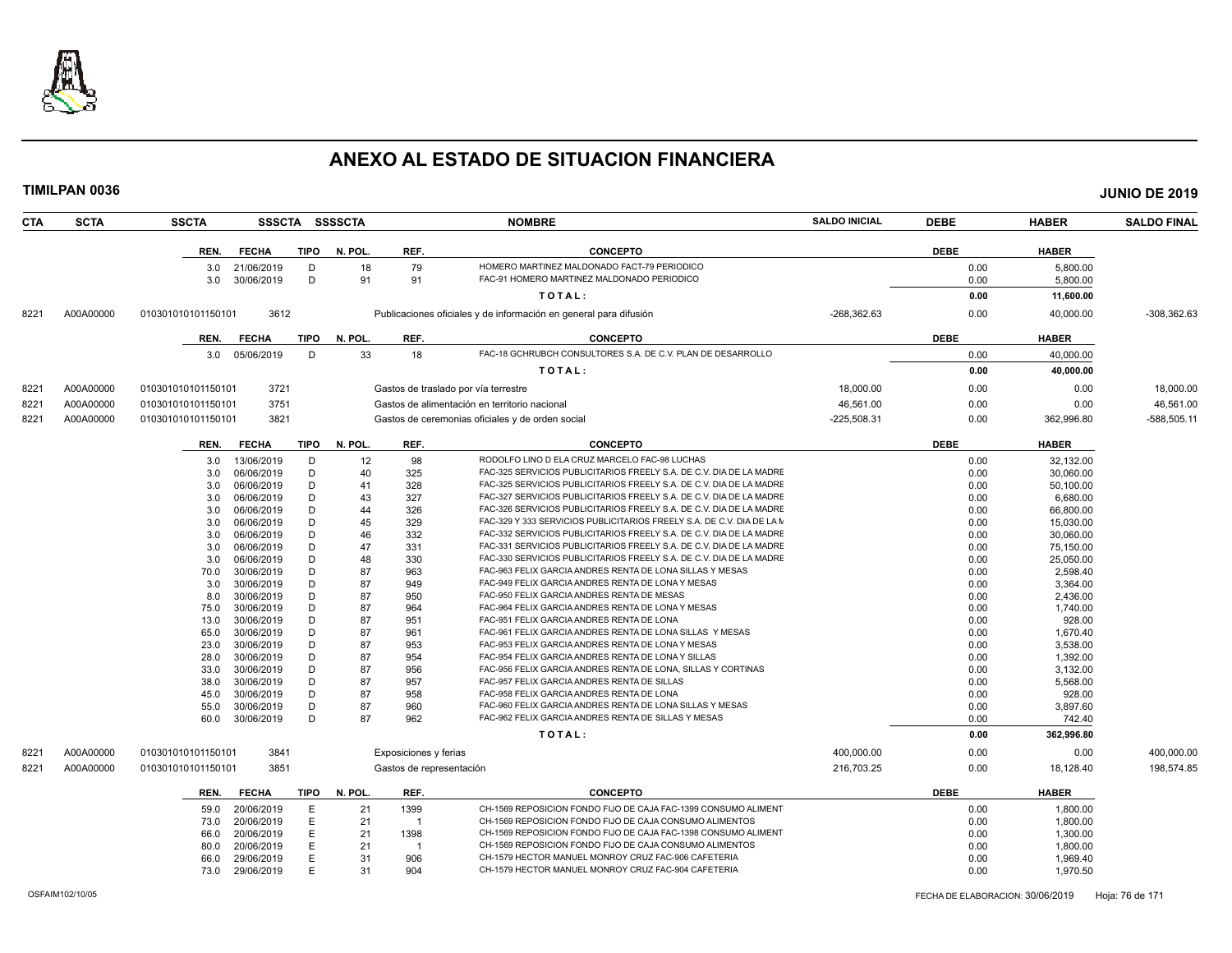

| <b>CTA</b> | <b>SCTA</b> | <b>SSCTA</b>       |                          |        | SSSCTA SSSSCTA |                          | <b>NOMBRE</b>                                                                                                  | <b>SALDO INICIAL</b> | <b>DEBE</b>  | <b>HABER</b>       | <b>SALDO FINAL</b> |
|------------|-------------|--------------------|--------------------------|--------|----------------|--------------------------|----------------------------------------------------------------------------------------------------------------|----------------------|--------------|--------------------|--------------------|
|            |             | REN.               | <b>FECHA</b>             | TIPO   | N. POL.        | REF.                     | <b>CONCEPTO</b>                                                                                                |                      | <b>DEBE</b>  | <b>HABER</b>       |                    |
|            |             | 3.0                | 21/06/2019               | D      | 18             | 79                       | HOMERO MARTINEZ MALDONADO FACT-79 PERIODICO                                                                    |                      | 0.00         | 5.800.00           |                    |
|            |             | 3.0                | 30/06/2019               | D      | 91             | 91                       | FAC-91 HOMERO MARTINEZ MALDONADO PERIODICO                                                                     |                      | 0.00         | 5,800.00           |                    |
|            |             |                    |                          |        |                |                          | TOTAL:                                                                                                         |                      | 0.00         |                    |                    |
|            |             |                    |                          |        |                |                          |                                                                                                                |                      |              | 11,600.00          |                    |
| 8221       | A00A00000   | 010301010101150101 | 3612                     |        |                |                          | Publicaciones oficiales y de información en general para difusión                                              | $-268,362.63$        | 0.00         | 40,000.00          | $-308,362.63$      |
|            |             | REN.               | <b>FECHA</b>             | TIPO   | N. POL.        | REF.                     | <b>CONCEPTO</b>                                                                                                |                      | <b>DEBE</b>  | <b>HABER</b>       |                    |
|            |             | 3.0                | 05/06/2019               | D      | 33             | 18                       | FAC-18 GCHRUBCH CONSULTORES S.A. DE C.V. PLAN DE DESARROLLO                                                    |                      | 0.00         | 40,000.00          |                    |
|            |             |                    |                          |        |                |                          | TOTAL:                                                                                                         |                      | 0.00         | 40,000.00          |                    |
| 8221       | A00A00000   | 010301010101150101 | 3721                     |        |                |                          | Gastos de traslado por vía terrestre                                                                           | 18,000.00            | 0.00         | 0.00               | 18,000.00          |
| 8221       | A00A00000   | 010301010101150101 | 3751                     |        |                |                          | Gastos de alimentación en territorio nacional                                                                  | 46.561.00            | 0.00         | 0.00               | 46,561.00          |
|            | A00A00000   |                    | 3821                     |        |                |                          |                                                                                                                | $-225,508.31$        | 0.00         |                    | -588,505.11        |
| 8221       |             | 010301010101150101 |                          |        |                |                          | Gastos de ceremonias oficiales y de orden social                                                               |                      |              | 362,996.80         |                    |
|            |             | REN.               | <b>FECHA</b>             | TIPO   | N. POL.        | REF.                     | <b>CONCEPTO</b>                                                                                                |                      | <b>DEBE</b>  | <b>HABER</b>       |                    |
|            |             | 3.0                | 13/06/2019               | D      | 12             | 98                       | RODOLFO LINO D ELA CRUZ MARCELO FAC-98 LUCHAS                                                                  |                      | 0.00         | 32.132.00          |                    |
|            |             | 3.0                | 06/06/2019               | D      | 40             | 325                      | FAC-325 SERVICIOS PUBLICITARIOS FREELY S.A. DE C.V. DIA DE LA MADRE                                            |                      | 0.00         | 30,060.00          |                    |
|            |             | 3.0                | 06/06/2019               | D      | 41             | 328                      | FAC-325 SERVICIOS PUBLICITARIOS FREELY S.A. DE C.V. DIA DE LA MADRE                                            |                      | 0.00         | 50,100.00          |                    |
|            |             | 3.0                | 06/06/2019               | D      | 43             | 327                      | FAC-327 SERVICIOS PUBLICITARIOS FREELY S.A. DE C.V. DIA DE LA MADRE                                            |                      | 0.00         | 6,680.00           |                    |
|            |             | 3.0                | 06/06/2019               | D      | 44             | 326                      | FAC-326 SERVICIOS PUBLICITARIOS FREELY S.A. DE C.V. DIA DE LA MADRE                                            |                      | 0.00         | 66,800.00          |                    |
|            |             | 3.0                | 06/06/2019               | D      | 45             | 329                      | FAC-329 Y 333 SERVICIOS PUBLICITARIOS FREELY S.A. DE C.V. DIA DE LA M                                          |                      | 0.00         | 15,030.00          |                    |
|            |             | 3.0                | 06/06/2019               | D      | 46             | 332                      | FAC-332 SERVICIOS PUBLICITARIOS FREELY S.A. DE C.V. DIA DE LA MADRE                                            |                      | 0.00         | 30,060.00          |                    |
|            |             | 3.0                | 06/06/2019               | D      | 47             | 331                      | FAC-331 SERVICIOS PUBLICITARIOS FREELY S.A. DE C.V. DIA DE LA MADRE                                            |                      | 0.00         | 75,150.00          |                    |
|            |             | 3.0                | 06/06/2019               | D      | 48             | 330                      | FAC-330 SERVICIOS PUBLICITARIOS FREELY S.A. DE C.V. DIA DE LA MADRE                                            |                      | 0.00         | 25,050.00          |                    |
|            |             | 70.0               | 30/06/2019               | D      | 87             | 963                      | FAC-963 FELIX GARCIA ANDRES RENTA DE LONA SILLAS Y MESAS                                                       |                      | 0.00         | 2,598.40           |                    |
|            |             | 3.0                | 30/06/2019               | D      | 87             | 949                      | FAC-949 FELIX GARCIA ANDRES RENTA DE LONA Y MESAS                                                              |                      | 0.00         | 3,364.00           |                    |
|            |             | 8.0                | 30/06/2019               | D      | 87             | 950                      | FAC-950 FELIX GARCIA ANDRES RENTA DE MESAS                                                                     |                      | 0.00         | 2,436.00           |                    |
|            |             | 75.0               | 30/06/2019<br>30/06/2019 | D<br>D | 87<br>87       | 964<br>951               | FAC-964 FELIX GARCIA ANDRES RENTA DE LONA Y MESAS<br>FAC-951 FELIX GARCIA ANDRES RENTA DE LONA                 |                      | 0.00<br>0.00 | 1,740.00           |                    |
|            |             | 13.0<br>65.0       | 30/06/2019               | D      | 87             | 961                      | FAC-961 FELIX GARCIA ANDRES RENTA DE LONA SILLAS Y MESAS                                                       |                      | 0.00         | 928.00<br>1.670.40 |                    |
|            |             | 23.0               | 30/06/2019               | D      | 87             | 953                      | FAC-953 FELIX GARCIA ANDRES RENTA DE LONA Y MESAS                                                              |                      | 0.00         | 3,538.00           |                    |
|            |             | 28.0               | 30/06/2019               | D      | 87             | 954                      | FAC-954 FELIX GARCIA ANDRES RENTA DE LONA Y SILLAS                                                             |                      | 0.00         | 1,392.00           |                    |
|            |             | 33.0               | 30/06/2019               | D      | 87             | 956                      | FAC-956 FELIX GARCIA ANDRES RENTA DE LONA, SILLAS Y CORTINAS                                                   |                      | 0.00         | 3,132.00           |                    |
|            |             | 38.0               | 30/06/2019               | D      | 87             | 957                      | FAC-957 FELIX GARCIA ANDRES RENTA DE SILLAS                                                                    |                      | 0.00         | 5,568.00           |                    |
|            |             | 45.0               | 30/06/2019               | D      | 87             | 958                      | FAC-958 FELIX GARCIA ANDRES RENTA DE LONA                                                                      |                      | 0.00         | 928.00             |                    |
|            |             | 55.0               | 30/06/2019               | D      | 87             | 960                      | FAC-960 FELIX GARCIA ANDRES RENTA DE LONA SILLAS Y MESAS                                                       |                      | 0.00         | 3,897.60           |                    |
|            |             | 60.0               | 30/06/2019               | D      | 87             | 962                      | FAC-962 FELIX GARCIA ANDRES RENTA DE SILLAS Y MESAS                                                            |                      | 0.00         | 742.40             |                    |
|            |             |                    |                          |        |                |                          | TOTAL:                                                                                                         |                      | 0.00         | 362,996.80         |                    |
| 8221       | A00A00000   | 010301010101150101 | 3841                     |        |                | Exposiciones y ferias    |                                                                                                                | 400,000.00           | 0.00         | 0.00               | 400,000.00         |
| 8221       | A00A00000   | 010301010101150101 | 3851                     |        |                | Gastos de representación |                                                                                                                | 216,703.25           | 0.00         | 18,128.40          | 198,574.85         |
|            |             |                    |                          |        |                |                          |                                                                                                                |                      |              |                    |                    |
|            |             | REN.               | <b>FECHA</b>             | TIPO   | N. POL.        | REF.                     | <b>CONCEPTO</b>                                                                                                |                      | <b>DEBE</b>  | <b>HABER</b>       |                    |
|            |             | 59.0               | 20/06/2019               | Е      | 21             | 1399                     | CH-1569 REPOSICION FONDO FIJO DE CAJA FAC-1399 CONSUMO ALIMENT                                                 |                      | 0.00         | 1,800.00           |                    |
|            |             | 73.0               | 20/06/2019               | E      | 21             | $\mathbf{1}$             | CH-1569 REPOSICION FONDO FIJO DE CAJA CONSUMO ALIMENTOS                                                        |                      | 0.00         | 1,800.00           |                    |
|            |             | 66.0               | 20/06/2019               | E      | 21             | 1398                     | CH-1569 REPOSICION FONDO FIJO DE CAJA FAC-1398 CONSUMO ALIMENT                                                 |                      | 0.00         | 1,300.00           |                    |
|            |             | 80.0               | 20/06/2019               | E      | 21             |                          | CH-1569 REPOSICION FONDO FIJO DE CAJA CONSUMO ALIMENTOS<br>CH-1579 HECTOR MANUEL MONROY CRUZ FAC-906 CAFETERIA |                      | 0.00         | 1,800.00           |                    |
|            |             | 66.0               | 29/06/2019               | E<br>E | 31<br>31       | 906<br>904               | CH-1579 HECTOR MANUEL MONROY CRUZ FAC-904 CAFETERIA                                                            |                      | 0.00         | 1,969.40           |                    |
|            |             | 73.0               | 29/06/2019               |        |                |                          |                                                                                                                |                      | 0.00         | 1,970.50           |                    |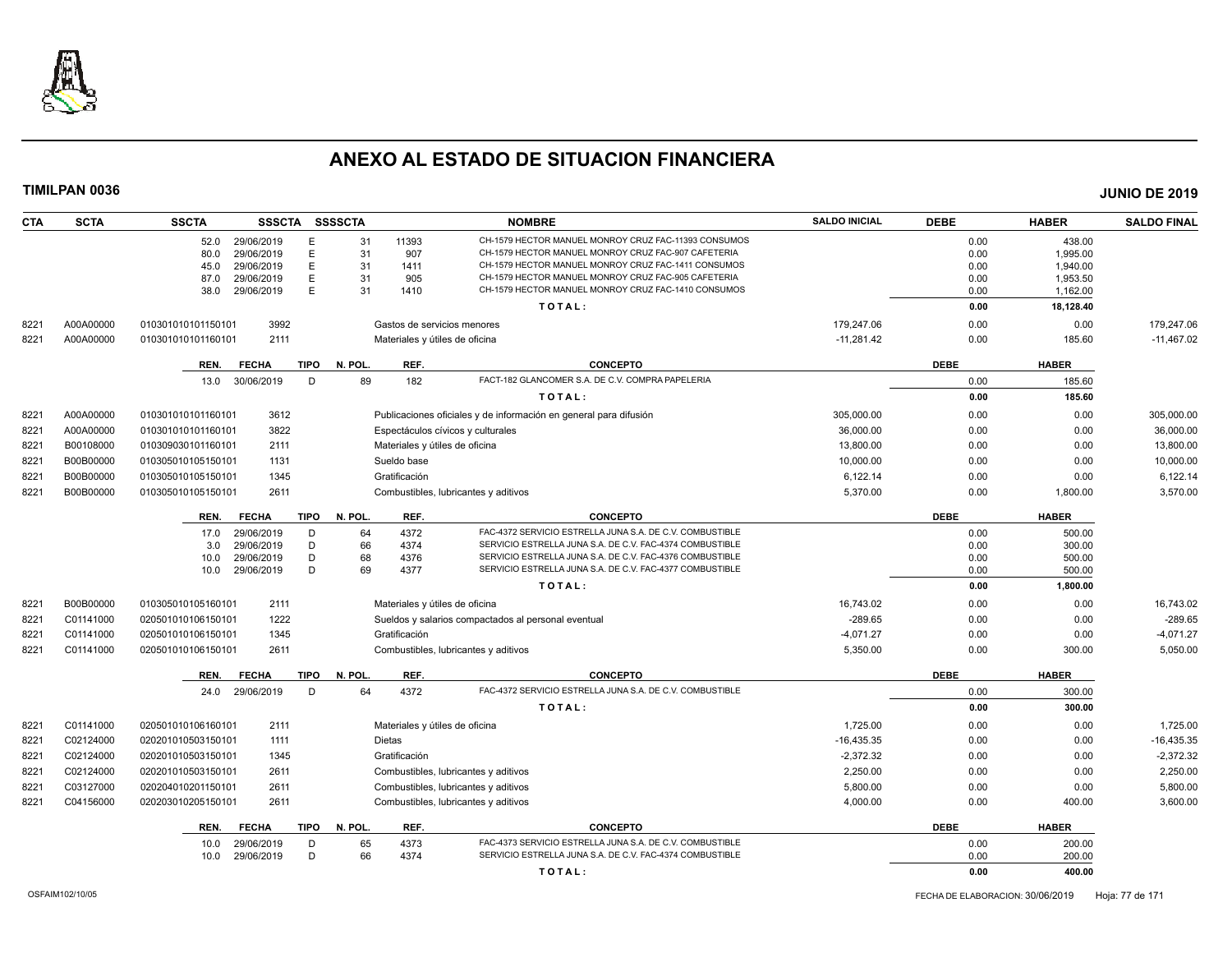

| <b>CTA</b> | <b>SCTA</b> | <b>SSCTA</b>       | SSSCTA SSSSCTA  |             |              |                                | <b>NOMBRE</b>                                                                                              | <b>SALDO INICIAL</b> | <b>DEBE</b>  | <b>HABER</b>          | <b>SALDO FINAL</b> |
|------------|-------------|--------------------|-----------------|-------------|--------------|--------------------------------|------------------------------------------------------------------------------------------------------------|----------------------|--------------|-----------------------|--------------------|
|            |             | 52.0               | 29/06/2019      | E           | 31           | 11393                          | CH-1579 HECTOR MANUEL MONROY CRUZ FAC-11393 CONSUMOS                                                       |                      | 0.00         | 438.00                |                    |
|            |             | 80.0               | 29/06/2019      | E           | 31           | 907                            | CH-1579 HECTOR MANUEL MONROY CRUZ FAC-907 CAFETERIA                                                        |                      | 0.00         | 1.995.00              |                    |
|            |             | 45.0               | 29/06/2019      | E           | 31           | 1411                           | CH-1579 HECTOR MANUEL MONROY CRUZ FAC-1411 CONSUMOS                                                        |                      | 0.00         | 1,940.00              |                    |
|            |             | 87.0               | 29/06/2019      | E.<br>E     | 31<br>31     | 905<br>1410                    | CH-1579 HECTOR MANUEL MONROY CRUZ FAC-905 CAFETERIA<br>CH-1579 HECTOR MANUEL MONROY CRUZ FAC-1410 CONSUMOS |                      | 0.00         | 1,953.50              |                    |
|            |             | 38.0               | 29/06/2019      |             |              |                                | TOTAL:                                                                                                     |                      | 0.00<br>0.00 | 1,162.00<br>18,128.40 |                    |
| 8221       | A00A00000   | 010301010101150101 | 3992            |             |              |                                | Gastos de servicios menores                                                                                | 179,247.06           | 0.00         | 0.00                  | 179,247.06         |
| 8221       | A00A00000   | 010301010101160101 | 2111            |             |              |                                | Materiales y útiles de oficina                                                                             | $-11,281.42$         | 0.00         | 185.60                | $-11,467.02$       |
|            |             | REN.               | <b>FECHA</b>    |             | TIPO N. POL. | REF.                           | <b>CONCEPTO</b>                                                                                            |                      | <b>DEBE</b>  | <b>HABER</b>          |                    |
|            |             |                    | 13.0 30/06/2019 | D           | 89           | 182                            | FACT-182 GLANCOMER S.A. DE C.V. COMPRA PAPELERIA                                                           |                      | 0.00         | 185.60                |                    |
|            |             |                    |                 |             |              |                                | TOTAL:                                                                                                     |                      | 0.00         | 185.60                |                    |
| 8221       | A00A00000   | 010301010101160101 | 3612            |             |              |                                | Publicaciones oficiales y de información en general para difusión                                          | 305,000.00           | 0.00         | 0.00                  | 305,000.00         |
| 8221       | A00A00000   | 010301010101160101 | 3822            |             |              |                                | Espectáculos cívicos y culturales                                                                          | 36,000.00            | 0.00         | 0.00                  | 36,000.00          |
| 8221       | B00108000   | 010309030101160101 | 2111            |             |              | Materiales y útiles de oficina |                                                                                                            | 13,800.00            | 0.00         | 0.00                  | 13,800.00          |
| 8221       | B00B00000   | 010305010105150101 | 1131            |             |              | Sueldo base                    |                                                                                                            | 10,000.00            | 0.00         | 0.00                  | 10,000.00          |
| 8221       | B00B00000   | 010305010105150101 | 1345            |             |              | Gratificación                  |                                                                                                            | 6,122.14             | 0.00         | 0.00                  | 6,122.14           |
| 8221       | B00B00000   | 010305010105150101 | 2611            |             |              |                                | Combustibles, lubricantes y aditivos                                                                       | 5,370.00             | 0.00         | 1,800.00              | 3,570.00           |
|            |             | REN.               | <b>FECHA</b>    | <b>TIPO</b> | N. POL.      | REF.                           | <b>CONCEPTO</b>                                                                                            |                      | <b>DEBE</b>  | <b>HABER</b>          |                    |
|            |             | 17.0               | 29/06/2019      | D           | 64           | 4372                           | FAC-4372 SERVICIO ESTRELLA JUNA S.A. DE C.V. COMBUSTIBLE                                                   |                      | 0.00         | 500.00                |                    |
|            |             | 3.0                | 29/06/2019      | D           | 66           | 4374                           | SERVICIO ESTRELLA JUNA S.A. DE C.V. FAC-4374 COMBUSTIBLE                                                   |                      | 0.00         | 300.00                |                    |
|            |             | 10.0               | 29/06/2019      | D           | 68           | 4376                           | SERVICIO ESTRELLA JUNA S.A. DE C.V. FAC-4376 COMBUSTIBLE                                                   |                      | 0.00         | 500.00                |                    |
|            |             | 10.0               | 29/06/2019      | D           | 69           | 4377                           | SERVICIO ESTRELLA JUNA S.A. DE C.V. FAC-4377 COMBUSTIBLE                                                   |                      | 0.00         | 500.00                |                    |
|            |             |                    |                 |             |              |                                | TOTAL:                                                                                                     |                      | 0.00         | 1,800.00              |                    |
| 8221       | B00B00000   | 010305010105160101 | 2111            |             |              | Materiales y útiles de oficina |                                                                                                            | 16.743.02            | 0.00         | 0.00                  | 16,743.02          |
| 8221       | C01141000   | 020501010106150101 | 1222            |             |              |                                | Sueldos y salarios compactados al personal eventual                                                        | $-289.65$            | 0.00         | 0.00                  | $-289.65$          |
| 822'       | C01141000   | 020501010106150101 | 1345            |             |              | Gratificación                  |                                                                                                            | $-4.071.27$          | 0.00         | 0.00                  | $-4,071.27$        |
| 8221       | C01141000   | 020501010106150101 | 2611            |             |              |                                | Combustibles, lubricantes y aditivos                                                                       | 5,350.00             | 0.00         | 300.00                | 5,050.00           |
|            |             | REN.               | <b>FECHA</b>    | <b>TIPO</b> | N. POL.      | REF.                           | <b>CONCEPTO</b>                                                                                            |                      | <b>DEBE</b>  | <b>HABER</b>          |                    |
|            |             | 24.0               | 29/06/2019      | D           | 64           | 4372                           | FAC-4372 SERVICIO ESTRELLA JUNA S.A. DE C.V. COMBUSTIBLE                                                   |                      | 0.00         | 300.00                |                    |
|            |             |                    |                 |             |              |                                | TOTAL:                                                                                                     |                      | 0.00         | 300.00                |                    |
| 8221       | C01141000   | 020501010106160101 | 2111            |             |              |                                | Materiales y útiles de oficina                                                                             | 1,725.00             | 0.00         | 0.00                  | 1,725.00           |
| 8221       | C02124000   | 020201010503150101 | 1111            |             |              | Dietas                         |                                                                                                            | $-16,435.35$         | 0.00         | 0.00                  | $-16,435.35$       |
| 8221       | C02124000   | 020201010503150101 | 1345            |             |              | Gratificación                  |                                                                                                            | $-2,372.32$          | 0.00         | 0.00                  | $-2,372.32$        |
| 8221       | C02124000   | 020201010503150101 | 2611            |             |              |                                | Combustibles, lubricantes y aditivos                                                                       | 2,250.00             | 0.00         | 0.00                  | 2,250.00           |
| 8221       | C03127000   | 020204010201150101 | 2611            |             |              |                                | Combustibles, lubricantes y aditivos                                                                       | 5,800.00             | 0.00         | 0.00                  | 5,800.00           |
| 8221       | C04156000   | 020203010205150101 | 2611            |             |              |                                | Combustibles, lubricantes y aditivos                                                                       | 4,000.00             | 0.00         | 400.00                | 3,600.00           |
|            |             | REN.               | <b>FECHA</b>    | <b>TIPO</b> | N. POL.      | REF.                           | <b>CONCEPTO</b>                                                                                            |                      | <b>DEBE</b>  | <b>HABER</b>          |                    |
|            |             | 10.0               | 29/06/2019      | D           | 65           | 4373                           | FAC-4373 SERVICIO ESTRELLA JUNA S.A. DE C.V. COMBUSTIBLE                                                   |                      | 0.00         | 200.00                |                    |
|            |             | 10.0               | 29/06/2019      | D           | 66           | 4374                           | SERVICIO ESTRELLA JUNA S.A. DE C.V. FAC-4374 COMBUSTIBLE                                                   |                      | 0.00         | 200.00                |                    |
|            |             |                    |                 |             |              |                                | TOTAL:                                                                                                     |                      | 0.00         | 400.00                |                    |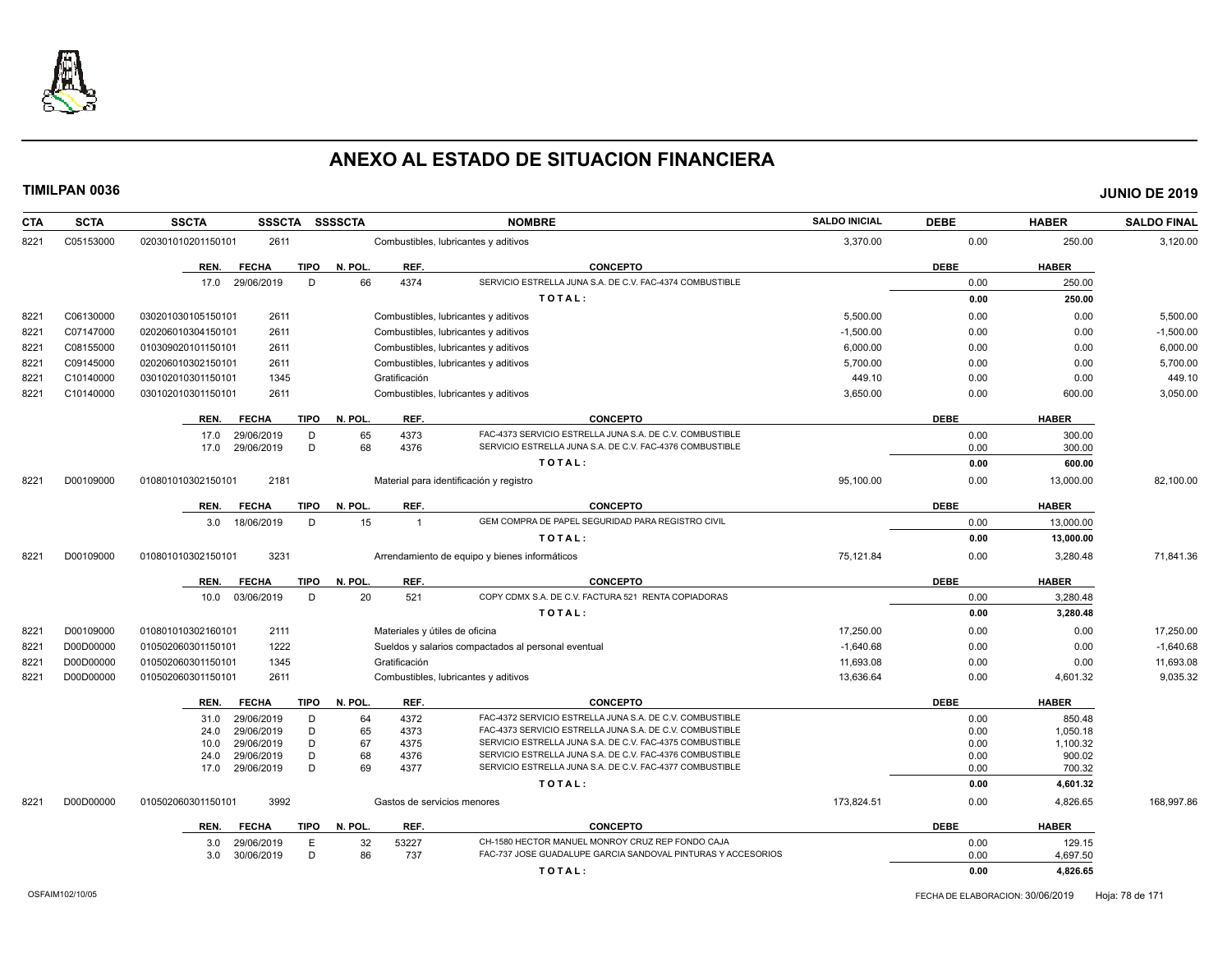

| <b>CTA</b> | <b>SCTA</b> | <b>SSCTA</b><br><b>SSSCTA</b>                      | <b>SSSSCTA</b>           | <b>NOMBRE</b>                                                                                                        | <b>SALDO INICIAL</b> | <b>DEBE</b>  | <b>HABER</b>       | <b>SALDO FINAL</b> |
|------------|-------------|----------------------------------------------------|--------------------------|----------------------------------------------------------------------------------------------------------------------|----------------------|--------------|--------------------|--------------------|
| 8221       | C05153000   | 2611<br>020301010201150101                         |                          | Combustibles, lubricantes y aditivos                                                                                 | 3,370.00             | 0.00         | 250.00             | 3,120.00           |
|            |             | <b>TIPO</b><br>REN.<br><b>FECHA</b>                | N. POL.<br>REF.          | <b>CONCEPTO</b>                                                                                                      |                      | <b>DEBE</b>  | <b>HABER</b>       |                    |
|            |             | D<br>17.0<br>29/06/2019                            | 66<br>4374               | SERVICIO ESTRELLA JUNA S.A. DE C.V. FAC-4374 COMBUSTIBLE                                                             |                      | 0.00         | 250.00             |                    |
|            |             |                                                    |                          | TOTAL:                                                                                                               |                      | 0.00         | 250.00             |                    |
| 8221       | C06130000   | 2611<br>030201030105150101                         |                          | Combustibles, lubricantes y aditivos                                                                                 | 5,500.00             | 0.00         | 0.00               | 5,500.00           |
| 8221       | C07147000   | 2611<br>020206010304150101                         |                          | Combustibles, lubricantes y aditivos                                                                                 | $-1,500.00$          | 0.00         | 0.00               | $-1,500.00$        |
| 8221       | C08155000   | 010309020101150101<br>2611                         |                          | Combustibles, lubricantes y aditivos                                                                                 | 6,000.00             | 0.00         | 0.00               | 6,000.00           |
| 8221       | C09145000   | 020206010302150101<br>2611                         |                          | Combustibles, lubricantes y aditivos                                                                                 | 5,700.00             | 0.00         | 0.00               | 5,700.00           |
| 8221       | C10140000   | 030102010301150101<br>1345                         | Gratificación            |                                                                                                                      | 449.10               | 0.00         | 0.00               | 449.10             |
| 8221       | C10140000   | 030102010301150101<br>2611                         |                          | Combustibles, lubricantes y aditivos                                                                                 | 3,650.00             | 0.00         | 600.00             | 3,050.00           |
|            |             | <b>FECHA</b><br><b>TIPO</b><br>REN.                | N. POL.<br>REF.          | <b>CONCEPTO</b>                                                                                                      |                      | <b>DEBE</b>  | <b>HABER</b>       |                    |
|            |             | 29/06/2019<br>D<br>17.0                            | 65<br>4373               | FAC-4373 SERVICIO ESTRELLA JUNA S.A. DE C.V. COMBUSTIBLE                                                             |                      | 0.00         | 300.00             |                    |
|            |             | D<br>29/06/2019<br>17.0                            | 68<br>4376               | SERVICIO ESTRELLA JUNA S.A. DE C.V. FAC-4376 COMBUSTIBLE                                                             |                      | 0.00         | 300.00             |                    |
|            |             |                                                    |                          | TOTAL:                                                                                                               |                      | 0.00         | 600.00             |                    |
| 8221       | D00109000   | 2181<br>010801010302150101                         |                          | Material para identificación y registro                                                                              | 95,100.00            | 0.00         | 13,000.00          | 82,100.00          |
|            |             | <b>FECHA</b><br><b>TIPO</b><br>REN.                | REF.<br>N. POL.          | <b>CONCEPTO</b>                                                                                                      |                      | <b>DEBE</b>  | <b>HABER</b>       |                    |
|            |             | 18/06/2019<br>D<br>3.0                             | 15<br>$\overline{1}$     | GEM COMPRA DE PAPEL SEGURIDAD PARA REGISTRO CIVIL                                                                    |                      | 0.00         | 13.000.00          |                    |
|            |             |                                                    |                          | TOTAL:                                                                                                               |                      | 0.00         | 13,000.00          |                    |
| 8221       | D00109000   | 3231<br>010801010302150101                         |                          | Arrendamiento de equipo y bienes informáticos                                                                        | 75,121.84            | 0.00         | 3,280.48           | 71,841.36          |
|            |             | <b>FECHA</b><br><b>TIPO</b><br>REN.                | N. POL.<br>REF.          | <b>CONCEPTO</b>                                                                                                      |                      | <b>DEBE</b>  | <b>HABER</b>       |                    |
|            |             | 03/06/2019<br>D<br>10.0                            | 521<br>20                | COPY CDMX S.A. DE C.V. FACTURA 521 RENTA COPIADORAS                                                                  |                      | 0.00         | 3,280.48           |                    |
|            |             |                                                    |                          | TOTAL:                                                                                                               |                      | 0.00         | 3,280.48           |                    |
| 8221       | D00109000   | 2111<br>010801010302160101                         |                          | Materiales y útiles de oficina                                                                                       | 17,250.00            | 0.00         | 0.00               | 17,250.00          |
| 8221       | D00D00000   | 1222<br>010502060301150101                         |                          | Sueldos y salarios compactados al personal eventual                                                                  | $-1,640.68$          | 0.00         | 0.00               | $-1,640.68$        |
| 8221       | D00D00000   | 1345<br>010502060301150101                         | Gratificación            |                                                                                                                      | 11,693.08            | 0.00         | 0.00               | 11,693.08          |
| 8221       | D00D00000   | 010502060301150101<br>2611                         |                          | Combustibles, lubricantes y aditivos                                                                                 | 13,636.64            | 0.00         | 4,601.32           | 9,035.32           |
|            |             | <b>FECHA</b><br><b>TIPO</b><br>REN.                | N. POL.<br>REF.          | <b>CONCEPTO</b>                                                                                                      |                      | <b>DEBE</b>  | <b>HABER</b>       |                    |
|            |             | 29/06/2019<br>D<br>31.0                            | 4372<br>64               | FAC-4372 SERVICIO ESTRELLA JUNA S.A. DE C.V. COMBUSTIBLE                                                             |                      | 0.00         | 850.48             |                    |
|            |             | D<br>29/06/2019<br>24.0                            | 65<br>4373               | FAC-4373 SERVICIO ESTRELLA JUNA S.A. DE C.V. COMBUSTIBLE                                                             |                      | 0.00         | 1,050.18           |                    |
|            |             | D<br>29/06/2019<br>10.0<br>D<br>29/06/2019<br>24.0 | 67<br>4375<br>68<br>4376 | SERVICIO ESTRELLA JUNA S.A. DE C.V. FAC-4375 COMBUSTIBLE<br>SERVICIO ESTRELLA JUNA S.A. DE C.V. FAC-4376 COMBUSTIBLE |                      | 0.00<br>0.00 | 1,100.32<br>900.02 |                    |
|            |             | D<br>29/06/2019<br>17.0                            | 69<br>4377               | SERVICIO ESTRELLA JUNA S.A. DE C.V. FAC-4377 COMBUSTIBLE                                                             |                      | 0.00         | 700.32             |                    |
|            |             |                                                    |                          | TOTAL:                                                                                                               |                      | 0.00         | 4,601.32           |                    |
| 8221       | D00D00000   | 3992<br>010502060301150101                         |                          | Gastos de servicios menores                                                                                          | 173,824.51           | 0.00         | 4,826.65           | 168.997.86         |
|            |             | <b>FECHA</b><br>TIPO<br>REN.                       | REF.<br>N. POL.          | <b>CONCEPTO</b>                                                                                                      |                      | <b>DEBE</b>  | <b>HABER</b>       |                    |
|            |             | E<br>29/06/2019<br>3.0                             | 32<br>53227              | CH-1580 HECTOR MANUEL MONROY CRUZ REP FONDO CAJA                                                                     |                      | 0.00         | 129.15             |                    |
|            |             | D<br>3.0<br>30/06/2019                             | 86<br>737                | FAC-737 JOSE GUADALUPE GARCIA SANDOVAL PINTURAS Y ACCESORIOS                                                         |                      | 0.00         | 4,697.50           |                    |
|            |             |                                                    |                          | TOTAL:                                                                                                               |                      | 0.00         | 4,826.65           |                    |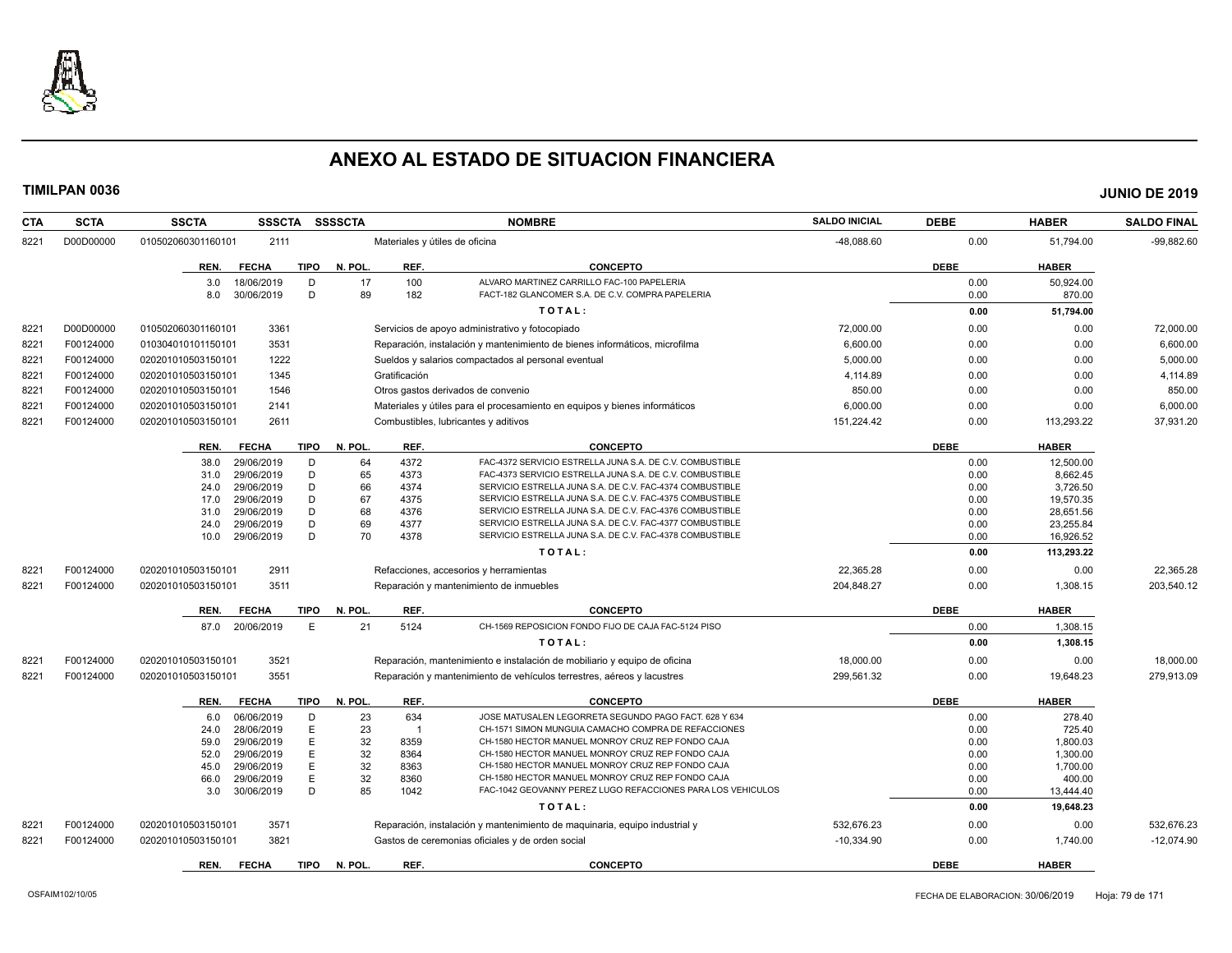

| <b>CTA</b> | <b>SCTA</b> | <b>SSCTA</b>       | <b>SSSCTA</b>            | <b>SSSSCTA</b>         |               | <b>NOMBRE</b>                                                               | <b>SALDO INICIAL</b> | <b>DEBE</b>  | <b>HABER</b>          | <b>SALDO FINAL</b> |
|------------|-------------|--------------------|--------------------------|------------------------|---------------|-----------------------------------------------------------------------------|----------------------|--------------|-----------------------|--------------------|
| 8221       | D00D00000   | 010502060301160101 | 2111                     |                        |               | Materiales y útiles de oficina                                              | -48,088.60           | 0.00         | 51,794.00             | $-99,882.60$       |
|            |             | REN.               | <b>FECHA</b>             | TIPO<br>N. POL.        | REF.          | <b>CONCEPTO</b>                                                             |                      | <b>DEBE</b>  | <b>HABER</b>          |                    |
|            |             | 3.0                | 18/06/2019               | 17<br>D                | 100           | ALVARO MARTINEZ CARRILLO FAC-100 PAPELERIA                                  |                      | 0.00         | 50,924.00             |                    |
|            |             | 8.0                | 30/06/2019               | D<br>89                | 182           | FACT-182 GLANCOMER S.A. DE C.V. COMPRA PAPELERIA                            |                      | 0.00         | 870.00                |                    |
|            |             |                    |                          |                        |               | TOTAL:                                                                      |                      | 0.00         | 51,794.00             |                    |
| 8221       | D00D00000   | 010502060301160101 | 3361                     |                        |               | Servicios de apoyo administrativo y fotocopiado                             | 72,000.00            | 0.00         | 0.00                  | 72,000.00          |
| 8221       | F00124000   | 010304010101150101 | 3531                     |                        |               | Reparación, instalación y mantenimiento de bienes informáticos, microfilma  | 6,600.00             | 0.00         | 0.00                  | 6,600.00           |
| 8221       | F00124000   | 020201010503150101 | 1222                     |                        |               | Sueldos y salarios compactados al personal eventual                         | 5,000.00             | 0.00         | 0.00                  | 5,000.00           |
| 8221       | F00124000   | 020201010503150101 | 1345                     |                        | Gratificación |                                                                             | 4,114.89             | 0.00         | 0.00                  | 4,114.89           |
| 8221       | F00124000   | 020201010503150101 | 1546                     |                        |               | Otros gastos derivados de convenio                                          | 850.00               | 0.00         | 0.00                  | 850.00             |
| 8221       | F00124000   | 020201010503150101 | 2141                     |                        |               | Materiales y útiles para el procesamiento en equipos y bienes informáticos  | 6,000.00             | 0.00         | 0.00                  | 6,000.00           |
| 8221       | F00124000   | 020201010503150101 | 2611                     |                        |               | Combustibles, lubricantes y aditivos                                        | 151,224.42           | 0.00         | 113,293.22            | 37,931.20          |
|            |             |                    |                          |                        |               |                                                                             |                      |              |                       |                    |
|            |             | REN.               | <b>FECHA</b>             | <b>TIPO</b><br>N. POL. | REF.          | <b>CONCEPTO</b><br>FAC-4372 SERVICIO ESTRELLA JUNA S.A. DE C.V. COMBUSTIBLE |                      | <b>DEBE</b>  | <b>HABER</b>          |                    |
|            |             | 38.0<br>31.0       | 29/06/2019<br>29/06/2019 | 64<br>D<br>D<br>65     | 4372<br>4373  | FAC-4373 SERVICIO ESTRELLA JUNA S.A. DE C.V. COMBUSTIBLE                    |                      | 0.00<br>0.00 | 12,500.00<br>8.662.45 |                    |
|            |             | 24.0               | 29/06/2019               | 66<br>D                | 4374          | SERVICIO ESTRELLA JUNA S.A. DE C.V. FAC-4374 COMBUSTIBLE                    |                      | 0.00         | 3,726.50              |                    |
|            |             | 17.0               | 29/06/2019               | D<br>67                | 4375          | SERVICIO ESTRELLA JUNA S.A. DE C.V. FAC-4375 COMBUSTIBLE                    |                      | 0.00         | 19,570.35             |                    |
|            |             | 31.0               | 29/06/2019               | 68<br>D                | 4376          | SERVICIO ESTRELLA JUNA S.A. DE C.V. FAC-4376 COMBUSTIBLE                    |                      | 0.00         | 28,651.56             |                    |
|            |             | 24.0               | 29/06/2019               | 69<br>D                | 4377          | SERVICIO ESTRELLA JUNA S.A. DE C.V. FAC-4377 COMBUSTIBLE                    |                      | 0.00         | 23,255.84             |                    |
|            |             | 10.0               | 29/06/2019               | D<br>70                | 4378          | SERVICIO ESTRELLA JUNA S.A. DE C.V. FAC-4378 COMBUSTIBLE                    |                      | 0.00         | 16,926.52             |                    |
|            |             |                    |                          |                        |               | TOTAL:                                                                      |                      | 0.00         | 113,293.22            |                    |
| 8221       | F00124000   | 020201010503150101 | 2911                     |                        |               | Refacciones, accesorios y herramientas                                      | 22,365.28            | 0.00         | 0.00                  | 22,365.28          |
| 8221       | F00124000   | 020201010503150101 | 3511                     |                        |               | Reparación y mantenimiento de inmuebles                                     | 204.848.27           | 0.00         | 1,308.15              | 203,540.12         |
|            |             | REN.               | <b>FECHA</b>             | <b>TIPO</b><br>N. POL. | REF.          | <b>CONCEPTO</b>                                                             |                      | <b>DEBE</b>  | <b>HABER</b>          |                    |
|            |             |                    | 87.0 20/06/2019          | E<br>21                | 5124          | CH-1569 REPOSICION FONDO FIJO DE CAJA FAC-5124 PISO                         |                      | 0.00         | 1,308.15              |                    |
|            |             |                    |                          |                        |               | TOTAL:                                                                      |                      | 0.00         | 1,308.15              |                    |
| 8221       | F00124000   | 020201010503150101 | 3521                     |                        |               | Reparación, mantenimiento e instalación de mobiliario y equipo de oficina   | 18,000.00            | 0.00         | 0.00                  | 18,000.00          |
| 8221       | F00124000   | 020201010503150101 | 3551                     |                        |               | Reparación y mantenimiento de vehículos terrestres, aéreos y lacustres      | 299.561.32           | 0.00         | 19.648.23             | 279.913.09         |
|            |             | REN.               | <b>FECHA</b>             | TIPO<br>N. POL.        | REF.          | <b>CONCEPTO</b>                                                             |                      | <b>DEBE</b>  | <b>HABER</b>          |                    |
|            |             | 6.0                | 06/06/2019               | 23<br>D                | 634           | JOSE MATUSALEN LEGORRETA SEGUNDO PAGO FACT. 628 Y 634                       |                      | 0.00         | 278.40                |                    |
|            |             | 24.0               | 28/06/2019               | E<br>23                | $\mathbf{1}$  | CH-1571 SIMON MUNGUIA CAMACHO COMPRA DE REFACCIONES                         |                      | 0.00         | 725.40                |                    |
|            |             | 59.0               | 29/06/2019               | E<br>32                | 8359          | CH-1580 HECTOR MANUEL MONROY CRUZ REP FONDO CAJA                            |                      | 0.00         | 1,800.03              |                    |
|            |             | 52.0               | 29/06/2019               | E<br>32                | 8364          | CH-1580 HECTOR MANUEL MONROY CRUZ REP FONDO CAJA                            |                      | 0.00         | 1,300.00              |                    |
|            |             | 45.0               | 29/06/2019               | E<br>32                | 8363          | CH-1580 HECTOR MANUEL MONROY CRUZ REP FONDO CAJA                            |                      | 0.00         | 1,700.00              |                    |
|            |             | 66.0               | 29/06/2019               | E<br>32                | 8360          | CH-1580 HECTOR MANUEL MONROY CRUZ REP FONDO CAJA                            |                      | 0.00         | 400.00                |                    |
|            |             | 3.0                | 30/06/2019               | 85<br>D                | 1042          | FAC-1042 GEOVANNY PEREZ LUGO REFACCIONES PARA LOS VEHICULOS                 |                      | 0.00         | 13,444.40             |                    |
|            |             |                    |                          |                        |               | TOTAL:                                                                      |                      | 0.00         | 19,648.23             |                    |
| 8221       | F00124000   | 020201010503150101 | 3571                     |                        |               | Reparación, instalación y mantenimiento de maquinaria, equipo industrial y  | 532,676.23           | 0.00         | 0.00                  | 532,676.23         |
| 8221       | F00124000   | 020201010503150101 | 3821                     |                        |               | Gastos de ceremonias oficiales y de orden social                            | $-10,334.90$         | 0.00         | 1,740.00              | $-12,074.90$       |
|            |             | REN.               | <b>FECHA</b>             | <b>TIPO</b><br>N. POL. | REF.          | <b>CONCEPTO</b>                                                             |                      | <b>DEBE</b>  | <b>HABER</b>          |                    |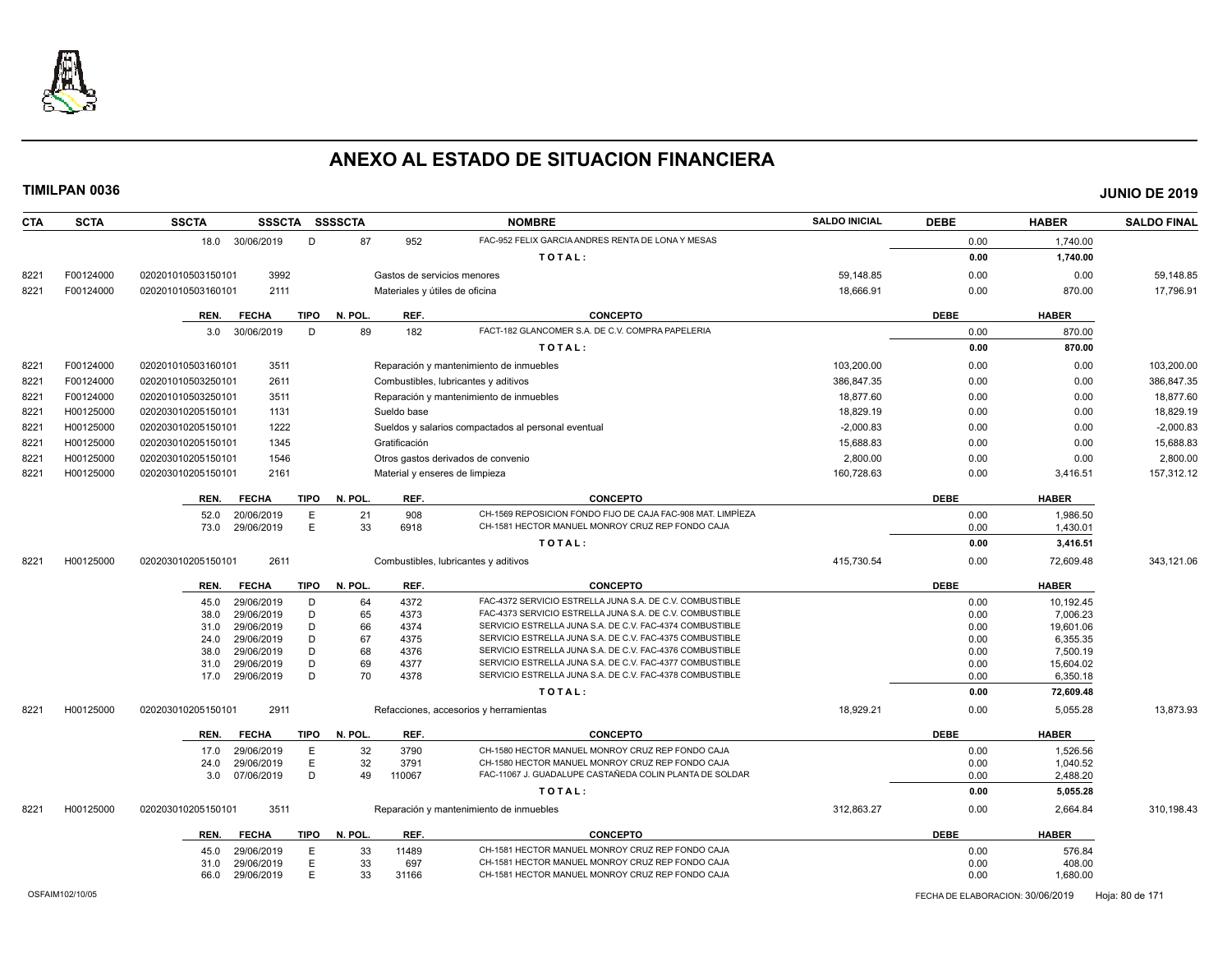

| <b>SCTA</b> | <b>SSCTA</b>                                     |                                                                                                                                                                                               |                                                                                                                                                                                                                                                                                                                                                                                                                     |                                                                                                                                                             | <b>NOMBRE</b>                                                                                                       | <b>SALDO INICIAL</b>                                                                                                                                                                                                                                                                                                                                                                                                                                                                                                                                                                                                                                                                                                                                                                                                                                                                                                                                                                                                     | <b>DEBE</b>                                        | <b>HABER</b>                                                                                                               | <b>SALDO FINAL</b>                                                                                                                                             |
|-------------|--------------------------------------------------|-----------------------------------------------------------------------------------------------------------------------------------------------------------------------------------------------|---------------------------------------------------------------------------------------------------------------------------------------------------------------------------------------------------------------------------------------------------------------------------------------------------------------------------------------------------------------------------------------------------------------------|-------------------------------------------------------------------------------------------------------------------------------------------------------------|---------------------------------------------------------------------------------------------------------------------|--------------------------------------------------------------------------------------------------------------------------------------------------------------------------------------------------------------------------------------------------------------------------------------------------------------------------------------------------------------------------------------------------------------------------------------------------------------------------------------------------------------------------------------------------------------------------------------------------------------------------------------------------------------------------------------------------------------------------------------------------------------------------------------------------------------------------------------------------------------------------------------------------------------------------------------------------------------------------------------------------------------------------|----------------------------------------------------|----------------------------------------------------------------------------------------------------------------------------|----------------------------------------------------------------------------------------------------------------------------------------------------------------|
|             |                                                  | D                                                                                                                                                                                             | 87                                                                                                                                                                                                                                                                                                                                                                                                                  | 952                                                                                                                                                         | FAC-952 FELIX GARCIA ANDRES RENTA DE LONA Y MESAS                                                                   |                                                                                                                                                                                                                                                                                                                                                                                                                                                                                                                                                                                                                                                                                                                                                                                                                                                                                                                                                                                                                          | 0.00                                               | 1,740.00                                                                                                                   |                                                                                                                                                                |
|             |                                                  |                                                                                                                                                                                               |                                                                                                                                                                                                                                                                                                                                                                                                                     |                                                                                                                                                             | TOTAL:                                                                                                              |                                                                                                                                                                                                                                                                                                                                                                                                                                                                                                                                                                                                                                                                                                                                                                                                                                                                                                                                                                                                                          | 0.00                                               | 1,740.00                                                                                                                   |                                                                                                                                                                |
| F00124000   | 020201010503150101                               |                                                                                                                                                                                               |                                                                                                                                                                                                                                                                                                                                                                                                                     |                                                                                                                                                             |                                                                                                                     | 59.148.85                                                                                                                                                                                                                                                                                                                                                                                                                                                                                                                                                                                                                                                                                                                                                                                                                                                                                                                                                                                                                | 0.00                                               | 0.00                                                                                                                       | 59,148.85                                                                                                                                                      |
| F00124000   | 020201010503160101                               |                                                                                                                                                                                               |                                                                                                                                                                                                                                                                                                                                                                                                                     |                                                                                                                                                             |                                                                                                                     | 18,666.91                                                                                                                                                                                                                                                                                                                                                                                                                                                                                                                                                                                                                                                                                                                                                                                                                                                                                                                                                                                                                | 0.00                                               | 870.00                                                                                                                     | 17,796.91                                                                                                                                                      |
|             |                                                  |                                                                                                                                                                                               |                                                                                                                                                                                                                                                                                                                                                                                                                     |                                                                                                                                                             |                                                                                                                     |                                                                                                                                                                                                                                                                                                                                                                                                                                                                                                                                                                                                                                                                                                                                                                                                                                                                                                                                                                                                                          |                                                    |                                                                                                                            |                                                                                                                                                                |
|             |                                                  |                                                                                                                                                                                               |                                                                                                                                                                                                                                                                                                                                                                                                                     |                                                                                                                                                             |                                                                                                                     |                                                                                                                                                                                                                                                                                                                                                                                                                                                                                                                                                                                                                                                                                                                                                                                                                                                                                                                                                                                                                          |                                                    |                                                                                                                            |                                                                                                                                                                |
|             |                                                  |                                                                                                                                                                                               |                                                                                                                                                                                                                                                                                                                                                                                                                     |                                                                                                                                                             |                                                                                                                     |                                                                                                                                                                                                                                                                                                                                                                                                                                                                                                                                                                                                                                                                                                                                                                                                                                                                                                                                                                                                                          |                                                    |                                                                                                                            |                                                                                                                                                                |
|             |                                                  |                                                                                                                                                                                               |                                                                                                                                                                                                                                                                                                                                                                                                                     |                                                                                                                                                             |                                                                                                                     |                                                                                                                                                                                                                                                                                                                                                                                                                                                                                                                                                                                                                                                                                                                                                                                                                                                                                                                                                                                                                          |                                                    |                                                                                                                            |                                                                                                                                                                |
|             |                                                  |                                                                                                                                                                                               |                                                                                                                                                                                                                                                                                                                                                                                                                     |                                                                                                                                                             |                                                                                                                     |                                                                                                                                                                                                                                                                                                                                                                                                                                                                                                                                                                                                                                                                                                                                                                                                                                                                                                                                                                                                                          |                                                    |                                                                                                                            | 103.200.00                                                                                                                                                     |
|             |                                                  |                                                                                                                                                                                               |                                                                                                                                                                                                                                                                                                                                                                                                                     |                                                                                                                                                             |                                                                                                                     |                                                                                                                                                                                                                                                                                                                                                                                                                                                                                                                                                                                                                                                                                                                                                                                                                                                                                                                                                                                                                          |                                                    |                                                                                                                            | 386,847.35                                                                                                                                                     |
|             |                                                  |                                                                                                                                                                                               |                                                                                                                                                                                                                                                                                                                                                                                                                     |                                                                                                                                                             |                                                                                                                     |                                                                                                                                                                                                                                                                                                                                                                                                                                                                                                                                                                                                                                                                                                                                                                                                                                                                                                                                                                                                                          |                                                    |                                                                                                                            | 18,877.60                                                                                                                                                      |
|             | 020203010205150101                               |                                                                                                                                                                                               |                                                                                                                                                                                                                                                                                                                                                                                                                     |                                                                                                                                                             |                                                                                                                     |                                                                                                                                                                                                                                                                                                                                                                                                                                                                                                                                                                                                                                                                                                                                                                                                                                                                                                                                                                                                                          | 0.00                                               | 0.00                                                                                                                       | 18,829.19                                                                                                                                                      |
| H00125000   | 020203010205150101                               |                                                                                                                                                                                               |                                                                                                                                                                                                                                                                                                                                                                                                                     |                                                                                                                                                             |                                                                                                                     | $-2.000.83$                                                                                                                                                                                                                                                                                                                                                                                                                                                                                                                                                                                                                                                                                                                                                                                                                                                                                                                                                                                                              | 0.00                                               | 0.00                                                                                                                       | $-2,000.83$                                                                                                                                                    |
| H00125000   | 020203010205150101                               |                                                                                                                                                                                               |                                                                                                                                                                                                                                                                                                                                                                                                                     |                                                                                                                                                             |                                                                                                                     | 15,688.83                                                                                                                                                                                                                                                                                                                                                                                                                                                                                                                                                                                                                                                                                                                                                                                                                                                                                                                                                                                                                | 0.00                                               | 0.00                                                                                                                       | 15,688.83                                                                                                                                                      |
| H00125000   | 020203010205150101                               |                                                                                                                                                                                               |                                                                                                                                                                                                                                                                                                                                                                                                                     |                                                                                                                                                             |                                                                                                                     | 2,800.00                                                                                                                                                                                                                                                                                                                                                                                                                                                                                                                                                                                                                                                                                                                                                                                                                                                                                                                                                                                                                 | 0.00                                               | 0.00                                                                                                                       | 2,800.00                                                                                                                                                       |
| H00125000   | 020203010205150101                               |                                                                                                                                                                                               |                                                                                                                                                                                                                                                                                                                                                                                                                     |                                                                                                                                                             |                                                                                                                     | 160,728.63                                                                                                                                                                                                                                                                                                                                                                                                                                                                                                                                                                                                                                                                                                                                                                                                                                                                                                                                                                                                               | 0.00                                               | 3,416.51                                                                                                                   | 157,312.12                                                                                                                                                     |
|             | <b>FECHA</b><br>REN.                             |                                                                                                                                                                                               | N. POL.                                                                                                                                                                                                                                                                                                                                                                                                             | REF.                                                                                                                                                        | <b>CONCEPTO</b>                                                                                                     |                                                                                                                                                                                                                                                                                                                                                                                                                                                                                                                                                                                                                                                                                                                                                                                                                                                                                                                                                                                                                          | <b>DEBE</b>                                        | <b>HABER</b>                                                                                                               |                                                                                                                                                                |
|             | 52.0                                             | E                                                                                                                                                                                             | 21                                                                                                                                                                                                                                                                                                                                                                                                                  | 908                                                                                                                                                         | CH-1569 REPOSICION FONDO FIJO DE CAJA FAC-908 MAT. LIMPÍEZA                                                         |                                                                                                                                                                                                                                                                                                                                                                                                                                                                                                                                                                                                                                                                                                                                                                                                                                                                                                                                                                                                                          | 0.00                                               | 1,986.50                                                                                                                   |                                                                                                                                                                |
|             |                                                  |                                                                                                                                                                                               |                                                                                                                                                                                                                                                                                                                                                                                                                     |                                                                                                                                                             |                                                                                                                     |                                                                                                                                                                                                                                                                                                                                                                                                                                                                                                                                                                                                                                                                                                                                                                                                                                                                                                                                                                                                                          | 0.00                                               | 1,430.01                                                                                                                   |                                                                                                                                                                |
|             |                                                  |                                                                                                                                                                                               |                                                                                                                                                                                                                                                                                                                                                                                                                     |                                                                                                                                                             | TOTAL:                                                                                                              |                                                                                                                                                                                                                                                                                                                                                                                                                                                                                                                                                                                                                                                                                                                                                                                                                                                                                                                                                                                                                          | 0.00                                               | 3,416.51                                                                                                                   |                                                                                                                                                                |
| H00125000   | 020203010205150101                               |                                                                                                                                                                                               |                                                                                                                                                                                                                                                                                                                                                                                                                     |                                                                                                                                                             |                                                                                                                     | 415,730.54                                                                                                                                                                                                                                                                                                                                                                                                                                                                                                                                                                                                                                                                                                                                                                                                                                                                                                                                                                                                               | 0.00                                               | 72,609.48                                                                                                                  | 343,121.06                                                                                                                                                     |
|             | <b>FECHA</b><br>REN.                             |                                                                                                                                                                                               | N. POL.                                                                                                                                                                                                                                                                                                                                                                                                             | REF.                                                                                                                                                        | <b>CONCEPTO</b>                                                                                                     |                                                                                                                                                                                                                                                                                                                                                                                                                                                                                                                                                                                                                                                                                                                                                                                                                                                                                                                                                                                                                          | <b>DEBE</b>                                        | <b>HABER</b>                                                                                                               |                                                                                                                                                                |
|             | 45.0                                             | D                                                                                                                                                                                             | 64                                                                                                                                                                                                                                                                                                                                                                                                                  | 4372                                                                                                                                                        | FAC-4372 SERVICIO ESTRELLA JUNA S.A. DE C.V. COMBUSTIBLE                                                            |                                                                                                                                                                                                                                                                                                                                                                                                                                                                                                                                                                                                                                                                                                                                                                                                                                                                                                                                                                                                                          | 0.00                                               | 10,192.45                                                                                                                  |                                                                                                                                                                |
|             | 38.0                                             | D                                                                                                                                                                                             |                                                                                                                                                                                                                                                                                                                                                                                                                     | 4373                                                                                                                                                        |                                                                                                                     |                                                                                                                                                                                                                                                                                                                                                                                                                                                                                                                                                                                                                                                                                                                                                                                                                                                                                                                                                                                                                          | 0.00                                               | 7,006.23                                                                                                                   |                                                                                                                                                                |
|             |                                                  |                                                                                                                                                                                               |                                                                                                                                                                                                                                                                                                                                                                                                                     |                                                                                                                                                             |                                                                                                                     |                                                                                                                                                                                                                                                                                                                                                                                                                                                                                                                                                                                                                                                                                                                                                                                                                                                                                                                                                                                                                          |                                                    |                                                                                                                            |                                                                                                                                                                |
|             |                                                  |                                                                                                                                                                                               |                                                                                                                                                                                                                                                                                                                                                                                                                     |                                                                                                                                                             |                                                                                                                     |                                                                                                                                                                                                                                                                                                                                                                                                                                                                                                                                                                                                                                                                                                                                                                                                                                                                                                                                                                                                                          |                                                    |                                                                                                                            |                                                                                                                                                                |
|             |                                                  |                                                                                                                                                                                               |                                                                                                                                                                                                                                                                                                                                                                                                                     |                                                                                                                                                             |                                                                                                                     |                                                                                                                                                                                                                                                                                                                                                                                                                                                                                                                                                                                                                                                                                                                                                                                                                                                                                                                                                                                                                          |                                                    |                                                                                                                            |                                                                                                                                                                |
|             |                                                  |                                                                                                                                                                                               |                                                                                                                                                                                                                                                                                                                                                                                                                     |                                                                                                                                                             |                                                                                                                     |                                                                                                                                                                                                                                                                                                                                                                                                                                                                                                                                                                                                                                                                                                                                                                                                                                                                                                                                                                                                                          |                                                    |                                                                                                                            |                                                                                                                                                                |
|             |                                                  |                                                                                                                                                                                               |                                                                                                                                                                                                                                                                                                                                                                                                                     |                                                                                                                                                             | TOTAL:                                                                                                              |                                                                                                                                                                                                                                                                                                                                                                                                                                                                                                                                                                                                                                                                                                                                                                                                                                                                                                                                                                                                                          | 0.00                                               | 72,609.48                                                                                                                  |                                                                                                                                                                |
| H00125000   | 020203010205150101                               |                                                                                                                                                                                               |                                                                                                                                                                                                                                                                                                                                                                                                                     |                                                                                                                                                             |                                                                                                                     | 18,929.21                                                                                                                                                                                                                                                                                                                                                                                                                                                                                                                                                                                                                                                                                                                                                                                                                                                                                                                                                                                                                | 0.00                                               | 5,055.28                                                                                                                   | 13,873.93                                                                                                                                                      |
|             |                                                  |                                                                                                                                                                                               |                                                                                                                                                                                                                                                                                                                                                                                                                     |                                                                                                                                                             | <b>CONCEPTO</b>                                                                                                     |                                                                                                                                                                                                                                                                                                                                                                                                                                                                                                                                                                                                                                                                                                                                                                                                                                                                                                                                                                                                                          |                                                    |                                                                                                                            |                                                                                                                                                                |
|             |                                                  |                                                                                                                                                                                               |                                                                                                                                                                                                                                                                                                                                                                                                                     |                                                                                                                                                             |                                                                                                                     |                                                                                                                                                                                                                                                                                                                                                                                                                                                                                                                                                                                                                                                                                                                                                                                                                                                                                                                                                                                                                          |                                                    |                                                                                                                            |                                                                                                                                                                |
|             |                                                  |                                                                                                                                                                                               |                                                                                                                                                                                                                                                                                                                                                                                                                     |                                                                                                                                                             | CH-1580 HECTOR MANUEL MONROY CRUZ REP FONDO CAJA                                                                    |                                                                                                                                                                                                                                                                                                                                                                                                                                                                                                                                                                                                                                                                                                                                                                                                                                                                                                                                                                                                                          |                                                    |                                                                                                                            |                                                                                                                                                                |
|             | 3.0                                              | D                                                                                                                                                                                             | 49                                                                                                                                                                                                                                                                                                                                                                                                                  | 110067                                                                                                                                                      | FAC-11067 J. GUADALUPE CASTAÑEDA COLIN PLANTA DE SOLDAR                                                             |                                                                                                                                                                                                                                                                                                                                                                                                                                                                                                                                                                                                                                                                                                                                                                                                                                                                                                                                                                                                                          | 0.00                                               | 2,488.20                                                                                                                   |                                                                                                                                                                |
|             |                                                  |                                                                                                                                                                                               |                                                                                                                                                                                                                                                                                                                                                                                                                     |                                                                                                                                                             | TOTAL:                                                                                                              |                                                                                                                                                                                                                                                                                                                                                                                                                                                                                                                                                                                                                                                                                                                                                                                                                                                                                                                                                                                                                          | 0.00                                               | 5,055.28                                                                                                                   |                                                                                                                                                                |
| H00125000   | 020203010205150101                               |                                                                                                                                                                                               |                                                                                                                                                                                                                                                                                                                                                                                                                     |                                                                                                                                                             |                                                                                                                     | 312,863.27                                                                                                                                                                                                                                                                                                                                                                                                                                                                                                                                                                                                                                                                                                                                                                                                                                                                                                                                                                                                               | 0.00                                               | 2,664.84                                                                                                                   | 310,198.43                                                                                                                                                     |
|             | <b>FECHA</b><br>REN.                             |                                                                                                                                                                                               | N. POL.                                                                                                                                                                                                                                                                                                                                                                                                             | REF.                                                                                                                                                        | <b>CONCEPTO</b>                                                                                                     |                                                                                                                                                                                                                                                                                                                                                                                                                                                                                                                                                                                                                                                                                                                                                                                                                                                                                                                                                                                                                          | <b>DEBE</b>                                        | <b>HABER</b>                                                                                                               |                                                                                                                                                                |
|             |                                                  | E                                                                                                                                                                                             |                                                                                                                                                                                                                                                                                                                                                                                                                     | 11489                                                                                                                                                       | CH-1581 HECTOR MANUEL MONROY CRUZ REP FONDO CAJA                                                                    |                                                                                                                                                                                                                                                                                                                                                                                                                                                                                                                                                                                                                                                                                                                                                                                                                                                                                                                                                                                                                          | 0.00                                               | 576.84                                                                                                                     |                                                                                                                                                                |
|             | 31.0                                             | E                                                                                                                                                                                             | 33                                                                                                                                                                                                                                                                                                                                                                                                                  | 697                                                                                                                                                         | CH-1581 HECTOR MANUEL MONROY CRUZ REP FONDO CAJA                                                                    |                                                                                                                                                                                                                                                                                                                                                                                                                                                                                                                                                                                                                                                                                                                                                                                                                                                                                                                                                                                                                          | 0.00                                               | 408.00                                                                                                                     |                                                                                                                                                                |
|             | 66.0                                             | E                                                                                                                                                                                             | 33                                                                                                                                                                                                                                                                                                                                                                                                                  | 31166                                                                                                                                                       | CH-1581 HECTOR MANUEL MONROY CRUZ REP FONDO CAJA                                                                    |                                                                                                                                                                                                                                                                                                                                                                                                                                                                                                                                                                                                                                                                                                                                                                                                                                                                                                                                                                                                                          | 0.00                                               | 1,680.00                                                                                                                   |                                                                                                                                                                |
|             | F00124000<br>F00124000<br>F00124000<br>H00125000 | REN.<br><b>FECHA</b><br>3.0<br>020201010503160101<br>020201010503250101<br>020201010503250101<br>73.0<br>31.0<br>24.0<br>38.0<br>31.0<br>17.0<br>REN.<br><b>FECHA</b><br>17.0<br>24.0<br>45.0 | 18.0 30/06/2019<br>3992<br>2111<br>D<br>30/06/2019<br>3511<br>2611<br>3511<br>1131<br>1222<br>1345<br>1546<br>2161<br><b>TIPO</b><br>20/06/2019<br>E<br>29/06/2019<br>2611<br>29/06/2019<br>29/06/2019<br>D<br>29/06/2019<br>29/06/2019<br>D<br>29/06/2019<br>D<br>29/06/2019<br>D<br>D<br>29/06/2019<br>2911<br>29/06/2019<br>Ε<br>29/06/2019<br>Ε<br>07/06/2019<br>3511<br>29/06/2019<br>29/06/2019<br>29/06/2019 | SSSCTA SSSSCTA<br><b>TIPO</b><br>N. POL.<br>89<br>33<br><b>TIPO</b><br>65<br>66<br>67<br>68<br>69<br>70<br><b>TIPO</b><br>N. POL.<br>32<br>32<br>TIPO<br>33 | REF.<br>182<br>Sueldo base<br>Gratificación<br>6918<br>4374<br>4375<br>4376<br>4377<br>4378<br>REF.<br>3790<br>3791 | Gastos de servicios menores<br>Materiales y útiles de oficina<br><b>CONCEPTO</b><br>FACT-182 GLANCOMER S.A. DE C.V. COMPRA PAPELERIA<br>TOTAL:<br>Reparación y mantenimiento de inmuebles<br>Combustibles, lubricantes y aditivos<br>Reparación y mantenimiento de inmuebles<br>Sueldos y salarios compactados al personal eventual<br>Otros gastos derivados de convenio<br>Material y enseres de limpieza<br>CH-1581 HECTOR MANUEL MONROY CRUZ REP FONDO CAJA<br>Combustibles, lubricantes y aditivos<br>FAC-4373 SERVICIO ESTRELLA JUNA S.A. DE C.V. COMBUSTIBLE<br>SERVICIO ESTRELLA JUNA S.A. DE C.V. FAC-4374 COMBUSTIBLE<br>SERVICIO ESTRELLA JUNA S.A. DE C.V. FAC-4375 COMBUSTIBLE<br>SERVICIO ESTRELLA JUNA S.A. DE C.V. FAC-4376 COMBUSTIBLE<br>SERVICIO ESTRELLA JUNA S.A. DE C.V. FAC-4377 COMBUSTIBLE<br>SERVICIO ESTRELLA JUNA S.A. DE C.V. FAC-4378 COMBUSTIBLE<br>Refacciones, accesorios y herramientas<br>CH-1580 HECTOR MANUEL MONROY CRUZ REP FONDO CAJA<br>Reparación y mantenimiento de inmuebles | 103.200.00<br>386.847.35<br>18.877.60<br>18,829.19 | <b>DEBE</b><br>0.00<br>0.00<br>0.00<br>0.00<br>0.00<br>0.00<br>0.00<br>0.00<br>0.00<br>0.00<br><b>DEBE</b><br>0.00<br>0.00 | <b>HABER</b><br>870.00<br>870.00<br>0.00<br>0.00<br>0.00<br>19,601.06<br>6,355.35<br>7,500.19<br>15,604.02<br>6,350.18<br><b>HABER</b><br>1,526.56<br>1,040.52 |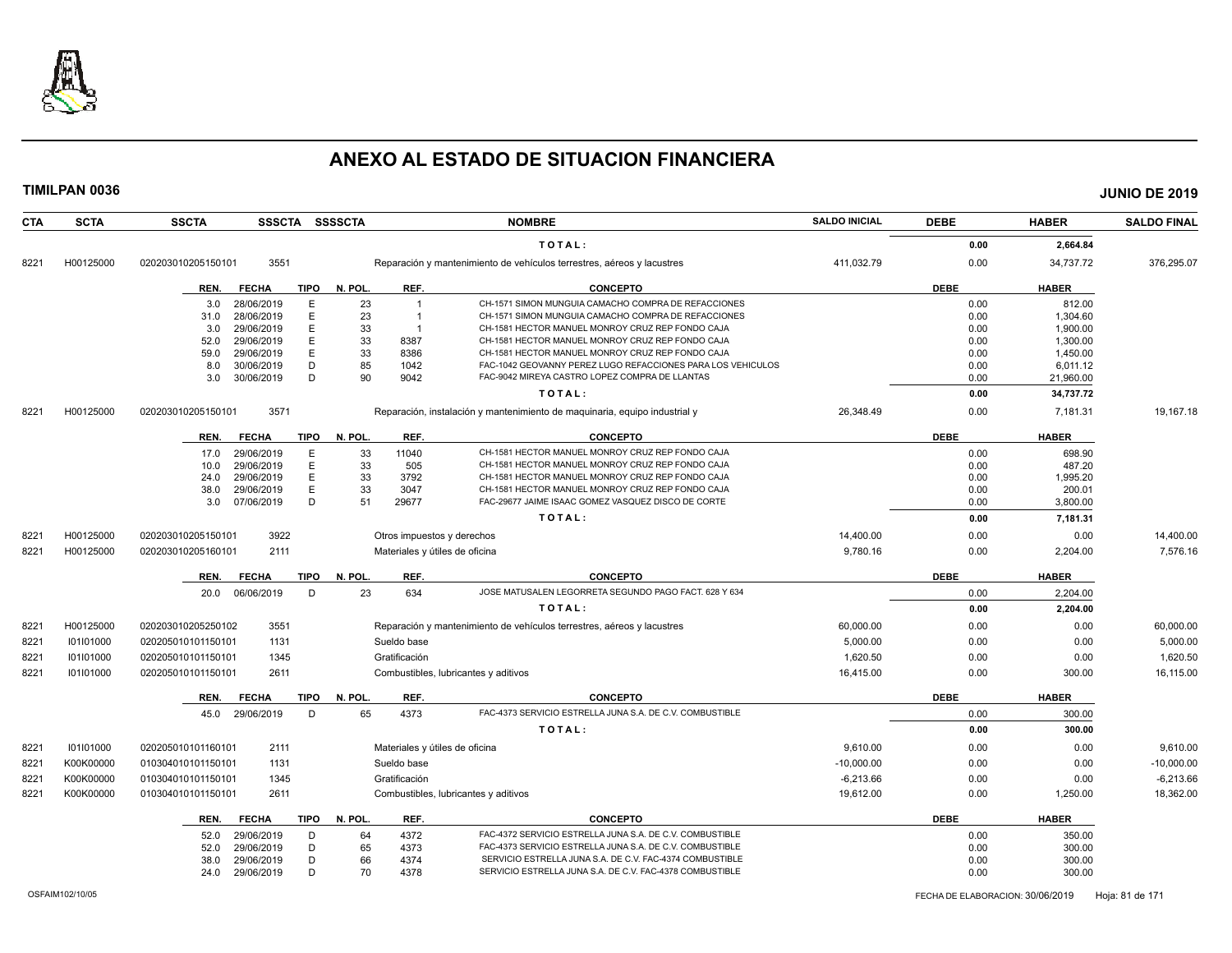

| <b>CTA</b>    | <b>SCTA</b> | <b>SSCTA</b>       |                          |             | SSSCTA SSSSCTA |                | <b>NOMBRE</b>                                                              | <b>SALDO INICIAL</b> | <b>DEBE</b>  | <b>HABER</b>     | <b>SALDO FINAL</b> |
|---------------|-------------|--------------------|--------------------------|-------------|----------------|----------------|----------------------------------------------------------------------------|----------------------|--------------|------------------|--------------------|
|               |             |                    |                          |             |                |                | TOTAL:                                                                     |                      | 0.00         | 2,664.84         |                    |
| 8221          | H00125000   | 020203010205150101 | 3551                     |             |                |                | Reparación y mantenimiento de vehículos terrestres, aéreos y lacustres     | 411,032.79           | 0.00         | 34,737.72        | 376,295.07         |
|               |             | REN.               | <b>FECHA</b>             | TIPO        | N. POL.        | REF.           | <b>CONCEPTO</b>                                                            |                      | <b>DEBE</b>  | <b>HABER</b>     |                    |
|               |             | 3.0                | 28/06/2019               | E           | 23             | $\overline{1}$ | CH-1571 SIMON MUNGUIA CAMACHO COMPRA DE REFACCIONES                        |                      | 0.00         | 812.00           |                    |
|               |             | 31.0               | 28/06/2019               | E           | 23             | $\overline{1}$ | CH-1571 SIMON MUNGUIA CAMACHO COMPRA DE REFACCIONES                        |                      | 0.00         | 1,304.60         |                    |
|               |             | 3.0                | 29/06/2019               | Ε           | 33             | $\overline{1}$ | CH-1581 HECTOR MANUEL MONROY CRUZ REP FONDO CAJA                           |                      | 0.00         | 1,900.00         |                    |
|               |             | 52.0               | 29/06/2019               | E           | 33             | 8387           | CH-1581 HECTOR MANUEL MONROY CRUZ REP FONDO CAJA                           |                      | 0.00         | 1,300.00         |                    |
|               |             | 59.0               | 29/06/2019               | E           | 33             | 8386           | CH-1581 HECTOR MANUEL MONROY CRUZ REP FONDO CAJA                           |                      | 0.00         | 1,450.00         |                    |
|               |             | 8.0                | 30/06/2019               | D           | 85             | 1042           | FAC-1042 GEOVANNY PEREZ LUGO REFACCIONES PARA LOS VEHICULOS                |                      | 0.00         | 6,011.12         |                    |
|               |             | 3.0                | 30/06/2019               | D           | 90             | 9042           | FAC-9042 MIREYA CASTRO LOPEZ COMPRA DE LLANTAS                             |                      | 0.00         | 21,960.00        |                    |
|               |             |                    |                          |             |                |                | TOTAL:                                                                     |                      | 0.00         | 34,737.72        |                    |
| 8221          | H00125000   | 020203010205150101 | 3571                     |             |                |                | Reparación, instalación y mantenimiento de maquinaria, equipo industrial y | 26.348.49            | 0.00         | 7.181.31         | 19.167.18          |
|               |             | REN.               | <b>FECHA</b>             | <b>TIPO</b> | N. POL.        | REF.           | <b>CONCEPTO</b>                                                            |                      | <b>DEBE</b>  | <b>HABER</b>     |                    |
|               |             | 17.0               | 29/06/2019               | E           | 33             | 11040          | CH-1581 HECTOR MANUEL MONROY CRUZ REP FONDO CAJA                           |                      | 0.00         | 698.90           |                    |
|               |             | 10.0               | 29/06/2019               | E           | 33             | 505            | CH-1581 HECTOR MANUEL MONROY CRUZ REP FONDO CAJA                           |                      | 0.00         | 487.20           |                    |
|               |             | 24.0               | 29/06/2019               | E           | 33             | 3792           | CH-1581 HECTOR MANUEL MONROY CRUZ REP FONDO CAJA                           |                      | 0.00         | 1,995.20         |                    |
|               |             | 38.0               | 29/06/2019               | E           | 33             | 3047           | CH-1581 HECTOR MANUEL MONROY CRUZ REP FONDO CAJA                           |                      | 0.00         | 200.01           |                    |
|               |             | 3.0                | 07/06/2019               | D           | 51             | 29677          | FAC-29677 JAIME ISAAC GOMEZ VASQUEZ DISCO DE CORTE                         |                      | 0.00         | 3,800.00         |                    |
|               |             |                    |                          |             |                |                | TOTAL:                                                                     |                      | 0.00         | 7,181.31         |                    |
| $822 -$       | H00125000   | 020203010205150101 | 3922                     |             |                |                | Otros impuestos y derechos                                                 | 14.400.00            | 0.00         | 0.00             | 14,400.00          |
| 8221          | H00125000   | 020203010205160101 | 2111                     |             |                |                | Materiales y útiles de oficina                                             | 9,780.16             | 0.00         | 2,204.00         | 7,576.16           |
|               |             | REN.               | <b>FECHA</b>             | <b>TIPO</b> | N. POL.        | REF.           | <b>CONCEPTO</b>                                                            |                      | <b>DEBE</b>  | <b>HABER</b>     |                    |
|               |             | 20.0               | 06/06/2019               | D           | 23             | 634            | JOSE MATUSALEN LEGORRETA SEGUNDO PAGO FACT. 628 Y 634                      |                      | 0.00         | 2,204.00         |                    |
|               |             |                    |                          |             |                |                | TOTAL:                                                                     |                      | 0.00         | 2,204.00         |                    |
| 8221          | H00125000   | 020203010205250102 | 3551                     |             |                |                | Reparación y mantenimiento de vehículos terrestres, aéreos y lacustres     | 60,000.00            | 0.00         | 0.00             | 60,000.00          |
| 8221          | 101101000   | 020205010101150101 | 1131                     |             |                | Sueldo base    |                                                                            | 5,000.00             | 0.00         | 0.00             | 5,000.00           |
| 8221          | 101101000   | 020205010101150101 | 1345                     |             |                | Gratificación  |                                                                            | 1,620.50             | 0.00         | 0.00             | 1,620.50           |
| 8221          | 101101000   | 020205010101150101 | 2611                     |             |                |                | Combustibles, lubricantes y aditivos                                       | 16,415.00            | 0.00         | 300.00           | 16,115.00          |
|               |             | REN.               | <b>FECHA</b>             | <b>TIPO</b> | N. POL.        | REF.           | <b>CONCEPTO</b>                                                            |                      | <b>DEBE</b>  | <b>HABER</b>     |                    |
|               |             | 45.0               | 29/06/2019               | D           | 65             | 4373           | FAC-4373 SERVICIO ESTRELLA JUNA S.A. DE C.V. COMBUSTIBLE                   |                      | 0.00         | 300.00           |                    |
|               |             |                    |                          |             |                |                | TOTAL:                                                                     |                      | 0.00         | 300.00           |                    |
| 8221          | 101101000   | 020205010101160101 | 2111                     |             |                |                | Materiales y útiles de oficina                                             | 9,610.00             | 0.00         | 0.00             | 9,610.00           |
| 8221          | K00K00000   | 010304010101150101 | 1131                     |             |                | Sueldo base    |                                                                            | $-10,000.00$         | 0.00         | 0.00             | $-10,000.00$       |
| $822^{\circ}$ | K00K00000   | 010304010101150101 | 1345                     |             |                | Gratificación  |                                                                            | $-6,213.66$          | 0.00         | 0.00             | $-6,213.66$        |
| 8221          | K00K00000   | 010304010101150101 | 2611                     |             |                |                | Combustibles, lubricantes y aditivos                                       | 19,612.00            | 0.00         | 1,250.00         | 18,362.00          |
|               |             | REN.               | <b>FECHA</b>             | <b>TIPO</b> | N. POL.        | REF.           | <b>CONCEPTO</b>                                                            |                      | <b>DEBE</b>  | <b>HABER</b>     |                    |
|               |             |                    |                          |             |                |                | FAC-4372 SERVICIO ESTRELLA JUNA S.A. DE C.V. COMBUSTIBLE                   |                      |              |                  |                    |
|               |             | 52.0<br>52.0       | 29/06/2019<br>29/06/2019 | D<br>D      | 64<br>65       | 4372<br>4373   | FAC-4373 SERVICIO ESTRELLA JUNA S.A. DE C.V. COMBUSTIBLE                   |                      | 0.00<br>0.00 | 350.00<br>300.00 |                    |
|               |             | 38.0               | 29/06/2019               | D           | 66             | 4374           | SERVICIO ESTRELLA JUNA S.A. DE C.V. FAC-4374 COMBUSTIBLE                   |                      | 0.00         | 300.00           |                    |
|               |             | 24.0               | 29/06/2019               | D           | 70             | 4378           | SERVICIO ESTRELLA JUNA S.A. DE C.V. FAC-4378 COMBUSTIBLE                   |                      | 0.00         | 300.00           |                    |
|               |             |                    |                          |             |                |                |                                                                            |                      |              |                  |                    |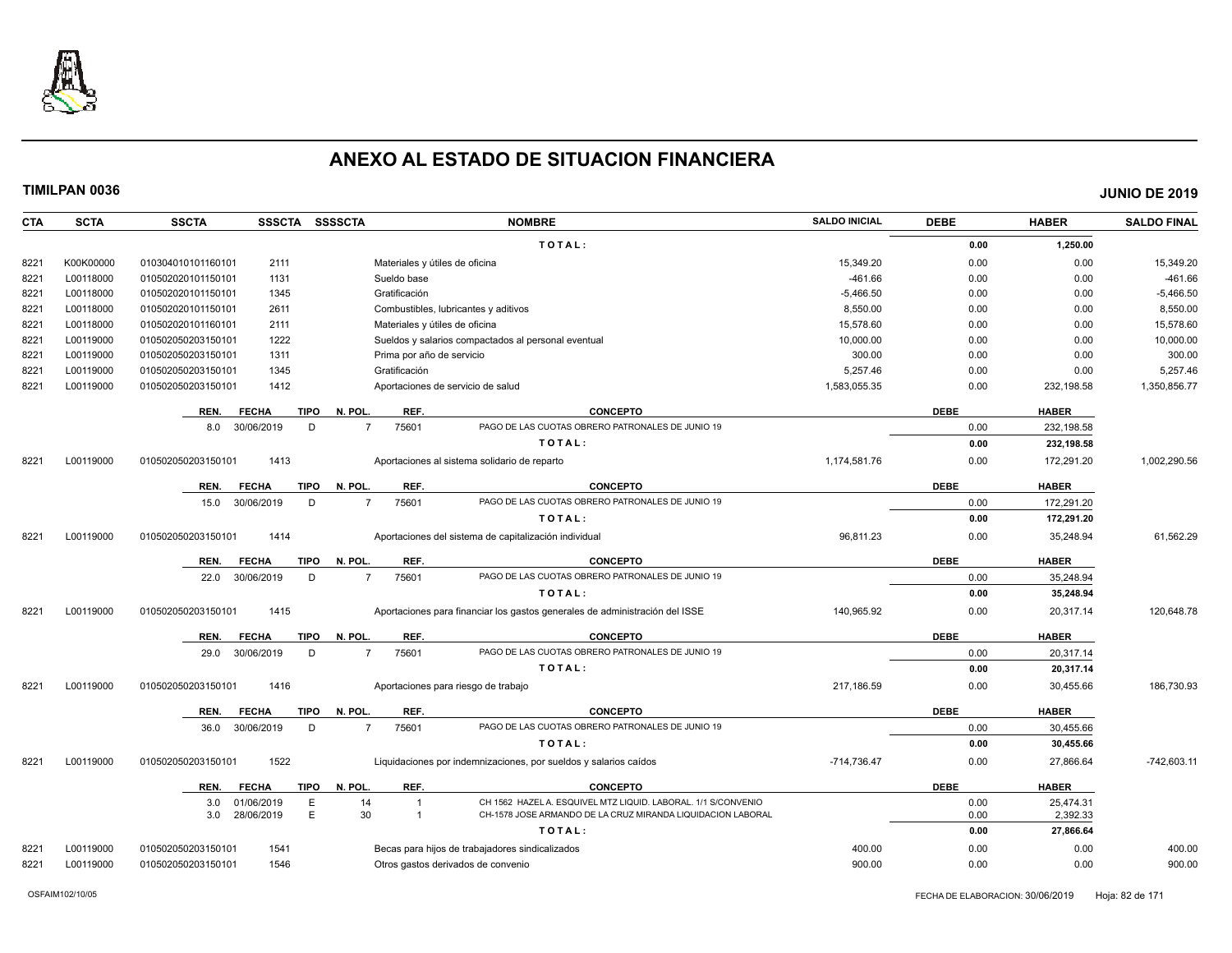

| <b>CTA</b> | <b>SCTA</b> | <b>SSCTA</b><br>SSSCTA SSSSCTA      | <b>NOMBRE</b>                                                                       | <b>SALDO INICIAL</b> | <b>DEBE</b> | <b>HABER</b> | <b>SALDO FINAL</b> |
|------------|-------------|-------------------------------------|-------------------------------------------------------------------------------------|----------------------|-------------|--------------|--------------------|
|            |             |                                     | TOTAL:                                                                              |                      | 0.00        | 1,250.00     |                    |
| 8221       | K00K00000   | 010304010101160101<br>2111          | Materiales y útiles de oficina                                                      | 15,349.20            | 0.00        | 0.00         | 15,349.20          |
| 8221       | L00118000   | 1131<br>010502020101150101          | Sueldo base                                                                         | $-461.66$            | 0.00        | 0.00         | $-461.66$          |
| 8221       | L00118000   | 010502020101150101<br>1345          | Gratificación                                                                       | $-5,466.50$          | 0.00        | 0.00         | $-5,466.50$        |
| 8221       | L00118000   | 010502020101150101<br>2611          | Combustibles, lubricantes y aditivos                                                | 8.550.00             | 0.00        | 0.00         | 8,550.00           |
| 8221       | L00118000   | 010502020101160101<br>2111          | Materiales y útiles de oficina                                                      | 15,578.60            | 0.00        | 0.00         | 15,578.60          |
| 8221       | L00119000   | 1222<br>010502050203150101          | Sueldos y salarios compactados al personal eventual                                 | 10,000.00            | 0.00        | 0.00         | 10,000.00          |
| 8221       | L00119000   | 010502050203150101<br>1311          | Prima por año de servicio                                                           | 300.00               | 0.00        | 0.00         | 300.00             |
| 8221       | L00119000   | 010502050203150101<br>1345          | Gratificación                                                                       | 5.257.46             | 0.00        | 0.00         | 5,257.46           |
| 8221       | L00119000   | 010502050203150101<br>1412          | Aportaciones de servicio de salud                                                   | 1,583,055.35         | 0.00        | 232,198.58   | 1,350,856.77       |
|            |             | REN.<br><b>FECHA</b><br><b>TIPO</b> | N. POL.<br>REF.<br><b>CONCEPTO</b>                                                  |                      | <b>DEBE</b> | <b>HABER</b> |                    |
|            |             | 30/06/2019<br>D<br>8.0              | 75601<br>PAGO DE LAS CUOTAS OBRERO PATRONALES DE JUNIO 19<br>$\overline{7}$         |                      | 0.00        | 232,198.58   |                    |
|            |             |                                     | TOTAL:                                                                              |                      | 0.00        | 232,198.58   |                    |
| 8221       | L00119000   | 010502050203150101<br>1413          | Aportaciones al sistema solidario de reparto                                        | 1,174,581.76         | 0.00        | 172,291.20   | 1,002,290.56       |
|            |             | REN.<br><b>FECHA</b><br><b>TIPO</b> | REF.<br><b>CONCEPTO</b><br>N. POL.                                                  |                      | <b>DEBE</b> | <b>HABER</b> |                    |
|            |             | 30/06/2019<br>D<br>15.0             | PAGO DE LAS CUOTAS OBRERO PATRONALES DE JUNIO 19<br>75601<br>$\overline{7}$         |                      | 0.00        | 172,291.20   |                    |
|            |             |                                     | TOTAL:                                                                              |                      | 0.00        | 172,291.20   |                    |
| 8221       | L00119000   | 1414<br>010502050203150101          | Aportaciones del sistema de capitalización individual                               | 96,811.23            | 0.00        | 35,248.94    | 61,562.29          |
|            |             | <b>FECHA</b><br><b>TIPO</b><br>REN. | REF.<br>N. POL<br><b>CONCEPTO</b>                                                   |                      | <b>DEBE</b> | <b>HABER</b> |                    |
|            |             | 30/06/2019<br>D<br>22.0             | 75601<br>PAGO DE LAS CUOTAS OBRERO PATRONALES DE JUNIO 19<br>$\overline{7}$         |                      | 0.00        | 35,248.94    |                    |
|            |             |                                     | TOTAL:                                                                              |                      | 0.00        | 35,248.94    |                    |
| 8221       | L00119000   | 010502050203150101<br>1415          | Aportaciones para financiar los gastos generales de administración del ISSE         | 140,965.92           | 0.00        | 20,317.14    | 120,648.78         |
|            |             | <b>TIPO</b><br>REN.<br><b>FECHA</b> | REF.<br>N. POL.<br><b>CONCEPTO</b>                                                  |                      | <b>DEBE</b> | <b>HABER</b> |                    |
|            |             | 30/06/2019<br>D<br>29.0             | PAGO DE LAS CUOTAS OBRERO PATRONALES DE JUNIO 19<br>$\overline{7}$<br>75601         |                      | 0.00        | 20,317.14    |                    |
|            |             |                                     | TOTAL:                                                                              |                      | 0.00        | 20,317.14    |                    |
| 8221       | L00119000   | 010502050203150101<br>1416          | Aportaciones para riesgo de trabajo                                                 | 217,186.59           | 0.00        | 30,455.66    | 186,730.93         |
|            |             | <b>TIPO</b><br>REN.<br><b>FECHA</b> | N. POL.<br>REF.<br><b>CONCEPTO</b>                                                  |                      | <b>DEBE</b> | <b>HABER</b> |                    |
|            |             | 30/06/2019<br>D<br>36.0             | PAGO DE LAS CUOTAS OBRERO PATRONALES DE JUNIO 19<br>$\overline{7}$<br>75601         |                      | 0.00        | 30,455.66    |                    |
|            |             |                                     | TOTAL:                                                                              |                      | 0.00        | 30,455.66    |                    |
| 8221       | L00119000   | 1522<br>010502050203150101          | Liquidaciones por indemnizaciones, por sueldos y salarios caídos                    | $-714.736.47$        | 0.00        | 27.866.64    | $-742.603.11$      |
|            |             | <b>TIPO</b><br>REN.<br><b>FECHA</b> | N. POL.<br>REF.<br><b>CONCEPTO</b>                                                  |                      | <b>DEBE</b> | <b>HABER</b> |                    |
|            |             | E<br>3.0<br>01/06/2019              | CH 1562 HAZEL A. ESQUIVEL MTZ LIQUID. LABORAL. 1/1 S/CONVENIO<br>14                 |                      | 0.00        | 25.474.31    |                    |
|            |             | E.<br>28/06/2019<br>3.0             | 30<br>CH-1578 JOSE ARMANDO DE LA CRUZ MIRANDA LIQUIDACION LABORAL<br>$\overline{1}$ |                      | 0.00        | 2,392.33     |                    |
|            |             |                                     | TOTAL:                                                                              |                      | 0.00        | 27,866.64    |                    |
| 8221       | L00119000   | 1541<br>010502050203150101          | Becas para hijos de trabajadores sindicalizados                                     | 400.00               | 0.00        | 0.00         | 400.00             |
| 8221       | L00119000   | 010502050203150101<br>1546          | Otros gastos derivados de convenio                                                  | 900.00               | 0.00        | 0.00         | 900.00             |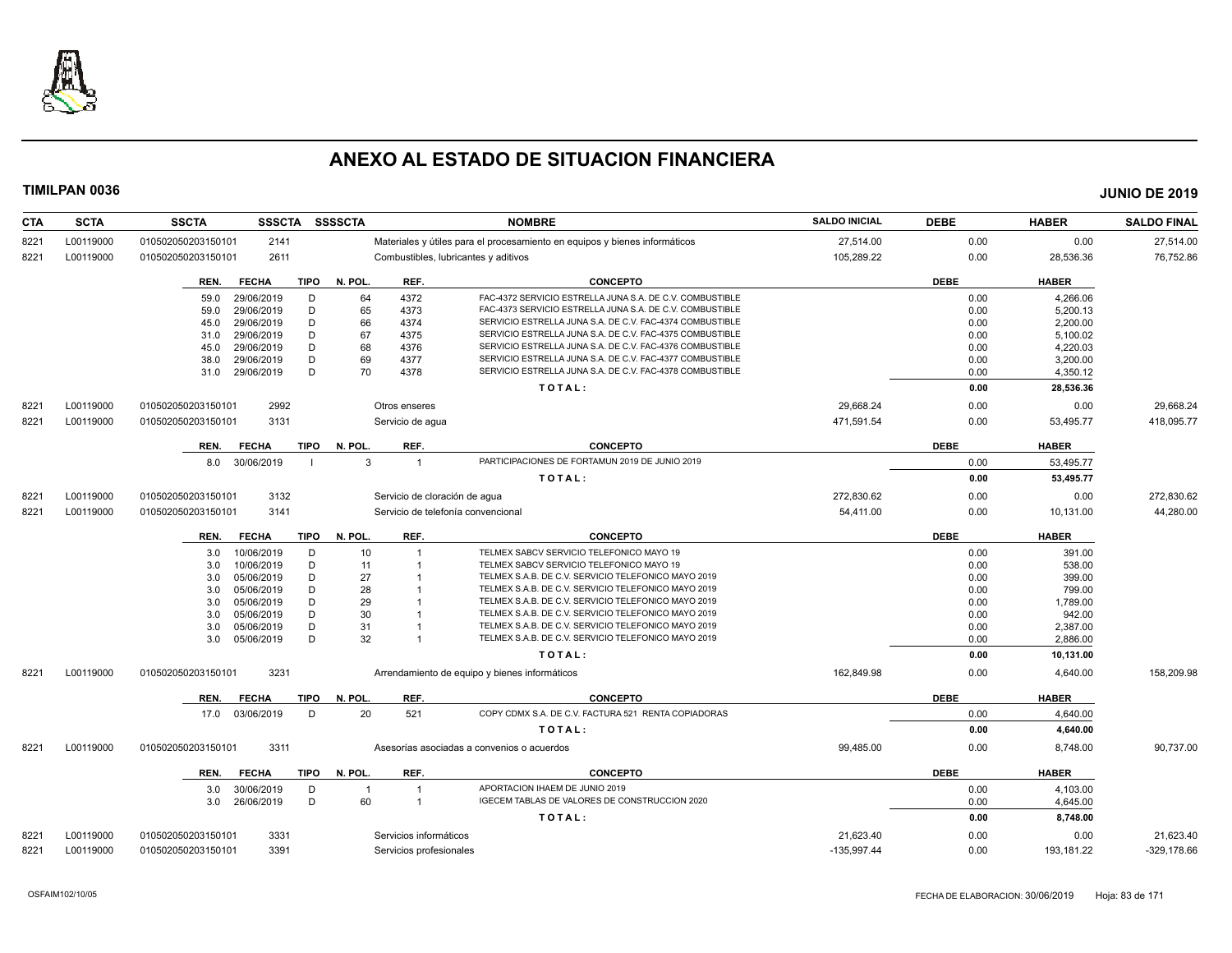

| <b>CTA</b> | <b>SCTA</b> | SSSCTA SSSSCTA<br><b>SSCTA</b>                   |                                      | <b>NOMBRE</b>                                                                        | <b>SALDO INICIAL</b> | <b>DEBE</b>  | <b>HABER</b>     | <b>SALDO FINAL</b> |
|------------|-------------|--------------------------------------------------|--------------------------------------|--------------------------------------------------------------------------------------|----------------------|--------------|------------------|--------------------|
| 8221       | L00119000   | 010502050203150101<br>2141                       |                                      | Materiales y útiles para el procesamiento en equipos y bienes informáticos           | 27,514.00            | 0.00         | 0.00             | 27,514.00          |
| 8221       | L00119000   | 010502050203150101<br>2611                       | Combustibles, lubricantes y aditivos |                                                                                      | 105,289.22           | 0.00         | 28,536.36        | 76,752.86          |
|            |             | <b>TIPO</b><br><b>FECHA</b><br>REN.              | N. POL<br>REF.                       | <b>CONCEPTO</b>                                                                      |                      | <b>DEBE</b>  | <b>HABER</b>     |                    |
|            |             | 29/06/2019<br>D<br>59.0                          | 64<br>4372                           | FAC-4372 SERVICIO ESTRELLA JUNA S.A. DE C.V. COMBUSTIBLE                             |                      | 0.00         | 4,266.06         |                    |
|            |             | D<br>29/06/2019<br>59.0                          | 65<br>4373                           | FAC-4373 SERVICIO ESTRELLA JUNA S.A. DE C.V. COMBUSTIBLE                             |                      | 0.00         | 5,200.13         |                    |
|            |             | D<br>29/06/2019<br>45.0                          | 66<br>4374                           | SERVICIO ESTRELLA JUNA S.A. DE C.V. FAC-4374 COMBUSTIBLE                             |                      | 0.00         | 2,200.00         |                    |
|            |             | D<br>29/06/2019<br>31.0                          | 67<br>4375                           | SERVICIO ESTRELLA JUNA S.A. DE C.V. FAC-4375 COMBUSTIBLE                             |                      | 0.00         | 5,100.02         |                    |
|            |             | D<br>29/06/2019<br>45.0                          | 68<br>4376                           | SERVICIO ESTRELLA JUNA S.A. DE C.V. FAC-4376 COMBUSTIBLE                             |                      | 0.00         | 4,220.03         |                    |
|            |             | 29/06/2019<br>D<br>38.0                          | 69<br>4377                           | SERVICIO ESTRELLA JUNA S.A. DE C.V. FAC-4377 COMBUSTIBLE                             |                      | 0.00         | 3,200.00         |                    |
|            |             | D<br>29/06/2019<br>31.0                          | 70<br>4378                           | SERVICIO ESTRELLA JUNA S.A. DE C.V. FAC-4378 COMBUSTIBLE                             |                      | 0.00         | 4,350.12         |                    |
|            |             |                                                  |                                      | TOTAL:                                                                               |                      | 0.00         | 28,536.36        |                    |
| 8221       | L00119000   | 2992<br>010502050203150101                       | Otros enseres                        |                                                                                      | 29,668.24            | 0.00         | 0.00             | 29,668.24          |
| 8221       | L00119000   | 010502050203150101<br>3131                       | Servicio de agua                     |                                                                                      | 471,591.54           | 0.00         | 53,495.77        | 418,095.77         |
|            |             | <b>FECHA</b><br><b>TIPO</b><br>REN.              | N. POL.<br>REF.                      | <b>CONCEPTO</b>                                                                      |                      | <b>DEBE</b>  | <b>HABER</b>     |                    |
|            |             | 30/06/2019<br>8.0                                | 3<br>$\mathbf{1}$                    | PARTICIPACIONES DE FORTAMUN 2019 DE JUNIO 2019                                       |                      | 0.00         | 53,495.77        |                    |
|            |             |                                                  |                                      | TOTAL:                                                                               |                      | 0.00         | 53,495.77        |                    |
| 8221       | L00119000   | 3132<br>010502050203150101                       | Servicio de cloración de agua        |                                                                                      | 272,830.62           | 0.00         | 0.00             | 272,830.62         |
| 8221       | L00119000   | 010502050203150101<br>3141                       | Servicio de telefonía convencional   |                                                                                      | 54,411.00            | 0.00         | 10,131.00        | 44,280.00          |
|            |             | <b>FECHA</b><br><b>TIPO</b><br>REN.              | N. POL.<br>REF.                      | <b>CONCEPTO</b>                                                                      |                      | <b>DEBE</b>  | <b>HABER</b>     |                    |
|            |             |                                                  | $\overline{1}$                       |                                                                                      |                      |              |                  |                    |
|            |             | 10/06/2019<br>D<br>3.0                           | 10                                   | TELMEX SABCV SERVICIO TELEFONICO MAYO 19<br>TELMEX SABCV SERVICIO TELEFONICO MAYO 19 |                      | 0.00         | 391.00           |                    |
|            |             | 10/06/2019<br>D<br>3.0<br>05/06/2019<br>D<br>3.0 | 11<br>27                             | TELMEX S.A.B. DE C.V. SERVICIO TELEFONICO MAYO 2019                                  |                      | 0.00<br>0.00 | 538.00<br>399.00 |                    |
|            |             | D<br>05/06/2019<br>3.0                           | 28                                   | TELMEX S.A.B. DE C.V. SERVICIO TELEFONICO MAYO 2019                                  |                      | 0.00         | 799.00           |                    |
|            |             | D<br>05/06/2019<br>3.0                           | 29                                   | TELMEX S.A.B. DE C.V. SERVICIO TELEFONICO MAYO 2019                                  |                      | 0.00         | 1,789.00         |                    |
|            |             | D<br>05/06/2019<br>3.0                           | 30                                   | TELMEX S.A.B. DE C.V. SERVICIO TELEFONICO MAYO 2019                                  |                      | 0.00         | 942.00           |                    |
|            |             | 05/06/2019<br>D<br>3.0                           | 31                                   | TELMEX S.A.B. DE C.V. SERVICIO TELEFONICO MAYO 2019                                  |                      | 0.00         | 2,387.00         |                    |
|            |             | D<br>05/06/2019<br>3.0                           | 32<br>$\overline{1}$                 | TELMEX S.A.B. DE C.V. SERVICIO TELEFONICO MAYO 2019                                  |                      | 0.00         | 2,886.00         |                    |
|            |             |                                                  |                                      | TOTAL:                                                                               |                      | 0.00         | 10,131.00        |                    |
| 8221       | L00119000   | 3231<br>010502050203150101                       |                                      | Arrendamiento de equipo y bienes informáticos                                        | 162,849.98           | 0.00         | 4,640.00         | 158,209.98         |
|            |             | <b>TIPO</b><br>REN.<br><b>FECHA</b>              | REF.<br>N. POL.                      | <b>CONCEPTO</b>                                                                      |                      | <b>DEBE</b>  | <b>HABER</b>     |                    |
|            |             | 17.0 03/06/2019<br>D                             | 20<br>521                            | COPY CDMX S.A. DE C.V. FACTURA 521 RENTA COPIADORAS                                  |                      | 0.00         | 4,640.00         |                    |
|            |             |                                                  |                                      | TOTAL:                                                                               |                      | 0.00         | 4,640.00         |                    |
| 8221       | L00119000   | 3311<br>010502050203150101                       |                                      | Asesorías asociadas a convenios o acuerdos                                           | 99,485.00            | 0.00         | 8,748.00         | 90,737.00          |
|            |             | <b>FECHA</b><br>TIPO<br>REN.                     | N. POL.<br>REF.                      | <b>CONCEPTO</b>                                                                      |                      | <b>DEBE</b>  | <b>HABER</b>     |                    |
|            |             | 30/06/2019<br>D<br>3.0                           | $\overline{1}$<br>$\overline{1}$     | APORTACION IHAEM DE JUNIO 2019                                                       |                      | 0.00         | 4,103.00         |                    |
|            |             | 26/06/2019<br>D<br>3.0                           | 60<br>$\overline{1}$                 | IGECEM TABLAS DE VALORES DE CONSTRUCCION 2020                                        |                      | 0.00         | 4,645.00         |                    |
|            |             |                                                  |                                      | TOTAL:                                                                               |                      | 0.00         | 8,748.00         |                    |
| 8221       | L00119000   | 3331<br>010502050203150101                       | Servicios informáticos               |                                                                                      | 21,623.40            | 0.00         | 0.00             | 21,623.40          |
| 8221       | L00119000   | 010502050203150101<br>3391                       | Servicios profesionales              |                                                                                      | $-135,997.44$        | 0.00         | 193,181.22       | $-329,178.66$      |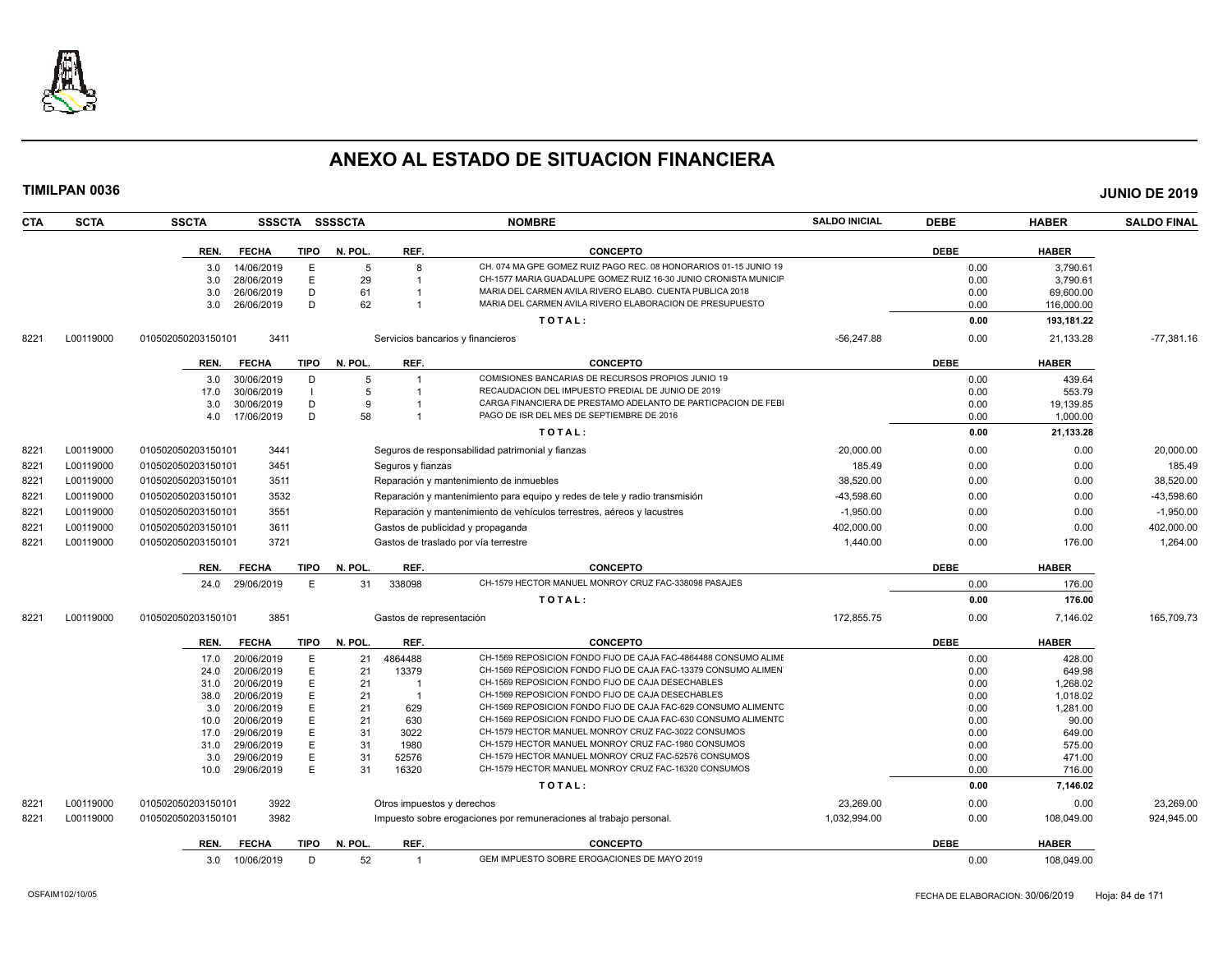

| TIMILPAN 0036      |                                         |                |          |                            |                                                                                                                     |                      |              |                      | <b>JUNIO DE 2019</b> |
|--------------------|-----------------------------------------|----------------|----------|----------------------------|---------------------------------------------------------------------------------------------------------------------|----------------------|--------------|----------------------|----------------------|
| <b>SCTA</b><br>CTA | <b>SSCTA</b>                            | SSSCTA SSSSCTA |          |                            | <b>NOMBRE</b>                                                                                                       | <b>SALDO INICIAL</b> | <b>DEBE</b>  | <b>HABER</b>         | <b>SALDO FINAL</b>   |
|                    | <b>FECHA</b><br>REN.                    | TIPO           | N. POL.  | REF.                       | <b>CONCEPTO</b>                                                                                                     |                      | <b>DEBE</b>  | <b>HABER</b>         |                      |
|                    | 14/06/2019<br>3.0                       | E              | 5        | 8                          | CH. 074 MA GPE GOMEZ RUIZ PAGO REC. 08 HONORARIOS 01-15 JUNIO 19                                                    |                      | 0.00         | 3,790.61             |                      |
|                    | 3.0<br>28/06/2019                       | E              | 29       |                            | CH-1577 MARIA GUADALUPE GOMEZ RUIZ 16-30 JUNIO CRONISTA MUNICIF                                                     |                      | 0.00         | 3,790.61             |                      |
|                    | 26/06/2019<br>3.0                       | D              | 61       |                            | MARIA DEL CARMEN AVILA RIVERO ELABO. CUENTA PUBLICA 2018                                                            |                      | 0.00         | 69,600.00            |                      |
|                    | 26/06/2019<br>3.0                       | D              | 62       |                            | MARIA DEL CARMEN AVILA RIVERO ELABORACION DE PRESUPUESTO                                                            |                      | 0.00         | 116,000.00           |                      |
|                    |                                         |                |          |                            | TOTAL:                                                                                                              |                      | 0.00         | 193,181.22           |                      |
| 8221<br>L00119000  | 010502050203150101<br>3411              |                |          |                            | Servicios bancarios y financieros                                                                                   | $-56.247.88$         | 0.00         | 21,133.28            | $-77,381.16$         |
|                    | <b>FECHA</b><br>REN.                    | TIPO           | N. POL.  | REF.                       | <b>CONCEPTO</b>                                                                                                     |                      | <b>DEBE</b>  | <b>HABER</b>         |                      |
|                    | 3.0<br>30/06/2019                       | D              | 5        |                            | COMISIONES BANCARIAS DE RECURSOS PROPIOS JUNIO 19                                                                   |                      | 0.00         | 439.64               |                      |
|                    | 30/06/2019<br>17.0                      | $\blacksquare$ | 5        |                            | RECAUDACION DEL IMPUESTO PREDIAL DE JUNIO DE 2019                                                                   |                      | 0.00         | 553.79               |                      |
|                    | 30/06/2019<br>3.0                       | D              | 9        |                            | CARGA FINANCIERA DE PRESTAMO ADELANTO DE PARTICPACION DE FEBI                                                       |                      | 0.00         | 19,139.85            |                      |
|                    | 17/06/2019<br>4.0                       | D              | 58       |                            | PAGO DE ISR DEL MES DE SEPTIEMBRE DE 2016                                                                           |                      | 0.00         | 1,000.00             |                      |
|                    |                                         |                |          |                            | TOTAL:                                                                                                              |                      | 0.00         | 21,133.28            |                      |
| 8221<br>L00119000  | 3441<br>010502050203150101              |                |          |                            | Seguros de responsabilidad patrimonial y fianzas                                                                    | 20,000.00            | 0.00         | 0.00                 | 20,000.00            |
| L00119000<br>8221  | 3451<br>010502050203150101              |                |          | Seguros y fianzas          |                                                                                                                     | 185.49               | 0.00         | 0.00                 | 185.49               |
| 8221<br>L00119000  | 3511<br>010502050203150101              |                |          |                            | Reparación y mantenimiento de inmuebles                                                                             | 38,520.00            | 0.00         | 0.00                 | 38,520.00            |
| 8221<br>L00119000  | 3532<br>010502050203150101              |                |          |                            | Reparación y mantenimiento para equipo y redes de tele y radio transmisión                                          | -43,598.60           | 0.00         | 0.00                 | -43,598.60           |
| 8221<br>L00119000  | 3551<br>010502050203150101              |                |          |                            | Reparación y mantenimiento de vehículos terrestres, aéreos y lacustres                                              | $-1,950.00$          | 0.00         | 0.00                 | $-1,950.00$          |
| 8221<br>L00119000  | 3611<br>010502050203150101              |                |          |                            | Gastos de publicidad y propaganda                                                                                   | 402,000.00           | 0.00         | 0.00                 | 402,000.00           |
| 822'<br>L00119000  | 3721<br>010502050203150101              |                |          |                            | Gastos de traslado por vía terrestre                                                                                | 1,440.00             | 0.00         | 176.00               | 1,264.00             |
|                    | REN. FECHA                              | TIPO           | N. POL.  | REF.                       | <b>CONCEPTO</b>                                                                                                     |                      | <b>DEBE</b>  | <b>HABER</b>         |                      |
|                    | 24.0<br>29/06/2019                      | E              | 31       | 338098                     | CH-1579 HECTOR MANUEL MONROY CRUZ FAC-338098 PASAJES                                                                |                      | 0.00         | 176.00               |                      |
|                    |                                         |                |          |                            | TOTAL:                                                                                                              |                      | 0.00         | 176.00               |                      |
| 8221<br>L00119000  | 3851<br>010502050203150101              |                |          | Gastos de representación   |                                                                                                                     | 172,855.75           | 0.00         | 7,146.02             | 165,709.73           |
|                    | <b>FECHA</b><br>REN.                    | <b>TIPO</b>    | N. POL.  | REF.                       | <b>CONCEPTO</b>                                                                                                     |                      | <b>DEBE</b>  | <b>HABER</b>         |                      |
|                    | 20/06/2019<br>17.0                      | E              | 21       | 4864488                    | CH-1569 REPOSICION FONDO FIJO DE CAJA FAC-4864488 CONSUMO ALIMI                                                     |                      | 0.00         | 428.00               |                      |
|                    | 20/06/2019<br>24.0                      | Е              | 21       | 13379                      | CH-1569 REPOSICION FONDO FIJO DE CAJA FAC-13379 CONSUMO ALIMEN                                                      |                      | 0.00         | 649.98               |                      |
|                    | 31.0<br>20/06/2019                      | Е              | 21       |                            | CH-1569 REPOSICION FONDO FIJO DE CAJA DESECHABLES                                                                   |                      | 0.00         | 1,268.02             |                      |
|                    | 38.0<br>20/06/2019<br>20/06/2019<br>3.0 | E<br>E         | 21<br>21 | 629                        | CH-1569 REPOSICION FONDO FIJO DE CAJA DESECHABLES<br>CH-1569 REPOSICION FONDO FIJO DE CAJA FAC-629 CONSUMO ALIMENTC |                      | 0.00<br>0.00 | 1,018.02<br>1,281.00 |                      |
|                    | 20/06/2019<br>10.0                      |                | 21       | 630                        | CH-1569 REPOSICION FONDO FIJO DE CAJA FAC-630 CONSUMO ALIMENTC                                                      |                      | 0.00         | 90.00                |                      |
|                    | 29/06/2019<br>17.0                      | E              | 31       | 3022                       | CH-1579 HECTOR MANUEL MONROY CRUZ FAC-3022 CONSUMOS                                                                 |                      | 0.00         | 649.00               |                      |
|                    | 31.0<br>29/06/2019                      | E              | 31       | 1980                       | CH-1579 HECTOR MANUEL MONROY CRUZ FAC-1980 CONSUMOS                                                                 |                      | 0.00         | 575.00               |                      |
|                    | 3.0<br>29/06/2019                       | Е              | 31       | 52576                      | CH-1579 HECTOR MANUEL MONROY CRUZ FAC-52576 CONSUMOS                                                                |                      | 0.00         | 471.00               |                      |
|                    | 29/06/2019<br>10.0                      | E              | 31       | 16320                      | CH-1579 HECTOR MANUEL MONROY CRUZ FAC-16320 CONSUMOS                                                                |                      | 0.00         | 716.00               |                      |
|                    |                                         |                |          |                            | TOTAL:                                                                                                              |                      | 0.00         | 7,146.02             |                      |
| L00119000<br>8221  | 3922<br>010502050203150101              |                |          | Otros impuestos y derechos |                                                                                                                     | 23,269.00            | 0.00         | 0.00                 | 23,269.00            |
| 8221<br>L00119000  | 3982<br>010502050203150101              |                |          |                            | Impuesto sobre erogaciones por remuneraciones al trabajo personal.                                                  | 1,032,994.00         | 0.00         | 108,049.00           | 924,945.00           |
|                    | <b>FECHA</b><br>REN.                    | <b>TIPO</b>    | N. POL.  | REF.                       | <b>CONCEPTO</b>                                                                                                     |                      | <b>DEBE</b>  | <b>HABER</b>         |                      |

3.0 10/06/2019 D 52 1 GEM IMPUESTO SOBRE EROGACIONES DE MAYO 2019 0.00 0.00 108,049.00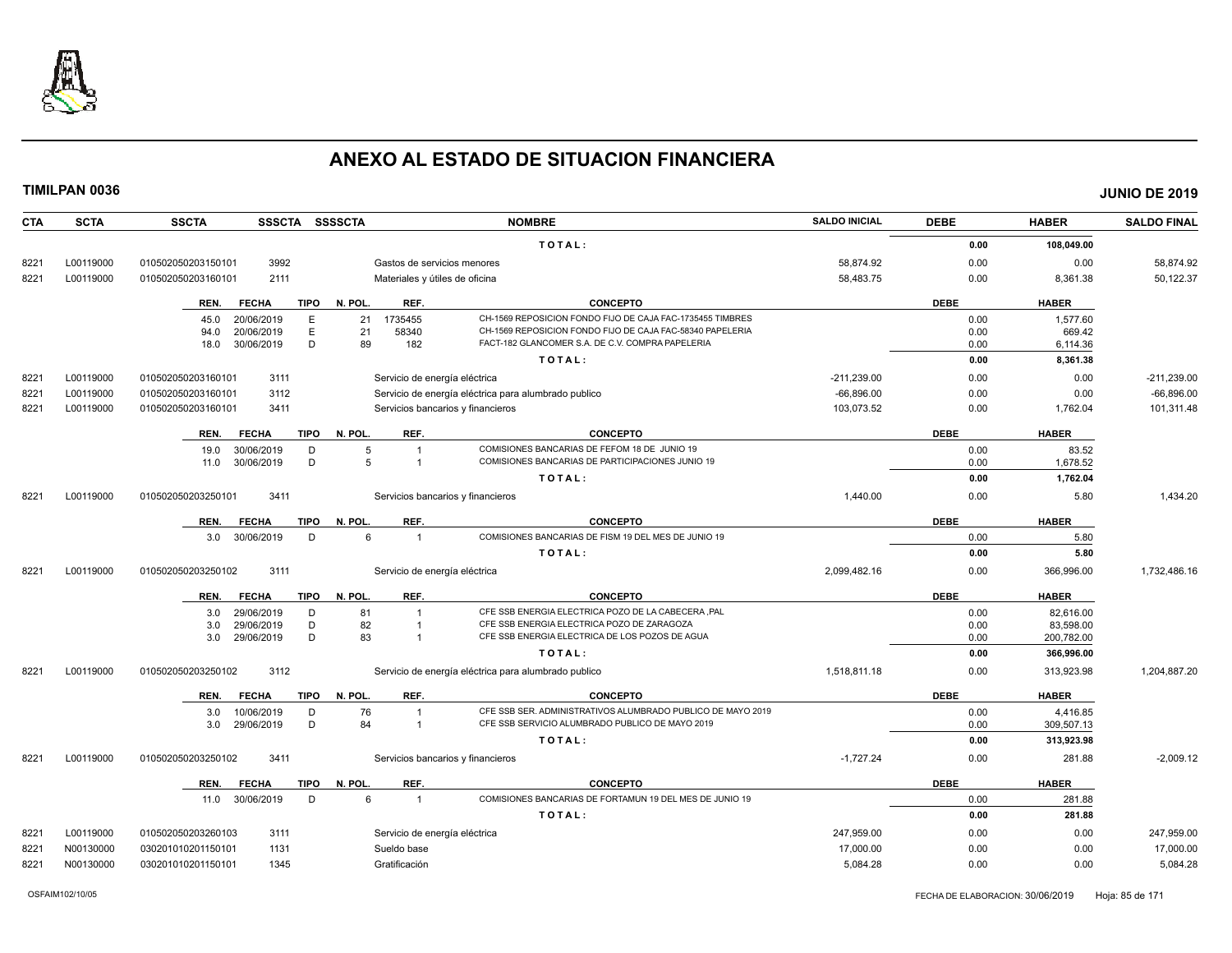

| <b>CTA</b> | <b>SCTA</b> | <b>SSCTA</b><br><b>SSSCTA</b>       | <b>SSSSCTA</b>                 | <b>NOMBRE</b>                                               | <b>SALDO INICIAL</b> | <b>DEBE</b> | <b>HABER</b> | <b>SALDO FINAL</b> |
|------------|-------------|-------------------------------------|--------------------------------|-------------------------------------------------------------|----------------------|-------------|--------------|--------------------|
|            |             |                                     |                                | TOTAL:                                                      |                      | 0.00        | 108,049.00   |                    |
| 8221       | L00119000   | 010502050203150101<br>3992          | Gastos de servicios menores    |                                                             | 58.874.92            | 0.00        | 0.00         | 58.874.92          |
| 8221       | L00119000   | 010502050203160101<br>2111          | Materiales y útiles de oficina |                                                             | 58,483.75            | 0.00        | 8,361.38     | 50,122.37          |
|            |             | <b>FECHA</b><br><b>TIPO</b><br>REN. | N. POL.<br>REF.                | <b>CONCEPTO</b>                                             |                      | <b>DEBE</b> | <b>HABER</b> |                    |
|            |             | 20/06/2019<br>E<br>45.0             | 21<br>1735455                  | CH-1569 REPOSICION FONDO FIJO DE CAJA FAC-1735455 TIMBRES   |                      | 0.00        | 1,577.60     |                    |
|            |             | 20/06/2019<br>Ε<br>94.0             | 21<br>58340                    | CH-1569 REPOSICION FONDO FIJO DE CAJA FAC-58340 PAPELERIA   |                      | 0.00        | 669.42       |                    |
|            |             | D<br>30/06/2019<br>18.0             | 89<br>182                      | FACT-182 GLANCOMER S.A. DE C.V. COMPRA PAPELERIA            |                      | 0.00        | 6,114.36     |                    |
|            |             |                                     |                                | TOTAL:                                                      |                      | 0.00        | 8,361.38     |                    |
| 8221       | L00119000   | 3111<br>010502050203160101          | Servicio de energía eléctrica  |                                                             | $-211,239.00$        | 0.00        | 0.00         | $-211,239.00$      |
| 8221       | L00119000   | 010502050203160101<br>3112          |                                | Servicio de energía eléctrica para alumbrado publico        | $-66.896.00$         | 0.00        | 0.00         | $-66,896.00$       |
| 8221       | L00119000   | 010502050203160101<br>3411          |                                | Servicios bancarios y financieros                           | 103.073.52           | 0.00        | 1,762.04     | 101.311.48         |
|            |             | <b>TIPO</b><br>REN.<br><b>FECHA</b> | N. POL.<br>REF.                | <b>CONCEPTO</b>                                             |                      | <b>DEBE</b> | <b>HABER</b> |                    |
|            |             | 19.0<br>30/06/2019<br>D             | 5<br>$\overline{1}$            | COMISIONES BANCARIAS DE FEFOM 18 DE JUNIO 19                |                      | 0.00        | 83.52        |                    |
|            |             | D<br>30/06/2019<br>11.0             | 5<br>$\overline{1}$            | COMISIONES BANCARIAS DE PARTICIPACIONES JUNIO 19            |                      | 0.00        | 1,678.52     |                    |
|            |             |                                     |                                | TOTAL:                                                      |                      | 0.00        | 1,762.04     |                    |
| 8221       | L00119000   | 010502050203250101<br>3411          |                                | Servicios bancarios y financieros                           | 1.440.00             | 0.00        | 5.80         | 1.434.20           |
|            |             | <b>TIPO</b><br>REN.<br><b>FECHA</b> | REF.<br>N. POL.                | <b>CONCEPTO</b>                                             |                      | <b>DEBE</b> | <b>HABER</b> |                    |
|            |             | 3.0 30/06/2019<br>D                 | 6<br>$\overline{1}$            | COMISIONES BANCARIAS DE FISM 19 DEL MES DE JUNIO 19         |                      | 0.00        | 5.80         |                    |
|            |             |                                     |                                | TOTAL:                                                      |                      | 0.00        | 5.80         |                    |
| 8221       | L00119000   | 3111<br>010502050203250102          | Servicio de energía eléctrica  |                                                             | 2,099,482.16         | 0.00        | 366,996.00   | 1,732,486.16       |
|            |             | <b>FECHA</b><br><b>TIPO</b><br>REN. | REF.<br>N. POL.                | <b>CONCEPTO</b>                                             |                      | <b>DEBE</b> | <b>HABER</b> |                    |
|            |             | 29/06/2019<br>3.0<br>D              | 81<br>$\overline{1}$           | CFE SSB ENERGIA ELECTRICA POZO DE LA CABECERA ,PAL          |                      | 0.00        | 82,616.00    |                    |
|            |             | D<br>29/06/2019<br>3.0              | 82<br>$\overline{1}$           | CFE SSB ENERGIA ELECTRICA POZO DE ZARAGOZA                  |                      | 0.00        | 83,598.00    |                    |
|            |             | D<br>29/06/2019<br>3.0              | 83<br>$\overline{1}$           | CFE SSB ENERGIA ELECTRICA DE LOS POZOS DE AGUA              |                      | 0.00        | 200,782.00   |                    |
|            |             |                                     |                                | TOTAL:                                                      |                      | 0.00        | 366,996.00   |                    |
| 8221       | L00119000   | 3112<br>010502050203250102          |                                | Servicio de energía eléctrica para alumbrado publico        | 1,518,811.18         | 0.00        | 313,923.98   | 1,204,887.20       |
|            |             | REN.<br><b>FECHA</b><br>TIPO        | N. POL.<br>REF.                | <b>CONCEPTO</b>                                             |                      | <b>DEBE</b> | <b>HABER</b> |                    |
|            |             | 3.0<br>10/06/2019<br>D              | 76<br>$\overline{1}$           | CFE SSB SER. ADMINISTRATIVOS ALUMBRADO PUBLICO DE MAYO 2019 |                      | 0.00        | 4.416.85     |                    |
|            |             | D<br>29/06/2019<br>3.0              | 84<br>$\overline{1}$           | CFE SSB SERVICIO ALUMBRADO PUBLICO DE MAYO 2019             |                      | 0.00        | 309,507.13   |                    |
|            |             |                                     |                                | TOTAL:                                                      |                      | 0.00        | 313,923.98   |                    |
| 8221       | L00119000   | 010502050203250102<br>3411          |                                | Servicios bancarios y financieros                           | $-1.727.24$          | 0.00        | 281.88       | $-2.009.12$        |
|            |             | REN.<br><b>FECHA</b><br>TIPO        | N. POL.<br>REF.                | <b>CONCEPTO</b>                                             |                      | <b>DEBE</b> | <b>HABER</b> |                    |
|            |             | 11.0 30/06/2019<br>D                | 6<br>$\overline{1}$            | COMISIONES BANCARIAS DE FORTAMUN 19 DEL MES DE JUNIO 19     |                      | 0.00        | 281.88       |                    |
|            |             |                                     |                                | TOTAL:                                                      |                      | 0.00        | 281.88       |                    |
| 8221       | L00119000   | 010502050203260103<br>3111          | Servicio de energía eléctrica  |                                                             | 247,959.00           | 0.00        | 0.00         | 247,959.00         |
| 8221       | N00130000   | 1131<br>030201010201150101          | Sueldo base                    |                                                             | 17.000.00            | 0.00        | 0.00         | 17,000.00          |
| 8221       | N00130000   | 030201010201150101<br>1345          | Gratificación                  |                                                             | 5,084.28             | 0.00        | 0.00         | 5,084.28           |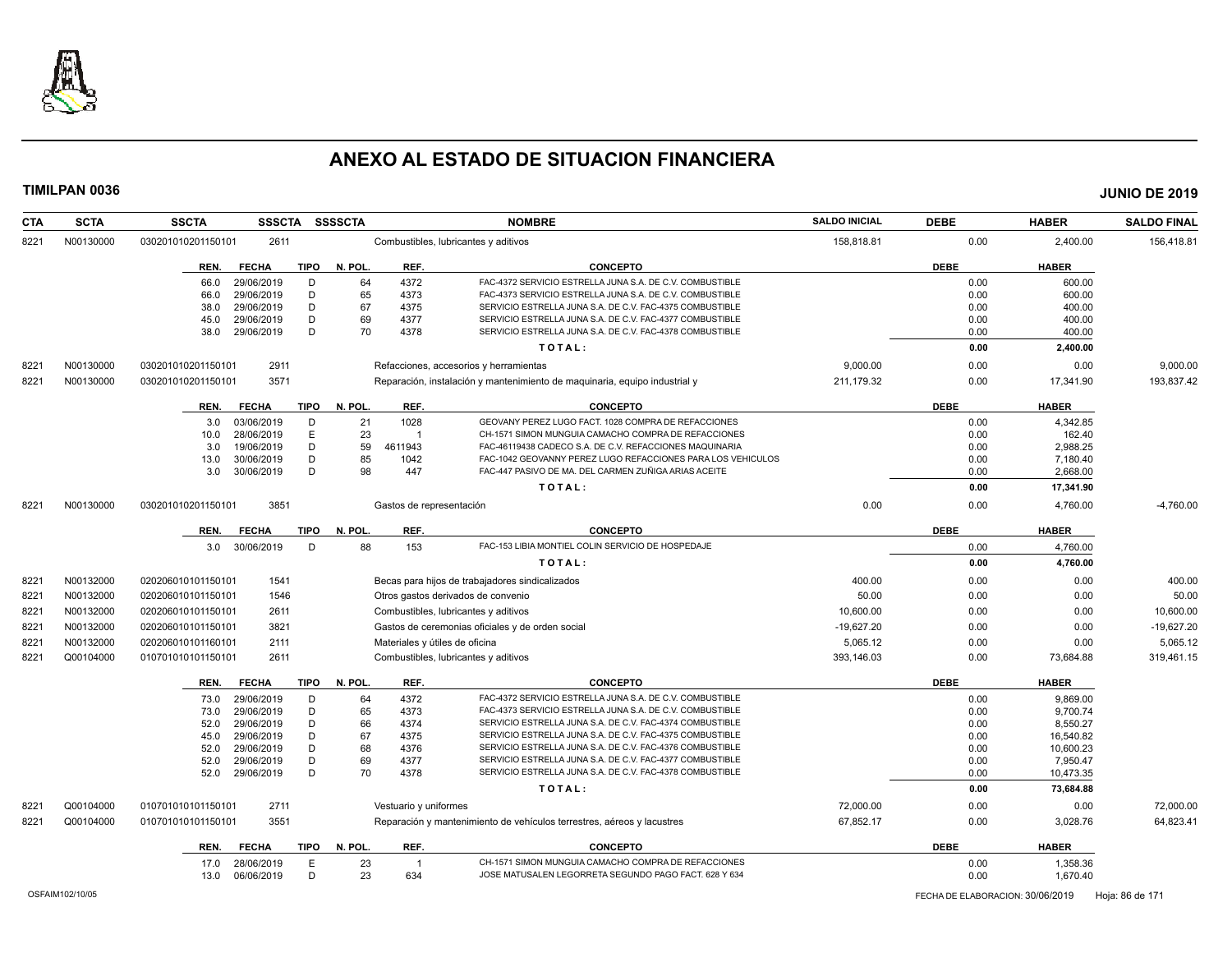

| <b>CTA</b> | <b>SCTA</b> | <b>SSCTA</b>         | <b>SSSCTA</b> | <b>SSSSCTA</b> |                          | <b>NOMBRE</b>                                                              | <b>SALDO INICIAL</b> | <b>DEBE</b> | <b>HABER</b> | <b>SALDO FINAL</b> |
|------------|-------------|----------------------|---------------|----------------|--------------------------|----------------------------------------------------------------------------|----------------------|-------------|--------------|--------------------|
| 8221       | N00130000   | 030201010201150101   | 2611          |                |                          | Combustibles, lubricantes y aditivos                                       | 158,818.81           | 0.00        | 2,400.00     | 156,418.81         |
|            |             | REN.<br><b>FECHA</b> | <b>TIPO</b>   | N. POL.        | REF.                     | <b>CONCEPTO</b>                                                            |                      | <b>DEBE</b> | <b>HABER</b> |                    |
|            |             | 29/06/2019<br>66.0   | D             | 64             | 4372                     | FAC-4372 SERVICIO ESTRELLA JUNA S.A. DE C.V. COMBUSTIBLE                   |                      | 0.00        | 600.00       |                    |
|            |             | 29/06/2019<br>66.0   | D             | 65             | 4373                     | FAC-4373 SERVICIO ESTRELLA JUNA S.A. DE C.V. COMBUSTIBLE                   |                      | 0.00        | 600.00       |                    |
|            |             | 29/06/2019<br>38.0   | D             | 67             | 4375                     | SERVICIO ESTRELLA JUNA S.A. DE C.V. FAC-4375 COMBUSTIBLE                   |                      | 0.00        | 400.00       |                    |
|            |             | 29/06/2019<br>45.0   | D             | 69             | 4377                     | SERVICIO ESTRELLA JUNA S.A. DE C.V. FAC-4377 COMBUSTIBLE                   |                      | 0.00        | 400.00       |                    |
|            |             | 38.0<br>29/06/2019   | D             | 70             | 4378                     | SERVICIO ESTRELLA JUNA S.A. DE C.V. FAC-4378 COMBUSTIBLE                   |                      | 0.00        | 400.00       |                    |
|            |             |                      |               |                |                          | TOTAL:                                                                     |                      | 0.00        | 2,400.00     |                    |
| 8221       | N00130000   | 030201010201150101   | 2911          |                |                          | Refacciones, accesorios y herramientas                                     | 9,000.00             | 0.00        | 0.00         | 9,000.00           |
| 8221       | N00130000   | 030201010201150101   | 3571          |                |                          | Reparación, instalación y mantenimiento de maquinaria, equipo industrial y | 211,179.32           | 0.00        | 17,341.90    | 193,837.42         |
|            |             | REN.<br><b>FECHA</b> | <b>TIPO</b>   | N. POL.        | REF.                     | <b>CONCEPTO</b>                                                            |                      | <b>DEBE</b> | <b>HABER</b> |                    |
|            |             | 03/06/2019<br>3.0    | D             | 21             | 1028                     | GEOVANY PEREZ LUGO FACT. 1028 COMPRA DE REFACCIONES                        |                      | 0.00        | 4,342.85     |                    |
|            |             | 28/06/2019<br>10.0   | E             | 23             |                          | CH-1571 SIMON MUNGUIA CAMACHO COMPRA DE REFACCIONES                        |                      | 0.00        | 162.40       |                    |
|            |             | 19/06/2019<br>3.0    | D             | 59             | 4611943                  | FAC-46119438 CADECO S.A. DE C.V. REFACCIONES MAQUINARIA                    |                      | 0.00        | 2,988.25     |                    |
|            |             | 30/06/2019<br>13.0   | D             | 85             | 1042                     | FAC-1042 GEOVANNY PEREZ LUGO REFACCIONES PARA LOS VEHICULOS                |                      | 0.00        | 7.180.40     |                    |
|            |             | 3.0<br>30/06/2019    | D             | 98             | 447                      | FAC-447 PASIVO DE MA. DEL CARMEN ZUÑIGA ARIAS ACEITE                       |                      | 0.00        | 2,668.00     |                    |
|            |             |                      |               |                |                          | TOTAL:                                                                     |                      | 0.00        | 17,341.90    |                    |
| 8221       | N00130000   | 030201010201150101   | 3851          |                | Gastos de representación |                                                                            | 0.00                 | 0.00        | 4,760.00     | $-4,760.00$        |
|            |             | <b>FECHA</b><br>REN. | <b>TIPO</b>   | N. POL.        | REF.                     | <b>CONCEPTO</b>                                                            |                      | <b>DEBE</b> | <b>HABER</b> |                    |
|            |             | 3.0 30/06/2019       | D             | 88             | 153                      | FAC-153 LIBIA MONTIEL COLIN SERVICIO DE HOSPEDAJE                          |                      | 0.00        | 4,760.00     |                    |
|            |             |                      |               |                |                          | TOTAL:                                                                     |                      | 0.00        | 4,760.00     |                    |
| 8221       | N00132000   | 020206010101150101   | 1541          |                |                          | Becas para hijos de trabajadores sindicalizados                            | 400.00               | 0.00        | 0.00         | 400.00             |
| 8221       | N00132000   | 020206010101150101   | 1546          |                |                          | Otros gastos derivados de convenio                                         | 50.00                | 0.00        | 0.00         | 50.00              |
| 8221       | N00132000   | 020206010101150101   | 2611          |                |                          | Combustibles, lubricantes y aditivos                                       | 10,600.00            | 0.00        | 0.00         | 10,600.00          |
| 8221       | N00132000   | 020206010101150101   | 3821          |                |                          | Gastos de ceremonias oficiales y de orden social                           | $-19,627.20$         | 0.00        | 0.00         | $-19,627.20$       |
| 8221       | N00132000   | 020206010101160101   | 2111          |                |                          | Materiales y útiles de oficina                                             | 5,065.12             | 0.00        | 0.00         | 5,065.12           |
| 8221       | Q00104000   | 010701010101150101   | 2611          |                |                          | Combustibles, lubricantes y aditivos                                       | 393,146.03           | 0.00        | 73,684.88    | 319,461.15         |
|            |             | <b>FECHA</b><br>REN. | <b>TIPO</b>   | N. POL.        | REF.                     | <b>CONCEPTO</b>                                                            |                      | <b>DEBE</b> | <b>HABER</b> |                    |
|            |             | 29/06/2019<br>73.0   | D             | 64             | 4372                     | FAC-4372 SERVICIO ESTRELLA JUNA S.A. DE C.V. COMBUSTIBLE                   |                      | 0.00        | 9.869.00     |                    |
|            |             | 29/06/2019<br>73.0   | D             | 65             | 4373                     | FAC-4373 SERVICIO ESTRELLA JUNA S.A. DE C.V. COMBUSTIBLE                   |                      | 0.00        | 9.700.74     |                    |
|            |             | 29/06/2019<br>52.0   | D             | 66             | 4374                     | SERVICIO ESTRELLA JUNA S.A. DE C.V. FAC-4374 COMBUSTIBLE                   |                      | 0.00        | 8,550.27     |                    |
|            |             | 29/06/2019<br>45.0   | D             | 67             | 4375                     | SERVICIO ESTRELLA JUNA S.A. DE C.V. FAC-4375 COMBUSTIBLE                   |                      | 0.00        | 16,540.82    |                    |
|            |             | 52.0<br>29/06/2019   | D             | 68             | 4376                     | SERVICIO ESTRELLA JUNA S.A. DE C.V. FAC-4376 COMBUSTIBLE                   |                      | 0.00        | 10,600.23    |                    |
|            |             | 52.0<br>29/06/2019   | D             | 69             | 4377                     | SERVICIO ESTRELLA JUNA S.A. DE C.V. FAC-4377 COMBUSTIBLE                   |                      | 0.00        | 7,950.47     |                    |
|            |             | 52.0<br>29/06/2019   | D             | 70             | 4378                     | SERVICIO ESTRELLA JUNA S.A. DE C.V. FAC-4378 COMBUSTIBLE                   |                      | 0.00        | 10,473.35    |                    |
|            |             |                      |               |                |                          | TOTAL:                                                                     |                      | 0.00        | 73,684.88    |                    |
| 822'       | Q00104000   | 010701010101150101   | 2711          |                | Vestuario y uniformes    |                                                                            | 72.000.00            | 0.00        | 0.00         | 72.000.00          |
| 8221       | Q00104000   | 010701010101150101   | 3551          |                |                          | Reparación y mantenimiento de vehículos terrestres, aéreos y lacustres     | 67,852.17            | 0.00        | 3,028.76     | 64,823.41          |
|            |             | REN.<br><b>FECHA</b> | <b>TIPO</b>   | N. POL.        | REF.                     | <b>CONCEPTO</b>                                                            |                      | <b>DEBE</b> | <b>HABER</b> |                    |
|            |             | 28/06/2019<br>17.0   | E             | 23             |                          | CH-1571 SIMON MUNGUIA CAMACHO COMPRA DE REFACCIONES                        |                      | 0.00        | 1,358.36     |                    |
|            |             | 06/06/2019<br>13.0   | D             | 23             | 634                      | JOSE MATUSALEN LEGORRETA SEGUNDO PAGO FACT. 628 Y 634                      |                      | 0.00        | 1,670.40     |                    |
|            |             |                      |               |                |                          |                                                                            |                      |             |              |                    |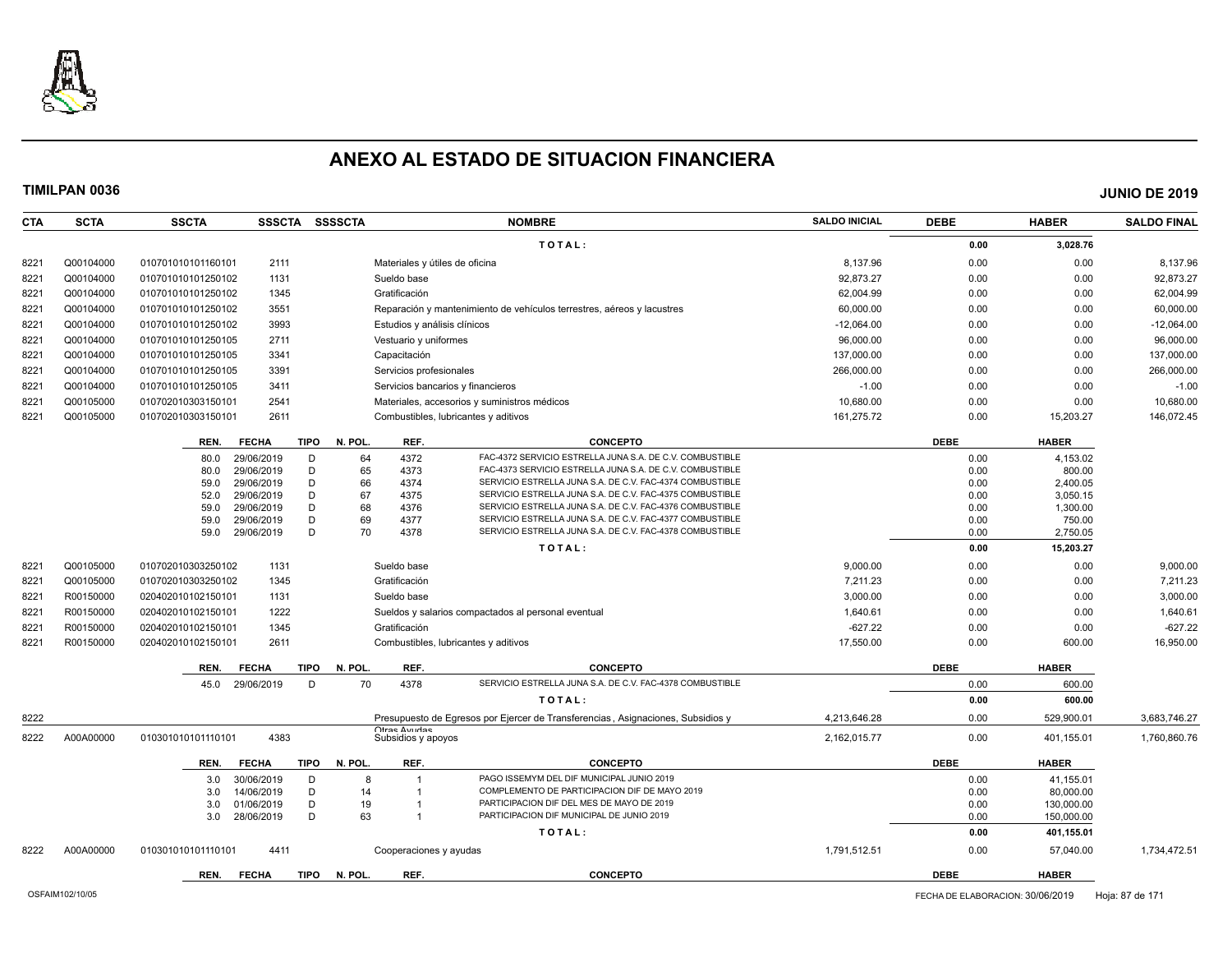

**CTA SCTA SSCTA SSSCTA SSSSCTA NOMBRE SALDO INICIAL DEBE HABER SALDO FINAL**

8222 A00A00000 010301010101110101 4411 Cooperaciones y ayudas 1,791,512.51 0.00 57,040.00 1,734,472.51

**REN. FECHA TIPO N. POL. REF. CONCEPTO DEBE HABER**

**TIMILPAN 0036 JUNIO DE 2019**

**T O T A L : 0.00 3,028.76** 8221 Q00104000 0107010101160101 2111 Materiales y útiles de oficina and a control de controllar en el segundo de controllar en el segundo de el segundo de el segundo de el segundo de el segundo de el segundo de el segundo 8221 Q00104000 010701010101250102 1131 Sueldo base 92,873.27 0.00 0.00 92,873.27 8221 Q00104000 010701010101250102 1345 Gratificación 62,004.99 0.00 0.00 62,004.99 8221 Q00104000 010701010101250102 3551 Reparación y mantenimiento de vehículos terrestres, aéreos y lacustres 60,000.00 0.00 0.00 60,000.00 8221 Q00104000 010701010101250102 3993 Estudios y análisis clínicos -12,064.00 0.00 0.00 -12,064.00 8221 Q00104000 010701010101250105 2711 Vestuario y uniformes external extension of the extension or the extension or the extension or the extendio or the extension of the extendio or the extendio or the extendio or the ext 8221 Q00104000 010701010101250105 3341 Capacitación 137,000.00 0.00 0.00 137,000.00 8221 Q00104000 010701010101250105 3391 Servicios profesionales 266,000.00 0.00 0.00 266,000.00 8221 Q00104000 0107010101250105 3411 Servicios bancarios y financieros -1.00 -1.00 0.00 0.00 0.00 -1.00 0.00 -1.00 8221 Q00105000 010702010303150101 2541 Materiales, accesorios y suministros médicos 10,680.00 0.00 0.00 10,680.00 8221 Q00105000 010702010303150101 2611 Combustibles, lubricantes y aditivos 161,275.72 0.00 15,203.27 146,072.45 **REN. FECHA TIPO N. POL. REF. CONCEPTO DEBE HABER** 80.0 29/06/2019 D 64 4372 FAC-4372 SERVICIO ESTRELLA JUNA S.A. DE C.V. COMBUSTIBLE 0.00 4,153.02 80.0 29/06/2019 D 65 4373 FAC-4373 SERVICIO ESTRELLA JUNA S.A. DE C.V. COMBUSTIBLE 0.00 00 800.00 800.00 59.0 29/06/2019 D 66 4374 SERVICIO ESTRELLA JUNA S.A. DE C.V. FAC-4374 COMBUSTIBLE 0.00 0 2,400.05 52.0 29/06/2019 D 67 4375 SERVICIO ESTRELLA JUNA S.A. DE C.V. FAC-4375 COMBUSTIBLE 0.00 0 3,050.15 59.0 29/06/2019 D 68 4376 SERVICIO ESTRELLA JUNA S.A. DE C.V. FAC-4376 COMBUSTIBLE 0.00 0 1,300.00 1,300.00 59.0 29/06/2019 D 69 4377 SERVICIO ESTRELLA JUNA S.A. DE C.V. FAC-4377 COMBUSTIBLE 0.00 750.00 59.0 29/06/2019 D 70 4378 SERVICIO ESTRELLA JUNA S.A. DE C.V. FAC-4378 COMBUSTIBLE 0.00 2,750.05 **T O T A L** : 0.00 **15,203.27 10.00 15,203.27** 8221 Q00105000 010702010303250102 1131 Sueldo base 9,000.00 9,000.00 9,000.00 8221 Q00105000 010702010303250102 1345 Gratificación 7,211.23 0.00 0.00 7,211.23 8221 R00150000 020402010102150101 1131 Sueldo base 3,000.00 0.00 0.00 3,000.00 8221 R00150000 020402010102150101 1222 Sueldos y salarios compactados al personal eventual 1,640.61 1,640.61 0.00 0.00 0.00 1,640.61 8221 R00150000 020402010102150101 1345 Gratificación -627.22 0.00 0.00 -627.22 8221 R00150000 020402010102150101 2611 Combustibles, lubricantes y aditivos 17,550.00 0.00 600.00 16,950.00 **REN. FECHA TIPO N. POL. REF. CONCEPTO DEBE HABER** 45.0 29/06/2019 D 70 4378 SERVICIO ESTRELLA JUNA S.A. DE C.V. FAC-4378 COMBUSTIBLE **COMBUSTIBLE** 0.00 600.00 600.00 **T O T A L : 0.00 600.00** 8222 Presupuesto de Egresos por Ejercer de Transferencias , Asignaciones, Subsidios y Otras Ayudas<br>Subsidios y apoyos 4,213,646.28 0.00 529,900.01 3,683,746.27 8222 A00A00000 010301010101110101 4383 Subsidios y apoyos 2,162,015.77 0.00 401,155.01 1,760,860.76 **REN. FECHA TIPO N. POL. REF. CONCEPTO DEBE HABER** 3.0 30/06/2019 D 8 1 PAGO ISSEMYM DEL DIF MUNICIPAL JUNIO 2019 0.00 41.155.01 3.0 14/06/2019 D 14 1 COMPLEMENTO DE PARTICIPACION DIF DE MAYO 2019<br>3.0 01/06/2019 D 19 1 PARTICIPACION DIF DEL MES DE MAYO DE 2019 3.0 01/06/2019 D 19 1 PARTICIPACION DIF DEL MES DE MAYO DE 2019 3.0 28/06/2019 D 63 1 PARTICIPACION DIF MUNICIPAL DE JUNIO 2019 0.00 0.00 150,000.00

**T O T A L : 0.00 401,155.01**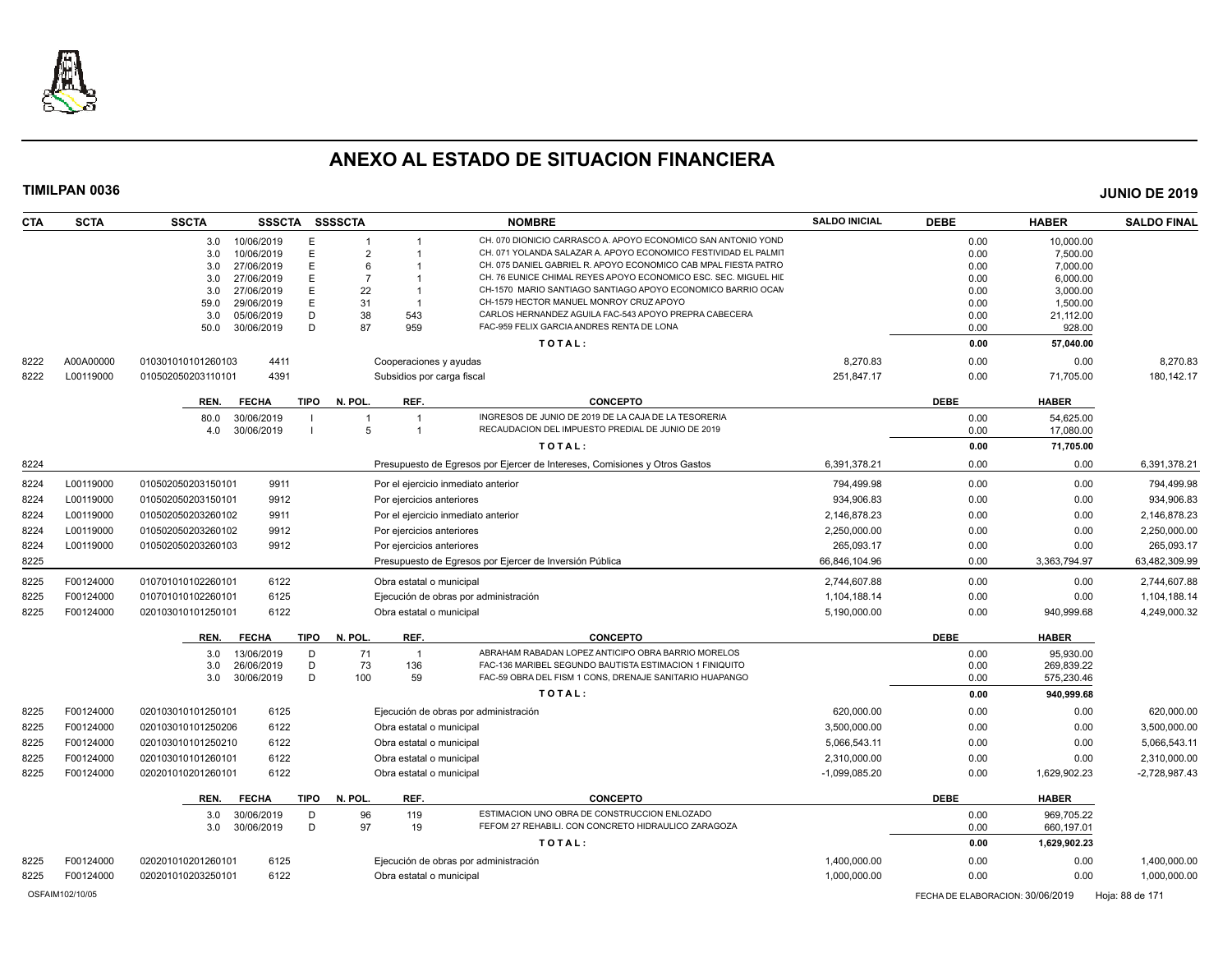

| <b>CTA</b> | <b>SCTA</b> | <b>SSCTA</b>                           | SSSCTA SSSSCTA                 |                                       | <b>NOMBRE</b>                                                                                                                  | <b>SALDO INICIAL</b> | <b>DEBE</b>  | <b>HABER</b>         | <b>SALDO FINAL</b> |
|------------|-------------|----------------------------------------|--------------------------------|---------------------------------------|--------------------------------------------------------------------------------------------------------------------------------|----------------------|--------------|----------------------|--------------------|
|            |             | 10/06/2019<br>3.0                      | E<br>1                         |                                       | CH. 070 DIONICIO CARRASCO A, APOYO ECONOMICO SAN ANTONIO YOND                                                                  |                      | 0.00         | 10,000.00            |                    |
|            |             | 10/06/2019<br>3.0                      | E<br>$\overline{2}$            |                                       | CH. 071 YOLANDA SALAZAR A. APOYO ECONOMICO FESTIVIDAD EL PALMIT                                                                |                      | 0.00         | 7,500.00             |                    |
|            |             | 3.0<br>27/06/2019                      | E<br>6                         |                                       | CH. 075 DANIEL GABRIEL R. APOYO ECONOMICO CAB MPAL FIESTA PATRO                                                                |                      | 0.00         | 7,000.00             |                    |
|            |             | 27/06/2019<br>3.0<br>27/06/2019<br>3.0 | E<br>$\overline{7}$<br>E<br>22 | - 1                                   | CH. 76 EUNICE CHIMAL REYES APOYO ECONOMICO ESC. SEC. MIGUEL HII<br>CH-1570 MARIO SANTIAGO SANTIAGO APOYO ECONOMICO BARRIO OCAN |                      | 0.00<br>0.00 | 6,000.00             |                    |
|            |             | 59.0<br>29/06/2019                     | E<br>31                        |                                       | CH-1579 HECTOR MANUEL MONROY CRUZ APOYO                                                                                        |                      | 0.00         | 3,000.00<br>1,500.00 |                    |
|            |             | 3.0<br>05/06/2019                      | 38<br>D                        | 543                                   | CARLOS HERNANDEZ AGUILA FAC-543 APOYO PREPRA CABECERA                                                                          |                      | 0.00         | 21,112.00            |                    |
|            |             | 30/06/2019<br>50.0                     | D<br>87                        | 959                                   | FAC-959 FELIX GARCIA ANDRES RENTA DE LONA                                                                                      |                      | 0.00         | 928.00               |                    |
|            |             |                                        |                                |                                       | TOTAL:                                                                                                                         |                      | 0.00         | 57,040.00            |                    |
| 8222       | A00A00000   | 4411<br>010301010101260103             |                                | Cooperaciones y ayudas                |                                                                                                                                | 8,270.83             | 0.00         | 0.00                 | 8,270.83           |
| 8222       | L00119000   | 4391<br>010502050203110101             |                                | Subsidios por carga fiscal            |                                                                                                                                | 251,847.17           | 0.00         | 71,705.00            | 180, 142. 17       |
|            |             | <b>FECHA</b><br>REN.                   | TIPO N. POL.                   | REF.                                  | <b>CONCEPTO</b>                                                                                                                |                      | <b>DEBE</b>  | <b>HABER</b>         |                    |
|            |             | 30/06/2019<br>80.0                     |                                | $\overline{1}$                        | INGRESOS DE JUNIO DE 2019 DE LA CAJA DE LA TESORERIA                                                                           |                      | 0.00         | 54.625.00            |                    |
|            |             | 30/06/2019<br>4.0                      | 5                              | $\overline{1}$                        | RECAUDACION DEL IMPUESTO PREDIAL DE JUNIO DE 2019                                                                              |                      | 0.00         | 17,080.00            |                    |
|            |             |                                        |                                |                                       | TOTAL:                                                                                                                         |                      | 0.00         | 71,705.00            |                    |
| 8224       |             |                                        |                                |                                       | Presupuesto de Egresos por Ejercer de Intereses, Comisiones y Otros Gastos                                                     | 6,391,378.21         | 0.00         | 0.00                 | 6,391,378.21       |
| 8224       | L00119000   | 9911<br>010502050203150101             |                                | Por el ejercicio inmediato anterior   |                                                                                                                                | 794.499.98           | 0.00         | 0.00                 | 794,499.98         |
| 8224       | L00119000   | 9912<br>010502050203150101             |                                | Por ejercicios anteriores             |                                                                                                                                | 934,906.83           | 0.00         | 0.00                 | 934,906.83         |
| 8224       | L00119000   | 010502050203260102<br>9911             |                                | Por el ejercicio inmediato anterior   |                                                                                                                                | 2,146,878.23         | 0.00         | 0.00                 | 2,146,878.23       |
| 8224       | L00119000   | 9912<br>010502050203260102             |                                | Por ejercicios anteriores             |                                                                                                                                | 2,250,000.00         | 0.00         | 0.00                 | 2,250,000.00       |
| 8224       | L00119000   | 9912<br>010502050203260103             |                                | Por ejercicios anteriores             |                                                                                                                                | 265.093.17           | 0.00         | 0.00                 | 265.093.17         |
| 8225       |             |                                        |                                |                                       | Presupuesto de Egresos por Ejercer de Inversión Pública                                                                        | 66,846,104.96        | 0.00         | 3,363,794.97         | 63,482,309.99      |
| 8225       | F00124000   | 6122<br>010701010102260101             |                                | Obra estatal o municipal              |                                                                                                                                | 2,744,607.88         | 0.00         | 0.00                 | 2,744,607.88       |
| 8225       | F00124000   | 6125<br>010701010102260101             |                                | Ejecución de obras por administración |                                                                                                                                | 1,104,188.14         | 0.00         | 0.00                 | 1,104,188.14       |
| 8225       | F00124000   | 6122<br>020103010101250101             |                                | Obra estatal o municipal              |                                                                                                                                | 5,190,000.00         | 0.00         | 940.999.68           | 4,249,000.32       |
|            |             | <b>FECHA</b><br>REN.                   | TIPO<br>N. POL.                | REF.                                  | <b>CONCEPTO</b>                                                                                                                |                      | <b>DEBE</b>  | <b>HABER</b>         |                    |
|            |             | 13/06/2019<br>3.0                      | 71<br>D                        | $\overline{1}$                        | ABRAHAM RABADAN LOPEZ ANTICIPO OBRA BARRIO MORELOS                                                                             |                      | 0.00         | 95,930.00            |                    |
|            |             | 26/06/2019<br>3.0                      | 73<br>D                        | 136                                   | FAC-136 MARIBEL SEGUNDO BAUTISTA ESTIMACION 1 FINIQUITO                                                                        |                      | 0.00         | 269,839.22           |                    |
|            |             | 3.0<br>30/06/2019                      | D<br>100                       | 59                                    | FAC-59 OBRA DEL FISM 1 CONS, DRENAJE SANITARIO HUAPANGO                                                                        |                      | 0.00         | 575,230.46           |                    |
|            |             |                                        |                                |                                       | TOTAL:                                                                                                                         |                      | 0.00         | 940,999.68           |                    |
| 8225       | F00124000   | 020103010101250101<br>6125             |                                | Ejecución de obras por administración |                                                                                                                                | 620,000.00           | 0.00         | 0.00                 | 620,000.00         |
| 8225       | F00124000   | 6122<br>020103010101250206             |                                | Obra estatal o municipal              |                                                                                                                                | 3,500,000.00         | 0.00         | 0.00                 | 3,500,000.00       |
| 8225       | F00124000   | 6122<br>020103010101250210             |                                | Obra estatal o municipal              |                                                                                                                                | 5,066,543.11         | 0.00         | 0.00                 | 5,066,543.11       |
| 8225       | F00124000   | 6122<br>020103010101260101             |                                | Obra estatal o municipal              |                                                                                                                                | 2,310,000.00         | 0.00         | 0.00                 | 2,310,000.00       |
| 8225       | F00124000   | 6122<br>020201010201260101             |                                | Obra estatal o municipal              |                                                                                                                                | $-1.099.085.20$      | 0.00         | 1,629,902.23         | $-2.728.987.43$    |
|            |             | REN.<br><b>FECHA</b>                   | <b>TIPO</b><br>N. POL.         | REF.                                  | <b>CONCEPTO</b>                                                                                                                |                      | <b>DEBE</b>  | <b>HABER</b>         |                    |
|            |             | 30/06/2019<br>3.0                      | 96<br>D                        | 119                                   | ESTIMACION UNO OBRA DE CONSTRUCCION ENLOZADO                                                                                   |                      | 0.00         | 969,705.22           |                    |
|            |             | 3.0<br>30/06/2019                      | D<br>97                        | 19                                    | FEFOM 27 REHABILI. CON CONCRETO HIDRAULICO ZARAGOZA                                                                            |                      | 0.00         | 660,197.01           |                    |
|            |             |                                        |                                |                                       | TOTAL:                                                                                                                         |                      | 0.00         | 1,629,902.23         |                    |
| 8225       | F00124000   | 6125<br>020201010201260101             |                                | Ejecución de obras por administración |                                                                                                                                | 1,400,000.00         | 0.00         | 0.00                 | 1,400,000.00       |
| 8225       | F00124000   | 6122<br>020201010203250101             |                                | Obra estatal o municipal              |                                                                                                                                | 1,000,000.00         | 0.00         | 0.00                 | 1,000,000.00       |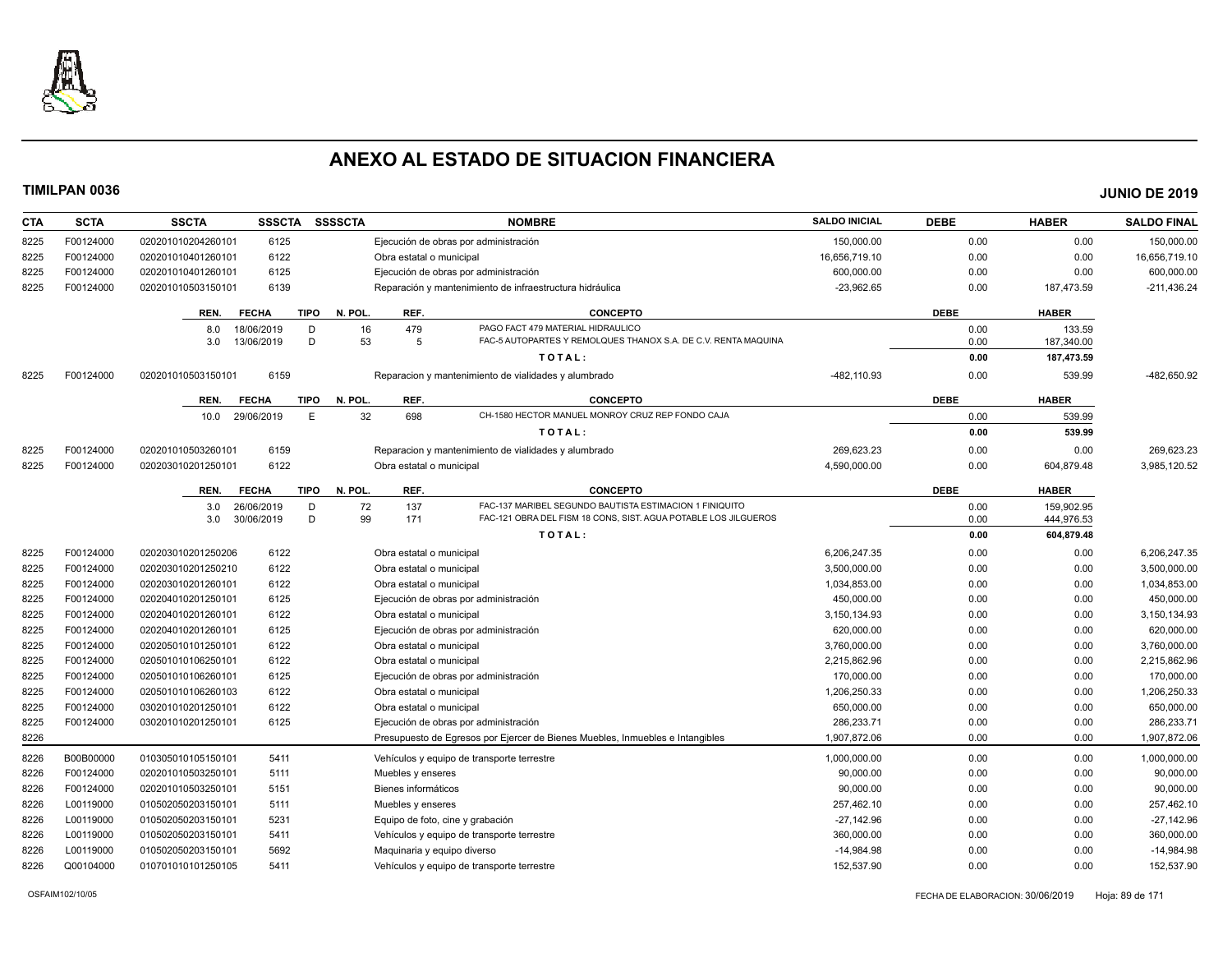

| <b>CTA</b>   | <b>SCTA</b>            | <b>SSCTA</b>                             | <b>SSSCTA</b> | <b>SSSSCTA</b> |                                                                   | <b>NOMBRE</b>                                                                 | <b>SALDO INICIAL</b>       | <b>DEBE</b>  | <b>HABER</b>             | <b>SALDO FINAL</b>         |
|--------------|------------------------|------------------------------------------|---------------|----------------|-------------------------------------------------------------------|-------------------------------------------------------------------------------|----------------------------|--------------|--------------------------|----------------------------|
| 8225         | F00124000              | 020201010204260101                       | 6125          |                | Ejecución de obras por administración                             |                                                                               | 150,000.00                 | 0.00         | 0.00                     | 150,000.00                 |
| 8225         | F00124000              | 020201010401260101                       | 6122          |                | Obra estatal o municipal                                          |                                                                               | 16,656,719.10              | 0.00         | 0.00                     | 16,656,719.10              |
| 8225         | F00124000              | 020201010401260101                       | 6125          |                | Ejecución de obras por administración                             |                                                                               | 600,000.00                 | 0.00         | 0.00                     | 600,000.00                 |
| 8225         | F00124000              | 020201010503150101                       | 6139          |                |                                                                   | Reparación y mantenimiento de infraestructura hidráulica                      | $-23,962.65$               | 0.00         | 187,473.59               | $-211,436.24$              |
|              |                        | REN.<br><b>FECHA</b>                     | <b>TIPO</b>   | N. POL.        | REF.                                                              | <b>CONCEPTO</b>                                                               |                            | <b>DEBE</b>  | <b>HABER</b>             |                            |
|              |                        | 8.0                                      | 18/06/2019    | 16<br>D        | 479                                                               | PAGO FACT 479 MATERIAL HIDRAULICO                                             |                            | 0.00         | 133.59                   |                            |
|              |                        | 3.0                                      | 13/06/2019    | 53<br>D        | 5                                                                 | FAC-5 AUTOPARTES Y REMOLQUES THANOX S.A. DE C.V. RENTA MAQUINA                |                            | 0.00         | 187,340.00               |                            |
|              |                        |                                          |               |                |                                                                   | TOTAL:                                                                        |                            | 0.00         | 187,473.59               |                            |
| 8225         | F00124000              | 020201010503150101                       | 6159          |                |                                                                   | Reparacion y mantenimiento de vialidades y alumbrado                          | -482,110.93                | 0.00         | 539.99                   | -482,650.92                |
|              |                        | REN.<br><b>FECHA</b>                     | <b>TIPO</b>   | N. POL.        | REF.                                                              | <b>CONCEPTO</b>                                                               |                            | <b>DEBE</b>  | <b>HABER</b>             |                            |
|              |                        | 10.0                                     | 29/06/2019    | 32<br>E        | 698                                                               | CH-1580 HECTOR MANUEL MONROY CRUZ REP FONDO CAJA                              |                            | 0.00         | 539.99                   |                            |
|              |                        |                                          |               |                |                                                                   | TOTAL:                                                                        |                            | 0.00         | 539.99                   |                            |
| 8225         | F00124000              | 020201010503260101                       | 6159          |                |                                                                   | Reparacion y mantenimiento de vialidades y alumbrado                          | 269,623.23                 | 0.00         | 0.00                     | 269,623.23                 |
| 8225         | F00124000              | 020203010201250101                       | 6122          |                | Obra estatal o municipal                                          |                                                                               | 4,590,000.00               | 0.00         | 604,879.48               | 3,985,120.52               |
|              |                        | <b>FECHA</b><br>REN.                     | <b>TIPO</b>   | N. POL.        | REF.                                                              | <b>CONCEPTO</b>                                                               |                            | <b>DEBE</b>  | <b>HABER</b>             |                            |
|              |                        | 3.0                                      | 26/06/2019    | D<br>72        | 137                                                               | FAC-137 MARIBEL SEGUNDO BAUTISTA ESTIMACION 1 FINIQUITO                       |                            | 0.00         | 159,902.95               |                            |
|              |                        | 3.0                                      | 30/06/2019    | D<br>99        | 171                                                               | FAC-121 OBRA DEL FISM 18 CONS, SIST. AGUA POTABLE LOS JILGUEROS<br>TOTAL:     |                            | 0.00<br>0.00 | 444,976.53<br>604,879.48 |                            |
|              |                        |                                          |               |                |                                                                   |                                                                               |                            |              |                          |                            |
| 8225         | F00124000              | 020203010201250206                       | 6122          |                | Obra estatal o municipal                                          |                                                                               | 6,206,247.35               | 0.00         | 0.00                     | 6,206,247.35               |
| 8225         | F00124000              | 020203010201250210                       | 6122          |                | Obra estatal o municipal                                          |                                                                               | 3,500,000.00               | 0.00         | 0.00                     | 3,500,000.00               |
| 8225         | F00124000              | 020203010201260101                       | 6122          |                | Obra estatal o municipal                                          |                                                                               | 1,034,853.00               | 0.00         | 0.00                     | 1,034,853.00               |
| 8225         | F00124000              | 020204010201250101                       | 6125          |                | Ejecución de obras por administración                             |                                                                               | 450,000.00                 | 0.00         | 0.00                     | 450,000.00                 |
| 8225         | F00124000              | 020204010201260101                       | 6122          |                | Obra estatal o municipal                                          |                                                                               | 3,150,134.93               | 0.00         | 0.00                     | 3,150,134.93               |
| 8225<br>8225 | F00124000<br>F00124000 | 020204010201260101<br>020205010101250101 | 6125<br>6122  |                | Ejecución de obras por administración<br>Obra estatal o municipal |                                                                               | 620,000.00<br>3,760,000.00 | 0.00<br>0.00 | 0.00<br>0.00             | 620,000.00<br>3,760,000.00 |
| 8225         | F00124000              | 020501010106250101                       | 6122          |                | Obra estatal o municipal                                          |                                                                               | 2,215,862.96               | 0.00         | 0.00                     | 2,215,862.96               |
| 8225         | F00124000              | 020501010106260101                       | 6125          |                | Ejecución de obras por administración                             |                                                                               | 170,000.00                 | 0.00         | 0.00                     | 170,000.00                 |
| 8225         | F00124000              | 020501010106260103                       | 6122          |                | Obra estatal o municipal                                          |                                                                               | 1,206,250.33               | 0.00         | 0.00                     | 1,206,250.33               |
| 8225         | F00124000              | 030201010201250101                       | 6122          |                | Obra estatal o municipal                                          |                                                                               | 650,000.00                 | 0.00         | 0.00                     | 650,000.00                 |
| 8225         | F00124000              | 030201010201250101                       | 6125          |                | Ejecución de obras por administración                             |                                                                               | 286,233.71                 | 0.00         | 0.00                     | 286,233.71                 |
| 8226         |                        |                                          |               |                |                                                                   | Presupuesto de Egresos por Ejercer de Bienes Muebles, Inmuebles e Intangibles | 1,907,872.06               | 0.00         | 0.00                     | 1,907,872.06               |
| 8226         | B00B00000              | 010305010105150101                       | 5411          |                | Vehículos y equipo de transporte terrestre                        |                                                                               | 1,000,000.00               | 0.00         | 0.00                     | 1,000,000.00               |
| 8226         | F00124000              | 020201010503250101                       | 5111          |                | Muebles y enseres                                                 |                                                                               | 90,000.00                  | 0.00         | 0.00                     | 90,000.00                  |
| 8226         | F00124000              | 020201010503250101                       | 5151          |                | Bienes informáticos                                               |                                                                               | 90,000.00                  | 0.00         | 0.00                     | 90,000.00                  |
| 8226         | L00119000              | 010502050203150101                       | 5111          |                | Muebles y enseres                                                 |                                                                               | 257,462.10                 | 0.00         | 0.00                     | 257,462.10                 |
| 8226         | L00119000              | 010502050203150101                       | 5231          |                | Equipo de foto, cine y grabación                                  |                                                                               | $-27,142.96$               | 0.00         | 0.00                     | $-27,142.96$               |
| 8226         | L00119000              | 010502050203150101                       | 5411          |                | Vehículos y equipo de transporte terrestre                        |                                                                               | 360,000.00                 | 0.00         | 0.00                     | 360,000.00                 |
| 8226         | L00119000              | 010502050203150101                       | 5692          |                | Maguinaria y equipo diverso                                       |                                                                               | $-14,984.98$               | 0.00         | 0.00                     | $-14,984.98$               |
| 8226         | Q00104000              | 010701010101250105                       | 5411          |                | Vehículos y equipo de transporte terrestre                        |                                                                               | 152.537.90                 | 0.00         | 0.00                     | 152,537.90                 |
|              |                        |                                          |               |                |                                                                   |                                                                               |                            |              |                          |                            |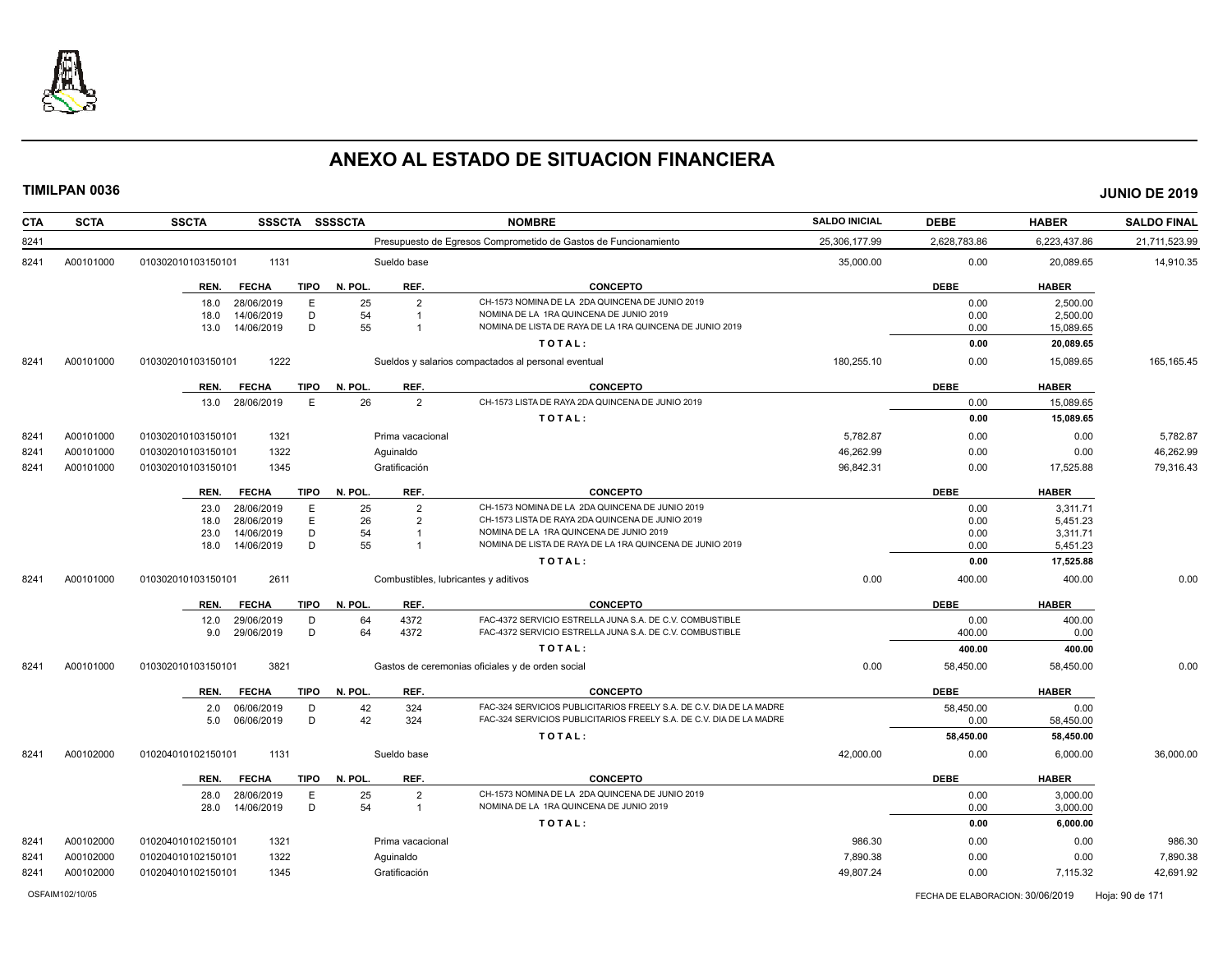

| <b>CTA</b> | <b>SCTA</b> | <b>SSCTA</b><br>SSSCTA SSSSCTA      |                                      | <b>NOMBRE</b>                                                       | <b>SALDO INICIAL</b> | <b>DEBE</b>  | <b>HABER</b> | <b>SALDO FINAL</b> |
|------------|-------------|-------------------------------------|--------------------------------------|---------------------------------------------------------------------|----------------------|--------------|--------------|--------------------|
| 8241       |             |                                     |                                      | Presupuesto de Egresos Comprometido de Gastos de Funcionamiento     | 25,306,177.99        | 2,628,783.86 | 6,223,437.86 | 21,711,523.99      |
| 8241       | A00101000   | 1131<br>010302010103150101          | Sueldo base                          |                                                                     | 35,000.00            | 0.00         | 20,089.65    | 14,910.35          |
|            |             | <b>TIPO</b><br>REN.<br><b>FECHA</b> | REF.<br>N. POL.                      | <b>CONCEPTO</b>                                                     |                      | <b>DEBE</b>  | <b>HABER</b> |                    |
|            |             | 28/06/2019<br>E<br>18.0             | 25<br>$\overline{2}$                 | CH-1573 NOMINA DE LA 2DA QUINCENA DE JUNIO 2019                     |                      | 0.00         | 2,500.00     |                    |
|            |             | D<br>14/06/2019<br>18.0             | 54<br>$\overline{1}$                 | NOMINA DE LA 1RA QUINCENA DE JUNIO 2019                             |                      | 0.00         | 2,500.00     |                    |
|            |             | D<br>13.0<br>14/06/2019             | 55<br>$\overline{1}$                 | NOMINA DE LISTA DE RAYA DE LA 1RA QUINCENA DE JUNIO 2019            |                      | 0.00         | 15,089.65    |                    |
|            |             |                                     |                                      | TOTAL:                                                              |                      | 0.00         | 20,089.65    |                    |
| 8241       | A00101000   | 1222<br>010302010103150101          |                                      | Sueldos y salarios compactados al personal eventual                 | 180,255.10           | 0.00         | 15,089.65    | 165, 165.45        |
|            |             | <b>TIPO</b><br>REN.<br><b>FECHA</b> | REF.<br>N. POL                       | <b>CONCEPTO</b>                                                     |                      | <b>DEBE</b>  | <b>HABER</b> |                    |
|            |             | 28/06/2019<br>Ε<br>13.0             | 26<br>$\overline{2}$                 | CH-1573 LISTA DE RAYA 2DA QUINCENA DE JUNIO 2019                    |                      | 0.00         | 15,089.65    |                    |
|            |             |                                     |                                      | TOTAL:                                                              |                      | 0.00         | 15,089.65    |                    |
| 8241       | A00101000   | 1321<br>010302010103150101          | Prima vacacional                     |                                                                     | 5,782.87             | 0.00         | 0.00         | 5,782.87           |
| 8241       | A00101000   | 1322<br>010302010103150101          | Aguinaldo                            |                                                                     | 46,262.99            | 0.00         | 0.00         | 46,262.99          |
| 8241       | A00101000   | 1345<br>010302010103150101          | Gratificación                        |                                                                     | 96,842.31            | 0.00         | 17,525.88    | 79,316.43          |
|            |             | <b>FECHA</b><br><b>TIPO</b><br>REN. | REF.<br>N. POL.                      | <b>CONCEPTO</b>                                                     |                      | <b>DEBE</b>  | <b>HABER</b> |                    |
|            |             | 28/06/2019<br>E<br>23.0             | 25<br>$\overline{2}$                 | CH-1573 NOMINA DE LA 2DA QUINCENA DE JUNIO 2019                     |                      | 0.00         | 3,311.71     |                    |
|            |             | Е<br>28/06/2019<br>18.0             | 26<br>$\overline{2}$                 | CH-1573 LISTA DE RAYA 2DA QUINCENA DE JUNIO 2019                    |                      | 0.00         | 5,451.23     |                    |
|            |             | D<br>14/06/2019<br>23.0             | 54<br>$\overline{1}$                 | NOMINA DE LA 1RA QUINCENA DE JUNIO 2019                             |                      | 0.00         | 3,311.71     |                    |
|            |             | 14/06/2019<br>D<br>18.0             | 55<br>$\overline{1}$                 | NOMINA DE LISTA DE RAYA DE LA 1RA QUINCENA DE JUNIO 2019            |                      | 0.00         | 5,451.23     |                    |
|            |             |                                     |                                      | TOTAL:                                                              |                      | 0.00         | 17,525.88    |                    |
| 8241       | A00101000   | 2611<br>010302010103150101          | Combustibles, lubricantes y aditivos |                                                                     | 0.00                 | 400.00       | 400.00       | 0.00               |
|            |             | REN.<br><b>FECHA</b><br><b>TIPO</b> | REF.<br>N. POL.                      | <b>CONCEPTO</b>                                                     |                      | <b>DEBE</b>  | <b>HABER</b> |                    |
|            |             | 29/06/2019<br>D<br>12.0             | 64<br>4372                           | FAC-4372 SERVICIO ESTRELLA JUNA S.A. DE C.V. COMBUSTIBLE            |                      | 0.00         | 400.00       |                    |
|            |             | D<br>29/06/2019<br>9.0              | 64<br>4372                           | FAC-4372 SERVICIO ESTRELLA JUNA S.A. DE C.V. COMBUSTIBLE            |                      | 400.00       | 0.00         |                    |
|            |             |                                     |                                      | TOTAL:                                                              |                      | 400.00       | 400.00       |                    |
| 8241       | A00101000   | 3821<br>010302010103150101          |                                      | Gastos de ceremonias oficiales y de orden social                    | 0.00                 | 58,450.00    | 58,450.00    | 0.00               |
|            |             | <b>FECHA</b><br><b>TIPO</b><br>REN. | N. POL.<br>REF.                      | <b>CONCEPTO</b>                                                     |                      | <b>DEBE</b>  | <b>HABER</b> |                    |
|            |             | 06/06/2019<br>D<br>2.0              | 42<br>324                            | FAC-324 SERVICIOS PUBLICITARIOS FREELY S.A. DE C.V. DIA DE LA MADRE |                      | 58,450.00    | 0.00         |                    |
|            |             | D<br>5.0<br>06/06/2019              | 42<br>324                            | FAC-324 SERVICIOS PUBLICITARIOS FREELY S.A. DE C.V. DIA DE LA MADRE |                      | 0.00         | 58,450.00    |                    |
|            |             |                                     |                                      | TOTAL:                                                              |                      | 58,450.00    | 58,450.00    |                    |
| 8241       | A00102000   | 1131<br>010204010102150101          | Sueldo base                          |                                                                     | 42,000.00            | 0.00         | 6,000.00     | 36,000.00          |
|            |             | <b>TIPO</b><br>REN.<br><b>FECHA</b> | N. POL.<br>REF.                      | <b>CONCEPTO</b>                                                     |                      | <b>DEBE</b>  | <b>HABER</b> |                    |
|            |             | E<br>28.0<br>28/06/2019             | 25<br>$\overline{2}$                 | CH-1573 NOMINA DE LA 2DA QUINCENA DE JUNIO 2019                     |                      | 0.00         | 3,000.00     |                    |
|            |             | D<br>14/06/2019<br>28.0             | 54<br>$\overline{1}$                 | NOMINA DE LA 1RA QUINCENA DE JUNIO 2019                             |                      | 0.00         | 3,000.00     |                    |
|            |             |                                     |                                      | TOTAL:                                                              |                      | 0.00         | 6,000.00     |                    |
| 8241       | A00102000   | 010204010102150101<br>1321          | Prima vacacional                     |                                                                     | 986.30               | 0.00         | 0.00         | 986.30             |
| 8241       | A00102000   | 1322<br>010204010102150101          | Aguinaldo                            |                                                                     | 7,890.38             | 0.00         | 0.00         | 7,890.38           |
| 8241       | A00102000   | 1345<br>010204010102150101          | Gratificación                        |                                                                     | 49,807.24            | 0.00         | 7,115.32     | 42,691.92          |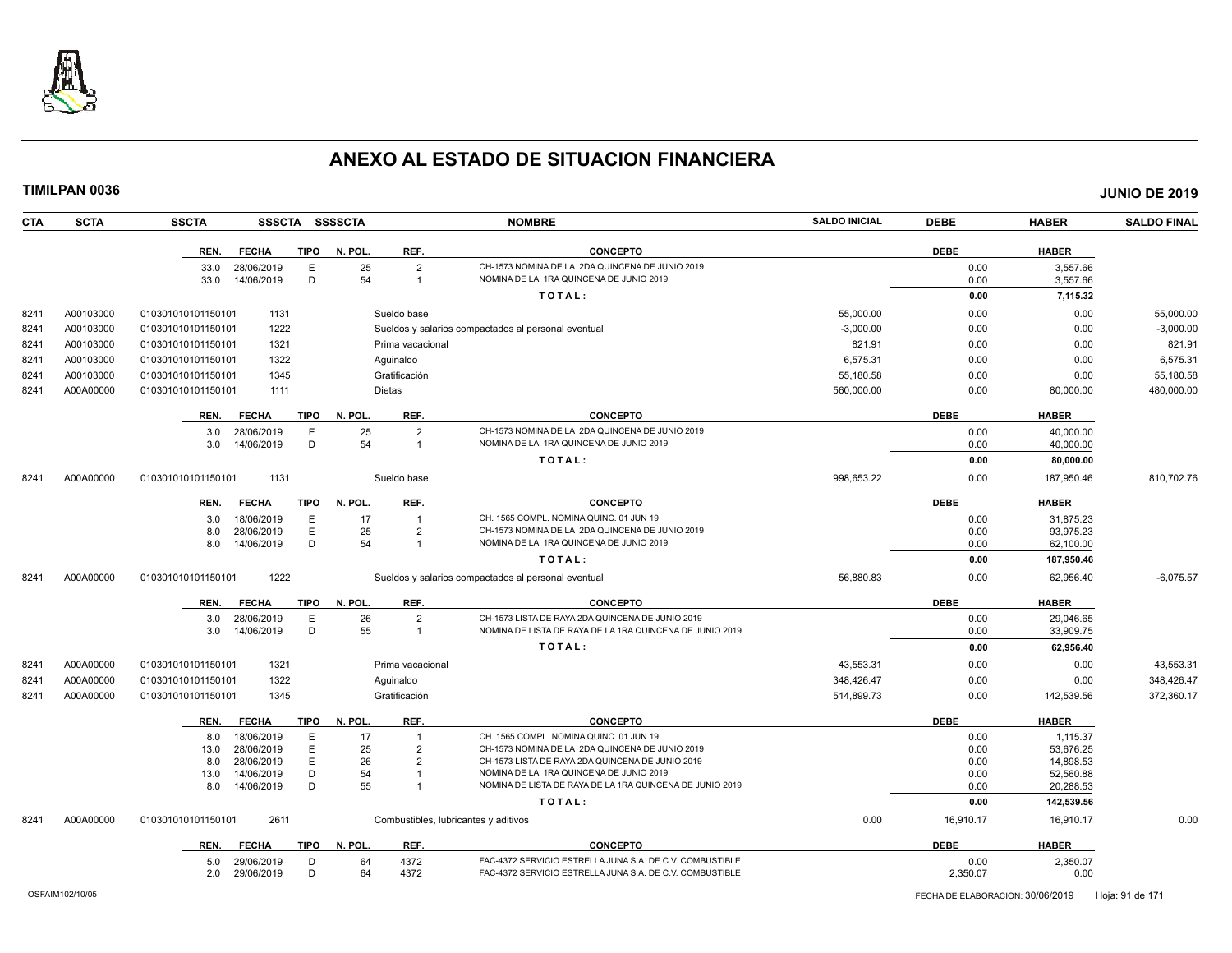

| <b>CTA</b> | <b>SCTA</b> | <b>SSCTA</b>                           | SSSCTA SSSSCTA         |                                              | <b>NOMBRE</b>                                                      | <b>SALDO INICIAL</b> | <b>DEBE</b>  | <b>HABER</b>           | <b>SALDO FINAL</b> |
|------------|-------------|----------------------------------------|------------------------|----------------------------------------------|--------------------------------------------------------------------|----------------------|--------------|------------------------|--------------------|
|            |             | REN.<br><b>FECHA</b>                   | <b>TIPO</b><br>N. POL. | REF.                                         | <b>CONCEPTO</b>                                                    |                      | <b>DEBE</b>  | <b>HABER</b>           |                    |
|            |             | 33.0<br>28/06/2019                     | E                      | 25<br>$\overline{2}$                         | CH-1573 NOMINA DE LA 2DA QUINCENA DE JUNIO 2019                    |                      | 0.00         | 3,557.66               |                    |
|            |             | 14/06/2019<br>33.0                     | D                      | 54<br>$\overline{1}$                         | NOMINA DE LA 1RA QUINCENA DE JUNIO 2019                            |                      | 0.00         | 3,557.66               |                    |
|            |             |                                        |                        |                                              | TOTAL:                                                             |                      | 0.00         | 7,115.32               |                    |
| 8241       | A00103000   | 1131<br>010301010101150101             |                        | Sueldo base                                  |                                                                    | 55,000.00            | 0.00         | 0.00                   | 55,000.00          |
| 8241       | A00103000   | 1222<br>010301010101150101             |                        |                                              | Sueldos y salarios compactados al personal eventual                | $-3,000.00$          | 0.00         | 0.00                   | $-3,000.00$        |
| 8241       | A00103000   | 1321<br>010301010101150101             |                        | Prima vacacional                             |                                                                    | 821.91               | 0.00         | 0.00                   | 821.91             |
| 8241       | A00103000   | 1322<br>010301010101150101             |                        | Aquinaldo                                    |                                                                    | 6.575.31             | 0.00         | 0.00                   | 6.575.31           |
| 8241       | A00103000   | 010301010101150101<br>1345             |                        | Gratificación                                |                                                                    | 55,180.58            | 0.00         | 0.00                   | 55,180.58          |
| 8241       | A00A00000   | 1111<br>010301010101150101             |                        | <b>Dietas</b>                                |                                                                    | 560,000.00           | 0.00         | 80,000.00              | 480,000.00         |
|            |             |                                        |                        |                                              |                                                                    |                      |              |                        |                    |
|            |             | <b>FECHA</b><br>REN.                   | <b>TIPO</b><br>N. POL. | REF.                                         | <b>CONCEPTO</b><br>CH-1573 NOMINA DE LA 2DA QUINCENA DE JUNIO 2019 |                      | <b>DEBE</b>  | <b>HABER</b>           |                    |
|            |             | 28/06/2019<br>3.0<br>3.0<br>14/06/2019 | E<br>D                 | 25<br>$\overline{2}$<br>54<br>$\overline{1}$ | NOMINA DE LA 1RA QUINCENA DE JUNIO 2019                            |                      | 0.00<br>0.00 | 40,000.00<br>40,000.00 |                    |
|            |             |                                        |                        |                                              | TOTAL:                                                             |                      | 0.00         | 80,000.00              |                    |
|            |             |                                        |                        |                                              |                                                                    |                      |              |                        |                    |
| 8241       | A00A00000   | 010301010101150101<br>1131             |                        | Sueldo base                                  |                                                                    | 998,653.22           | 0.00         | 187,950.46             | 810,702.76         |
|            |             | REN.<br><b>FECHA</b>                   | <b>TIPO</b><br>N. POL. | REF.                                         | <b>CONCEPTO</b>                                                    |                      | <b>DEBE</b>  | <b>HABER</b>           |                    |
|            |             | 18/06/2019<br>3.0                      | E                      | 17                                           | CH. 1565 COMPL. NOMINA QUINC. 01 JUN 19                            |                      | 0.00         | 31.875.23              |                    |
|            |             | 28/06/2019<br>8.0                      | $\mathsf E$            | 25<br>$\overline{2}$                         | CH-1573 NOMINA DE LA 2DA QUINCENA DE JUNIO 2019                    |                      | 0.00         | 93,975.23              |                    |
|            |             | 14/06/2019<br>8.0                      | D                      | 54<br>$\overline{1}$                         | NOMINA DE LA 1RA QUINCENA DE JUNIO 2019                            |                      | 0.00         | 62,100.00              |                    |
|            |             |                                        |                        |                                              | TOTAL:                                                             |                      | 0.00         | 187,950.46             |                    |
| 8241       | A00A00000   | 1222<br>010301010101150101             |                        |                                              | Sueldos y salarios compactados al personal eventual                | 56,880.83            | 0.00         | 62.956.40              | $-6,075.57$        |
|            |             | REN.<br><b>FECHA</b>                   | N. POL.<br>TIPO        | REF.                                         | <b>CONCEPTO</b>                                                    |                      | <b>DEBE</b>  | <b>HABER</b>           |                    |
|            |             | 28/06/2019<br>3.0                      | E                      | 26<br>$\overline{2}$                         | CH-1573 LISTA DE RAYA 2DA QUINCENA DE JUNIO 2019                   |                      | 0.00         | 29.046.65              |                    |
|            |             | 14/06/2019<br>3.0                      | D                      | 55<br>$\overline{1}$                         | NOMINA DE LISTA DE RAYA DE LA 1RA QUINCENA DE JUNIO 2019           |                      | 0.00         | 33,909.75              |                    |
|            |             |                                        |                        |                                              | TOTAL:                                                             |                      | 0.00         | 62,956.40              |                    |
| 8241       | A00A00000   | 1321<br>010301010101150101             |                        | Prima vacacional                             |                                                                    | 43,553.31            | 0.00         | 0.00                   | 43,553.31          |
| 8241       | A00A00000   | 1322<br>010301010101150101             |                        | Aguinaldo                                    |                                                                    | 348,426.47           | 0.00         | 0.00                   | 348,426.47         |
| 8241       | A00A00000   | 1345<br>010301010101150101             |                        | Gratificación                                |                                                                    | 514,899.73           | 0.00         | 142,539.56             | 372,360.17         |
|            |             | <b>FECHA</b><br>REN.                   | N. POL.<br>TIPO        | REF.                                         | <b>CONCEPTO</b>                                                    |                      | <b>DEBE</b>  | <b>HABER</b>           |                    |
|            |             | 18/06/2019<br>8.0                      | E                      | 17                                           | CH. 1565 COMPL. NOMINA QUINC. 01 JUN 19                            |                      | 0.00         | 1,115.37               |                    |
|            |             | 28/06/2019<br>13.0                     | E                      | 25<br>$\overline{2}$                         | CH-1573 NOMINA DE LA 2DA QUINCENA DE JUNIO 2019                    |                      | 0.00         | 53.676.25              |                    |
|            |             | 8.0<br>28/06/2019                      | E                      | 26<br>$\overline{2}$                         | CH-1573 LISTA DE RAYA 2DA QUINCENA DE JUNIO 2019                   |                      | 0.00         | 14,898.53              |                    |
|            |             | 14/06/2019<br>13.0                     | D                      | 54                                           | NOMINA DE LA 1RA QUINCENA DE JUNIO 2019                            |                      | 0.00         | 52,560.88              |                    |
|            |             | 14/06/2019<br>8.0                      | D                      | 55                                           | NOMINA DE LISTA DE RAYA DE LA 1RA QUINCENA DE JUNIO 2019           |                      | 0.00         | 20,288.53              |                    |
|            |             |                                        |                        |                                              | TOTAL:                                                             |                      | 0.00         | 142,539.56             |                    |
| 8241       | A00A00000   | 2611<br>010301010101150101             |                        |                                              | Combustibles, lubricantes y aditivos                               | 0.00                 | 16,910.17    | 16,910.17              | 0.00               |
|            |             | <b>FECHA</b><br>REN.                   | <b>TIPO</b><br>N. POL. | REF.                                         | <b>CONCEPTO</b>                                                    |                      | <b>DEBE</b>  | <b>HABER</b>           |                    |
|            |             | 29/06/2019<br>5.0                      | D                      | 4372<br>64                                   | FAC-4372 SERVICIO ESTRELLA JUNA S.A. DE C.V. COMBUSTIBLE           |                      | 0.00         | 2,350.07               |                    |
|            |             | 29/06/2019<br>2.0                      | D                      | 64<br>4372                                   | FAC-4372 SERVICIO ESTRELLA JUNA S.A. DE C.V. COMBUSTIBLE           |                      | 2,350.07     | 0.00                   |                    |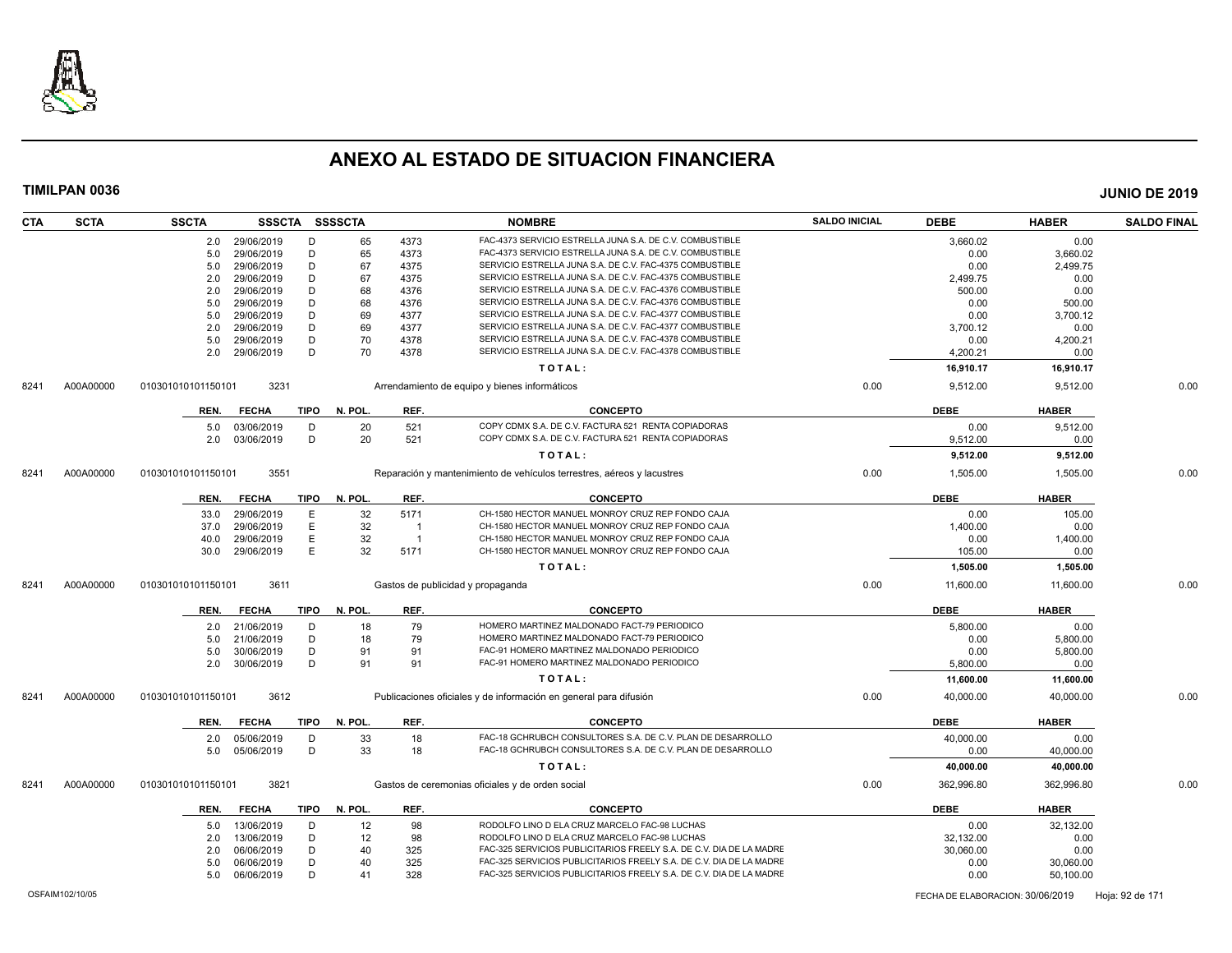

| <b>CTA</b> | <b>SCTA</b> | <b>SSCTA</b>       |                          |             | SSSCTA SSSSCTA |                | <b>NOMBRE</b>                                                          | <b>SALDO INICIAL</b> | <b>DEBE</b>       | <b>HABER</b> | <b>SALDO FINAL</b> |
|------------|-------------|--------------------|--------------------------|-------------|----------------|----------------|------------------------------------------------------------------------|----------------------|-------------------|--------------|--------------------|
|            |             | 2.0                | 29/06/2019               | Ð           | 65             | 4373           | FAC-4373 SERVICIO ESTRELLA JUNA S.A. DE C.V. COMBUSTIBLE               |                      | 3,660.02          | 0.00         |                    |
|            |             | 5.0                | 29/06/2019               | D           | 65             | 4373           | FAC-4373 SERVICIO ESTRELLA JUNA S.A. DE C.V. COMBUSTIBLE               |                      | 0.00              | 3.660.02     |                    |
|            |             | 5.0                | 29/06/2019               | D           | 67             | 4375           | SERVICIO ESTRELLA JUNA S.A. DE C.V. FAC-4375 COMBUSTIBLE               |                      | 0.00              | 2,499.75     |                    |
|            |             | 2.0                | 29/06/2019               | D           | 67             | 4375           | SERVICIO ESTRELLA JUNA S.A. DE C.V. FAC-4375 COMBUSTIBLE               |                      | 2,499.75          | 0.00         |                    |
|            |             | 2.0                | 29/06/2019               | D           | 68             | 4376           | SERVICIO ESTRELLA JUNA S.A. DE C.V. FAC-4376 COMBUSTIBLE               |                      | 500.00            | 0.00         |                    |
|            |             | 5.0                | 29/06/2019               | D           | 68             | 4376           | SERVICIO ESTRELLA JUNA S.A. DE C.V. FAC-4376 COMBUSTIBLE               |                      | 0.00              | 500.00       |                    |
|            |             | 5.0                | 29/06/2019               | D           | 69             | 4377           | SERVICIO ESTRELLA JUNA S.A. DE C.V. FAC-4377 COMBUSTIBLE               |                      | 0.00              | 3,700.12     |                    |
|            |             | 2.0                | 29/06/2019               | D           | 69             | 4377           | SERVICIO ESTRELLA JUNA S.A. DE C.V. FAC-4377 COMBUSTIBLE               |                      | 3,700.12          | 0.00         |                    |
|            |             | 5.0                | 29/06/2019               | D           | 70             | 4378           | SERVICIO ESTRELLA JUNA S.A. DE C.V. FAC-4378 COMBUSTIBLE               |                      | 0.00              | 4,200.21     |                    |
|            |             | 2.0                | 29/06/2019               | D           | 70             | 4378           | SERVICIO ESTRELLA JUNA S.A. DE C.V. FAC-4378 COMBUSTIBLE               |                      | 4,200.21          | 0.00         |                    |
|            |             |                    |                          |             |                |                | TOTAL:                                                                 |                      | 16,910.17         | 16,910.17    |                    |
| 8241       | A00A00000   | 010301010101150101 | 3231                     |             |                |                | Arrendamiento de equipo y bienes informáticos                          | 0.00                 | 9,512.00          | 9,512.00     | 0.00               |
|            |             |                    |                          |             |                |                |                                                                        |                      |                   |              |                    |
|            |             | REN.               | <b>FECHA</b>             | TIPO        | N. POL         | REF.           | <b>CONCEPTO</b>                                                        |                      | <b>DEBE</b>       | <b>HABER</b> |                    |
|            |             | 5.0                | 03/06/2019               | D           | 20             | 521            | COPY CDMX S.A. DE C.V. FACTURA 521 RENTA COPIADORAS                    |                      | 0.00              | 9,512.00     |                    |
|            |             | 2.0                | 03/06/2019               | D           | 20             | 521            | COPY CDMX S.A. DE C.V. FACTURA 521 RENTA COPIADORAS                    |                      | 9,512.00          | 0.00         |                    |
|            |             |                    |                          |             |                |                | TOTAL:                                                                 |                      | 9,512.00          | 9,512.00     |                    |
| 8241       | A00A00000   | 010301010101150101 | 3551                     |             |                |                | Reparación y mantenimiento de vehículos terrestres, aéreos y lacustres | 0.00                 | 1,505.00          | 1,505.00     | 0.00               |
|            |             | REN.               | <b>FECHA</b>             | <b>TIPO</b> | N. POL.        | REF.           | <b>CONCEPTO</b>                                                        |                      | <b>DEBE</b>       | <b>HABER</b> |                    |
|            |             | 33.0               | 29/06/2019               | Ε           | 32             | 5171           | CH-1580 HECTOR MANUEL MONROY CRUZ REP FONDO CAJA                       |                      | 0.00              | 105.00       |                    |
|            |             | 37.0               | 29/06/2019               | Ε           | 32             | $\overline{1}$ | CH-1580 HECTOR MANUEL MONROY CRUZ REP FONDO CAJA                       |                      | 1,400.00          | 0.00         |                    |
|            |             | 40.0               | 29/06/2019               | E           | 32             | $\overline{1}$ | CH-1580 HECTOR MANUEL MONROY CRUZ REP FONDO CAJA                       |                      | 0.00              | 1,400.00     |                    |
|            |             | 30.0               | 29/06/2019               | E           | 32             | 5171           | CH-1580 HECTOR MANUEL MONROY CRUZ REP FONDO CAJA                       |                      | 105.00            | 0.00         |                    |
|            |             |                    |                          |             |                |                | TOTAL:                                                                 |                      | 1,505.00          | 1,505.00     |                    |
|            |             |                    |                          |             |                |                |                                                                        |                      |                   |              | 0.00               |
| 8241       | A00A00000   | 010301010101150101 | 3611                     |             |                |                | Gastos de publicidad y propaganda                                      | 0.00                 | 11,600.00         | 11,600.00    |                    |
|            |             | REN.               | <b>FECHA</b>             | <b>TIPO</b> | N. POL.        | REF.           | <b>CONCEPTO</b>                                                        |                      | <b>DEBE</b>       | <b>HABER</b> |                    |
|            |             | 2.0                | 21/06/2019               | D           | 18             | 79             | HOMERO MARTINEZ MALDONADO FACT-79 PERIODICO                            |                      | 5,800.00          | 0.00         |                    |
|            |             | 5.0                | 21/06/2019               | D           | 18             | 79             | HOMERO MARTINEZ MALDONADO FACT-79 PERIODICO                            |                      | 0.00              | 5,800.00     |                    |
|            |             | 5.0                | 30/06/2019               | D           | 91             | 91             | FAC-91 HOMERO MARTINEZ MALDONADO PERIODICO                             |                      | 0.00              | 5,800.00     |                    |
|            |             | 2.0                | 30/06/2019               | D           | 91             | 91             | FAC-91 HOMERO MARTINEZ MALDONADO PERIODICO                             |                      | 5,800.00          | 0.00         |                    |
|            |             |                    |                          |             |                |                | TOTAL:                                                                 |                      | 11,600.00         | 11,600.00    |                    |
| 8241       | A00A00000   | 010301010101150101 | 3612                     |             |                |                | Publicaciones oficiales y de información en general para difusión      | 0.00                 | 40,000.00         | 40,000.00    | 0.00               |
|            |             | REN.               | <b>FECHA</b>             | <b>TIPO</b> | N. POL.        | REF.           | <b>CONCEPTO</b>                                                        |                      | <b>DEBE</b>       | <b>HABER</b> |                    |
|            |             |                    |                          | D           |                | 18             | FAC-18 GCHRUBCH CONSULTORES S.A. DE C.V. PLAN DE DESARROLLO            |                      |                   | 0.00         |                    |
|            |             | 2.0<br>5.0         | 05/06/2019<br>05/06/2019 | D           | 33<br>33       | 18             | FAC-18 GCHRUBCH CONSULTORES S.A. DE C.V. PLAN DE DESARROLLO            |                      | 40,000.00<br>0.00 | 40,000.00    |                    |
|            |             |                    |                          |             |                |                | TOTAL:                                                                 |                      | 40,000.00         | 40,000.00    |                    |
| 8241       | A00A00000   | 010301010101150101 | 3821                     |             |                |                | Gastos de ceremonias oficiales y de orden social                       | 0.00                 | 362,996.80        | 362,996.80   | 0.00               |
|            |             | REN.               | <b>FECHA</b>             | <b>TIPO</b> | N. POL.        | REF.           | <b>CONCEPTO</b>                                                        |                      | <b>DEBE</b>       | <b>HABER</b> |                    |
|            |             |                    | 13/06/2019               | D           | 12             | 98             | RODOLFO LINO D ELA CRUZ MARCELO FAC-98 LUCHAS                          |                      | 0.00              | 32,132.00    |                    |
|            |             | 5.0                |                          | D           |                |                | RODOLFO LINO D ELA CRUZ MARCELO FAC-98 LUCHAS                          |                      |                   |              |                    |
|            |             | 2.0                | 13/06/2019               |             | 12             | 98             |                                                                        |                      | 32,132.00         | 0.00         |                    |
|            |             | 2.0                | 06/06/2019               | D           | 40             | 325            | FAC-325 SERVICIOS PUBLICITARIOS FREELY S.A. DE C.V. DIA DE LA MADRE    |                      | 30,060.00         | 0.00         |                    |
|            |             | 5.0                | 06/06/2019               | D           | 40             | 325            | FAC-325 SERVICIOS PUBLICITARIOS FREELY S.A. DE C.V. DIA DE LA MADRE    |                      | 0.00              | 30,060.00    |                    |
|            |             | 5.0                | 06/06/2019               | D           | 41             | 328            | FAC-325 SERVICIOS PUBLICITARIOS FREELY S.A. DE C.V. DIA DE LA MADRE    |                      | 0.00              | 50,100.00    |                    |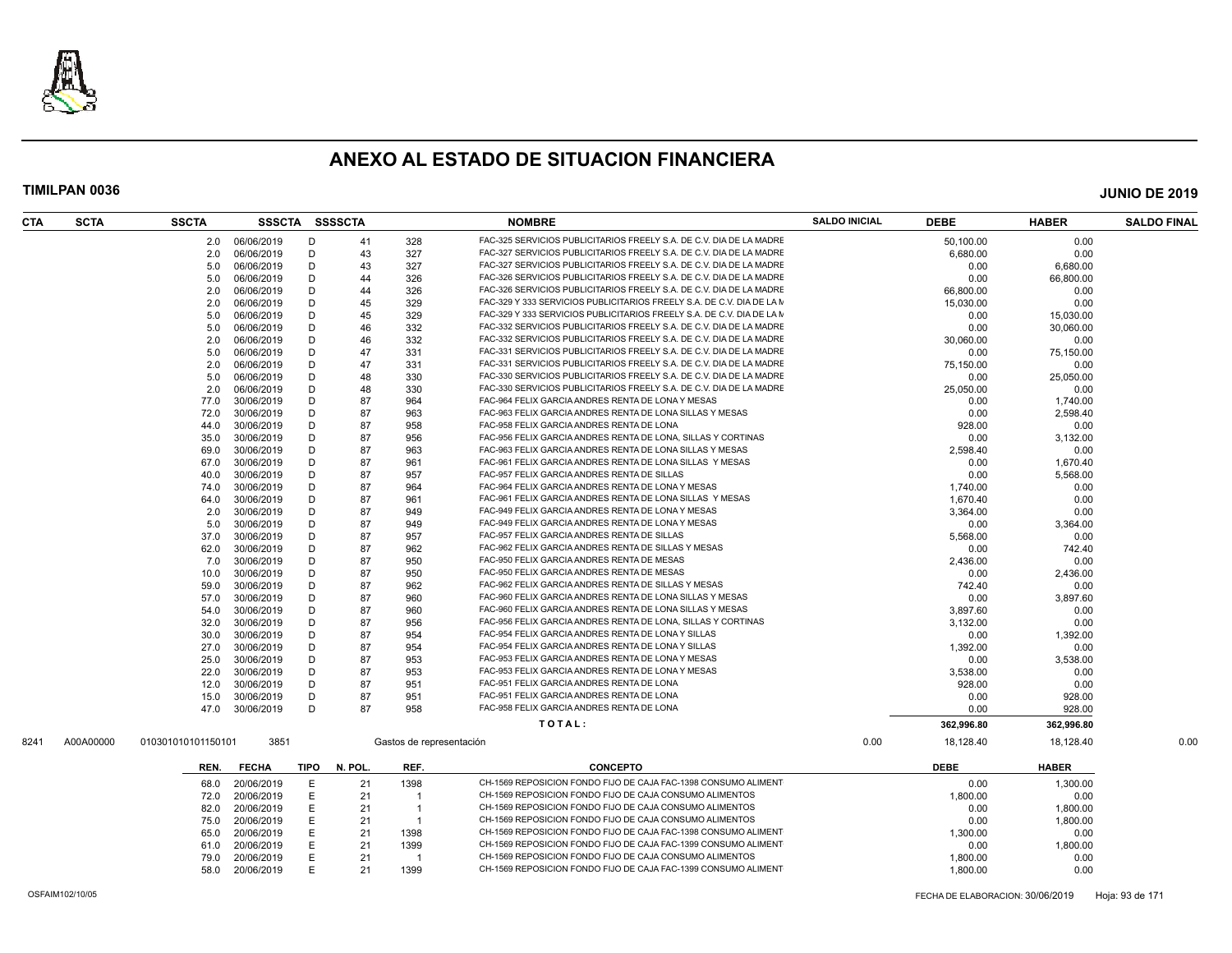

| <b>CTA</b>        | <b>SCTA</b> | <b>SSCTA</b>       | SSSCTA       |      | <b>SSSSCTA</b> |                          | <b>NOMBRE</b>                                                         | <b>SALDO INICIAL</b> | <b>DEBE</b>                      | <b>HABER</b> | <b>SALDO FINAL</b> |
|-------------------|-------------|--------------------|--------------|------|----------------|--------------------------|-----------------------------------------------------------------------|----------------------|----------------------------------|--------------|--------------------|
|                   |             | 2.0                | 06/06/2019   | D    | 41             | 328                      | FAC-325 SERVICIOS PUBLICITARIOS FREELY S.A. DE C.V. DIA DE LA MADRE   |                      | 50.100.00                        | 0.00         |                    |
|                   |             | 2.0                | 06/06/2019   | D    | 43             | 327                      | FAC-327 SERVICIOS PUBLICITARIOS FREELY S.A. DE C.V. DIA DE LA MADRE   |                      | 6,680.00                         | 0.00         |                    |
|                   |             | 5.0                | 06/06/2019   | D    | 43             | 327                      | FAC-327 SERVICIOS PUBLICITARIOS FREELY S.A. DE C.V. DIA DE LA MADRE   |                      | 0.00                             | 6,680.00     |                    |
|                   |             | 5.0                | 06/06/2019   | D    | 44             | 326                      | FAC-326 SERVICIOS PUBLICITARIOS FREELY S.A. DE C.V. DIA DE LA MADRE   |                      | 0.00                             | 66,800.00    |                    |
|                   |             | 2.0                | 06/06/2019   | D    | 44             | 326                      | FAC-326 SERVICIOS PUBLICITARIOS FREELY S.A. DE C.V. DIA DE LA MADRE   |                      | 66,800.00                        | 0.00         |                    |
|                   |             | 2.0                | 06/06/2019   | D    | 45             | 329                      | FAC-329 Y 333 SERVICIOS PUBLICITARIOS FREELY S.A. DE C.V. DIA DE LA M |                      | 15,030.00                        | 0.00         |                    |
|                   |             | 5.0                | 06/06/2019   | D    | 45             | 329                      | FAC-329 Y 333 SERVICIOS PUBLICITARIOS FREELY S.A. DE C.V. DIA DE LA M |                      | 0.00                             | 15,030.00    |                    |
|                   |             | 5.0                | 06/06/2019   | D    | 46             | 332                      | FAC-332 SERVICIOS PUBLICITARIOS FREELY S.A. DE C.V. DIA DE LA MADRE   |                      | 0.00                             | 30.060.00    |                    |
|                   |             | 2.0                | 06/06/2019   | D    | 46             | 332                      | FAC-332 SERVICIOS PUBLICITARIOS FREELY S.A. DE C.V. DIA DE LA MADRE   |                      | 30,060.00                        | 0.00         |                    |
|                   |             | 5.0                | 06/06/2019   | D    | 47             | 331                      | FAC-331 SERVICIOS PUBLICITARIOS FREELY S.A. DE C.V. DIA DE LA MADRE   |                      | 0.00                             | 75,150.00    |                    |
|                   |             | 2.0                | 06/06/2019   | D    | 47             | 331                      | FAC-331 SERVICIOS PUBLICITARIOS FREELY S.A. DE C.V. DIA DE LA MADRE   |                      | 75.150.00                        | 0.00         |                    |
|                   |             | 5.0                | 06/06/2019   | D    | 48             | 330                      | FAC-330 SERVICIOS PUBLICITARIOS FREELY S.A. DE C.V. DIA DE LA MADRE   |                      | 0.00                             | 25,050.00    |                    |
|                   |             | 2.0                | 06/06/2019   | D    | 48             | 330                      | FAC-330 SERVICIOS PUBLICITARIOS FREELY S.A. DE C.V. DIA DE LA MADRE   |                      | 25.050.00                        | 0.00         |                    |
|                   |             | 77.0               | 30/06/2019   | D    | 87             | 964                      | FAC-964 FELIX GARCIA ANDRES RENTA DE LONA Y MESAS                     |                      | 0.00                             | 1,740.00     |                    |
|                   |             | 72.0               | 30/06/2019   | D    | 87             | 963                      | FAC-963 FELIX GARCIA ANDRES RENTA DE LONA SILLAS Y MESAS              |                      | 0.00                             | 2,598.40     |                    |
|                   |             | 44.0               | 30/06/2019   | D    | 87             | 958                      | FAC-958 FELIX GARCIA ANDRES RENTA DE LONA                             |                      | 928.00                           | 0.00         |                    |
|                   |             | 35.0               | 30/06/2019   | Ð    | 87             | 956                      | FAC-956 FELIX GARCIA ANDRES RENTA DE LONA, SILLAS Y CORTINAS          |                      | 0.00                             | 3,132.00     |                    |
|                   |             | 69.0               | 30/06/2019   | D    | 87             | 963                      | FAC-963 FELIX GARCIA ANDRES RENTA DE LONA SILLAS Y MESAS              |                      | 2,598.40                         | 0.00         |                    |
|                   |             | 67.0               | 30/06/2019   | D    | 87             | 961                      | FAC-961 FELIX GARCIA ANDRES RENTA DE LONA SILLAS Y MESAS              |                      | 0.00                             | 1,670.40     |                    |
|                   |             | 40.0               | 30/06/2019   | D    | 87             | 957                      | FAC-957 FELIX GARCIA ANDRES RENTA DE SILLAS                           |                      | 0.00                             | 5,568.00     |                    |
|                   |             | 74.0               | 30/06/2019   | D    | 87             | 964                      | FAC-964 FELIX GARCIA ANDRES RENTA DE LONA Y MESAS                     |                      |                                  | 0.00         |                    |
|                   |             |                    | 30/06/2019   | D    | 87             | 961                      | FAC-961 FELIX GARCIA ANDRES RENTA DE LONA SILLAS Y MESAS              |                      | 1,740.00                         | 0.00         |                    |
|                   |             | 64.0<br>2.0        | 30/06/2019   | D    | 87             | 949                      | FAC-949 FELIX GARCIA ANDRES RENTA DE LONA Y MESAS                     |                      | 1,670.40                         | 0.00         |                    |
|                   |             |                    |              | D    |                |                          | FAC-949 FELIX GARCIA ANDRES RENTA DE LONA Y MESAS                     |                      | 3,364.00                         |              |                    |
|                   |             | 5.0                | 30/06/2019   | D    | 87<br>87       | 949<br>957               | FAC-957 FELIX GARCIA ANDRES RENTA DE SILLAS                           |                      | 0.00                             | 3,364.00     |                    |
|                   |             | 37.0               | 30/06/2019   |      |                |                          | FAC-962 FELIX GARCIA ANDRES RENTA DE SILLAS Y MESAS                   |                      | 5,568.00                         | 0.00         |                    |
|                   |             | 62.0               | 30/06/2019   | D    | 87             | 962                      |                                                                       |                      | 0.00                             | 742.40       |                    |
|                   |             | 7.0                | 30/06/2019   | D    | 87             | 950                      | FAC-950 FELIX GARCIA ANDRES RENTA DE MESAS                            |                      | 2,436.00                         | 0.00         |                    |
|                   |             | 10.0               | 30/06/2019   | D    | 87             | 950                      | FAC-950 FELIX GARCIA ANDRES RENTA DE MESAS                            |                      | 0.00                             | 2,436.00     |                    |
|                   |             | 59.0               | 30/06/2019   | D    | 87             | 962                      | FAC-962 FELIX GARCIA ANDRES RENTA DE SILLAS Y MESAS                   |                      | 742.40                           | 0.00         |                    |
|                   |             | 57.0               | 30/06/2019   | D    | 87             | 960                      | FAC-960 FELIX GARCIA ANDRES RENTA DE LONA SILLAS Y MESAS              |                      | 0.00                             | 3,897.60     |                    |
|                   |             | 54.0               | 30/06/2019   | D    | 87             | 960                      | FAC-960 FELIX GARCIA ANDRES RENTA DE LONA SILLAS Y MESAS              |                      | 3,897.60                         | 0.00         |                    |
|                   |             | 32.0               | 30/06/2019   | D    | 87             | 956                      | FAC-956 FELIX GARCIA ANDRES RENTA DE LONA, SILLAS Y CORTINAS          |                      | 3,132.00                         | 0.00         |                    |
|                   |             | 30.0               | 30/06/2019   | D    | 87             | 954                      | FAC-954 FELIX GARCIA ANDRES RENTA DE LONA Y SILLAS                    |                      | 0.00                             | 1,392.00     |                    |
|                   |             | 27.0               | 30/06/2019   | D    | 87             | 954                      | FAC-954 FELIX GARCIA ANDRES RENTA DE LONA Y SILLAS                    |                      | 1,392.00                         | 0.00         |                    |
|                   |             | 25.0               | 30/06/2019   | D    | 87             | 953                      | FAC-953 FELIX GARCIA ANDRES RENTA DE LONA Y MESAS                     |                      | 0.00                             | 3,538.00     |                    |
|                   |             | 22.0               | 30/06/2019   | D    | 87             | 953                      | FAC-953 FELIX GARCIA ANDRES RENTA DE LONA Y MESAS                     |                      | 3,538.00                         | 0.00         |                    |
|                   |             | 12.0               | 30/06/2019   | D    | 87             | 951                      | FAC-951 FELIX GARCIA ANDRES RENTA DE LONA                             |                      | 928.00                           | 0.00         |                    |
|                   |             | 15.0               | 30/06/2019   | D    | 87             | 951                      | FAC-951 FELIX GARCIA ANDRES RENTA DE LONA                             |                      | 0.00                             | 928.00       |                    |
|                   |             | 47.0               | 30/06/2019   | D    | 87             | 958                      | FAC-958 FELIX GARCIA ANDRES RENTA DE LONA                             |                      | 0.00                             | 928.00       |                    |
|                   |             |                    |              |      |                |                          | TOTAL:                                                                |                      | 362,996.80                       | 362,996.80   |                    |
| A00A00000<br>8241 |             | 010301010101150101 | 3851         |      |                | Gastos de representación |                                                                       | 0.00                 | 18,128.40                        | 18,128.40    | 0.00               |
|                   |             | REN.               | <b>FECHA</b> | TIPO | N. POL         | REF.                     | <b>CONCEPTO</b>                                                       |                      | <b>DEBE</b>                      | <b>HABER</b> |                    |
|                   |             | 68.0               | 20/06/2019   | Е    | 21             | 1398                     | CH-1569 REPOSICION FONDO FIJO DE CAJA FAC-1398 CONSUMO ALIMENT        |                      | 0.00                             | 1,300.00     |                    |
|                   |             | 72.0               | 20/06/2019   | E    | 21             | -1                       | CH-1569 REPOSICION FONDO FIJO DE CAJA CONSUMO ALIMENTOS               |                      | 1,800.00                         | 0.00         |                    |
|                   |             | 82.0               | 20/06/2019   | Ε    | 21             | -1                       | CH-1569 REPOSICION FONDO FIJO DE CAJA CONSUMO ALIMENTOS               |                      | 0.00                             | 1,800.00     |                    |
|                   |             | 75.0               | 20/06/2019   | Е    | 21             | $\overline{1}$           | CH-1569 REPOSICION FONDO FIJO DE CAJA CONSUMO ALIMENTOS               |                      | 0.00                             | 1,800.00     |                    |
|                   |             | 65.0               | 20/06/2019   | Е    | 21             | 1398                     | CH-1569 REPOSICION FONDO FIJO DE CAJA FAC-1398 CONSUMO ALIMENT        |                      | 1,300.00                         | 0.00         |                    |
|                   |             | 61.0               | 20/06/2019   | Е    | 21             | 1399                     | CH-1569 REPOSICION FONDO FIJO DE CAJA FAC-1399 CONSUMO ALIMENT        |                      | 0.00                             | 1,800.00     |                    |
|                   |             | 79.0               | 20/06/2019   | Е    | 21             | -1                       | CH-1569 REPOSICION FONDO FIJO DE CAJA CONSUMO ALIMENTOS               |                      | 1,800.00                         | 0.00         |                    |
|                   |             | 58.0               | 20/06/2019   | Е    | 21             | 1399                     | CH-1569 REPOSICION FONDO FIJO DE CAJA FAC-1399 CONSUMO ALIMENT        |                      | 1.800.00                         | 0.00         |                    |
|                   |             |                    |              |      |                |                          |                                                                       |                      |                                  |              |                    |
| OSFAIM102/10/05   |             |                    |              |      |                |                          |                                                                       |                      | FECHA DE ELABORACION: 30/06/2019 |              | Hoja: 93 de 171    |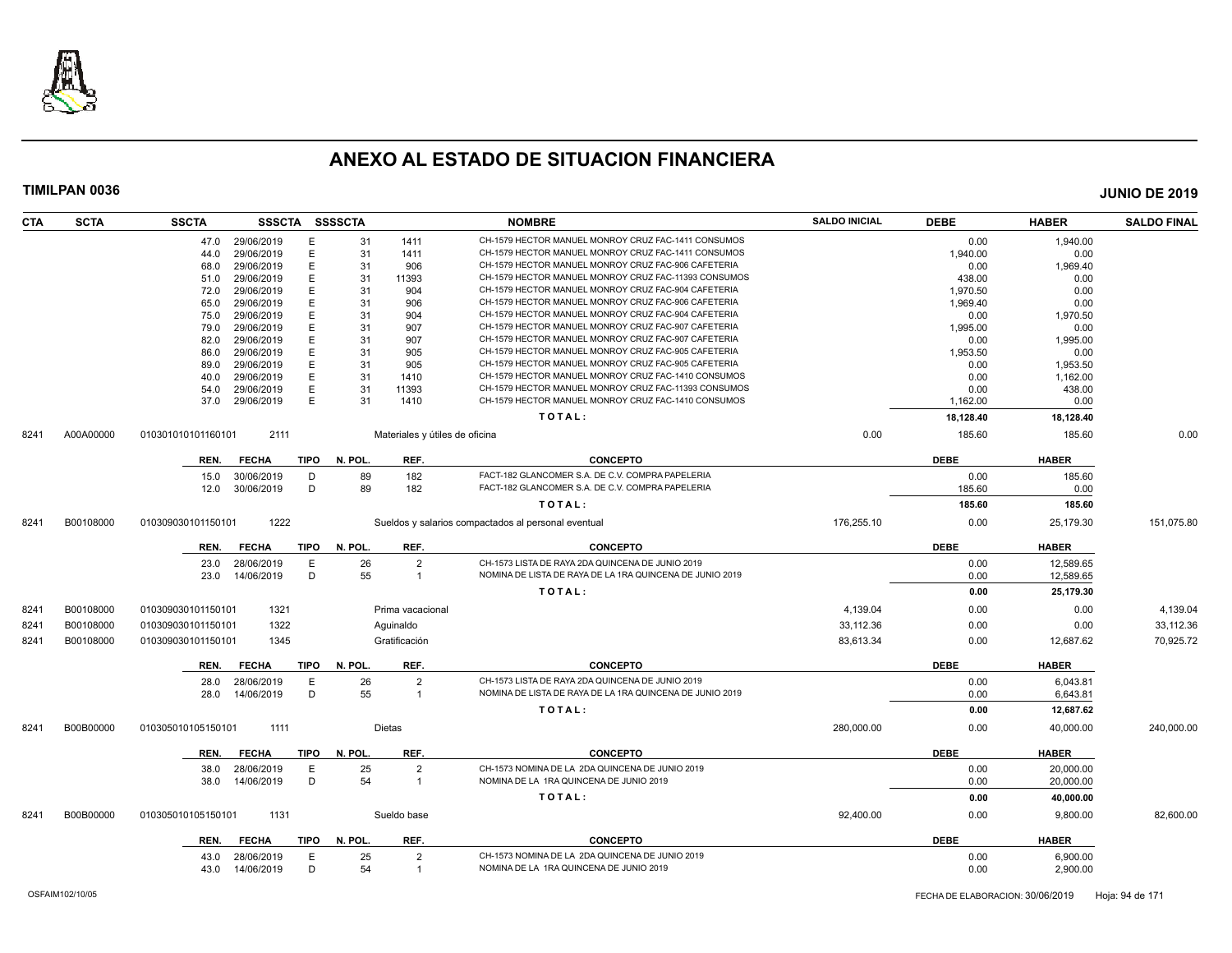

| CTA  | <b>SCTA</b> | <b>SSCTA</b>       | <b>SSSCTA</b>   |             | <b>SSSSCTA</b> |                                | <b>NOMBRE</b>                                            | <b>SALDO INICIAL</b> | <b>DEBE</b> | <b>HABER</b> | <b>SALDO FINAL</b> |
|------|-------------|--------------------|-----------------|-------------|----------------|--------------------------------|----------------------------------------------------------|----------------------|-------------|--------------|--------------------|
|      |             |                    | 47.0 29/06/2019 | E           | 31             | 1411                           | CH-1579 HECTOR MANUEL MONROY CRUZ FAC-1411 CONSUMOS      |                      | 0.00        | 1,940.00     |                    |
|      |             | 44.0               | 29/06/2019      | E           | 31             | 1411                           | CH-1579 HECTOR MANUEL MONROY CRUZ FAC-1411 CONSUMOS      |                      | 1,940.00    | 0.00         |                    |
|      |             | 68.0               | 29/06/2019      | E           | 31             | 906                            | CH-1579 HECTOR MANUEL MONROY CRUZ FAC-906 CAFETERIA      |                      | 0.00        | 1,969.40     |                    |
|      |             | 51.0               | 29/06/2019      | E           | 31             | 11393                          | CH-1579 HECTOR MANUEL MONROY CRUZ FAC-11393 CONSUMOS     |                      | 438.00      | 0.00         |                    |
|      |             | 72.0               | 29/06/2019      | E           | 31             | 904                            | CH-1579 HECTOR MANUEL MONROY CRUZ FAC-904 CAFETERIA      |                      | 1.970.50    | 0.00         |                    |
|      |             | 65.0               | 29/06/2019      | E           | 31             | 906                            | CH-1579 HECTOR MANUEL MONROY CRUZ FAC-906 CAFETERIA      |                      | 1,969.40    | 0.00         |                    |
|      |             | 75.0               | 29/06/2019      | E           | 31             | 904                            | CH-1579 HECTOR MANUEL MONROY CRUZ FAC-904 CAFETERIA      |                      | 0.00        | 1,970.50     |                    |
|      |             | 79.0               | 29/06/2019      | E           | 31             | 907                            | CH-1579 HECTOR MANUEL MONROY CRUZ FAC-907 CAFETERIA      |                      | 1.995.00    | 0.00         |                    |
|      |             | 82.0               | 29/06/2019      | E           | 31             | 907                            | CH-1579 HECTOR MANUEL MONROY CRUZ FAC-907 CAFETERIA      |                      | 0.00        | 1,995.00     |                    |
|      |             | 86.0               | 29/06/2019      | E           | 31             | 905                            | CH-1579 HECTOR MANUEL MONROY CRUZ FAC-905 CAFETERIA      |                      | 1,953.50    | 0.00         |                    |
|      |             | 89.0               | 29/06/2019      | E           | 31             | 905                            | CH-1579 HECTOR MANUEL MONROY CRUZ FAC-905 CAFETERIA      |                      | 0.00        | 1,953.50     |                    |
|      |             | 40.0               | 29/06/2019      | E           | 31             | 1410                           | CH-1579 HECTOR MANUEL MONROY CRUZ FAC-1410 CONSUMOS      |                      | 0.00        | 1,162.00     |                    |
|      |             | 54.0               | 29/06/2019      | E           | 31             | 11393                          | CH-1579 HECTOR MANUEL MONROY CRUZ FAC-11393 CONSUMOS     |                      | 0.00        | 438.00       |                    |
|      |             | 37.0               | 29/06/2019      | E           | 31             | 1410                           | CH-1579 HECTOR MANUEL MONROY CRUZ FAC-1410 CONSUMOS      |                      | 1,162.00    | 0.00         |                    |
|      |             |                    |                 |             |                |                                | TOTAL:                                                   |                      | 18,128.40   | 18,128.40    |                    |
| 8241 | A00A00000   | 010301010101160101 | 2111            |             |                | Materiales y útiles de oficina |                                                          | 0.00                 | 185.60      | 185.60       | 0.00               |
|      |             | REN.               | <b>FECHA</b>    | <b>TIPO</b> | N. POL.        | REF.                           | <b>CONCEPTO</b>                                          |                      | <b>DEBE</b> | <b>HABER</b> |                    |
|      |             | 15.0               | 30/06/2019      | D           | 89             | 182                            | FACT-182 GLANCOMER S.A. DE C.V. COMPRA PAPELERIA         |                      | 0.00        | 185.60       |                    |
|      |             | 12.0               | 30/06/2019      | D           | 89             | 182                            | FACT-182 GLANCOMER S.A. DE C.V. COMPRA PAPELERIA         |                      | 185.60      | 0.00         |                    |
|      |             |                    |                 |             |                |                                | TOTAL:                                                   |                      | 185.60      | 185.60       |                    |
| 8241 | B00108000   | 010309030101150101 | 1222            |             |                |                                | Sueldos y salarios compactados al personal eventual      | 176,255.10           | 0.00        | 25,179.30    | 151,075.80         |
|      |             | REN.               | <b>FECHA</b>    | <b>TIPO</b> | N. POL.        | REF.                           | <b>CONCEPTO</b>                                          |                      | <b>DEBE</b> | <b>HABER</b> |                    |
|      |             | 23.0               | 28/06/2019      | E           | 26             | 2                              | CH-1573 LISTA DE RAYA 2DA QUINCENA DE JUNIO 2019         |                      | 0.00        | 12,589.65    |                    |
|      |             | 23.0               | 14/06/2019      | D           | 55             | $\mathbf{1}$                   | NOMINA DE LISTA DE RAYA DE LA 1RA QUINCENA DE JUNIO 2019 |                      | 0.00        | 12,589.65    |                    |
|      |             |                    |                 |             |                |                                | TOTAL:                                                   |                      | 0.00        | 25,179.30    |                    |
| 8241 | B00108000   | 010309030101150101 | 1321            |             |                | Prima vacacional               |                                                          | 4,139.04             | 0.00        | 0.00         | 4,139.04           |
| 8241 | B00108000   | 010309030101150101 | 1322            |             |                | Aguinaldo                      |                                                          | 33,112.36            | 0.00        | 0.00         | 33,112.36          |
| 8241 | B00108000   | 010309030101150101 | 1345            |             |                | Gratificación                  |                                                          | 83,613.34            | 0.00        | 12,687.62    | 70,925.72          |
|      |             | REN.               | <b>FECHA</b>    | <b>TIPO</b> | N. POL.        | REF.                           | <b>CONCEPTO</b>                                          |                      | <b>DEBE</b> | <b>HABER</b> |                    |
|      |             | 28.0               | 28/06/2019      | E           | 26             | $\overline{2}$                 | CH-1573 LISTA DE RAYA 2DA QUINCENA DE JUNIO 2019         |                      | 0.00        | 6,043.81     |                    |
|      |             | 28.0               | 14/06/2019      | D           | 55             | $\mathbf{1}$                   | NOMINA DE LISTA DE RAYA DE LA 1RA QUINCENA DE JUNIO 2019 |                      | 0.00        | 6,643.81     |                    |
|      |             |                    |                 |             |                |                                | TOTAL:                                                   |                      | 0.00        | 12,687.62    |                    |
| 8241 | B00B00000   | 010305010105150101 | 1111            |             |                | Dietas                         |                                                          | 280,000.00           | 0.00        | 40,000.00    | 240,000.00         |
|      |             | REN.               | <b>FECHA</b>    | <b>TIPO</b> | N. POL.        | REF.                           | <b>CONCEPTO</b>                                          |                      | <b>DEBE</b> | <b>HABER</b> |                    |
|      |             | 38.0               | 28/06/2019      | E           | 25             | $\overline{2}$                 | CH-1573 NOMINA DE LA 2DA QUINCENA DE JUNIO 2019          |                      | 0.00        | 20,000.00    |                    |
|      |             | 38.0               | 14/06/2019      | D           | 54             | $\mathbf{1}$                   | NOMINA DE LA 1RA QUINCENA DE JUNIO 2019                  |                      | 0.00        | 20,000.00    |                    |
|      |             |                    |                 |             |                |                                | TOTAL:                                                   |                      | 0.00        | 40,000.00    |                    |
|      |             |                    |                 |             |                |                                |                                                          |                      |             |              |                    |
| 8241 | B00B00000   | 010305010105150101 | 1131            |             |                | Sueldo base                    |                                                          | 92,400.00            | 0.00        | 9,800.00     | 82,600.00          |
|      |             | REN.               | <b>FECHA</b>    | <b>TIPO</b> | N. POL.        | REF.                           | <b>CONCEPTO</b>                                          |                      | <b>DEBE</b> | <b>HABER</b> |                    |
|      |             | 43.0               | 28/06/2019      | E           | 25             | $\overline{2}$                 | CH-1573 NOMINA DE LA 2DA QUINCENA DE JUNIO 2019          |                      | 0.00        | 6.900.00     |                    |
|      |             | 43.0               | 14/06/2019      | D           | 54             | $\overline{1}$                 | NOMINA DE LA 1RA QUINCENA DE JUNIO 2019                  |                      | 0.00        | 2,900.00     |                    |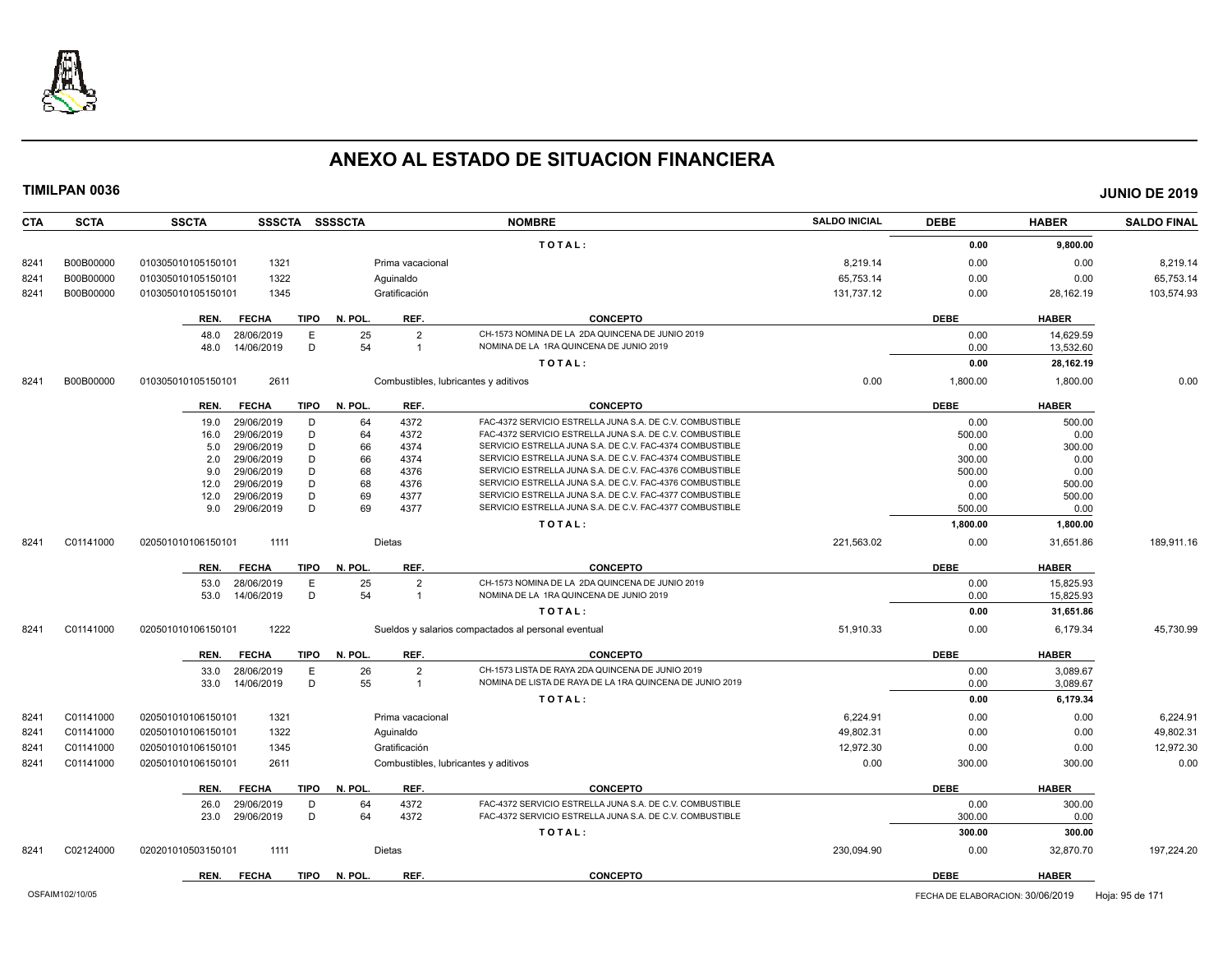

| <b>CTA</b> | <b>SCTA</b> | <b>SSCTA</b>         | <b>SSSCTA</b> | <b>SSSSCTA</b> |                  | <b>NOMBRE</b>                                            | <b>SALDO INICIAL</b> | <b>DEBE</b> | <b>HABER</b> | <b>SALDO FINAL</b> |
|------------|-------------|----------------------|---------------|----------------|------------------|----------------------------------------------------------|----------------------|-------------|--------------|--------------------|
|            |             |                      |               |                |                  | TOTAL:                                                   |                      | 0.00        | 9,800.00     |                    |
| 8241       | B00B00000   | 010305010105150101   | 1321          |                | Prima vacacional |                                                          | 8,219.14             | 0.00        | 0.00         | 8,219.14           |
| 8241       | B00B00000   | 010305010105150101   | 1322          |                | Aquinaldo        |                                                          | 65.753.14            | 0.00        | 0.00         | 65,753.14          |
| 8241       | B00B00000   | 010305010105150101   | 1345          |                | Gratificación    |                                                          | 131,737.12           | 0.00        | 28,162.19    | 103,574.93         |
|            |             | <b>FECHA</b><br>REN. | TIPO          | N. POL.        | REF.             | <b>CONCEPTO</b>                                          |                      | <b>DEBE</b> | <b>HABER</b> |                    |
|            |             | 48.0<br>28/06/2019   | E             | 25             | $\overline{2}$   | CH-1573 NOMINA DE LA 2DA QUINCENA DE JUNIO 2019          |                      | 0.00        | 14,629.59    |                    |
|            |             | 14/06/2019<br>48.0   | D             | 54             | $\overline{1}$   | NOMINA DE LA 1RA QUINCENA DE JUNIO 2019                  |                      | 0.00        | 13,532.60    |                    |
|            |             |                      |               |                |                  | TOTAL:                                                   |                      | 0.00        | 28,162.19    |                    |
| 8241       | B00B00000   | 010305010105150101   | 2611          |                |                  | Combustibles, lubricantes y aditivos                     | 0.00                 | 1,800.00    | 1,800.00     | 0.00               |
|            |             | <b>FECHA</b><br>REN. | <b>TIPO</b>   | N. POL.        | REF.             | <b>CONCEPTO</b>                                          |                      | <b>DEBE</b> | <b>HABER</b> |                    |
|            |             | 29/06/2019<br>19.0   | D             | 64             | 4372             | FAC-4372 SERVICIO ESTRELLA JUNA S.A. DE C.V. COMBUSTIBLE |                      | 0.00        | 500.00       |                    |
|            |             | 29/06/2019<br>16.0   | D             | 64             | 4372             | FAC-4372 SERVICIO ESTRELLA JUNA S.A. DE C.V. COMBUSTIBLE |                      | 500.00      | 0.00         |                    |
|            |             | 29/06/2019<br>5.0    | D             | 66             | 4374             | SERVICIO ESTRELLA JUNA S.A. DE C.V. FAC-4374 COMBUSTIBLE |                      | 0.00        | 300.00       |                    |
|            |             | 29/06/2019<br>2.0    | D             | 66             | 4374             | SERVICIO ESTRELLA JUNA S.A. DE C.V. FAC-4374 COMBUSTIBLE |                      | 300.00      | 0.00         |                    |
|            |             | 29/06/2019<br>9.0    | D             | 68             | 4376             | SERVICIO ESTRELLA JUNA S.A. DE C.V. FAC-4376 COMBUSTIBLE |                      | 500.00      | 0.00         |                    |
|            |             | 29/06/2019<br>12.0   | D             | 68             | 4376             | SERVICIO ESTRELLA JUNA S.A. DE C.V. FAC-4376 COMBUSTIBLE |                      | 0.00        | 500.00       |                    |
|            |             | 12.0<br>29/06/2019   | D             | 69             | 4377             | SERVICIO ESTRELLA JUNA S.A. DE C.V. FAC-4377 COMBUSTIBLE |                      | 0.00        | 500.00       |                    |
|            |             | 29/06/2019<br>9.0    | D             | 69             | 4377             | SERVICIO ESTRELLA JUNA S.A. DE C.V. FAC-4377 COMBUSTIBLE |                      | 500.00      | 0.00         |                    |
|            |             |                      |               |                |                  | TOTAL:                                                   |                      | 1,800.00    | 1,800.00     |                    |
| 8241       | C01141000   | 020501010106150101   | 1111          |                | Dietas           |                                                          | 221,563.02           | 0.00        | 31,651.86    | 189,911.16         |
|            |             | <b>FECHA</b><br>REN. | TIPO          | N. POL.        | REF.             | <b>CONCEPTO</b>                                          |                      | <b>DEBE</b> | <b>HABER</b> |                    |
|            |             | 28/06/2019<br>53.0   | E             | 25             | $\overline{2}$   | CH-1573 NOMINA DE LA 2DA QUINCENA DE JUNIO 2019          |                      | 0.00        | 15,825.93    |                    |
|            |             | 53.0<br>14/06/2019   | D             | 54             | $\mathbf{1}$     | NOMINA DE LA 1RA QUINCENA DE JUNIO 2019                  |                      | 0.00        | 15,825.93    |                    |
|            |             |                      |               |                |                  | TOTAL:                                                   |                      | 0.00        | 31,651.86    |                    |
| 8241       | C01141000   | 020501010106150101   | 1222          |                |                  | Sueldos y salarios compactados al personal eventual      | 51,910.33            | 0.00        | 6,179.34     | 45,730.99          |
|            |             | <b>FECHA</b><br>REN. | <b>TIPO</b>   | N. POL.        | REF.             | <b>CONCEPTO</b>                                          |                      | <b>DEBE</b> | <b>HABER</b> |                    |
|            |             | 28/06/2019<br>33.0   | E             | 26             | $\overline{2}$   | CH-1573 LISTA DE RAYA 2DA QUINCENA DE JUNIO 2019         |                      | 0.00        | 3,089.67     |                    |
|            |             | 33.0<br>14/06/2019   | D             | 55             | $\overline{1}$   | NOMINA DE LISTA DE RAYA DE LA 1RA QUINCENA DE JUNIO 2019 |                      | 0.00        | 3,089.67     |                    |
|            |             |                      |               |                |                  | TOTAL:                                                   |                      | 0.00        | 6,179.34     |                    |
| 8241       | C01141000   | 020501010106150101   | 1321          |                | Prima vacacional |                                                          | 6.224.91             | 0.00        | 0.00         | 6.224.91           |
| 8241       | C01141000   | 020501010106150101   | 1322          |                | Aguinaldo        |                                                          | 49,802.31            | 0.00        | 0.00         | 49,802.31          |
| 8241       | C01141000   | 020501010106150101   | 1345          |                | Gratificación    |                                                          | 12,972.30            | 0.00        | 0.00         | 12,972.30          |
| 8241       | C01141000   | 020501010106150101   | 2611          |                |                  | Combustibles, lubricantes y aditivos                     | 0.00                 | 300.00      | 300.00       | 0.00               |
|            |             | REN.<br><b>FECHA</b> | TIPO          | N. POL.        | REF.             | <b>CONCEPTO</b>                                          |                      | <b>DEBE</b> | <b>HABER</b> |                    |
|            |             | 29/06/2019<br>26.0   | D             | 64             | 4372             | FAC-4372 SERVICIO ESTRELLA JUNA S.A. DE C.V. COMBUSTIBLE |                      | 0.00        | 300.00       |                    |
|            |             | 29/06/2019<br>23.0   | D             | 64             | 4372             | FAC-4372 SERVICIO ESTRELLA JUNA S.A. DE C.V. COMBUSTIBLE |                      | 300.00      | 0.00         |                    |
|            |             |                      |               |                |                  | TOTAL:                                                   |                      | 300.00      | 300.00       |                    |
| 8241       | C02124000   | 020201010503150101   | 1111          |                | Dietas           |                                                          | 230,094.90           | 0.00        | 32,870.70    | 197,224.20         |
|            |             | REN.<br><b>FECHA</b> | TIPO          | N. POL.        | REF.             | <b>CONCEPTO</b>                                          |                      | <b>DEBE</b> | <b>HABER</b> |                    |
|            |             |                      |               |                |                  |                                                          |                      |             |              |                    |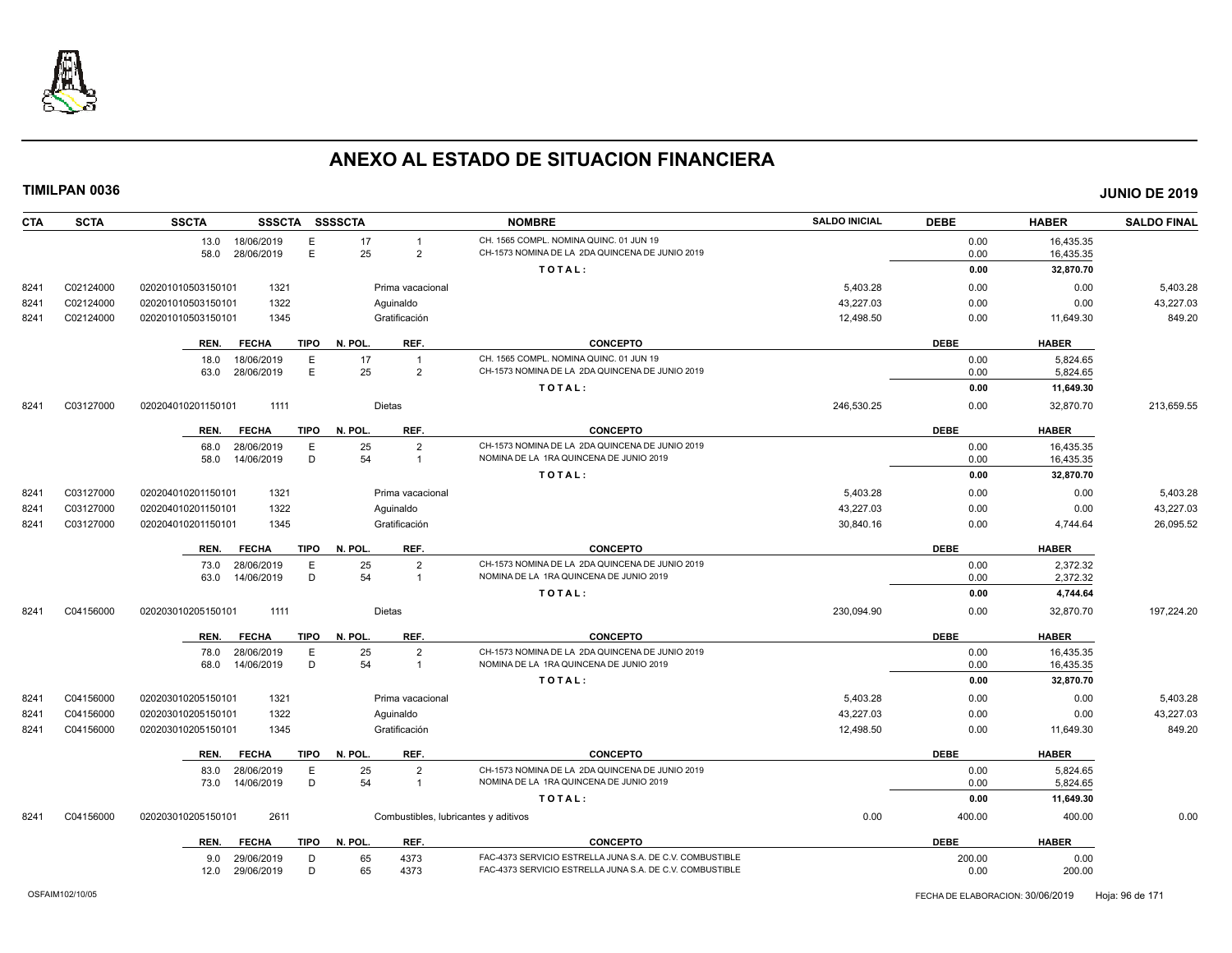

| <b>CTA</b> | <b>SCTA</b> | <b>SSCTA</b><br>SSSCTA SSSSCTA                     |                                              | <b>NOMBRE</b>                                                                              | <b>SALDO INICIAL</b> | <b>DEBE</b>  | <b>HABER</b>           | <b>SALDO FINAL</b> |
|------------|-------------|----------------------------------------------------|----------------------------------------------|--------------------------------------------------------------------------------------------|----------------------|--------------|------------------------|--------------------|
|            |             | 13.0<br>18/06/2019<br>Е<br>E<br>28/06/2019<br>58.0 | 17<br>$\mathbf{1}$<br>25<br>$\overline{2}$   | CH. 1565 COMPL. NOMINA QUINC. 01 JUN 19<br>CH-1573 NOMINA DE LA 2DA QUINCENA DE JUNIO 2019 |                      | 0.00<br>0.00 | 16,435.35<br>16,435.35 |                    |
|            |             |                                                    |                                              | TOTAL:                                                                                     |                      | 0.00         | 32,870.70              |                    |
| 8241       | C02124000   | 1321<br>020201010503150101                         | Prima vacacional                             |                                                                                            | 5,403.28             | 0.00         | 0.00                   | 5,403.28           |
| 8241       | C02124000   | 1322<br>020201010503150101                         | Aguinaldo                                    |                                                                                            | 43,227.03            | 0.00         | 0.00                   | 43,227.03          |
| 8241       | C02124000   | 1345<br>020201010503150101                         | Gratificación                                |                                                                                            | 12,498.50            | 0.00         | 11,649.30              | 849.20             |
|            |             | REN.<br><b>FECHA</b><br>TIPO                       | N. POL.<br>REF.                              | <b>CONCEPTO</b>                                                                            |                      | <b>DEBE</b>  | <b>HABER</b>           |                    |
|            |             | 18.0<br>18/06/2019<br>Е<br>E<br>28/06/2019<br>63.0 | 17<br>$\overline{1}$<br>25<br>$\overline{c}$ | CH. 1565 COMPL. NOMINA QUINC, 01 JUN 19<br>CH-1573 NOMINA DE LA 2DA QUINCENA DE JUNIO 2019 |                      | 0.00<br>0.00 | 5,824.65<br>5,824.65   |                    |
|            |             |                                                    |                                              | TOTAL:                                                                                     |                      | 0.00         | 11,649.30              |                    |
| 8241       | C03127000   | 020204010201150101<br>1111                         | Dietas                                       |                                                                                            | 246,530.25           | 0.00         | 32,870.70              | 213,659.55         |
|            |             | <b>FECHA</b><br><b>TIPO</b><br>REN.                | REF.<br>N. POL.                              | <b>CONCEPTO</b>                                                                            |                      | <b>DEBE</b>  | <b>HABER</b>           |                    |
|            |             | Е<br>28/06/2019<br>68.0<br>D<br>58.0<br>14/06/2019 | 25<br>$\overline{2}$<br>54<br>$\overline{1}$ | CH-1573 NOMINA DE LA 2DA QUINCENA DE JUNIO 2019<br>NOMINA DE LA 1RA QUINCENA DE JUNIO 2019 |                      | 0.00<br>0.00 | 16.435.35<br>16,435.35 |                    |
|            |             |                                                    |                                              | TOTAL:                                                                                     |                      | 0.00         | 32,870.70              |                    |
| 8241       | C03127000   | 1321<br>020204010201150101                         | Prima vacacional                             |                                                                                            | 5,403.28             | 0.00         | 0.00                   | 5,403.28           |
| 8241       | C03127000   | 1322<br>020204010201150101                         | Aguinaldo                                    |                                                                                            | 43,227.03            | 0.00         | 0.00                   | 43,227.03          |
| 8241       | C03127000   | 1345<br>020204010201150101                         | Gratificación                                |                                                                                            | 30,840.16            | 0.00         | 4,744.64               | 26,095.52          |
|            |             |                                                    |                                              |                                                                                            |                      |              |                        |                    |
|            |             | <b>TIPO</b><br>REN.<br><b>FECHA</b>                | N. POL.<br>REF.                              | <b>CONCEPTO</b>                                                                            |                      | <b>DEBE</b>  | <b>HABER</b>           |                    |
|            |             | E<br>28/06/2019<br>73.0<br>D<br>14/06/2019<br>63.0 | 25<br>$\overline{2}$<br>54<br>$\overline{1}$ | CH-1573 NOMINA DE LA 2DA QUINCENA DE JUNIO 2019<br>NOMINA DE LA 1RA QUINCENA DE JUNIO 2019 |                      | 0.00<br>0.00 | 2,372.32<br>2,372.32   |                    |
|            |             |                                                    |                                              | TOTAL:                                                                                     |                      | 0.00         | 4,744.64               |                    |
| 8241       | C04156000   | 1111<br>020203010205150101                         | Dietas                                       |                                                                                            | 230,094.90           | 0.00         | 32,870.70              | 197,224.20         |
|            |             | <b>FECHA</b><br>REN.<br>TIPO                       | N. POL.<br>REF.                              | <b>CONCEPTO</b>                                                                            |                      | <b>DEBE</b>  | <b>HABER</b>           |                    |
|            |             | Е<br>28/06/2019<br>78.0                            | 25<br>$\overline{2}$                         | CH-1573 NOMINA DE LA 2DA QUINCENA DE JUNIO 2019                                            |                      | 0.00         | 16,435.35              |                    |
|            |             | D<br>14/06/2019<br>68.0                            | 54<br>$\overline{1}$                         | NOMINA DE LA 1RA QUINCENA DE JUNIO 2019                                                    |                      | 0.00         | 16,435.35              |                    |
|            |             |                                                    |                                              | TOTAL:                                                                                     |                      | 0.00         | 32,870.70              |                    |
| 8241       | C04156000   | 1321<br>020203010205150101                         | Prima vacacional                             |                                                                                            | 5,403.28             | 0.00         | 0.00                   | 5,403.28           |
| 8241       | C04156000   | 1322<br>020203010205150101                         | Aquinaldo                                    |                                                                                            | 43,227.03            | 0.00         | 0.00                   | 43,227.03          |
| 8241       | C04156000   | 020203010205150101<br>1345                         | Gratificación                                |                                                                                            | 12,498.50            | 0.00         | 11,649.30              | 849.20             |
|            |             | <b>FECHA</b><br>TIPO<br>REN.                       | N. POL.<br>REF.                              | <b>CONCEPTO</b>                                                                            |                      | <b>DEBE</b>  | <b>HABER</b>           |                    |
|            |             | 28/06/2019<br>E<br>83.0                            | 25<br>$\overline{2}$                         | CH-1573 NOMINA DE LA 2DA QUINCENA DE JUNIO 2019                                            |                      | 0.00         | 5.824.65               |                    |
|            |             | D<br>14/06/2019<br>73.0                            | 54<br>$\overline{1}$                         | NOMINA DE LA 1RA QUINCENA DE JUNIO 2019                                                    |                      | 0.00         | 5,824.65               |                    |
|            |             |                                                    |                                              | TOTAL:                                                                                     |                      | 0.00         | 11,649.30              |                    |
| 8241       | C04156000   | 2611<br>020203010205150101                         | Combustibles, lubricantes y aditivos         |                                                                                            | 0.00                 | 400.00       | 400.00                 | 0.00               |
|            |             | TIPO<br><b>FECHA</b><br>REN.                       | N. POL.<br>REF.                              | <b>CONCEPTO</b>                                                                            |                      | <b>DEBE</b>  | <b>HABER</b>           |                    |
|            |             | 29/06/2019<br>D<br>9.0                             | 65<br>4373                                   | FAC-4373 SERVICIO ESTRELLA JUNA S.A. DE C.V. COMBUSTIBLE                                   |                      | 200.00       | 0.00                   |                    |
|            |             | D<br>12.0<br>29/06/2019                            | 65<br>4373                                   | FAC-4373 SERVICIO ESTRELLA JUNA S.A. DE C.V. COMBUSTIBLE                                   |                      | 0.00         | 200.00                 |                    |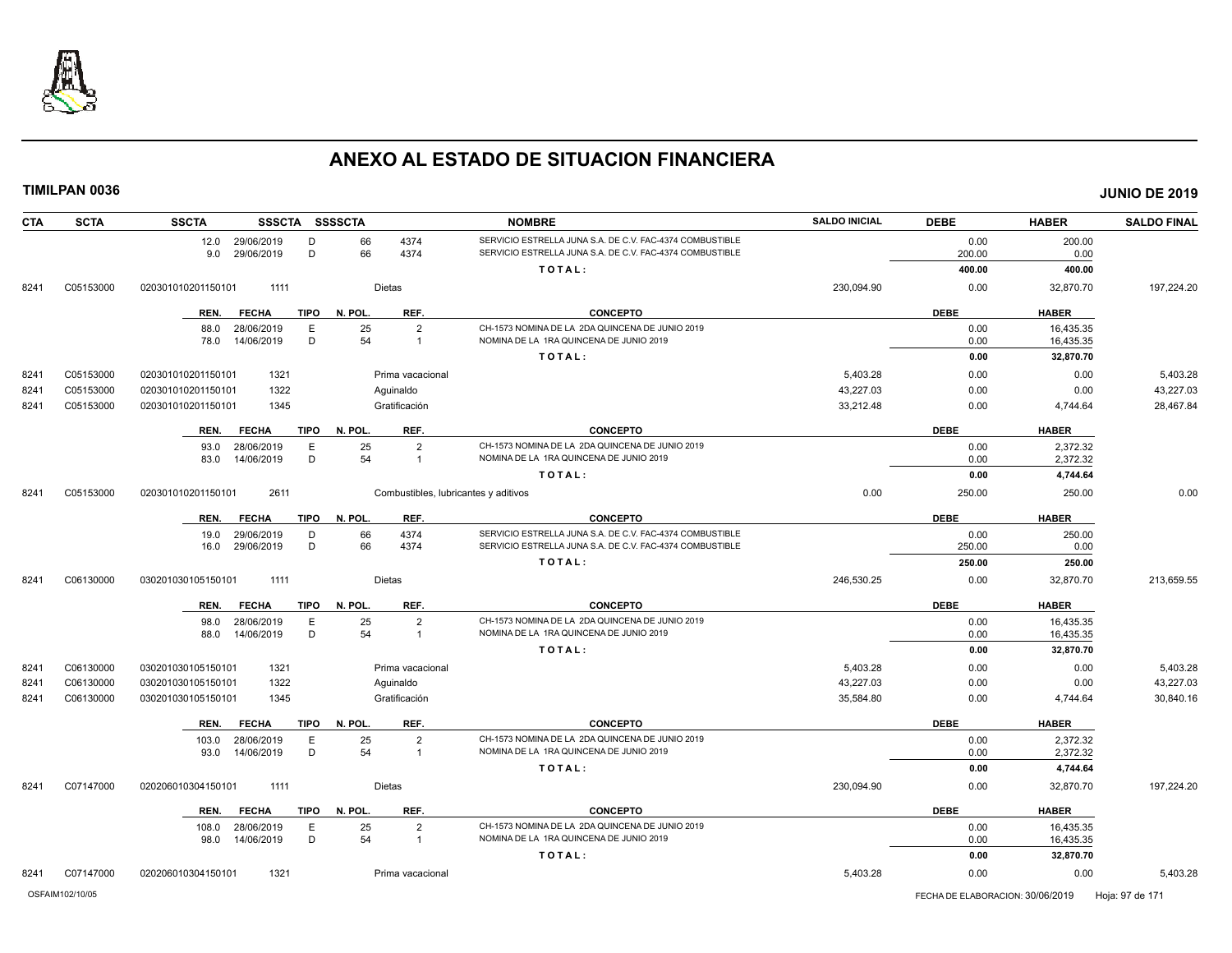

| <b>CTA</b> | <b>SCTA</b> | <b>SSCTA</b>       | <b>SSSCTA</b> | SSSSCTA                |                  | <b>NOMBRE</b>                                            | <b>SALDO INICIAL</b> | <b>DEBE</b> | <b>HABER</b> | <b>SALDO FINAL</b> |
|------------|-------------|--------------------|---------------|------------------------|------------------|----------------------------------------------------------|----------------------|-------------|--------------|--------------------|
|            |             | 12.0 29/06/2019    |               | 66<br>D                | 4374             | SERVICIO ESTRELLA JUNA S.A. DE C.V. FAC-4374 COMBUSTIBLE |                      | 0.00        | 200.00       |                    |
|            |             | 9.0                | 29/06/2019    | D<br>66                | 4374             | SERVICIO ESTRELLA JUNA S.A. DE C.V. FAC-4374 COMBUSTIBLE |                      | 200.00      | 0.00         |                    |
|            |             |                    |               |                        |                  | TOTAL:                                                   |                      | 400.00      | 400.00       |                    |
| 8241       | C05153000   | 020301010201150101 | 1111          |                        | Dietas           |                                                          | 230,094.90           | 0.00        | 32,870.70    | 197,224.20         |
|            |             | REN.               | <b>FECHA</b>  | <b>TIPO</b><br>N. POL. | REF.             | <b>CONCEPTO</b>                                          |                      | <b>DEBE</b> | <b>HABER</b> |                    |
|            |             | 88.0               | 28/06/2019    | 25<br>Ε                | $\overline{2}$   | CH-1573 NOMINA DE LA 2DA QUINCENA DE JUNIO 2019          |                      | 0.00        | 16,435.35    |                    |
|            |             | 78.0               | 14/06/2019    | 54<br>D                | $\overline{1}$   | NOMINA DE LA 1RA QUINCENA DE JUNIO 2019                  |                      | 0.00        | 16,435.35    |                    |
|            |             |                    |               |                        |                  | TOTAL:                                                   |                      | 0.00        | 32,870.70    |                    |
| 8241       | C05153000   | 020301010201150101 | 1321          |                        | Prima vacacional |                                                          | 5,403.28             | 0.00        | 0.00         | 5,403.28           |
| 8241       | C05153000   | 020301010201150101 | 1322          |                        | Aquinaldo        |                                                          | 43,227.03            | 0.00        | 0.00         | 43,227.03          |
| 8241       | C05153000   | 020301010201150101 | 1345          |                        | Gratificación    |                                                          | 33,212.48            | 0.00        | 4,744.64     | 28,467.84          |
|            |             | REN.               | <b>FECHA</b>  | <b>TIPO</b><br>N. POL. | REF.             | <b>CONCEPTO</b>                                          |                      | <b>DEBE</b> | <b>HABER</b> |                    |
|            |             | 93.0               | 28/06/2019    | E<br>25                | $\overline{2}$   | CH-1573 NOMINA DE LA 2DA QUINCENA DE JUNIO 2019          |                      | 0.00        | 2,372.32     |                    |
|            |             | 83.0               | 14/06/2019    | 54<br>D                | $\overline{1}$   | NOMINA DE LA 1RA QUINCENA DE JUNIO 2019                  |                      | 0.00        | 2,372.32     |                    |
|            |             |                    |               |                        |                  | TOTAL:                                                   |                      | 0.00        | 4,744.64     |                    |
| 8241       | C05153000   | 020301010201150101 | 2611          |                        |                  | Combustibles, lubricantes y aditivos                     | 0.00                 | 250.00      | 250.00       | 0.00               |
|            |             | REN.               | <b>FECHA</b>  | <b>TIPO</b><br>N. POL. | REF.             | <b>CONCEPTO</b>                                          |                      | <b>DEBE</b> | <b>HABER</b> |                    |
|            |             | 19.0               | 29/06/2019    | 66<br>D                | 4374             | SERVICIO ESTRELLA JUNA S.A. DE C.V. FAC-4374 COMBUSTIBLE |                      | 0.00        | 250.00       |                    |
|            |             | 16.0               | 29/06/2019    | D<br>66                | 4374             | SERVICIO ESTRELLA JUNA S.A. DE C.V. FAC-4374 COMBUSTIBLE |                      | 250.00      | 0.00         |                    |
|            |             |                    |               |                        |                  | TOTAL:                                                   |                      | 250.00      | 250.00       |                    |
| 8241       | C06130000   | 030201030105150101 | 1111          |                        | <b>Dietas</b>    |                                                          | 246.530.25           | 0.00        | 32,870.70    | 213.659.55         |
|            |             | REN.               | <b>FECHA</b>  | N. POL.<br><b>TIPO</b> | REF.             | <b>CONCEPTO</b>                                          |                      | <b>DEBE</b> | <b>HABER</b> |                    |
|            |             | 98.0               | 28/06/2019    | 25<br>Ε                | $\overline{2}$   | CH-1573 NOMINA DE LA 2DA QUINCENA DE JUNIO 2019          |                      | 0.00        | 16,435.35    |                    |
|            |             | 88.0               | 14/06/2019    | D<br>54                | $\overline{1}$   | NOMINA DE LA 1RA QUINCENA DE JUNIO 2019                  |                      | 0.00        | 16,435.35    |                    |
|            |             |                    |               |                        |                  | TOTAL:                                                   |                      | 0.00        | 32,870.70    |                    |
| 8241       | C06130000   | 030201030105150101 | 1321          |                        | Prima vacacional |                                                          | 5,403.28             | 0.00        | 0.00         | 5,403.28           |
| 8241       | C06130000   | 030201030105150101 | 1322          |                        | Aquinaldo        |                                                          | 43,227.03            | 0.00        | 0.00         | 43,227.03          |
| 8241       | C06130000   | 030201030105150101 | 1345          |                        | Gratificación    |                                                          | 35,584.80            | 0.00        | 4,744.64     | 30,840.16          |
|            |             | REN.               | <b>FECHA</b>  | <b>TIPO</b><br>N. POL. | REF.             | <b>CONCEPTO</b>                                          |                      | <b>DEBE</b> | <b>HABER</b> |                    |
|            |             | 103.0              | 28/06/2019    | 25<br>Ε                | $\overline{2}$   | CH-1573 NOMINA DE LA 2DA QUINCENA DE JUNIO 2019          |                      | 0.00        | 2,372.32     |                    |
|            |             | 93.0               | 14/06/2019    | D<br>54                | $\overline{1}$   | NOMINA DE LA 1RA QUINCENA DE JUNIO 2019                  |                      | 0.00        | 2,372.32     |                    |
|            |             |                    |               |                        |                  | TOTAL:                                                   |                      | 0.00        | 4,744.64     |                    |
| 8241       | C07147000   | 020206010304150101 | 1111          |                        | Dietas           |                                                          | 230,094.90           | 0.00        | 32,870.70    | 197,224.20         |
|            |             | REN.               | <b>FECHA</b>  | <b>TIPO</b><br>N. POL. | REF.             | <b>CONCEPTO</b>                                          |                      | <b>DEBE</b> | <b>HABER</b> |                    |
|            |             | 108.0              | 28/06/2019    | 25<br>Ε                | $\overline{2}$   | CH-1573 NOMINA DE LA 2DA QUINCENA DE JUNIO 2019          |                      | 0.00        | 16,435.35    |                    |
|            |             | 98.0               | 14/06/2019    | D<br>54                | $\overline{1}$   | NOMINA DE LA 1RA QUINCENA DE JUNIO 2019                  |                      | 0.00        | 16,435.35    |                    |
|            |             |                    |               |                        |                  | TOTAL:                                                   |                      | 0.00        | 32,870.70    |                    |
| 8241       | C07147000   | 020206010304150101 | 1321          |                        | Prima vacacional |                                                          | 5.403.28             | 0.00        | 0.00         | 5.403.28           |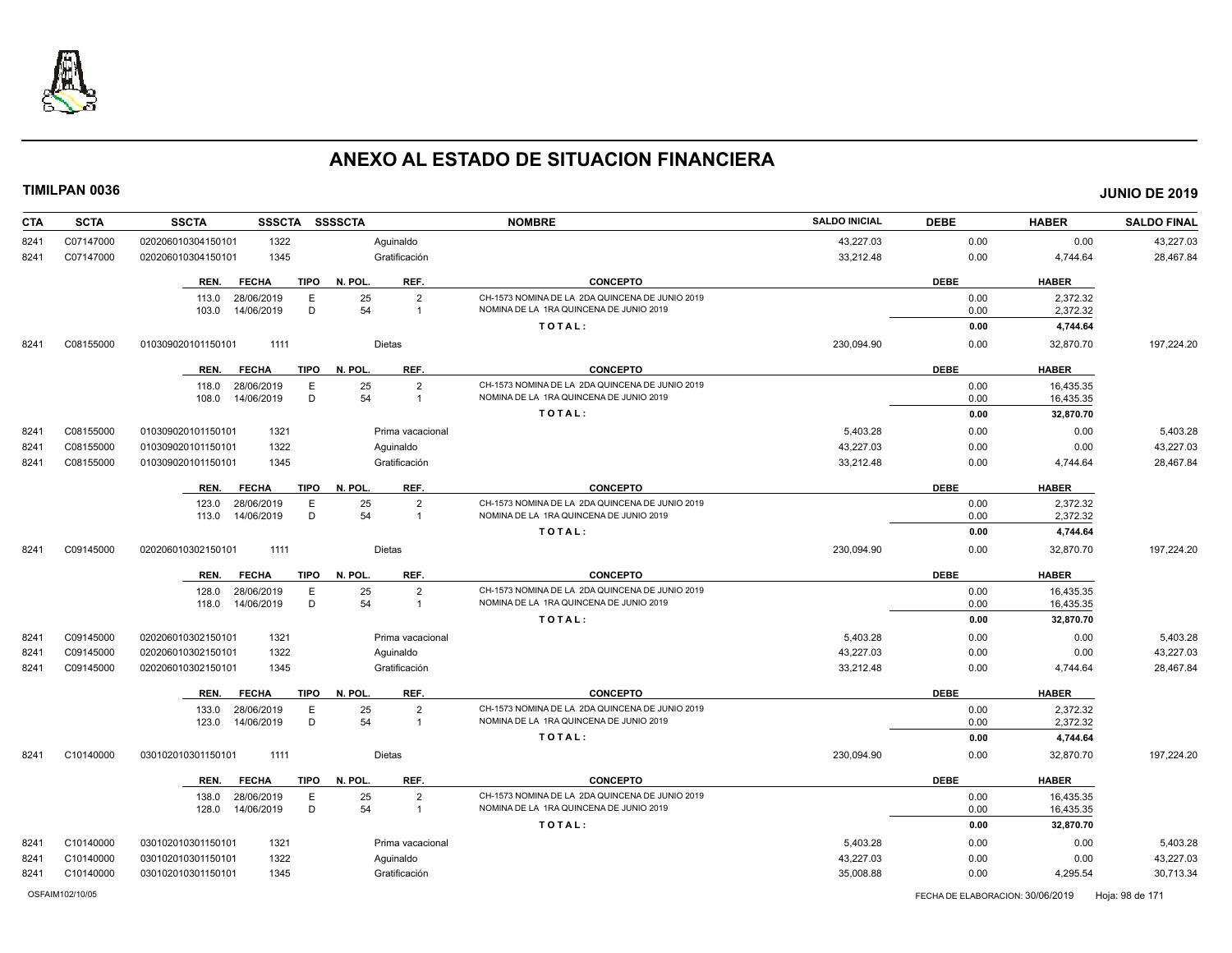

| <b>CTA</b> | <b>SCTA</b> | <b>SSCTA</b><br><b>SSSCTA</b>       | <b>SSSSCTA</b>                               | <b>NOMBRE</b>                                                                              | <b>SALDO INICIAL</b> | <b>DEBE</b>  | <b>HABER</b> | <b>SALDO FINAL</b> |
|------------|-------------|-------------------------------------|----------------------------------------------|--------------------------------------------------------------------------------------------|----------------------|--------------|--------------|--------------------|
| 8241       | C07147000   | 1322<br>020206010304150101          | Aquinaldo                                    |                                                                                            | 43,227.03            | 0.00         | 0.00         | 43,227.03          |
| 8241       | C07147000   | 1345<br>020206010304150101          | Gratificación                                |                                                                                            | 33,212.48            | 0.00         | 4,744.64     | 28,467.84          |
|            |             | <b>FECHA</b><br><b>TIPO</b><br>REN. | REF.<br>N. POL                               | <b>CONCEPTO</b>                                                                            |                      | <b>DEBE</b>  | <b>HABER</b> |                    |
|            |             | 28/06/2019<br>E<br>113.0            | 25<br>$\overline{2}$                         | CH-1573 NOMINA DE LA 2DA QUINCENA DE JUNIO 2019                                            |                      | 0.00         | 2,372.32     |                    |
|            |             | D<br>14/06/2019<br>103.0            | 54<br>$\overline{1}$                         | NOMINA DE LA 1RA QUINCENA DE JUNIO 2019                                                    |                      | 0.00         | 2,372.32     |                    |
|            |             |                                     |                                              | TOTAL:                                                                                     |                      | 0.00         | 4,744.64     |                    |
| 8241       | C08155000   | 1111<br>010309020101150101          | Dietas                                       |                                                                                            | 230,094.90           | 0.00         | 32,870.70    | 197,224.20         |
|            |             | <b>TIPO</b><br>REN.<br><b>FECHA</b> | REF.<br>N. POL                               | <b>CONCEPTO</b>                                                                            |                      | <b>DEBE</b>  | <b>HABER</b> |                    |
|            |             | E<br>28/06/2019<br>118.0            | 25<br>$\overline{2}$                         | CH-1573 NOMINA DE LA 2DA QUINCENA DE JUNIO 2019                                            |                      | 0.00         | 16,435.35    |                    |
|            |             | D<br>14/06/2019<br>108.0            | 54<br>$\overline{1}$                         | NOMINA DE LA 1RA QUINCENA DE JUNIO 2019                                                    |                      | 0.00         | 16,435.35    |                    |
|            |             |                                     |                                              | TOTAL:                                                                                     |                      | 0.00         | 32,870.70    |                    |
| 8241       | C08155000   | 1321<br>010309020101150101          | Prima vacacional                             |                                                                                            | 5,403.28             | 0.00         | 0.00         | 5,403.28           |
| 8241       | C08155000   | 1322<br>010309020101150101          | Aguinaldo                                    |                                                                                            | 43,227.03            | 0.00         | 0.00         | 43,227.03          |
| 8241       | C08155000   | 1345<br>010309020101150101          | Gratificación                                |                                                                                            | 33,212.48            | 0.00         | 4,744.64     | 28,467.84          |
|            |             | <b>FECHA</b><br><b>TIPO</b><br>REN. | N. POL.<br>REF.                              | <b>CONCEPTO</b>                                                                            |                      | <b>DEBE</b>  | <b>HABER</b> |                    |
|            |             | 123.0<br>28/06/2019<br>E            | 25<br>2                                      | CH-1573 NOMINA DE LA 2DA QUINCENA DE JUNIO 2019                                            |                      | 0.00         | 2.372.32     |                    |
|            |             | D<br>14/06/2019<br>113.0            | 54<br>$\overline{1}$                         | NOMINA DE LA 1RA QUINCENA DE JUNIO 2019                                                    |                      | 0.00         | 2,372.32     |                    |
|            |             |                                     |                                              | TOTAL:                                                                                     |                      | 0.00         | 4,744.64     |                    |
| 8241       | C09145000   | 020206010302150101<br>1111          | Dietas                                       |                                                                                            | 230,094.90           | 0.00         | 32,870.70    | 197,224.20         |
|            |             | <b>TIPO</b><br>REN.<br><b>FECHA</b> | REF.<br>N. POL.                              | <b>CONCEPTO</b>                                                                            |                      | <b>DEBE</b>  | <b>HABER</b> |                    |
|            |             | 28/06/2019<br>E<br>128.0            | 25<br>$\overline{2}$                         | CH-1573 NOMINA DE LA 2DA QUINCENA DE JUNIO 2019                                            |                      | 0.00         | 16,435.35    |                    |
|            |             | D<br>118.0<br>14/06/2019            | 54<br>$\overline{1}$                         | NOMINA DE LA 1RA QUINCENA DE JUNIO 2019                                                    |                      | 0.00         | 16,435.35    |                    |
|            |             |                                     |                                              | TOTAL:                                                                                     |                      | 0.00         | 32,870.70    |                    |
| 8241       | C09145000   | 1321<br>020206010302150101          | Prima vacacional                             |                                                                                            | 5,403.28             | 0.00         | 0.00         | 5,403.28           |
| 8241       | C09145000   | 1322<br>020206010302150101          | Aguinaldo                                    |                                                                                            | 43,227.03            | 0.00         | 0.00         | 43,227.03          |
| 8241       | C09145000   | 1345<br>020206010302150101          | Gratificación                                |                                                                                            | 33,212.48            | 0.00         | 4,744.64     | 28,467.84          |
|            |             | <b>TIPO</b><br>REN.<br><b>FECHA</b> | N. POL.<br>REF.                              | <b>CONCEPTO</b>                                                                            |                      | <b>DEBE</b>  | <b>HABER</b> |                    |
|            |             | 28/06/2019<br>E<br>133.0            | 25<br>$\overline{2}$<br>54<br>$\overline{1}$ | CH-1573 NOMINA DE LA 2DA QUINCENA DE JUNIO 2019<br>NOMINA DE LA 1RA QUINCENA DE JUNIO 2019 |                      | 0.00         | 2,372.32     |                    |
|            |             | D<br>123.0<br>14/06/2019            |                                              | TOTAL:                                                                                     |                      | 0.00<br>0.00 | 2,372.32     |                    |
|            |             |                                     |                                              |                                                                                            |                      |              | 4,744.64     |                    |
| 8241       | C10140000   | 1111<br>030102010301150101          | Dietas                                       |                                                                                            | 230,094.90           | 0.00         | 32,870.70    | 197,224.20         |
|            |             | <b>TIPO</b><br>REN.<br><b>FECHA</b> | N. POL<br>REF.                               | <b>CONCEPTO</b>                                                                            |                      | <b>DEBE</b>  | <b>HABER</b> |                    |
|            |             | E<br>28/06/2019<br>138.0            | 25<br>$\overline{2}$                         | CH-1573 NOMINA DE LA 2DA QUINCENA DE JUNIO 2019                                            |                      | 0.00         | 16,435.35    |                    |
|            |             | D<br>128.0<br>14/06/2019            | 54<br>$\overline{1}$                         | NOMINA DE LA 1RA QUINCENA DE JUNIO 2019                                                    |                      | 0.00         | 16,435.35    |                    |
|            |             |                                     |                                              | TOTAL:                                                                                     |                      | 0.00         | 32,870.70    |                    |
| 8241       | C10140000   | 1321<br>030102010301150101          | Prima vacacional                             |                                                                                            | 5,403.28             | 0.00         | 0.00         | 5,403.28           |
| 8241       | C10140000   | 1322<br>030102010301150101          | Aguinaldo                                    |                                                                                            | 43,227.03            | 0.00         | 0.00         | 43,227.03          |
| 8241       | C10140000   | 030102010301150101<br>1345          | Gratificación                                |                                                                                            | 35,008.88            | 0.00         | 4,295.54     | 30,713.34          |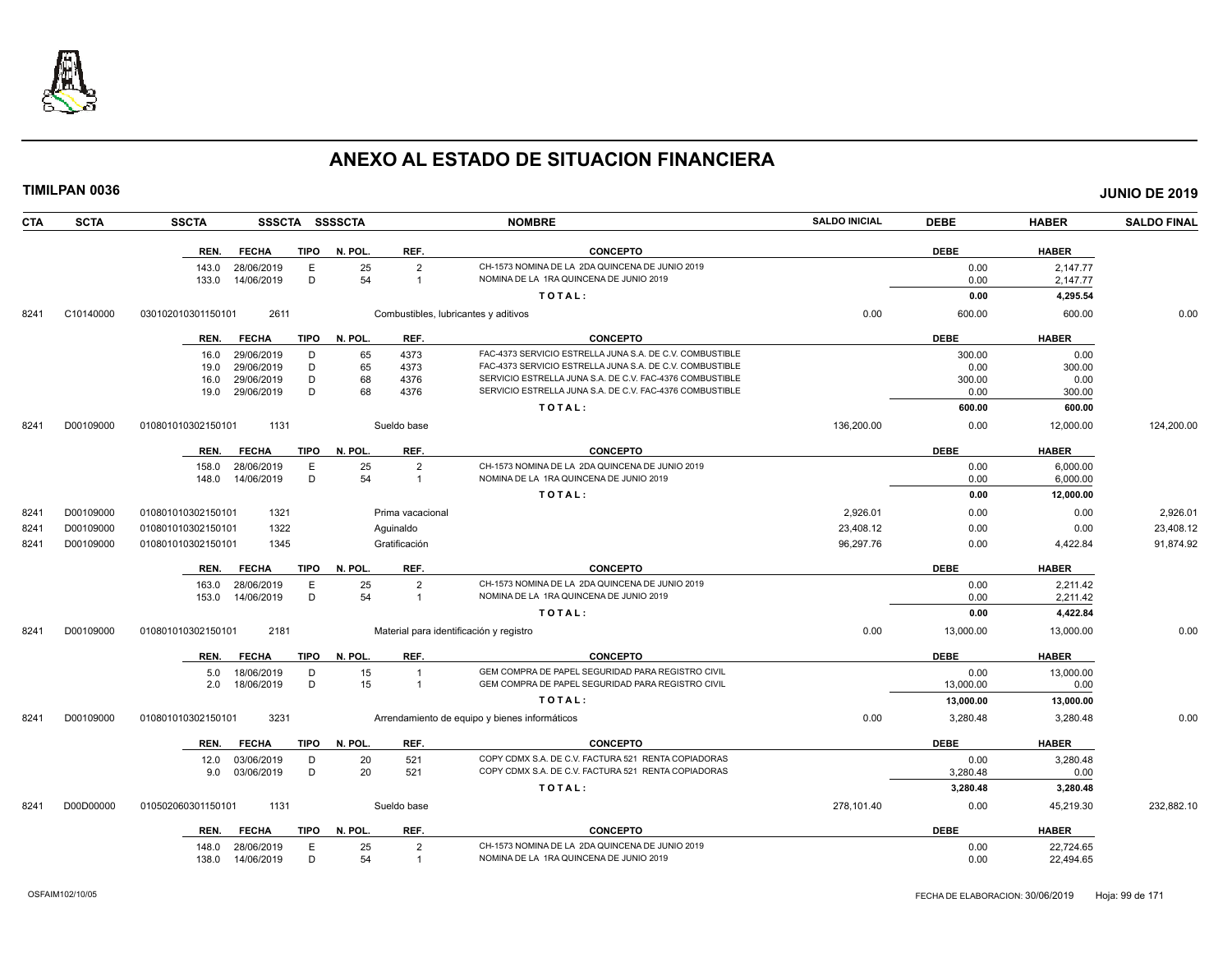

| <b>TIMILPAN 0036</b> |                    |              |             |                |                                         |                                                          |                      |             |              | <b>JUNIO DE 2019</b> |
|----------------------|--------------------|--------------|-------------|----------------|-----------------------------------------|----------------------------------------------------------|----------------------|-------------|--------------|----------------------|
| <b>SCTA</b><br>CTA   | <b>SSCTA</b>       |              |             | SSSCTA SSSSCTA |                                         | <b>NOMBRE</b>                                            | <b>SALDO INICIAL</b> | <b>DEBE</b> | <b>HABER</b> | <b>SALDO FINAL</b>   |
|                      | REN.               | <b>FECHA</b> | <b>TIPO</b> | N. POL.        | REF.                                    | <b>CONCEPTO</b>                                          |                      | <b>DEBE</b> | <b>HABER</b> |                      |
|                      | 143.0              | 28/06/2019   | Е           | 25             | $\overline{2}$                          | CH-1573 NOMINA DE LA 2DA QUINCENA DE JUNIO 2019          |                      | 0.00        | 2,147.77     |                      |
|                      | 133.0              | 14/06/2019   | D           | 54             | $\overline{1}$                          | NOMINA DE LA 1RA QUINCENA DE JUNIO 2019                  |                      | 0.00        | 2,147.77     |                      |
|                      |                    |              |             |                |                                         | TOTAL:                                                   |                      | 0.00        | 4,295.54     |                      |
| 8241<br>C10140000    | 030102010301150101 | 2611         |             |                | Combustibles, lubricantes y aditivos    |                                                          | 0.00                 | 600.00      | 600.00       | 0.00                 |
|                      | REN.               | <b>FECHA</b> |             | TIPO N. POL.   | REF.                                    | <b>CONCEPTO</b>                                          |                      | <b>DEBE</b> | <b>HABER</b> |                      |
|                      | 16.0               | 29/06/2019   | D           | 65             | 4373                                    | FAC-4373 SERVICIO ESTRELLA JUNA S.A. DE C.V. COMBUSTIBLE |                      | 300.00      | 0.00         |                      |
|                      | 19.0               | 29/06/2019   | D           | 65             | 4373                                    | FAC-4373 SERVICIO ESTRELLA JUNA S.A. DE C.V. COMBUSTIBLE |                      | 0.00        | 300.00       |                      |
|                      | 16.0               | 29/06/2019   | D           | 68             | 4376                                    | SERVICIO ESTRELLA JUNA S.A. DE C.V. FAC-4376 COMBUSTIBLE |                      | 300.00      | 0.00         |                      |
|                      | 19.0               | 29/06/2019   | D           | 68             | 4376                                    | SERVICIO ESTRELLA JUNA S.A. DE C.V. FAC-4376 COMBUSTIBLE |                      | 0.00        | 300.00       |                      |
|                      |                    |              |             |                |                                         | TOTAL:                                                   |                      | 600.00      | 600.00       |                      |
| D00109000<br>8241    | 010801010302150101 | 1131         |             |                | Sueldo base                             |                                                          | 136,200.00           | 0.00        | 12,000.00    | 124,200.00           |
|                      | REN.               | <b>FECHA</b> | TIPO        | N. POL.        | REF.                                    | <b>CONCEPTO</b>                                          |                      | <b>DEBE</b> | <b>HABER</b> |                      |
|                      | 158.0              | 28/06/2019   | Ε           | 25             | $\overline{2}$                          | CH-1573 NOMINA DE LA 2DA QUINCENA DE JUNIO 2019          |                      | 0.00        | 6,000.00     |                      |
|                      | 148.0              | 14/06/2019   | D           | 54             | $\overline{1}$                          | NOMINA DE LA 1RA QUINCENA DE JUNIO 2019                  |                      | 0.00        | 6,000.00     |                      |
|                      |                    |              |             |                |                                         | TOTAL:                                                   |                      | 0.00        | 12,000.00    |                      |
| 8241<br>D00109000    | 010801010302150101 | 1321         |             |                | Prima vacacional                        |                                                          | 2,926.01             | 0.00        | 0.00         | 2,926.01             |
| 8241<br>D00109000    | 010801010302150101 | 1322         |             |                | Aguinaldo                               |                                                          | 23,408.12            | 0.00        | 0.00         | 23,408.12            |
| 8241<br>D00109000    | 010801010302150101 | 1345         |             |                | Gratificación                           |                                                          | 96,297.76            | 0.00        | 4,422.84     | 91,874.92            |
|                      | REN.               | <b>FECHA</b> | <b>TIPO</b> | N. POL.        | REF.                                    | <b>CONCEPTO</b>                                          |                      | <b>DEBE</b> | <b>HABER</b> |                      |
|                      | 163.0              | 28/06/2019   | E           | 25             | 2                                       | CH-1573 NOMINA DE LA 2DA QUINCENA DE JUNIO 2019          |                      | 0.00        | 2.211.42     |                      |
|                      | 153.0              | 14/06/2019   | D           | 54             | $\overline{1}$                          | NOMINA DE LA 1RA QUINCENA DE JUNIO 2019                  |                      | 0.00        | 2,211.42     |                      |
|                      |                    |              |             |                |                                         | TOTAL:                                                   |                      | 0.00        | 4,422.84     |                      |
| 8241<br>D00109000    | 010801010302150101 | 2181         |             |                | Material para identificación y registro |                                                          | 0.00                 | 13,000.00   | 13,000.00    | 0.00                 |
|                      | REN.               | <b>FECHA</b> | TIPO        | N. POL.        | REF.                                    | <b>CONCEPTO</b>                                          |                      | <b>DEBE</b> | <b>HABER</b> |                      |
|                      | 5.0                | 18/06/2019   | D           | 15             | $\overline{1}$                          | GEM COMPRA DE PAPEL SEGURIDAD PARA REGISTRO CIVIL        |                      | 0.00        | 13,000.00    |                      |
|                      | 2.0                | 18/06/2019   | D           | 15             | $\overline{1}$                          | GEM COMPRA DE PAPEL SEGURIDAD PARA REGISTRO CIVIL        |                      | 13,000.00   | 0.00         |                      |
|                      |                    |              |             |                |                                         | TOTAL:                                                   |                      | 13,000.00   | 13,000.00    |                      |
| 8241<br>D00109000    | 010801010302150101 | 3231         |             |                |                                         | Arrendamiento de equipo y bienes informáticos            | 0.00                 | 3,280.48    | 3,280.48     | 0.00                 |
|                      | REN.               | <b>FECHA</b> | <b>TIPO</b> | N. POL.        | REF.                                    | <b>CONCEPTO</b>                                          |                      | <b>DEBE</b> | <b>HABER</b> |                      |
|                      | 12.0               | 03/06/2019   | D           | 20             | 521                                     | COPY CDMX S.A. DE C.V. FACTURA 521 RENTA COPIADORAS      |                      | 0.00        | 3,280.48     |                      |
|                      | 9.0                | 03/06/2019   | D           | 20             | 521                                     | COPY CDMX S.A. DE C.V. FACTURA 521 RENTA COPIADORAS      |                      | 3,280.48    | 0.00         |                      |
|                      |                    |              |             |                |                                         | TOTAL:                                                   |                      | 3,280.48    | 3,280.48     |                      |
| D00D00000<br>8241    | 010502060301150101 | 1131         |             |                | Sueldo base                             |                                                          | 278,101.40           | 0.00        | 45,219.30    | 232,882.10           |
|                      | REN.               | <b>FECHA</b> | TIPO        | N. POL.        | REF.                                    | <b>CONCEPTO</b>                                          |                      | <b>DEBE</b> | <b>HABER</b> |                      |
|                      | 148.0              | 28/06/2019   | E           | 25             | $\overline{2}$                          | CH-1573 NOMINA DE LA 2DA QUINCENA DE JUNIO 2019          |                      | 0.00        | 22,724.65    |                      |
|                      | 138.0              | 14/06/2019   | D           | 54             | -1                                      | NOMINA DE LA 1RA QUINCENA DE JUNIO 2019                  |                      | 0.00        | 22,494.65    |                      |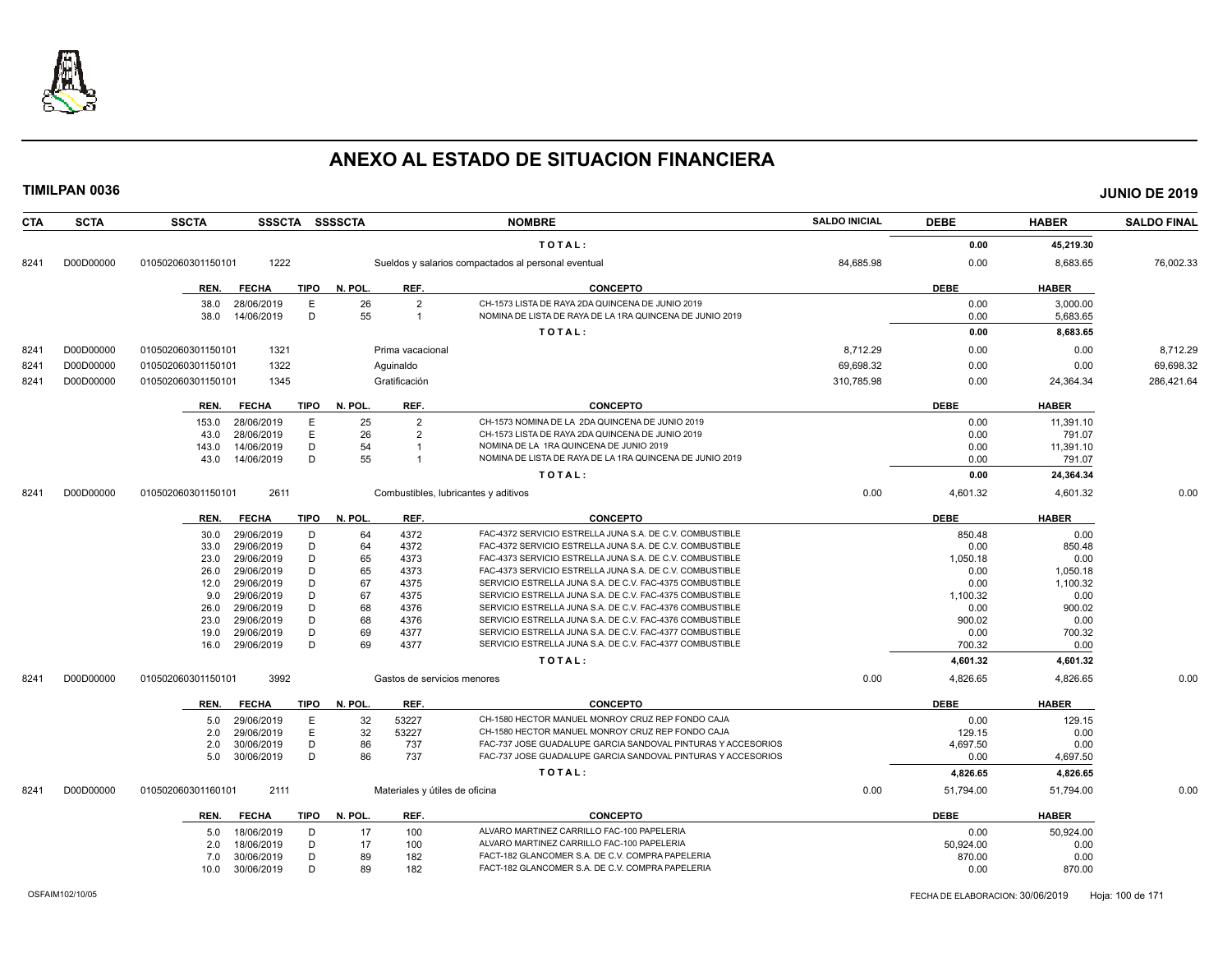

| <b>CTA</b> | <b>SCTA</b> | <b>SSCTA</b>       |                          | SSSCTA SSSSCTA         |                                | <b>NOMBRE</b>                                                                                        | <b>SALDO INICIAL</b> | <b>DEBE</b> | <b>HABER</b> | <b>SALDO FINAL</b> |
|------------|-------------|--------------------|--------------------------|------------------------|--------------------------------|------------------------------------------------------------------------------------------------------|----------------------|-------------|--------------|--------------------|
|            |             |                    |                          |                        |                                | TOTAL:                                                                                               |                      | 0.00        | 45,219.30    |                    |
| 8241       | D00D00000   | 010502060301150101 | 1222                     |                        |                                | Sueldos y salarios compactados al personal eventual                                                  | 84,685.98            | 0.00        | 8,683.65     | 76,002.33          |
|            |             | REN.               | <b>FECHA</b>             | TIPO<br>N. POL.        | REF.                           | <b>CONCEPTO</b>                                                                                      |                      | <b>DEBE</b> | <b>HABER</b> |                    |
|            |             | 38.0               | 28/06/2019               | 26<br>Ε                | $\overline{2}$                 | CH-1573 LISTA DE RAYA 2DA QUINCENA DE JUNIO 2019                                                     |                      | 0.00        | 3,000.00     |                    |
|            |             | 38.0               | 14/06/2019               | D<br>55                | $\overline{1}$                 | NOMINA DE LISTA DE RAYA DE LA 1RA QUINCENA DE JUNIO 2019                                             |                      | 0.00        | 5,683.65     |                    |
|            |             |                    |                          |                        |                                | TOTAL:                                                                                               |                      | 0.00        | 8,683.65     |                    |
| 8241       | D00D00000   | 010502060301150101 | 1321                     |                        | Prima vacacional               |                                                                                                      | 8,712.29             | 0.00        | 0.00         | 8,712.29           |
| 8241       | D00D00000   | 010502060301150101 | 1322                     |                        | Aguinaldo                      |                                                                                                      | 69,698.32            | 0.00        | 0.00         | 69,698.32          |
|            |             |                    | 1345                     |                        | Gratificación                  |                                                                                                      | 310.785.98           | 0.00        |              |                    |
| 8241       | D00D00000   | 010502060301150101 |                          |                        |                                |                                                                                                      |                      |             | 24,364.34    | 286,421.64         |
|            |             | REN.               | <b>FECHA</b>             | N. POL.<br>TIPO        | REF.                           | <b>CONCEPTO</b>                                                                                      |                      | <b>DEBE</b> | <b>HABER</b> |                    |
|            |             | 153.0              | 28/06/2019               | 25<br>Ε                | $\overline{2}$                 | CH-1573 NOMINA DE LA 2DA QUINCENA DE JUNIO 2019                                                      |                      | 0.00        | 11,391.10    |                    |
|            |             | 43.0               | 28/06/2019               | E<br>26                | $\overline{2}$                 | CH-1573 LISTA DE RAYA 2DA QUINCENA DE JUNIO 2019                                                     |                      | 0.00        | 791.07       |                    |
|            |             | 143.0              | 14/06/2019               | 54<br>D                | $\overline{1}$                 | NOMINA DE LA 1RA QUINCENA DE JUNIO 2019                                                              |                      | 0.00        | 11,391.10    |                    |
|            |             | 43.0               | 14/06/2019               | 55<br>D                |                                | NOMINA DE LISTA DE RAYA DE LA 1RA QUINCENA DE JUNIO 2019                                             |                      | 0.00        | 791.07       |                    |
|            |             |                    |                          |                        |                                | TOTAL:                                                                                               |                      | 0.00        | 24,364.34    |                    |
| 8241       | D00D00000   | 010502060301150101 | 2611                     |                        |                                | Combustibles, lubricantes y aditivos                                                                 | 0.00                 | 4,601.32    | 4,601.32     | 0.00               |
|            |             | REN.               | <b>FECHA</b>             | <b>TIPO</b><br>N. POL. | REF.                           | <b>CONCEPTO</b>                                                                                      |                      | <b>DEBE</b> | <b>HABER</b> |                    |
|            |             |                    |                          | 64<br>D                | 4372                           | FAC-4372 SERVICIO ESTRELLA JUNA S.A. DE C.V. COMBUSTIBLE                                             |                      | 850.48      | 0.00         |                    |
|            |             | 30.0<br>33.0       | 29/06/2019<br>29/06/2019 | 64<br>D                | 4372                           | FAC-4372 SERVICIO ESTRELLA JUNA S.A. DE C.V. COMBUSTIBLE                                             |                      | 0.00        | 850.48       |                    |
|            |             | 23.0               | 29/06/2019               | D<br>65                | 4373                           | FAC-4373 SERVICIO ESTRELLA JUNA S.A. DE C.V. COMBUSTIBLE                                             |                      | 1,050.18    | 0.00         |                    |
|            |             | 26.0               | 29/06/2019               | D<br>65                | 4373                           | FAC-4373 SERVICIO ESTRELLA JUNA S.A. DE C.V. COMBUSTIBLE                                             |                      | 0.00        | 1,050.18     |                    |
|            |             | 12.0               | 29/06/2019               | D<br>67                | 4375                           | SERVICIO ESTRELLA JUNA S.A. DE C.V. FAC-4375 COMBUSTIBLE                                             |                      | 0.00        | 1,100.32     |                    |
|            |             | 9.0                | 29/06/2019               | D<br>67                | 4375                           | SERVICIO ESTRELLA JUNA S.A. DE C.V. FAC-4375 COMBUSTIBLE                                             |                      | 1,100.32    | 0.00         |                    |
|            |             | 26.0               | 29/06/2019               | 68<br>D                | 4376                           | SERVICIO ESTRELLA JUNA S.A. DE C.V. FAC-4376 COMBUSTIBLE                                             |                      | 0.00        | 900.02       |                    |
|            |             | 23.0               | 29/06/2019               | 68<br>D                | 4376                           | SERVICIO ESTRELLA JUNA S.A. DE C.V. FAC-4376 COMBUSTIBLE                                             |                      | 900.02      | 0.00         |                    |
|            |             | 19.0               | 29/06/2019               | D<br>69                | 4377                           | SERVICIO ESTRELLA JUNA S.A. DE C.V. FAC-4377 COMBUSTIBLE                                             |                      | 0.00        | 700.32       |                    |
|            |             | 16.0               | 29/06/2019               | D<br>69                | 4377                           | SERVICIO ESTRELLA JUNA S.A. DE C.V. FAC-4377 COMBUSTIBLE                                             |                      | 700.32      | 0.00         |                    |
|            |             |                    |                          |                        |                                | TOTAL:                                                                                               |                      | 4,601.32    | 4,601.32     |                    |
| 8241       | D00D00000   | 010502060301150101 | 3992                     |                        | Gastos de servicios menores    |                                                                                                      | 0.00                 | 4,826.65    | 4,826.65     | 0.00               |
|            |             | REN.               | <b>FECHA</b>             | <b>TIPO</b><br>N. POL. | REF.                           | <b>CONCEPTO</b>                                                                                      |                      | <b>DEBE</b> | <b>HABER</b> |                    |
|            |             | 5.0                | 29/06/2019               | E<br>32                | 53227                          | CH-1580 HECTOR MANUEL MONROY CRUZ REP FONDO CAJA                                                     |                      | 0.00        | 129.15       |                    |
|            |             | 2.0                | 29/06/2019               | E<br>32                | 53227                          | CH-1580 HECTOR MANUEL MONROY CRUZ REP FONDO CAJA                                                     |                      | 129.15      | 0.00         |                    |
|            |             | 2.0                | 30/06/2019               | D<br>86                | 737                            | FAC-737 JOSE GUADALUPE GARCIA SANDOVAL PINTURAS Y ACCESORIOS                                         |                      | 4,697.50    | 0.00         |                    |
|            |             | 5.0                | 30/06/2019               | 86<br>D                | 737                            | FAC-737 JOSE GUADALUPE GARCIA SANDOVAL PINTURAS Y ACCESORIOS                                         |                      | 0.00        | 4,697.50     |                    |
|            |             |                    |                          |                        |                                | TOTAL:                                                                                               |                      | 4,826.65    | 4,826.65     |                    |
| 8241       | D00D00000   | 010502060301160101 | 2111                     |                        | Materiales y útiles de oficina |                                                                                                      | 0.00                 | 51,794.00   | 51,794.00    | 0.00               |
|            |             |                    |                          |                        |                                |                                                                                                      |                      |             |              |                    |
|            |             | REN.               | <b>FECHA</b>             | <b>TIPO</b><br>N. POL. | REF.                           | <b>CONCEPTO</b>                                                                                      |                      | <b>DEBE</b> | <b>HABER</b> |                    |
|            |             | 5.0                | 18/06/2019               | D<br>17                | 100                            | ALVARO MARTINEZ CARRILLO FAC-100 PAPELERIA                                                           |                      | 0.00        | 50,924.00    |                    |
|            |             | 2.0                | 18/06/2019               | D<br>17                | 100                            | ALVARO MARTINEZ CARRILLO FAC-100 PAPELERIA                                                           |                      | 50,924.00   | 0.00         |                    |
|            |             | 7.0                | 30/06/2019               | D<br>89                | 182                            | FACT-182 GLANCOMER S.A. DE C.V. COMPRA PAPELERIA<br>FACT-182 GLANCOMER S.A. DE C.V. COMPRA PAPELERIA |                      | 870.00      | 0.00         |                    |
|            |             | 10.0               | 30/06/2019               | D<br>89                | 182                            |                                                                                                      |                      | 0.00        | 870.00       |                    |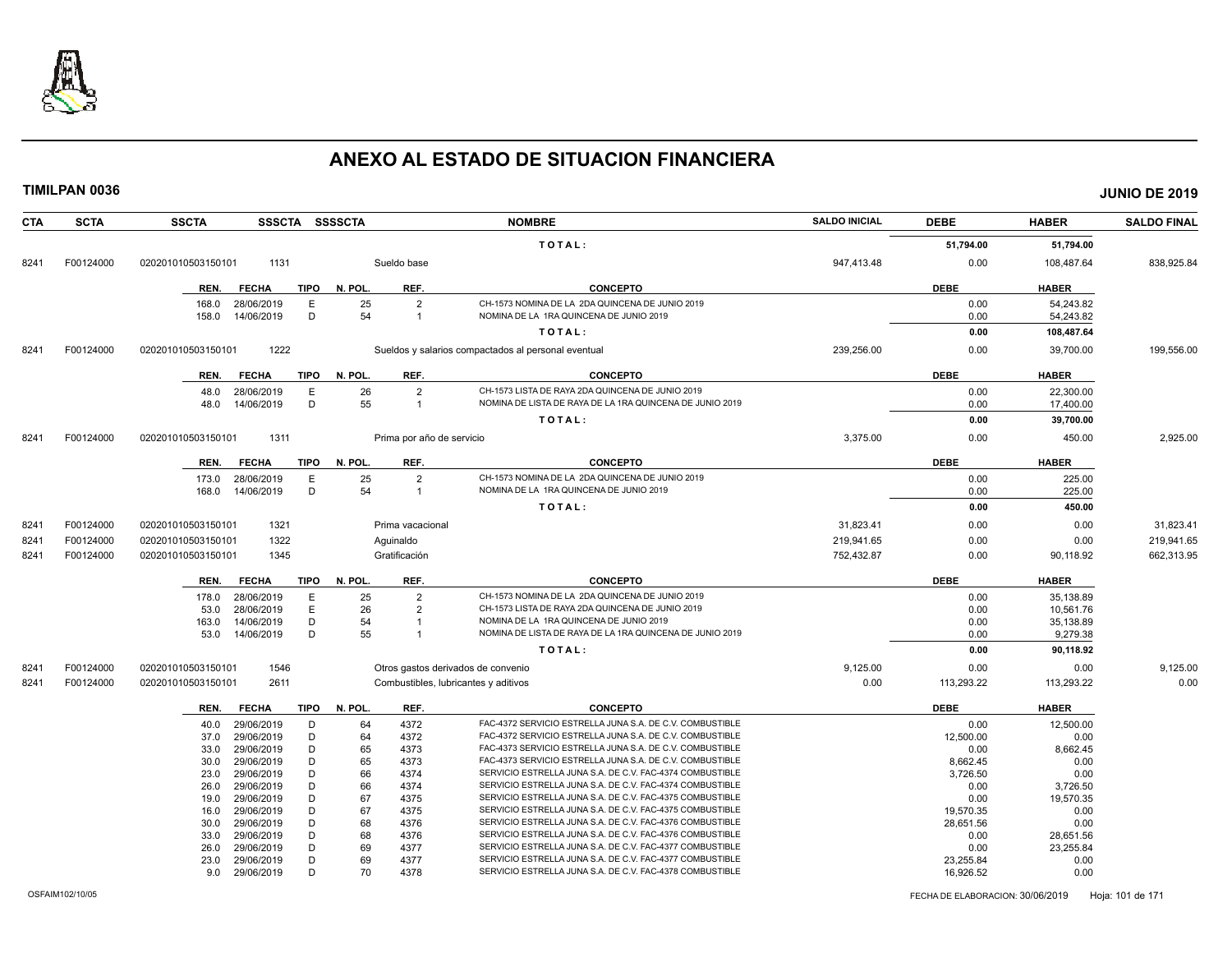

| <b>CTA</b> | <b>SCTA</b> | <b>SSCTA</b><br>SSSCTA SSSSCTA                       |              |                                  | <b>NOMBRE</b>                                                                              | <b>SALDO INICIAL</b> | <b>DEBE</b>  | <b>HABER</b>           | <b>SALDO FINAL</b> |
|------------|-------------|------------------------------------------------------|--------------|----------------------------------|--------------------------------------------------------------------------------------------|----------------------|--------------|------------------------|--------------------|
|            |             |                                                      |              |                                  | TOTAL:                                                                                     |                      | 51,794.00    | 51,794.00              |                    |
| 8241       | F00124000   | 020201010503150101<br>1131                           |              | Sueldo base                      |                                                                                            | 947,413.48           | 0.00         | 108,487.64             | 838,925.84         |
|            |             | <b>FECHA</b><br>TIPO<br>REN.                         | N. POL.      | REF.                             | <b>CONCEPTO</b>                                                                            |                      | <b>DEBE</b>  | <b>HABER</b>           |                    |
|            |             | E<br>28/06/2019<br>168.0                             | 25           | $\overline{2}$                   | CH-1573 NOMINA DE LA 2DA QUINCENA DE JUNIO 2019                                            |                      | 0.00         | 54.243.82              |                    |
|            |             | D<br>158.0<br>14/06/2019                             | 54           | $\overline{1}$                   | NOMINA DE LA 1RA QUINCENA DE JUNIO 2019                                                    |                      | 0.00         | 54,243.82              |                    |
|            |             |                                                      |              |                                  | TOTAL:                                                                                     |                      | 0.00         | 108,487.64             |                    |
| 8241       | F00124000   | 1222<br>020201010503150101                           |              |                                  | Sueldos y salarios compactados al personal eventual                                        | 239,256.00           | 0.00         | 39,700.00              | 199,556.00         |
|            |             | REN.<br><b>FECHA</b>                                 | TIPO N. POL. | REF.                             | <b>CONCEPTO</b>                                                                            |                      | <b>DEBE</b>  | <b>HABER</b>           |                    |
|            |             | Ε<br>48.0<br>28/06/2019                              | 26           | $\overline{2}$                   | CH-1573 LISTA DE RAYA 2DA QUINCENA DE JUNIO 2019                                           |                      | 0.00         | 22,300.00              |                    |
|            |             | D<br>14/06/2019<br>48.0                              | 55           | $\overline{1}$                   | NOMINA DE LISTA DE RAYA DE LA 1RA QUINCENA DE JUNIO 2019                                   |                      | 0.00         | 17,400.00              |                    |
|            |             |                                                      |              |                                  | TOTAL:                                                                                     |                      | 0.00         | 39,700.00              |                    |
| 8241       | F00124000   | 1311<br>020201010503150101                           |              | Prima por año de servicio        |                                                                                            | 3,375.00             | 0.00         | 450.00                 | 2,925.00           |
|            |             | REN.<br><b>FECHA</b><br>TIPO                         | N. POL.      | REF.                             | <b>CONCEPTO</b>                                                                            |                      | <b>DEBE</b>  | <b>HABER</b>           |                    |
|            |             | 28/06/2019<br>E<br>173.0<br>14/06/2019<br>D<br>168.0 | 25<br>54     | $\overline{2}$<br>$\overline{1}$ | CH-1573 NOMINA DE LA 2DA QUINCENA DE JUNIO 2019<br>NOMINA DE LA 1RA QUINCENA DE JUNIO 2019 |                      | 0.00<br>0.00 | 225.00<br>225.00       |                    |
|            |             |                                                      |              |                                  | TOTAL:                                                                                     |                      | 0.00         | 450.00                 |                    |
| 8241       | F00124000   | 1321<br>020201010503150101                           |              | Prima vacacional                 |                                                                                            | 31,823.41            | 0.00         | 0.00                   | 31,823.41          |
| 8241       | F00124000   | 1322<br>020201010503150101                           |              | Aguinaldo                        |                                                                                            | 219,941.65           | 0.00         | 0.00                   | 219,941.65         |
| 8241       | F00124000   | 1345<br>020201010503150101                           |              | Gratificación                    |                                                                                            | 752,432.87           | 0.00         | 90,118.92              | 662,313.95         |
|            |             |                                                      |              |                                  |                                                                                            |                      |              |                        |                    |
|            |             | TIPO<br>REN.<br><b>FECHA</b>                         | N. POL.      | REF.                             | <b>CONCEPTO</b><br>CH-1573 NOMINA DE LA 2DA QUINCENA DE JUNIO 2019                         |                      | <b>DEBE</b>  | <b>HABER</b>           |                    |
|            |             | 178.0<br>28/06/2019<br>E.<br>E<br>28/06/2019<br>53.0 | 25<br>26     | $\overline{2}$<br>$\overline{2}$ | CH-1573 LISTA DE RAYA 2DA QUINCENA DE JUNIO 2019                                           |                      | 0.00<br>0.00 | 35,138.89<br>10.561.76 |                    |
|            |             | D<br>14/06/2019<br>163.0                             | 54           |                                  | NOMINA DE LA 1RA QUINCENA DE JUNIO 2019                                                    |                      | 0.00         | 35,138.89              |                    |
|            |             | 14/06/2019<br>D<br>53.0                              | 55           | $\overline{1}$                   | NOMINA DE LISTA DE RAYA DE LA 1RA QUINCENA DE JUNIO 2019                                   |                      | 0.00         | 9,279.38               |                    |
|            |             |                                                      |              |                                  | TOTAL:                                                                                     |                      | 0.00         | 90,118.92              |                    |
| 8241       | F00124000   | 1546<br>020201010503150101                           |              |                                  | Otros gastos derivados de convenio                                                         | 9,125.00             | 0.00         | 0.00                   | 9,125.00           |
| 8241       | F00124000   | 020201010503150101<br>2611                           |              |                                  | Combustibles, lubricantes y aditivos                                                       | 0.00                 | 113,293.22   | 113,293.22             | 0.00               |
|            |             | <b>FECHA</b><br><b>TIPO</b><br>REN.                  | N. POL.      | REF.                             | <b>CONCEPTO</b>                                                                            |                      | <b>DEBE</b>  | <b>HABER</b>           |                    |
|            |             | 29/06/2019<br>D<br>40.0                              | 64           | 4372                             | FAC-4372 SERVICIO ESTRELLA JUNA S.A. DE C.V. COMBUSTIBLE                                   |                      | 0.00         | 12,500.00              |                    |
|            |             | 29/06/2019<br>D<br>37.0                              | 64           | 4372                             | FAC-4372 SERVICIO ESTRELLA JUNA S.A. DE C.V. COMBUSTIBLE                                   |                      | 12,500.00    | 0.00                   |                    |
|            |             | 29/06/2019<br>D<br>33.0                              | 65           | 4373                             | FAC-4373 SERVICIO ESTRELLA JUNA S.A. DE C.V. COMBUSTIBLE                                   |                      | 0.00         | 8,662.45               |                    |
|            |             | D<br>29/06/2019<br>30.0                              | 65           | 4373                             | FAC-4373 SERVICIO ESTRELLA JUNA S.A. DE C.V. COMBUSTIBLE                                   |                      | 8,662.45     | 0.00                   |                    |
|            |             | D<br>29/06/2019<br>23.0                              | 66           | 4374                             | SERVICIO ESTRELLA JUNA S.A. DE C.V. FAC-4374 COMBUSTIBLE                                   |                      | 3,726.50     | 0.00                   |                    |
|            |             | D<br>29/06/2019<br>26.0                              | 66           | 4374                             | SERVICIO ESTRELLA JUNA S.A. DE C.V. FAC-4374 COMBUSTIBLE                                   |                      | 0.00         | 3,726.50               |                    |
|            |             | 29/06/2019<br>D<br>19.0                              | 67           | 4375                             | SERVICIO ESTRELLA JUNA S.A. DE C.V. FAC-4375 COMBUSTIBLE                                   |                      | 0.00         | 19,570.35              |                    |
|            |             | D<br>29/06/2019<br>16.0                              | 67           | 4375                             | SERVICIO ESTRELLA JUNA S.A. DE C.V. FAC-4375 COMBUSTIBLE                                   |                      | 19,570.35    | 0.00                   |                    |
|            |             | 29/06/2019<br>D<br>30.0                              | 68           | 4376                             | SERVICIO ESTRELLA JUNA S.A. DE C.V. FAC-4376 COMBUSTIBLE                                   |                      | 28,651.56    | 0.00                   |                    |
|            |             | D<br>29/06/2019<br>33.0                              | 68           | 4376                             | SERVICIO ESTRELLA JUNA S.A. DE C.V. FAC-4376 COMBUSTIBLE                                   |                      | 0.00         | 28,651.56              |                    |
|            |             | 29/06/2019<br>D<br>26.0                              | 69           | 4377                             | SERVICIO ESTRELLA JUNA S.A. DE C.V. FAC-4377 COMBUSTIBLE                                   |                      | 0.00         | 23,255.84              |                    |
|            |             | D<br>29/06/2019<br>23.0                              | 69           | 4377                             | SERVICIO ESTRELLA JUNA S.A. DE C.V. FAC-4377 COMBUSTIBLE                                   |                      | 23,255.84    | 0.00                   |                    |
|            |             | D<br>29/06/2019<br>9.0                               | 70           | 4378                             | SERVICIO ESTRELLA JUNA S.A. DE C.V. FAC-4378 COMBUSTIBLE                                   |                      | 16,926.52    | 0.00                   |                    |
|            |             |                                                      |              |                                  |                                                                                            |                      |              |                        |                    |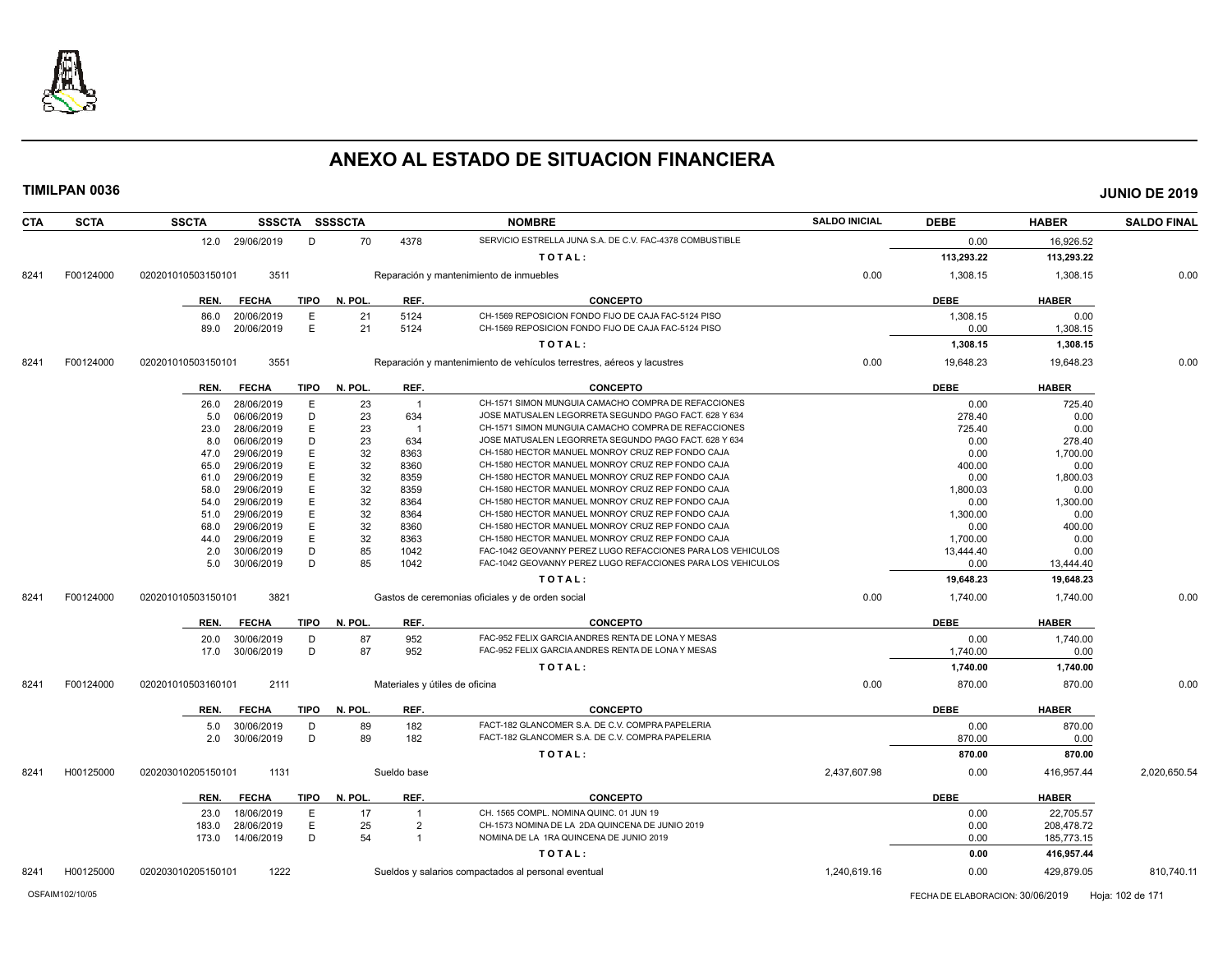

| CTA  | <b>SCTA</b> | <b>SSCTA</b>       |                          |             | SSSCTA SSSSCTA |                                | <b>NOMBRE</b>                                                          | <b>SALDO INICIAL</b> | <b>DEBE</b>      | <b>HABER</b>     | <b>SALDO FINAL</b> |
|------|-------------|--------------------|--------------------------|-------------|----------------|--------------------------------|------------------------------------------------------------------------|----------------------|------------------|------------------|--------------------|
|      |             |                    | 12.0 29/06/2019          | D           | 70             | 4378                           | SERVICIO ESTRELLA JUNA S.A. DE C.V. FAC-4378 COMBUSTIBLE               |                      | 0.00             | 16,926.52        |                    |
|      |             |                    |                          |             |                |                                | TOTAL:                                                                 |                      | 113,293.22       | 113,293.22       |                    |
| 8241 | F00124000   | 020201010503150101 | 3511                     |             |                |                                | Reparación y mantenimiento de inmuebles                                | 0.00                 | 1,308.15         | 1,308.15         | 0.00               |
|      |             | REN.               | <b>FECHA</b>             | <b>TIPO</b> | N. POL.        | REF.                           | <b>CONCEPTO</b>                                                        |                      | <b>DEBE</b>      | <b>HABER</b>     |                    |
|      |             |                    |                          |             |                |                                | CH-1569 REPOSICION FONDO FIJO DE CAJA FAC-5124 PISO                    |                      |                  |                  |                    |
|      |             | 86.0<br>89.0       | 20/06/2019<br>20/06/2019 | Е<br>E      | 21<br>21       | 5124<br>5124                   | CH-1569 REPOSICION FONDO FIJO DE CAJA FAC-5124 PISO                    |                      | 1,308.15<br>0.00 | 0.00<br>1,308.15 |                    |
|      |             |                    |                          |             |                |                                |                                                                        |                      |                  |                  |                    |
|      |             |                    |                          |             |                |                                | TOTAL:                                                                 |                      | 1,308.15         | 1,308.15         |                    |
| 8241 | F00124000   | 020201010503150101 | 3551                     |             |                |                                | Reparación y mantenimiento de vehículos terrestres, aéreos y lacustres | 0.00                 | 19,648.23        | 19,648.23        | 0.00               |
|      |             | REN.               | <b>FECHA</b>             | <b>TIPO</b> | N. POL.        | REF.                           | <b>CONCEPTO</b>                                                        |                      | <b>DEBE</b>      | <b>HABER</b>     |                    |
|      |             | 26.0               | 28/06/2019               | E           | 23             | $\overline{1}$                 | CH-1571 SIMON MUNGUIA CAMACHO COMPRA DE REFACCIONES                    |                      | 0.00             | 725.40           |                    |
|      |             | 5.0                | 06/06/2019               | D           | 23             | 634                            | JOSE MATUSALEN LEGORRETA SEGUNDO PAGO FACT. 628 Y 634                  |                      | 278.40           | 0.00             |                    |
|      |             | 23.0               | 28/06/2019               | E           | 23             |                                | CH-1571 SIMON MUNGUIA CAMACHO COMPRA DE REFACCIONES                    |                      | 725.40           | 0.00             |                    |
|      |             | 8.0                | 06/06/2019               | D           | 23             | 634                            | JOSE MATUSALEN LEGORRETA SEGUNDO PAGO FACT. 628 Y 634                  |                      | 0.00             | 278.40           |                    |
|      |             | 47.0               | 29/06/2019               | Е           | 32             | 8363                           | CH-1580 HECTOR MANUEL MONROY CRUZ REP FONDO CAJA                       |                      | 0.00             | 1,700.00         |                    |
|      |             | 65.0               | 29/06/2019               | E           | 32             | 8360                           | CH-1580 HECTOR MANUEL MONROY CRUZ REP FONDO CAJA                       |                      | 400.00           | 0.00             |                    |
|      |             | 61.0               | 29/06/2019               | E           | 32             | 8359                           | CH-1580 HECTOR MANUEL MONROY CRUZ REP FONDO CAJA                       |                      | 0.00             | 1,800.03         |                    |
|      |             | 58.0               | 29/06/2019               | E           | 32             | 8359                           | CH-1580 HECTOR MANUEL MONROY CRUZ REP FONDO CAJA                       |                      | 1,800.03         | 0.00             |                    |
|      |             | 54.0               | 29/06/2019               | E           | 32             | 8364                           | CH-1580 HECTOR MANUEL MONROY CRUZ REP FONDO CAJA                       |                      | 0.00             | 1,300.00         |                    |
|      |             | 51.0               | 29/06/2019               | Е           | 32             | 8364                           | CH-1580 HECTOR MANUEL MONROY CRUZ REP FONDO CAJA                       |                      | 1,300.00         | 0.00             |                    |
|      |             | 68.0               | 29/06/2019               | E           | 32             | 8360                           | CH-1580 HECTOR MANUEL MONROY CRUZ REP FONDO CAJA                       |                      | 0.00             | 400.00           |                    |
|      |             | 44.0               | 29/06/2019               | Е           | 32             | 8363                           | CH-1580 HECTOR MANUEL MONROY CRUZ REP FONDO CAJA                       |                      | 1.700.00         | 0.00             |                    |
|      |             | 2.0                | 30/06/2019               | D           | 85             | 1042                           | FAC-1042 GEOVANNY PEREZ LUGO REFACCIONES PARA LOS VEHICULOS            |                      | 13,444.40        | 0.00             |                    |
|      |             | 5.0                | 30/06/2019               | D           | 85             | 1042                           | FAC-1042 GEOVANNY PEREZ LUGO REFACCIONES PARA LOS VEHICULOS            |                      | 0.00             | 13,444.40        |                    |
|      |             |                    |                          |             |                |                                | TOTAL:                                                                 |                      | 19,648.23        | 19,648.23        |                    |
| 8241 | F00124000   | 020201010503150101 | 3821                     |             |                |                                | Gastos de ceremonias oficiales y de orden social                       | 0.00                 | 1,740.00         | 1,740.00         | 0.00               |
|      |             | REN.               | <b>FECHA</b>             | <b>TIPO</b> | N. POL.        | REF.                           | <b>CONCEPTO</b>                                                        |                      | <b>DEBE</b>      | <b>HABER</b>     |                    |
|      |             | 20.0               | 30/06/2019               | D           | 87             | 952                            | FAC-952 FELIX GARCIA ANDRES RENTA DE LONA Y MESAS                      |                      | 0.00             | 1,740.00         |                    |
|      |             | 17.0               | 30/06/2019               | D           | 87             | 952                            | FAC-952 FELIX GARCIA ANDRES RENTA DE LONA Y MESAS                      |                      | 1,740.00         | 0.00             |                    |
|      |             |                    |                          |             |                |                                | TOTAL:                                                                 |                      | 1,740.00         | 1,740.00         |                    |
| 8241 | F00124000   | 020201010503160101 | 2111                     |             |                | Materiales y útiles de oficina |                                                                        | 0.00                 | 870.00           | 870.00           | 0.00               |
|      |             | REN.               | <b>FECHA</b>             | <b>TIPO</b> | N. POL.        | REF.                           | <b>CONCEPTO</b>                                                        |                      | <b>DEBE</b>      | <b>HABER</b>     |                    |
|      |             | 5.0                | 30/06/2019               | D           | 89             | 182                            | FACT-182 GLANCOMER S.A. DE C.V. COMPRA PAPELERIA                       |                      | 0.00             | 870.00           |                    |
|      |             | 2.0                | 30/06/2019               | D           | 89             | 182                            | FACT-182 GLANCOMER S.A. DE C.V. COMPRA PAPELERIA                       |                      | 870.00           | 0.00             |                    |
|      |             |                    |                          |             |                |                                | TOTAL:                                                                 |                      | 870.00           | 870.00           |                    |
| 8241 | H00125000   | 020203010205150101 | 1131                     |             |                | Sueldo base                    |                                                                        | 2,437,607.98         | 0.00             | 416,957.44       | 2,020,650.54       |
|      |             | REN.               | <b>FECHA</b>             | <b>TIPO</b> | N. POL.        | REF.                           | <b>CONCEPTO</b>                                                        |                      | <b>DEBE</b>      | <b>HABER</b>     |                    |
|      |             | 23.0               | 18/06/2019               | E           | 17             | $\overline{1}$                 | CH. 1565 COMPL. NOMINA QUINC, 01 JUN 19                                |                      | 0.00             | 22,705.57        |                    |
|      |             | 183.0              | 28/06/2019               | Ε           | 25             | $\overline{2}$                 | CH-1573 NOMINA DE LA 2DA QUINCENA DE JUNIO 2019                        |                      | 0.00             | 208,478.72       |                    |
|      |             | 173.0              | 14/06/2019               | D           | 54             | $\overline{1}$                 | NOMINA DE LA 1RA QUINCENA DE JUNIO 2019                                |                      | 0.00             | 185,773.15       |                    |
|      |             |                    |                          |             |                |                                | TOTAL:                                                                 |                      | 0.00             | 416,957.44       |                    |
| 8241 | H00125000   | 020203010205150101 | 1222                     |             |                |                                | Sueldos y salarios compactados al personal eventual                    | 1,240,619.16         | 0.00             | 429,879.05       | 810,740.11         |
|      |             |                    |                          |             |                |                                |                                                                        |                      |                  |                  |                    |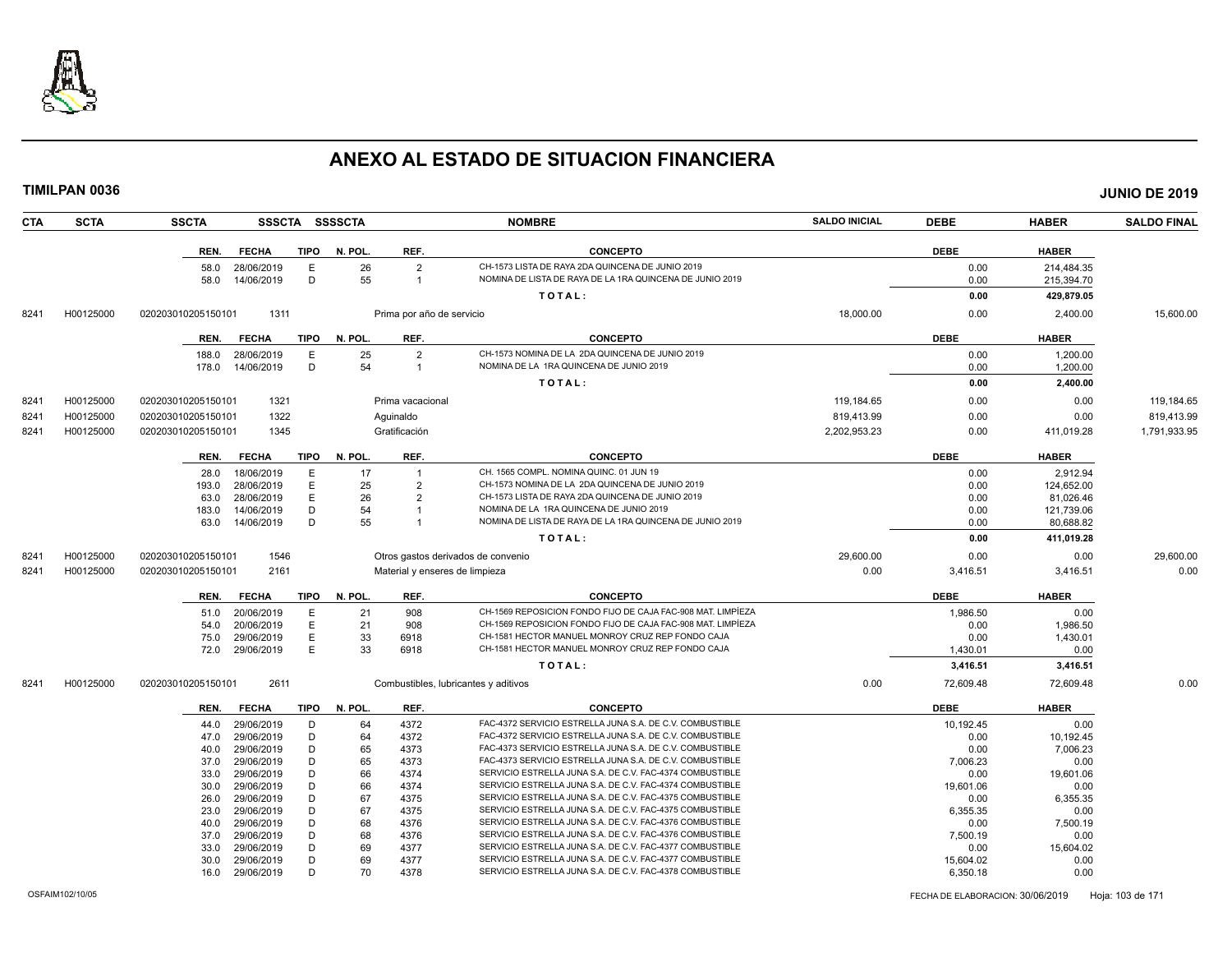

**TIMILPAN 0036 JUNIO DE 2019**

**CTA SCTA SSCTA SSSCTA SSSSCTA NOMBRE SALDO INICIAL DEBE HABER SALDO FINAL REN. FECHA TIPO N. POL. REF. CONCEPTO DEBE HABER** 58.0 28/06/2019 E 26 2 CH-1573 LISTA DE RAYA 2DA QUINCENA DE JUNIO 2019<br>58.0 14/06/2019 D 55 1 NOMINA DE LISTA DE RAYA DE LA 1RA QUINCENA DE JUNIO 2019 DO 2019 0.00 215.394.70 1 NOMINA DE LISTA DE RAYA DE LA 1RA QUINCENA DE JUNIO 2019 **T O T A L : 0.00 429,879.05** 8241 H00125000 020203010205150101 1311 Prima por año de servicio 18,000.00 0.00 2,400.00 15,600.00 **REN. FECHA TIPO N. POL. REF. CONCEPTO DEBE HABER** 188.0 28/06/2019 E 25 2 CH-1573 NOMINA DE LA 2DA QUINCENA DE JUNIO 2019 0.00 1,200.00 1,200.00 178.0 14/06/2019 D 54 1 NOMINA DE LA 1RA QUINCENA DE JUNIO 2019 0.00 1,200.00 1,200.00 **T O T A L : 0.00 2,400.00** 8241 H00125000 020203010205150101 1321 Prima vacacional 119,184.05 119,184.65 0.00 0.00 119,184.65 0.00 119,184.65 8241 H00125000 020203010205150101 1322 Aguinaldo 819,413.99 0.00 0.00 819,413.99 8241 H00125000 020203010205150101 1345 Gratificación 2,202,953.23 0.00 411,019.28 1,791,933.95 **REN. FECHA TIPO N. POL. REF. CONCEPTO DEBE HABER** 28.0 18/06/2019 E 17 1 CH. 1565 COMPL. NOMINA QUINC. 01 JUN 19 0.00 2,912.94 193.0 28/06/2019 E 25 2 CH-1573 NOMINA DE LA 2DA QUINCENA DE JUNIO 2019 0.00 124,652.00 63.0 28/06/2019 E 26 2 CH-1573 LISTA DE RAYA 2DA QUINCENA DE JUNIO 2019 0.00 81,026.46 183.0 14/06/2019 D 54 1 NOMINA DE LA 1RA QUINCENA DE JUNIO 2019 0.00 121,739.06 63.0 14/06/2019 D 55 1 NOMINA DE LISTA DE RAYA DE LA 1RA QUINCENA DE JUNIO 2019 0.00 80,688.82 **T O T A L : 0.00 411,019.28** 8241 H00125000 020203010205150101 1546 Otros gastos derivados de convenio 29,600.00 0.00 0.00 29,600.00 8241 H00125000 020203010205150101 2161 Material y enseres de limpieza 0.00 3,416.51 3,416.51 0.00 **REN. FECHA TIPO N. POL. REF. CONCEPTO DEBE HABER** 51.0 20/06/2019 E 21 908 CH-1569 REPOSICION FONDO FIJO DE CAJA FAC-908 MAT. LIMPÍEZA 1,986.50 1,986.50 0.00 54.0 20/06/2019 E 21 908 CH-1569 REPOSICION FONDO FIJO DE CAJA FAC-908 MAT. LIMPÍEZA 0.00 1,986.50 75.0 29/06/2019 E 33 6918 CH-1581 HECTOR MANUEL MONROY CRUZ REP FONDO CAJA 0.00 1,430.01 72.0 29/06/2019 E 33 6918 CH-1581 HECTOR MANUEL MONROY CRUZ REP FONDO CAJA 1,430.01 0.00 **T O T A L : 3,416.51 3,416.51** 8241 H00125000 020203010205150101 2611 Combustibles, lubricantes y aditivos 0.00 72,609.48 72,609.48 0.00 **REN. FECHA TIPO N. POL. REF. CONCEPTO DEBE HABER** 44.0 29/06/2019 D 64 4372 FAC-4372 SERVICIO ESTRELLA JUNA S.A. DE C.V. COMBUSTIBLE 10,192.45 10,192.45 0.00 47.0 29/06/2019 D 64 4372 FAC-4372 SERVICIO ESTRELLA JUNA S.A. DE C.V. COMBUSTIBLE<br>40.0 29/06/2019 D 65 4373 FAC-4373 SERVICIO ESTRELLA JUNA S.A. DE C.V. COMBUSTIBLE 10.00 0 7,006.23 FAC-4373 SERVICIO ESTRELLA JUNA S.A. DE C.V. COMBUSTIBLE 37.0 29/06/2019 D 65 4373 FAC-4373 SERVICIO ESTRELLA JUNA S.A. DE C.V. COMBUSTIBLE 7,006.23 7,006.23 0.00 33.0 29/06/2019 D 66 4374 SERVICIO ESTRELLA JUNA S.A. DE C.V. FAC-4374 COMBUSTIBLE 0.00 19,601.06 19,601.06 30.0 29/06/2019 D 66 4374 SERVICIO ESTRELLA JUNA S.A. DE C.V. FAC-4374 COMBUSTIBLE 19,601.06 0.00 26.0 29/06/2019 D 67 4375 SERVICIO ESTRELLA JUNA S.A. DE C.V. FAC-4375 COMBUSTIBLE 0.00 6,355.35 23.0 29/06/2019 D 67 4375 SERVICIO ESTRELLA JUNA S.A. DE C.V. FAC-4375 COMBUSTIBLE 6,355.35 6 6,355.35 0.00 40.0 29/06/2019 D 68 4376 SERVICIO ESTRELLA JUNA S.A. DE C.V. FAC-4376 COMBUSTIBLE 0.00 7,500.19

SERVICIO ESTRELLA JUNA S.A. DE C.V. FAC-4376 COMBUSTIBLE

33.0 29/06/2019 D 69 4377 SERVICIO ESTRELLA JUNA S.A. DE C.V. FAC-4377 COMBUSTIBLE 0.00 16,604.02 30.0 29/06/2019 D 69 4377 SERVICIO ESTRELLA JUNA S.A. DE C.V. FAC-4377 COMBUSTIBLE 15,604.02 15,604.02 0.00 16.0 29/06/2019 D 70 4378 SERVICIO ESTRELLA JUNA S.A. DE C.V. FAC-4378 COMBUSTIBLE 6,350.18 6,350.18 0.00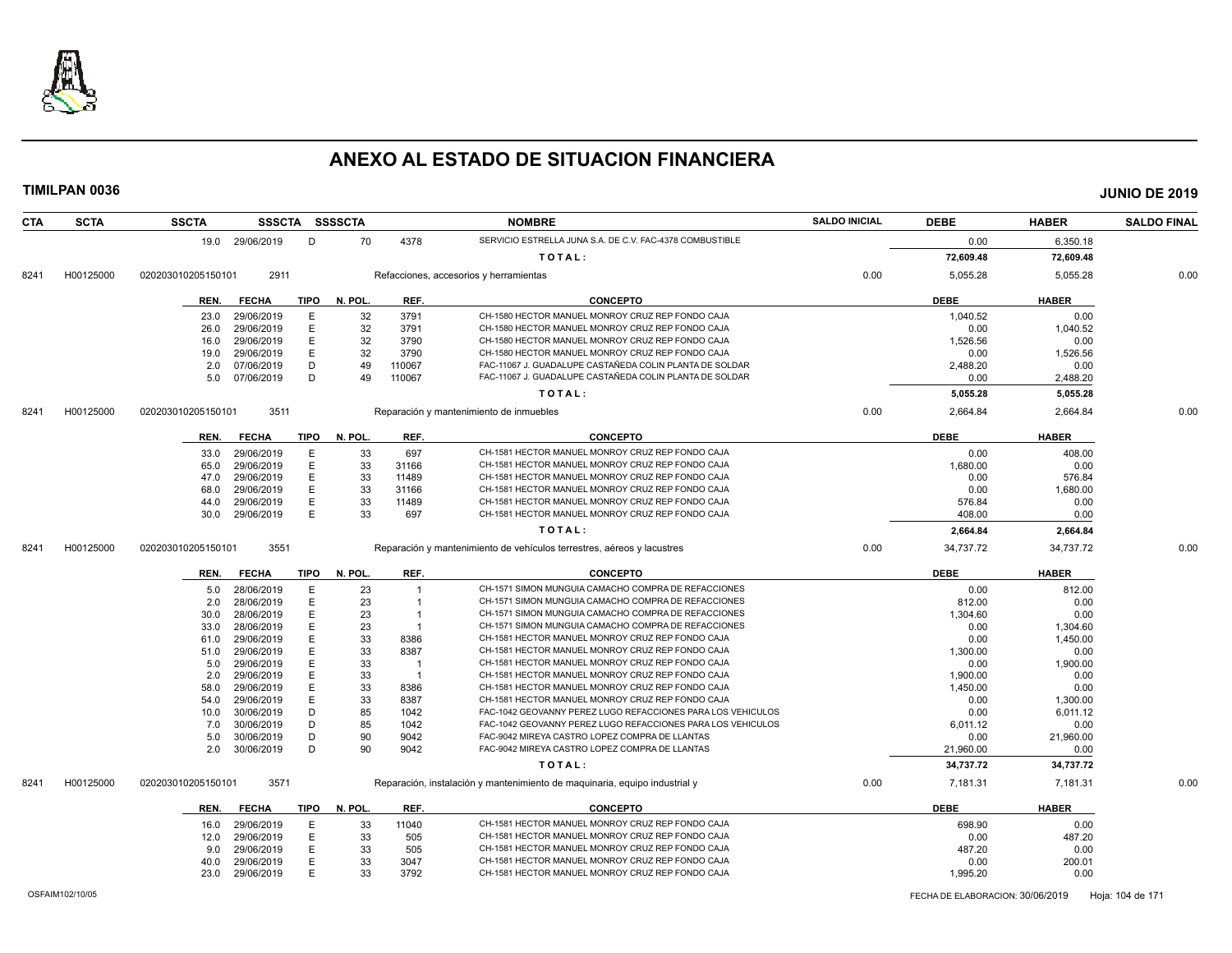

| <b>CTA</b> | <b>SCTA</b> | <b>SSCTA</b>       | <b>SSSCTA</b>   |             | SSSSCTA |        | <b>NOMBRE</b>                                                              | <b>SALDO INICIAL</b> | <b>DEBE</b> | <b>HABER</b> | <b>SALDO FINAL</b> |
|------------|-------------|--------------------|-----------------|-------------|---------|--------|----------------------------------------------------------------------------|----------------------|-------------|--------------|--------------------|
|            |             |                    | 19.0 29/06/2019 | D           | 70      | 4378   | SERVICIO ESTRELLA JUNA S.A. DE C.V. FAC-4378 COMBUSTIBLE                   |                      | 0.00        | 6,350.18     |                    |
|            |             |                    |                 |             |         |        | TOTAL:                                                                     |                      | 72,609.48   | 72,609.48    |                    |
| 8241       | H00125000   | 020203010205150101 | 2911            |             |         |        | Refacciones, accesorios y herramientas                                     | 0.00                 | 5,055.28    | 5,055.28     | 0.00               |
|            |             | REN.               | <b>FECHA</b>    | <b>TIPO</b> | N. POL. | REF.   | <b>CONCEPTO</b>                                                            |                      | <b>DEBE</b> | <b>HABER</b> |                    |
|            |             | 23.0               | 29/06/2019      | E           | 32      | 3791   | CH-1580 HECTOR MANUEL MONROY CRUZ REP FONDO CAJA                           |                      | 1,040.52    | 0.00         |                    |
|            |             | 26.0               | 29/06/2019      | E           | 32      | 3791   | CH-1580 HECTOR MANUEL MONROY CRUZ REP FONDO CAJA                           |                      | 0.00        | 1,040.52     |                    |
|            |             | 16.0               | 29/06/2019      | E           | 32      | 3790   | CH-1580 HECTOR MANUEL MONROY CRUZ REP FONDO CAJA                           |                      | 1,526.56    | 0.00         |                    |
|            |             | 19.0               | 29/06/2019      | E.          | 32      | 3790   | CH-1580 HECTOR MANUEL MONROY CRUZ REP FONDO CAJA                           |                      | 0.00        | 1,526.56     |                    |
|            |             | 2.0                | 07/06/2019      | D           | 49      | 110067 | FAC-11067 J. GUADALUPE CASTAÑEDA COLIN PLANTA DE SOLDAR                    |                      | 2,488.20    | 0.00         |                    |
|            |             | 5.0                | 07/06/2019      | D           | 49      | 110067 | FAC-11067 J. GUADALUPE CASTAÑEDA COLIN PLANTA DE SOLDAR                    |                      | 0.00        | 2,488.20     |                    |
|            |             |                    |                 |             |         |        | TOTAL:                                                                     |                      | 5,055.28    | 5,055.28     |                    |
| 8241       | H00125000   | 020203010205150101 | 3511            |             |         |        | Reparación y mantenimiento de inmuebles                                    | 0.00                 | 2,664.84    | 2,664.84     | 0.00               |
|            |             |                    |                 |             |         |        |                                                                            |                      |             |              |                    |
|            |             | REN.               | <b>FECHA</b>    | <b>TIPO</b> | N. POL. | REF.   | <b>CONCEPTO</b>                                                            |                      | <b>DEBE</b> | <b>HABER</b> |                    |
|            |             | 33.0               | 29/06/2019      | E           | 33      | 697    | CH-1581 HECTOR MANUEL MONROY CRUZ REP FONDO CAJA                           |                      | 0.00        | 408.00       |                    |
|            |             | 65.0               | 29/06/2019      | E           | 33      | 31166  | CH-1581 HECTOR MANUEL MONROY CRUZ REP FONDO CAJA                           |                      | 1,680.00    | 0.00         |                    |
|            |             | 47.0               | 29/06/2019      | E           | 33      | 11489  | CH-1581 HECTOR MANUEL MONROY CRUZ REP FONDO CAJA                           |                      | 0.00        | 576.84       |                    |
|            |             | 68.0               | 29/06/2019      | Е           | 33      | 31166  | CH-1581 HECTOR MANUEL MONROY CRUZ REP FONDO CAJA                           |                      | 0.00        | 1,680.00     |                    |
|            |             | 44.0               | 29/06/2019      | E           | 33      | 11489  | CH-1581 HECTOR MANUEL MONROY CRUZ REP FONDO CAJA                           |                      | 576.84      | 0.00         |                    |
|            |             | 30.0               | 29/06/2019      | E           | 33      | 697    | CH-1581 HECTOR MANUEL MONROY CRUZ REP FONDO CAJA                           |                      | 408.00      | 0.00         |                    |
|            |             |                    |                 |             |         |        | TOTAL:                                                                     |                      | 2,664.84    | 2,664.84     |                    |
| 8241       | H00125000   | 020203010205150101 | 3551            |             |         |        | Reparación y mantenimiento de vehículos terrestres, aéreos y lacustres     | 0.00                 | 34,737.72   | 34,737.72    | 0.00               |
|            |             | REN.               | <b>FECHA</b>    | TIPO        | N. POL. | REF.   | <b>CONCEPTO</b>                                                            |                      | <b>DEBE</b> | <b>HABER</b> |                    |
|            |             | 5.0                | 28/06/2019      | E           | 23      |        | CH-1571 SIMON MUNGUIA CAMACHO COMPRA DE REFACCIONES                        |                      | 0.00        | 812.00       |                    |
|            |             | 2.0                | 28/06/2019      | E           | 23      |        | CH-1571 SIMON MUNGUIA CAMACHO COMPRA DE REFACCIONES                        |                      | 812.00      | 0.00         |                    |
|            |             | 30.0               | 28/06/2019      | E           | 23      | -1     | CH-1571 SIMON MUNGUIA CAMACHO COMPRA DE REFACCIONES                        |                      | 1,304.60    | 0.00         |                    |
|            |             | 33.0               | 28/06/2019      | E           | 23      | - 1    | CH-1571 SIMON MUNGUIA CAMACHO COMPRA DE REFACCIONES                        |                      | 0.00        | 1,304.60     |                    |
|            |             | 61.0               | 29/06/2019      | E           | 33      | 8386   | CH-1581 HECTOR MANUEL MONROY CRUZ REP FONDO CAJA                           |                      | 0.00        | 1,450.00     |                    |
|            |             | 51.0               | 29/06/2019      | E           | 33      | 8387   | CH-1581 HECTOR MANUEL MONROY CRUZ REP FONDO CAJA                           |                      | 1,300.00    | 0.00         |                    |
|            |             | 5.0                | 29/06/2019      | E           | 33      | -1     | CH-1581 HECTOR MANUEL MONROY CRUZ REP FONDO CAJA                           |                      | 0.00        | 1,900.00     |                    |
|            |             | 2.0                | 29/06/2019      | E           | 33      | -1     | CH-1581 HECTOR MANUEL MONROY CRUZ REP FONDO CAJA                           |                      | 1,900.00    | 0.00         |                    |
|            |             | 58.0               | 29/06/2019      | Е           | 33      | 8386   | CH-1581 HECTOR MANUEL MONROY CRUZ REP FONDO CAJA                           |                      | 1,450.00    | 0.00         |                    |
|            |             | 54.0               | 29/06/2019      | E           | 33      | 8387   | CH-1581 HECTOR MANUEL MONROY CRUZ REP FONDO CAJA                           |                      | 0.00        | 1,300.00     |                    |
|            |             | 10.0               | 30/06/2019      | D           | 85      | 1042   | FAC-1042 GEOVANNY PEREZ LUGO REFACCIONES PARA LOS VEHICULOS                |                      | 0.00        | 6,011.12     |                    |
|            |             | 7.0                | 30/06/2019      | D           | 85      | 1042   | FAC-1042 GEOVANNY PEREZ LUGO REFACCIONES PARA LOS VEHICULOS                |                      | 6,011.12    | 0.00         |                    |
|            |             | 5.0                | 30/06/2019      | D           | 90      | 9042   | FAC-9042 MIREYA CASTRO LOPEZ COMPRA DE LLANTAS                             |                      | 0.00        | 21,960.00    |                    |
|            |             | 2.0                | 30/06/2019      | D           | 90      | 9042   | FAC-9042 MIREYA CASTRO LOPEZ COMPRA DE LLANTAS                             |                      | 21,960.00   | 0.00         |                    |
|            |             |                    |                 |             |         |        | TOTAL:                                                                     |                      | 34,737.72   | 34,737.72    |                    |
| 8241       | H00125000   | 020203010205150101 | 3571            |             |         |        | Reparación, instalación y mantenimiento de maquinaria, equipo industrial y | 0.00                 | 7,181.31    | 7,181.31     | 0.00               |
|            |             | REN.               | <b>FECHA</b>    | TIPO        | N. POL. | REF.   | <b>CONCEPTO</b>                                                            |                      | <b>DEBE</b> | <b>HABER</b> |                    |
|            |             | 16.0               | 29/06/2019      | E           | 33      | 11040  | CH-1581 HECTOR MANUEL MONROY CRUZ REP FONDO CAJA                           |                      | 698.90      | 0.00         |                    |
|            |             | 12.0               | 29/06/2019      | E           | 33      | 505    | CH-1581 HECTOR MANUEL MONROY CRUZ REP FONDO CAJA                           |                      | 0.00        | 487.20       |                    |
|            |             | 9.0                | 29/06/2019      | E.          | 33      | 505    | CH-1581 HECTOR MANUEL MONROY CRUZ REP FONDO CAJA                           |                      | 487.20      | 0.00         |                    |
|            |             | 40.0               | 29/06/2019      | E           | 33      | 3047   | CH-1581 HECTOR MANUEL MONROY CRUZ REP FONDO CAJA                           |                      | 0.00        | 200.01       |                    |
|            |             | 23.0               | 29/06/2019      | E           | 33      | 3792   | CH-1581 HECTOR MANUEL MONROY CRUZ REP FONDO CAJA                           |                      | 1,995.20    | 0.00         |                    |
|            |             |                    |                 |             |         |        |                                                                            |                      |             |              |                    |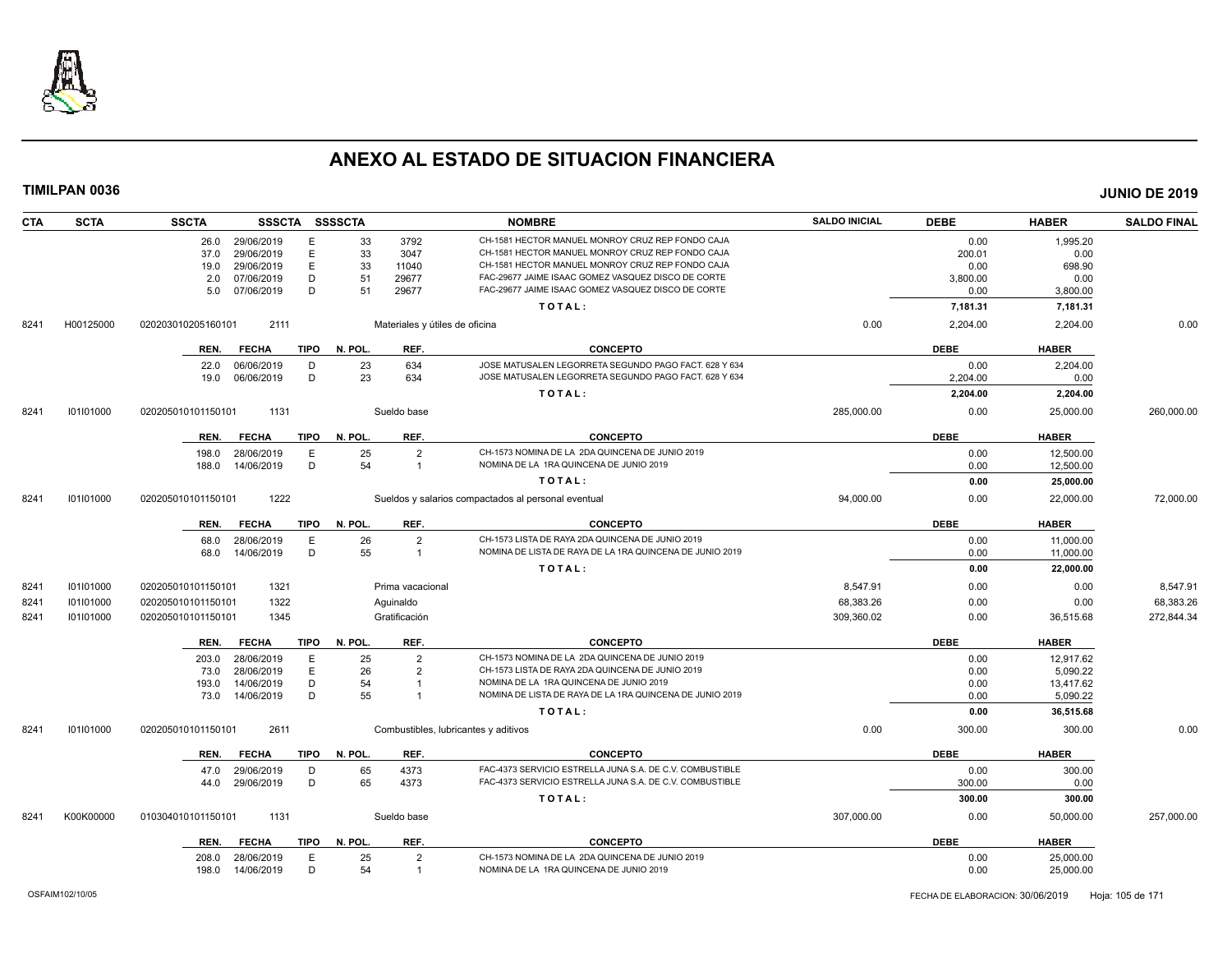

| <b>CTA</b> | <b>SCTA</b> | <b>SSCTA</b>       |                   |             | SSSCTA SSSSCTA |                                | <b>NOMBRE</b>                                            | <b>SALDO INICIAL</b> | <b>DEBE</b> | <b>HABER</b> | <b>SALDO FINAL</b> |
|------------|-------------|--------------------|-------------------|-------------|----------------|--------------------------------|----------------------------------------------------------|----------------------|-------------|--------------|--------------------|
|            |             | 26.0               | 29/06/2019        | Е           | 33             | 3792                           | CH-1581 HECTOR MANUEL MONROY CRUZ REP FONDO CAJA         |                      | 0.00        | 1,995.20     |                    |
|            |             | 37.0               | 29/06/2019        | E           | 33             | 3047                           | CH-1581 HECTOR MANUEL MONROY CRUZ REP FONDO CAJA         |                      | 200.01      | 0.00         |                    |
|            |             | 19.0               | 29/06/2019        | $\mathsf E$ | 33             | 11040                          | CH-1581 HECTOR MANUEL MONROY CRUZ REP FONDO CAJA         |                      | 0.00        | 698.90       |                    |
|            |             | 2.0                | 07/06/2019        | D           | 51             | 29677                          | FAC-29677 JAIME ISAAC GOMEZ VASQUEZ DISCO DE CORTE       |                      | 3,800.00    | 0.00         |                    |
|            |             | 5.0                | 07/06/2019        | D           | 51             | 29677                          | FAC-29677 JAIME ISAAC GOMEZ VASQUEZ DISCO DE CORTE       |                      | 0.00        | 3,800.00     |                    |
|            |             |                    |                   |             |                |                                | TOTAL:                                                   |                      | 7,181.31    | 7,181.31     |                    |
| 8241       | H00125000   | 020203010205160101 | 2111              |             |                | Materiales y útiles de oficina |                                                          | 0.00                 | 2,204.00    | 2,204.00     | 0.00               |
|            |             | REN.               | <b>FECHA</b>      | <b>TIPO</b> | N. POL.        | REF.                           | <b>CONCEPTO</b>                                          |                      | <b>DEBE</b> | <b>HABER</b> |                    |
|            |             | 22.0               | 06/06/2019        | D           | 23             | 634                            | JOSE MATUSALEN LEGORRETA SEGUNDO PAGO FACT. 628 Y 634    |                      | 0.00        | 2,204.00     |                    |
|            |             | 19.0               | 06/06/2019        | D           | 23             | 634                            | JOSE MATUSALEN LEGORRETA SEGUNDO PAGO FACT. 628 Y 634    |                      | 2,204.00    | 0.00         |                    |
|            |             |                    |                   |             |                |                                | TOTAL:                                                   |                      | 2,204.00    | 2,204.00     |                    |
| 8241       | 101101000   | 020205010101150101 | 1131              |             |                | Sueldo base                    |                                                          | 285,000.00           | 0.00        | 25,000.00    | 260,000.00         |
|            |             | REN.               | <b>FECHA</b>      | TIPO        | N. POL.        | REF.                           | <b>CONCEPTO</b>                                          |                      | <b>DEBE</b> | <b>HABER</b> |                    |
|            |             | 198.0              | 28/06/2019        | E           | 25             | $\overline{2}$                 | CH-1573 NOMINA DE LA 2DA QUINCENA DE JUNIO 2019          |                      | 0.00        | 12,500.00    |                    |
|            |             | 188.0              | 14/06/2019        | D           | 54             | $\overline{1}$                 | NOMINA DE LA 1RA QUINCENA DE JUNIO 2019                  |                      | 0.00        | 12,500.00    |                    |
|            |             |                    |                   |             |                |                                | TOTAL:                                                   |                      | 0.00        | 25,000.00    |                    |
| 8241       | 101101000   | 020205010101150101 | 1222              |             |                |                                | Sueldos y salarios compactados al personal eventual      | 94,000.00            | 0.00        | 22,000.00    | 72,000.00          |
|            |             | REN.               | <b>FECHA</b>      | TIPO        | N. POL.        | REF.                           | <b>CONCEPTO</b>                                          |                      | <b>DEBE</b> | <b>HABER</b> |                    |
|            |             | 68.0               | 28/06/2019        | E           | 26             | $\overline{2}$                 | CH-1573 LISTA DE RAYA 2DA QUINCENA DE JUNIO 2019         |                      | 0.00        | 11,000.00    |                    |
|            |             | 68.0               | 14/06/2019        | D           | 55             | $\overline{1}$                 | NOMINA DE LISTA DE RAYA DE LA 1RA QUINCENA DE JUNIO 2019 |                      | 0.00        | 11,000.00    |                    |
|            |             |                    |                   |             |                |                                | TOTAL:                                                   |                      | 0.00        | 22,000.00    |                    |
| 8241       | 101101000   | 020205010101150101 | 1321              |             |                | Prima vacacional               |                                                          | 8.547.91             | 0.00        | 0.00         | 8,547.91           |
| 8241       | 101101000   | 020205010101150101 | 1322              |             |                | Aguinaldo                      |                                                          | 68,383.26            | 0.00        | 0.00         | 68,383.26          |
| 8241       | 101101000   | 020205010101150101 | 1345              |             |                | Gratificación                  |                                                          | 309,360.02           | 0.00        | 36,515.68    | 272,844.34         |
|            |             | REN.               | <b>FECHA</b>      | <b>TIPO</b> | N. POL.        | REF.                           | <b>CONCEPTO</b>                                          |                      | <b>DEBE</b> | <b>HABER</b> |                    |
|            |             | 203.0              | 28/06/2019        | E           | 25             | $\overline{2}$                 | CH-1573 NOMINA DE LA 2DA QUINCENA DE JUNIO 2019          |                      | 0.00        | 12.917.62    |                    |
|            |             | 73.0               | 28/06/2019        | E           | 26             | $\overline{2}$                 | CH-1573 LISTA DE RAYA 2DA QUINCENA DE JUNIO 2019         |                      | 0.00        | 5,090.22     |                    |
|            |             | 193.0              | 14/06/2019        | D           | 54             | -1                             | NOMINA DE LA 1RA QUINCENA DE JUNIO 2019                  |                      | 0.00        | 13,417.62    |                    |
|            |             |                    | 73.0 14/06/2019   | D           | 55             | -1                             | NOMINA DE LISTA DE RAYA DE LA 1RA QUINCENA DE JUNIO 2019 |                      | 0.00        | 5,090.22     |                    |
|            |             |                    |                   |             |                |                                | TOTAL:                                                   |                      | 0.00        | 36,515.68    |                    |
| 8241       | 101101000   | 020205010101150101 | 2611              |             |                |                                | Combustibles, lubricantes y aditivos                     | 0.00                 | 300.00      | 300.00       | 0.00               |
|            |             | REN.               | <b>FECHA</b>      | <b>TIPO</b> | N. POL.        | REF.                           | <b>CONCEPTO</b>                                          |                      | <b>DEBE</b> | <b>HABER</b> |                    |
|            |             | 47.0               | 29/06/2019        | D           | 65             | 4373                           | FAC-4373 SERVICIO ESTRELLA JUNA S.A. DE C.V. COMBUSTIBLE |                      | 0.00        | 300.00       |                    |
|            |             | 44.0               | 29/06/2019        | D           | 65             | 4373                           | FAC-4373 SERVICIO ESTRELLA JUNA S.A. DE C.V. COMBUSTIBLE |                      | 300.00      | 0.00         |                    |
|            |             |                    |                   |             |                |                                | TOTAL:                                                   |                      | 300.00      | 300.00       |                    |
| 8241       | K00K00000   | 010304010101150101 | 1131              |             |                | Sueldo base                    |                                                          | 307,000.00           | 0.00        | 50,000.00    | 257,000.00         |
|            |             | REN.               | <b>FECHA</b>      |             | TIPO N. POL.   | REF.                           | <b>CONCEPTO</b>                                          |                      | <b>DEBE</b> | <b>HABER</b> |                    |
|            |             | 208.0              | 28/06/2019        | Е           | 25             | $\overline{2}$                 | CH-1573 NOMINA DE LA 2DA QUINCENA DE JUNIO 2019          |                      | 0.00        | 25,000.00    |                    |
|            |             |                    | 198.0  14/06/2019 | D           | 54             | $\overline{1}$                 | NOMINA DE LA 1RA QUINCENA DE JUNIO 2019                  |                      | 0.00        | 25,000.00    |                    |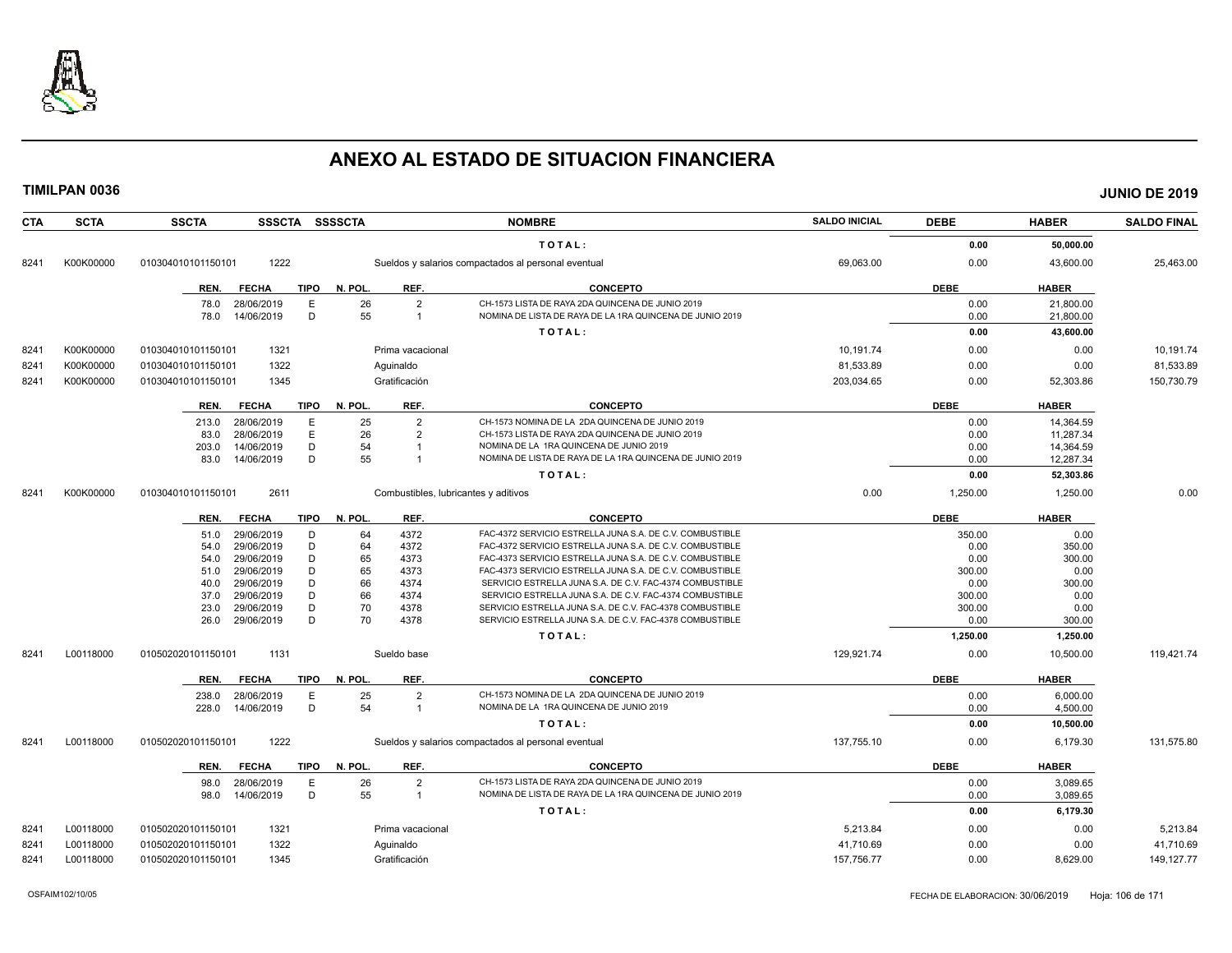

| <b>CTA</b> | <b>SCTA</b> | <b>SSCTA</b><br>SSSCTA SSSSCTA      |                                              | <b>NOMBRE</b>                                                                                                | <b>SALDO INICIAL</b> | <b>DEBE</b> | <b>HABER</b> | <b>SALDO FINAL</b> |
|------------|-------------|-------------------------------------|----------------------------------------------|--------------------------------------------------------------------------------------------------------------|----------------------|-------------|--------------|--------------------|
|            |             |                                     |                                              | TOTAL:                                                                                                       |                      | 0.00        | 50,000.00    |                    |
| 8241       | K00K00000   | 1222<br>010304010101150101          |                                              | Sueldos y salarios compactados al personal eventual                                                          | 69,063.00            | 0.00        | 43,600.00    | 25,463.00          |
|            |             | <b>TIPO</b><br>REN.<br><b>FECHA</b> | N. POL.<br>REF.                              | <b>CONCEPTO</b>                                                                                              |                      | <b>DEBE</b> | <b>HABER</b> |                    |
|            |             | 78.0<br>28/06/2019<br>Ε             | 26<br>$\overline{2}$                         | CH-1573 LISTA DE RAYA 2DA QUINCENA DE JUNIO 2019                                                             |                      | 0.00        | 21,800.00    |                    |
|            |             | D<br>14/06/2019<br>78.0             | 55<br>$\overline{1}$                         | NOMINA DE LISTA DE RAYA DE LA 1RA QUINCENA DE JUNIO 2019                                                     |                      | 0.00        | 21,800.00    |                    |
|            |             |                                     |                                              | TOTAL:                                                                                                       |                      | 0.00        | 43,600.00    |                    |
| 8241       | K00K00000   | 1321<br>010304010101150101          | Prima vacacional                             |                                                                                                              | 10,191.74            | 0.00        | 0.00         | 10,191.74          |
| 8241       | K00K00000   | 1322<br>010304010101150101          | Aguinaldo                                    |                                                                                                              | 81,533.89            | 0.00        | 0.00         | 81,533.89          |
| 8241       | K00K00000   | 1345<br>010304010101150101          | Gratificación                                |                                                                                                              | 203,034.65           | 0.00        | 52,303.86    | 150,730.79         |
|            |             |                                     |                                              |                                                                                                              |                      |             |              |                    |
|            |             | <b>FECHA</b><br><b>TIPO</b><br>REN. | N. POL.<br>REF.                              | <b>CONCEPTO</b>                                                                                              |                      | <b>DEBE</b> | <b>HABER</b> |                    |
|            |             | 28/06/2019<br>Е<br>213.0            | 25<br>$\overline{2}$                         | CH-1573 NOMINA DE LA 2DA QUINCENA DE JUNIO 2019                                                              |                      | 0.00        | 14,364.59    |                    |
|            |             | E<br>28/06/2019<br>83.0             | 26<br>$\overline{2}$                         | CH-1573 LISTA DE RAYA 2DA QUINCENA DE JUNIO 2019                                                             |                      | 0.00        | 11,287.34    |                    |
|            |             | D<br>14/06/2019<br>203.0            | 54                                           | NOMINA DE LA 1RA QUINCENA DE JUNIO 2019                                                                      |                      | 0.00        | 14,364.59    |                    |
|            |             | D<br>14/06/2019<br>83.0             | 55                                           | NOMINA DE LISTA DE RAYA DE LA 1RA QUINCENA DE JUNIO 2019                                                     |                      | 0.00        | 12,287.34    |                    |
|            |             |                                     |                                              | TOTAL:                                                                                                       |                      | 0.00        | 52,303.86    |                    |
| 8241       | K00K00000   | 2611<br>010304010101150101          | Combustibles, lubricantes y aditivos         |                                                                                                              | 0.00                 | 1.250.00    | 1.250.00     | 0.00               |
|            |             | <b>TIPO</b><br>REN.<br><b>FECHA</b> | N. POL.<br>REF.                              | <b>CONCEPTO</b>                                                                                              |                      | <b>DEBE</b> | <b>HABER</b> |                    |
|            |             | 29/06/2019<br>D<br>51.0             | 64<br>4372                                   | FAC-4372 SERVICIO ESTRELLA JUNA S.A. DE C.V. COMBUSTIBLE                                                     |                      | 350.00      | 0.00         |                    |
|            |             | 29/06/2019<br>D<br>54.0             | 64<br>4372                                   | FAC-4372 SERVICIO ESTRELLA JUNA S.A. DE C.V. COMBUSTIBLE                                                     |                      | 0.00        | 350.00       |                    |
|            |             | 29/06/2019<br>D<br>54.0             | 65<br>4373                                   | FAC-4373 SERVICIO ESTRELLA JUNA S.A. DE C.V. COMBUSTIBLE                                                     |                      | 0.00        | 300.00       |                    |
|            |             | D<br>29/06/2019<br>51.0             | 65<br>4373                                   | FAC-4373 SERVICIO ESTRELLA JUNA S.A. DE C.V. COMBUSTIBLE                                                     |                      | 300.00      | 0.00         |                    |
|            |             | D<br>29/06/2019<br>40.0             | 66<br>4374                                   | SERVICIO ESTRELLA JUNA S.A. DE C.V. FAC-4374 COMBUSTIBLE                                                     |                      | 0.00        | 300.00       |                    |
|            |             | 29/06/2019<br>D<br>37.0             | 66<br>4374                                   | SERVICIO ESTRELLA JUNA S.A. DE C.V. FAC-4374 COMBUSTIBLE                                                     |                      | 300.00      | 0.00         |                    |
|            |             | D<br>29/06/2019<br>23.0             | 70<br>4378                                   | SERVICIO ESTRELLA JUNA S.A. DE C.V. FAC-4378 COMBUSTIBLE                                                     |                      | 300.00      | 0.00         |                    |
|            |             | D<br>29/06/2019<br>26.0             | 70<br>4378                                   | SERVICIO ESTRELLA JUNA S.A. DE C.V. FAC-4378 COMBUSTIBLE                                                     |                      | 0.00        | 300.00       |                    |
|            |             |                                     |                                              | TOTAL:                                                                                                       |                      | 1,250.00    | 1,250.00     |                    |
| 8241       | L00118000   | 1131<br>010502020101150101          | Sueldo base                                  |                                                                                                              | 129,921.74           | 0.00        | 10,500.00    | 119,421.74         |
|            |             | <b>FECHA</b><br><b>TIPO</b><br>REN. | REF.<br>N. POL                               | <b>CONCEPTO</b>                                                                                              |                      | <b>DEBE</b> | <b>HABER</b> |                    |
|            |             | 28/06/2019<br>E<br>238.0            | 25<br>$\overline{2}$                         | CH-1573 NOMINA DE LA 2DA QUINCENA DE JUNIO 2019                                                              |                      | 0.00        | 6,000.00     |                    |
|            |             | D<br>14/06/2019<br>228.0            | 54<br>$\overline{1}$                         | NOMINA DE LA 1RA QUINCENA DE JUNIO 2019                                                                      |                      | 0.00        | 4,500.00     |                    |
|            |             |                                     |                                              | TOTAL:                                                                                                       |                      | 0.00        | 10,500.00    |                    |
| 8241       | L00118000   | 1222<br>010502020101150101          |                                              | Sueldos y salarios compactados al personal eventual                                                          | 137,755.10           | 0.00        | 6,179.30     | 131,575.80         |
|            |             |                                     |                                              |                                                                                                              |                      |             |              |                    |
|            |             | REN.<br><b>FECHA</b><br><b>TIPO</b> | N. POL.<br>REF.                              | <b>CONCEPTO</b>                                                                                              |                      | <b>DEBE</b> | <b>HABER</b> |                    |
|            |             | 28/06/2019<br>E<br>98.0<br>D        | 26<br>$\overline{2}$<br>55<br>$\overline{1}$ | CH-1573 LISTA DE RAYA 2DA QUINCENA DE JUNIO 2019<br>NOMINA DE LISTA DE RAYA DE LA 1RA QUINCENA DE JUNIO 2019 |                      | 0.00        | 3,089.65     |                    |
|            |             | 14/06/2019<br>98.0                  |                                              |                                                                                                              |                      | 0.00        | 3,089.65     |                    |
|            |             |                                     |                                              | TOTAL:                                                                                                       |                      | 0.00        | 6,179.30     |                    |
| 8241       | L00118000   | 010502020101150101<br>1321          | Prima vacacional                             |                                                                                                              | 5,213.84             | 0.00        | 0.00         | 5,213.84           |
| 8241       | L00118000   | 1322<br>010502020101150101          | Aquinaldo                                    |                                                                                                              | 41.710.69            | 0.00        | 0.00         | 41,710.69          |
| 8241       | L00118000   | 010502020101150101<br>1345          | Gratificación                                |                                                                                                              | 157,756.77           | 0.00        | 8.629.00     | 149, 127. 77       |
|            |             |                                     |                                              |                                                                                                              |                      |             |              |                    |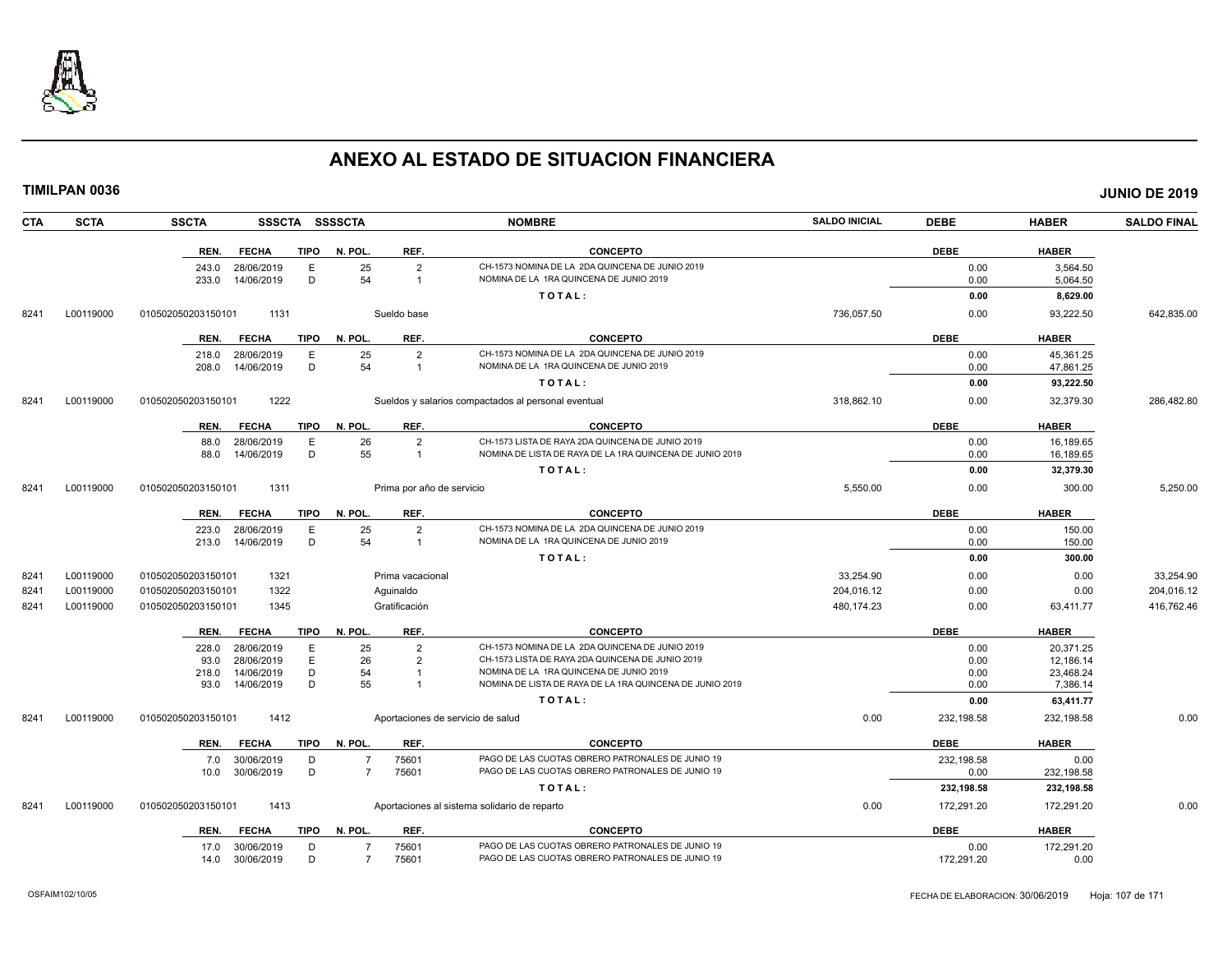

**TIMILPAN 0036 JUNIO DE 2019**

| <b>CTA</b> | <b>SCTA</b> | <b>SSCTA</b>       | <b>SSSCTA</b>            | <b>SSSSCTA</b> |                |                           | <b>NOMBRE</b>                                                                                       | <b>SALDO INICIAL</b> | <b>DEBE</b>  | <b>HABER</b>          | <b>SALDO FINAL</b> |
|------------|-------------|--------------------|--------------------------|----------------|----------------|---------------------------|-----------------------------------------------------------------------------------------------------|----------------------|--------------|-----------------------|--------------------|
|            |             | REN.               | <b>FECHA</b>             | <b>TIPO</b>    | N. POL.        | REF.                      | <b>CONCEPTO</b>                                                                                     |                      | <b>DEBE</b>  | <b>HABER</b>          |                    |
|            |             | 243.0              | 28/06/2019               | E              | 25             | $\overline{2}$            | CH-1573 NOMINA DE LA 2DA QUINCENA DE JUNIO 2019                                                     |                      | 0.00         | 3,564.50              |                    |
|            |             | 233.0              | 14/06/2019               | D              | 54             | $\mathbf{1}$              | NOMINA DE LA 1RA QUINCENA DE JUNIO 2019                                                             |                      | 0.00         | 5,064.50              |                    |
|            |             |                    |                          |                |                |                           | TOTAL:                                                                                              |                      | 0.00         | 8,629.00              |                    |
| 8241       | L00119000   | 010502050203150101 | 1131                     |                |                | Sueldo base               |                                                                                                     | 736,057.50           | 0.00         | 93,222.50             | 642,835.00         |
|            |             | REN.               | <b>FECHA</b>             | <b>TIPO</b>    | N. POL         | REF.                      | <b>CONCEPTO</b>                                                                                     |                      | <b>DEBE</b>  | <b>HABER</b>          |                    |
|            |             | 218.0              | 28/06/2019               | E              | 25             | $\overline{2}$            | CH-1573 NOMINA DE LA 2DA QUINCENA DE JUNIO 2019                                                     |                      | 0.00         | 45,361.25             |                    |
|            |             | 208.0              | 14/06/2019               | D              | 54             | 1                         | NOMINA DE LA 1RA QUINCENA DE JUNIO 2019                                                             |                      | 0.00         | 47,861.25             |                    |
|            |             |                    |                          |                |                |                           | TOTAL:                                                                                              |                      | 0.00         | 93,222.50             |                    |
| 8241       | L00119000   | 010502050203150101 | 1222                     |                |                |                           | Sueldos y salarios compactados al personal eventual                                                 | 318,862.10           | 0.00         | 32,379.30             | 286,482.80         |
|            |             | REN.               | <b>FECHA</b>             | <b>TIPO</b>    | N. POL         | REF.                      | <b>CONCEPTO</b>                                                                                     |                      | <b>DEBE</b>  | <b>HABER</b>          |                    |
|            |             | 88.0               | 28/06/2019               | E              | 26             | $\overline{2}$            | CH-1573 LISTA DE RAYA 2DA QUINCENA DE JUNIO 2019                                                    |                      | 0.00         | 16.189.65             |                    |
|            |             | 88.0               | 14/06/2019               | D              | 55             |                           | NOMINA DE LISTA DE RAYA DE LA 1RA QUINCENA DE JUNIO 2019                                            |                      | 0.00         | 16,189.65             |                    |
|            |             |                    |                          |                |                |                           | TOTAL:                                                                                              |                      | 0.00         | 32,379.30             |                    |
| 8241       | L00119000   | 01050205020315010  | 1311                     |                |                | Prima por año de servicio |                                                                                                     | 5,550.00             | 0.00         | 300.00                | 5,250.00           |
|            |             | REN.               | <b>FECHA</b>             | <b>TIPO</b>    | N. POL         | REF.                      | <b>CONCEPTO</b>                                                                                     |                      | <b>DEBE</b>  | <b>HABER</b>          |                    |
|            |             | 223.0              | 28/06/2019               | E              | 25             | $\overline{2}$            | CH-1573 NOMINA DE LA 2DA QUINCENA DE JUNIO 2019                                                     |                      | 0.00         | 150.00                |                    |
|            |             | 213.0              | 14/06/2019               | D              | 54             | $\overline{1}$            | NOMINA DE LA 1RA QUINCENA DE JUNIO 2019                                                             |                      | 0.00         | 150.00                |                    |
|            |             |                    |                          |                |                |                           | TOTAL:                                                                                              |                      | 0.00         | 300.00                |                    |
| 8241       | L00119000   | 010502050203150101 | 1321                     |                |                | Prima vacacional          |                                                                                                     | 33,254.90            | 0.00         | 0.00                  | 33,254.90          |
| 8241       | L00119000   | 010502050203150101 | 1322                     |                |                | Aquinaldo                 |                                                                                                     | 204,016.12           | 0.00         | 0.00                  | 204,016.12         |
| 8241       | L00119000   | 010502050203150101 | 1345                     |                |                | Gratificación             |                                                                                                     | 480.174.23           | 0.00         | 63,411.77             | 416.762.46         |
|            |             | REN.               | <b>FECHA</b>             | <b>TIPO</b>    | N. POL         | REF.                      | <b>CONCEPTO</b>                                                                                     |                      | <b>DEBE</b>  | <b>HABER</b>          |                    |
|            |             | 228.0              | 28/06/2019               | E              | 25             | $\overline{2}$            | CH-1573 NOMINA DE LA 2DA QUINCENA DE JUNIO 2019                                                     |                      | 0.00         | 20,371.25             |                    |
|            |             | 93.0               | 28/06/2019               | E              | 26             | 2                         | CH-1573 LISTA DE RAYA 2DA QUINCENA DE JUNIO 2019                                                    |                      | 0.00         | 12,186.14             |                    |
|            |             | 218.0<br>93.0      | 14/06/2019<br>14/06/2019 | D<br>D         | 54<br>55       | $\overline{1}$            | NOMINA DE LA 1RA QUINCENA DE JUNIO 2019<br>NOMINA DE LISTA DE RAYA DE LA 1RA QUINCENA DE JUNIO 2019 |                      | 0.00<br>0.00 | 23,468.24<br>7,386.14 |                    |
|            |             |                    |                          |                |                |                           | TOTAL:                                                                                              |                      | 0.00         | 63,411.77             |                    |
| 8241       | L00119000   | 010502050203150101 | 1412                     |                |                |                           | Aportaciones de servicio de salud                                                                   | 0.00                 | 232,198.58   | 232,198.58            | 0.00               |
|            |             | REN.               | <b>FECHA</b>             | <b>TIPO</b>    | N. POL         | REF.                      | <b>CONCEPTO</b>                                                                                     |                      | <b>DEBE</b>  | <b>HABER</b>          |                    |
|            |             | 7.0                | 30/06/2019               | D              |                | 75601                     | PAGO DE LAS CUOTAS OBRERO PATRONALES DE JUNIO 19                                                    |                      | 232,198.58   | 0.00                  |                    |
|            |             | 10.0               | 30/06/2019               | D              | $\overline{7}$ | 75601                     | PAGO DE LAS CUOTAS OBRERO PATRONALES DE JUNIO 19                                                    |                      | 0.00         | 232,198.58            |                    |
|            |             |                    |                          |                |                |                           | TOTAL:                                                                                              |                      | 232,198.58   | 232,198.58            |                    |
| 8241       | L00119000   | 010502050203150101 | 1413                     |                |                |                           | Aportaciones al sistema solidario de reparto                                                        | 0.00                 | 172,291.20   | 172,291.20            | 0.00               |
|            |             | REN.               | <b>FECHA</b>             | <b>TIPO</b>    | N. POL.        | REF.                      | <b>CONCEPTO</b>                                                                                     |                      | <b>DEBE</b>  | <b>HABER</b>          |                    |
|            |             | 17.0 30/06/2019    |                          | D              | $\overline{7}$ | 75601                     | PAGO DE LAS CUOTAS OBRERO PATRONALES DE JUNIO 19                                                    |                      | 0.00         | 172,291.20            |                    |

14.0 30/06/2019 D 7 75601 PAGO DE LAS CUOTAS OBRERO PATRONALES DE JUNIO 19 172,291.20 172,291.20 0.00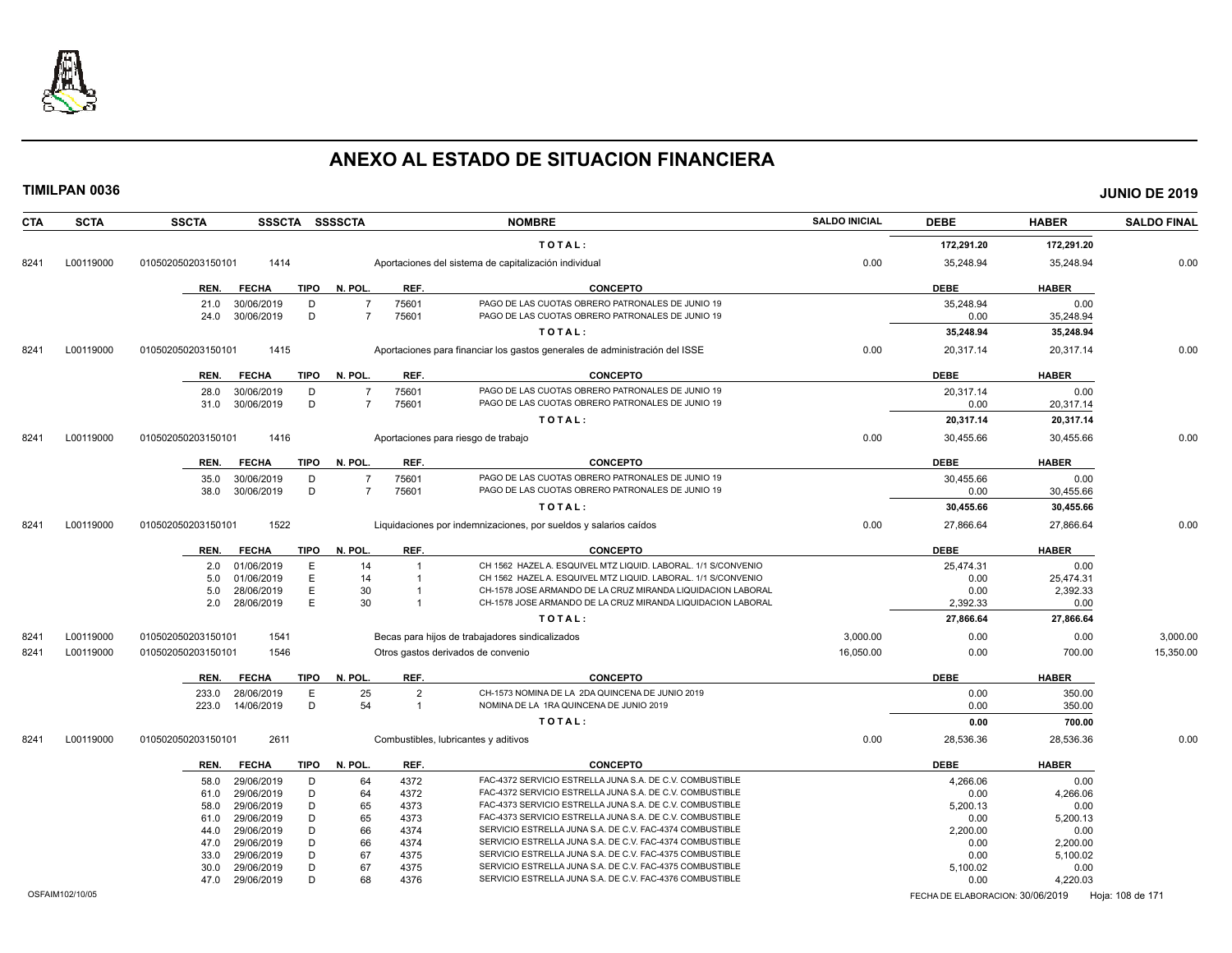

|      | <b>TIMILPAN 0036</b> |                    |                          |             |                |                                |                                                                                                                            |                      |                  |                  | <b>JUNIO DE 2019</b> |
|------|----------------------|--------------------|--------------------------|-------------|----------------|--------------------------------|----------------------------------------------------------------------------------------------------------------------------|----------------------|------------------|------------------|----------------------|
| CTA  | <b>SCTA</b>          | <b>SSCTA</b>       |                          |             | SSSCTA SSSSCTA |                                | <b>NOMBRE</b>                                                                                                              | <b>SALDO INICIAL</b> | <b>DEBE</b>      | <b>HABER</b>     | <b>SALDO FINAL</b>   |
|      |                      |                    |                          |             |                |                                | TOTAL:                                                                                                                     |                      | 172,291.20       | 172,291.20       |                      |
| 8241 | L00119000            | 010502050203150101 | 1414                     |             |                |                                | Aportaciones del sistema de capitalización individual                                                                      | 0.00                 | 35,248.94        | 35,248.94        | 0.00                 |
|      |                      | REN.               | <b>FECHA</b>             | TIPO        | N. POL.        | REF.                           | <b>CONCEPTO</b>                                                                                                            |                      | <b>DEBE</b>      | <b>HABER</b>     |                      |
|      |                      | 21.0               | 30/06/2019               | D           | $\overline{7}$ | 75601                          | PAGO DE LAS CUOTAS OBRERO PATRONALES DE JUNIO 19                                                                           |                      | 35,248.94        | 0.00             |                      |
|      |                      | 24.0               | 30/06/2019               | D           | $\overline{7}$ | 75601                          | PAGO DE LAS CUOTAS OBRERO PATRONALES DE JUNIO 19                                                                           |                      | 0.00             | 35,248.94        |                      |
|      |                      |                    |                          |             |                |                                | TOTAL:                                                                                                                     |                      | 35,248.94        | 35,248.94        |                      |
| 8241 | L00119000            | 010502050203150101 | 1415                     |             |                |                                | Aportaciones para financiar los gastos generales de administración del ISSE                                                | 0.00                 | 20,317.14        | 20,317.14        | 0.00                 |
|      |                      | REN.               | <b>FECHA</b>             | <b>TIPO</b> | N. POL.        | REF.                           | <b>CONCEPTO</b>                                                                                                            |                      | <b>DEBE</b>      | <b>HABER</b>     |                      |
|      |                      | 28.0               | 30/06/2019               | D           | $\overline{7}$ | 75601                          | PAGO DE LAS CUOTAS OBRERO PATRONALES DE JUNIO 19                                                                           |                      | 20,317.14        | 0.00             |                      |
|      |                      | 31.0               | 30/06/2019               | D           | $\overline{7}$ | 75601                          | PAGO DE LAS CUOTAS OBRERO PATRONALES DE JUNIO 19                                                                           |                      | 0.00             | 20,317.14        |                      |
|      |                      |                    |                          |             |                |                                | TOTAL:                                                                                                                     |                      | 20,317.14        | 20,317.14        |                      |
| 8241 | L00119000            | 010502050203150101 | 1416                     |             |                |                                | Aportaciones para riesgo de trabajo                                                                                        | 0.00                 | 30,455.66        | 30,455.66        | 0.00                 |
|      |                      | REN.               | <b>FECHA</b>             | <b>TIPO</b> | N. POL.        | REF.                           | <b>CONCEPTO</b>                                                                                                            |                      | <b>DEBE</b>      | <b>HABER</b>     |                      |
|      |                      | 35.0               | 30/06/2019               | D           | $\overline{7}$ | 75601                          | PAGO DE LAS CUOTAS OBRERO PATRONALES DE JUNIO 19                                                                           |                      | 30,455.66        | 0.00             |                      |
|      |                      | 38.0               | 30/06/2019               | D           | $\overline{7}$ | 75601                          | PAGO DE LAS CUOTAS OBRERO PATRONALES DE JUNIO 19                                                                           |                      | 0.00             | 30,455.66        |                      |
|      |                      |                    |                          |             |                |                                | TOTAL:                                                                                                                     |                      | 30,455.66        | 30,455.66        |                      |
| 8241 | L00119000            | 010502050203150101 | 1522                     |             |                |                                | Liquidaciones por indemnizaciones, por sueldos y salarios caídos                                                           | 0.00                 | 27,866.64        | 27,866.64        | 0.00                 |
|      |                      | REN.               | <b>FECHA</b>             | TIPO        | N. POL.        | REF.                           | <b>CONCEPTO</b>                                                                                                            |                      | <b>DEBE</b>      | <b>HABER</b>     |                      |
|      |                      | 2.0                | 01/06/2019               | E           | 14             | $\overline{1}$                 | CH 1562 HAZEL A. ESQUIVEL MTZ LIQUID. LABORAL. 1/1 S/CONVENIO                                                              |                      | 25,474.31        | 0.00             |                      |
|      |                      | 5.0                | 01/06/2019               | E           | 14             | $\overline{1}$                 | CH 1562 HAZEL A. ESQUIVEL MTZ LIQUID. LABORAL. 1/1 S/CONVENIO                                                              |                      | 0.00             | 25,474.31        |                      |
|      |                      | 5.0<br>2.0         | 28/06/2019<br>28/06/2019 | E<br>E      | 30<br>30       | $\overline{1}$<br>$\mathbf{1}$ | CH-1578 JOSE ARMANDO DE LA CRUZ MIRANDA LIQUIDACION LABORAL<br>CH-1578 JOSE ARMANDO DE LA CRUZ MIRANDA LIQUIDACION LABORAL |                      | 0.00<br>2,392.33 | 2,392.33<br>0.00 |                      |
|      |                      |                    |                          |             |                |                                | TOTAL:                                                                                                                     |                      | 27,866.64        | 27,866.64        |                      |
|      |                      |                    |                          |             |                |                                |                                                                                                                            |                      |                  |                  |                      |
| 8241 | L00119000            | 010502050203150101 | 1541                     |             |                |                                | Becas para hijos de trabajadores sindicalizados                                                                            | 3,000.00             | 0.00             | 0.00             | 3,000.00             |
| 8241 | L00119000            | 010502050203150101 | 1546                     |             |                |                                | Otros gastos derivados de convenio                                                                                         | 16,050.00            | 0.00             | 700.00           | 15,350.00            |
|      |                      | REN.               | FECHA                    | TIPO        | N. POL.        | REF.                           | <b>CONCEPTO</b>                                                                                                            |                      | <b>DEBE</b>      | <b>HABER</b>     |                      |
|      |                      | 233.0              | 28/06/2019               | $\mathsf E$ | 25             | $\overline{2}$                 | CH-1573 NOMINA DE LA 2DA QUINCENA DE JUNIO 2019                                                                            |                      | 0.00             | 350.00           |                      |
|      |                      | 223.0              | 14/06/2019               | D           | 54             | $\mathbf{1}$                   | NOMINA DE LA 1RA QUINCENA DE JUNIO 2019                                                                                    |                      | 0.00             | 350.00           |                      |
|      |                      |                    |                          |             |                |                                | TOTAL:                                                                                                                     |                      | 0.00             | 700.00           |                      |
| 8241 | L00119000            | 010502050203150101 | 2611                     |             |                |                                | Combustibles, lubricantes y aditivos                                                                                       | 0.00                 | 28,536.36        | 28,536.36        | 0.00                 |
|      |                      | REN.               | <b>FECHA</b>             | <b>TIPO</b> | N. POL.        | REF.                           | <b>CONCEPTO</b>                                                                                                            |                      | <b>DEBE</b>      | <b>HABER</b>     |                      |
|      |                      | 58.0               | 29/06/2019               | D           | 64             | 4372                           | FAC-4372 SERVICIO ESTRELLA JUNA S.A. DE C.V. COMBUSTIBLE                                                                   |                      | 4,266.06         | 0.00             |                      |
|      |                      | 61.0               | 29/06/2019               | D           | 64             | 4372                           | FAC-4372 SERVICIO ESTRELLA JUNA S.A. DE C.V. COMBUSTIBLE                                                                   |                      | 0.00             | 4,266.06         |                      |
|      |                      | 58.0               | 29/06/2019               | D           | 65             | 4373                           | FAC-4373 SERVICIO ESTRELLA JUNA S.A. DE C.V. COMBUSTIBLE                                                                   |                      | 5,200.13         | 0.00             |                      |
|      |                      | 61.0<br>44.0       | 29/06/2019<br>29/06/2019 | D<br>D      | 65<br>66       | 4373<br>4374                   | FAC-4373 SERVICIO ESTRELLA JUNA S.A. DE C.V. COMBUSTIBLE<br>SERVICIO ESTRELLA JUNA S.A. DE C.V. FAC-4374 COMBUSTIBLE       |                      | 0.00<br>2,200.00 | 5,200.13<br>0.00 |                      |
|      |                      | 47.0               | 29/06/2019               | D           | 66             | 4374                           | SERVICIO ESTRELLA JUNA S.A. DE C.V. FAC-4374 COMBUSTIBLE                                                                   |                      | 0.00             | 2,200.00         |                      |
|      |                      | 33.0               | 29/06/2019               | D           | 67             | 4375                           | SERVICIO ESTRELLA JUNA S.A. DE C.V. FAC-4375 COMBUSTIBLE                                                                   |                      | 0.00             | 5,100.02         |                      |
|      |                      | 30.0               | 29/06/2019               | D           | 67             | 4375                           | SERVICIO ESTRELLA JUNA S.A. DE C.V. FAC-4375 COMBUSTIBLE                                                                   |                      | 5,100.02         | 0.00             |                      |
|      |                      | 47.0               | 29/06/2019               | D.          | 68             | 4376                           | SERVICIO ESTRELLA JUNA S.A. DE C.V. FAC-4376 COMBUSTIBLE                                                                   |                      | 0.00             | 4.220.03         |                      |
|      |                      |                    |                          |             |                |                                |                                                                                                                            |                      |                  |                  |                      |

OSFAIM102/10/05 FECHA DE ELABORACION: 30/06/2019 Hoja: 108 de 171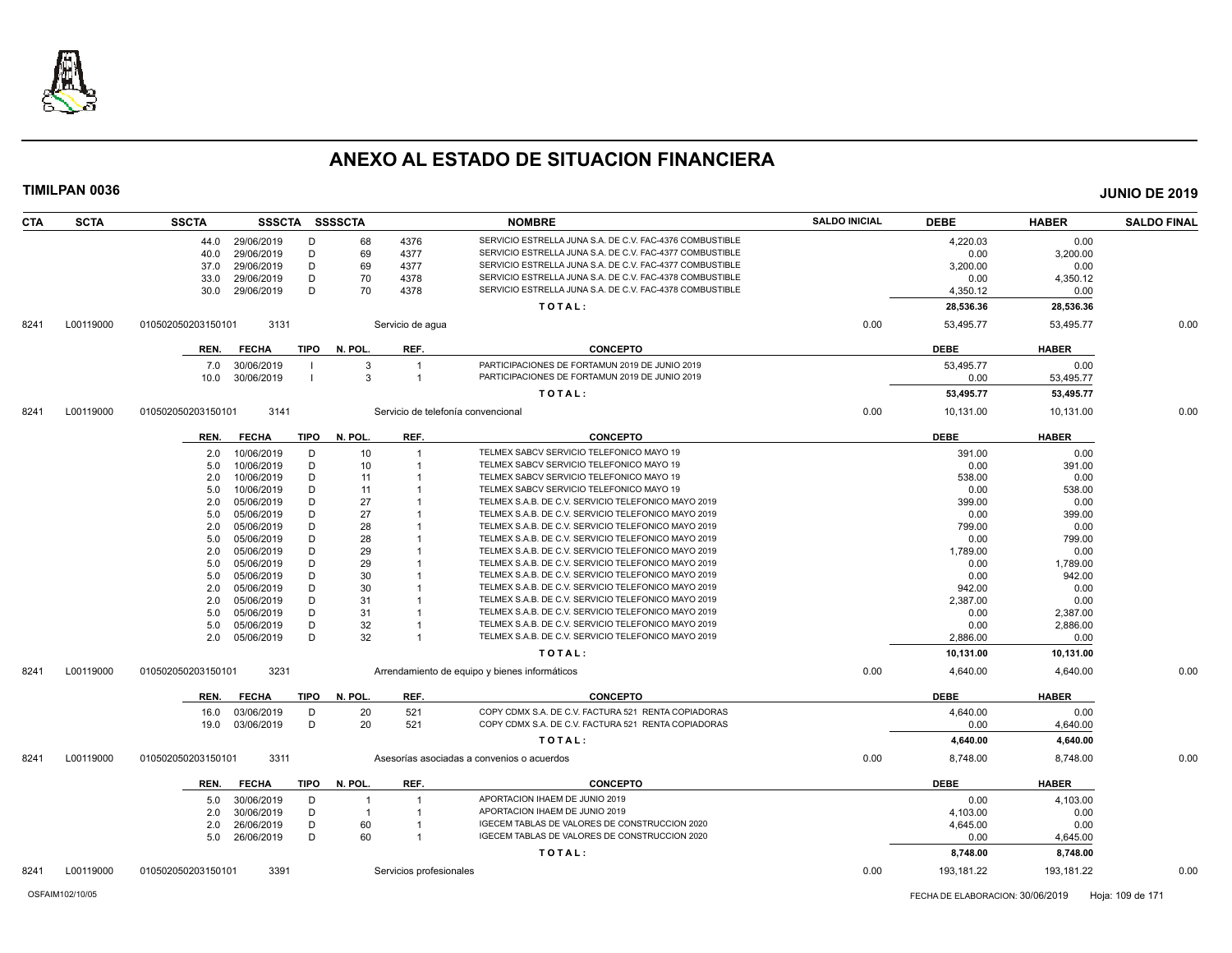

| <b>CTA</b> | <b>SCTA</b> | <b>SSCTA</b>       |              |             | SSSCTA SSSSCTA |                         | <b>NOMBRE</b>                                                                   | <b>SALDO INICIAL</b> | <b>DEBE</b>      | <b>HABER</b>         | <b>SALDO FINAL</b> |
|------------|-------------|--------------------|--------------|-------------|----------------|-------------------------|---------------------------------------------------------------------------------|----------------------|------------------|----------------------|--------------------|
|            |             | 44.0               | 29/06/2019   | D           | 68             | 4376                    | SERVICIO ESTRELLA JUNA S.A. DE C.V. FAC-4376 COMBUSTIBLE                        |                      | 4,220.03         | 0.00                 |                    |
|            |             | 40.0               | 29/06/2019   | D           | 69             | 4377                    | SERVICIO ESTRELLA JUNA S.A. DE C.V. FAC-4377 COMBUSTIBLE                        |                      | 0.00             | 3,200.00             |                    |
|            |             | 37.0               | 29/06/2019   | D           | 69             | 4377                    | SERVICIO ESTRELLA JUNA S.A. DE C.V. FAC-4377 COMBUSTIBLE                        |                      | 3,200.00         | 0.00                 |                    |
|            |             | 33.0               | 29/06/2019   | D           | 70             | 4378                    | SERVICIO ESTRELLA JUNA S.A. DE C.V. FAC-4378 COMBUSTIBLE                        |                      | 0.00             | 4,350.12             |                    |
|            |             | 30.0               | 29/06/2019   | D           | 70             | 4378                    | SERVICIO ESTRELLA JUNA S.A. DE C.V. FAC-4378 COMBUSTIBLE                        |                      | 4,350.12         | 0.00                 |                    |
|            |             |                    |              |             |                |                         | TOTAL:                                                                          |                      | 28,536.36        | 28,536.36            |                    |
| 8241       | L00119000   | 010502050203150101 | 3131         |             |                | Servicio de aqua        |                                                                                 | 0.00                 | 53,495.77        | 53,495.77            | 0.00               |
|            |             | REN.               | <b>FECHA</b> | TIPO        | N. POL.        | REF.                    | <b>CONCEPTO</b>                                                                 |                      | <b>DEBE</b>      | <b>HABER</b>         |                    |
|            |             | 7.0                | 30/06/2019   |             | -3             | $\overline{1}$          | PARTICIPACIONES DE FORTAMUN 2019 DE JUNIO 2019                                  |                      | 53,495.77        | 0.00                 |                    |
|            |             | 10.0               | 30/06/2019   |             | $\mathbf{3}$   | $\overline{1}$          | PARTICIPACIONES DE FORTAMUN 2019 DE JUNIO 2019                                  |                      | 0.00             | 53,495.77            |                    |
|            |             |                    |              |             |                |                         | TOTAL:                                                                          |                      | 53,495.77        | 53,495.77            |                    |
| 8241       | L00119000   | 010502050203150101 | 3141         |             |                |                         | Servicio de telefonía convencional                                              | 0.00                 | 10,131.00        | 10,131.00            | 0.00               |
|            |             | REN.               | <b>FECHA</b> | <b>TIPO</b> | N. POL.        | REF.                    | <b>CONCEPTO</b>                                                                 |                      | <b>DEBE</b>      | <b>HABER</b>         |                    |
|            |             | 2.0                | 10/06/2019   | D           | 10             | -1                      | TELMEX SABCV SERVICIO TELEFONICO MAYO 19                                        |                      | 391.00           | 0.00                 |                    |
|            |             | 5.0                | 10/06/2019   | D           | 10             | -1                      | TELMEX SABCV SERVICIO TELEFONICO MAYO 19                                        |                      | 0.00             | 391.00               |                    |
|            |             | 2.0                | 10/06/2019   | D           | 11             |                         | TELMEX SABCV SERVICIO TELEFONICO MAYO 19                                        |                      | 538.00           | 0.00                 |                    |
|            |             | 5.0                | 10/06/2019   | D           | 11             |                         | TELMEX SABCV SERVICIO TELEFONICO MAYO 19                                        |                      | 0.00             | 538.00               |                    |
|            |             | 2.0                | 05/06/2019   | D           | 27             |                         | TELMEX S.A.B. DE C.V. SERVICIO TELEFONICO MAYO 2019                             |                      | 399.00           | 0.00                 |                    |
|            |             | 5.0                | 05/06/2019   | D           | 27             |                         | TELMEX S.A.B. DE C.V. SERVICIO TELEFONICO MAYO 2019                             |                      | 0.00             | 399.00               |                    |
|            |             | 2.0                | 05/06/2019   | D           | 28             |                         | TELMEX S.A.B. DE C.V. SERVICIO TELEFONICO MAYO 2019                             |                      | 799.00           | 0.00                 |                    |
|            |             | 5.0                | 05/06/2019   | D           | 28             |                         | TELMEX S.A.B. DE C.V. SERVICIO TELEFONICO MAYO 2019                             |                      | 0.00             | 799.00               |                    |
|            |             | 2.0                | 05/06/2019   | D           | 29             |                         | TELMEX S.A.B. DE C.V. SERVICIO TELEFONICO MAYO 2019                             |                      | 1,789.00         | 0.00                 |                    |
|            |             | 5.0                | 05/06/2019   | D           | 29             |                         | TELMEX S.A.B. DE C.V. SERVICIO TELEFONICO MAYO 2019                             |                      | 0.00             | 1,789.00             |                    |
|            |             | 5.0                | 05/06/2019   | D           | 30             |                         | TELMEX S.A.B. DE C.V. SERVICIO TELEFONICO MAYO 2019                             |                      | 0.00             | 942.00               |                    |
|            |             | 2.0                | 05/06/2019   | D           | 30             |                         | TELMEX S.A.B. DE C.V. SERVICIO TELEFONICO MAYO 2019                             |                      | 942.00           | 0.00                 |                    |
|            |             | 2.0                | 05/06/2019   | D           | 31             |                         | TELMEX S.A.B. DE C.V. SERVICIO TELEFONICO MAYO 2019                             |                      | 2,387.00         | 0.00                 |                    |
|            |             | 5.0                | 05/06/2019   | D           | 31             |                         | TELMEX S.A.B. DE C.V. SERVICIO TELEFONICO MAYO 2019                             |                      | 0.00             | 2,387.00             |                    |
|            |             | 5.0                | 05/06/2019   | D           | 32             |                         | TELMEX S.A.B. DE C.V. SERVICIO TELEFONICO MAYO 2019                             |                      | 0.00             | 2,886.00             |                    |
|            |             | 2.0                | 05/06/2019   | D           | 32             | -1                      | TELMEX S.A.B. DE C.V. SERVICIO TELEFONICO MAYO 2019                             |                      | 2,886.00         | 0.00                 |                    |
|            |             |                    |              |             |                |                         | TOTAL:                                                                          |                      | 10,131.00        | 10,131.00            |                    |
| 8241       | L00119000   | 010502050203150101 | 3231         |             |                |                         | Arrendamiento de equipo y bienes informáticos                                   | 0.00                 | 4,640.00         | 4,640.00             | 0.00               |
|            |             | REN.               | <b>FECHA</b> | <b>TIPO</b> | N. POL.        | REF.                    | <b>CONCEPTO</b>                                                                 |                      | <b>DEBE</b>      | <b>HABER</b>         |                    |
|            |             | 16.0               | 03/06/2019   | D           | 20             | 521                     | COPY CDMX S.A. DE C.V. FACTURA 521 RENTA COPIADORAS                             |                      | 4.640.00         | 0.00                 |                    |
|            |             | 19.0               | 03/06/2019   | D           | 20             | 521                     | COPY CDMX S.A. DE C.V. FACTURA 521 RENTA COPIADORAS                             |                      | 0.00             | 4,640.00             |                    |
|            |             |                    |              |             |                |                         | TOTAL:                                                                          |                      | 4,640.00         | 4,640.00             |                    |
| 8241       | L00119000   | 010502050203150101 | 3311         |             |                |                         | Asesorías asociadas a convenios o acuerdos                                      | 0.00                 | 8,748.00         | 8,748.00             | 0.00               |
|            |             | REN.               | <b>FECHA</b> | <b>TIPO</b> | N. POL.        | REF.                    | <b>CONCEPTO</b>                                                                 |                      | <b>DEBE</b>      | <b>HABER</b>         |                    |
|            |             |                    |              |             |                | -1                      | APORTACION IHAEM DE JUNIO 2019                                                  |                      |                  |                      |                    |
|            |             | 5.0                | 30/06/2019   | D           | -1             |                         |                                                                                 |                      | 0.00             | 4,103.00             |                    |
|            |             | 2.0                | 30/06/2019   | D           | $\overline{1}$ | -1                      | APORTACION IHAEM DE JUNIO 2019<br>IGECEM TABLAS DE VALORES DE CONSTRUCCION 2020 |                      | 4,103.00         | 0.00                 |                    |
|            |             | 2.0                | 26/06/2019   | D           | 60             |                         | IGECEM TABLAS DE VALORES DE CONSTRUCCION 2020                                   |                      | 4,645.00         | 0.00                 |                    |
|            |             | 5.0                | 26/06/2019   | D           | 60             | -1                      | TOTAL:                                                                          |                      | 0.00<br>8,748.00 | 4,645.00<br>8,748.00 |                    |
| 8241       | L00119000   | 010502050203150101 | 3391         |             |                |                         |                                                                                 | 0.00                 | 193,181.22       | 193,181.22           | 0.00               |
|            |             |                    |              |             |                | Servicios profesionales |                                                                                 |                      |                  |                      |                    |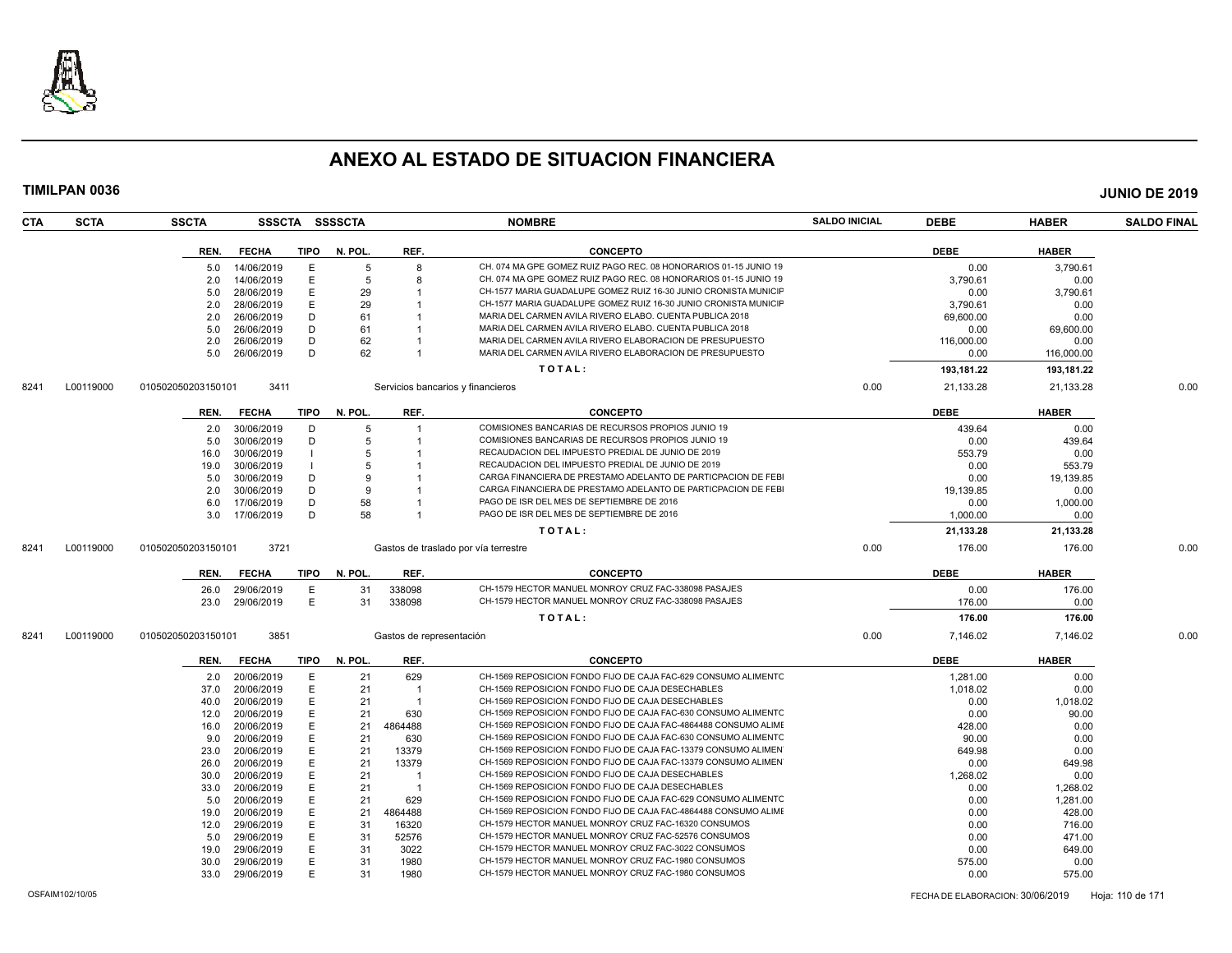

| CTA  | <b>SCTA</b> | <b>SSCTA</b>       |                          |             | SSSCTA SSSSCTA |                          | <b>NOMBRE</b>                                                    | <b>SALDO INICIAL</b> | <b>DEBE</b>    | <b>HABER</b>   | <b>SALDO FINAL</b> |
|------|-------------|--------------------|--------------------------|-------------|----------------|--------------------------|------------------------------------------------------------------|----------------------|----------------|----------------|--------------------|
|      |             | REN.               | FECHA                    | TIPO        | N. POL.        | REF.                     | <b>CONCEPTO</b>                                                  |                      | <b>DEBE</b>    | <b>HABER</b>   |                    |
|      |             | 5.0                | 14/06/2019               | E           | 5              | 8                        | CH. 074 MA GPE GOMEZ RUIZ PAGO REC. 08 HONORARIOS 01-15 JUNIO 19 |                      | 0.00           | 3,790.61       |                    |
|      |             | 2.0                | 14/06/2019               | E           | 5              | -8                       | CH. 074 MA GPE GOMEZ RUIZ PAGO REC. 08 HONORARIOS 01-15 JUNIO 19 |                      | 3.790.61       | 0.00           |                    |
|      |             | 5.0                | 28/06/2019               | E           | 29             |                          | CH-1577 MARIA GUADALUPE GOMEZ RUIZ 16-30 JUNIO CRONISTA MUNICIF  |                      | 0.00           | 3,790.61       |                    |
|      |             | 2.0                | 28/06/2019               | E           | 29             |                          | CH-1577 MARIA GUADALUPE GOMEZ RUIZ 16-30 JUNIO CRONISTA MUNICIF  |                      | 3,790.61       | 0.00           |                    |
|      |             | 2.0                | 26/06/2019               | D           | 61             |                          | MARIA DEL CARMEN AVILA RIVERO ELABO. CUENTA PUBLICA 2018         |                      | 69,600.00      | 0.00           |                    |
|      |             | 5.0                | 26/06/2019               | D           | 61             |                          | MARIA DEL CARMEN AVILA RIVERO ELABO. CUENTA PUBLICA 2018         |                      | 0.00           | 69,600.00      |                    |
|      |             | 2.0                | 26/06/2019               | D           | 62             |                          | MARIA DEL CARMEN AVILA RIVERO ELABORACION DE PRESUPUESTO         |                      | 116,000.00     | 0.00           |                    |
|      |             | 5.0                | 26/06/2019               | D           | 62             |                          | MARIA DEL CARMEN AVILA RIVERO ELABORACION DE PRESUPUESTO         |                      | 0.00           | 116,000.00     |                    |
|      |             |                    |                          |             |                |                          | TOTAL:                                                           |                      | 193,181.22     | 193,181.22     |                    |
| 8241 | L00119000   | 010502050203150101 | 3411                     |             |                |                          | Servicios bancarios y financieros                                | 0.00                 | 21,133.28      | 21,133.28      | 0.00               |
|      |             | REN.               | <b>FECHA</b>             | <b>TIPO</b> | N. POL.        | REF.                     | <b>CONCEPTO</b>                                                  |                      | <b>DEBE</b>    | <b>HABER</b>   |                    |
|      |             |                    |                          | D           | 5              | $\overline{1}$           | COMISIONES BANCARIAS DE RECURSOS PROPIOS JUNIO 19                |                      |                |                |                    |
|      |             | 2.0                | 30/06/2019<br>30/06/2019 | D           | 5              |                          | COMISIONES BANCARIAS DE RECURSOS PROPIOS JUNIO 19                |                      | 439.64<br>0.00 | 0.00<br>439.64 |                    |
|      |             | 5.0<br>16.0        | 30/06/2019               |             | 5              |                          | RECAUDACION DEL IMPUESTO PREDIAL DE JUNIO DE 2019                |                      | 553.79         | 0.00           |                    |
|      |             | 19.0               | 30/06/2019               |             | 5              |                          | RECAUDACION DEL IMPUESTO PREDIAL DE JUNIO DE 2019                |                      | 0.00           | 553.79         |                    |
|      |             | 5.0                | 30/06/2019               | D           | 9              |                          | CARGA FINANCIERA DE PRESTAMO ADELANTO DE PARTICPACION DE FEBI    |                      | 0.00           | 19,139.85      |                    |
|      |             | 2.0                | 30/06/2019               | D           | <b>q</b>       |                          | CARGA FINANCIERA DE PRESTAMO ADELANTO DE PARTICPACION DE FEBI    |                      | 19,139.85      | 0.00           |                    |
|      |             | 6.0                | 17/06/2019               | D           | 58             |                          | PAGO DE ISR DEL MES DE SEPTIEMBRE DE 2016                        |                      | 0.00           | 1,000.00       |                    |
|      |             | 3.0                | 17/06/2019               | D           | 58             |                          | PAGO DE ISR DEL MES DE SEPTIEMBRE DE 2016                        |                      | 1,000.00       | 0.00           |                    |
|      |             |                    |                          |             |                |                          | TOTAL:                                                           |                      | 21,133.28      | 21,133.28      |                    |
|      |             |                    |                          |             |                |                          |                                                                  |                      |                |                |                    |
| 8241 | L00119000   | 010502050203150101 | 3721                     |             |                |                          | Gastos de traslado por vía terrestre                             | 0.00                 | 176.00         | 176.00         | 0.00               |
|      |             | REN.               | <b>FECHA</b>             | TIPO        | N. POL.        | REF.                     | <b>CONCEPTO</b>                                                  |                      | <b>DEBE</b>    | <b>HABER</b>   |                    |
|      |             | 26.0               | 29/06/2019               | E           | 31             | 338098                   | CH-1579 HECTOR MANUEL MONROY CRUZ FAC-338098 PASAJES             |                      | 0.00           | 176.00         |                    |
|      |             | 23.0               | 29/06/2019               | E           | 31             | 338098                   | CH-1579 HECTOR MANUEL MONROY CRUZ FAC-338098 PASAJES             |                      | 176.00         | 0.00           |                    |
|      |             |                    |                          |             |                |                          | TOTAL:                                                           |                      | 176.00         | 176.00         |                    |
| 8241 | L00119000   | 010502050203150101 | 3851                     |             |                | Gastos de representación |                                                                  | 0.00                 | 7,146.02       | 7,146.02       | 0.00               |
|      |             | REN.               | <b>FECHA</b>             | TIPO        | N. POL.        | REF.                     | <b>CONCEPTO</b>                                                  |                      | <b>DEBE</b>    | <b>HABER</b>   |                    |
|      |             |                    | 2.0 20/06/2019           | E           | 21             | 629                      | CH-1569 REPOSICION FONDO FIJO DE CAJA FAC-629 CONSUMO ALIMENTO   |                      | 1,281.00       | 0.00           |                    |
|      |             | 37.0               | 20/06/2019               | E           | 21             | $\overline{1}$           | CH-1569 REPOSICION FONDO FIJO DE CAJA DESECHABLES                |                      | 1.018.02       | 0.00           |                    |
|      |             | 40.0               | 20/06/2019               | E           | 21             | $\overline{1}$           | CH-1569 REPOSICION FONDO FIJO DE CAJA DESECHABLES                |                      | 0.00           | 1,018.02       |                    |
|      |             | 12.0               | 20/06/2019               | E           | 21             | 630                      | CH-1569 REPOSICION FONDO FIJO DE CAJA FAC-630 CONSUMO ALIMENTC   |                      | 0.00           | 90.00          |                    |
|      |             | 16.0               | 20/06/2019               | E           | 21             | 4864488                  | CH-1569 REPOSICION FONDO FIJO DE CAJA FAC-4864488 CONSUMO ALIMI  |                      | 428.00         | 0.00           |                    |
|      |             | 9.0                | 20/06/2019               | E           | 21             | 630                      | CH-1569 REPOSICION FONDO FIJO DE CAJA FAC-630 CONSUMO ALIMENTC   |                      | 90.00          | 0.00           |                    |
|      |             | 23.0               | 20/06/2019               | E           | 21             | 13379                    | CH-1569 REPOSICION FONDO FIJO DE CAJA FAC-13379 CONSUMO ALIMEN   |                      | 649.98         | 0.00           |                    |
|      |             | 26.0               | 20/06/2019               | E           | 21             | 13379                    | CH-1569 REPOSICION FONDO FIJO DE CAJA FAC-13379 CONSUMO ALIMEN   |                      | 0.00           | 649.98         |                    |
|      |             | 30.0               | 20/06/2019               | E           | 21             | $\overline{1}$           | CH-1569 REPOSICION FONDO FIJO DE CAJA DESECHABLES                |                      | 1,268.02       | 0.00           |                    |
|      |             | 33.0               | 20/06/2019               | E           | 21             | $\overline{1}$           | CH-1569 REPOSICION FONDO FIJO DE CAJA DESECHABLES                |                      | 0.00           | 1,268.02       |                    |
|      |             | 5.0                | 20/06/2019               | E           | 21             | 629                      | CH-1569 REPOSICION FONDO FIJO DE CAJA FAC-629 CONSUMO ALIMENTC   |                      | 0.00           | 1,281.00       |                    |
|      |             | 19.0               | 20/06/2019               | E           | 21             | 4864488                  | CH-1569 REPOSICION FONDO FIJO DE CAJA FAC-4864488 CONSUMO ALIME  |                      | 0.00           | 428.00         |                    |
|      |             | 12.0               | 29/06/2019               | E           | 31             | 16320                    | CH-1579 HECTOR MANUEL MONROY CRUZ FAC-16320 CONSUMOS             |                      | 0.00           | 716.00         |                    |
|      |             | 5.0                | 29/06/2019               | E           | 31             | 52576                    | CH-1579 HECTOR MANUEL MONROY CRUZ FAC-52576 CONSUMOS             |                      | 0.00           | 471.00         |                    |
|      |             | 19.0               | 29/06/2019               | E           | 31             | 3022                     | CH-1579 HECTOR MANUEL MONROY CRUZ FAC-3022 CONSUMOS              |                      | 0.00           | 649.00         |                    |
|      |             | 30.0               | 29/06/2019               | E           | 31             | 1980                     | CH-1579 HECTOR MANUEL MONROY CRUZ FAC-1980 CONSUMOS              |                      | 575.00         | 0.00           |                    |
|      |             | 33.0               | 29/06/2019               | E           | 31             | 1980                     | CH-1579 HECTOR MANUEL MONROY CRUZ FAC-1980 CONSUMOS              |                      | 0.00           | 575.00         |                    |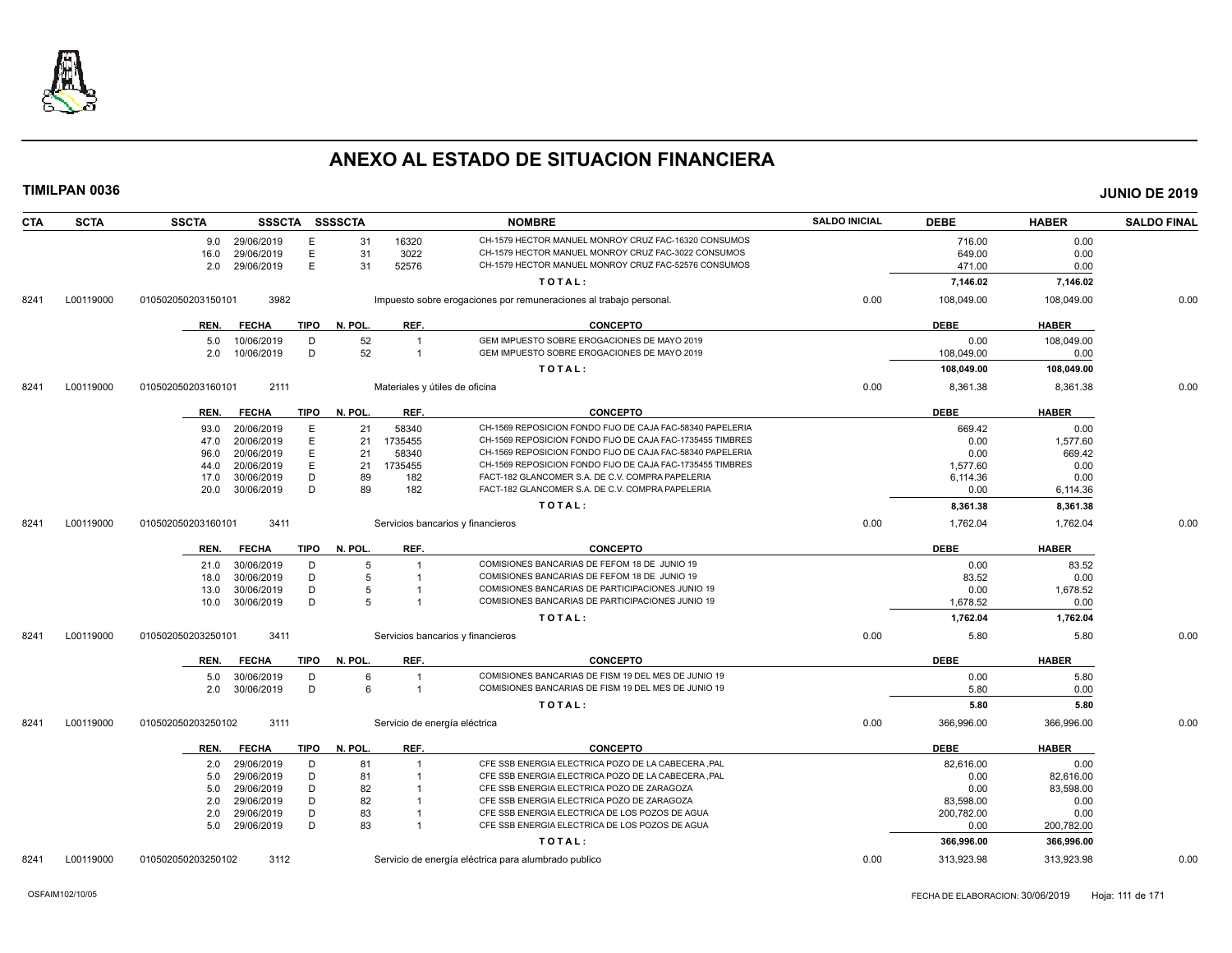

| <b>CTA</b> | <b>SCTA</b> | <b>SSCTA</b>       | SSSCTA SSSSCTA           |             |          |                | <b>NOMBRE</b>                                                                                                 | <b>SALDO INICIAL</b> | <b>DEBE</b>      | <b>HABER</b>     | <b>SALDO FINAL</b> |
|------------|-------------|--------------------|--------------------------|-------------|----------|----------------|---------------------------------------------------------------------------------------------------------------|----------------------|------------------|------------------|--------------------|
|            |             |                    | 9.0 29/06/2019           | E           | 31       | 16320          | CH-1579 HECTOR MANUEL MONROY CRUZ FAC-16320 CONSUMOS                                                          |                      | 716.00           | 0.00             |                    |
|            |             | 16.0               | 29/06/2019               | E.          | 31       | 3022           | CH-1579 HECTOR MANUEL MONROY CRUZ FAC-3022 CONSUMOS                                                           |                      | 649.00           | 0.00             |                    |
|            |             | 2.0                | 29/06/2019               | E           | 31       | 52576          | CH-1579 HECTOR MANUEL MONROY CRUZ FAC-52576 CONSUMOS                                                          |                      | 471.00           | 0.00             |                    |
|            |             |                    |                          |             |          |                | TOTAL:                                                                                                        |                      | 7,146.02         | 7,146.02         |                    |
| 8241       | L00119000   | 010502050203150101 | 3982                     |             |          |                | Impuesto sobre erogaciones por remuneraciones al trabajo personal.                                            | 0.00                 | 108,049.00       | 108,049.00       | 0.00               |
|            |             | REN.               | <b>FECHA</b>             | TIPO        | N. POL.  | REF.           | <b>CONCEPTO</b>                                                                                               |                      | <b>DEBE</b>      | <b>HABER</b>     |                    |
|            |             | 5.0                | 10/06/2019               | D           | 52       | $\overline{1}$ | GEM IMPUESTO SOBRE EROGACIONES DE MAYO 2019                                                                   |                      | 0.00             | 108,049.00       |                    |
|            |             | 2.0                | 10/06/2019               | D           | 52       | $\overline{1}$ | GEM IMPUESTO SOBRE EROGACIONES DE MAYO 2019                                                                   |                      | 108,049.00       | 0.00             |                    |
|            |             |                    |                          |             |          |                | TOTAL:                                                                                                        |                      | 108,049.00       | 108,049.00       |                    |
| 8241       | L00119000   | 010502050203160101 | 2111                     |             |          |                | Materiales y útiles de oficina                                                                                | 0.00                 | 8,361.38         | 8,361.38         | 0.00               |
|            |             |                    |                          |             |          |                |                                                                                                               |                      |                  |                  |                    |
|            |             | REN.               | <b>FECHA</b>             | <b>TIPO</b> | N. POL.  | REF.           | <b>CONCEPTO</b>                                                                                               |                      | <b>DEBE</b>      | <b>HABER</b>     |                    |
|            |             | 93.0               | 20/06/2019               | E           | 21       | 58340          | CH-1569 REPOSICION FONDO FIJO DE CAJA FAC-58340 PAPELERIA                                                     |                      | 669.42           | 0.00             |                    |
|            |             | 47.0               | 20/06/2019               | E           | 21       | 1735455        | CH-1569 REPOSICION FONDO FIJO DE CAJA FAC-1735455 TIMBRES                                                     |                      | 0.00             | 1,577.60         |                    |
|            |             | 96.0               | 20/06/2019               | E           | 21       | 58340          | CH-1569 REPOSICION FONDO FIJO DE CAJA FAC-58340 PAPELERIA                                                     |                      | 0.00             | 669.42           |                    |
|            |             | 44.0               | 20/06/2019               | E           | 21       | 1735455        | CH-1569 REPOSICION FONDO FIJO DE CAJA FAC-1735455 TIMBRES<br>FACT-182 GLANCOMER S.A. DE C.V. COMPRA PAPELERIA |                      | 1,577.60         | 0.00             |                    |
|            |             | 17.0<br>20.0       | 30/06/2019<br>30/06/2019 | D<br>D      | 89<br>89 | 182<br>182     | FACT-182 GLANCOMER S.A. DE C.V. COMPRA PAPELERIA                                                              |                      | 6,114.36<br>0.00 | 0.00<br>6,114.36 |                    |
|            |             |                    |                          |             |          |                |                                                                                                               |                      |                  |                  |                    |
|            |             |                    |                          |             |          |                | TOTAL:                                                                                                        |                      | 8,361.38         | 8,361.38         |                    |
| 8241       | L00119000   | 010502050203160101 | 3411                     |             |          |                | Servicios bancarios y financieros                                                                             | 0.00                 | 1,762.04         | 1,762.04         | 0.00               |
|            |             | REN.               | <b>FECHA</b>             | TIPO        | N. POL.  | REF.           | <b>CONCEPTO</b>                                                                                               |                      | <b>DEBE</b>      | <b>HABER</b>     |                    |
|            |             | 21.0               | 30/06/2019               | D           | 5        |                | COMISIONES BANCARIAS DE FEFOM 18 DE JUNIO 19                                                                  |                      | 0.00             | 83.52            |                    |
|            |             | 18.0               | 30/06/2019               | D           | 5        |                | COMISIONES BANCARIAS DE FEFOM 18 DE JUNIO 19                                                                  |                      | 83.52            | 0.00             |                    |
|            |             | 13.0               | 30/06/2019               | D           | 5        |                | COMISIONES BANCARIAS DE PARTICIPACIONES JUNIO 19                                                              |                      | 0.00             | 1,678.52         |                    |
|            |             | 10.0               | 30/06/2019               | D           | 5        |                | COMISIONES BANCARIAS DE PARTICIPACIONES JUNIO 19                                                              |                      | 1,678.52         | 0.00             |                    |
|            |             |                    |                          |             |          |                | TOTAL:                                                                                                        |                      | 1,762.04         | 1,762.04         |                    |
| 8241       | L00119000   | 010502050203250101 | 3411                     |             |          |                | Servicios bancarios y financieros                                                                             | 0.00                 | 5.80             | 5.80             | 0.00               |
|            |             | REN.               | <b>FECHA</b>             | TIPO        | N. POL.  | REF.           | <b>CONCEPTO</b>                                                                                               |                      | <b>DEBE</b>      | <b>HABER</b>     |                    |
|            |             | 5.0                | 30/06/2019               | D           | 6        |                | COMISIONES BANCARIAS DE FISM 19 DEL MES DE JUNIO 19                                                           |                      | 0.00             | 5.80             |                    |
|            |             | 2.0                | 30/06/2019               | D           | 6        |                | COMISIONES BANCARIAS DE FISM 19 DEL MES DE JUNIO 19                                                           |                      | 5.80             | 0.00             |                    |
|            |             |                    |                          |             |          |                | TOTAL:                                                                                                        |                      | 5.80             | 5.80             |                    |
| 8241       | L00119000   | 010502050203250102 | 3111                     |             |          |                | Servicio de energía eléctrica                                                                                 | 0.00                 | 366,996.00       | 366,996.00       | 0.00               |
|            |             | REN.               | <b>FECHA</b>             | <b>TIPO</b> | N. POL.  | REF.           | <b>CONCEPTO</b>                                                                                               |                      | <b>DEBE</b>      | <b>HABER</b>     |                    |
|            |             | 2.0                | 29/06/2019               | D           | 81       |                | CFE SSB ENERGIA ELECTRICA POZO DE LA CABECERA , PAL                                                           |                      | 82,616.00        | 0.00             |                    |
|            |             | 5.0                | 29/06/2019               | D           | 81       |                | CFE SSB ENERGIA ELECTRICA POZO DE LA CABECERA ,PAL                                                            |                      | 0.00             | 82,616.00        |                    |
|            |             | 5.0                | 29/06/2019               | D           | 82       |                | CFE SSB ENERGIA ELECTRICA POZO DE ZARAGOZA                                                                    |                      | 0.00             | 83,598.00        |                    |
|            |             | 2.0                | 29/06/2019               | D           | 82       |                | CFE SSB ENERGIA ELECTRICA POZO DE ZARAGOZA                                                                    |                      | 83,598.00        | 0.00             |                    |
|            |             | 2.0                | 29/06/2019               | D           | 83       |                | CFE SSB ENERGIA ELECTRICA DE LOS POZOS DE AGUA                                                                |                      | 200,782.00       | 0.00             |                    |
|            |             | 5.0                | 29/06/2019               | D           | 83       | $\overline{1}$ | CFE SSB ENERGIA ELECTRICA DE LOS POZOS DE AGUA                                                                |                      | 0.00             | 200,782.00       |                    |
|            |             |                    |                          |             |          |                | TOTAL:                                                                                                        |                      | 366,996.00       | 366,996.00       |                    |
| 8241       | L00119000   | 010502050203250102 | 3112                     |             |          |                | Servicio de energía eléctrica para alumbrado publico                                                          | 0.00                 | 313,923.98       | 313,923.98       | 0.00               |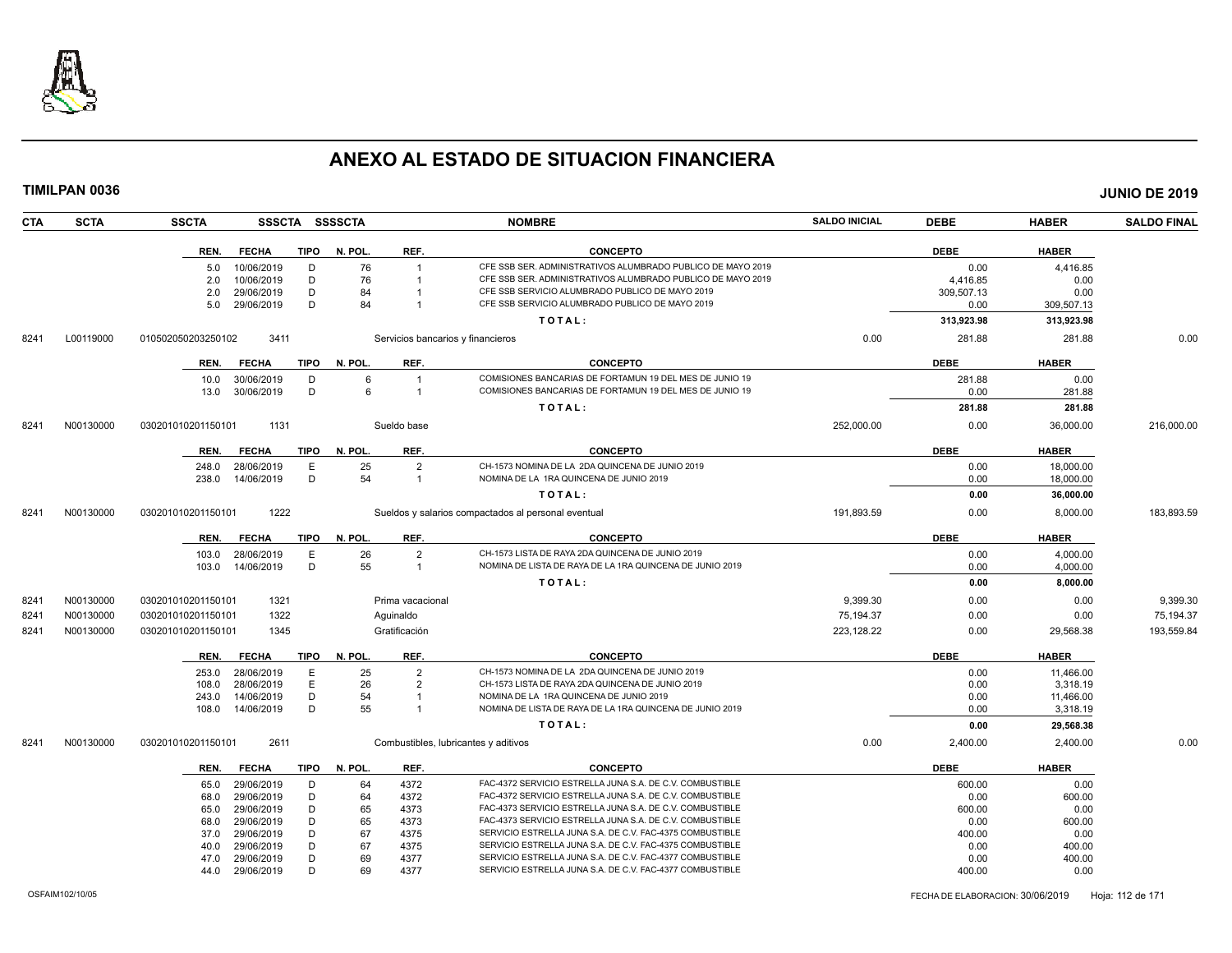

|      | TIMILPAN 0036 |                    |                          |             |                |                                   |                                                                                                                      |                      |              |                  | <b>JUNIO DE 2019</b> |
|------|---------------|--------------------|--------------------------|-------------|----------------|-----------------------------------|----------------------------------------------------------------------------------------------------------------------|----------------------|--------------|------------------|----------------------|
| CTA  | <b>SCTA</b>   | <b>SSCTA</b>       |                          |             | SSSCTA SSSSCTA |                                   | <b>NOMBRE</b>                                                                                                        | <b>SALDO INICIAL</b> | <b>DEBE</b>  | <b>HABER</b>     | <b>SALDO FINAL</b>   |
|      |               | REN.               | <b>FECHA</b>             | TIPO        | N. POL.        | REF.                              | <b>CONCEPTO</b>                                                                                                      |                      | <b>DEBE</b>  | <b>HABER</b>     |                      |
|      |               | 5.0                | 10/06/2019               | D           | 76             |                                   | CFE SSB SER. ADMINISTRATIVOS ALUMBRADO PUBLICO DE MAYO 2019                                                          |                      | 0.00         | 4,416.85         |                      |
|      |               | 2.0                | 10/06/2019               | D           | 76             |                                   | CFE SSB SER. ADMINISTRATIVOS ALUMBRADO PUBLICO DE MAYO 2019                                                          |                      | 4,416.85     | 0.00             |                      |
|      |               | 2.0                | 29/06/2019               | D           | 84             |                                   | CFE SSB SERVICIO ALUMBRADO PUBLICO DE MAYO 2019                                                                      |                      | 309,507.13   | 0.00             |                      |
|      |               | 5.0                | 29/06/2019               | D           | 84             | $\overline{1}$                    | CFE SSB SERVICIO ALUMBRADO PUBLICO DE MAYO 2019                                                                      |                      | 0.00         | 309,507.13       |                      |
|      |               |                    |                          |             |                |                                   | TOTAL:                                                                                                               |                      | 313,923.98   | 313,923.98       |                      |
| 8241 | L00119000     | 010502050203250102 | 3411                     |             |                | Servicios bancarios y financieros |                                                                                                                      | 0.00                 | 281.88       | 281.88           | 0.00                 |
|      |               | REN.               | <b>FECHA</b>             | <b>TIPO</b> | N. POL.        | REF.                              | <b>CONCEPTO</b>                                                                                                      |                      | <b>DEBE</b>  | <b>HABER</b>     |                      |
|      |               | 10.0               | 30/06/2019               | D           | 6              |                                   | COMISIONES BANCARIAS DE FORTAMUN 19 DEL MES DE JUNIO 19                                                              |                      | 281.88       | 0.00             |                      |
|      |               | 13.0               | 30/06/2019               | D           | 6              |                                   | COMISIONES BANCARIAS DE FORTAMUN 19 DEL MES DE JUNIO 19                                                              |                      | 0.00         | 281.88           |                      |
|      |               |                    |                          |             |                |                                   | TOTAL:                                                                                                               |                      | 281.88       | 281.88           |                      |
| 8241 | N00130000     | 030201010201150101 | 1131                     |             |                | Sueldo base                       |                                                                                                                      | 252,000.00           | 0.00         | 36,000.00        | 216,000.00           |
|      |               | REN.               | <b>FECHA</b>             | TIPO        | N. POL.        | REF.                              | <b>CONCEPTO</b>                                                                                                      |                      | <b>DEBE</b>  | <b>HABER</b>     |                      |
|      |               | 248.0              | 28/06/2019               | Ε           | 25             | $\overline{2}$                    | CH-1573 NOMINA DE LA 2DA QUINCENA DE JUNIO 2019                                                                      |                      | 0.00         | 18,000.00        |                      |
|      |               | 238.0              | 14/06/2019               | D           | 54             | $\overline{1}$                    | NOMINA DE LA 1RA QUINCENA DE JUNIO 2019                                                                              |                      | 0.00         | 18,000.00        |                      |
|      |               |                    |                          |             |                |                                   | TOTAL:                                                                                                               |                      | 0.00         | 36,000.00        |                      |
| 8241 | N00130000     | 030201010201150101 | 1222                     |             |                |                                   | Sueldos y salarios compactados al personal eventual                                                                  | 191,893.59           | 0.00         | 8,000.00         | 183,893.59           |
|      |               | REN.               | <b>FECHA</b>             | <b>TIPO</b> | N. POL.        | REF.                              | <b>CONCEPTO</b>                                                                                                      |                      | <b>DEBE</b>  | <b>HABER</b>     |                      |
|      |               | 103.0              | 28/06/2019               | E           | 26             | $\overline{2}$                    | CH-1573 LISTA DE RAYA 2DA QUINCENA DE JUNIO 2019                                                                     |                      | 0.00         | 4,000.00         |                      |
|      |               | 103.0              | 14/06/2019               | D           | 55             | $\overline{1}$                    | NOMINA DE LISTA DE RAYA DE LA 1RA QUINCENA DE JUNIO 2019                                                             |                      | 0.00         | 4,000.00         |                      |
|      |               |                    |                          |             |                |                                   | TOTAL:                                                                                                               |                      | 0.00         | 8,000.00         |                      |
| 8241 | N00130000     | 030201010201150101 | 1321                     |             |                | Prima vacacional                  |                                                                                                                      | 9,399.30             | 0.00         | 0.00             | 9,399.30             |
| 8241 | N00130000     | 030201010201150101 | 1322                     |             |                | Aguinaldo                         |                                                                                                                      | 75,194.37            | 0.00         | 0.00             | 75,194.37            |
| 8241 | N00130000     | 030201010201150101 | 1345                     |             |                | Gratificación                     |                                                                                                                      | 223,128.22           | 0.00         | 29,568.38        | 193,559.84           |
|      |               | REN.               | <b>FECHA</b>             | <b>TIPO</b> | N. POL.        | REF.                              | <b>CONCEPTO</b>                                                                                                      |                      | <b>DEBE</b>  | <b>HABER</b>     |                      |
|      |               | 253.0              | 28/06/2019               | E           | 25             | $\overline{2}$                    | CH-1573 NOMINA DE LA 2DA QUINCENA DE JUNIO 2019                                                                      |                      | 0.00         | 11,466.00        |                      |
|      |               | 108.0              | 28/06/2019               | Ε           | 26             | 2                                 | CH-1573 LISTA DE RAYA 2DA QUINCENA DE JUNIO 2019                                                                     |                      | 0.00         | 3,318.19         |                      |
|      |               | 243.0              | 14/06/2019               | D           | 54             | $\overline{1}$                    | NOMINA DE LA 1RA QUINCENA DE JUNIO 2019                                                                              |                      | 0.00         | 11,466.00        |                      |
|      |               | 108.0              | 14/06/2019               | D           | 55             | $\overline{1}$                    | NOMINA DE LISTA DE RAYA DE LA 1RA QUINCENA DE JUNIO 2019                                                             |                      | 0.00         | 3,318.19         |                      |
|      |               |                    |                          |             |                |                                   | TOTAL:                                                                                                               |                      | 0.00         | 29,568.38        |                      |
| 8241 | N00130000     | 030201010201150101 | 2611                     |             |                |                                   | Combustibles, lubricantes y aditivos                                                                                 | 0.00                 | 2,400.00     | 2.400.00         | 0.00                 |
|      |               | REN.               | <b>FECHA</b>             | <b>TIPO</b> | N. POL.        | REF.                              | <b>CONCEPTO</b>                                                                                                      |                      | <b>DEBE</b>  | <b>HABER</b>     |                      |
|      |               | 65.0               | 29/06/2019               | D           | 64             | 4372                              | FAC-4372 SERVICIO ESTRELLA JUNA S.A. DE C.V. COMBUSTIBLE                                                             |                      | 600.00       | 0.00             |                      |
|      |               | 68.0               | 29/06/2019               | D           | 64             | 4372                              | FAC-4372 SERVICIO ESTRELLA JUNA S.A. DE C.V. COMBUSTIBLE                                                             |                      | 0.00         | 600.00           |                      |
|      |               | 65.0               | 29/06/2019               | D           | 65             | 4373                              | FAC-4373 SERVICIO ESTRELLA JUNA S.A. DE C.V. COMBUSTIBLE                                                             |                      | 600.00       | 0.00             |                      |
|      |               | 68.0               | 29/06/2019               | D           | 65             | 4373                              | FAC-4373 SERVICIO ESTRELLA JUNA S.A. DE C.V. COMBUSTIBLE                                                             |                      | 0.00         | 600.00           |                      |
|      |               | 37.0               | 29/06/2019               | D<br>D      | 67<br>67       | 4375                              | SERVICIO ESTRELLA JUNA S.A. DE C.V. FAC-4375 COMBUSTIBLE<br>SERVICIO ESTRELLA JUNA S.A. DE C.V. FAC-4375 COMBUSTIBLE |                      | 400.00       | 0.00             |                      |
|      |               | 40.0<br>47.0       | 29/06/2019<br>29/06/2019 | D           | 69             | 4375<br>4377                      | SERVICIO ESTRELLA JUNA S.A. DE C.V. FAC-4377 COMBUSTIBLE                                                             |                      | 0.00<br>0.00 | 400.00<br>400.00 |                      |
|      |               |                    |                          |             |                |                                   |                                                                                                                      |                      |              |                  |                      |

44.0 29/06/2019 D 69 4377 SERVICIO ESTRELLA JUNA S.A. DE C.V. FAC-4377 COMBUSTIBLE 400.00 0.00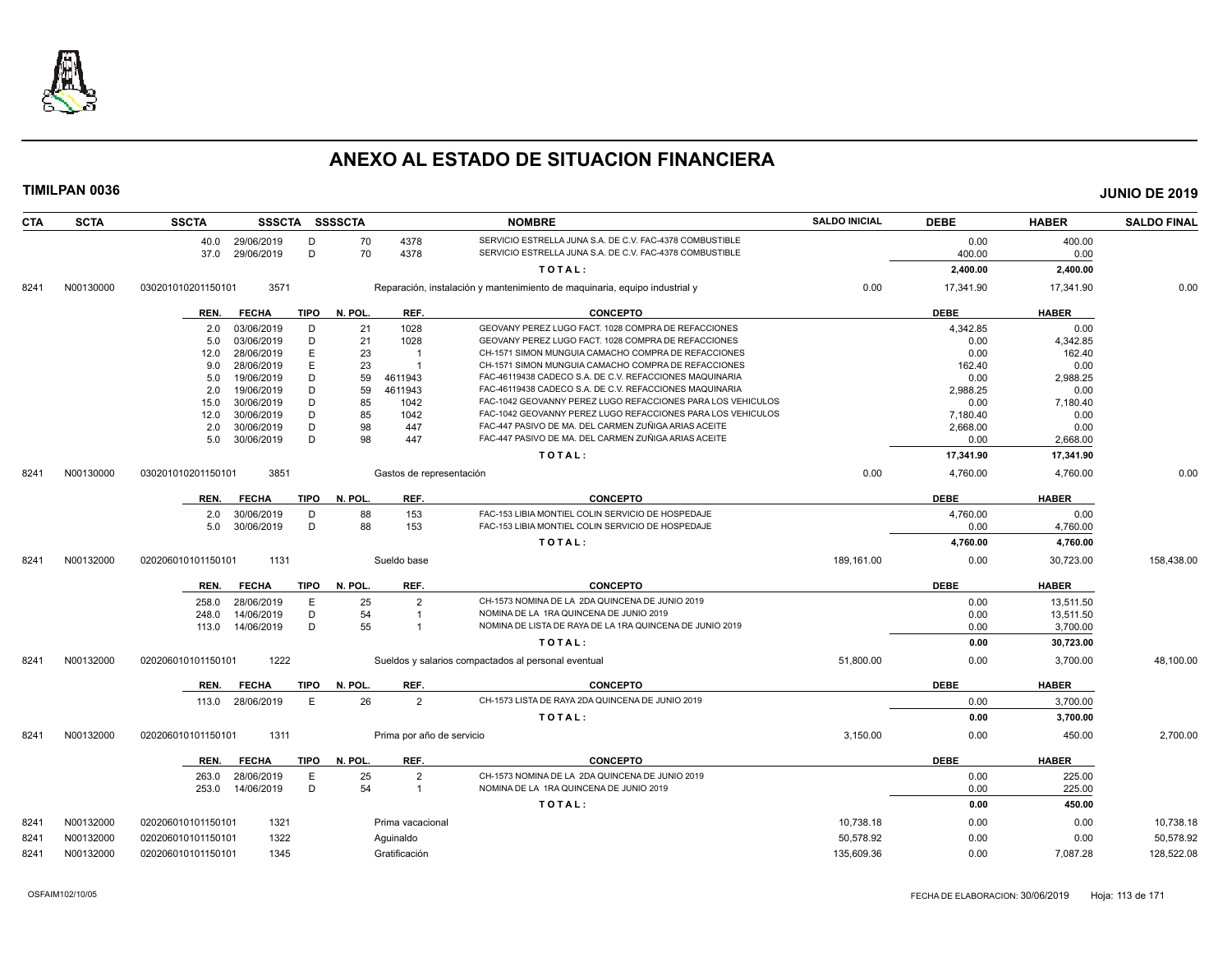

| CTA  | <b>SCTA</b> | <b>SSCTA</b><br>SSSCTA SSSSCTA      |                           | <b>NOMBRE</b>                                                              | <b>SALDO INICIAL</b> | <b>DEBE</b> | <b>HABER</b> | <b>SALDO FINAL</b> |
|------|-------------|-------------------------------------|---------------------------|----------------------------------------------------------------------------|----------------------|-------------|--------------|--------------------|
|      |             | 40.0 29/06/2019<br>D                | 4378<br>70                | SERVICIO ESTRELLA JUNA S.A. DE C.V. FAC-4378 COMBUSTIBLE                   |                      | 0.00        | 400.00       |                    |
|      |             | D<br>29/06/2019<br>37.0             | 70<br>4378                | SERVICIO ESTRELLA JUNA S.A. DE C.V. FAC-4378 COMBUSTIBLE                   |                      | 400.00      | 0.00         |                    |
|      |             |                                     |                           | TOTAL:                                                                     |                      | 2,400.00    | 2,400.00     |                    |
| 8241 | N00130000   | 3571<br>030201010201150101          |                           | Reparación, instalación y mantenimiento de maquinaria, equipo industrial y | 0.00                 | 17,341.90   | 17,341.90    | 0.00               |
|      |             | <b>FECHA</b><br>TIPO<br>REN.        | N. POL.<br>REF.           | <b>CONCEPTO</b>                                                            |                      | <b>DEBE</b> | <b>HABER</b> |                    |
|      |             | 03/06/2019<br>D<br>2.0              | 1028<br>21                | GEOVANY PEREZ LUGO FACT. 1028 COMPRA DE REFACCIONES                        |                      | 4,342.85    | 0.00         |                    |
|      |             | D<br>03/06/2019<br>5.0              | 21<br>1028                | GEOVANY PEREZ LUGO FACT. 1028 COMPRA DE REFACCIONES                        |                      | 0.00        | 4,342.85     |                    |
|      |             | Ε<br>28/06/2019<br>12.0             | 23                        | CH-1571 SIMON MUNGUIA CAMACHO COMPRA DE REFACCIONES                        |                      | 0.00        | 162.40       |                    |
|      |             | E<br>28/06/2019<br>9.0              | 23<br>$\overline{1}$      | CH-1571 SIMON MUNGUIA CAMACHO COMPRA DE REFACCIONES                        |                      | 162.40      | 0.00         |                    |
|      |             | D<br>5.0<br>19/06/2019              | 59<br>4611943             | FAC-46119438 CADECO S.A. DE C.V. REFACCIONES MAQUINARIA                    |                      | 0.00        | 2,988.25     |                    |
|      |             | D<br>19/06/2019<br>2.0              | 59<br>4611943             | FAC-46119438 CADECO S.A. DE C.V. REFACCIONES MAQUINARIA                    |                      | 2.988.25    | 0.00         |                    |
|      |             | 30/06/2019<br>D<br>15.0             | 85<br>1042                | FAC-1042 GEOVANNY PEREZ LUGO REFACCIONES PARA LOS VEHICULOS                |                      | 0.00        | 7,180.40     |                    |
|      |             | D<br>30/06/2019<br>12.0             | 85<br>1042                | FAC-1042 GEOVANNY PEREZ LUGO REFACCIONES PARA LOS VEHICULOS                |                      | 7,180.40    | 0.00         |                    |
|      |             | 30/06/2019<br>D<br>2.0              | 98<br>447                 | FAC-447 PASIVO DE MA. DEL CARMEN ZUÑIGA ARIAS ACEITE                       |                      | 2,668.00    | 0.00         |                    |
|      |             | D<br>30/06/2019<br>5.0              | 98<br>447                 | FAC-447 PASIVO DE MA. DEL CARMEN ZUÑIGA ARIAS ACEITE                       |                      | 0.00        | 2,668.00     |                    |
|      |             |                                     |                           | TOTAL:                                                                     |                      | 17,341.90   | 17,341.90    |                    |
| 8241 | N00130000   | 3851<br>030201010201150101          | Gastos de representación  |                                                                            | 0.00                 | 4.760.00    | 4,760.00     | 0.00               |
|      |             | <b>FECHA</b><br><b>TIPO</b><br>REN. | REF.<br>N. POL.           | <b>CONCEPTO</b>                                                            |                      | <b>DEBE</b> | <b>HABER</b> |                    |
|      |             | 30/06/2019<br>D<br>2.0              | 88<br>153                 | FAC-153 LIBIA MONTIEL COLIN SERVICIO DE HOSPEDAJE                          |                      | 4,760.00    | 0.00         |                    |
|      |             | 30/06/2019<br>D<br>5.0              | 88<br>153                 | FAC-153 LIBIA MONTIEL COLIN SERVICIO DE HOSPEDAJE                          |                      | 0.00        | 4,760.00     |                    |
|      |             |                                     |                           | TOTAL:                                                                     |                      | 4,760.00    | 4,760.00     |                    |
| 8241 | N00132000   | 1131<br>020206010101150101          | Sueldo base               |                                                                            | 189,161.00           | 0.00        | 30,723.00    | 158,438.00         |
|      |             | REN.<br><b>FECHA</b><br><b>TIPO</b> | N. POL.<br>REF.           | <b>CONCEPTO</b>                                                            |                      | <b>DEBE</b> | <b>HABER</b> |                    |
|      |             | 28/06/2019<br>E<br>258.0            | 25<br>$\overline{2}$      | CH-1573 NOMINA DE LA 2DA QUINCENA DE JUNIO 2019                            |                      | 0.00        | 13,511.50    |                    |
|      |             | D<br>14/06/2019<br>248.0            | 54<br>$\overline{1}$      | NOMINA DE LA 1RA QUINCENA DE JUNIO 2019                                    |                      | 0.00        | 13,511.50    |                    |
|      |             | D<br>14/06/2019<br>113.0            | 55<br>$\overline{1}$      | NOMINA DE LISTA DE RAYA DE LA 1RA QUINCENA DE JUNIO 2019                   |                      | 0.00        | 3,700.00     |                    |
|      |             |                                     |                           | TOTAL:                                                                     |                      | 0.00        | 30,723.00    |                    |
| 8241 | N00132000   | 1222<br>020206010101150101          |                           | Sueldos y salarios compactados al personal eventual                        | 51,800.00            | 0.00        | 3,700.00     | 48.100.00          |
|      |             | <b>TIPO</b><br>REN.<br><b>FECHA</b> | REF.<br>N. POL.           | <b>CONCEPTO</b>                                                            |                      | <b>DEBE</b> | <b>HABER</b> |                    |
|      |             | 28/06/2019<br>E<br>113.0            | 26<br>2                   | CH-1573 LISTA DE RAYA 2DA QUINCENA DE JUNIO 2019                           |                      | 0.00        | 3,700.00     |                    |
|      |             |                                     |                           | TOTAL:                                                                     |                      | 0.00        | 3,700.00     |                    |
| 8241 | N00132000   | 1311<br>020206010101150101          | Prima por año de servicio |                                                                            | 3,150.00             | 0.00        | 450.00       | 2,700.00           |
|      |             | <b>TIPO</b><br>REN.<br><b>FECHA</b> | REF.<br>N. POL.           | <b>CONCEPTO</b>                                                            |                      | <b>DEBE</b> | <b>HABER</b> |                    |
|      |             | E<br>28/06/2019<br>263.0            | 25<br>$\overline{2}$      | CH-1573 NOMINA DE LA 2DA QUINCENA DE JUNIO 2019                            |                      | 0.00        | 225.00       |                    |
|      |             | D<br>14/06/2019<br>253.0            | 54<br>$\overline{1}$      | NOMINA DE LA 1RA QUINCENA DE JUNIO 2019                                    |                      | 0.00        | 225.00       |                    |
|      |             |                                     |                           | TOTAL:                                                                     |                      | 0.00        | 450.00       |                    |
| 8241 | N00132000   | 1321<br>020206010101150101          | Prima vacacional          |                                                                            | 10,738.18            | 0.00        | 0.00         | 10,738.18          |
| 8241 | N00132000   | 1322<br>020206010101150101          | Aquinaldo                 |                                                                            | 50,578.92            | 0.00        | 0.00         | 50,578.92          |
| 8241 | N00132000   | 020206010101150101<br>1345          | Gratificación             |                                                                            | 135,609.36           | 0.00        | 7,087.28     | 128,522.08         |
|      |             |                                     |                           |                                                                            |                      |             |              |                    |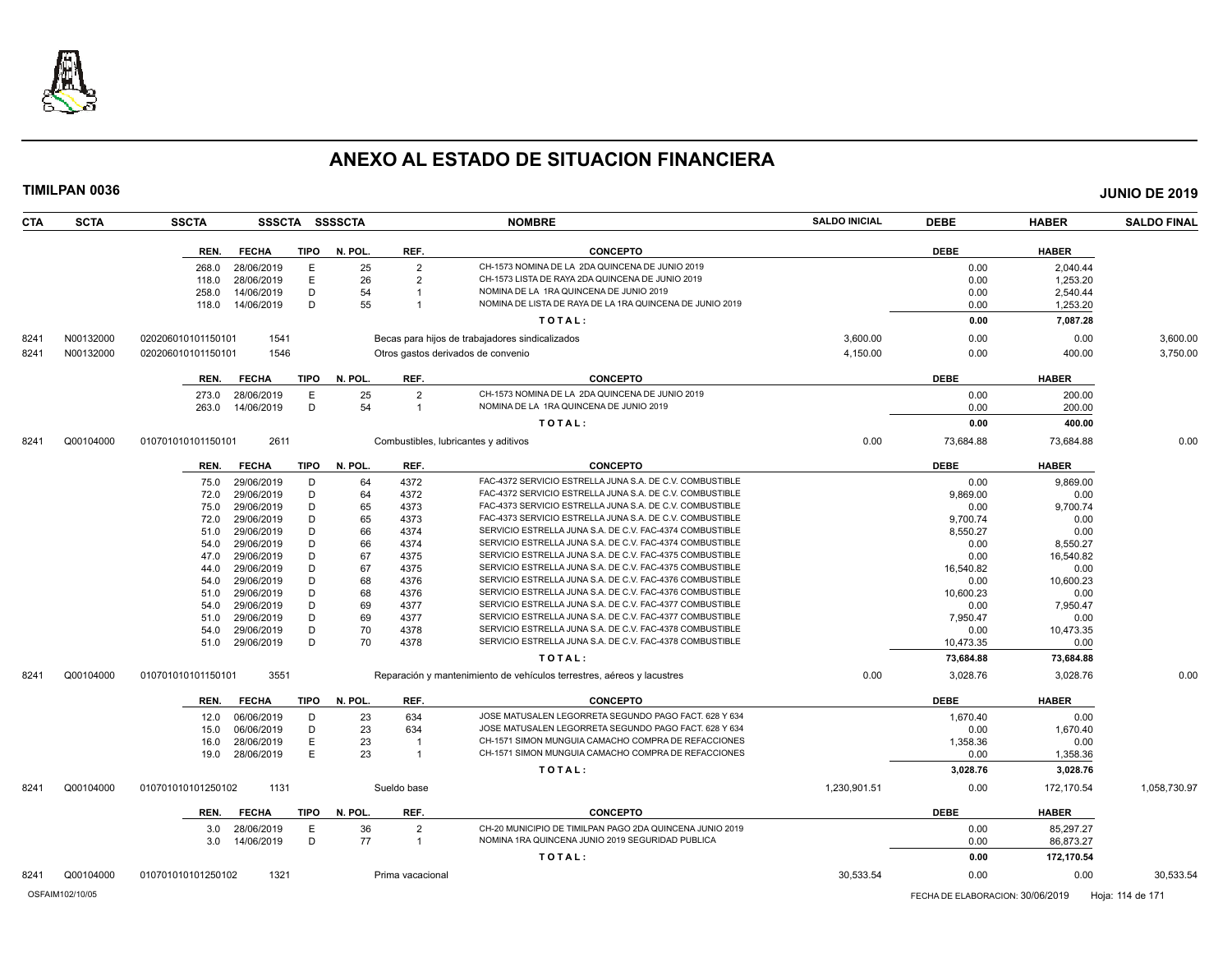

| TIMILPAN 0036      |                    |              |             |                |                |                                                                                                                      |                      |             |              | <b>JUNIO DE 2019</b> |
|--------------------|--------------------|--------------|-------------|----------------|----------------|----------------------------------------------------------------------------------------------------------------------|----------------------|-------------|--------------|----------------------|
| CTA<br><b>SCTA</b> | <b>SSCTA</b>       |              |             | SSSCTA SSSSCTA |                | <b>NOMBRE</b>                                                                                                        | <b>SALDO INICIAL</b> | <b>DEBE</b> | <b>HABER</b> | <b>SALDO FINAL</b>   |
|                    | REN.               | <b>FECHA</b> | <b>TIPO</b> | N. POL.        | REF.           | <b>CONCEPTO</b>                                                                                                      |                      | <b>DEBE</b> | <b>HABER</b> |                      |
|                    | 268.0              | 28/06/2019   | E           | 25             | $\overline{2}$ | CH-1573 NOMINA DE LA 2DA QUINCENA DE JUNIO 2019                                                                      |                      | 0.00        | 2.040.44     |                      |
|                    | 118.0              | 28/06/2019   | Ε           | 26             | $\overline{2}$ | CH-1573 LISTA DE RAYA 2DA QUINCENA DE JUNIO 2019                                                                     |                      | 0.00        | 1,253.20     |                      |
|                    | 258.0              | 14/06/2019   | D           | 54             | $\overline{1}$ | NOMINA DE LA 1RA QUINCENA DE JUNIO 2019                                                                              |                      | 0.00        | 2,540.44     |                      |
|                    | 118.0              | 14/06/2019   | D           | 55             | $\overline{1}$ | NOMINA DE LISTA DE RAYA DE LA 1RA QUINCENA DE JUNIO 2019                                                             |                      | 0.00        | 1,253.20     |                      |
|                    |                    |              |             |                |                | TOTAL:                                                                                                               |                      | 0.00        | 7,087.28     |                      |
| 8241<br>N00132000  | 020206010101150101 | 1541         |             |                |                | Becas para hijos de trabajadores sindicalizados                                                                      | 3,600.00             | 0.00        | 0.00         | 3,600.00             |
| 8241<br>N00132000  | 020206010101150101 | 1546         |             |                |                | Otros gastos derivados de convenio                                                                                   | 4,150.00             | 0.00        | 400.00       | 3,750.00             |
|                    |                    |              |             |                |                |                                                                                                                      |                      |             |              |                      |
|                    | REN.               | <b>FECHA</b> | TIPO        | N. POL.        | REF.           | <b>CONCEPTO</b>                                                                                                      |                      | <b>DEBE</b> | <b>HABER</b> |                      |
|                    | 273.0              | 28/06/2019   | E           | 25             | $\overline{2}$ | CH-1573 NOMINA DE LA 2DA QUINCENA DE JUNIO 2019                                                                      |                      | 0.00        | 200.00       |                      |
|                    | 263.0              | 14/06/2019   | D           | 54             | $\overline{1}$ | NOMINA DE LA 1RA QUINCENA DE JUNIO 2019                                                                              |                      | 0.00        | 200.00       |                      |
|                    |                    |              |             |                |                | TOTAL:                                                                                                               |                      | 0.00        | 400.00       |                      |
| Q00104000<br>8241  | 010701010101150101 | 2611         |             |                |                | Combustibles, lubricantes y aditivos                                                                                 | 0.00                 | 73,684.88   | 73,684.88    | 0.00                 |
|                    | REN.               | <b>FECHA</b> | <b>TIPO</b> | N. POL.        | REF.           | <b>CONCEPTO</b>                                                                                                      |                      | <b>DEBE</b> | <b>HABER</b> |                      |
|                    | 75.0               | 29/06/2019   | D           | 64             | 4372           | FAC-4372 SERVICIO ESTRELLA JUNA S.A. DE C.V. COMBUSTIBLE                                                             |                      | 0.00        | 9,869.00     |                      |
|                    | 72.0               | 29/06/2019   | D           | 64             | 4372           | FAC-4372 SERVICIO ESTRELLA JUNA S.A. DE C.V. COMBUSTIBLE                                                             |                      | 9,869.00    | 0.00         |                      |
|                    | 75.0               | 29/06/2019   | D           | 65             | 4373           | FAC-4373 SERVICIO ESTRELLA JUNA S.A. DE C.V. COMBUSTIBLE                                                             |                      | 0.00        | 9,700.74     |                      |
|                    | 72.0               | 29/06/2019   | D           | 65             | 4373           | FAC-4373 SERVICIO ESTRELLA JUNA S.A. DE C.V. COMBUSTIBLE                                                             |                      | 9,700.74    | 0.00         |                      |
|                    | 51.0               | 29/06/2019   | D           | 66             | 4374           | SERVICIO ESTRELLA JUNA S.A. DE C.V. FAC-4374 COMBUSTIBLE                                                             |                      | 8,550.27    | 0.00         |                      |
|                    | 54.0               | 29/06/2019   | D           | 66             | 4374           | SERVICIO ESTRELLA JUNA S.A. DE C.V. FAC-4374 COMBUSTIBLE                                                             |                      | 0.00        | 8,550.27     |                      |
|                    | 47.0               | 29/06/2019   | D           | 67             | 4375           | SERVICIO ESTRELLA JUNA S.A. DE C.V. FAC-4375 COMBUSTIBLE                                                             |                      | 0.00        | 16,540.82    |                      |
|                    | 44.0               | 29/06/2019   | D           | 67             | 4375           | SERVICIO ESTRELLA JUNA S.A. DE C.V. FAC-4375 COMBUSTIBLE                                                             |                      | 16,540.82   | 0.00         |                      |
|                    | 54.0               | 29/06/2019   | D           | 68             | 4376           | SERVICIO ESTRELLA JUNA S.A. DE C.V. FAC-4376 COMBUSTIBLE                                                             |                      | 0.00        | 10,600.23    |                      |
|                    | 51.0               | 29/06/2019   | D           | 68             | 4376           | SERVICIO ESTRELLA JUNA S.A. DE C.V. FAC-4376 COMBUSTIBLE                                                             |                      | 10,600.23   | 0.00         |                      |
|                    | 54.0               | 29/06/2019   | D           | 69             | 4377           | SERVICIO ESTRELLA JUNA S.A. DE C.V. FAC-4377 COMBUSTIBLE                                                             |                      | 0.00        | 7,950.47     |                      |
|                    | 51.0               | 29/06/2019   | D           | 69             | 4377           | SERVICIO ESTRELLA JUNA S.A. DE C.V. FAC-4377 COMBUSTIBLE                                                             |                      | 7,950.47    | 0.00         |                      |
|                    | 54.0               | 29/06/2019   | D<br>D      | 70<br>70       | 4378           | SERVICIO ESTRELLA JUNA S.A. DE C.V. FAC-4378 COMBUSTIBLE<br>SERVICIO ESTRELLA JUNA S.A. DE C.V. FAC-4378 COMBUSTIBLE |                      | 0.00        | 10,473.35    |                      |
|                    | 51.0               | 29/06/2019   |             |                | 4378           | TOTAL:                                                                                                               |                      | 10,473.35   | 0.00         |                      |
|                    |                    |              |             |                |                |                                                                                                                      |                      | 73,684.88   | 73,684.88    |                      |
| Q00104000<br>8241  | 010701010101150101 | 3551         |             |                |                | Reparación y mantenimiento de vehículos terrestres, aéreos y lacustres                                               | 0.00                 | 3,028.76    | 3,028.76     | 0.00                 |
|                    | REN.               | <b>FECHA</b> | <b>TIPO</b> | N. POL.        | REF.           | <b>CONCEPTO</b>                                                                                                      |                      | <b>DEBE</b> | <b>HABER</b> |                      |
|                    | 12.0               | 06/06/2019   | D           | 23             | 634            | JOSE MATUSALEN LEGORRETA SEGUNDO PAGO FACT. 628 Y 634                                                                |                      | 1,670.40    | 0.00         |                      |
|                    | 15.0               | 06/06/2019   | D           | 23             | 634            | JOSE MATUSALEN LEGORRETA SEGUNDO PAGO FACT. 628 Y 634                                                                |                      | 0.00        | 1,670.40     |                      |
|                    | 16.0               | 28/06/2019   | Ε           | 23             | $\overline{1}$ | CH-1571 SIMON MUNGUIA CAMACHO COMPRA DE REFACCIONES                                                                  |                      | 1,358.36    | 0.00         |                      |
|                    | 19.0               | 28/06/2019   | E           | 23             | $\overline{1}$ | CH-1571 SIMON MUNGUIA CAMACHO COMPRA DE REFACCIONES                                                                  |                      | 0.00        | 1,358.36     |                      |
|                    |                    |              |             |                |                | TOTAL:                                                                                                               |                      | 3,028.76    | 3,028.76     |                      |
| 8241<br>Q00104000  | 010701010101250102 | 1131         |             |                | Sueldo base    |                                                                                                                      | 1,230,901.51         | 0.00        | 172,170.54   | 1,058,730.97         |
|                    | REN.               | <b>FECHA</b> | TIPO        | N. POL.        | REF.           | <b>CONCEPTO</b>                                                                                                      |                      | <b>DEBE</b> | <b>HABER</b> |                      |
|                    | 3.0                | 28/06/2019   | E           | 36             | $\overline{2}$ | CH-20 MUNICIPIO DE TIMILPAN PAGO 2DA QUINCENA JUNIO 2019                                                             |                      | 0.00        | 85,297.27    |                      |
|                    | 3.0                | 14/06/2019   | D           | 77             | $\overline{1}$ | NOMINA 1RA QUINCENA JUNIO 2019 SEGURIDAD PUBLICA                                                                     |                      | 0.00        | 86,873.27    |                      |
|                    |                    |              |             |                |                | TOTAL:                                                                                                               |                      | 0.00        | 172,170.54   |                      |
|                    |                    |              |             |                |                |                                                                                                                      |                      |             |              |                      |

8241 Q00104000 010701010101250102 1321 Prima vacacional 30,533.54 0.00 0.00 30,533.54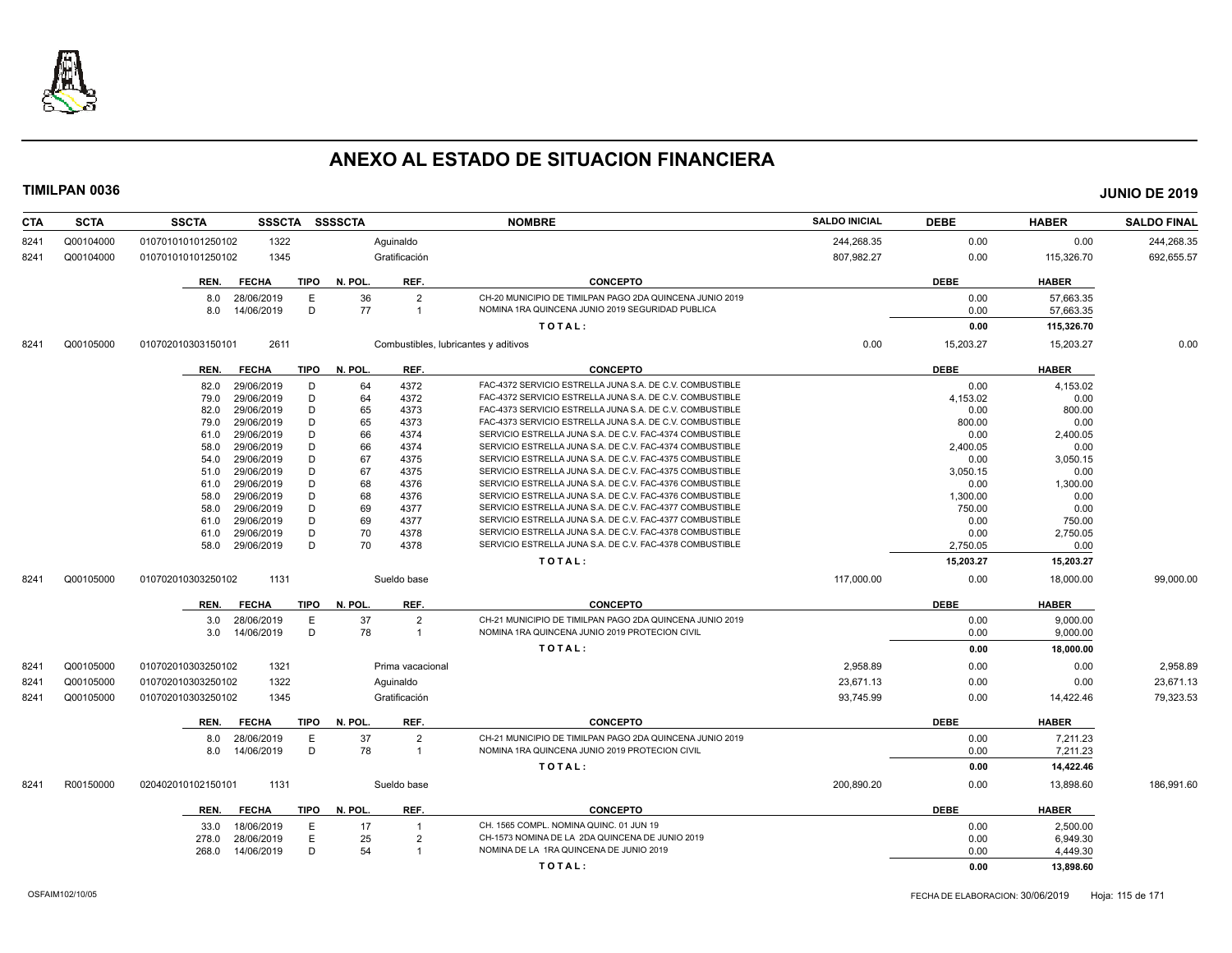

| CTA  | <b>SCTA</b> | <b>SSSCTA</b><br><b>SSCTA</b>       | SSSSCTA                                | <b>NOMBRE</b>                                            | <b>SALDO INICIAL</b> | <b>DEBE</b> | <b>HABER</b> | <b>SALDO FINAL</b> |
|------|-------------|-------------------------------------|----------------------------------------|----------------------------------------------------------|----------------------|-------------|--------------|--------------------|
| 8241 | Q00104000   | 010701010101250102<br>1322          | Aquinaldo                              |                                                          | 244,268.35           | 0.00        | 0.00         | 244,268.35         |
| 8241 | Q00104000   | 1345<br>010701010101250102          | Gratificación                          |                                                          | 807,982.27           | 0.00        | 115,326.70   | 692,655.57         |
|      |             | <b>FECHA</b><br>TIPO<br>REN.        | N. POL.<br>REF.                        | <b>CONCEPTO</b>                                          |                      | <b>DEBE</b> | <b>HABER</b> |                    |
|      |             | 28/06/2019<br>E<br>8.0              | 36<br>$\overline{2}$                   | CH-20 MUNICIPIO DE TIMILPAN PAGO 2DA QUINCENA JUNIO 2019 |                      | 0.00        | 57.663.35    |                    |
|      |             | D<br>8.0<br>14/06/2019              | 77<br>$\overline{1}$                   | NOMINA 1RA QUINCENA JUNIO 2019 SEGURIDAD PUBLICA         |                      | 0.00        | 57,663.35    |                    |
|      |             |                                     |                                        | TOTAL:                                                   |                      | 0.00        | 115,326.70   |                    |
| 8241 | Q00105000   | 2611<br>010702010303150101          | Combustibles, lubricantes y aditivos   |                                                          | 0.00                 | 15,203.27   | 15,203.27    | 0.00               |
|      |             |                                     |                                        |                                                          |                      |             |              |                    |
|      |             | TIPO<br><b>FECHA</b><br>REN.        | N. POL.<br>REF.                        | <b>CONCEPTO</b>                                          |                      | <b>DEBE</b> | <b>HABER</b> |                    |
|      |             | D<br>29/06/2019<br>82.0             | 64<br>4372                             | FAC-4372 SERVICIO ESTRELLA JUNA S.A. DE C.V. COMBUSTIBLE |                      | 0.00        | 4,153.02     |                    |
|      |             | 29/06/2019<br>D<br>79.0             | 64<br>4372                             | FAC-4372 SERVICIO ESTRELLA JUNA S.A. DE C.V. COMBUSTIBLE |                      | 4,153.02    | 0.00         |                    |
|      |             | D<br>29/06/2019<br>82.0             | 65<br>4373                             | FAC-4373 SERVICIO ESTRELLA JUNA S.A. DE C.V. COMBUSTIBLE |                      | 0.00        | 800.00       |                    |
|      |             | D<br>29/06/2019<br>79.0             | 65<br>4373                             | FAC-4373 SERVICIO ESTRELLA JUNA S.A. DE C.V. COMBUSTIBLE |                      | 800.00      | 0.00         |                    |
|      |             | D<br>29/06/2019<br>61.0             | 66<br>4374                             | SERVICIO ESTRELLA JUNA S.A. DE C.V. FAC-4374 COMBUSTIBLE |                      | 0.00        | 2,400.05     |                    |
|      |             | D<br>29/06/2019<br>58.0             | 66<br>4374                             | SERVICIO ESTRELLA JUNA S.A. DE C.V. FAC-4374 COMBUSTIBLE |                      | 2,400.05    | 0.00         |                    |
|      |             | D<br>29/06/2019<br>54.0             | 67<br>4375                             | SERVICIO ESTRELLA JUNA S.A. DE C.V. FAC-4375 COMBUSTIBLE |                      | 0.00        | 3,050.15     |                    |
|      |             | D<br>29/06/2019<br>51.0             | 67<br>4375                             | SERVICIO ESTRELLA JUNA S.A. DE C.V. FAC-4375 COMBUSTIBLE |                      | 3,050.15    | 0.00         |                    |
|      |             | D<br>29/06/2019<br>61.0             | 68<br>4376                             | SERVICIO ESTRELLA JUNA S.A. DE C.V. FAC-4376 COMBUSTIBLE |                      | 0.00        | 1,300.00     |                    |
|      |             | D<br>29/06/2019<br>58.0             | 68<br>4376                             | SERVICIO ESTRELLA JUNA S.A. DE C.V. FAC-4376 COMBUSTIBLE |                      | 1,300.00    | 0.00         |                    |
|      |             | D<br>29/06/2019<br>58.0             | 69<br>4377                             | SERVICIO ESTRELLA JUNA S.A. DE C.V. FAC-4377 COMBUSTIBLE |                      | 750.00      | 0.00         |                    |
|      |             | D<br>29/06/2019<br>61.0             | 69<br>4377                             | SERVICIO ESTRELLA JUNA S.A. DE C.V. FAC-4377 COMBUSTIBLE |                      | 0.00        | 750.00       |                    |
|      |             | D<br>29/06/2019<br>61.0             | 70<br>4378                             | SERVICIO ESTRELLA JUNA S.A. DE C.V. FAC-4378 COMBUSTIBLE |                      | 0.00        | 2,750.05     |                    |
|      |             | D<br>29/06/2019<br>58.0             | 70<br>4378                             | SERVICIO ESTRELLA JUNA S.A. DE C.V. FAC-4378 COMBUSTIBLE |                      | 2,750.05    | 0.00         |                    |
|      |             |                                     |                                        | TOTAL:                                                   |                      | 15,203.27   | 15,203.27    |                    |
| 8241 | Q00105000   | 010702010303250102<br>1131          | Sueldo base                            |                                                          | 117,000.00           | 0.00        | 18.000.00    | 99.000.00          |
|      |             | <b>FECHA</b><br>TIPO<br>REN.        | REF.<br>N. POL.                        | <b>CONCEPTO</b>                                          |                      | <b>DEBE</b> | <b>HABER</b> |                    |
|      |             | 3.0 28/06/2019<br>E                 | 37<br>$\overline{2}$                   | CH-21 MUNICIPIO DE TIMILPAN PAGO 2DA QUINCENA JUNIO 2019 |                      | 0.00        | 9.000.00     |                    |
|      |             | D<br>14/06/2019<br>3.0              | 78<br>$\overline{\mathbf{1}}$          | NOMINA 1RA QUINCENA JUNIO 2019 PROTECION CIVIL           |                      | 0.00        | 9,000.00     |                    |
|      |             |                                     |                                        | TOTAL:                                                   |                      | 0.00        | 18,000.00    |                    |
| 8241 | Q00105000   | 010702010303250102<br>1321          | Prima vacacional                       |                                                          | 2,958.89             | 0.00        | 0.00         | 2,958.89           |
| 8241 | Q00105000   | 1322<br>010702010303250102          | Aquinaldo                              |                                                          | 23,671.13            | 0.00        | 0.00         | 23,671.13          |
|      | Q00105000   | 010702010303250102<br>1345          | Gratificación                          |                                                          | 93,745.99            | 0.00        |              | 79,323.53          |
| 8241 |             |                                     |                                        |                                                          |                      |             | 14,422.46    |                    |
|      |             | <b>FECHA</b><br><b>TIPO</b><br>REN. | N. POL.<br>REF.                        | <b>CONCEPTO</b>                                          |                      | <b>DEBE</b> | <b>HABER</b> |                    |
|      |             | 28/06/2019<br>E<br>8.0              | 37<br>$\overline{2}$                   | CH-21 MUNICIPIO DE TIMILPAN PAGO 2DA QUINCENA JUNIO 2019 |                      | 0.00        | 7,211.23     |                    |
|      |             | D<br>14/06/2019<br>8.0              | 78<br>$\overline{1}$                   | NOMINA 1RA QUINCENA JUNIO 2019 PROTECION CIVIL           |                      | 0.00        | 7,211.23     |                    |
|      |             |                                     |                                        | TOTAL:                                                   |                      | 0.00        | 14,422.46    |                    |
| 8241 | R00150000   | 1131<br>020402010102150101          | Sueldo base                            |                                                          | 200,890.20           | 0.00        | 13,898.60    | 186,991.60         |
|      |             | <b>FECHA</b><br>TIPO<br>REN.        | REF.<br>N. POL.                        | <b>CONCEPTO</b>                                          |                      | <b>DEBE</b> | <b>HABER</b> |                    |
|      |             |                                     |                                        |                                                          |                      |             |              |                    |
|      |             | 18/06/2019<br>Е<br>33.0             | 17<br>$\overline{1}$                   | CH. 1565 COMPL. NOMINA QUINC. 01 JUN 19                  |                      | 0.00        | 2,500.00     |                    |
|      |             | E<br>28/06/2019<br>278.0            | 25<br>$\overline{2}$<br>$\overline{1}$ | CH-1573 NOMINA DE LA 2DA QUINCENA DE JUNIO 2019          |                      | 0.00        | 6,949.30     |                    |
|      |             | D<br>14/06/2019<br>268.0            | 54                                     | NOMINA DE LA 1RA QUINCENA DE JUNIO 2019                  |                      | 0.00        | 4,449.30     |                    |
|      |             |                                     |                                        | TOTAL:                                                   |                      | 0.00        | 13,898.60    |                    |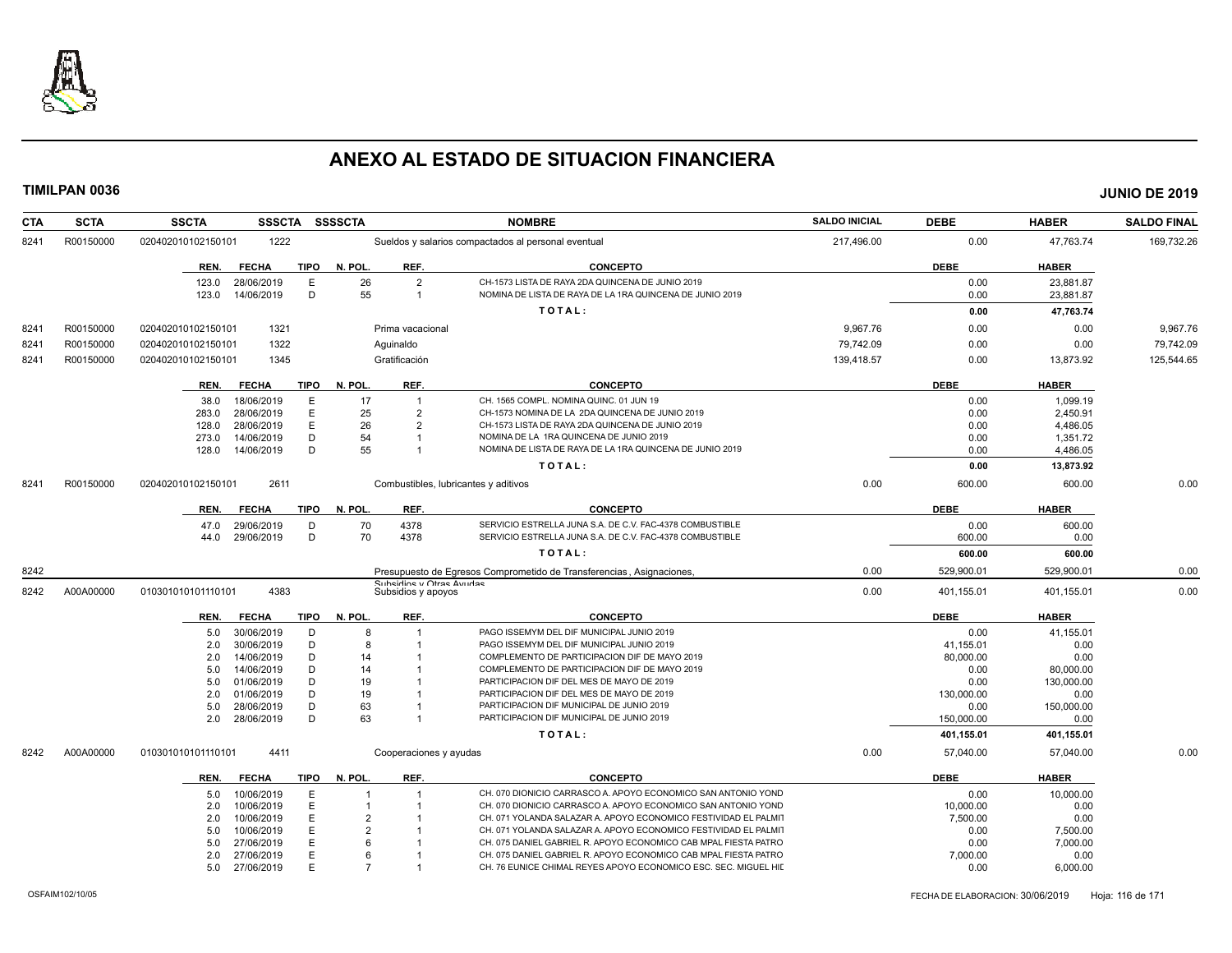

| <b>CTA</b> | <b>SCTA</b> | <b>SSCTA</b>         | <b>SSSCTA</b> | <b>SSSSCTA</b> |                                                | <b>NOMBRE</b>                                                                          | <b>SALDO INICIAL</b> | <b>DEBE</b> | <b>HABER</b> | <b>SALDO FINAL</b> |
|------------|-------------|----------------------|---------------|----------------|------------------------------------------------|----------------------------------------------------------------------------------------|----------------------|-------------|--------------|--------------------|
| 8241       | R00150000   | 020402010102150101   | 1222          |                |                                                | Sueldos y salarios compactados al personal eventual                                    | 217,496.00           | 0.00        | 47,763.74    | 169,732.26         |
|            |             | REN.<br><b>FECHA</b> | <b>TIPO</b>   | N. POL.        | REF.                                           | <b>CONCEPTO</b>                                                                        |                      | <b>DEBE</b> | <b>HABER</b> |                    |
|            |             | 123.0<br>28/06/2019  | E             | 26             | $\overline{2}$                                 | CH-1573 LISTA DE RAYA 2DA QUINCENA DE JUNIO 2019                                       |                      | 0.00        | 23,881.87    |                    |
|            |             | 14/06/2019<br>123.0  | D             | 55             | $\overline{1}$                                 | NOMINA DE LISTA DE RAYA DE LA 1RA QUINCENA DE JUNIO 2019                               |                      | 0.00        | 23,881.87    |                    |
|            |             |                      |               |                |                                                | TOTAL:                                                                                 |                      | 0.00        | 47,763.74    |                    |
| 8241       | R00150000   | 020402010102150101   | 1321          |                | Prima vacacional                               |                                                                                        | 9,967.76             | 0.00        | 0.00         | 9,967.76           |
| 8241       | R00150000   | 020402010102150101   | 1322          |                | Aguinaldo                                      |                                                                                        | 79,742.09            | 0.00        | 0.00         | 79,742.09          |
| 8241       | R00150000   | 020402010102150101   | 1345          |                | Gratificación                                  |                                                                                        | 139,418.57           | 0.00        | 13,873.92    | 125,544.65         |
|            |             | <b>FECHA</b><br>REN. | <b>TIPO</b>   | N. POL.        | REF.                                           | <b>CONCEPTO</b>                                                                        |                      | <b>DEBE</b> | <b>HABER</b> |                    |
|            |             | 18/06/2019<br>38.0   | E             | 17             | $\overline{1}$                                 | CH. 1565 COMPL. NOMINA QUINC, 01 JUN 19                                                |                      | 0.00        | 1.099.19     |                    |
|            |             | 28/06/2019<br>283.0  | E             | 25             | $\overline{2}$                                 | CH-1573 NOMINA DE LA 2DA QUINCENA DE JUNIO 2019                                        |                      | 0.00        | 2,450.91     |                    |
|            |             | 28/06/2019<br>128.0  | E             | 26             | $\mathcal{P}$                                  | CH-1573 LISTA DE RAYA 2DA QUINCENA DE JUNIO 2019                                       |                      | 0.00        | 4,486.05     |                    |
|            |             | 273.0<br>14/06/2019  | D             | 54             |                                                | NOMINA DE LA 1RA QUINCENA DE JUNIO 2019                                                |                      | 0.00        | 1,351.72     |                    |
|            |             | 14/06/2019<br>128.0  | D             | 55             |                                                | NOMINA DE LISTA DE RAYA DE LA 1RA QUINCENA DE JUNIO 2019                               |                      | 0.00        | 4,486.05     |                    |
|            |             |                      |               |                |                                                | TOTAL:                                                                                 |                      | 0.00        | 13,873.92    |                    |
| 8241       | R00150000   | 020402010102150101   | 2611          |                |                                                | Combustibles, lubricantes y aditivos                                                   | 0.00                 | 600.00      | 600.00       | 0.00               |
|            |             | <b>FECHA</b><br>REN. | <b>TIPO</b>   | N. POL.        | REF.                                           | <b>CONCEPTO</b>                                                                        |                      | <b>DEBE</b> | <b>HABER</b> |                    |
|            |             | 29/06/2019<br>47.0   | D             | 70             | 4378                                           | SERVICIO ESTRELLA JUNA S.A. DE C.V. FAC-4378 COMBUSTIBLE                               |                      | 0.00        | 600.00       |                    |
|            |             | 29/06/2019<br>44.0   | D             | 70             | 4378                                           | SERVICIO ESTRELLA JUNA S.A. DE C.V. FAC-4378 COMBUSTIBLE                               |                      | 600.00      | 0.00         |                    |
|            |             |                      |               |                |                                                | TOTAL:                                                                                 |                      | 600.00      | 600.00       |                    |
| 8242       |             |                      |               |                |                                                | Presupuesto de Egresos Comprometido de Transferencias, Asignaciones,                   | 0.00                 | 529,900.01  | 529,900.01   | 0.00               |
| 8242       | A00A00000   | 010301010101110101   | 4383          |                | Subsiding y Otras Avudas<br>Subsidios y apoyos |                                                                                        | 0.00                 | 401,155.01  | 401,155.01   | 0.00               |
|            |             | <b>FECHA</b><br>REN. | <b>TIPO</b>   | N. POL.        | REF.                                           | <b>CONCEPTO</b>                                                                        |                      | <b>DEBE</b> | <b>HABER</b> |                    |
|            |             | 30/06/2019<br>5.0    | D             | 8              |                                                | PAGO ISSEMYM DEL DIF MUNICIPAL JUNIO 2019                                              |                      | 0.00        | 41,155.01    |                    |
|            |             | 30/06/2019<br>2.0    | D             | 8              |                                                | PAGO ISSEMYM DEL DIF MUNICIPAL JUNIO 2019                                              |                      | 41,155.01   | 0.00         |                    |
|            |             | 14/06/2019<br>2.0    | D             | 14             |                                                | COMPLEMENTO DE PARTICIPACION DIF DE MAYO 2019                                          |                      | 80,000.00   | 0.00         |                    |
|            |             | 14/06/2019<br>5.0    | D             | 14             |                                                | COMPLEMENTO DE PARTICIPACION DIF DE MAYO 2019                                          |                      | 0.00        | 80,000.00    |                    |
|            |             | 01/06/2019<br>5.0    | D             | 19             |                                                | PARTICIPACION DIF DEL MES DE MAYO DE 2019                                              |                      | 0.00        | 130,000.00   |                    |
|            |             | 01/06/2019<br>2.0    | D             | 19             |                                                | PARTICIPACION DIF DEL MES DE MAYO DE 2019                                              |                      | 130,000.00  | 0.00         |                    |
|            |             | 5.0<br>28/06/2019    | D             | 63             |                                                | PARTICIPACION DIF MUNICIPAL DE JUNIO 2019<br>PARTICIPACION DIF MUNICIPAL DE JUNIO 2019 |                      | 0.00        | 150,000.00   |                    |
|            |             | 28/06/2019<br>2.0    | D             | 63             |                                                |                                                                                        |                      | 150.000.00  | 0.00         |                    |
|            |             |                      |               |                |                                                | TOTAL:                                                                                 |                      | 401,155.01  | 401,155.01   |                    |
| 8242       | A00A00000   | 010301010101110101   | 4411          |                | Cooperaciones y ayudas                         |                                                                                        | 0.00                 | 57,040.00   | 57,040.00    | 0.00               |
|            |             | <b>FECHA</b><br>REN. | <b>TIPO</b>   | N. POL.        | REF.                                           | <b>CONCEPTO</b>                                                                        |                      | <b>DEBE</b> | <b>HABER</b> |                    |
|            |             | 10/06/2019<br>5.0    | E             |                |                                                | CH. 070 DIONICIO CARRASCO A. APOYO ECONOMICO SAN ANTONIO YOND                          |                      | 0.00        | 10,000.00    |                    |
|            |             | 10/06/2019<br>2.0    | E             |                |                                                | CH. 070 DIONICIO CARRASCO A. APOYO ECONOMICO SAN ANTONIO YOND                          |                      | 10,000.00   | 0.00         |                    |
|            |             | 2.0<br>10/06/2019    | E             | 2              |                                                | CH. 071 YOLANDA SALAZAR A. APOYO ECONOMICO FESTIVIDAD EL PALMIT                        |                      | 7,500.00    | 0.00         |                    |
|            |             | 10/06/2019<br>5.0    | E             | $\mathcal{P}$  |                                                | CH. 071 YOLANDA SALAZAR A. APOYO ECONOMICO FESTIVIDAD EL PALMIT                        |                      | 0.00        | 7,500.00     |                    |
|            |             | 27/06/2019<br>5.0    | F             | ĥ              |                                                | CH. 075 DANIEL GABRIEL R. APOYO ECONOMICO CAB MPAL FIESTA PATRO                        |                      | 0.00        | 7,000.00     |                    |
|            |             | 27/06/2019<br>2.0    | E             | ĥ              |                                                | CH. 075 DANIEL GABRIEL R. APOYO ECONOMICO CAB MPAL FIESTA PATRO                        |                      | 7,000.00    | 0.00         |                    |
|            |             | 27/06/2019<br>5.0    | E             | 7              |                                                | CH. 76 EUNICE CHIMAL REYES APOYO ECONOMICO ESC. SEC. MIGUEL HIL                        |                      | 0.00        | 6,000.00     |                    |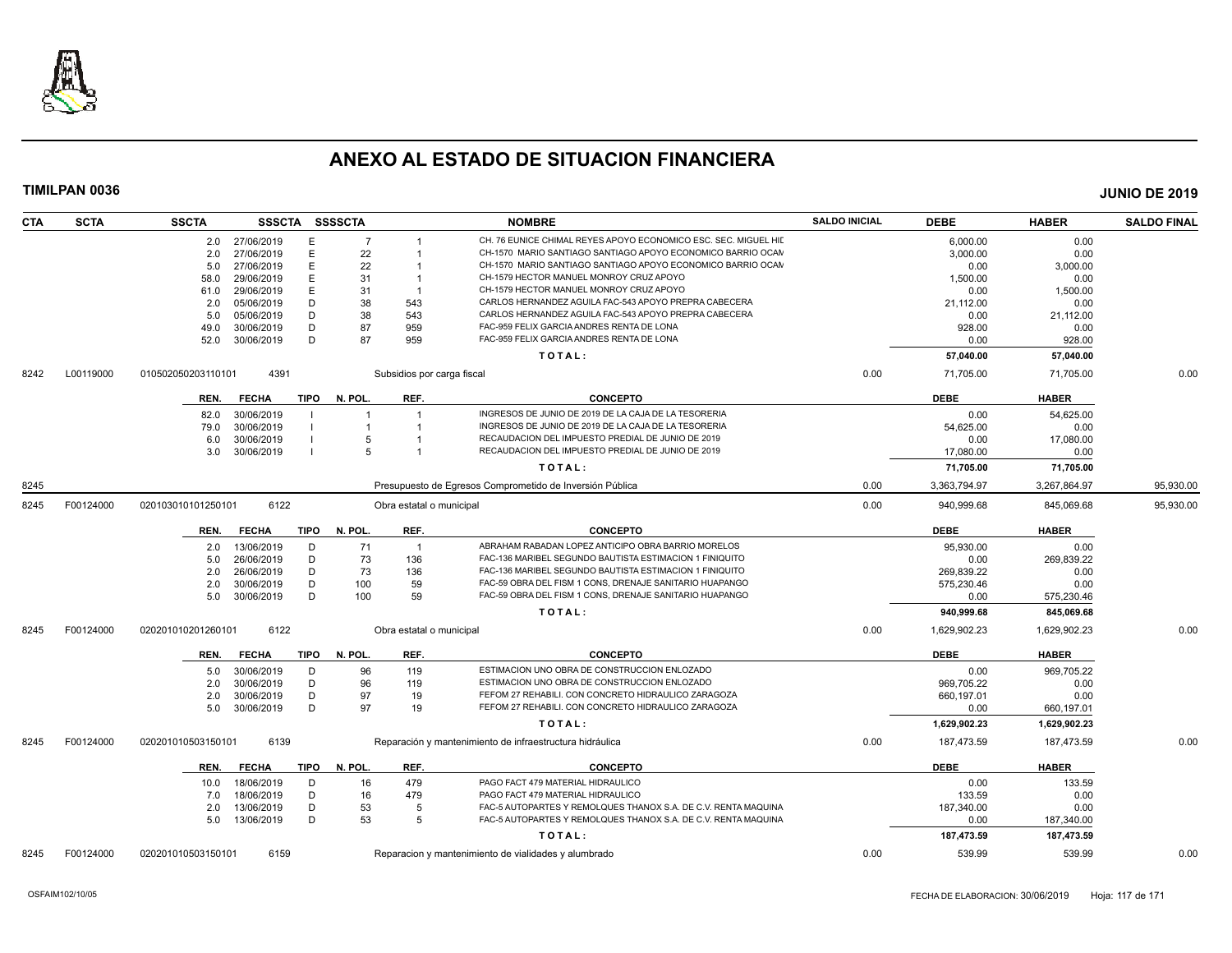

| <b>SCTA</b><br><b>CTA</b> | <b>SSCTA</b>       |                | SSSCTA SSSSCTA |                | <b>NOMBRE</b>                                                        | <b>SALDO INICIAL</b> | <b>DEBE</b>  | <b>HABER</b> | <b>SALDO FINAL</b> |
|---------------------------|--------------------|----------------|----------------|----------------|----------------------------------------------------------------------|----------------------|--------------|--------------|--------------------|
|                           |                    | 2.0 27/06/2019 | E              | $\overline{7}$ | CH. 76 EUNICE CHIMAL REYES APOYO ECONOMICO ESC. SEC. MIGUEL HII      |                      | 6.000.00     | 0.00         |                    |
|                           | 2.0                | 27/06/2019     | E              | 22             | CH-1570 MARIO SANTIAGO SANTIAGO APOYO ECONOMICO BARRIO OCAM          |                      | 3,000.00     | 0.00         |                    |
|                           | 5.0                | 27/06/2019     | E              | 22             | CH-1570 MARIO SANTIAGO SANTIAGO APOYO ECONOMICO BARRIO OCAN          |                      | 0.00         | 3,000.00     |                    |
|                           | 58.0               | 29/06/2019     | E              | 31             | CH-1579 HECTOR MANUEL MONROY CRUZ APOYO                              |                      | 1,500.00     | 0.00         |                    |
|                           | 61.0               | 29/06/2019     | E              | 31             | CH-1579 HECTOR MANUEL MONROY CRUZ APOYO<br>$\overline{1}$            |                      | 0.00         | 1,500.00     |                    |
|                           | 2.0                | 05/06/2019     | D              | 38             | CARLOS HERNANDEZ AGUILA FAC-543 APOYO PREPRA CABECERA<br>543         |                      | 21,112.00    | 0.00         |                    |
|                           | 5.0                | 05/06/2019     | D              | 38             | CARLOS HERNANDEZ AGUILA FAC-543 APOYO PREPRA CABECERA<br>543         |                      | 0.00         | 21,112.00    |                    |
|                           | 49.0               | 30/06/2019     | D              | 87             | FAC-959 FELIX GARCIA ANDRES RENTA DE LONA<br>959                     |                      | 928.00       | 0.00         |                    |
|                           | 52.0               | 30/06/2019     | D              | 87             | FAC-959 FELIX GARCIA ANDRES RENTA DE LONA<br>959                     |                      | 0.00         | 928.00       |                    |
|                           |                    |                |                |                | TOTAL:                                                               |                      | 57,040.00    | 57,040.00    |                    |
| L00119000<br>8242         | 010502050203110101 | 4391           |                |                | Subsidios por carga fiscal                                           | 0.00                 | 71,705.00    | 71,705.00    | 0.00               |
|                           | REN.               | <b>FECHA</b>   | TIPO           | N. POL.        | REF.<br><b>CONCEPTO</b>                                              |                      | <b>DEBE</b>  | <b>HABER</b> |                    |
|                           | 82.0               | 30/06/2019     |                | $\overline{1}$ | INGRESOS DE JUNIO DE 2019 DE LA CAJA DE LA TESORERIA                 |                      | 0.00         | 54,625.00    |                    |
|                           | 79.0               | 30/06/2019     |                |                | INGRESOS DE JUNIO DE 2019 DE LA CAJA DE LA TESORERIA                 |                      | 54,625.00    | 0.00         |                    |
|                           | 6.0                | 30/06/2019     |                | 5              | RECAUDACION DEL IMPUESTO PREDIAL DE JUNIO DE 2019                    |                      | 0.00         | 17,080.00    |                    |
|                           | 3.0                | 30/06/2019     |                | 5              | RECAUDACION DEL IMPUESTO PREDIAL DE JUNIO DE 2019                    |                      | 17,080.00    | 0.00         |                    |
|                           |                    |                |                |                | TOTAL:                                                               |                      | 71.705.00    | 71,705.00    |                    |
| 8245                      |                    |                |                |                | Presupuesto de Egresos Comprometido de Inversión Pública             | 0.00                 | 3,363,794.97 | 3,267,864.97 | 95,930.00          |
| F00124000<br>8245         | 020103010101250101 | 6122           |                |                | Obra estatal o municipal                                             | 0.00                 | 940,999.68   | 845,069.68   | 95,930.00          |
|                           | REN.               | <b>FECHA</b>   | TIPO           | N. POL.        | REF.<br><b>CONCEPTO</b>                                              |                      | <b>DEBE</b>  | <b>HABER</b> |                    |
|                           | 2.0                | 13/06/2019     | D              | 71             | ABRAHAM RABADAN LOPEZ ANTICIPO OBRA BARRIO MORELOS<br>$\overline{1}$ |                      | 95,930.00    | 0.00         |                    |
|                           | 5.0                | 26/06/2019     | D              | 73             | 136<br>FAC-136 MARIBEL SEGUNDO BAUTISTA ESTIMACION 1 FINIQUITO       |                      | 0.00         | 269,839.22   |                    |
|                           | 2.0                | 26/06/2019     | D              | 73             | 136<br>FAC-136 MARIBEL SEGUNDO BAUTISTA ESTIMACION 1 FINIQUITO       |                      | 269.839.22   | 0.00         |                    |
|                           | 2.0                | 30/06/2019     | D              | 100            | 59<br>FAC-59 OBRA DEL FISM 1 CONS, DRENAJE SANITARIO HUAPANGO        |                      | 575,230.46   | 0.00         |                    |
|                           | 5.0                | 30/06/2019     | D              | 100            | FAC-59 OBRA DEL FISM 1 CONS, DRENAJE SANITARIO HUAPANGO<br>59        |                      | 0.00         | 575,230.46   |                    |
|                           |                    |                |                |                | TOTAL:                                                               |                      | 940,999.68   | 845,069.68   |                    |
| F00124000<br>8245         | 020201010201260101 | 6122           |                |                | Obra estatal o municipal                                             | 0.00                 | 1,629,902.23 | 1,629,902.23 | 0.00               |
|                           | REN.               | FECHA          | TIPO N. POL.   |                | REF.<br><b>CONCEPTO</b>                                              |                      | <b>DEBE</b>  | <b>HABER</b> |                    |
|                           | 5.0                | 30/06/2019     | D              | 96             | ESTIMACION UNO OBRA DE CONSTRUCCION ENLOZADO<br>119                  |                      | 0.00         | 969,705.22   |                    |
|                           | 2.0                | 30/06/2019     | D              | 96             | ESTIMACION UNO OBRA DE CONSTRUCCION ENLOZADO<br>119                  |                      | 969,705.22   | 0.00         |                    |
|                           | 2.0                | 30/06/2019     | D              | 97             | FEFOM 27 REHABILI. CON CONCRETO HIDRAULICO ZARAGOZA<br>19            |                      | 660,197.01   | 0.00         |                    |
|                           | 5.0                | 30/06/2019     | D              | 97             | 19<br>FEFOM 27 REHABILI. CON CONCRETO HIDRAULICO ZARAGOZA            |                      | 0.00         | 660,197.01   |                    |
|                           |                    |                |                |                | TOTAL:                                                               |                      | 1,629,902.23 | 1,629,902.23 |                    |
| F00124000<br>8245         | 020201010503150101 | 6139           |                |                | Reparación y mantenimiento de infraestructura hidráulica             | 0.00                 | 187,473.59   | 187,473.59   | 0.00               |
|                           | REN.               | <b>FECHA</b>   | TIPO           | N. POL.        | REF.<br><b>CONCEPTO</b>                                              |                      | <b>DEBE</b>  | <b>HABER</b> |                    |
|                           | 10.0               | 18/06/2019     | D              | 16             | PAGO FACT 479 MATERIAL HIDRAULICO<br>479                             |                      | 0.00         | 133.59       |                    |
|                           | 7.0                | 18/06/2019     | D              | 16             | PAGO FACT 479 MATERIAL HIDRAULICO<br>479                             |                      | 133.59       | 0.00         |                    |
|                           | 2.0                | 13/06/2019     | D              | 53             | FAC-5 AUTOPARTES Y REMOLQUES THANOX S.A. DE C.V. RENTA MAQUINA<br>-5 |                      | 187,340.00   | 0.00         |                    |
|                           | 5.0                | 13/06/2019     | D              | 53             | FAC-5 AUTOPARTES Y REMOLQUES THANOX S.A. DE C.V. RENTA MAQUINA<br>-5 |                      | 0.00         | 187,340.00   |                    |
|                           |                    |                |                |                | TOTAL:                                                               |                      | 187,473.59   | 187,473.59   |                    |
| F00124000<br>8245         | 020201010503150101 | 6159           |                |                | Reparacion y mantenimiento de vialidades y alumbrado                 | 0.00                 | 539.99       | 539.99       | 0.00               |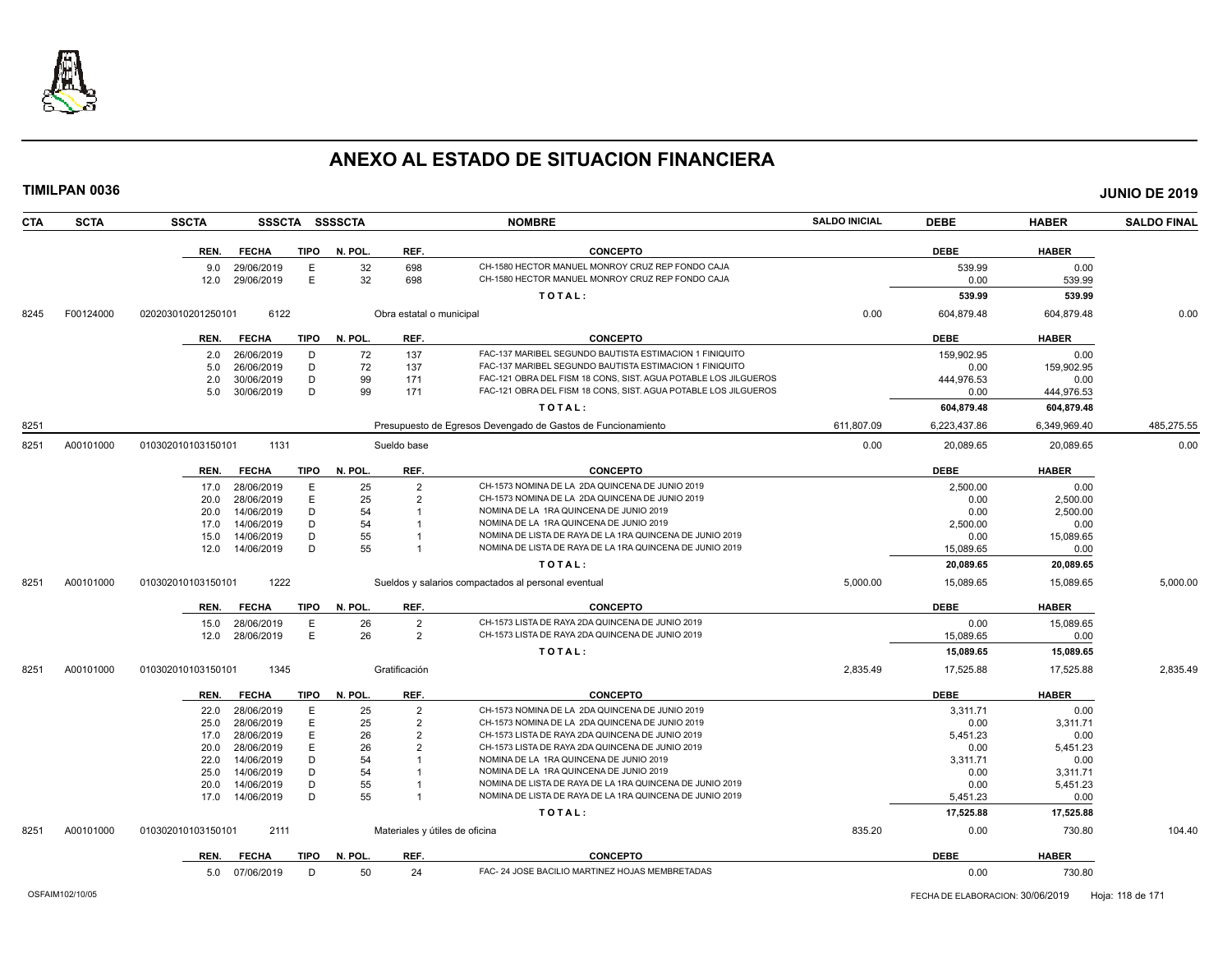

|      | TIMILPAN 0036 |                    |                 |             |                |                                |                                                                                                                      |                      |                       |                   | <b>JUNIO DE 2019</b> |
|------|---------------|--------------------|-----------------|-------------|----------------|--------------------------------|----------------------------------------------------------------------------------------------------------------------|----------------------|-----------------------|-------------------|----------------------|
| CTA  | <b>SCTA</b>   | <b>SSCTA</b>       |                 |             | SSSCTA SSSSCTA |                                | <b>NOMBRE</b>                                                                                                        | <b>SALDO INICIAL</b> | <b>DEBE</b>           | <b>HABER</b>      | <b>SALDO FINAL</b>   |
|      |               | REN.               | <b>FECHA</b>    | <b>TIPO</b> | N. POL.        | REF.                           | <b>CONCEPTO</b>                                                                                                      |                      | <b>DEBE</b>           | <b>HABER</b>      |                      |
|      |               | 9.0                | 29/06/2019      | E           | 32             | 698                            | CH-1580 HECTOR MANUEL MONROY CRUZ REP FONDO CAJA                                                                     |                      | 539.99                | 0.00              |                      |
|      |               | 12.0               | 29/06/2019      | Е           | 32             | 698                            | CH-1580 HECTOR MANUEL MONROY CRUZ REP FONDO CAJA                                                                     |                      | 0.00                  | 539.99            |                      |
|      |               |                    |                 |             |                |                                | TOTAL:                                                                                                               |                      | 539.99                | 539.99            |                      |
| 8245 | F00124000     | 020203010201250101 | 6122            |             |                | Obra estatal o municipal       |                                                                                                                      | 0.00                 | 604,879.48            | 604,879.48        | 0.00                 |
|      |               | REN.               | <b>FECHA</b>    | TIPO        | N. POL.        | REF.                           | <b>CONCEPTO</b>                                                                                                      |                      | <b>DEBE</b>           | <b>HABER</b>      |                      |
|      |               | 2.0                | 26/06/2019      | D           | 72             | 137                            | FAC-137 MARIBEL SEGUNDO BAUTISTA ESTIMACION 1 FINIQUITO                                                              |                      | 159.902.95            | 0.00              |                      |
|      |               | 5.0                | 26/06/2019      | D           | 72             | 137                            | FAC-137 MARIBEL SEGUNDO BAUTISTA ESTIMACION 1 FINIQUITO                                                              |                      | 0.00                  | 159.902.95        |                      |
|      |               | 2.0                | 30/06/2019      | D           | 99             | 171                            | FAC-121 OBRA DEL FISM 18 CONS, SIST. AGUA POTABLE LOS JILGUEROS                                                      |                      | 444,976.53            | 0.00              |                      |
|      |               | 5.0                | 30/06/2019      | D           | 99             | 171                            | FAC-121 OBRA DEL FISM 18 CONS, SIST. AGUA POTABLE LOS JILGUEROS                                                      |                      | 0.00                  | 444,976.53        |                      |
|      |               |                    |                 |             |                |                                | TOTAL:                                                                                                               |                      | 604,879.48            | 604,879.48        |                      |
| 8251 |               |                    |                 |             |                |                                | Presupuesto de Egresos Devengado de Gastos de Funcionamiento                                                         | 611,807.09           | 6,223,437.86          | 6,349,969.40      | 485,275.55           |
| 8251 | A00101000     | 010302010103150101 | 1131            |             |                | Sueldo base                    |                                                                                                                      | 0.00                 | 20,089.65             | 20,089.65         | 0.00                 |
|      |               |                    | REN. FECHA      | TIPO        | N. POL.        | REF.                           | <b>CONCEPTO</b>                                                                                                      |                      | <b>DEBE</b>           | <b>HABER</b>      |                      |
|      |               | 17.0               | 28/06/2019      | E           | 25             | $\overline{2}$                 | CH-1573 NOMINA DE LA 2DA QUINCENA DE JUNIO 2019                                                                      |                      | 2.500.00              | 0.00              |                      |
|      |               | 20.0               | 28/06/2019      | E           | 25             | $\overline{2}$                 | CH-1573 NOMINA DE LA 2DA QUINCENA DE JUNIO 2019                                                                      |                      | 0.00                  | 2,500.00          |                      |
|      |               | 20.0               | 14/06/2019      | D           | 54             |                                | NOMINA DE LA 1RA QUINCENA DE JUNIO 2019                                                                              |                      | 0.00                  | 2,500.00          |                      |
|      |               | 17.0               | 14/06/2019      | D           | 54             |                                | NOMINA DE LA 1RA QUINCENA DE JUNIO 2019                                                                              |                      | 2,500.00              | 0.00              |                      |
|      |               | 15.0               | 14/06/2019      | D           | 55             |                                | NOMINA DE LISTA DE RAYA DE LA 1RA QUINCENA DE JUNIO 2019                                                             |                      | 0.00                  | 15,089.65         |                      |
|      |               | 12.0               | 14/06/2019      | D           | 55             |                                | NOMINA DE LISTA DE RAYA DE LA 1RA QUINCENA DE JUNIO 2019                                                             |                      | 15,089.65             | 0.00              |                      |
|      |               |                    |                 |             |                |                                | TOTAL:                                                                                                               |                      | 20,089.65             | 20,089.65         |                      |
| 8251 | A00101000     | 010302010103150101 | 1222            |             |                |                                | Sueldos y salarios compactados al personal eventual                                                                  | 5,000.00             | 15,089.65             | 15,089.65         | 5,000.00             |
|      |               | REN.               | <b>FECHA</b>    | TIPO        | N. POL.        | REF.                           | <b>CONCEPTO</b>                                                                                                      |                      | <b>DEBE</b>           | <b>HABER</b>      |                      |
|      |               | 15.0               | 28/06/2019      | E           | 26             | $\overline{2}$                 | CH-1573 LISTA DE RAYA 2DA QUINCENA DE JUNIO 2019                                                                     |                      | 0.00                  | 15,089.65         |                      |
|      |               | 12.0               | 28/06/2019      | E           | 26             | $\overline{2}$                 | CH-1573 LISTA DE RAYA 2DA QUINCENA DE JUNIO 2019                                                                     |                      | 15,089.65             | 0.00              |                      |
|      |               |                    |                 |             |                |                                | TOTAL:                                                                                                               |                      | 15,089.65             | 15,089.65         |                      |
| 8251 | A00101000     | 010302010103150101 | 1345            |             |                | Gratificación                  |                                                                                                                      | 2,835.49             | 17,525.88             | 17,525.88         | 2,835.49             |
|      |               | REN.               | <b>FECHA</b>    | <b>TIPO</b> | N. POL.        | REF.                           | <b>CONCEPTO</b>                                                                                                      |                      | <b>DEBE</b>           | <b>HABER</b>      |                      |
|      |               |                    | 22.0 28/06/2019 | Е           | 25             | $\overline{2}$                 | CH-1573 NOMINA DE LA 2DA QUINCENA DE JUNIO 2019                                                                      |                      | 3,311.71              | 0.00              |                      |
|      |               | 25.0               | 28/06/2019      | Е           | 25             | 2                              | CH-1573 NOMINA DE LA 2DA QUINCENA DE JUNIO 2019                                                                      |                      | 0.00                  | 3,311.71          |                      |
|      |               | 17.0               | 28/06/2019      | E           | 26             | $\overline{2}$                 | CH-1573 LISTA DE RAYA 2DA QUINCENA DE JUNIO 2019                                                                     |                      | 5,451.23              | 0.00              |                      |
|      |               | 20.0               | 28/06/2019      | E           | 26             | $\overline{2}$                 | CH-1573 LISTA DE RAYA 2DA QUINCENA DE JUNIO 2019                                                                     |                      | 0.00                  | 5,451.23          |                      |
|      |               | 22.0               | 14/06/2019      | D           | 54             |                                | NOMINA DE LA 1RA QUINCENA DE JUNIO 2019                                                                              |                      | 3,311.71              | 0.00              |                      |
|      |               | 25.0               | 14/06/2019      | D           | 54             |                                | NOMINA DE LA 1RA QUINCENA DE JUNIO 2019                                                                              |                      | 0.00                  | 3,311.71          |                      |
|      |               | 20.0               | 14/06/2019      | D<br>D      | 55<br>55       |                                | NOMINA DE LISTA DE RAYA DE LA 1RA QUINCENA DE JUNIO 2019<br>NOMINA DE LISTA DE RAYA DE LA 1RA QUINCENA DE JUNIO 2019 |                      | 0.00                  | 5,451.23          |                      |
|      |               | 17.0               | 14/06/2019      |             |                |                                | TOTAL:                                                                                                               |                      | 5,451.23<br>17,525.88 | 0.00<br>17,525.88 |                      |
|      |               |                    |                 |             |                |                                |                                                                                                                      |                      |                       |                   |                      |
| 8251 | A00101000     | 010302010103150101 | 2111            |             |                | Materiales y útiles de oficina |                                                                                                                      | 835.20               | 0.00                  | 730.80            | 104.40               |
|      |               |                    |                 |             |                |                                |                                                                                                                      |                      |                       |                   |                      |

| <b>DEM</b><br>KEN. | <b>TIPO</b><br><b>COU</b> | . PO<br>ш.   | <b>REF</b> | CONCL<br>отс.                                    | <b>DEBE</b> | UAREF   |
|--------------------|---------------------------|--------------|------------|--------------------------------------------------|-------------|---------|
| . O.U              | <b>0010</b><br>72019      | ы<br>$\cdot$ |            | <b>TADAS</b><br>$\cdots$<br><b>MEMPD</b><br>אודם | υ.υι        | 7 JU.OU |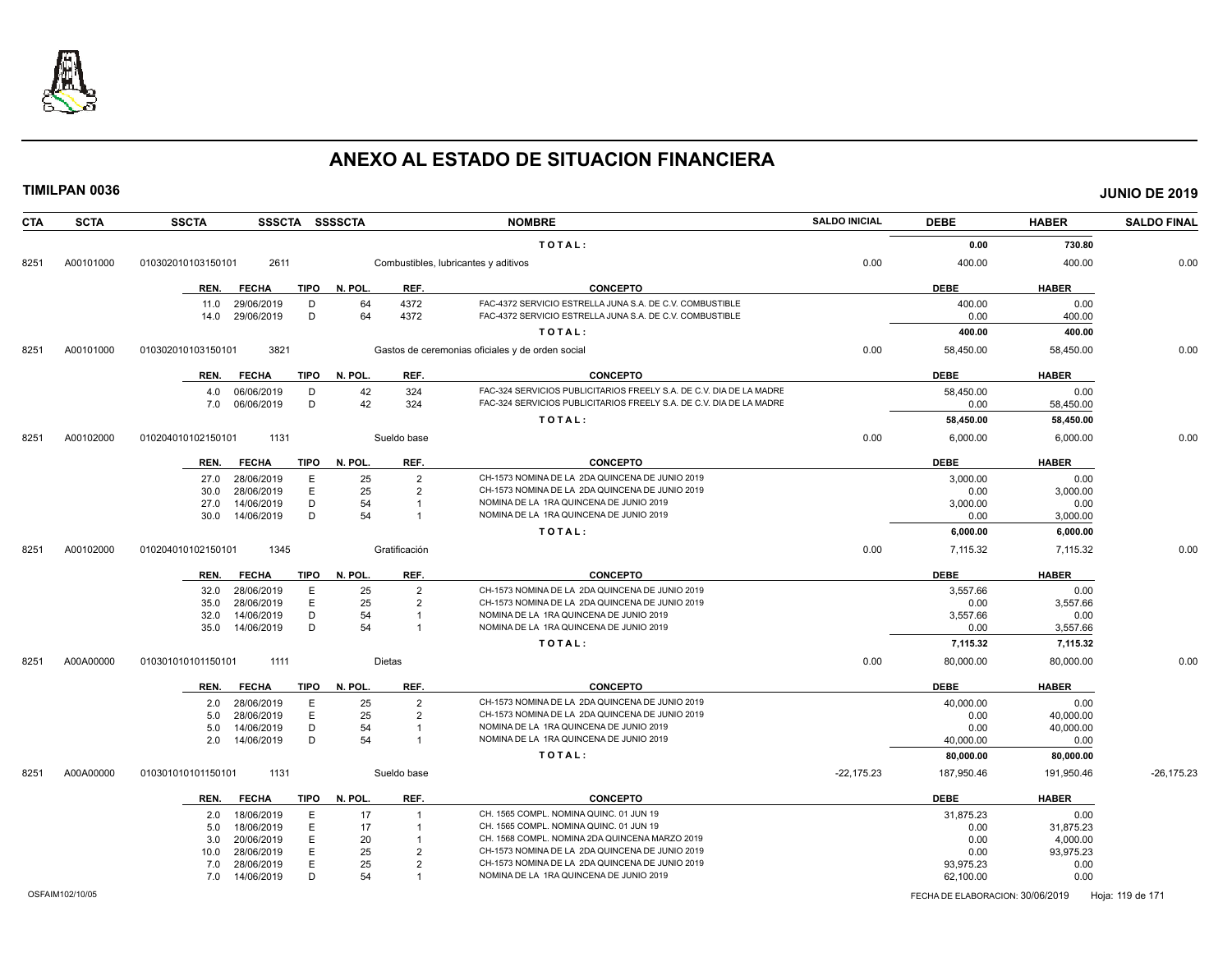

|            | <b>TIMILPAN 0036</b> |                    |                          |             |                |                                  |                                                                                            |                      |                   |                   | <b>JUNIO DE 2019</b> |
|------------|----------------------|--------------------|--------------------------|-------------|----------------|----------------------------------|--------------------------------------------------------------------------------------------|----------------------|-------------------|-------------------|----------------------|
| <b>CTA</b> | <b>SCTA</b>          | <b>SSCTA</b>       |                          |             | SSSCTA SSSSCTA |                                  | <b>NOMBRE</b>                                                                              | <b>SALDO INICIAL</b> | <b>DEBE</b>       | <b>HABER</b>      | <b>SALDO FINAL</b>   |
|            |                      |                    |                          |             |                |                                  | TOTAL:                                                                                     |                      | 0.00              | 730.80            |                      |
| 8251       | A00101000            | 010302010103150101 | 2611                     |             |                |                                  | Combustibles, lubricantes y aditivos                                                       | 0.00                 | 400.00            | 400.00            | 0.00                 |
|            |                      | REN.               | <b>FECHA</b>             | TIPO        | N. POL.        | REF.                             | <b>CONCEPTO</b>                                                                            |                      | <b>DEBE</b>       | <b>HABER</b>      |                      |
|            |                      | 11.0               | 29/06/2019               | D           | 64             | 4372                             | FAC-4372 SERVICIO ESTRELLA JUNA S.A. DE C.V. COMBUSTIBLE                                   |                      | 400.00            | 0.00              |                      |
|            |                      | 14.0               | 29/06/2019               | D           | 64             | 4372                             | FAC-4372 SERVICIO ESTRELLA JUNA S.A. DE C.V. COMBUSTIBLE                                   |                      | 0.00              | 400.00            |                      |
|            |                      |                    |                          |             |                |                                  | TOTAL:                                                                                     |                      | 400.00            | 400.00            |                      |
| 8251       | A00101000            | 010302010103150101 | 3821                     |             |                |                                  | Gastos de ceremonias oficiales y de orden social                                           | 0.00                 | 58,450.00         | 58,450.00         | 0.00                 |
|            |                      | REN.               | <b>FECHA</b>             | <b>TIPO</b> | N. POL.        | REF.                             | <b>CONCEPTO</b>                                                                            |                      | <b>DEBE</b>       | <b>HABER</b>      |                      |
|            |                      |                    | 4.0 06/06/2019           | D           | 42             | 324                              | FAC-324 SERVICIOS PUBLICITARIOS FREELY S.A. DE C.V. DIA DE LA MADRE                        |                      | 58,450.00         | 0.00              |                      |
|            |                      | 7.0                | 06/06/2019               | D           | 42             | 324                              | FAC-324 SERVICIOS PUBLICITARIOS FREELY S.A. DE C.V. DIA DE LA MADRE                        |                      | 0.00              | 58,450.00         |                      |
|            |                      |                    |                          |             |                |                                  | TOTAL:                                                                                     |                      | 58,450.00         | 58,450.00         |                      |
| 8251       | A00102000            | 010204010102150101 | 1131                     |             |                | Sueldo base                      |                                                                                            | 0.00                 | 6,000.00          | 6,000.00          | 0.00                 |
|            |                      | REN.               | FECHA                    | TIPO        | N. POL.        | REF.                             | <b>CONCEPTO</b>                                                                            |                      | <b>DEBE</b>       | <b>HABER</b>      |                      |
|            |                      | 27.0               | 28/06/2019               | E           | 25             | $\overline{2}$                   | CH-1573 NOMINA DE LA 2DA QUINCENA DE JUNIO 2019                                            |                      | 3,000.00          | 0.00              |                      |
|            |                      | 30.0               | 28/06/2019               | E           | 25             | 2                                | CH-1573 NOMINA DE LA 2DA QUINCENA DE JUNIO 2019                                            |                      | 0.00              | 3,000.00          |                      |
|            |                      | 27.0<br>30.0       | 14/06/2019<br>14/06/2019 | D<br>D      | 54<br>54       | $\overline{1}$<br>$\overline{1}$ | NOMINA DE LA 1RA QUINCENA DE JUNIO 2019<br>NOMINA DE LA 1RA QUINCENA DE JUNIO 2019         |                      | 3,000.00<br>0.00  | 0.00<br>3,000.00  |                      |
|            |                      |                    |                          |             |                |                                  | TOTAL:                                                                                     |                      | 6,000.00          | 6,000.00          |                      |
|            |                      |                    |                          |             |                |                                  |                                                                                            |                      |                   |                   |                      |
| 8251       | A00102000            | 010204010102150101 | 1345                     |             |                | Gratificación                    |                                                                                            | 0.00                 | 7,115.32          | 7,115.32          | 0.00                 |
|            |                      | REN.               | FECHA                    | TIPO        | N. POL.        | REF.                             | <b>CONCEPTO</b>                                                                            |                      | <b>DEBE</b>       | <b>HABER</b>      |                      |
|            |                      | 32.0               | 28/06/2019               | E           | 25             | 2                                | CH-1573 NOMINA DE LA 2DA QUINCENA DE JUNIO 2019                                            |                      | 3,557.66          | 0.00              |                      |
|            |                      | 35.0<br>32.0       | 28/06/2019<br>14/06/2019 | E<br>D      | 25<br>54       | 2<br>$\overline{1}$              | CH-1573 NOMINA DE LA 2DA QUINCENA DE JUNIO 2019<br>NOMINA DE LA 1RA QUINCENA DE JUNIO 2019 |                      | 0.00<br>3,557.66  | 3,557.66          |                      |
|            |                      | 35.0               | 14/06/2019               | D           | 54             | $\overline{1}$                   | NOMINA DE LA 1RA QUINCENA DE JUNIO 2019                                                    |                      | 0.00              | 0.00<br>3,557.66  |                      |
|            |                      |                    |                          |             |                |                                  | TOTAL:                                                                                     |                      | 7,115.32          | 7,115.32          |                      |
|            |                      |                    |                          |             |                |                                  |                                                                                            |                      |                   |                   |                      |
| 8251       | A00A00000            | 010301010101150101 | 1111                     |             |                | Dietas                           |                                                                                            | 0.00                 | 80,000.00         | 80,000.00         | 0.00                 |
|            |                      | REN.               | <b>FECHA</b>             | TIPO        | N. POL.        | REF.                             | <b>CONCEPTO</b>                                                                            |                      | <b>DEBE</b>       | <b>HABER</b>      |                      |
|            |                      |                    | 2.0 28/06/2019           | E           | 25             | $\overline{2}$                   | CH-1573 NOMINA DE LA 2DA QUINCENA DE JUNIO 2019                                            |                      | 40,000.00         | 0.00              |                      |
|            |                      | 5.0                | 28/06/2019               | E<br>D      | 25             | 2<br>$\overline{1}$              | CH-1573 NOMINA DE LA 2DA QUINCENA DE JUNIO 2019<br>NOMINA DE LA 1RA QUINCENA DE JUNIO 2019 |                      | 0.00              | 40,000.00         |                      |
|            |                      | 5.0<br>2.0         | 14/06/2019<br>14/06/2019 | D           | 54<br>54       | $\overline{1}$                   | NOMINA DE LA 1RA QUINCENA DE JUNIO 2019                                                    |                      | 0.00<br>40,000.00 | 40,000.00<br>0.00 |                      |
|            |                      |                    |                          |             |                |                                  | TOTAL:                                                                                     |                      | 80,000.00         | 80,000.00         |                      |
| 8251       | A00A00000            | 010301010101150101 | 1131                     |             |                | Sueldo base                      |                                                                                            | $-22,175.23$         | 187,950.46        | 191,950.46        | $-26,175.23$         |
|            |                      | REN.               | <b>FECHA</b>             | TIPO        | N. POL.        | REF.                             | <b>CONCEPTO</b>                                                                            |                      | <b>DEBE</b>       | <b>HABER</b>      |                      |
|            |                      | 2.0                | 18/06/2019               | E           | 17             | $\overline{1}$                   | CH. 1565 COMPL. NOMINA QUINC. 01 JUN 19                                                    |                      | 31,875.23         | 0.00              |                      |
|            |                      | 5.0                | 18/06/2019               | Ε           | 17             | $\overline{1}$                   | CH. 1565 COMPL. NOMINA QUINC. 01 JUN 19                                                    |                      | 0.00              | 31,875.23         |                      |
|            |                      | 3.0                | 20/06/2019               | Ε           | 20             | $\overline{1}$                   | CH. 1568 COMPL. NOMINA 2DA QUINCENA MARZO 2019                                             |                      | 0.00              | 4,000.00          |                      |
|            |                      | 10.0               | 28/06/2019               | E           | 25             | $\overline{2}$                   | CH-1573 NOMINA DE LA 2DA QUINCENA DE JUNIO 2019                                            |                      | 0.00              | 93,975.23         |                      |
|            |                      | 7.0                | 28/06/2019               | E           | 25             | $\overline{2}$                   | CH-1573 NOMINA DE LA 2DA QUINCENA DE JUNIO 2019                                            |                      | 93,975.23         | 0.00              |                      |
|            |                      | 7.0                | 14/06/2019               | D           | 54             |                                  | NOMINA DE LA 1RA QUINCENA DE JUNIO 2019                                                    |                      | 62,100.00         | 0.00              |                      |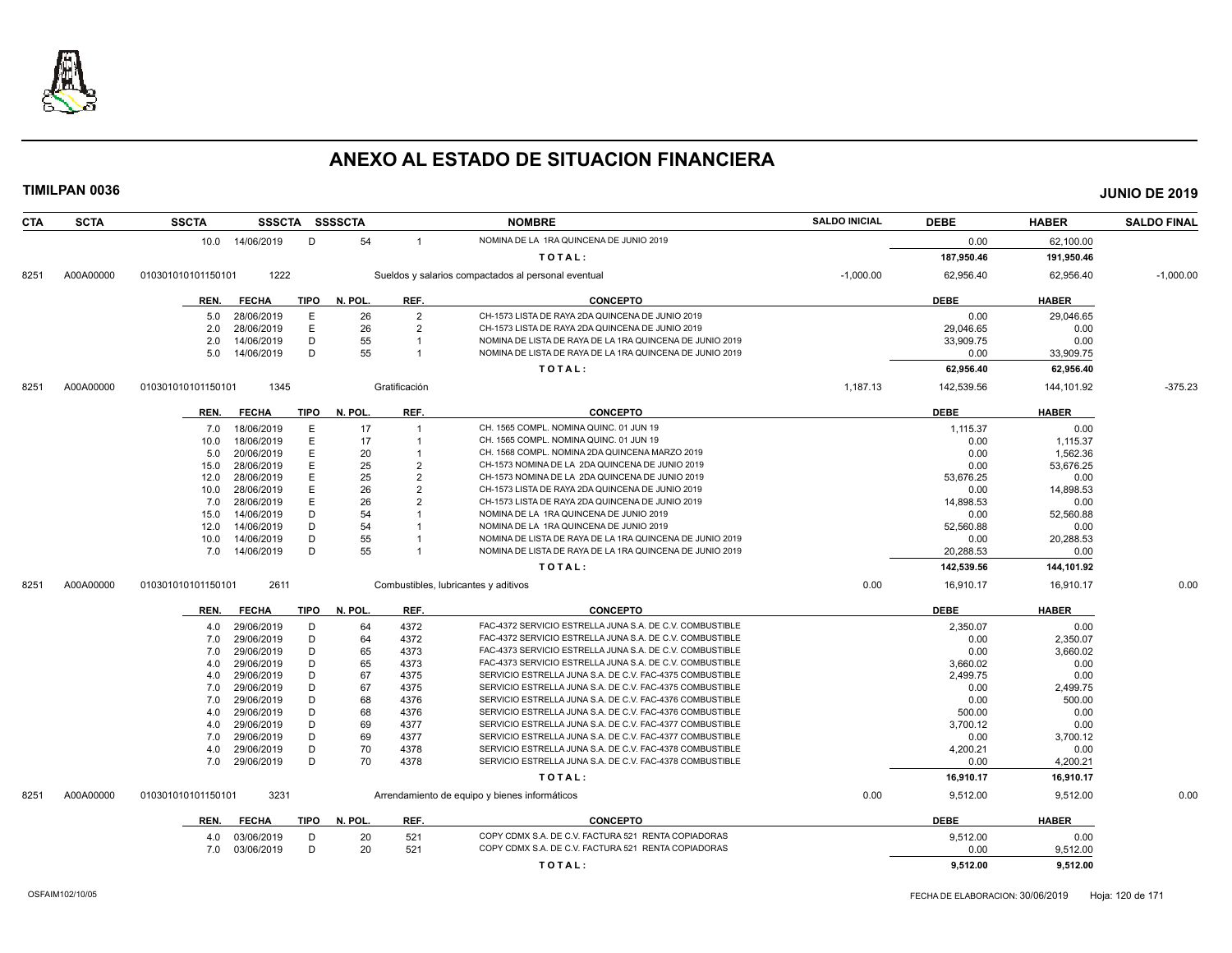

| <b>CTA</b> | <b>SCTA</b> | <b>SSCTA</b>       |                          |             | SSSCTA SSSSCTA |                | <b>NOMBRE</b>                                                                                                        | <b>SALDO INICIAL</b> | <b>DEBE</b>      | <b>HABER</b>          | <b>SALDO FINAL</b> |
|------------|-------------|--------------------|--------------------------|-------------|----------------|----------------|----------------------------------------------------------------------------------------------------------------------|----------------------|------------------|-----------------------|--------------------|
|            |             |                    | 10.0 14/06/2019          | D           | 54             | $\overline{1}$ | NOMINA DE LA 1RA QUINCENA DE JUNIO 2019                                                                              |                      | 0.00             | 62,100.00             |                    |
|            |             |                    |                          |             |                |                | TOTAL:                                                                                                               |                      | 187,950.46       | 191,950.46            |                    |
| 8251       | A00A00000   | 010301010101150101 | 1222                     |             |                |                | Sueldos y salarios compactados al personal eventual                                                                  | $-1,000.00$          | 62,956.40        | 62,956.40             | $-1,000.00$        |
|            |             | REN.               | <b>FECHA</b>             | <b>TIPO</b> | N. POL.        | REF.           | <b>CONCEPTO</b>                                                                                                      |                      | <b>DEBE</b>      | <b>HABER</b>          |                    |
|            |             | 5.0                | 28/06/2019               | E           | 26             | $\overline{2}$ | CH-1573 LISTA DE RAYA 2DA QUINCENA DE JUNIO 2019                                                                     |                      | 0.00             | 29,046.65             |                    |
|            |             | 2.0                | 28/06/2019               | E           | 26             | $\overline{2}$ | CH-1573 LISTA DE RAYA 2DA QUINCENA DE JUNIO 2019                                                                     |                      | 29,046.65        | 0.00                  |                    |
|            |             | 2.0                | 14/06/2019               | D           | 55             |                | NOMINA DE LISTA DE RAYA DE LA 1RA QUINCENA DE JUNIO 2019                                                             |                      | 33,909.75        | 0.00                  |                    |
|            |             | 5.0                | 14/06/2019               | D           | 55             | $\overline{1}$ | NOMINA DE LISTA DE RAYA DE LA 1RA QUINCENA DE JUNIO 2019                                                             |                      | 0.00             | 33,909.75             |                    |
|            |             |                    |                          |             |                |                |                                                                                                                      |                      |                  |                       |                    |
|            |             |                    |                          |             |                |                | TOTAL:                                                                                                               |                      | 62,956.40        | 62,956.40             |                    |
| 8251       | A00A00000   | 010301010101150101 | 1345                     |             |                | Gratificación  |                                                                                                                      | 1,187.13             | 142,539.56       | 144,101.92            | $-375.23$          |
|            |             | REN.               | <b>FECHA</b>             | <b>TIPO</b> | N. POL.        | REF.           | <b>CONCEPTO</b>                                                                                                      |                      | <b>DEBE</b>      | <b>HABER</b>          |                    |
|            |             | 7.0                | 18/06/2019               | Ε           | 17             | $\overline{1}$ | CH. 1565 COMPL. NOMINA QUINC, 01 JUN 19                                                                              |                      | 1,115.37         | 0.00                  |                    |
|            |             | 10.0               | 18/06/2019               | Ε           | 17             |                | CH. 1565 COMPL. NOMINA QUINC. 01 JUN 19                                                                              |                      | 0.00             | 1,115.37              |                    |
|            |             | 5.0                | 20/06/2019               | Ε           | 20             |                | CH. 1568 COMPL. NOMINA 2DA QUINCENA MARZO 2019                                                                       |                      | 0.00             | 1,562.36              |                    |
|            |             | 15.0               | 28/06/2019               | E           | 25             | $\overline{2}$ | CH-1573 NOMINA DE LA 2DA QUINCENA DE JUNIO 2019                                                                      |                      | 0.00             | 53,676.25             |                    |
|            |             | 12.0               | 28/06/2019               | Ε           | 25             | $\overline{2}$ | CH-1573 NOMINA DE LA 2DA QUINCENA DE JUNIO 2019                                                                      |                      | 53,676.25        | 0.00                  |                    |
|            |             | 10.0               | 28/06/2019               | E           | 26             | $\overline{2}$ | CH-1573 LISTA DE RAYA 2DA QUINCENA DE JUNIO 2019                                                                     |                      | 0.00             | 14,898.53             |                    |
|            |             | 7.0                | 28/06/2019               | E           | 26             | $\overline{2}$ | CH-1573 LISTA DE RAYA 2DA QUINCENA DE JUNIO 2019                                                                     |                      | 14,898.53        | 0.00                  |                    |
|            |             | 15.0               | 14/06/2019               | D           | 54             |                | NOMINA DE LA 1RA QUINCENA DE JUNIO 2019                                                                              |                      | 0.00             | 52,560.88             |                    |
|            |             | 12.0               | 14/06/2019               | D           | 54             |                | NOMINA DE LA 1RA QUINCENA DE JUNIO 2019                                                                              |                      | 52,560.88        | 0.00                  |                    |
|            |             | 10.0               | 14/06/2019               | D           | 55             |                | NOMINA DE LISTA DE RAYA DE LA 1RA QUINCENA DE JUNIO 2019                                                             |                      | 0.00             | 20,288.53             |                    |
|            |             | 7.0                | 14/06/2019               | D           | 55             |                | NOMINA DE LISTA DE RAYA DE LA 1RA QUINCENA DE JUNIO 2019                                                             |                      | 20,288.53        | 0.00                  |                    |
|            |             |                    |                          |             |                |                | TOTAL:                                                                                                               |                      | 142,539.56       | 144,101.92            |                    |
| 8251       | A00A00000   | 010301010101150101 | 2611                     |             |                |                | Combustibles, lubricantes y aditivos                                                                                 | 0.00                 | 16,910.17        | 16,910.17             | 0.00               |
|            |             | REN.               | <b>FECHA</b>             | <b>TIPO</b> | N. POL.        | REF.           | <b>CONCEPTO</b>                                                                                                      |                      | <b>DEBE</b>      | <b>HABER</b>          |                    |
|            |             | 4.0                | 29/06/2019               | D           | 64             | 4372           | FAC-4372 SERVICIO ESTRELLA JUNA S.A. DE C.V. COMBUSTIBLE                                                             |                      | 2,350.07         | 0.00                  |                    |
|            |             | 7.0                | 29/06/2019               | D           | 64             | 4372           | FAC-4372 SERVICIO ESTRELLA JUNA S.A. DE C.V. COMBUSTIBLE                                                             |                      | 0.00             | 2,350.07              |                    |
|            |             | 7.0                | 29/06/2019               | D           | 65             | 4373           | FAC-4373 SERVICIO ESTRELLA JUNA S.A. DE C.V. COMBUSTIBLE                                                             |                      | 0.00             | 3,660.02              |                    |
|            |             | 4.0                | 29/06/2019               | D           | 65             | 4373           | FAC-4373 SERVICIO ESTRELLA JUNA S.A. DE C.V. COMBUSTIBLE                                                             |                      | 3,660.02         | 0.00                  |                    |
|            |             | 4.0                | 29/06/2019               | D           | 67             | 4375           | SERVICIO ESTRELLA JUNA S.A. DE C.V. FAC-4375 COMBUSTIBLE                                                             |                      | 2,499.75         | 0.00                  |                    |
|            |             | 7.0                | 29/06/2019               | D           | 67             | 4375           | SERVICIO ESTRELLA JUNA S.A. DE C.V. FAC-4375 COMBUSTIBLE                                                             |                      | 0.00             | 2,499.75              |                    |
|            |             | 7.0                | 29/06/2019               | D           | 68             | 4376           | SERVICIO ESTRELLA JUNA S.A. DE C.V. FAC-4376 COMBUSTIBLE<br>SERVICIO ESTRELLA JUNA S.A. DE C.V. FAC-4376 COMBUSTIBLE |                      | 0.00             | 500.00                |                    |
|            |             | 4.0                | 29/06/2019               | D           | 68             | 4376           | SERVICIO ESTRELLA JUNA S.A. DE C.V. FAC-4377 COMBUSTIBLE                                                             |                      | 500.00           | 0.00                  |                    |
|            |             | 4.0                | 29/06/2019               | D<br>D      | 69<br>69       | 4377<br>4377   | SERVICIO ESTRELLA JUNA S.A. DE C.V. FAC-4377 COMBUSTIBLE                                                             |                      | 3,700.12         | 0.00                  |                    |
|            |             | 7.0                | 29/06/2019               | D           | 70             |                | SERVICIO ESTRELLA JUNA S.A. DE C.V. FAC-4378 COMBUSTIBLE                                                             |                      | 0.00             | 3,700.12              |                    |
|            |             | 4.0<br>7.0         | 29/06/2019<br>29/06/2019 | D           | 70             | 4378<br>4378   | SERVICIO ESTRELLA JUNA S.A. DE C.V. FAC-4378 COMBUSTIBLE                                                             |                      | 4,200.21<br>0.00 | 0.00                  |                    |
|            |             |                    |                          |             |                |                | TOTAL:                                                                                                               |                      | 16,910.17        | 4,200.21<br>16,910.17 |                    |
| 8251       | A00A00000   | 010301010101150101 | 3231                     |             |                |                | Arrendamiento de equipo y bienes informáticos                                                                        | 0.00                 | 9,512.00         | 9,512.00              | 0.00               |
|            |             |                    |                          |             |                |                |                                                                                                                      |                      |                  |                       |                    |
|            |             | REN.               | <b>FECHA</b>             | <b>TIPO</b> | N. POL.        | REF.           | <b>CONCEPTO</b>                                                                                                      |                      | <b>DEBE</b>      | <b>HABER</b>          |                    |
|            |             | 4.0                | 03/06/2019               | D           | 20             | 521            | COPY CDMX S.A. DE C.V. FACTURA 521 RENTA COPIADORAS                                                                  |                      | 9,512.00         | 0.00                  |                    |
|            |             | 7.0                | 03/06/2019               | D           | 20             | 521            | COPY CDMX S.A. DE C.V. FACTURA 521 RENTA COPIADORAS                                                                  |                      | 0.00             | 9,512.00              |                    |
|            |             |                    |                          |             |                |                | TOTAL:                                                                                                               |                      | 9,512.00         | 9,512.00              |                    |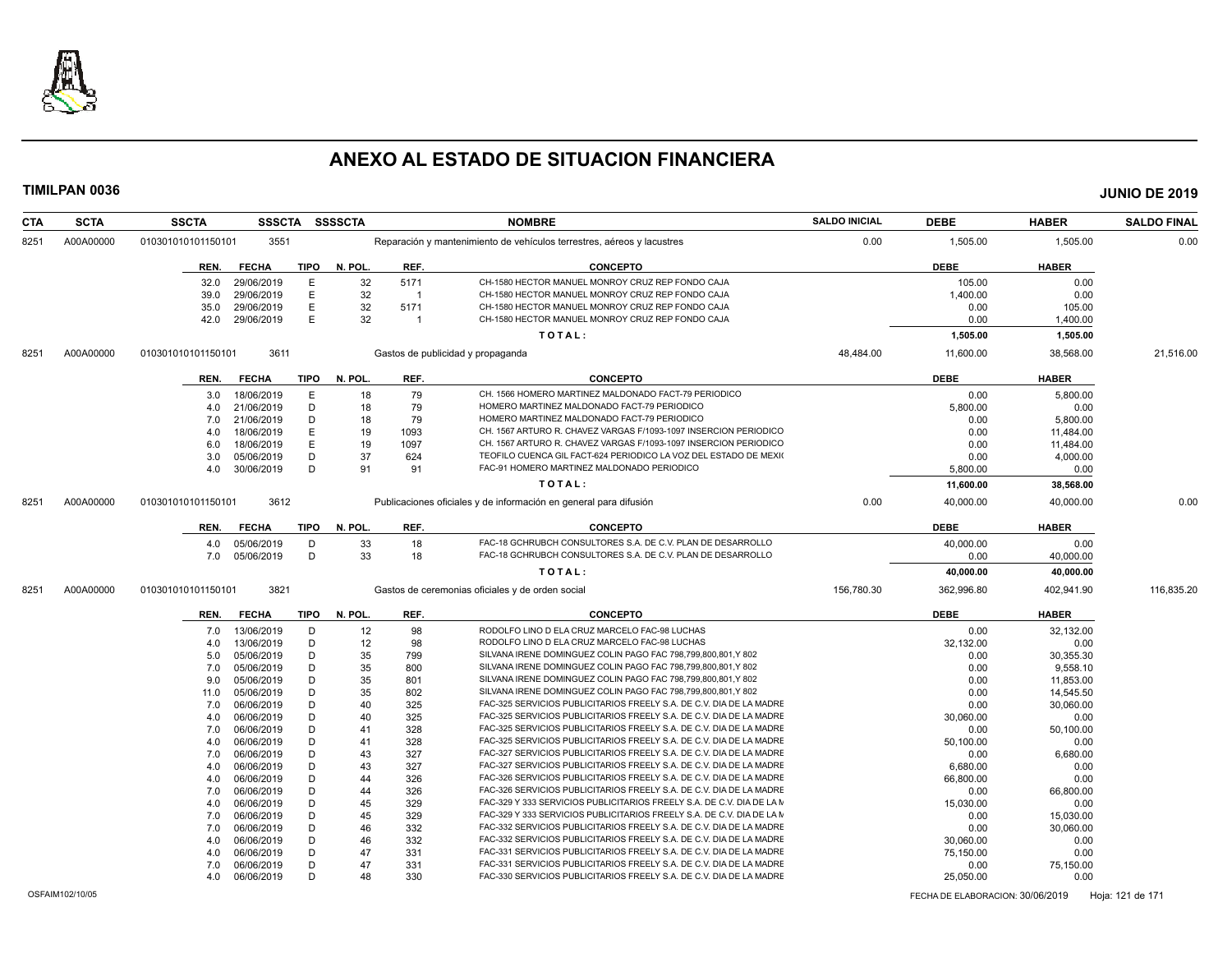

| <b>CTA</b> | <b>SCTA</b> | <b>SSCTA</b>       | <b>SSSCTA</b> |             | <b>SSSSCTA</b> |                | <b>NOMBRE</b>                                                          | <b>SALDO INICIAL</b> | <b>DEBE</b> | <b>HABER</b> | <b>SALDO FINAL</b> |
|------------|-------------|--------------------|---------------|-------------|----------------|----------------|------------------------------------------------------------------------|----------------------|-------------|--------------|--------------------|
| 8251       | A00A00000   | 010301010101150101 | 3551          |             |                |                | Reparación y mantenimiento de vehículos terrestres, aéreos y lacustres | 0.00                 | 1,505.00    | 1,505.00     | 0.00               |
|            |             | REN.               | <b>FECHA</b>  | TIPO        | N. POL.        | REF.           | <b>CONCEPTO</b>                                                        |                      | <b>DEBE</b> | <b>HABER</b> |                    |
|            |             | 32.0               | 29/06/2019    | E           | 32             | 5171           | CH-1580 HECTOR MANUEL MONROY CRUZ REP FONDO CAJA                       |                      | 105.00      | 0.00         |                    |
|            |             | 39.0               | 29/06/2019    | E           | 32             | $\overline{1}$ | CH-1580 HECTOR MANUEL MONROY CRUZ REP FONDO CAJA                       |                      | 1,400.00    | 0.00         |                    |
|            |             | 35.0               | 29/06/2019    | E           | 32             | 5171           | CH-1580 HECTOR MANUEL MONROY CRUZ REP FONDO CAJA                       |                      | 0.00        | 105.00       |                    |
|            |             | 42.0               | 29/06/2019    | E           | 32             | $\overline{1}$ | CH-1580 HECTOR MANUEL MONROY CRUZ REP FONDO CAJA                       |                      | 0.00        | 1,400.00     |                    |
|            |             |                    |               |             |                |                | TOTAL:                                                                 |                      | 1,505.00    | 1,505.00     |                    |
| 8251       | A00A00000   | 010301010101150101 | 3611          |             |                |                | Gastos de publicidad y propaganda                                      | 48,484.00            | 11,600.00   | 38,568.00    | 21,516.00          |
|            |             | REN.               | <b>FECHA</b>  | <b>TIPO</b> | N. POL.        | REF.           | <b>CONCEPTO</b>                                                        |                      | <b>DEBE</b> | <b>HABER</b> |                    |
|            |             | 3.0                | 18/06/2019    | E           | 18             | 79             | CH. 1566 HOMERO MARTINEZ MALDONADO FACT-79 PERIODICO                   |                      | 0.00        | 5.800.00     |                    |
|            |             | 4.0                | 21/06/2019    | D           | 18             | 79             | HOMERO MARTINEZ MALDONADO FACT-79 PERIODICO                            |                      | 5,800.00    | 0.00         |                    |
|            |             | 7.0                | 21/06/2019    | D           | 18             | 79             | HOMERO MARTINEZ MALDONADO FACT-79 PERIODICO                            |                      | 0.00        | 5,800.00     |                    |
|            |             | 4.0                | 18/06/2019    | Е           | 19             | 1093           | CH. 1567 ARTURO R. CHAVEZ VARGAS F/1093-1097 INSERCION PERIODICO       |                      | 0.00        | 11,484.00    |                    |
|            |             | 6.0                | 18/06/2019    | E           | 19             | 1097           | CH. 1567 ARTURO R. CHAVEZ VARGAS F/1093-1097 INSERCION PERIODICO       |                      | 0.00        | 11,484.00    |                    |
|            |             | 3.0                | 05/06/2019    | D           | 37             | 624            | TEOFILO CUENCA GIL FACT-624 PERIODICO LA VOZ DEL ESTADO DE MEXIO       |                      | 0.00        | 4,000.00     |                    |
|            |             | 4.0                | 30/06/2019    | D           | 91             | 91             | FAC-91 HOMERO MARTINEZ MALDONADO PERIODICO                             |                      | 5,800.00    | 0.00         |                    |
|            |             |                    |               |             |                |                | TOTAL:                                                                 |                      | 11,600.00   | 38,568.00    |                    |
|            |             |                    |               |             |                |                |                                                                        |                      |             |              |                    |
| 8251       | A00A00000   | 010301010101150101 | 3612          |             |                |                | Publicaciones oficiales y de información en general para difusión      | 0.00                 | 40,000.00   | 40,000.00    | 0.00               |
|            |             | REN.               | <b>FECHA</b>  | <b>TIPO</b> | N. POL.        | REF.           | <b>CONCEPTO</b>                                                        |                      | <b>DEBE</b> | <b>HABER</b> |                    |
|            |             | 4.0                | 05/06/2019    | D           | 33             | 18             | FAC-18 GCHRUBCH CONSULTORES S.A. DE C.V. PLAN DE DESARROLLO            |                      | 40,000.00   | 0.00         |                    |
|            |             | 7.0                | 05/06/2019    | D           | 33             | 18             | FAC-18 GCHRUBCH CONSULTORES S.A. DE C.V. PLAN DE DESARROLLO            |                      | 0.00        | 40,000.00    |                    |
|            |             |                    |               |             |                |                | TOTAL:                                                                 |                      | 40,000.00   | 40,000.00    |                    |
| 8251       | A00A00000   | 010301010101150101 | 3821          |             |                |                | Gastos de ceremonias oficiales y de orden social                       | 156,780.30           | 362,996.80  | 402,941.90   | 116,835.20         |
|            |             | REN.               | <b>FECHA</b>  | TIPO        | N. POL.        | REF.           | <b>CONCEPTO</b>                                                        |                      | <b>DEBE</b> | <b>HABER</b> |                    |
|            |             | 7.0                | 13/06/2019    | D           | 12             | 98             | RODOLFO LINO D ELA CRUZ MARCELO FAC-98 LUCHAS                          |                      | 0.00        | 32,132.00    |                    |
|            |             | 4.0                | 13/06/2019    | D           | 12             | 98             | RODOLFO LINO D ELA CRUZ MARCELO FAC-98 LUCHAS                          |                      | 32,132.00   | 0.00         |                    |
|            |             | 5.0                | 05/06/2019    | D           | 35             | 799            | SILVANA IRENE DOMINGUEZ COLIN PAGO FAC 798,799,800,801,Y 802           |                      | 0.00        | 30,355.30    |                    |
|            |             | 7.0                | 05/06/2019    | D           | 35             | 800            | SILVANA IRENE DOMINGUEZ COLIN PAGO FAC 798,799,800,801,Y 802           |                      | 0.00        | 9,558.10     |                    |
|            |             | 9.0                | 05/06/2019    | D           | 35             | 801            | SILVANA IRENE DOMINGUEZ COLIN PAGO FAC 798,799,800,801,Y 802           |                      | 0.00        | 11,853.00    |                    |
|            |             | 11.0               | 05/06/2019    | D           | 35             | 802            | SILVANA IRENE DOMINGUEZ COLIN PAGO FAC 798.799.800.801.Y 802           |                      | 0.00        | 14,545.50    |                    |
|            |             | 7.0                | 06/06/2019    | D           | 40             | 325            | FAC-325 SERVICIOS PUBLICITARIOS FREELY S.A. DE C.V. DIA DE LA MADRE    |                      | 0.00        | 30,060.00    |                    |
|            |             | 4.0                | 06/06/2019    | D           | 40             | 325            | FAC-325 SERVICIOS PUBLICITARIOS FREELY S.A. DE C.V. DIA DE LA MADRE    |                      | 30,060.00   | 0.00         |                    |
|            |             | 7.0                | 06/06/2019    | D           | 41             | 328            | FAC-325 SERVICIOS PUBLICITARIOS FREELY S.A. DE C.V. DIA DE LA MADRE    |                      | 0.00        | 50,100.00    |                    |
|            |             | 4.0                | 06/06/2019    | D           | 41             | 328            | FAC-325 SERVICIOS PUBLICITARIOS FREELY S.A. DE C.V. DIA DE LA MADRE    |                      | 50,100.00   | 0.00         |                    |
|            |             | 7.0                | 06/06/2019    | D           | 43             | 327            | FAC-327 SERVICIOS PUBLICITARIOS FREELY S.A. DE C.V. DIA DE LA MADRE    |                      | 0.00        | 6.680.00     |                    |
|            |             | 4.0                | 06/06/2019    | D           | 43             | 327            | FAC-327 SERVICIOS PUBLICITARIOS FREELY S.A. DE C.V. DIA DE LA MADRE    |                      | 6,680.00    | 0.00         |                    |
|            |             | 4.0                | 06/06/2019    | D           | 44             | 326            | FAC-326 SERVICIOS PUBLICITARIOS FREELY S.A. DE C.V. DIA DE LA MADRE    |                      | 66,800.00   | 0.00         |                    |
|            |             | 7.0                | 06/06/2019    | D           | 44             | 326            | FAC-326 SERVICIOS PUBLICITARIOS FREELY S.A. DE C.V. DIA DE LA MADRE    |                      | 0.00        | 66,800.00    |                    |
|            |             | 4.0                | 06/06/2019    | D           | 45             | 329            | FAC-329 Y 333 SERVICIOS PUBLICITARIOS FREELY S.A. DE C.V. DIA DE LA M  |                      | 15,030.00   | 0.00         |                    |
|            |             | 7.0                | 06/06/2019    | D           | 45             | 329            | FAC-329 Y 333 SERVICIOS PUBLICITARIOS FREELY S.A. DE C.V. DIA DE LA M  |                      | 0.00        | 15,030.00    |                    |
|            |             | 7.0                | 06/06/2019    | D           | 46             | 332            | FAC-332 SERVICIOS PUBLICITARIOS FREELY S.A. DE C.V. DIA DE LA MADRE    |                      | 0.00        | 30,060.00    |                    |
|            |             | 4.0                | 06/06/2019    | D           | 46             | 332            | FAC-332 SERVICIOS PUBLICITARIOS FREELY S.A. DE C.V. DIA DE LA MADRE    |                      | 30,060.00   | 0.00         |                    |
|            |             | 4.0                | 06/06/2019    | D           | 47             | 331            | FAC-331 SERVICIOS PUBLICITARIOS FREELY S.A. DE C.V. DIA DE LA MADRE    |                      | 75,150.00   | 0.00         |                    |
|            |             | 7.0                | 06/06/2019    | D           | 47             | 331            | FAC-331 SERVICIOS PUBLICITARIOS FREELY S.A. DE C.V. DIA DE LA MADRE    |                      | 0.00        | 75,150.00    |                    |
|            |             | 4.0                | 06/06/2019    | D           | 48             | 330            | FAC-330 SERVICIOS PUBLICITARIOS FREELY S.A. DE C.V. DIA DE LA MADRE    |                      | 25,050.00   | 0.00         |                    |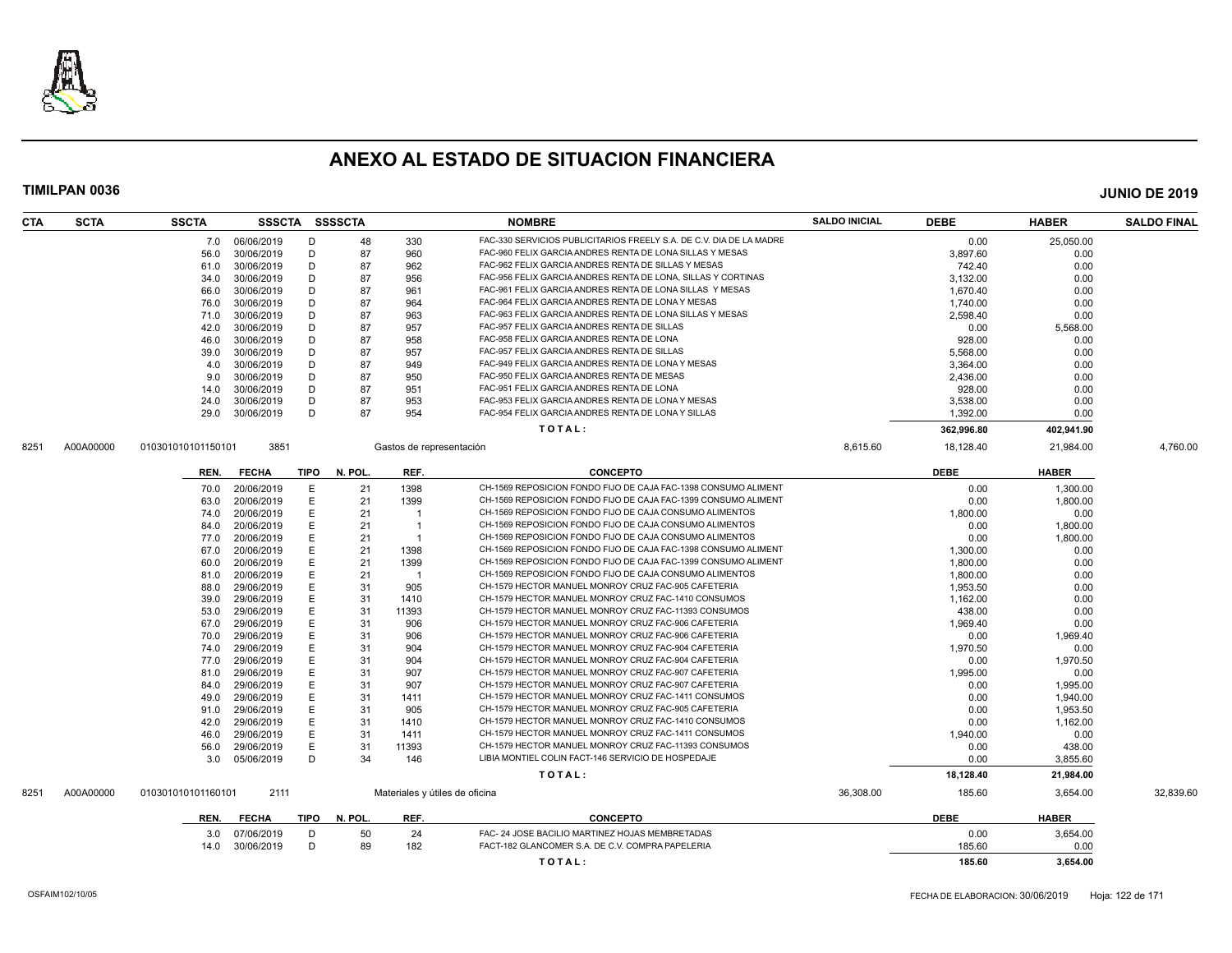

| CTA  | <b>SCTA</b> | <b>SSCTA</b>       |              |             | SSSCTA SSSSCTA |                          | <b>NOMBRE</b>                                                       | <b>SALDO INICIAL</b> | <b>DEBE</b>        | <b>HABER</b>   | <b>SALDO FINAL</b> |
|------|-------------|--------------------|--------------|-------------|----------------|--------------------------|---------------------------------------------------------------------|----------------------|--------------------|----------------|--------------------|
|      |             | 7.0                | 06/06/2019   | D           | 48             | 330                      | FAC-330 SERVICIOS PUBLICITARIOS FREELY S.A. DE C.V. DIA DE LA MADRE |                      | 0.00               | 25,050.00      |                    |
|      |             | 56.0               | 30/06/2019   | D           | 87             | 960                      | FAC-960 FELIX GARCIA ANDRES RENTA DE LONA SILLAS Y MESAS            |                      | 3.897.60           | 0.00           |                    |
|      |             | 61.0               | 30/06/2019   | D           | 87             | 962                      | FAC-962 FELIX GARCIA ANDRES RENTA DE SILLAS Y MESAS                 |                      | 742.40             | 0.00           |                    |
|      |             | 34.0               | 30/06/2019   | D           | 87             | 956                      | FAC-956 FELIX GARCIA ANDRES RENTA DE LONA, SILLAS Y CORTINAS        |                      | 3,132.00           | 0.00           |                    |
|      |             | 66.0               | 30/06/2019   | D           | 87             | 961                      | FAC-961 FELIX GARCIA ANDRES RENTA DE LONA SILLAS Y MESAS            |                      | 1,670.40           | 0.00           |                    |
|      |             | 76.0               | 30/06/2019   | D           | 87             | 964                      | FAC-964 FELIX GARCIA ANDRES RENTA DE LONA Y MESAS                   |                      | 1.740.00           | 0.00           |                    |
|      |             | 71.0               | 30/06/2019   | D           | 87             | 963                      | FAC-963 FELIX GARCIA ANDRES RENTA DE LONA SILLAS Y MESAS            |                      | 2,598.40           | 0.00           |                    |
|      |             | 42.0               | 30/06/2019   | D           | 87             | 957                      | FAC-957 FELIX GARCIA ANDRES RENTA DE SILLAS                         |                      | 0.00               | 5.568.00       |                    |
|      |             | 46.0               | 30/06/2019   | D           | 87             | 958                      | FAC-958 FELIX GARCIA ANDRES RENTA DE LONA                           |                      | 928.00             | 0.00           |                    |
|      |             | 39.0               | 30/06/2019   | D           | 87             | 957                      | FAC-957 FELIX GARCIA ANDRES RENTA DE SILLAS                         |                      | 5,568.00           | 0.00           |                    |
|      |             | 4.0                | 30/06/2019   | D           | 87             | 949                      | FAC-949 FELIX GARCIA ANDRES RENTA DE LONA Y MESAS                   |                      | 3,364.00           | 0.00           |                    |
|      |             |                    | 30/06/2019   | D           | 87             | 950                      | FAC-950 FELIX GARCIA ANDRES RENTA DE MESAS                          |                      |                    |                |                    |
|      |             | 9.0                | 30/06/2019   | D           | 87             | 951                      | FAC-951 FELIX GARCIA ANDRES RENTA DE LONA                           |                      | 2,436.00<br>928.00 | 0.00<br>0.00   |                    |
|      |             | 14.0               |              | D           |                |                          | FAC-953 FELIX GARCIA ANDRES RENTA DE LONA Y MESAS                   |                      |                    |                |                    |
|      |             | 24.0               | 30/06/2019   |             | 87<br>87       | 953                      | FAC-954 FELIX GARCIA ANDRES RENTA DE LONA Y SILLAS                  |                      | 3,538.00           | 0.00           |                    |
|      |             | 29.0               | 30/06/2019   | D           |                | 954                      |                                                                     |                      | 1,392.00           | 0.00           |                    |
|      |             |                    |              |             |                |                          | TOTAL:                                                              |                      | 362,996.80         | 402,941.90     |                    |
| 8251 | A00A00000   | 010301010101150101 | 3851         |             |                | Gastos de representación |                                                                     | 8.615.60             | 18,128.40          | 21.984.00      | 4.760.00           |
|      |             | REN.               | <b>FECHA</b> | <b>TIPO</b> | N. POL.        | REF.                     | <b>CONCEPTO</b>                                                     |                      | <b>DEBE</b>        | <b>HABER</b>   |                    |
|      |             | 70.0               | 20/06/2019   | E           | 21             | 1398                     | CH-1569 REPOSICION FONDO FIJO DE CAJA FAC-1398 CONSUMO ALIMENT      |                      | 0.00               | 1,300.00       |                    |
|      |             | 63.0               | 20/06/2019   | E           | 21             | 1399                     | CH-1569 REPOSICION FONDO FIJO DE CAJA FAC-1399 CONSUMO ALIMENT      |                      | 0.00               | 1,800.00       |                    |
|      |             | 74.0               | 20/06/2019   | Ε           | 21             |                          | CH-1569 REPOSICION FONDO FIJO DE CAJA CONSUMO ALIMENTOS             |                      | 1,800.00           | 0.00           |                    |
|      |             | 84.0               | 20/06/2019   | E           | 21             | $\overline{1}$           | CH-1569 REPOSICION FONDO FIJO DE CAJA CONSUMO ALIMENTOS             |                      | 0.00               | 1,800.00       |                    |
|      |             | 77.0               | 20/06/2019   | E           | 21             | -1                       | CH-1569 REPOSICION FONDO FIJO DE CAJA CONSUMO ALIMENTOS             |                      | 0.00               | 1,800.00       |                    |
|      |             | 67.0               | 20/06/2019   | E           | 21             | 1398                     | CH-1569 REPOSICION FONDO FIJO DE CAJA FAC-1398 CONSUMO ALIMENT      |                      | 1.300.00           | 0.00           |                    |
|      |             | 60.0               | 20/06/2019   | E           | 21             | 1399                     | CH-1569 REPOSICION FONDO FIJO DE CAJA FAC-1399 CONSUMO ALIMENT      |                      | 1,800.00           | 0.00           |                    |
|      |             | 81.0               | 20/06/2019   | E           | 21             | $\overline{1}$           | CH-1569 REPOSICION FONDO FIJO DE CAJA CONSUMO ALIMENTOS             |                      | 1,800.00           | 0.00           |                    |
|      |             | 88.0               | 29/06/2019   | E           | 31             | 905                      | CH-1579 HECTOR MANUEL MONROY CRUZ FAC-905 CAFETERIA                 |                      | 1,953.50           | 0.00           |                    |
|      |             | 39.0               | 29/06/2019   | E           | 31             | 1410                     | CH-1579 HECTOR MANUEL MONROY CRUZ FAC-1410 CONSUMOS                 |                      | 1,162.00           | 0.00           |                    |
|      |             | 53.0               | 29/06/2019   | E           | 31             | 11393                    | CH-1579 HECTOR MANUEL MONROY CRUZ FAC-11393 CONSUMOS                |                      | 438.00             | 0.00           |                    |
|      |             | 67.0               | 29/06/2019   | E           | 31             | 906                      | CH-1579 HECTOR MANUEL MONROY CRUZ FAC-906 CAFETERIA                 |                      | 1,969.40           | 0.00           |                    |
|      |             | 70.0               | 29/06/2019   | E           | 31             | 906                      | CH-1579 HECTOR MANUEL MONROY CRUZ FAC-906 CAFETERIA                 |                      | 0.00               | 1,969.40       |                    |
|      |             | 74.0               | 29/06/2019   | E           | 31             | 904                      | CH-1579 HECTOR MANUEL MONROY CRUZ FAC-904 CAFETERIA                 |                      | 1,970.50           | 0.00           |                    |
|      |             | 77.0               | 29/06/2019   | E           | 31             | 904                      | CH-1579 HECTOR MANUEL MONROY CRUZ FAC-904 CAFETERIA                 |                      | 0.00               | 1,970.50       |                    |
|      |             | 81.0               | 29/06/2019   | E           | 31             | 907                      | CH-1579 HECTOR MANUEL MONROY CRUZ FAC-907 CAFETERIA                 |                      | 1,995.00           | 0.00           |                    |
|      |             | 84.0               | 29/06/2019   | E           | 31             | 907                      | CH-1579 HECTOR MANUEL MONROY CRUZ FAC-907 CAFETERIA                 |                      | 0.00               | 1.995.00       |                    |
|      |             | 49.0               | 29/06/2019   | E           | 31             |                          | CH-1579 HECTOR MANUEL MONROY CRUZ FAC-1411 CONSUMOS                 |                      | 0.00               | 1,940.00       |                    |
|      |             | 91.0               | 29/06/2019   | E           | 31             | 1411<br>905              | CH-1579 HECTOR MANUEL MONROY CRUZ FAC-905 CAFETERIA                 |                      | 0.00               | 1,953.50       |                    |
|      |             | 42.0               | 29/06/2019   | E           | 31             | 1410                     | CH-1579 HECTOR MANUEL MONROY CRUZ FAC-1410 CONSUMOS                 |                      | 0.00               | 1,162.00       |                    |
|      |             |                    |              | E           | 31             |                          | CH-1579 HECTOR MANUEL MONROY CRUZ FAC-1411 CONSUMOS                 |                      |                    |                |                    |
|      |             | 46.0               | 29/06/2019   | E           | 31             | 1411<br>11393            | CH-1579 HECTOR MANUEL MONROY CRUZ FAC-11393 CONSUMOS                |                      | 1,940.00           | 0.00<br>438.00 |                    |
|      |             | 56.0               | 29/06/2019   | D           |                |                          | LIBIA MONTIEL COLIN FACT-146 SERVICIO DE HOSPEDAJE                  |                      | 0.00               |                |                    |
|      |             | 3.0                | 05/06/2019   |             | 34             | 146                      |                                                                     |                      | 0.00               | 3,855.60       |                    |
|      |             |                    |              |             |                |                          | TOTAL:                                                              |                      | 18,128.40          | 21,984.00      |                    |
| 8251 | A00A00000   | 010301010101160101 | 2111         |             |                |                          | Materiales y útiles de oficina                                      | 36,308.00            | 185.60             | 3,654.00       | 32,839.60          |
|      |             | REN.               | <b>FECHA</b> | TIPO        | N. POL.        | REF.                     | <b>CONCEPTO</b>                                                     |                      | <b>DEBE</b>        | <b>HABER</b>   |                    |
|      |             | 3.0                | 07/06/2019   | D           | 50             | 24                       | FAC- 24 JOSE BACILIO MARTINEZ HOJAS MEMBRETADAS                     |                      | 0.00               | 3,654.00       |                    |
|      |             | 14.0               | 30/06/2019   | D           | 89             | 182                      | FACT-182 GLANCOMER S.A. DE C.V. COMPRA PAPELERIA                    |                      | 185.60             | 0.00           |                    |
|      |             |                    |              |             |                |                          | TOTAL:                                                              |                      | 185.60             | 3.654.00       |                    |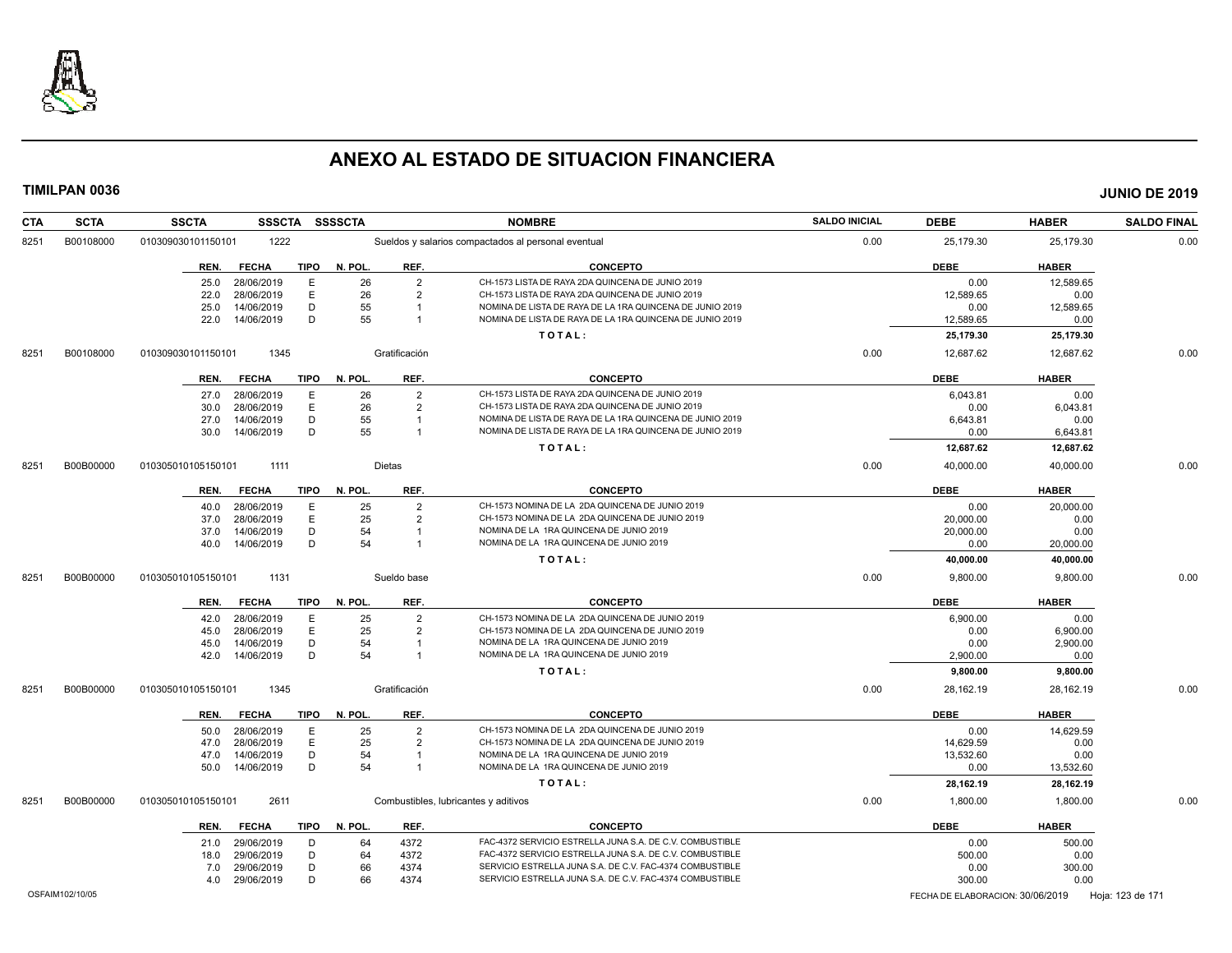

| <b>CTA</b> | <b>SCTA</b>     | <b>SSCTA</b><br>SSSCTA SSSSCTA                     |               | <b>NOMBRE</b>                                                                                        | <b>SALDO INICIAL</b> | <b>DEBE</b>                      | <b>HABER</b> | <b>SALDO FINAL</b> |
|------------|-----------------|----------------------------------------------------|---------------|------------------------------------------------------------------------------------------------------|----------------------|----------------------------------|--------------|--------------------|
| 8251       | B00108000       | 1222<br>010309030101150101                         |               | Sueldos y salarios compactados al personal eventual                                                  | 0.00                 | 25,179.30                        | 25,179.30    | 0.00               |
|            |                 | <b>FECHA</b><br><b>TIPO</b><br>REN.                | N. POL.       | REF.<br><b>CONCEPTO</b>                                                                              |                      | <b>DEBE</b>                      | <b>HABER</b> |                    |
|            |                 | 28/06/2019<br>E<br>25.0                            | 26            | $\overline{2}$<br>CH-1573 LISTA DE RAYA 2DA QUINCENA DE JUNIO 2019                                   |                      | 0.00                             | 12.589.65    |                    |
|            |                 | 28/06/2019<br>E<br>22.0                            | 26            | $\overline{2}$<br>CH-1573 LISTA DE RAYA 2DA QUINCENA DE JUNIO 2019                                   |                      | 12,589.65                        | 0.00         |                    |
|            |                 | D<br>25.0<br>14/06/2019                            | 55            | NOMINA DE LISTA DE RAYA DE LA 1RA QUINCENA DE JUNIO 2019                                             |                      | 0.00                             | 12,589.65    |                    |
|            |                 | D<br>14/06/2019<br>22.0                            | 55            | NOMINA DE LISTA DE RAYA DE LA 1RA QUINCENA DE JUNIO 2019<br>$\overline{1}$                           |                      | 12.589.65                        | 0.00         |                    |
|            |                 |                                                    |               | TOTAL:                                                                                               |                      | 25,179.30                        | 25,179.30    |                    |
| 8251       | B00108000       | 010309030101150101<br>1345                         | Gratificación |                                                                                                      | 0.00                 | 12,687.62                        | 12,687.62    | 0.00               |
|            |                 | <b>FECHA</b><br>TIPO<br>REN.                       | N. POL.       | REF.<br><b>CONCEPTO</b>                                                                              |                      | <b>DEBE</b>                      | <b>HABER</b> |                    |
|            |                 | 28/06/2019<br>E<br>27.0                            | 26            | $\overline{2}$<br>CH-1573 LISTA DE RAYA 2DA QUINCENA DE JUNIO 2019                                   |                      | 6,043.81                         | 0.00         |                    |
|            |                 | E<br>28/06/2019<br>30.0                            | 26            | $\overline{2}$<br>CH-1573 LISTA DE RAYA 2DA QUINCENA DE JUNIO 2019                                   |                      | 0.00                             | 6,043.81     |                    |
|            |                 | D<br>14/06/2019<br>27.0                            | 55            | NOMINA DE LISTA DE RAYA DE LA 1RA QUINCENA DE JUNIO 2019<br>$\overline{1}$                           |                      | 6,643.81                         | 0.00         |                    |
|            |                 | D<br>14/06/2019<br>30.0                            | 55            | NOMINA DE LISTA DE RAYA DE LA 1RA QUINCENA DE JUNIO 2019<br>$\overline{1}$                           |                      | 0.00                             | 6,643.81     |                    |
|            |                 |                                                    |               | TOTAL:                                                                                               |                      | 12,687.62                        | 12,687.62    |                    |
| 8251       | B00B00000       | 1111<br>010305010105150101                         | Dietas        |                                                                                                      | 0.00                 | 40,000.00                        | 40,000.00    | 0.00               |
|            |                 | <b>FECHA</b><br>TIPO<br>REN.                       | N. POL.       | REF.<br><b>CONCEPTO</b>                                                                              |                      | <b>DEBE</b>                      | <b>HABER</b> |                    |
|            |                 |                                                    |               | $\overline{2}$<br>CH-1573 NOMINA DE LA 2DA QUINCENA DE JUNIO 2019                                    |                      | 0.00                             |              |                    |
|            |                 | 28/06/2019<br>E<br>40.0<br>E<br>28/06/2019<br>37.0 | 25<br>25      | CH-1573 NOMINA DE LA 2DA QUINCENA DE JUNIO 2019                                                      |                      | 20,000.00                        | 20,000.00    |                    |
|            |                 | D<br>14/06/2019<br>37.0                            | 54            | $\overline{2}$<br>NOMINA DE LA 1RA QUINCENA DE JUNIO 2019<br>-1                                      |                      | 20,000.00                        | 0.00<br>0.00 |                    |
|            |                 | D<br>14/06/2019<br>40.0                            | 54            | NOMINA DE LA 1RA QUINCENA DE JUNIO 2019                                                              |                      | 0.00                             | 20,000.00    |                    |
|            |                 |                                                    |               | TOTAL:                                                                                               |                      | 40,000.00                        | 40,000.00    |                    |
| 8251       | B00B00000       | 1131<br>010305010105150101                         | Sueldo base   |                                                                                                      | 0.00                 | 9.800.00                         | 9.800.00     | 0.00               |
|            |                 | <b>FECHA</b><br><b>TIPO</b><br>REN.                | N. POL.       | REF.<br><b>CONCEPTO</b>                                                                              |                      | <b>DEBE</b>                      | <b>HABER</b> |                    |
|            |                 |                                                    |               |                                                                                                      |                      |                                  |              |                    |
|            |                 | 28/06/2019<br>Ε<br>42.0                            | 25            | CH-1573 NOMINA DE LA 2DA QUINCENA DE JUNIO 2019<br>$\overline{2}$                                    |                      | 6,900.00                         | 0.00         |                    |
|            |                 | Ε<br>28/06/2019<br>45.0                            | 25            | $\overline{2}$<br>CH-1573 NOMINA DE LA 2DA QUINCENA DE JUNIO 2019                                    |                      | 0.00                             | 6,900.00     |                    |
|            |                 | D<br>14/06/2019<br>45.0<br>D                       | 54<br>54      | NOMINA DE LA 1RA QUINCENA DE JUNIO 2019<br>$\overline{1}$<br>NOMINA DE LA 1RA QUINCENA DE JUNIO 2019 |                      | 0.00                             | 2,900.00     |                    |
|            |                 | 14/06/2019<br>42.0                                 |               | $\overline{1}$                                                                                       |                      | 2.900.00                         | 0.00         |                    |
|            |                 |                                                    |               | TOTAL:                                                                                               |                      | 9,800.00                         | 9,800.00     |                    |
| 8251       | B00B00000       | 010305010105150101<br>1345                         | Gratificación |                                                                                                      | 0.00                 | 28,162.19                        | 28,162.19    | 0.00               |
|            |                 | <b>TIPO</b><br>REN.<br><b>FECHA</b>                | N. POL.       | REF.<br><b>CONCEPTO</b>                                                                              |                      | <b>DEBE</b>                      | <b>HABER</b> |                    |
|            |                 | 28/06/2019<br>E<br>50.0                            | 25            | CH-1573 NOMINA DE LA 2DA QUINCENA DE JUNIO 2019<br>$\overline{2}$                                    |                      | 0.00                             | 14,629.59    |                    |
|            |                 | Ε<br>28/06/2019<br>47.0                            | 25            | CH-1573 NOMINA DE LA 2DA QUINCENA DE JUNIO 2019<br>$\overline{2}$                                    |                      | 14,629.59                        | 0.00         |                    |
|            |                 | D<br>14/06/2019<br>47.0                            | 54            | NOMINA DE LA 1RA QUINCENA DE JUNIO 2019<br>-1                                                        |                      | 13,532.60                        | 0.00         |                    |
|            |                 | D<br>14/06/2019<br>50.0                            | 54            | NOMINA DE LA 1RA QUINCENA DE JUNIO 2019<br>$\overline{1}$                                            |                      | 0.00                             | 13,532.60    |                    |
|            |                 |                                                    |               | TOTAL:                                                                                               |                      | 28,162.19                        | 28,162.19    |                    |
| 8251       | B00B00000       | 2611<br>010305010105150101                         |               | Combustibles, lubricantes y aditivos                                                                 | 0.00                 | 1,800.00                         | 1,800.00     | 0.00               |
|            |                 | <b>FECHA</b><br>TIPO<br>REN.                       | N. POL.       | REF.<br><b>CONCEPTO</b>                                                                              |                      | <b>DEBE</b>                      | <b>HABER</b> |                    |
|            |                 | 29/06/2019<br>D<br>21.0                            | 64            | FAC-4372 SERVICIO ESTRELLA JUNA S.A. DE C.V. COMBUSTIBLE<br>4372                                     |                      | 0.00                             | 500.00       |                    |
|            |                 | 29/06/2019<br>D<br>18.0                            | 64            | FAC-4372 SERVICIO ESTRELLA JUNA S.A. DE C.V. COMBUSTIBLE<br>4372                                     |                      | 500.00                           | 0.00         |                    |
|            |                 | D<br>7.0<br>29/06/2019                             | 66            | SERVICIO ESTRELLA JUNA S.A. DE C.V. FAC-4374 COMBUSTIBLE<br>4374                                     |                      | 0.00                             | 300.00       |                    |
|            |                 | D<br>29/06/2019<br>4.0                             | 66            | SERVICIO ESTRELLA JUNA S.A. DE C.V. FAC-4374 COMBUSTIBLE<br>4374                                     |                      | 300.00                           | 0.00         |                    |
|            | OSFAIM102/10/05 |                                                    |               |                                                                                                      |                      | FECHA DE ELABORACION: 30/06/2019 |              | Hoja: 123 de 171   |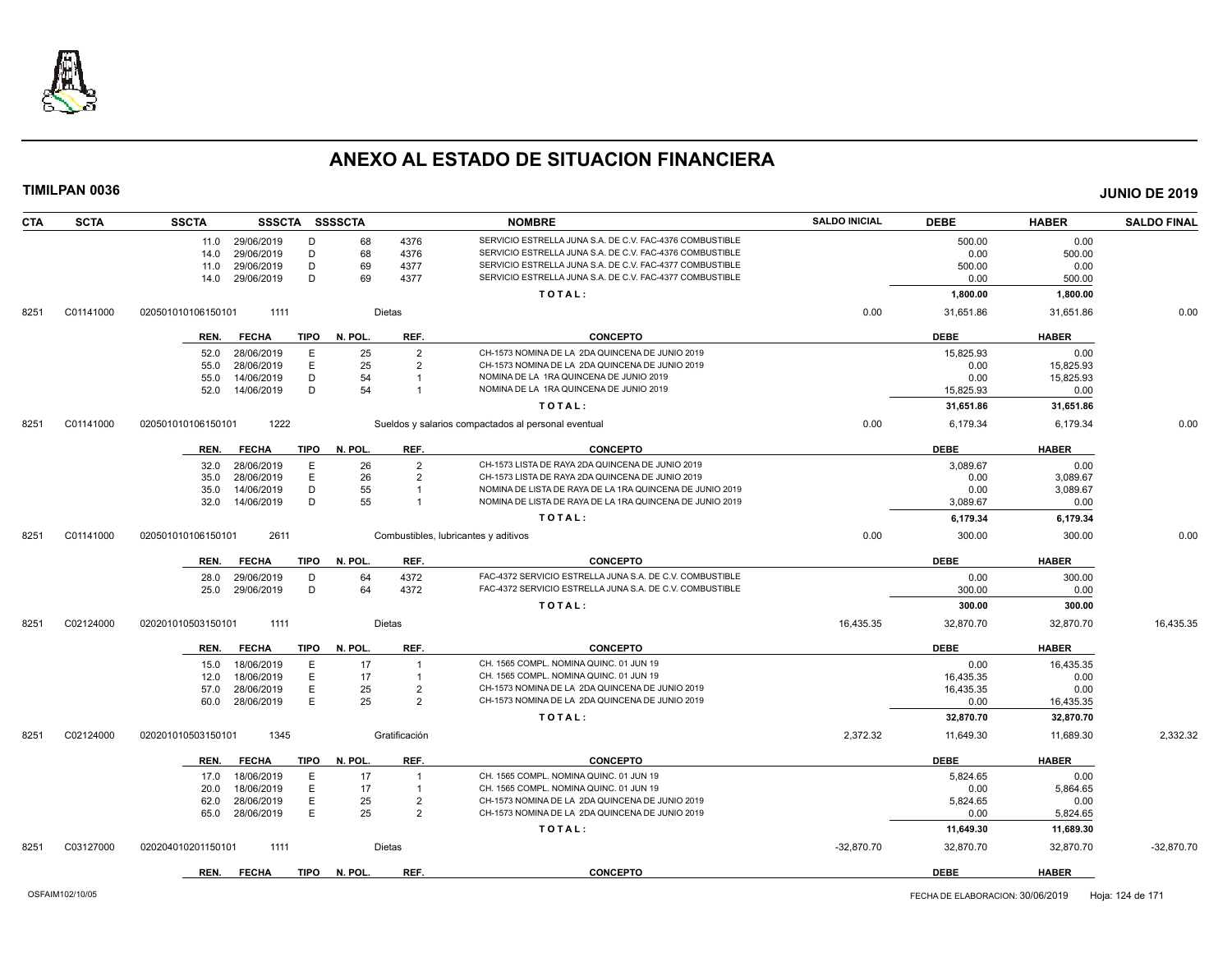

| <b>CTA</b> | <b>SCTA</b> | <b>SSCTA</b>       | <b>SSSCTA</b> |             | <b>SSSSCTA</b> |                | <b>NOMBRE</b>                                            | <b>SALDO INICIAL</b> | <b>DEBE</b> | <b>HABER</b> | <b>SALDO FINAL</b> |
|------------|-------------|--------------------|---------------|-------------|----------------|----------------|----------------------------------------------------------|----------------------|-------------|--------------|--------------------|
|            |             | 11.0 29/06/2019    |               | D           | 68             | 4376           | SERVICIO ESTRELLA JUNA S.A. DE C.V. FAC-4376 COMBUSTIBLE |                      | 500.00      | 0.00         |                    |
|            |             | 14.0               | 29/06/2019    | D           | 68             | 4376           | SERVICIO ESTRELLA JUNA S.A. DE C.V. FAC-4376 COMBUSTIBLE |                      | 0.00        | 500.00       |                    |
|            |             | 11.0               | 29/06/2019    | D           | 69             | 4377           | SERVICIO ESTRELLA JUNA S.A. DE C.V. FAC-4377 COMBUSTIBLE |                      | 500.00      | 0.00         |                    |
|            |             | 14.0               | 29/06/2019    | D           | 69             | 4377           | SERVICIO ESTRELLA JUNA S.A. DE C.V. FAC-4377 COMBUSTIBLE |                      | 0.00        | 500.00       |                    |
|            |             |                    |               |             |                |                | TOTAL:                                                   |                      | 1,800.00    | 1,800.00     |                    |
| 8251       | C01141000   | 020501010106150101 | 1111          |             |                | <b>Dietas</b>  |                                                          | 0.00                 | 31,651.86   | 31,651.86    | 0.00               |
|            |             | REN.               | <b>FECHA</b>  | <b>TIPO</b> | N. POL.        | REF.           | <b>CONCEPTO</b>                                          |                      | <b>DEBE</b> | <b>HABER</b> |                    |
|            |             | 52.0               | 28/06/2019    | Е           | 25             | $\overline{2}$ | CH-1573 NOMINA DE LA 2DA QUINCENA DE JUNIO 2019          |                      | 15,825.93   | 0.00         |                    |
|            |             | 55.0               | 28/06/2019    | Ε           | 25             | $\overline{2}$ | CH-1573 NOMINA DE LA 2DA QUINCENA DE JUNIO 2019          |                      | 0.00        | 15.825.93    |                    |
|            |             | 55.0               | 14/06/2019    | D           | 54             | -1             | NOMINA DE LA 1RA QUINCENA DE JUNIO 2019                  |                      | 0.00        | 15,825.93    |                    |
|            |             | 52.0               | 14/06/2019    | D           | 54             | $\overline{1}$ | NOMINA DE LA 1RA QUINCENA DE JUNIO 2019                  |                      | 15,825.93   | 0.00         |                    |
|            |             |                    |               |             |                |                | TOTAL:                                                   |                      | 31,651.86   | 31,651.86    |                    |
| 8251       | C01141000   | 020501010106150101 | 1222          |             |                |                | Sueldos y salarios compactados al personal eventual      | 0.00                 | 6,179.34    | 6,179.34     | 0.00               |
|            |             | REN.               | <b>FECHA</b>  | TIPO        | N. POL.        | REF.           | <b>CONCEPTO</b>                                          |                      | <b>DEBE</b> | <b>HABER</b> |                    |
|            |             | 32.0               | 28/06/2019    | E           | 26             | $\overline{2}$ | CH-1573 LISTA DE RAYA 2DA QUINCENA DE JUNIO 2019         |                      | 3,089.67    | 0.00         |                    |
|            |             | 35.0               | 28/06/2019    | E           | 26             | $\overline{2}$ | CH-1573 LISTA DE RAYA 2DA QUINCENA DE JUNIO 2019         |                      | 0.00        | 3,089.67     |                    |
|            |             | 35.0               | 14/06/2019    | D           | 55             |                | NOMINA DE LISTA DE RAYA DE LA 1RA QUINCENA DE JUNIO 2019 |                      | 0.00        | 3,089.67     |                    |
|            |             | 32.0               | 14/06/2019    | D           | 55             |                | NOMINA DE LISTA DE RAYA DE LA 1RA QUINCENA DE JUNIO 2019 |                      | 3,089.67    | 0.00         |                    |
|            |             |                    |               |             |                |                | TOTAL:                                                   |                      | 6,179.34    | 6,179.34     |                    |
| 8251       | C01141000   | 020501010106150101 | 2611          |             |                |                | Combustibles, lubricantes y aditivos                     | 0.00                 | 300.00      | 300.00       | 0.00               |
|            |             | REN.               | <b>FECHA</b>  | <b>TIPO</b> | N. POL.        | REF.           | <b>CONCEPTO</b>                                          |                      | <b>DEBE</b> | <b>HABER</b> |                    |
|            |             | 28.0               | 29/06/2019    | D           | 64             | 4372           | FAC-4372 SERVICIO ESTRELLA JUNA S.A. DE C.V. COMBUSTIBLE |                      | 0.00        | 300.00       |                    |
|            |             | 25.0               | 29/06/2019    | D           | 64             | 4372           | FAC-4372 SERVICIO ESTRELLA JUNA S.A. DE C.V. COMBUSTIBLE |                      | 300.00      | 0.00         |                    |
|            |             |                    |               |             |                |                | TOTAL:                                                   |                      | 300.00      | 300.00       |                    |
| 8251       | C02124000   | 020201010503150101 | 1111          |             |                | Dietas         |                                                          | 16,435.35            | 32,870.70   | 32,870.70    | 16,435.35          |
|            |             |                    |               |             |                |                |                                                          |                      |             |              |                    |
|            |             | REN.               | <b>FECHA</b>  | <b>TIPO</b> | N. POL.        | REF.           | <b>CONCEPTO</b>                                          |                      | <b>DEBE</b> | <b>HABER</b> |                    |
|            |             | 15.0               | 18/06/2019    | E           | 17             | $\overline{1}$ | CH. 1565 COMPL. NOMINA QUINC. 01 JUN 19                  |                      | 0.00        | 16.435.35    |                    |
|            |             | 12.0               | 18/06/2019    | E           | 17             | $\overline{1}$ | CH. 1565 COMPL. NOMINA QUINC. 01 JUN 19                  |                      | 16,435.35   | 0.00         |                    |
|            |             | 57.0               | 28/06/2019    | E           | 25             | $\overline{2}$ | CH-1573 NOMINA DE LA 2DA QUINCENA DE JUNIO 2019          |                      | 16,435.35   | 0.00         |                    |
|            |             | 60.0               | 28/06/2019    | E           | 25             | $\overline{2}$ | CH-1573 NOMINA DE LA 2DA QUINCENA DE JUNIO 2019          |                      | 0.00        | 16,435.35    |                    |
|            |             |                    |               |             |                |                | TOTAL:                                                   |                      | 32,870.70   | 32,870.70    |                    |
| 8251       | C02124000   | 020201010503150101 | 1345          |             |                | Gratificación  |                                                          | 2,372.32             | 11,649.30   | 11,689.30    | 2,332.32           |
|            |             | REN.               | <b>FECHA</b>  | <b>TIPO</b> | N. POL.        | REF.           | <b>CONCEPTO</b>                                          |                      | <b>DEBE</b> | <b>HABER</b> |                    |
|            |             | 17.0               | 18/06/2019    | Е           | 17             | $\overline{1}$ | CH. 1565 COMPL. NOMINA QUINC. 01 JUN 19                  |                      | 5,824.65    | 0.00         |                    |
|            |             | 20.0               | 18/06/2019    | E           | 17             | $\overline{1}$ | CH. 1565 COMPL. NOMINA QUINC. 01 JUN 19                  |                      | 0.00        | 5,864.65     |                    |
|            |             | 62.0               | 28/06/2019    | E           | 25             | $\overline{2}$ | CH-1573 NOMINA DE LA 2DA QUINCENA DE JUNIO 2019          |                      | 5,824.65    | 0.00         |                    |
|            |             | 65.0               | 28/06/2019    | Ε           | 25             | $\overline{2}$ | CH-1573 NOMINA DE LA 2DA QUINCENA DE JUNIO 2019          |                      | 0.00        | 5,824.65     |                    |
|            |             |                    |               |             |                |                | TOTAL:                                                   |                      | 11,649.30   | 11,689.30    |                    |
| 8251       | C03127000   | 020204010201150101 | 1111          |             |                | Dietas         |                                                          | $-32,870.70$         | 32,870.70   | 32,870.70    | $-32,870.70$       |
|            |             | REN.               | <b>FECHA</b>  | TIPO        | N. POL.        | REF.           | <b>CONCEPTO</b>                                          |                      | <b>DEBE</b> | <b>HABER</b> |                    |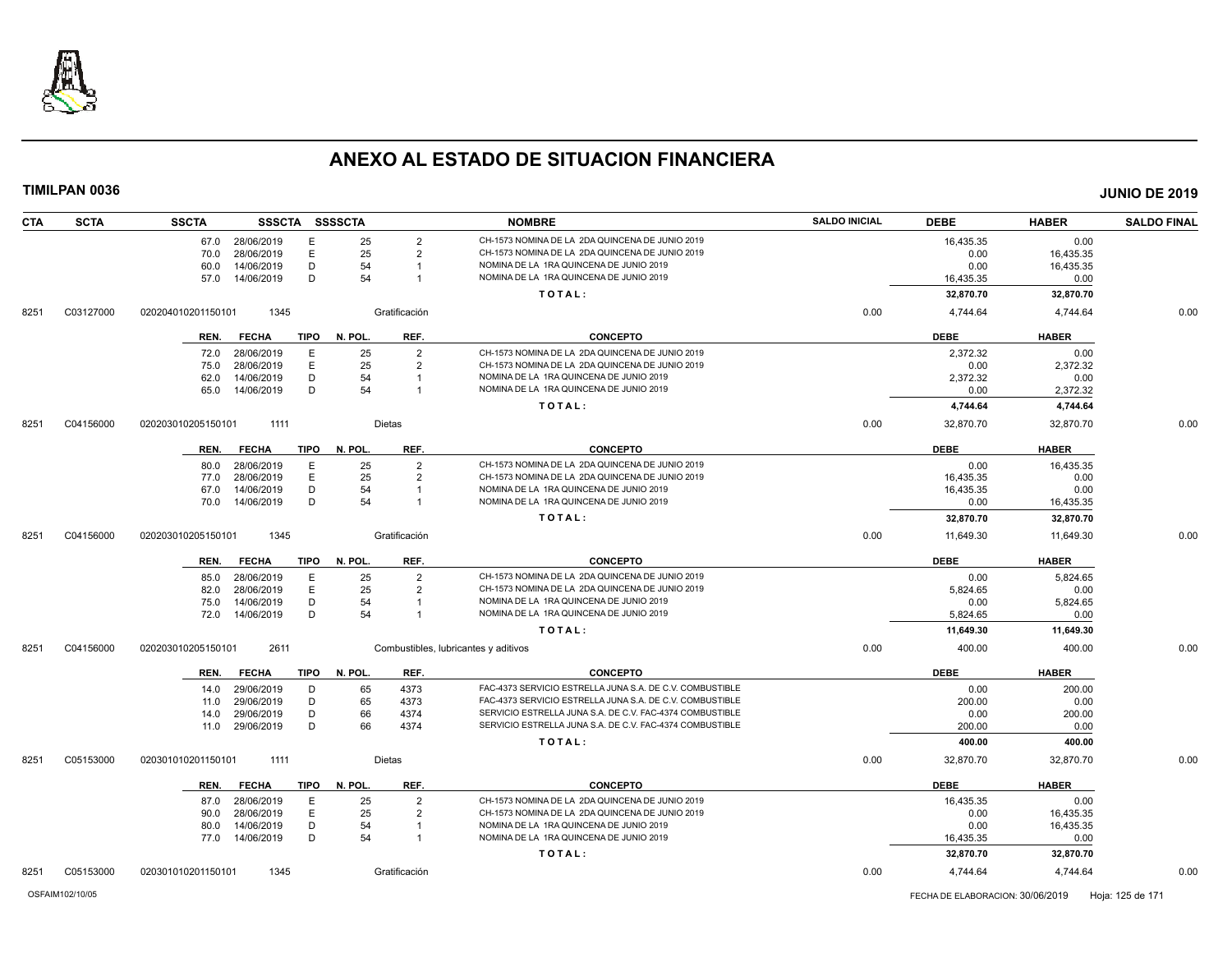

| <b>CTA</b> | <b>SCTA</b> | <b>SSCTA</b>       | SSSCTA SSSSCTA |             |         |                | <b>NOMBRE</b>                                            | <b>SALDO INICIAL</b> | <b>DEBE</b> | <b>HABER</b> | <b>SALDO FINAL</b> |
|------------|-------------|--------------------|----------------|-------------|---------|----------------|----------------------------------------------------------|----------------------|-------------|--------------|--------------------|
|            |             | 67.0               | 28/06/2019     | E           | 25      | $\overline{2}$ | CH-1573 NOMINA DE LA 2DA QUINCENA DE JUNIO 2019          |                      | 16,435.35   | 0.00         |                    |
|            |             | 70.0               | 28/06/2019     | E           | 25      | $\overline{2}$ | CH-1573 NOMINA DE LA 2DA QUINCENA DE JUNIO 2019          |                      | 0.00        | 16,435.35    |                    |
|            |             | 60.0               | 14/06/2019     | D           | 54      |                | NOMINA DE LA 1RA QUINCENA DE JUNIO 2019                  |                      | 0.00        | 16,435.35    |                    |
|            |             | 57.0               | 14/06/2019     | D           | 54      | -1             | NOMINA DE LA 1RA QUINCENA DE JUNIO 2019                  |                      | 16,435.35   | 0.00         |                    |
|            |             |                    |                |             |         |                | TOTAL:                                                   |                      | 32,870.70   | 32,870.70    |                    |
| 8251       | C03127000   | 020204010201150101 | 1345           |             |         | Gratificación  |                                                          | 0.00                 | 4.744.64    | 4.744.64     | 0.00               |
|            |             | REN.               | FECHA          | TIPO        | N. POL. | REF.           | <b>CONCEPTO</b>                                          |                      | <b>DEBE</b> | <b>HABER</b> |                    |
|            |             | 72.0               | 28/06/2019     | E           | 25      | $\overline{2}$ | CH-1573 NOMINA DE LA 2DA QUINCENA DE JUNIO 2019          |                      | 2,372.32    | 0.00         |                    |
|            |             | 75.0               | 28/06/2019     | E           | 25      | $\overline{2}$ | CH-1573 NOMINA DE LA 2DA QUINCENA DE JUNIO 2019          |                      | 0.00        | 2,372.32     |                    |
|            |             | 62.0               | 14/06/2019     | D           | 54      | $\overline{1}$ | NOMINA DE LA 1RA QUINCENA DE JUNIO 2019                  |                      | 2,372.32    | 0.00         |                    |
|            |             | 65.0               | 14/06/2019     | D           | 54      | $\overline{1}$ | NOMINA DE LA 1RA QUINCENA DE JUNIO 2019                  |                      | 0.00        | 2,372.32     |                    |
|            |             |                    |                |             |         |                | TOTAL:                                                   |                      | 4,744.64    | 4,744.64     |                    |
| 8251       | C04156000   | 020203010205150101 | 1111           |             |         | Dietas         |                                                          | 0.00                 | 32,870.70   | 32,870.70    | 0.00               |
|            |             | REN.               | <b>FECHA</b>   | <b>TIPO</b> | N. POL. | REF.           | <b>CONCEPTO</b>                                          |                      | <b>DEBE</b> | <b>HABER</b> |                    |
|            |             | 80.0               | 28/06/2019     | E           | 25      | $\overline{2}$ | CH-1573 NOMINA DE LA 2DA QUINCENA DE JUNIO 2019          |                      | 0.00        | 16.435.35    |                    |
|            |             | 77.0               | 28/06/2019     | E           | 25      | $\overline{2}$ | CH-1573 NOMINA DE LA 2DA QUINCENA DE JUNIO 2019          |                      | 16,435.35   | 0.00         |                    |
|            |             | 67.0               | 14/06/2019     | D           | 54      |                | NOMINA DE LA 1RA QUINCENA DE JUNIO 2019                  |                      | 16,435.35   | 0.00         |                    |
|            |             | 70.0               | 14/06/2019     | D           | 54      | -1             | NOMINA DE LA 1RA QUINCENA DE JUNIO 2019                  |                      | 0.00        | 16,435.35    |                    |
|            |             |                    |                |             |         |                | TOTAL:                                                   |                      | 32,870.70   | 32,870.70    |                    |
| 8251       | C04156000   | 020203010205150101 | 1345           |             |         | Gratificación  |                                                          | 0.00                 | 11,649.30   | 11,649.30    | 0.00               |
|            |             | REN.               | <b>FECHA</b>   | <b>TIPO</b> | N. POL. | REF.           | <b>CONCEPTO</b>                                          |                      | <b>DEBE</b> | <b>HABER</b> |                    |
|            |             | 85.0               | 28/06/2019     | Ε           | 25      | $\overline{2}$ | CH-1573 NOMINA DE LA 2DA QUINCENA DE JUNIO 2019          |                      | 0.00        | 5,824.65     |                    |
|            |             | 82.0               | 28/06/2019     | E           | 25      | $\overline{2}$ | CH-1573 NOMINA DE LA 2DA QUINCENA DE JUNIO 2019          |                      | 5,824.65    | 0.00         |                    |
|            |             | 75.0               | 14/06/2019     | D           | 54      |                | NOMINA DE LA 1RA QUINCENA DE JUNIO 2019                  |                      | 0.00        | 5,824.65     |                    |
|            |             | 72.0               | 14/06/2019     | D           | 54      | $\overline{1}$ | NOMINA DE LA 1RA QUINCENA DE JUNIO 2019                  |                      | 5,824.65    | 0.00         |                    |
|            |             |                    |                |             |         |                | TOTAL:                                                   |                      | 11,649.30   | 11,649.30    |                    |
| 8251       | C04156000   | 020203010205150101 | 2611           |             |         |                | Combustibles, lubricantes y aditivos                     | 0.00                 | 400.00      | 400.00       | 0.00               |
|            |             | REN.               | <b>FECHA</b>   | TIPO        | N. POL. | REF.           | <b>CONCEPTO</b>                                          |                      | <b>DEBE</b> | <b>HABER</b> |                    |
|            |             | 14.0               | 29/06/2019     | D           | 65      | 4373           | FAC-4373 SERVICIO ESTRELLA JUNA S.A. DE C.V. COMBUSTIBLE |                      | 0.00        | 200.00       |                    |
|            |             | 11.0               | 29/06/2019     | D           | 65      | 4373           | FAC-4373 SERVICIO ESTRELLA JUNA S.A. DE C.V. COMBUSTIBLE |                      | 200.00      | 0.00         |                    |
|            |             | 14.0               | 29/06/2019     | D           | 66      | 4374           | SERVICIO ESTRELLA JUNA S.A. DE C.V. FAC-4374 COMBUSTIBLE |                      | 0.00        | 200.00       |                    |
|            |             | 11.0               | 29/06/2019     | D           | 66      | 4374           | SERVICIO ESTRELLA JUNA S.A. DE C.V. FAC-4374 COMBUSTIBLE |                      | 200.00      | 0.00         |                    |
|            |             |                    |                |             |         |                | TOTAL:                                                   |                      | 400.00      | 400.00       |                    |
| 8251       | C05153000   | 020301010201150101 | 1111           |             |         | Dietas         |                                                          | 0.00                 | 32,870.70   | 32,870.70    | 0.00               |
|            |             | REN.               | <b>FECHA</b>   | TIPO        | N. POL. | REF.           | <b>CONCEPTO</b>                                          |                      | <b>DEBE</b> | <b>HABER</b> |                    |
|            |             | 87.0               | 28/06/2019     | Ε           | 25      | $\overline{2}$ | CH-1573 NOMINA DE LA 2DA QUINCENA DE JUNIO 2019          |                      | 16,435.35   | 0.00         |                    |
|            |             | 90.0               | 28/06/2019     | E           | 25      | $\overline{2}$ | CH-1573 NOMINA DE LA 2DA QUINCENA DE JUNIO 2019          |                      | 0.00        | 16,435.35    |                    |
|            |             | 80.0               | 14/06/2019     | D           | 54      | -1             | NOMINA DE LA 1RA QUINCENA DE JUNIO 2019                  |                      | 0.00        | 16,435.35    |                    |
|            |             | 77.0 14/06/2019    |                | D           | 54      | $\overline{1}$ | NOMINA DE LA 1RA QUINCENA DE JUNIO 2019                  |                      | 16,435.35   | 0.00         |                    |
|            |             |                    |                |             |         |                | TOTAL:                                                   |                      | 32,870.70   | 32,870.70    |                    |
| 8251       | C05153000   | 020301010201150101 | 1345           |             |         | Gratificación  |                                                          | 0.00                 | 4,744.64    | 4,744.64     | 0.00               |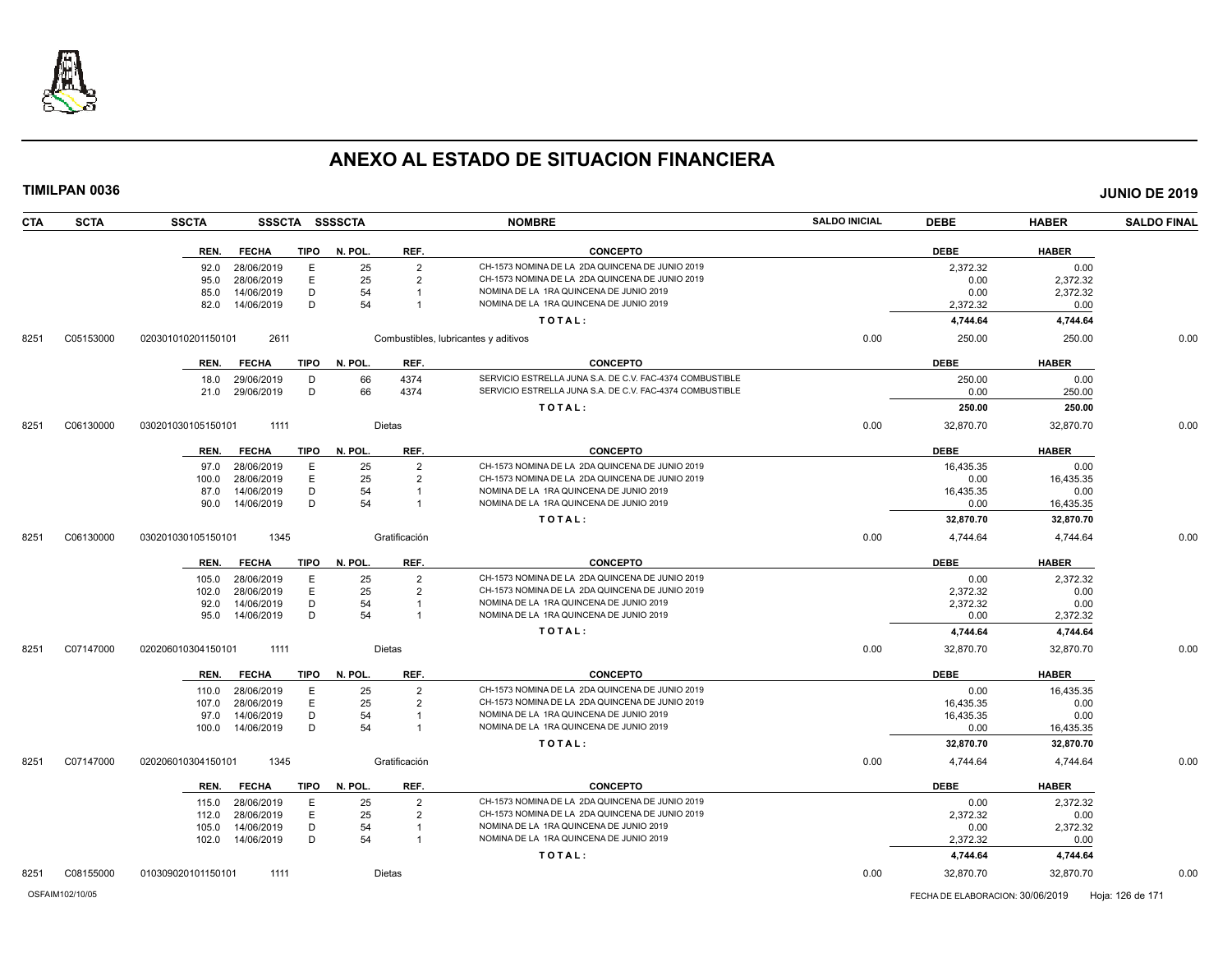

**TIMILPAN 0036 JUNIO DE 2019**

**CTA SCTA SSCTA SSSCTA SSSSCTA NOMBRE SALDO INICIAL DEBE HABER SALDO FINAL REN. FECHA TIPO N. POL. REF. CONCEPTO DEBE HABER** 92.0 28/06/2019 E 25 2 CH-1573 NOMINA DE LA 2DA QUINCENA DE JUNIO 2019 2,372.32 0.00 CH-1573 NOMINA DE LA 2DA QUINCENA DE JUNIO 2019 85.0 14/06/2019 D 54 1 NOMINA DE LA 1RA QUINCENA DE JUNIO 2019 0.00 2,372.32 82.0 14/06/2019 D 54 1 NOMINA DE LA 1RA QUINCENA DE JUNIO 2019 2,372.32 0.00 **T O T A L : 4,744.64 4,744.64** 8251 C05153000 020301010201150101 2611 Combustibles, lubricantes y aditivos 0.00 250.00 250.00 0.00 **REN. FECHA TIPO N. POL. REF. CONCEPTO DEBE HABER** 18.0 29/06/2019 D 66 4374 SERVICIO ESTRELLA JUNA S.A. DE C.V. FAC-4374 COMBUSTIBLE 250.00 29/06/2019 250.00 0.00 21.0 29/06/2019 D 66 4374 SERVICIO ESTRELLA JUNA S.A. DE C.V. FAC-4374 COMBUSTIBLE 0.00 290.00 250.00 **T O T A L : 250.00 250.00** 8251 C06130000 030201030105150101 1111 Dietas 0.00 32,870.70 0.00 **REN. FECHA TIPO N. POL. REF. CONCEPTO DEBE HABER** 97.0 28/06/2019 E 25 2 CH-1573 NOMINA DE LA 2DA QUINCENA DE JUNIO 2019 16,435.35 16,435.35 0.00 100.0 28/06/2019 E 25 2 CH-1573 NOMINA DE LA 2DA QUINCENA DE JUNIO 2019 0.00 16,435.35 87.0 14/06/2019 D 54 1 NOMINA DE LA 1RA QUINCENA DE JUNIO 2019 16,435.35 1 0.00 90.0 14/06/2019 D 54 1 NOMINA DE LA 1RA QUINCENA DE JUNIO 2019 0.00 16,435.35 **T O T A L : 32,870.70 32,870.70** 8251 C06130000 030201030105150101 1345 Gratificación 0.00 4,744.64 4,744.64 0.00 **REN. FECHA TIPO N. POL. REF. CONCEPTO DEBE HABER** 105.0 28/06/2019 E 25 2 CH-1573 NOMINA DE LA 2DA QUINCENA DE JUNIO 2019 0.00 2,372.32 102.0 28/06/2019 E 25 2 CH-1573 NOMINA DE LA 2DA QUINCENA DE JUNIO 2019<br>12.0 14/06/2019 D 54 1 NOMINA DE LA 1RA QUINCENA DE JUNIO 2019 2019 2019 2,372.32 2.372.32 92.0 14/06/2019 D 54 1 NOMINA DE LA 1RA QUINCENA DE JUNIO 2019 95.0 14/06/2019 D 54 1 NOMINA DE LA 1RA QUINCENA DE JUNIO 2019 0.00 2,372.32 **T O T A L : 4,744.64 4,744.64** 8251 C07147000 020206010304150101 1111 Dietas 0.00 32,870.70 32,870.70 0.00 **REN. FECHA TIPO N. POL. REF. CONCEPTO DEBE HABER** 110.0 28/06/2019 E 25 2 CH-1573 NOMINA DE LA 2DA QUINCENA DE JUNIO 2019 0.00 16,435.35 107.0 28/06/2019 E 25 2 CH-1573 NOMINA DE LA 2DA QUINCENA DE JUNIO 2019 16,435.35 0.00 97.0 14/06/2019 D 54 1 NOMINA DE LA 1RA QUINCENA DE JUNIO 2019 16,435.35 0.00 100.0 14/06/2019 D 54 1 NOMINA DE LA 1RA QUINCENA DE JUNIO 2019 0.00 16,435.35 **T O T A L : 32,870.70 32,870.70** 8251 C07147000 020206010304150101 1345 Gratificación 0.00 4,744.64 4,744.64 0.00 **REN. FECHA TIPO N. POL. REF. CONCEPTO DEBE HABER** 115.0 28/06/2019 E 25 2 CH-1573 NOMINA DE LA 2DA QUINCENA DE JUNIO 2019 0.00 2,372.32 112.0 28/06/2019 E 25 2 CH-1573 NOMINA DE LA 2DA QUINCENA DE JUNIO 2019 2,372.32 0.00 105.0 14/06/2019 D 54 1 NOMINA DE LA 1RA QUINCENA DE JUNIO 2019 0.00 2,372.32 102.0 14/06/2019 D 54 1 NOMINA DE LA 1RA QUINCENA DE JUNIO 2019 2,372.32 0.00

8251 C08155000 010309020101150101 1111 Dietas 0.00 32,870.70 32,870.70 0.00

**T O T A L : 4,744.64 4,744.64**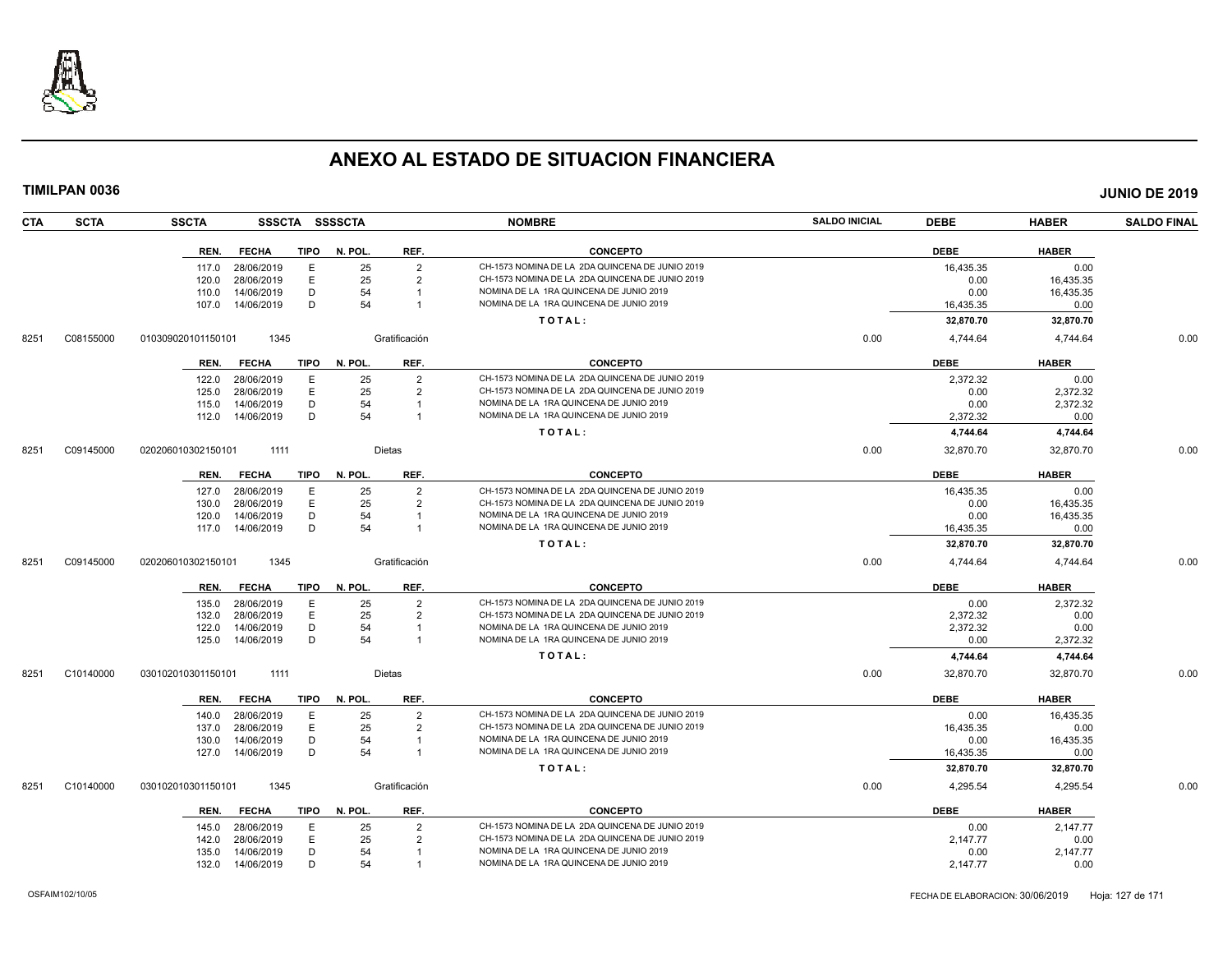

| <b>CTA</b> | <b>SCTA</b> | <b>SSCTA</b>               | SSSCTA SSSSCTA |         |                | <b>NOMBRE</b>                                   | <b>SALDO INICIAL</b> | <b>DEBE</b> | <b>HABER</b> | <b>SALDO FINAL</b> |
|------------|-------------|----------------------------|----------------|---------|----------------|-------------------------------------------------|----------------------|-------------|--------------|--------------------|
|            |             | REN.<br><b>FECHA</b>       | <b>TIPO</b>    | N. POL. | REF.           | <b>CONCEPTO</b>                                 |                      | <b>DEBE</b> | <b>HABER</b> |                    |
|            |             | 28/06/2019<br>117.0        | Ε              | 25      | $\overline{2}$ | CH-1573 NOMINA DE LA 2DA QUINCENA DE JUNIO 2019 |                      | 16,435.35   | 0.00         |                    |
|            |             | 28/06/2019<br>120.0        | Ε              | 25      | $\overline{2}$ | CH-1573 NOMINA DE LA 2DA QUINCENA DE JUNIO 2019 |                      | 0.00        | 16,435.35    |                    |
|            |             | 110.0<br>14/06/2019        | D              | 54      | -1             | NOMINA DE LA 1RA QUINCENA DE JUNIO 2019         |                      | 0.00        | 16,435.35    |                    |
|            |             | 14/06/2019<br>107.0        | D              | 54      | $\overline{1}$ | NOMINA DE LA 1RA QUINCENA DE JUNIO 2019         |                      | 16,435.35   | 0.00         |                    |
|            |             |                            |                |         |                | TOTAL:                                          |                      | 32,870.70   | 32,870.70    |                    |
| 8251       | C08155000   | 1345<br>010309020101150101 |                |         | Gratificación  |                                                 | 0.00                 | 4,744.64    | 4,744.64     | 0.00               |
|            |             | REN.<br><b>FECHA</b>       | <b>TIPO</b>    | N. POL. | REF.           | <b>CONCEPTO</b>                                 |                      | <b>DEBE</b> | <b>HABER</b> |                    |
|            |             | 28/06/2019<br>122.0        | E              | 25      | $\overline{2}$ | CH-1573 NOMINA DE LA 2DA QUINCENA DE JUNIO 2019 |                      | 2,372.32    | 0.00         |                    |
|            |             | 28/06/2019<br>125.0        | E              | 25      | $\overline{2}$ | CH-1573 NOMINA DE LA 2DA QUINCENA DE JUNIO 2019 |                      | 0.00        | 2,372.32     |                    |
|            |             | 14/06/2019<br>115.0        | D              | 54      |                | NOMINA DE LA 1RA QUINCENA DE JUNIO 2019         |                      | 0.00        | 2,372.32     |                    |
|            |             | 14/06/2019<br>112.0        | D              | 54      |                | NOMINA DE LA 1RA QUINCENA DE JUNIO 2019         |                      | 2,372.32    | 0.00         |                    |
|            |             |                            |                |         |                | TOTAL:                                          |                      | 4,744.64    | 4,744.64     |                    |
| 8251       | C09145000   | 1111<br>020206010302150101 |                |         | <b>Dietas</b>  |                                                 | 0.00                 | 32,870.70   | 32,870.70    | 0.00               |
|            |             | <b>FECHA</b><br>REN.       | <b>TIPO</b>    | N. POL. | REF.           | <b>CONCEPTO</b>                                 |                      | <b>DEBE</b> | <b>HABER</b> |                    |
|            |             | 28/06/2019<br>127.0        | Е              | 25      | 2              | CH-1573 NOMINA DE LA 2DA QUINCENA DE JUNIO 2019 |                      | 16,435.35   | 0.00         |                    |
|            |             | 28/06/2019<br>130.0        | E              | 25      | $\overline{2}$ | CH-1573 NOMINA DE LA 2DA QUINCENA DE JUNIO 2019 |                      | 0.00        | 16,435.35    |                    |
|            |             | 14/06/2019<br>120.0        | D              | 54      |                | NOMINA DE LA 1RA QUINCENA DE JUNIO 2019         |                      | 0.00        | 16,435.35    |                    |
|            |             | 14/06/2019<br>117.0        | D              | 54      |                | NOMINA DE LA 1RA QUINCENA DE JUNIO 2019         |                      | 16,435.35   | 0.00         |                    |
|            |             |                            |                |         |                | TOTAL:                                          |                      | 32,870.70   | 32,870.70    |                    |
| 8251       | C09145000   | 1345<br>020206010302150101 |                |         | Gratificación  |                                                 | 0.00                 | 4,744.64    | 4,744.64     | 0.00               |
|            |             | <b>FECHA</b><br>REN.       | TIPO           | N. POL. | REF.           | <b>CONCEPTO</b>                                 |                      | <b>DEBE</b> | <b>HABER</b> |                    |
|            |             | 28/06/2019<br>135.0        | E              | 25      | $\overline{2}$ | CH-1573 NOMINA DE LA 2DA QUINCENA DE JUNIO 2019 |                      | 0.00        | 2,372.32     |                    |
|            |             | 28/06/2019<br>132.0        | Ε              | 25      | $\overline{2}$ | CH-1573 NOMINA DE LA 2DA QUINCENA DE JUNIO 2019 |                      | 2,372.32    | 0.00         |                    |
|            |             | 14/06/2019<br>122.0        | D              | 54      | -1             | NOMINA DE LA 1RA QUINCENA DE JUNIO 2019         |                      | 2,372.32    | 0.00         |                    |
|            |             | 125.0<br>14/06/2019        | D              | 54      | $\overline{1}$ | NOMINA DE LA 1RA QUINCENA DE JUNIO 2019         |                      | 0.00        | 2,372.32     |                    |
|            |             |                            |                |         |                | TOTAL:                                          |                      | 4,744.64    | 4,744.64     |                    |
| 8251       | C10140000   | 1111<br>030102010301150101 |                |         | Dietas         |                                                 | 0.00                 | 32,870.70   | 32,870.70    | 0.00               |
|            |             | FECHA<br>REN.              | TIPO           | N. POL. | REF.           | <b>CONCEPTO</b>                                 |                      | <b>DEBE</b> | <b>HABER</b> |                    |
|            |             | 28/06/2019<br>140.0        | Е              | 25      | 2              | CH-1573 NOMINA DE LA 2DA QUINCENA DE JUNIO 2019 |                      | 0.00        | 16,435.35    |                    |
|            |             | 28/06/2019<br>137.0        | E              | 25      | $\overline{2}$ | CH-1573 NOMINA DE LA 2DA QUINCENA DE JUNIO 2019 |                      | 16,435.35   | 0.00         |                    |
|            |             | 14/06/2019<br>130.0        | D              | 54      |                | NOMINA DE LA 1RA QUINCENA DE JUNIO 2019         |                      | 0.00        | 16,435.35    |                    |
|            |             | 127.0  14/06/2019          | D              | 54      |                | NOMINA DE LA 1RA QUINCENA DE JUNIO 2019         |                      | 16,435.35   | 0.00         |                    |
|            |             |                            |                |         |                | TOTAL:                                          |                      | 32,870.70   | 32,870.70    |                    |
| 8251       | C10140000   | 1345<br>030102010301150101 |                |         | Gratificación  |                                                 | 0.00                 | 4,295.54    | 4,295.54     | 0.00               |
|            |             | <b>FECHA</b><br>REN.       | <b>TIPO</b>    | N. POL. | REF.           | <b>CONCEPTO</b>                                 |                      | <b>DEBE</b> | <b>HABER</b> |                    |
|            |             | 28/06/2019<br>145.0        | E              | 25      | $\overline{2}$ | CH-1573 NOMINA DE LA 2DA QUINCENA DE JUNIO 2019 |                      | 0.00        | 2,147.77     |                    |
|            |             | 28/06/2019<br>142.0        | E              | 25      | $\overline{2}$ | CH-1573 NOMINA DE LA 2DA QUINCENA DE JUNIO 2019 |                      | 2,147.77    | 0.00         |                    |
|            |             | 14/06/2019<br>135.0        | D              | 54      |                | NOMINA DE LA 1RA QUINCENA DE JUNIO 2019         |                      | 0.00        | 2,147.77     |                    |
|            |             | 14/06/2019<br>132.0        | D              | 54      | -1             | NOMINA DE LA 1RA QUINCENA DE JUNIO 2019         |                      | 2,147.77    | 0.00         |                    |
|            |             |                            |                |         |                |                                                 |                      |             |              |                    |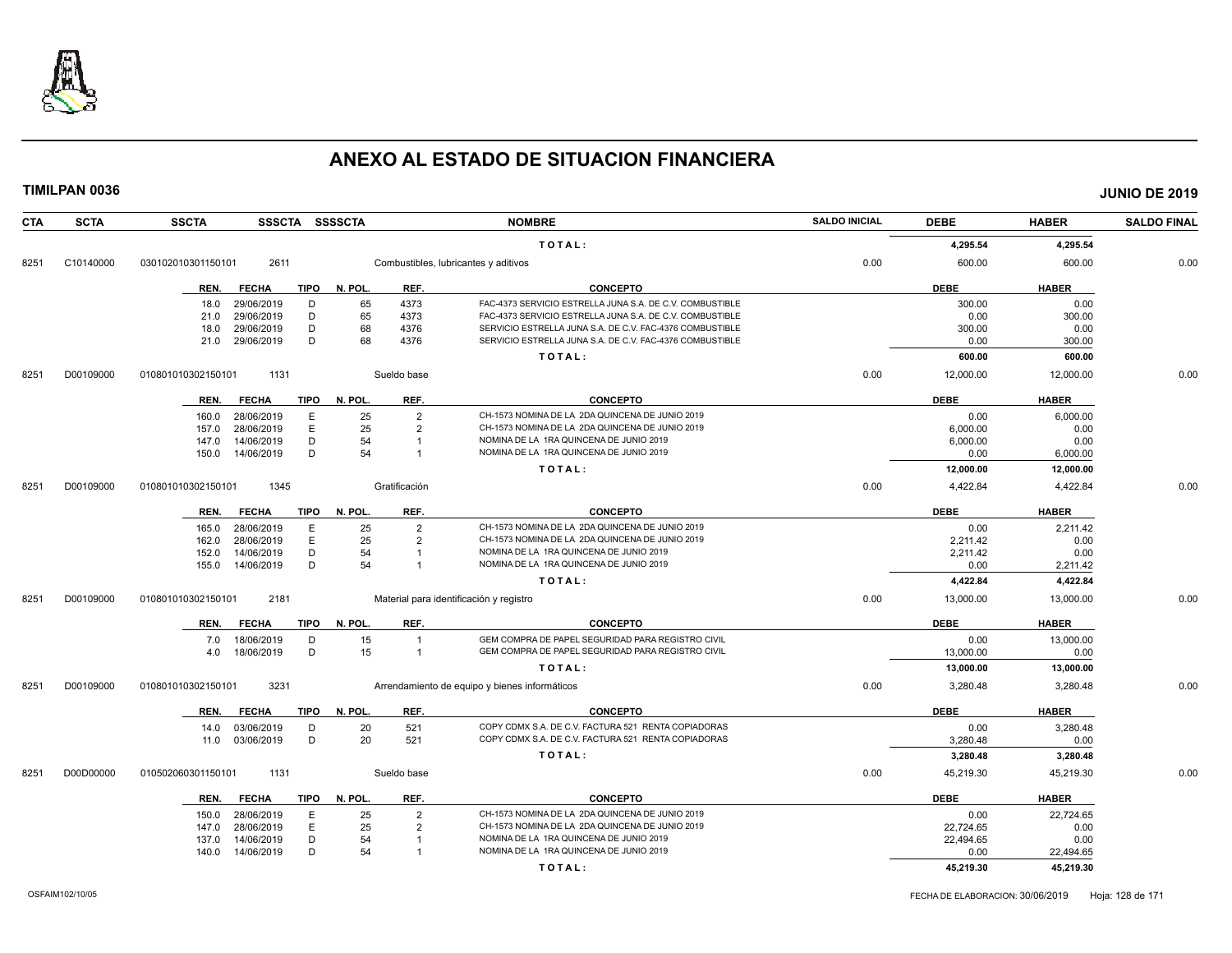

| <b>CTA</b> | <b>SCTA</b> | <b>SSCTA</b>       |              |             | SSSCTA SSSSCTA |                | <b>NOMBRE</b>                                            | <b>SALDO INICIAL</b> | <b>DEBE</b> | <b>HABER</b> | <b>SALDO FINAL</b> |
|------------|-------------|--------------------|--------------|-------------|----------------|----------------|----------------------------------------------------------|----------------------|-------------|--------------|--------------------|
|            |             |                    |              |             |                |                | TOTAL:                                                   |                      | 4,295.54    | 4,295.54     |                    |
| 8251       | C10140000   | 030102010301150101 | 2611         |             |                |                | Combustibles, lubricantes y aditivos                     | 0.00                 | 600.00      | 600.00       | 0.00               |
|            |             | REN.               | <b>FECHA</b> | TIPO        | N. POL.        | REF.           | <b>CONCEPTO</b>                                          |                      | <b>DEBE</b> | <b>HABER</b> |                    |
|            |             | 18.0               | 29/06/2019   | D           | 65             | 4373           | FAC-4373 SERVICIO ESTRELLA JUNA S.A. DE C.V. COMBUSTIBLE |                      | 300.00      | 0.00         |                    |
|            |             | 21.0               | 29/06/2019   | D           | 65             | 4373           | FAC-4373 SERVICIO ESTRELLA JUNA S.A. DE C.V. COMBUSTIBLE |                      | 0.00        | 300.00       |                    |
|            |             | 18.0               | 29/06/2019   | D           | 68             | 4376           | SERVICIO ESTRELLA JUNA S.A. DE C.V. FAC-4376 COMBUSTIBLE |                      | 300.00      | 0.00         |                    |
|            |             | 21.0               | 29/06/2019   | D           | 68             | 4376           | SERVICIO ESTRELLA JUNA S.A. DE C.V. FAC-4376 COMBUSTIBLE |                      | 0.00        | 300.00       |                    |
|            |             |                    |              |             |                |                | TOTAL:                                                   |                      | 600.00      | 600.00       |                    |
| 8251       | D00109000   | 010801010302150101 | 1131         |             |                | Sueldo base    |                                                          | 0.00                 | 12,000.00   | 12,000.00    | 0.00               |
|            |             | REN.               | <b>FECHA</b> | <b>TIPO</b> | N. POL.        | REF.           | <b>CONCEPTO</b>                                          |                      | <b>DEBE</b> | <b>HABER</b> |                    |
|            |             | 160.0              | 28/06/2019   | E           | 25             | $\overline{2}$ | CH-1573 NOMINA DE LA 2DA QUINCENA DE JUNIO 2019          |                      | 0.00        | 6,000.00     |                    |
|            |             | 157.0              | 28/06/2019   | E           | 25             | $\overline{2}$ | CH-1573 NOMINA DE LA 2DA QUINCENA DE JUNIO 2019          |                      | 6,000.00    | 0.00         |                    |
|            |             | 147.0              | 14/06/2019   | D           | 54             | -1             | NOMINA DE LA 1RA QUINCENA DE JUNIO 2019                  |                      | 6,000.00    | 0.00         |                    |
|            |             | 150.0              | 14/06/2019   | D           | 54             | $\overline{1}$ | NOMINA DE LA 1RA QUINCENA DE JUNIO 2019                  |                      | 0.00        | 6,000.00     |                    |
|            |             |                    |              |             |                |                | TOTAL:                                                   |                      | 12,000.00   | 12,000.00    |                    |
| 8251       | D00109000   | 010801010302150101 | 1345         |             |                | Gratificación  |                                                          | 0.00                 | 4,422.84    | 4,422.84     | 0.00               |
|            |             | REN.               | <b>FECHA</b> | TIPO        | N. POL.        | REF.           | <b>CONCEPTO</b>                                          |                      | <b>DEBE</b> | <b>HABER</b> |                    |
|            |             | 165.0              | 28/06/2019   | E           | 25             | $\overline{2}$ | CH-1573 NOMINA DE LA 2DA QUINCENA DE JUNIO 2019          |                      | 0.00        | 2,211.42     |                    |
|            |             | 162.0              | 28/06/2019   | Ε           | 25             | $\overline{2}$ | CH-1573 NOMINA DE LA 2DA QUINCENA DE JUNIO 2019          |                      | 2,211.42    | 0.00         |                    |
|            |             | 152.0              | 14/06/2019   | D           | 54             | $\overline{1}$ | NOMINA DE LA 1RA QUINCENA DE JUNIO 2019                  |                      | 2,211.42    | 0.00         |                    |
|            |             | 155.0              | 14/06/2019   | D           | 54             | $\overline{1}$ | NOMINA DE LA 1RA QUINCENA DE JUNIO 2019                  |                      | 0.00        | 2,211.42     |                    |
|            |             |                    |              |             |                |                | TOTAL:                                                   |                      | 4,422.84    | 4,422.84     |                    |
| 8251       | D00109000   | 010801010302150101 | 2181         |             |                |                | Material para identificación y registro                  | 0.00                 | 13,000.00   | 13,000.00    | 0.00               |
|            |             | REN.               | <b>FECHA</b> | TIPO        | N. POL.        | REF.           | <b>CONCEPTO</b>                                          |                      | <b>DEBE</b> | <b>HABER</b> |                    |
|            |             | 7.0                | 18/06/2019   | D           | 15             | $\overline{1}$ | GEM COMPRA DE PAPEL SEGURIDAD PARA REGISTRO CIVIL        |                      | 0.00        | 13,000.00    |                    |
|            |             | 4.0                | 18/06/2019   | D           | 15             | $\mathbf{1}$   | GEM COMPRA DE PAPEL SEGURIDAD PARA REGISTRO CIVIL        |                      | 13,000.00   | 0.00         |                    |
|            |             |                    |              |             |                |                | TOTAL:                                                   |                      | 13,000.00   | 13,000.00    |                    |
| 8251       | D00109000   | 010801010302150101 | 3231         |             |                |                | Arrendamiento de equipo y bienes informáticos            | 0.00                 | 3,280.48    | 3,280.48     | 0.00               |
|            |             | REN.               | <b>FECHA</b> | TIPO        | N. POL.        | REF.           | <b>CONCEPTO</b>                                          |                      | <b>DEBE</b> | <b>HABER</b> |                    |
|            |             | 14.0               | 03/06/2019   | D           | 20             | 521            | COPY CDMX S.A. DE C.V. FACTURA 521 RENTA COPIADORAS      |                      | 0.00        | 3,280.48     |                    |
|            |             | 11.0               | 03/06/2019   | D           | 20             | 521            | COPY CDMX S.A. DE C.V. FACTURA 521 RENTA COPIADORAS      |                      | 3,280.48    | 0.00         |                    |
|            |             |                    |              |             |                |                | TOTAL:                                                   |                      | 3,280.48    | 3,280.48     |                    |
| 8251       | D00D00000   | 010502060301150101 | 1131         |             |                | Sueldo base    |                                                          | 0.00                 | 45,219.30   | 45,219.30    | 0.00               |
|            |             | REN.               | <b>FECHA</b> | <b>TIPO</b> | N. POL.        | REF.           | <b>CONCEPTO</b>                                          |                      | <b>DEBE</b> | <b>HABER</b> |                    |
|            |             | 150.0              | 28/06/2019   | E           | 25             | $\overline{2}$ | CH-1573 NOMINA DE LA 2DA QUINCENA DE JUNIO 2019          |                      | 0.00        | 22,724.65    |                    |
|            |             | 147.0              | 28/06/2019   | E           | 25             | $\overline{2}$ | CH-1573 NOMINA DE LA 2DA QUINCENA DE JUNIO 2019          |                      | 22,724.65   | 0.00         |                    |
|            |             | 137.0              | 14/06/2019   | D           | 54             |                | NOMINA DE LA 1RA QUINCENA DE JUNIO 2019                  |                      | 22,494.65   | 0.00         |                    |
|            |             | 140.0              | 14/06/2019   | D           | 54             | $\mathbf{1}$   | NOMINA DE LA 1RA QUINCENA DE JUNIO 2019                  |                      | 0.00        | 22,494.65    |                    |
|            |             |                    |              |             |                |                | TOTAL:                                                   |                      | 45,219.30   | 45,219.30    |                    |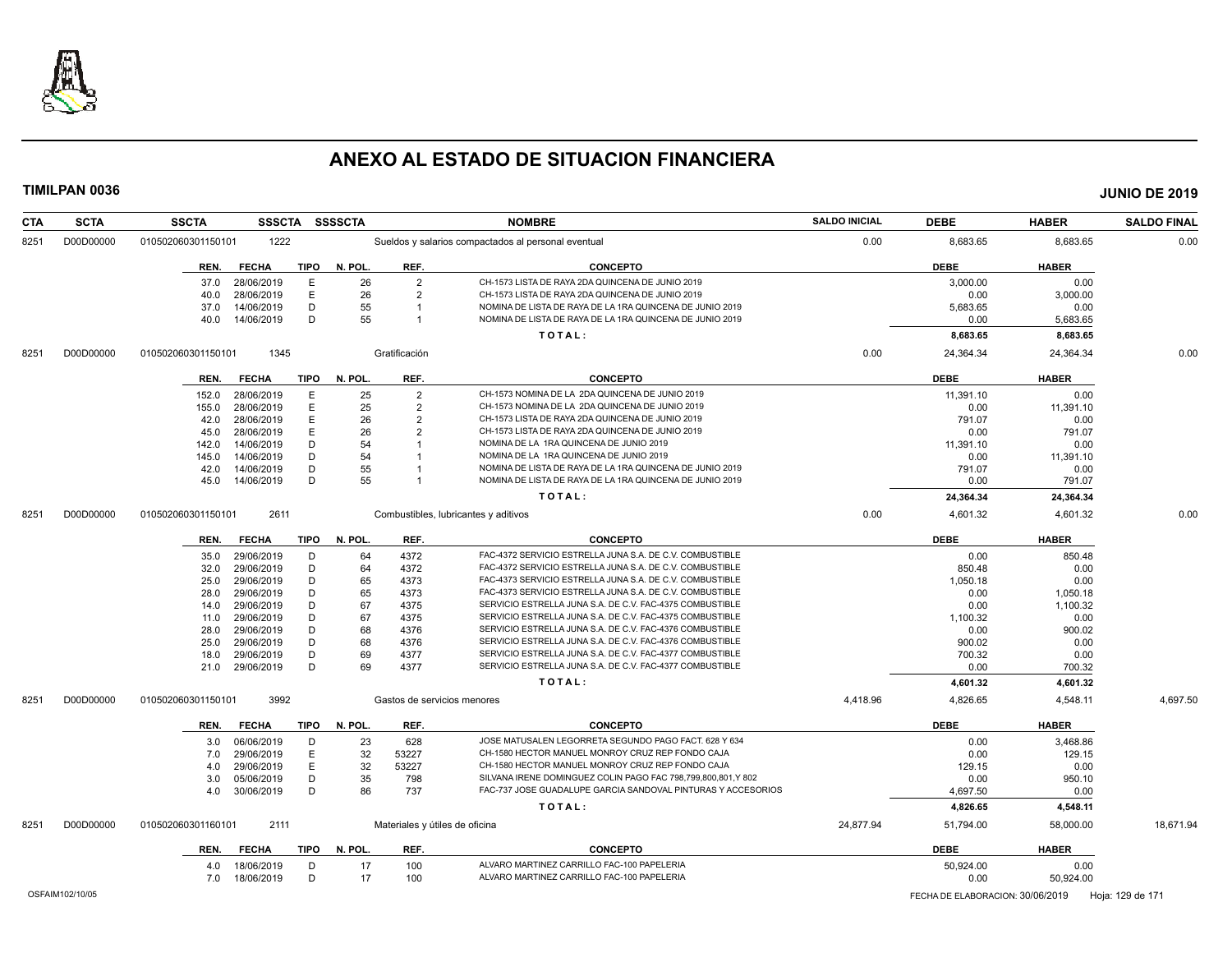

| <b>CTA</b> | <b>SCTA</b> | <b>SSCTA</b><br><b>SSSCTA</b>       | <b>SSSSCTA</b> |                | <b>NOMBRE</b>                                                | <b>SALDO INICIAL</b> | <b>DEBE</b>          | <b>HABER</b>         | <b>SALDO FINAL</b> |
|------------|-------------|-------------------------------------|----------------|----------------|--------------------------------------------------------------|----------------------|----------------------|----------------------|--------------------|
| 8251       | D00D00000   | 1222<br>010502060301150101          |                |                | Sueldos y salarios compactados al personal eventual          | 0.00                 | 8,683.65             | 8,683.65             | 0.00               |
|            |             | <b>FECHA</b><br>TIPO<br>REN.        | N. POL.        | REF.           | <b>CONCEPTO</b>                                              |                      | <b>DEBE</b>          | <b>HABER</b>         |                    |
|            |             | 28/06/2019<br>E<br>37.0             | 26             | $\overline{2}$ | CH-1573 LISTA DE RAYA 2DA QUINCENA DE JUNIO 2019             |                      | 3,000.00             | 0.00                 |                    |
|            |             | E<br>28/06/2019<br>40.0             | 26             | $\overline{2}$ | CH-1573 LISTA DE RAYA 2DA QUINCENA DE JUNIO 2019             |                      | 0.00                 | 3,000.00             |                    |
|            |             | D<br>14/06/2019<br>37.0             | 55             | -1             | NOMINA DE LISTA DE RAYA DE LA 1RA QUINCENA DE JUNIO 2019     |                      | 5,683.65             | 0.00                 |                    |
|            |             | D<br>14/06/2019<br>40.0             | 55             | $\mathbf{1}$   | NOMINA DE LISTA DE RAYA DE LA 1RA QUINCENA DE JUNIO 2019     |                      | 0.00                 | 5,683.65             |                    |
|            |             |                                     |                |                | TOTAL:                                                       |                      | 8,683.65             | 8,683.65             |                    |
| 8251       | D00D00000   | 1345<br>010502060301150101          |                | Gratificación  |                                                              | 0.00                 | 24,364.34            | 24,364.34            | 0.00               |
|            |             | <b>FECHA</b><br><b>TIPO</b><br>REN. | N. POL.        | REF.           | <b>CONCEPTO</b>                                              |                      | <b>DEBE</b>          | <b>HABER</b>         |                    |
|            |             | 28/06/2019<br>Ε<br>152.0            | 25             | $\overline{2}$ | CH-1573 NOMINA DE LA 2DA QUINCENA DE JUNIO 2019              |                      | 11,391.10            | 0.00                 |                    |
|            |             | E<br>155.0<br>28/06/2019            | 25             | $\overline{2}$ | CH-1573 NOMINA DE LA 2DA QUINCENA DE JUNIO 2019              |                      | 0.00                 | 11,391.10            |                    |
|            |             | E<br>28/06/2019<br>42.0             | 26             | $\overline{2}$ | CH-1573 LISTA DE RAYA 2DA QUINCENA DE JUNIO 2019             |                      | 791.07               | 0.00                 |                    |
|            |             | E<br>28/06/2019<br>45.0             | 26             | $\overline{2}$ | CH-1573 LISTA DE RAYA 2DA QUINCENA DE JUNIO 2019             |                      | 0.00                 | 791.07               |                    |
|            |             | D<br>14/06/2019<br>142.0            | 54             |                | NOMINA DE LA 1RA QUINCENA DE JUNIO 2019                      |                      | 11,391.10            | 0.00                 |                    |
|            |             | D<br>14/06/2019<br>145.0            | 54             |                | NOMINA DE LA 1RA QUINCENA DE JUNIO 2019                      |                      | 0.00                 | 11,391.10            |                    |
|            |             | D<br>14/06/2019<br>42.0             | 55             |                | NOMINA DE LISTA DE RAYA DE LA 1RA QUINCENA DE JUNIO 2019     |                      | 791.07               | 0.00                 |                    |
|            |             | D<br>45.0<br>14/06/2019             | 55             | $\overline{1}$ | NOMINA DE LISTA DE RAYA DE LA 1RA QUINCENA DE JUNIO 2019     |                      | 0.00                 | 791.07               |                    |
|            |             |                                     |                |                | TOTAL:                                                       |                      | 24,364.34            | 24,364.34            |                    |
| 8251       | D00D00000   | 2611<br>010502060301150101          |                |                | Combustibles, lubricantes y aditivos                         | 0.00                 | 4,601.32             | 4,601.32             | 0.00               |
|            |             | <b>FECHA</b><br>TIPO<br>REN.        | N. POL.        | REF.           | <b>CONCEPTO</b>                                              |                      | <b>DEBE</b>          | <b>HABER</b>         |                    |
|            |             | 29/06/2019<br>D                     | 64             | 4372           | FAC-4372 SERVICIO ESTRELLA JUNA S.A. DE C.V. COMBUSTIBLE     |                      | 0.00                 | 850.48               |                    |
|            |             | 35.0<br>D<br>29/06/2019<br>32.0     | 64             | 4372           | FAC-4372 SERVICIO ESTRELLA JUNA S.A. DE C.V. COMBUSTIBLE     |                      | 850.48               | 0.00                 |                    |
|            |             | D<br>29/06/2019<br>25.0             | 65             | 4373           | FAC-4373 SERVICIO ESTRELLA JUNA S.A. DE C.V. COMBUSTIBLE     |                      | 1,050.18             | 0.00                 |                    |
|            |             | D                                   | 65             |                | FAC-4373 SERVICIO ESTRELLA JUNA S.A. DE C.V. COMBUSTIBLE     |                      |                      |                      |                    |
|            |             | 28.0<br>29/06/2019<br>D             |                | 4373           | SERVICIO ESTRELLA JUNA S.A. DE C.V. FAC-4375 COMBUSTIBLE     |                      | 0.00                 | 1,050.18             |                    |
|            |             | 29/06/2019<br>14.0<br>D             | 67<br>67       | 4375           | SERVICIO ESTRELLA JUNA S.A. DE C.V. FAC-4375 COMBUSTIBLE     |                      | 0.00                 | 1,100.32             |                    |
|            |             | 29/06/2019<br>11.0                  |                | 4375           | SERVICIO ESTRELLA JUNA S.A. DE C.V. FAC-4376 COMBUSTIBLE     |                      | 1,100.32             | 0.00                 |                    |
|            |             | 29/06/2019<br>D<br>28.0             | 68             | 4376<br>4376   | SERVICIO ESTRELLA JUNA S.A. DE C.V. FAC-4376 COMBUSTIBLE     |                      | 0.00                 | 900.02               |                    |
|            |             | 29/06/2019<br>D<br>25.0<br>D        | 68             |                | SERVICIO ESTRELLA JUNA S.A. DE C.V. FAC-4377 COMBUSTIBLE     |                      | 900.02               | 0.00                 |                    |
|            |             | 29/06/2019<br>18.0<br>D             | 69<br>69       | 4377<br>4377   | SERVICIO ESTRELLA JUNA S.A. DE C.V. FAC-4377 COMBUSTIBLE     |                      | 700.32<br>0.00       | 0.00                 |                    |
|            |             | 29/06/2019<br>21.0                  |                |                |                                                              |                      |                      | 700.32               |                    |
| 8251       | D00D00000   | 3992<br>010502060301150101          |                |                | TOTAL:<br>Gastos de servicios menores                        | 4.418.96             | 4,601.32<br>4,826.65 | 4,601.32<br>4,548.11 | 4.697.50           |
|            |             |                                     |                |                |                                                              |                      |                      |                      |                    |
|            |             | <b>FECHA</b><br><b>TIPO</b><br>REN. | N. POL.        | REF.           | <b>CONCEPTO</b>                                              |                      | <b>DEBE</b>          | <b>HABER</b>         |                    |
|            |             | 06/06/2019<br>D<br>3.0              | 23             | 628            | JOSE MATUSALEN LEGORRETA SEGUNDO PAGO FACT. 628 Y 634        |                      | 0.00                 | 3,468.86             |                    |
|            |             | E<br>29/06/2019<br>7.0              | 32             | 53227          | CH-1580 HECTOR MANUEL MONROY CRUZ REP FONDO CAJA             |                      | 0.00                 | 129.15               |                    |
|            |             | E<br>29/06/2019<br>4.0              | 32             | 53227          | CH-1580 HECTOR MANUEL MONROY CRUZ REP FONDO CAJA             |                      | 129.15               | 0.00                 |                    |
|            |             | D<br>3.0<br>05/06/2019              | 35             | 798            | SILVANA IRENE DOMINGUEZ COLIN PAGO FAC 798,799,800,801,Y 802 |                      | 0.00                 | 950.10               |                    |
|            |             | D<br>30/06/2019<br>4.0              | 86             | 737            | FAC-737 JOSE GUADALUPE GARCIA SANDOVAL PINTURAS Y ACCESORIOS |                      | 4,697.50             | 0.00                 |                    |
|            |             |                                     |                |                | TOTAL:                                                       |                      | 4,826.65             | 4,548.11             |                    |
| 8251       | D00D00000   | 010502060301160101<br>2111          |                |                | Materiales y útiles de oficina                               | 24,877.94            | 51,794.00            | 58,000.00            | 18,671.94          |
|            |             | REN.<br><b>FECHA</b>                | TIPO N. POL.   | REF.           | <b>CONCEPTO</b>                                              |                      | <b>DEBE</b>          | <b>HABER</b>         |                    |
|            |             | D<br>18/06/2019<br>4.0              | 17             | 100            | ALVARO MARTINEZ CARRILLO FAC-100 PAPELERIA                   |                      | 50,924.00            | 0.00                 |                    |
|            |             | 18/06/2019<br>D<br>7.0              | 17             | 100            | ALVARO MARTINEZ CARRILLO FAC-100 PAPELERIA                   |                      | 0.00                 | 50,924.00            |                    |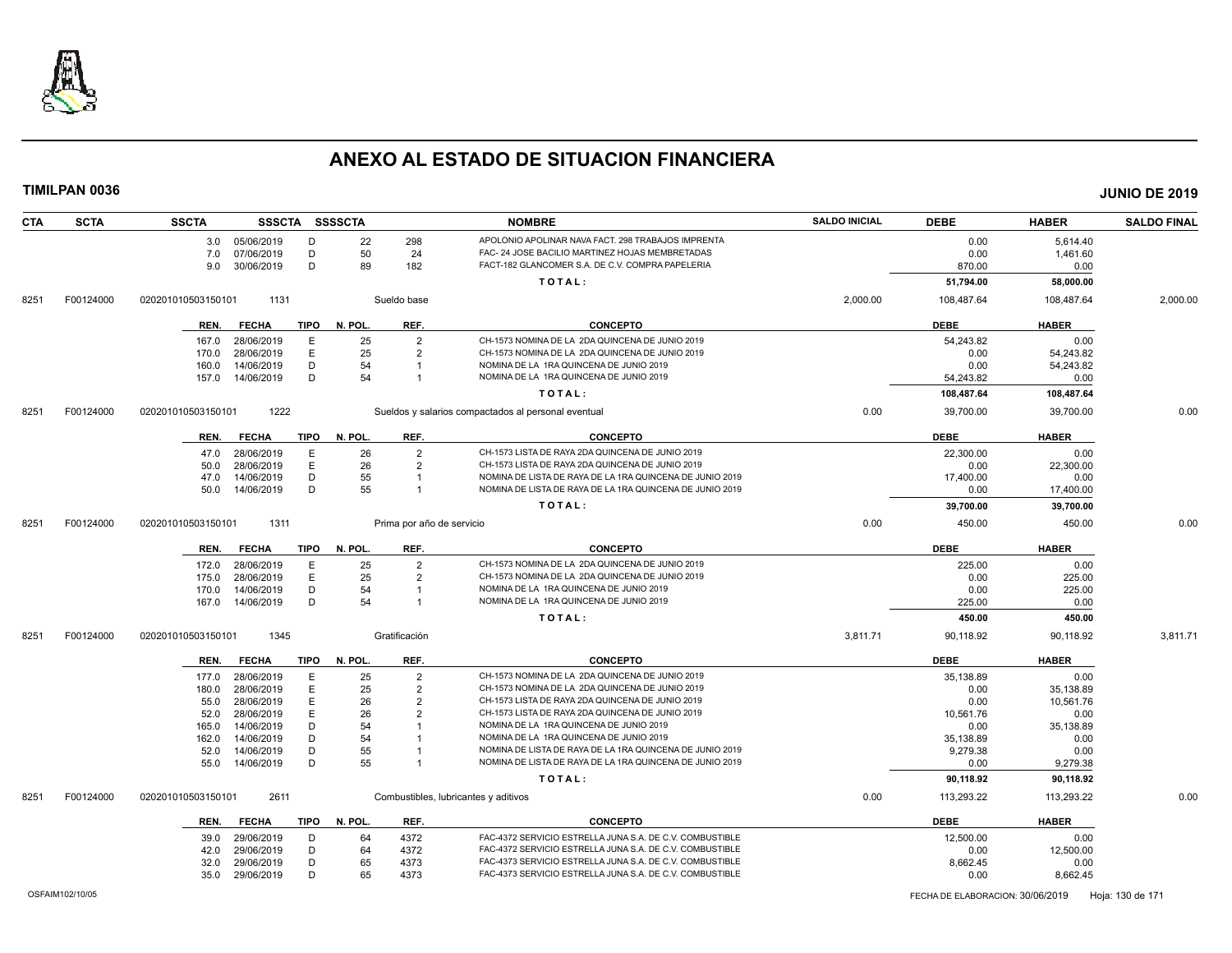

| <b>CTA</b> | <b>SCTA</b> | <b>SSCTA</b>       |                |             | SSSCTA SSSSCTA |                           | <b>NOMBRE</b>                                            | <b>SALDO INICIAL</b> | <b>DEBE</b> | <b>HABER</b> | <b>SALDO FINAL</b> |
|------------|-------------|--------------------|----------------|-------------|----------------|---------------------------|----------------------------------------------------------|----------------------|-------------|--------------|--------------------|
|            |             |                    | 3.0 05/06/2019 | D           | 22             | 298                       | APOLONIO APOLINAR NAVA FACT. 298 TRABAJOS IMPRENTA       |                      | 0.00        | 5,614.40     |                    |
|            |             | 7.0                | 07/06/2019     | D           | 50             | 24                        | FAC- 24 JOSE BACILIO MARTINEZ HOJAS MEMBRETADAS          |                      | 0.00        | 1,461.60     |                    |
|            |             | 9.0                | 30/06/2019     | D           | 89             | 182                       | FACT-182 GLANCOMER S.A. DE C.V. COMPRA PAPELERIA         |                      | 870.00      | 0.00         |                    |
|            |             |                    |                |             |                |                           | TOTAL:                                                   |                      | 51,794.00   | 58,000.00    |                    |
| 8251       | F00124000   | 020201010503150101 | 1131           |             |                | Sueldo base               |                                                          | 2,000.00             | 108,487.64  | 108,487.64   | 2,000.00           |
|            |             | REN.               | <b>FECHA</b>   | <b>TIPO</b> | N. POL.        | REF.                      | <b>CONCEPTO</b>                                          |                      | <b>DEBE</b> | <b>HABER</b> |                    |
|            |             | 167.0              | 28/06/2019     | E           | 25             | $\overline{2}$            | CH-1573 NOMINA DE LA 2DA QUINCENA DE JUNIO 2019          |                      | 54.243.82   | 0.00         |                    |
|            |             | 170.0              | 28/06/2019     | E           | 25             | $\overline{2}$            | CH-1573 NOMINA DE LA 2DA QUINCENA DE JUNIO 2019          |                      | 0.00        | 54,243.82    |                    |
|            |             | 160.0              | 14/06/2019     | D           | 54             | $\overline{\mathbf{1}}$   | NOMINA DE LA 1RA QUINCENA DE JUNIO 2019                  |                      | 0.00        | 54,243.82    |                    |
|            |             | 157.0              | 14/06/2019     | D           | 54             | $\overline{1}$            | NOMINA DE LA 1RA QUINCENA DE JUNIO 2019                  |                      | 54,243.82   | 0.00         |                    |
|            |             |                    |                |             |                |                           | TOTAL:                                                   |                      | 108,487.64  | 108,487.64   |                    |
| 8251       | F00124000   | 020201010503150101 | 1222           |             |                |                           | Sueldos y salarios compactados al personal eventual      | 0.00                 | 39,700.00   | 39,700.00    | 0.00               |
|            |             | REN.               | <b>FECHA</b>   | TIPO        | N. POL.        | REF.                      | <b>CONCEPTO</b>                                          |                      | <b>DEBE</b> | <b>HABER</b> |                    |
|            |             | 47.0               | 28/06/2019     | E           | 26             | $\overline{2}$            | CH-1573 LISTA DE RAYA 2DA QUINCENA DE JUNIO 2019         |                      | 22,300.00   | 0.00         |                    |
|            |             | 50.0               | 28/06/2019     | E           | 26             | $\overline{2}$            | CH-1573 LISTA DE RAYA 2DA QUINCENA DE JUNIO 2019         |                      | 0.00        | 22,300.00    |                    |
|            |             | 47.0               | 14/06/2019     | D           | 55             | $\overline{1}$            | NOMINA DE LISTA DE RAYA DE LA 1RA QUINCENA DE JUNIO 2019 |                      | 17,400.00   | 0.00         |                    |
|            |             | 50.0               | 14/06/2019     | D           | 55             | $\overline{1}$            | NOMINA DE LISTA DE RAYA DE LA 1RA QUINCENA DE JUNIO 2019 |                      | 0.00        | 17,400.00    |                    |
|            |             |                    |                |             |                |                           | TOTAL:                                                   |                      | 39,700.00   | 39,700.00    |                    |
| 8251       | F00124000   | 020201010503150101 | 1311           |             |                | Prima por año de servicio |                                                          | 0.00                 | 450.00      | 450.00       | 0.00               |
|            |             | REN.               | <b>FECHA</b>   | <b>TIPO</b> | N. POL.        | REF.                      | <b>CONCEPTO</b>                                          |                      | <b>DEBE</b> | <b>HABER</b> |                    |
|            |             | 172.0              | 28/06/2019     | Е           | 25             | $\overline{2}$            | CH-1573 NOMINA DE LA 2DA QUINCENA DE JUNIO 2019          |                      | 225.00      | 0.00         |                    |
|            |             | 175.0              | 28/06/2019     | Ε           | 25             | $\overline{2}$            | CH-1573 NOMINA DE LA 2DA QUINCENA DE JUNIO 2019          |                      | 0.00        | 225.00       |                    |
|            |             | 170.0              | 14/06/2019     | D           | 54             |                           | NOMINA DE LA 1RA QUINCENA DE JUNIO 2019                  |                      | 0.00        | 225.00       |                    |
|            |             | 167.0              | 14/06/2019     | D           | 54             | $\mathbf 1$               | NOMINA DE LA 1RA QUINCENA DE JUNIO 2019                  |                      | 225.00      | 0.00         |                    |
|            |             |                    |                |             |                |                           | TOTAL:                                                   |                      | 450.00      | 450.00       |                    |
| 8251       | F00124000   | 020201010503150101 | 1345           |             |                | Gratificación             |                                                          | 3,811.71             | 90,118.92   | 90,118.92    | 3,811.71           |
|            |             | REN.               | <b>FECHA</b>   | TIPO        | N. POL.        | REF.                      | <b>CONCEPTO</b>                                          |                      | <b>DEBE</b> | <b>HABER</b> |                    |
|            |             | 177.0              | 28/06/2019     | Е           | 25             | $\overline{2}$            | CH-1573 NOMINA DE LA 2DA QUINCENA DE JUNIO 2019          |                      | 35,138.89   | 0.00         |                    |
|            |             | 180.0              | 28/06/2019     | E           | 25             | $\overline{2}$            | CH-1573 NOMINA DE LA 2DA QUINCENA DE JUNIO 2019          |                      | 0.00        | 35,138.89    |                    |
|            |             | 55.0               | 28/06/2019     | E           | 26             | $\overline{2}$            | CH-1573 LISTA DE RAYA 2DA QUINCENA DE JUNIO 2019         |                      | 0.00        | 10,561.76    |                    |
|            |             | 52.0               | 28/06/2019     | E           | 26             | $\overline{2}$            | CH-1573 LISTA DE RAYA 2DA QUINCENA DE JUNIO 2019         |                      | 10.561.76   | 0.00         |                    |
|            |             | 165.0              | 14/06/2019     | D           | 54             |                           | NOMINA DE LA 1RA QUINCENA DE JUNIO 2019                  |                      | 0.00        | 35,138.89    |                    |
|            |             | 162.0              | 14/06/2019     | D           | 54             |                           | NOMINA DE LA 1RA QUINCENA DE JUNIO 2019                  |                      | 35,138.89   | 0.00         |                    |
|            |             | 52.0               | 14/06/2019     | D           | 55             |                           | NOMINA DE LISTA DE RAYA DE LA 1RA QUINCENA DE JUNIO 2019 |                      | 9,279.38    | 0.00         |                    |
|            |             | 55.0               | 14/06/2019     | D           | 55             |                           | NOMINA DE LISTA DE RAYA DE LA 1RA QUINCENA DE JUNIO 2019 |                      | 0.00        | 9,279.38     |                    |
|            |             |                    |                |             |                |                           | TOTAL:                                                   |                      | 90,118.92   | 90,118.92    |                    |
| 8251       | F00124000   | 020201010503150101 | 2611           |             |                |                           | Combustibles, lubricantes y aditivos                     | 0.00                 | 113,293.22  | 113,293.22   | 0.00               |
|            |             | REN.               | <b>FECHA</b>   | TIPO        | N. POL.        | REF.                      | <b>CONCEPTO</b>                                          |                      | <b>DEBE</b> | <b>HABER</b> |                    |
|            |             | 39.0               | 29/06/2019     | D           | 64             | 4372                      | FAC-4372 SERVICIO ESTRELLA JUNA S.A. DE C.V. COMBUSTIBLE |                      | 12.500.00   | 0.00         |                    |
|            |             | 42.0               | 29/06/2019     | D           | 64             | 4372                      | FAC-4372 SERVICIO ESTRELLA JUNA S.A. DE C.V. COMBUSTIBLE |                      | 0.00        | 12,500.00    |                    |
|            |             | 32.0               | 29/06/2019     | D           | 65             | 4373                      | FAC-4373 SERVICIO ESTRELLA JUNA S.A. DE C.V. COMBUSTIBLE |                      | 8,662.45    | 0.00         |                    |
|            |             | 35.0               | 29/06/2019     | D           | 65             | 4373                      | FAC-4373 SERVICIO ESTRELLA JUNA S.A. DE C.V. COMBUSTIBLE |                      | 0.00        | 8,662.45     |                    |
|            |             |                    |                |             |                |                           |                                                          |                      |             |              |                    |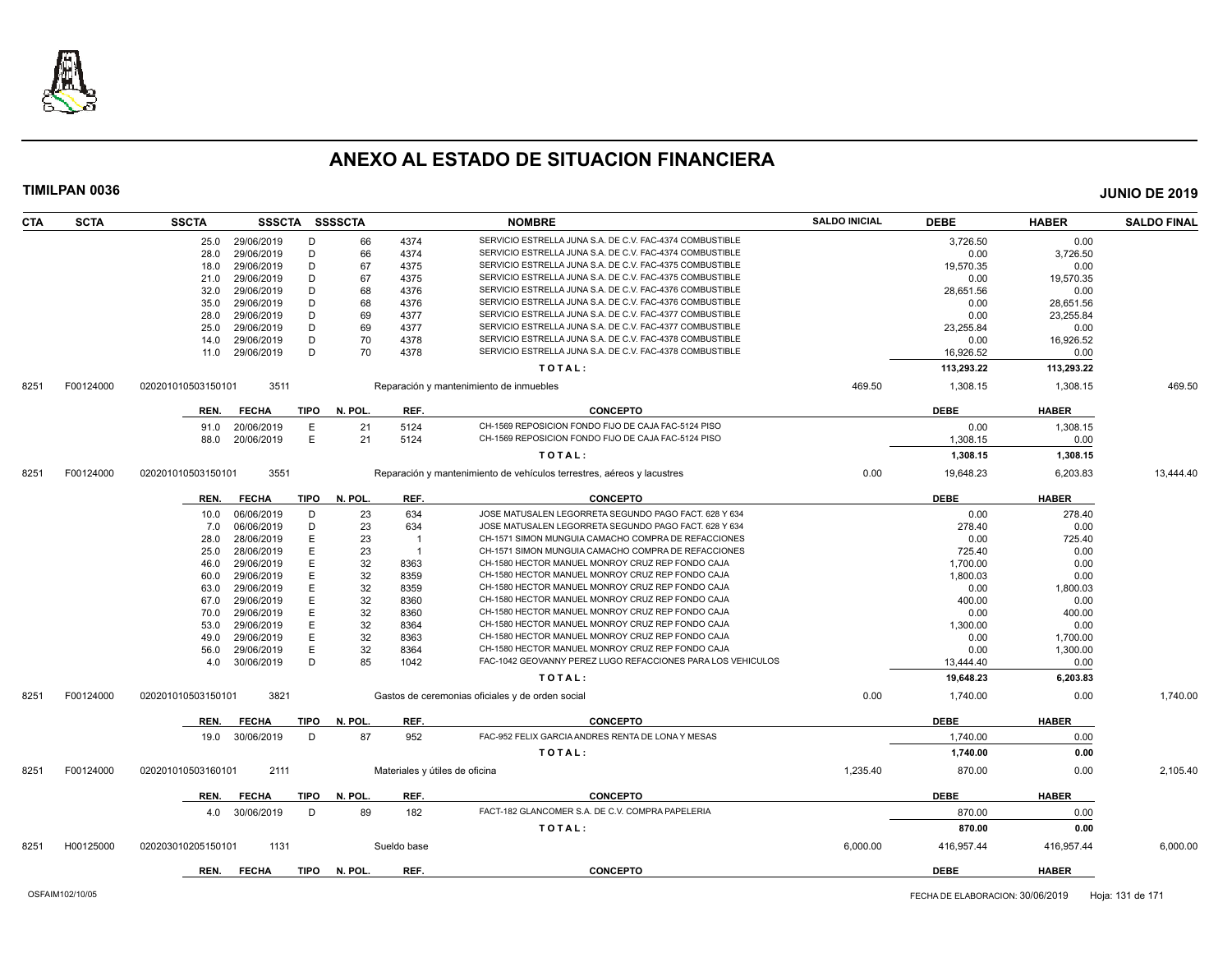

| <b>CTA</b> | <b>SCTA</b> | <b>SSCTA</b>       | SSSCTA SSSSCTA |             |         |             | <b>NOMBRE</b>                                                          | <b>SALDO INICIAL</b> | <b>DEBE</b> | <b>HABER</b> | <b>SALDO FINAL</b> |
|------------|-------------|--------------------|----------------|-------------|---------|-------------|------------------------------------------------------------------------|----------------------|-------------|--------------|--------------------|
|            |             | 25.0               | 29/06/2019     | D           | 66      | 4374        | SERVICIO ESTRELLA JUNA S.A. DE C.V. FAC-4374 COMBUSTIBLE               |                      | 3,726.50    | 0.00         |                    |
|            |             | 28.0               | 29/06/2019     | D           | 66      | 4374        | SERVICIO ESTRELLA JUNA S.A. DE C.V. FAC-4374 COMBUSTIBLE               |                      | 0.00        | 3,726.50     |                    |
|            |             | 18.0               | 29/06/2019     | D           | 67      | 4375        | SERVICIO ESTRELLA JUNA S.A. DE C.V. FAC-4375 COMBUSTIBLE               |                      | 19,570.35   | 0.00         |                    |
|            |             | 21.0               | 29/06/2019     | D           | 67      | 4375        | SERVICIO ESTRELLA JUNA S.A. DE C.V. FAC-4375 COMBUSTIBLE               |                      | 0.00        | 19,570.35    |                    |
|            |             | 32.0               | 29/06/2019     | D           | 68      | 4376        | SERVICIO ESTRELLA JUNA S.A. DE C.V. FAC-4376 COMBUSTIBLE               |                      | 28,651.56   | 0.00         |                    |
|            |             | 35.0               | 29/06/2019     | D           | 68      | 4376        | SERVICIO ESTRELLA JUNA S.A. DE C.V. FAC-4376 COMBUSTIBLE               |                      | 0.00        | 28,651.56    |                    |
|            |             | 28.0               | 29/06/2019     | D           | 69      | 4377        | SERVICIO ESTRELLA JUNA S.A. DE C.V. FAC-4377 COMBUSTIBLE               |                      | 0.00        | 23,255.84    |                    |
|            |             | 25.0               | 29/06/2019     | D           | 69      | 4377        | SERVICIO ESTRELLA JUNA S.A. DE C.V. FAC-4377 COMBUSTIBLE               |                      | 23.255.84   | 0.00         |                    |
|            |             | 14.0               | 29/06/2019     | D           | 70      | 4378        | SERVICIO ESTRELLA JUNA S.A. DE C.V. FAC-4378 COMBUSTIBLE               |                      | 0.00        | 16,926.52    |                    |
|            |             | 11.0               | 29/06/2019     | D           | 70      | 4378        | SERVICIO ESTRELLA JUNA S.A. DE C.V. FAC-4378 COMBUSTIBLE               |                      | 16,926.52   | 0.00         |                    |
|            |             |                    |                |             |         |             | TOTAL:                                                                 |                      | 113,293.22  | 113,293.22   |                    |
| 8251       | F00124000   | 020201010503150101 | 3511           |             |         |             | Reparación y mantenimiento de inmuebles                                | 469.50               | 1,308.15    | 1,308.15     | 469.50             |
|            |             |                    |                | <b>TIPO</b> | N. POL. | REF.        | <b>CONCEPTO</b>                                                        |                      | <b>DEBE</b> | <b>HABER</b> |                    |
|            |             | REN.               | <b>FECHA</b>   |             |         |             | CH-1569 REPOSICION FONDO FIJO DE CAJA FAC-5124 PISO                    |                      |             |              |                    |
|            |             | 91.0               | 20/06/2019     | Е           | 21      | 5124        | CH-1569 REPOSICION FONDO FIJO DE CAJA FAC-5124 PISO                    |                      | 0.00        | 1,308.15     |                    |
|            |             | 88.0               | 20/06/2019     | E           | 21      | 5124        |                                                                        |                      | 1,308.15    | 0.00         |                    |
|            |             |                    |                |             |         |             | TOTAL:                                                                 |                      | 1,308.15    | 1,308.15     |                    |
| 8251       | F00124000   | 020201010503150101 | 3551           |             |         |             | Reparación y mantenimiento de vehículos terrestres, aéreos y lacustres | 0.00                 | 19,648.23   | 6,203.83     | 13,444.40          |
|            |             | REN.               | <b>FECHA</b>   | TIPO        | N. POL. | REF.        | <b>CONCEPTO</b>                                                        |                      | <b>DEBE</b> | <b>HABER</b> |                    |
|            |             | 10.0               | 06/06/2019     | D           | 23      | 634         | JOSE MATUSALEN LEGORRETA SEGUNDO PAGO FACT. 628 Y 634                  |                      | 0.00        | 278.40       |                    |
|            |             | 7.0                | 06/06/2019     | D           | 23      | 634         | JOSE MATUSALEN LEGORRETA SEGUNDO PAGO FACT. 628 Y 634                  |                      | 278.40      | 0.00         |                    |
|            |             | 28.0               | 28/06/2019     | E           | 23      |             | CH-1571 SIMON MUNGUIA CAMACHO COMPRA DE REFACCIONES                    |                      | 0.00        | 725.40       |                    |
|            |             | 25.0               | 28/06/2019     | E           | 23      | - 1         | CH-1571 SIMON MUNGUIA CAMACHO COMPRA DE REFACCIONES                    |                      | 725.40      | 0.00         |                    |
|            |             | 46.0               | 29/06/2019     | E           | 32      | 8363        | CH-1580 HECTOR MANUEL MONROY CRUZ REP FONDO CAJA                       |                      | 1,700.00    | 0.00         |                    |
|            |             | 60.0               | 29/06/2019     | E           | 32      | 8359        | CH-1580 HECTOR MANUEL MONROY CRUZ REP FONDO CAJA                       |                      | 1,800.03    | 0.00         |                    |
|            |             | 63.0               | 29/06/2019     | E           | 32      | 8359        | CH-1580 HECTOR MANUEL MONROY CRUZ REP FONDO CAJA                       |                      | 0.00        | 1,800.03     |                    |
|            |             | 67.0               | 29/06/2019     | E           | 32      | 8360        | CH-1580 HECTOR MANUEL MONROY CRUZ REP FONDO CAJA                       |                      | 400.00      | 0.00         |                    |
|            |             | 70.0               | 29/06/2019     | E           | 32      | 8360        | CH-1580 HECTOR MANUEL MONROY CRUZ REP FONDO CAJA                       |                      | 0.00        | 400.00       |                    |
|            |             | 53.0               | 29/06/2019     | E           | 32      | 8364        | CH-1580 HECTOR MANUEL MONROY CRUZ REP FONDO CAJA                       |                      | 1.300.00    | 0.00         |                    |
|            |             | 49.0               | 29/06/2019     | E           | 32      | 8363        | CH-1580 HECTOR MANUEL MONROY CRUZ REP FONDO CAJA                       |                      | 0.00        | 1,700.00     |                    |
|            |             | 56.0               | 29/06/2019     | E           | 32      | 8364        | CH-1580 HECTOR MANUEL MONROY CRUZ REP FONDO CAJA                       |                      | 0.00        | 1,300.00     |                    |
|            |             | 4.0                | 30/06/2019     | D           | 85      | 1042        | FAC-1042 GEOVANNY PEREZ LUGO REFACCIONES PARA LOS VEHICULOS            |                      | 13,444.40   | 0.00         |                    |
|            |             |                    |                |             |         |             | TOTAL:                                                                 |                      | 19,648.23   | 6,203.83     |                    |
| 8251       | F00124000   | 020201010503150101 | 3821           |             |         |             | Gastos de ceremonias oficiales y de orden social                       | 0.00                 | 1,740.00    | 0.00         | 1,740.00           |
|            |             | REN.               | <b>FECHA</b>   | <b>TIPO</b> | N. POL. | REF.        | <b>CONCEPTO</b>                                                        |                      | <b>DEBE</b> | <b>HABER</b> |                    |
|            |             | 19.0               | 30/06/2019     | D           | 87      | 952         | FAC-952 FELIX GARCIA ANDRES RENTA DE LONA Y MESAS                      |                      | 1,740.00    | 0.00         |                    |
|            |             |                    |                |             |         |             | TOTAL:                                                                 |                      | 1,740.00    | 0.00         |                    |
| 8251       | F00124000   | 020201010503160101 | 2111           |             |         |             | Materiales y útiles de oficina                                         | 1,235.40             | 870.00      | 0.00         | 2,105.40           |
|            |             | REN.               | <b>FECHA</b>   | <b>TIPO</b> | N. POL. | REF.        | <b>CONCEPTO</b>                                                        |                      | <b>DEBE</b> | <b>HABER</b> |                    |
|            |             | 4.0                | 30/06/2019     | D           | 89      | 182         | FACT-182 GLANCOMER S.A. DE C.V. COMPRA PAPELERIA                       |                      | 870.00      | 0.00         |                    |
|            |             |                    |                |             |         |             |                                                                        |                      |             |              |                    |
|            |             |                    |                |             |         |             | TOTAL:                                                                 |                      | 870.00      | 0.00         |                    |
| 8251       | H00125000   | 020203010205150101 | 1131           |             |         | Sueldo base |                                                                        | 6,000.00             | 416,957.44  | 416,957.44   | 6,000.00           |
|            |             | REN.               | <b>FECHA</b>   | <b>TIPO</b> | N. POL. | REF.        | <b>CONCEPTO</b>                                                        |                      | <b>DEBE</b> | <b>HABER</b> |                    |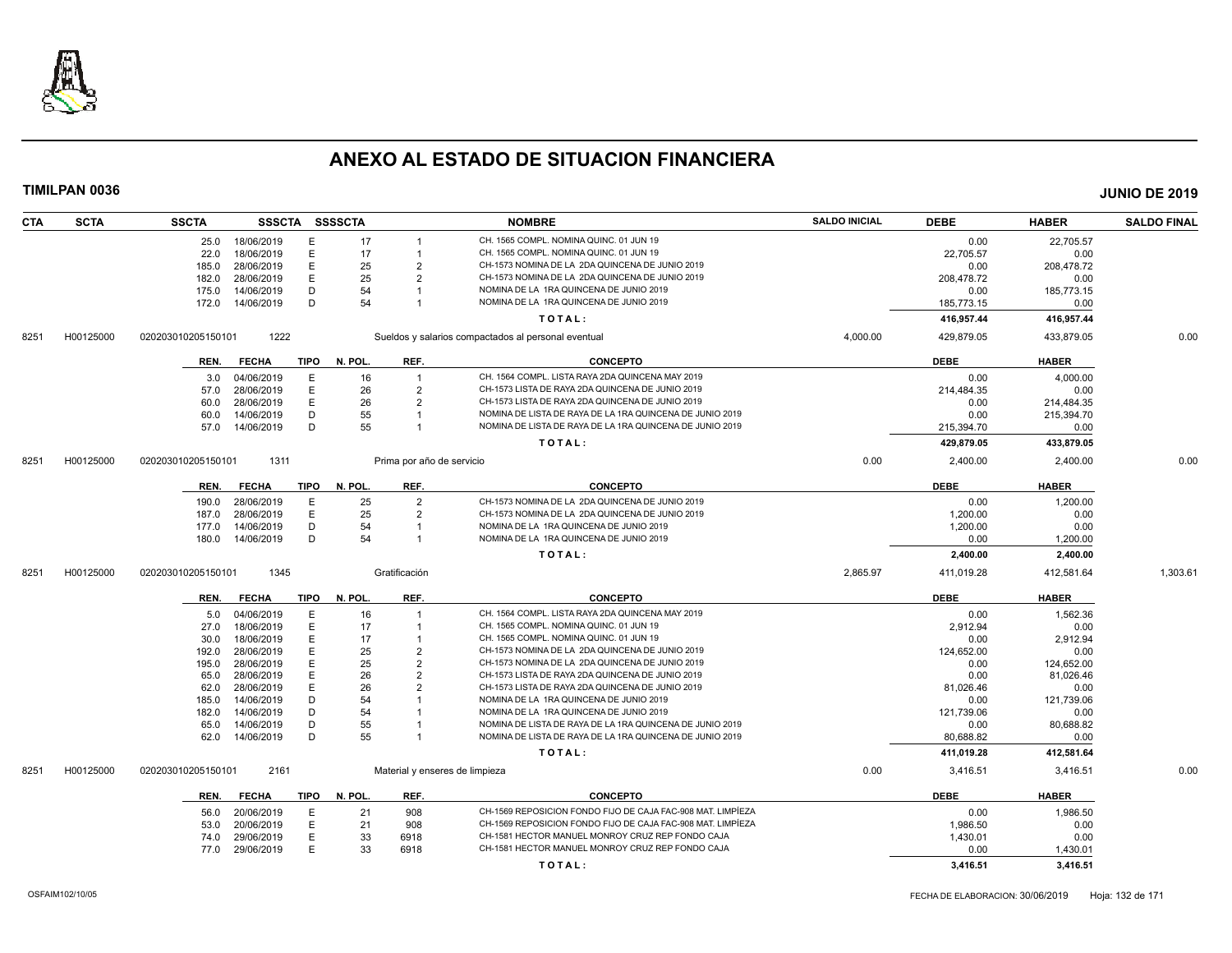

| <b>CTA</b> | <b>SCTA</b> | <b>SSCTA</b>       |              |      | SSSCTA SSSSCTA |                           | <b>NOMBRE</b>                                               | <b>SALDO INICIAL</b> | <b>DEBE</b> | <b>HABER</b> | <b>SALDO FINAL</b> |
|------------|-------------|--------------------|--------------|------|----------------|---------------------------|-------------------------------------------------------------|----------------------|-------------|--------------|--------------------|
|            |             | 25.0               | 18/06/2019   | Е    | 17             |                           | CH. 1565 COMPL. NOMINA QUINC. 01 JUN 19                     |                      | 0.00        | 22,705.57    |                    |
|            |             | 22.0               | 18/06/2019   | E    | 17             | $\overline{1}$            | CH. 1565 COMPL. NOMINA QUINC. 01 JUN 19                     |                      | 22,705.57   | 0.00         |                    |
|            |             | 185.0              | 28/06/2019   | E    | 25             | $\overline{2}$            | CH-1573 NOMINA DE LA 2DA QUINCENA DE JUNIO 2019             |                      | 0.00        | 208,478.72   |                    |
|            |             | 182.0              | 28/06/2019   | E    | 25             | $\overline{2}$            | CH-1573 NOMINA DE LA 2DA QUINCENA DE JUNIO 2019             |                      | 208,478.72  | 0.00         |                    |
|            |             | 175.0              | 14/06/2019   | D    | 54             |                           | NOMINA DE LA 1RA QUINCENA DE JUNIO 2019                     |                      | 0.00        | 185,773.15   |                    |
|            |             | 172.0              | 14/06/2019   | D    | 54             |                           | NOMINA DE LA 1RA QUINCENA DE JUNIO 2019                     |                      | 185,773.15  | 0.00         |                    |
|            |             |                    |              |      |                |                           | TOTAL:                                                      |                      | 416,957.44  | 416,957.44   |                    |
| 8251       | H00125000   | 020203010205150101 | 1222         |      |                |                           | Sueldos y salarios compactados al personal eventual         | 4,000.00             | 429,879.05  | 433,879.05   | 0.00               |
|            |             | REN.               | <b>FECHA</b> | TIPO | N. POL.        | REF.                      | <b>CONCEPTO</b>                                             |                      | <b>DEBE</b> | <b>HABER</b> |                    |
|            |             | 3.0                | 04/06/2019   | E    | 16             | $\overline{1}$            | CH. 1564 COMPL. LISTA RAYA 2DA QUINCENA MAY 2019            |                      | 0.00        | 4.000.00     |                    |
|            |             | 57.0               | 28/06/2019   | E    | 26             | $\overline{2}$            | CH-1573 LISTA DE RAYA 2DA QUINCENA DE JUNIO 2019            |                      | 214,484.35  | 0.00         |                    |
|            |             | 60.0               | 28/06/2019   | Ε    | 26             | $\overline{2}$            | CH-1573 LISTA DE RAYA 2DA QUINCENA DE JUNIO 2019            |                      | 0.00        | 214,484.35   |                    |
|            |             | 60.0               | 14/06/2019   | D    | 55             | $\overline{1}$            | NOMINA DE LISTA DE RAYA DE LA 1RA QUINCENA DE JUNIO 2019    |                      | 0.00        | 215,394.70   |                    |
|            |             | 57.0               | 14/06/2019   | D    | 55             | $\overline{1}$            | NOMINA DE LISTA DE RAYA DE LA 1RA QUINCENA DE JUNIO 2019    |                      | 215,394.70  | 0.00         |                    |
|            |             |                    |              |      |                |                           | TOTAL:                                                      |                      | 429,879.05  | 433,879.05   |                    |
| 8251       | H00125000   | 020203010205150101 | 1311         |      |                | Prima por año de servicio |                                                             | 0.00                 | 2,400.00    | 2,400.00     | 0.00               |
|            |             | REN.               | <b>FECHA</b> | TIPO | N. POL.        | REF.                      | <b>CONCEPTO</b>                                             |                      | <b>DEBE</b> | <b>HABER</b> |                    |
|            |             | 190.0              | 28/06/2019   | E    | 25             | $\overline{2}$            | CH-1573 NOMINA DE LA 2DA QUINCENA DE JUNIO 2019             |                      | 0.00        | 1,200.00     |                    |
|            |             | 187.0              | 28/06/2019   | E    | 25             | $\overline{2}$            | CH-1573 NOMINA DE LA 2DA QUINCENA DE JUNIO 2019             |                      | 1,200.00    | 0.00         |                    |
|            |             | 177.0              | 14/06/2019   | D    | 54             | $\overline{1}$            | NOMINA DE LA 1RA QUINCENA DE JUNIO 2019                     |                      | 1,200.00    | 0.00         |                    |
|            |             | 180.0              | 14/06/2019   | D    | 54             | $\overline{1}$            | NOMINA DE LA 1RA QUINCENA DE JUNIO 2019                     |                      | 0.00        | 1,200.00     |                    |
|            |             |                    |              |      |                |                           | TOTAL:                                                      |                      | 2,400.00    | 2,400.00     |                    |
| 8251       | H00125000   | 020203010205150101 | 1345         |      |                | Gratificación             |                                                             | 2,865.97             | 411,019.28  | 412,581.64   | 1,303.61           |
|            |             | REN.               | <b>FECHA</b> | TIPO | N. POL.        | REF.                      | <b>CONCEPTO</b>                                             |                      | <b>DEBE</b> | <b>HABER</b> |                    |
|            |             | 5.0                | 04/06/2019   | E    | 16             | $\overline{1}$            | CH. 1564 COMPL. LISTA RAYA 2DA QUINCENA MAY 2019            |                      | 0.00        | 1.562.36     |                    |
|            |             | 27.0               | 18/06/2019   | E    | 17             |                           | CH. 1565 COMPL. NOMINA QUINC. 01 JUN 19                     |                      | 2,912.94    | 0.00         |                    |
|            |             | 30.0               | 18/06/2019   | Е    | 17             |                           | CH. 1565 COMPL. NOMINA QUINC. 01 JUN 19                     |                      | 0.00        | 2,912.94     |                    |
|            |             | 192.0              | 28/06/2019   | E    | 25             | $\overline{2}$            | CH-1573 NOMINA DE LA 2DA QUINCENA DE JUNIO 2019             |                      | 124,652.00  | 0.00         |                    |
|            |             | 195.0              | 28/06/2019   | E    | 25             | $\overline{2}$            | CH-1573 NOMINA DE LA 2DA QUINCENA DE JUNIO 2019             |                      | 0.00        | 124,652.00   |                    |
|            |             | 65.0               | 28/06/2019   | E    | 26             | $\overline{2}$            | CH-1573 LISTA DE RAYA 2DA QUINCENA DE JUNIO 2019            |                      | 0.00        | 81,026.46    |                    |
|            |             | 62.0               | 28/06/2019   | E    | 26             | $\overline{2}$            | CH-1573 LISTA DE RAYA 2DA QUINCENA DE JUNIO 2019            |                      | 81.026.46   | 0.00         |                    |
|            |             | 185.0              | 14/06/2019   | D    | 54             |                           | NOMINA DE LA 1RA QUINCENA DE JUNIO 2019                     |                      | 0.00        | 121,739.06   |                    |
|            |             | 182.0              | 14/06/2019   | D    | 54             |                           | NOMINA DE LA 1RA QUINCENA DE JUNIO 2019                     |                      | 121,739.06  | 0.00         |                    |
|            |             | 65.0               | 14/06/2019   | D    | 55             |                           | NOMINA DE LISTA DE RAYA DE LA 1RA QUINCENA DE JUNIO 2019    |                      | 0.00        | 80,688.82    |                    |
|            |             | 62.0               | 14/06/2019   | D    | 55             |                           | NOMINA DE LISTA DE RAYA DE LA 1RA QUINCENA DE JUNIO 2019    |                      | 80,688.82   | 0.00         |                    |
|            |             |                    |              |      |                |                           | TOTAL:                                                      |                      | 411,019.28  | 412,581.64   |                    |
| 8251       | H00125000   | 020203010205150101 | 2161         |      |                |                           | Material y enseres de limpieza                              | 0.00                 | 3,416.51    | 3,416.51     | 0.00               |
|            |             | REN.               | <b>FECHA</b> | TIPO | N. POL.        | REF.                      | <b>CONCEPTO</b>                                             |                      | <b>DEBE</b> | <b>HABER</b> |                    |
|            |             | 56.0               | 20/06/2019   | E    | 21             | 908                       | CH-1569 REPOSICION FONDO FIJO DE CAJA FAC-908 MAT. LIMPÍEZA |                      | 0.00        | 1.986.50     |                    |
|            |             | 53.0               | 20/06/2019   | E    | 21             | 908                       | CH-1569 REPOSICION FONDO FIJO DE CAJA FAC-908 MAT. LIMPIEZA |                      | 1,986.50    | 0.00         |                    |
|            |             | 74.0               | 29/06/2019   | E    | 33             | 6918                      | CH-1581 HECTOR MANUEL MONROY CRUZ REP FONDO CAJA            |                      | 1,430.01    | 0.00         |                    |
|            |             | 77.0               | 29/06/2019   | E    | 33             | 6918                      | CH-1581 HECTOR MANUEL MONROY CRUZ REP FONDO CAJA            |                      | 0.00        | 1,430.01     |                    |
|            |             |                    |              |      |                |                           | TOTAL:                                                      |                      | 3,416.51    | 3,416.51     |                    |
|            |             |                    |              |      |                |                           |                                                             |                      |             |              |                    |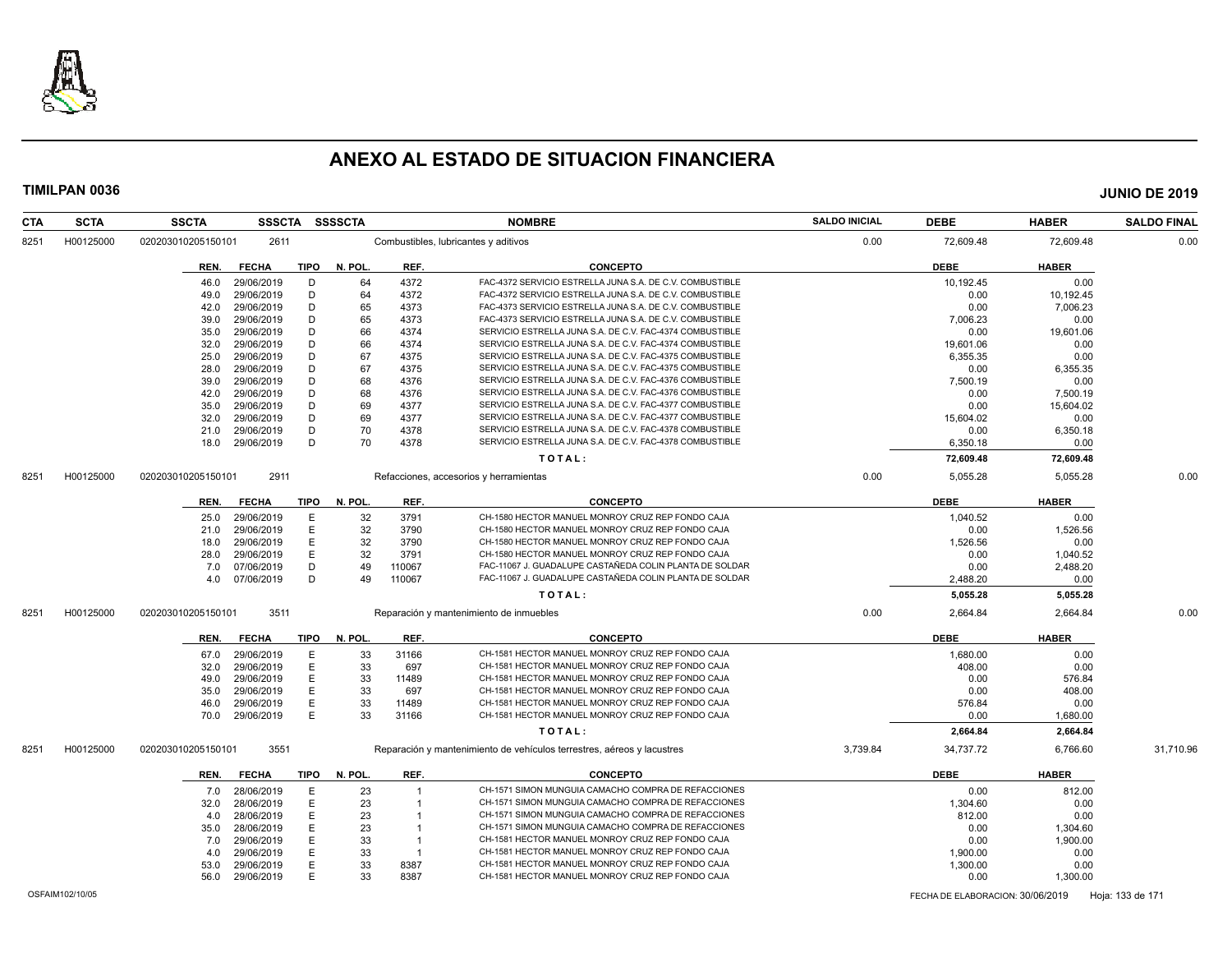

|           | <b>HABER</b> | <b>DEBE</b> | <b>SALDO INICIAL</b> | <b>NOMBRE</b>                                                          |                | SSSCTA SSSSCTA |             |              | <b>SSCTA</b>       | <b>SCTA</b> | <b>CTA</b> |
|-----------|--------------|-------------|----------------------|------------------------------------------------------------------------|----------------|----------------|-------------|--------------|--------------------|-------------|------------|
| 0.00      | 72,609.48    | 72,609.48   | 0.00                 | Combustibles, lubricantes y aditivos                                   |                |                |             | 2611         | 020203010205150101 | H00125000   | 8251       |
|           | <b>HABER</b> | <b>DEBE</b> |                      | <b>CONCEPTO</b>                                                        | REF.           | N. POL         | <b>TIPO</b> | <b>FECHA</b> | REN.               |             |            |
|           | 0.00         | 10,192.45   |                      | FAC-4372 SERVICIO ESTRELLA JUNA S.A. DE C.V. COMBUSTIBLE               | 4372           | 64             | D           | 29/06/2019   | 46.0               |             |            |
|           | 10,192.45    | 0.00        |                      | FAC-4372 SERVICIO ESTRELLA JUNA S.A. DE C.V. COMBUSTIBLE               | 4372           | 64             | D           | 29/06/2019   | 49.0               |             |            |
|           | 7,006.23     | 0.00        |                      | FAC-4373 SERVICIO ESTRELLA JUNA S.A. DE C.V. COMBUSTIBLE               | 4373           | 65             | D           | 29/06/2019   | 42.0               |             |            |
|           | 0.00         | 7,006.23    |                      | FAC-4373 SERVICIO ESTRELLA JUNA S.A. DE C.V. COMBUSTIBLE               | 4373           | 65             | D           | 29/06/2019   | 39.0               |             |            |
|           | 19,601.06    | 0.00        |                      | SERVICIO ESTRELLA JUNA S.A. DE C.V. FAC-4374 COMBUSTIBLE               | 4374           | 66             | D           | 29/06/2019   | 35.0               |             |            |
|           | 0.00         | 19.601.06   |                      | SERVICIO ESTRELLA JUNA S.A. DE C.V. FAC-4374 COMBUSTIBLE               | 4374           | 66             | D           | 29/06/2019   | 32.0               |             |            |
|           | 0.00         | 6,355.35    |                      | SERVICIO ESTRELLA JUNA S.A. DE C.V. FAC-4375 COMBUSTIBLE               | 4375           | 67             | D           | 29/06/2019   | 25.0               |             |            |
|           | 6,355.35     | 0.00        |                      | SERVICIO ESTRELLA JUNA S.A. DE C.V. FAC-4375 COMBUSTIBLE               | 4375           | 67             | D           | 29/06/2019   | 28.0               |             |            |
|           | 0.00         | 7.500.19    |                      | SERVICIO ESTRELLA JUNA S.A. DE C.V. FAC-4376 COMBUSTIBLE               | 4376           | 68             | D           | 29/06/2019   | 39.0               |             |            |
|           | 7,500.19     | 0.00        |                      | SERVICIO ESTRELLA JUNA S.A. DE C.V. FAC-4376 COMBUSTIBLE               | 4376           | 68             | D           | 29/06/2019   | 42.0               |             |            |
|           | 15,604.02    | 0.00        |                      | SERVICIO ESTRELLA JUNA S.A. DE C.V. FAC-4377 COMBUSTIBLE               | 4377           | 69             | D           | 29/06/2019   | 35.0               |             |            |
|           | 0.00         | 15,604.02   |                      | SERVICIO ESTRELLA JUNA S.A. DE C.V. FAC-4377 COMBUSTIBLE               | 4377           | 69             | D           | 29/06/2019   | 32.0               |             |            |
|           | 6,350.18     | 0.00        |                      | SERVICIO ESTRELLA JUNA S.A. DE C.V. FAC-4378 COMBUSTIBLE               | 4378           | 70             | D           | 29/06/2019   | 21.0               |             |            |
|           | 0.00         | 6,350.18    |                      | SERVICIO ESTRELLA JUNA S.A. DE C.V. FAC-4378 COMBUSTIBLE               | 4378           | 70             | D           | 29/06/2019   | 18.0               |             |            |
|           | 72,609.48    | 72,609.48   |                      | TOTAL:                                                                 |                |                |             |              |                    |             |            |
| 0.00      | 5,055.28     | 5,055.28    | 0.00                 | Refacciones, accesorios y herramientas                                 |                |                |             | 2911         | 020203010205150101 | H00125000   | 8251       |
|           | <b>HABER</b> | <b>DEBE</b> |                      | <b>CONCEPTO</b>                                                        | REF.           | N. POL         | <b>TIPO</b> | <b>FECHA</b> | REN.               |             |            |
|           | 0.00         | 1,040.52    |                      | CH-1580 HECTOR MANUEL MONROY CRUZ REP FONDO CAJA                       | 3791           | 32             | E           | 29/06/2019   | 25.0               |             |            |
|           | 1,526.56     | 0.00        |                      | CH-1580 HECTOR MANUEL MONROY CRUZ REP FONDO CAJA                       | 3790           | 32             | E           | 29/06/2019   | 21.0               |             |            |
|           | 0.00         | 1,526.56    |                      | CH-1580 HECTOR MANUEL MONROY CRUZ REP FONDO CAJA                       | 3790           | 32             | E           | 29/06/2019   | 18.0               |             |            |
|           | 1,040.52     | 0.00        |                      | CH-1580 HECTOR MANUEL MONROY CRUZ REP FONDO CAJA                       | 3791           | 32             | E           | 29/06/2019   | 28.0               |             |            |
|           | 2,488.20     | 0.00        |                      | FAC-11067 J. GUADALUPE CASTAÑEDA COLIN PLANTA DE SOLDAR                | 110067         | 49             | D           | 07/06/2019   | 7.0                |             |            |
|           | 0.00         | 2,488.20    |                      | FAC-11067 J. GUADALUPE CASTAÑEDA COLIN PLANTA DE SOLDAR                | 110067         | 49             | D           | 07/06/2019   | 4.0                |             |            |
|           | 5,055.28     | 5,055.28    |                      | TOTAL:                                                                 |                |                |             |              |                    |             |            |
| 0.00      | 2,664.84     | 2,664.84    | 0.00                 | Reparación y mantenimiento de inmuebles                                |                |                |             | 3511         | 020203010205150101 | H00125000   | 8251       |
|           | <b>HABER</b> | <b>DEBE</b> |                      | <b>CONCEPTO</b>                                                        | REF.           | N. POL         | <b>TIPO</b> | <b>FECHA</b> | REN.               |             |            |
|           | 0.00         | 1,680.00    |                      | CH-1581 HECTOR MANUEL MONROY CRUZ REP FONDO CAJA                       | 31166          | 33             | Ε           | 29/06/2019   | 67.0               |             |            |
|           | 0.00         | 408.00      |                      | CH-1581 HECTOR MANUEL MONROY CRUZ REP FONDO CAJA                       | 697            | 33             | Ε           | 29/06/2019   | 32.0               |             |            |
|           |              |             |                      |                                                                        |                |                |             |              |                    |             |            |
|           | 576.84       | 0.00        |                      | CH-1581 HECTOR MANUEL MONROY CRUZ REP FONDO CAJA                       | 11489          | 33             | E           | 29/06/2019   | 49.0               |             |            |
|           | 408.00       | 0.00        |                      | CH-1581 HECTOR MANUEL MONROY CRUZ REP FONDO CAJA                       | 697            | 33             | Ε           | 29/06/2019   | 35.0               |             |            |
|           | 0.00         | 576.84      |                      | CH-1581 HECTOR MANUEL MONROY CRUZ REP FONDO CAJA                       | 11489          | 33             | E           | 29/06/2019   | 46.0               |             |            |
|           | 1,680.00     | 0.00        |                      | CH-1581 HECTOR MANUEL MONROY CRUZ REP FONDO CAJA                       | 31166          | 33             | E           | 29/06/2019   | 70.0               |             |            |
|           | 2,664.84     | 2,664.84    |                      | TOTAL:                                                                 |                |                |             |              |                    |             |            |
| 31,710.96 | 6,766.60     | 34,737.72   | 3,739.84             | Reparación y mantenimiento de vehículos terrestres, aéreos y lacustres |                |                |             | 3551         | 020203010205150101 | H00125000   | 8251       |
|           | <b>HABER</b> | <b>DEBE</b> |                      | <b>CONCEPTO</b>                                                        | REF.           | N. POL         | <b>TIPO</b> | <b>FECHA</b> | REN.               |             |            |
|           | 812.00       | 0.00        |                      | CH-1571 SIMON MUNGUIA CAMACHO COMPRA DE REFACCIONES                    | $\overline{1}$ | 23             | Ε           | 28/06/2019   | 7.0                |             |            |
|           | 0.00         | 1,304.60    |                      | CH-1571 SIMON MUNGUIA CAMACHO COMPRA DE REFACCIONES                    | $\overline{1}$ | 23             | E           | 28/06/2019   | 32.0               |             |            |
|           | 0.00         | 812.00      |                      | CH-1571 SIMON MUNGUIA CAMACHO COMPRA DE REFACCIONES                    | $\overline{1}$ | 23             | Ε           | 28/06/2019   | 4.0                |             |            |
|           | 1,304.60     | 0.00        |                      | CH-1571 SIMON MUNGUIA CAMACHO COMPRA DE REFACCIONES                    |                | 23             | Ε           | 28/06/2019   | 35.0               |             |            |
|           | 1,900.00     | 0.00        |                      | CH-1581 HECTOR MANUEL MONROY CRUZ REP FONDO CAJA                       | $\overline{1}$ | 33             | Ε           | 29/06/2019   | 7.0                |             |            |
|           | 0.00         | 1,900.00    |                      | CH-1581 HECTOR MANUEL MONROY CRUZ REP FONDO CAJA                       | $\overline{1}$ | 33             | E           | 29/06/2019   | 4.0                |             |            |
|           | 0.00         | 1,300.00    |                      | CH-1581 HECTOR MANUEL MONROY CRUZ REP FONDO CAJA                       | 8387           | 33<br>33       | E<br>E      | 29/06/2019   | 53.0               |             |            |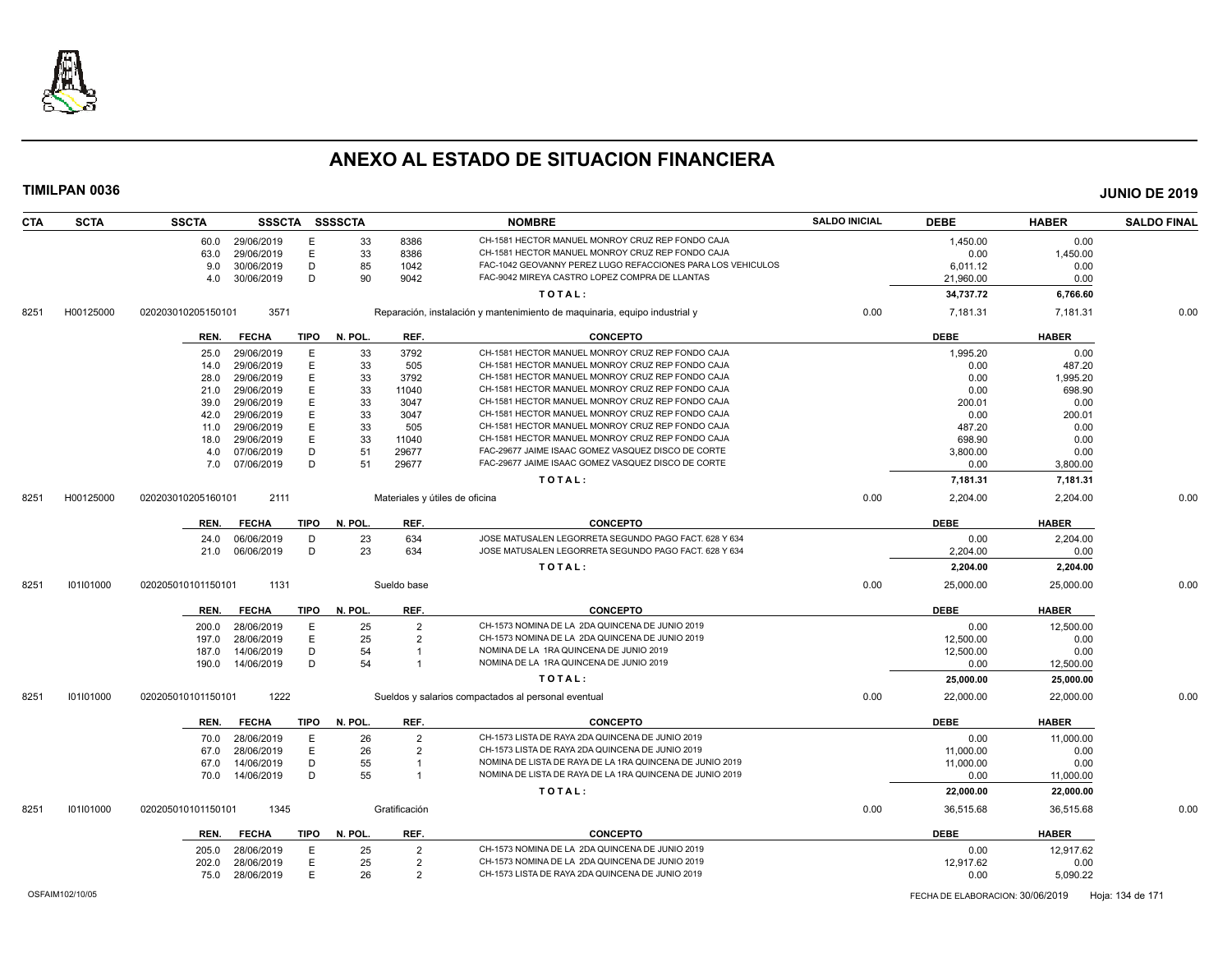

| <b>CTA</b> | <b>SCTA</b> | <b>SSCTA</b>         |             | SSSCTA SSSSCTA |                | <b>NOMBRE</b>                                                              | <b>SALDO INICIAL</b> | <b>DEBE</b> | <b>HABER</b> | <b>SALDO FINAL</b> |
|------------|-------------|----------------------|-------------|----------------|----------------|----------------------------------------------------------------------------|----------------------|-------------|--------------|--------------------|
|            |             | 29/06/2019<br>60.0   | E           | 33             | 8386           | CH-1581 HECTOR MANUEL MONROY CRUZ REP FONDO CAJA                           |                      | 1,450.00    | 0.00         |                    |
|            |             | 29/06/2019<br>63.0   | E           | 33             | 8386           | CH-1581 HECTOR MANUEL MONROY CRUZ REP FONDO CAJA                           |                      | 0.00        | 1,450.00     |                    |
|            |             | 9.0<br>30/06/2019    | D           | 85             | 1042           | FAC-1042 GEOVANNY PEREZ LUGO REFACCIONES PARA LOS VEHICULOS                |                      | 6,011.12    | 0.00         |                    |
|            |             | 30/06/2019<br>4.0    | D           | 90             | 9042           | FAC-9042 MIREYA CASTRO LOPEZ COMPRA DE LLANTAS                             |                      | 21,960.00   | 0.00         |                    |
|            |             |                      |             |                |                | TOTAL:                                                                     |                      | 34,737.72   | 6,766.60     |                    |
| 8251       | H00125000   | 020203010205150101   | 3571        |                |                | Reparación, instalación y mantenimiento de maquinaria, equipo industrial y | 0.00                 | 7,181.31    | 7,181.31     | 0.00               |
|            |             | REN.<br><b>FECHA</b> | TIPO        | N. POL.        | REF.           | <b>CONCEPTO</b>                                                            |                      | <b>DEBE</b> | <b>HABER</b> |                    |
|            |             | 29/06/2019<br>25.0   | E           | 33             | 3792           | CH-1581 HECTOR MANUEL MONROY CRUZ REP FONDO CAJA                           |                      | 1,995.20    | 0.00         |                    |
|            |             | 29/06/2019<br>14.0   | E           | 33             | 505            | CH-1581 HECTOR MANUEL MONROY CRUZ REP FONDO CAJA                           |                      | 0.00        | 487.20       |                    |
|            |             | 29/06/2019<br>28.0   | E           | 33             | 3792           | CH-1581 HECTOR MANUEL MONROY CRUZ REP FONDO CAJA                           |                      | 0.00        | 1,995.20     |                    |
|            |             | 29/06/2019<br>21.0   | E           | 33             | 11040          | CH-1581 HECTOR MANUEL MONROY CRUZ REP FONDO CAJA                           |                      | 0.00        | 698.90       |                    |
|            |             | 29/06/2019<br>39.0   | E           | 33             | 3047           | CH-1581 HECTOR MANUEL MONROY CRUZ REP FONDO CAJA                           |                      | 200.01      | 0.00         |                    |
|            |             | 29/06/2019<br>42.0   | E           | 33             | 3047           | CH-1581 HECTOR MANUEL MONROY CRUZ REP FONDO CAJA                           |                      | 0.00        | 200.01       |                    |
|            |             | 29/06/2019<br>11.0   | E           | 33             | 505            | CH-1581 HECTOR MANUEL MONROY CRUZ REP FONDO CAJA                           |                      | 487.20      | 0.00         |                    |
|            |             | 29/06/2019<br>18.0   | E           | 33             | 11040          | CH-1581 HECTOR MANUEL MONROY CRUZ REP FONDO CAJA                           |                      | 698.90      | 0.00         |                    |
|            |             | 07/06/2019<br>4.0    | D           | 51             | 29677          | FAC-29677 JAIME ISAAC GOMEZ VASQUEZ DISCO DE CORTE                         |                      | 3,800.00    | 0.00         |                    |
|            |             | 07/06/2019<br>7.0    | D           | 51             | 29677          | FAC-29677 JAIME ISAAC GOMEZ VASQUEZ DISCO DE CORTE                         |                      | 0.00        | 3,800.00     |                    |
|            |             |                      |             |                |                | TOTAL:                                                                     |                      |             |              |                    |
|            |             |                      |             |                |                |                                                                            |                      | 7,181.31    | 7,181.31     |                    |
| 8251       | H00125000   | 020203010205160101   | 2111        |                |                | Materiales y útiles de oficina                                             | 0.00                 | 2,204.00    | 2,204.00     | 0.00               |
|            |             | <b>FECHA</b><br>REN. | TIPO        | N. POL.        | REF.           | <b>CONCEPTO</b>                                                            |                      | <b>DEBE</b> | <b>HABER</b> |                    |
|            |             | 06/06/2019<br>24.0   | D           | 23             | 634            | JOSE MATUSALEN LEGORRETA SEGUNDO PAGO FACT. 628 Y 634                      |                      | 0.00        | 2,204.00     |                    |
|            |             | 21.0<br>06/06/2019   | D           | 23             | 634            | JOSE MATUSALEN LEGORRETA SEGUNDO PAGO FACT. 628 Y 634                      |                      | 2.204.00    | 0.00         |                    |
|            |             |                      |             |                |                | TOTAL:                                                                     |                      | 2,204.00    | 2,204.00     |                    |
|            |             |                      |             |                |                |                                                                            |                      |             |              |                    |
| 8251       | 101101000   | 020205010101150101   | 1131        |                | Sueldo base    |                                                                            | 0.00                 | 25,000.00   | 25,000.00    | 0.00               |
|            |             | <b>FECHA</b><br>REN. | TIPO        | N. POL.        | REF.           | <b>CONCEPTO</b>                                                            |                      | <b>DEBE</b> | <b>HABER</b> |                    |
|            |             | 28/06/2019<br>200.0  | E           | 25             | $\overline{2}$ | CH-1573 NOMINA DE LA 2DA QUINCENA DE JUNIO 2019                            |                      | 0.00        | 12,500.00    |                    |
|            |             | 28/06/2019<br>197.0  | E           | 25             | $\overline{2}$ | CH-1573 NOMINA DE LA 2DA QUINCENA DE JUNIO 2019                            |                      | 12,500.00   | 0.00         |                    |
|            |             | 14/06/2019<br>187.0  | D           | 54             |                | NOMINA DE LA 1RA QUINCENA DE JUNIO 2019                                    |                      | 12,500.00   | 0.00         |                    |
|            |             | 14/06/2019<br>190.0  | D           | 54             | -1             | NOMINA DE LA 1RA QUINCENA DE JUNIO 2019                                    |                      | 0.00        | 12,500.00    |                    |
|            |             |                      |             |                |                | TOTAL:                                                                     |                      | 25,000.00   | 25,000.00    |                    |
| 8251       | 101101000   | 020205010101150101   | 1222        |                |                | Sueldos y salarios compactados al personal eventual                        | 0.00                 | 22,000.00   | 22,000.00    | 0.00               |
|            |             | REN.<br><b>FECHA</b> | TIPO        | N. POL.        | REF.           | <b>CONCEPTO</b>                                                            |                      | <b>DEBE</b> | <b>HABER</b> |                    |
|            |             | 28/06/2019<br>70.0   | E           | 26             | $\overline{2}$ | CH-1573 LISTA DE RAYA 2DA QUINCENA DE JUNIO 2019                           |                      | 0.00        | 11,000.00    |                    |
|            |             | 28/06/2019<br>67.0   | E           | 26             | $\overline{2}$ | CH-1573 LISTA DE RAYA 2DA QUINCENA DE JUNIO 2019                           |                      | 11,000.00   | 0.00         |                    |
|            |             | 67.0<br>14/06/2019   | D           | 55             | -1             | NOMINA DE LISTA DE RAYA DE LA 1RA QUINCENA DE JUNIO 2019                   |                      | 11,000.00   | 0.00         |                    |
|            |             | 14/06/2019<br>70.0   | D           | 55             | $\overline{1}$ | NOMINA DE LISTA DE RAYA DE LA 1RA QUINCENA DE JUNIO 2019                   |                      | 0.00        | 11,000.00    |                    |
|            |             |                      |             |                |                | TOTAL:                                                                     |                      | 22,000.00   | 22,000.00    |                    |
| 8251       | 101101000   | 020205010101150101   | 1345        |                | Gratificación  |                                                                            | 0.00                 | 36,515.68   | 36.515.68    | 0.00               |
|            |             |                      |             |                |                |                                                                            |                      |             |              |                    |
|            |             | <b>FECHA</b><br>REN. | <b>TIPO</b> | N. POL.        | REF.           | <b>CONCEPTO</b>                                                            |                      | <b>DEBE</b> | <b>HABER</b> |                    |
|            |             | 28/06/2019<br>205.0  | E           | 25             | $\overline{2}$ | CH-1573 NOMINA DE LA 2DA QUINCENA DE JUNIO 2019                            |                      | 0.00        | 12,917.62    |                    |
|            |             | 28/06/2019<br>202.0  | E           | 25             | $\overline{2}$ | CH-1573 NOMINA DE LA 2DA QUINCENA DE JUNIO 2019                            |                      | 12,917.62   | 0.00         |                    |
|            |             | 75.0<br>28/06/2019   | E           | 26             | $\overline{2}$ | CH-1573 LISTA DE RAYA 2DA QUINCENA DE JUNIO 2019                           |                      | 0.00        | 5,090.22     |                    |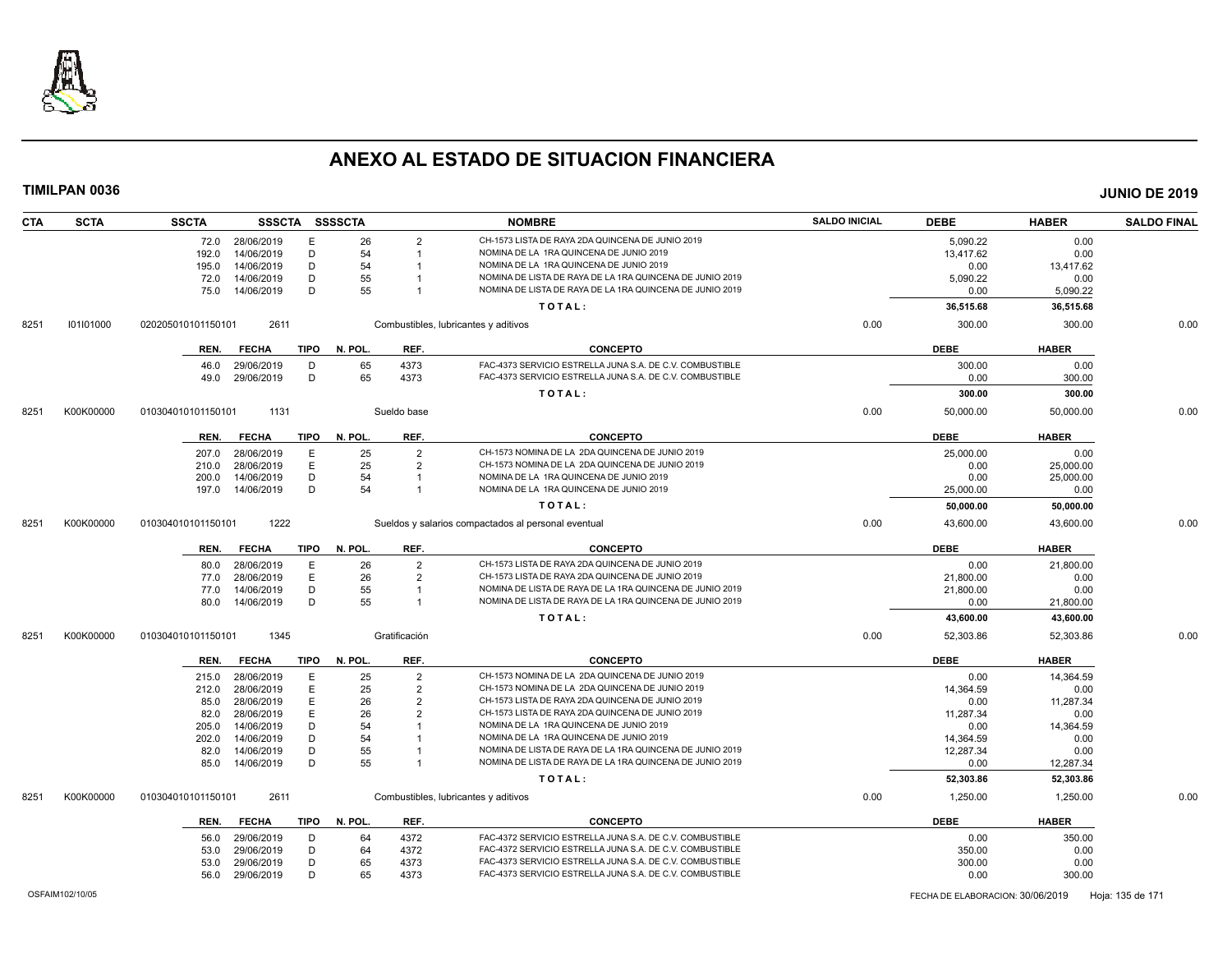

| <b>CTA</b> | <b>SCTA</b> | <b>SSCTA</b>       | <b>SSSCTA</b>   |             | SSSSCTA |                | <b>NOMBRE</b>                                            | <b>SALDO INICIAL</b> | <b>DEBE</b> | <b>HABER</b> | <b>SALDO FINAL</b> |
|------------|-------------|--------------------|-----------------|-------------|---------|----------------|----------------------------------------------------------|----------------------|-------------|--------------|--------------------|
|            |             |                    | 72.0 28/06/2019 | Е           | 26      | $\overline{2}$ | CH-1573 LISTA DE RAYA 2DA QUINCENA DE JUNIO 2019         |                      | 5,090.22    | 0.00         |                    |
|            |             | 192.0              | 14/06/2019      | D           | 54      | -1             | NOMINA DE LA 1RA QUINCENA DE JUNIO 2019                  |                      | 13,417.62   | 0.00         |                    |
|            |             | 195.0              | 14/06/2019      | D           | 54      |                | NOMINA DE LA 1RA QUINCENA DE JUNIO 2019                  |                      | 0.00        | 13.417.62    |                    |
|            |             | 72.0               | 14/06/2019      | D           | 55      |                | NOMINA DE LISTA DE RAYA DE LA 1RA QUINCENA DE JUNIO 2019 |                      | 5,090.22    | 0.00         |                    |
|            |             | 75.0               | 14/06/2019      | D           | 55      |                | NOMINA DE LISTA DE RAYA DE LA 1RA QUINCENA DE JUNIO 2019 |                      | 0.00        | 5,090.22     |                    |
|            |             |                    |                 |             |         |                | TOTAL:                                                   |                      | 36,515.68   | 36,515.68    |                    |
| 8251       | 101101000   | 020205010101150101 | 2611            |             |         |                | Combustibles, lubricantes y aditivos                     | 0.00                 | 300.00      | 300.00       | 0.00               |
|            |             | REN.               | <b>FECHA</b>    | <b>TIPO</b> | N. POL. | REF.           | <b>CONCEPTO</b>                                          |                      | <b>DEBE</b> | <b>HABER</b> |                    |
|            |             | 46.0               | 29/06/2019      | D           | 65      | 4373           | FAC-4373 SERVICIO ESTRELLA JUNA S.A. DE C.V. COMBUSTIBLE |                      | 300.00      | 0.00         |                    |
|            |             | 49.0               | 29/06/2019      | D           | 65      | 4373           | FAC-4373 SERVICIO ESTRELLA JUNA S.A. DE C.V. COMBUSTIBLE |                      | 0.00        | 300.00       |                    |
|            |             |                    |                 |             |         |                | TOTAL:                                                   |                      | 300.00      | 300.00       |                    |
| 8251       | K00K00000   | 010304010101150101 | 1131            |             |         | Sueldo base    |                                                          | 0.00                 | 50.000.00   | 50.000.00    | 0.00               |
|            |             | REN.               | <b>FECHA</b>    | <b>TIPO</b> | N. POL. | REF.           | <b>CONCEPTO</b>                                          |                      | <b>DEBE</b> | <b>HABER</b> |                    |
|            |             | 207.0              | 28/06/2019      | Ε           | 25      | $\overline{2}$ | CH-1573 NOMINA DE LA 2DA QUINCENA DE JUNIO 2019          |                      | 25,000.00   | 0.00         |                    |
|            |             | 210.0              | 28/06/2019      | Ε           | 25      | $\overline{2}$ | CH-1573 NOMINA DE LA 2DA QUINCENA DE JUNIO 2019          |                      | 0.00        | 25,000.00    |                    |
|            |             | 200.0              | 14/06/2019      | D           | 54      | $\overline{1}$ | NOMINA DE LA 1RA QUINCENA DE JUNIO 2019                  |                      | 0.00        | 25,000.00    |                    |
|            |             | 197.0              | 14/06/2019      | D           | 54      | $\overline{1}$ | NOMINA DE LA 1RA QUINCENA DE JUNIO 2019                  |                      | 25,000.00   | 0.00         |                    |
|            |             |                    |                 |             |         |                | TOTAL:                                                   |                      | 50,000.00   | 50,000.00    |                    |
| 8251       | K00K00000   | 010304010101150101 | 1222            |             |         |                | Sueldos y salarios compactados al personal eventual      | 0.00                 | 43,600.00   | 43,600.00    | 0.00               |
|            |             |                    |                 |             |         |                |                                                          |                      |             |              |                    |
|            |             | REN.               | <b>FECHA</b>    | <b>TIPO</b> | N. POL. | REF.           | <b>CONCEPTO</b>                                          |                      | <b>DEBE</b> | <b>HABER</b> |                    |
|            |             | 80.0               | 28/06/2019      | Ε           | 26      | $\overline{2}$ | CH-1573 LISTA DE RAYA 2DA QUINCENA DE JUNIO 2019         |                      | 0.00        | 21,800.00    |                    |
|            |             | 77.0               | 28/06/2019      | E           | 26      | $\overline{2}$ | CH-1573 LISTA DE RAYA 2DA QUINCENA DE JUNIO 2019         |                      | 21,800.00   | 0.00         |                    |
|            |             | 77.0               | 14/06/2019      | D           | 55      | -1             | NOMINA DE LISTA DE RAYA DE LA 1RA QUINCENA DE JUNIO 2019 |                      | 21,800.00   | 0.00         |                    |
|            |             | 80.0               | 14/06/2019      | D           | 55      | $\overline{1}$ | NOMINA DE LISTA DE RAYA DE LA 1RA QUINCENA DE JUNIO 2019 |                      | 0.00        | 21,800.00    |                    |
|            |             |                    |                 |             |         |                | TOTAL:                                                   |                      | 43,600.00   | 43,600.00    |                    |
| 8251       | K00K00000   | 010304010101150101 | 1345            |             |         | Gratificación  |                                                          | 0.00                 | 52,303.86   | 52,303.86    | 0.00               |
|            |             | REN.               | <b>FECHA</b>    | <b>TIPO</b> | N. POL. | REF.           | <b>CONCEPTO</b>                                          |                      | <b>DEBE</b> | <b>HABER</b> |                    |
|            |             | 215.0              | 28/06/2019      | E           | 25      | $\overline{2}$ | CH-1573 NOMINA DE LA 2DA QUINCENA DE JUNIO 2019          |                      | 0.00        | 14,364.59    |                    |
|            |             | 212.0              | 28/06/2019      | E           | 25      | $\overline{2}$ | CH-1573 NOMINA DE LA 2DA QUINCENA DE JUNIO 2019          |                      | 14.364.59   | 0.00         |                    |
|            |             | 85.0               | 28/06/2019      | Ε           | 26      | $\overline{2}$ | CH-1573 LISTA DE RAYA 2DA QUINCENA DE JUNIO 2019         |                      | 0.00        | 11,287.34    |                    |
|            |             | 82.0               | 28/06/2019      | E           | 26      |                | CH-1573 LISTA DE RAYA 2DA QUINCENA DE JUNIO 2019         |                      | 11,287.34   | 0.00         |                    |
|            |             | 205.0              | 14/06/2019      | D           | 54      |                | NOMINA DE LA 1RA QUINCENA DE JUNIO 2019                  |                      | 0.00        | 14,364.59    |                    |
|            |             | 202.0              | 14/06/2019      | D           | 54      |                | NOMINA DE LA 1RA QUINCENA DE JUNIO 2019                  |                      | 14,364.59   | 0.00         |                    |
|            |             | 82.0               | 14/06/2019      | D           | 55      |                | NOMINA DE LISTA DE RAYA DE LA 1RA QUINCENA DE JUNIO 2019 |                      | 12,287.34   | 0.00         |                    |
|            |             | 85.0               | 14/06/2019      | D           | 55      | -1             | NOMINA DE LISTA DE RAYA DE LA 1RA QUINCENA DE JUNIO 2019 |                      | 0.00        | 12,287.34    |                    |
|            |             |                    |                 |             |         |                | TOTAL:                                                   |                      | 52,303.86   | 52,303.86    |                    |
| 8251       | K00K00000   | 010304010101150101 | 2611            |             |         |                | Combustibles, lubricantes y aditivos                     | 0.00                 | 1,250.00    | 1,250.00     | 0.00               |
|            |             | REN.               | <b>FECHA</b>    | <b>TIPO</b> | N. POL. | REF.           | <b>CONCEPTO</b>                                          |                      | <b>DEBE</b> | <b>HABER</b> |                    |
|            |             | 56.0               | 29/06/2019      | D           | 64      | 4372           | FAC-4372 SERVICIO ESTRELLA JUNA S.A. DE C.V. COMBUSTIBLE |                      | 0.00        | 350.00       |                    |
|            |             | 53.0               | 29/06/2019      | D           | 64      | 4372           | FAC-4372 SERVICIO ESTRELLA JUNA S.A. DE C.V. COMBUSTIBLE |                      | 350.00      | 0.00         |                    |
|            |             | 53.0               | 29/06/2019      | D           | 65      | 4373           | FAC-4373 SERVICIO ESTRELLA JUNA S.A. DE C.V. COMBUSTIBLE |                      | 300.00      | 0.00         |                    |
|            |             | 56.0               | 29/06/2019      | D           | 65      | 4373           | FAC-4373 SERVICIO ESTRELLA JUNA S.A. DE C.V. COMBUSTIBLE |                      | 0.00        | 300.00       |                    |
|            |             |                    |                 |             |         |                |                                                          |                      |             |              |                    |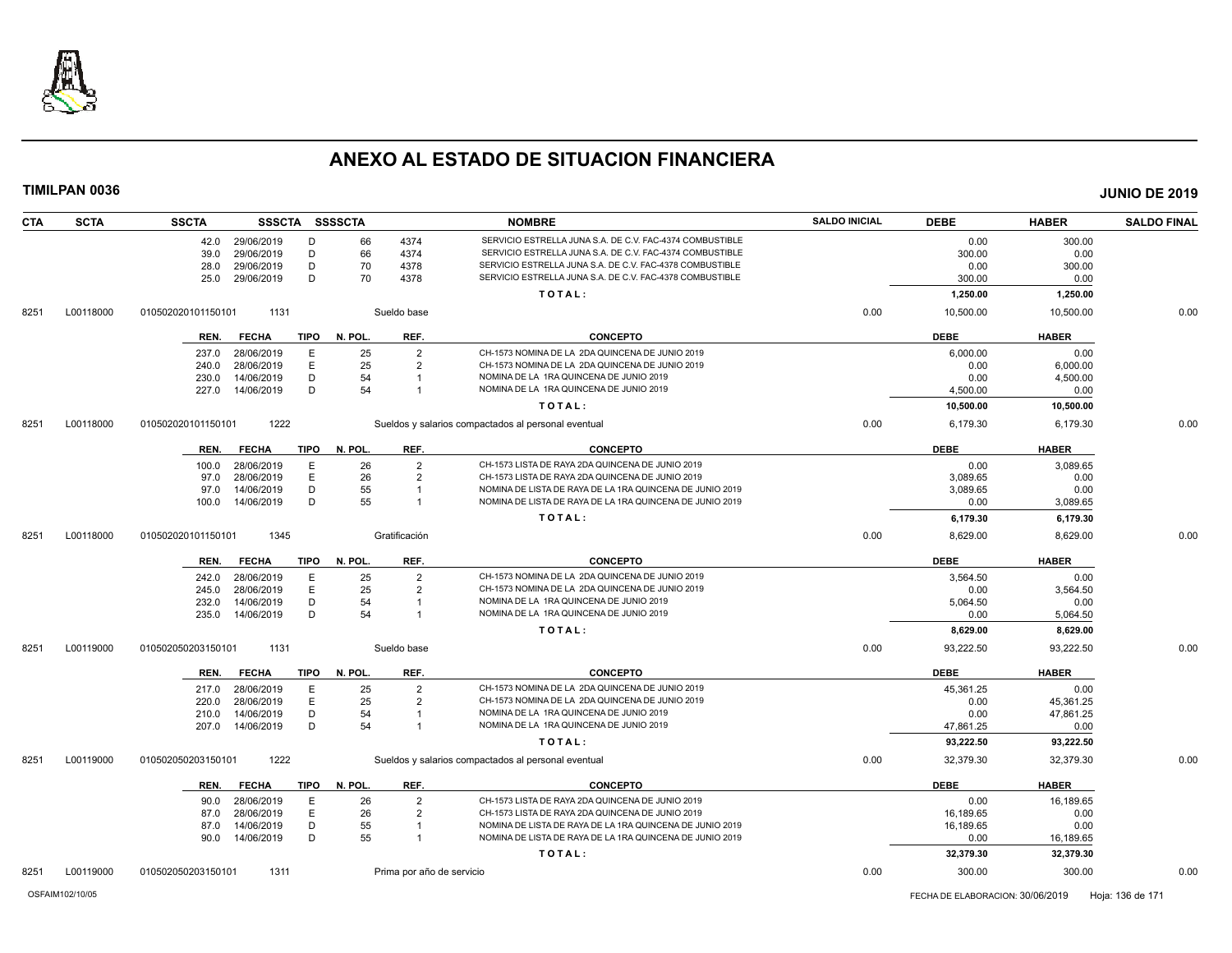

| <b>CTA</b><br><b>SCTA</b> | <b>SSCTA</b>               |             | SSSCTA SSSSCTA |                           | <b>NOMBRE</b>                                            | <b>SALDO INICIAL</b> | <b>DEBE</b> | <b>HABER</b> | <b>SALDO FINAL</b> |
|---------------------------|----------------------------|-------------|----------------|---------------------------|----------------------------------------------------------|----------------------|-------------|--------------|--------------------|
|                           | 29/06/2019<br>42.0         | D           | 66             | 4374                      | SERVICIO ESTRELLA JUNA S.A. DE C.V. FAC-4374 COMBUSTIBLE |                      | 0.00        | 300.00       |                    |
|                           | 29/06/2019<br>39.0         | D           | 66             | 4374                      | SERVICIO ESTRELLA JUNA S.A. DE C.V. FAC-4374 COMBUSTIBLE |                      | 300.00      | 0.00         |                    |
|                           | 29/06/2019<br>28.0         | D           | 70             | 4378                      | SERVICIO ESTRELLA JUNA S.A. DE C.V. FAC-4378 COMBUSTIBLE |                      | 0.00        | 300.00       |                    |
|                           | 29/06/2019<br>25.0         | D           | 70             | 4378                      | SERVICIO ESTRELLA JUNA S.A. DE C.V. FAC-4378 COMBUSTIBLE |                      | 300.00      | 0.00         |                    |
|                           |                            |             |                |                           | TOTAL:                                                   |                      | 1,250.00    | 1,250.00     |                    |
| L00118000<br>8251         | 010502020101150101<br>1131 |             |                | Sueldo base               |                                                          | 0.00                 | 10,500.00   | 10,500.00    | 0.00               |
|                           | <b>FECHA</b><br>REN.       | <b>TIPO</b> | N. POL.        | REF.                      | <b>CONCEPTO</b>                                          |                      | <b>DEBE</b> | <b>HABER</b> |                    |
|                           | 237.0<br>28/06/2019        | E           | 25             | $\overline{2}$            | CH-1573 NOMINA DE LA 2DA QUINCENA DE JUNIO 2019          |                      | 6,000.00    | 0.00         |                    |
|                           | 28/06/2019<br>240.0        | Ε           | 25             | $\overline{2}$            | CH-1573 NOMINA DE LA 2DA QUINCENA DE JUNIO 2019          |                      | 0.00        | 6,000.00     |                    |
|                           | 14/06/2019<br>230.0        | D           | 54             | $\overline{1}$            | NOMINA DE LA 1RA QUINCENA DE JUNIO 2019                  |                      | 0.00        | 4,500.00     |                    |
|                           | 227.0<br>14/06/2019        | D           | 54             |                           | NOMINA DE LA 1RA QUINCENA DE JUNIO 2019                  |                      | 4,500.00    | 0.00         |                    |
|                           |                            |             |                |                           | TOTAL:                                                   |                      | 10,500.00   | 10,500.00    |                    |
| L00118000<br>8251         | 1222<br>010502020101150101 |             |                |                           | Sueldos y salarios compactados al personal eventual      | 0.00                 | 6,179.30    | 6,179.30     | 0.00               |
|                           | <b>FECHA</b><br>REN.       | <b>TIPO</b> | N. POL.        | REF.                      | <b>CONCEPTO</b>                                          |                      | <b>DEBE</b> | <b>HABER</b> |                    |
|                           | 28/06/2019<br>100.0        | E           | 26             | $\overline{2}$            | CH-1573 LISTA DE RAYA 2DA QUINCENA DE JUNIO 2019         |                      | 0.00        | 3,089.65     |                    |
|                           | 28/06/2019<br>97.0         | E           | 26             | $\overline{2}$            | CH-1573 LISTA DE RAYA 2DA QUINCENA DE JUNIO 2019         |                      | 3,089.65    | 0.00         |                    |
|                           | 14/06/2019<br>97.0         | D           | 55             |                           | NOMINA DE LISTA DE RAYA DE LA 1RA QUINCENA DE JUNIO 2019 |                      | 3,089.65    | 0.00         |                    |
|                           | 14/06/2019<br>100.0        | D           | 55             | -1                        | NOMINA DE LISTA DE RAYA DE LA 1RA QUINCENA DE JUNIO 2019 |                      | 0.00        | 3,089.65     |                    |
|                           |                            |             |                |                           | TOTAL:                                                   |                      | 6,179.30    | 6,179.30     |                    |
| 8251<br>L00118000         | 1345<br>010502020101150101 |             |                | Gratificación             |                                                          | 0.00                 | 8,629.00    | 8,629.00     | 0.00               |
|                           | REN.<br><b>FECHA</b>       | <b>TIPO</b> | N. POL.        | REF.                      | <b>CONCEPTO</b>                                          |                      | <b>DEBE</b> | <b>HABER</b> |                    |
|                           | 28/06/2019<br>242.0        | E           | 25             | $\overline{2}$            | CH-1573 NOMINA DE LA 2DA QUINCENA DE JUNIO 2019          |                      | 3,564.50    | 0.00         |                    |
|                           | 245.0<br>28/06/2019        | E           | 25             | $\overline{2}$            | CH-1573 NOMINA DE LA 2DA QUINCENA DE JUNIO 2019          |                      | 0.00        | 3,564.50     |                    |
|                           | 14/06/2019<br>232.0        | D           | 54             |                           | NOMINA DE LA 1RA QUINCENA DE JUNIO 2019                  |                      | 5,064.50    | 0.00         |                    |
|                           | 14/06/2019<br>235.0        | D           | 54             | $\overline{1}$            | NOMINA DE LA 1RA QUINCENA DE JUNIO 2019                  |                      | 0.00        | 5,064.50     |                    |
|                           |                            |             |                |                           | TOTAL:                                                   |                      | 8,629.00    | 8,629.00     |                    |
| L00119000<br>8251         | 1131<br>010502050203150101 |             |                | Sueldo base               |                                                          | 0.00                 | 93.222.50   | 93.222.50    | 0.00               |
|                           | REN.<br><b>FECHA</b>       | <b>TIPO</b> | N. POL.        | REF.                      | <b>CONCEPTO</b>                                          |                      | <b>DEBE</b> | <b>HABER</b> |                    |
|                           | 28/06/2019<br>217.0        | E           | 25             | $\overline{2}$            | CH-1573 NOMINA DE LA 2DA QUINCENA DE JUNIO 2019          |                      | 45,361.25   | 0.00         |                    |
|                           | 28/06/2019<br>220.0        | Ε           | 25             | $\overline{2}$            | CH-1573 NOMINA DE LA 2DA QUINCENA DE JUNIO 2019          |                      | 0.00        | 45,361.25    |                    |
|                           | 14/06/2019<br>210.0        | D           | 54             |                           | NOMINA DE LA 1RA QUINCENA DE JUNIO 2019                  |                      | 0.00        | 47,861.25    |                    |
|                           | 14/06/2019<br>207.0        | D           | 54             |                           | NOMINA DE LA 1RA QUINCENA DE JUNIO 2019                  |                      | 47,861.25   | 0.00         |                    |
|                           |                            |             |                |                           | TOTAL:                                                   |                      | 93,222.50   | 93,222.50    |                    |
| L00119000<br>8251         | 1222<br>010502050203150101 |             |                |                           | Sueldos y salarios compactados al personal eventual      | 0.00                 | 32,379.30   | 32,379.30    | 0.00               |
|                           | <b>FECHA</b><br>REN.       | <b>TIPO</b> | N. POL.        | REF.                      | <b>CONCEPTO</b>                                          |                      | <b>DEBE</b> | <b>HABER</b> |                    |
|                           | 28/06/2019<br>90.0         | E           | 26             | 2                         | CH-1573 LISTA DE RAYA 2DA QUINCENA DE JUNIO 2019         |                      | 0.00        | 16,189.65    |                    |
|                           | 28/06/2019<br>87.0         | E           | 26             | 2                         | CH-1573 LISTA DE RAYA 2DA QUINCENA DE JUNIO 2019         |                      | 16.189.65   | 0.00         |                    |
|                           | 14/06/2019<br>87.0         | D           | 55             | -1                        | NOMINA DE LISTA DE RAYA DE LA 1RA QUINCENA DE JUNIO 2019 |                      | 16,189.65   | 0.00         |                    |
|                           | 14/06/2019<br>90.0         | D           | 55             | $\mathbf{1}$              | NOMINA DE LISTA DE RAYA DE LA 1RA QUINCENA DE JUNIO 2019 |                      | 0.00        | 16,189.65    |                    |
|                           |                            |             |                |                           | TOTAL:                                                   |                      | 32,379.30   | 32,379.30    |                    |
| 8251<br>L00119000         | 1311<br>010502050203150101 |             |                | Prima por año de servicio |                                                          | 0.00                 | 300.00      | 300.00       | 0.00               |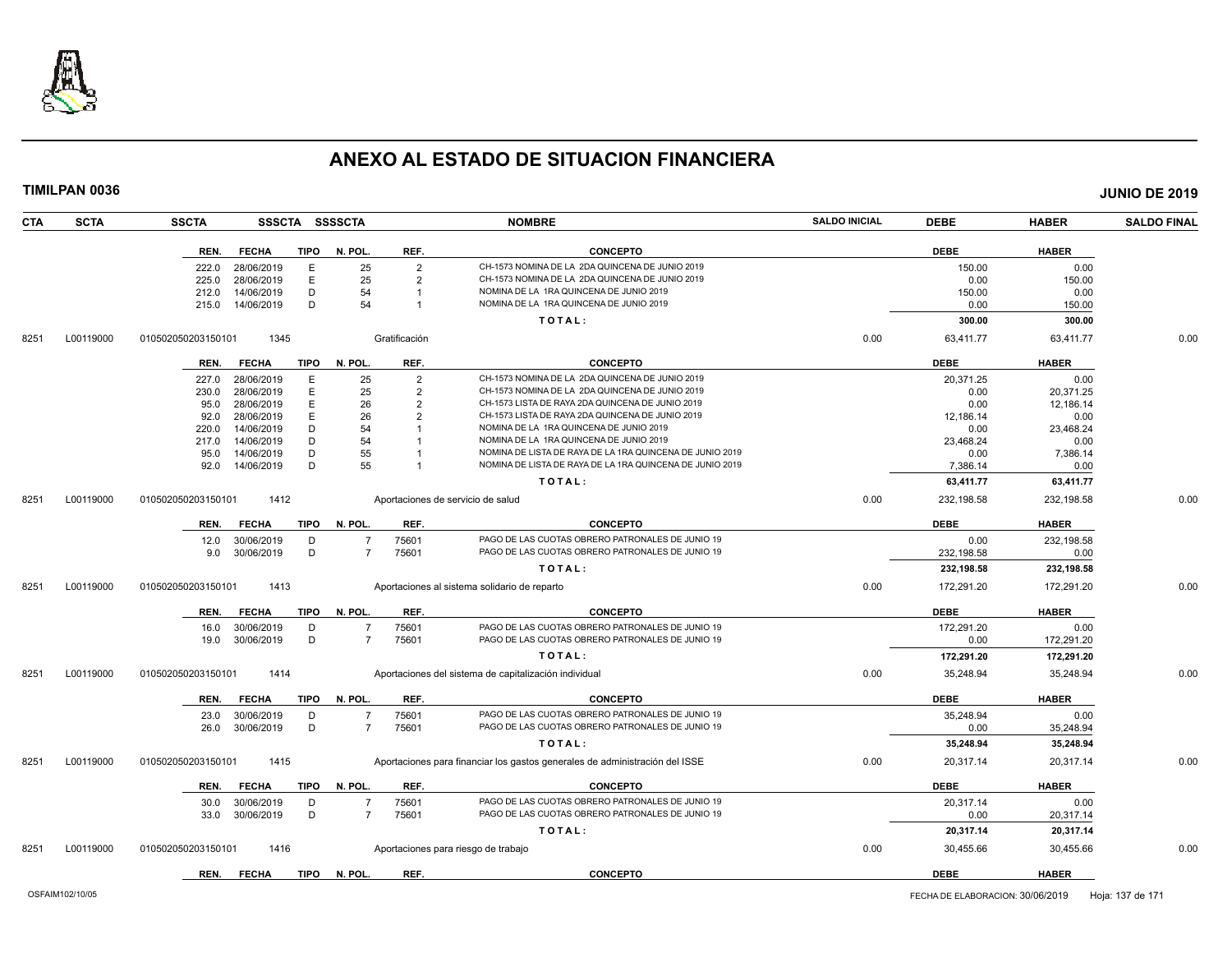

| <b>CTA</b> | <b>SCTA</b> | <b>SSCTA</b><br><b>SSSCTA</b>       | <b>SSSSCTA</b> |                | <b>NOMBRE</b>                                                               | <b>SALDO INICIAL</b> | <b>DEBE</b> | <b>HABER</b> | <b>SALDO FINAL</b> |
|------------|-------------|-------------------------------------|----------------|----------------|-----------------------------------------------------------------------------|----------------------|-------------|--------------|--------------------|
|            |             | REN.<br><b>FECHA</b><br><b>TIPO</b> | N. POL.        | REF.           | <b>CONCEPTO</b>                                                             |                      | <b>DEBE</b> | <b>HABER</b> |                    |
|            |             | 28/06/2019<br>E<br>222.0            | 25             | $\overline{2}$ | CH-1573 NOMINA DE LA 2DA QUINCENA DE JUNIO 2019                             |                      | 150.00      | 0.00         |                    |
|            |             | Ε<br>28/06/2019<br>225.0            | 25             | $\overline{2}$ | CH-1573 NOMINA DE LA 2DA QUINCENA DE JUNIO 2019                             |                      | 0.00        | 150.00       |                    |
|            |             | 14/06/2019<br>D<br>212.0            | 54             |                | NOMINA DE LA 1RA QUINCENA DE JUNIO 2019                                     |                      | 150.00      | 0.00         |                    |
|            |             | D<br>215.0<br>14/06/2019            | 54             |                | NOMINA DE LA 1RA QUINCENA DE JUNIO 2019                                     |                      | 0.00        | 150.00       |                    |
|            |             |                                     |                |                | TOTAL:                                                                      |                      | 300.00      | 300.00       |                    |
| 8251       | L00119000   | 1345<br>010502050203150101          |                | Gratificación  |                                                                             | 0.00                 | 63,411.77   | 63,411.77    | 0.00               |
|            |             | <b>TIPO</b><br>REN.<br><b>FECHA</b> | N. POL.        | REF.           | <b>CONCEPTO</b>                                                             |                      | <b>DEBE</b> | <b>HABER</b> |                    |
|            |             | 28/06/2019<br>Е<br>227.0            | 25             | $\overline{2}$ | CH-1573 NOMINA DE LA 2DA QUINCENA DE JUNIO 2019                             |                      | 20,371.25   | 0.00         |                    |
|            |             | 28/06/2019<br>E<br>230.0            | 25             | $\overline{2}$ | CH-1573 NOMINA DE LA 2DA QUINCENA DE JUNIO 2019                             |                      | 0.00        | 20,371.25    |                    |
|            |             | E<br>28/06/2019<br>95.0             | 26             | $\overline{2}$ | CH-1573 LISTA DE RAYA 2DA QUINCENA DE JUNIO 2019                            |                      | 0.00        | 12,186.14    |                    |
|            |             | E<br>28/06/2019<br>92.0             | 26             | $\overline{2}$ | CH-1573 LISTA DE RAYA 2DA QUINCENA DE JUNIO 2019                            |                      | 12,186.14   | 0.00         |                    |
|            |             | 14/06/2019<br>D<br>220.0            | 54             |                | NOMINA DE LA 1RA QUINCENA DE JUNIO 2019                                     |                      | 0.00        | 23,468.24    |                    |
|            |             | 14/06/2019<br>D<br>217.0            | 54             |                | NOMINA DE LA 1RA QUINCENA DE JUNIO 2019                                     |                      | 23,468.24   | 0.00         |                    |
|            |             | 14/06/2019<br>D<br>95.0             | 55             |                | NOMINA DE LISTA DE RAYA DE LA 1RA QUINCENA DE JUNIO 2019                    |                      | 0.00        | 7,386.14     |                    |
|            |             | D<br>14/06/2019<br>92.0             | 55             |                | NOMINA DE LISTA DE RAYA DE LA 1RA QUINCENA DE JUNIO 2019                    |                      | 7.386.14    | 0.00         |                    |
|            |             |                                     |                |                | TOTAL:                                                                      |                      | 63,411.77   | 63,411.77    |                    |
| 8251       | L00119000   | 1412<br>010502050203150101          |                |                | Aportaciones de servicio de salud                                           | 0.00                 | 232,198.58  | 232,198.58   | 0.00               |
|            |             | <b>TIPO</b><br>REN.<br><b>FECHA</b> | N. POL.        | REF.           | <b>CONCEPTO</b>                                                             |                      | <b>DEBE</b> | <b>HABER</b> |                    |
|            |             | 12.0<br>30/06/2019<br>D             | $\overline{7}$ | 75601          | PAGO DE LAS CUOTAS OBRERO PATRONALES DE JUNIO 19                            |                      | 0.00        | 232,198.58   |                    |
|            |             | D<br>30/06/2019<br>9.0              | $\overline{7}$ | 75601          | PAGO DE LAS CUOTAS OBRERO PATRONALES DE JUNIO 19                            |                      | 232,198.58  | 0.00         |                    |
|            |             |                                     |                |                | TOTAL:                                                                      |                      | 232,198.58  | 232,198.58   |                    |
| 8251       | L00119000   | 1413<br>010502050203150101          |                |                | Aportaciones al sistema solidario de reparto                                | 0.00                 | 172,291.20  | 172.291.20   | 0.00               |
|            |             | REN.<br><b>FECHA</b><br><b>TIPO</b> | N. POL.        | REF.           | <b>CONCEPTO</b>                                                             |                      | <b>DEBE</b> | <b>HABER</b> |                    |
|            |             | 16.0<br>30/06/2019<br>D             | $\overline{7}$ | 75601          | PAGO DE LAS CUOTAS OBRERO PATRONALES DE JUNIO 19                            |                      | 172,291.20  | 0.00         |                    |
|            |             | D<br>30/06/2019<br>19.0             | $\overline{7}$ | 75601          | PAGO DE LAS CUOTAS OBRERO PATRONALES DE JUNIO 19                            |                      | 0.00        | 172,291.20   |                    |
|            |             |                                     |                |                | TOTAL:                                                                      |                      | 172,291.20  | 172,291.20   |                    |
| 8251       | L00119000   | 010502050203150101<br>1414          |                |                | Aportaciones del sistema de capitalización individual                       | 0.00                 | 35,248.94   | 35,248.94    | 0.00               |
|            |             |                                     |                |                |                                                                             |                      |             |              |                    |
|            |             | <b>TIPO</b><br>REN.<br><b>FECHA</b> | N. POL.        | REF.           | <b>CONCEPTO</b>                                                             |                      | <b>DEBE</b> | <b>HABER</b> |                    |
|            |             | 30/06/2019<br>23.0<br>D             | $\overline{7}$ | 75601          | PAGO DE LAS CUOTAS OBRERO PATRONALES DE JUNIO 19                            |                      | 35.248.94   | 0.00         |                    |
|            |             | D<br>26.0<br>30/06/2019             | $\overline{7}$ | 75601          | PAGO DE LAS CUOTAS OBRERO PATRONALES DE JUNIO 19                            |                      | 0.00        | 35,248.94    |                    |
|            |             |                                     |                |                | TOTAL:                                                                      |                      | 35,248.94   | 35,248.94    |                    |
| 8251       | L00119000   | 010502050203150101<br>1415          |                |                | Aportaciones para financiar los gastos generales de administración del ISSE | 0.00                 | 20,317.14   | 20,317.14    | 0.00               |
|            |             | <b>TIPO</b><br>REN.<br><b>FECHA</b> | N. POL.        | REF.           | <b>CONCEPTO</b>                                                             |                      | <b>DEBE</b> | <b>HABER</b> |                    |
|            |             | 30/06/2019<br>30.0<br>D             | -7             | 75601          | PAGO DE LAS CUOTAS OBRERO PATRONALES DE JUNIO 19                            |                      | 20.317.14   | 0.00         |                    |
|            |             | D<br>30/06/2019<br>33.0             | $\overline{7}$ | 75601          | PAGO DE LAS CUOTAS OBRERO PATRONALES DE JUNIO 19                            |                      | 0.00        | 20,317.14    |                    |
|            |             |                                     |                |                | TOTAL:                                                                      |                      | 20,317.14   | 20,317.14    |                    |
| 8251       | L00119000   | 010502050203150101<br>1416          |                |                | Aportaciones para riesgo de trabajo                                         | 0.00                 | 30,455.66   | 30,455.66    | 0.00               |
|            |             | <b>TIPO</b><br>REN.<br><b>FECHA</b> | N. POL         | REF.           | <b>CONCEPTO</b>                                                             |                      | <b>DEBE</b> | <b>HABER</b> |                    |
|            |             |                                     |                |                |                                                                             |                      |             |              |                    |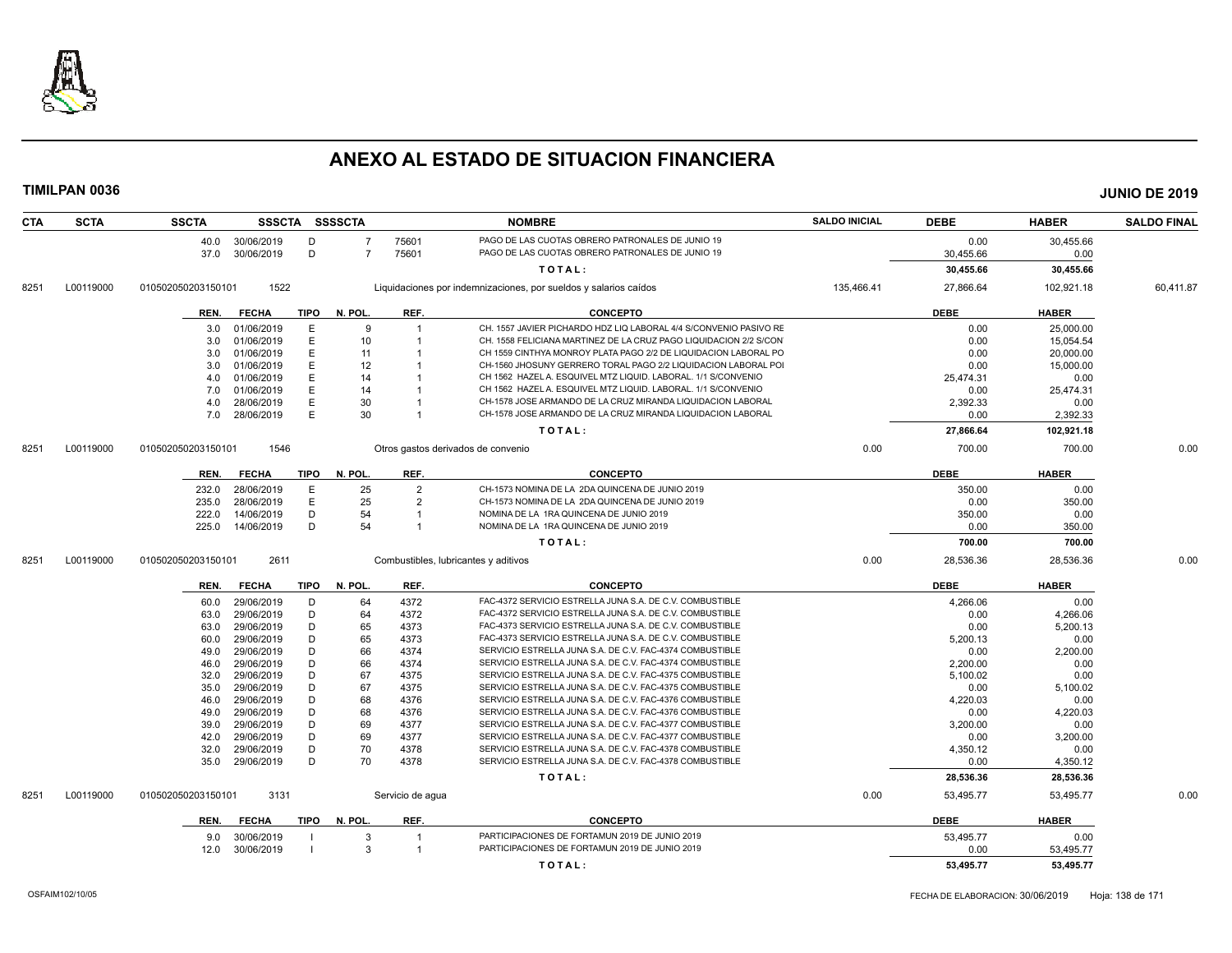

| <b>CTA</b> | <b>SCTA</b> | <b>SSCTA</b>                             |             | SSSCTA SSSSCTA |                  | <b>NOMBRE</b>                                                                                                        | <b>SALDO INICIAL</b> | <b>DEBE</b>      | <b>HABER</b>     | <b>SALDO FINAL</b> |
|------------|-------------|------------------------------------------|-------------|----------------|------------------|----------------------------------------------------------------------------------------------------------------------|----------------------|------------------|------------------|--------------------|
|            |             | 30/06/2019<br>40.0                       | D           | $\overline{7}$ | 75601            | PAGO DE LAS CUOTAS OBRERO PATRONALES DE JUNIO 19                                                                     |                      | 0.00             | 30,455.66        |                    |
|            |             | 30/06/2019<br>37.0                       | D           | $\overline{7}$ | 75601            | PAGO DE LAS CUOTAS OBRERO PATRONALES DE JUNIO 19                                                                     |                      | 30,455.66        | 0.00             |                    |
|            |             |                                          |             |                |                  | TOTAL:                                                                                                               |                      | 30,455.66        | 30,455.66        |                    |
| 8251       | L00119000   | 1522<br>010502050203150101               |             |                |                  | Liquidaciones por indemnizaciones, por sueldos y salarios caídos                                                     | 135,466.41           | 27,866.64        | 102,921.18       | 60,411.87          |
|            |             | <b>FECHA</b><br>REN.                     | <b>TIPO</b> | N. POL.        | REF.             | <b>CONCEPTO</b>                                                                                                      |                      | <b>DEBE</b>      | <b>HABER</b>     |                    |
|            |             | 01/06/2019<br>3.0                        | Е           | 9              | $\overline{1}$   | CH. 1557 JAVIER PICHARDO HDZ LIQ LABORAL 4/4 S/CONVENIO PASIVO RE                                                    |                      | 0.00             | 25,000.00        |                    |
|            |             | 01/06/2019<br>3.0                        | Ε           | 10             |                  | CH. 1558 FELICIANA MARTINEZ DE LA CRUZ PAGO LIQUIDACION 2/2 S/CON                                                    |                      | 0.00             | 15,054.54        |                    |
|            |             | 01/06/2019<br>3.0                        | E           | 11             |                  | CH 1559 CINTHYA MONROY PLATA PAGO 2/2 DE LIQUIDACION LABORAL PO                                                      |                      | 0.00             | 20,000.00        |                    |
|            |             | 01/06/2019<br>3.0                        | E           | 12             |                  | CH-1560 JHOSUNY GERRERO TORAL PAGO 2/2 LIQUIDACION LABORAL POI                                                       |                      | 0.00             | 15,000.00        |                    |
|            |             | 01/06/2019<br>4.0                        | E           | 14             |                  | CH 1562 HAZEL A. ESQUIVEL MTZ LIQUID. LABORAL. 1/1 S/CONVENIO                                                        |                      | 25,474.31        | 0.00             |                    |
|            |             | 01/06/2019<br>7.0                        | E           | 14             |                  | CH 1562 HAZEL A. ESQUIVEL MTZ LIQUID. LABORAL. 1/1 S/CONVENIO                                                        |                      | 0.00             | 25,474.31        |                    |
|            |             | 28/06/2019<br>4.0                        | E           | 30             |                  | CH-1578 JOSE ARMANDO DE LA CRUZ MIRANDA LIQUIDACION LABORAL                                                          |                      | 2,392.33         | 0.00             |                    |
|            |             | 28/06/2019<br>7.0                        | E           | 30             |                  | CH-1578 JOSE ARMANDO DE LA CRUZ MIRANDA LIQUIDACION LABORAL                                                          |                      | 0.00             | 2,392.33         |                    |
|            |             |                                          |             |                |                  | TOTAL:                                                                                                               |                      | 27,866.64        | 102,921.18       |                    |
| 8251       | L00119000   | 1546<br>010502050203150101               |             |                |                  | Otros gastos derivados de convenio                                                                                   | 0.00                 | 700.00           | 700.00           | 0.00               |
|            |             | <b>FECHA</b><br>REN.                     | <b>TIPO</b> | N. POL.        | REF.             | <b>CONCEPTO</b>                                                                                                      |                      | <b>DEBE</b>      | <b>HABER</b>     |                    |
|            |             | 28/06/2019<br>232.0                      | Е           | 25             | $\overline{2}$   | CH-1573 NOMINA DE LA 2DA QUINCENA DE JUNIO 2019                                                                      |                      | 350.00           | 0.00             |                    |
|            |             | 235.0<br>28/06/2019                      | E           | 25             | $\overline{2}$   | CH-1573 NOMINA DE LA 2DA QUINCENA DE JUNIO 2019                                                                      |                      | 0.00             | 350.00           |                    |
|            |             | 222.0<br>14/06/2019                      | D           | 54             |                  | NOMINA DE LA 1RA QUINCENA DE JUNIO 2019                                                                              |                      | 350.00           | 0.00             |                    |
|            |             | 225.0<br>14/06/2019                      | D           | 54             | $\overline{1}$   | NOMINA DE LA 1RA QUINCENA DE JUNIO 2019                                                                              |                      | 0.00             | 350.00           |                    |
|            |             |                                          |             |                |                  | TOTAL:                                                                                                               |                      | 700.00           | 700.00           |                    |
| 8251       | L00119000   | 2611<br>010502050203150101               |             |                |                  | Combustibles, lubricantes y aditivos                                                                                 | 0.00                 | 28,536.36        | 28,536.36        | 0.00               |
|            |             |                                          |             |                |                  |                                                                                                                      |                      |                  |                  |                    |
|            |             | <b>FECHA</b><br>REN.                     | <b>TIPO</b> | N. POL.        | REF.             | <b>CONCEPTO</b>                                                                                                      |                      | <b>DEBE</b>      | <b>HABER</b>     |                    |
|            |             | 29/06/2019<br>60.0                       | D           | 64             | 4372             | FAC-4372 SERVICIO ESTRELLA JUNA S.A. DE C.V. COMBUSTIBLE                                                             |                      | 4.266.06         | 0.00             |                    |
|            |             | 29/06/2019<br>63.0                       | D           | 64             | 4372             | FAC-4372 SERVICIO ESTRELLA JUNA S.A. DE C.V. COMBUSTIBLE                                                             |                      | 0.00             | 4,266.06         |                    |
|            |             | 29/06/2019<br>63.0                       | D           | 65             | 4373             | FAC-4373 SERVICIO ESTRELLA JUNA S.A. DE C.V. COMBUSTIBLE                                                             |                      | 0.00             | 5,200.13         |                    |
|            |             | 29/06/2019<br>60.0                       | D           | 65             | 4373             | FAC-4373 SERVICIO ESTRELLA JUNA S.A. DE C.V. COMBUSTIBLE                                                             |                      | 5,200.13         | 0.00             |                    |
|            |             | 29/06/2019<br>49.0<br>29/06/2019<br>46.0 | D<br>D      | 66<br>66       | 4374<br>4374     | SERVICIO ESTRELLA JUNA S.A. DE C.V. FAC-4374 COMBUSTIBLE<br>SERVICIO ESTRELLA JUNA S.A. DE C.V. FAC-4374 COMBUSTIBLE |                      | 0.00<br>2,200.00 | 2,200.00<br>0.00 |                    |
|            |             | 29/06/2019                               | D           | 67             | 4375             | SERVICIO ESTRELLA JUNA S.A. DE C.V. FAC-4375 COMBUSTIBLE                                                             |                      |                  |                  |                    |
|            |             | 32.0<br>29/06/2019<br>35.0               | D           | 67             | 4375             | SERVICIO ESTRELLA JUNA S.A. DE C.V. FAC-4375 COMBUSTIBLE                                                             |                      | 5,100.02<br>0.00 | 0.00<br>5,100.02 |                    |
|            |             | 29/06/2019<br>46.0                       | D           | 68             | 4376             | SERVICIO ESTRELLA JUNA S.A. DE C.V. FAC-4376 COMBUSTIBLE                                                             |                      | 4,220.03         | 0.00             |                    |
|            |             | 29/06/2019<br>49.0                       | D           | 68             | 4376             | SERVICIO ESTRELLA JUNA S.A. DE C.V. FAC-4376 COMBUSTIBLE                                                             |                      | 0.00             | 4,220.03         |                    |
|            |             | 29/06/2019<br>39.0                       | D           | 69             | 4377             | SERVICIO ESTRELLA JUNA S.A. DE C.V. FAC-4377 COMBUSTIBLE                                                             |                      | 3,200.00         | 0.00             |                    |
|            |             | 29/06/2019<br>42.0                       | D           | 69             | 4377             | SERVICIO ESTRELLA JUNA S.A. DE C.V. FAC-4377 COMBUSTIBLE                                                             |                      | 0.00             | 3,200.00         |                    |
|            |             | 29/06/2019<br>32.0                       | D           | 70             | 4378             | SERVICIO ESTRELLA JUNA S.A. DE C.V. FAC-4378 COMBUSTIBLE                                                             |                      | 4,350.12         | 0.00             |                    |
|            |             | 29/06/2019<br>35.0                       | D           | 70             | 4378             | SERVICIO ESTRELLA JUNA S.A. DE C.V. FAC-4378 COMBUSTIBLE                                                             |                      | 0.00             | 4,350.12         |                    |
|            |             |                                          |             |                |                  | TOTAL:                                                                                                               |                      | 28,536.36        | 28,536.36        |                    |
|            |             |                                          |             |                |                  |                                                                                                                      |                      |                  |                  |                    |
| 8251       | L00119000   | 3131<br>010502050203150101               |             |                | Servicio de agua |                                                                                                                      | 0.00                 | 53,495.77        | 53,495.77        | 0.00               |
|            |             | <b>FECHA</b><br>REN.                     | TIPO        | N. POL.        | REF.             | <b>CONCEPTO</b>                                                                                                      |                      | <b>DEBE</b>      | <b>HABER</b>     |                    |
|            |             | 30/06/2019<br>9.0                        |             | 3              |                  | PARTICIPACIONES DE FORTAMUN 2019 DE JUNIO 2019                                                                       |                      | 53,495.77        | 0.00             |                    |
|            |             | 30/06/2019<br>12.0                       |             | $\mathcal{R}$  | $\mathbf{1}$     | PARTICIPACIONES DE FORTAMUN 2019 DE JUNIO 2019                                                                       |                      | 0.00             | 53,495.77        |                    |
|            |             |                                          |             |                |                  | TOTAL:                                                                                                               |                      | 53,495.77        | 53,495.77        |                    |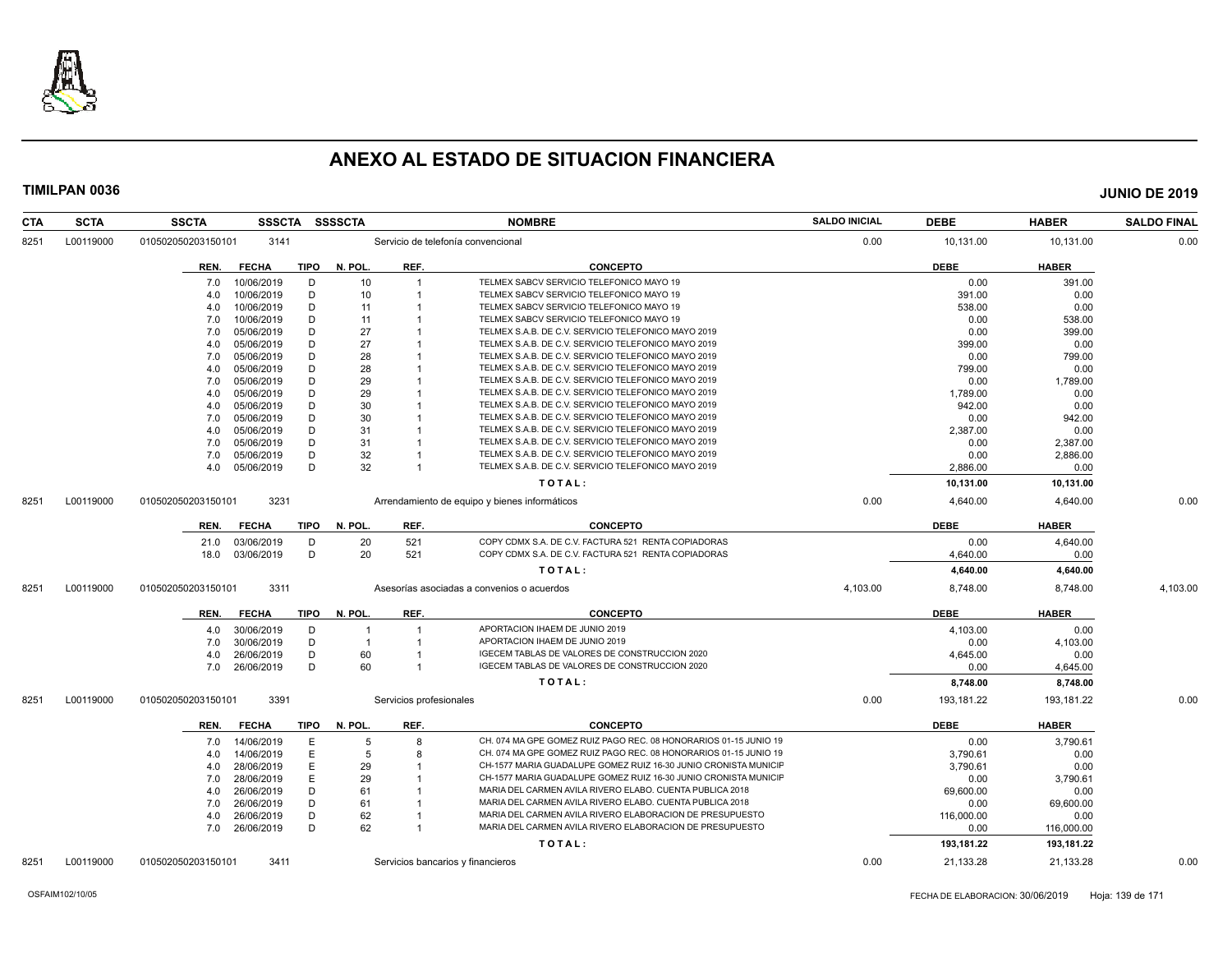

| <b>CTA</b> | <b>SCTA</b> | <b>SSCTA</b>       | <b>SSSCTA</b>   |             | <b>SSSSCTA</b> |                         | <b>NOMBRE</b>                                                    | <b>SALDO INICIAL</b> | <b>DEBE</b> | <b>HABER</b> | <b>SALDO FINAL</b> |
|------------|-------------|--------------------|-----------------|-------------|----------------|-------------------------|------------------------------------------------------------------|----------------------|-------------|--------------|--------------------|
| 8251       | L00119000   | 010502050203150101 | 3141            |             |                |                         | Servicio de telefonía convencional                               | 0.00                 | 10,131.00   | 10,131.00    | 0.00               |
|            |             | REN.               | <b>FECHA</b>    | TIPO        | N. POL.        | REF.                    | <b>CONCEPTO</b>                                                  |                      | <b>DEBE</b> | <b>HABER</b> |                    |
|            |             | 7.0                | 10/06/2019      | D           | 10             |                         | TELMEX SABCV SERVICIO TELEFONICO MAYO 19                         |                      | 0.00        | 391.00       |                    |
|            |             | 4.0                | 10/06/2019      | D           | 10             |                         | TELMEX SABCV SERVICIO TELEFONICO MAYO 19                         |                      | 391.00      | 0.00         |                    |
|            |             | 4.0                | 10/06/2019      | D           | 11             |                         | TELMEX SABCV SERVICIO TELEFONICO MAYO 19                         |                      | 538.00      | 0.00         |                    |
|            |             | 7.0                | 10/06/2019      | D           | 11             |                         | TELMEX SABCV SERVICIO TELEFONICO MAYO 19                         |                      | 0.00        | 538.00       |                    |
|            |             | 7.0                | 05/06/2019      | D           | 27             |                         | TELMEX S.A.B. DE C.V. SERVICIO TELEFONICO MAYO 2019              |                      | 0.00        | 399.00       |                    |
|            |             | 4.0                | 05/06/2019      | D           | 27             |                         | TELMEX S.A.B. DE C.V. SERVICIO TELEFONICO MAYO 2019              |                      | 399.00      | 0.00         |                    |
|            |             | 7.0                | 05/06/2019      | D           | 28             |                         | TELMEX S.A.B. DE C.V. SERVICIO TELEFONICO MAYO 2019              |                      | 0.00        | 799.00       |                    |
|            |             | 4.0                | 05/06/2019      | D           | 28             |                         | TELMEX S.A.B. DE C.V. SERVICIO TELEFONICO MAYO 2019              |                      | 799.00      | 0.00         |                    |
|            |             | 7.0                | 05/06/2019      | D           | 29             |                         | TELMEX S.A.B. DE C.V. SERVICIO TELEFONICO MAYO 2019              |                      | 0.00        | 1,789.00     |                    |
|            |             | 4.0                | 05/06/2019      | D           | 29             |                         | TELMEX S.A.B. DE C.V. SERVICIO TELEFONICO MAYO 2019              |                      | 1,789.00    | 0.00         |                    |
|            |             | 4.0                | 05/06/2019      | D           | 30             |                         | TELMEX S.A.B. DE C.V. SERVICIO TELEFONICO MAYO 2019              |                      | 942.00      | 0.00         |                    |
|            |             | 7.0                | 05/06/2019      | D           | 30             |                         | TELMEX S.A.B. DE C.V. SERVICIO TELEFONICO MAYO 2019              |                      | 0.00        | 942.00       |                    |
|            |             | 4.0                | 05/06/2019      | D           | 31             |                         | TELMEX S.A.B. DE C.V. SERVICIO TELEFONICO MAYO 2019              |                      | 2,387.00    | 0.00         |                    |
|            |             | 7.0                | 05/06/2019      | D           | 31             |                         | TELMEX S.A.B. DE C.V. SERVICIO TELEFONICO MAYO 2019              |                      | 0.00        | 2,387.00     |                    |
|            |             | 7.0                | 05/06/2019      | D           | 32             |                         | TELMEX S.A.B. DE C.V. SERVICIO TELEFONICO MAYO 2019              |                      | 0.00        | 2,886.00     |                    |
|            |             |                    | 4.0 05/06/2019  | D           | 32             | $\overline{1}$          | TELMEX S.A.B. DE C.V. SERVICIO TELEFONICO MAYO 2019              |                      | 2,886.00    | 0.00         |                    |
|            |             |                    |                 |             |                |                         | TOTAL:                                                           |                      | 10,131.00   | 10,131.00    |                    |
| 8251       | L00119000   | 010502050203150101 | 3231            |             |                |                         | Arrendamiento de equipo y bienes informáticos                    | 0.00                 | 4,640.00    | 4.640.00     | 0.00               |
|            |             | REN.               | <b>FECHA</b>    | TIPO        | N. POL.        | REF.                    | <b>CONCEPTO</b>                                                  |                      | <b>DEBE</b> | <b>HABER</b> |                    |
|            |             | 21.0               | 03/06/2019      | D           | 20             | 521                     | COPY CDMX S.A. DE C.V. FACTURA 521 RENTA COPIADORAS              |                      | 0.00        | 4,640.00     |                    |
|            |             |                    | 18.0 03/06/2019 | D           | 20             | 521                     | COPY CDMX S.A. DE C.V. FACTURA 521 RENTA COPIADORAS              |                      | 4,640.00    | 0.00         |                    |
|            |             |                    |                 |             |                |                         |                                                                  |                      |             |              |                    |
|            |             |                    |                 |             |                |                         | TOTAL:                                                           |                      | 4,640.00    | 4,640.00     |                    |
| 8251       | L00119000   | 010502050203150101 | 3311            |             |                |                         | Asesorías asociadas a convenios o acuerdos                       | 4,103.00             | 8,748.00    | 8,748.00     | 4,103.00           |
|            |             | REN.               | <b>FECHA</b>    | <b>TIPO</b> | N. POL.        | REF.                    | <b>CONCEPTO</b>                                                  |                      | <b>DEBE</b> | <b>HABER</b> |                    |
|            |             | 4.0                | 30/06/2019      | D           |                |                         | APORTACION IHAEM DE JUNIO 2019                                   |                      | 4,103.00    | 0.00         |                    |
|            |             | 7.0                | 30/06/2019      | D           | $\overline{1}$ | $\overline{1}$          | APORTACION IHAEM DE JUNIO 2019                                   |                      | 0.00        | 4,103.00     |                    |
|            |             | 4.0                | 26/06/2019      | D           | 60             |                         | IGECEM TABLAS DE VALORES DE CONSTRUCCION 2020                    |                      | 4,645.00    | 0.00         |                    |
|            |             | 7.0                | 26/06/2019      | D           | 60             |                         | IGECEM TABLAS DE VALORES DE CONSTRUCCION 2020                    |                      | 0.00        | 4,645.00     |                    |
|            |             |                    |                 |             |                |                         | TOTAL:                                                           |                      | 8,748.00    | 8,748.00     |                    |
| 8251       | L00119000   | 010502050203150101 | 3391            |             |                | Servicios profesionales |                                                                  | 0.00                 | 193,181.22  | 193,181.22   | 0.00               |
|            |             | REN.               | <b>FECHA</b>    | <b>TIPO</b> | N. POL.        | REF.                    | <b>CONCEPTO</b>                                                  |                      | <b>DEBE</b> | <b>HABER</b> |                    |
|            |             | 7.0                | 14/06/2019      | E           | 5              | 8                       | CH. 074 MA GPE GOMEZ RUIZ PAGO REC. 08 HONORARIOS 01-15 JUNIO 19 |                      | 0.00        | 3,790.61     |                    |
|            |             | 4.0                | 14/06/2019      | E.          | 5              | $\mathsf{R}$            | CH. 074 MA GPE GOMEZ RUIZ PAGO REC. 08 HONORARIOS 01-15 JUNIO 19 |                      | 3.790.61    | 0.00         |                    |
|            |             | 4.0                | 28/06/2019      | E           | 29             |                         | CH-1577 MARIA GUADALUPE GOMEZ RUIZ 16-30 JUNIO CRONISTA MUNICIF  |                      | 3,790.61    | 0.00         |                    |
|            |             | 7.0                | 28/06/2019      | E           | 29             |                         | CH-1577 MARIA GUADALUPE GOMEZ RUIZ 16-30 JUNIO CRONISTA MUNICIF  |                      | 0.00        | 3,790.61     |                    |
|            |             | 4.0                | 26/06/2019      | D           | 61             |                         | MARIA DEL CARMEN AVILA RIVERO ELABO. CUENTA PUBLICA 2018         |                      | 69,600.00   | 0.00         |                    |
|            |             | 7.0                | 26/06/2019      | D           | 61             |                         | MARIA DEL CARMEN AVILA RIVERO ELABO. CUENTA PUBLICA 2018         |                      | 0.00        | 69,600.00    |                    |
|            |             | 4.0                | 26/06/2019      | D           | 62             |                         | MARIA DEL CARMEN AVILA RIVERO ELABORACION DE PRESUPUESTO         |                      | 116,000.00  | 0.00         |                    |
|            |             |                    | 7.0 26/06/2019  | D           | 62             | $\overline{1}$          | MARIA DEL CARMEN AVILA RIVERO ELABORACION DE PRESUPUESTO         |                      | 0.00        | 116,000.00   |                    |
|            |             |                    |                 |             |                |                         | TOTAL:                                                           |                      | 193,181.22  | 193,181.22   |                    |
| 8251       | L00119000   | 010502050203150101 | 3411            |             |                |                         | Servicios bancarios y financieros                                | 0.00                 | 21,133.28   | 21,133.28    | 0.00               |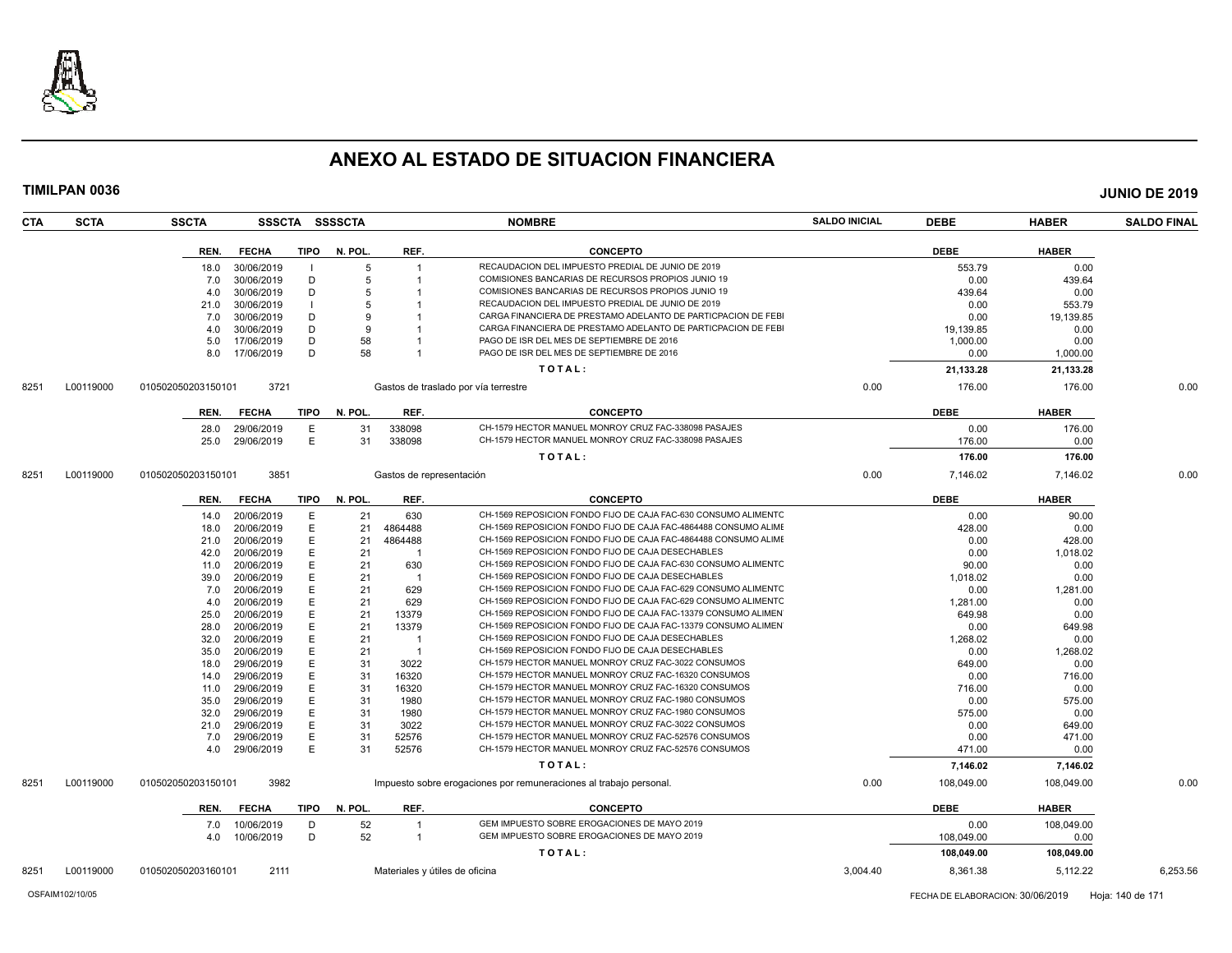

| TIMILPAN 0036      |                    |              |              |                |                          |                                                                    |                      |             |              | <b>JUNIO DE 2019</b> |
|--------------------|--------------------|--------------|--------------|----------------|--------------------------|--------------------------------------------------------------------|----------------------|-------------|--------------|----------------------|
| CTA<br><b>SCTA</b> | <b>SSCTA</b>       |              |              | SSSCTA SSSSCTA |                          | <b>NOMBRE</b>                                                      | <b>SALDO INICIAL</b> | <b>DEBE</b> | <b>HABER</b> | <b>SALDO FINAL</b>   |
|                    | REN.               | <b>FECHA</b> | <b>TIPO</b>  | N. POL.        | REF.                     | <b>CONCEPTO</b>                                                    |                      | <b>DEBE</b> | <b>HABER</b> |                      |
|                    | 18.0               | 30/06/2019   | - 1          | 5              |                          | RECAUDACION DEL IMPUESTO PREDIAL DE JUNIO DE 2019                  |                      | 553.79      | 0.00         |                      |
|                    | 7.0                | 30/06/2019   | D            | 5              |                          | COMISIONES BANCARIAS DE RECURSOS PROPIOS JUNIO 19                  |                      | 0.00        | 439.64       |                      |
|                    | 4.0                | 30/06/2019   | D            | 5              |                          | COMISIONES BANCARIAS DE RECURSOS PROPIOS JUNIO 19                  |                      | 439.64      | 0.00         |                      |
|                    | 21.0               | 30/06/2019   | $\mathbf{I}$ | 5              |                          | RECAUDACION DEL IMPUESTO PREDIAL DE JUNIO DE 2019                  |                      | 0.00        | 553.79       |                      |
|                    | 7.0                | 30/06/2019   | D            | 9              |                          | CARGA FINANCIERA DE PRESTAMO ADELANTO DE PARTICPACION DE FEBI      |                      | 0.00        | 19,139.85    |                      |
|                    | 4.0                | 30/06/2019   | D            | 9              |                          | CARGA FINANCIERA DE PRESTAMO ADELANTO DE PARTICPACION DE FEBI      |                      | 19,139.85   | 0.00         |                      |
|                    | 5.0                | 17/06/2019   | D            | 58             |                          | PAGO DE ISR DEL MES DE SEPTIEMBRE DE 2016                          |                      | 1,000.00    | 0.00         |                      |
|                    | 8.0                | 17/06/2019   | D            | 58             |                          | PAGO DE ISR DEL MES DE SEPTIEMBRE DE 2016                          |                      | 0.00        | 1,000.00     |                      |
|                    |                    |              |              |                |                          | TOTAL:                                                             |                      | 21,133.28   | 21,133.28    |                      |
| L00119000<br>8251  | 010502050203150101 | 3721         |              |                |                          | Gastos de traslado por vía terrestre                               | 0.00                 | 176.00      | 176.00       | 0.00                 |
|                    | REN.               | <b>FECHA</b> | <b>TIPO</b>  | N. POL.        | REF.                     | <b>CONCEPTO</b>                                                    |                      | <b>DEBE</b> | <b>HABER</b> |                      |
|                    | 28.0               | 29/06/2019   | E            | 31             | 338098                   | CH-1579 HECTOR MANUEL MONROY CRUZ FAC-338098 PASAJES               |                      | 0.00        | 176.00       |                      |
|                    | 25.0               | 29/06/2019   | E            | 31             | 338098                   | CH-1579 HECTOR MANUEL MONROY CRUZ FAC-338098 PASAJES               |                      | 176.00      | 0.00         |                      |
|                    |                    |              |              |                |                          | TOTAL:                                                             |                      | 176.00      | 176.00       |                      |
| L00119000<br>8251  | 010502050203150101 | 3851         |              |                | Gastos de representación |                                                                    | 0.00                 | 7,146.02    | 7,146.02     | 0.00                 |
|                    |                    |              |              |                |                          |                                                                    |                      |             |              |                      |
|                    | REN.               | <b>FECHA</b> | TIPO         | N. POL.        | REF.                     | <b>CONCEPTO</b>                                                    |                      | <b>DEBE</b> | <b>HABER</b> |                      |
|                    | 14.0               | 20/06/2019   | E            | 21             | 630                      | CH-1569 REPOSICION FONDO FIJO DE CAJA FAC-630 CONSUMO ALIMENTO     |                      | 0.00        | 90.00        |                      |
|                    | 18.0               | 20/06/2019   | E            | 21             | 4864488                  | CH-1569 REPOSICION FONDO FIJO DE CAJA FAC-4864488 CONSUMO ALIME    |                      | 428.00      | 0.00         |                      |
|                    | 21.0               | 20/06/2019   | E            | 21             | 4864488                  | CH-1569 REPOSICION FONDO FIJO DE CAJA FAC-4864488 CONSUMO ALIMI    |                      | 0.00        | 428.00       |                      |
|                    | 42.0               | 20/06/2019   | E            | 21             |                          | CH-1569 REPOSICION FONDO FIJO DE CAJA DESECHABLES                  |                      | 0.00        | 1,018.02     |                      |
|                    | 11.0               | 20/06/2019   | E            | 21             | 630                      | CH-1569 REPOSICION FONDO FIJO DE CAJA FAC-630 CONSUMO ALIMENTC     |                      | 90.00       | 0.00         |                      |
|                    | 39.0               | 20/06/2019   | E            | 21             | -1                       | CH-1569 REPOSICION FONDO FIJO DE CAJA DESECHABLES                  |                      | 1,018.02    | 0.00         |                      |
|                    | 7.0                | 20/06/2019   | E            | 21             | 629                      | CH-1569 REPOSICION FONDO FIJO DE CAJA FAC-629 CONSUMO ALIMENTC     |                      | 0.00        | 1,281.00     |                      |
|                    | 4.0                | 20/06/2019   | E            | 21             | 629                      | CH-1569 REPOSICION FONDO FIJO DE CAJA FAC-629 CONSUMO ALIMENTC     |                      | 1,281.00    | 0.00         |                      |
|                    | 25.0               | 20/06/2019   | Е            | 21             | 13379                    | CH-1569 REPOSICION FONDO FIJO DE CAJA FAC-13379 CONSUMO ALIMEN     |                      | 649.98      | 0.00         |                      |
|                    | 28.0               | 20/06/2019   | E            | 21             | 13379                    | CH-1569 REPOSICION FONDO FIJO DE CAJA FAC-13379 CONSUMO ALIMEN     |                      | 0.00        | 649.98       |                      |
|                    | 32.0               | 20/06/2019   | E            | 21             | - 1                      | CH-1569 REPOSICION FONDO FIJO DE CAJA DESECHABLES                  |                      | 1,268.02    | 0.00         |                      |
|                    | 35.0               | 20/06/2019   | E            | 21             |                          | CH-1569 REPOSICION FONDO FIJO DE CAJA DESECHABLES                  |                      | 0.00        | 1,268.02     |                      |
|                    | 18.0               | 29/06/2019   | E            | 31             | 3022                     | CH-1579 HECTOR MANUEL MONROY CRUZ FAC-3022 CONSUMOS                |                      | 649.00      | 0.00         |                      |
|                    | 14.0               | 29/06/2019   | E            | 31             | 16320                    | CH-1579 HECTOR MANUEL MONROY CRUZ FAC-16320 CONSUMOS               |                      | 0.00        | 716.00       |                      |
|                    | 11.0               | 29/06/2019   | E            | 31             | 16320                    | CH-1579 HECTOR MANUEL MONROY CRUZ FAC-16320 CONSUMOS               |                      | 716.00      | 0.00         |                      |
|                    | 35.0               | 29/06/2019   | E            | 31             | 1980                     | CH-1579 HECTOR MANUEL MONROY CRUZ FAC-1980 CONSUMOS                |                      | 0.00        | 575.00       |                      |
|                    | 32.0               | 29/06/2019   | E            | 31             | 1980                     | CH-1579 HECTOR MANUEL MONROY CRUZ FAC-1980 CONSUMOS                |                      | 575.00      | 0.00         |                      |
|                    | 21.0               | 29/06/2019   | E            | 31             | 3022                     | CH-1579 HECTOR MANUEL MONROY CRUZ FAC-3022 CONSUMOS                |                      | 0.00        | 649.00       |                      |
|                    | 7.0                | 29/06/2019   | Е            | 31             | 52576                    | CH-1579 HECTOR MANUEL MONROY CRUZ FAC-52576 CONSUMOS               |                      | 0.00        | 471.00       |                      |
|                    | 4.0                | 29/06/2019   | E            | 31             | 52576                    | CH-1579 HECTOR MANUEL MONROY CRUZ FAC-52576 CONSUMOS               |                      | 471.00      | 0.00         |                      |
|                    |                    |              |              |                |                          | TOTAL:                                                             |                      | 7,146.02    | 7,146.02     |                      |
| L00119000<br>8251  | 010502050203150101 | 3982         |              |                |                          | Impuesto sobre erogaciones por remuneraciones al trabajo personal. | 0.00                 | 108,049.00  | 108,049.00   | 0.00                 |
|                    | REN.               | <b>FECHA</b> | TIPO         | N. POL.        | REF.                     | <b>CONCEPTO</b>                                                    |                      | <b>DEBE</b> | <b>HABER</b> |                      |
|                    | 7.0                | 10/06/2019   | D            | 52             | $\overline{1}$           | GEM IMPUESTO SOBRE EROGACIONES DE MAYO 2019                        |                      | 0.00        | 108,049.00   |                      |
|                    | 4.0                | 10/06/2019   | D            | 52             | $\overline{1}$           | GEM IMPUESTO SOBRE EROGACIONES DE MAYO 2019                        |                      | 108,049.00  | 0.00         |                      |
|                    |                    |              |              |                |                          | TOTAL:                                                             |                      | 108,049.00  | 108,049.00   |                      |
|                    |                    |              |              |                |                          |                                                                    |                      |             |              |                      |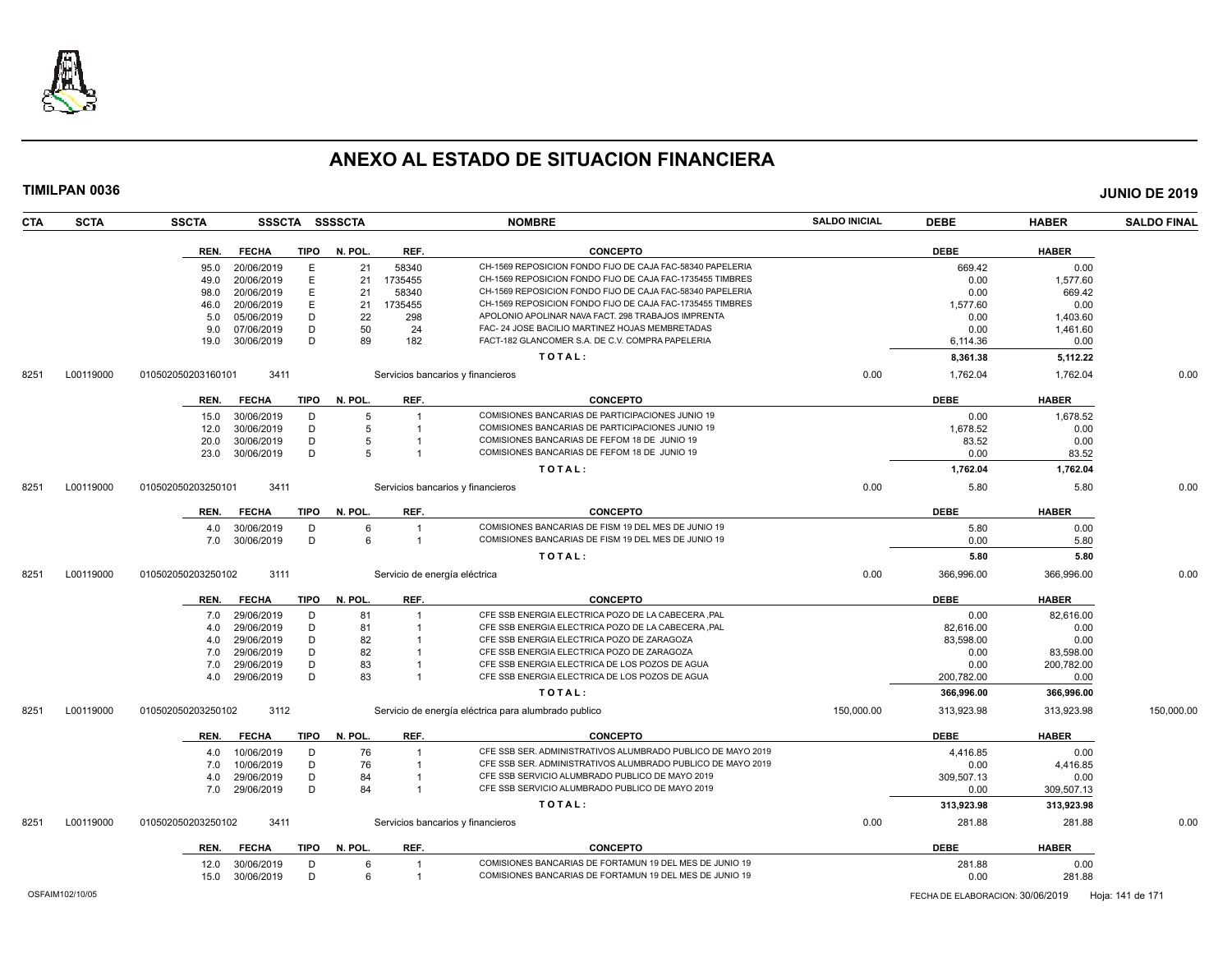

| <b>CTA</b> | <b>SCTA</b> | <b>SSCTA</b>       |                             | SSSCTA SSSSCTA |                | <b>NOMBRE</b>                                                                                | <b>SALDO INICIAL</b> | <b>DEBE</b> | <b>HABER</b> | <b>SALDO FINAL</b> |
|------------|-------------|--------------------|-----------------------------|----------------|----------------|----------------------------------------------------------------------------------------------|----------------------|-------------|--------------|--------------------|
|            |             | REN.               | <b>FECHA</b><br>TIPO        | N. POL.        | REF.           | <b>CONCEPTO</b>                                                                              |                      | <b>DEBE</b> | <b>HABER</b> |                    |
|            |             | 95.0               | 20/06/2019                  | 21<br>Е        | 58340          | CH-1569 REPOSICION FONDO FIJO DE CAJA FAC-58340 PAPELERIA                                    |                      | 669.42      | 0.00         |                    |
|            |             | 49.0               | 20/06/2019                  | E<br>21        | 1735455        | CH-1569 REPOSICION FONDO FIJO DE CAJA FAC-1735455 TIMBRES                                    |                      | 0.00        | 1.577.60     |                    |
|            |             | 98.0               | 20/06/2019                  | E<br>21        | 58340          | CH-1569 REPOSICION FONDO FIJO DE CAJA FAC-58340 PAPELERIA                                    |                      | 0.00        | 669.42       |                    |
|            |             | 46.0               | 20/06/2019                  | E<br>21        | 1735455        | CH-1569 REPOSICION FONDO FIJO DE CAJA FAC-1735455 TIMBRES                                    |                      | 1.577.60    | 0.00         |                    |
|            |             | 5.0                | 05/06/2019                  | D<br>22        | 298            | APOLONIO APOLINAR NAVA FACT. 298 TRABAJOS IMPRENTA                                           |                      | 0.00        | 1,403.60     |                    |
|            |             | 9.0                | 07/06/2019                  | D<br>50        | 24             | FAC- 24 JOSE BACILIO MARTINEZ HOJAS MEMBRETADAS                                              |                      | 0.00        | 1,461.60     |                    |
|            |             | 19.0               | 30/06/2019                  | D<br>89        | 182            | FACT-182 GLANCOMER S.A. DE C.V. COMPRA PAPELERIA                                             |                      | 6,114.36    | 0.00         |                    |
|            |             |                    |                             |                |                | TOTAL:                                                                                       |                      | 8,361.38    | 5,112.22     |                    |
| 8251       | L00119000   | 010502050203160101 | 3411                        |                |                | Servicios bancarios y financieros                                                            | 0.00                 | 1,762.04    | 1,762.04     | 0.00               |
|            |             | REN.               | <b>FECHA</b><br>TIPO        | N. POL.        | REF.           | <b>CONCEPTO</b>                                                                              |                      | <b>DEBE</b> | <b>HABER</b> |                    |
|            |             |                    |                             |                |                |                                                                                              |                      |             |              |                    |
|            |             | 15.0               | 30/06/2019                  | D<br>5         | $\overline{1}$ | COMISIONES BANCARIAS DE PARTICIPACIONES JUNIO 19                                             |                      | 0.00        | 1,678.52     |                    |
|            |             | 12.0               | 30/06/2019                  | D<br>5         |                | COMISIONES BANCARIAS DE PARTICIPACIONES JUNIO 19                                             |                      | 1,678.52    | 0.00         |                    |
|            |             | 20.0               | 30/06/2019                  | D<br>5<br>D    |                | COMISIONES BANCARIAS DE FEFOM 18 DE JUNIO 19<br>COMISIONES BANCARIAS DE FEFOM 18 DE JUNIO 19 |                      | 83.52       | 0.00         |                    |
|            |             | 23.0               | 30/06/2019                  | 5              |                |                                                                                              |                      | 0.00        | 83.52        |                    |
|            |             |                    |                             |                |                | TOTAL:                                                                                       |                      | 1,762.04    | 1,762.04     |                    |
| 8251       | L00119000   | 010502050203250101 | 3411                        |                |                | Servicios bancarios y financieros                                                            | 0.00                 | 5.80        | 5.80         | 0.00               |
|            |             | REN.               | <b>FECHA</b><br>TIPO        | N. POL.        | REF.           | <b>CONCEPTO</b>                                                                              |                      | <b>DEBE</b> | <b>HABER</b> |                    |
|            |             | 4.0                | 30/06/2019                  | D<br>6         | $\overline{1}$ | COMISIONES BANCARIAS DE FISM 19 DEL MES DE JUNIO 19                                          |                      | 5.80        | 0.00         |                    |
|            |             | 7.0                | 30/06/2019                  | D<br>6         | $\overline{1}$ | COMISIONES BANCARIAS DE FISM 19 DEL MES DE JUNIO 19                                          |                      | 0.00        | 5.80         |                    |
|            |             |                    |                             |                |                | TOTAL:                                                                                       |                      | 5.80        | 5.80         |                    |
| 8251       | L00119000   | 010502050203250102 | 3111                        |                |                | Servicio de energía eléctrica                                                                | 0.00                 | 366.996.00  | 366.996.00   | 0.00               |
|            |             | REN.               | <b>FECHA</b><br>TIPO        | N. POL.        | REF.           | <b>CONCEPTO</b>                                                                              |                      | <b>DEBE</b> | <b>HABER</b> |                    |
|            |             | 7.0                | 29/06/2019                  | D<br>81        |                | CFE SSB ENERGIA ELECTRICA POZO DE LA CABECERA ,PAL                                           |                      | 0.00        | 82,616.00    |                    |
|            |             | 4.0                | 29/06/2019                  | D<br>81        |                | CFE SSB ENERGIA ELECTRICA POZO DE LA CABECERA ,PAL                                           |                      | 82.616.00   | 0.00         |                    |
|            |             | 4.0                | 29/06/2019                  | D<br>82        |                | CFE SSB ENERGIA ELECTRICA POZO DE ZARAGOZA                                                   |                      | 83,598.00   | 0.00         |                    |
|            |             | 7.0                | 29/06/2019                  | D<br>82        |                | CFE SSB ENERGIA ELECTRICA POZO DE ZARAGOZA                                                   |                      | 0.00        | 83,598.00    |                    |
|            |             | 7.0                | 29/06/2019                  | D<br>83        |                | CFE SSB ENERGIA ELECTRICA DE LOS POZOS DE AGUA                                               |                      | 0.00        | 200,782.00   |                    |
|            |             | 4.0                | 29/06/2019                  | D<br>83        |                | CFE SSB ENERGIA ELECTRICA DE LOS POZOS DE AGUA                                               |                      | 200,782.00  | 0.00         |                    |
|            |             |                    |                             |                |                | TOTAL:                                                                                       |                      | 366,996.00  | 366,996.00   |                    |
| 8251       | L00119000   | 010502050203250102 | 3112                        |                |                | Servicio de energía eléctrica para alumbrado publico                                         | 150,000.00           | 313,923.98  | 313,923.98   | 150,000.00         |
|            |             | REN.               | <b>FECHA</b><br><b>TIPO</b> | N. POL.        | REF.           | <b>CONCEPTO</b>                                                                              |                      | <b>DEBE</b> | <b>HABER</b> |                    |
|            |             | 4.0                | 10/06/2019                  | 76<br>D        |                | CFE SSB SER. ADMINISTRATIVOS ALUMBRADO PUBLICO DE MAYO 2019                                  |                      | 4,416.85    | 0.00         |                    |
|            |             | 7.0                | 10/06/2019                  | D<br>76        | $\overline{1}$ | CFE SSB SER. ADMINISTRATIVOS ALUMBRADO PUBLICO DE MAYO 2019                                  |                      | 0.00        | 4,416.85     |                    |
|            |             | 4.0                | 29/06/2019                  | D<br>84        |                | CFE SSB SERVICIO ALUMBRADO PUBLICO DE MAYO 2019                                              |                      | 309,507.13  | 0.00         |                    |
|            |             | 7.0                | 29/06/2019                  | 84<br>D        | $\overline{1}$ | CFE SSB SERVICIO ALUMBRADO PUBLICO DE MAYO 2019                                              |                      | 0.00        | 309,507.13   |                    |
|            |             |                    |                             |                |                | TOTAL:                                                                                       |                      | 313,923.98  | 313,923.98   |                    |
| 8251       | L00119000   | 010502050203250102 | 3411                        |                |                | Servicios bancarios y financieros                                                            | 0.00                 | 281.88      | 281.88       | 0.00               |
|            |             |                    |                             |                |                |                                                                                              |                      |             |              |                    |
|            |             | REN.               | <b>FECHA</b><br><b>TIPO</b> | N. POL.        | REF.           | <b>CONCEPTO</b>                                                                              |                      | <b>DEBE</b> | <b>HABER</b> |                    |
|            |             | 12.0               | 30/06/2019                  | D<br>6         | $\mathbf{1}$   | COMISIONES BANCARIAS DE FORTAMUN 19 DEL MES DE JUNIO 19                                      |                      | 281.88      | 0.00         |                    |
|            |             | 15.0               | 30/06/2019                  | D<br>6         | $\overline{1}$ | COMISIONES BANCARIAS DE FORTAMUN 19 DEL MES DE JUNIO 19                                      |                      | 0.00        | 281.88       |                    |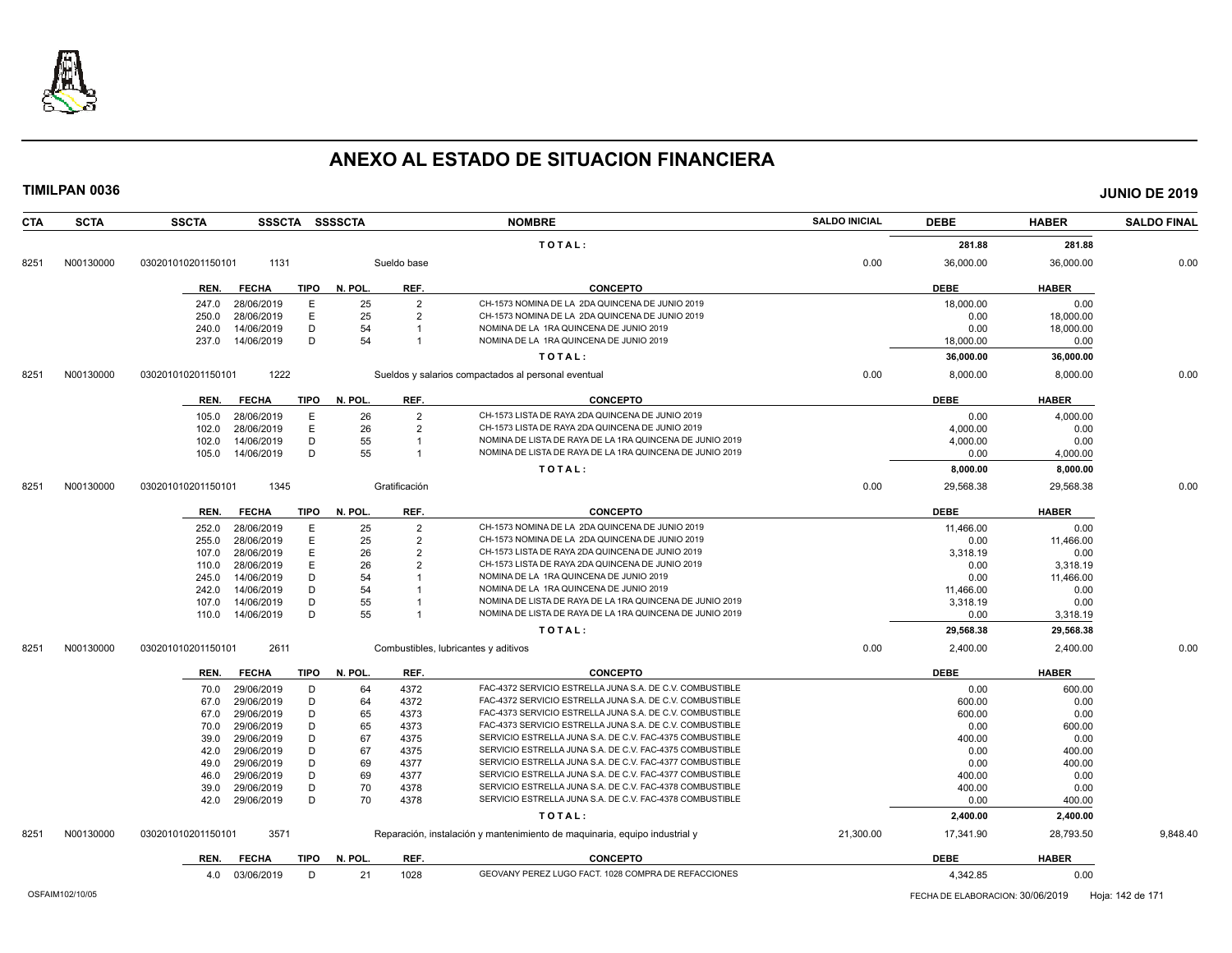

| <b>CTA</b> | <b>SCTA</b> | <b>SSCTA</b>         | SSSCTA SSSSCTA |         |                | <b>NOMBRE</b>                                                              | <b>SALDO INICIAL</b> | <b>DEBE</b> | <b>HABER</b> | <b>SALDO FINAL</b> |
|------------|-------------|----------------------|----------------|---------|----------------|----------------------------------------------------------------------------|----------------------|-------------|--------------|--------------------|
|            |             |                      |                |         |                | TOTAL:                                                                     |                      | 281.88      | 281.88       |                    |
| 8251       | N00130000   | 030201010201150101   | 1131           |         | Sueldo base    |                                                                            | 0.00                 | 36,000.00   | 36,000.00    | 0.00               |
|            |             |                      |                |         |                |                                                                            |                      |             |              |                    |
|            |             | <b>FECHA</b><br>REN. | <b>TIPO</b>    | N. POL. | REF.           | <b>CONCEPTO</b>                                                            |                      | <b>DEBE</b> | <b>HABER</b> |                    |
|            |             | 28/06/2019<br>247.0  | $\mathsf E$    | 25      | $\overline{2}$ | CH-1573 NOMINA DE LA 2DA QUINCENA DE JUNIO 2019                            |                      | 18,000.00   | 0.00         |                    |
|            |             | 250.0<br>28/06/2019  | E              | 25      | $\overline{2}$ | CH-1573 NOMINA DE LA 2DA QUINCENA DE JUNIO 2019                            |                      | 0.00        | 18,000.00    |                    |
|            |             | 14/06/2019<br>240.0  | D              | 54      |                | NOMINA DE LA 1RA QUINCENA DE JUNIO 2019                                    |                      | 0.00        | 18,000.00    |                    |
|            |             | 14/06/2019<br>237.0  | D              | 54      | $\overline{1}$ | NOMINA DE LA 1RA QUINCENA DE JUNIO 2019                                    |                      | 18,000.00   | 0.00         |                    |
|            |             |                      |                |         |                | TOTAL:                                                                     |                      | 36,000.00   | 36,000.00    |                    |
| 8251       | N00130000   | 030201010201150101   | 1222           |         |                | Sueldos y salarios compactados al personal eventual                        | 0.00                 | 8,000.00    | 8,000.00     | 0.00               |
|            |             | <b>FECHA</b><br>REN. | <b>TIPO</b>    | N. POL. | REF.           | <b>CONCEPTO</b>                                                            |                      | <b>DEBE</b> | <b>HABER</b> |                    |
|            |             | 28/06/2019<br>105.0  | E              | 26      | $\overline{2}$ | CH-1573 LISTA DE RAYA 2DA QUINCENA DE JUNIO 2019                           |                      | 0.00        | 4,000.00     |                    |
|            |             | 102.0<br>28/06/2019  | E              | 26      | $\overline{2}$ | CH-1573 LISTA DE RAYA 2DA QUINCENA DE JUNIO 2019                           |                      | 4,000.00    | 0.00         |                    |
|            |             | 14/06/2019<br>102.0  | D              | 55      | $\mathbf{1}$   | NOMINA DE LISTA DE RAYA DE LA 1RA QUINCENA DE JUNIO 2019                   |                      | 4,000.00    | 0.00         |                    |
|            |             | 105.0<br>14/06/2019  | D              | 55      | $\mathbf{1}$   | NOMINA DE LISTA DE RAYA DE LA 1RA QUINCENA DE JUNIO 2019                   |                      | 0.00        | 4,000.00     |                    |
|            |             |                      |                |         |                | TOTAL:                                                                     |                      | 8,000.00    | 8,000.00     |                    |
| 8251       | N00130000   | 030201010201150101   | 1345           |         | Gratificación  |                                                                            | 0.00                 | 29,568.38   | 29,568.38    | 0.00               |
|            |             |                      |                |         |                |                                                                            |                      |             |              |                    |
|            |             | <b>FECHA</b><br>REN. | <b>TIPO</b>    | N. POL. | REF.           | <b>CONCEPTO</b>                                                            |                      | <b>DEBE</b> | <b>HABER</b> |                    |
|            |             | 28/06/2019<br>252.0  | E              | 25      | $\overline{2}$ | CH-1573 NOMINA DE LA 2DA QUINCENA DE JUNIO 2019                            |                      | 11,466.00   | 0.00         |                    |
|            |             | 28/06/2019<br>255.0  | E              | 25      | $\overline{2}$ | CH-1573 NOMINA DE LA 2DA QUINCENA DE JUNIO 2019                            |                      | 0.00        | 11,466.00    |                    |
|            |             | 28/06/2019<br>107.0  | E              | 26      | $\overline{2}$ | CH-1573 LISTA DE RAYA 2DA QUINCENA DE JUNIO 2019                           |                      | 3,318.19    | 0.00         |                    |
|            |             | 28/06/2019<br>110.0  | E              | 26      | $\overline{2}$ | CH-1573 LISTA DE RAYA 2DA QUINCENA DE JUNIO 2019                           |                      | 0.00        | 3,318.19     |                    |
|            |             | 14/06/2019<br>245.0  | D              | 54      |                | NOMINA DE LA 1RA QUINCENA DE JUNIO 2019                                    |                      | 0.00        | 11,466.00    |                    |
|            |             | 14/06/2019<br>242.0  | D              | 54      |                | NOMINA DE LA 1RA QUINCENA DE JUNIO 2019                                    |                      | 11,466.00   | 0.00         |                    |
|            |             | 14/06/2019<br>107.0  | D              | 55      |                | NOMINA DE LISTA DE RAYA DE LA 1RA QUINCENA DE JUNIO 2019                   |                      | 3,318.19    | 0.00         |                    |
|            |             | 14/06/2019<br>110.0  | D              | 55      |                | NOMINA DE LISTA DE RAYA DE LA 1RA QUINCENA DE JUNIO 2019                   |                      | 0.00        | 3,318.19     |                    |
|            |             |                      |                |         |                | TOTAL:                                                                     |                      | 29,568.38   | 29,568.38    |                    |
| 8251       | N00130000   | 030201010201150101   | 2611           |         |                | Combustibles, lubricantes y aditivos                                       | 0.00                 | 2,400.00    | 2,400.00     | 0.00               |
|            |             | <b>FECHA</b><br>REN. | <b>TIPO</b>    | N. POL. | REF.           | <b>CONCEPTO</b>                                                            |                      | <b>DEBE</b> | <b>HABER</b> |                    |
|            |             | 29/06/2019<br>70.0   | D              | 64      | 4372           | FAC-4372 SERVICIO ESTRELLA JUNA S.A. DE C.V. COMBUSTIBLE                   |                      | 0.00        | 600.00       |                    |
|            |             | 29/06/2019<br>67.0   | D              | 64      | 4372           | FAC-4372 SERVICIO ESTRELLA JUNA S.A. DE C.V. COMBUSTIBLE                   |                      | 600.00      | 0.00         |                    |
|            |             | 29/06/2019<br>67.0   | D              | 65      | 4373           | FAC-4373 SERVICIO ESTRELLA JUNA S.A. DE C.V. COMBUSTIBLE                   |                      | 600.00      | 0.00         |                    |
|            |             | 29/06/2019<br>70.0   | D              | 65      | 4373           | FAC-4373 SERVICIO ESTRELLA JUNA S.A. DE C.V. COMBUSTIBLE                   |                      | 0.00        | 600.00       |                    |
|            |             | 29/06/2019<br>39.0   | D              | 67      | 4375           | SERVICIO ESTRELLA JUNA S.A. DE C.V. FAC-4375 COMBUSTIBLE                   |                      | 400.00      | 0.00         |                    |
|            |             | 29/06/2019<br>42.0   | D              | 67      | 4375           | SERVICIO ESTRELLA JUNA S.A. DE C.V. FAC-4375 COMBUSTIBLE                   |                      | 0.00        | 400.00       |                    |
|            |             | 29/06/2019<br>49.0   | D              | 69      | 4377           | SERVICIO ESTRELLA JUNA S.A. DE C.V. FAC-4377 COMBUSTIBLE                   |                      | 0.00        | 400.00       |                    |
|            |             | 29/06/2019<br>46.0   | D              | 69      | 4377           | SERVICIO ESTRELLA JUNA S.A. DE C.V. FAC-4377 COMBUSTIBLE                   |                      | 400.00      | 0.00         |                    |
|            |             | 29/06/2019<br>39.0   | D              | 70      | 4378           | SERVICIO ESTRELLA JUNA S.A. DE C.V. FAC-4378 COMBUSTIBLE                   |                      | 400.00      | 0.00         |                    |
|            |             | 29/06/2019<br>42.0   | D              | 70      | 4378           | SERVICIO ESTRELLA JUNA S.A. DE C.V. FAC-4378 COMBUSTIBLE                   |                      | 0.00        | 400.00       |                    |
|            |             |                      |                |         |                | TOTAL:                                                                     |                      | 2,400.00    | 2,400.00     |                    |
| 8251       | N00130000   | 030201010201150101   | 3571           |         |                | Reparación, instalación y mantenimiento de maquinaria, equipo industrial y | 21,300.00            | 17,341.90   | 28,793.50    | 9,848.40           |
|            |             | <b>FECHA</b><br>REN. | TIPO           | N. POL. | REF.           | <b>CONCEPTO</b>                                                            |                      | <b>DEBE</b> | <b>HABER</b> |                    |
|            |             | 03/06/2019<br>4.0    | D              | 21      | 1028           | GEOVANY PEREZ LUGO FACT. 1028 COMPRA DE REFACCIONES                        |                      | 4.342.85    | 0.00         |                    |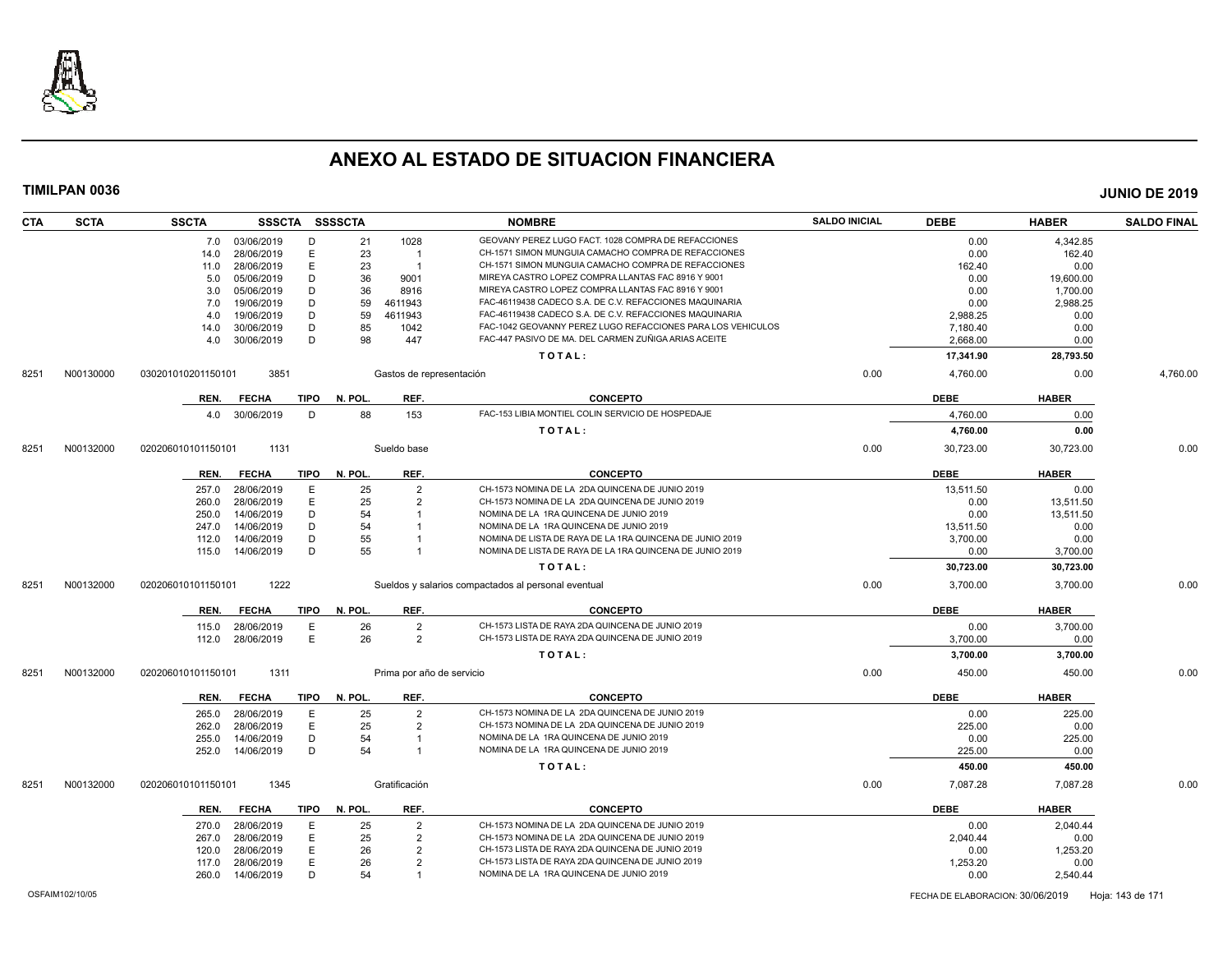

| <b>CTA</b> | <b>SCTA</b> | <b>SSCTA</b>       | SSSCTA SSSSCTA |             |         |                           | <b>NOMBRE</b>                                               | <b>SALDO INICIAL</b> | <b>DEBE</b> | <b>HABER</b> | <b>SALDO FINAL</b> |
|------------|-------------|--------------------|----------------|-------------|---------|---------------------------|-------------------------------------------------------------|----------------------|-------------|--------------|--------------------|
|            |             | 7.0                | 03/06/2019     | D           | 21      | 1028                      | GEOVANY PEREZ LUGO FACT. 1028 COMPRA DE REFACCIONES         |                      | 0.00        | 4.342.85     |                    |
|            |             | 14.0               | 28/06/2019     | Е           | 23      | $\overline{1}$            | CH-1571 SIMON MUNGUIA CAMACHO COMPRA DE REFACCIONES         |                      | 0.00        | 162.40       |                    |
|            |             | 11.0               | 28/06/2019     | E           | 23      | $\overline{1}$            | CH-1571 SIMON MUNGUIA CAMACHO COMPRA DE REFACCIONES         |                      | 162.40      | 0.00         |                    |
|            |             | 5.0                | 05/06/2019     | D           | 36      | 9001                      | MIREYA CASTRO LOPEZ COMPRA LLANTAS FAC 8916 Y 9001          |                      | 0.00        | 19,600.00    |                    |
|            |             | 3.0                | 05/06/2019     | D           | 36      | 8916                      | MIREYA CASTRO LOPEZ COMPRA LLANTAS FAC 8916 Y 9001          |                      | 0.00        | 1,700.00     |                    |
|            |             | 7.0                | 19/06/2019     | D           | 59      | 4611943                   | FAC-46119438 CADECO S.A. DE C.V. REFACCIONES MAQUINARIA     |                      | 0.00        | 2,988.25     |                    |
|            |             | 4.0                | 19/06/2019     | D           | 59      | 4611943                   | FAC-46119438 CADECO S.A. DE C.V. REFACCIONES MAQUINARIA     |                      | 2,988.25    | 0.00         |                    |
|            |             | 14.0               | 30/06/2019     | D           | 85      | 1042                      | FAC-1042 GEOVANNY PEREZ LUGO REFACCIONES PARA LOS VEHICULOS |                      | 7,180.40    | 0.00         |                    |
|            |             | 4.0                | 30/06/2019     | D           | 98      | 447                       | FAC-447 PASIVO DE MA. DEL CARMEN ZUÑIGA ARIAS ACEITE        |                      | 2,668.00    | 0.00         |                    |
|            |             |                    |                |             |         |                           | TOTAL:                                                      |                      | 17,341.90   | 28,793.50    |                    |
| 8251       | N00130000   | 030201010201150101 | 3851           |             |         | Gastos de representación  |                                                             | 0.00                 | 4,760.00    | 0.00         | 4,760.00           |
|            |             | REN.               | <b>FECHA</b>   | TIPO        | N. POL. | REF.                      | <b>CONCEPTO</b>                                             |                      | <b>DEBE</b> | <b>HABER</b> |                    |
|            |             | 4.0                | 30/06/2019     | D           | 88      | 153                       | FAC-153 LIBIA MONTIEL COLIN SERVICIO DE HOSPEDAJE           |                      | 4,760.00    | 0.00         |                    |
|            |             |                    |                |             |         |                           | TOTAL:                                                      |                      |             | 0.00         |                    |
|            |             |                    |                |             |         |                           |                                                             |                      | 4,760.00    |              |                    |
| 8251       | N00132000   | 020206010101150101 | 1131           |             |         | Sueldo base               |                                                             | 0.00                 | 30,723.00   | 30,723.00    | 0.00               |
|            |             | REN.               | <b>FECHA</b>   | <b>TIPO</b> | N. POL. | REF.                      | <b>CONCEPTO</b>                                             |                      | <b>DEBE</b> | <b>HABER</b> |                    |
|            |             | 257.0              | 28/06/2019     | Ε           | 25      | $\overline{2}$            | CH-1573 NOMINA DE LA 2DA QUINCENA DE JUNIO 2019             |                      | 13.511.50   | 0.00         |                    |
|            |             | 260.0              | 28/06/2019     | E           | 25      | $\overline{2}$            | CH-1573 NOMINA DE LA 2DA QUINCENA DE JUNIO 2019             |                      | 0.00        | 13,511.50    |                    |
|            |             | 250.0              | 14/06/2019     | D           | 54      |                           | NOMINA DE LA 1RA QUINCENA DE JUNIO 2019                     |                      | 0.00        | 13,511.50    |                    |
|            |             | 247.0              | 14/06/2019     | D           | 54      |                           | NOMINA DE LA 1RA QUINCENA DE JUNIO 2019                     |                      | 13,511.50   | 0.00         |                    |
|            |             | 112.0              | 14/06/2019     | D           | 55      |                           | NOMINA DE LISTA DE RAYA DE LA 1RA QUINCENA DE JUNIO 2019    |                      | 3,700.00    | 0.00         |                    |
|            |             | 115.0              | 14/06/2019     | D           | 55      |                           | NOMINA DE LISTA DE RAYA DE LA 1RA QUINCENA DE JUNIO 2019    |                      | 0.00        | 3,700.00     |                    |
|            |             |                    |                |             |         |                           | TOTAL:                                                      |                      | 30,723.00   | 30,723.00    |                    |
| 8251       | N00132000   | 020206010101150101 | 1222           |             |         |                           | Sueldos y salarios compactados al personal eventual         | 0.00                 | 3,700.00    | 3,700.00     | 0.00               |
|            |             |                    |                |             |         |                           |                                                             |                      |             |              |                    |
|            |             | REN.               | <b>FECHA</b>   | <b>TIPO</b> | N. POL. | REF.                      | <b>CONCEPTO</b>                                             |                      | <b>DEBE</b> | <b>HABER</b> |                    |
|            |             | 115.0              | 28/06/2019     | E           | 26      | $\overline{2}$            | CH-1573 LISTA DE RAYA 2DA QUINCENA DE JUNIO 2019            |                      | 0.00        | 3.700.00     |                    |
|            |             | 112.0              | 28/06/2019     | E           | 26      | $\overline{2}$            | CH-1573 LISTA DE RAYA 2DA QUINCENA DE JUNIO 2019            |                      | 3,700.00    | 0.00         |                    |
|            |             |                    |                |             |         |                           | TOTAL:                                                      |                      | 3,700.00    | 3,700.00     |                    |
| 8251       | N00132000   | 020206010101150101 | 1311           |             |         | Prima por año de servicio |                                                             | 0.00                 | 450.00      | 450.00       | 0.00               |
|            |             | REN.               | <b>FECHA</b>   | <b>TIPO</b> | N. POL. | REF.                      | <b>CONCEPTO</b>                                             |                      | <b>DEBE</b> | <b>HABER</b> |                    |
|            |             | 265.0              | 28/06/2019     | Ε           | 25      | 2                         | CH-1573 NOMINA DE LA 2DA QUINCENA DE JUNIO 2019             |                      | 0.00        | 225.00       |                    |
|            |             | 262.0              | 28/06/2019     | E           | 25      | $\overline{2}$            | CH-1573 NOMINA DE LA 2DA QUINCENA DE JUNIO 2019             |                      | 225.00      | 0.00         |                    |
|            |             | 255.0              | 14/06/2019     | D           | 54      |                           | NOMINA DE LA 1RA QUINCENA DE JUNIO 2019                     |                      | 0.00        | 225.00       |                    |
|            |             | 252.0              | 14/06/2019     | D           | 54      | $\overline{1}$            | NOMINA DE LA 1RA QUINCENA DE JUNIO 2019                     |                      | 225.00      | 0.00         |                    |
|            |             |                    |                |             |         |                           | TOTAL:                                                      |                      | 450.00      | 450.00       |                    |
|            |             |                    |                |             |         |                           |                                                             |                      |             |              |                    |
| 8251       | N00132000   | 020206010101150101 | 1345           |             |         | Gratificación             |                                                             | 0.00                 | 7,087.28    | 7,087.28     | 0.00               |
|            |             | REN.               | <b>FECHA</b>   | <b>TIPO</b> | N. POL. | REF.                      | <b>CONCEPTO</b>                                             |                      | <b>DEBE</b> | <b>HABER</b> |                    |
|            |             | 270.0              | 28/06/2019     | Ε           | 25      | 2                         | CH-1573 NOMINA DE LA 2DA QUINCENA DE JUNIO 2019             |                      | 0.00        | 2,040.44     |                    |
|            |             | 267.0              | 28/06/2019     | E           | 25      | $\overline{2}$            | CH-1573 NOMINA DE LA 2DA QUINCENA DE JUNIO 2019             |                      | 2.040.44    | 0.00         |                    |
|            |             | 120.0              | 28/06/2019     | Ε           | 26      | $\overline{2}$            | CH-1573 LISTA DE RAYA 2DA QUINCENA DE JUNIO 2019            |                      | 0.00        | 1,253.20     |                    |
|            |             | 117.0              | 28/06/2019     | E           | 26      | $\overline{2}$            | CH-1573 LISTA DE RAYA 2DA QUINCENA DE JUNIO 2019            |                      | 1,253.20    | 0.00         |                    |
|            |             | 260.0              | 14/06/2019     | D           | 54      | $\overline{1}$            | NOMINA DE LA 1RA QUINCENA DE JUNIO 2019                     |                      | 0.00        | 2,540.44     |                    |
|            |             |                    |                |             |         |                           |                                                             |                      |             |              |                    |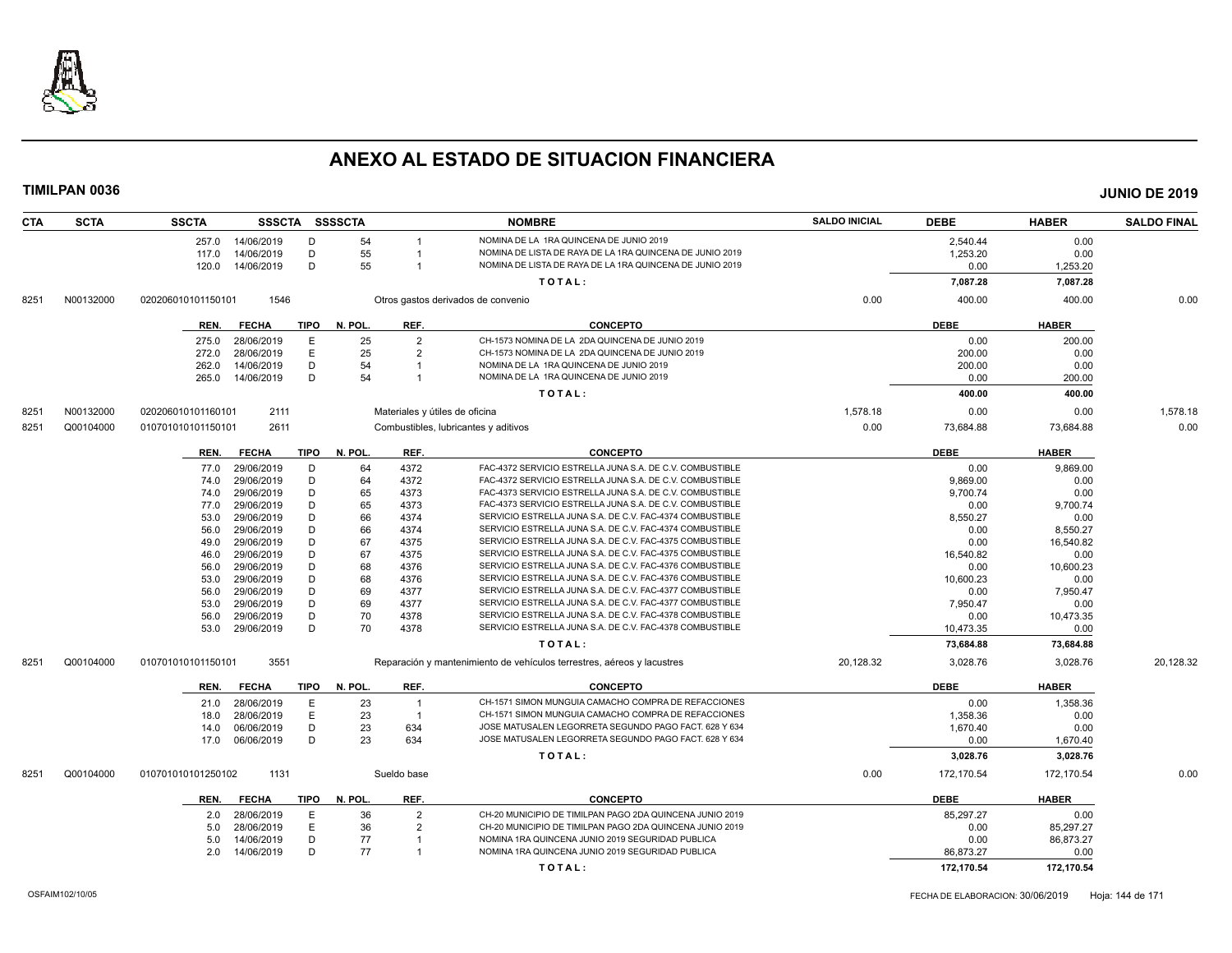

| <b>CTA</b> | <b>SCTA</b> | <b>SSCTA</b>       | <b>SSSCTA</b> |             | <b>SSSSCTA</b> |                                | <b>NOMBRE</b>                                                          | <b>SALDO INICIAL</b> | <b>DEBE</b> | <b>HABER</b> | <b>SALDO FINAL</b> |
|------------|-------------|--------------------|---------------|-------------|----------------|--------------------------------|------------------------------------------------------------------------|----------------------|-------------|--------------|--------------------|
|            |             | 257.0              | 14/06/2019    | D           | 54             | $\overline{1}$                 | NOMINA DE LA 1RA QUINCENA DE JUNIO 2019                                |                      | 2,540.44    | 0.00         |                    |
|            |             | 117.0              | 14/06/2019    | D           | 55             |                                | NOMINA DE LISTA DE RAYA DE LA 1RA QUINCENA DE JUNIO 2019               |                      | 1,253.20    | 0.00         |                    |
|            |             | 120.0              | 14/06/2019    | D           | 55             | $\overline{1}$                 | NOMINA DE LISTA DE RAYA DE LA 1RA QUINCENA DE JUNIO 2019               |                      | 0.00        | 1,253.20     |                    |
|            |             |                    |               |             |                |                                | TOTAL:                                                                 |                      | 7,087.28    | 7,087.28     |                    |
| 8251       | N00132000   | 020206010101150101 | 1546          |             |                |                                | Otros gastos derivados de convenio                                     | 0.00                 | 400.00      | 400.00       | 0.00               |
|            |             | REN.               | <b>FECHA</b>  | <b>TIPO</b> | N. POL.        | REF.                           | <b>CONCEPTO</b>                                                        |                      | <b>DEBE</b> | <b>HABER</b> |                    |
|            |             | 275.0              | 28/06/2019    | Е           | 25             | $\overline{2}$                 | CH-1573 NOMINA DE LA 2DA QUINCENA DE JUNIO 2019                        |                      | 0.00        | 200.00       |                    |
|            |             | 272.0              | 28/06/2019    | E           | 25             | $\overline{2}$                 | CH-1573 NOMINA DE LA 2DA QUINCENA DE JUNIO 2019                        |                      | 200.00      | 0.00         |                    |
|            |             | 262.0              | 14/06/2019    | D           | 54             | $\overline{1}$                 | NOMINA DE LA 1RA QUINCENA DE JUNIO 2019                                |                      | 200.00      | 0.00         |                    |
|            |             | 265.0              | 14/06/2019    | D           | 54             | -1                             | NOMINA DE LA 1RA QUINCENA DE JUNIO 2019                                |                      | 0.00        | 200.00       |                    |
|            |             |                    |               |             |                |                                | TOTAL:                                                                 |                      | 400.00      | 400.00       |                    |
| 8251       | N00132000   | 020206010101160101 | 2111          |             |                | Materiales y útiles de oficina |                                                                        | 1,578.18             | 0.00        | 0.00         | 1,578.18           |
| 8251       | Q00104000   | 010701010101150101 | 2611          |             |                |                                | Combustibles, lubricantes y aditivos                                   | 0.00                 | 73,684.88   | 73,684.88    | 0.00               |
|            |             | REN.               | <b>FECHA</b>  | <b>TIPO</b> | N. POL.        | REF.                           | <b>CONCEPTO</b>                                                        |                      | <b>DEBE</b> | <b>HABER</b> |                    |
|            |             | 77.0               | 29/06/2019    | D           | 64             | 4372                           | FAC-4372 SERVICIO ESTRELLA JUNA S.A. DE C.V. COMBUSTIBLE               |                      | 0.00        | 9,869.00     |                    |
|            |             | 74.0               | 29/06/2019    | D           | 64             | 4372                           | FAC-4372 SERVICIO ESTRELLA JUNA S.A. DE C.V. COMBUSTIBLE               |                      | 9,869.00    | 0.00         |                    |
|            |             | 74.0               | 29/06/2019    | D           | 65             | 4373                           | FAC-4373 SERVICIO ESTRELLA JUNA S.A. DE C.V. COMBUSTIBLE               |                      | 9,700.74    | 0.00         |                    |
|            |             | 77.0               | 29/06/2019    | D           | 65             | 4373                           | FAC-4373 SERVICIO ESTRELLA JUNA S.A. DE C.V. COMBUSTIBLE               |                      | 0.00        | 9,700.74     |                    |
|            |             | 53.0               | 29/06/2019    | D           | 66             | 4374                           | SERVICIO ESTRELLA JUNA S.A. DE C.V. FAC-4374 COMBUSTIBLE               |                      | 8,550.27    | 0.00         |                    |
|            |             | 56.0               | 29/06/2019    | D           | 66             | 4374                           | SERVICIO ESTRELLA JUNA S.A. DE C.V. FAC-4374 COMBUSTIBLE               |                      | 0.00        | 8,550.27     |                    |
|            |             | 49.0               | 29/06/2019    | D           | 67             | 4375                           | SERVICIO ESTRELLA JUNA S.A. DE C.V. FAC-4375 COMBUSTIBLE               |                      | 0.00        | 16,540.82    |                    |
|            |             | 46.0               | 29/06/2019    | D           | 67             | 4375                           | SERVICIO ESTRELLA JUNA S.A. DE C.V. FAC-4375 COMBUSTIBLE               |                      | 16.540.82   | 0.00         |                    |
|            |             | 56.0               | 29/06/2019    | D           | 68             | 4376                           | SERVICIO ESTRELLA JUNA S.A. DE C.V. FAC-4376 COMBUSTIBLE               |                      | 0.00        | 10,600.23    |                    |
|            |             | 53.0               | 29/06/2019    | D           | 68             | 4376                           | SERVICIO ESTRELLA JUNA S.A. DE C.V. FAC-4376 COMBUSTIBLE               |                      | 10,600.23   | 0.00         |                    |
|            |             | 56.0               | 29/06/2019    | D           | 69             | 4377                           | SERVICIO ESTRELLA JUNA S.A. DE C.V. FAC-4377 COMBUSTIBLE               |                      | 0.00        | 7,950.47     |                    |
|            |             | 53.0               | 29/06/2019    | D           | 69             | 4377                           | SERVICIO ESTRELLA JUNA S.A. DE C.V. FAC-4377 COMBUSTIBLE               |                      | 7,950.47    | 0.00         |                    |
|            |             | 56.0               | 29/06/2019    | D           | 70             | 4378                           | SERVICIO ESTRELLA JUNA S.A. DE C.V. FAC-4378 COMBUSTIBLE               |                      | 0.00        | 10,473.35    |                    |
|            |             | 53.0               | 29/06/2019    | D           | 70             | 4378                           | SERVICIO ESTRELLA JUNA S.A. DE C.V. FAC-4378 COMBUSTIBLE               |                      | 10,473.35   | 0.00         |                    |
|            |             |                    |               |             |                |                                | TOTAL:                                                                 |                      | 73,684.88   | 73,684.88    |                    |
| 8251       | Q00104000   | 010701010101150101 | 3551          |             |                |                                | Reparación y mantenimiento de vehículos terrestres, aéreos y lacustres | 20,128.32            | 3,028.76    | 3,028.76     | 20,128.32          |
|            |             | REN.               | <b>FECHA</b>  | <b>TIPO</b> | N. POL.        | REF.                           | <b>CONCEPTO</b>                                                        |                      | <b>DEBE</b> | <b>HABER</b> |                    |
|            |             | 21.0               | 28/06/2019    | E           | 23             | $\overline{1}$                 | CH-1571 SIMON MUNGUIA CAMACHO COMPRA DE REFACCIONES                    |                      | 0.00        | 1,358.36     |                    |
|            |             | 18.0               | 28/06/2019    | E           | 23             | $\overline{1}$                 | CH-1571 SIMON MUNGUIA CAMACHO COMPRA DE REFACCIONES                    |                      | 1,358.36    | 0.00         |                    |
|            |             | 14.0               | 06/06/2019    | D           | 23             | 634                            | JOSE MATUSALEN LEGORRETA SEGUNDO PAGO FACT. 628 Y 634                  |                      | 1,670.40    | 0.00         |                    |
|            |             | 17.0               | 06/06/2019    | D           | 23             | 634                            | JOSE MATUSALEN LEGORRETA SEGUNDO PAGO FACT. 628 Y 634                  |                      | 0.00        | 1,670.40     |                    |
|            |             |                    |               |             |                |                                | TOTAL:                                                                 |                      | 3,028.76    | 3,028.76     |                    |
| 8251       | Q00104000   | 010701010101250102 | 1131          |             |                | Sueldo base                    |                                                                        | 0.00                 | 172,170.54  | 172,170.54   | 0.00               |
|            |             | REN.               | <b>FECHA</b>  | <b>TIPO</b> | N. POL.        | REF.                           | <b>CONCEPTO</b>                                                        |                      | <b>DEBE</b> | <b>HABER</b> |                    |
|            |             | 2.0                | 28/06/2019    | Е           | 36             | $\overline{2}$                 | CH-20 MUNICIPIO DE TIMILPAN PAGO 2DA QUINCENA JUNIO 2019               |                      | 85,297.27   | 0.00         |                    |
|            |             | 5.0                | 28/06/2019    | E           | 36             | $\overline{2}$                 | CH-20 MUNICIPIO DE TIMILPAN PAGO 2DA QUINCENA JUNIO 2019               |                      | 0.00        | 85,297.27    |                    |
|            |             | 5.0                | 14/06/2019    | D           | 77             |                                | NOMINA 1RA QUINCENA JUNIO 2019 SEGURIDAD PUBLICA                       |                      | 0.00        | 86,873.27    |                    |
|            |             | 2.0                | 14/06/2019    | D           | 77             | $\overline{1}$                 | NOMINA 1RA QUINCENA JUNIO 2019 SEGURIDAD PUBLICA                       |                      | 86,873.27   | 0.00         |                    |
|            |             |                    |               |             |                |                                | TOTAL:                                                                 |                      | 172,170.54  | 172,170.54   |                    |
|            |             |                    |               |             |                |                                |                                                                        |                      |             |              |                    |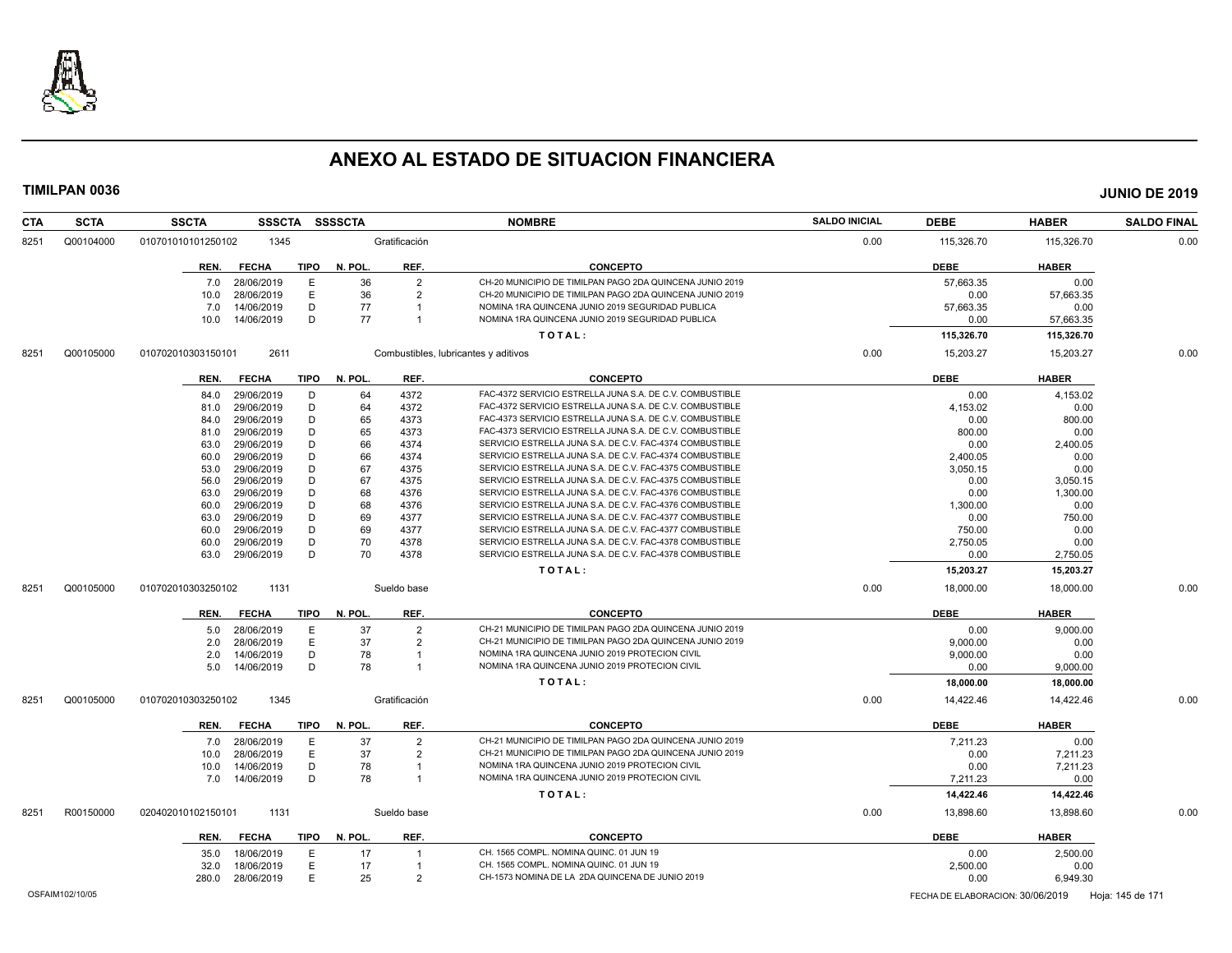

| <b>CTA</b> | <b>SCTA</b> | <b>SSCTA</b><br><b>SSSCTA</b> | <b>SSSSCTA</b>         |                | <b>NOMBRE</b>                                            | <b>SALDO INICIAL</b> | <b>DEBE</b> | <b>HABER</b> | <b>SALDO FINAL</b> |
|------------|-------------|-------------------------------|------------------------|----------------|----------------------------------------------------------|----------------------|-------------|--------------|--------------------|
| 8251       | Q00104000   | 010701010101250102<br>1345    |                        | Gratificación  |                                                          | 0.00                 | 115,326.70  | 115,326.70   | 0.00               |
|            |             | REN. FECHA                    | <b>TIPO</b><br>N. POL. | REF.           | <b>CONCEPTO</b>                                          |                      | <b>DEBE</b> | <b>HABER</b> |                    |
|            |             | 28/06/2019<br>7.0             | E<br>36                | $\overline{2}$ | CH-20 MUNICIPIO DE TIMILPAN PAGO 2DA QUINCENA JUNIO 2019 |                      | 57,663.35   | 0.00         |                    |
|            |             | 28/06/2019<br>10.0            | E<br>36                | $\overline{2}$ | CH-20 MUNICIPIO DE TIMILPAN PAGO 2DA QUINCENA JUNIO 2019 |                      | 0.00        | 57,663.35    |                    |
|            |             | 14/06/2019<br>7.0             | D<br>77                | -1             | NOMINA 1RA QUINCENA JUNIO 2019 SEGURIDAD PUBLICA         |                      | 57,663.35   | 0.00         |                    |
|            |             | 14/06/2019<br>10.0            | D<br>77                | $\overline{1}$ | NOMINA 1RA QUINCENA JUNIO 2019 SEGURIDAD PUBLICA         |                      | 0.00        | 57,663.35    |                    |
|            |             |                               |                        |                | TOTAL:                                                   |                      | 115,326.70  | 115,326.70   |                    |
| 8251       | Q00105000   | 2611<br>010702010303150101    |                        |                | Combustibles, lubricantes y aditivos                     | 0.00                 | 15,203.27   | 15,203.27    | 0.00               |
|            |             | REN.<br><b>FECHA</b>          | TIPO<br>N. POL.        | REF.           | <b>CONCEPTO</b>                                          |                      | <b>DEBE</b> | <b>HABER</b> |                    |
|            |             | 29/06/2019<br>84.0            | D<br>64                | 4372           | FAC-4372 SERVICIO ESTRELLA JUNA S.A. DE C.V. COMBUSTIBLE |                      | 0.00        | 4,153.02     |                    |
|            |             | 29/06/2019<br>81.0            | D<br>64                | 4372           | FAC-4372 SERVICIO ESTRELLA JUNA S.A. DE C.V. COMBUSTIBLE |                      | 4,153.02    | 0.00         |                    |
|            |             | 29/06/2019<br>84.0            | D<br>65                | 4373           | FAC-4373 SERVICIO ESTRELLA JUNA S.A. DE C.V. COMBUSTIBLE |                      | 0.00        | 800.00       |                    |
|            |             | 29/06/2019<br>81.0            | D<br>65                | 4373           | FAC-4373 SERVICIO ESTRELLA JUNA S.A. DE C.V. COMBUSTIBLE |                      | 800.00      | 0.00         |                    |
|            |             | 29/06/2019<br>63.0            | D<br>66                | 4374           | SERVICIO ESTRELLA JUNA S.A. DE C.V. FAC-4374 COMBUSTIBLE |                      | 0.00        | 2,400.05     |                    |
|            |             | 29/06/2019<br>60.0            | 66<br>D                | 4374           | SERVICIO ESTRELLA JUNA S.A. DE C.V. FAC-4374 COMBUSTIBLE |                      | 2,400.05    | 0.00         |                    |
|            |             | 29/06/2019<br>53.0            | D<br>67                | 4375           | SERVICIO ESTRELLA JUNA S.A. DE C.V. FAC-4375 COMBUSTIBLE |                      | 3,050.15    | 0.00         |                    |
|            |             | 29/06/2019<br>56.0            | D<br>67                | 4375           | SERVICIO ESTRELLA JUNA S.A. DE C.V. FAC-4375 COMBUSTIBLE |                      | 0.00        | 3,050.15     |                    |
|            |             | 29/06/2019<br>63.0            | D<br>68                | 4376           | SERVICIO ESTRELLA JUNA S.A. DE C.V. FAC-4376 COMBUSTIBLE |                      | 0.00        | 1,300.00     |                    |
|            |             | 29/06/2019<br>60.0            | D<br>68                | 4376           | SERVICIO ESTRELLA JUNA S.A. DE C.V. FAC-4376 COMBUSTIBLE |                      | 1,300.00    | 0.00         |                    |
|            |             | 29/06/2019<br>63.0            | D<br>69                | 4377           | SERVICIO ESTRELLA JUNA S.A. DE C.V. FAC-4377 COMBUSTIBLE |                      | 0.00        | 750.00       |                    |
|            |             | 29/06/2019<br>60.0            | D<br>69                | 4377           | SERVICIO ESTRELLA JUNA S.A. DE C.V. FAC-4377 COMBUSTIBLE |                      | 750.00      | 0.00         |                    |
|            |             | 29/06/2019<br>60.0            | D<br>70                | 4378           | SERVICIO ESTRELLA JUNA S.A. DE C.V. FAC-4378 COMBUSTIBLE |                      | 2,750.05    | 0.00         |                    |
|            |             | 29/06/2019<br>63.0            | D<br>70                | 4378           | SERVICIO ESTRELLA JUNA S.A. DE C.V. FAC-4378 COMBUSTIBLE |                      | 0.00        | 2,750.05     |                    |
|            |             |                               |                        |                | TOTAL:                                                   |                      | 15,203.27   | 15,203.27    |                    |
| 8251       | Q00105000   | 1131<br>010702010303250102    |                        | Sueldo base    |                                                          | 0.00                 | 18,000.00   | 18,000.00    | 0.00               |
|            |             | <b>FECHA</b><br>REN.          | TIPO<br>N. POL.        | REF.           | <b>CONCEPTO</b>                                          |                      | <b>DEBE</b> | <b>HABER</b> |                    |
|            |             | 28/06/2019<br>5.0             | E<br>37                | $\overline{2}$ | CH-21 MUNICIPIO DE TIMILPAN PAGO 2DA QUINCENA JUNIO 2019 |                      | 0.00        | 9,000.00     |                    |
|            |             | 28/06/2019<br>2.0             | E<br>37                | $\overline{2}$ | CH-21 MUNICIPIO DE TIMILPAN PAGO 2DA QUINCENA JUNIO 2019 |                      | 9,000.00    | 0.00         |                    |
|            |             | 14/06/2019<br>2.0             | D<br>78                | -1             | NOMINA 1RA QUINCENA JUNIO 2019 PROTECION CIVIL           |                      | 9,000.00    | 0.00         |                    |
|            |             | 14/06/2019<br>5.0             | D<br>78                | $\overline{1}$ | NOMINA 1RA QUINCENA JUNIO 2019 PROTECION CIVIL           |                      | 0.00        | 9,000.00     |                    |
|            |             |                               |                        |                | TOTAL:                                                   |                      | 18,000.00   | 18,000.00    |                    |
| 8251       | Q00105000   | 1345<br>010702010303250102    |                        | Gratificación  |                                                          | 0.00                 | 14,422.46   | 14,422.46    | 0.00               |
|            |             | <b>FECHA</b><br>REN.          | <b>TIPO</b><br>N. POL. | REF.           | <b>CONCEPTO</b>                                          |                      | <b>DEBE</b> | <b>HABER</b> |                    |
|            |             | 28/06/2019<br>7.0             | Ε<br>37                | $\overline{2}$ | CH-21 MUNICIPIO DE TIMILPAN PAGO 2DA QUINCENA JUNIO 2019 |                      | 7,211.23    | 0.00         |                    |
|            |             | 28/06/2019<br>10.0            | E<br>37                | $\overline{2}$ | CH-21 MUNICIPIO DE TIMILPAN PAGO 2DA QUINCENA JUNIO 2019 |                      | 0.00        | 7,211.23     |                    |
|            |             | 14/06/2019<br>10.0            | D<br>78                | -1             | NOMINA 1RA QUINCENA JUNIO 2019 PROTECION CIVIL           |                      | 0.00        | 7,211.23     |                    |
|            |             | 14/06/2019<br>7.0             | D<br>78                | -1             | NOMINA 1RA QUINCENA JUNIO 2019 PROTECION CIVIL           |                      | 7,211.23    | 0.00         |                    |
|            |             |                               |                        |                | TOTAL:                                                   |                      | 14,422.46   | 14,422.46    |                    |
| 8251       | R00150000   | 020402010102150101<br>1131    |                        | Sueldo base    |                                                          | 0.00                 | 13,898.60   | 13,898.60    | 0.00               |
|            |             | <b>FECHA</b><br>REN.          | TIPO<br>N. POL.        | REF.           | <b>CONCEPTO</b>                                          |                      | <b>DEBE</b> | <b>HABER</b> |                    |
|            |             | 18/06/2019<br>35.0            | 17<br>Е                |                | CH. 1565 COMPL. NOMINA QUINC. 01 JUN 19                  |                      | 0.00        | 2,500.00     |                    |
|            |             | 32.0<br>18/06/2019            | E<br>17                | $\overline{1}$ | CH. 1565 COMPL. NOMINA QUINC. 01 JUN 19                  |                      | 2,500.00    | 0.00         |                    |
|            |             | 28/06/2019<br>280.0           | E<br>25                | $\overline{2}$ | CH-1573 NOMINA DE LA 2DA QUINCENA DE JUNIO 2019          |                      | 0.00        | 6,949.30     |                    |
|            |             |                               |                        |                |                                                          |                      |             |              |                    |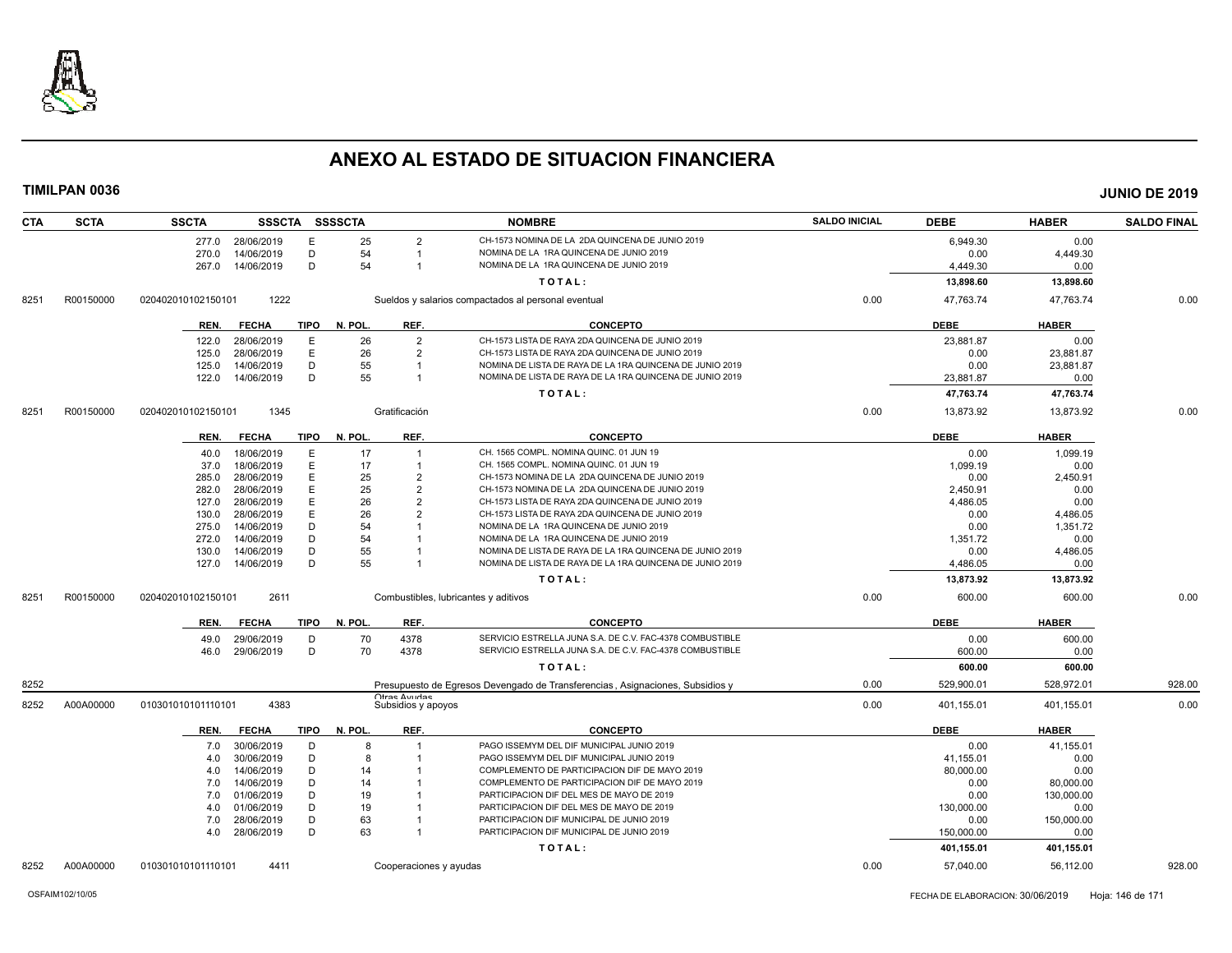

| <b>CTA</b> | <b>SCTA</b> | <b>SSCTA</b>       |                          |             | SSSCTA SSSSCTA |                                     | <b>NOMBRE</b>                                                                      | <b>SALDO INICIAL</b> | <b>DEBE</b>      | <b>HABER</b>     | <b>SALDO FINAL</b> |
|------------|-------------|--------------------|--------------------------|-------------|----------------|-------------------------------------|------------------------------------------------------------------------------------|----------------------|------------------|------------------|--------------------|
|            |             | 277.0              | 28/06/2019               | Е           | 25             | 2                                   | CH-1573 NOMINA DE LA 2DA QUINCENA DE JUNIO 2019                                    |                      | 6,949.30         | 0.00             |                    |
|            |             | 270.0              | 14/06/2019               | D           | 54             | -1                                  | NOMINA DE LA 1RA QUINCENA DE JUNIO 2019                                            |                      | 0.00             | 4,449.30         |                    |
|            |             | 267.0              | 14/06/2019               | D           | 54             | -1                                  | NOMINA DE LA 1RA QUINCENA DE JUNIO 2019                                            |                      | 4,449.30         | 0.00             |                    |
|            |             |                    |                          |             |                |                                     | TOTAL:                                                                             |                      | 13,898.60        | 13,898.60        |                    |
| 8251       | R00150000   | 020402010102150101 | 1222                     |             |                |                                     | Sueldos y salarios compactados al personal eventual                                | 0.00                 | 47,763.74        | 47,763.74        | 0.00               |
|            |             | REN.               | <b>FECHA</b>             | TIPO        | N. POL.        | REF.                                | <b>CONCEPTO</b>                                                                    |                      | <b>DEBE</b>      | <b>HABER</b>     |                    |
|            |             | 122.0              | 28/06/2019               | Ε           | 26             | 2                                   | CH-1573 LISTA DE RAYA 2DA QUINCENA DE JUNIO 2019                                   |                      | 23,881.87        | 0.00             |                    |
|            |             | 125.0              | 28/06/2019               | Ε           | 26             | $\overline{2}$                      | CH-1573 LISTA DE RAYA 2DA QUINCENA DE JUNIO 2019                                   |                      | 0.00             | 23,881.87        |                    |
|            |             | 125.0              | 14/06/2019               | D           | 55             |                                     | NOMINA DE LISTA DE RAYA DE LA 1RA QUINCENA DE JUNIO 2019                           |                      | 0.00             | 23,881.87        |                    |
|            |             | 122.0              | 14/06/2019               | D           | 55             | -1                                  | NOMINA DE LISTA DE RAYA DE LA 1RA QUINCENA DE JUNIO 2019                           |                      | 23,881.87        | 0.00             |                    |
|            |             |                    |                          |             |                |                                     | TOTAL:                                                                             |                      | 47,763.74        | 47,763.74        |                    |
| 8251       | R00150000   | 020402010102150101 | 1345                     |             |                | Gratificación                       |                                                                                    | 0.00                 | 13,873.92        | 13,873.92        | 0.00               |
|            |             | REN.               | <b>FECHA</b>             | <b>TIPO</b> | N. POL.        | REF.                                | <b>CONCEPTO</b>                                                                    |                      | <b>DEBE</b>      | <b>HABER</b>     |                    |
|            |             |                    |                          |             |                |                                     |                                                                                    |                      |                  |                  |                    |
|            |             | 40.0               | 18/06/2019<br>18/06/2019 | Ε<br>Ε      | 17<br>17       | $\mathbf 1$                         | CH. 1565 COMPL. NOMINA QUINC. 01 JUN 19<br>CH. 1565 COMPL. NOMINA QUINC. 01 JUN 19 |                      | 0.00<br>1,099.19 | 1,099.19<br>0.00 |                    |
|            |             | 37.0<br>285.0      |                          | E           | 25             | $\overline{2}$                      | CH-1573 NOMINA DE LA 2DA QUINCENA DE JUNIO 2019                                    |                      | 0.00             |                  |                    |
|            |             | 282.0              | 28/06/2019<br>28/06/2019 | E           | 25             | $\mathcal{P}$                       | CH-1573 NOMINA DE LA 2DA QUINCENA DE JUNIO 2019                                    |                      | 2.450.91         | 2,450.91<br>0.00 |                    |
|            |             | 127.0              | 28/06/2019               | E           | 26             | 2                                   | CH-1573 LISTA DE RAYA 2DA QUINCENA DE JUNIO 2019                                   |                      | 4,486.05         | 0.00             |                    |
|            |             | 130.0              | 28/06/2019               | E           | 26             | $\mathcal{P}$                       | CH-1573 LISTA DE RAYA 2DA QUINCENA DE JUNIO 2019                                   |                      | 0.00             | 4,486.05         |                    |
|            |             | 275.0              | 14/06/2019               | D           | 54             |                                     | NOMINA DE LA 1RA QUINCENA DE JUNIO 2019                                            |                      | 0.00             | 1,351.72         |                    |
|            |             | 272.0              | 14/06/2019               | D           | 54             |                                     | NOMINA DE LA 1RA QUINCENA DE JUNIO 2019                                            |                      | 1,351.72         | 0.00             |                    |
|            |             | 130.0              | 14/06/2019               | D           | 55             |                                     | NOMINA DE LISTA DE RAYA DE LA 1RA QUINCENA DE JUNIO 2019                           |                      | 0.00             | 4,486.05         |                    |
|            |             | 127.0              | 14/06/2019               | D           | 55             |                                     | NOMINA DE LISTA DE RAYA DE LA 1RA QUINCENA DE JUNIO 2019                           |                      | 4,486.05         | 0.00             |                    |
|            |             |                    |                          |             |                |                                     | TOTAL:                                                                             |                      | 13,873.92        | 13,873.92        |                    |
| 8251       | R00150000   | 020402010102150101 | 2611                     |             |                |                                     | Combustibles, lubricantes y aditivos                                               | 0.00                 | 600.00           | 600.00           | 0.00               |
|            |             | REN.               | <b>FECHA</b>             | TIPO        | N. POL.        | REF.                                | <b>CONCEPTO</b>                                                                    |                      | <b>DEBE</b>      | <b>HABER</b>     |                    |
|            |             | 49.0               | 29/06/2019               | D           | 70             | 4378                                | SERVICIO ESTRELLA JUNA S.A. DE C.V. FAC-4378 COMBUSTIBLE                           |                      | 0.00             | 600.00           |                    |
|            |             | 46.0               | 29/06/2019               | D           | 70             | 4378                                | SERVICIO ESTRELLA JUNA S.A. DE C.V. FAC-4378 COMBUSTIBLE                           |                      | 600.00           | 0.00             |                    |
|            |             |                    |                          |             |                |                                     | TOTAL:                                                                             |                      | 600.00           | 600.00           |                    |
| 8252       |             |                    |                          |             |                |                                     | Presupuesto de Egresos Devengado de Transferencias, Asignaciones, Subsidios y      | 0.00                 | 529,900.01       | 528,972.01       | 928.00             |
| 8252       | A00A00000   | 010301010101110101 | 4383                     |             |                | Ofrae Avurdae<br>Subsidios y apoyos |                                                                                    | 0.00                 | 401,155.01       | 401,155.01       | 0.00               |
|            |             | REN.               | <b>FECHA</b>             | <b>TIPO</b> | N. POL.        | REF.                                | <b>CONCEPTO</b>                                                                    |                      | <b>DEBE</b>      | <b>HABER</b>     |                    |
|            |             | 7.0                | 30/06/2019               | D           | 8              | -1                                  | PAGO ISSEMYM DEL DIF MUNICIPAL JUNIO 2019                                          |                      | 0.00             | 41,155.01        |                    |
|            |             | 4.0                | 30/06/2019               | D           | 8              |                                     | PAGO ISSEMYM DEL DIF MUNICIPAL JUNIO 2019                                          |                      | 41.155.01        | 0.00             |                    |
|            |             | 4.0                | 14/06/2019               | D           | 14             |                                     | COMPLEMENTO DE PARTICIPACION DIF DE MAYO 2019                                      |                      | 80,000.00        | 0.00             |                    |
|            |             | 7.0                | 14/06/2019               | D           | 14             |                                     | COMPLEMENTO DE PARTICIPACION DIF DE MAYO 2019                                      |                      | 0.00             | 80,000.00        |                    |
|            |             | 7.0                | 01/06/2019               | D           | 19             |                                     | PARTICIPACION DIF DEL MES DE MAYO DE 2019                                          |                      | 0.00             | 130,000.00       |                    |
|            |             | 4.0                | 01/06/2019               | D           | 19             |                                     | PARTICIPACION DIF DEL MES DE MAYO DE 2019                                          |                      | 130,000.00       | 0.00             |                    |
|            |             | 7.0                | 28/06/2019               | D           | 63             | -1                                  | PARTICIPACION DIF MUNICIPAL DE JUNIO 2019                                          |                      | 0.00             | 150,000.00       |                    |
|            |             | 4.0                | 28/06/2019               | D           | 63             | -1                                  | PARTICIPACION DIF MUNICIPAL DE JUNIO 2019                                          |                      | 150,000.00       | 0.00             |                    |
|            |             |                    |                          |             |                |                                     | TOTAL:                                                                             |                      | 401,155.01       | 401,155.01       |                    |
| 8252       | A00A00000   | 010301010101110101 | 4411                     |             |                | Cooperaciones y ayudas              |                                                                                    | 0.00                 | 57.040.00        | 56,112.00        | 928.00             |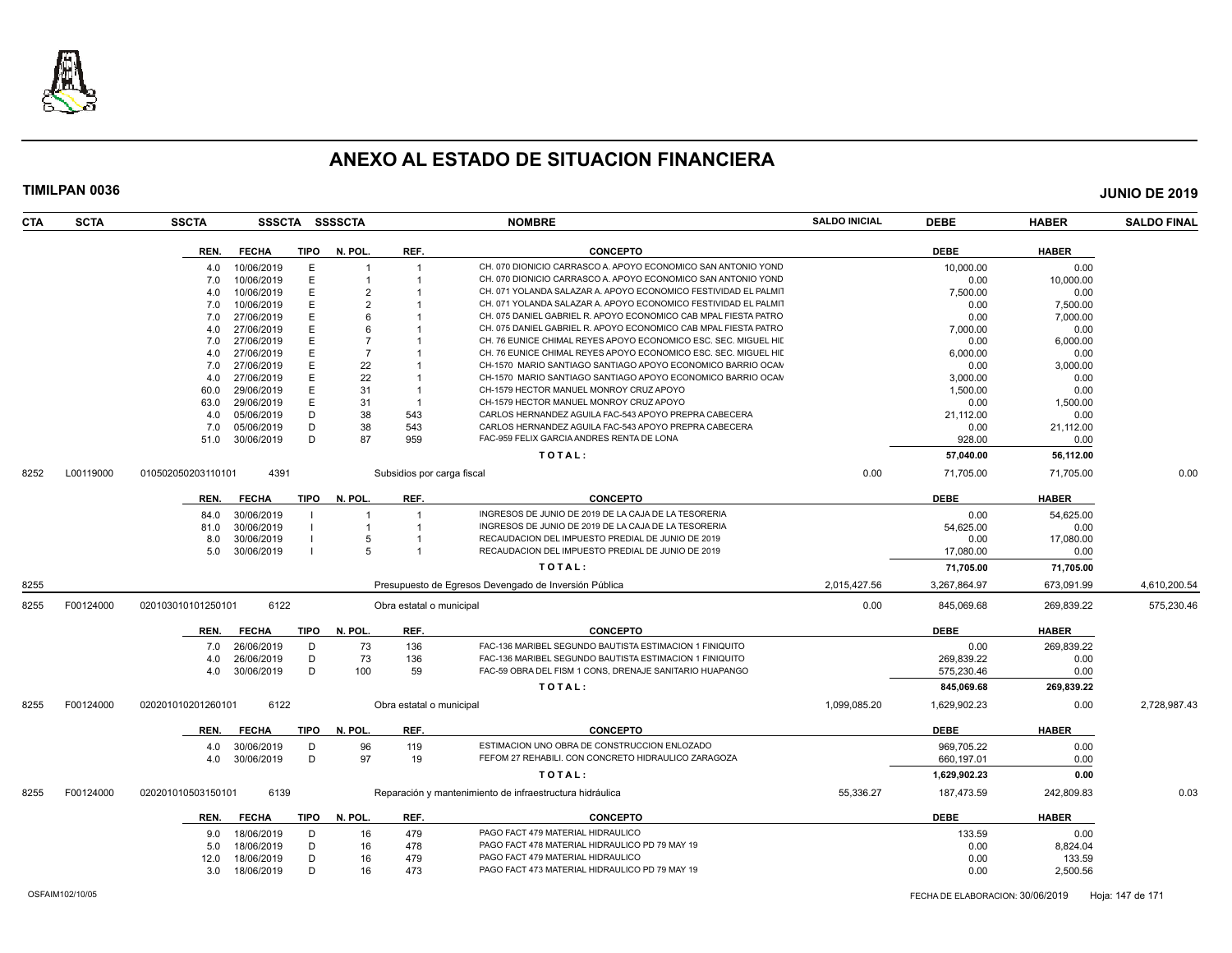

| <b>CTA</b> | <b>SCTA</b> | <b>SSCTA</b>       |              |             | SSSCTA SSSSCTA |                            | <b>NOMBRE</b>                                                                                             | <b>SALDO INICIAL</b> | <b>DEBE</b>  | <b>HABER</b> | <b>SALDO FINAL</b> |
|------------|-------------|--------------------|--------------|-------------|----------------|----------------------------|-----------------------------------------------------------------------------------------------------------|----------------------|--------------|--------------|--------------------|
|            |             | REN.               | <b>FECHA</b> | <b>TIPO</b> | N. POL.        | REF.                       | <b>CONCEPTO</b>                                                                                           |                      | <b>DEBE</b>  | <b>HABER</b> |                    |
|            |             | 4.0                | 10/06/2019   | E           |                | $\overline{1}$             | CH. 070 DIONICIO CARRASCO A. APOYO ECONOMICO SAN ANTONIO YOND                                             |                      | 10.000.00    | 0.00         |                    |
|            |             | 7.0                | 10/06/2019   | Ε           |                |                            | CH. 070 DIONICIO CARRASCO A. APOYO ECONOMICO SAN ANTONIO YOND                                             |                      | 0.00         | 10,000.00    |                    |
|            |             | 4.0                | 10/06/2019   | E           |                |                            | CH. 071 YOLANDA SALAZAR A. APOYO ECONOMICO FESTIVIDAD EL PALMIT                                           |                      | 7,500.00     | 0.00         |                    |
|            |             | 7.0                | 10/06/2019   | E           | $\mathcal{P}$  |                            | CH. 071 YOLANDA SALAZAR A. APOYO ECONOMICO FESTIVIDAD EL PALMIT                                           |                      | 0.00         | 7,500.00     |                    |
|            |             | 7.0                | 27/06/2019   | E           |                |                            | CH. 075 DANIEL GABRIEL R. APOYO ECONOMICO CAB MPAL FIESTA PATRO                                           |                      | 0.00         | 7,000.00     |                    |
|            |             | 4.0                | 27/06/2019   | E           |                |                            | CH. 075 DANIEL GABRIEL R. APOYO ECONOMICO CAB MPAL FIESTA PATRO                                           |                      | 7,000.00     | 0.00         |                    |
|            |             | 7.0                | 27/06/2019   | Е           |                |                            | CH. 76 EUNICE CHIMAL REYES APOYO ECONOMICO ESC. SEC. MIGUEL HIL                                           |                      | 0.00         | 6,000.00     |                    |
|            |             | 4.0                | 27/06/2019   | Е           | -7             |                            | CH. 76 EUNICE CHIMAL REYES APOYO ECONOMICO ESC. SEC. MIGUEL HIL                                           |                      | 6,000.00     | 0.00         |                    |
|            |             | 7.0                | 27/06/2019   | E           | 22             |                            | CH-1570 MARIO SANTIAGO SANTIAGO APOYO ECONOMICO BARRIO OCAN                                               |                      | 0.00         | 3,000.00     |                    |
|            |             | 4.0                | 27/06/2019   | E           | 22             |                            | CH-1570 MARIO SANTIAGO SANTIAGO APOYO ECONOMICO BARRIO OCAN                                               |                      | 3,000.00     | 0.00         |                    |
|            |             | 60.0               | 29/06/2019   | E           | 31             | -1                         | CH-1579 HECTOR MANUEL MONROY CRUZ APOYO                                                                   |                      | 1,500.00     | 0.00         |                    |
|            |             | 63.0               | 29/06/2019   | E           | 31             | -1                         | CH-1579 HECTOR MANUEL MONROY CRUZ APOYO                                                                   |                      | 0.00         | 1,500.00     |                    |
|            |             | 4.0                | 05/06/2019   | D           | 38             | 543                        | CARLOS HERNANDEZ AGUILA FAC-543 APOYO PREPRA CABECERA                                                     |                      | 21,112.00    | 0.00         |                    |
|            |             | 7.0                | 05/06/2019   | D           | 38             | 543                        | CARLOS HERNANDEZ AGUILA FAC-543 APOYO PREPRA CABECERA                                                     |                      | 0.00         | 21,112.00    |                    |
|            |             | 51.0               | 30/06/2019   | D           | 87             | 959                        | FAC-959 FELIX GARCIA ANDRES RENTA DE LONA                                                                 |                      | 928.00       | 0.00         |                    |
|            |             |                    |              |             |                |                            | TOTAL:                                                                                                    |                      | 57,040.00    | 56,112.00    |                    |
| 8252       | L00119000   | 010502050203110101 | 4391         |             |                | Subsidios por carga fiscal |                                                                                                           | 0.00                 | 71,705.00    | 71,705.00    | 0.00               |
|            |             | REN.               | <b>FECHA</b> | TIPO        | N. POL.        | REF.                       | <b>CONCEPTO</b>                                                                                           |                      | <b>DEBE</b>  | <b>HABER</b> |                    |
|            |             |                    |              |             |                |                            | INGRESOS DE JUNIO DE 2019 DE LA CAJA DE LA TESORERIA                                                      |                      |              |              |                    |
|            |             | 84.0               | 30/06/2019   |             |                |                            |                                                                                                           |                      | 0.00         | 54,625.00    |                    |
|            |             | 81.0               | 30/06/2019   |             |                |                            | INGRESOS DE JUNIO DE 2019 DE LA CAJA DE LA TESORERIA<br>RECAUDACION DEL IMPUESTO PREDIAL DE JUNIO DE 2019 |                      | 54,625.00    | 0.00         |                    |
|            |             | 8.0                | 30/06/2019   |             |                |                            | RECAUDACION DEL IMPUESTO PREDIAL DE JUNIO DE 2019                                                         |                      | 0.00         | 17,080.00    |                    |
|            |             | 5.0                | 30/06/2019   |             |                | -1                         |                                                                                                           |                      | 17,080.00    | 0.00         |                    |
|            |             |                    |              |             |                |                            | TOTAL:                                                                                                    |                      | 71,705.00    | 71,705.00    |                    |
| 8255       |             |                    |              |             |                |                            | Presupuesto de Egresos Devengado de Inversión Pública                                                     | 2,015,427.56         | 3,267,864.97 | 673,091.99   | 4,610,200.54       |
| 8255       | F00124000   | 020103010101250101 | 6122         |             |                | Obra estatal o municipal   |                                                                                                           | 0.00                 | 845,069.68   | 269,839.22   | 575,230.46         |
|            |             | REN.               | <b>FECHA</b> | <b>TIPO</b> | N. POL.        | REF.                       | <b>CONCEPTO</b>                                                                                           |                      | <b>DEBE</b>  | <b>HABER</b> |                    |
|            |             | 7.0                | 26/06/2019   | D           | 73             | 136                        | FAC-136 MARIBEL SEGUNDO BAUTISTA ESTIMACION 1 FINIQUITO                                                   |                      | 0.00         | 269,839.22   |                    |
|            |             | 4.0                | 26/06/2019   | D           | 73             | 136                        | FAC-136 MARIBEL SEGUNDO BAUTISTA ESTIMACION 1 FINIQUITO                                                   |                      | 269,839.22   | 0.00         |                    |
|            |             | 4.0                | 30/06/2019   | D           | 100            | 59                         | FAC-59 OBRA DEL FISM 1 CONS, DRENAJE SANITARIO HUAPANGO                                                   |                      | 575,230.46   | 0.00         |                    |
|            |             |                    |              |             |                |                            | TOTAL:                                                                                                    |                      | 845,069.68   | 269,839.22   |                    |
| 8255       | F00124000   | 020201010201260101 | 6122         |             |                | Obra estatal o municipal   |                                                                                                           | 1,099,085.20         | 1,629,902.23 | 0.00         | 2,728,987.43       |
|            |             | REN.               | <b>FECHA</b> | TIPO        | N. POL.        | REF.                       | <b>CONCEPTO</b>                                                                                           |                      | <b>DEBE</b>  | <b>HABER</b> |                    |
|            |             | 4.0                | 30/06/2019   | D           | 96             | 119                        | ESTIMACION UNO OBRA DE CONSTRUCCION ENLOZADO                                                              |                      | 969,705.22   | 0.00         |                    |
|            |             | 4.0                | 30/06/2019   | D           | 97             | 19                         | FEFOM 27 REHABILI. CON CONCRETO HIDRAULICO ZARAGOZA                                                       |                      | 660,197.01   | 0.00         |                    |
|            |             |                    |              |             |                |                            | TOTAL:                                                                                                    |                      | 1,629,902.23 | 0.00         |                    |
| 8255       | F00124000   | 020201010503150101 | 6139         |             |                |                            | Reparación y mantenimiento de infraestructura hidráulica                                                  | 55,336.27            | 187,473.59   | 242,809.83   | 0.03               |
|            |             |                    |              |             |                |                            |                                                                                                           |                      |              |              |                    |
|            |             | REN.               | <b>FECHA</b> | <b>TIPO</b> | N. POL.        | REF.                       | <b>CONCEPTO</b>                                                                                           |                      | <b>DEBE</b>  | <b>HABER</b> |                    |
|            |             | 9.0                | 18/06/2019   | D           | 16             | 479                        | PAGO FACT 479 MATERIAL HIDRAULICO                                                                         |                      | 133.59       | 0.00         |                    |
|            |             | 5.0                | 18/06/2019   | D           | 16             | 478                        | PAGO FACT 478 MATERIAL HIDRAULICO PD 79 MAY 19                                                            |                      | 0.00         | 8,824.04     |                    |
|            |             | 12.0               | 18/06/2019   | D           | 16             | 479                        | PAGO FACT 479 MATERIAL HIDRAULICO                                                                         |                      | 0.00         | 133.59       |                    |
|            |             | 3.0                | 18/06/2019   | D           | 16             | 473                        | PAGO FACT 473 MATERIAL HIDRAULICO PD 79 MAY 19                                                            |                      | 0.00         | 2,500.56     |                    |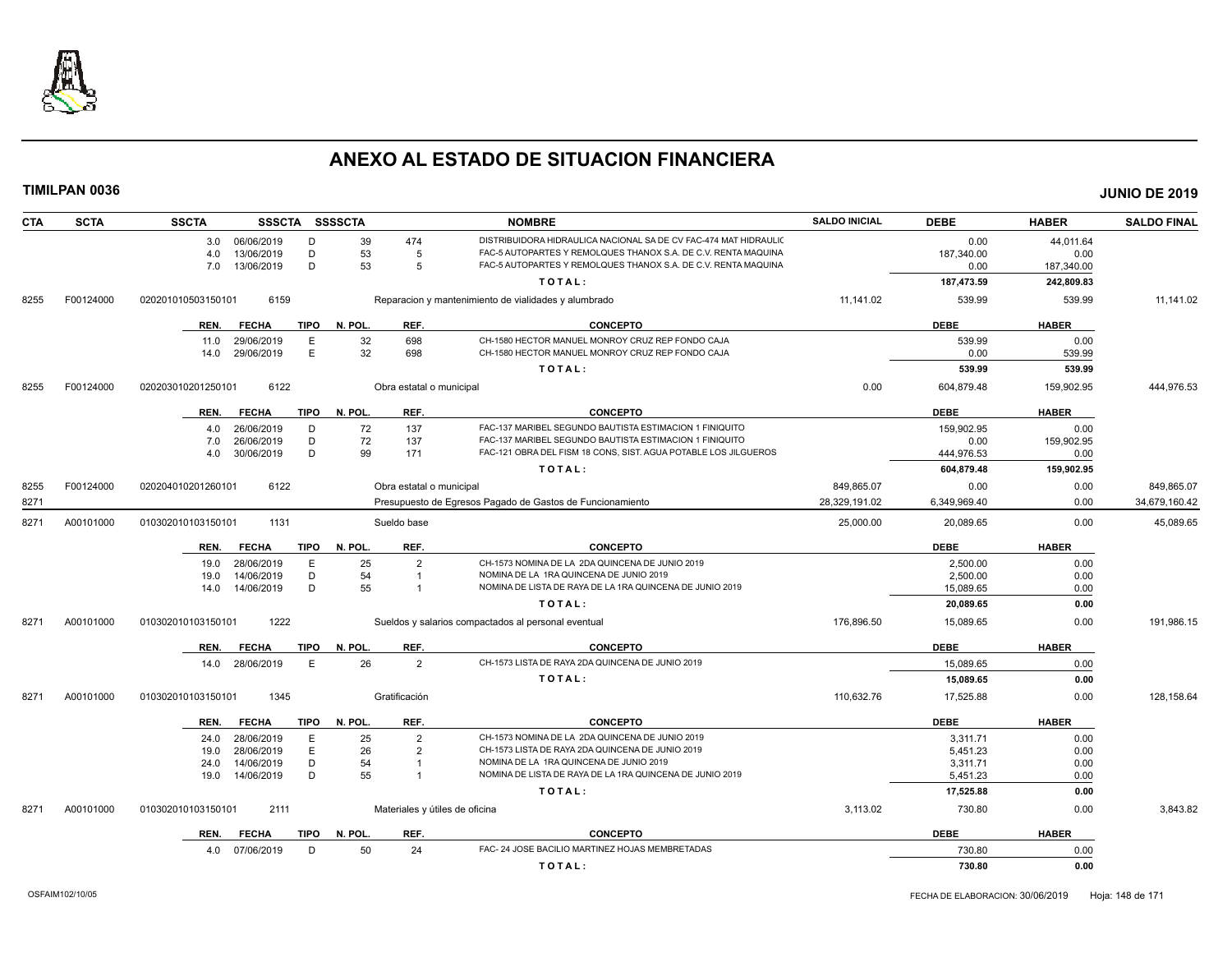

| <b>CTA</b> | <b>SCTA</b> | <b>SSCTA</b>               | SSSCTA SSSSCTA         |                          | <b>NOMBRE</b>                                                    | <b>SALDO INICIAL</b> | <b>DEBE</b>  | <b>HABER</b> | <b>SALDO FINAL</b> |
|------------|-------------|----------------------------|------------------------|--------------------------|------------------------------------------------------------------|----------------------|--------------|--------------|--------------------|
|            |             | 06/06/2019<br>3.0          | D<br>39                | 474                      | DISTRIBUIDORA HIDRAULICA NACIONAL SA DE CV FAC-474 MAT HIDRAULIC |                      | 0.00         | 44,011.64    |                    |
|            |             | 13/06/2019<br>4.0          | D<br>53                | -5                       | FAC-5 AUTOPARTES Y REMOLQUES THANOX S.A. DE C.V. RENTA MAQUINA   |                      | 187,340.00   | 0.00         |                    |
|            |             | 7.0<br>13/06/2019          | 53<br>D                | 5                        | FAC-5 AUTOPARTES Y REMOLQUES THANOX S.A. DE C.V. RENTA MAQUINA   |                      | 0.00         | 187,340.00   |                    |
|            |             |                            |                        |                          | TOTAL:                                                           |                      | 187,473.59   | 242,809.83   |                    |
| 8255       | F00124000   | 6159<br>020201010503150101 |                        |                          | Reparacion y mantenimiento de vialidades y alumbrado             | 11,141.02            | 539.99       | 539.99       | 11,141.02          |
|            |             | REN.<br><b>FECHA</b>       | <b>TIPO</b><br>N. POL. | REF.                     | <b>CONCEPTO</b>                                                  |                      | <b>DEBE</b>  | <b>HABER</b> |                    |
|            |             | 29/06/2019<br>11.0         | E<br>32                | 698                      | CH-1580 HECTOR MANUEL MONROY CRUZ REP FONDO CAJA                 |                      | 539.99       | 0.00         |                    |
|            |             | 29/06/2019<br>14.0         | E<br>32                | 698                      | CH-1580 HECTOR MANUEL MONROY CRUZ REP FONDO CAJA                 |                      | 0.00         | 539.99       |                    |
|            |             |                            |                        |                          | TOTAL:                                                           |                      | 539.99       | 539.99       |                    |
| 8255       | F00124000   | 6122<br>020203010201250101 |                        | Obra estatal o municipal |                                                                  | 0.00                 | 604,879.48   | 159,902.95   | 444,976.53         |
|            |             | <b>FECHA</b><br>REN.       | TIPO<br>N. POL.        | REF.                     | <b>CONCEPTO</b>                                                  |                      | <b>DEBE</b>  | <b>HABER</b> |                    |
|            |             | 26/06/2019<br>4.0          | 72<br>D                | 137                      | FAC-137 MARIBEL SEGUNDO BAUTISTA ESTIMACION 1 FINIQUITO          |                      | 159.902.95   | 0.00         |                    |
|            |             | 7.0<br>26/06/2019          | 72<br>D                | 137                      | FAC-137 MARIBEL SEGUNDO BAUTISTA ESTIMACION 1 FINIQUITO          |                      | 0.00         | 159,902.95   |                    |
|            |             | 30/06/2019<br>4.0          | D<br>99                | 171                      | FAC-121 OBRA DEL FISM 18 CONS, SIST. AGUA POTABLE LOS JILGUEROS  |                      | 444,976.53   | 0.00         |                    |
|            |             |                            |                        |                          | TOTAL:                                                           |                      | 604,879.48   | 159,902.95   |                    |
| 8255       | F00124000   | 6122<br>020204010201260101 |                        | Obra estatal o municipal |                                                                  | 849,865.07           | 0.00         | 0.00         | 849,865.07         |
| 8271       |             |                            |                        |                          | Presupuesto de Egresos Pagado de Gastos de Funcionamiento        | 28,329,191.02        | 6,349,969.40 | 0.00         | 34,679,160.42      |
| 8271       | A00101000   | 1131<br>010302010103150101 |                        | Sueldo base              |                                                                  | 25,000.00            | 20,089.65    | 0.00         | 45,089.65          |
|            |             | <b>FECHA</b><br>REN.       | TIPO<br>N. POL         | REF.                     | <b>CONCEPTO</b>                                                  |                      | <b>DEBE</b>  | <b>HABER</b> |                    |
|            |             | 28/06/2019<br>19.0         | E<br>25                | $\overline{2}$           | CH-1573 NOMINA DE LA 2DA QUINCENA DE JUNIO 2019                  |                      | 2.500.00     | 0.00         |                    |
|            |             | 14/06/2019<br>19.0         | 54<br>D                | $\overline{1}$           | NOMINA DE LA 1RA QUINCENA DE JUNIO 2019                          |                      | 2,500.00     | 0.00         |                    |
|            |             | 14/06/2019<br>14.0         | 55<br>D                |                          | NOMINA DE LISTA DE RAYA DE LA 1RA QUINCENA DE JUNIO 2019         |                      | 15,089.65    | 0.00         |                    |
|            |             |                            |                        |                          | TOTAL:                                                           |                      | 20,089.65    | 0.00         |                    |
| 8271       | A00101000   | 1222<br>010302010103150101 |                        |                          | Sueldos y salarios compactados al personal eventual              | 176,896.50           | 15,089.65    | 0.00         | 191,986.15         |
|            |             | <b>FECHA</b><br>REN.       | <b>TIPO</b><br>N. POL. | REF.                     | <b>CONCEPTO</b>                                                  |                      | <b>DEBE</b>  | <b>HABER</b> |                    |
|            |             | 28/06/2019<br>14.0         | 26<br>E                | $\overline{2}$           | CH-1573 LISTA DE RAYA 2DA QUINCENA DE JUNIO 2019                 |                      | 15,089.65    | 0.00         |                    |
|            |             |                            |                        |                          | TOTAL:                                                           |                      | 15,089.65    | 0.00         |                    |
| 8271       | A00101000   | 1345<br>010302010103150101 |                        | Gratificación            |                                                                  | 110,632.76           | 17,525.88    | 0.00         | 128,158.64         |
|            |             | REN.<br><b>FECHA</b>       | <b>TIPO</b><br>N. POL. | REF.                     | <b>CONCEPTO</b>                                                  |                      | <b>DEBE</b>  | <b>HABER</b> |                    |
|            |             | 28/06/2019<br>24.0         | Ε<br>25                | $\overline{2}$           | CH-1573 NOMINA DE LA 2DA QUINCENA DE JUNIO 2019                  |                      | 3,311.71     | 0.00         |                    |
|            |             | 28/06/2019<br>19.0         | E<br>26                | $\overline{2}$           | CH-1573 LISTA DE RAYA 2DA QUINCENA DE JUNIO 2019                 |                      | 5,451.23     | 0.00         |                    |
|            |             | 14/06/2019<br>24.0         | D<br>54                | $\overline{1}$           | NOMINA DE LA 1RA QUINCENA DE JUNIO 2019                          |                      | 3.311.71     | 0.00         |                    |
|            |             | 14/06/2019<br>19.0         | 55<br>D                | $\overline{1}$           | NOMINA DE LISTA DE RAYA DE LA 1RA QUINCENA DE JUNIO 2019         |                      | 5,451.23     | 0.00         |                    |
|            |             |                            |                        |                          | TOTAL:                                                           |                      | 17,525.88    | 0.00         |                    |
| 8271       | A00101000   | 2111<br>010302010103150101 |                        |                          | Materiales y útiles de oficina                                   | 3,113.02             | 730.80       | 0.00         | 3,843.82           |
|            |             | REN.<br><b>FECHA</b>       | TIPO<br>N. POL.        | REF.                     | <b>CONCEPTO</b>                                                  |                      | <b>DEBE</b>  | <b>HABER</b> |                    |
|            |             | 07/06/2019<br>4.0          | 50<br>D                | 24                       | FAC- 24 JOSE BACILIO MARTINEZ HOJAS MEMBRETADAS                  |                      | 730.80       | 0.00         |                    |
|            |             |                            |                        |                          | TOTAL:                                                           |                      | 730.80       | 0.00         |                    |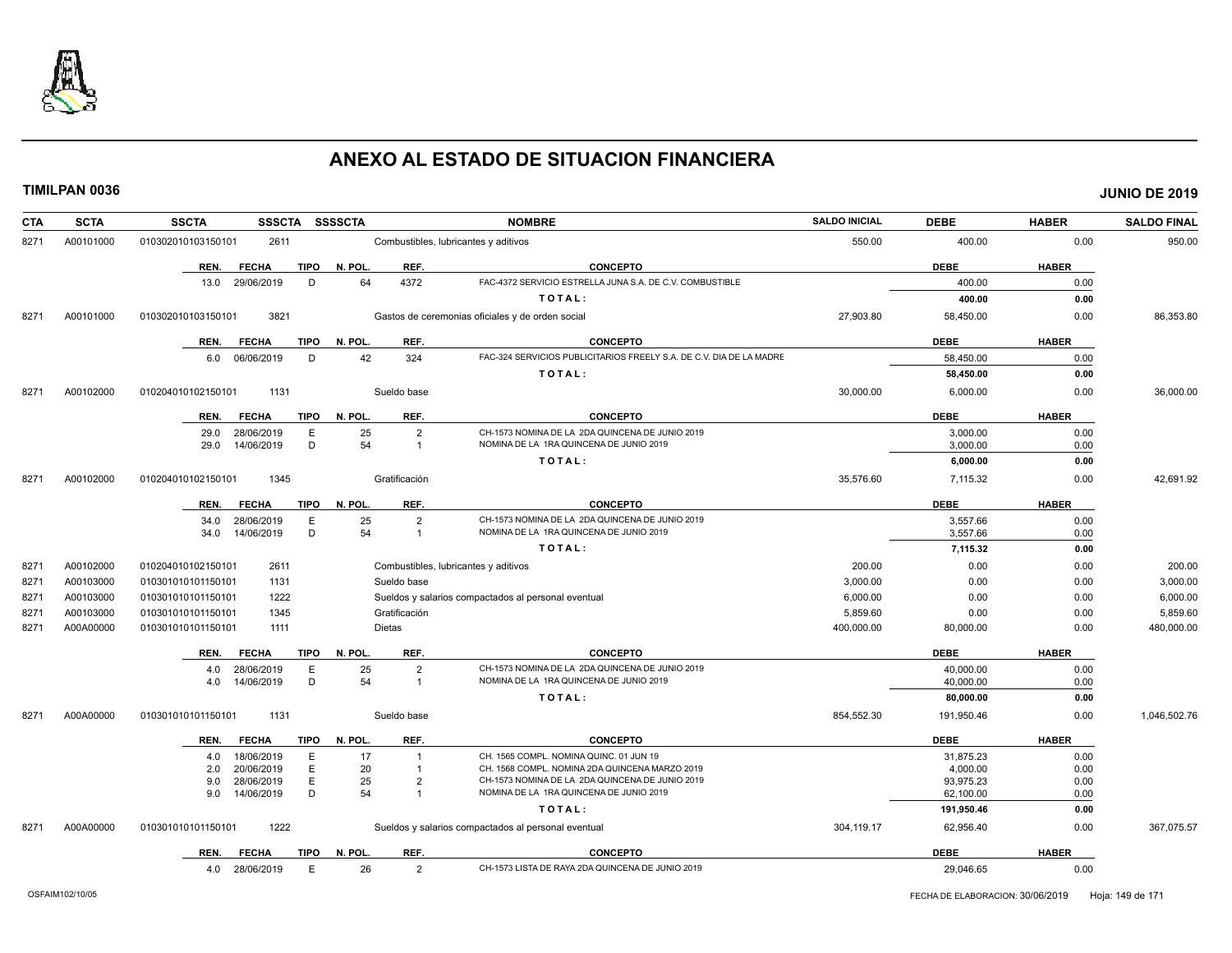

| <b>CTA</b> | <b>SCTA</b> | <b>SSCTA</b><br>SSSCTA SSSSCTA      |                                              | <b>NOMBRE</b>                                                                              | <b>SALDO INICIAL</b> | <b>DEBE</b>             | <b>HABER</b> | <b>SALDO FINAL</b> |
|------------|-------------|-------------------------------------|----------------------------------------------|--------------------------------------------------------------------------------------------|----------------------|-------------------------|--------------|--------------------|
| 8271       | A00101000   | 010302010103150101<br>2611          | Combustibles, lubricantes y aditivos         |                                                                                            | 550.00               | 400.00                  | 0.00         | 950.00             |
|            |             | <b>TIPO</b><br>REN.<br><b>FECHA</b> | REF.<br>N. POL.                              | <b>CONCEPTO</b>                                                                            |                      | <b>DEBE</b>             | <b>HABER</b> |                    |
|            |             | 29/06/2019<br>D<br>13.0             | 4372<br>64                                   | FAC-4372 SERVICIO ESTRELLA JUNA S.A. DE C.V. COMBUSTIBLE                                   |                      | 400.00                  | 0.00         |                    |
|            |             |                                     |                                              | TOTAL:                                                                                     |                      | 400.00                  | 0.00         |                    |
| 8271       | A00101000   | 010302010103150101<br>3821          |                                              | Gastos de ceremonias oficiales y de orden social                                           | 27,903.80            | 58,450.00               | 0.00         | 86,353.80          |
|            |             | REN.<br><b>FECHA</b><br><b>TIPO</b> | REF.<br>N. POL.                              | <b>CONCEPTO</b>                                                                            |                      | <b>DEBE</b>             | <b>HABER</b> |                    |
|            |             | 6.0 06/06/2019<br>D                 | 42<br>324                                    | FAC-324 SERVICIOS PUBLICITARIOS FREELY S.A. DE C.V. DIA DE LA MADRE                        |                      | 58,450.00               | 0.00         |                    |
|            |             |                                     |                                              | TOTAL:                                                                                     |                      | 58,450.00               | 0.00         |                    |
| 8271       | A00102000   | 1131<br>010204010102150101          | Sueldo base                                  |                                                                                            | 30,000.00            | 6,000.00                | 0.00         | 36,000.00          |
|            |             | <b>FECHA</b><br>TIPO<br>REN.        | N. POL.<br>REF.                              | <b>CONCEPTO</b>                                                                            |                      | <b>DEBE</b>             | <b>HABER</b> |                    |
|            |             | 29.0<br>28/06/2019<br>E             | 25<br>$\overline{2}$                         | CH-1573 NOMINA DE LA 2DA QUINCENA DE JUNIO 2019                                            |                      | 3,000.00                | 0.00         |                    |
|            |             | D<br>29.0<br>14/06/2019             | 54<br>$\overline{1}$                         | NOMINA DE LA 1RA QUINCENA DE JUNIO 2019                                                    |                      | 3,000.00                | 0.00         |                    |
|            |             |                                     |                                              | TOTAL:                                                                                     |                      | 6,000.00                | 0.00         |                    |
| 8271       | A00102000   | 1345<br>010204010102150101          | Gratificación                                |                                                                                            | 35,576.60            | 7,115.32                | 0.00         | 42,691.92          |
|            |             | REN.<br><b>FECHA</b><br><b>TIPO</b> | N. POL.<br>REF.                              | <b>CONCEPTO</b>                                                                            |                      | <b>DEBE</b>             | <b>HABER</b> |                    |
|            |             | 28/06/2019<br>E<br>34.0             | 25<br>$\overline{2}$                         | CH-1573 NOMINA DE LA 2DA QUINCENA DE JUNIO 2019                                            |                      | 3,557.66                | 0.00         |                    |
|            |             | D<br>14/06/2019<br>34.0             | 54<br>$\overline{1}$                         | NOMINA DE LA 1RA QUINCENA DE JUNIO 2019                                                    |                      | 3,557.66                | 0.00         |                    |
|            |             |                                     |                                              | TOTAL:                                                                                     |                      | 7,115.32                | 0.00         |                    |
| 8271       | A00102000   | 010204010102150101<br>2611          | Combustibles, lubricantes y aditivos         |                                                                                            | 200.00               | 0.00                    | 0.00         | 200.00             |
| 8271       | A00103000   | 1131<br>010301010101150101          | Sueldo base                                  |                                                                                            | 3,000.00             | 0.00                    | 0.00         | 3,000.00           |
| 8271       | A00103000   | 1222<br>010301010101150101          |                                              | Sueldos y salarios compactados al personal eventual                                        | 6,000.00             | 0.00                    | 0.00         | 6,000.00           |
| 8271       | A00103000   | 1345<br>010301010101150101          | Gratificación                                |                                                                                            | 5,859.60             | 0.00                    | 0.00         | 5,859.60           |
| 8271       | A00A00000   | 1111<br>010301010101150101          | <b>Dietas</b>                                |                                                                                            | 400,000.00           | 80,000.00               | 0.00         | 480,000.00         |
|            |             | <b>FECHA</b><br><b>TIPO</b><br>REN. | N. POL.<br>REF.                              | <b>CONCEPTO</b>                                                                            |                      | <b>DEBE</b>             | <b>HABER</b> |                    |
|            |             | 28/06/2019<br>Е<br>4.0              | 25<br>$\overline{2}$                         | CH-1573 NOMINA DE LA 2DA QUINCENA DE JUNIO 2019                                            |                      | 40,000.00               | 0.00         |                    |
|            |             | D<br>14/06/2019<br>4.0              | 54<br>$\overline{1}$                         | NOMINA DE LA 1RA QUINCENA DE JUNIO 2019                                                    |                      | 40,000.00               | 0.00         |                    |
|            |             |                                     |                                              | TOTAL:                                                                                     |                      | 80,000.00               | 0.00         |                    |
| 8271       | A00A00000   | 010301010101150101<br>1131          | Sueldo base                                  |                                                                                            | 854,552.30           | 191,950.46              | 0.00         | 1,046,502.76       |
|            |             | <b>TIPO</b><br>REN.<br><b>FECHA</b> | N. POL<br>REF.                               | <b>CONCEPTO</b>                                                                            |                      | <b>DEBE</b>             | <b>HABER</b> |                    |
|            |             | 18/06/2019<br>4.0<br>Е              | 17<br>$\overline{\mathbf{1}}$                | CH. 1565 COMPL. NOMINA QUINC. 01 JUN 19                                                    |                      | 31,875.23               | 0.00         |                    |
|            |             | Ε<br>20/06/2019<br>2.0              | 20<br>$\overline{1}$                         | CH. 1568 COMPL. NOMINA 2DA QUINCENA MARZO 2019                                             |                      | 4,000.00                | 0.00         |                    |
|            |             | Ε<br>28/06/2019<br>9.0<br>D         | 25<br>$\overline{2}$<br>54<br>$\overline{1}$ | CH-1573 NOMINA DE LA 2DA QUINCENA DE JUNIO 2019<br>NOMINA DE LA 1RA QUINCENA DE JUNIO 2019 |                      | 93,975.23               | 0.00         |                    |
|            |             | 14/06/2019<br>9.0                   |                                              | TOTAL:                                                                                     |                      | 62,100.00<br>191,950.46 | 0.00<br>0.00 |                    |
|            |             |                                     |                                              |                                                                                            |                      |                         |              |                    |
| 8271       | A00A00000   | 1222<br>010301010101150101          |                                              | Sueldos y salarios compactados al personal eventual                                        | 304,119.17           | 62,956.40               | 0.00         | 367,075.57         |
|            |             | <b>TIPO</b><br>REN.<br><b>FECHA</b> | N. POL.<br>REF.                              | <b>CONCEPTO</b>                                                                            |                      | <b>DEBE</b>             | <b>HABER</b> |                    |
|            |             | 4.0 28/06/2019<br>E                 | 26<br>$\overline{2}$                         | CH-1573 LISTA DE RAYA 2DA QUINCENA DE JUNIO 2019                                           |                      | 29,046.65               | 0.00         |                    |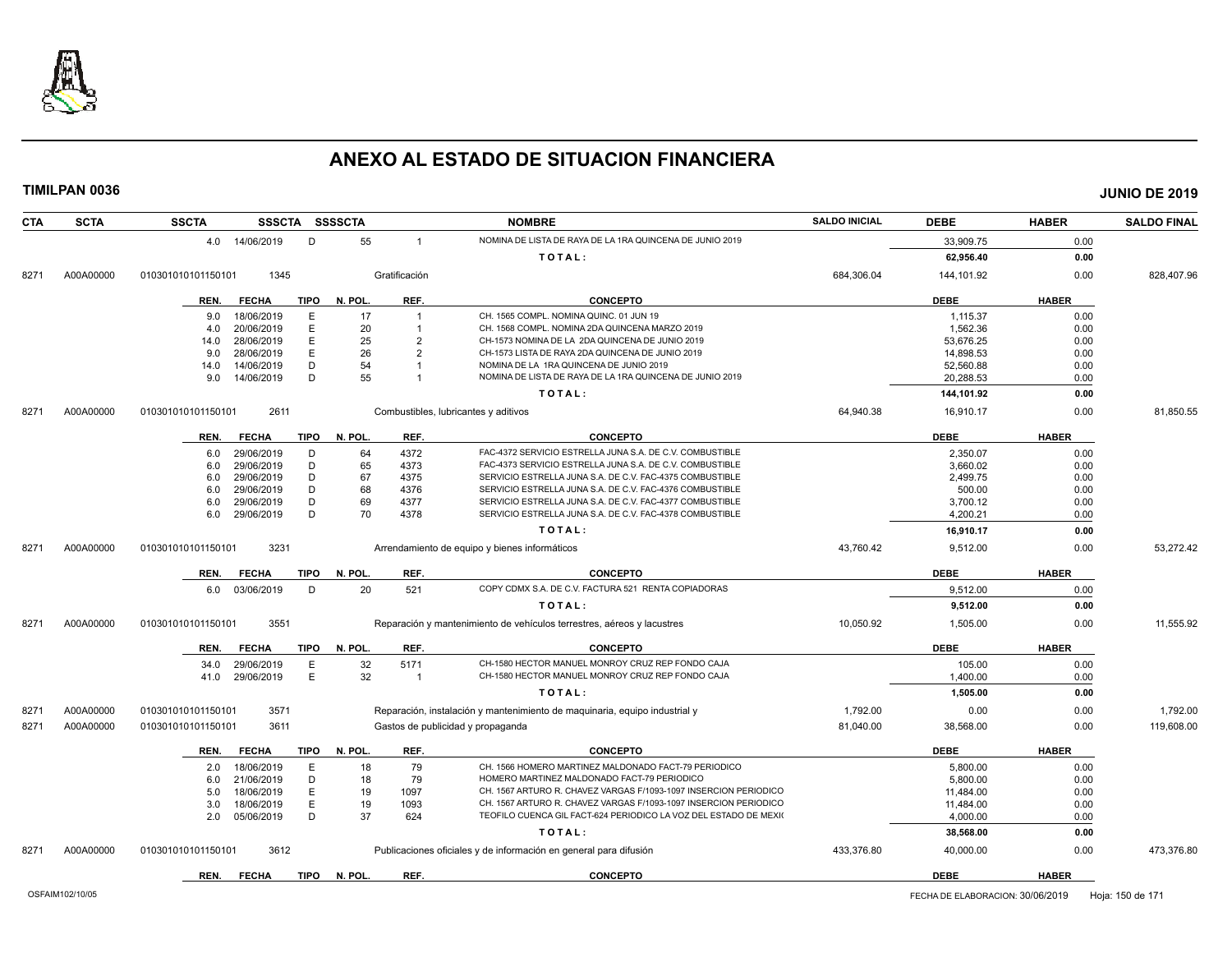

| <b>CTA</b> | <b>SCTA</b> | <b>SSCTA</b><br><b>SSSCTA</b> |             | <b>SSSSCTA</b> |                | <b>NOMBRE</b>                                                              | <b>SALDO INICIAL</b> | <b>DEBE</b> | <b>HABER</b> | <b>SALDO FINAL</b> |
|------------|-------------|-------------------------------|-------------|----------------|----------------|----------------------------------------------------------------------------|----------------------|-------------|--------------|--------------------|
|            |             | 4.0 14/06/2019                | D           | 55             | $\overline{1}$ | NOMINA DE LISTA DE RAYA DE LA 1RA QUINCENA DE JUNIO 2019                   |                      | 33,909.75   | 0.00         |                    |
|            |             |                               |             |                |                | TOTAL:                                                                     |                      | 62,956.40   | 0.00         |                    |
| 8271       | A00A00000   | 1345<br>010301010101150101    |             |                | Gratificación  |                                                                            | 684,306.04           | 144,101.92  | 0.00         | 828,407.96         |
|            |             | <b>FECHA</b><br>REN.          | <b>TIPO</b> | N. POL.        | REF.           | <b>CONCEPTO</b>                                                            |                      | <b>DEBE</b> | <b>HABER</b> |                    |
|            |             | 18/06/2019<br>9.0             | Ε           | 17             | $\overline{1}$ | CH. 1565 COMPL. NOMINA QUINC, 01 JUN 19                                    |                      | 1,115.37    | 0.00         |                    |
|            |             | 20/06/2019<br>4.0             | Ε           | 20             | -1             | CH. 1568 COMPL. NOMINA 2DA QUINCENA MARZO 2019                             |                      | 1,562.36    | 0.00         |                    |
|            |             | 28/06/2019<br>14.0            | Ε           | 25             | $\overline{2}$ | CH-1573 NOMINA DE LA 2DA QUINCENA DE JUNIO 2019                            |                      | 53,676.25   | 0.00         |                    |
|            |             | 28/06/2019<br>9.0             | E           | 26             | $\overline{2}$ | CH-1573 LISTA DE RAYA 2DA QUINCENA DE JUNIO 2019                           |                      | 14,898.53   | 0.00         |                    |
|            |             | 14/06/2019<br>14.0            | D           | 54             | $\overline{1}$ | NOMINA DE LA 1RA QUINCENA DE JUNIO 2019                                    |                      | 52,560.88   | 0.00         |                    |
|            |             | 14/06/2019<br>9.0             | D           | 55             | -1             | NOMINA DE LISTA DE RAYA DE LA 1RA QUINCENA DE JUNIO 2019                   |                      | 20.288.53   | 0.00         |                    |
|            |             |                               |             |                |                | TOTAL:                                                                     |                      | 144,101.92  | 0.00         |                    |
| 8271       | A00A00000   | 2611<br>010301010101150101    |             |                |                | Combustibles, lubricantes y aditivos                                       | 64,940.38            | 16,910.17   | 0.00         | 81,850.55          |
|            |             | <b>FECHA</b>                  | <b>TIPO</b> | N. POL.        | REF.           | <b>CONCEPTO</b>                                                            |                      | <b>DEBE</b> | <b>HABER</b> |                    |
|            |             | REN.                          |             |                |                |                                                                            |                      |             |              |                    |
|            |             | 29/06/2019<br>6.0             | D           | 64             | 4372           | FAC-4372 SERVICIO ESTRELLA JUNA S.A. DE C.V. COMBUSTIBLE                   |                      | 2,350.07    | 0.00         |                    |
|            |             | 29/06/2019<br>6.0             | D           | 65             | 4373           | FAC-4373 SERVICIO ESTRELLA JUNA S.A. DE C.V. COMBUSTIBLE                   |                      | 3,660.02    | 0.00         |                    |
|            |             | 29/06/2019<br>6.0             | D           | 67             | 4375           | SERVICIO ESTRELLA JUNA S.A. DE C.V. FAC-4375 COMBUSTIBLE                   |                      | 2,499.75    | 0.00         |                    |
|            |             | 29/06/2019<br>6.0             | D           | 68             | 4376           | SERVICIO ESTRELLA JUNA S.A. DE C.V. FAC-4376 COMBUSTIBLE                   |                      | 500.00      | 0.00         |                    |
|            |             | 29/06/2019<br>6.0             | D<br>D      | 69<br>70       | 4377           | SERVICIO ESTRELLA JUNA S.A. DE C.V. FAC-4377 COMBUSTIBLE                   |                      | 3,700.12    | 0.00         |                    |
|            |             | 29/06/2019<br>6.0             |             |                | 4378           | SERVICIO ESTRELLA JUNA S.A. DE C.V. FAC-4378 COMBUSTIBLE                   |                      | 4,200.21    | 0.00         |                    |
|            |             |                               |             |                |                | TOTAL:                                                                     |                      | 16,910.17   | 0.00         |                    |
| 8271       | A00A00000   | 010301010101150101<br>3231    |             |                |                | Arrendamiento de equipo y bienes informáticos                              | 43,760.42            | 9,512.00    | 0.00         | 53,272.42          |
|            |             | REN.<br><b>FECHA</b>          | <b>TIPO</b> | N. POL.        | REF.           | <b>CONCEPTO</b>                                                            |                      | <b>DEBE</b> | <b>HABER</b> |                    |
|            |             | 6.0 03/06/2019                | D           | 20             | 521            | COPY CDMX S.A. DE C.V. FACTURA 521 RENTA COPIADORAS                        |                      | 9.512.00    | 0.00         |                    |
|            |             |                               |             |                |                | TOTAL:                                                                     |                      | 9,512.00    | 0.00         |                    |
| 8271       | A00A00000   | 3551<br>010301010101150101    |             |                |                | Reparación y mantenimiento de vehículos terrestres, aéreos y lacustres     | 10,050.92            | 1,505.00    | 0.00         | 11,555.92          |
|            |             | REN.<br><b>FECHA</b>          |             | TIPO N. POL.   | REF.           | <b>CONCEPTO</b>                                                            |                      | <b>DEBE</b> | <b>HABER</b> |                    |
|            |             | 29/06/2019<br>34.0            | Ε           | 32             | 5171           | CH-1580 HECTOR MANUEL MONROY CRUZ REP FONDO CAJA                           |                      | 105.00      | 0.00         |                    |
|            |             | 29/06/2019<br>41.0            | Ε           | 32             | $\overline{1}$ | CH-1580 HECTOR MANUEL MONROY CRUZ REP FONDO CAJA                           |                      | 1,400.00    | 0.00         |                    |
|            |             |                               |             |                |                | TOTAL:                                                                     |                      | 1.505.00    | 0.00         |                    |
| 8271       | A00A00000   | 3571<br>010301010101150101    |             |                |                | Reparación, instalación y mantenimiento de maquinaria, equipo industrial y | 1,792.00             | 0.00        | 0.00         | 1,792.00           |
| 8271       | A00A00000   | 3611<br>010301010101150101    |             |                |                | Gastos de publicidad y propaganda                                          | 81,040.00            | 38,568.00   | 0.00         | 119,608.00         |
|            |             | REN.<br><b>FECHA</b>          | <b>TIPO</b> | N. POL.        | REF.           | <b>CONCEPTO</b>                                                            |                      | <b>DEBE</b> | <b>HABER</b> |                    |
|            |             | 18/06/2019<br>2.0             | Ε           | 18             | 79             | CH. 1566 HOMERO MARTINEZ MALDONADO FACT-79 PERIODICO                       |                      | 5,800.00    | 0.00         |                    |
|            |             | 21/06/2019<br>6.0             | D           | 18             | 79             | HOMERO MARTINEZ MALDONADO FACT-79 PERIODICO                                |                      | 5,800.00    | 0.00         |                    |
|            |             | 18/06/2019<br>5.0             | Ε           | 19             | 1097           | CH. 1567 ARTURO R. CHAVEZ VARGAS F/1093-1097 INSERCION PERIODICO           |                      | 11,484.00   | 0.00         |                    |
|            |             | 18/06/2019<br>3.0             | Ε           | 19             | 1093           | CH. 1567 ARTURO R. CHAVEZ VARGAS F/1093-1097 INSERCION PERIODICO           |                      | 11,484.00   | 0.00         |                    |
|            |             | 05/06/2019<br>2.0             | D           | 37             | 624            | TEOFILO CUENCA GIL FACT-624 PERIODICO LA VOZ DEL ESTADO DE MEXIO           |                      | 4,000.00    | 0.00         |                    |
|            |             |                               |             |                |                | TOTAL:                                                                     |                      | 38,568.00   | 0.00         |                    |
| 8271       | A00A00000   | 010301010101150101<br>3612    |             |                |                | Publicaciones oficiales y de información en general para difusión          | 433,376.80           | 40,000.00   | 0.00         | 473,376.80         |
|            |             | REN.<br><b>FECHA</b>          | <b>TIPO</b> | N. POL.        | REF.           | <b>CONCEPTO</b>                                                            |                      | <b>DEBE</b> | <b>HABER</b> |                    |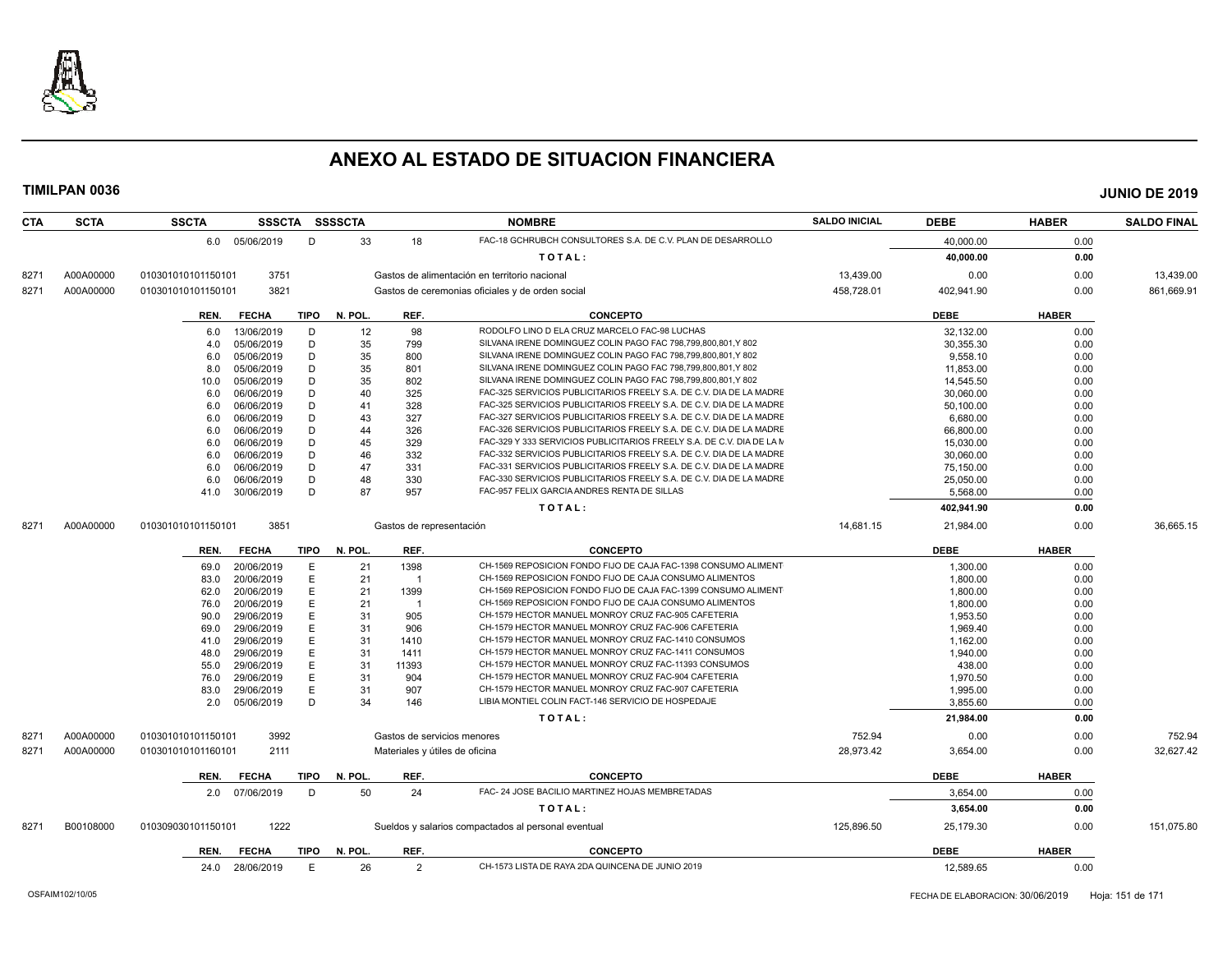

| <b>CTA</b> | <b>SCTA</b> | <b>SSCTA</b>       |                 |             | SSSCTA SSSSCTA |                          | <b>NOMBRE</b>                                                                                             | <b>SALDO INICIAL</b> | <b>DEBE</b> | <b>HABER</b> | <b>SALDO FINAL</b> |
|------------|-------------|--------------------|-----------------|-------------|----------------|--------------------------|-----------------------------------------------------------------------------------------------------------|----------------------|-------------|--------------|--------------------|
|            |             |                    | 6.0 05/06/2019  | D           | 33             | 18                       | FAC-18 GCHRUBCH CONSULTORES S.A. DE C.V. PLAN DE DESARROLLO                                               |                      | 40,000.00   | 0.00         |                    |
|            |             |                    |                 |             |                |                          | TOTAL:                                                                                                    |                      | 40,000.00   | 0.00         |                    |
| 8271       | A00A00000   | 010301010101150101 | 3751            |             |                |                          | Gastos de alimentación en territorio nacional                                                             | 13,439.00            | 0.00        | 0.00         | 13,439.00          |
| 8271       | A00A00000   | 010301010101150101 | 3821            |             |                |                          | Gastos de ceremonias oficiales y de orden social                                                          | 458,728.01           | 402,941.90  | 0.00         | 861,669.91         |
|            |             | REN.               | <b>FECHA</b>    | TIPO        | N. POL.        | REF.                     | <b>CONCEPTO</b>                                                                                           |                      | <b>DEBE</b> | <b>HABER</b> |                    |
|            |             | 6.0                | 13/06/2019      | D           | 12             | 98                       | RODOLFO LINO D ELA CRUZ MARCELO FAC-98 LUCHAS                                                             |                      | 32,132.00   | 0.00         |                    |
|            |             | 4.0                | 05/06/2019      | D           | 35             | 799                      | SILVANA IRENE DOMINGUEZ COLIN PAGO FAC 798,799,800,801,Y 802                                              |                      | 30.355.30   | 0.00         |                    |
|            |             | 6.0                | 05/06/2019      | D           | 35             | 800                      | SILVANA IRENE DOMINGUEZ COLIN PAGO FAC 798,799,800,801,Y 802                                              |                      | 9,558.10    | 0.00         |                    |
|            |             | 8.0                | 05/06/2019      | D           | 35             | 801                      | SILVANA IRENE DOMINGUEZ COLIN PAGO FAC 798,799,800,801,Y 802                                              |                      | 11,853.00   | 0.00         |                    |
|            |             | 10.0               | 05/06/2019      | D           | 35             | 802                      | SILVANA IRENE DOMINGUEZ COLIN PAGO FAC 798.799.800.801.Y 802                                              |                      | 14,545.50   | 0.00         |                    |
|            |             | 6.0                | 06/06/2019      | D           | 40             | 325                      | FAC-325 SERVICIOS PUBLICITARIOS FREELY S.A. DE C.V. DIA DE LA MADRE                                       |                      | 30,060.00   | 0.00         |                    |
|            |             | 6.0                | 06/06/2019      | D           | 41             | 328                      | FAC-325 SERVICIOS PUBLICITARIOS FREELY S.A. DE C.V. DIA DE LA MADRE                                       |                      | 50,100.00   | 0.00         |                    |
|            |             | 6.0                | 06/06/2019      | D           | 43             | 327                      | FAC-327 SERVICIOS PUBLICITARIOS FREELY S.A. DE C.V. DIA DE LA MADRE                                       |                      | 6,680.00    | 0.00         |                    |
|            |             | 6.0                | 06/06/2019      | D           | 44             | 326                      | FAC-326 SERVICIOS PUBLICITARIOS FREELY S.A. DE C.V. DIA DE LA MADRE                                       |                      | 66,800.00   | 0.00         |                    |
|            |             | 6.0                | 06/06/2019      | D           | 45             | 329                      | FAC-329 Y 333 SERVICIOS PUBLICITARIOS FREELY S.A. DE C.V. DIA DE LA M                                     |                      | 15,030.00   | 0.00         |                    |
|            |             | 6.0                | 06/06/2019      | D           | 46             | 332                      | FAC-332 SERVICIOS PUBLICITARIOS FREELY S.A. DE C.V. DIA DE LA MADRE                                       |                      | 30.060.00   | 0.00         |                    |
|            |             | 6.0                | 06/06/2019      | D           | 47             | 331                      | FAC-331 SERVICIOS PUBLICITARIOS FREELY S.A. DE C.V. DIA DE LA MADRE                                       |                      | 75,150.00   | 0.00         |                    |
|            |             | 6.0                | 06/06/2019      | D           | 48             | 330                      | FAC-330 SERVICIOS PUBLICITARIOS FREELY S.A. DE C.V. DIA DE LA MADRE                                       |                      | 25,050.00   | 0.00         |                    |
|            |             | 41.0               | 30/06/2019      | D           | 87             | 957                      | FAC-957 FELIX GARCIA ANDRES RENTA DE SILLAS                                                               |                      | 5,568.00    | 0.00         |                    |
|            |             |                    |                 |             |                |                          | TOTAL:                                                                                                    |                      | 402,941.90  | 0.00         |                    |
| 8271       | A00A00000   | 010301010101150101 | 3851            |             |                | Gastos de representación |                                                                                                           | 14,681.15            | 21,984.00   | 0.00         | 36,665.15          |
|            |             |                    |                 |             |                |                          |                                                                                                           |                      |             |              |                    |
|            |             | REN.               | <b>FECHA</b>    | <b>TIPO</b> | N. POL.        | REF.                     | <b>CONCEPTO</b>                                                                                           |                      | <b>DEBE</b> | <b>HABER</b> |                    |
|            |             | 69.0               | 20/06/2019      | Е           | 21             | 1398                     | CH-1569 REPOSICION FONDO FIJO DE CAJA FAC-1398 CONSUMO ALIMENT                                            |                      | 1.300.00    | 0.00         |                    |
|            |             | 83.0               | 20/06/2019      | E           | 21             | $\overline{1}$           | CH-1569 REPOSICION FONDO FIJO DE CAJA CONSUMO ALIMENTOS                                                   |                      | 1.800.00    | 0.00         |                    |
|            |             | 62.0               | 20/06/2019      | E           | 21             | 1399                     | CH-1569 REPOSICION FONDO FIJO DE CAJA FAC-1399 CONSUMO ALIMENT                                            |                      | 1,800.00    | 0.00         |                    |
|            |             | 76.0               | 20/06/2019      | E           | 21             | $\overline{\mathbf{1}}$  | CH-1569 REPOSICION FONDO FIJO DE CAJA CONSUMO ALIMENTOS                                                   |                      | 1,800.00    | 0.00         |                    |
|            |             | 90.0               | 29/06/2019      | E           | 31             | 905                      | CH-1579 HECTOR MANUEL MONROY CRUZ FAC-905 CAFETERIA                                                       |                      | 1,953.50    | 0.00         |                    |
|            |             | 69.0               | 29/06/2019      | E           | 31             | 906                      | CH-1579 HECTOR MANUEL MONROY CRUZ FAC-906 CAFETERIA                                                       |                      | 1.969.40    | 0.00         |                    |
|            |             | 41.0               | 29/06/2019      | Е           | 31             | 1410                     | CH-1579 HECTOR MANUEL MONROY CRUZ FAC-1410 CONSUMOS                                                       |                      | 1,162.00    | 0.00         |                    |
|            |             | 48.0               | 29/06/2019      | E           | 31             | 1411                     | CH-1579 HECTOR MANUEL MONROY CRUZ FAC-1411 CONSUMOS                                                       |                      | 1,940.00    | 0.00         |                    |
|            |             | 55.0               | 29/06/2019      | E           | 31             | 11393                    | CH-1579 HECTOR MANUEL MONROY CRUZ FAC-11393 CONSUMOS                                                      |                      | 438.00      | 0.00         |                    |
|            |             | 76.0               | 29/06/2019      | E           | 31             | 904                      | CH-1579 HECTOR MANUEL MONROY CRUZ FAC-904 CAFETERIA                                                       |                      | 1,970.50    | 0.00         |                    |
|            |             | 83.0               | 29/06/2019      | E<br>D      | 31             | 907                      | CH-1579 HECTOR MANUEL MONROY CRUZ FAC-907 CAFETERIA<br>LIBIA MONTIEL COLIN FACT-146 SERVICIO DE HOSPEDAJE |                      | 1,995.00    | 0.00         |                    |
|            |             | 2.0                | 05/06/2019      |             | 34             | 146                      |                                                                                                           |                      | 3,855.60    | 0.00         |                    |
|            |             |                    |                 |             |                |                          | TOTAL:                                                                                                    |                      | 21,984.00   | 0.00         |                    |
| 8271       | A00A00000   | 010301010101150101 | 3992            |             |                |                          | Gastos de servicios menores                                                                               | 752.94               | 0.00        | 0.00         | 752.94             |
| 8271       | A00A00000   | 010301010101160101 | 2111            |             |                |                          | Materiales y útiles de oficina                                                                            | 28,973.42            | 3,654.00    | 0.00         | 32,627.42          |
|            |             | REN.               | <b>FECHA</b>    | <b>TIPO</b> | N. POL.        | REF.                     | <b>CONCEPTO</b>                                                                                           |                      | <b>DEBE</b> | <b>HABER</b> |                    |
|            |             | 2.0                | 07/06/2019      | D           | 50             | 24                       | FAC- 24 JOSE BACILIO MARTINEZ HOJAS MEMBRETADAS                                                           |                      | 3.654.00    | 0.00         |                    |
|            |             |                    |                 |             |                |                          | TOTAL:                                                                                                    |                      | 3,654.00    | 0.00         |                    |
| 8271       | B00108000   | 010309030101150101 | 1222            |             |                |                          | Sueldos y salarios compactados al personal eventual                                                       | 125,896.50           | 25,179.30   | 0.00         | 151,075.80         |
|            |             | REN.               | <b>FECHA</b>    | <b>TIPO</b> | N. POL.        | REF.                     | <b>CONCEPTO</b>                                                                                           |                      | <b>DEBE</b> | <b>HABER</b> |                    |
|            |             |                    | 24.0 28/06/2019 | E           | 26             | $\overline{2}$           | CH-1573 LISTA DE RAYA 2DA QUINCENA DE JUNIO 2019                                                          |                      | 12,589.65   | 0.00         |                    |
|            |             |                    |                 |             |                |                          |                                                                                                           |                      |             |              |                    |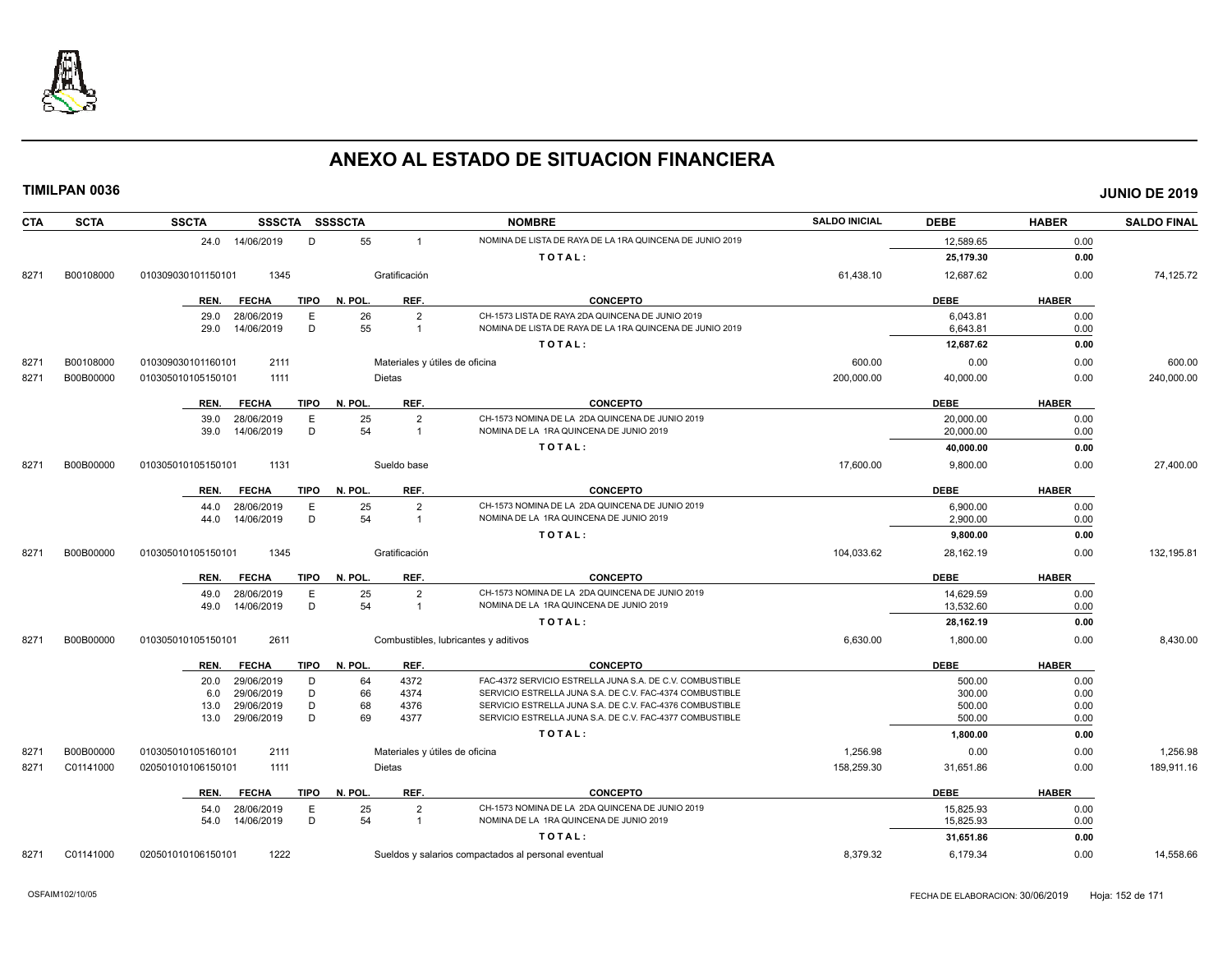

| <b>CTA</b> | <b>SCTA</b> | <b>SSCTA</b><br>SSSCTA SSSSCTA                     |                                | <b>NOMBRE</b>                                                                                                        | <b>SALDO INICIAL</b> | <b>DEBE</b>      | <b>HABER</b> | <b>SALDO FINAL</b> |
|------------|-------------|----------------------------------------------------|--------------------------------|----------------------------------------------------------------------------------------------------------------------|----------------------|------------------|--------------|--------------------|
|            |             | 14/06/2019<br>D<br>24.0                            | 55<br>$\mathbf{1}$             | NOMINA DE LISTA DE RAYA DE LA 1RA QUINCENA DE JUNIO 2019                                                             |                      | 12,589.65        | 0.00         |                    |
|            |             |                                                    |                                | TOTAL:                                                                                                               |                      | 25,179.30        | 0.00         |                    |
| 8271       | B00108000   | 1345<br>010309030101150101                         | Gratificación                  |                                                                                                                      | 61,438.10            | 12,687.62        | 0.00         | 74,125.72          |
|            |             | <b>FECHA</b><br>TIPO<br>REN.                       | REF.<br>N. POL.                | <b>CONCEPTO</b>                                                                                                      |                      | <b>DEBE</b>      | <b>HABER</b> |                    |
|            |             | 28/06/2019<br>E<br>29.0                            | 26<br>2                        | CH-1573 LISTA DE RAYA 2DA QUINCENA DE JUNIO 2019                                                                     |                      | 6,043.81         | 0.00         |                    |
|            |             | D<br>14/06/2019<br>29.0                            | 55<br>$\mathbf{1}$             | NOMINA DE LISTA DE RAYA DE LA 1RA QUINCENA DE JUNIO 2019                                                             |                      | 6,643.81         | 0.00         |                    |
|            |             |                                                    |                                | TOTAL:                                                                                                               |                      | 12,687.62        | 0.00         |                    |
| 8271       | B00108000   | 2111<br>010309030101160101                         | Materiales y útiles de oficina |                                                                                                                      | 600.00               | 0.00             | 0.00         | 600.00             |
| 8271       | B00B00000   | 1111<br>010305010105150101                         | Dietas                         |                                                                                                                      | 200,000.00           | 40,000.00        | 0.00         | 240,000.00         |
|            |             | REN.<br><b>FECHA</b><br>TIPO                       | REF.<br>N. POL.                | <b>CONCEPTO</b>                                                                                                      |                      | <b>DEBE</b>      | <b>HABER</b> |                    |
|            |             | 28/06/2019<br>E<br>39.0                            | 25<br>$\overline{2}$           | CH-1573 NOMINA DE LA 2DA QUINCENA DE JUNIO 2019                                                                      |                      | 20,000.00        | 0.00         |                    |
|            |             | D<br>14/06/2019<br>39.0                            | 54<br>$\mathbf{1}$             | NOMINA DE LA 1RA QUINCENA DE JUNIO 2019                                                                              |                      | 20,000.00        | 0.00         |                    |
|            |             |                                                    |                                | TOTAL:                                                                                                               |                      | 40,000.00        | 0.00         |                    |
| 8271       | B00B00000   | 1131<br>010305010105150101                         | Sueldo base                    |                                                                                                                      | 17,600.00            | 9,800.00         | 0.00         | 27,400.00          |
|            |             | <b>FECHA</b><br><b>TIPO</b><br>REN.                | N. POL.<br>REF.                | <b>CONCEPTO</b>                                                                                                      |                      | <b>DEBE</b>      | <b>HABER</b> |                    |
|            |             | E<br>28/06/2019<br>44.0                            | 25<br>$\overline{2}$           | CH-1573 NOMINA DE LA 2DA QUINCENA DE JUNIO 2019                                                                      |                      | 6,900.00         | 0.00         |                    |
|            |             | D<br>14/06/2019<br>44.0                            | 54<br>$\mathbf{1}$             | NOMINA DE LA 1RA QUINCENA DE JUNIO 2019                                                                              |                      | 2,900.00         | 0.00         |                    |
|            |             |                                                    |                                | TOTAL:                                                                                                               |                      | 9,800.00         | 0.00         |                    |
| 8271       | B00B00000   | 010305010105150101<br>1345                         | Gratificación                  |                                                                                                                      | 104,033.62           | 28,162.19        | 0.00         | 132,195.81         |
|            |             | <b>FECHA</b><br>TIPO<br>REN.                       | N. POL.<br>REF.                | <b>CONCEPTO</b>                                                                                                      |                      | <b>DEBE</b>      | <b>HABER</b> |                    |
|            |             | 28/06/2019<br>E<br>49.0                            | 25<br>$\overline{2}$           | CH-1573 NOMINA DE LA 2DA QUINCENA DE JUNIO 2019                                                                      |                      | 14,629.59        | 0.00         |                    |
|            |             | D<br>14/06/2019<br>49.0                            | 54<br>$\mathbf{1}$             | NOMINA DE LA 1RA QUINCENA DE JUNIO 2019                                                                              |                      | 13,532.60        | 0.00         |                    |
|            |             |                                                    |                                | TOTAL:                                                                                                               |                      | 28,162.19        | 0.00         |                    |
| 8271       | B00B00000   | 2611<br>010305010105150101                         |                                | Combustibles, lubricantes y aditivos                                                                                 | 6,630.00             | 1,800.00         | 0.00         | 8,430.00           |
|            |             | <b>FECHA</b><br>REN.<br>TIPO                       | N. POL.<br>REF.                | <b>CONCEPTO</b>                                                                                                      |                      | <b>DEBE</b>      | <b>HABER</b> |                    |
|            |             | 29/06/2019<br>D<br>20.0                            | 4372<br>64                     | FAC-4372 SERVICIO ESTRELLA JUNA S.A. DE C.V. COMBUSTIBLE                                                             |                      | 500.00           | 0.00         |                    |
|            |             | 29/06/2019<br>D<br>6.0                             | 66<br>4374                     | SERVICIO ESTRELLA JUNA S.A. DE C.V. FAC-4374 COMBUSTIBLE                                                             |                      | 300.00           | 0.00         |                    |
|            |             | 29/06/2019<br>D<br>13.0<br>29/06/2019<br>D<br>13.0 | 68<br>4376<br>69<br>4377       | SERVICIO ESTRELLA JUNA S.A. DE C.V. FAC-4376 COMBUSTIBLE<br>SERVICIO ESTRELLA JUNA S.A. DE C.V. FAC-4377 COMBUSTIBLE |                      | 500.00<br>500.00 | 0.00         |                    |
|            |             |                                                    |                                |                                                                                                                      |                      |                  | 0.00         |                    |
|            |             |                                                    |                                | TOTAL:                                                                                                               |                      | 1,800.00         | 0.00         |                    |
| 8271       | B00B00000   | 2111<br>010305010105160101                         | Materiales y útiles de oficina |                                                                                                                      | 1,256.98             | 0.00             | 0.00         | 1,256.98           |
| 8271       | C01141000   | 1111<br>020501010106150101                         | Dietas                         |                                                                                                                      | 158,259.30           | 31,651.86        | 0.00         | 189,911.16         |
|            |             | REN.<br><b>FECHA</b><br>TIPO                       | N. POL.<br>REF.                | <b>CONCEPTO</b>                                                                                                      |                      | <b>DEBE</b>      | <b>HABER</b> |                    |
|            |             | 28/06/2019<br>E<br>54.0                            | 25<br>2                        | CH-1573 NOMINA DE LA 2DA QUINCENA DE JUNIO 2019                                                                      |                      | 15.825.93        | 0.00         |                    |
|            |             | D<br>14/06/2019<br>54.0                            | 54<br>$\mathbf{1}$             | NOMINA DE LA 1RA QUINCENA DE JUNIO 2019                                                                              |                      | 15,825.93        | 0.00         |                    |
|            |             |                                                    |                                | TOTAL:                                                                                                               |                      | 31,651.86        | 0.00         |                    |
| 8271       | C01141000   | 020501010106150101<br>1222                         |                                | Sueldos y salarios compactados al personal eventual                                                                  | 8,379.32             | 6,179.34         | 0.00         | 14,558.66          |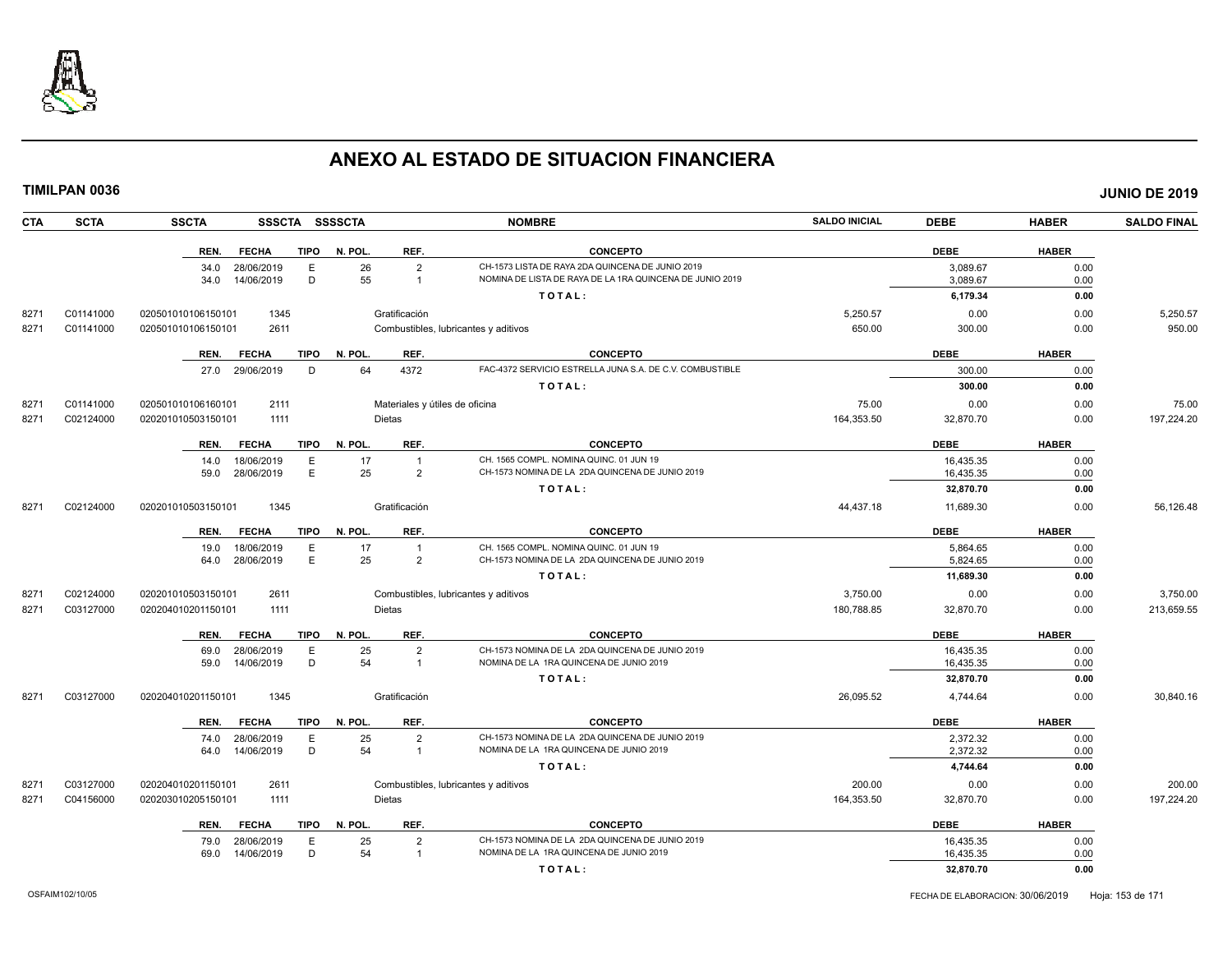

| TIMILPAN 0036 |             |                    |                 |             |                |                                |                                                          |                      |             |              | <b>JUNIO DE 2019</b> |
|---------------|-------------|--------------------|-----------------|-------------|----------------|--------------------------------|----------------------------------------------------------|----------------------|-------------|--------------|----------------------|
| CTA           | <b>SCTA</b> | <b>SSCTA</b>       |                 |             | SSSCTA SSSSCTA |                                | <b>NOMBRE</b>                                            | <b>SALDO INICIAL</b> | <b>DEBE</b> | <b>HABER</b> | <b>SALDO FINAL</b>   |
|               |             | REN.               | <b>FECHA</b>    | <b>TIPO</b> | N. POL.        | REF.                           | <b>CONCEPTO</b>                                          |                      | <b>DEBE</b> | <b>HABER</b> |                      |
|               |             |                    | 34.0 28/06/2019 | E           | 26             | $\overline{2}$                 | CH-1573 LISTA DE RAYA 2DA QUINCENA DE JUNIO 2019         |                      | 3,089.67    | 0.00         |                      |
|               |             | 34.0               | 14/06/2019      | D           | 55             | $\overline{1}$                 | NOMINA DE LISTA DE RAYA DE LA 1RA QUINCENA DE JUNIO 2019 |                      | 3,089.67    | 0.00         |                      |
|               |             |                    |                 |             |                |                                | TOTAL:                                                   |                      | 6,179.34    | 0.00         |                      |
| 8271          | C01141000   | 020501010106150101 | 1345            |             |                | Gratificación                  |                                                          | 5,250.57             | 0.00        | 0.00         | 5,250.57             |
| 8271          | C01141000   | 020501010106150101 | 2611            |             |                |                                | Combustibles, lubricantes y aditivos                     | 650.00               | 300.00      | 0.00         | 950.00               |
|               |             | REN.               | <b>FECHA</b>    | <b>TIPO</b> | N. POL.        | REF.                           | <b>CONCEPTO</b>                                          |                      | <b>DEBE</b> | <b>HABER</b> |                      |
|               |             |                    | 27.0 29/06/2019 | D           | 64             | 4372                           | FAC-4372 SERVICIO ESTRELLA JUNA S.A. DE C.V. COMBUSTIBLE |                      | 300.00      | 0.00         |                      |
|               |             |                    |                 |             |                |                                | TOTAL:                                                   |                      | 300.00      | 0.00         |                      |
| 8271          | C01141000   | 020501010106160101 | 2111            |             |                | Materiales y útiles de oficina |                                                          | 75.00                | 0.00        | 0.00         | 75.00                |
| 8271          | C02124000   | 020201010503150101 | 1111            |             |                | <b>Dietas</b>                  |                                                          | 164,353.50           | 32,870.70   | 0.00         | 197,224.20           |
|               |             | REN.               | <b>FECHA</b>    | <b>TIPO</b> | N. POL.        | REF.                           | <b>CONCEPTO</b>                                          |                      | <b>DEBE</b> | <b>HABER</b> |                      |
|               |             | 14.0               | 18/06/2019      | Е           | 17             | $\overline{1}$                 | CH. 1565 COMPL. NOMINA QUINC. 01 JUN 19                  |                      | 16,435.35   | 0.00         |                      |
|               |             |                    | 59.0 28/06/2019 | E           | 25             | $\overline{2}$                 | CH-1573 NOMINA DE LA 2DA QUINCENA DE JUNIO 2019          |                      | 16,435.35   | 0.00         |                      |
|               |             |                    |                 |             |                |                                | TOTAL:                                                   |                      | 32,870.70   | 0.00         |                      |
| 8271          | C02124000   | 020201010503150101 | 1345            |             |                | Gratificación                  |                                                          | 44,437.18            | 11,689.30   | 0.00         | 56,126.48            |
|               |             | REN.               | <b>FECHA</b>    | <b>TIPO</b> | N. POL.        | REF.                           | <b>CONCEPTO</b>                                          |                      | <b>DEBE</b> | <b>HABER</b> |                      |
|               |             | 19.0               | 18/06/2019      | E           | 17             | $\overline{1}$                 | CH. 1565 COMPL. NOMINA QUINC. 01 JUN 19                  |                      | 5,864.65    | 0.00         |                      |
|               |             | 64.0               | 28/06/2019      | E           | 25             | $\overline{2}$                 | CH-1573 NOMINA DE LA 2DA QUINCENA DE JUNIO 2019          |                      | 5,824.65    | 0.00         |                      |
|               |             |                    |                 |             |                |                                | TOTAL:                                                   |                      | 11,689.30   | 0.00         |                      |
| 8271          | C02124000   | 020201010503150101 | 2611            |             |                |                                | Combustibles, lubricantes y aditivos                     | 3,750.00             | 0.00        | 0.00         | 3,750.00             |
| 8271          | C03127000   | 020204010201150101 | 1111            |             |                | <b>Dietas</b>                  |                                                          | 180,788.85           | 32,870.70   | 0.00         | 213,659.55           |
|               |             | REN.               | <b>FECHA</b>    | <b>TIPO</b> | N. POL.        | REF.                           | <b>CONCEPTO</b>                                          |                      | <b>DEBE</b> | <b>HABER</b> |                      |
|               |             | 69.0               | 28/06/2019      | E           | 25             | $\overline{2}$                 | CH-1573 NOMINA DE LA 2DA QUINCENA DE JUNIO 2019          |                      | 16,435.35   | 0.00         |                      |
|               |             | 59.0               | 14/06/2019      | D           | 54             | $\overline{1}$                 | NOMINA DE LA 1RA QUINCENA DE JUNIO 2019                  |                      | 16,435.35   | 0.00         |                      |
|               |             |                    |                 |             |                |                                | TOTAL:                                                   |                      | 32,870.70   | 0.00         |                      |
| 8271          | C03127000   | 020204010201150101 | 1345            |             |                | Gratificación                  |                                                          | 26,095.52            | 4,744.64    | 0.00         | 30,840.16            |
|               |             | REN.               | <b>FECHA</b>    | <b>TIPO</b> | N. POL.        | REF.                           | <b>CONCEPTO</b>                                          |                      | <b>DEBE</b> | <b>HABER</b> |                      |
|               |             |                    | 74.0 28/06/2019 | E           | 25             | $\overline{2}$                 | CH-1573 NOMINA DE LA 2DA QUINCENA DE JUNIO 2019          |                      | 2,372.32    | 0.00         |                      |
|               |             | 64.0               | 14/06/2019      | D           | 54             | $\overline{1}$                 | NOMINA DE LA 1RA QUINCENA DE JUNIO 2019                  |                      | 2,372.32    | 0.00         |                      |
|               |             |                    |                 |             |                |                                | TOTAL:                                                   |                      | 4,744.64    | 0.00         |                      |
| 8271          | C03127000   | 020204010201150101 | 2611            |             |                |                                | Combustibles, lubricantes y aditivos                     | 200.00               | 0.00        | 0.00         | 200.00               |
| 8271          | C04156000   | 020203010205150101 | 1111            |             |                | <b>Dietas</b>                  |                                                          | 164,353.50           | 32,870.70   | 0.00         | 197,224.20           |
|               |             | REN.               | <b>FECHA</b>    | <b>TIPO</b> | N. POL.        | REF.                           | <b>CONCEPTO</b>                                          |                      | <b>DEBE</b> | <b>HABER</b> |                      |
|               |             |                    | 79.0 28/06/2019 | E           | 25             | $\overline{2}$                 | CH-1573 NOMINA DE LA 2DA QUINCENA DE JUNIO 2019          |                      | 16,435.35   | 0.00         |                      |
|               |             | 69.0               | 14/06/2019      | D           | 54             |                                | NOMINA DE LA 1RA QUINCENA DE JUNIO 2019                  |                      | 16,435.35   | 0.00         |                      |

**T O T A L : 32,870.70 0.00**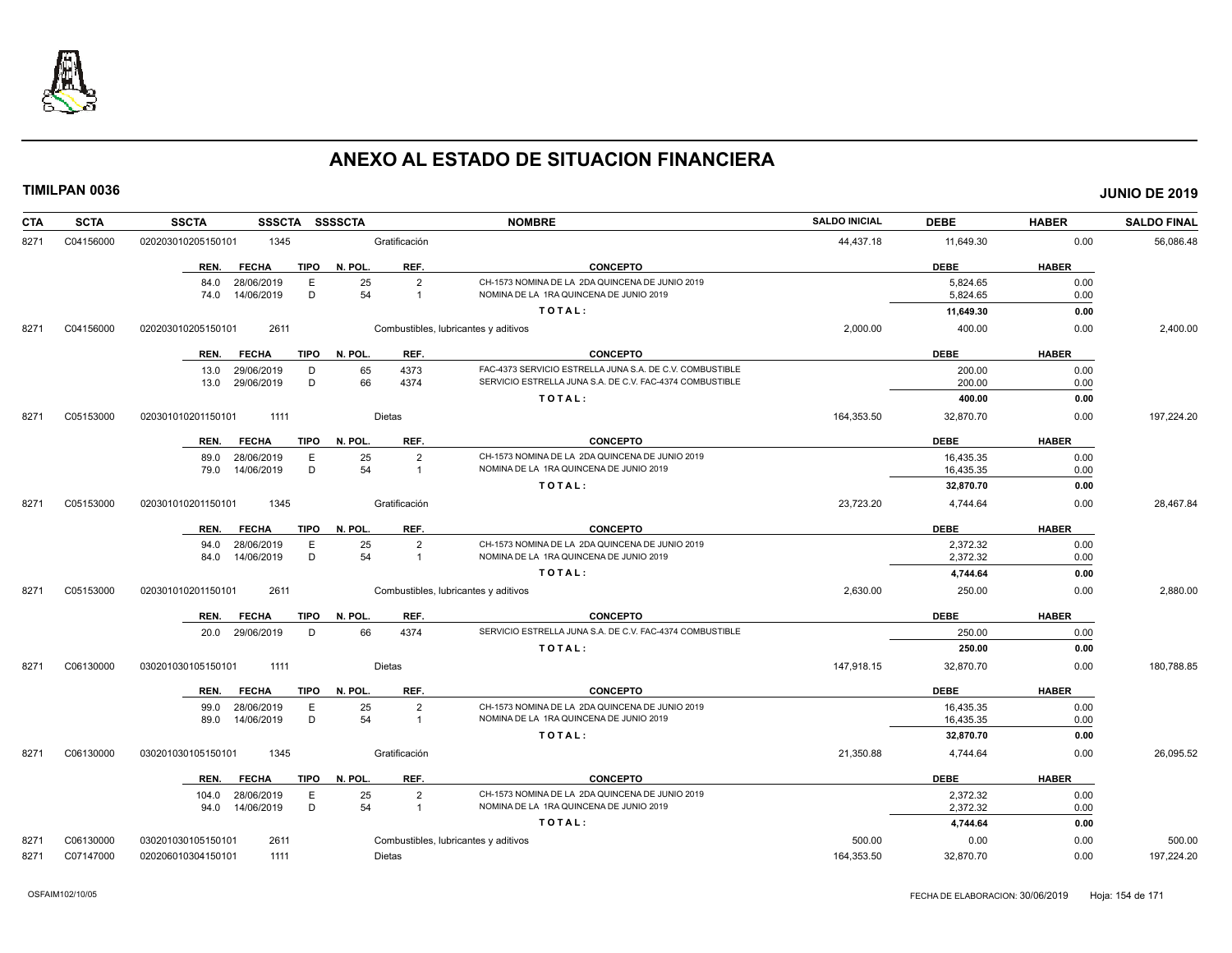

| <b>CTA</b> | <b>SCTA</b> | <b>SSCTA</b><br><b>SSSCTA</b>       | <b>SSSSCTA</b>                | <b>NOMBRE</b>                                            | <b>SALDO INICIAL</b> | <b>DEBE</b> | <b>HABER</b> | <b>SALDO FINAL</b> |
|------------|-------------|-------------------------------------|-------------------------------|----------------------------------------------------------|----------------------|-------------|--------------|--------------------|
| 8271       | C04156000   | 1345<br>020203010205150101          | Gratificación                 |                                                          | 44,437.18            | 11,649.30   | 0.00         | 56,086.48          |
|            |             | <b>FECHA</b><br><b>TIPO</b><br>REN. | N. POL.<br>REF.               | <b>CONCEPTO</b>                                          |                      | <b>DEBE</b> | <b>HABER</b> |                    |
|            |             | 28/06/2019<br>Ε<br>84.0             | 25<br>$\overline{2}$          | CH-1573 NOMINA DE LA 2DA QUINCENA DE JUNIO 2019          |                      | 5,824.65    | 0.00         |                    |
|            |             | 14/06/2019<br>D<br>74.0             | 54<br>$\overline{1}$          | NOMINA DE LA 1RA QUINCENA DE JUNIO 2019                  |                      | 5,824.65    | 0.00         |                    |
|            |             |                                     |                               | TOTAL:                                                   |                      | 11,649.30   | 0.00         |                    |
| 8271       | C04156000   | 2611<br>020203010205150101          |                               | Combustibles, lubricantes y aditivos                     | 2,000.00             | 400.00      | 0.00         | 2,400.00           |
|            |             | <b>FECHA</b><br><b>TIPO</b><br>REN. | N. POL.<br>REF.               | <b>CONCEPTO</b>                                          |                      | <b>DEBE</b> | <b>HABER</b> |                    |
|            |             | 29/06/2019<br>13.0<br>D             | 65<br>4373                    | FAC-4373 SERVICIO ESTRELLA JUNA S.A. DE C.V. COMBUSTIBLE |                      | 200.00      | 0.00         |                    |
|            |             | 29/06/2019<br>D<br>13.0             | 66<br>4374                    | SERVICIO ESTRELLA JUNA S.A. DE C.V. FAC-4374 COMBUSTIBLE |                      | 200.00      | 0.00         |                    |
|            |             |                                     |                               | TOTAL:                                                   |                      | 400.00      | 0.00         |                    |
| 8271       | C05153000   | 020301010201150101<br>1111          | Dietas                        |                                                          | 164,353.50           | 32,870.70   | 0.00         | 197,224.20         |
|            |             | <b>FECHA</b><br><b>TIPO</b><br>REN. | N. POL.<br>REF.               | <b>CONCEPTO</b>                                          |                      | <b>DEBE</b> | <b>HABER</b> |                    |
|            |             | 28/06/2019<br>Ε<br>89.0             | 25<br>$\overline{2}$          | CH-1573 NOMINA DE LA 2DA QUINCENA DE JUNIO 2019          |                      | 16,435.35   | 0.00         |                    |
|            |             | 14/06/2019<br>D<br>79.0             | 54<br>$\overline{1}$          | NOMINA DE LA 1RA QUINCENA DE JUNIO 2019                  |                      | 16,435.35   | 0.00         |                    |
|            |             |                                     |                               | TOTAL:                                                   |                      | 32,870.70   | 0.00         |                    |
| 8271       | C05153000   | 020301010201150101<br>1345          | Gratificación                 |                                                          | 23,723.20            | 4,744.64    | 0.00         | 28,467.84          |
|            |             | <b>FECHA</b><br>TIPO<br>REN.        | N. POL.<br>REF.               | <b>CONCEPTO</b>                                          |                      | <b>DEBE</b> | <b>HABER</b> |                    |
|            |             | 28/06/2019<br>E<br>94.0             | 25<br>$\overline{2}$          | CH-1573 NOMINA DE LA 2DA QUINCENA DE JUNIO 2019          |                      | 2,372.32    | 0.00         |                    |
|            |             | 14/06/2019<br>D<br>84.0             | 54<br>$\overline{1}$          | NOMINA DE LA 1RA QUINCENA DE JUNIO 2019                  |                      | 2,372.32    | 0.00         |                    |
|            |             |                                     |                               | TOTAL:                                                   |                      | 4,744.64    | 0.00         |                    |
| 8271       | C05153000   | 2611<br>020301010201150101          |                               | Combustibles, lubricantes y aditivos                     | 2,630.00             | 250.00      | 0.00         | 2,880.00           |
|            |             | REN.<br><b>FECHA</b><br>TIPO        | N. POL.<br>REF.               | <b>CONCEPTO</b>                                          |                      | <b>DEBE</b> | <b>HABER</b> |                    |
|            |             | 20.0 29/06/2019<br>D                | 66<br>4374                    | SERVICIO ESTRELLA JUNA S.A. DE C.V. FAC-4374 COMBUSTIBLE |                      | 250.00      | 0.00         |                    |
|            |             |                                     |                               | TOTAL:                                                   |                      | 250.00      | 0.00         |                    |
| 8271       | C06130000   | 1111<br>030201030105150101          | Dietas                        |                                                          | 147,918.15           | 32,870.70   | 0.00         | 180,788.85         |
|            |             | <b>FECHA</b><br>TIPO<br>REN.        | REF.<br>N. POL.               | <b>CONCEPTO</b>                                          |                      | <b>DEBE</b> | <b>HABER</b> |                    |
|            |             | 28/06/2019<br>Ε<br>99.0             | 25<br>$\overline{2}$          | CH-1573 NOMINA DE LA 2DA QUINCENA DE JUNIO 2019          |                      | 16,435.35   | 0.00         |                    |
|            |             | D<br>14/06/2019<br>89.0             | 54<br>$\overline{\mathbf{1}}$ | NOMINA DE LA 1RA QUINCENA DE JUNIO 2019                  |                      | 16,435.35   | 0.00         |                    |
|            |             |                                     |                               | TOTAL:                                                   |                      | 32,870.70   | 0.00         |                    |
| 8271       | C06130000   | 030201030105150101<br>1345          | Gratificación                 |                                                          | 21,350.88            | 4,744.64    | 0.00         | 26,095.52          |
|            |             | <b>TIPO</b><br>REN.<br><b>FECHA</b> | N. POL.<br>REF.               | <b>CONCEPTO</b>                                          |                      | <b>DEBE</b> | <b>HABER</b> |                    |
|            |             | 28/06/2019<br>Ε<br>104.0            | 25<br>$\overline{2}$          | CH-1573 NOMINA DE LA 2DA QUINCENA DE JUNIO 2019          |                      | 2,372.32    | 0.00         |                    |
|            |             | D<br>94.0 14/06/2019                | 54<br>$\overline{1}$          | NOMINA DE LA 1RA QUINCENA DE JUNIO 2019                  |                      | 2,372.32    | 0.00         |                    |
|            |             |                                     |                               | TOTAL:                                                   |                      | 4,744.64    | 0.00         |                    |
| 8271       | C06130000   | 030201030105150101<br>2611          |                               | Combustibles, lubricantes y aditivos                     | 500.00               | 0.00        | 0.00         | 500.00             |
| 8271       | C07147000   | 020206010304150101<br>1111          | Dietas                        |                                                          | 164,353.50           | 32,870.70   | 0.00         | 197,224.20         |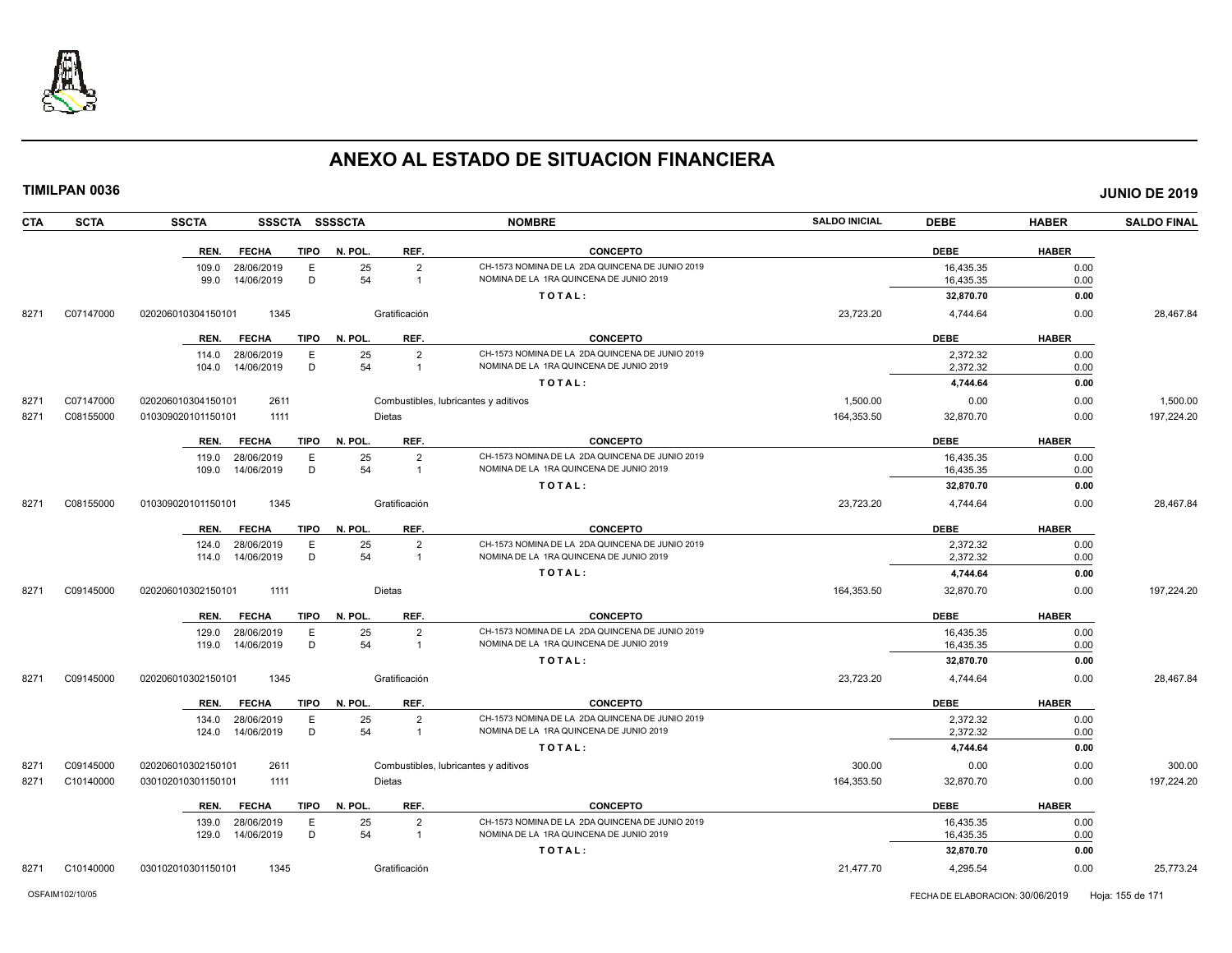

| <b>CTA</b> | <b>SCTA</b> | <b>SSCTA</b>       |                          |             | SSSCTA SSSSCTA |                                  | <b>NOMBRE</b>                                                                              | <b>SALDO INICIAL</b> | <b>DEBE</b>            | <b>HABER</b> | <b>SALDO FINAL</b>   |
|------------|-------------|--------------------|--------------------------|-------------|----------------|----------------------------------|--------------------------------------------------------------------------------------------|----------------------|------------------------|--------------|----------------------|
|            |             | REN.               | <b>FECHA</b>             | <b>TIPO</b> | N. POL.        | REF.                             | <b>CONCEPTO</b>                                                                            |                      | <b>DEBE</b>            | <b>HABER</b> |                      |
|            |             | 109.0              | 28/06/2019               | E           | 25             | $\overline{2}$                   | CH-1573 NOMINA DE LA 2DA QUINCENA DE JUNIO 2019                                            |                      | 16,435.35              | 0.00         |                      |
|            |             | 99.0               | 14/06/2019               | D           | 54             | $\overline{1}$                   | NOMINA DE LA 1RA QUINCENA DE JUNIO 2019                                                    |                      | 16,435.35              | 0.00         |                      |
|            |             |                    |                          |             |                |                                  | TOTAL:                                                                                     |                      | 32,870.70              | 0.00         |                      |
| 8271       | C07147000   | 020206010304150101 | 1345                     |             |                | Gratificación                    |                                                                                            | 23,723.20            | 4,744.64               | 0.00         | 28,467.84            |
|            |             | REN.               | <b>FECHA</b>             | <b>TIPO</b> | N. POL.        | REF.                             | <b>CONCEPTO</b>                                                                            |                      | <b>DEBE</b>            | <b>HABER</b> |                      |
|            |             | 114.0              | 28/06/2019               | Ε           | 25             | $\overline{2}$                   | CH-1573 NOMINA DE LA 2DA QUINCENA DE JUNIO 2019                                            |                      | 2,372.32               | 0.00         |                      |
|            |             | 104.0              | 14/06/2019               | D           | 54             | $\overline{1}$                   | NOMINA DE LA 1RA QUINCENA DE JUNIO 2019                                                    |                      | 2,372.32               | 0.00         |                      |
|            |             |                    |                          |             |                |                                  | TOTAL:                                                                                     |                      | 4,744.64               | 0.00         |                      |
| 8271       | C07147000   | 020206010304150101 | 2611                     |             |                |                                  | Combustibles, lubricantes y aditivos                                                       | 1,500.00             | 0.00                   | 0.00         | 1,500.00             |
| 8271       | C08155000   | 010309020101150101 | 1111                     |             |                | <b>Dietas</b>                    |                                                                                            | 164,353.50           | 32,870.70              | 0.00         | 197,224.20           |
|            |             | REN.               | <b>FECHA</b>             | <b>TIPO</b> | N. POL.        | REF.                             | <b>CONCEPTO</b>                                                                            |                      | <b>DEBE</b>            | <b>HABER</b> |                      |
|            |             | 119.0              | 28/06/2019               | E           | 25             | $\overline{2}$                   | CH-1573 NOMINA DE LA 2DA QUINCENA DE JUNIO 2019                                            |                      | 16,435.35              | 0.00         |                      |
|            |             | 109.0              | 14/06/2019               | D           | 54             | $\overline{1}$                   | NOMINA DE LA 1RA QUINCENA DE JUNIO 2019                                                    |                      | 16,435.35              | 0.00         |                      |
|            |             |                    |                          |             |                |                                  | TOTAL:                                                                                     |                      | 32,870.70              | 0.00         |                      |
| 8271       | C08155000   | 010309020101150101 | 1345                     |             |                | Gratificación                    |                                                                                            | 23,723.20            | 4,744.64               | 0.00         | 28,467.84            |
|            |             | REN.               | <b>FECHA</b>             | TIPO        | N. POL.        | REF.                             | <b>CONCEPTO</b>                                                                            |                      | <b>DEBE</b>            | <b>HABER</b> |                      |
|            |             | 124.0              | 28/06/2019               | E           | 25             | $\overline{2}$                   | CH-1573 NOMINA DE LA 2DA QUINCENA DE JUNIO 2019                                            |                      | 2,372.32               | 0.00         |                      |
|            |             | 114.0              | 14/06/2019               | D           | 54             | $\overline{1}$                   | NOMINA DE LA 1RA QUINCENA DE JUNIO 2019                                                    |                      | 2,372.32               | 0.00         |                      |
|            |             |                    |                          |             |                |                                  | TOTAL:                                                                                     |                      | 4,744.64               | 0.00         |                      |
| 8271       | C09145000   | 020206010302150101 | 1111                     |             |                | <b>Dietas</b>                    |                                                                                            | 164,353.50           | 32,870.70              | 0.00         | 197,224.20           |
|            |             | REN.               | <b>FECHA</b>             | <b>TIPO</b> | N. POL.        | REF.                             | <b>CONCEPTO</b>                                                                            |                      | <b>DEBE</b>            | <b>HABER</b> |                      |
|            |             | 129.0              | 28/06/2019               | E           | 25             | $\overline{2}$                   | CH-1573 NOMINA DE LA 2DA QUINCENA DE JUNIO 2019                                            |                      | 16,435.35              | 0.00         |                      |
|            |             | 119.0              | 14/06/2019               | D           | 54             | $\overline{1}$                   | NOMINA DE LA 1RA QUINCENA DE JUNIO 2019                                                    |                      | 16,435.35              | 0.00         |                      |
|            |             |                    |                          |             |                |                                  | TOTAL:                                                                                     |                      | 32,870.70              | 0.00         |                      |
| 8271       | C09145000   | 020206010302150101 | 1345                     |             |                | Gratificación                    |                                                                                            | 23,723.20            | 4,744.64               | 0.00         | 28,467.84            |
|            |             | REN.               | <b>FECHA</b>             | <b>TIPO</b> | N. POL.        | REF.                             | <b>CONCEPTO</b>                                                                            |                      | <b>DEBE</b>            | <b>HABER</b> |                      |
|            |             | 134.0              | 28/06/2019               | Ε           | 25             | $\overline{2}$                   | CH-1573 NOMINA DE LA 2DA QUINCENA DE JUNIO 2019                                            |                      | 2,372.32               | 0.00         |                      |
|            |             | 124.0              | 14/06/2019               | D           | 54             | $\overline{1}$                   | NOMINA DE LA 1RA QUINCENA DE JUNIO 2019                                                    |                      | 2,372.32               | 0.00         |                      |
|            |             |                    |                          |             |                |                                  | TOTAL:                                                                                     |                      | 4,744.64               | 0.00         |                      |
| 8271       | C09145000   | 020206010302150101 | 2611<br>1111             |             |                | <b>Dietas</b>                    | Combustibles, lubricantes y aditivos                                                       | 300.00<br>164,353.50 | 0.00<br>32,870.70      | 0.00<br>0.00 | 300.00<br>197,224.20 |
| 8271       | C10140000   | 030102010301150101 |                          |             |                |                                  |                                                                                            |                      |                        |              |                      |
|            |             | REN.               | <b>FECHA</b>             | TIPO        | N. POL.        | REF.                             | <b>CONCEPTO</b>                                                                            |                      | <b>DEBE</b>            | <b>HABER</b> |                      |
|            |             | 139.0<br>129.0     | 28/06/2019<br>14/06/2019 | E<br>D      | 25<br>54       | $\overline{2}$<br>$\overline{1}$ | CH-1573 NOMINA DE LA 2DA QUINCENA DE JUNIO 2019<br>NOMINA DE LA 1RA QUINCENA DE JUNIO 2019 |                      | 16,435.35<br>16,435.35 | 0.00<br>0.00 |                      |
|            |             |                    |                          |             |                |                                  | TOTAL:                                                                                     |                      | 32,870.70              | 0.00         |                      |
|            |             |                    |                          |             |                |                                  |                                                                                            |                      |                        |              |                      |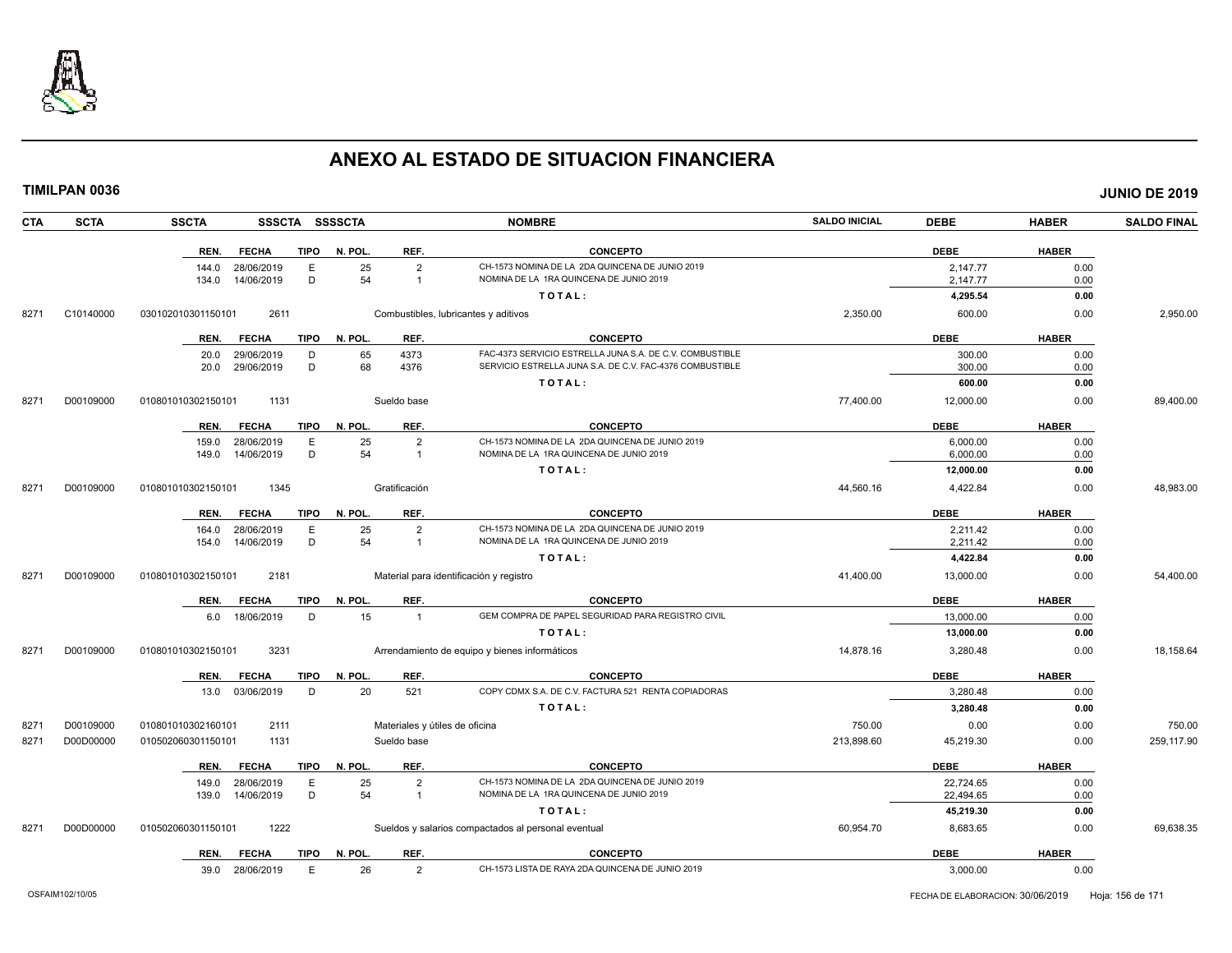

**TIMILPAN 0036 JUNIO DE 2019**

**CTA SCTA SSCTA SSSCTA SSSSCTA NOMBRE SALDO INICIAL DEBE HABER SALDO FINAL REN. FECHA TIPO N. POL. REF. CONCEPTO DEBE HABER** 144.0 28/06/2019 E 25 2 CH-1573 NOMINA DE LA 2DA QUINCENA DE JUNIO 2019<br>134.0 14/06/2019 D 54 1 NOMINA DE LA 1RA QUINCENA DE JUNIO 2019 2019 2019 2019 2,147.77 2000 134.0 14/06/2019 NOMINA DE JUNIO 2019 **T O T A L : 4,295.54 0.00** 8271 C10140000 030102010301150101 2611 Combustibles, lubricantes y aditivos 2,350.00 600.00 0.00 2,950.00 **REN. FECHA TIPO N. POL. REF. CONCEPTO DEBE HABER** 20.0 29/06/2019 D 65 4373 FAC-4373 SERVICIO ESTRELLA JUNA S.A. DE C.V. COMBUSTIBLE 300.00 0.00 20.0 29/06/2019 D 68 4376 SERVICIO ESTRELLA JUNA S.A. DE C.V. FAC-4376 COMBUSTIBLE 300.00 0.00 **T O T A L : 600.00 0.00** 8271 D00109000 010801010302150101 1131 Sueldo base 77,400.00 89,400.00 89,400.00 **REN. FECHA TIPO N. POL. REF. CONCEPTO DEBE HABER** 159.0 28/06/2019 E 25 2 CH-1573 NOMINA DE LA 2DA QUINCENA DE JUNIO 2019 6,000.00 6,000 6,000 0.00 149.0 14/06/2019 D 54 1 NOMINA DE LA 1RA QUINCENA DE JUNIO 2019 6,000.00 0.00 **T O T A L : 12,000.00 0.00** 8271 D00109000 010801010302150101 1345 Gratificación 44,560.16 4,422.84 0.00 48,983.00 **REN. FECHA TIPO N. POL. REF. CONCEPTO DEBE HABER** 164.0 28/06/2019 E 25 2 CH-1573 NOMINA DE LA 2DA QUINCENA DE JUNIO 2019 2,211.42 0.00 154.0 14/06/2019 D 54 1 NOMINA DE LA 1RA QUINCENA DE JUNIO 2019 2,211.42 0.00 **T O T A L : 4,422.84 0.00** 8271 D00109000 010801010302150101 2181 Material para identificación y registro 41,400.00 13,000.00 0.00 54,400.00 **REN. FECHA TIPO N. POL. REF. CONCEPTO DEBE HABER** 6.0 18/06/2019 D 15 1 GEM COMPRA DE PAPEL SEGURIDAD PARA REGISTRO CIVIL NETRA AND 13,000.00 0.00 **T O T A L : 13,000.00 0.00** 8271 D00109000 010801010302150101 3231 Arrendamiento de equipo y bienes informáticos 14,878.16 3,280.48 0.00 18,158.64 **REN. FECHA TIPO N. POL. REF. CONCEPTO DEBE HABER** 13.0 03/06/2019 D 20 521 COPY CDMX S.A. DE C.V. FACTURA 521 RENTA COPIADORAS 3,280.48 3,280.48 0.00 **T O T A L** : **3,280.48** 0.00 8271 D00109000 010801010302160101 2111 Materiales y útiles de oficina reconectival de contentes de orientales y útiles de oficina reconectival de contentes de orientales y útiles de oficina reconectival de contentes de ori 8271 D00D00000 010502060301150101 1131 Sueldo base 213,898.60 45,219.30 259,117.90 **REN. FECHA TIPO N. POL. REF. CONCEPTO DEBE HABER** 149.0 28/06/2019 E 25 2 CH-1573 NOMINA DE LA 2DA QUINCENA DE JUNIO 2019<br>139.0 14/06/2019 D 54 1 NOMINA DE LA 1RA QUINCENA DE JUNIO 2019 2019 2019 22,494.65 22,494.65 0.00 139.0 14/06/2019 D 54 1 NOMINA DE LA 1RA QUINCENA DE JUNIO 2019 22,494.65 0.00 **T O T A L : 45,219.30 0.00** 8271 D00D00000 010502060301150101 1222 Sueldos y salarios compactados al personal eventual 60,954.70 8,683.65 0.00 69,638.35 **REN. FECHA TIPO N. POL. REF. CONCEPTO DEBE HABER**

39.0 28/06/2019 E 26 2 CH-1573 LISTA DE RAYA 2DA QUINCENA DE JUNIO 2019 3,000.00 0.00

OSFAIM102/10/05 FECHA DE ELABORACION: 30/06/2019 Hoja: 156 de 171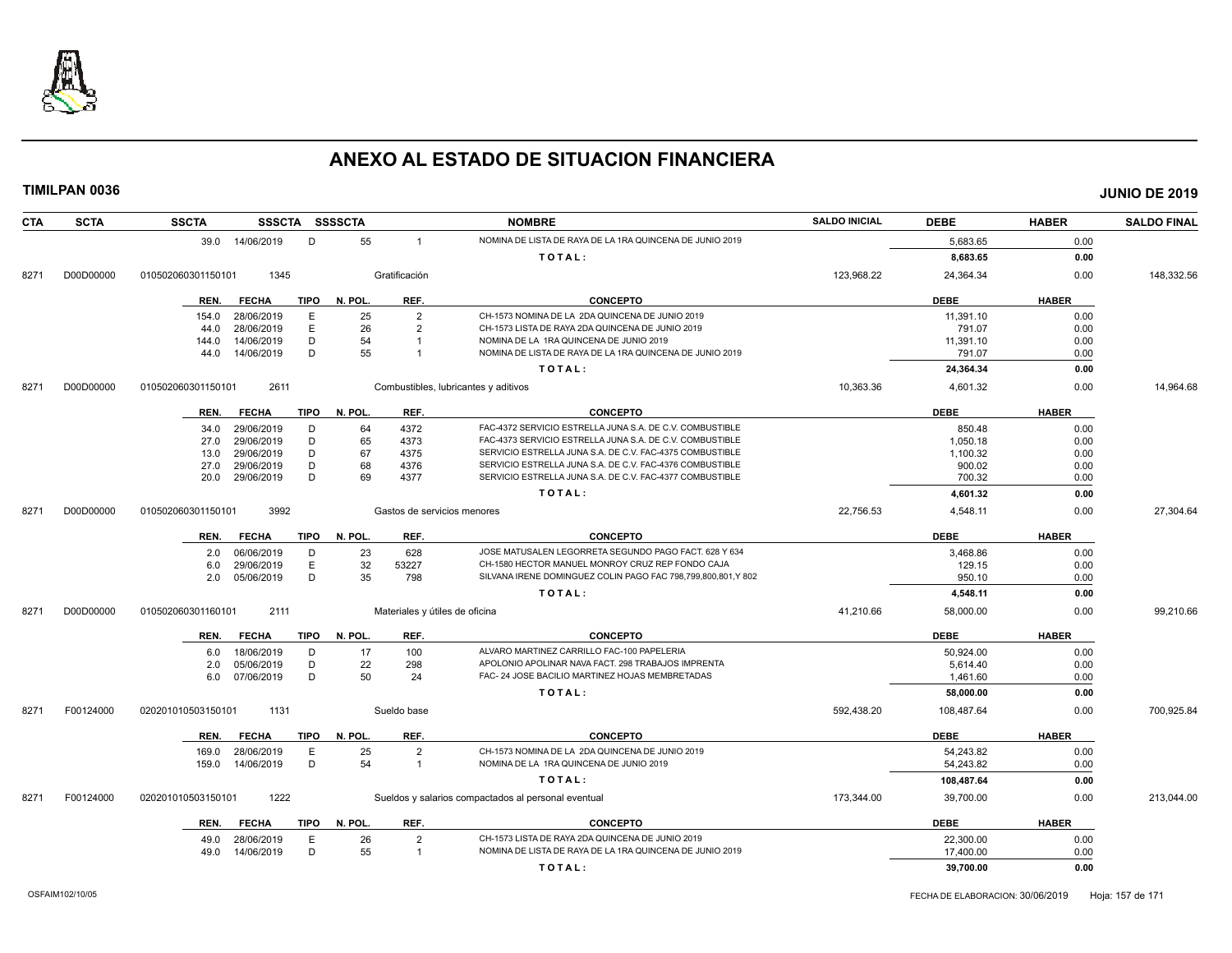

| <b>CTA</b> | <b>SCTA</b> | <b>SSCTA</b><br><b>SSSCTA</b>       | <b>SSSSCTA</b>                 | <b>NOMBRE</b>                                                                                                        | <b>SALDO INICIAL</b> | <b>DEBE</b> | <b>HABER</b> | <b>SALDO FINAL</b> |
|------------|-------------|-------------------------------------|--------------------------------|----------------------------------------------------------------------------------------------------------------------|----------------------|-------------|--------------|--------------------|
|            |             | 39.0 14/06/2019<br>D                | 55<br>$\overline{1}$           | NOMINA DE LISTA DE RAYA DE LA 1RA QUINCENA DE JUNIO 2019                                                             |                      | 5,683.65    | 0.00         |                    |
|            |             |                                     |                                | TOTAL:                                                                                                               |                      | 8,683.65    | 0.00         |                    |
| 8271       | D00D00000   | 1345<br>010502060301150101          | Gratificación                  |                                                                                                                      | 123,968.22           | 24,364.34   | 0.00         | 148,332.56         |
|            |             | <b>TIPO</b><br><b>FECHA</b><br>REN. | REF.<br>N. POL.                | <b>CONCEPTO</b>                                                                                                      |                      | <b>DEBE</b> | <b>HABER</b> |                    |
|            |             | E.<br>154.0<br>28/06/2019           | 25<br>$\overline{2}$           | CH-1573 NOMINA DE LA 2DA QUINCENA DE JUNIO 2019                                                                      |                      | 11,391.10   | 0.00         |                    |
|            |             | E<br>28/06/2019<br>44.0             | 26<br>$\overline{2}$           | CH-1573 LISTA DE RAYA 2DA QUINCENA DE JUNIO 2019                                                                     |                      | 791.07      | 0.00         |                    |
|            |             | D<br>14/06/2019<br>144.0            | 54<br>$\mathbf{1}$             | NOMINA DE LA 1RA QUINCENA DE JUNIO 2019                                                                              |                      | 11,391.10   | 0.00         |                    |
|            |             | 14/06/2019<br>D<br>44.0             | 55<br>$\overline{1}$           | NOMINA DE LISTA DE RAYA DE LA 1RA QUINCENA DE JUNIO 2019                                                             |                      | 791.07      | 0.00         |                    |
|            |             |                                     |                                | TOTAL:                                                                                                               |                      | 24,364.34   | 0.00         |                    |
| 8271       | D00D00000   | 2611<br>010502060301150101          |                                | Combustibles, lubricantes y aditivos                                                                                 | 10,363.36            | 4,601.32    | 0.00         | 14,964.68          |
|            |             |                                     |                                |                                                                                                                      |                      |             |              |                    |
|            |             | <b>FECHA</b><br>TIPO<br>REN.        | N. POL.<br>REF.                | <b>CONCEPTO</b>                                                                                                      |                      | <b>DEBE</b> | <b>HABER</b> |                    |
|            |             | 29/06/2019<br>D<br>34.0             | 4372<br>64                     | FAC-4372 SERVICIO ESTRELLA JUNA S.A. DE C.V. COMBUSTIBLE                                                             |                      | 850.48      | 0.00         |                    |
|            |             | 29/06/2019<br>D<br>27.0             | 65<br>4373                     | FAC-4373 SERVICIO ESTRELLA JUNA S.A. DE C.V. COMBUSTIBLE                                                             |                      | 1,050.18    | 0.00         |                    |
|            |             | 29/06/2019<br>D<br>13.0             | 67<br>4375                     | SERVICIO ESTRELLA JUNA S.A. DE C.V. FAC-4375 COMBUSTIBLE                                                             |                      | 1,100.32    | 0.00         |                    |
|            |             | D<br>29/06/2019<br>27.0<br>D        | 68<br>4376<br>69               | SERVICIO ESTRELLA JUNA S.A. DE C.V. FAC-4376 COMBUSTIBLE<br>SERVICIO ESTRELLA JUNA S.A. DE C.V. FAC-4377 COMBUSTIBLE |                      | 900.02      | 0.00         |                    |
|            |             | 29/06/2019<br>20.0                  | 4377                           |                                                                                                                      |                      | 700.32      | 0.00         |                    |
|            |             |                                     |                                | TOTAL:                                                                                                               |                      | 4,601.32    | 0.00         |                    |
| 8271       | D00D00000   | 3992<br>010502060301150101          | Gastos de servicios menores    |                                                                                                                      | 22,756.53            | 4,548.11    | 0.00         | 27,304.64          |
|            |             | <b>FECHA</b><br><b>TIPO</b><br>REN. | REF.<br>N. POL.                | <b>CONCEPTO</b>                                                                                                      |                      | <b>DEBE</b> | <b>HABER</b> |                    |
|            |             | 06/06/2019<br>D<br>2.0              | 23<br>628                      | JOSE MATUSALEN LEGORRETA SEGUNDO PAGO FACT. 628 Y 634                                                                |                      | 3,468.86    | 0.00         |                    |
|            |             | E<br>29/06/2019<br>6.0              | 32<br>53227                    | CH-1580 HECTOR MANUEL MONROY CRUZ REP FONDO CAJA                                                                     |                      | 129.15      | 0.00         |                    |
|            |             | D<br>05/06/2019<br>2.0              | 35<br>798                      | SILVANA IRENE DOMINGUEZ COLIN PAGO FAC 798,799,800,801,Y 802                                                         |                      | 950.10      | 0.00         |                    |
|            |             |                                     |                                | TOTAL:                                                                                                               |                      | 4,548.11    | 0.00         |                    |
| 8271       | D00D00000   | 2111<br>010502060301160101          | Materiales y útiles de oficina |                                                                                                                      | 41,210.66            | 58,000.00   | 0.00         | 99,210.66          |
|            |             | <b>TIPO</b><br>REN.<br><b>FECHA</b> | N. POL.<br>REF.                | <b>CONCEPTO</b>                                                                                                      |                      | <b>DEBE</b> | <b>HABER</b> |                    |
|            |             | 18/06/2019<br>D<br>6.0              | 17<br>100                      | ALVARO MARTINEZ CARRILLO FAC-100 PAPELERIA                                                                           |                      | 50,924.00   | 0.00         |                    |
|            |             | D<br>05/06/2019<br>2.0              | 22<br>298                      | APOLONIO APOLINAR NAVA FACT. 298 TRABAJOS IMPRENTA                                                                   |                      | 5,614.40    | 0.00         |                    |
|            |             | 07/06/2019<br>D<br>6.0              | 50<br>24                       | FAC- 24 JOSE BACILIO MARTINEZ HOJAS MEMBRETADAS                                                                      |                      | 1,461.60    | 0.00         |                    |
|            |             |                                     |                                | TOTAL:                                                                                                               |                      | 58.000.00   | 0.00         |                    |
| 8271       | F00124000   | 1131<br>020201010503150101          | Sueldo base                    |                                                                                                                      | 592,438.20           | 108,487.64  | 0.00         | 700,925.84         |
|            |             | <b>TIPO</b><br>REN.<br><b>FECHA</b> | N. POL.<br>REF.                | <b>CONCEPTO</b>                                                                                                      |                      | <b>DEBE</b> | <b>HABER</b> |                    |
|            |             | 28/06/2019<br>E<br>169.0            | 25<br>$\overline{2}$           | CH-1573 NOMINA DE LA 2DA QUINCENA DE JUNIO 2019                                                                      |                      | 54,243.82   | 0.00         |                    |
|            |             | D<br>14/06/2019<br>159.0            | 54<br>$\overline{1}$           | NOMINA DE LA 1RA QUINCENA DE JUNIO 2019                                                                              |                      | 54,243.82   | 0.00         |                    |
|            |             |                                     |                                | TOTAL:                                                                                                               |                      | 108,487.64  | 0.00         |                    |
| 8271       | F00124000   | 020201010503150101<br>1222          |                                | Sueldos y salarios compactados al personal eventual                                                                  | 173,344.00           | 39,700.00   | 0.00         | 213,044.00         |
|            |             |                                     |                                |                                                                                                                      |                      |             |              |                    |
|            |             | <b>FECHA</b><br><b>TIPO</b><br>REN. | N. POL.<br>REF.                | <b>CONCEPTO</b>                                                                                                      |                      | <b>DEBE</b> | <b>HABER</b> |                    |
|            |             | E<br>28/06/2019<br>49.0             | 26<br>$\overline{2}$           | CH-1573 LISTA DE RAYA 2DA QUINCENA DE JUNIO 2019                                                                     |                      | 22,300.00   | 0.00         |                    |
|            |             | D<br>14/06/2019<br>49.0             | 55<br>$\overline{1}$           | NOMINA DE LISTA DE RAYA DE LA 1RA QUINCENA DE JUNIO 2019                                                             |                      | 17,400.00   | 0.00         |                    |
|            |             |                                     |                                | TOTAL:                                                                                                               |                      | 39,700.00   | 0.00         |                    |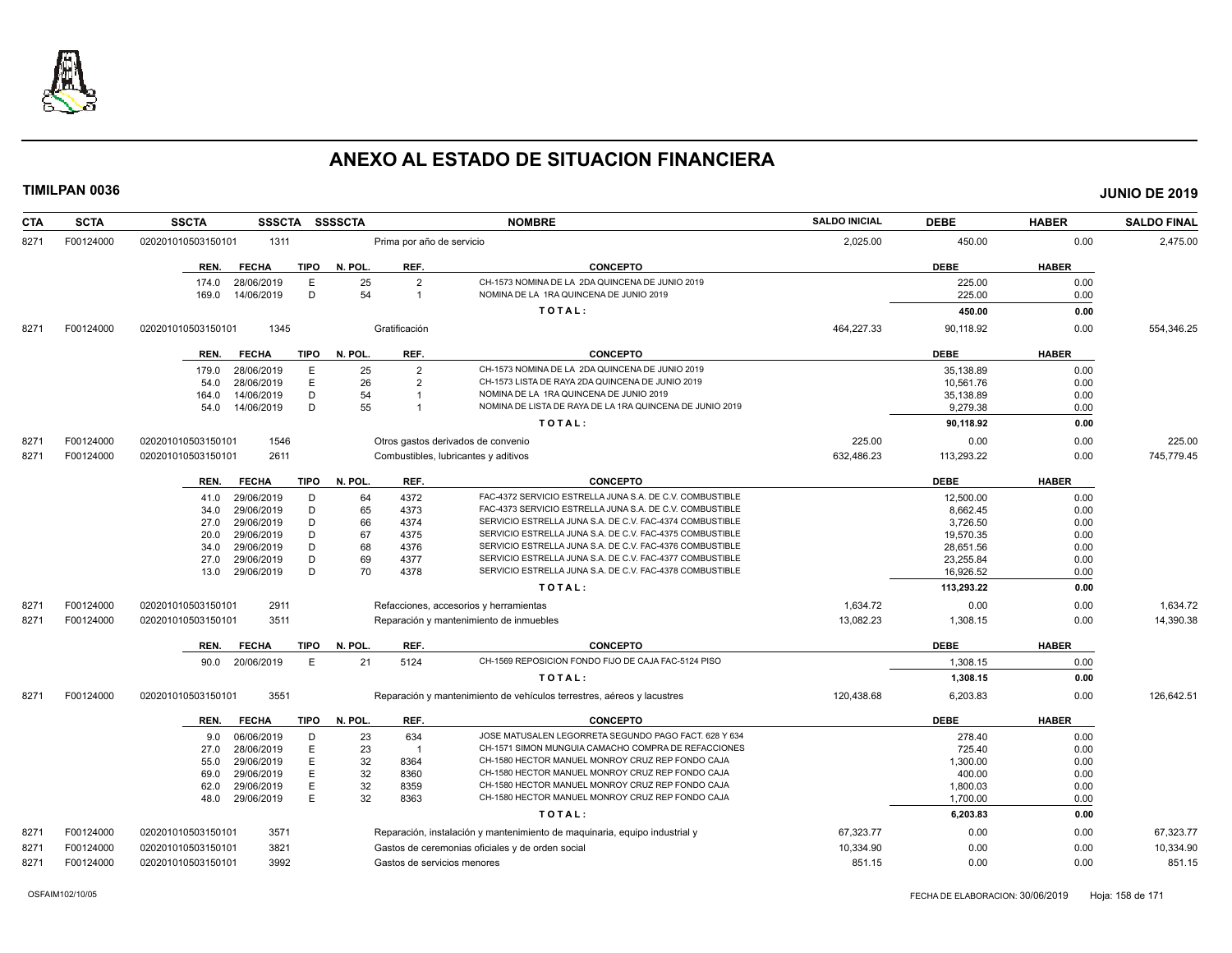

| <b>CTA</b> | <b>SCTA</b> | <b>SSCTA</b><br><b>SSSCTA</b>                        | <b>SSSSCTA</b> | <b>NOMBRE</b>                                                                                                                  | <b>SALDO INICIAL</b> | <b>DEBE</b>      | <b>HABER</b> | <b>SALDO FINAL</b> |
|------------|-------------|------------------------------------------------------|----------------|--------------------------------------------------------------------------------------------------------------------------------|----------------------|------------------|--------------|--------------------|
| 8271       | F00124000   | 1311<br>020201010503150101                           |                | Prima por año de servicio                                                                                                      | 2,025.00             | 450.00           | 0.00         | 2,475.00           |
|            |             | <b>FECHA</b><br><b>TIPO</b><br>REN.                  | N. POL.        | <b>CONCEPTO</b><br>REF.                                                                                                        |                      | <b>DEBE</b>      | <b>HABER</b> |                    |
|            |             | 174.0<br>28/06/2019<br>Ε<br>D<br>14/06/2019<br>169.0 | 25<br>54       | CH-1573 NOMINA DE LA 2DA QUINCENA DE JUNIO 2019<br>$\overline{2}$<br>NOMINA DE LA 1RA QUINCENA DE JUNIO 2019<br>$\overline{1}$ |                      | 225.00<br>225.00 | 0.00<br>0.00 |                    |
|            |             |                                                      |                | TOTAL:                                                                                                                         |                      | 450.00           | 0.00         |                    |
| 8271       | F00124000   | 1345<br>020201010503150101                           |                | Gratificación                                                                                                                  | 464,227.33           | 90,118.92        | 0.00         | 554,346.25         |
|            |             | <b>TIPO</b><br>REN.<br><b>FECHA</b>                  | N. POL.        | REF.<br><b>CONCEPTO</b>                                                                                                        |                      | <b>DEBE</b>      | <b>HABER</b> |                    |
|            |             | 179.0<br>28/06/2019<br>E                             | 25             | CH-1573 NOMINA DE LA 2DA QUINCENA DE JUNIO 2019<br>$\overline{2}$                                                              |                      | 35,138.89        | 0.00         |                    |
|            |             | E<br>28/06/2019<br>54.0                              | 26             | $\overline{2}$<br>CH-1573 LISTA DE RAYA 2DA QUINCENA DE JUNIO 2019                                                             |                      | 10,561.76        | 0.00         |                    |
|            |             | 14/06/2019<br>D<br>164.0                             | 54             | NOMINA DE LA 1RA QUINCENA DE JUNIO 2019                                                                                        |                      | 35,138.89        | 0.00         |                    |
|            |             | D<br>14/06/2019<br>54.0                              | 55             | NOMINA DE LISTA DE RAYA DE LA 1RA QUINCENA DE JUNIO 2019<br>$\overline{1}$                                                     |                      | 9,279.38         | 0.00         |                    |
|            |             |                                                      |                | TOTAL:                                                                                                                         |                      | 90,118.92        | 0.00         |                    |
| 8271       | F00124000   | 1546<br>020201010503150101                           |                | Otros gastos derivados de convenio                                                                                             | 225.00               | 0.00             | 0.00         | 225.00             |
| 8271       | F00124000   | 2611<br>020201010503150101                           |                | Combustibles, lubricantes y aditivos                                                                                           | 632.486.23           | 113,293.22       | 0.00         | 745.779.45         |
|            |             | <b>FECHA</b><br>TIPO<br>REN.                         | N. POL.        | REF.<br><b>CONCEPTO</b>                                                                                                        |                      | <b>DEBE</b>      | <b>HABER</b> |                    |
|            |             | 29/06/2019<br>D<br>41.0                              | 64             | 4372<br>FAC-4372 SERVICIO ESTRELLA JUNA S.A. DE C.V. COMBUSTIBLE                                                               |                      | 12,500.00        | 0.00         |                    |
|            |             | 29/06/2019<br>D<br>34.0                              | 65             | 4373<br>FAC-4373 SERVICIO ESTRELLA JUNA S.A. DE C.V. COMBUSTIBLE                                                               |                      | 8,662.45         | 0.00         |                    |
|            |             | 29/06/2019<br>D<br>27.0                              | 66             | SERVICIO ESTRELLA JUNA S.A. DE C.V. FAC-4374 COMBUSTIBLE<br>4374                                                               |                      | 3,726.50         | 0.00         |                    |
|            |             | D<br>20.0<br>29/06/2019                              | 67             | SERVICIO ESTRELLA JUNA S.A. DE C.V. FAC-4375 COMBUSTIBLE<br>4375                                                               |                      | 19,570.35        | 0.00         |                    |
|            |             | D<br>29/06/2019<br>34.0                              | 68             | SERVICIO ESTRELLA JUNA S.A. DE C.V. FAC-4376 COMBUSTIBLE<br>4376                                                               |                      | 28.651.56        | 0.00         |                    |
|            |             | D<br>29/06/2019<br>27.0                              | 69             | SERVICIO ESTRELLA JUNA S.A. DE C.V. FAC-4377 COMBUSTIBLE<br>4377                                                               |                      | 23,255.84        | 0.00         |                    |
|            |             | D<br>29/06/2019<br>13.0                              | 70             | SERVICIO ESTRELLA JUNA S.A. DE C.V. FAC-4378 COMBUSTIBLE<br>4378                                                               |                      | 16,926.52        | 0.00         |                    |
|            |             |                                                      |                | TOTAL:                                                                                                                         |                      | 113,293.22       | 0.00         |                    |
| 8271       | F00124000   | 2911<br>020201010503150101                           |                | Refacciones, accesorios y herramientas                                                                                         | 1,634.72             | 0.00             | 0.00         | 1,634.72           |
| 8271       | F00124000   | 020201010503150101<br>3511                           |                | Reparación y mantenimiento de inmuebles                                                                                        | 13,082.23            | 1,308.15         | 0.00         | 14,390.38          |
|            |             | REN.<br><b>FECHA</b><br><b>TIPO</b>                  | N. POL.        | <b>CONCEPTO</b><br>REF.                                                                                                        |                      | <b>DEBE</b>      | <b>HABER</b> |                    |
|            |             | 20/06/2019<br>E<br>90.0                              | 21             | CH-1569 REPOSICION FONDO FIJO DE CAJA FAC-5124 PISO<br>5124                                                                    |                      | 1,308.15         | 0.00         |                    |
|            |             |                                                      |                | TOTAL:                                                                                                                         |                      | 1,308.15         | 0.00         |                    |
| 8271       | F00124000   | 3551<br>020201010503150101                           |                | Reparación y mantenimiento de vehículos terrestres, aéreos y lacustres                                                         | 120,438.68           | 6,203.83         | 0.00         | 126,642.51         |
|            |             | <b>FECHA</b><br><b>TIPO</b><br>REN.                  | N. POL.        | REF.<br><b>CONCEPTO</b>                                                                                                        |                      | <b>DEBE</b>      | <b>HABER</b> |                    |
|            |             | 06/06/2019<br>D<br>9.0                               | 23             | JOSE MATUSALEN LEGORRETA SEGUNDO PAGO FACT. 628 Y 634<br>634                                                                   |                      | 278.40           | 0.00         |                    |
|            |             | 28/06/2019<br>E<br>27.0                              | 23             | CH-1571 SIMON MUNGUIA CAMACHO COMPRA DE REFACCIONES<br>$\overline{1}$                                                          |                      | 725.40           | 0.00         |                    |
|            |             | E<br>29/06/2019<br>55.0                              | 32             | 8364<br>CH-1580 HECTOR MANUEL MONROY CRUZ REP FONDO CAJA                                                                       |                      | 1,300.00         | 0.00         |                    |
|            |             | E<br>29/06/2019<br>69.0                              | 32             | CH-1580 HECTOR MANUEL MONROY CRUZ REP FONDO CAJA<br>8360                                                                       |                      | 400.00           | 0.00         |                    |
|            |             | E<br>62.0<br>29/06/2019                              | 32             | CH-1580 HECTOR MANUEL MONROY CRUZ REP FONDO CAJA<br>8359                                                                       |                      | 1,800.03         | 0.00         |                    |
|            |             | E<br>29/06/2019<br>48.0                              | 32             | CH-1580 HECTOR MANUEL MONROY CRUZ REP FONDO CAJA<br>8363                                                                       |                      | 1.700.00         | 0.00         |                    |
|            |             |                                                      |                | TOTAL:                                                                                                                         |                      | 6,203.83         | 0.00         |                    |
| 8271       | F00124000   | 3571<br>020201010503150101                           |                | Reparación, instalación y mantenimiento de maquinaria, equipo industrial y                                                     | 67,323.77            | 0.00             | 0.00         | 67,323.77          |
| 8271       | F00124000   | 3821<br>020201010503150101                           |                | Gastos de ceremonias oficiales y de orden social                                                                               | 10.334.90            | 0.00             | 0.00         | 10,334.90          |
| 8271       | F00124000   | 3992<br>020201010503150101                           |                | Gastos de servicios menores                                                                                                    | 851.15               | 0.00             | 0.00         | 851.15             |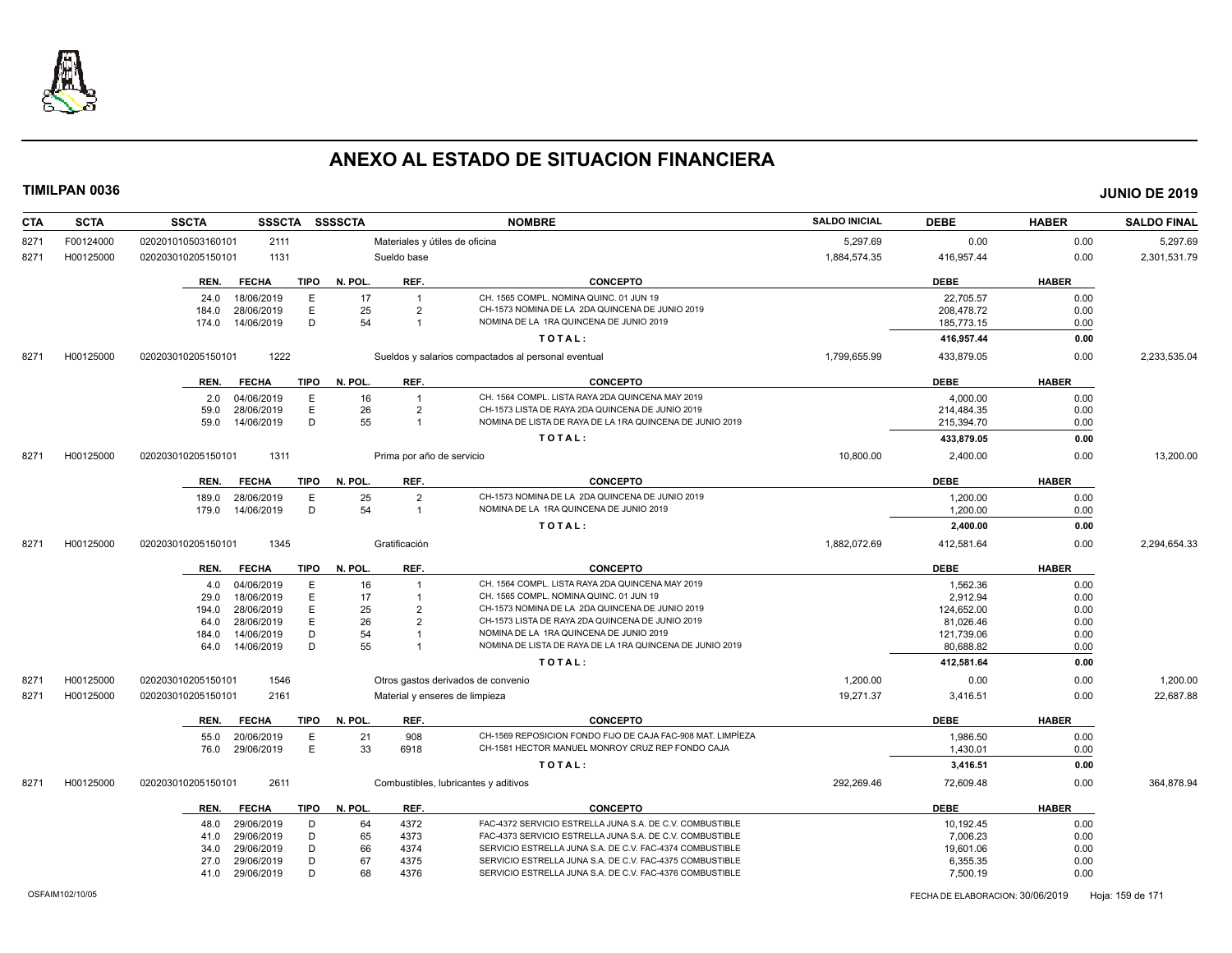

| <b>CTA</b> | <b>SCTA</b> | <b>SSCTA</b>                     |             | SSSCTA SSSSCTA |                           | <b>NOMBRE</b>                                               | <b>SALDO INICIAL</b> | <b>DEBE</b>           | <b>HABER</b> | <b>SALDO FINAL</b> |
|------------|-------------|----------------------------------|-------------|----------------|---------------------------|-------------------------------------------------------------|----------------------|-----------------------|--------------|--------------------|
| 8271       | F00124000   | 020201010503160101<br>2111       |             |                |                           | Materiales y útiles de oficina                              | 5,297.69             | 0.00                  | 0.00         | 5,297.69           |
| 8271       | H00125000   | 1131<br>020203010205150101       |             |                | Sueldo base               |                                                             | 1,884,574.35         | 416,957.44            | 0.00         | 2,301,531.79       |
|            |             | <b>FECHA</b><br>REN.             | <b>TIPO</b> | N. POL.        | REF.                      | <b>CONCEPTO</b>                                             |                      | <b>DEBE</b>           | <b>HABER</b> |                    |
|            |             | 18/06/2019<br>24.0               | E           | 17             | $\overline{1}$            | CH. 1565 COMPL. NOMINA QUINC. 01 JUN 19                     |                      | 22,705.57             | 0.00         |                    |
|            |             | 28/06/2019<br>184.0              | E           | 25             | $\overline{2}$            | CH-1573 NOMINA DE LA 2DA QUINCENA DE JUNIO 2019             |                      | 208,478.72            | 0.00         |                    |
|            |             | 14/06/2019<br>174.0              | D           | 54             | $\overline{1}$            | NOMINA DE LA 1RA QUINCENA DE JUNIO 2019                     |                      | 185,773.15            | 0.00         |                    |
|            |             |                                  |             |                |                           | TOTAL:                                                      |                      | 416,957.44            | 0.00         |                    |
| 8271       | H00125000   | 1222<br>020203010205150101       |             |                |                           | Sueldos y salarios compactados al personal eventual         | 1,799,655.99         | 433,879.05            | 0.00         | 2,233,535.04       |
|            |             | <b>FECHA</b><br>REN.             |             | TIPO N. POL.   | REF.                      | <b>CONCEPTO</b>                                             |                      | <b>DEBE</b>           | <b>HABER</b> |                    |
|            |             | 04/06/2019<br>2.0                | E.          | 16             | $\overline{1}$            | CH. 1564 COMPL. LISTA RAYA 2DA QUINCENA MAY 2019            |                      | 4,000.00              | 0.00         |                    |
|            |             | 28/06/2019<br>59.0               | E           | 26             | $\overline{2}$            | CH-1573 LISTA DE RAYA 2DA QUINCENA DE JUNIO 2019            |                      | 214,484.35            | 0.00         |                    |
|            |             | 14/06/2019<br>59.0               | D           | 55             | $\overline{1}$            | NOMINA DE LISTA DE RAYA DE LA 1RA QUINCENA DE JUNIO 2019    |                      | 215,394.70            | 0.00         |                    |
|            |             |                                  |             |                |                           |                                                             |                      |                       |              |                    |
|            |             |                                  |             |                |                           | TOTAL:                                                      |                      | 433,879.05            | 0.00         |                    |
| 8271       | H00125000   | 020203010205150101<br>1311       |             |                | Prima por año de servicio |                                                             | 10,800.00            | 2,400.00              | 0.00         | 13,200.00          |
|            |             | REN.<br><b>FECHA</b>             | <b>TIPO</b> | N. POL.        | REF.                      | <b>CONCEPTO</b>                                             |                      | <b>DEBE</b>           | <b>HABER</b> |                    |
|            |             | 28/06/2019<br>189.0              | E           | 25             | $\overline{2}$            | CH-1573 NOMINA DE LA 2DA QUINCENA DE JUNIO 2019             |                      | 1,200.00              | 0.00         |                    |
|            |             | 14/06/2019<br>179.0              | D           | 54             | $\overline{1}$            | NOMINA DE LA 1RA QUINCENA DE JUNIO 2019                     |                      | 1,200.00              | 0.00         |                    |
|            |             |                                  |             |                |                           | TOTAL:                                                      |                      | 2,400.00              | 0.00         |                    |
| 8271       | H00125000   | 1345<br>020203010205150101       |             |                | Gratificación             |                                                             | 1,882,072.69         | 412,581.64            | 0.00         | 2,294,654.33       |
|            |             | <b>FECHA</b><br>REN.             | <b>TIPO</b> | N. POL.        | REF.                      | <b>CONCEPTO</b>                                             |                      | <b>DEBE</b>           | <b>HABER</b> |                    |
|            |             | 04/06/2019<br>4.0                | E           | 16             |                           | CH. 1564 COMPL. LISTA RAYA 2DA QUINCENA MAY 2019            |                      | 1,562.36              | 0.00         |                    |
|            |             | 29.0<br>18/06/2019               | E           | 17             |                           | CH. 1565 COMPL. NOMINA QUINC. 01 JUN 19                     |                      | 2,912.94              | 0.00         |                    |
|            |             | 28/06/2019<br>194.0              | E           | 25             | $\overline{2}$            | CH-1573 NOMINA DE LA 2DA QUINCENA DE JUNIO 2019             |                      | 124,652.00            | 0.00         |                    |
|            |             | 28/06/2019<br>64.0               | E           | 26             | $\overline{2}$            | CH-1573 LISTA DE RAYA 2DA QUINCENA DE JUNIO 2019            |                      | 81,026.46             | 0.00         |                    |
|            |             | 14/06/2019<br>184.0              | D           | 54             |                           | NOMINA DE LA 1RA QUINCENA DE JUNIO 2019                     |                      | 121,739.06            | 0.00         |                    |
|            |             | 14/06/2019<br>64.0               | D           | 55             |                           | NOMINA DE LISTA DE RAYA DE LA 1RA QUINCENA DE JUNIO 2019    |                      | 80,688.82             | 0.00         |                    |
|            |             |                                  |             |                |                           | TOTAL:                                                      |                      | 412,581.64            | 0.00         |                    |
| 827'       | H00125000   | 1546<br>020203010205150101       |             |                |                           | Otros gastos derivados de convenio                          | 1,200.00             | 0.00                  | 0.00         | 1,200.00           |
| 8271       | H00125000   | 020203010205150101<br>2161       |             |                |                           | Material y enseres de limpieza                              | 19,271.37            | 3,416.51              | 0.00         | 22,687.88          |
|            |             |                                  |             |                |                           |                                                             |                      |                       |              |                    |
|            |             | <b>FECHA</b><br>REN.             | <b>TIPO</b> | N. POL.        | REF.                      | <b>CONCEPTO</b>                                             |                      | <b>DEBE</b>           | <b>HABER</b> |                    |
|            |             | 20/06/2019<br>55.0               | E.          | 21             | 908                       | CH-1569 REPOSICION FONDO FIJO DE CAJA FAC-908 MAT. LIMPÍEZA |                      | 1,986.50              | 0.00         |                    |
|            |             | 29/06/2019<br>76.0               | E           | 33             | 6918                      | CH-1581 HECTOR MANUEL MONROY CRUZ REP FONDO CAJA            |                      | 1,430.01              | 0.00         |                    |
|            |             |                                  |             |                |                           | TOTAL:                                                      |                      | 3,416.51              | 0.00         |                    |
| 8271       | H00125000   | 020203010205150101<br>2611       |             |                |                           | Combustibles, lubricantes y aditivos                        | 292,269.46           | 72,609.48             | 0.00         | 364,878.94         |
|            |             | REN.<br><b>FECHA</b>             | <b>TIPO</b> | N. POL.        | REF.                      | <b>CONCEPTO</b>                                             |                      | <b>DEBE</b>           | <b>HABER</b> |                    |
|            |             |                                  |             |                |                           | FAC-4372 SERVICIO ESTRELLA JUNA S.A. DE C.V. COMBUSTIBLE    |                      |                       |              |                    |
|            |             | 29/06/2019<br>48.0<br>29/06/2019 | D<br>D      | 64<br>65       | 4372<br>4373              | FAC-4373 SERVICIO ESTRELLA JUNA S.A. DE C.V. COMBUSTIBLE    |                      | 10,192.45<br>7,006.23 | 0.00<br>0.00 |                    |
|            |             | 41.0<br>29/06/2019<br>34.0       | D           | 66             | 4374                      | SERVICIO ESTRELLA JUNA S.A. DE C.V. FAC-4374 COMBUSTIBLE    |                      | 19,601.06             | 0.00         |                    |
|            |             | 29/06/2019<br>27.0               | D           | 67             | 4375                      | SERVICIO ESTRELLA JUNA S.A. DE C.V. FAC-4375 COMBUSTIBLE    |                      | 6,355.35              | 0.00         |                    |
|            |             | 41.0<br>29/06/2019               | D           | 68             | 4376                      | SERVICIO ESTRELLA JUNA S.A. DE C.V. FAC-4376 COMBUSTIBLE    |                      | 7,500.19              | 0.00         |                    |
|            |             |                                  |             |                |                           |                                                             |                      |                       |              |                    |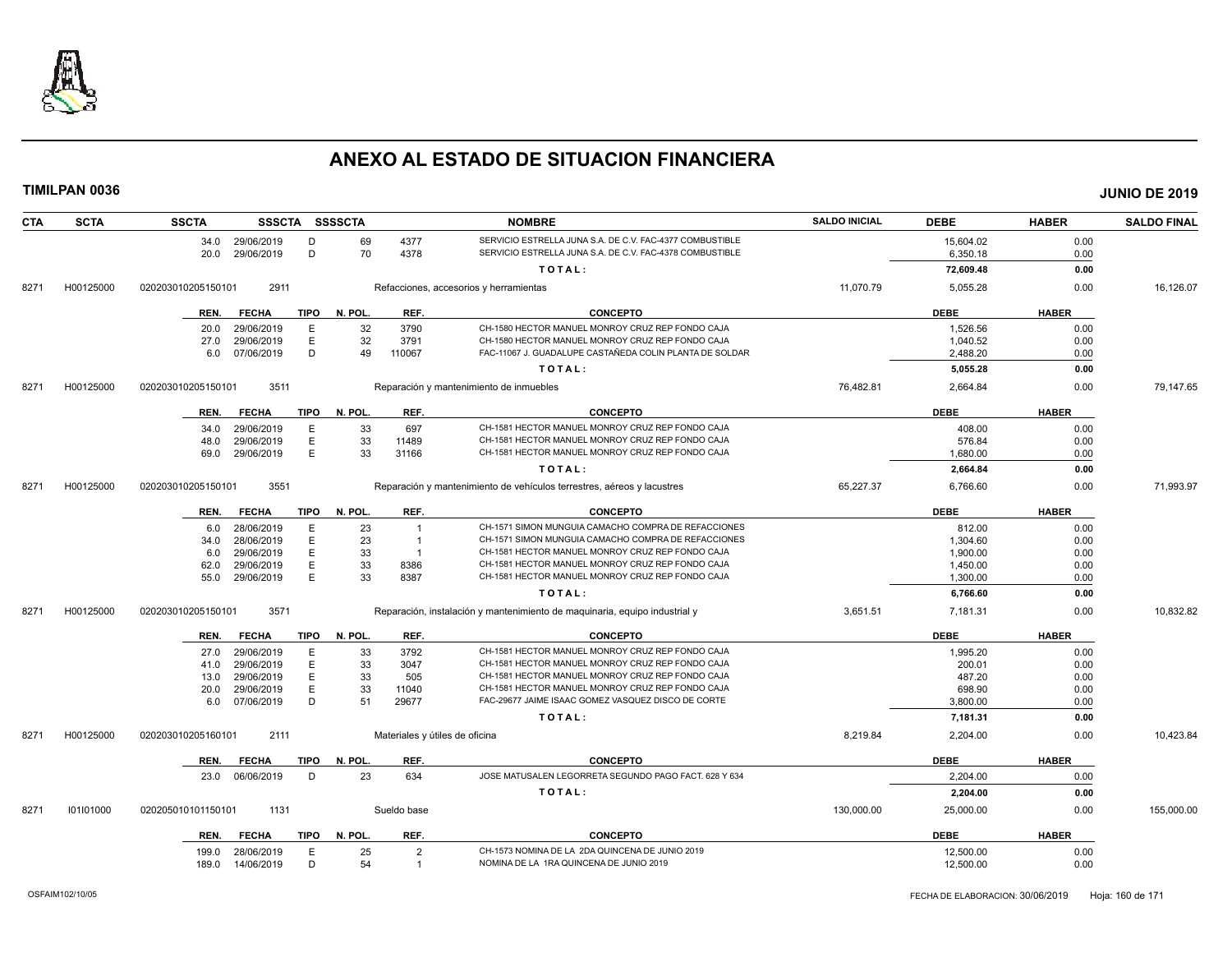

| <b>CTA</b> | <b>SCTA</b> | <b>SSCTA</b>         |             | SSSCTA SSSSCTA |                | <b>NOMBRE</b>                                                              | <b>SALDO INICIAL</b> | <b>DEBE</b> | <b>HABER</b> | <b>SALDO FINAL</b> |
|------------|-------------|----------------------|-------------|----------------|----------------|----------------------------------------------------------------------------|----------------------|-------------|--------------|--------------------|
|            |             | 34.0 29/06/2019      | D           | 69             | 4377           | SERVICIO ESTRELLA JUNA S.A. DE C.V. FAC-4377 COMBUSTIBLE                   |                      | 15,604.02   | 0.00         |                    |
|            |             | 29/06/2019<br>20.0   | D           | 70             | 4378           | SERVICIO ESTRELLA JUNA S.A. DE C.V. FAC-4378 COMBUSTIBLE                   |                      | 6,350.18    | 0.00         |                    |
|            |             |                      |             |                |                | TOTAL:                                                                     |                      | 72,609.48   | 0.00         |                    |
| 8271       | H00125000   | 020203010205150101   | 2911        |                |                | Refacciones, accesorios y herramientas                                     | 11,070.79            | 5,055.28    | 0.00         | 16,126.07          |
|            |             | <b>FECHA</b><br>REN. | <b>TIPO</b> | N. POL.        | REF.           | <b>CONCEPTO</b>                                                            |                      | <b>DEBE</b> | <b>HABER</b> |                    |
|            |             | 29/06/2019<br>20.0   | E           | 32             | 3790           | CH-1580 HECTOR MANUEL MONROY CRUZ REP FONDO CAJA                           |                      | 1,526.56    | 0.00         |                    |
|            |             | 29/06/2019<br>27.0   | Ε           | 32             | 3791           | CH-1580 HECTOR MANUEL MONROY CRUZ REP FONDO CAJA                           |                      | 1,040.52    | 0.00         |                    |
|            |             | 07/06/2019<br>6.0    | D           | 49             | 110067         | FAC-11067 J. GUADALUPE CASTAÑEDA COLIN PLANTA DE SOLDAR                    |                      | 2,488.20    | 0.00         |                    |
|            |             |                      |             |                |                | TOTAL:                                                                     |                      | 5,055.28    | 0.00         |                    |
| 8271       | H00125000   | 020203010205150101   | 3511        |                |                | Reparación y mantenimiento de inmuebles                                    | 76,482.81            | 2,664.84    | 0.00         | 79,147.65          |
|            |             | REN.<br><b>FECHA</b> | TIPO        | N. POL.        | REF.           | <b>CONCEPTO</b>                                                            |                      | <b>DEBE</b> | <b>HABER</b> |                    |
|            |             | 29/06/2019<br>34.0   | E           | 33             | 697            | CH-1581 HECTOR MANUEL MONROY CRUZ REP FONDO CAJA                           |                      | 408.00      | 0.00         |                    |
|            |             | 48.0<br>29/06/2019   | E           | 33             | 11489          | CH-1581 HECTOR MANUEL MONROY CRUZ REP FONDO CAJA                           |                      | 576.84      | 0.00         |                    |
|            |             | 29/06/2019<br>69.0   | E           | 33             | 31166          | CH-1581 HECTOR MANUEL MONROY CRUZ REP FONDO CAJA                           |                      | 1.680.00    | 0.00         |                    |
|            |             |                      |             |                |                | TOTAL:                                                                     |                      | 2,664.84    | 0.00         |                    |
| 8271       | H00125000   | 020203010205150101   | 3551        |                |                | Reparación y mantenimiento de vehículos terrestres, aéreos y lacustres     | 65,227.37            | 6,766.60    | 0.00         | 71,993.97          |
|            |             | <b>FECHA</b><br>REN. | <b>TIPO</b> | N. POL.        | REF.           | <b>CONCEPTO</b>                                                            |                      | <b>DEBE</b> | <b>HABER</b> |                    |
|            |             | 28/06/2019<br>6.0    | E           | 23             | $\overline{1}$ | CH-1571 SIMON MUNGUIA CAMACHO COMPRA DE REFACCIONES                        |                      | 812.00      | 0.00         |                    |
|            |             | 28/06/2019<br>34.0   | E           | 23             | $\overline{1}$ | CH-1571 SIMON MUNGUIA CAMACHO COMPRA DE REFACCIONES                        |                      | 1.304.60    | 0.00         |                    |
|            |             | 29/06/2019<br>6.0    | E           | 33             | $\overline{1}$ | CH-1581 HECTOR MANUEL MONROY CRUZ REP FONDO CAJA                           |                      | 1,900.00    | 0.00         |                    |
|            |             | 29/06/2019<br>62.0   | E           | 33             | 8386           | CH-1581 HECTOR MANUEL MONROY CRUZ REP FONDO CAJA                           |                      | 1,450.00    | 0.00         |                    |
|            |             | 55.0<br>29/06/2019   | E           | 33             | 8387           | CH-1581 HECTOR MANUEL MONROY CRUZ REP FONDO CAJA                           |                      | 1,300.00    | 0.00         |                    |
|            |             |                      |             |                |                | TOTAL:                                                                     |                      | 6,766.60    | 0.00         |                    |
| 8271       | H00125000   | 020203010205150101   | 3571        |                |                | Reparación, instalación y mantenimiento de maquinaria, equipo industrial y | 3,651.51             | 7,181.31    | 0.00         | 10,832.82          |
|            |             | <b>FECHA</b><br>REN. | TIPO        | N. POL.        | REF.           | <b>CONCEPTO</b>                                                            |                      | <b>DEBE</b> | <b>HABER</b> |                    |
|            |             | 29/06/2019<br>27.0   | E           | 33             | 3792           | CH-1581 HECTOR MANUEL MONROY CRUZ REP FONDO CAJA                           |                      | 1,995.20    | 0.00         |                    |
|            |             | 29/06/2019<br>41.0   | Ε           | 33             | 3047           | CH-1581 HECTOR MANUEL MONROY CRUZ REP FONDO CAJA                           |                      | 200.01      | 0.00         |                    |
|            |             | 29/06/2019<br>13.0   | Е           | 33             | 505            | CH-1581 HECTOR MANUEL MONROY CRUZ REP FONDO CAJA                           |                      | 487.20      | 0.00         |                    |
|            |             | 29/06/2019<br>20.0   | E           | 33             | 11040          | CH-1581 HECTOR MANUEL MONROY CRUZ REP FONDO CAJA                           |                      | 698.90      | 0.00         |                    |
|            |             | 07/06/2019<br>6.0    | D           | 51             | 29677          | FAC-29677 JAIME ISAAC GOMEZ VASQUEZ DISCO DE CORTE                         |                      | 3,800.00    | 0.00         |                    |
|            |             |                      |             |                |                | TOTAL:                                                                     |                      | 7,181.31    | 0.00         |                    |
| 8271       | H00125000   | 020203010205160101   | 2111        |                |                | Materiales y útiles de oficina                                             | 8,219.84             | 2,204.00    | 0.00         | 10,423.84          |
|            |             | <b>FECHA</b><br>REN. | TIPO        | N. POL.        | REF.           | <b>CONCEPTO</b>                                                            |                      | <b>DEBE</b> | <b>HABER</b> |                    |
|            |             | 23.0<br>06/06/2019   | D           | 23             | 634            | JOSE MATUSALEN LEGORRETA SEGUNDO PAGO FACT. 628 Y 634                      |                      | 2,204.00    | 0.00         |                    |
|            |             |                      |             |                |                | TOTAL:                                                                     |                      | 2,204.00    | 0.00         |                    |
| 8271       | 101101000   | 020205010101150101   | 1131        |                | Sueldo base    |                                                                            | 130,000.00           | 25,000.00   | 0.00         | 155,000.00         |
|            |             | <b>FECHA</b><br>REN. | TIPO        | N. POL.        | REF.           | <b>CONCEPTO</b>                                                            |                      | <b>DEBE</b> | <b>HABER</b> |                    |
|            |             | 28/06/2019<br>199.0  | E           | 25             | $\overline{2}$ | CH-1573 NOMINA DE LA 2DA QUINCENA DE JUNIO 2019                            |                      | 12,500.00   | 0.00         |                    |
|            |             | 189.0<br>14/06/2019  | D           | 54             | $\overline{1}$ | NOMINA DE LA 1RA QUINCENA DE JUNIO 2019                                    |                      | 12,500.00   | 0.00         |                    |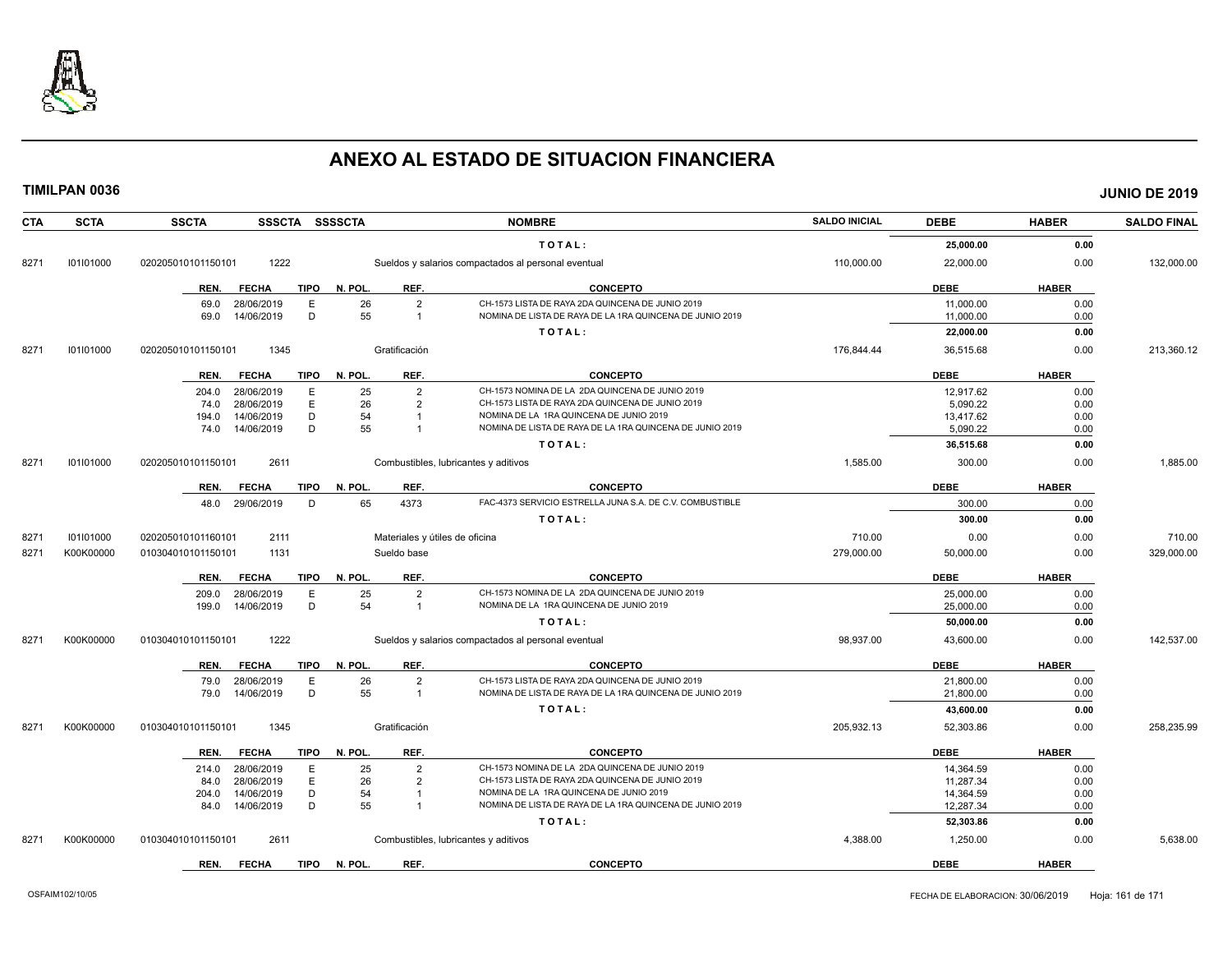

| <b>CTA</b> | <b>SCTA</b> | <b>SSCTA</b><br>SSSCTA SSSSCTA      |                                | <b>NOMBRE</b>                                            | <b>SALDO INICIAL</b> | <b>DEBE</b> | <b>HABER</b> | <b>SALDO FINAL</b> |
|------------|-------------|-------------------------------------|--------------------------------|----------------------------------------------------------|----------------------|-------------|--------------|--------------------|
|            |             |                                     |                                | TOTAL:                                                   |                      | 25,000.00   | 0.00         |                    |
| 8271       | 101101000   | 1222<br>020205010101150101          |                                | Sueldos y salarios compactados al personal eventual      | 110,000.00           | 22,000.00   | 0.00         | 132,000.00         |
|            |             | <b>TIPO</b><br><b>FECHA</b><br>REN. | REF.<br>N. POL.                | <b>CONCEPTO</b>                                          |                      | <b>DEBE</b> | <b>HABER</b> |                    |
|            |             | E<br>69.0<br>28/06/2019             | 26<br>$\overline{2}$           | CH-1573 LISTA DE RAYA 2DA QUINCENA DE JUNIO 2019         |                      | 11,000.00   | 0.00         |                    |
|            |             | D<br>14/06/2019<br>69.0             | 55<br>$\overline{1}$           | NOMINA DE LISTA DE RAYA DE LA 1RA QUINCENA DE JUNIO 2019 |                      | 11,000.00   | 0.00         |                    |
|            |             |                                     |                                | TOTAL:                                                   |                      | 22,000.00   | 0.00         |                    |
| 8271       | 101101000   | 020205010101150101<br>1345          | Gratificación                  |                                                          | 176,844.44           | 36,515.68   | 0.00         | 213,360.12         |
|            |             | FECHA<br>TIPO<br>REN.               | REF.<br>N. POL.                | <b>CONCEPTO</b>                                          |                      | <b>DEBE</b> | <b>HABER</b> |                    |
|            |             | 28/06/2019<br>E.<br>204.0           | 25<br>$\overline{2}$           | CH-1573 NOMINA DE LA 2DA QUINCENA DE JUNIO 2019          |                      | 12.917.62   | 0.00         |                    |
|            |             | E<br>28/06/2019<br>74.0             | 26<br>$\overline{2}$           | CH-1573 LISTA DE RAYA 2DA QUINCENA DE JUNIO 2019         |                      | 5,090.22    | 0.00         |                    |
|            |             | 14/06/2019<br>D<br>194.0            | 54                             | NOMINA DE LA 1RA QUINCENA DE JUNIO 2019                  |                      | 13,417.62   | 0.00         |                    |
|            |             | 74.0 14/06/2019<br>D                | 55                             | NOMINA DE LISTA DE RAYA DE LA 1RA QUINCENA DE JUNIO 2019 |                      | 5,090.22    | 0.00         |                    |
|            |             |                                     |                                | TOTAL:                                                   |                      | 36,515.68   | 0.00         |                    |
| 8271       | 101101000   | 2611<br>020205010101150101          |                                | Combustibles, lubricantes y aditivos                     | 1,585.00             | 300.00      | 0.00         | 1,885.00           |
|            |             | <b>TIPO</b><br>REN.<br><b>FECHA</b> | N. POL.<br>REF.                | <b>CONCEPTO</b>                                          |                      | <b>DEBE</b> | <b>HABER</b> |                    |
|            |             | 29/06/2019<br>D<br>48.0             | 65<br>4373                     | FAC-4373 SERVICIO ESTRELLA JUNA S.A. DE C.V. COMBUSTIBLE |                      | 300.00      | 0.00         |                    |
|            |             |                                     |                                | TOTAL:                                                   |                      | 300.00      | 0.00         |                    |
| 8271       | 101101000   | 020205010101160101<br>2111          | Materiales y útiles de oficina |                                                          | 710.00               | 0.00        | 0.00         | 710.00             |
| 8271       | K00K00000   | 1131<br>010304010101150101          | Sueldo base                    |                                                          | 279.000.00           | 50,000.00   | 0.00         | 329,000.00         |
|            |             | <b>TIPO</b><br>REN.<br><b>FECHA</b> | N. POL.<br>REF.                | <b>CONCEPTO</b>                                          |                      | <b>DEBE</b> | <b>HABER</b> |                    |
|            |             | E<br>28/06/2019<br>209.0            | 25<br>$\overline{2}$           | CH-1573 NOMINA DE LA 2DA QUINCENA DE JUNIO 2019          |                      | 25,000.00   | 0.00         |                    |
|            |             | 14/06/2019<br>D<br>199.0            | 54<br>$\overline{1}$           | NOMINA DE LA 1RA QUINCENA DE JUNIO 2019                  |                      | 25,000.00   | 0.00         |                    |
|            |             |                                     |                                | TOTAL:                                                   |                      | 50,000.00   | 0.00         |                    |
| 8271       | K00K00000   | 1222<br>010304010101150101          |                                | Sueldos y salarios compactados al personal eventual      | 98,937.00            | 43,600.00   | 0.00         | 142,537.00         |
|            |             | <b>FECHA</b><br><b>TIPO</b><br>REN. | REF.<br>N. POL.                | <b>CONCEPTO</b>                                          |                      | <b>DEBE</b> | <b>HABER</b> |                    |
|            |             | Ε<br>28/06/2019<br>79.0             | 26<br>$\overline{2}$           | CH-1573 LISTA DE RAYA 2DA QUINCENA DE JUNIO 2019         |                      | 21,800.00   | 0.00         |                    |
|            |             | D<br>79.0<br>14/06/2019             | 55<br>$\overline{1}$           | NOMINA DE LISTA DE RAYA DE LA 1RA QUINCENA DE JUNIO 2019 |                      | 21,800.00   | 0.00         |                    |
|            |             |                                     |                                | TOTAL:                                                   |                      | 43,600.00   | 0.00         |                    |
| 8271       | K00K00000   | 1345<br>010304010101150101          | Gratificación                  |                                                          | 205,932.13           | 52,303.86   | 0.00         | 258,235.99         |
|            |             | <b>TIPO</b><br>REN.<br><b>FECHA</b> | REF.<br>N. POL.                | <b>CONCEPTO</b>                                          |                      | <b>DEBE</b> | <b>HABER</b> |                    |
|            |             | 28/06/2019<br>E<br>214.0            | 25<br>$\overline{2}$           | CH-1573 NOMINA DE LA 2DA QUINCENA DE JUNIO 2019          |                      | 14,364.59   | 0.00         |                    |
|            |             | E<br>28/06/2019<br>84.0             | 26<br>$\overline{2}$           | CH-1573 LISTA DE RAYA 2DA QUINCENA DE JUNIO 2019         |                      | 11,287.34   | 0.00         |                    |
|            |             | D<br>14/06/2019<br>204.0            | 54<br>$\overline{1}$           | NOMINA DE LA 1RA QUINCENA DE JUNIO 2019                  |                      | 14,364.59   | 0.00         |                    |
|            |             | D<br>14/06/2019<br>84.0             | 55                             | NOMINA DE LISTA DE RAYA DE LA 1RA QUINCENA DE JUNIO 2019 |                      | 12,287.34   | 0.00         |                    |
|            |             |                                     |                                | TOTAL:                                                   |                      | 52,303.86   | 0.00         |                    |
| 8271       | K00K00000   | 2611<br>010304010101150101          |                                | Combustibles, lubricantes y aditivos                     | 4,388.00             | 1,250.00    | 0.00         | 5,638.00           |
|            |             | REN.<br><b>FECHA</b><br><b>TIPO</b> | N. POL.<br>REF.                | <b>CONCEPTO</b>                                          |                      | <b>DEBE</b> | <b>HABER</b> |                    |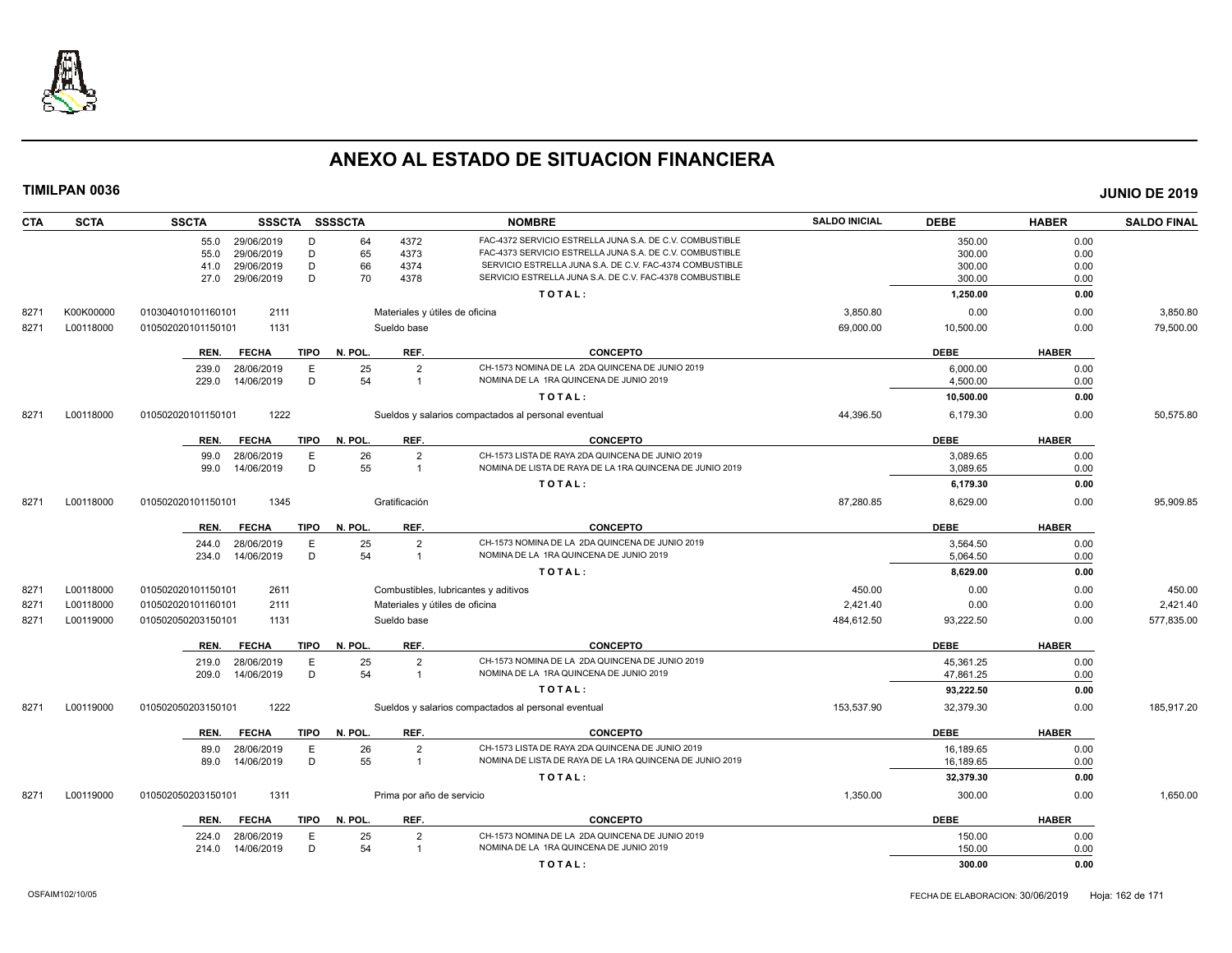

| CTA  | <b>SCTA</b> | <b>SSCTA</b><br>SSSCTA SSSSCTA      |                                | <b>NOMBRE</b>                                            | <b>SALDO INICIAL</b> | <b>DEBE</b> | <b>HABER</b> | <b>SALDO FINAL</b> |
|------|-------------|-------------------------------------|--------------------------------|----------------------------------------------------------|----------------------|-------------|--------------|--------------------|
|      |             | 55.0 29/06/2019<br>D                | 64<br>4372                     | FAC-4372 SERVICIO ESTRELLA JUNA S.A. DE C.V. COMBUSTIBLE |                      | 350.00      | 0.00         |                    |
|      |             | D<br>55.0<br>29/06/2019             | 65<br>4373                     | FAC-4373 SERVICIO ESTRELLA JUNA S.A. DE C.V. COMBUSTIBLE |                      | 300.00      | 0.00         |                    |
|      |             | D<br>41.0<br>29/06/2019             | 66<br>4374                     | SERVICIO ESTRELLA JUNA S.A. DE C.V. FAC-4374 COMBUSTIBLE |                      | 300.00      | 0.00         |                    |
|      |             | 29/06/2019<br>D<br>27.0             | 70<br>4378                     | SERVICIO ESTRELLA JUNA S.A. DE C.V. FAC-4378 COMBUSTIBLE |                      | 300.00      | 0.00         |                    |
|      |             |                                     |                                | TOTAL:                                                   |                      | 1,250.00    | 0.00         |                    |
| 8271 | K00K00000   | 2111<br>010304010101160101          | Materiales y útiles de oficina |                                                          | 3,850.80             | 0.00        | 0.00         | 3,850.80           |
| 8271 | L00118000   | 1131<br>010502020101150101          | Sueldo base                    |                                                          | 69,000.00            | 10,500.00   | 0.00         | 79,500.00          |
|      |             | <b>TIPO</b><br>REN.<br><b>FECHA</b> | N. POL.<br>REF.                | <b>CONCEPTO</b>                                          |                      | <b>DEBE</b> | <b>HABER</b> |                    |
|      |             | 28/06/2019<br>Ε<br>239.0            | 25<br>$\overline{2}$           | CH-1573 NOMINA DE LA 2DA QUINCENA DE JUNIO 2019          |                      | 6,000.00    | 0.00         |                    |
|      |             | 14/06/2019<br>D<br>229.0            | 54<br>$\overline{1}$           | NOMINA DE LA 1RA QUINCENA DE JUNIO 2019                  |                      | 4,500.00    | 0.00         |                    |
|      |             |                                     |                                | TOTAL:                                                   |                      | 10,500.00   | 0.00         |                    |
| 8271 | L00118000   | 1222<br>010502020101150101          |                                | Sueldos y salarios compactados al personal eventual      | 44,396.50            | 6,179.30    | 0.00         | 50.575.80          |
|      |             | <b>FECHA</b><br><b>TIPO</b><br>REN. | N. POL.<br>REF.                | <b>CONCEPTO</b>                                          |                      | <b>DEBE</b> | <b>HABER</b> |                    |
|      |             | Ε<br>99.0<br>28/06/2019             | 26<br>$\overline{2}$           | CH-1573 LISTA DE RAYA 2DA QUINCENA DE JUNIO 2019         |                      | 3,089.65    | 0.00         |                    |
|      |             | D<br>99.0<br>14/06/2019             | 55<br>$\overline{1}$           | NOMINA DE LISTA DE RAYA DE LA 1RA QUINCENA DE JUNIO 2019 |                      | 3,089.65    | 0.00         |                    |
|      |             |                                     |                                | TOTAL:                                                   |                      | 6,179.30    | 0.00         |                    |
| 8271 | L00118000   | 1345<br>010502020101150101          | Gratificación                  |                                                          | 87,280.85            | 8,629.00    | 0.00         | 95,909.85          |
|      |             | <b>TIPO</b><br>REN.<br><b>FECHA</b> | N. POL.<br>REF.                | <b>CONCEPTO</b>                                          |                      | <b>DEBE</b> | <b>HABER</b> |                    |
|      |             | 28/06/2019<br>Ε<br>244.0            | 25<br>$\overline{2}$           | CH-1573 NOMINA DE LA 2DA QUINCENA DE JUNIO 2019          |                      | 3,564.50    | 0.00         |                    |
|      |             | D<br>234.0<br>14/06/2019            | 54<br>$\overline{\mathbf{1}}$  | NOMINA DE LA 1RA QUINCENA DE JUNIO 2019                  |                      | 5,064.50    | 0.00         |                    |
|      |             |                                     |                                | TOTAL:                                                   |                      | 8,629.00    | 0.00         |                    |
| 8271 | L00118000   | 2611<br>010502020101150101          |                                | Combustibles, lubricantes y aditivos                     | 450.00               | 0.00        | 0.00         | 450.00             |
| 8271 | L00118000   | 2111<br>010502020101160101          | Materiales y útiles de oficina |                                                          | 2,421.40             | 0.00        | 0.00         | 2,421.40           |
| 8271 | L00119000   | 010502050203150101<br>1131          | Sueldo base                    |                                                          | 484,612.50           | 93,222.50   | 0.00         | 577,835.00         |
|      |             | <b>TIPO</b><br>REN.<br><b>FECHA</b> | N. POL.<br>REF.                | <b>CONCEPTO</b>                                          |                      | <b>DEBE</b> | <b>HABER</b> |                    |
|      |             | 28/06/2019<br>E<br>219.0            | 25<br>$\overline{2}$           | CH-1573 NOMINA DE LA 2DA QUINCENA DE JUNIO 2019          |                      | 45,361.25   | 0.00         |                    |
|      |             | D<br>14/06/2019<br>209.0            | 54<br>$\overline{1}$           | NOMINA DE LA 1RA QUINCENA DE JUNIO 2019                  |                      | 47,861.25   | 0.00         |                    |
|      |             |                                     |                                | TOTAL:                                                   |                      | 93,222.50   | 0.00         |                    |
| 8271 | L00119000   | 1222<br>010502050203150101          |                                | Sueldos y salarios compactados al personal eventual      | 153,537.90           | 32,379.30   | 0.00         | 185,917.20         |
|      |             | <b>TIPO</b><br>REN.<br><b>FECHA</b> | N. POL.<br>REF.                | <b>CONCEPTO</b>                                          |                      | <b>DEBE</b> | <b>HABER</b> |                    |
|      |             | E<br>28/06/2019<br>89.0             | 26<br>$\overline{2}$           | CH-1573 LISTA DE RAYA 2DA QUINCENA DE JUNIO 2019         |                      | 16,189.65   | 0.00         |                    |
|      |             | 14/06/2019<br>D<br>89.0             | 55<br>$\overline{1}$           | NOMINA DE LISTA DE RAYA DE LA 1RA QUINCENA DE JUNIO 2019 |                      | 16,189.65   | 0.00         |                    |
|      |             |                                     |                                | TOTAL:                                                   |                      | 32,379.30   | 0.00         |                    |
| 8271 | L00119000   | 1311<br>010502050203150101          | Prima por año de servicio      |                                                          | 1,350.00             | 300.00      | 0.00         | 1,650.00           |
|      |             | <b>TIPO</b><br>REN.<br><b>FECHA</b> | N. POL.<br>REF.                | <b>CONCEPTO</b>                                          |                      | <b>DEBE</b> | <b>HABER</b> |                    |
|      |             | 28/06/2019<br>224.0<br>E            | 25<br>$\overline{2}$           | CH-1573 NOMINA DE LA 2DA QUINCENA DE JUNIO 2019          |                      | 150.00      | 0.00         |                    |
|      |             | D.<br>14/06/2019<br>214.0           | 54<br>$\overline{1}$           | NOMINA DE LA 1RA QUINCENA DE JUNIO 2019                  |                      | 150.00      | 0.00         |                    |
|      |             |                                     |                                | TOTAL:                                                   |                      | 300.00      | 0.00         |                    |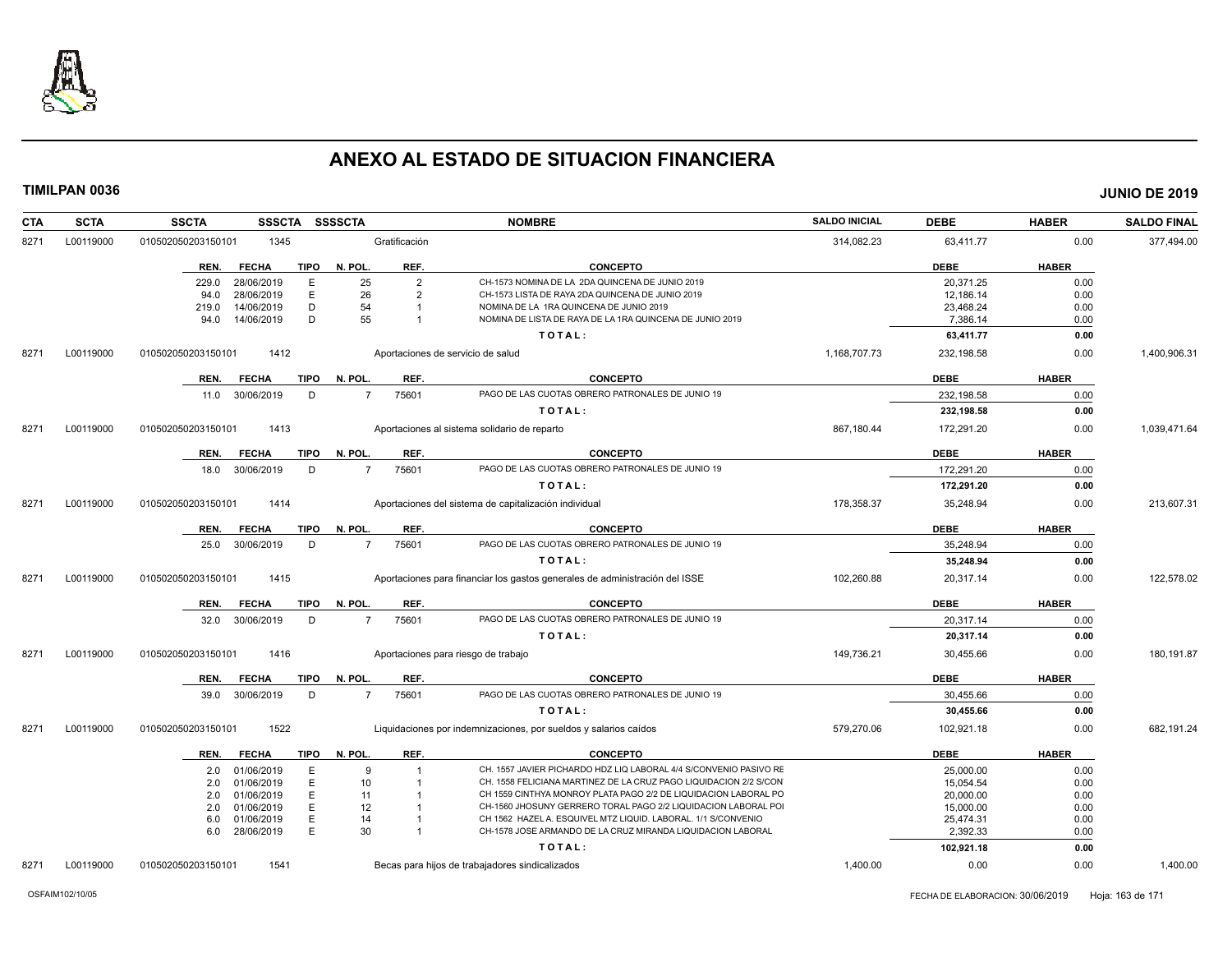

| <b>SCTA</b><br>CTA | <b>SSCTA</b><br><b>SSSCTA</b> |             | SSSSCTA        |                | <b>NOMBRE</b>                                                               | <b>SALDO INICIAL</b> | <b>DEBE</b> | <b>HABER</b> | <b>SALDO FINAL</b> |
|--------------------|-------------------------------|-------------|----------------|----------------|-----------------------------------------------------------------------------|----------------------|-------------|--------------|--------------------|
| L00119000<br>8271  | 1345<br>010502050203150101    |             |                | Gratificación  |                                                                             | 314,082.23           | 63,411.77   | 0.00         | 377,494.00         |
|                    | <b>FECHA</b><br>REN.          | <b>TIPO</b> | N. POL.        | REF.           | <b>CONCEPTO</b>                                                             |                      | <b>DEBE</b> | <b>HABER</b> |                    |
|                    | 229.0<br>28/06/2019           | E           | 25             | $\overline{2}$ | CH-1573 NOMINA DE LA 2DA QUINCENA DE JUNIO 2019                             |                      | 20.371.25   | 0.00         |                    |
|                    | 28/06/2019<br>94.0            | Ε           | 26             | $\overline{2}$ | CH-1573 LISTA DE RAYA 2DA QUINCENA DE JUNIO 2019                            |                      | 12,186.14   | 0.00         |                    |
|                    | 14/06/2019<br>219.0           | D           | 54             |                | NOMINA DE LA 1RA QUINCENA DE JUNIO 2019                                     |                      | 23,468.24   | 0.00         |                    |
|                    | 14/06/2019<br>94.0            | D           | 55             |                | NOMINA DE LISTA DE RAYA DE LA 1RA QUINCENA DE JUNIO 2019                    |                      | 7.386.14    | 0.00         |                    |
|                    |                               |             |                |                | TOTAL:                                                                      |                      | 63,411.77   | 0.00         |                    |
| L00119000<br>8271  | 1412<br>010502050203150101    |             |                |                | Aportaciones de servicio de salud                                           | 1,168,707.73         | 232,198.58  | 0.00         | 1,400,906.31       |
|                    | REN.<br><b>FECHA</b>          | <b>TIPO</b> | N. POL.        | REF.           | <b>CONCEPTO</b>                                                             |                      | <b>DEBE</b> | <b>HABER</b> |                    |
|                    | 11.0 30/06/2019               | D           | $\overline{7}$ | 75601          | PAGO DE LAS CUOTAS OBRERO PATRONALES DE JUNIO 19                            |                      | 232.198.58  | 0.00         |                    |
|                    |                               |             |                |                | TOTAL:                                                                      |                      | 232,198.58  | 0.00         |                    |
| L00119000<br>8271  | 010502050203150101<br>1413    |             |                |                | Aportaciones al sistema solidario de reparto                                | 867,180.44           | 172,291.20  | 0.00         | 1,039,471.64       |
|                    | REN.<br><b>FECHA</b>          | <b>TIPO</b> | N. POL.        | REF.           | <b>CONCEPTO</b>                                                             |                      | <b>DEBE</b> | <b>HABER</b> |                    |
|                    | 30/06/2019<br>18.0            | D           | $\overline{7}$ | 75601          | PAGO DE LAS CUOTAS OBRERO PATRONALES DE JUNIO 19                            |                      | 172,291.20  | 0.00         |                    |
|                    |                               |             |                |                | TOTAL:                                                                      |                      | 172,291.20  | 0.00         |                    |
| L00119000<br>8271  | 1414<br>010502050203150101    |             |                |                | Aportaciones del sistema de capitalización individual                       | 178,358.37           | 35,248.94   | 0.00         | 213,607.31         |
|                    | REN.<br><b>FECHA</b>          | <b>TIPO</b> | N. POL.        | REF.           | <b>CONCEPTO</b>                                                             |                      | <b>DEBE</b> | <b>HABER</b> |                    |
|                    | 30/06/2019<br>25.0            | D           | $\overline{7}$ | 75601          | PAGO DE LAS CUOTAS OBRERO PATRONALES DE JUNIO 19                            |                      | 35,248.94   | 0.00         |                    |
|                    |                               |             |                |                | TOTAL:                                                                      |                      | 35,248.94   | 0.00         |                    |
| L00119000<br>8271  | 1415<br>010502050203150101    |             |                |                | Aportaciones para financiar los gastos generales de administración del ISSE | 102,260.88           | 20,317.14   | 0.00         | 122,578.02         |
|                    | <b>FECHA</b><br>REN.          | <b>TIPO</b> | N. POL.        | REF.           | <b>CONCEPTO</b>                                                             |                      | <b>DEBE</b> | <b>HABER</b> |                    |
|                    | 32.0 30/06/2019               | D           |                | 75601          | PAGO DE LAS CUOTAS OBRERO PATRONALES DE JUNIO 19                            |                      | 20,317.14   | 0.00         |                    |
|                    |                               |             |                |                | TOTAL:                                                                      |                      | 20,317.14   | 0.00         |                    |
| L00119000<br>8271  | 1416<br>010502050203150101    |             |                |                | Aportaciones para riesgo de trabajo                                         | 149,736.21           | 30,455.66   | 0.00         | 180,191.87         |
|                    | REN.<br><b>FECHA</b>          | <b>TIPO</b> | N. POL.        | REF.           | <b>CONCEPTO</b>                                                             |                      | <b>DEBE</b> | <b>HABER</b> |                    |
|                    | 30/06/2019<br>39.0            | D           | $\overline{7}$ | 75601          | PAGO DE LAS CUOTAS OBRERO PATRONALES DE JUNIO 19                            |                      | 30,455.66   | 0.00         |                    |
|                    |                               |             |                |                | TOTAL:                                                                      |                      | 30,455.66   | 0.00         |                    |
| 8271<br>L00119000  | 1522<br>010502050203150101    |             |                |                | Liquidaciones por indemnizaciones, por sueldos y salarios caídos            | 579,270.06           | 102,921.18  | 0.00         | 682,191.24         |
|                    | REN.<br><b>FECHA</b>          | TIPO        | N. POL.        | REF.           | <b>CONCEPTO</b>                                                             |                      | <b>DEBE</b> | <b>HABER</b> |                    |
|                    | 01/06/2019<br>2.0             | E           | $\mathbf{q}$   | 1              | CH. 1557 JAVIER PICHARDO HDZ LIQ LABORAL 4/4 S/CONVENIO PASIVO RE           |                      | 25,000.00   | 0.00         |                    |
|                    | 01/06/2019<br>2.0             | Ε           | 10             | $\overline{1}$ | CH. 1558 FELICIANA MARTINEZ DE LA CRUZ PAGO LIQUIDACION 2/2 S/CON           |                      | 15,054.54   | 0.00         |                    |
|                    | 2.0<br>01/06/2019             | E           | 11             |                | CH 1559 CINTHYA MONROY PLATA PAGO 2/2 DE LIQUIDACION LABORAL PO             |                      | 20,000.00   | 0.00         |                    |
|                    | 01/06/2019<br>2.0             | E           | 12             |                | CH-1560 JHOSUNY GERRERO TORAL PAGO 2/2 LIQUIDACION LABORAL POI              |                      | 15,000.00   | 0.00         |                    |
|                    | 01/06/2019<br>6.0             | Ε           | 14             |                | CH 1562 HAZEL A. ESQUIVEL MTZ LIQUID. LABORAL. 1/1 S/CONVENIO               |                      | 25,474.31   | 0.00         |                    |
|                    | 6.0 28/06/2019                | E           | 30             | $\overline{1}$ | CH-1578 JOSE ARMANDO DE LA CRUZ MIRANDA LIQUIDACION LABORAL                 |                      | 2.392.33    | 0.00         |                    |
|                    |                               |             |                |                | TOTAL:                                                                      |                      | 102,921.18  | 0.00         |                    |
| 8271<br>L00119000  | 1541<br>010502050203150101    |             |                |                | Becas para hijos de trabajadores sindicalizados                             | 1.400.00             | 0.00        | 0.00         | 1,400.00           |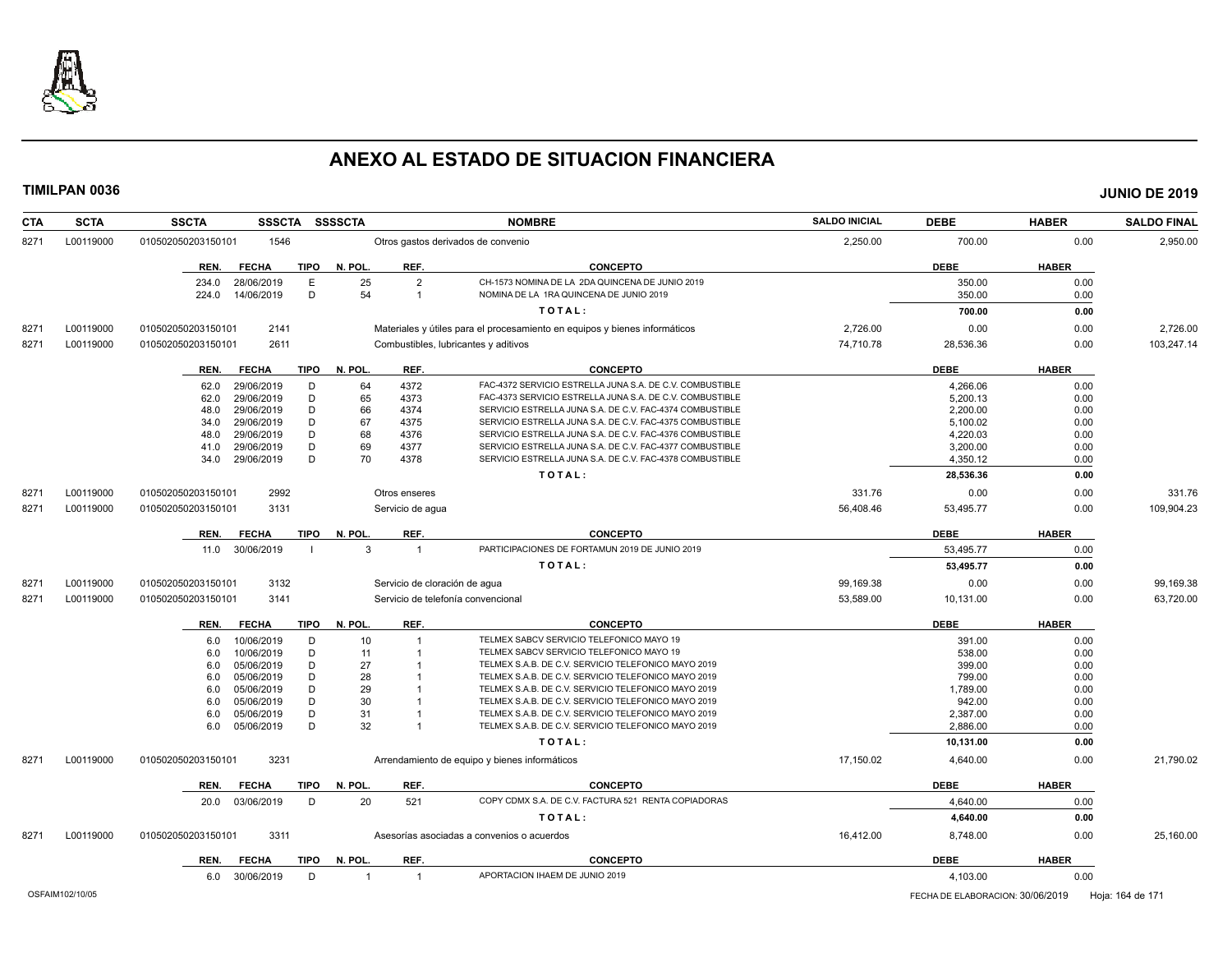

| <b>CTA</b> | <b>SCTA</b> | <b>SSCTA</b><br><b>SSSCTA</b>       | <b>SSSSCTA</b>                   | <b>NOMBRE</b>                                                              | <b>SALDO INICIAL</b> | <b>DEBE</b> | <b>HABER</b> | <b>SALDO FINAL</b> |
|------------|-------------|-------------------------------------|----------------------------------|----------------------------------------------------------------------------|----------------------|-------------|--------------|--------------------|
| 8271       | L00119000   | 1546<br>010502050203150101          |                                  | Otros gastos derivados de convenio                                         | 2,250.00             | 700.00      | 0.00         | 2,950.00           |
|            |             | <b>TIPO</b><br>REN.<br><b>FECHA</b> | N. POL<br>REF.                   | <b>CONCEPTO</b>                                                            |                      | <b>DEBE</b> | <b>HABER</b> |                    |
|            |             | 234.0<br>28/06/2019<br>Е            | 25<br>$\overline{2}$             | CH-1573 NOMINA DE LA 2DA QUINCENA DE JUNIO 2019                            |                      | 350.00      | 0.00         |                    |
|            |             | D<br>14/06/2019<br>224.0            | 54<br>$\overline{1}$             | NOMINA DE LA 1RA QUINCENA DE JUNIO 2019                                    |                      | 350.00      | 0.00         |                    |
|            |             |                                     |                                  | TOTAL:                                                                     |                      | 700.00      | 0.00         |                    |
| 8271       | L00119000   | 2141<br>010502050203150101          |                                  | Materiales y útiles para el procesamiento en equipos y bienes informáticos | 2,726.00             | 0.00        | 0.00         | 2,726.00           |
| 8271       | L00119000   | 2611<br>010502050203150101          |                                  | Combustibles, lubricantes y aditivos                                       | 74,710.78            | 28,536.36   | 0.00         | 103,247.14         |
|            |             |                                     |                                  |                                                                            |                      |             |              |                    |
|            |             | <b>FECHA</b><br><b>TIPO</b><br>REN. | N. POL<br>REF.                   | <b>CONCEPTO</b>                                                            |                      | <b>DEBE</b> | <b>HABER</b> |                    |
|            |             | 29/06/2019<br>D<br>62.0             | 4372<br>64                       | FAC-4372 SERVICIO ESTRELLA JUNA S.A. DE C.V. COMBUSTIBLE                   |                      | 4.266.06    | 0.00         |                    |
|            |             | 29/06/2019<br>D<br>62.0             | 65<br>4373                       | FAC-4373 SERVICIO ESTRELLA JUNA S.A. DE C.V. COMBUSTIBLE                   |                      | 5,200.13    | 0.00         |                    |
|            |             | D<br>29/06/2019<br>48.0             | 66<br>4374                       | SERVICIO ESTRELLA JUNA S.A. DE C.V. FAC-4374 COMBUSTIBLE                   |                      | 2,200.00    | 0.00         |                    |
|            |             | D<br>29/06/2019<br>34.0             | 67<br>4375                       | SERVICIO ESTRELLA JUNA S.A. DE C.V. FAC-4375 COMBUSTIBLE                   |                      | 5,100.02    | 0.00         |                    |
|            |             | 29/06/2019<br>D<br>48.0             | 68<br>4376                       | SERVICIO ESTRELLA JUNA S.A. DE C.V. FAC-4376 COMBUSTIBLE                   |                      | 4,220.03    | 0.00         |                    |
|            |             | D<br>41.0<br>29/06/2019             | 69<br>4377                       | SERVICIO ESTRELLA JUNA S.A. DE C.V. FAC-4377 COMBUSTIBLE                   |                      | 3,200.00    | 0.00         |                    |
|            |             | D<br>29/06/2019<br>34.0             | 70<br>4378                       | SERVICIO ESTRELLA JUNA S.A. DE C.V. FAC-4378 COMBUSTIBLE                   |                      | 4,350.12    | 0.00         |                    |
|            |             |                                     |                                  | TOTAL:                                                                     |                      | 28,536.36   | 0.00         |                    |
| 8271       | L00119000   | 010502050203150101<br>2992          | Otros enseres                    |                                                                            | 331.76               | 0.00        | 0.00         | 331.76             |
| 8271       | L00119000   | 3131<br>010502050203150101          | Servicio de aqua                 |                                                                            | 56,408.46            | 53,495.77   | 0.00         | 109,904.23         |
|            |             | <b>TIPO</b><br>REN.<br><b>FECHA</b> | N. POL<br>REF.                   | <b>CONCEPTO</b>                                                            |                      | <b>DEBE</b> | <b>HABER</b> |                    |
|            |             | 30/06/2019<br>11.0                  | 3<br>$\overline{1}$              | PARTICIPACIONES DE FORTAMUN 2019 DE JUNIO 2019                             |                      | 53.495.77   | 0.00         |                    |
|            |             |                                     |                                  | TOTAL:                                                                     |                      | 53,495.77   | 0.00         |                    |
| 8271       | L00119000   | 010502050203150101<br>3132          | Servicio de cloración de agua    |                                                                            | 99,169.38            | 0.00        | 0.00         | 99,169.38          |
| 8271       | L00119000   | 010502050203150101<br>3141          |                                  | Servicio de telefonía convencional                                         | 53,589.00            | 10,131.00   | 0.00         | 63,720.00          |
|            |             | <b>TIPO</b><br>REN.<br><b>FECHA</b> | REF.<br>N. POL.                  | <b>CONCEPTO</b>                                                            |                      | <b>DEBE</b> | <b>HABER</b> |                    |
|            |             | 10/06/2019                          | 10<br>$\overline{1}$             | TELMEX SABCV SERVICIO TELEFONICO MAYO 19                                   |                      | 391.00      | 0.00         |                    |
|            |             | D<br>6.0<br>10/06/2019<br>D         | 11                               | TELMEX SABCV SERVICIO TELEFONICO MAYO 19                                   |                      | 538.00      | 0.00         |                    |
|            |             | 6.0<br>05/06/2019<br>D<br>6.0       | 27                               | TELMEX S.A.B. DE C.V. SERVICIO TELEFONICO MAYO 2019                        |                      | 399.00      | 0.00         |                    |
|            |             | D<br>05/06/2019<br>6.0              | 28                               | TELMEX S.A.B. DE C.V. SERVICIO TELEFONICO MAYO 2019                        |                      | 799.00      | 0.00         |                    |
|            |             | 05/06/2019<br>D<br>6.0              | 29                               | TELMEX S.A.B. DE C.V. SERVICIO TELEFONICO MAYO 2019                        |                      | 1,789.00    | 0.00         |                    |
|            |             | D<br>05/06/2019<br>6.0              | 30                               | TELMEX S.A.B. DE C.V. SERVICIO TELEFONICO MAYO 2019                        |                      | 942.00      | 0.00         |                    |
|            |             | D<br>05/06/2019<br>6.0              | 31                               | TELMEX S.A.B. DE C.V. SERVICIO TELEFONICO MAYO 2019                        |                      | 2,387.00    | 0.00         |                    |
|            |             | D<br>05/06/2019<br>6.0              | 32                               | TELMEX S.A.B. DE C.V. SERVICIO TELEFONICO MAYO 2019                        |                      | 2,886.00    | 0.00         |                    |
|            |             |                                     |                                  | TOTAL:                                                                     |                      | 10,131.00   | 0.00         |                    |
|            |             |                                     |                                  |                                                                            |                      |             |              |                    |
| 8271       | L00119000   | 3231<br>010502050203150101          |                                  | Arrendamiento de equipo y bienes informáticos                              | 17,150.02            | 4,640.00    | 0.00         | 21,790.02          |
|            |             | <b>FECHA</b><br><b>TIPO</b><br>REN. | REF.<br>N. POL                   | <b>CONCEPTO</b>                                                            |                      | <b>DEBE</b> | <b>HABER</b> |                    |
|            |             | 20.0 03/06/2019<br>D                | 20<br>521                        | COPY CDMX S.A. DE C.V. FACTURA 521 RENTA COPIADORAS                        |                      | 4,640.00    | 0.00         |                    |
|            |             |                                     |                                  | TOTAL:                                                                     |                      | 4,640.00    | 0.00         |                    |
| 8271       | L00119000   | 3311<br>010502050203150101          |                                  | Asesorías asociadas a convenios o acuerdos                                 | 16,412.00            | 8,748.00    | 0.00         | 25,160.00          |
|            |             | <b>TIPO</b><br><b>FECHA</b><br>REN. | N. POL.<br>REF.                  | <b>CONCEPTO</b>                                                            |                      | <b>DEBE</b> | <b>HABER</b> |                    |
|            |             | 30/06/2019<br>D<br>6.0              | $\overline{1}$<br>$\overline{1}$ | APORTACION IHAEM DE JUNIO 2019                                             |                      | 4,103.00    | 0.00         |                    |
|            |             |                                     |                                  |                                                                            |                      |             |              |                    |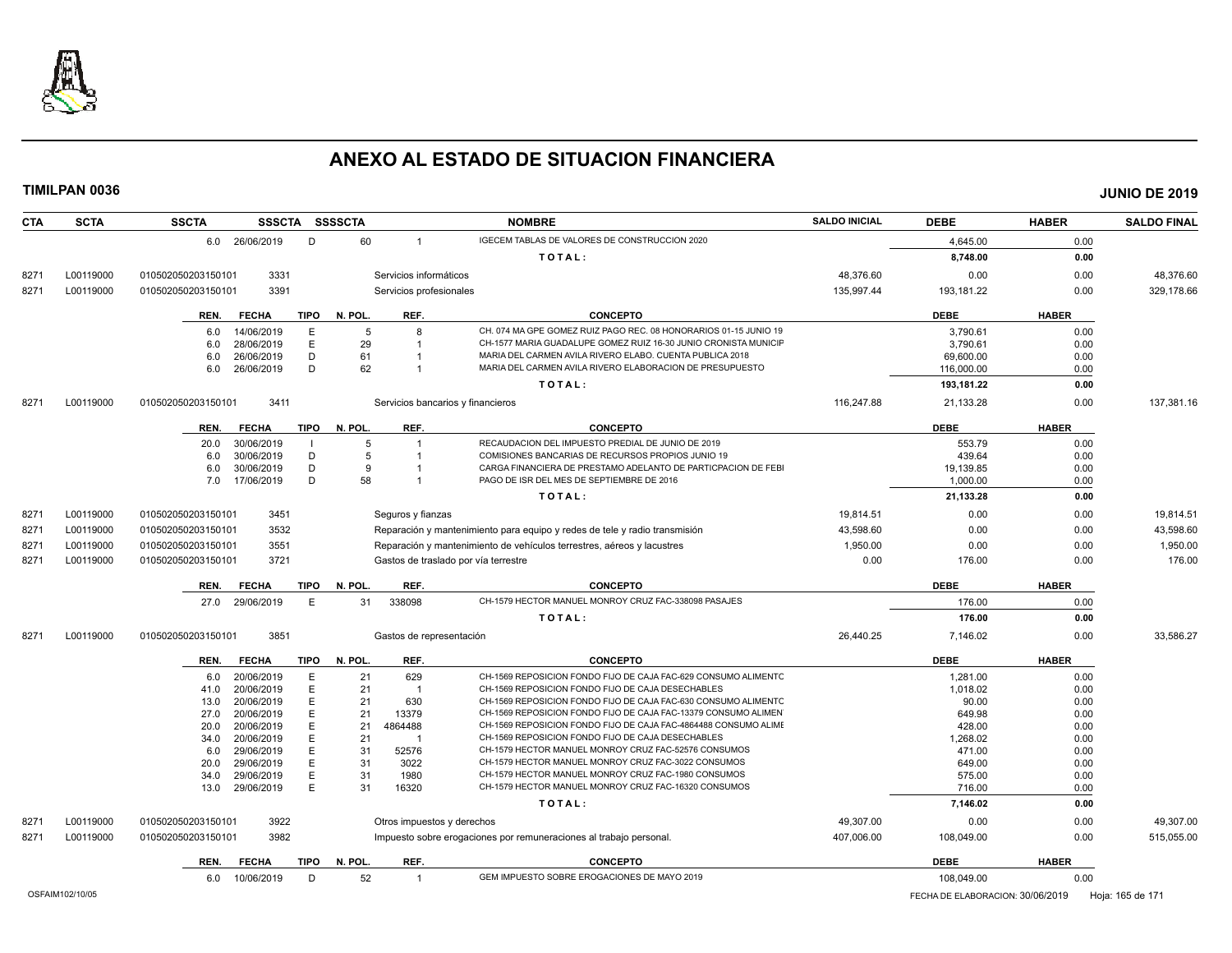

| <b>CTA</b>      | <b>SCTA</b> | <b>SSCTA</b>       |                            |             | SSSCTA SSSSCTA |                            | <b>NOMBRE</b>                                                                                                        | <b>SALDO INICIAL</b> | <b>DEBE</b>                      | <b>HABER</b> | <b>SALDO FINAL</b> |
|-----------------|-------------|--------------------|----------------------------|-------------|----------------|----------------------------|----------------------------------------------------------------------------------------------------------------------|----------------------|----------------------------------|--------------|--------------------|
|                 |             |                    | 6.0 26/06/2019             | D           | 60             | $\mathbf{1}$               | IGECEM TABLAS DE VALORES DE CONSTRUCCION 2020                                                                        |                      | 4,645.00                         | 0.00         |                    |
|                 |             |                    |                            |             |                |                            | TOTAL:                                                                                                               |                      | 8,748.00                         | 0.00         |                    |
| 8271            | L00119000   | 010502050203150101 | 3331                       |             |                | Servicios informáticos     |                                                                                                                      | 48,376.60            | 0.00                             | 0.00         | 48,376.60          |
| 8271            | L00119000   | 010502050203150101 | 3391                       |             |                | Servicios profesionales    |                                                                                                                      | 135,997.44           | 193,181.22                       | 0.00         | 329,178.66         |
|                 |             |                    |                            |             |                |                            |                                                                                                                      |                      |                                  |              |                    |
|                 |             | REN.               | <b>FECHA</b>               | <b>TIPO</b> | N. POL.        | REF.                       | <b>CONCEPTO</b>                                                                                                      |                      | <b>DEBE</b>                      | <b>HABER</b> |                    |
|                 |             | 6.0                | 14/06/2019                 | Ε           | -5             | 8                          | CH. 074 MA GPE GOMEZ RUIZ PAGO REC. 08 HONORARIOS 01-15 JUNIO 19                                                     |                      | 3,790.61                         | 0.00         |                    |
|                 |             | 6.0                | 28/06/2019                 | E           | 29             |                            | CH-1577 MARIA GUADALUPE GOMEZ RUIZ 16-30 JUNIO CRONISTA MUNICIF                                                      |                      | 3,790.61                         | 0.00         |                    |
|                 |             | 6.0                | 26/06/2019                 | D           | 61             |                            | MARIA DEL CARMEN AVILA RIVERO ELABO. CUENTA PUBLICA 2018<br>MARIA DEL CARMEN AVILA RIVERO ELABORACION DE PRESUPUESTO |                      | 69,600.00                        | 0.00         |                    |
|                 |             | 6.0                | 26/06/2019                 | D           | 62             | $\overline{1}$             |                                                                                                                      |                      | 116,000.00                       | 0.00         |                    |
|                 |             |                    |                            |             |                |                            | TOTAL:                                                                                                               |                      | 193,181.22                       | 0.00         |                    |
| 8271            | L00119000   | 010502050203150101 | 3411                       |             |                |                            | Servicios bancarios y financieros                                                                                    | 116.247.88           | 21,133.28                        | 0.00         | 137.381.16         |
|                 |             | REN.               | <b>FECHA</b>               | <b>TIPO</b> | N. POL.        | REF.                       | <b>CONCEPTO</b>                                                                                                      |                      | <b>DEBE</b>                      | <b>HABER</b> |                    |
|                 |             | 20.0               | 30/06/2019                 |             | 5              | $\overline{1}$             | RECAUDACION DEL IMPUESTO PREDIAL DE JUNIO DE 2019                                                                    |                      | 553.79                           | 0.00         |                    |
|                 |             | 6.0                | 30/06/2019                 | D           | 5              |                            | COMISIONES BANCARIAS DE RECURSOS PROPIOS JUNIO 19                                                                    |                      | 439.64                           | 0.00         |                    |
|                 |             | 6.0                | 30/06/2019                 | D           | 9              |                            | CARGA FINANCIERA DE PRESTAMO ADELANTO DE PARTICPACION DE FEBI                                                        |                      | 19,139.85                        | 0.00         |                    |
|                 |             | 7.0                | 17/06/2019                 | D           | 58             | $\overline{1}$             | PAGO DE ISR DEL MES DE SEPTIEMBRE DE 2016                                                                            |                      | 1,000.00                         | 0.00         |                    |
|                 |             |                    |                            |             |                |                            | TOTAL:                                                                                                               |                      | 21,133.28                        | 0.00         |                    |
| 8271            | L00119000   | 010502050203150101 | 3451                       |             |                | Seguros y fianzas          |                                                                                                                      | 19.814.51            | 0.00                             | 0.00         | 19.814.51          |
| 8271            | L00119000   | 010502050203150101 | 3532                       |             |                |                            | Reparación y mantenimiento para equipo y redes de tele y radio transmisión                                           | 43,598.60            | 0.00                             | 0.00         | 43,598.60          |
| 8271            | L00119000   | 010502050203150101 | 3551                       |             |                |                            | Reparación y mantenimiento de vehículos terrestres, aéreos y lacustres                                               | 1,950.00             | 0.00                             | 0.00         | 1,950.00           |
| 8271            | L00119000   | 010502050203150101 | 3721                       |             |                |                            | Gastos de traslado por vía terrestre                                                                                 | 0.00                 | 176.00                           | 0.00         | 176.00             |
|                 |             | REN.               | <b>FECHA</b>               | TIPO        | N. POL.        | REF.                       | <b>CONCEPTO</b>                                                                                                      |                      | <b>DEBE</b>                      | <b>HABER</b> |                    |
|                 |             | 27.0               | 29/06/2019                 | E           | 31             | 338098                     | CH-1579 HECTOR MANUEL MONROY CRUZ FAC-338098 PASAJES                                                                 |                      | 176.00                           | 0.00         |                    |
|                 |             |                    |                            |             |                |                            | TOTAL:                                                                                                               |                      | 176.00                           | 0.00         |                    |
| 8271            | L00119000   | 010502050203150101 | 3851                       |             |                | Gastos de representación   |                                                                                                                      | 26,440.25            | 7,146.02                         | 0.00         | 33,586.27          |
|                 |             | REN.               | <b>FECHA</b>               | TIPO        | N. POL.        | REF.                       | <b>CONCEPTO</b>                                                                                                      |                      | <b>DEBE</b>                      | <b>HABER</b> |                    |
|                 |             | 6.0                | 20/06/2019                 | E           | 21             | 629                        | CH-1569 REPOSICION FONDO FIJO DE CAJA FAC-629 CONSUMO ALIMENTC                                                       |                      | 1,281.00                         | 0.00         |                    |
|                 |             | 41.0               | 20/06/2019                 | E           | 21             | -1                         | CH-1569 REPOSICION FONDO FIJO DE CAJA DESECHABLES                                                                    |                      | 1,018.02                         | 0.00         |                    |
|                 |             | 13.0               | 20/06/2019                 | E           | 21             | 630                        | CH-1569 REPOSICION FONDO FIJO DE CAJA FAC-630 CONSUMO ALIMENTO                                                       |                      | 90.00                            | 0.00         |                    |
|                 |             | 27.0               | 20/06/2019                 | E           | 21             | 13379                      | CH-1569 REPOSICION FONDO FIJO DE CAJA FAC-13379 CONSUMO ALIMEN                                                       |                      | 649.98                           | 0.00         |                    |
|                 |             | 20.0               | 20/06/2019                 | E           | 21             | 4864488                    | CH-1569 REPOSICION FONDO FIJO DE CAJA FAC-4864488 CONSUMO ALIMI                                                      |                      | 428.00                           | 0.00         |                    |
|                 |             | 34.0               | 20/06/2019                 | Е           | 21             | $\overline{1}$             | CH-1569 REPOSICION FONDO FIJO DE CAJA DESECHABLES                                                                    |                      | 1,268.02                         | 0.00         |                    |
|                 |             | 6.0                | 29/06/2019                 | E           | 31             | 52576                      | CH-1579 HECTOR MANUEL MONROY CRUZ FAC-52576 CONSUMOS                                                                 |                      | 471.00                           | 0.00         |                    |
|                 |             | 20.0               | 29/06/2019                 | E           | 31             | 3022                       | CH-1579 HECTOR MANUEL MONROY CRUZ FAC-3022 CONSUMOS                                                                  |                      | 649.00                           | 0.00         |                    |
|                 |             | 34.0               | 29/06/2019                 | E           | 31             | 1980                       | CH-1579 HECTOR MANUEL MONROY CRUZ FAC-1980 CONSUMOS                                                                  |                      | 575.00                           | 0.00         |                    |
|                 |             | 13.0               | 29/06/2019                 | E           | 31             | 16320                      | CH-1579 HECTOR MANUEL MONROY CRUZ FAC-16320 CONSUMOS                                                                 |                      | 716.00                           | 0.00         |                    |
|                 |             |                    |                            |             |                |                            | TOTAL:                                                                                                               |                      | 7,146.02                         | 0.00         |                    |
| 8271            | L00119000   | 010502050203150101 | 3922                       |             |                | Otros impuestos y derechos |                                                                                                                      | 49,307.00            | 0.00                             | 0.00         | 49,307.00          |
| 8271            | L00119000   | 010502050203150101 | 3982                       |             |                |                            | Impuesto sobre erogaciones por remuneraciones al trabajo personal.                                                   | 407,006.00           | 108,049.00                       | 0.00         | 515,055.00         |
|                 |             |                    |                            |             | N. POL.        | REF.                       | <b>CONCEPTO</b>                                                                                                      |                      | <b>DEBE</b>                      | <b>HABER</b> |                    |
|                 |             | REN.<br>6.0        | <b>FECHA</b><br>10/06/2019 | TIPO<br>D   | 52             | $\mathbf{1}$               | GEM IMPUESTO SOBRE EROGACIONES DE MAYO 2019                                                                          |                      | 108,049.00                       | 0.00         |                    |
|                 |             |                    |                            |             |                |                            |                                                                                                                      |                      |                                  |              |                    |
| OSFAIM102/10/05 |             |                    |                            |             |                |                            |                                                                                                                      |                      | FECHA DE ELABORACION: 30/06/2019 |              | Hoja: 165 de 171   |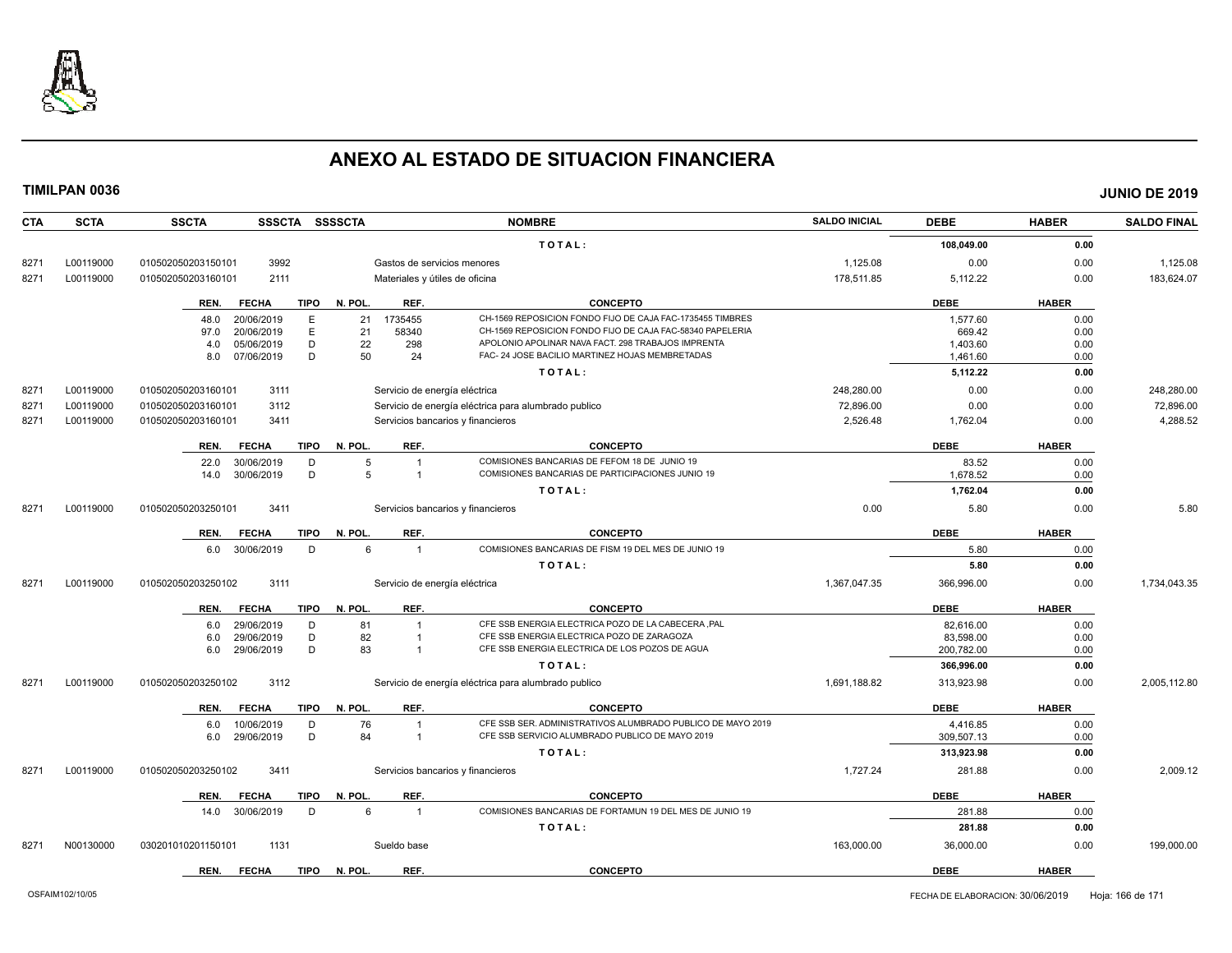

| <b>CTA</b> | <b>SCTA</b> | <b>SSCTA</b><br><b>SSSCTA</b>       | <b>SSSSCTA</b>                    | <b>NOMBRE</b>                                               | <b>SALDO INICIAL</b> | <b>DEBE</b> | <b>HABER</b> | <b>SALDO FINAL</b> |
|------------|-------------|-------------------------------------|-----------------------------------|-------------------------------------------------------------|----------------------|-------------|--------------|--------------------|
|            |             |                                     |                                   | TOTAL:                                                      |                      | 108,049.00  | 0.00         |                    |
| 8271       | L00119000   | 3992<br>010502050203150101          | Gastos de servicios menores       |                                                             | 1,125.08             | 0.00        | 0.00         | 1,125.08           |
| 8271       | L00119000   | 010502050203160101<br>2111          | Materiales y útiles de oficina    |                                                             | 178.511.85           | 5.112.22    | 0.00         | 183.624.07         |
|            |             | <b>FECHA</b><br><b>TIPO</b><br>REN. | N. POL.<br>REF.                   | <b>CONCEPTO</b>                                             |                      | <b>DEBE</b> | <b>HABER</b> |                    |
|            |             | 20/06/2019<br>E<br>48.0             | 1735455<br>21                     | CH-1569 REPOSICION FONDO FIJO DE CAJA FAC-1735455 TIMBRES   |                      | 1,577.60    | 0.00         |                    |
|            |             | E<br>20/06/2019<br>97.0             | 58340<br>21                       | CH-1569 REPOSICION FONDO FIJO DE CAJA FAC-58340 PAPELERIA   |                      | 669.42      | 0.00         |                    |
|            |             | D<br>4.0<br>05/06/2019              | 22<br>298                         | APOLONIO APOLINAR NAVA FACT. 298 TRABAJOS IMPRENTA          |                      | 1.403.60    | 0.00         |                    |
|            |             | D<br>8.0<br>07/06/2019              | 50<br>24                          | FAC- 24 JOSE BACILIO MARTINEZ HOJAS MEMBRETADAS             |                      | 1.461.60    | 0.00         |                    |
|            |             |                                     |                                   | TOTAL:                                                      |                      | 5,112.22    | 0.00         |                    |
| 8271       | L00119000   | 010502050203160101<br>3111          | Servicio de energía eléctrica     |                                                             | 248.280.00           | 0.00        | 0.00         | 248.280.00         |
| 8271       | L00119000   | 3112<br>010502050203160101          |                                   | Servicio de energía eléctrica para alumbrado publico        | 72.896.00            | 0.00        | 0.00         | 72,896.00          |
| 8271       | L00119000   | 010502050203160101<br>3411          | Servicios bancarios y financieros |                                                             | 2,526.48             | 1,762.04    | 0.00         | 4,288.52           |
|            |             | <b>FECHA</b><br><b>TIPO</b><br>REN. | REF.<br>N. POL.                   | <b>CONCEPTO</b>                                             |                      | <b>DEBE</b> | <b>HABER</b> |                    |
|            |             | 22.0<br>30/06/2019<br>D             | 5                                 | COMISIONES BANCARIAS DE FEFOM 18 DE JUNIO 19                |                      | 83.52       | 0.00         |                    |
|            |             | 30/06/2019<br>D<br>14.0             | 5                                 | COMISIONES BANCARIAS DE PARTICIPACIONES JUNIO 19            |                      | 1,678.52    | 0.00         |                    |
|            |             |                                     |                                   | TOTAL:                                                      |                      | 1,762.04    | 0.00         |                    |
| 8271       | L00119000   | 3411<br>010502050203250101          | Servicios bancarios y financieros |                                                             | 0.00                 | 5.80        | 0.00         | 5.80               |
|            |             | <b>FECHA</b><br><b>TIPO</b><br>REN. | REF.<br>N. POL.                   | <b>CONCEPTO</b>                                             |                      | <b>DEBE</b> | <b>HABER</b> |                    |
|            |             | 6.0 30/06/2019<br>D                 | 6<br>$\overline{1}$               | COMISIONES BANCARIAS DE FISM 19 DEL MES DE JUNIO 19         |                      | 5.80        | 0.00         |                    |
|            |             |                                     |                                   | TOTAL:                                                      |                      | 5.80        | 0.00         |                    |
| 8271       | L00119000   | 3111<br>010502050203250102          | Servicio de energía eléctrica     |                                                             | 1,367,047.35         | 366,996.00  | 0.00         | 1,734,043.35       |
|            |             | <b>FECHA</b><br><b>TIPO</b><br>REN. | REF.<br>N. POL.                   | <b>CONCEPTO</b>                                             |                      | <b>DEBE</b> | <b>HABER</b> |                    |
|            |             | 6.0<br>29/06/2019<br>D              | 81<br>$\overline{1}$              | CFE SSB ENERGIA ELECTRICA POZO DE LA CABECERA ,PAL          |                      | 82,616.00   | 0.00         |                    |
|            |             | D<br>29/06/2019<br>6.0              | 82                                | CFE SSB ENERGIA ELECTRICA POZO DE ZARAGOZA                  |                      | 83.598.00   | 0.00         |                    |
|            |             | D<br>29/06/2019<br>6.0              | 83<br>$\overline{1}$              | CFE SSB ENERGIA ELECTRICA DE LOS POZOS DE AGUA              |                      | 200,782.00  | 0.00         |                    |
|            |             |                                     |                                   | TOTAL:                                                      |                      | 366,996.00  | 0.00         |                    |
| 8271       | L00119000   | 010502050203250102<br>3112          |                                   | Servicio de energía eléctrica para alumbrado publico        | 1,691,188.82         | 313,923.98  | 0.00         | 2,005,112.80       |
|            |             | REN.<br><b>FECHA</b><br><b>TIPO</b> | N. POL.<br>REF.                   | <b>CONCEPTO</b>                                             |                      | <b>DEBE</b> | <b>HABER</b> |                    |
|            |             | 10/06/2019<br>D<br>6.0              | 76<br>$\overline{1}$              | CFE SSB SER. ADMINISTRATIVOS ALUMBRADO PUBLICO DE MAYO 2019 |                      | 4.416.85    | 0.00         |                    |
|            |             | D<br>29/06/2019<br>6.0              | 84<br>$\overline{1}$              | CFE SSB SERVICIO ALUMBRADO PUBLICO DE MAYO 2019             |                      | 309,507.13  | 0.00         |                    |
|            |             |                                     |                                   | TOTAL:                                                      |                      | 313,923.98  | 0.00         |                    |
| 8271       | L00119000   | 010502050203250102<br>3411          | Servicios bancarios y financieros |                                                             | 1,727.24             | 281.88      | 0.00         | 2,009.12           |
|            |             | <b>FECHA</b><br><b>TIPO</b><br>REN. | N. POL.<br>REF.                   | <b>CONCEPTO</b>                                             |                      | <b>DEBE</b> | <b>HABER</b> |                    |
|            |             | 30/06/2019<br>D<br>14.0             | 6<br>$\overline{1}$               | COMISIONES BANCARIAS DE FORTAMUN 19 DEL MES DE JUNIO 19     |                      | 281.88      | 0.00         |                    |
|            |             |                                     |                                   | TOTAL:                                                      |                      | 281.88      | 0.00         |                    |
| 8271       | N00130000   | 030201010201150101<br>1131          | Sueldo base                       |                                                             | 163,000.00           | 36,000.00   | 0.00         | 199,000.00         |
|            |             | <b>FECHA</b><br><b>TIPO</b><br>REN. | N. POL.<br>REF.                   | <b>CONCEPTO</b>                                             |                      | <b>DEBE</b> | <b>HABER</b> |                    |
|            |             |                                     |                                   |                                                             |                      |             |              |                    |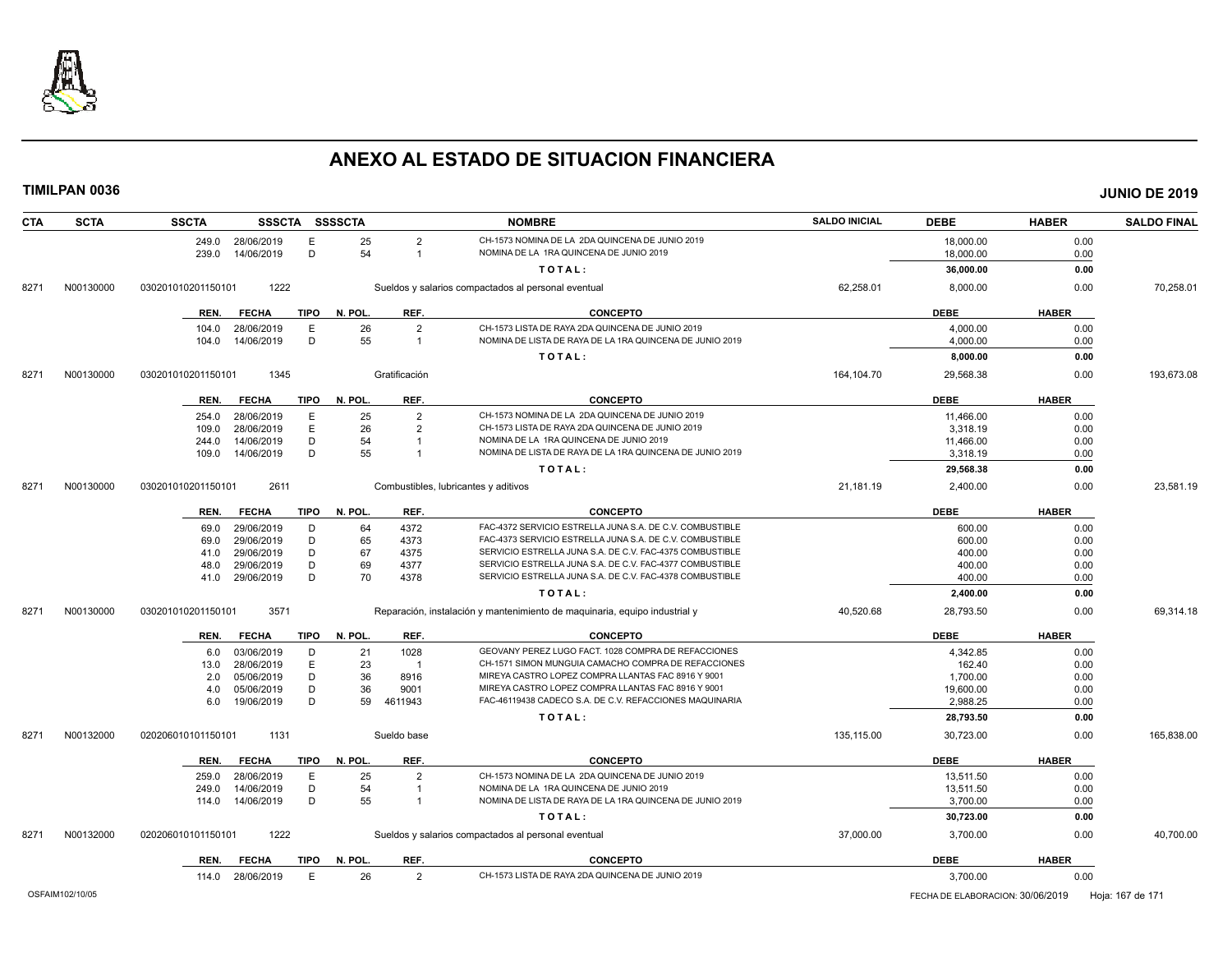

| <b>SCTA</b><br><b>CTA</b> | <b>SSCTA</b><br><b>SSSCTA</b>       | <b>SSSSCTA</b>                       | <b>NOMBRE</b>                                                              | <b>SALDO INICIAL</b> | <b>DEBE</b>                      | <b>HABER</b> | <b>SALDO FINAL</b> |
|---------------------------|-------------------------------------|--------------------------------------|----------------------------------------------------------------------------|----------------------|----------------------------------|--------------|--------------------|
|                           | 28/06/2019<br>E<br>249.0            | 25<br>$\overline{2}$                 | CH-1573 NOMINA DE LA 2DA QUINCENA DE JUNIO 2019                            |                      | 18,000.00                        | 0.00         |                    |
|                           | D<br>14/06/2019<br>239.0            | 54<br>$\overline{1}$                 | NOMINA DE LA 1RA QUINCENA DE JUNIO 2019                                    |                      | 18,000.00                        | 0.00         |                    |
|                           |                                     |                                      | TOTAL:                                                                     |                      | 36,000.00                        | 0.00         |                    |
| N00130000<br>8271         | 1222<br>030201010201150101          |                                      | Sueldos y salarios compactados al personal eventual                        | 62,258.01            | 8,000.00                         | 0.00         | 70,258.01          |
|                           | REN.<br><b>FECHA</b><br>TIPO        | N. POL.<br>REF.                      | <b>CONCEPTO</b>                                                            |                      | <b>DEBE</b>                      | <b>HABER</b> |                    |
|                           | E<br>28/06/2019<br>104.0            | $\overline{2}$<br>26                 | CH-1573 LISTA DE RAYA 2DA QUINCENA DE JUNIO 2019                           |                      | 4,000.00                         | 0.00         |                    |
|                           | 14/06/2019<br>D<br>104.0            | 55<br>$\overline{1}$                 | NOMINA DE LISTA DE RAYA DE LA 1RA QUINCENA DE JUNIO 2019                   |                      | 4,000.00                         | 0.00         |                    |
|                           |                                     |                                      | TOTAL:                                                                     |                      | 8,000.00                         | 0.00         |                    |
| N00130000<br>8271         | 1345<br>030201010201150101          | Gratificación                        |                                                                            | 164,104.70           | 29,568.38                        | 0.00         | 193,673.08         |
|                           | <b>FECHA</b><br>TIPO<br>REN.        | N. POL.<br>REF.                      | <b>CONCEPTO</b>                                                            |                      | <b>DEBE</b>                      | <b>HABER</b> |                    |
|                           | E<br>28/06/2019<br>254.0            | $\overline{2}$<br>25                 | CH-1573 NOMINA DE LA 2DA QUINCENA DE JUNIO 2019                            |                      | 11,466.00                        | 0.00         |                    |
|                           | E<br>28/06/2019<br>109.0            | 26<br>$\overline{2}$                 | CH-1573 LISTA DE RAYA 2DA QUINCENA DE JUNIO 2019                           |                      | 3,318.19                         | 0.00         |                    |
|                           | D<br>14/06/2019<br>244.0            | 54                                   | NOMINA DE LA 1RA QUINCENA DE JUNIO 2019                                    |                      | 11,466.00                        | 0.00         |                    |
|                           | D<br>14/06/2019<br>109.0            | 55<br>$\overline{1}$                 | NOMINA DE LISTA DE RAYA DE LA 1RA QUINCENA DE JUNIO 2019                   |                      | 3,318.19                         | 0.00         |                    |
|                           |                                     |                                      | TOTAL:                                                                     |                      | 29,568.38                        | 0.00         |                    |
| N00130000<br>8271         | 2611<br>030201010201150101          | Combustibles, lubricantes y aditivos |                                                                            | 21,181.19            | 2.400.00                         | 0.00         | 23.581.19          |
|                           | <b>FECHA</b><br><b>TIPO</b><br>REN. | REF.<br>N. POL.                      | <b>CONCEPTO</b>                                                            |                      | <b>DEBE</b>                      | <b>HABER</b> |                    |
|                           | 29/06/2019<br>D<br>69.0             | 64<br>4372                           | FAC-4372 SERVICIO ESTRELLA JUNA S.A. DE C.V. COMBUSTIBLE                   |                      | 600.00                           | 0.00         |                    |
|                           | 29/06/2019<br>D<br>69.0             | 65<br>4373                           | FAC-4373 SERVICIO ESTRELLA JUNA S.A. DE C.V. COMBUSTIBLE                   |                      | 600.00                           | 0.00         |                    |
|                           | D<br>29/06/2019<br>41.0             | 67<br>4375                           | SERVICIO ESTRELLA JUNA S.A. DE C.V. FAC-4375 COMBUSTIBLE                   |                      | 400.00                           | 0.00         |                    |
|                           | D<br>29/06/2019<br>48.0             | 69<br>4377                           | SERVICIO ESTRELLA JUNA S.A. DE C.V. FAC-4377 COMBUSTIBLE                   |                      | 400.00                           | 0.00         |                    |
|                           | D<br>29/06/2019<br>41.0             | 70<br>4378                           | SERVICIO ESTRELLA JUNA S.A. DE C.V. FAC-4378 COMBUSTIBLE                   |                      | 400.00                           | 0.00         |                    |
|                           |                                     |                                      | TOTAL:                                                                     |                      | 2,400.00                         | 0.00         |                    |
| N00130000<br>8271         | 3571<br>030201010201150101          |                                      | Reparación, instalación y mantenimiento de maquinaria, equipo industrial y | 40,520.68            | 28,793.50                        | 0.00         | 69,314.18          |
|                           | <b>TIPO</b><br>REN.<br><b>FECHA</b> | N. POL.<br>REF.                      | <b>CONCEPTO</b>                                                            |                      | <b>DEBE</b>                      | <b>HABER</b> |                    |
|                           | 03/06/2019<br>D<br>6.0              | 21<br>1028                           | GEOVANY PEREZ LUGO FACT. 1028 COMPRA DE REFACCIONES                        |                      | 4,342.85                         | 0.00         |                    |
|                           | 28/06/2019<br>E<br>13.0             | 23<br>$\overline{1}$                 | CH-1571 SIMON MUNGUIA CAMACHO COMPRA DE REFACCIONES                        |                      | 162.40                           | 0.00         |                    |
|                           | D<br>05/06/2019<br>2.0              | 36<br>8916                           | MIREYA CASTRO LOPEZ COMPRA LLANTAS FAC 8916 Y 9001                         |                      | 1,700.00                         | 0.00         |                    |
|                           | D<br>05/06/2019<br>4.0              | 36<br>9001                           | MIREYA CASTRO LOPEZ COMPRA LLANTAS FAC 8916 Y 9001                         |                      | 19,600.00                        | 0.00         |                    |
|                           | D<br>19/06/2019<br>6.0              | 59<br>4611943                        | FAC-46119438 CADECO S.A. DE C.V. REFACCIONES MAQUINARIA                    |                      | 2,988.25                         | 0.00         |                    |
|                           |                                     |                                      | TOTAL:                                                                     |                      | 28,793.50                        | 0.00         |                    |
| N00132000<br>8271         | 1131<br>020206010101150101          | Sueldo base                          |                                                                            | 135,115.00           | 30,723.00                        | 0.00         | 165,838.00         |
|                           | TIPO<br>REN.<br><b>FECHA</b>        | N. POL.<br>REF.                      | <b>CONCEPTO</b>                                                            |                      | <b>DEBE</b>                      | <b>HABER</b> |                    |
|                           | 259.0<br>28/06/2019<br>E            | 25<br>$\overline{2}$                 | CH-1573 NOMINA DE LA 2DA QUINCENA DE JUNIO 2019                            |                      | 13,511.50                        | 0.00         |                    |
|                           | 14/06/2019<br>D<br>249.0            | 54<br>$\overline{1}$                 | NOMINA DE LA 1RA QUINCENA DE JUNIO 2019                                    |                      | 13,511.50                        | 0.00         |                    |
|                           | 14/06/2019<br>D<br>114.0            | 55<br>$\overline{1}$                 | NOMINA DE LISTA DE RAYA DE LA 1RA QUINCENA DE JUNIO 2019                   |                      | 3,700.00                         | 0.00         |                    |
|                           |                                     |                                      | TOTAL:                                                                     |                      | 30,723.00                        | 0.00         |                    |
| N00132000<br>8271         | 1222<br>020206010101150101          |                                      | Sueldos y salarios compactados al personal eventual                        | 37,000.00            | 3,700.00                         | 0.00         | 40.700.00          |
|                           | <b>FECHA</b><br>TIPO<br>REN.        | REF.<br>N. POL.                      | <b>CONCEPTO</b>                                                            |                      | <b>DEBE</b>                      | <b>HABER</b> |                    |
|                           | 28/06/2019<br>E<br>114.0            | 26<br>2                              | CH-1573 LISTA DE RAYA 2DA QUINCENA DE JUNIO 2019                           |                      | 3,700.00                         | 0.00         |                    |
| OSFAIM102/10/05           |                                     |                                      |                                                                            |                      | FECHA DE ELABORACION: 30/06/2019 |              | Hoja: 167 de 171   |
|                           |                                     |                                      |                                                                            |                      |                                  |              |                    |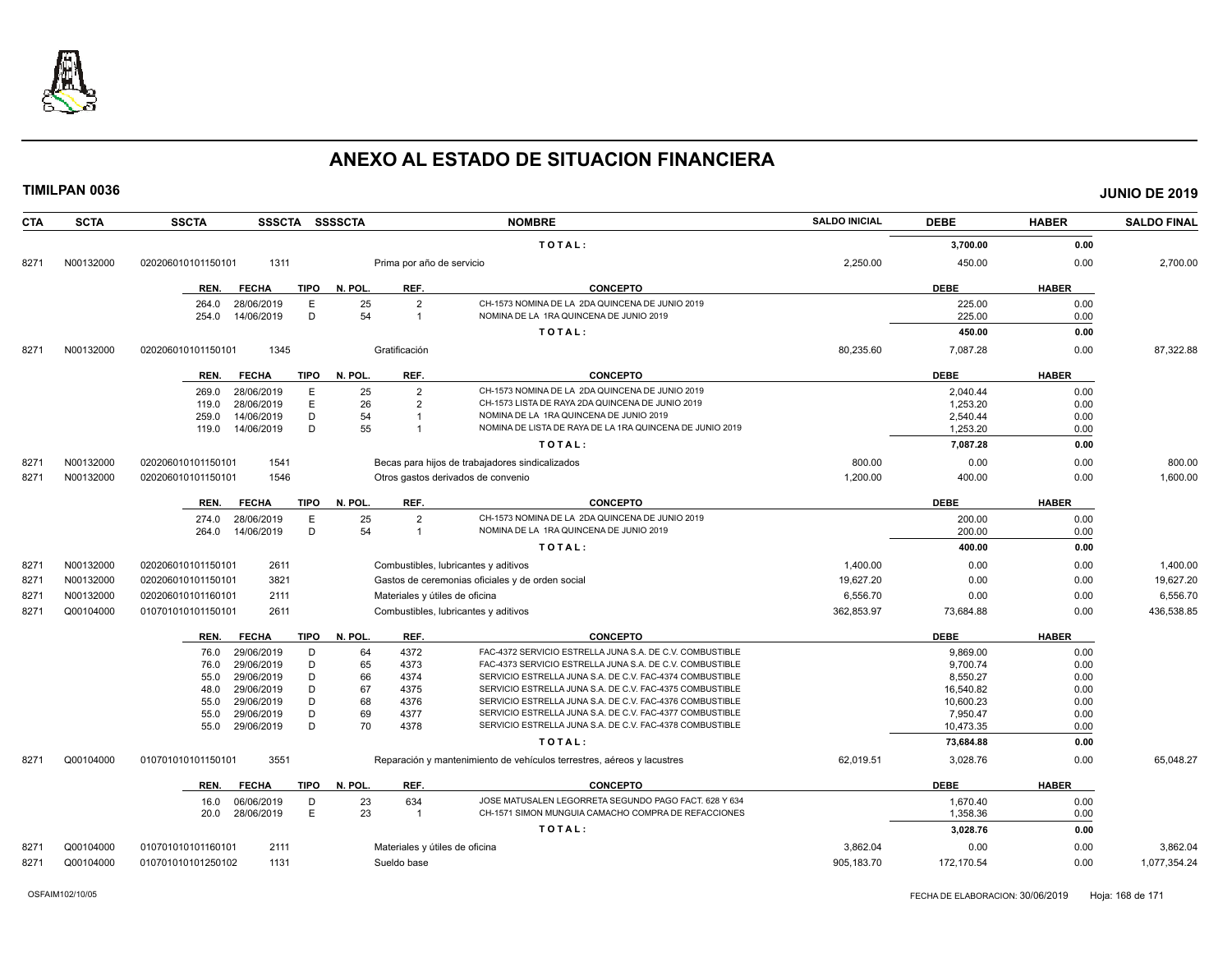

| <b>CTA</b> | <b>SCTA</b> | <b>SSCTA</b><br>SSSCTA SSSSCTA      |         |                           | <b>NOMBRE</b>                                                          | <b>SALDO INICIAL</b> | <b>DEBE</b> | <b>HABER</b> | <b>SALDO FINAL</b> |
|------------|-------------|-------------------------------------|---------|---------------------------|------------------------------------------------------------------------|----------------------|-------------|--------------|--------------------|
|            |             |                                     |         |                           | TOTAL:                                                                 |                      | 3,700.00    | 0.00         |                    |
| 8271       | N00132000   | 1311<br>020206010101150101          |         | Prima por año de servicio |                                                                        | 2,250.00             | 450.00      | 0.00         | 2,700.00           |
|            |             | <b>FECHA</b><br><b>TIPO</b><br>REN. | N. POL. | REF.                      | <b>CONCEPTO</b>                                                        |                      | <b>DEBE</b> | <b>HABER</b> |                    |
|            |             | 28/06/2019<br>Ε<br>264.0            | 25      | $\overline{2}$            | CH-1573 NOMINA DE LA 2DA QUINCENA DE JUNIO 2019                        |                      | 225.00      | 0.00         |                    |
|            |             | D<br>254.0<br>14/06/2019            | 54      | $\overline{1}$            | NOMINA DE LA 1RA QUINCENA DE JUNIO 2019                                |                      | 225.00      | 0.00         |                    |
|            |             |                                     |         |                           | TOTAL:                                                                 |                      | 450.00      | 0.00         |                    |
| 8271       | N00132000   | 020206010101150101<br>1345          |         | Gratificación             |                                                                        | 80,235.60            | 7,087.28    | 0.00         | 87,322.88          |
|            |             | REN.<br><b>FECHA</b><br>TIPO        | N. POL. | REF.                      | <b>CONCEPTO</b>                                                        |                      | <b>DEBE</b> | <b>HABER</b> |                    |
|            |             | 28/06/2019<br>Ε<br>269.0            | 25      | $\overline{2}$            | CH-1573 NOMINA DE LA 2DA QUINCENA DE JUNIO 2019                        |                      | 2.040.44    | 0.00         |                    |
|            |             | E<br>28/06/2019<br>119.0            | 26      | $\overline{2}$            | CH-1573 LISTA DE RAYA 2DA QUINCENA DE JUNIO 2019                       |                      | 1,253.20    | 0.00         |                    |
|            |             | D<br>14/06/2019<br>259.0            | 54      | $\mathbf{1}$              | NOMINA DE LA 1RA QUINCENA DE JUNIO 2019                                |                      | 2,540.44    | 0.00         |                    |
|            |             | D<br>14/06/2019<br>119.0            | 55      | $\overline{1}$            | NOMINA DE LISTA DE RAYA DE LA 1RA QUINCENA DE JUNIO 2019               |                      | 1,253.20    | 0.00         |                    |
|            |             |                                     |         |                           | TOTAL:                                                                 |                      | 7,087.28    | 0.00         |                    |
| 8271       | N00132000   | 1541<br>020206010101150101          |         |                           | Becas para hijos de trabajadores sindicalizados                        | 800.00               | 0.00        | 0.00         | 800.00             |
| 8271       | N00132000   | 1546<br>020206010101150101          |         |                           | Otros gastos derivados de convenio                                     | 1,200.00             | 400.00      | 0.00         | 1,600.00           |
|            |             | <b>TIPO</b><br>REN.<br><b>FECHA</b> | N. POL. | REF.                      | <b>CONCEPTO</b>                                                        |                      | <b>DEBE</b> | <b>HABER</b> |                    |
|            |             | E<br>28/06/2019<br>274.0            | 25      | $\overline{2}$            | CH-1573 NOMINA DE LA 2DA QUINCENA DE JUNIO 2019                        |                      | 200.00      | 0.00         |                    |
|            |             | D<br>14/06/2019<br>264.0            | 54      | $\overline{1}$            | NOMINA DE LA 1RA QUINCENA DE JUNIO 2019                                |                      | 200.00      | 0.00         |                    |
|            |             |                                     |         |                           | TOTAL:                                                                 |                      | 400.00      | 0.00         |                    |
| 8271       | N00132000   | 2611<br>020206010101150101          |         |                           | Combustibles, lubricantes y aditivos                                   | 1,400.00             | 0.00        | 0.00         | 1,400.00           |
| 8271       | N00132000   | 3821<br>020206010101150101          |         |                           | Gastos de ceremonias oficiales y de orden social                       | 19.627.20            | 0.00        | 0.00         | 19,627.20          |
| 8271       | N00132000   | 020206010101160101<br>2111          |         |                           | Materiales y útiles de oficina                                         | 6,556.70             | 0.00        | 0.00         | 6,556.70           |
| 8271       | Q00104000   | 2611<br>010701010101150101          |         |                           | Combustibles, lubricantes y aditivos                                   | 362,853.97           | 73,684.88   | 0.00         | 436,538.85         |
|            |             | <b>FECHA</b><br>TIPO<br>REN.        | N. POL. | REF.                      | <b>CONCEPTO</b>                                                        |                      | <b>DEBE</b> | <b>HABER</b> |                    |
|            |             | 29/06/2019<br>D<br>76.0             | 64      | 4372                      | FAC-4372 SERVICIO ESTRELLA JUNA S.A. DE C.V. COMBUSTIBLE               |                      | 9,869.00    | 0.00         |                    |
|            |             | D<br>29/06/2019<br>76.0             | 65      | 4373                      | FAC-4373 SERVICIO ESTRELLA JUNA S.A. DE C.V. COMBUSTIBLE               |                      | 9,700.74    | 0.00         |                    |
|            |             | 29/06/2019<br>D<br>55.0             | 66      | 4374                      | SERVICIO ESTRELLA JUNA S.A. DE C.V. FAC-4374 COMBUSTIBLE               |                      | 8,550.27    | 0.00         |                    |
|            |             | D<br>29/06/2019<br>48.0             | 67      | 4375                      | SERVICIO ESTRELLA JUNA S.A. DE C.V. FAC-4375 COMBUSTIBLE               |                      | 16,540.82   | 0.00         |                    |
|            |             | 29/06/2019<br>D<br>55.0             | 68      | 4376                      | SERVICIO ESTRELLA JUNA S.A. DE C.V. FAC-4376 COMBUSTIBLE               |                      | 10,600.23   | 0.00         |                    |
|            |             | D<br>29/06/2019<br>55.0             | 69      | 4377                      | SERVICIO ESTRELLA JUNA S.A. DE C.V. FAC-4377 COMBUSTIBLE               |                      | 7,950.47    | 0.00         |                    |
|            |             | D<br>55.0<br>29/06/2019             | 70      | 4378                      | SERVICIO ESTRELLA JUNA S.A. DE C.V. FAC-4378 COMBUSTIBLE               |                      | 10,473.35   | 0.00         |                    |
|            |             |                                     |         |                           | TOTAL:                                                                 |                      | 73,684.88   | 0.00         |                    |
| 8271       | Q00104000   | 3551<br>010701010101150101          |         |                           | Reparación y mantenimiento de vehículos terrestres, aéreos y lacustres | 62,019.51            | 3,028.76    | 0.00         | 65,048.27          |
|            |             | <b>FECHA</b><br><b>TIPO</b><br>REN. | N. POL. | REF.                      | <b>CONCEPTO</b>                                                        |                      | <b>DEBE</b> | <b>HABER</b> |                    |
|            |             | 16.0<br>06/06/2019<br>D             | 23      | 634                       | JOSE MATUSALEN LEGORRETA SEGUNDO PAGO FACT. 628 Y 634                  |                      | 1,670.40    | 0.00         |                    |
|            |             | E<br>28/06/2019<br>20.0             | 23      | $\overline{1}$            | CH-1571 SIMON MUNGUIA CAMACHO COMPRA DE REFACCIONES                    |                      | 1,358.36    | 0.00         |                    |
|            |             |                                     |         |                           | TOTAL:                                                                 |                      | 3,028.76    | 0.00         |                    |
| 827'       | Q00104000   | 2111<br>010701010101160101          |         |                           | Materiales y útiles de oficina                                         | 3.862.04             | 0.00        | 0.00         | 3,862.04           |
| 8271       | Q00104000   | 010701010101250102<br>1131          |         | Sueldo base               |                                                                        | 905,183.70           | 172,170.54  | 0.00         | 1,077,354.24       |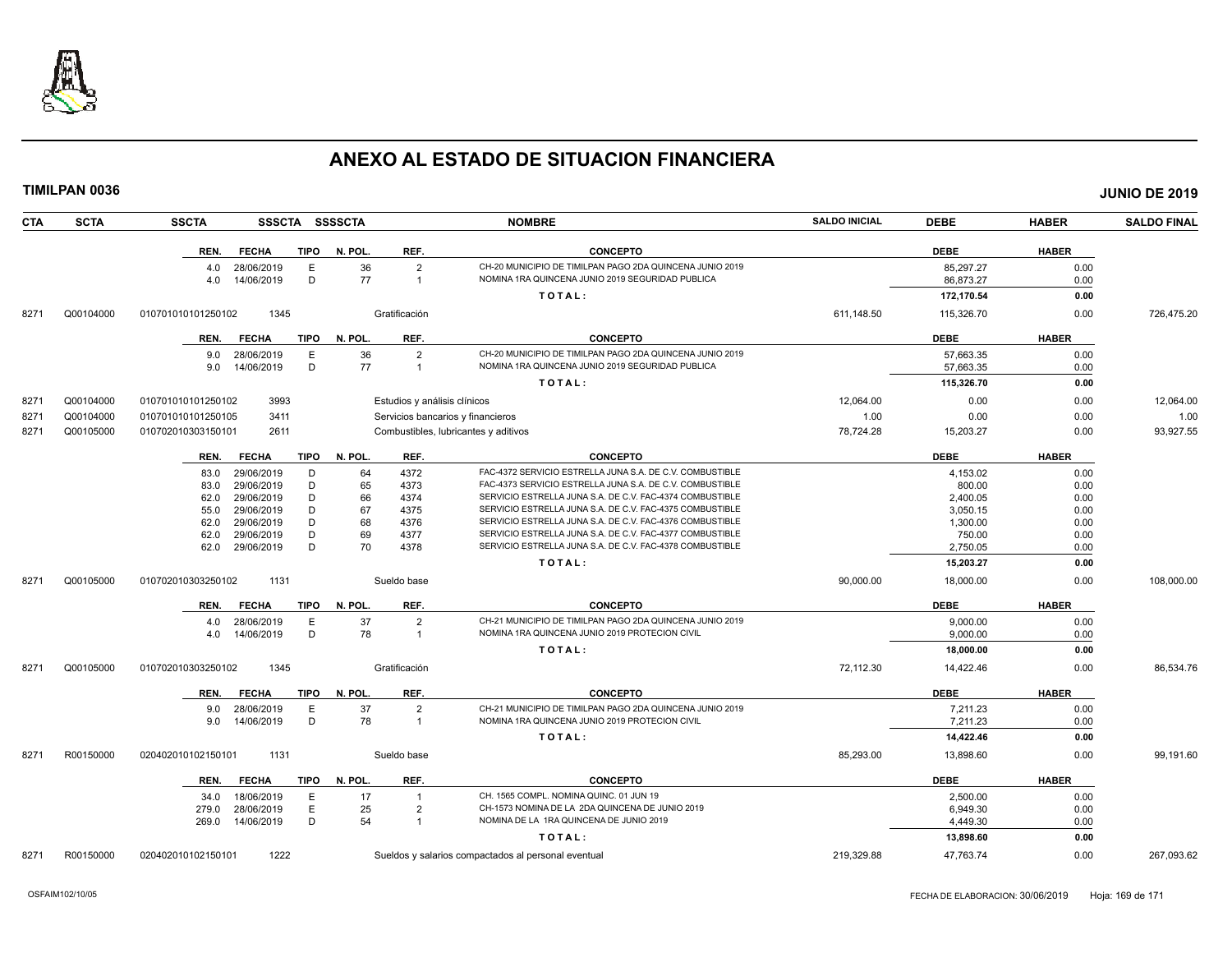

**TIMILPAN 0036 JUNIO DE 2019**

**CTA SCTA SSCTA SSSCTA SSSSCTA NOMBRE SALDO INICIAL DEBE HABER SALDO FINAL**

| DEBE<br><b>HABER</b>                                                          |
|-------------------------------------------------------------------------------|
| CH-20 MUNICIPIO DE TIMILPAN PAGO 2DA QUINCENA JUNIO 2019<br>85,297.27<br>0.00 |
| NOMINA 1RA QUINCENA JUNIO 2019 SEGURIDAD PUBLICA<br>86,873.27<br>0.00         |
| 172,170.54<br>0.00                                                            |
| 611.148.50<br>115,326.70<br>0.00<br>726,475.20                                |
| <b>DEBE</b><br><b>HABER</b>                                                   |
| CH-20 MUNICIPIO DE TIMILPAN PAGO 2DA QUINCENA JUNIO 2019<br>57,663.35<br>0.00 |
| NOMINA 1RA QUINCENA JUNIO 2019 SEGURIDAD PUBLICA<br>57,663.35<br>0.00         |
| 115,326.70<br>0.00                                                            |
| 12,064.00<br>0.00<br>12,064.00<br>0.00                                        |
| 1.00<br>0.00<br>0.00<br>1.00                                                  |
| 15,203.27<br>93,927.55<br>78,724.28<br>0.00                                   |
| <b>DEBE</b><br><b>HABER</b>                                                   |
| FAC-4372 SERVICIO ESTRELLA JUNA S.A. DE C.V. COMBUSTIBLE<br>4,153.02<br>0.00  |
| FAC-4373 SERVICIO ESTRELLA JUNA S.A. DE C.V. COMBUSTIBLE<br>800.00<br>0.00    |
| SERVICIO ESTRELLA JUNA S.A. DE C.V. FAC-4374 COMBUSTIBLE<br>2,400.05<br>0.00  |
| SERVICIO ESTRELLA JUNA S.A. DE C.V. FAC-4375 COMBUSTIBLE<br>3,050.15<br>0.00  |
| SERVICIO ESTRELLA JUNA S.A. DE C.V. FAC-4376 COMBUSTIBLE<br>1,300.00<br>0.00  |
| SERVICIO ESTRELLA JUNA S.A. DE C.V. FAC-4377 COMBUSTIBLE<br>750.00<br>0.00    |
| SERVICIO ESTRELLA JUNA S.A. DE C.V. FAC-4378 COMBUSTIBLE<br>2,750.05<br>0.00  |
| 15,203.27<br>0.00                                                             |
| 90,000.00<br>18,000.00<br>0.00<br>108,000.00                                  |
| <b>DEBE</b><br><b>HABER</b>                                                   |
| CH-21 MUNICIPIO DE TIMILPAN PAGO 2DA QUINCENA JUNIO 2019<br>0.00<br>9.000.00  |
| NOMINA 1RA QUINCENA JUNIO 2019 PROTECION CIVIL<br>9,000.00<br>0.00            |
| 18,000.00<br>0.00                                                             |
| 72,112.30<br>14,422.46<br>0.00<br>86,534.76                                   |
| <b>DEBE</b><br><b>HABER</b>                                                   |
| CH-21 MUNICIPIO DE TIMILPAN PAGO 2DA QUINCENA JUNIO 2019<br>7,211.23<br>0.00  |
| NOMINA 1RA QUINCENA JUNIO 2019 PROTECION CIVIL<br>7,211.23<br>0.00            |
| 14,422.46<br>0.00                                                             |
| 85,293.00<br>13,898.60<br>0.00<br>99,191.60                                   |
| <b>DEBE</b><br><b>HABER</b>                                                   |
|                                                                               |
| 2,500.00<br>0.00                                                              |
| CH-1573 NOMINA DE LA 2DA QUINCENA DE JUNIO 2019<br>6,949.30<br>0.00           |
| 4,449.30<br>0.00                                                              |
| 13,898.60<br>0.00                                                             |
|                                                                               |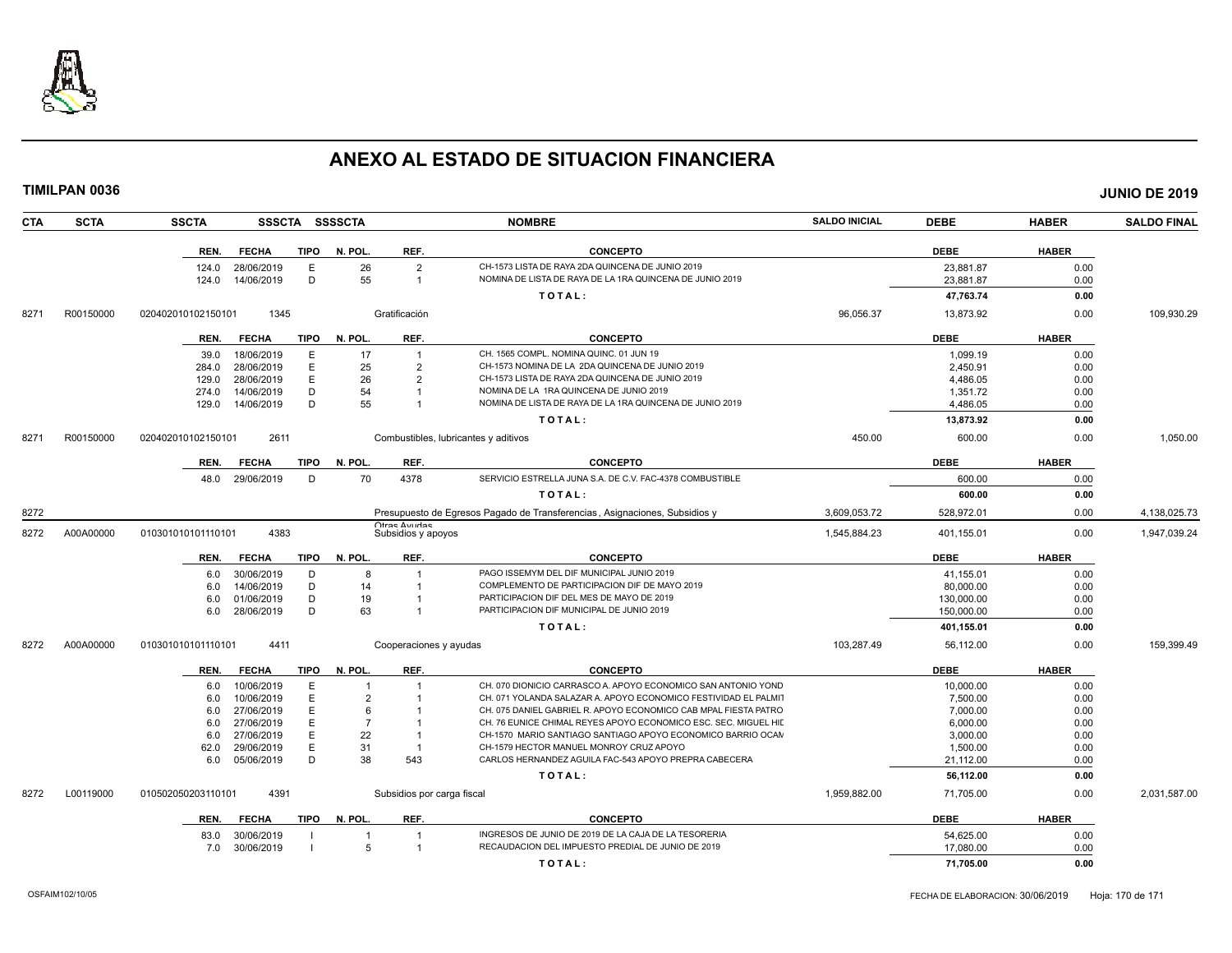

|      | <b>TIMILPAN 0036</b> |                    |                 |             |                |                                      |                                                                            |                      |             |              | <b>JUNIO DE 2019</b> |
|------|----------------------|--------------------|-----------------|-------------|----------------|--------------------------------------|----------------------------------------------------------------------------|----------------------|-------------|--------------|----------------------|
| CTA  | <b>SCTA</b>          | <b>SSCTA</b>       |                 |             | SSSCTA SSSSCTA |                                      | <b>NOMBRE</b>                                                              | <b>SALDO INICIAL</b> | <b>DEBE</b> | <b>HABER</b> | <b>SALDO FINAL</b>   |
|      |                      | REN.               | <b>FECHA</b>    | <b>TIPO</b> | N. POL.        | REF.                                 | <b>CONCEPTO</b>                                                            |                      | <b>DEBE</b> | <b>HABER</b> |                      |
|      |                      | 124.0              | 28/06/2019      | E           | 26             | $\overline{2}$                       | CH-1573 LISTA DE RAYA 2DA QUINCENA DE JUNIO 2019                           |                      | 23,881.87   | 0.00         |                      |
|      |                      | 124.0              | 14/06/2019      | D           | 55             | $\mathbf{1}$                         | NOMINA DE LISTA DE RAYA DE LA 1RA QUINCENA DE JUNIO 2019                   |                      | 23,881.87   | 0.00         |                      |
|      |                      |                    |                 |             |                |                                      | TOTAL:                                                                     |                      | 47,763.74   | 0.00         |                      |
| 8271 | R00150000            | 020402010102150101 | 1345            |             |                | Gratificación                        |                                                                            | 96,056.37            | 13,873.92   | 0.00         | 109,930.29           |
|      |                      | REN.               | <b>FECHA</b>    | TIPO        | N. POL.        | REF.                                 | <b>CONCEPTO</b>                                                            |                      | <b>DEBE</b> | <b>HABER</b> |                      |
|      |                      | 39.0               | 18/06/2019      | $\mathsf E$ | 17             | $\overline{1}$                       | CH. 1565 COMPL. NOMINA QUINC. 01 JUN 19                                    |                      | 1,099.19    | 0.00         |                      |
|      |                      | 284.0              | 28/06/2019      | E           | 25             | $\overline{2}$                       | CH-1573 NOMINA DE LA 2DA QUINCENA DE JUNIO 2019                            |                      | 2,450.91    | 0.00         |                      |
|      |                      | 129.0              | 28/06/2019      | E           | 26             | $\overline{2}$                       | CH-1573 LISTA DE RAYA 2DA QUINCENA DE JUNIO 2019                           |                      | 4,486.05    | 0.00         |                      |
|      |                      | 274.0              | 14/06/2019      | D           | 54             | $\mathbf{1}$                         | NOMINA DE LA 1RA QUINCENA DE JUNIO 2019                                    |                      | 1,351.72    | 0.00         |                      |
|      |                      | 129.0              | 14/06/2019      | D           | 55             | $\mathbf{1}$                         | NOMINA DE LISTA DE RAYA DE LA 1RA QUINCENA DE JUNIO 2019                   |                      | 4,486.05    | 0.00         |                      |
|      |                      |                    |                 |             |                |                                      | TOTAL:                                                                     |                      | 13,873.92   | 0.00         |                      |
| 8271 | R00150000            | 020402010102150101 | 2611            |             |                | Combustibles, lubricantes y aditivos |                                                                            | 450.00               | 600.00      | 0.00         | 1,050.00             |
|      |                      | REN.               | <b>FECHA</b>    | TIPO        | N. POL.        | REF.                                 | <b>CONCEPTO</b>                                                            |                      | <b>DEBE</b> | <b>HABER</b> |                      |
|      |                      |                    | 48.0 29/06/2019 | D           | 70             | 4378                                 | SERVICIO ESTRELLA JUNA S.A. DE C.V. FAC-4378 COMBUSTIBLE                   |                      | 600.00      | 0.00         |                      |
|      |                      |                    |                 |             |                |                                      | TOTAL:                                                                     |                      | 600.00      | 0.00         |                      |
| 8272 |                      |                    |                 |             |                |                                      | Presupuesto de Egresos Pagado de Transferencias, Asignaciones, Subsidios y | 3,609,053.72         | 528,972.01  | 0.00         | 4,138,025.73         |
| 8272 | A00A00000            | 010301010101110101 | 4383            |             |                | Otras Avudas<br>Subsidios y apoyos   |                                                                            | 1.545.884.23         | 401,155.01  | 0.00         | 1,947,039.24         |
|      |                      | REN.               | <b>FECHA</b>    | TIPO        | N. POL.        | REF.                                 | <b>CONCEPTO</b>                                                            |                      | <b>DEBE</b> | <b>HABER</b> |                      |
|      |                      | 6.0                | 30/06/2019      | D           | 8              | $\overline{1}$                       | PAGO ISSEMYM DEL DIF MUNICIPAL JUNIO 2019                                  |                      | 41,155.01   | 0.00         |                      |
|      |                      | 6.0                | 14/06/2019      | D           | 14             | $\overline{1}$                       | COMPLEMENTO DE PARTICIPACION DIF DE MAYO 2019                              |                      | 80.000.00   | 0.00         |                      |
|      |                      | 6.0                | 01/06/2019      | D           | 19             | $\mathbf{1}$                         | PARTICIPACION DIF DEL MES DE MAYO DE 2019                                  |                      | 130,000.00  | 0.00         |                      |
|      |                      | 6.0                | 28/06/2019      | D           | 63             | $\mathbf{1}$                         | PARTICIPACION DIF MUNICIPAL DE JUNIO 2019                                  |                      | 150,000.00  | 0.00         |                      |
|      |                      |                    |                 |             |                |                                      | TOTAL:                                                                     |                      | 401,155.01  | 0.00         |                      |
| 8272 | A00A00000            | 010301010101110101 | 4411            |             |                | Cooperaciones y ayudas               |                                                                            | 103,287.49           | 56,112.00   | 0.00         | 159,399.49           |
|      |                      | REN.               | <b>FECHA</b>    | <b>TIPO</b> | N. POL.        | REF.                                 | <b>CONCEPTO</b>                                                            |                      | <b>DEBE</b> | <b>HABER</b> |                      |
|      |                      | 6.0                | 10/06/2019      | E           |                |                                      | CH. 070 DIONICIO CARRASCO A, APOYO ECONOMICO SAN ANTONIO YOND              |                      | 10,000.00   | 0.00         |                      |
|      |                      | 6.0                | 10/06/2019      | E           | $\overline{2}$ |                                      | CH. 071 YOLANDA SALAZAR A. APOYO ECONOMICO FESTIVIDAD EL PALMIT            |                      | 7,500.00    | 0.00         |                      |
|      |                      | 6.0                | 27/06/2019      | E           | 6              |                                      | CH. 075 DANIEL GABRIEL R. APOYO ECONOMICO CAB MPAL FIESTA PATRO            |                      | 7,000.00    | 0.00         |                      |
|      |                      | 6.0                | 27/06/2019      | E           | $\overline{7}$ | $\mathbf{1}$                         | CH. 76 EUNICE CHIMAL REYES APOYO ECONOMICO ESC. SEC. MIGUEL HID            |                      | 6,000.00    | 0.00         |                      |
|      |                      | 6.0                | 27/06/2019      | $\mathsf E$ | 22             | $\overline{1}$                       | CH-1570 MARIO SANTIAGO SANTIAGO APOYO ECONOMICO BARRIO OCAN                |                      | 3,000.00    | 0.00         |                      |
|      |                      | 62.0               | 29/06/2019      | E           | 31             | $\overline{1}$                       | CH-1579 HECTOR MANUEL MONROY CRUZ APOYO                                    |                      | 1,500.00    | 0.00         |                      |
|      |                      | 6.0                | 05/06/2019      | D           | 38             | 543                                  | CARLOS HERNANDEZ AGUILA FAC-543 APOYO PREPRA CABECERA                      |                      | 21,112.00   | 0.00         |                      |
|      |                      |                    |                 |             |                |                                      | TOTAL:                                                                     |                      | 56,112.00   | 0.00         |                      |
| 8272 | L00119000            | 010502050203110101 | 4391            |             |                | Subsidios por carga fiscal           |                                                                            | 1,959,882.00         | 71,705.00   | 0.00         | 2,031,587.00         |
|      |                      | REN.               | <b>FECHA</b>    | TIPO        | N. POL.        | REF.                                 | <b>CONCEPTO</b>                                                            |                      | <b>DEBE</b> | <b>HABER</b> |                      |
|      |                      | 83.0               | 30/06/2019      |             | $\overline{1}$ | $\overline{1}$                       | INGRESOS DE JUNIO DE 2019 DE LA CAJA DE LA TESORERIA                       |                      | 54,625.00   | 0.00         |                      |
|      |                      | 7.0                | 30/06/2019      |             | 5              |                                      | RECAUDACION DEL IMPUESTO PREDIAL DE JUNIO DE 2019                          |                      | 17,080.00   | 0.00         |                      |